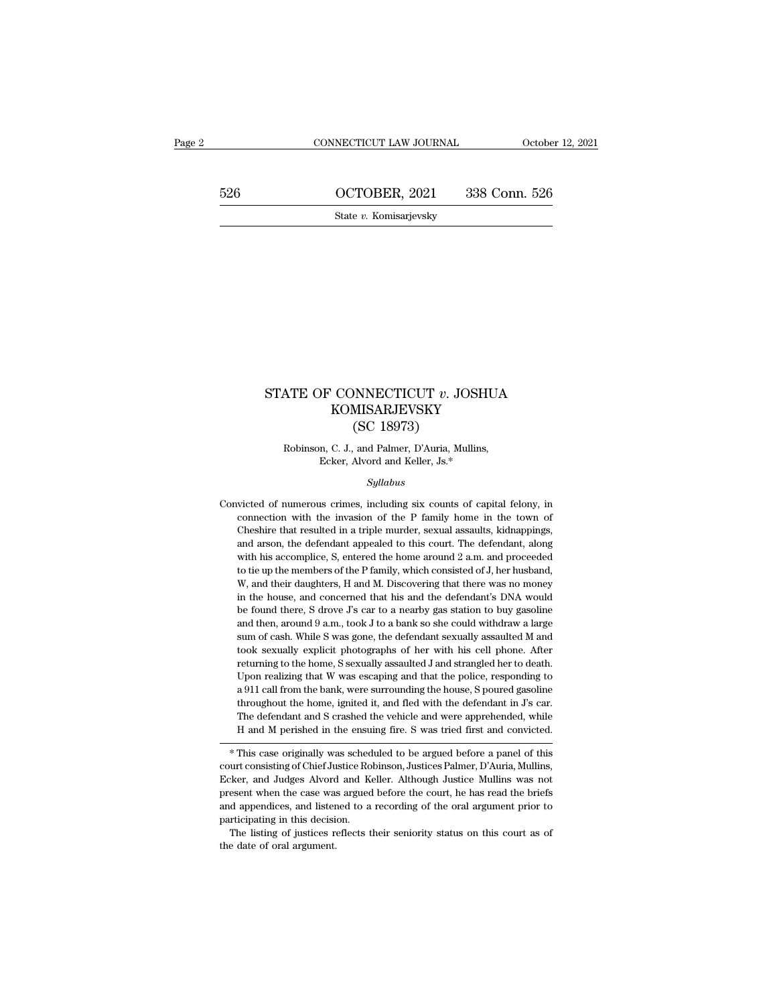CONNECTICUT LAW JOURNAL October 12, 2021<br>526 OCTOBER, 2021 338 Conn. 526<br>5tate v. Komisarjevsky

State *v.* Komisarjevsky

# STATE OF CONNECTICUT *v*. JOSHUA<br>KOMISARJEVSKY<br>CC 18073) KOMISARJEVSKY NNECTICUT v. JO<br>MISARJEVSKY<br>(SC 18973)<br>, and Palmer, D'Auria, Mu ATE OF CONNECTICUT *v*. JOSHUA<br>KOMISARJEVSKY<br>(SC 18973)<br>Robinson, C. J., and Palmer, D'Auria, Mullins,<br>Ecker, Alvord and Keller, Js.\* F CONNECTICUT *v*. JOSHU<br>KOMISARJEVSKY<br>(SC 18973)<br>n, C. J., and Palmer, D'Auria, Mullins,<br>Ecker, Alvord and Keller, Js.\*<br>Sullabus

## *Syllabus*

(CO 10976)<br>
Robinson, C. J., and Palmer, D'Auria, Mullins,<br>
Ecker, Alvord and Keller, Js.\*<br>
Syllabus<br>
Convicted of numerous crimes, including six counts of capital felony, in<br>
connection with the invasion of the P family Robinson, C. J., and Palmer, D'Auria, Mullins,<br>Ecker, Alvord and Keller, Js.\*<br>Syllabus<br>victed of numerous crimes, including six counts of capital felony, in<br>connection with the invasion of the P family home in the town of<br> Ecker, Alvord and Keller, Js.\*<br>Syllabus<br>victed of numerous crimes, including six counts of capital felony, in<br>connection with the invasion of the P family home in the town of<br>Cheshire that resulted in a triple murder, sexu *Syllabus*<br>size of numerous crimes, including six counts of capital felony, in<br>connection with the invasion of the P family home in the town of<br>Cheshire that resulted in a triple murder, sexual assaults, kidnappings,<br>and a *Syltabus*<br>wicted of numerous crimes, including six counts of capital felony, in<br>connection with the invasion of the P family home in the town of<br>Cheshire that resulted in a triple murder, sexual assaults, kidnappings,<br>and victed of numerous crimes, including six counts of capital felony, in connection with the invasion of the P family home in the town of Cheshire that resulted in a triple murder, sexual assaults, kidnappings, and arson, the connection with the invasion of the P family home in the town of Cheshire that resulted in a triple murder, sexual assaults, kidnappings, and arson, the defendant appealed to this court. The defendant, along with his accom Cheshire that resulted in a triple murder, sexual assaults, kidnappings, and arson, the defendant appealed to this court. The defendant, along with his accomplice, S, entered the home around 2 a.m. and proceeded to tie up and arson, the defendant appealed to this court. The defendant, along<br>and arson, the defendant appealed to this court. The defendant, along<br>with his accomplice, S, entered the home around 2 a.m. and proceeded<br>to tie up th with his accomplice, S, entered the home around 2 a.m. and proceeded<br>to tie up the members of the P family, which consisted of J, her husband,<br>W, and their daughters, H and M. Discovering that there was no money<br>in the hou sum of cash. While S was gone, the defendant sexually assaulted M and their environment of the p the members of the P family, which consisted of J, her husband, W, and their daughters, H and M. Discovering that there was W, and their daughters, H and M. Discovering that there was no money<br>in the house, and concerned that his and the defendant's DNA would<br>be found there, S drove J's car to a nearby gas station to buy gasoline<br>and then, arou returning to the home, Sexually assaulted J and strangled her to death.<br>The home, said concerned that his and the defendant's DNA would<br>be found there, S drove J's car to a nearby gas station to buy gasoline<br>and then, arou the found there, S drove J's car to a nearby gas station to buy gasoline and then, around 9 a.m., took J to a bank so she could withdraw a large sum of cash. While S was gone, the defendant sexually assaulted M and took se and then, around 9 a.m., took J to a bank so she could withdraw a large sum of cash. While S was gone, the defendant sexually assaulted M and took sexually explicit photographs of her with his cell phone. After returning and then, around 9 a.m., took J to a bank so she could withdraw a large sum of cash. While S was gone, the defendant sexually assaulted M and took sexually explicit photographs of her with his cell phone. After returning took sexually explicit photographs of her with his cell phone. After returning to the home, S sexually assaulted J and strangled her to death. Upon realizing that W was escaping and that the police, responding to a 911 cal H and M perished in the ensuing fire. S was tried first and strangled her to death.<br>Upon realizing that W was escaping and that the police, responding to a 911 call from the bank, were surrounding the house, S poured gasol a 911 can front the bank, were surrounding the hose, S poured gasoline<br>throughout the home, ignited it, and fled with the defendant in J's car.<br>The defendant and S crashed the vehicle and were apprehended, while<br>H and M pe

Information and S crashed the vehicle and were apprehended, while<br>H and M perished in the ensuing fire. S was tried first and convicted.<br>
\* This case originally was scheduled to be argued before a panel of this<br>
court cons In the defendant and S crashed the venicle and were apprenended, while<br>
I and M perished in the ensuing fire. S was tried first and convicted.<br>
<br>
\* This case originally was scheduled to be argued before a panel of this<br>
co Fr and M perished in the ensuing life. S was tried liftst and convicted.<br>
\* This case originally was scheduled to be argued before a panel of this<br>
court consisting of Chief Justice Robinson, Justices Palmer, D'Auria, Mull \* This case originally was sched<br>court consisting of Chief Justice Ro<br>Ecker, and Judges Alvord and K<br>present when the case was argued<br>and appendices, and listened to a<br>participating in this decision.<br>The listing of justice court consisting of Chief Justice Robinson, Justices Palmer, D'Auria, Mullins, Ecker, and Judges Alvord and Keller. Although Justice Mullins was not present when the case was argued before the court, he has read the briefs Ecker, and Judges Alvord and Keller. Although Justice Mullins was not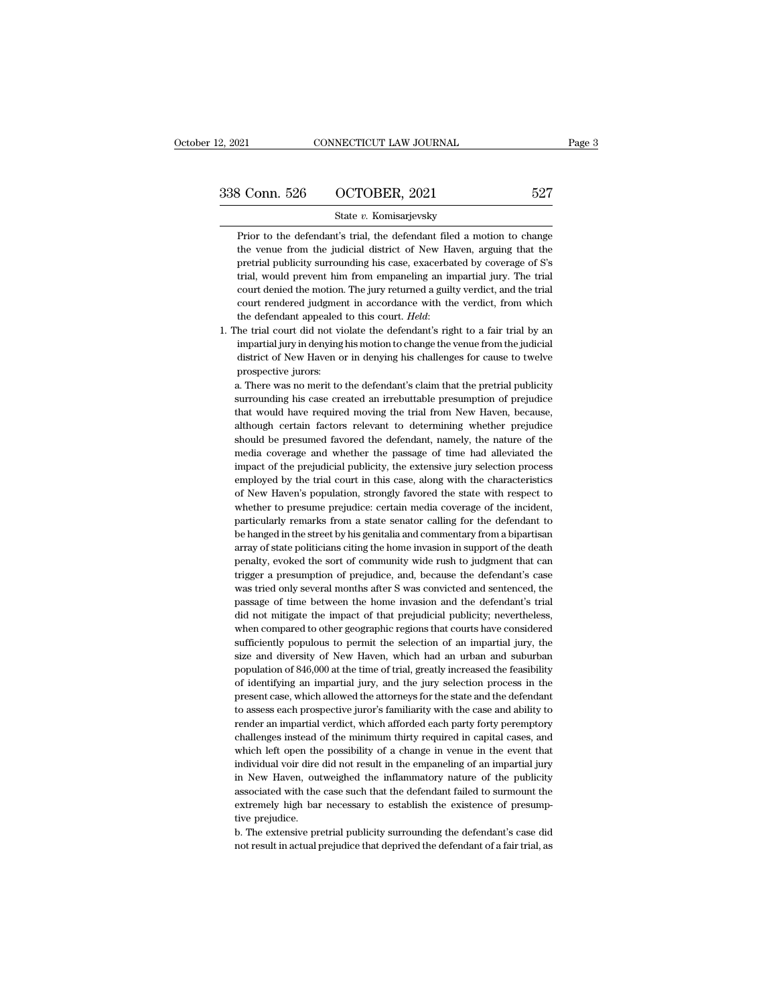$\frac{3 \text{ Conn. } 526}{\text{State } v. \text{ Komisarjevsky}}$ <br>
Prior to the defendant's trial, the defendant filed a motion to change<br>
the venue from the judicial district of New Haven, arguing that the  $\frac{1}{3}$  Conn. 526 OCTOBER, 2021 527<br>State v. Komisarjevsky<br>Prior to the defendant's trial, the defendant filed a motion to change<br>the venue from the judicial district of New Haven, arguing that the<br>pretrial publicity su **Prior to the defendant's trial, the defendant filed a motion to change**<br>**prior to the defendant's trial, the defendant filed a motion to change**<br>the venue from the judicial district of New Haven, arguing that the<br>pretria State v. Komisarjevsky<br>
Prior to the defendant's trial, the defendant filed a motion to change<br>
the venue from the judicial district of New Haven, arguing that the<br>
pretrial publicity surrounding his case, exacerbated by c State v. Komisarjevsky<br>
Prior to the defendant's trial, the defendant filed a motion to change<br>
the venue from the judicial district of New Haven, arguing that the<br>
pretrial publicity surrounding his case, exacerbated by c Prior to the defendant's trial, the defendant filed a motion to change<br>the venue from the judicial district of New Haven, arguing that the<br>pretrial publicity surrounding his case, exacerbated by coverage of S's<br>trial, woul the venue from the judicial district of New Haven, arguing that the pretrial publicity surrounding his case, exacerbated by coverage of S's trial, would prevent him from empaneling an impartial jury. The trial court denied trial, would prevent him from empaneling an impartial jury. The trial court denied the motion. The jury returned a guilty verdict, and the trial court rendered judgment in accordance with the verdict, from which the defend

court denied the motion. The jury returned a guilty verdict, and the trial court rendered judgment in accordance with the verdict, from which the defendant appealed to this court. *Held*:<br>he trial court did not violate the court rendered judgmer<br>the defendant appealed<br>he trial court did not vi<br>impartial jury in denying<br>district of New Haven o<br>prospective jurors:<br>a. There was no merit to the defendant appealed to this court. *Held*:<br>The trial court did not violate the defendant's right to a fair trial by an<br>impartial jury in denying his motion to change the venue from the judicial<br>district of New Haven or The trial court did not violate the defendant's right to a fair trial by an impartial jury in denying his motion to change the venue from the judicial district of New Haven or in denying his challenges for cause to twelve

impartial jury in denying his motion to change the venue from the judicial district of New Haven or in denying his challenges for cause to twelve prospective jurors:<br>a. There was no merit to the defendant's claim that the district of New Haven or in denying his challenges for cause to twelve<br>prospective jurors:<br>a. There was no merit to the defendant's claim that the pretrial publicity<br>surrounding his case created an irrebuttable presumption prospective jurors:<br>a. There was no merit to the defendant's claim that the pretrial publicity<br>surrounding his case created an irrebuttable presumption of prejudice<br>that would have required moving the trial from New Haven, a. There was no merit to the defendant's claim that the pretrial publicity surrounding his case created an irrebuttable presumption of prejudice that would have required moving the trial from New Haven, because, although c a. There was no merit to the defendant's claim that the pretrial publicity surrounding his case created an irrebuttable presumption of prejudice that would have required moving the trial from New Haven, because, although c that would have required moving the trial from New Haven, because, although certain factors relevant to determining whether prejudice should be presumed favored the defendant, namely, the nature of the media coverage and w although certain factors relevant to determining whether prejudice<br>should be presumed favored the defendant, namely, the nature of the<br>media coverage and whether the passage of time had alleviated the<br>impact of the prejudi should be presumed favored the defendant, namely, the nature of the media coverage and whether the passage of time had alleviated the impact of the prejudicial publicity, the extensive jury selection process employed by th media coverage and whether the passage of time had alleviated the impact of the prejudicial publicity, the extensive jury selection process employed by the trial court in this case, along with the characteristics of New Ha impact of the prejudicial publicity, the extensive jury selection process<br>employed by the trial court in this case, along with the characteristics<br>of New Haven's population, strongly favored the state with respect to<br>wheth employed by the trial court in this case, along with the characteristics<br>of New Haven's population, strongly favored the state with respect to<br>whether to presume prejudice: certain media coverage of the incident,<br>particula of New Haven's population, strongly favored the state with respect to whether to presume prejudice: certain media coverage of the incident, particularly remarks from a state senator calling for the defendant to be hanged i whether to presume prejudice: certain media coverage of the incident, particularly remarks from a state senator calling for the defendant to be hanged in the street by his genitalia and commentary from a bipartisan array o particularly remarks from a state senator calling for the defendant to<br>be hanged in the street by his genitalia and commentary from a bipartisan<br>array of state politicians citing the home invasion in support of the death<br>p be hanged in the street by his genitalia and commentary from a bipartisan array of state politicians citing the home invasion in support of the death penalty, evoked the sort of community wide rush to judgment that can tri array of state politicians citing the home invasion in support of the death<br>penalty, evoked the sort of community wide rush to judgment that can<br>trigger a presumption of prejudice, and, because the defendant's case<br>was tri penalty, evoked the sort of community wide rush to judgment that can<br>trigger a presumption of prejudice, and, because the defendant's case<br>was tried only several months after S was convicted and sentenced, the<br>passage of t trigger a presumption of prejudice, and, because the defendant's case<br>was tried only several months after S was convicted and sentenced, the<br>passage of time between the home invasion and the defendant's trial<br>did not mitig was tried only several months after S was convicted and sentenced, the passage of time between the home invasion and the defendant's trial did not mitigate the impact of that prejudicial publicity; nevertheless, when compa passage of time between the home invasion and the defendant's trial<br>did not mitigate the impact of that prejudicial publicity; nevertheless,<br>when compared to other geographic regions that courts have considered<br>sufficientl did not mitigate the impact of that prejudicial publicity; nevertheless, when compared to other geographic regions that courts have considered sufficiently populous to permit the selection of an impartial jury, the size an did not mitigate the impact of that prejudicial publicity; nevertheless, when compared to other geographic regions that courts have considered sufficiently populous to permit the selection of an impartial jury, the size an sufficiently populous to permit the selection of an impartial jury, the size and diversity of New Haven, which had an urban and suburban population of 846,000 at the time of trial, greatly increased the feasibility of iden size and diversity of New Haven, which had an urban and suburban<br>population of 846,000 at the time of trial, greatly increased the feasibility<br>of identifying an impartial jury, and the jury selection process in the<br>present population of 846,000 at the time of trial, greatly increased the feasibility of identifying an impartial jury, and the jury selection process in the present case, which allowed the attorneys for the state and the defendan of identifying an impartial jury, and the jury selection process in the present case, which allowed the attorneys for the state and the defendant to assess each prospective juror's familiarity with the case and ability to present case, which allowed the attorneys for the state and the defendant<br>to assess each prospective juror's familiarity with the case and ability to<br>render an impartial verdict, which afforded each party forty peremptory<br> in assess each prospective juror's familiarity with the case and ability to render an impartial verdict, which afforded each party forty peremptory challenges instead of the minimum thirty required in capital cases, and wh render an impartial verdict, which afforded each party forty peremptory challenges instead of the minimum thirty required in capital cases, and which left open the possibility of a change in venue in the event that individ challenges instead of the minimum thirty required in capital cases, and which left open the possibility of a change in venue in the event that individual voir dire did not result in the empaneling of an impartial jury in N which left open the<br>individual voir dire<br>in New Haven, out<br>associated with the<br>extremely high bar<br>tive prejudice.<br>b. The extensive pr individual voir dire did not result in the empaneling of an impartial jury<br>in New Haven, outweighed the inflammatory nature of the publicity<br>associated with the case such that the defendant failed to surmount the<br>extremely in New Haven, outweighed the inflammatory nature of the publicity<br>associated with the case such that the defendant failed to surmount the<br>extremely high bar necessary to establish the existence of presump-<br>tive prejudice.<br>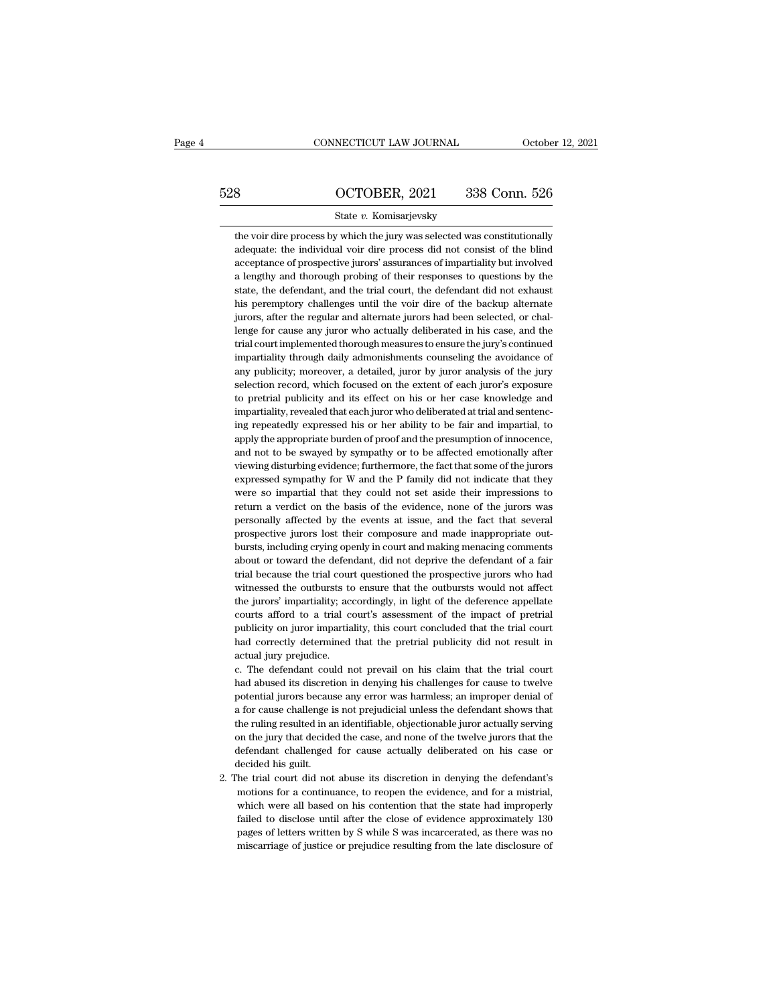# CONNECTICUT LAW JOURNAL October 12, 2021<br>528 OCTOBER, 2021 338 Conn. 526<br>5tate v. Komisarjevsky

# State *v.* Komisarjevsky

SUCTOBER, 2021 338 Conn. 526<br>
State v. Komisarjevsky<br>
the voir dire process by which the jury was selected was constitutionally<br>
adequate: the individual voir dire process did not consist of the blind  $\frac{\text{OCTOBER, 2021}}{\text{State } v. \text{ Komisarjevsky}}$ <br>
the voir dire process by which the jury was selected was constitutionally<br>
adequate: the individual voir dire process did not consist of the blind<br>
acceptance of prospective jurors' as  $\frac{\text{GCTOBER}}{\text{State } v. \text{ Komisarjevsky}}$ <br>
the voir dire process by which the jury was selected was constitutionally<br>
adequate: the individual voir dire process did not consist of the blind<br>
acceptance of prospective jurors' assuranc State  $v$ . Komisarjevsky<br>the voir dire process by which the jury was selected was constitutionally<br>adequate: the individual voir dire process did not consist of the blind<br>acceptance of prospective jurors' assurances of im State v. Komisarjevsky<br>the voir dire process by which the jury was selected was constitutionally<br>adequate: the individual voir dire process did not consist of the blind<br>acceptance of prospective jurors' assurances of impar the voir dire process by which the jury was selected was constitutionally adequate: the individual voir dire process did not consist of the blind acceptance of prospective jurors' assurances of impartiality but involved a adequate: the individual voir dire process did not consist of the blind acceptance of prospective jurors' assurances of impartiality but involved a lengthy and thorough probing of their responses to questions by the state, acceptance of prospective jurors' assurances of impartiality but involved<br>a lengthy and thorough probing of their responses to questions by the<br>state, the defendant, and the trial court, the defendant did not exhaust<br>his p a lengthy and thorough probing of their responses to questions by the state, the defendant, and the trial court, the defendant did not exhaust his peremptory challenges until the voir dire of the backup alternate jurors, a state, the defendant, and the trial court, the defendant did not exhaust<br>his peremptory challenges until the voir dire of the backup alternate<br>jurors, after the regular and alternate jurors had been selected, or chal-<br>leng his peremptory challenges until the voir dire of the backup alternate jurors, after the regular and alternate jurors had been selected, or challenge for cause any juror who actually deliberated in his case, and the trial c jurors, after the regular and alternate jurors had been selected, or challenge for cause any juror who actually deliberated in his case, and the trial court implemented thorough measures to ensure the jury's continued impa lenge for cause any juror who actually deliberated in his case, and the trial court implemented thorough measures to ensure the jury's continued impartiality through daily admonishments counseling the avoidance of any publ trial court implemented thorough measures to ensure the jury's continued impartiality through daily admonishments counseling the avoidance of any publicity; moreover, a detailed, juror by juror analysis of the jury selecti impartiality through daily admonishments counseling the avoidance of any publicity; moreover, a detailed, juror by juror analysis of the jury selection record, which focused on the extent of each juror's exposure to pretri approved and the same propriate burden of particles, the propriate selection record, which focused on the extent of each juror's exposure to pretrial publicity and its effect on his or her case knowledge and impartiality, selection record, which focused on the extent of each juror's exposure<br>to pretrial publicity and its effect on his or her case knowledge and<br>impartiality, revealed that each juror who deliberated at trial and sentenc-<br>ing to pretrial publicity and its effect on his or her case knowledge and impartiality, revealed that each juror who deliberated at trial and sentence-<br>ing repeatedly expressed his or her ability to be fair and impartial, to<br> impartiality, revealed that each juror who deliberated at trial and sentencing repeatedly expressed his or her ability to be fair and impartial, to apply the appropriate burden of proof and the presumption of innocence, an ing repeatedly expressed his or her ability to be fair and impartial, to apply the appropriate burden of proof and the presumption of innocence, and not to be swayed by sympathy or to be affected emotionally after viewing apply the appropriate burden of proof and the presumption of innocence, and not to be swayed by sympathy or to be affected emotionally after viewing disturbing evidence; furthermore, the fact that some of the jurors expres and not to be swayed by sympathy or to be affected emotionally after viewing disturbing evidence; furthermore, the fact that some of the jurors expressed sympathy for W and the P family did not indicate that they were so i viewing disturbing evidence; furthermore, the fact that some of the jurors expressed sympathy for W and the P family did not indicate that they were so impartial that they could not set aside their impressions to return a expressed sympathy for W and the P family did not indicate that they were so impartial that they could not set aside their impressions to return a verdict on the basis of the evidence, none of the jurors was personally aff were so impartial that they could not set aside their impressions to return a verdict on the basis of the evidence, none of the jurors was personally affected by the events at issue, and the fact that several prospective j return a verdict on the basis of the evidence, none of the jurors was<br>personally affected by the events at issue, and the fact that several<br>prospective jurors lost their composure and made inappropriate out-<br>bursts, includ personally affected by the events at issue, and the fact that several prospective jurors lost their composure and made inappropriate outbursts, including crying openly in court and making menacing comments about or toward prospective jurors lost their composure and made inappropriate out-<br>bursts, including crying openly in court and making menacing comments<br>about or toward the defendant, did not deprive the defendant of a fair<br>trial because bursts, including crying openly in court and making menacing comments about or toward the defendant, did not deprive the defendant of a fair trial because the trial court questioned the prospective jurors who had witnessed about or toward the defendant, did not deprive the defendant of a fair trial because the trial court questioned the prospective jurors who had witnessed the outbursts to ensure that the outbursts would not affect the juror trial because the trial court questioned the prospective jurors who had witnessed the outbursts to ensure that the outbursts would not affect the jurors' impartiality; accordingly, in light of the deference appellate court witnessed the outbursts to<br>the jurors' impartiality; ac<br>courts afford to a trial c<br>publicity on juror impartia<br>had correctly determined<br>actual jury prejudice.<br>c. The defendant could n the jurors' impartiality; accordingly, in light of the deference appellate courts afford to a trial court's assessment of the impact of pretrial publicity on juror impartiality, this court concluded that the trial court ha courts afford to a trial court's assessment of the impact of pretrial publicity on juror impartiality, this court concluded that the trial court had correctly determined that the pretrial publicity did not result in actual

publicity on juror impartiality, this court concluded that the trial court<br>had correctly determined that the pretrial publicity did not result in<br>actual jury prejudice.<br>c. The defendant could not prevail on his claim that had correctly determined that the pretrial publicity did not result in actual jury prejudice.<br>
c. The defendant could not prevail on his claim that the trial court<br>
had abused its discretion in denying his challenges for c actual jury prejudice.<br>
c. The defendant could not prevail on his claim that the trial court<br>
had abused its discretion in denying his challenges for cause to twelve<br>
potential jurors because any error was harmless; an imp c. The defendant could not prevail on his claim that the trial court<br>had abused its discretion in denying his challenges for cause to twelve<br>potential jurors because any error was harmless; an improper denial of<br>a for caus had abused its discretion in denying his challenges for cause to twelve potential jurors because any error was harmless; an improper denial of a for cause challenge is not prejudicial unless the defendant shows that the ru potential jurors because any error was harmless; an improper denial of 2. The trial court did not abuse its discretion in denying the defendant shows that the ruling resulted in an identifiable, objectionable juror actually serving on the jury that decided the case, and none of the twelve jur the ruling resulted in an identifiable, objectionable juror actually serving<br>on the jury that decided the case, and none of the twelve jurors that the<br>defendant challenged for cause actually deliberated on his case or<br>leci

on the jury that decided the case, and none of the twelve jurors that the defendant challenged for cause actually deliberated on his case or lecided his guilt.<br>The trial court did not abuse its discretion in denying the de defendant challenged for cause actually deliberated on his case or<br>decided his guilt.<br>the trial court did not abuse its discretion in denying the defendant's<br>motions for a continuance, to reopen the evidence, and for a mis decided his guilt.<br>
he trial court did not abuse its discretion in denying the defendant's<br>
motions for a continuance, to reopen the evidence, and for a mistrial,<br>
which were all based on his contention that the state had motions for a continuance, to reopen the evidence, and for a mistrial, which were all based on his contention that the state had improperly failed to disclose until after the close of evidence approximately 130 pages of le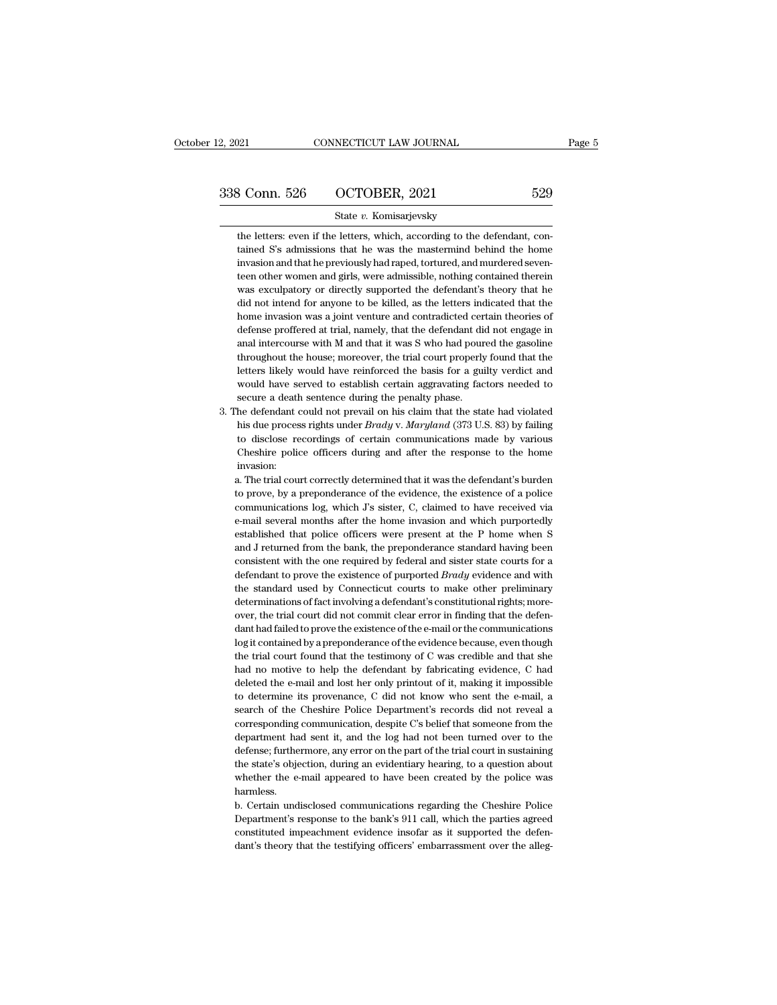# 2, 2021 CONNECTICUT LAW JOURNAL Page 5<br>338 Conn. 526 OCTOBER, 2021 529<br>529 State v. Komisarjevsky

## State *v.* Komisarjevsky

3 Conn. 526 COCTOBER, 2021 529<br>State v. Komisarjevsky<br>the letters: even if the letters, which, according to the defendant, con-<br>timed S's admissions that he was the mastermind behind the home  $\begin{array}{r} \text{3 Conn.} \text{ } 526 \text{ } \text{ } \text{ } \text{OCTOBER, 2021} \text{ } \text{ } \text{State } v. \text{ Komisarjevsky} \end{array}$ <br>the letters: even if the letters, which, according to the defendant, contained S's admissions that he was the mastermind behind the home inv 3 Conn. 526 COCTOBER, 2021 529<br>
State v. Komisarjevsky<br>
the letters: even if the letters, which, according to the defendant, con-<br>
tained S's admissions that he was the mastermind behind the home<br>
invasion and that he prev State v. Komisarjevsky<br>the letters: even if the letters, which, according to the defendant, con-<br>tained S's admissions that he was the mastermind behind the home<br>invasion and that he previously had raped, tortured, and mur State  $v$ . Komisarjevsky<br>the letters: even if the letters, which, according to the defendant, con-<br>tained S's admissions that he was the mastermind behind the home<br>invasion and that he previously had raped, tortured, and the letters: even if the letters, which, according to the defendant, contained S's admissions that he was the mastermind behind the home invasion and that he previously had raped, tortured, and murdered seventeen other wom tained S's admissions that he was the mastermind behind the home invasion and that he previously had raped, tortured, and murdered seventeen other women and girls, were admissible, nothing contained therein was exculpatory invasion and that he previously had raped, tortured, and murdered seventeen other women and girls, were admissible, nothing contained therein was exculpatory or directly supported the defendant's theory that he did not int teen other women and girls, were admissible, nothing contained therein<br>was exculpatory or directly supported the defendant's theory that he<br>did not intend for anyone to be killed, as the letters indicated that the<br>home inv was exculpatory or directly supported the defendant's theory that he<br>did not intend for anyone to be killed, as the letters indicated that the<br>home invasion was a joint venture and contradicted certain theories of<br>defense did not intend for anyone to be killed, as the letters indicated that the home invasion was a joint venture and contradicted certain theories of defense proffered at trial, namely, that the defendant did not engage in anal home invasion was a joint venture and contradicted certain theories of defense proffered at trial, namely, that the defendant did not engage in anal intercourse with M and that it was S who had poured the gasoline througho defense proffered at trial, namely, that the defendant di<br>anal intercourse with M and that it was S who had pour<br>throughout the house; moreover, the trial court properly<br>letters likely would have reinforced the basis for a % and intercourse with M and that it was S who had poured the gasoline throughout the house; moreover, the trial court properly found that the letters likely would have reinforced the basis for a guilty verdict and would throughout the house; moreover, the trial court properly found that the letters likely would have reinforced the basis for a guilty verdict and would have served to establish certain aggravating factors needed to secure a

letters likely would have reinforced the basis for a guilty verdict and<br>would have served to establish certain aggravating factors needed to<br>secure a death sentence during the penalty phase.<br>he defendant could not prevail would have served to establish certain aggravating factors needed to<br>secure a death sentence during the penalty phase.<br>he defendant could not prevail on his claim that the state had violated<br>his due process rights under *B* invasion: The defendant could not prevail on his claim that the state had violated<br>his due process rights under *Brady* v. *Maryland* (373 U.S. 83) by failing<br>to disclose recordings of certain communications made by various<br>Cheshir his due process rights under *Brady* v. *Maryland* (373 U.S. 83) by failing to disclose recordings of certain communications made by various Cheshire police officers during and after the response to the home invasion:<br>a.

to disclose recordings of certain communications made by various<br>Cheshire police officers during and after the response to the home<br>invasion:<br>a. The trial court correctly determined that it was the defendant's burden<br>to pr Cheshire police officers during and after the response to the home<br>invasion:<br>a. The trial court correctly determined that it was the defendant's burden<br>to prove, by a preponderance of the evidence, the existence of a polic invasion:<br>
a. The trial court correctly determined that it was the defendant's burden<br>
to prove, by a preponderance of the evidence, the existence of a police<br>
communications log, which  $J$ 's sister,  $C$ , claimed to have a. The trial court correctly determined that it was the defendant's burden<br>to prove, by a preponderance of the evidence, the existence of a police<br>communications log, which J's sister, C, claimed to have received via<br>e-mai to prove, by a preponderance of the evidence, the existence of a police communications log, which  $J$ 's sister, C, claimed to have received via e-mail several months after the home invasion and which purportedly establish communications log, which J's sister, C, claimed to have received via<br>e-mail several months after the home invasion and which purportedly<br>established that police officers were present at the P home when S<br>and J returned fr e-mail several months after the home invasion and which purportedly<br>established that police officers were present at the P home when S<br>and J returned from the bank, the preponderance standard having been<br>consistent with th e-mail several months after the home invasion and which purportedly established that police officers were present at the P home when S and J returned from the bank, the preponderance standard having been consistent with t and J returned from the bank, the preponderance standard having been log it contained by a preponderance of the evidence because, even though the trial court found that the testimony of  $C$  was credible and that she defendant to prove the existence of purported *Brady* evidence and with<br>the standard used by Connecticut courts to make other preliminary<br>determinations of fact involving a defendant's constitutional rights; more-<br>over, th the standard used by Connecticut courts to make other preliminary<br>determinations of fact involving a defendant's constitutional rights; more-<br>over, the trial court did not commit clear error in finding that the defen-<br>dant determinations of fact involving a defendant's constitutional rights; more-<br>over, the trial court did not commit clear error in finding that the defen-<br>dant had failed to prove the existence of the e-mail or the communicat over, the trial court did not commit clear error in finding that the defendant had failed to prove the existence of the e-mail or the communications log it contained by a preponderance of the evidence because, even though dant had failed to prove the existence of the e-mail or the communications<br>log it contained by a preponderance of the evidence because, even though<br>the trial court found that the testimony of C was credible and that she<br>ha log it contained by a preponderance of the evidence because, even though<br>the trial court found that the testimony of C was credible and that she<br>had no motive to help the defendant by fabricating evidence, C had<br>deleted th the trial court found that the testimony of C was credible and that she<br>had no motive to help the defendant by fabricating evidence, C had<br>deleted the e-mail and lost her only printout of it, making it impossible<br>to determ had no motive to help the defendant by fabricating evidence, C had deleted the e-mail and lost her only printout of it, making it impossible to determine its provenance, C did not know who sent the e-mail, a search of the deleted the e-mail and lost her only printout of it, making it impossible<br>to determine its provenance, C did not know who sent the e-mail, a<br>search of the Cheshire Police Department's records did not reveal a<br>corresponding to determine its provenance, C did not know who sent the e-mail, a<br>search of the Cheshire Police Department's records did not reveal a<br>corresponding communication, despite C's belief that someone from the<br>department had se search of the Cheshire Police Department's records did not reveal a corresponding communication, despite C's belief that someone from the department had sent it, and the log had not been turned over to the defense; further harmless. department had sent it, and the log had not been turned over to the defense; furthermore, any error on the part of the trial court in sustaining the state's objection, during an evidentiary hearing, to a question about whe defense; furthermore, any error on the part of the trial court in sustaining<br>the state's objection, during an evidentiary hearing, to a question about<br>whether the e-mail appeared to have been created by the police was<br>harm

the state's objection, during an evidentiary hearing, to a question about whether the e-mail appeared to have been created by the police was harmless.<br>b. Certain undisclosed communications regarding the Cheshire Police Dep b. Certain undisclosed communications regarding the Cheshire Police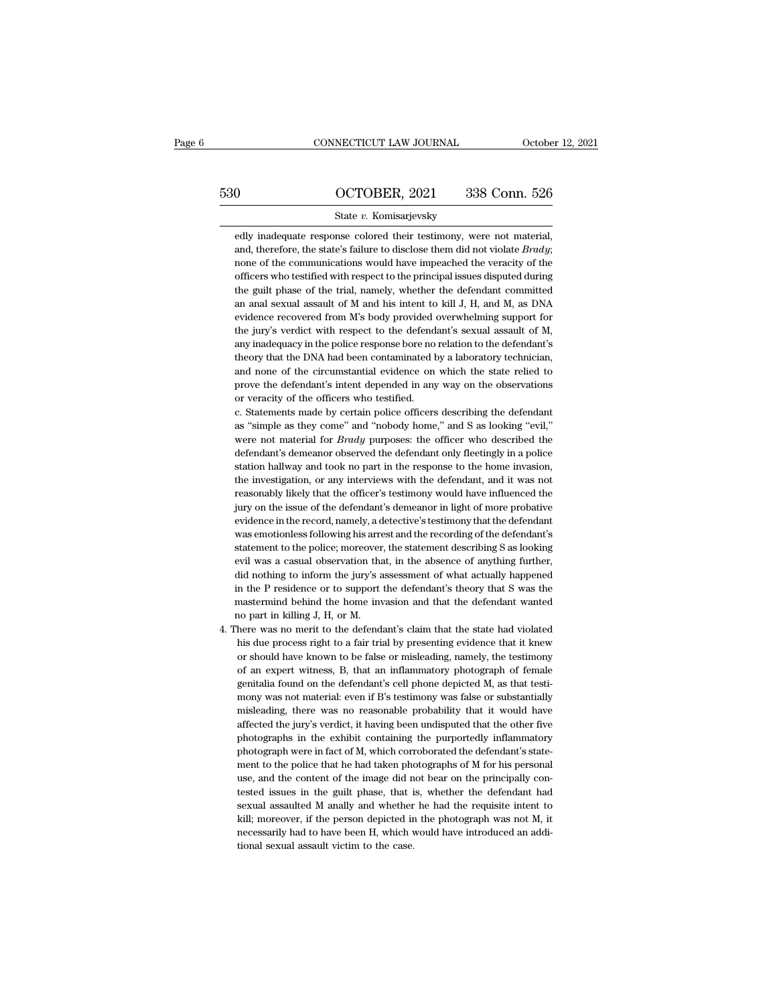# CONNECTICUT LAW JOURNAL October 12, 2021<br>530 OCTOBER, 2021 338 Conn. 526<br>510 State v. Komisarjevsky

## State *v.* Komisarjevsky

edly inadequate response colored their testimony, were not material,<br>and, therefore, the state's failure to disclose them did not violate *Brady*; and, therefore, the state's failure to disclose them did not violate *Brady*;<br>and, therefore, the state's failure to disclose them did not violate *Brady*;<br>none of the communications would have impeached the veracity of th  $\begin{array}{r} \text{OCTOBER, 2021} \qquad 338 \text{ Conn. } 526 \ \text{state } v. \text{ Komisarievsky} \end{array}$  edly inadequate response colored their testimony, were not material, and, therefore, the state's failure to disclose them did not violate *Brady*; none of the State  $v$ . Komisarjevsky<br>edly inadequate response colored their testimony, were not material,<br>and, therefore, the state's failure to disclose them did not violate *Brady*;<br>none of the communications would have impeached t State  $v$ . Komisarjevsky<br>edly inadequate response colored their testimony, were not material,<br>and, therefore, the state's failure to disclose them did not violate *Brady*;<br>none of the communications would have impeached t edly inadequate response colored their testimony, were not material, and, therefore, the state's failure to disclose them did not violate *Brady*; none of the communications would have impeached the veracity of the officer and, therefore, the state's failure to disclose them did not violate *Brady*; none of the communications would have impeached the veracity of the officers who testified with respect to the principal issues disputed during none of the communications would have impeached the veracity of the officers who testified with respect to the principal issues disputed during the guilt phase of the trial, namely, whether the defendant committed an anal officers who testified with respect to the principal issues disputed during<br>the guilt phase of the trial, namely, whether the defendant committed<br>an anal sexual assault of M and his intent to kill J, H, and M, as DNA<br>evide the guilt phase of the trial, namely, whether the defendant committed<br>an anal sexual assault of M and his intent to kill J, H, and M, as DNA<br>evidence recovered from M's body provided overwhelming support for<br>the jury's ver an anal sexual assault of M and his intent to kill J, H, and M, as DNA evidence recovered from M's body provided overwhelming support for the jury's verdict with respect to the defendant's sexual assault of M, any inadequa evidence recovered from M's body provided overwhelming support for<br>the jury's verdict with respect to the defendant's sexual assault of M,<br>any inadequacy in the police response bore no relation to the defendant's<br>theory th the jury's verdict with respect to the defend<br>any inadequacy in the police response bore no<br>theory that the DNA had been contaminated  $l$ <br>and none of the circumstantial evidence on<br>prove the defendant's intent depended in any inadequacy in the police response bore no relation to the defendant's theory that the DNA had been contaminated by a laboratory technician, and none of the circumstantial evidence on which the state relied to prove the theory that the DNA had been contaminated by a laboratory technician,<br>and none of the circumstantial evidence on which the state relied to<br>prove the defendant's intent depended in any way on the observations<br>or veracity of

and none of the circumstantial evidence on which the state relied to<br>prove the defendant's intent depended in any way on the observations<br>or veracity of the officers who testified.<br>c. Statements made by certain police offi prove the defendant's intent depended in any way on the observations<br>or veracity of the officers who testified.<br>c. Statements made by certain police officers describing the defendant<br>as "simple as they come" and "nobody ho or veracity of the officers who testified.<br>c. Statements made by certain police officers describing the defendant<br>as "simple as they come" and "nobody home," and S as looking "evil,"<br>were not material for *Brady* purposes: c. Statements made by certain police officers describing the defendant as "simple as they come" and "nobody home," and S as looking "evil," were not material for *Brady* purposes: the officer who described the defendant's as "simple as they come" and "nobody home," and S as looking "evil,"<br>were not material for *Brady* purposes: the officer who described the<br>defendant's demeanor observed the defendant only fleetingly in a police<br>station hal were not material for *Brady* purposes: the officer who described the defendant's demeanor observed the defendant only fleetingly in a police station hallway and took no part in the response to the home invasion, the inves defendant's demeanor observed the defendant only fleetingly in a police<br>station hallway and took no part in the response to the home invasion,<br>the investigation, or any interviews with the defendant, and it was not<br>reasona station hallway and took no part in the response to the home invasion,<br>the investigation, or any interviews with the defendant, and it was not<br>reasonably likely that the officer's testimony would have influenced the<br>jury o the investigation, or any interviews with the defendant, and it was not reasonably likely that the officer's testimony would have influenced the jury on the issue of the defendant's demeanor in light of more probative evid reasonably likely that the officer's testimony would have influenced the<br>jury on the issue of the defendant's demeanor in light of more probative<br>evidence in the record, namely, a detective's testimony that the defendant<br>w jury on the issue of the defendant's demeanor in light of more probative evidence in the record, namely, a detective's testimony that the defendant's was emotionless following his arrest and the recording of the defendant' evidence in the record, namely, a detective's testimony that the defendant<br>was emotionless following his arrest and the recording of the defendant's<br>statement to the police; moreover, the statement describing S as looking<br> was emotionless following his arrest and the recording of the defendant's statement to the police; moreover, the statement describing S as looking evil was a casual observation that, in the absence of anything further, did statement to the police; moreover<br>evil was a casual observation tha<br>did nothing to inform the jury's a<br>in the P residence or to support<br>mastermind behind the home inv<br>no part in killing J, H, or M.<br>There was no merit to th % evil was a casual observation that, in the absence of anything further, did nothing to inform the jury's assessment of what actually happened in the P residence or to support the defendant's theory that S was the master did nothing to inform the jury's assessment of what actually happened<br>in the P residence or to support the defendant's theory that S was the<br>mastermind behind the home invasion and that the defendant wanted<br>no part in kill

n the P residence or to support the defendant's theory that S was the mastermind behind the home invasion and that the defendant wanted no part in killing J, H, or M.<br>here was no merit to the defendant's claim that the sta mastermind behind the home invasion and that the defendant wanted<br>no part in killing J, H, or M.<br>here was no merit to the defendant's claim that the state had violated<br>his due process right to a fair trial by presenting ev no part in killing J, H, or M.<br>
here was no merit to the defendant's claim that the state had violated<br>
his due process right to a fair trial by presenting evidence that it knew<br>
or should have known to be false or mislead here was no merit to the defendant's claim that the state had violated his due process right to a fair trial by presenting evidence that it knew or should have known to be false or misleading, namely, the testimony of an e his due process right to a fair trial by presenting evidence that it knew<br>or should have known to be false or misleading, namely, the testimony<br>of an expert witness, B, that an inflammatory photograph of female<br>genitalia f or should have known to be false or misleading, namely, the testimony<br>of an expert witness, B, that an inflammatory photograph of female<br>genitalia found on the defendant's cell phone depicted M, as that testi-<br>mony was not of an expert witness, B, that an inflammatory photograph of female<br>genitalia found on the defendant's cell phone depicted M, as that testi-<br>mony was not material: even if B's testimony was false or substantially<br>misleading genitalia found on the defendant's cell phone depicted M, as that testimony was not material: even if B's testimony was false or substantially misleading, there was no reasonable probability that it would have affected the mony was not material: even if B's testimony was false or substantially misleading, there was no reasonable probability that it would have affected the jury's verdict, it having been undisputed that the other five photogra misleading, there was no reasonable probability that it would have affected the jury's verdict, it having been undisputed that the other five photographs in the exhibit containing the purportedly inflammatory photograph we affected the jury's verdict, it having been undisputed that the other five<br>photographs in the exhibit containing the purportedly inflammatory<br>photograph were in fact of M, which corroborated the defendant's state-<br>ment to photographs in the exhibit containing the purportedly inflammatory<br>photograph were in fact of M, which corroborated the defendant's state-<br>ment to the police that he had taken photographs of M for his personal<br>use, and the photograph were in fact of M, which corroborated the defendant's statement to the police that he had taken photographs of M for his personal use, and the content of the image did not bear on the principally contested issue ment to the police that he had taken photographs of M for his personal use, and the content of the image did not bear on the principally contested issues in the guilt phase, that is, whether the defendant had sexual assaul use, and the content of the image did n<br>tested issues in the guilt phase, that is<br>sexual assaulted M anally and whether<br>kill; moreover, if the person depicted in<br>necessarily had to have been H, which v<br>tional sexual assaul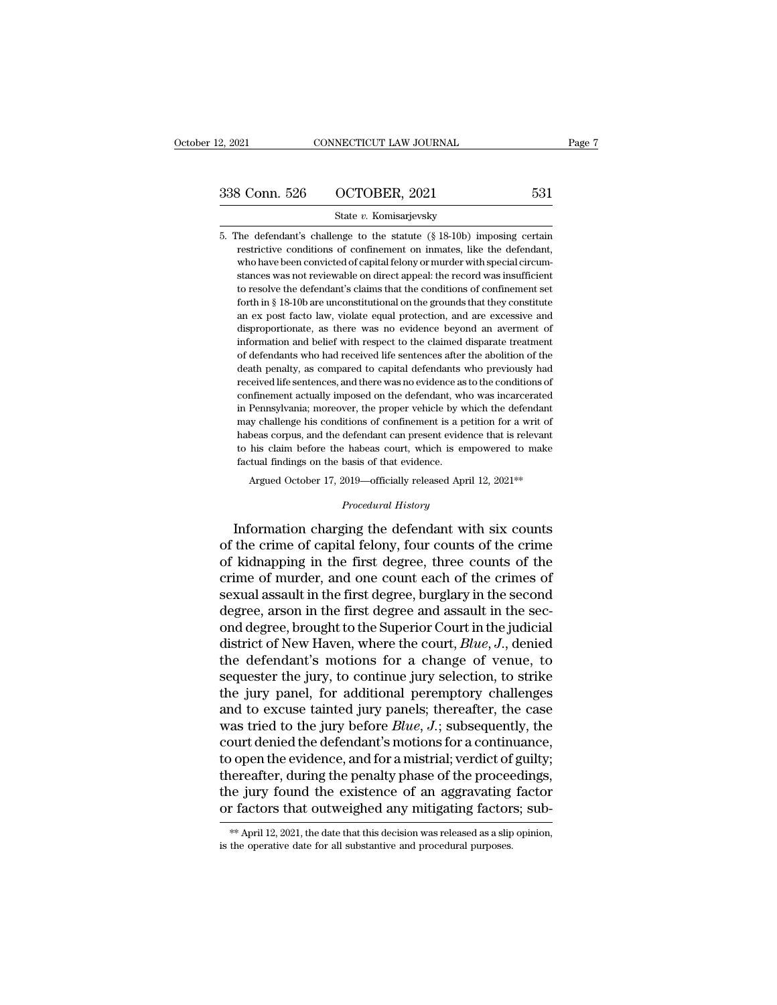3. Solution Correlation Correlation Correlation Correlation Correlation Captus Captus Continuing Correlation Continuing Correlation Continuing Correlation Continuing Correlation Continuing Correlation Continuing Correlatio Frequency Consensus Confinement of the statute of the defendant's challenge to the statute  $(\S 18-10b)$  imposing certain restrictive conditions of confinement on inmates, like the defendant, who have been convicted of cap 338 Conn. 526 COCTOBER, 2021 531<br>
State v. Komisarjevsky<br>
5. The defendant's challenge to the statute (§ 18-10b) imposing certain<br>
restrictive conditions of confinement on inmates, like the defendant,<br>
who have been convi State  $v$ . Komisarjevsky<br>State  $v$ . Komisarjevsky<br>The defendant's challenge to the statute  $(\S 18-10b)$  imposing certain<br>restrictive conditions of confinement on immates, like the defendant,<br>who have been convicted of cap State  $v$ . Komisarjevsky<br>
The defendant's challenge to the statute  $(\S 18-10b)$  imposing certain<br>
restrictive conditions of confinement on inmates, like the defendant,<br>
who have been convicted of capital felony or murder The defendant's challenge to the statute (§ 18-10b) imposing certain restrictive conditions of confinement on inmates, like the defendant, who have been convicted of capital felony or murder with special circumstances was restrictive conditions of confinement on imates, like the defendant,<br>who have been convicted of capital felony or murder with special circum-<br>stances was not reviewable on direct appeal: the record was insufficient<br>to reso who have been convicted of capital felony or murder with special circum-<br>stances was not reviewable on direct appeal: the record was insufficient<br>to resolve the defendant's claims that the conditions of confinement set<br>for stances was not reviewable on direct appeal: the record was insufficient to resolve the defendant's claims that the conditions of confinement set forth in  $\S$  18-10b are unconstitutional on the grounds that they constitut so are the defendant's claims that the conditions of confinement set forth in § 18-10b are unconstitutional on the grounds that they constitute an ex post facto law, violate equal protection, and are excessive and disprop forth in § 18-10b are unconstitutional on the grounds that they constitute an ex post facto law, violate equal protection, and are excessive and disproportionate, as there was no evidence beyond an averment of information received life sentences, and there was no evidence as to the conditions and expressive and disproportionate, as there was no evidence beyond an averment of information and belief with respect to the claimed disparate treat disproportionate, as there was no evidence beyond an averment of information and belief with respect to the claimed disparate treatment of defendants who had received life sentences after the abolition of the death penalty information and belief with respect to the claimed disparate treatment of defendants who had received life sentences after the abolition of the death penalty, as compared to capital defendants who previously had received l of defendants who had received life sentences after the abolition of the death penalty, as compared to capital defendants who previously had received life sentences, and there was no evidence as to the conditions of confin death penalty, as compared to capital defendants who previously had received life sentences, and there was no evidence as to the conditions of confinement actually imposed on the defendant, who was incarcerated in Pennsylv received life sentences, and there was no evidence as to the conditions of confinement actually imposed on the defendant, who was incarcerated in Pennsylvania; moreover, the proper vehicle by which the defendant may challe confinement actually imposed on the defendant, whise confinement actually imposed on the defendant, whise may challenge his conditions of confinement is a phabeas corpus, and the defendant can present evide to his claim be Pennsylvania; moreover, the proper vehicle by which the defendant<br>w challenge his conditions of confinement is a petition for a writ of<br>beas corpus, and the defendant can present evidence that is relevant<br>his claim before defendant can present evidence<br> *Procedural with the empthance*<br> *Procedural History*<br> *Procedural History*<br> **Procedural History** Inay channing ins continuous of commement is a permission for a wift of<br>habeas corpus, and the defendant can present evidence that is relevant<br>to his claim before the habeas court, which is empowered to make<br>factual findin

to his claim before the habeas court, which is empowered to make<br>factual findings on the basis of that evidence.<br>Argued October 17, 2019—officially released April 12, 2021<sup>\*\*</sup><br>*Procedural History*<br>Information charging the factual findings on the basis of that evidence.<br>
Argued October 17, 2019—officially released April 12, 2021<sup>\*\*</sup><br>
Procedural History<br>
Information charging the defendant with six counts<br>
of the crime of capital felony, four Argued October 17, 2019—officially released April 12, 2021\*\*<br> *Procedural History*<br>
Information charging the defendant with six counts<br>
of the crime of capital felony, four counts of the crime<br>
of kidnapping in the first d *Procedural History*<br>Information charging the defendant with six counts<br>of the crime of capital felony, four counts of the crime<br>of kidnapping in the first degree, three counts of the<br>crime of murder, and one count each of Expressional in the defendant with six counts<br>of the crime of capital felony, four counts of the crime<br>of kidnapping in the first degree, three counts of the<br>crime of murder, and one count each of the crimes of<br>sexual ass Information charging the defendant with six counts<br>of the crime of capital felony, four counts of the crime<br>of kidnapping in the first degree, three counts of the<br>crime of murder, and one count each of the crimes of<br>sexua of the crime of capital felony, four counts of the crime<br>of kidnapping in the first degree, three counts of the<br>crime of murder, and one count each of the crimes of<br>sexual assault in the first degree, burglary in the secon of kidnapping in the first degree, three counts of the crime of murder, and one count each of the crimes of sexual assault in the first degree, burglary in the second degree, arson in the first degree and assault in the s crime of murder, and one count each of the crimes of<br>sexual assault in the first degree, burglary in the second<br>degree, arson in the first degree and assault in the sec-<br>ond degree, brought to the Superior Court in the jud sexual assault in the first degree, burglary in the second<br>degree, arson in the first degree and assault in the sec-<br>ond degree, brought to the Superior Court in the judicial<br>district of New Haven, where the court, *Blue* degree, arson in the first degree and assault in the sec-<br>ond degree, brought to the Superior Court in the judicial<br>district of New Haven, where the court,  $Blue, J$ , denied<br>the defendant's motions for a change of venue, to<br>s ond degree, brought to the Superior Court in the judicial<br>district of New Haven, where the court, *Blue*, *J*., denied<br>the defendant's motions for a change of venue, to<br>sequester the jury, to continue jury selection, to st district of New Haven, where the court, *Blue*, *J*., denied<br>the defendant's motions for a change of venue, to<br>sequester the jury, to continue jury selection, to strike<br>the jury panel, for additional peremptory challenges<br> the defendant's motions for a change of venue, to<br>sequester the jury, to continue jury selection, to strike<br>the jury panel, for additional peremptory challenges<br>and to excuse tainted jury panels; thereafter, the case<br>was sequester the jury, to continue jury selection, to strike<br>the jury panel, for additional peremptory challenges<br>and to excuse tainted jury panels; thereafter, the case<br>was tried to the jury before  $Blue$ ,  $J$ .; subsequently, the jury panel, for additional peremptory challenges<br>and to excuse tainted jury panels; thereafter, the case<br>was tried to the jury before  $Blue$ ,  $J$ .; subsequently, the<br>court denied the defendant's motions for a continuance and to excuse tainted jury panels; thereafter, the case<br>was tried to the jury before *Blue*, *J*.; subsequently, the<br>court denied the defendant's motions for a continuance,<br>to open the evidence, and for a mistrial; verdic the reafter, during the penalty phase of the proceedings,<br>the jury found the existence of an aggravating factor<br>or factors that outweighed any mitigating factors; sub-<br>\*\* April 12, 2021, the date that this decision was rel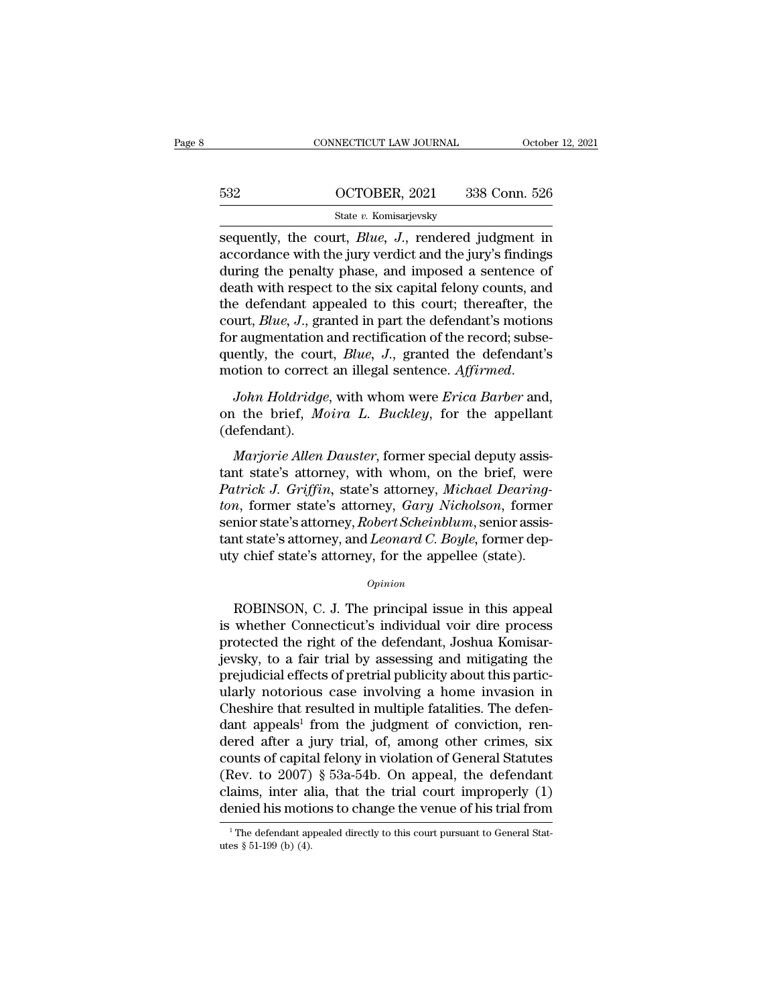|     | CONNECTICUT LAW JOURNAL                                                                                                                                                                | October 12, 2021 |
|-----|----------------------------------------------------------------------------------------------------------------------------------------------------------------------------------------|------------------|
|     |                                                                                                                                                                                        |                  |
| 532 | OCTOBER, 2021                                                                                                                                                                          | 338 Conn. 526    |
|     | State v. Komisarjevsky                                                                                                                                                                 |                  |
|     | sequently, the court, <i>Blue</i> , <i>J</i> ., rendered judgment in<br>accordance with the jury verdict and the jury's findings<br>during the penalty phase and imposed a sentence of |                  |

532 OCTOBER, 2021 338 Conn. 526<br>
State v. Komisarjevsky<br>
Sequently, the court, *Blue*, *J*., rendered judgment in<br>
accordance with the jury verdict and the jury's findings<br>
during the penalty phase, and imposed a sentence  $\begin{array}{c|c} \text{532} & \text{OCTOBER, 2021} & \text{338 Conn. 526} \\ \hline \text{State } v. \text{ Komisarjevsky} \\ \text{sequently, the court, } Blue, J., \text{ rendered judgment in accordance with the jury) and the jury's findings during the penalty phase, and imposed a sentence of death with respect to the six capital fellow counts, and the defendant employed to this court: the  
reorder.$  $\frac{\text{632}}{\text{State } v. \text{ Komisarievsky}}$ <br>  $\frac{\text{State } v. \text{ Komisarievsky}}{\text{Sequently, the court, } Blue, J., \text{ rendered judgment in}}$ <br>  $\frac{\text{according to the car, } Bluc, J., \text{ rendered judgment in}}{\text{decand the air, and the air, and the car, and the defendant appeared to this court; thereafter, the}$ State v. Komisarjevsky<br>
sequently, the court, *Blue*, *J*., rendered judgment in<br>
accordance with the jury verdict and the jury's findings<br>
during the penalty phase, and imposed a sentence of<br>
death with respect to the si state v. Komsarjevsky<br>sequently, the court, *Blue, J.*, rendered judgment in<br>accordance with the jury verdict and the jury's findings<br>during the penalty phase, and imposed a sentence of<br>death with respect to the six capita sequently, the court, *Blue*, *J.*, rendered judgment in accordance with the jury verdict and the jury's findings during the penalty phase, and imposed a sentence of death with respect to the six capital felony counts, an accordance with the jury verdict and the jury's findings<br>during the penalty phase, and imposed a sentence of<br>death with respect to the six capital felony counts, and<br>the defendant appealed to this court; thereafter, the<br>co during the penalty phase, and imposed a sentence of<br>death with respect to the six capital felony counts, and<br>the defendant appealed to this court; thereafter, the<br>court, *Blue*, *J*., granted in part the defendant's<br>motion are determining appearant of any count, interestinct, are<br>court, *Blue*, *J.*, granted in part the defendant's motions<br>for augmentation and rectification of the record; subse-<br>quently, the court, *Blue*, *J.*, granted the

(defendant). *Marjorie Allen J., granted the defendant's*<br>*Marjorie Allen Holdridge, with whom were Erica Barber and,*<br>*Marjorie Allen Dauster, former special deputy assis-*<br>*Marjorie Allen Dauster, former special deputy assis-*<br>*Marjo* 

motion to correct an illegal sentence. Affirmed.<br>
John Holdridge, with whom were Erica Barber and,<br>
on the brief, Moira L. Buckley, for the appellant<br>
(defendant).<br>
Marjorie Allen Dauster, former special deputy assis-<br>
tan *John Holdridge*, with whom were *Erica Barber* and,<br>on the brief, *Moira L. Buckley*, for the appellant<br>(defendant).<br>*Marjorie Allen Dauster*, former special deputy assis-<br>tant state's attorney, with whom, on the brief, w *ton*, *tona, tage*, *with which were Erica Barocr* and,<br>
on the brief, *Moira L. Buckley*, for the appellant<br>
(defendant).<br> *Marjorie Allen Dauster*, former special deputy assis-<br>
tant state's attorney, with whom, on the of the stict, *Houra E. Bachlog*, for the appendix (defendant).<br> *Marjorie Allen Dauster*, former special deputy assistant state's attorney, with whom, on the brief, were<br> *Patrick J. Griffin*, state's attorney, *Michael D* Marjorie Allen Dauster, former special deputy assistant state's attorney, with whom, on the brief, were *Patrick J. Griffin*, state's attorney, *Michael Dearington*, former state's attorney, *Gary Nicholson*, former senior Marjorie Allen Dauster, former special deputy assis-<br>tant state's attorney, with whom, on the brief, were<br>Patrick J. Griffin, state's attorney, Michael Dearing-<br>ton, former state's attorney, Gary Nicholson, former<br>senior s more state's attorney, *Gary Nicholson*, former<br>nior state's attorney, *Robert Scheinblum*, senior assis-<br>nt state's attorney, and *Leonard C. Boyle*, former dep-<br>y chief state's attorney, for the appellee (state).<br> $opinion$ <br>RO

## *Opinion*

senior state's attorney, *Robert Scheinblum*, senior assistant state's attorney, and *Leonard C. Boyle*, former deputy chief state's attorney, for the appellee (state).<br> *Opinion*<br>
ROBINSON, C. J. The principal issue in th tant state's attorney, and *Leonard C. Boyle*, former dep-<br>uty chief state's attorney, for the appellee (state).<br> $opinion$ <br>ROBINSON, C. J. The principal issue in this appeal<br>is whether Connecticut's individual voir dire proces opinion<br>opinion<br>opinion<br>ROBINSON, C. J. The principal issue in this appeal<br>is whether Connecticut's individual voir dire process<br>protected the right of the defendant, Joshua Komisar-<br>jevsky, to a fair trial by assessing an *Opinion*<br>ROBINSON, C. J. The principal issue in this appeal<br>is whether Connecticut's individual voir dire process<br>protected the right of the defendant, Joshua Komisar-<br>jevsky, to a fair trial by assessing and mitigating t ROBINSON, C. J. The principal issue in this appeal<br>is whether Connecticut's individual voir dire process<br>protected the right of the defendant, Joshua Komisar-<br>jevsky, to a fair trial by assessing and mitigating the<br>prejud ROBINSON, C. J. The principal issue in this appeal<br>is whether Connecticut's individual voir dire process<br>protected the right of the defendant, Joshua Komisar-<br>jevsky, to a fair trial by assessing and mitigating the<br>prejud is whether Connecticut's individual voir dire process<br>protected the right of the defendant, Joshua Komisar-<br>jevsky, to a fair trial by assessing and mitigating the<br>prejudicial effects of pretrial publicity about this parti protected the right of the defendant, Joshua Komisar-<br>jevsky, to a fair trial by assessing and mitigating the<br>prejudicial effects of pretrial publicity about this partic-<br>ularly notorious case involving a home invasion in<br> jevsky, to a fair trial by assessing and mitigating the<br>prejudicial effects of pretrial publicity about this partic-<br>ularly notorious case involving a home invasion in<br>Cheshire that resulted in multiple fatalities. The de prejudicial effects of pretrial publicity about this particularly notorious case involving a home invasion in Cheshire that resulted in multiple fatalities. The defendant appeals<sup>1</sup> from the judgment of conviction, rendere ularly notorious case involving a home invasion in<br>Cheshire that resulted in multiple fatalities. The defen-<br>dant appeals<sup>1</sup> from the judgment of conviction, ren-<br>dered after a jury trial, of, among other crimes, six<br>count Cheshire that resulted in multiple fatalities. The defendant appeals<sup>1</sup> from the judgment of conviction, rendered after a jury trial, of, among other crimes, six counts of capital felony in violation of General Statutes ( counts of capital felony in violation of General Statutes<br>
(Rev. to 2007) § 53a-54b. On appeal, the defendant<br>
claims, inter alia, that the trial court improperly (1)<br>
denied his motions to change the venue of his trial f denied his motions to change the venue of his trial from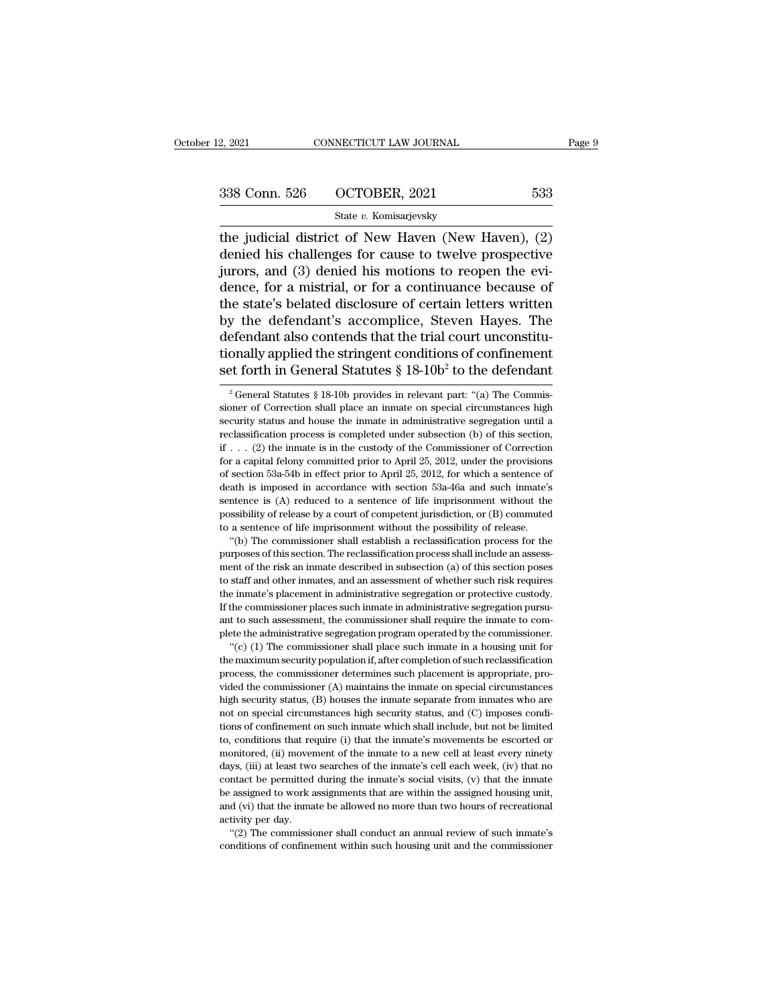2, 2021 CONNECTICUT LAW JOURNAL Page 9<br>  $\frac{338 \text{ Conn. } 526 \qquad \text{OCTOBER, } 2021 \qquad \qquad 533}$ <br>  $\frac{\text{State } v. \text{ Komisarievsky}}{\text{the judicial district of New Haven (New Haven), } (2)}$ <br>
denied his challenges for cause to twelve prospective<br>
tivers and (3) denied his metions to re 338 Conn. 526 OCTOBER, 2021 533<br>
State v. Komisarjevsky<br>
the judicial district of New Haven (New Haven),  $(2)$ <br>
denied his challenges for cause to twelve prospective<br>
jurors, and  $(3)$  denied his motions to reopen the evi 338 Conn. 526 OCTOBER, 2021 533<br>
State v. Komisarjevsky<br>
the judicial district of New Haven (New Haven), (2)<br>
denied his challenges for cause to twelve prospective<br>
jurors, and (3) denied his motions to reopen the evi-<br>
d 338 Conn. 526 OCTOBER, 2021 533<br>
State v. Komisarjevsky<br>
the judicial district of New Haven (New Haven), (2)<br>
denied his challenges for cause to twelve prospective<br>
jurors, and (3) denied his motions to reopen the evi-<br>
d State v. Komisarjevsky<br>
the judicial district of New Haven (New Haven), (2)<br>
denied his challenges for cause to twelve prospective<br>
jurors, and (3) denied his motions to reopen the evi-<br>
dence, for a mistrial, or for a co state v. Komsarjevsky<br>the judicial district of New Haven (New Haven),  $(2)$ <br>denied his challenges for cause to twelve prospective<br>jurors, and  $(3)$  denied his motions to reopen the evi-<br>dence, for a mistrial, or for a con the judicial district of New Haven (New Haven), (2)<br>denied his challenges for cause to twelve prospective<br>jurors, and (3) denied his motions to reopen the evi-<br>dence, for a mistrial, or for a continuance because of<br>the st denied his challenges for cause to twelve prospective<br>jurors, and (3) denied his motions to reopen the evi-<br>dence, for a mistrial, or for a continuance because of<br>the state's belated disclosure of certain letters written<br> jurors, and (3) denied his motions to reopen the evi-<br>dence, for a mistrial, or for a continuance because of<br>the state's belated disclosure of certain letters written<br>by the defendant's accomplice, Steven Hayes. The<br>defen y the defendant's accomplice, Steven Hayes. The<br>efendant also contends that the trial court unconstitu-<br>onally applied the stringent conditions of confinement<br>et forth in General Statutes §  $18{\text -}10b^2$  to the defendant<br> defendant also contends that the trial court unconstitutionally applied the stringent conditions of confinement<br>set forth in General Statutes §  $18{\text -}10b^2$  to the defendant<br> $\frac{1}{2}$  General Statutes §  $18{\text -}10b$  provi

tionally applied the stringent conditions of confinement<br>set forth in General Statutes §  $18{\text -}10b^2$  to the defendant<br> $\frac{1}{3}$  General Statutes §  $18{\text -}10b$  provides in relevant part: "(a) The Commis-<br>sioner of Correc set forth in General Statutes § 18-10b<sup>2</sup> to the defendant<br><sup>2</sup> General Statutes § 18-10b provides in relevant part: "(a) The Commissioner of Correction shall place an inmate on special circumstances high<br>security status a <sup>2</sup> General Statutes § 18-10b 10 the determinant correction in the commissioner of Correction shall place an inmate on special circumstances high security status and house the inmate in administrative segregation until a <sup>2</sup> General Statutes § 18-10b provides in relevant part: "(a) The Commissioner of Correction shall place an inmate on special circumstances high security status and house the inmate in administrative segregation until a r sioner of Correction shall place an inmate on special circumstances high security status and house the inmate in administrative segregation until a reclassification process is completed under subsection (b) of this sectio security status and house the inmate in administrative segregation until a reclassification process is completed under subsection (b) of this section, if  $\ldots$  (2) the inmate is in the custody of the Commissioner of Corre reclassification process is completed under subsection (b) of this section, if  $\ldots$  (2) the inmate is in the custody of the Commissioner of Correction for a capital felony committed prior to April 25, 2012, under the pro if ... (2) the immate is in the custody of the Commissioner of Correction for a capital felony committed prior to April 25, 2012, under the provisions of section 53a-54b in effect prior to April 25, 2012, for which a sent if . . . (2) the inmate is in the custody of the Commissioner of Correction<br>for a capital felony committed prior to April 25, 2012, under the provisions<br>of section 53a-54b in effect prior to April 25, 2012, for which a se section 53a-54b in effect prior to April 25, 2012, for which a sentence of section 53a-54b in effect prior to April 25, 2012, for which a sentence of ath is imposed in accordance with section 53a-46a and such inmate's net death is imposed in accordance with section 53a-46a and such inmate's sentence is (A) reduced to a sentence of life imprisonment without the possibility of release by a court of competent jurisdiction, or (B) commuted to

sentence is (A) reduced to a sentence of life imprisonment without the possibility of release by a court of competent jurisdiction, or (B) commuted to a sentence of life imprisonment without the possibility of release. "( possibility of release by a court of competent jurisdiction, or (B) commuted to a sentence of life imprisonment without the possibility of release. "(b) The commissioner shall establish a reclassification process for the to a sentence of life imprisonment without the possibility of release.<br>
"(b) The commissioner shall establish a reclassification process for the purposes of this section. The reclassification process shall include an asses "(b) The commissioner shall establish a reclassification process for the purposes of this section. The reclassification process shall include an assessment of the risk an inmate described in subsection (a) of this section purposes of this section. The reclassification process shall include an assessment of the risk an inmate described in subsection (a) of this section poses to staff and other inmates, and an assessment of whether such risk ment of the risk an inmate described in subsection (a) of this section poses<br>to staff and other inmates, and an assessment of whether such risk requires<br>the inmate's placement in administrative segregation or protective cu staff and other inmates, and an assessment of whether such risk requires<br>
is staff and other inmates, and an assessment of whether such risk requires<br>
e inmate's placement in administrative segregation or protective custo the inmate's placement in administrative segregation or protective custody.<br>If the commissioner places such inmate in administrative segregation pursuant to such assessment, the commissioner shall require the inmate to com

the inmate's placement in administrative segregation or protective custody.<br>If the commissioner places such inmate in administrative segregation pursu-<br>ant to such assessment, the commissioner shall require the inmate to c Figure 1.1 and to such assessment, the commissioner shall require the inmate to complete the administrative segregation program operated by the commissioner. "(c) (1) The commissioner shall place such inmate in a housing plete the administrative segregation program operated by the commissioner.<br>
"(c) (1) The commissioner shall place such inmate in a housing unit for<br>
the maximum security population if, after completion of such reclassifica "(c) (1) The commissioner shall place such inmate in a housing unit for the maximum security population if, after completion of such reclassification process, the commissioner determines such placement is appropriate, pro the maximum security population if, after completion of such reclassification process, the commissioner determines such placement is appropriate, provided the commissioner (A) maintains the inmate on special circumstances process, the commissioner determines such placement is appropriate, pro-<br>process, the commissioner (A) maintains the inmate on special circumstances<br>high security status, (B) houses the inmate separate from inmates who are wided the commissioner (A) maintains the inmate on special circumstances<br>high security status, (B) houses the inmate separate from inmates who are<br>not on special circumstances high security status, and (C) imposes condi-<br> high security status, (B) houses the inmate separate from inmates who are not on special circumstances high security status, and (C) imposes conditions of confinement on such inmate which shall include, but not be limited regard contact be permitted and security status, and (C) imposes conditions of confinement on such inmate which shall include, but not be limited to, conditions that require (i) that the inmate's movements be escorted or be assigned to work assignment of such a new cell at leads to model in the second to, conditions that require (i) that the inmate's movements be escorted or monitored, (ii) movement of the inmate to a new cell at least ev to, conditions that require (i) that the inmate's movements be escorted or monitored, (ii) movement of the inmate to a new cell at least every ninety days, (iii) at least two searches of the inmate's cell each week, (iv) monitored, (ii) movement of the inmate to a new cell at least every ninety days, (iii) at least two searches of the inmate's cell each week, (iv) that no contact be permitted during the inmate's social visits, (v) that th days, (iii) at least two searches of the inmate's cell each week, (iv) that no contact be permitted during the inmate's social visits, (v) that the inmate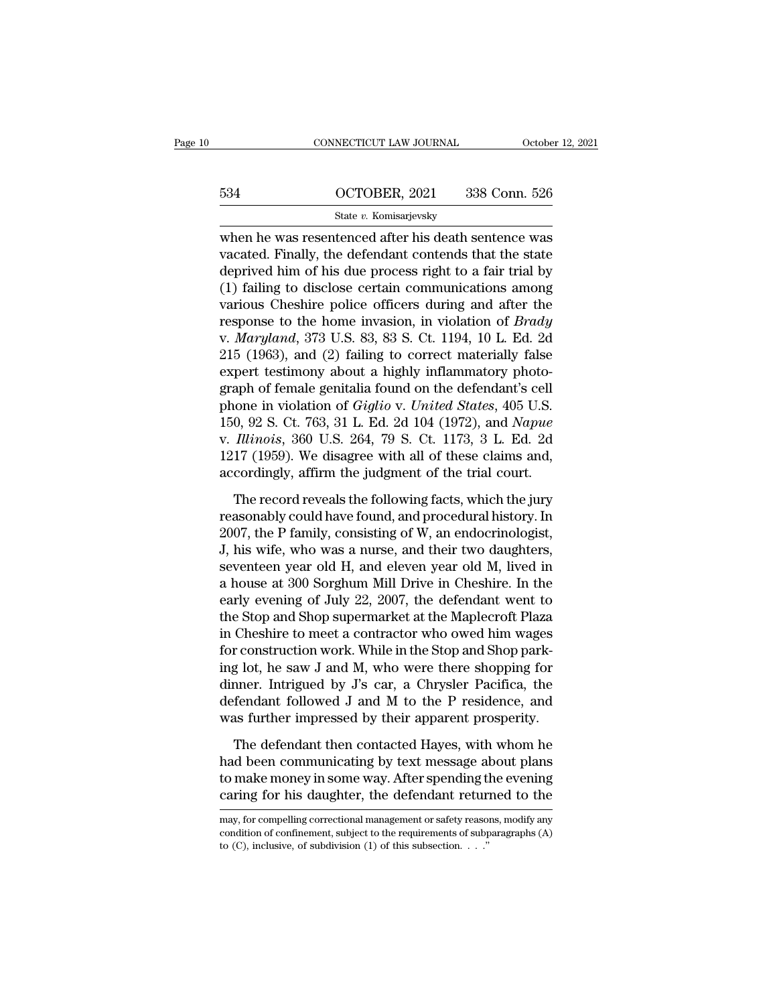# CONNECTICUT LAW JOURNAL October 12, 2021<br>534 OCTOBER, 2021 338 Conn. 526<br>514 State v. Komisarjevsky

# State *v.* Komisarjevsky

 $\begin{tabular}{c|c} \multicolumn{1}{c}{\textbf{CONRECTICUT LAW JOURNAL}} & \multicolumn{1}{c}{\textbf{October 12, 2021}} \\ \hline \multicolumn{1}{c}{\textbf{534}} & \multicolumn{1}{c}{\textbf{OCTOBER, 2021}} & \multicolumn{1}{c}{\textbf{338 Conn. 526}} \\ & \multicolumn{1}{c}{\textbf{State $v$}. Komisarievsky} \\ \hline \multicolumn{1}{c}{\textbf{where we as} {\textbf{re}.\vline{S}} & \multicolumn{1}{c}{\textbf{State of the 100.} The first case, the first case, the$ 534 OCTOBER, 2021 338 Conn. 526<br>
State v. Komisarjevsky<br>
when he was resentenced after his death sentence was<br>
vacated. Finally, the defendant contends that the state<br>
deprived him of his due process right to a fair trial  $\frac{\text{634}}{\text{State } v. \text{ Komisarjevsky}}$ <br>  $\frac{\text{State } v. \text{ Komisarjevsky}}{\text{When he was resentenced after his death sentence was  
\nvacated. Finally, the defendant contends that the state  
\ndeprived him of his due process right to a fair trial by  
\n(1) failing to disclose certain communications among  
\nvarious Cheobiro police officers during and after the$  $\frac{\text{634}}{\text{State } v. \text{ Komisarievsky}}$ <br>
State  $v. \text{ Komisarievsky}}$ <br>
when he was resentenced after his death sentence was<br>
vacated. Finally, the defendant contends that the state<br>
deprived him of his due process right to a fair trial by<br>
(1 State v. Komisarjevsky<br>when he was resentenced after his death sentence was<br>vacated. Finally, the defendant contends that the state<br>deprived him of his due process right to a fair trial by<br>(1) failing to disclose certain state *v*. Romisarjevsky<br>when he was resentenced after his death sentence was<br>vacated. Finally, the defendant contends that the state<br>deprived him of his due process right to a fair trial by<br>(1) failing to disclose certain when he was resentenced after his death sentence was<br>vacated. Finally, the defendant contends that the state<br>deprived him of his due process right to a fair trial by<br>(1) failing to disclose certain communications among<br>var vacated. Finally, the defendant contends that the state<br>deprived him of his due process right to a fair trial by<br>(1) failing to disclose certain communications among<br>various Cheshire police officers during and after the<br>re deprived him of his due process right to a fair trial by<br>(1) failing to disclose certain communications among<br>various Cheshire police officers during and after the<br>response to the home invasion, in violation of *Brady*<br>v. (1) failing to disclose certain communications among<br>various Cheshire police officers during and after the<br>response to the home invasion, in violation of *Brady*<br>v. *Maryland*, 373 U.S. 83, 83 S. Ct. 1194, 10 L. Ed. 2d<br>21 various Cheshire police officers during and after the response to the home invasion, in violation of *Brady* v. *Maryland*, 373 U.S. 83, 83 S. Ct. 1194, 10 L. Ed. 2d 215 (1963), and (2) failing to correct materially false response to the home invasion, in violation of *Brady*<br>v. *Maryland*, 373 U.S. 83, 83 S. Ct. 1194, 10 L. Ed. 2d<br>215 (1963), and (2) failing to correct materially false<br>expert testimony about a highly inflammatory photo-<br>gr v. *Maryland*, 373 U.S. 83, 83 S. Ct. 1194, 10 L. Ed. 2d<br>215 (1963), and (2) failing to correct materially false<br>expert testimony about a highly inflammatory photo-<br>graph of female genitalia found on the defendant's cell<br>p 215 (1963), and (2) failing to correct materially false<br>expert testimony about a highly inflammatory photo-<br>graph of female genitalia found on the defendant's cell<br>phone in violation of *Giglio* v. *United States*, 405 U. expert testimony about a highly inflammatory photograph of female genitalia found on the defendant's cell<br>phone in violation of *Giglio* v. *United States*, 405 U.S.<br>150, 92 S. Ct. 763, 31 L. Ed. 2d 104 (1972), and *Napue* The record reveals the following facts, 405 U.S.<br>
0, 92 S. Ct. 763, 31 L. Ed. 2d 104 (1972), and *Napue*<br> *Illinois*, 360 U.S. 264, 79 S. Ct. 1173, 3 L. Ed. 2d<br>
17 (1959). We disagree with all of these claims and,<br>
cordin 150, 92 S. Ct. 763, 31 L. Ed. 2d 104 (1972), and *Napue*<br>v. *Illinois*, 360 U.S. 264, 79 S. Ct. 1173, 3 L. Ed. 2d<br>1217 (1959). We disagree with all of these claims and,<br>accordingly, affirm the judgment of the trial court.

v. *Illinois*, 360 U.S. 264, 79 S. Ct. 1173, 3 L. Ed. 2d<br>1217 (1959). We disagree with all of these claims and,<br>accordingly, affirm the judgment of the trial court.<br>The record reveals the following facts, which the jury<br>re 1217 (1959). We disagree with all of these claims and, accordingly, affirm the judgment of the trial court.<br>The record reveals the following facts, which the jury reasonably could have found, and procedural history. In 20 accordingly, affirm the judgment of the trial court.<br>The record reveals the following facts, which the jury<br>reasonably could have found, and procedural history. In<br>2007, the P family, consisting of W, an endocrinologist,<br> The record reveals the following facts, which the jury<br>reasonably could have found, and procedural history. In<br>2007, the P family, consisting of W, an endocrinologist,<br>J, his wife, who was a nurse, and their two daughters The record reveals the following facts, which the jury<br>reasonably could have found, and procedural history. In<br>2007, the P family, consisting of W, an endocrinologist,<br>J, his wife, who was a nurse, and their two daughters, reasonably could have found, and procedural history. In 2007, the P family, consisting of W, an endocrinologist,<br>J, his wife, who was a nurse, and their two daughters, seventeen year old H, and eleven year old M, lived in<br> 2007, the P family, consisting of W, an endocrinologist,<br>J, his wife, who was a nurse, and their two daughters,<br>seventeen year old H, and eleven year old M, lived in<br>a house at 300 Sorghum Mill Drive in Cheshire. In the<br>ea J, his wife, who was a nurse, and their two daughters, seventeen year old H, and eleven year old M, lived in a house at 300 Sorghum Mill Drive in Cheshire. In the early evening of July 22, 2007, the defendant went to the S seventeen year old H, and eleven year old M, lived in<br>a house at 300 Sorghum Mill Drive in Cheshire. In the<br>early evening of July 22, 2007, the defendant went to<br>the Stop and Shop supermarket at the Maplecroft Plaza<br>in Che a house at 300 Sorghum Mill Drive in Cheshire. In the<br>early evening of July 22, 2007, the defendant went to<br>the Stop and Shop supermarket at the Maplecroft Plaza<br>in Cheshire to meet a contractor who owed him wages<br>for cons early evening of July 22, 2007, the defendant went to<br>the Stop and Shop supermarket at the Maplecroft Plaza<br>in Cheshire to meet a contractor who owed him wages<br>for construction work. While in the Stop and Shop park-<br>ing lo the Stop and Shop supermarket at the Maplecroft Plaza<br>in Cheshire to meet a contractor who owed him wages<br>for construction work. While in the Stop and Shop park-<br>ing lot, he saw J and M, who were there shopping for<br>dinner. r construction work. While in the Stop and Shop park-<br>g lot, he saw J and M, who were there shopping for<br>nner. Intrigued by J's car, a Chrysler Pacifica, the<br>fendant followed J and M to the P residence, and<br>as further impr ing lot, he saw J and M, who were there shopping for<br>dinner. Intrigued by J's car, a Chrysler Pacifica, the<br>defendant followed J and M to the P residence, and<br>was further impressed by their apparent prosperity.<br>The defenda

dinner. Intrigued by J's car, a Chrysler Pacifica, the<br>defendant followed J and M to the P residence, and<br>was further impressed by their apparent prosperity.<br>The defendant then contacted Hayes, with whom he<br>had been commun defendant followed J and M to the P residence, and<br>was further impressed by their apparent prosperity.<br>The defendant then contacted Hayes, with whom he<br>had been communicating by text message about plans<br>to make money in so The detendant then contacted Hayes, with whom he<br>had been communicating by text message about plans<br>to make money in some way. After spending the evening<br>caring for his daughter, the defendant returned to the<br>may, for comp had been communicating by text message about plans<br>to make money in some way. After spending the evening<br>caring for his daughter, the defendant returned to the<br>may, for compelling correctional management or safety reasons

to make money in some way. After spending the caring for his daughter, the defendant returnay, for compelling correctional management or safety reaso condition of confinement, subject to the requirements of subplies to (C)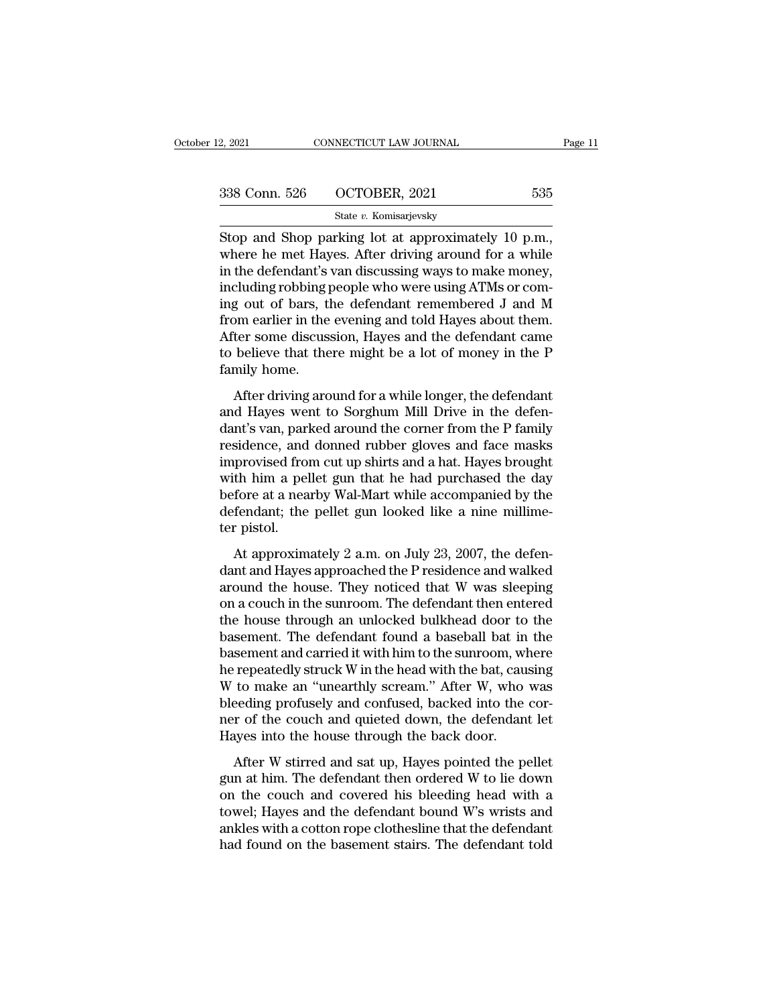| 12, 2021      | CONNECTICUT LAW JOURNAL | Page 11 |
|---------------|-------------------------|---------|
| 338 Conn. 526 | OCTOBER, 2021           | 535     |
|               | State v. Komisarjevsky  |         |

 $\frac{2,2021}{2,2021}$  CONNECTICUT LAW JOURNAL Page<br>  $\frac{338 \text{ Conn. } 526}{\text{State } v. \text{ Komisarievsky}}$ <br>
Stop and Shop parking lot at approximately 10 p.m.,<br>
where he met Hayes. After driving around for a while<br>
in the defendent's van disc 338 Conn. 526 OCTOBER, 2021 535<br>
State v. Komisarjevsky<br>
Stop and Shop parking lot at approximately 10 p.m.,<br>
where he met Hayes. After driving around for a while<br>
in the defendant's van discussing ways to make money,<br>
in 338 Conn. 526 OCTOBER, 2021 535<br>
State v. Komisarjevsky<br>
Stop and Shop parking lot at approximately 10 p.m.,<br>
where he met Hayes. After driving around for a while<br>
in the defendant's van discussing ways to make money,<br>
in 338 Conn. 526 OCTOBER, 2021 535<br>
State v. Komisarjevsky<br>
Stop and Shop parking lot at approximately 10 p.m.,<br>
where he met Hayes. After driving around for a while<br>
in the defendant's van discussing ways to make money,<br>
in State v. Komisarjevsky<br>Stop and Shop parking lot at approximately 10 p.m.,<br>where he met Hayes. After driving around for a while<br>in the defendant's van discussing ways to make money,<br>including robbing people who were using Stop and Shop parking lot at approximately 10 p.m.,<br>where he met Hayes. After driving around for a while<br>in the defendant's van discussing ways to make money,<br>including robbing people who were using ATMs or com-<br>ing out o Stop and Shop parking lot at approximately 10 p.m.,<br>where he met Hayes. After driving around for a while<br>in the defendant's van discussing ways to make money,<br>including robbing people who were using ATMs or com-<br>ing out of where he met Hayes. After driving around for a while<br>in the defendant's van discussing ways to make money,<br>including robbing people who were using ATMs or com-<br>ing out of bars, the defendant remembered J and M<br>from earlier in the defendant's<br>including robbing j<br>ing out of bars, tl<br>from earlier in the<br>After some discus<br>to believe that the<br>family home.<br>After driving arc g out of bars, the defendant remembered J and M<br>g out of bars, the defendant remembered J and M<br>mearlier in the evening and told Hayes about them.<br>ter some discussion, Hayes and the defendant came<br>believe that there might and the evening and told Hayes about them.<br>The meanlier in the evening and told Hayes about them.<br>After some discussion, Hayes and the defendant came<br>to believe that there might be a lot of money in the P<br>family home.<br>Afte

From carnet in the evening and total rayes about them.<br>After some discussion, Hayes and the defendant came<br>to believe that there might be a lot of money in the P<br>family home.<br>After driving around for a while longer, the de residence that there might be a lot of money in the P<br>family home.<br>After driving around for a while longer, the defendant<br>and Hayes went to Sorghum Mill Drive in the defen-<br>dant's van, parked around the corner from the P f family home.<br>
After driving around for a while longer, the defendant<br>
and Hayes went to Sorghum Mill Drive in the defen-<br>
dant's van, parked around the corner from the P family<br>
residence, and donned rubber gloves and face After driving around for a while longer, the defendant<br>and Hayes went to Sorghum Mill Drive in the defen-<br>dant's van, parked around the corner from the P family<br>residence, and donned rubber gloves and face masks<br>improvised After driving around for a while longer, the defendant<br>and Hayes went to Sorghum Mill Drive in the defen-<br>dant's van, parked around the corner from the P family<br>residence, and donned rubber gloves and face masks<br>improvised and Hayes went to Sorghum Mill Drive in the defendant's van, parked around the corner from the P family residence, and donned rubber gloves and face masks improvised from cut up shirts and a hat. Hayes brought with him a p dant's van, parl<br>residence, and<br>improvised fro<br>with him a pel<br>before at a nea<br>defendant; the<br>ter pistol.<br>At approxim provised from cut up shirts and a hat. Hayes brought<br>th him a pellet gun that he had purchased the day<br>fore at a nearby Wal-Mart while accompanied by the<br>fendant; the pellet gun looked like a nine millime-<br>r pistol.<br>At app mapprovised from each point is and a radii. Trayes stocked with him a pellet gun that he had purchased the day<br>before at a nearby Wal-Mart while accompanied by the<br>defendant; the pellet gun looked like a nine millime-<br>ter

what find a period gan diad for had parentssed are day<br>before at a nearby Wal-Mart while accompanied by the<br>defendant; the pellet gun looked like a nine millime-<br>ter pistol.<br>At approximately 2 a.m. on July 23, 2007, the d before as a nearby war make while accompanced by are<br>defendant; the pellet gun looked like a nine millime-<br>ter pistol.<br>At approximately 2 a.m. on July 23, 2007, the defen-<br>dant and Hayes approached the P residence and walk ter pistol.<br>
At approximately 2 a.m. on July 23, 2007, the defen-<br>
dant and Hayes approached the P residence and walked<br>
around the house. They noticed that W was sleeping<br>
on a couch in the sunroom. The defendant then ent At approximately 2 a.m. on July 23, 2007, the defendant and Hayes approached the P residence and walked<br>around the house. They noticed that W was sleeping<br>on a couch in the sunroom. The defendant then entered<br>the house th At approximately 2 a.m. on July 23, 2007, the defendant and Hayes approached the P residence and walked<br>around the house. They noticed that W was sleeping<br>on a couch in the sunroom. The defendant then entered<br>the house thr dant and Hayes approached the P residence and walked<br>around the house. They noticed that W was sleeping<br>on a couch in the sunroom. The defendant then entered<br>the house through an unlocked bulkhead door to the<br>basement. The around the house. They noticed that W was sleeping<br>on a couch in the sunroom. The defendant then entered<br>the house through an unlocked bulkhead door to the<br>basement. The defendant found a baseball bat in the<br>basement and c on a couch in the sunroom. The defendant then entered<br>the house through an unlocked bulkhead door to the<br>basement. The defendant found a baseball bat in the<br>basement and carried it with him to the sunroom, where<br>he repeate the house through an unlocked bulkhead door to the<br>basement. The defendant found a baseball bat in the<br>basement and carried it with him to the sunroom, where<br>he repeatedly struck W in the head with the bat, causing<br>W to ma basement. The defendant found a baseball bat in<br>basement and carried it with him to the sunroom, wh<br>he repeatedly struck W in the head with the bat, cau<br>W to make an "unearthly scream." After W, who<br>bleeding profusely and Exercise and carried a what that is started the pellet repeatedly struck W in the head with the bat, causing to make an "unearthly scream." After W, who was eeding profusely and confused, backed into the corr of the couch We to make an "unearthly scream." After W, who was<br>bleeding profusely and confused, backed into the cor-<br>ner of the couch and quieted down, the defendant let<br>Hayes into the house through the back door.<br>After W stirred and

on the couch and quieted down, the defendant let<br>Hayes into the house through the back door.<br>After W stirred and sat up, Hayes pointed the pellet<br>gun at him. The defendant then ordered W to lie down<br>on the couch and cover the defendant left and saturated with the defendant left<br>Hayes into the house through the back door.<br>After W stirred and sat up, Hayes pointed the pellet<br>gun at him. The defendant then ordered W to lie down<br>on the couch an Hayes into the house through the back door.<br>After W stirred and sat up, Hayes pointed the pellet<br>gun at him. The defendant then ordered W to lie down<br>on the couch and covered his bleeding head with a<br>towel; Hayes and the d had found on the base and sat up, Hayes pointed the pellet<br>gun at him. The defendant then ordered W to lie down<br>on the couch and covered his bleeding head with a<br>towel; Hayes and the defendant bound W's wrists and<br>ankles w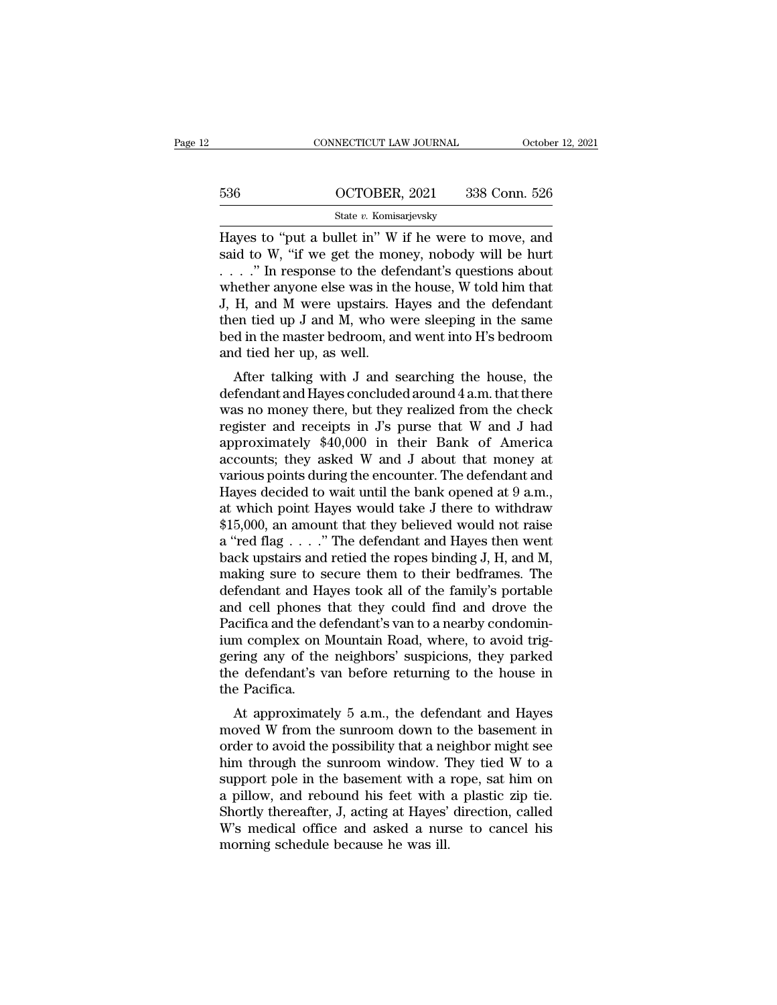|     | CONNECTICUT LAW JOURNAL | October 12, 2021 |
|-----|-------------------------|------------------|
|     |                         |                  |
| 536 | OCTOBER, 2021           | 338 Conn. 526    |
|     | State v. Komisarjevsky  |                  |

CONNECTICUT LAW JOURNAL October 12, 2021<br>
536 OCTOBER, 2021 338 Conn. 526<br>
536 State v. Komisarjevsky<br>
Hayes to "put a bullet in" W if he were to move, and<br>
said to W, "if we get the money, nobody will be hurt<br>
" In respo 536 OCTOBER, 2021 338 Conn. 526<br>
State v. Komisarjevsky<br>
Hayes to "put a bullet in" W if he were to move, and<br>
said to W, "if we get the money, nobody will be hurt<br>
...." In response to the defendant's questions about<br>
whe 536 **CONTOBER**, 2021 338 Conn. 526<br>
State v. Komisarjevsky<br>
Hayes to "put a bullet in" W if he were to move, and<br>
said to W, "if we get the money, nobody will be hurt<br>
...." In response to the defendant's questions about<br> 536 OCTOBER, 2021 338 Conn. 526<br>
State v. Komisarjevsky<br>
Hayes to "put a bullet in" W if he were to move, and<br>
said to W, "if we get the money, nobody will be hurt<br>
...." In response to the defendant's questions about<br>
wh State v. Komisarjevsky<br>Hayes to "put a bullet in" W if he were to move, and<br>said to W, "if we get the money, nobody will be hurt<br> $\ldots$ " In response to the defendant's questions about<br>whether anyone else was in the house, State v. Komsarjevsky<br>Hayes to "put a bullet in" W if he were to move, and<br>said to W, "if we get the money, nobody will be hurt<br> $\ldots$ " In response to the defendant's questions about<br>whether anyone else was in the house, W Hayes to "put a bullet in" W if he were to move, and said to W, "if we get the money, nobody will be hurt . . . . " In response to the defendant's questions about whether anyone else was in the house, W told him that J, H said to W, "if we get the monoral  $\ldots$ ". In response to the def whether anyone else was in the J, H, and M were upstairs. If then tied up J and M, who whed in the master bedroom, ar and tied her up, as well. After talkin After talking with J and searching the house, the fendant<br>fermeral with  $H$ , and  $M$  were upstairs. Hayes and the defendant<br>en tied up J and  $M$ , who were sleeping in the same<br>d in the master bedroom, and went into  $H$ 's Mether anyone eise was in the notice, w told finit that<br>
J, H, and M were upstairs. Hayes and the defendant<br>
then tied up J and M, who were sleeping in the same<br>
bed in the master bedroom, and went into H's bedroom<br>
and t

begans the defendant then tied up J and M, who were sleeping in the same<br>bed in the master bedroom, and went into H's bedroom<br>and tied her up, as well.<br>After talking with J and searching the house, the<br>defendant and Hayes then tied up 3 and M, who were sleeping in the same<br>bed in the master bedroom, and went into H's bedroom<br>and tied her up, as well.<br>After talking with J and searching the house, the<br>defendant and Hayes concluded around 4 a bed in the master bethoom, and went mio H s bethoom<br>and tied her up, as well.<br>After talking with J and searching the house, the<br>defendant and Hayes concluded around 4 a.m. that there<br>was no money there, but they realized f and tied her up, as wen.<br>
After talking with J and searching the house, the<br>
defendant and Hayes concluded around  $4$  a.m. that there<br>
was no money there, but they realized from the check<br>
register and receipts in J's pur After talking with J and searching the house, the<br>defendant and Hayes concluded around  $4$  a.m. that there<br>was no money there, but they realized from the check<br>register and receipts in J's purse that W and J had<br>approxima defendant and Hayes concluded around 4 a.m. that there<br>was no money there, but they realized from the check<br>register and receipts in J's purse that W and J had<br>approximately \$40,000 in their Bank of America<br>accounts; they was no money there, but they realized from the check<br>register and receipts in J's purse that W and J had<br>approximately \$40,000 in their Bank of America<br>accounts; they asked W and J about that money at<br>various points during register and receipts in J's purse that W and J had<br>approximately \$40,000 in their Bank of America<br>accounts; they asked W and J about that money at<br>various points during the encounter. The defendant and<br>Hayes decided to w approximately \$40,000 in their Bank of America<br>accounts; they asked W and J about that money at<br>various points during the encounter. The defendant and<br>Hayes decided to wait until the bank opened at 9 a.m.,<br>at which point accounts; they asked W and J about that money at various points during the encounter. The defendant and Hayes decided to wait until the bank opened at 9 a.m., at which point Hayes would take J there to withdraw \$15,000, an various points during the encounter. The defendant and<br>Hayes decided to wait until the bank opened at  $9$  a.m.,<br>at which point Hayes would take J there to withdraw<br>\$15,000, an amount that they believed would not raise<br>a " Hayes decided to wait until the bank opened at  $9$  a.m.,<br>at which point Hayes would take J there to withdraw<br>\$15,000, an amount that they believed would not raise<br>a "red flag  $\ldots$ ." The defendant and Hayes then went<br>back at which point Hayes would take J there to withdraw<br>\$15,000, an amount that they believed would not raise<br>a "red flag  $\ldots$ ..." The defendant and Hayes then went<br>back upstairs and retied the ropes binding J, H, and M,<br>mak \$15,000, an amount that they believed would not raise<br>a "red flag  $\ldots$ ." The defendant and Hayes then went<br>back upstairs and retied the ropes binding J, H, and M,<br>making sure to secure them to their bedframes. The<br>defend a "red flag . . . ." The defendant and Hayes then went<br>back upstairs and retied the ropes binding J, H, and M,<br>making sure to secure them to their bedframes. The<br>defendant and Hayes took all of the family's portable<br>and ce back upstairs and retied the ropes binding J, H, and M,<br>making sure to secure them to their bedframes. The<br>defendant and Hayes took all of the family's portable<br>and cell phones that they could find and drove the<br>Pacifica a making sure to secure them to their bedframes. The<br>defendant and Hayes took all of the family's portable<br>and cell phones that they could find and drove the<br>Pacifica and the defendant's van to a nearby condomin-<br>ium complex defendant and Ha<br>and cell phones<br>Pacifica and the d<br>ium complex on l<br>gering any of the<br>the defendant's v<br>the Pacifica.<br>At approximate at they could find and drove the<br>cifica and the defendant's van to a nearby condomin-<br>m complex on Mountain Road, where, to avoid trig-<br>ring any of the neighbors' suspicions, they parked<br>e defendant's van before returning Factured and the defendant s vari to a hearby condomin-<br>ium complex on Mountain Road, where, to avoid trig-<br>gering any of the neighbors' suspicions, they parked<br>the defendant's van before returning to the house in<br>the Pac

Figure 1 and to avoid the possibility that a neighbor might see the Pacifica.<br>
At approximately 5 a.m., the defendant and Hayes<br>
moved W from the sunroom down to the basement in<br>
order to avoid the possibility that a neigh gering any of the heighbors suspictors, they parked<br>the defendant's van before returning to the house in<br>the Pacifica.<br>At approximately 5 a.m., the defendant and Hayes<br>moved W from the sunroom down to the basement in<br>order the Pacifica.<br>
At approximately 5 a.m., the defendant and Hayes<br>
moved W from the sunroom down to the basement in<br>
order to avoid the possibility that a neighbor might see<br>
him through the sunroom window. They tied W to a<br> At approximately 5 a.m., the defendant and Hayes<br>moved W from the sunroom down to the basement in<br>order to avoid the possibility that a neighbor might see<br>him through the sunroom window. They tied W to a<br>support pole in th At approximately 5 a.m., the defendant and Hayes<br>moved W from the sunroom down to the basement in<br>order to avoid the possibility that a neighbor might see<br>him through the sunroom window. They tied W to a<br>support pole in th moved W from the sunroom down to the basement in<br>order to avoid the possibility that a neighbor might see<br>him through the sunroom window. They tied W to a<br>support pole in the basement with a rope, sat him on<br>a pillow, and order to avoid the possibility that a ne<br>him through the sunroom window. T<br>support pole in the basement with a<br>a pillow, and rebound his feet with<br>Shortly thereafter, J, acting at Hayes'<br>W's medical office and asked a nur.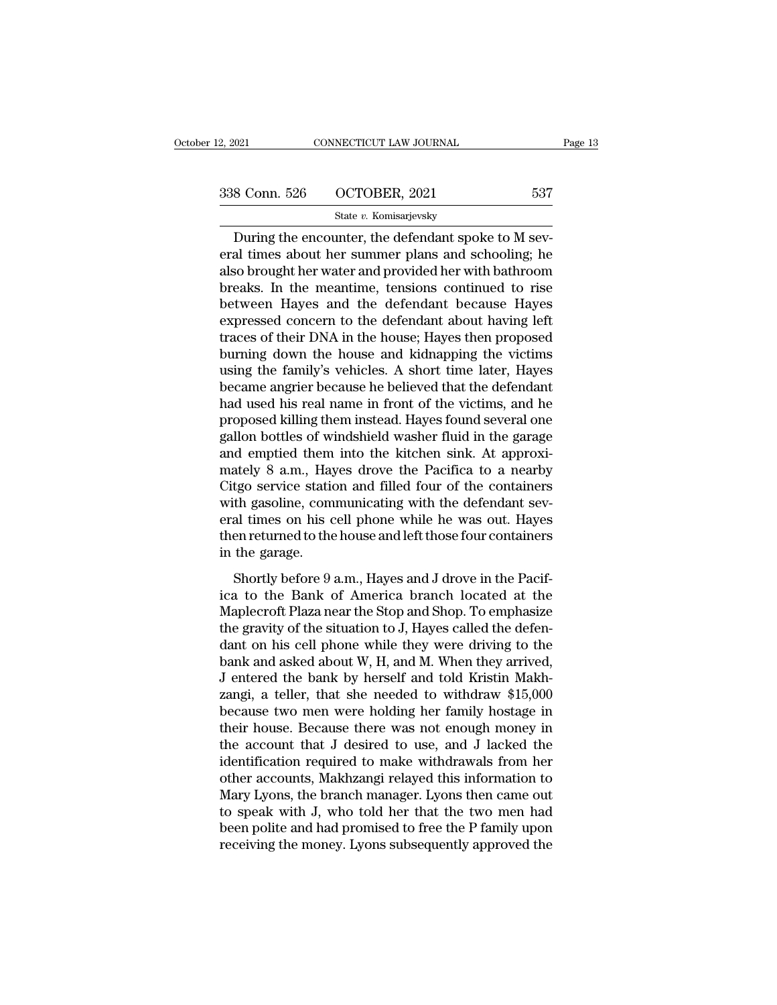| 12, 2021      | CONNECTICUT LAW JOURNAL | Page 13 |
|---------------|-------------------------|---------|
| 338 Conn. 526 | OCTOBER, 2021           | 537     |
|               | State v. Komisarjevsky  |         |

 $\begin{array}{lll} \text{COMRECTICUT LAW JOURNAL} \ \end{array} \ \begin{array}{lll} \text{S:1} & \text{COMRECTICUT LAW JOURNAL} \ \end{array} \ \begin{array}{lll} \text{S:26} & \text{OCTOBER, 2021} \ \end{array} \ \begin{array}{lll} \text{State $v$}. & \text{Komisarjevsky} \ \end{array} \ \begin{array}{lll} \text{During the encounter, the defendant spoke to M sev-al times about her summer plans and schooling; he is brought by water and provided by with between the other words.} \ \end{array}$ 338 Conn. 526 OCTOBER, 2021 537<br>
State v. Komisarjevsky<br>
During the encounter, the defendant spoke to M several times about her summer plans and schooling; he<br>
also brought her water and provided her with bathroom<br>
healso 338 Conn. 526  $\qquad$  OCTOBER, 2021  $\qquad$  537<br>
State v. Komisarjevsky<br>
During the encounter, the defendant spoke to M several times about her summer plans and schooling; he<br>
also brought her water and provided her with bath  $\begin{array}{ccc}\n 338 \text{ Conn. } 526 & \text{OCTOBER, } 2021 & 537 \\
 \hline\n\end{array}$ <br>
During the encounter, the defendant spoke to M several times about her summer plans and schooling; he<br>
also brought her water and provided her with bathroom<br>
breaks. Between Hayes and the defendant spoke to M several times about her summer plans and schooling; he<br>also brought her water and provided her with bathroom<br>breaks. In the meantime, tensions continued to rise<br>between Hayes and State v. Komisarjevsky<br>During the encounter, the defendant spoke to M several times about her summer plans and schooling; he<br>also brought her water and provided her with bathroom<br>breaks. In the meantime, tensions continue During the encounter, the defendant spoke to M several times about her summer plans and schooling; he also brought her water and provided her with bathroom breaks. In the meantime, tensions continued to rise between Hayes eral times about her summer plans and schooling; he<br>also brought her water and provided her with bathroom<br>breaks. In the meantime, tensions continued to rise<br>between Hayes and the defendant because Hayes<br>expressed concern also brought her water and provided her with bathroom<br>breaks. In the meantime, tensions continued to rise<br>between Hayes and the defendant because Hayes<br>expressed concern to the defendant about having left<br>traces of their D breaks. In the meantime, tensions continued to rise<br>between Hayes and the defendant because Hayes<br>expressed concern to the defendant about having left<br>traces of their DNA in the house; Hayes then proposed<br>burning down the between Hayes and the defendant because Hayes<br>expressed concern to the defendant about having left<br>traces of their DNA in the house; Hayes then proposed<br>burning down the house and kidnapping the victims<br>using the family's expressed concern to the defendant about having left<br>traces of their DNA in the house; Hayes then proposed<br>burning down the house and kidnapping the victims<br>using the family's vehicles. A short time later, Hayes<br>became ang traces of their DNA in the house; Hayes then proposed<br>burning down the house and kidnapping the victims<br>using the family's vehicles. A short time later, Hayes<br>became angrier because he believed that the defendant<br>had used burning down the house and kidnapping the victims<br>using the family's vehicles. A short time later, Hayes<br>became angrier because he believed that the defendant<br>had used his real name in front of the victims, and he<br>proposed using the family's vehicles. A short time later, Hayes<br>became angrier because he believed that the defendant<br>had used his real name in front of the victims, and he<br>proposed killing them instead. Hayes found several one<br>gal became angrier because he believed that the defendant<br>had used his real name in front of the victims, and he<br>proposed killing them instead. Hayes found several one<br>gallon bottles of windshield washer fluid in the garage<br>an had used his real name in front of the victims, and he<br>proposed killing them instead. Hayes found several one<br>gallon bottles of windshield washer fluid in the garage<br>and emptied them into the kitchen sink. At approxi-<br>mate proposed killing them instead. Hayes found several one<br>gallon bottles of windshield washer fluid in the garage<br>and emptied them into the kitchen sink. At approxi-<br>mately 8 a.m., Hayes drove the Pacifica to a nearby<br>Citgo s gallon bottles of windshield washer fluid in the garage<br>and emptied them into the kitchen sink. At approxi-<br>mately 8 a.m., Hayes drove the Pacifica to a nearby<br>Citgo service station and filled four of the containers<br>with g and emptied them<br>mately 8 a.m., Hay<br>Citgo service static<br>with gasoline, com<br>eral times on his c<br>then returned to the<br>in the garage.<br>Shortly before 9 Shortly before 9 a.m., Hayes and The Pacifical to a heating<br>the service station and filled four of the containers<br>th gasoline, communicating with the defendant sev-<br>al times on his cell phone while he was out. Hayes<br>en ret ongo service station and fined four of are containers<br>with gasoline, communicating with the defendant sev-<br>eral times on his cell phone while he was out. Hayes<br>then returned to the house and left those four containers<br>in t

Mari gasome, commandially which are determined set<br>eral times on his cell phone while he was out. Hayes<br>then returned to the house and left those four containers<br>in the garage.<br>Shortly before 9 a.m., Hayes and J drove in t then returned to the house and left those four containers<br>in the garage.<br>Shortly before 9 a.m., Hayes and J drove in the Pacif-<br>ica to the Bank of America branch located at the<br>Maplecroft Plaza near the Stop and Shop. To in the garage.<br>
Shortly before 9 a.m., Hayes and J drove in the Pacif-<br>
ica to the Bank of America branch located at the<br>
Maplecroft Plaza near the Stop and Shop. To emphasize<br>
the gravity of the situation to J, Hayes call Shortly before 9 a.m., Hayes and J drove in the Pacifica to the Bank of America branch located at the Maplecroft Plaza near the Stop and Shop. To emphasize the gravity of the situation to J, Hayes called the defendant on Shortly before 9 a.m., Hayes and J drove in the Pacifica to the Bank of America branch located at the Maplecroft Plaza near the Stop and Shop. To emphasize the gravity of the situation to J, Hayes called the defendant on h ica to the Bank of America branch located at the<br>Maplecroft Plaza near the Stop and Shop. To emphasize<br>the gravity of the situation to J, Hayes called the defen-<br>dant on his cell phone while they were driving to the<br>bank a Maplecroft Plaza near the Stop and Shop. To emphasize<br>the gravity of the situation to J, Hayes called the defen-<br>dant on his cell phone while they were driving to the<br>bank and asked about W, H, and M. When they arrived,<br>J the gravity of the situation to J, Hayes called the defen-<br>dant on his cell phone while they were driving to the<br>bank and asked about W, H, and M. When they arrived,<br>J entered the bank by herself and told Kristin Makh-<br>zan dant on his cell phone while they were driving to the<br>bank and asked about W, H, and M. When they arrived,<br>J entered the bank by herself and told Kristin Makh-<br>zangi, a teller, that she needed to withdraw \$15,000<br>because t bank and asked about W, H, and M. When they arrived,<br>J entered the bank by herself and told Kristin Makh-<br>zangi, a teller, that she needed to withdraw \$15,000<br>because two men were holding her family hostage in<br>their house. J entered the bank by herself and told Kristin Makh-<br>zangi, a teller, that she needed to withdraw \$15,000<br>because two men were holding her family hostage in<br>their house. Because there was not enough money in<br>the account th zangi, a teller, that she needed to withdraw \$15,000<br>because two men were holding her family hostage in<br>their house. Because there was not enough money in<br>the account that J desired to use, and J lacked the<br>identification because two men were holding her family hostage in<br>their house. Because there was not enough money in<br>the account that J desired to use, and J lacked the<br>identification required to make withdrawals from her<br>other accounts, their house. Because there was not enough money in<br>the account that J desired to use, and J lacked the<br>identification required to make withdrawals from her<br>other accounts, Makhzangi relayed this information to<br>Mary Lyons, the account that J desired to use, and J lacked the<br>identification required to make withdrawals from her<br>other accounts, Makhzangi relayed this information to<br>Mary Lyons, the branch manager. Lyons then came out<br>to speak wi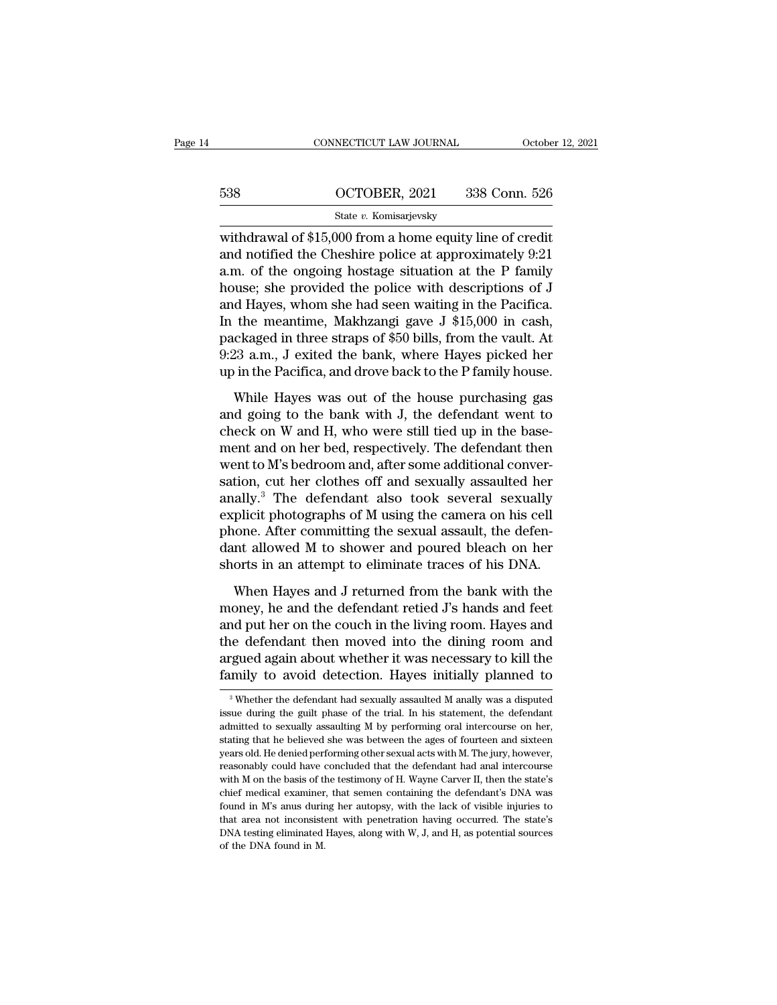|     | CONNECTICUT LAW JOURNAL | October 12, 2021 |
|-----|-------------------------|------------------|
|     |                         |                  |
| 538 | OCTOBER, 2021           | 338 Conn. 526    |
|     | State v. Komisarjevsky  |                  |

CONNECTICUT LAW JOURNAL October 12, 202<br>
538 OCTOBER, 2021 338 Conn. 526<br>
538 State v. Komisarjevsky<br>
withdrawal of \$15,000 from a home equity line of credit<br>
and notified the Cheshire police at approximately 9:21 538 OCTOBER, 2021 338 Conn. 526<br>
State v. Komisarjevsky<br>
withdrawal of \$15,000 from a home equity line of credit<br>
and notified the Cheshire police at approximately 9:21<br>
a.m. of the ongoing hostage situation at the P fami 538 OCTOBER, 2021 338 Conn. 526<br>
State v. Komisarjevsky<br>
withdrawal of \$15,000 from a home equity line of credit<br>
and notified the Cheshire police at approximately 9:21<br>
a.m. of the ongoing hostage situation at the P fami 538  $\frac{\text{OCTOBER}, 2021}{\text{State } v. \text{ Komisarjevsky}}$ <br>withdrawal of \$15,000 from a home equity line of credit<br>and notified the Cheshire police at approximately 9:21<br>a.m. of the ongoing hostage situation at the P family<br>house; she provi State v. Komisarjevsky<br>withdrawal of \$15,000 from a home equity line of credit<br>and notified the Cheshire police at approximately 9:21<br>a.m. of the ongoing hostage situation at the P family<br>house; she provided the police wi state v. Romisarjevsky<br>withdrawal of \$15,000 from a home equity line of credit<br>and notified the Cheshire police at approximately 9:21<br>a.m. of the ongoing hostage situation at the P family<br>house; she provided the police wi withdrawal of \$15,000 from a home equity line of credit<br>and notified the Cheshire police at approximately 9:21<br>a.m. of the ongoing hostage situation at the P family<br>house; she provided the police with descriptions of J<br>and and notified the Cheshire police at approximately 9:21<br>a.m. of the ongoing hostage situation at the P family<br>house; she provided the police with descriptions of J<br>and Hayes, whom she had seen waiting in the Pacifica.<br>In th a.m. of the ongoing hostage situation at the P family<br>house; she provided the police with descriptions of J<br>and Hayes, whom she had seen waiting in the Pacifica.<br>In the meantime, Makhzangi gave J \$15,000 in cash,<br>packaged d Hayes, whom she had seen waiting in the Pacifica.<br>
the meantime, Makhzangi gave J \$15,000 in cash,<br>
ckaged in three straps of \$50 bills, from the vault. At<br>
23 a.m., J exited the bank, where Hayes picked her<br>
in the Pac In the meantime, Makhzangi gave J \$15,000 in cash,<br>packaged in three straps of \$50 bills, from the vault. At<br>9:23 a.m., J exited the bank, where Hayes picked her<br>up in the Pacifica, and drove back to the P family house.<br>W

are meansions, manuscry and  $\frac{1}{2}$  are  $\frac{1}{2}$  and  $\frac{1}{2}$  a.m., J exited the bank, where Hayes picked her up in the Pacifica, and drove back to the P family house.<br>While Hayes was out of the house purchasing gas a 9:23 a.m., J exited the bank, where Hayes picked her<br>up in the Pacifica, and drove back to the P family house.<br>While Hayes was out of the house purchasing gas<br>and going to the bank with J, the defendant went to<br>check on W while Hayes was out of the house purchasing gas<br>and going to the bank with J, the defendant went to<br>check on W and H, who were still tied up in the base-<br>ment and on her bed, respectively. The defendant then<br>went to M's be While Hayes was out of the house purchasing gas<br>and going to the bank with J, the defendant went to<br>check on W and H, who were still tied up in the base-<br>ment and on her bed, respectively. The defendant then<br>went to M's b While Hayes was out of the house purchasing gas<br>and going to the bank with J, the defendant went to<br>check on W and H, who were still tied up in the base-<br>ment and on her bed, respectively. The defendant then<br>went to M's be and going to the bank with J, the defendant went to<br>check on W and H, who were still tied up in the base-<br>ment and on her bed, respectively. The defendant then<br>went to M's bedroom and, after some additional conver-<br>sation, check on W and H, who were still tied up in the basement and on her bed, respectively. The defendant then went to M's bedroom and, after some additional conversation, cut her clothes off and sexually assaulted her anally.<sup></sup> ment and on her bed, respectively. The defendant then<br>went to M's bedroom and, after some additional conver-<br>sation, cut her clothes off and sexually assaulted her<br>anally.<sup>3</sup> The defendant also took several sexually<br>explic went to M's bedroom and, after some additional conversation, cut her clothes off and sexually assaulted her anally.<sup>3</sup> The defendant also took several sexually explicit photographs of M using the camera on his cell phone. ally.<sup>3</sup> The defendant also took several sexually<br>plicit photographs of M using the camera on his cell<br>one. After committing the sexual assault, the defen-<br>nt allowed M to shower and poured bleach on her<br>orts in an attempt explicit photographs of M using the camera on his cell<br>phone. After committing the sexual assault, the defen-<br>dant allowed M to shower and poured bleach on her<br>shorts in an attempt to eliminate traces of his DNA.<br>When Haye

phone. After committing the sexual assault, the defendant allowed M to shower and poured bleach on her shorts in an attempt to eliminate traces of his DNA.<br>When Hayes and J returned from the bank with the money, he and the the dant allowed M to shower and poured bleach on her<br>shorts in an attempt to eliminate traces of his DNA.<br>When Hayes and J returned from the bank with the<br>money, he and the defendant retied J's hands and feet<br>and put her shorts in an attempt to eliminate traces of his DNA.<br>When Hayes and J returned from the bank with the<br>money, he and the defendant retied J's hands and feet<br>and put her on the couch in the living room. Hayes and<br>the defenda When Hayes and J returned from the bank with the<br>money, he and the defendant retied J's hands and feet<br>and put her on the couch in the living room. Hayes and<br>the defendant then moved into the dining room and<br>argued again and put her on the couch in the living room. Hayes and the defendant then moved into the dining room and argued again about whether it was necessary to kill the family to avoid detection. Hayes initially planned to  $\frac{1}{$ the defendant then moved into the dining room and<br>argued again about whether it was necessary to kill the<br>family to avoid detection. Hayes initially planned to<br><sup>3</sup>Whether the defendant had sexually assaulted M anally was a

argued again about whether it was necessary to kill the family to avoid detection. Hayes initially planned to  $\frac{3}{8}$  Whether the defendant had sexually assaulted M anally was a disputed issue during the guilt phase of t Family to avoid detection. Hayes initially planned to<br>
<sup>3</sup> Whether the defendant had sexually assaulted M anally was a disputed<br>
issue during the guilt phase of the trial. In his statement, the defendant<br>
admitted to sexu Figure 1.1 The defect of the trial. In any extend the discussive during the defendant had sexually assaulted M anally was a disputed issue during the guilt phase of the trial. In his statement, the defendant admitted to se <sup>3</sup> Whether the defendant had sexually assaulted M anally was a disputed issue during the guilt phase of the trial. In his statement, the defendant admitted to sexually assaulting M by performing oral intercourse on her, issue during the guilt phase of the trial. In his statement, the defendant admitted to sexually assaulting M by performing oral intercourse on her, stating that he believed she was between the ages of fourteen and sixteen admitted to sexually assaulting M by performing oral intercourse on her, stating that he believed she was between the ages of fourteen and sixteen years old. He denied performing other sexual acts with M. The jury, however stating that he believed she was between the ages of fourteen and sixteen<br>stating that he believed she was between the ages of fourteen and sixteen<br>years old. He denied performing other sexual acts with M. The jury, howeve years old. He denied performing other sexual acts with M. The jury, however, reasonably could have concluded that the defendant had anal intercourse with M on the basis of the testimony of H. Wayne Carver II, then the sta reasonably could have concluded that the defendant had anal intercourse with M on the basis of the testimony of H. Wayne Carver II, then the state's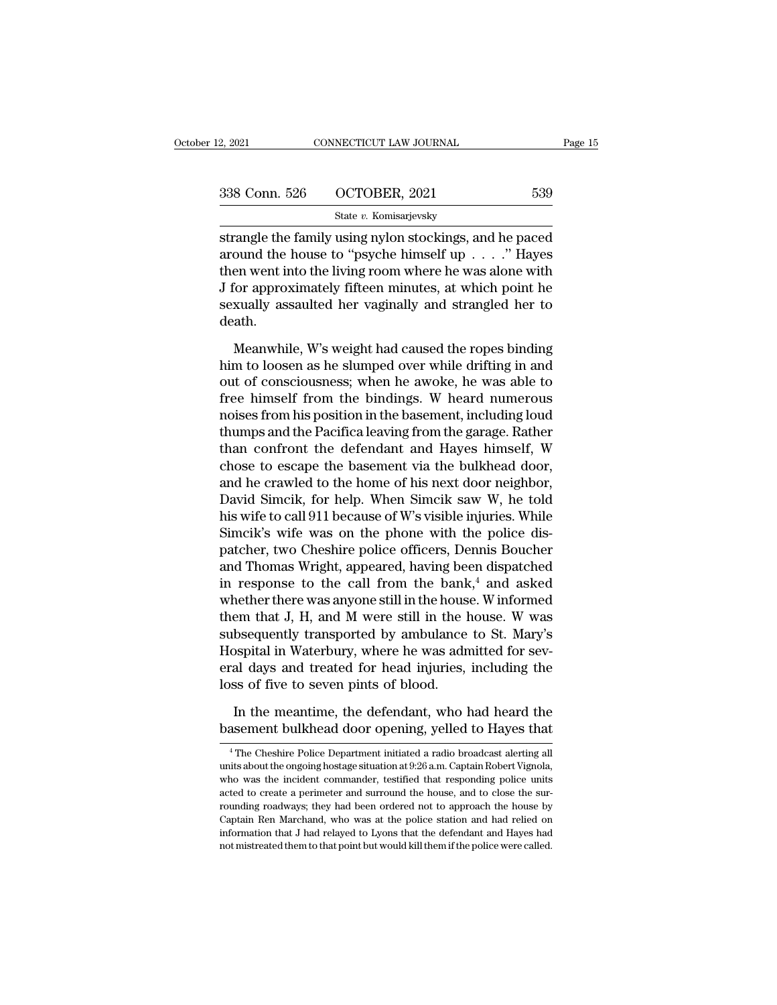| 2, 2021       | CONNECTICUT LAW JOURNAL | Page 15 |
|---------------|-------------------------|---------|
| 338 Conn. 526 | OCTOBER, 2021           | 539     |
|               | State v. Komisarjevsky  |         |

Fage 15<br>
Strangle the family using nylon stockings, and he paced<br>
strangle the family using nylon stockings, and he paced<br>
around the house to "psyche himself up . . . ." Hayes<br>
then wont into the living neon where he was 338 Conn. 526 OCTOBER, 2021 539<br>State v. Komisarjevsky<br>strangle the family using nylon stockings, and he paced<br>around the house to "psyche himself up . . . ." Hayes<br>then went into the living room where he was alone with<br>I 338 Conn. 526 OCTOBER, 2021 539<br>
State v. Komisarjevsky<br>
Strangle the family using nylon stockings, and he paced<br>
around the house to "psyche himself up . . . . ." Hayes<br>
then went into the living room where he was alone 338 Conn. 526 OCTOBER, 2021 539<br>
State v. Komisarjevsky<br>
Strangle the family using nylon stockings, and he paced<br>
around the house to "psyche himself up . . . ." Hayes<br>
then went into the living room where he was alone wi State v. Komisarjevsky<br>strangle the family using nylon stockings, and he paced<br>around the house to "psyche himself up  $\ldots$ ." Hayes<br>then went into the living room where he was alone with<br>J for approximately fifteen minute death. bound the house to "psyche himself up  $\ldots$ ". Hayes<br>en went into the living room where he was alone with<br>for approximately fifteen minutes, at which point he<br>xually assaulted her vaginally and strangled her to<br>ath.<br>Meanwh then went into the living room where he was alone with<br>J for approximately fifteen minutes, at which point he<br>sexually assaulted her vaginally and strangled her to<br>death.<br>Meanwhile, W's weight had caused the ropes binding<br>

J for approximately fifteen minutes, at which point he<br>sexually assaulted her vaginally and strangled her to<br>death.<br>Meanwhile, W's weight had caused the ropes binding<br>him to loosen as he slumped over while drifting in and<br> sexually assaulted her vaginally and strangled her to<br>death.<br>Meanwhile, W's weight had caused the ropes binding<br>him to loosen as he slumped over while drifting in and<br>out of consciousness; when he awoke, he was able to<br>fre death.<br>
Meanwhile, W's weight had caused the ropes binding<br>
him to loosen as he slumped over while drifting in and<br>
out of consciousness; when he awoke, he was able to<br>
free himself from the bindings. W heard numerous<br>
noi Meanwhile, W's weight had caused the ropes binding<br>him to loosen as he slumped over while drifting in and<br>out of consciousness; when he awoke, he was able to<br>free himself from the bindings. W heard numerous<br>noises from his Meanwhile, W's weight had caused the ropes binding<br>him to loosen as he slumped over while drifting in and<br>out of consciousness; when he awoke, he was able to<br>free himself from the bindings. W heard numerous<br>noises from his him to loosen as he slumped over while drifting in and<br>out of consciousness; when he awoke, he was able to<br>free himself from the bindings. W heard numerous<br>noises from his position in the basement, including loud<br>thumps an out of consciousness; when he awoke, he was able to<br>free himself from the bindings. W heard numerous<br>noises from his position in the basement, including loud<br>thumps and the Pacifica leaving from the garage. Rather<br>than con free himself from the bindings. W heard numerous<br>noises from his position in the basement, including loud<br>thumps and the Pacifica leaving from the garage. Rather<br>than confront the defendant and Hayes himself, W<br>chose to es noises from his position in the basement, including loud<br>thumps and the Pacifica leaving from the garage. Rather<br>than confront the defendant and Hayes himself, W<br>chose to escape the basement via the bulkhead door,<br>and he c thumps and the Pacifica leaving from the garage. Rather<br>than confront the defendant and Hayes himself, W<br>chose to escape the basement via the bulkhead door,<br>and he crawled to the home of his next door neighbor,<br>David Simci than confront the defendant and Hayes himself, W<br>chose to escape the basement via the bulkhead door,<br>and he crawled to the home of his next door neighbor,<br>David Simcik, for help. When Simcik saw W, he told<br>his wife to call chose to escape the basement via the bulkhead door,<br>and he crawled to the home of his next door neighbor,<br>David Simcik, for help. When Simcik saw W, he told<br>his wife to call 911 because of W's visible injuries. While<br>Simci and he crawled to the home of his next door neighbor,<br>David Simcik, for help. When Simcik saw W, he told<br>his wife to call 911 because of W's visible injuries. While<br>Simcik's wife was on the phone with the police dis-<br>patch David Simcik, for help. When Simcik saw W, he told<br>his wife to call 911 because of W's visible injuries. While<br>Simcik's wife was on the phone with the police dis-<br>patcher, two Cheshire police officers, Dennis Boucher<br>and T his wife to call 911 because of W's visible injuries. While<br>Simcik's wife was on the phone with the police dis-<br>patcher, two Cheshire police officers, Dennis Boucher<br>and Thomas Wright, appeared, having been dispatched<br>in r Simcik's wife was on the phone with the police dis-<br>patcher, two Cheshire police officers, Dennis Boucher<br>and Thomas Wright, appeared, having been dispatched<br>in response to the call from the bank,<sup>4</sup> and asked<br>whether ther patcher, two Cheshire police officers, Dennis Boucher<br>and Thomas Wright, appeared, having been dispatched<br>in response to the call from the bank,<sup>4</sup> and asked<br>whether there was anyone still in the house. W informed<br>them tha and Thomas Wright, appeared, having been dispatched<br>in response to the call from the bank,<sup>4</sup> and asked<br>whether there was anyone still in the house. W informed<br>them that J, H, and M were still in the house. W was<br>subsequen in response to the call from the bank<br>whether there was anyone still in the hous<br>them that J, H, and M were still in the l<br>subsequently transported by ambulance<br>Hospital in Waterbury, where he was adn<br>eral days and treated em that J, H, and M were still in the house. W was<br>bsequently transported by ambulance to St. Mary's<br>ospital in Waterbury, where he was admitted for sev-<br>al days and treated for head injuries, including the<br>ss of five to s subsequently transported by ambulance to St. Mary's<br>Hospital in Waterbury, where he was admitted for sev-<br>eral days and treated for head injuries, including the<br>loss of five to seven pints of blood.<br>In the meantime, the de

<sup>5</sup> Associative to seven pints of blood.<br>
In the meantime, the defendant, who had heard the assement bulkhead door opening, yelled to Hayes that<br>
<sup>4</sup>The Cheshire Police Department initiated a radio broadcast alerting all<br>
i In the meantime, the defendant, who had heard the basement bulkhead door opening, yelled to Hayes that  $\frac{4}{1}$  The Cheshire Police Department initiated a radio broadcast alerting all units about the ongoing hostage situ In the meantime, the defendant, who had heard the basement bulkhead door opening, yelled to Hayes that  $\frac{4}{\text{The} \text{C} \cdot \text{The} \cdot \text{The} \cdot \text{D} \cdot \text{The} \cdot \text{D} \cdot \text{The} \cdot \text{D} \cdot \text{The} \cdot \text{D} \cdot \text{The} \cdot \text{D} \cdot \text{The} \cdot \text{D} \cdot \text{The} \cdot \text$ basement bulkhead door opening, yelled to Hayes that<br>
<sup>4</sup> The Cheshire Police Department initiated a radio broadcast alerting all<br>
units about the ongoing hostage situation at 9:26 a.m. Captain Robert Vignola,<br>
who was the Dasement Dunkhead door Opening, yened to hayes that<br>  $^{4}$ The Cheshire Police Department initiated a radio broadcast alerting all<br>
units about the ongoing hostage situation at 9:26 a.m. Captain Robert Vignola,<br>
who was th <sup>4</sup> The Cheshire Police Department initiated a radio broadcast alerting all units about the ongoing hostage situation at  $9.26$  a.m. Captain Robert Vignola, who was the incident commander, testified that responding police units about the ongoing hostage situation at 9:26 a.m. Captain Robert Vignola, who was the incident commander, testified that responding police units acted to create a perimeter and surround the house, and to close the su units about the ongoing hostage situation at 9:26 a.m. Captain Robert Vignola, who was the incident commander, testified that responding police units acted to create a perimeter and surround the house, and to close the sur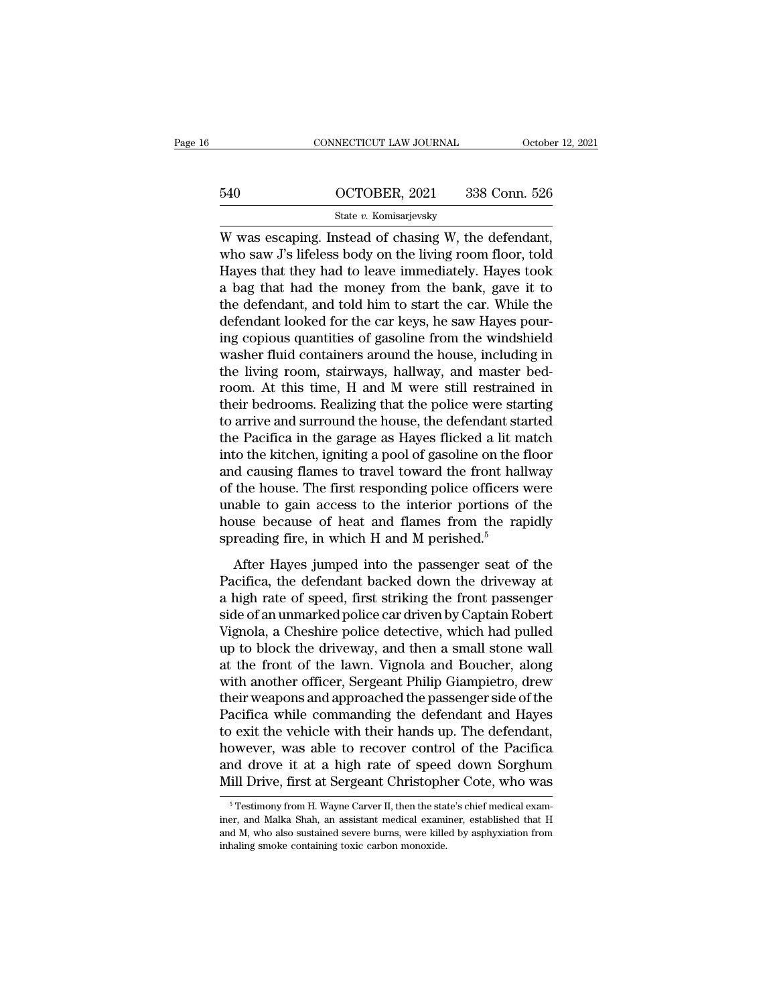|     | CONNECTICUT LAW JOURNAL | October 12, 2021 |
|-----|-------------------------|------------------|
|     |                         |                  |
| 540 | OCTOBER, 2021           | 338 Conn. 526    |
|     | State v. Komisarjevsky  |                  |

CONNECTICUT LAW JOURNAL October 12, 2<br>
540 OCTOBER, 2021 338 Conn. 526<br>
State v. Komisarjevsky<br>
W was escaping. Instead of chasing W, the defendant,<br>
who saw J's lifeless body on the living room floor, told<br>
House that the 540 OCTOBER, 2021 338 Conn. 526<br>
State v. Komisarjevsky<br>
W was escaping. Instead of chasing W, the defendant,<br>
who saw J's lifeless body on the living room floor, told<br>
Hayes that they had to leave immediately. Hayes took<br> 540 OCTOBER, 2021 338 Conn. 526<br>
State v. Komisarjevsky<br>
W was escaping. Instead of chasing W, the defendant,<br>
who saw J's lifeless body on the living room floor, told<br>
Hayes that they had to leave immediately. Hayes took  $\frac{\text{G40}}{\text{State } v. \text{ Komisarievsky}}$ <br>W was escaping. Instead of chasing W, the defendant,<br>who saw J's lifeless body on the living room floor, told<br>Hayes that they had to leave immediately. Hayes took<br>a bag that had the money from State v. Komisarjevsky<br>W was escaping. Instead of chasing W, the defendant,<br>who saw J's lifeless body on the living room floor, told<br>Hayes that they had to leave immediately. Hayes took<br>a bag that had the money from the b state  $v$ . Komsarjevsky<br>W was escaping. Instead of chasing W, the defendant,<br>who saw J's lifeless body on the living room floor, told<br>Hayes that they had to leave immediately. Hayes took<br>a bag that had the money from the W was escaping. Instead of chasing W, the defendant,<br>who saw J's lifeless body on the living room floor, told<br>Hayes that they had to leave immediately. Hayes took<br>a bag that had the money from the bank, gave it to<br>the defe who saw J's lifeless body on the living room floor, told<br>Hayes that they had to leave immediately. Hayes took<br>a bag that had the money from the bank, gave it to<br>the defendant, and told him to start the car. While the<br>defen Hayes that they had to leave immediately. Hayes took<br>a bag that had the money from the bank, gave it to<br>the defendant, and told him to start the car. While the<br>defendant looked for the car keys, he saw Hayes pour-<br>ing copi a bag that had the money from the bank, gave it to<br>the defendant, and told him to start the car. While the<br>defendant looked for the car keys, he saw Hayes pour-<br>ing copious quantities of gasoline from the windshield<br>washer the defendant, and told him to start the car. While the<br>defendant looked for the car keys, he saw Hayes pour-<br>ing copious quantities of gasoline from the windshield<br>washer fluid containers around the house, including in<br>th defendant looked for the car keys, he saw Hayes pouring copious quantities of gasoline from the windshield<br>washer fluid containers around the house, including in<br>the living room, stairways, hallway, and master bed-<br>room. A ing copious quantities of gasoline from the windshield<br>washer fluid containers around the house, including in<br>the living room, stairways, hallway, and master bed-<br>room. At this time, H and M were still restrained in<br>their washer fluid containers around the house, including in<br>the living room, stairways, hallway, and master bed-<br>room. At this time, H and M were still restrained in<br>their bedrooms. Realizing that the police were starting<br>to ar the living room, stairways, hallway, and master bedroom. At this time, H and M were still restrained in their bedrooms. Realizing that the police were starting to arrive and surround the house, the defendant started the Pa room. At this time, H and M were still restrained in<br>their bedrooms. Realizing that the police were starting<br>to arrive and surround the house, the defendant started<br>the Pacifica in the garage as Hayes flicked a lit match<br>i their bedrooms. Realizing that the police were starting<br>to arrive and surround the house, the defendant started<br>the Pacifica in the garage as Hayes flicked a lit match<br>into the kitchen, igniting a pool of gasoline on the f to arrive and surround the house, the defendant started<br>the Pacifica in the garage as Hayes flicked a lit match<br>into the kitchen, igniting a pool of gasoline on the floor<br>and causing flames to travel toward the front hallw the Pacifica in the garage as Hayes flicked a lit m<br>into the kitchen, igniting a pool of gasoline on the 1<br>and causing flames to travel toward the front hall<br>of the house. The first responding police officers v<br>unable to g After Hayes jumped into the passenger seat of the<br>action of the house. The first responding police officers were<br>able to gain access to the interior portions of the<br>suse because of heat and flames from the rapidly<br>reading First First responding police officers were<br>unable to gain access to the interior portions of the<br>house because of heat and flames from the rapidly<br>spreading fire, in which H and M perished.<sup>5</sup><br>After Hayes jumped into the

a high rate in the strike text of the interior portions of the<br>house because of heat and flames from the rapidly<br>spreading fire, in which H and M perished.<sup>5</sup><br>After Hayes jumped into the passenger seat of the<br>Pacifica, the shouse because of heat and flames from the rapidly<br>spreading fire, in which H and M perished.<sup>5</sup><br>After Hayes jumped into the passenger seat of the<br>Pacifica, the defendant backed down the driveway at<br>a high rate of speed, f Spreading fire, in which H and M perished.<sup>5</sup><br>Spreading fire, in which H and M perished.<sup>5</sup><br>After Hayes jumped into the passenger seat of the<br>Pacifica, the defendant backed down the driveway at<br>a high rate of speed, first After Hayes jumped into the passenger seat of the<br>Pacifica, the defendant backed down the driveway at<br>a high rate of speed, first striking the front passenger<br>side of an unmarked police car driven by Captain Robert<br>Vignola After Hayes jumped into the passenger seat of the<br>Pacifica, the defendant backed down the driveway at<br>a high rate of speed, first striking the front passenger<br>side of an unmarked police car driven by Captain Robert<br>Vignola Pacifica, the defendant backed down the driveway at<br>a high rate of speed, first striking the front passenger<br>side of an unmarked police car driven by Captain Robert<br>Vignola, a Cheshire police detective, which had pulled<br>up a high rate of speed, first striking the front passenger<br>side of an unmarked police car driven by Captain Robert<br>Vignola, a Cheshire police detective, which had pulled<br>up to block the driveway, and then a small stone wall<br> side of an unmarked police car driven by Captain Robert<br>Vignola, a Cheshire police detective, which had pulled<br>up to block the driveway, and then a small stone wall<br>at the front of the lawn. Vignola and Boucher, along<br>with Vignola, a Cheshire police detective, which had pulled<br>up to block the driveway, and then a small stone wall<br>at the front of the lawn. Vignola and Boucher, along<br>with another officer, Sergeant Philip Giampietro, drew<br>their up to block the driveway, and then a small stone wall<br>at the front of the lawn. Vignola and Boucher, along<br>with another officer, Sergeant Philip Giampietro, drew<br>their weapons and approached the passenger side of the<br>Pacif at the front of the lawn. Vignola and Boucher, along<br>with another officer, Sergeant Philip Giampietro, drew<br>their weapons and approached the passenger side of the<br>Pacifica while commanding the defendant and Hayes<br>to exit t with another officer, Sergeant Philip Giampietro, drew<br>their weapons and approached the passenger side of the<br>Pacifica while commanding the defendant and Hayes<br>to exit the vehicle with their hands up. The defendant,<br>howeve For exit the venicle with their hands up. The detendant, owever, was able to recover control of the Pacifica and drove it at a high rate of speed down Sorghum iill Drive, first at Sergeant Christopher Cote, who was  $\frac{5\text$ however, was able to recover control of the Pacifica<br>and drove it at a high rate of speed down Sorghum<br>Mill Drive, first at Sergeant Christopher Cote, who was<br><sup>5</sup> Testimony from H. Wayne Carver II, then the state's chief m

and drove it at a high rate of speed down Sorghum<br>Mill Drive, first at Sergeant Christopher Cote, who was<br><sup>5</sup> Testimony from H. Wayne Carver II, then the state's chief medical examiner, and Malka Shah, an assistant medical Mill Drive, first at Sergeant Christoph<br>
<sup>5</sup> Testimony from H. Wayne Carver II, then the state iner, and Malka Shah, an assistant medical examinand M, who also sustained severe burns, were kille inhaling smoke containing t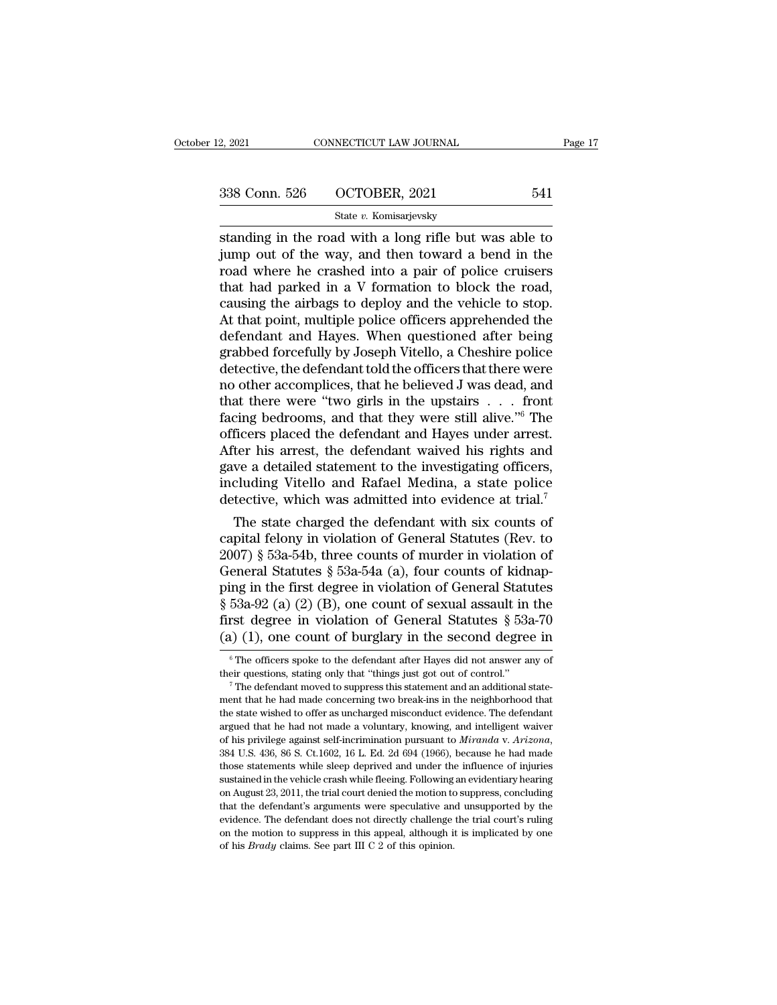| 2, 2021       | CONNECTICUT LAW JOURNAL | Page 17 |  |
|---------------|-------------------------|---------|--|
|               |                         |         |  |
|               |                         |         |  |
| 338 Conn. 526 | OCTOBER, 2021           | 541     |  |
|               | State v. Komisarjevsky  |         |  |

standing in the road with a long rifle but was able to<br>
standing in the road with a long rifle but was able to<br>
standing in the road with a long rifle but was able to<br>
jump out of the way, and then toward a bend in the<br>
r  $\frac{338 \text{ Conn. } 526}{\text{State } v. \text{ Komisarjevsky}}$ <br>
state v. Komisarjevsky<br>
standing in the road with a long rifle but was able to<br>
jump out of the way, and then toward a bend in the<br>
road where he crashed into a pair of police cruiser 338 Conn. 526 OCTOBER, 2021 541<br>
State v. Komisarjevsky<br>
standing in the road with a long rifle but was able to<br>
jump out of the way, and then toward a bend in the<br>
road where he crashed into a pair of police cruisers<br>
th 338 Conn. 526 OCTOBER, 2021 541<br>
State v. Komisarjevsky<br>
standing in the road with a long rifle but was able to<br>
jump out of the way, and then toward a bend in the<br>
road where he crashed into a pair of police cruisers<br>
th State v. Komisarjevsky<br>
standing in the road with a long rifle but was able to<br>
jump out of the way, and then toward a bend in the<br>
road where he crashed into a pair of police cruisers<br>
that had parked in a V formation to State v. Komisarjevsky<br>
Standing in the road with a long rifle but was able to<br>
jump out of the way, and then toward a bend in the<br>
road where he crashed into a pair of police cruisers<br>
that had parked in a V formation to standing in the road with a long rifle but was able to<br>jump out of the way, and then toward a bend in the<br>road where he crashed into a pair of police cruisers<br>that had parked in a V formation to block the road,<br>causing the jump out of the way, and then toward a bend in the<br>road where he crashed into a pair of police cruisers<br>that had parked in a V formation to block the road,<br>causing the airbags to deploy and the vehicle to stop.<br>At that poi road where he crashed into a pair of police cruisers<br>that had parked in a V formation to block the road,<br>causing the airbags to deploy and the vehicle to stop.<br>At that point, multiple police officers apprehended the<br>defend that had parked in a V formation to block the road,<br>causing the airbags to deploy and the vehicle to stop.<br>At that point, multiple police officers apprehended the<br>defendant and Hayes. When questioned after being<br>grabbed fo causing the airbags to deploy and the vehicle to stop.<br>At that point, multiple police officers apprehended the<br>defendant and Hayes. When questioned after being<br>grabbed forcefully by Joseph Vitello, a Cheshire police<br>detec At that point, multiple police officers apprehended the<br>defendant and Hayes. When questioned after being<br>grabbed forcefully by Joseph Vitello, a Cheshire police<br>detective, the defendant told the officers that there were<br>no defendant and Hayes. When questioned after being<br>grabbed forcefully by Joseph Vitello, a Cheshire police<br>detective, the defendant told the officers that there were<br>no other accomplices, that he believed J was dead, and<br>tha grabbed forcefully by Joseph Vitello, a Cheshire police<br>detective, the defendant told the officers that there were<br>mo other accomplices, that he believed J was dead, and<br>that there were "two girls in the upstairs . . . fro detective, the defendant told the officers that there were<br>no other accomplices, that he believed J was dead, and<br>that there were "two girls in the upstairs  $\dots$  front<br>facing bedrooms, and that they were still alive."<sup>6</sup> no other accomplices, that he believed J was dead, and<br>that there were "two girls in the upstairs  $\ldots$  front<br>facing bedrooms, and that they were still alive." The<br>officers placed the defendant and Hayes under arrest.<br>Aft that there were "two girls in the upstairs . . . . front facing bedrooms, and that they were still alive."<sup>6</sup> The officers placed the defendant and Hayes under arrest. After his arrest, the defendant waived his rights and The state charged the defendant and Hayes under arrest.<br>
The ficers placed the defendant and Hayes under arrest.<br>
The state charged statement to the investigating officers,<br>
cluding Vitello and Rafael Medina, a state poli omcers placed the defendant and Hayes under arrest.<br>After his arrest, the defendant waived his rights and<br>gave a detailed statement to the investigating officers,<br>including Vitello and Rafael Medina, a state police<br>detect

Alter his arrest, the defendant walved his rights and<br>gave a detailed statement to the investigating officers,<br>including Vitello and Rafael Medina, a state police<br>detective, which was admitted into evidence at trial.<sup>7</sup><br>Th gave a detailed statement to the investigating officers,<br>including Vitello and Rafael Medina, a state police<br>detective, which was admitted into evidence at trial.<sup>7</sup><br>The state charged the defendant with six counts of<br>capi mcruang vitello and Ratael Medina, a state police<br>detective, which was admitted into evidence at trial.<sup>7</sup><br>The state charged the defendant with six counts of<br>capital felony in violation of General Statutes (Rev. to<br>2007) detective, which was admitted into evidence at trial.<br>
The state charged the defendant with six counts of<br>
capital felony in violation of General Statutes (Rev. to<br>
2007) § 53a-54b, three counts of murder in violation of<br> The state charged the defendant with six counts of<br>capital felony in violation of General Statutes (Rev. to<br>2007) § 53a-54b, three counts of murder in violation of<br>General Statutes § 53a-54a (a), four counts of kidnap-<br>pi capital felony in violation of General Statutes (Rev. to 2007) § 53a-54b, three counts of murder in violation of General Statutes § 53a-54a (a), four counts of kidnapping in the first degree in violation of General Statut ing in the first degree in violation of General Statutes<br>53a-92 (a) (2) (B), one count of sexual assault in the<br>rst degree in violation of General Statutes § 53a-70<br>(1) (1), one count of burglary in the second degree in<br> $\S$  53a-92 (a) (2) (B), one count of sexual assault in the first degree in violation of General Statutes  $\S$  53a-70 (a) (1), one count of burglary in the second degree in  $\frac{1}{\pi}$  The officers spoke to the defendant aft

<sup>(</sup>a) (1), one count of burglary in the second degree in  $\frac{1}{6}$  The officers spoke to the defendant after Hayes did not answer any of their questions, stating only that "things just got out of control." The defendant mov (a) (1), Offer COUTT OF DUTERTY IT THE SECOTT UEFFECT THE STATE OF THE OFFICENT STATE of The defendant after Hayes did not answer any of their questions, stating only that "things just got out of control."<br>The defendant m <sup>6</sup> The officers spoke to the defendant after Hayes did not answer any of their questions, stating only that "things just got out of control." The defendant moved to suppress this statement and an additional statement tha their questions, stating only that "things just got out of control."<br>
<sup>7</sup> The defendant moved to suppress this statement and an additional statement that he had made concerning two break-ins in the neighborhood that<br>
the s of his privilege against self-incrimination pursuant to *Miranda* v. Arizona, 384 U.S. 436, 86 S. Ct.1602, 16 L. Ed. 2d 694 (1966), because he had made those statements while sleep deprived and under the influence of inju the state wished to offer as uncharged misconduct evidence. The defendant argued that he had not made a voluntary, knowing, and intelligent waiver of his privilege against self-incrimination pursuant to *Miranda v. Arizona* argued that he had not made a voluntary, knowing, and intelligent waiver<br>of his privilege against self-incrimination pursuant to *Miranda* v. Arizona,<br>384 U.S. 436, 86 S. Ct.1602, 16 L. Ed. 2d 694 (1966), because he had ma for this privilege against self-incrimination pursuant to *Miranda* v. Arizona, 384 U.S. 436, 86 S. Ct.1602, 16 L. Ed. 2d 694 (1966), because he had made those statements while sleep deprived and under the influence of in 384 U.S. 436, 86 S. Ct.1602, 16 L. Ed. 2d 694 (1966), because he had made those statements while sleep deprived and under the influence of injuries sustained in the vehicle crash while fleeing. Following an evidentiary he bond those statements while sleep deprived and under the influence of injuries sustained in the vehicle crash while fleeing. Following an evidentiary hearing on August 23, 2011, the trial court denied the motion to suppre sustained in the vehicle crash while fleeing. Following an evidentiary hearing on August 23, 2011, the trial court denied the motion to suppress, concluding that the defendant's arguments were speculative and unsupported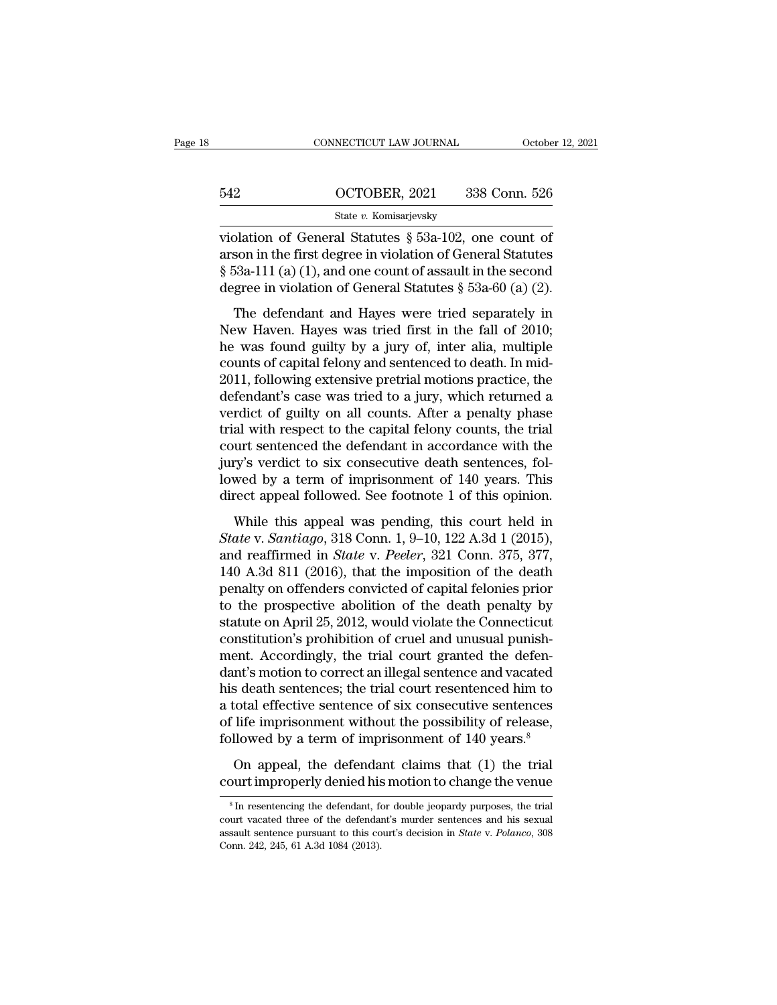|     | CONNECTICUT LAW JOURNAL | October 12, 2021 |
|-----|-------------------------|------------------|
|     |                         |                  |
| 542 | OCTOBER, 2021           | 338 Conn. 526    |
|     | State v. Komisarjevsky  |                  |

CONNECTICUT LAW JOURNAL October 12, 202<br>
State v. Komisarjevsky<br>
Violation of General Statutes § 53a-102, one count of<br>
The first degree in violation of General Statutes<br>
Faso 111 (a) (1) and ano count of assault in the se 542 OCTOBER, 2021 338 Conn. 526<br>
State v. Komisarjevsky<br>
violation of General Statutes § 53a-102, one count of<br>
arson in the first degree in violation of General Statutes<br>
§ 53a-111 (a) (1), and one count of assault in th <sup>542</sup> OCTOBER, 2021 338 Conn. 526<br>
<sup>State v.</sup> Komisarjevsky<br>
violation of General Statutes § 53a-102, one count of<br>
arson in the first degree in violation of General Statutes<br>
§ 53a-111 (a) (1), and one count of assault i 542 OCTOBER, 2021 338 Conn. 526<br>
State v. Komisarjevsky<br>
violation of General Statutes § 53a-102, one count of<br>
arson in the first degree in violation of General Statutes<br>
§ 53a-111 (a) (1), and one count of assault in th State v. Komisarjevsky<br>
Dlation of General Statutes § 53a-102, one count of<br>
son in the first degree in violation of General Statutes<br>
53a-111 (a) (1), and one count of assault in the second<br>
gree in violation of General violation of General Statutes § 53a-102, one count of<br>arson in the first degree in violation of General Statutes<br>§ 53a-111 (a) (1), and one count of assault in the second<br>degree in violation of General Statutes § 53a-60 (

Franchi of Schema Batalaces 3 352 152, one count of<br>arson in the first degree in violation of General Statutes<br> $\S$  53a-111 (a) (1), and one count of assault in the second<br>degree in violation of General Statutes  $\S$  53a-60  $\S$  53a-111 (a) (1), and one count of assault in the second<br>degree in violation of General Statutes  $\S$  53a-60 (a) (2).<br>The defendant and Hayes were tried separately in<br>New Haven. Hayes was tried first in the fall of 2010 3 sold 111 (a) (1), and one collin of dissident in the second<br>degree in violation of General Statutes § 53a-60 (a) (2).<br>The defendant and Hayes were tried separately in<br>New Haven. Hayes was tried first in the fall of 2010 The defendant and Hayes were tried separately in<br>New Haven. Hayes was tried first in the fall of 2010;<br>he was found guilty by a jury of, inter alia, multiple<br>counts of capital felony and sentenced to death. In mid-<br>2011, The defendant and Hayes were tried separately in<br>New Haven. Hayes was tried first in the fall of 2010;<br>he was found guilty by a jury of, inter alia, multiple<br>counts of capital felony and sentenced to death. In mid-<br>2011, f New Haven. Hayes was tried first in the fall of 2010;<br>he was found guilty by a jury of, inter alia, multiple<br>counts of capital felony and sentenced to death. In mid-<br>2011, following extensive pretrial motions practice, the he was found guilty by a jury of, inter alia, multiple<br>counts of capital felony and sentenced to death. In mid-<br>2011, following extensive pretrial motions practice, the<br>defendant's case was tried to a jury, which returned counts of capital felony and sentenced to death. In mid-<br>2011, following extensive pretrial motions practice, the<br>defendant's case was tried to a jury, which returned a<br>verdict of guilty on all counts. After a penalty phas 2011, following extensive pretrial motions practice, the defendant's case was tried to a jury, which returned a verdict of guilty on all counts. After a penalty phase trial with respect to the capital felony counts, the tr defendant's case was tried to a jury, which returned a<br>verdict of guilty on all counts. After a penalty phase<br>trial with respect to the capital felony counts, the trial<br>court sentenced the defendant in accordance with the<br> al with respect to the capital felony counts, the trial<br>al with respect to the capital felony counts, the trial<br>aurt sentenced the defendant in accordance with the<br>ry's verdict to six consecutive death sentences, fol-<br>wed *State with Lispect is are explied 1001fy counts, the transformed court sentenced the defendant in accordance with the jury's verdict to six consecutive death sentences, followed by a term of imprisonment of 140 years. Thi* 

bury's verdict to six consecutive death sentences, fol-<br>lowed by a term of imprisonment of 140 years. This<br>direct appeal followed. See footnote 1 of this opinion.<br>While this appeal was pending, this court held in<br>*State* v lowed by a term of imprisonment of 140 years. This<br>direct appeal followed. See footnote 1 of this opinion.<br>While this appeal was pending, this court held in<br>*State* v. *Santiago*, 318 Conn. 1, 9–10, 122 A.3d 1 (2015),<br>and direct appeal followed. See footnote 1 of this opinion.<br>While this appeal was pending, this court held in<br>State v. Santiago, 318 Conn. 1, 9–10, 122 A.3d 1 (2015),<br>and reaffirmed in State v. Peeler, 321 Conn. 375, 377,<br>140 While this appeal was pending, this court held in<br>State v. Santiago, 318 Conn. 1, 9–10, 122 A.3d 1 (2015),<br>and reaffirmed in *State v. Peeler*, 321 Conn. 375, 377,<br>140 A.3d 811 (2016), that the imposition of the death<br>pen While this appeal was pending, this court held in  $State$  v.  $Santiago$ , 318 Conn. 1, 9–10, 122 A.3d 1 (2015), and reaffirmed in  $State$  v.  $Peeler$ , 321 Conn. 375, 377, 140 A.3d 811 (2016), that the imposition of the death penalty on of State v. Santiago, 318 Conn. 1, 9–10, 122 A.3d 1 (2015),<br>and reaffirmed in *State* v. *Peeler*, 321 Conn. 375, 377,<br>140 A.3d 811 (2016), that the imposition of the death<br>penalty on offenders convicted of capital felonies p and reaffirmed in *State* v. *Peeler*, 321 Conn. 375, 377, 140 A.3d 811 (2016), that the imposition of the death penalty on offenders convicted of capital felonies prior to the prospective abolition of the death penalty b 140 A.3d 811 (2016), that the imposition of the death<br>penalty on offenders convicted of capital felonies prior<br>to the prospective abolition of the death penalty by<br>statute on April 25, 2012, would violate the Connecticut<br>c penalty on offenders convicted of capital felonies prior<br>to the prospective abolition of the death penalty by<br>statute on April 25, 2012, would violate the Connecticut<br>constitution's prohibition of cruel and unusual punishto the prospective abolition of the death penalty by<br>statute on April 25, 2012, would violate the Connecticut<br>constitution's prohibition of cruel and unusual punish-<br>ment. Accordingly, the trial court granted the defen-<br>da statute on April 25, 2012, would violate the Connecticut<br>constitution's prohibition of cruel and unusual punish-<br>ment. Accordingly, the trial court granted the defen-<br>dant's motion to correct an illegal sentence and vacate constitution's prohibition of cruel and unusual punishment. Accordingly, the trial court granted the defendant's motion to correct an illegal sentence and vacated his death sentences; the trial court resentenced him to a t From Trescrumgry, the that source granted are acted<br>in the defective sentences; the trial court resentenced him to<br>cotal effective sentence of six consecutive sentences<br>life imprisonment without the possibility of release, this death sentences; the trial court resentenced him to<br>a total effective sentence of six consecutive sentences<br>of life imprisonment without the possibility of release,<br>followed by a term of imprisonment of 140 years.<sup>8</sup><br>

followed by a term of imprisonment of 140 years.<sup>8</sup><br>On appeal, the defendant claims that (1) the trial<br>court improperly denied his motion to change the venue<br> $\frac{1}{10}$  in resentencing the defendant, for double jeopardy p On appeal, the defendant claims that (1) the trial<br>court improperly denied his motion to change the venue<br> $s$  In resentencing the defendant, for double jeopardy purposes, the trial<br>court vacated three of the defendant's m On appeal, the defendant claims that (1) the trial<br>court improperly denied his motion to change the venue<br><sup>8</sup>In resentencing the defendant, for double jeopardy purposes, the trial<br>court vacated three of the defendant's mur Court improperly denied his<br>
<sup>8</sup> In resentencing the defendant, for<br>
court vacated three of the defendant<br>
assault sentence pursuant to this co<br>
Conn. 242, 245, 61 A.3d 1084 (2013).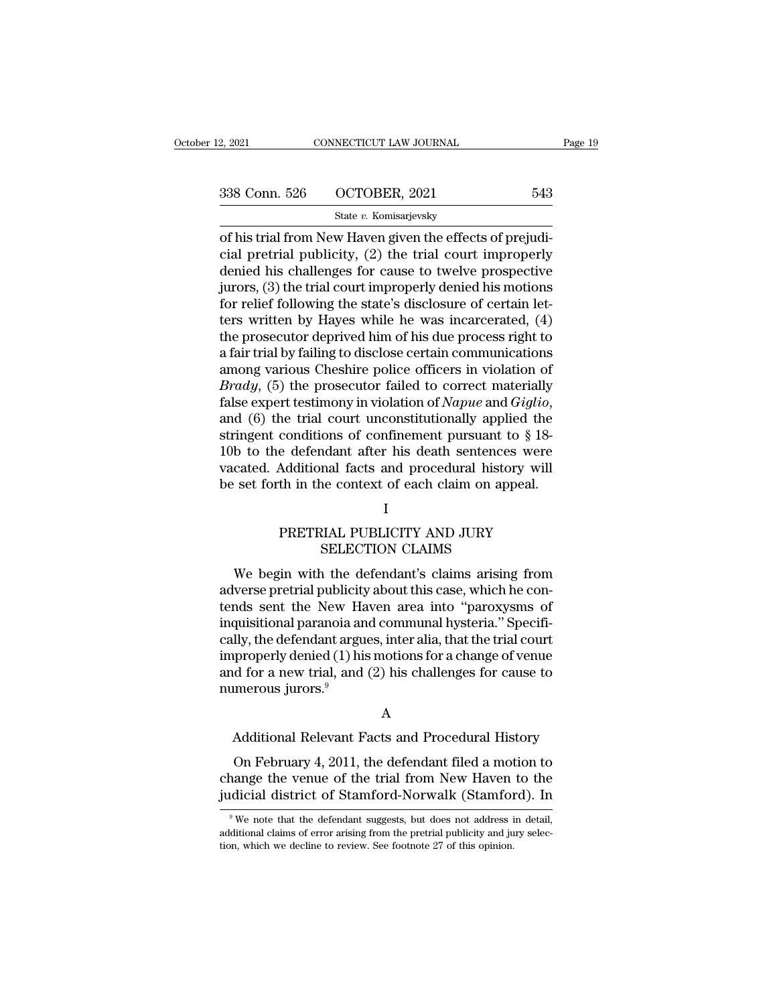| 2, 2021       | CONNECTICUT LAW JOURNAL | Page 19 |  |
|---------------|-------------------------|---------|--|
| 338 Conn. 526 | OCTOBER, 2021           | 543     |  |
|               | State v. Komisarjevsky  |         |  |

of the Haven Connect Connect Connect Connect Connect Connect Connect Connect Connect Connect Connect Connect Connect Connect Connect Connect Connect Connect Connect Connect Connect Connect Connect Connect Connect Connect C 338 Conn. 526 OCTOBER, 2021 543<br>
State v. Komisarjevsky<br>
of his trial from New Haven given the effects of prejudi-<br>
cial pretrial publicity, (2) the trial court improperly<br>
denied his challenges for cause to twelve prospe 338 Conn. 526 OCTOBER, 2021 543<br>
State v. Komisarjevsky<br>
of his trial from New Haven given the effects of prejudi-<br>
cial pretrial publicity, (2) the trial court improperly<br>
denied his challenges for cause to twelve prospe 338 Conn. 526 OCTOBER, 2021 543<br>
State v. Komisarjevsky<br>
of his trial from New Haven given the effects of prejudi-<br>
cial pretrial publicity, (2) the trial court improperly<br>
denied his challenges for cause to twelve prospe 338 Conn. 526 OCTOBER, 2021 543<br>
State v. Komisarjevsky<br>
of his trial from New Haven given the effects of prejudi-<br>
cial pretrial publicity, (2) the trial court improperly<br>
denied his challenges for cause to twelve prospe state v. Komsarjevsky<br>
of his trial from New Haven given the effects of prejudi-<br>
cial pretrial publicity, (2) the trial court improperly<br>
denied his challenges for cause to twelve prospective<br>
jurors, (3) the trial court of his trial from New Haven given the effects of prejudicial pretrial publicity, (2) the trial court improperly<br>denied his challenges for cause to twelve prospective<br>jurors, (3) the trial court improperly denied his motion cial pretrial publicity, (2) the trial court improperly<br>denied his challenges for cause to twelve prospective<br>jurors, (3) the trial court improperly denied his motions<br>for relief following the state's disclosure of certain denied his challenges for cause to twelve prospective<br>jurors, (3) the trial court improperly denied his motions<br>for relief following the state's disclosure of certain let-<br>ters written by Hayes while he was incarcerated, ( jurors, (3) the trial court improperly denied his motions<br>for relief following the state's disclosure of certain let-<br>ters written by Hayes while he was incarcerated, (4)<br>the prosecutor deprived him of his due process righ for relief following the state's disclosure of certain let-<br>ters written by Hayes while he was incarcerated,  $(4)$ <br>the prosecutor deprived him of his due process right to<br>a fair trial by failing to disclose certain commun the prosecutor deprived him of his due process right to<br>a fair trial by failing to disclose certain communications<br>among various Cheshire police officers in violation of<br> $Brady$ , (5) the prosecutor failed to correct materia a fair trial by failing to disclose certain communications<br>among various Cheshire police officers in violation of<br> $Brady$ , (5) the prosecutor failed to correct materially<br>false expert testimony in violation of *Napue* and among various Cheshire police officers in violation of *Brady*, (5) the prosecutor failed to correct materially false expert testimony in violation of *Napue* and *Giglio*, and (6) the trial court unconstitutionally appli *Brady*, (5) the prosecutor failed to correct materially false expert testimony in violation of *Napue* and *Giglio*, and (6) the trial court unconstitutionally applied the stringent conditions of confinement pursuant to % conditions of confinement pursuant to \$18-<br>
e defendant after his death sentences were<br>
Additional facts and procedural history will<br>
th in the context of each claim on appeal.<br>
I<br>
PRETRIAL PUBLICITY AND JURY<br>
SELECTION Mant after his death sentences<br>
mal facts and procedural history<br>
ne context of each claim on appe<br>
I<br>
RIAL PUBLICITY AND JURY<br>
SELECTION CLAIMS<br>
n the defendant's claims arising

# I

Example of the defendant of each claim on appeal.<br>
I<br>
PRETRIAL PUBLICITY AND JURY<br>
SELECTION CLAIMS<br>
We begin with the defendant's claims arising from<br>
verse pretrial publicity about this case, which he con-<br>
and sont the be set forth in the context of each claim on appeat.<br>
I<br>
PRETRIAL PUBLICITY AND JURY<br>
SELECTION CLAIMS<br>
We begin with the defendant's claims arising from<br>
adverse pretrial publicity about this case, which he con-<br>
tends se I<br>
PRETRIAL PUBLICITY AND JURY<br>
SELECTION CLAIMS<br>
We begin with the defendant's claims arising from<br>
adverse pretrial publicity about this case, which he con-<br>
tends sent the New Haven area into "paroxysms of<br>
inquisitiona PRETRIAL PUBLICITY AND JURY<br>SELECTION CLAIMS<br>We begin with the defendant's claims arising from<br>adverse pretrial publicity about this case, which he con-<br>tends sent the New Haven area into "paroxysms of<br>inquisitional parano FRETRIALT COLLOTT AND JORT<br>SELECTION CLAIMS<br>We begin with the defendant's claims arising from<br>adverse pretrial publicity about this case, which he con-<br>tends sent the New Haven area into "paroxysms of<br>inquisitional parano We begin with the defendant's claims arising from<br>adverse pretrial publicity about this case, which he con-<br>tends sent the New Haven area into "paroxysms of<br>inquisitional paranoia and communal hysteria." Specifi-<br>cally, t We begin with the defendant's claims arising from<br>adverse pretrial publicity about this case, which he con-<br>tends sent the New Haven area into "paroxysms of<br>inquisitional paranoia and communal hysteria." Specifi-<br>cally, th adverse pretrial publicity<br>tends sent the New Ha<br>inquisitional paranoia an<br>cally, the defendant argu<br>improperly denied (1) his<br>and for a new trial, and<br>numerous jurors.<sup>9</sup> lly, the defendant argues, inter alia, that the trial court<br>properly denied (1) his motions for a change of venue<br>ind for a new trial, and (2) his challenges for cause to<br>imerous jurors.<sup>9</sup><br>A<br>Additional Relevant Facts and  $\rm H_2$  and  $\rm H_3$  and  $\rm H_4$ ) and  $\rm H_2$ ) has challenges for cause to merous jurors.<sup>9</sup><br>Additional Relevant Facts and Procedural History<br>On February 4, 2011, the defendant filed a motion to ange the venue of the trial

# A

and for a flew trial, and (2) his changeles for cause to<br>numerous jurors.<sup>9</sup><br>A<br>Additional Relevant Facts and Procedural History<br>On February 4, 2011, the defendant filed a motion to<br>change the venue of the trial from New Ha A<br>Additional Relevant Facts and Procedural History<br>On February 4, 2011, the defendant filed a motion to<br>change the venue of the trial from New Haven to the<br>judicial district of Stamford-Norwalk (Stamford). In<br><sup>9</sup>We note th On February 4, 2011, the defendant filed a motion to hange the venue of the trial from New Haven to the didicial district of Stamford-Norwalk (Stamford). In  $\degree$  We note that the defendant suggests, but does not address i On February 4, 2011, the defendant filed a motion to change the venue of the trial from New Haven to the judicial district of Stamford-Norwalk (Stamford). In  $\frac{9}{100}$  We note that the defendant suggests, but does not a

change the venue of the trial from New Haven<br>judicial district of Stamford-Norwalk (Stamforon)<br><sup>9</sup>We note that the defendant suggests, but does not address in<br>additional claims of error arising from the pretrial publicity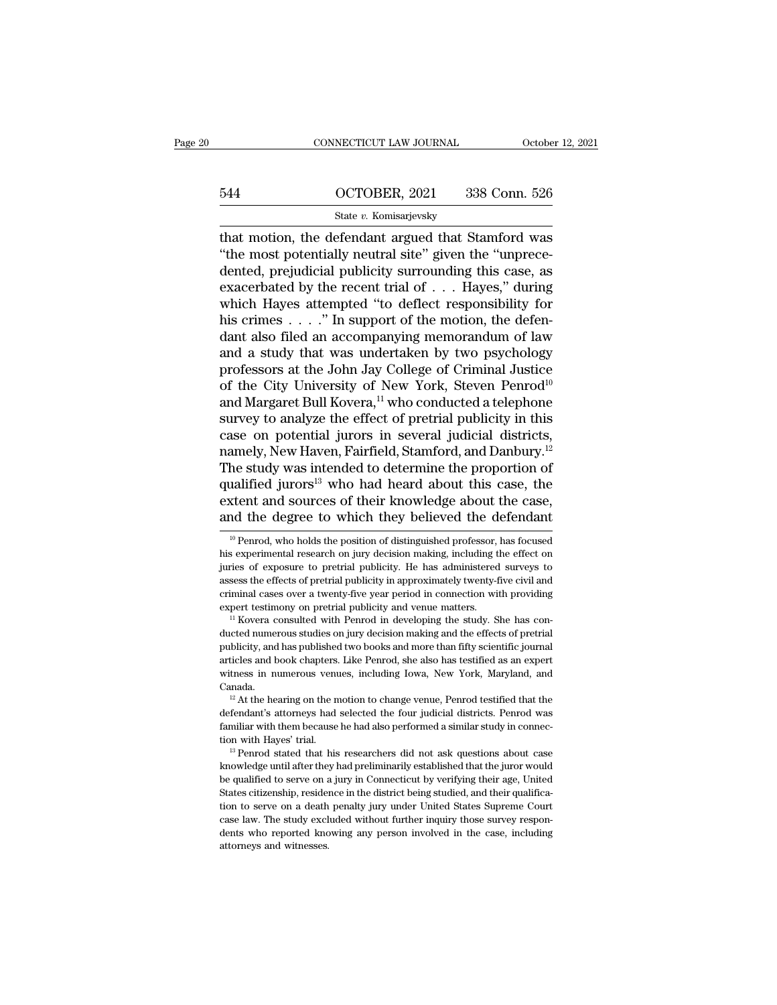# CONNECTICUT LAW JOURNAL October 12, 2021<br>544 OCTOBER, 2021 338 Conn. 526<br>5tate v. Komisarjevsky

# State *v.* Komisarjevsky

CONNECTICUT LAW JOURNAL OCTOBER<br>
OCTOBER, 2021 338 Conn. 526<br>
State v. Komisarjevsky<br>
that motion, the defendant argued that Stamford was<br>
"the most potentially neutral site" given the "unprece- $\frac{544}{\text{State }v. \text{ Komisarjevsky}}$ <br>  $\frac{\text{State }v. \text{ Komisarjevsky}}{\text{that motion, the defendant argued that Stanford was}}$ <br>
"the most potentially neutral site" given the "unprece-<br>
dented, prejudicial publicity surrounding this case, as 544 OCTOBER, 2021 338 Conn. 526<br>
State v. Komisarjevsky<br>
that motion, the defendant argued that Stamford was<br>
"the most potentially neutral site" given the "unprece-<br>
dented, prejudicial publicity surrounding this case, a Example 1944 COCTOBER, 2021 338 Conn. 526<br>
State v. Komisarjevsky<br>
that motion, the defendant argued that Stamford was<br>
"the most potentially neutral site" given the "unprece-<br>
dented, prejudicial publicity surrounding th State v. Komisarjevsky<br>
That motion, the defendant argued that Stamford was<br>
"the most potentially neutral site" given the "unprece-<br>
dented, prejudicial publicity surrounding this case, as<br>
exacerbated by the recent tria state v. Komsarjevsky<br>that motion, the defendant argued that Stamford was<br>"the most potentially neutral site" given the "unprece-<br>dented, prejudicial publicity surrounding this case, as<br>exacerbated by the recent trial of that motion, the defendant argued that Stamford was<br>
"the most potentially neutral site" given the "unprece-<br>
dented, prejudicial publicity surrounding this case, as<br>
exacerbated by the recent trial of  $\ldots$ . Hayes," duri "the most potentially neutral site" given the "unprece-<br>dented, prejudicial publicity surrounding this case, as<br>exacerbated by the recent trial of  $\dots$  Hayes," during<br>which Hayes attempted "to deflect responsibility for<br>h dented, prejudicial publicity surrounding this case, as<br>exacerbated by the recent trial of . . . Hayes," during<br>which Hayes attempted "to deflect responsibility for<br>his crimes . . . . ." In support of the motion, the defe exacerbated by the recent trial of . . . Hayes," during<br>which Hayes attempted "to deflect responsibility for<br>his crimes . . . ." In support of the motion, the defen-<br>dant also filed an accompanying memorandum of law<br>and a which Hayes attempted "to deflect responsibility for<br>his crimes . . . ." In support of the motion, the defen-<br>dant also filed an accompanying memorandum of law<br>and a study that was undertaken by two psychology<br>professors his crimes . . . ." In support of the motion, the defendant also filed an accompanying memorandum of law<br>and a study that was undertaken by two psychology<br>professors at the John Jay College of Criminal Justice<br>of the City dant also filed an accompanying memorandum of law<br>and a study that was undertaken by two psychology<br>professors at the John Jay College of Criminal Justice<br>of the City University of New York, Steven Penrod<sup>10</sup><br>and Margaret and a study that was undertaken by two psychology<br>professors at the John Jay College of Criminal Justice<br>of the City University of New York, Steven Penrod<sup>10</sup><br>and Margaret Bull Kovera,<sup>11</sup> who conducted a telephone<br>survey professors at the John Jay College of Criminal Justice<br>of the City University of New York, Steven Penrod<sup>10</sup><br>and Margaret Bull Kovera,<sup>11</sup> who conducted a telephone<br>survey to analyze the effect of pretrial publicity in thi of the City University of New York, Steven Penrod<sup>10</sup><br>and Margaret Bull Kovera,<sup>11</sup> who conducted a telephone<br>survey to analyze the effect of pretrial publicity in this<br>case on potential jurors in several judicial district and Margaret Bull Kovera,<sup>11</sup> who conducted a telephone<br>survey to analyze the effect of pretrial publicity in this<br>case on potential jurors in several judicial districts,<br>namely, New Haven, Fairfield, Stamford, and Danbur survey to analyze the effect of pretrial publicity in this case on potential jurors in several judicial districts, namely, New Haven, Fairfield, Stamford, and Danbury.<sup>12</sup> The study was intended to determine the proportio qualified jurors<sup>13</sup> who had heard about this case, the extent and sources of their knowledge about the case, and the degree to which they believed the defendant  $\frac{10 \text{ P} \text{enrod}}{10 \text{ P} \text{enrod}}$ , who holds the position of qualified jurors<sup>13</sup> who had heard about this case, the extent and sources of their knowledge about the case, and the degree to which they believed the defendant  $\frac{10 \text{ Penrod}}{10 \text{ Penrod}}$ , who holds the position of disting

extent and sources of their knowledge about the case,<br>and the degree to which they believed the defendant<br> $\frac{10}{10}$  Penrod, who holds the position of distinguished professor, has focused<br>his experimental research on jur and the degree to which they believed the defendant<br>
<sup>10</sup> Penrod, who holds the position of distinguished professor, has focused<br>
his experimental research on jury decision making, including the effect on<br>
juries of expos and the degree to which they beneved the defendant<br>
<sup>10</sup> Penrod, who holds the position of distinguished professor, has focused<br>
his experimental research on jury decision making, including the effect on<br>
juries of exposur <sup>10</sup> Penrod, who holds the position of distinguished professor, has focused his experimental research on jury decision making, including the effect on juries of exposure to pretrial publicity. He has administered surveys in unity of exposure to pretrial publicity. He has administered surveys to assess the effects of pretrial publicity in approximately twenty-five civil and criminal cases over a twenty-five year period in connection with pr

publicity, and has published two books and more than fifty scientific journal cases the effects of pretrial publicity in approximately twenty-five civil and criminal cases over a twenty-five year period in connection with articles and cases over a twenty-five year period in connection with providing<br>expert testimony on pretrial publicity and venue matters.<br><sup>11</sup> Kovera consulted with Penrod in developing the study. She has con-<br>ducted numero expert testimony on pretrial publicity and venue matters.<br>
<sup>11</sup> Kovera consulted with Penrod in developing the study. She has conducted numerous studies on jury decision making and the effects of pretrial publicity, and ha Canada. 12 At the hearing on the motion to change venue, Penrod testified that the fects of pretrial bilicity, and has published two books and more than fifty scientific journal ticles and book chapters. Like Penrod, she also has abublicity, and has published two books and more than fifty scientific journal articles and book chapters. Like Penrod, she also has testified as an expert witness in numerous venues, including Iowa, New York, Maryland, an

familiar with them because he had also performed a similar study and canada.<br>
<sup>12</sup> At the hearing on the motion to change venue, Penrod testified that the defendant's attorneys had selected the four judicial districts. Pen witness in numerous venues, including Iowa, New York, Maryland, and<br>
<sup>12</sup> At the hearing on the motion to change venue, Penrod testified that the<br>
defendant's attorneys had selected the four judicial districts. Penrod was<br> <sup>12</sup> At the hearing on the motion to change venue, Penrod testified that the defendant's attorneys had selected the four judicial districts. Penrod was familiar with them because he had also performed a similar study in c

defendant's attorneys had selected the four judicial districts. Penrod was<br>familiar with them because he had also performed a similar study in connec-<br>tion with Hayes' trial.<br><sup>13</sup> Penrod stated that his researchers did not Framiliar with them because he had also performed a similar study in connection with Hayes' trial.<br>
<sup>13</sup> Penrod stated that his researchers did not ask questions about case<br>
knowledge until after they had preliminarily est tion with Hayes' trial.<br>
<sup>13</sup> Penrod stated that his researchers did not ask questions about case<br>
knowledge until after they had preliminarily established that the juror would<br>
be qualified to serve on a jury in Connectic <sup>13</sup> Penrod stated that his researchers did not ask questions about case<br>knowledge until after they had preliminarily established that the juror would<br>be qualified to serve on a jury in Connecticut by verifying their age, knowledge until after they had preliminarily established that the juror would<br>be qualified to serve on a jury in Connecticut by verifying their age, United<br>States citizenship, residence in the district being studied, and t be qualified to serve on a jury in Connecticut by verifying their age, United States citizenship, residence in the district being studied, and their qualification to serve on a death penalty jury under United States Suprem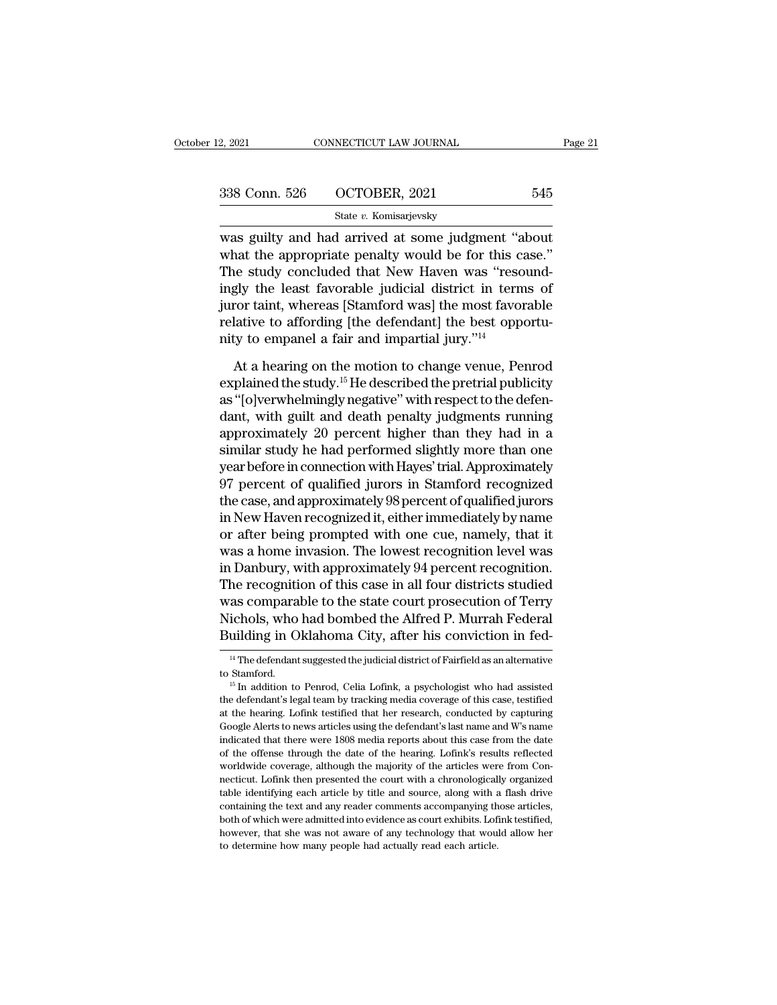| 2, 2021       | CONNECTICUT LAW JOURNAL | Page 21 |  |
|---------------|-------------------------|---------|--|
| 338 Conn. 526 | OCTOBER, 2021           | 545     |  |
|               | State v. Komisarjevsky  |         |  |

2, 2021 CONNECTICUT LAW JOURNAL Page 2<br>
338 Conn. 526 OCTOBER, 2021 545<br>
State v. Komisarjevsky<br>
was guilty and had arrived at some judgment "about<br>
what the appropriate penalty would be for this case."<br>
The study conclude  $338$  Conn. 526 OCTOBER, 2021 545<br>State v. Komisarjevsky<br>was guilty and had arrived at some judgment "about<br>what the appropriate penalty would be for this case."<br>The study concluded that New Haven was "resound-<br>ingly the  $\frac{338 \text{ Conn. } 526 \qquad \text{OCTOBER, } 2021 \qquad \text{545}}{\text{State } v. \text{ Komisarjevsky}}$ <br>
was guilty and had arrived at some judgment "about<br>
what the appropriate penalty would be for this case."<br>
The study concluded that New Haven was "resound-<br> 338 Conn. 526 OCTOBER, 2021 545<br>
State v. Komisarjevsky<br>
was guilty and had arrived at some judgment "about<br>
what the appropriate penalty would be for this case."<br>
The study concluded that New Haven was "resound-<br>
ingly t State v. Komisarjevsky<br>was guilty and had arrived at some judgment "about<br>what the appropriate penalty would be for this case."<br>The study concluded that New Haven was "resound-<br>ingly the least favorable judicial district state v. Romsarjevsky<br>was guilty and had arrived at some judgment "about<br>what the appropriate penalty would be for this case."<br>The study concluded that New Haven was "resound-<br>ingly the least favorable judicial district i was guilty and had arrived at some judgment "a<br>what the appropriate penalty would be for this c<br>The study concluded that New Haven was "resc<br>ingly the least favorable judicial district in tern<br>juror taint, whereas [Stamfor is the study concluded that New Haven was "resound-<br>gly the least favorable judicial district in terms of<br>ror taint, whereas [Stamford was] the most favorable<br>lative to affording [the defendant] the best opportu-<br>ty to emp ingly the least favorable judicial district in terms of<br>juror taint, whereas [Stamford was] the most favorable<br>relative to affording [the defendant] the best opportu-<br>nity to empanel a fair and impartial jury."<sup>14</sup><br>At a he

juror taint, whereas [Stamford was] the most favorable<br>relative to affording [the defendant] the best opportu-<br>nity to empanel a fair and impartial jury."<sup>14</sup><br>At a hearing on the motion to change venue, Penrod<br>explained t relative to affording [the defendant] the best opportunity to empanel a fair and impartial jury."<sup>14</sup><br>At a hearing on the motion to change venue, Penrod<br>explained the study.<sup>15</sup> He described the pretrial publicity<br>as "[o] nity to empanel a fair and impartial jury."<sup>14</sup><br>At a hearing on the motion to change venue, Penrod<br>explained the study.<sup>15</sup> He described the pretrial publicity<br>as "[o]verwhelmingly negative" with respect to the defen-<br>dant At a hearing on the motion to change venue, Penrod<br>explained the study.<sup>15</sup> He described the pretrial publicity<br>as "[o]verwhelmingly negative" with respect to the defen-<br>dant, with guilt and death penalty judgments runnin At a hearing on the motion to change venue, Penrod<br>explained the study.<sup>15</sup> He described the pretrial publicity<br>as "[o]verwhelmingly negative" with respect to the defen-<br>dant, with guilt and death penalty judgments running explained the study.<sup>15</sup> He described the pretrial publicity<br>as "[o]verwhelmingly negative" with respect to the defen-<br>dant, with guilt and death penalty judgments running<br>approximately 20 percent higher than they had in a as "[o]verwhelmingly negative" with respect to the defen-<br>dant, with guilt and death penalty judgments running<br>approximately 20 percent higher than they had in a<br>similar study he had performed slightly more than one<br>year b dant, with guilt and death penalty judgments running<br>approximately 20 percent higher than they had in a<br>similar study he had performed slightly more than one<br>year before in connection with Hayes' trial. Approximately<br>97 pe approximately 20 percent higher than they had in a<br>similar study he had performed slightly more than one<br>year before in connection with Hayes' trial. Approximately<br>97 percent of qualified jurors in Stamford recognized<br>the similar study he had performed slightly more than one<br>year before in connection with Hayes' trial. Approximately<br>97 percent of qualified jurors in Stamford recognized<br>the case, and approximately 98 percent of qualified jur year before in connection with Hayes' trial. Approximately<br>97 percent of qualified jurors in Stamford recognized<br>the case, and approximately 98 percent of qualified jurors<br>in New Haven recognized it, either immediately by 97 percent of qualified jurors in Stamford recognized<br>the case, and approximately 98 percent of qualified jurors<br>in New Haven recognized it, either immediately by name<br>or after being prompted with one cue, namely, that it<br> the case, and approximately 98 percent of qualified jurors<br>in New Haven recognized it, either immediately by name<br>or after being prompted with one cue, namely, that it<br>was a home invasion. The lowest recognition level was<br> in New Haven recognized it, either immediately by name<br>or after being prompted with one cue, namely, that it<br>was a home invasion. The lowest recognition level was<br>in Danbury, with approximately 94 percent recognition.<br>The or after being prompted with one cue, namely, that it<br>was a home invasion. The lowest recognition level was<br>in Danbury, with approximately 94 percent recognition.<br>The recognition of this case in all four districts studied<br> ne recognition of this case in all four districts studied<br>as comparable to the state court prosecution of Terry<br>ichols, who had bombed the Alfred P. Murrah Federal<br>uilding in Oklahoma City, after his conviction in fed-<br><sup>14</sup> was comparable to the state court prosecution of Terry<br>Nichols, who had bombed the Alfred P. Murrah Federal<br>Building in Oklahoma City, after his conviction in fed-<br><sup>14</sup> The defendant suggested the judicial district of Fair

Building in Oklahoma City, after his conviction in fed-<br><sup>14</sup> The defendant suggested the judicial district of Fairfield as an alternative<br>to Stamford.<br><sup>15</sup> In addition to Penrod, Celia Lofink, a psychologist who had assist Furtung III OKTAHOTHA CIty, ALTET HIS CONVICTION III FEG-<br>
<sup>14</sup> The defendant suggested the judicial district of Fairfield as an alternative<br>
<sup>15</sup> In addition to Penrod, Celia Lofink, a psychologist who had assisted<br>
the d <sup>14</sup> The defendant suggested the judicial district of Fairfield as an alternative<br>to Stamford.<br><sup>15</sup> In addition to Penrod, Celia Lofink, a psychologist who had assisted<br>the defendant's legal team by tracking media coverag to Stamford.<br>
<sup>15</sup> In addition to Penrod, Celia Lofink, a psychologist who had assisted<br>
the defendant's legal team by tracking media coverage of this case, testified<br>
at the hearing. Lofink testified that her research, co <sup>15</sup> In addition to Penrod, Celia Lofink, a psychologist who had assisted the defendant's legal team by tracking media coverage of this case, testified at the hearing. Lofink testified that her research, conducted by capt <sup>15</sup> In addition to Penrod, Celia Lofink, a psychologist who had assisted the defendant's legal team by tracking media coverage of this case, testified at the hearing. Lofink testified that her research, conducted by capt and the hearing. Lofink testified that her research, conducted by capturing Google Alerts to news articles using the defendant's last name and W's name indicated that there were 1808 media reports about this case from the Google Alerts to news articles using the defendant's last name and W's name indicated that there were 1808 media reports about this case from the date of the offense through the date of the hearing. Lofink's results reflec indicated that there were 1808 media reports about this case from the date of the offense through the date of the hearing. Lofink's results reflected worldwide coverage, although the majority of the articles were from Conn of the offense through the date of the hearing. Lofink's results reflected worldwide coverage, although the majority of the articles were from Connecticut. Lofink then presented the court with a chronologically organized t worldwide coverage, although the majority of the articles were from Connecticut. Lofink then presented the court with a chronologically organized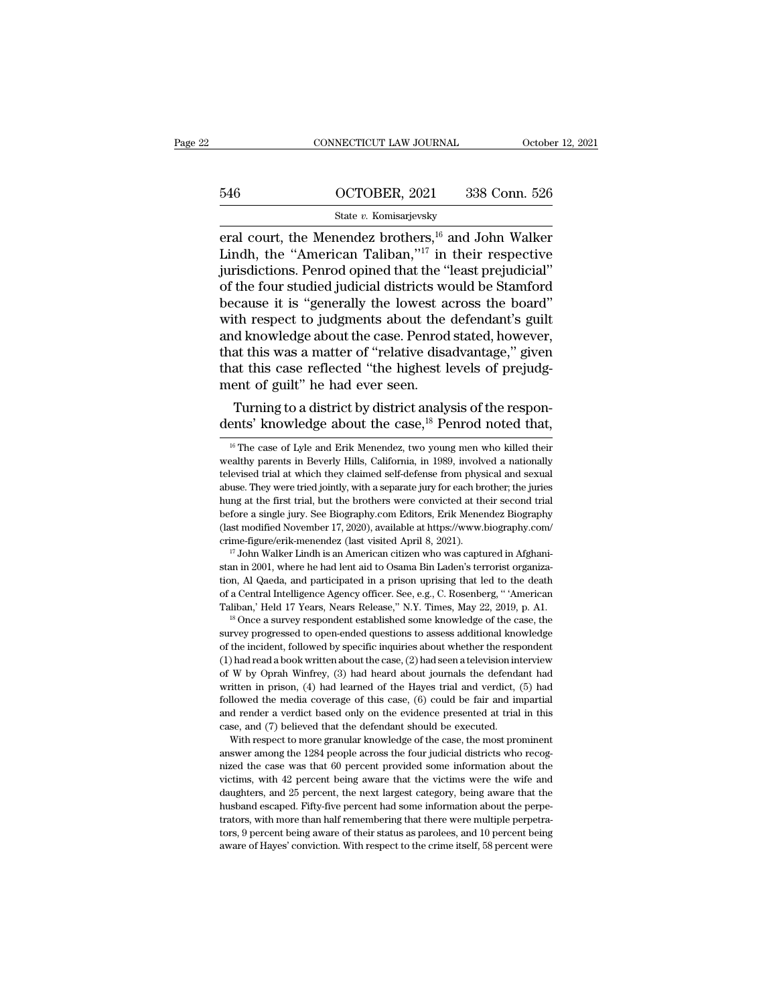# CONNECTICUT LAW JOURNAL October 12, 2021<br>546 OCTOBER, 2021 338 Conn. 526<br>5tate v. Komisarjevsky

# State *v.* Komisarjevsky

EXECUTE CONNECTICUT LAW JOURNAL COCTOBER CONSECTION  $\frac{646}{546}$  COCTOBER, 2021 338 Conn. 526<br>
State v. Komisarjevsky<br>
Example 2 brothers,<sup>16</sup> and John Walker<br>
Lindh, the "American Taliban,"<sup>17</sup> in their respective<br>
invi 546 CCTOBER, 2021 338 Conn. 526<br>
State v. Komisarjevsky<br>
Final court, the Menendez brothers, <sup>16</sup> and John Walker<br>
Lindh, the "American Taliban,"<sup>17</sup> in their respective<br>
jurisdictions. Penrod opined that the "least preju 546 OCTOBER, 2021 338 Conn. 526<br>
State v. Komisarjevsky<br>
eral court, the Menendez brothers, <sup>16</sup> and John Walker<br>
Lindh, the "American Taliban,"<sup>17</sup> in their respective<br>
jurisdictions. Penrod opined that the "least prejud 546 **OCTOBER**, 2021 338 Conn. 526<br>
State *v*. Komisarjevsky<br>
eral court, the Menendez brothers, <sup>16</sup> and John Walker<br>
Lindh, the "American Taliban,"<sup>17</sup> in their respective<br>
jurisdictions. Penrod opined that the "least pr State v. Komisarjevsky<br>
eral court, the Menendez brothers, <sup>16</sup> and John Walker<br>
Lindh, the "American Taliban,"<sup>17</sup> in their respective<br>
jurisdictions. Penrod opined that the "least prejudicial"<br>
of the four studied judic state v. Komisarjevsky<br>
eral court, the Menendez brothers,  $^{16}$  and John Walker<br>
Lindh, the "American Taliban," $^{17}$  in their respective<br>
jurisdictions. Penrod opined that the "least prejudicial"<br>
of the four studied j eral court, the Menendez brothers,<sup>16</sup> and John Walker<br>Lindh, the "American Taliban,"<sup>17</sup> in their respective<br>jurisdictions. Penrod opined that the "least prejudicial"<br>of the four studied judicial districts would be Stamfo Lindh, the "American Taliban,"<sup>17</sup> in their respective<br>jurisdictions. Penrod opined that the "least prejudicial"<br>of the four studied judicial districts would be Stamford<br>because it is "generally the lowest across the board jurisdictions. Penrod opined that the "least prejudicial"<br>of the four studied judicial districts would be Stamford<br>because it is "generally the lowest across the board"<br>with respect to judgments about the defendant's guilt of the four studied judicial districts we<br>because it is "generally the lowest a<br>with respect to judgments about the<br>and knowledge about the case. Penrod<br>that this was a matter of "relative dist<br>that this case reflected "th cause it is generally the lowest across the board<br>th respect to judgments about the defendant's guilt<br>d knowledge about the case. Penrod stated, however,<br>at this was a matter of "relative disadvantage," given<br>at this case with respect to judgments about the detendant s gunt<br>and knowledge about the case. Penrod stated, however,<br>that this was a matter of "relative disadvantage," given<br>that this case reflected "the highest levels of prejudg-<br>

the fore a single jury. See Biography.com Editors, Erik Menendez Biography (last modified November 17, 2020), available at https://www.biography.com/<br>crime-figure/erik-menendez (last visited April 8, 2021).<br><sup>17</sup> John Walke Clast modified November 17, 2020), available at https://www.biography.com/<br>crime-figure/erik-menendez (last visited April 8, 2021).<br> $^{17}$  John Walker Lindh is an American citizen who was captured in Afghani-<br>stan in 2001 crime-figure/erik-menendez (last visited April 8, 2021).<br>
<sup>17</sup> John Walker Lindh is an American citizen who was captured in Afghanistan in 2001, where he had lent aid to Osama Bin Laden's terrorist organization, Al Qaeda, stan in 2001, where he had lent aid to Osama Bin Laden's terrorist organiza-<br>tion, Al Qaeda, and participated in a prison uprising that led to the death<br>of a Central Intelligence Agency officer. See, e.g., C. Rosenberg, "'

stand, Al Qaeda, and participated in a prison uprising that led to the death of a Central Intelligence Agency officer. See, e.g., C. Rosenberg, "American Taliban," Held 17 Years, Nears Release," N.Y. Times, May 22, 2019, for a Central Intelligence Agency officer. See, e.g., C. Rosenberg, "American Taliban," Held 17 Years, Nears Release," N.Y. Times, May 22, 2019, p. A1.<br>Taliban," Held 17 Years, Nears Release," N.Y. Times, May 22, 2019, p. Taliban,' Held 17 Years, Nears Release," N.Y. Times, May 22, 2019, p. A1.<br>
<sup>18</sup> Once a survey respondent established some knowledge of the case, the survey progressed to open-ended questions to assess additional knowledge <sup>18</sup> Once a survey respondent established some knowledge of the case, the survey progressed to open-ended questions to assess additional knowledge of the incident, followed by specific inquiries about whether the responde survey progressed to open-ended questions to assess additional knowledge<br>of the incident, followed by specific inquiries about whether the respondent<br>(1) had read a book written about the case, (2) had seen a television i and render a verdict based only on the evidence presented at trial in this case, and (7) believed the evidence presented at trial in this case,  $(2)$  had been a television interview of W by Oprah Winfrey,  $(3)$  had heard (1) had read a book written about the case, (2) had seen a television in of W by Oprah Winfrey, (3) had heard about journals the defendant written in prison, (4) had learned of the Hayes trial and verdict, if ollowed the We by Oprah Winfrey, (3) had heard about journals the defendant had itten in prison, (4) had learned of the Hayes trial and verdict, (5) had llowed the media coverage of this case, (6) could be fair and impartial dereder written in prison,  $(4)$  had learned of the Hayes trial and verdict,  $(5)$  had followed the media coverage of this case,  $(6)$  could be fair and impartial and render a verdict based only on the evidence presented at trial

followed the media coverage of this case,  $(6)$  could be fair and impartial and render a verdict based only on the evidence presented at trial in this case, and  $(7)$  believed that the defendant should be executed.<br>With r and render a verdict based only on the evidence presented at trial in this case, and (7) believed that the defendant should be executed.<br>With respect to more granular knowledge of the case, the most prominent answer among case, and (7) believed that the defendant should be executed.<br>With respect to more granular knowledge of the case, the most prominent answer among the 1284 people across the four judicial districts who recognized the case With respect to more granular knowledge of the case, the most prominent answer among the 1284 people across the four judicial districts who recognized the case was that 60 percent provided some information about the victim The more among the 1284 people across the four judicial districts who recog-<br>nized the case was that 60 percent provided some information about the<br>victims, with 42 percent being aware that the victims were the wife and<br>da mized the case was that 60 percent provided some information about the victims, with 42 percent being aware that the victims were the wife and daughters, and 25 percent, the next largest category, being aware that the hus nized the case was that 60 percent provided some information about the victims, with 42 percent being aware that the victims were the wife and daughters, and 25 percent, the next largest category, being aware that the hus

The case of Exploration and Erik Menendez, two young men who killed their<br>
<sup>16</sup> The case of Lyle and Erik Menendez, two young men who killed their<br>
<sup>16</sup> The case of Lyle and Erik Menendez, two young men who killed their<br>
e Turning to a district by district analysis of the respondents' knowledge about the case,<sup>18</sup> Penrod noted that,<br><sup>16</sup> The case of Lyle and Erik Menendez, two young men who killed their wealthy parents in Beverly Hills, Cali Turning to a district by district analysis of the respondents' knowledge about the case,<sup>18</sup> Penrod noted that,<br><sup>16</sup> The case of Lyle and Erik Menendez, two young men who killed their wealthy parents in Beverly Hills, Cal dents' knowledge about the case,<sup>18</sup> Penrod noted that,<br> $\frac{16}{16}$  The case of Lyle and Erik Menendez, two young men who killed their<br>wealthy parents in Beverly Hills, California, in 1989, involved a nationally<br>televised deritts KHOWIEQge about the Case,<sup>22</sup> Pentrod Hoted trial,<br><sup>16</sup> The case of Lyle and Erik Menendez, two young men who killed their<br>wealthy parents in Beverly Hills, California, in 1989, involved a nationally<br>televised tria <sup>16</sup> The case of Lyle and Erik Menendez, two young men who killed their wealthy parents in Beverly Hills, California, in 1989, involved a nationally televised trial at which they claimed self-defense from physical and sex wealthy parents in Beverly Hills, California, in 1989, involved a nationally televised trial at which they claimed self-defense from physical and sexual abuse. They were tried jointly, with a separate jury for each brother crime-figure/erik-menendez (last visited April 8, 2021).<br>
abuse. They were tried jointly, with a separate jury for each brother; the juries<br>
hung at the first trial, but the brothers were convicted at their second trial<br> stand in 2001, where he had lent aid to Osama Bin Laden's terrorist organization, Al Qaeda, and participated in a prison uprising that led to the death aid to Osama Bin Laden's terrorist organization, Al Qaeda, and partici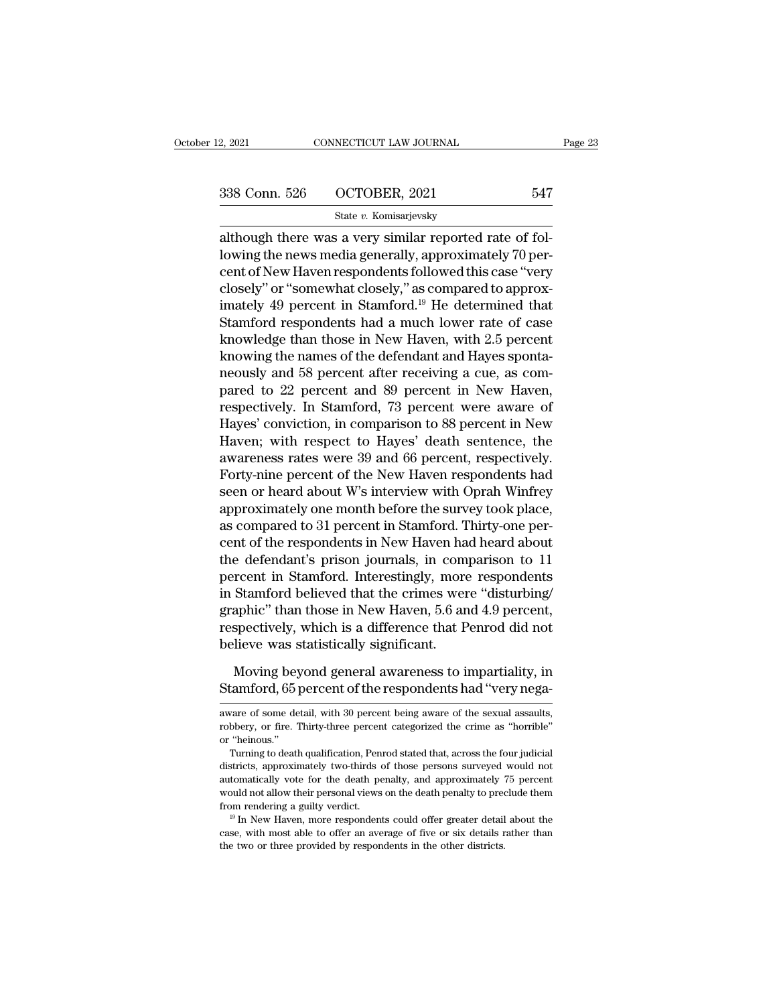2, 2021 CONNECTICUT LAW JOURNAL<br>
338 Conn. 526 OCTOBER, 2021 547<br>
347 State v. Komisarjevsky<br>
although there was a very similar reported rate of fol-<br>
lowing the news media generally, approximately 70 per-338 Conn. 526 COCTOBER, 2021 547<br>State v. Komisarjevsky<br>although there was a very similar reported rate of fol-<br>lowing the news media generally, approximately 70 per-<br>cent of New Haven respondents followed this case "very 338 Conn. 526 OCTOBER, 2021 547<br>
State v. Komisarjevsky<br>
although there was a very similar reported rate of fol-<br>
lowing the news media generally, approximately 70 per-<br>
cent of New Haven respondents followed this case "v 338 Conn. 526 OCTOBER, 2021 547<br>
State v. Komisarjevsky<br>
although there was a very similar reported rate of fol-<br>
lowing the news media generally, approximately 70 per-<br>
cent of New Haven respondents followed this case "v State v. Komisarjevsky<br>
although there was a very similar reported rate of fol-<br>
lowing the news media generally, approximately 70 per-<br>
cent of New Haven respondents followed this case "very<br>
closely" or "somewhat closel State v. Romsarjevsky<br>although there was a very similar reported rate of fol-<br>lowing the news media generally, approximately 70 per-<br>cent of New Haven respondents followed this case "very<br>closely" or "somewhat closely," a although there was a very similar reported rate of fol-<br>lowing the news media generally, approximately 70 per-<br>cent of New Haven respondents followed this case "very<br>closely" or "somewhat closely," as compared to approx-<br>i lowing the news media generally, approximately 70 percent of New Haven respondents followed this case "very closely" or "somewhat closely," as compared to approximately 49 percent in Stamford.<sup>19</sup> He determined that Stamfo cent of New Haven respondents followed this case "very<br>closely" or "somewhat closely," as compared to approx-<br>imately 49 percent in Stamford.<sup>19</sup> He determined that<br>Stamford respondents had a much lower rate of case<br>knowle closely" or "somewhat closely," as compared to approx-<br>imately 49 percent in Stamford.<sup>19</sup> He determined that<br>Stamford respondents had a much lower rate of case<br>knowledge than those in New Haven, with 2.5 percent<br>knowing t imately 49 percent in Stamford.<sup>19</sup> He determined that<br>Stamford respondents had a much lower rate of case<br>knowledge than those in New Haven, with 2.5 percent<br>knowing the names of the defendant and Hayes sponta-<br>neously and Stamford respondents had a much lower rate of case<br>knowledge than those in New Haven, with 2.5 percent<br>knowing the names of the defendant and Hayes sponta-<br>neously and 58 percent after receiving a cue, as com-<br>pared to 22 knowledge than those in New Haven, with 2.5 percent<br>knowing the names of the defendant and Hayes sponta-<br>neously and 58 percent after receiving a cue, as com-<br>pared to 22 percent and 89 percent in New Haven,<br>respectively. knowing the names of the defendant and Hayes sponta-<br>neously and 58 percent after receiving a cue, as com-<br>pared to 22 percent and 89 percent in New Haven,<br>respectively. In Stamford, 73 percent were aware of<br>Hayes' convict neously and 58 percent after receiving a cue, as compared to 22 percent and 89 percent in New Haven, respectively. In Stamford, 73 percent were aware of Hayes' conviction, in comparison to 88 percent in New Haven; with res pared to 22 percent and 89 percent in New Haven,<br>respectively. In Stamford, 73 percent were aware of<br>Hayes' conviction, in comparison to 88 percent in New<br>Haven; with respect to Hayes' death sentence, the<br>awareness rates w respectively. In Stamford, 73 percent were aware of<br>Hayes' conviction, in comparison to 88 percent in New<br>Haven; with respect to Hayes' death sentence, the<br>awareness rates were 39 and 66 percent, respectively.<br>Forty-nine p Hayes' conviction, in comparison to 88 percent in New<br>Haven; with respect to Hayes' death sentence, the<br>awareness rates were 39 and 66 percent, respectively.<br>Forty-nine percent of the New Haven respondents had<br>seen or hear Haven; with respect to Hayes' death sentence, the<br>awareness rates were 39 and 66 percent, respectively.<br>Forty-nine percent of the New Haven respondents had<br>seen or heard about W's interview with Oprah Winfrey<br>approximately awareness rates were 39 and 66 percent, respectively.<br>Forty-nine percent of the New Haven respondents had<br>seen or heard about W's interview with Oprah Winfrey<br>approximately one month before the survey took place,<br>as compar Forty-nine percent of the New Haven respondents had<br>seen or heard about W's interview with Oprah Winfrey<br>approximately one month before the survey took place,<br>as compared to 31 percent in Stamford. Thirty-one per-<br>cent of seen or heard about W's interview with Oprah Winfrey<br>approximately one month before the survey took place,<br>as compared to 31 percent in Stamford. Thirty-one per-<br>cent of the respondents in New Haven had heard about<br>the def approximately one month before the survey took place,<br>as compared to 31 percent in Stamford. Thirty-one per-<br>cent of the respondents in New Haven had heard about<br>the defendant's prison journals, in comparison to 11<br>percent as compared to 31 percent in Stamford. Thirty-one percent of the respondents in New Haven had heard about<br>the defendant's prison journals, in comparison to 11<br>percent in Stamford. Interestingly, more respondents<br>in Stamfor cent of the respondents in New Haven ha<br>the defendant's prison journals, in com<br>percent in Stamford. Interestingly, more<br>in Stamford believed that the crimes wer<br>graphic" than those in New Haven, 5.6 ar<br>respectively, which rcent in Stamford. Interestingly, more respondents<br>Stamford believed that the crimes were "disturbing/<br>aphic" than those in New Haven, 5.6 and 4.9 percent,<br>spectively, which is a difference that Penrod did not<br>lieve was st in Stamford believed that the crimes were "disturbing/<br>graphic" than those in New Haven, 5.6 and 4.9 percent,<br>respectively, which is a difference that Penrod did not<br>believe was statistically significant.<br>Moving beyond gen

believe was statistically significant.<br>
Moving beyond general awareness to impartiality, in<br>
Stamford, 65 percent of the respondents had "very nega-<br>
aware of some detail, with 30 percent being aware of the sexual assaults Moving beyond general awareness to impartiality, in<br>Stamford, 65 percent of the respondents had "very nega-<br>aware of some detail, with 30 percent being aware of the sexual assaults,<br>robbery, or fire. Thirty-three percent c Moving bey<br>
Stamford, 65<br>
aware of some de<br>
robbery, or fire.<br>
or "heinous."<br>
Turning to deat! tamford, 65 percent of the respondents had "very nega-<br>vare of some detail, with 30 percent being aware of the sexual assaults,<br>bbery, or fire. Thirty-three percent categorized the crime as "horrible"<br>"heinous."<br>Turning to

district of the Fespondents had very nega-<br>aware of some detail, with 30 percent being aware of the sexual assaults,<br>robbery, or fire. Thirty-three percent categorized the crime as "horrible"<br>or "heinous."<br>Turning to death aware of some detail, with 30 percent being aware of the sexual assaults, robbery, or fire. Thirty-three percent categorized the crime as "horrible" or "heinous." Turning to death qualification, Penrod stated that, across robbery, or fire. Thirty-three percent categorized the crime as "horrible"<br>or "heinous."<br>Turning to death qualification, Penrod stated that, across the four judicial<br>districts, approximately two-thirds of those persons sur from rendering a guilty verdict. 19 In New Haven, more responsed to the four judicial districts, approximately two-thirds of those persons surveyed would not automatically vote for the death penalty, and approximately 75 p districts, approximately two-thirds of those persons surveyed would not automatically vote for the death penalty, and approximately 75 percent would not allow their personal views on the death penalty to preclude them fro automatically vote for the death penalty, and approximately 'would not allow their personal views on the death penalty to pred<br>from rendering a guilty verdict.<br><sup>19</sup> In New Haven, more respondents could offer greater detail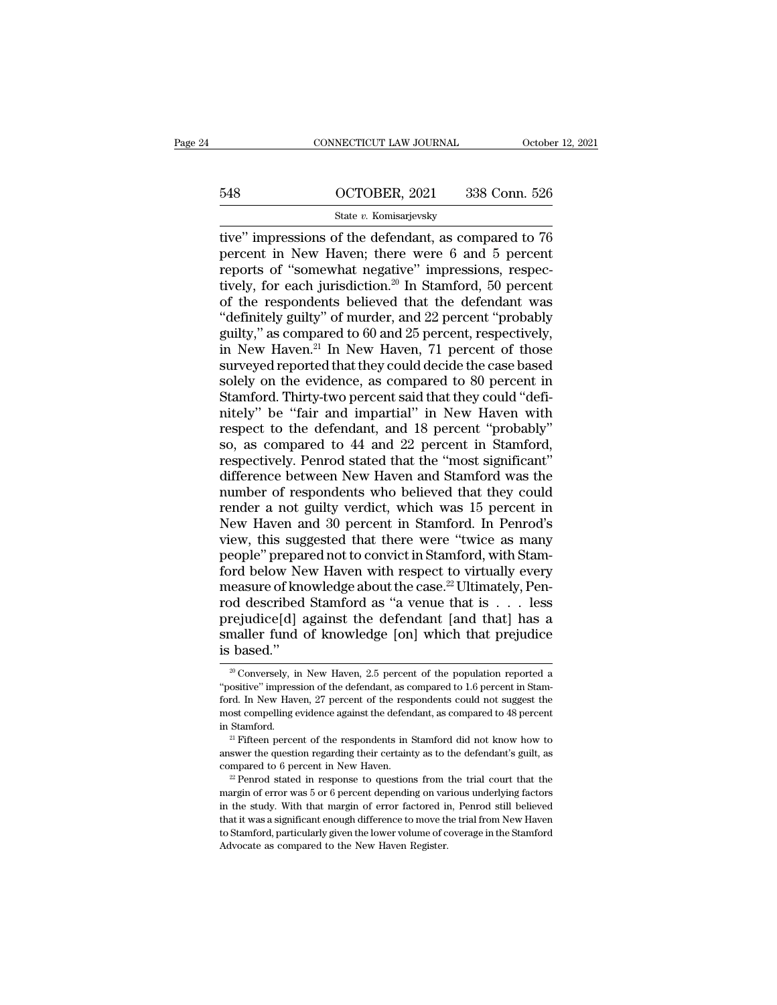# CONNECTICUT LAW JOURNAL October 12, 2021<br>548 OCTOBER, 2021 338 Conn. 526<br>5tate v. Komisarjevsky

# State *v.* Komisarjevsky

CONNECTICUT LAW JOURNAL October 12, 2021<br>
548 OCTOBER, 2021 338 Conn. 526<br>
548 State v. Komisarjevsky<br>
548 State v. Komisarjevsky<br>
548 State v. Komisarjevsky<br>
548 State v. Komisarjevsky<br>
548 Conn. 526<br>
556 Terret in New Ha 548 OCTOBER, 2021 338 Conn. 526<br>
State v. Komisarjevsky<br>
tive" impressions of the defendant, as compared to 76<br>
percent in New Haven; there were 6 and 5 percent<br>
reports of "somewhat negative" impressions, respec-<br>
tively 548 OCTOBER, 2021 338 Conn. 526<br>
State v. Komisarjevsky<br>
tive" impressions of the defendant, as compared to 76<br>
percent in New Haven; there were 6 and 5 percent<br>
reports of "somewhat negative" impressions, respec-<br>
tively 548 OCTOBER, 2021 338 Conn. 526<br>
State *v*. Komisarjevsky<br>
tive" impressions of the defendant, as compared to 76<br>
percent in New Haven; there were 6 and 5 percent<br>
reports of "somewhat negative" impressions, respec-<br>
tive Section that the response of the defendant, as compared to 76<br>percent in New Haven; there were 6 and 5 percent<br>reports of "somewhat negative" impressions, respec-<br>tively, for each jurisdiction.<sup>20</sup> In Stamford, 50 percent State v. Komisarjevsky<br>
tive" impressions of the defendant, as compared to 76<br>
percent in New Haven; there were 6 and 5 percent<br>
reports of "somewhat negative" impressions, respec-<br>
tively, for each jurisdiction.<sup>20</sup> In S tive" impressions of the defendant, as compared to 76<br>percent in New Haven; there were 6 and 5 percent<br>reports of "somewhat negative" impressions, respec-<br>tively, for each jurisdiction.<sup>20</sup> In Stamford, 50 percent<br>of the percent in New Haven; there were 6 and 5 percent<br>reports of "somewhat negative" impressions, respec-<br>tively, for each jurisdiction.<sup>20</sup> In Stamford, 50 percent<br>of the respondents believed that the defendant was<br>"definitel reports of "somewhat negative" impressions, respectively, for each jurisdiction.<sup>20</sup> In Stamford, 50 percent of the respondents believed that the defendant was "definitely guilty" of murder, and 22 percent "probably guilt tively, for each jurisdiction.<sup>20</sup> In Stamford, 50 percent<br>of the respondents believed that the defendant was<br>"definitely guilty" of murder, and 22 percent "probably<br>guilty," as compared to 60 and 25 percent, respectively, "definitely guilty" of murder, and 22 percent "probably guilty," as compared to 60 and 25 percent, respectively, in New Haven.<sup>21</sup> In New Haven, 71 percent of those surveyed reported that they could decide the case based "definitely guilty" of murder, and 22 percent "probably<br>guilty," as compared to 60 and 25 percent, respectively,<br>in New Haven.<sup>21</sup> In New Haven, 71 percent of those<br>surveyed reported that they could decide the case based<br> guilty," as compared to 60 and 25 percent, respectively,<br>in New Haven.<sup>21</sup> In New Haven, 71 percent of those<br>surveyed reported that they could decide the case based<br>solely on the evidence, as compared to 80 percent in<br>Stam in New Haven.<sup>21</sup> In New Haven, 71 percent of those<br>surveyed reported that they could decide the case based<br>solely on the evidence, as compared to 80 percent in<br>Stamford. Thirty-two percent said that they could "defi-<br>nite surveyed reported that they could decide the case based<br>solely on the evidence, as compared to 80 percent in<br>Stamford. Thirty-two percent said that they could "defi-<br>nitely" be "fair and impartial" in New Haven with<br>respec solely on the evidence, as compared to 80 percent in<br>Stamford. Thirty-two percent said that they could "defi-<br>nitely" be "fair and impartial" in New Haven with<br>respect to the defendant, and 18 percent "probably"<br>so, as com Stamford. Thirty-two percent said that they could "defi-<br>nitely" be "fair and impartial" in New Haven with<br>respect to the defendant, and 18 percent "probably"<br>so, as compared to 44 and 22 percent in Stamford,<br>respectively. nitely" be "fair and impartial" in New Haven with<br>respect to the defendant, and 18 percent "probably"<br>so, as compared to 44 and 22 percent in Stamford,<br>respectively. Penrod stated that the "most significant"<br>difference bet respect to the defendant, and 18 percent "probably"<br>so, as compared to 44 and 22 percent in Stamford,<br>respectively. Penrod stated that the "most significant"<br>difference between New Haven and Stamford was the<br>number of resp so, as compared to 44 and 22 percent in Stamford,<br>respectively. Penrod stated that the "most significant"<br>difference between New Haven and Stamford was the<br>number of respondents who believed that they could<br>render a not gu respectively. Penrod stated that the "most significant"<br>difference between New Haven and Stamford was the<br>number of respondents who believed that they could<br>render a not guilty verdict, which was 15 percent in<br>New Haven a difference between New Haven and Stamford was the<br>number of respondents who believed that they could<br>render a not guilty verdict, which was 15 percent in<br>New Haven and 30 percent in Stamford. In Penrod's<br>view, this suggest number of respondents who believed that they could<br>render a not guilty verdict, which was 15 percent in<br>New Haven and 30 percent in Stamford. In Penrod's<br>view, this suggested that there were "twice as many<br>people" prepared render a not guilty verdict, which was 15 percent in<br>New Haven and 30 percent in Stamford. In Penrod's<br>view, this suggested that there were "twice as many<br>people" prepared not to convict in Stamford, with Stam-<br>ford below New Haven and 30 percent in Stamford. In Penrod's<br>view, this suggested that there were "twice as many<br>people" prepared not to convict in Stamford, with Stam-<br>ford below New Haven with respect to virtually every<br>measure of view, this suggested that there were "twice as many<br>people" prepared not to convict in Stamford, with Stam-<br>ford below New Haven with respect to virtually every<br>measure of knowledge about the case.<sup>22</sup> Ultimately, Pen-<br>rod people" prepar<br>ford below Ne<br>measure of kno<br>rod described<br>prejudice[d] a<br>smaller fund of<br>is based." 20 described Stamford as "a venue that is . . . less<br>rejudice[d] against the defendant [and that] has a<br>maller fund of knowledge [on] which that prejudice<br>based."<br> $\frac{20 \text{ Conversely, in New Haven, } 2.5 \text{ percent of the population reported a}\n\text{ositive" impression of the defendant, as compared to 1.6 percent in Stan$ prejudice[d] against the defendant [and that] has a smaller fund of knowledge [on] which that prejudice is based."<br> $\frac{1}{20}$  Conversely, in New Haven, 2.5 percent of the population reported a "positive" impression of the

**Smaller fund of knowledge [on] which that prejudice**<br>is based."<br><sup>20</sup> Conversely, in New Haven, 2.5 percent of the population reported a "positive" impression of the defendant, as compared to 1.6 percent in Stamford. In Ne is based."<br>  $\frac{20}{20}$  Conversely, in New Haven, 2.5 percent of the population reported a "positive" impression of the defendant, as compared to 1.6 percent in Stamford. In New Haven, 27 percent of the respondents could is Dased.<br>
<sup>20</sup> Conversely, in New Haven, 2.5 percent of the population reported a "positive" impression of the defendant, as compared to 1.6 percent in Stamford. In New Haven, 27 percent of the respondents could not sugg "positive" impression of the defendant, as compared to  $1.6$  percent in Stamford. In New Haven, 27 percent of the respondents could not suggest the most compelling evidence against the defendant, as compared to 48 percent ford. In New Haven, 27 percent of the respondents could not suggest the most compelling evidence against the defendant, as compared to 48 percent in Stamford.<br><sup>21</sup> Fifteen percent of the respondents in Stamford did not kn

in Stamford.<br><sup>21</sup> Fifteen percent of the respondents in Stamford did not know how to answer the question regarding their certainty as to the defendant's guilt, as compared to 6 percent in New Haven.<br><sup>22</sup> Penrod stated in <sup>21</sup> Fifteen percent of the respondents in Stamford did not know how to answer the question regarding their certainty as to the defendant's guilt, as compared to 6 percent in New Haven.<br><sup>22</sup> Penrod stated in response to q answer the question regarding their certainty as to the defendant's guilt, as compared to 6 percent in New Haven.<br><sup>22</sup> Penrod stated in response to questions from the trial court that the margin of error was 5 or 6 percen compared to 6 percent in New Haven.<br>
<sup>22</sup> Penrod stated in response to questions from the trial court that the margin of error was 5 or 6 percent depending on various underlying factors in the study. With that margin of er margin of error was 5 or 6 percent depending on various underlying factors<br>in the study. With that margin of error factored in, Penrod still believed<br>that it was a significant enough difference to move the trial from New H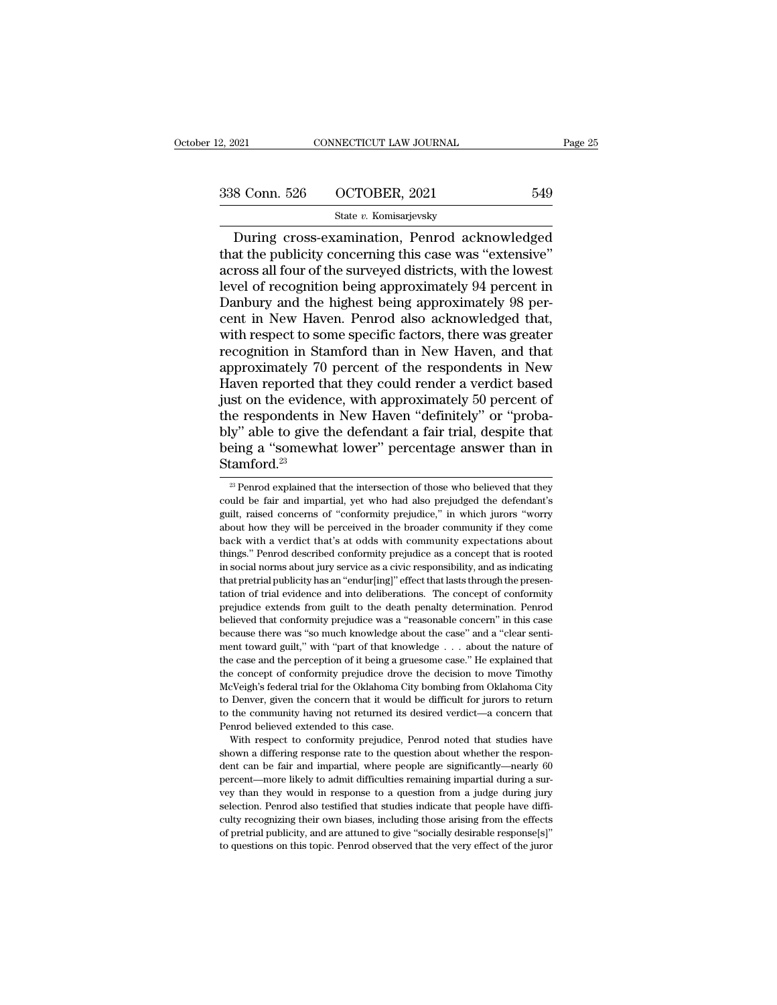| 2, 2021       | CONNECTICUT LAW JOURNAL | Page 25 |
|---------------|-------------------------|---------|
| 338 Conn. 526 | OCTOBER, 2021           | 549     |
|               | State v. Komisarjevsky  |         |

 $\begin{array}{ccc}\n 0.021 & \text{CONRECTICUT LAW JOURNAL} & \text{Page 25}\n \hline\n 8 & \text{Conn. } 526 & \text{OCTOBER, } 2021 & 549\n \end{array}$ <br>  $\begin{array}{ccc}\n \text{State } v. \text{ Komisarievsky}\n \hline\n \text{During cross-examination, Penrod acknowledged}\n \hline\n \text{at the publicity concerning this case was "extensive"\n \end{array}$ 338 Conn. 526 OCTOBER, 2021 549<br>State v. Komisarjevsky<br>During cross-examination, Penrod acknowledged<br>that the publicity concerning this case was "extensive"<br>across all four of the surveyed districts, with the lowest<br>level 338 Conn. 526 OCTOBER, 2021 549<br>
State v. Komisarjevsky<br>
During cross-examination, Penrod acknowledged<br>
that the publicity concerning this case was "extensive"<br>
across all four of the surveyed districts, with the lowest<br> 338 Conn. 526  $\qquad$  OCTOBER, 2021  $\qquad$  549<br>
State v. Komisarjevsky<br>
During cross-examination, Penrod acknowledged<br>
that the publicity concerning this case was "extensive"<br>
across all four of the surveyed districts, with State v. Komisarjevsky<br>During cross-examination, Penrod acknowledged<br>that the publicity concerning this case was "extensive"<br>across all four of the surveyed districts, with the lowest<br>level of recognition being approximat State v. Komisarjevsky<br>
During cross-examination, Penrod acknowledged<br>
that the publicity concerning this case was "extensive"<br>
across all four of the surveyed districts, with the lowest<br>
level of recognition being approx During cross-examination, Penrod acknowledged<br>that the publicity concerning this case was "extensive"<br>across all four of the surveyed districts, with the lowest<br>level of recognition being approximately 94 percent in<br>Danbur that the publicity concerning this case was "extensive"<br>across all four of the surveyed districts, with the lowest<br>level of recognition being approximately 94 percent in<br>Danbury and the highest being approximately 98 per-<br> across all four of the surveyed districts, with the lowest<br>level of recognition being approximately 94 percent in<br>Danbury and the highest being approximately 98 per-<br>cent in New Haven. Penrod also acknowledged that,<br>with r level of recognition being approximately 94 percent in<br>Danbury and the highest being approximately 98 percent in New Haven. Penrod also acknowledged that,<br>with respect to some specific factors, there was greater<br>recognitio Danbury and the highest being approximately 98 percent in New Haven. Penrod also acknowledged that, with respect to some specific factors, there was greater recognition in Stamford than in New Haven, and that approximately cent in New Haven. Penrod also acknowledged that,<br>with respect to some specific factors, there was greater<br>recognition in Stamford than in New Haven, and that<br>approximately 70 percent of the respondents in New<br>Haven report with respect to some specific factors, there was greater<br>recognition in Stamford than in New Haven, and that<br>approximately 70 percent of the respondents in New<br>Haven reported that they could render a verdict based<br>just on recognition in Stamford than in New Haven, and that<br>approximately 70 percent of the respondents in New<br>Haven reported that they could render a verdict based<br>just on the evidence, with approximately 50 percent of<br>the respon Stamford.<sup>23</sup> is the respondents in New Haven "definitely" or "proba-<br>by" able to give the defendant a fair trial, despite that<br>eing a "somewhat lower" percentage answer than in<br>tamford.<sup>23</sup><br><sup>23</sup> Penrod explained that the intersection o bly" able to give the defendant a fair trial, despite that<br>being a "somewhat lower" percentage answer than in<br>Stamford.<sup>23</sup><br><sup>23</sup> Penrod explained that the intersection of those who believed that they<br>could be fair and impa

being a "somewhat lower" percentage answer than in Stamford.<sup>23</sup><br> $\frac{1}{x}$ Penrod explained that the intersection of those who believed that they could be fair and impartial, yet who had also prejudged the defendant's guil Stamford.<sup>23</sup><br>
<sup>23</sup> Penrod explained that the intersection of those who believed that they<br>
could be fair and impartial, yet who had also prejudged the defendant's<br>
guilt, raised concerns of "conformity prejudice," in whi  $\frac{1}{28}$  Penrod explained that the intersection of those who believed that they could be fair and impartial, yet who had also prejudged the defendant's guilt, raised concerns of "conformity prejudice," in which jurors " <sup>23</sup> Penrod explained that the intersection of those who believed that they could be fair and impartial, yet who had also prejudged the defendant's guilt, raised concerns of "conformity prejudice," in which jurors "worry could be fair and impartial, yet who had also prejudged the defendant's guilt, raised concerns of "conformity prejudice," in which jurors "worry about how they will be perceived in the broader community if they come back w but a but a concerns of "conformity prejudice," in which jurors "worry about how they will be perceived in the broader community if they come back with a verdict that's at odds with community expectations about things." Pe about how they will be perceived in the broader community if they come back with a verdict that's at odds with community expectations about things." Penrod described conformity prejudice as a concept that is rooted in soci back with a verdict that's at ods with community expectations about things." Penrod described conformity prejudice as a concept that is rooted in social norms about jury service as a civic responsibility, and as indicating things." Penrod described conformity prejudice as a concept that is rooted in social norms about jury service as a civic responsibility, and as indicating that pretrial publicity has an "endur[ing]" effect that lasts throu in social norms about jury service as a civic responsibility, and as indicating that pretrial publicity has an "endur[ing]" effect that lasts through the presentation of trial evidence and into deliberations. The concept mentation of trial publicity has an "endur[ing]" effect that lasts through the presentation of trial evidence and into deliberations. The concept of conformity prejudice extends from guilt to the death penalty determinatio tation of trial evidence and into deliberations. The concept of conformity prejudice extends from guilt to the death penalty determination. Penrod believed that conformity prejudice was a "reasonable concern" in this case prejudice extends from guilt to the death penalty determination. Penrod<br>believed that conformity prejudice was a "reasonable concern" in this case<br>because there was "so much knowledge about the case" and a "clear senti-<br>me pregieved that conformity prejudice was a "reasonable concern" in this case<br>because there was "so much knowledge about the case" and a "clear senti-<br>ment toward guilt," with "part of that knowledge  $\ldots$  about the nature because there was "so much knowledge about the case" and a "clear sentiment toward guilt," with "part of that knowledge  $\ldots$  about the nature of the case and the perception of it being a gruesome case." He explained that ment toward guilt," with "part of that knowledge  $\ldots$  about the nature of the case and the perception of it being a gruesome case." He explained that the concept of conformity prejudice drove the decision to move Timothy The case and the perception of it being a grue<br>the case and the perception of it being a grue<br>the concept of conformity prejudice drove<br>McVeigh's federal trial for the Oklahoma City<br>to Denver, given the concern that it wou e concept of conformity prejudice drove the decision to move Timothy<br>cVeigh's federal trial for the Oklahoma City bombing from Oklahoma City<br>Denver, given the concern that it would be difficult for jurors to return<br>the com McVeigh's federal trial for the Oklahoma City bombing from Oklahoma City<br>to Denver, given the concern that it would be difficult for jurors to return<br>to the community having not returned its desired verdict—a concern that<br>

to Denver, given the concern that it would be difficult for jurors to return to the community having not returned its desired verdict—a concern that Penrod believed extended to this case.<br>With respect to conformity prejudi be community having not returned its desired verdict—a concern that<br>Penrod believed extended to this case.<br>With respect to conformity prejudice, Penrod noted that studies have<br>shown a differing response rate to the questio Penrod believed extended to this case.<br>
With respect to conformity prejudice, Penrod noted that studies have<br>
shown a differing response rate to the question about whether the respon-<br>
dent can be fair and impartial, where with respect to conformity prejudice, Penrod noted that studies have<br>shown a differing response rate to the question about whether the respon-<br>dent can be fair and impartial, where people are significantly—nearly 60<br>percen shown a differing response rate to the question about whether the respondent can be fair and impartial, where people are significantly—nearly 60 percent—more likely to admit difficulties remaining impartial during a survey of the fair and impartial, where people are significantly—nearly 60<br>percent—more likely to admit difficulties remaining impartial during a sur-<br>vey than they would in response to a question from a judge during jury<br>selecti percent—more likely to admit difficulties remaining impartial during a sur-<br>percent—more likely to admit difficulties remaining impartial during a sur-<br>vey than they would in response to a question from a judge during jury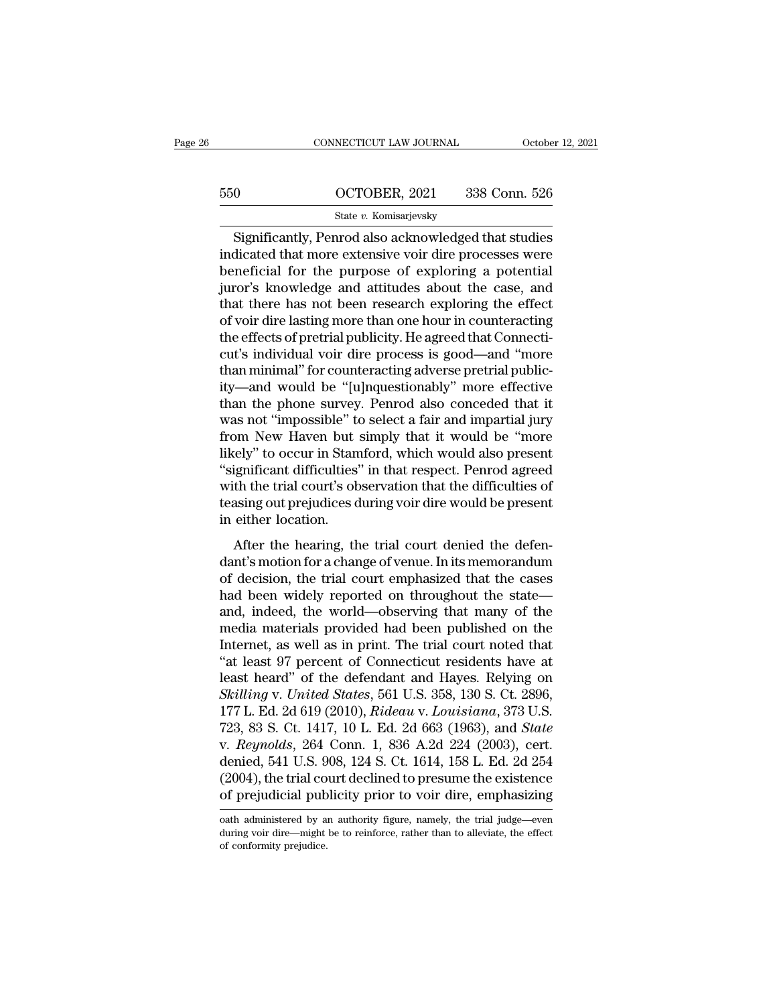# CONNECTICUT LAW JOURNAL October 12, 2021<br>550 OCTOBER, 2021 338 Conn. 526<br>5tate v. Komisarjevsky State *v.* Komisarjevsky

CONNECTICUT LAW JOURNAL October 12, 2021<br>
OCTOBER, 2021 338 Conn. 526<br>
State v. Komisarjevsky<br>
Significantly, Penrod also acknowledged that studies<br>
dicated that more extensive voir dire processes were  $\begin{array}{r} \text{550} & \text{OCTOBER, 2021} & \text{338 Conn. 526} \\ \text{State } v. \text{ Komisarjevsky} \\ \hline \text{Significantly, Penrod also acknowledged that studies indicated that more extensive voir dire processes were beneficial for the purpose of exploring a potential inverse knowledge and attitudes about the case, and the other.} \end{array}$  $\frac{\text{650}}{\text{State } v. \text{ Komisarjevsky}}$ <br>
Significantly, Penrod also acknowledged that studies<br>
indicated that more extensive voir dire processes were<br>
beneficial for the purpose of exploring a potential<br>
juror's knowledge and attit  $\frac{\text{GCTOBER}}{\text{State } v. \text{ Komisarievsky}}$ <br>Significantly, Penrod also acknowledged that studies<br>indicated that more extensive voir dire processes were<br>beneficial for the purpose of exploring a potential<br>juror's knowledge and attitudes State v. Komisarjevsky<br>
Significantly, Penrod also acknowledged that studies<br>
indicated that more extensive voir dire processes were<br>
beneficial for the purpose of exploring a potential<br>
juror's knowledge and attitudes ab State v. Komsarjevsky<br>
Significantly, Penrod also acknowledged that studies<br>
indicated that more extensive voir dire processes were<br>
beneficial for the purpose of exploring a potential<br>
juror's knowledge and attitudes abo Significantly, Penrod also acknowledged that studies<br>indicated that more extensive voir dire processes were<br>beneficial for the purpose of exploring a potential<br>juror's knowledge and attitudes about the case, and<br>that there indicated that more extensive voir dire processes were<br>beneficial for the purpose of exploring a potential<br>juror's knowledge and attitudes about the case, and<br>that there has not been research exploring the effect<br>of voir d beneficial for the purpose of exploring a potential<br>juror's knowledge and attitudes about the case, and<br>that there has not been research exploring the effect<br>of voir dire lasting more than one hour in counteracting<br>the eff juror's knowledge and attitudes about the case, and<br>that there has not been research exploring the effect<br>of voir dire lasting more than one hour in counteracting<br>the effects of pretrial publicity. He agreed that Connectithat there has not been research exploring the effect<br>of voir dire lasting more than one hour in counteracting<br>the effects of pretrial publicity. He agreed that Connecti-<br>cut's individual voir dire process is good—and "mor of voir dire lasting more than one hour in counteracting<br>the effects of pretrial publicity. He agreed that Connecti-<br>cut's individual voir dire process is good—and "more<br>than minimal" for counteracting adverse pretrial pub the effects of pretrial publicity. He agreed that Connecticut's individual voir dire process is good—and "more<br>than minimal" for counteracting adverse pretrial public-<br>ity—and would be "[u]nquestionably" more effective<br>tha cut's individual voir dire process is good—and "more<br>than minimal" for counteracting adverse pretrial public-<br>ity—and would be "[u]nquestionably" more effective<br>than the phone survey. Penrod also conceded that it<br>was not " than minimal" for counteracting adverse pretrial publicity—and would be "[u]nquestionably" more effective<br>than the phone survey. Penrod also conceded that it<br>was not "impossible" to select a fair and impartial jury<br>from Ne ity—and would be "[u]nquestionably" more effective<br>than the phone survey. Penrod also conceded that it<br>was not "impossible" to select a fair and impartial jury<br>from New Haven but simply that it would be "more<br>likely" to oc than the phone survey. Penrod also conceded that it was not "impossible" to select a fair and impartial jury from New Haven but simply that it would be "more likely" to occur in Stamford, which would also present "signific was not "impossible" to<br>from New Haven but<br>likely" to occur in Stan<br>"significant difficulties"<br>with the trial court's ob<br>teasing out prejudices d<br>in either location.<br>After the hearing, th After the hearing, the trial court denied the defen-<br>the trial court's observation that the difficulties of<br>asing out prejudices during voir dire would be present<br>either location.<br>After the hearing, the trial court denied decision for a change of venue. In the state of<br>
"significant difficulties" in that respect. Penrod agreed<br>
with the trial court's observation that the difficulties of<br>
teasing out prejudices during voir dire would be pres

or decision, the trial court's observation that the difficulties of<br>teasing out prejudices during voir dire would be present<br>in either location.<br>After the hearing, the trial court denied the defen-<br>dant's motion for a chan what are and courts observation and are dimensions of<br>teasing out prejudices during voir dire would be present<br>in either location.<br>After the hearing, the trial court denied the defen-<br>dant's motion for a change of venue. I in either location.<br>
After the hearing, the trial court denied the defen-<br>
dant's motion for a change of venue. In its memorandum<br>
of decision, the trial court emphasized that the cases<br>
had been widely reported on through After the hearing, the trial court denied the defendant's motion for a change of venue. In its memorandum<br>of decision, the trial court emphasized that the cases<br>had been widely reported on throughout the state—<br>and, indeed After the hearing, the trial court denied the defen-<br>dant's motion for a change of venue. In its memorandum<br>of decision, the trial court emphasized that the cases<br>had been widely reported on throughout the state—<br>and, inde dant's motion for a change of venue. In its memorandum<br>of decision, the trial court emphasized that the cases<br>had been widely reported on throughout the state—<br>and, indeed, the world—observing that many of the<br>media materi of decision, the trial court emphasized that the cases<br>had been widely reported on throughout the state—<br>and, indeed, the world—observing that many of the<br>media materials provided had been published on the<br>Internet, as wel had been widely reported on throughout the state—<br>and, indeed, the world—observing that many of the<br>media materials provided had been published on the<br>Internet, as well as in print. The trial court noted that<br>"at least 97 and, indeed, the world—observing that many of the<br>media materials provided had been published on the<br>Internet, as well as in print. The trial court noted that<br>"at least 97 percent of Connecticut residents have at<br>least hea media materials provided had been published on the<br>Internet, as well as in print. The trial court noted that<br>"at least 97 percent of Connecticut residents have at<br>least heard" of the defendant and Hayes. Relying on<br>Skillin Internet, as well as in print. The trial court noted that<br>
"at least 97 percent of Connecticut residents have at<br>
least heard" of the defendant and Hayes. Relying on<br>
Skilling v. United States, 561 U.S. 358, 130 S. Ct. 289 "at least 97 percent of Connecticut residents have at least heard" of the defendant and Hayes. Relying on *Skilling v. United States*, 561 U.S. 358, 130 S. Ct. 2896, 177 L. Ed. 2d 619 (2010)*, Rideau v. Louisiana*, 373 U. least heard" of the defendant and Hayes. Relying on *Skilling* v. United States, 561 U.S. 358, 130 S. Ct. 2896, 177 L. Ed. 2d 619 (2010), *Rideau v. Louisiana*, 373 U.S. 723, 83 S. Ct. 1417, 10 L. Ed. 2d 663 (1963), and Skilling v. United States, 561 U.S. 358, 130 S. Ct. 2896,<br>177 L. Ed. 2d 619 (2010), *Rideau v. Louisiana*, 373 U.S.<br>723, 83 S. Ct. 1417, 10 L. Ed. 2d 663 (1963), and *State*<br>v. *Reynolds*, 264 Conn. 1, 836 A.2d 224 (2003), v. *Reynotds*, 204 Conn. 1, 836 A.2d 224 (2003), cert.<br>denied, 541 U.S. 908, 124 S. Ct. 1614, 158 L. Ed. 2d 254<br>(2004), the trial court declined to presume the existence<br>of prejudicial publicity prior to voir dire, emphasi denied, 541 U.S. 908, 124 S. Ct. 1614, 158 L. Ed. 2d 254 (2004), the trial court declined to presume the existence of prejudicial publicity prior to voir dire, emphasizing oath administered by an authority figure, namely,

 $(2004)$ , the trial co<br>of prejudicial pub<br>oath administered by a<br>during voir dire—might<br>of conformity prejudice.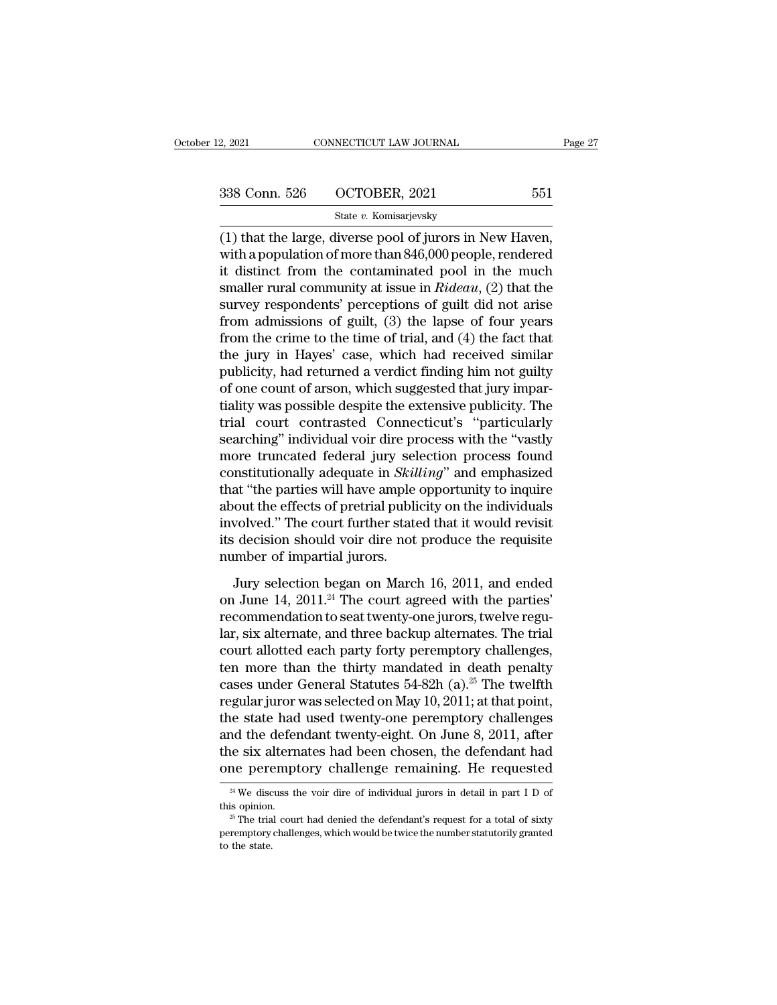| 2, 2021       | CONNECTICUT LAW JOURNAL | Page 27 |  |
|---------------|-------------------------|---------|--|
|               |                         |         |  |
|               |                         |         |  |
| 338 Conn. 526 | OCTOBER, 2021           | 551     |  |
|               | State v. Komisarjevsky  |         |  |

(1) that the large, diverse pool of jurors in New Haven, 338 Conn. 526 OCTOBER, 2021 551<br>
State v. Komisarjevsky<br>
(1) that the large, diverse pool of jurors in New Haven,<br>
with a population of more than 846,000 people, rendered<br>
it distinct from the contaminated pool in the muc 338 Conn. 526 OCTOBER, 2021 551<br>
State v. Komisarjevsky<br>
(1) that the large, diverse pool of jurors in New Haven,<br>
with a population of more than 846,000 people, rendered<br>
it distinct from the contaminated pool in the muc 338 Conn. 526 OCTOBER, 2021 551<br>
State *v*. Komisarjevsky<br>
(1) that the large, diverse pool of jurors in New Haven,<br>
with a population of more than 846,000 people, rendered<br>
it distinct from the contaminated pool in the m State v. Komisarjevsky<br>
(1) that the large, diverse pool of jurors in New Haven,<br>
with a population of more than 846,000 people, rendered<br>
it distinct from the contaminated pool in the much<br>
smaller rural community at iss state v. Romsarjevsky<br>
(1) that the large, diverse pool of jurors in New Haven,<br>
with a population of more than 846,000 people, rendered<br>
it distinct from the contaminated pool in the much<br>
smaller rural community at issu (1) that the large, diverse pool of jurors in New Haven,<br>with a population of more than 846,000 people, rendered<br>it distinct from the contaminated pool in the much<br>smaller rural community at issue in  $Rideau$ , (2) that the<br>s with a population of more than 846,000 people, rendered<br>it distinct from the contaminated pool in the much<br>smaller rural community at issue in  $Rideau$ , (2) that the<br>survey respondents' perceptions of guilt did not arise<br>fro it distinct from the contaminated pool in the much<br>smaller rural community at issue in  $Rideau$ , (2) that the<br>survey respondents' perceptions of guilt did not arise<br>from admissions of guilt, (3) the lapse of four years<br>from smaller rural community at issue in *Rideau*,  $(2)$  that the survey respondents' perceptions of guilt did not arise from admissions of guilt,  $(3)$  the lapse of four years from the crime to the time of trial, and  $(4)$  th survey respondents' perceptions of guilt did not arise<br>from admissions of guilt, (3) the lapse of four years<br>from the crime to the time of trial, and (4) the fact that<br>the jury in Hayes' case, which had received similar<br>pu from admissions of guilt, (3) the lapse of four years<br>from the crime to the time of trial, and (4) the fact that<br>the jury in Hayes' case, which had received similar<br>publicity, had returned a verdict finding him not guilty from the crime to the time of trial, and (4) the fact that<br>the jury in Hayes' case, which had received similar<br>publicity, had returned a verdict finding him not guilty<br>of one count of arson, which suggested that jury impar the jury in Hayes' case, which had received similar<br>publicity, had returned a verdict finding him not guilty<br>of one count of arson, which suggested that jury impar-<br>tiality was possible despite the extensive publicity. The publicity, had returned a verdict finding him not guilty<br>of one count of arson, which suggested that jury impar-<br>tiality was possible despite the extensive publicity. The<br>trial court contrasted Connecticut's "particularly<br> of one count of arson, which suggested that jury impartiality was possible despite the extensive publicity. The<br>trial court contrasted Connecticut's "particularly<br>searching" individual voir dire process with the "vastly<br>mo tiality was possible despite the extensive publicity. The<br>trial court contrasted Connecticut's "particularly<br>searching" individual voir dire process with the "vastly<br>more truncated federal jury selection process found<br>cons trial court contrasted Connecticut's "particularly<br>searching" individual voir dire process with the "vastly<br>more truncated federal jury selection process found<br>constitutionally adequate in *Skilling*" and emphasized<br>that " searching" individual voir dire process with the "vastly<br>more truncated federal jury selection process found<br>constitutionally adequate in *Skilling*" and emphasized<br>that "the parties will have ample opportunity to inquire<br> more truncated federal jury sel<br>constitutionally adequate in *Skil*<br>that "the parties will have ample<br>about the effects of pretrial publi<br>involved." The court further state<br>its decision should voir dire not<br>number of impar at "the parties will have ample opportunity to inquire<br>out the effects of pretrial publicity on the individuals<br>volved." The court further stated that it would revisit<br>decision should voir dire not produce the requisite<br>u about the effects of pretrial publicity on the individuals<br>involved." The court further stated that it would revisit<br>its decision should voir dire not produce the requisite<br>number of impartial jurors.<br>Jury selection began

involved." The court further stated that it would revisit<br>its decision should voir dire not produce the requisite<br>number of impartial jurors.<br>Jury selection began on March 16, 2011, and ended<br>on June 14, 2011.<sup>24</sup> The cour its decision should voir dire not produce the requisite<br>number of impartial jurors.<br>Jury selection began on March 16, 2011, and ended<br>on June 14, 2011.<sup>24</sup> The court agreed with the parties'<br>recommendation to seat twenty-o number of impartial jurors.<br>
Jury selection began on March 16, 2011, and ended<br>
on June 14, 2011.<sup>24</sup> The court agreed with the parties'<br>
recommendation to seat twenty-one jurors, twelve regu-<br>
lar, six alternate, and thr Jury selection began on March 16, 2011, and ended<br>on June 14, 2011.<sup>24</sup> The court agreed with the parties'<br>recommendation to seat twenty-one jurors, twelve regu-<br>lar, six alternate, and three backup alternates. The trial<br> Jury selection began on March 16, 2011, and ended<br>on June 14, 2011.<sup>24</sup> The court agreed with the parties'<br>recommendation to seat twenty-one jurors, twelve regu-<br>lar, six alternate, and three backup alternates. The trial<br> on June 14, 2011.<sup>24</sup> The court agreed with the parties'<br>recommendation to seat twenty-one jurors, twelve regu-<br>lar, six alternate, and three backup alternates. The trial<br>court allotted each party forty peremptory challen recommendation to seat twenty-one jurors, twelve regular, six alternate, and three backup alternates. The trial<br>court allotted each party forty peremptory challenges,<br>ten more than the thirty mandated in death penalty<br>case lar, six alternate, and three backup alternates. The trial<br>court allotted each party forty peremptory challenges,<br>ten more than the thirty mandated in death penalty<br>cases under General Statutes 54-82h (a).<sup>25</sup> The twelfth<br> court allotted each party forty peremptory challenges,<br>ten more than the thirty mandated in death penalty<br>cases under General Statutes 54-82h (a).<sup>25</sup> The twelfth<br>regular juror was selected on May 10, 2011; at that point,<br> ten more than the thirty mandated in death penalty<br>cases under General Statutes 54-82h (a).<sup>25</sup> The twelfth<br>regular juror was selected on May 10, 2011; at that point,<br>the state had used twenty-one peremptory challenges<br>an e state nad used twenty-one peremptory cnallenges<br>
and the defendant twenty-eight. On June 8, 2011, after<br>
ne six alternates had been chosen, the defendant had<br>
ne peremptory challenge remaining. He requested<br>
<sup>24</sup> We disc and the defendant twenty-eight. On June 8, 2011, after<br>the six alternates had been chosen, the defendant had<br>one peremptory challenge remaining. He requested<br> $\frac{24 \text{ We}}{1 \text{ N}}$  discuss the voir dire of individual jurors

one peremptory challenge remaining. He requested<br>
<sup>24</sup> We discuss the voir dire of individual jurors in detail in part I D of<br>
<sup>25</sup> The trial court had denied the defendant's request for a total of sixty<br>
peremptory chall The perturn of  $\frac{24 \text{ We}}{25 \text{ The trial}}$ <br> $\frac{25 \text{ The trial}}{25 \text{ the trial}}$ <br>peremptory to the state.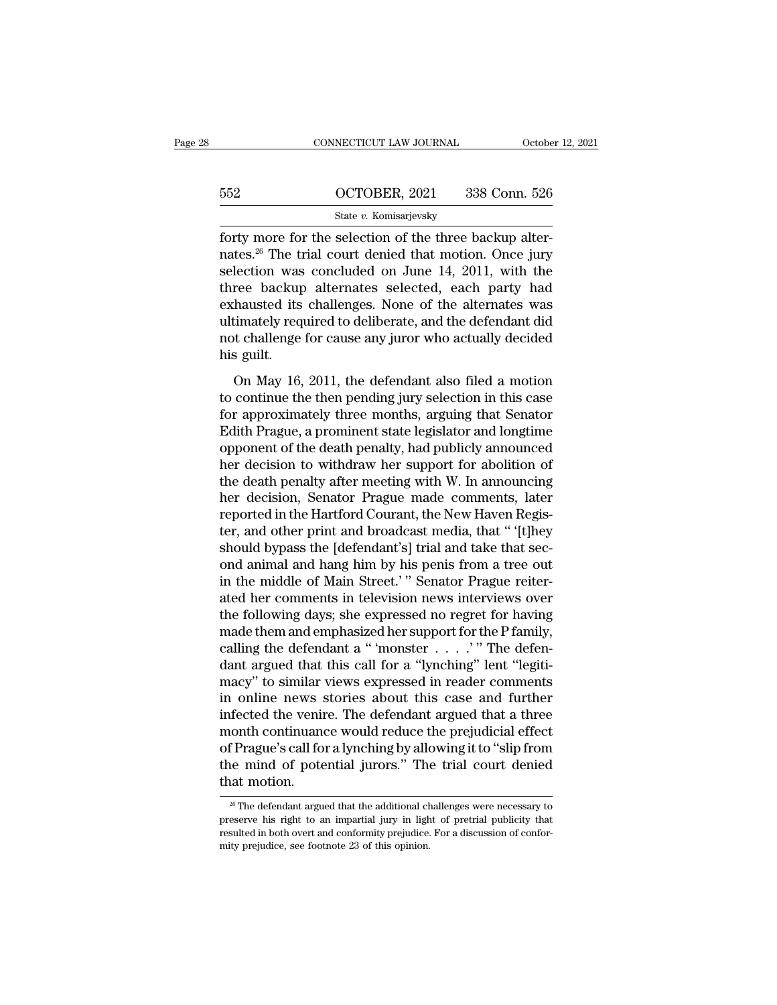|     | CONNECTICUT LAW JOURNAL | October 12, 2021 |
|-----|-------------------------|------------------|
|     |                         |                  |
| 552 | OCTOBER, 2021           | 338 Conn. 526    |
|     | State v. Komisarjevsky  |                  |

FORDER CONNECTICUT LAW JOURNAL COCOON<br>
State v. Komisarjevsky<br>
forty more for the selection of the three backup alter-<br>
nates.<sup>26</sup> The trial court denied that motion. Once jury<br>
selection was concluded on June 14, 2011 wit  $\begin{array}{r} \text{552} & \text{OCTOBER, 2021} & \text{338 Conn. 526} \\ \text{State } v. \text{ Komisarjevsky} \end{array}$  forty more for the selection of the three backup alternates.<sup>26</sup> The trial court denied that motion. Once jury selection was concluded on June 14, 2011,  $\frac{\text{552}}{\text{State } v. \text{ Komisarjevsky}}$ <br>  $\frac{\text{State } v. \text{ Komisarjevsky}}{\text{forty more for the selection of the three backup alter-} \text{nates.}^{26} \text{ The trial court denied that motion. Once jury selection was concluded on June 14, 2011, with the three backup alternates selected, each party had exhoustad its challenges. None of the elements was$ 552 OCTOBER, 2021 338 Conn. 526<br>
State v. Komisarjevsky<br>
forty more for the selection of the three backup alter-<br>
nates.<sup>26</sup> The trial court denied that motion. Once jury<br>
selection was concluded on June 14, 2011, with th State v. Komisarjevsky<br>
forty more for the selection of the three backup alter-<br>
nates.<sup>26</sup> The trial court denied that motion. Once jury<br>
selection was concluded on June 14, 2011, with the<br>
three backup alternates select state v. Romsarjevsky<br>forty more for the selection of the three backup alter-<br>nates.<sup>26</sup> The trial court denied that motion. Once jury<br>selection was concluded on June 14, 2011, with the<br>three backup alternates selected, e forty more for the selection of the three backup alternates.<sup>26</sup> The trial court denied that motion. Once jury selection was concluded on June 14, 2011, with the three backup alternates selected, each party had exhausted i nates.<sup>26</sup> The ti<br>selection was<br>three backup<br>exhausted its<br>ultimately req<br>not challenge<br>his guilt.<br>On May 16, Free backup alternates selected, each party had<br>thausted its challenges. None of the alternates was<br>timately required to deliberate, and the defendant did<br>t challenge for cause any juror who actually decided<br>s guilt.<br>On Ma the contract of the defendant didentical exhausted its challenges. None of the alternates was<br>ultimately required to deliberate, and the defendant did<br>not challenge for cause any juror who actually decided<br>his guilt.<br>On Ma

For a produced the state of the defendant did<br>interactely required to deliberate, and the defendant did<br>not challenge for cause any juror who actually decided<br>his guilt.<br>On May 16, 2011, the defendant also filed a motion<br>t Edith Prague, a prominent state legislator and longtime<br>probability decided<br>his guilt.<br>On May 16, 2011, the defendant also filed a motion<br>to continue the then pending jury selection in this case<br>for approximately three mon not sharely for salars any yard and a beatainly assetted<br>his guilt.<br>On May 16, 2011, the defendant also filed a motion<br>to continue the then pending jury selection in this case<br>for approximately three months, arguing that S In the defendant also filed a motion<br>to continue the then pending jury selection in this case<br>for approximately three months, arguing that Senator<br>Edith Prague, a prominent state legislator and longtime<br>opponent of the dea On May 16, 2011, the defendant also filed a motion<br>to continue the then pending jury selection in this case<br>for approximately three months, arguing that Senator<br>Edith Prague, a prominent state legislator and longtime<br>oppon to continue the then pending jury selection in this case<br>for approximately three months, arguing that Senator<br>Edith Prague, a prominent state legislator and longtime<br>opponent of the death penalty, had publicly announced<br>he for approximately three months, arguing that Senator<br>Edith Prague, a prominent state legislator and longtime<br>opponent of the death penalty, had publicly announced<br>her decision to withdraw her support for abolition of<br>the d Edith Prague, a prominent state legislator and longtime<br>opponent of the death penalty, had publicly announced<br>her decision to withdraw her support for abolition of<br>the death penalty after meeting with W. In announcing<br>her opponent of the death penalty, had publicly announced<br>her decision to withdraw her support for abolition of<br>the death penalty after meeting with W. In announcing<br>her decision, Senator Prague made comments, later<br>reported i her decision to withdraw her support for abolition of<br>the death penalty after meeting with W. In announcing<br>her decision, Senator Prague made comments, later<br>reported in the Hartford Courant, the New Haven Regis-<br>ter, and the death penalty after meeting with W. In announcing<br>her decision, Senator Prague made comments, later<br>reported in the Hartford Courant, the New Haven Regis-<br>ter, and other print and broadcast media, that " '[t]hey<br>should her decision, Senator Prague made comments, later<br>reported in the Hartford Courant, the New Haven Regis-<br>ter, and other print and broadcast media, that " '[t]hey<br>should bypass the [defendant's] trial and take that sec-<br>ond reported in the Hartford Courant, the New Haven Register, and other print and broadcast media, that " [t]hey should bypass the [defendant's] trial and take that second animal and hang him by his penis from a tree out in th ter, and other print and broadcast media, that " '[t]hey<br>should bypass the [defendant's] trial and take that sec-<br>ond animal and hang him by his penis from a tree out<br>in the middle of Main Street.' " Senator Prague reitershould bypass the [defendant's] trial and take that sec-<br>ond animal and hang him by his penis from a tree out<br>in the middle of Main Street.'" Senator Prague reiter-<br>ated her comments in television news interviews over<br>the ond animal and hang him by his penis from a tree out<br>in the middle of Main Street.'" Senator Prague reiter-<br>ated her comments in television news interviews over<br>the following days; she expressed no regret for having<br>made t in the middle of Main Street.'" Senator Prague reiter-<br>ated her comments in television news interviews over<br>the following days; she expressed no regret for having<br>made them and emphasized her support for the P family,<br>cal ated her comments in television news interviews over<br>the following days; she expressed no regret for having<br>made them and emphasized her support for the P family,<br>calling the defendant a "monster . . . . . " The defen-<br>dan the following days; she expressed no regret for having<br>made them and emphasized her support for the P family,<br>calling the defendant a " 'monster  $\ldots$ '" The defen-<br>dant argued that this call for a "lynching" lent "legitimade them and emphasized her support for the P family,<br>calling the defendant a " 'monster  $\ldots$ '" The defen-<br>dant argued that this call for a "lynching" lent "legiti-<br>macy" to similar views expressed in reader comments<br>in calling the defendant a " 'monster  $\ldots$ '" The defendant argued that this call for a "lynching" lent "legitimacy" to similar views expressed in reader comments in online news stories about this case and further infected t dant argued that this call for a "lynching" lent "legitimacy" to similar views expressed in reader comments<br>in online news stories about this case and further<br>infected the venire. The defendant argued that a three<br>month co macy" to similar<br>in online news s<br>infected the venir<br>month continuano<br>of Prague's call for<br>the mind of pote<br>that motion.<br> $\frac{1}{x}$ The defendant argue f Prague's call for a lynching by allowing it to "slip from<br>the mind of potential jurors." The trial court denied<br>at motion.<br><sup>26</sup> The defendant argued that the additional challenges were necessary to<br>eserve his right to an of Prague's call for a lynching by allowing it to "slip from<br>the mind of potential jurors." The trial court denied<br>that motion.<br> $\frac{1}{20}$  The defendant argued that the additional challenges were necessary to<br>preserve his

the mind of potential jurors." The trial court denied<br>that motion.<br><sup>26</sup> The defendant argued that the additional challenges were necessary to<br>preserve his right to an impartial jury in light of pretrial publicity that<br>resu that motion.<br>  $\frac{26 \text{ The defendant argued that the additional challenges were necessary to preserve his right to an impratial jury in light of pretrial publicly that resulted in both overt and conformity prejudice. For a discussion of conformity prejudice, see footnote 23 of this opinion.}$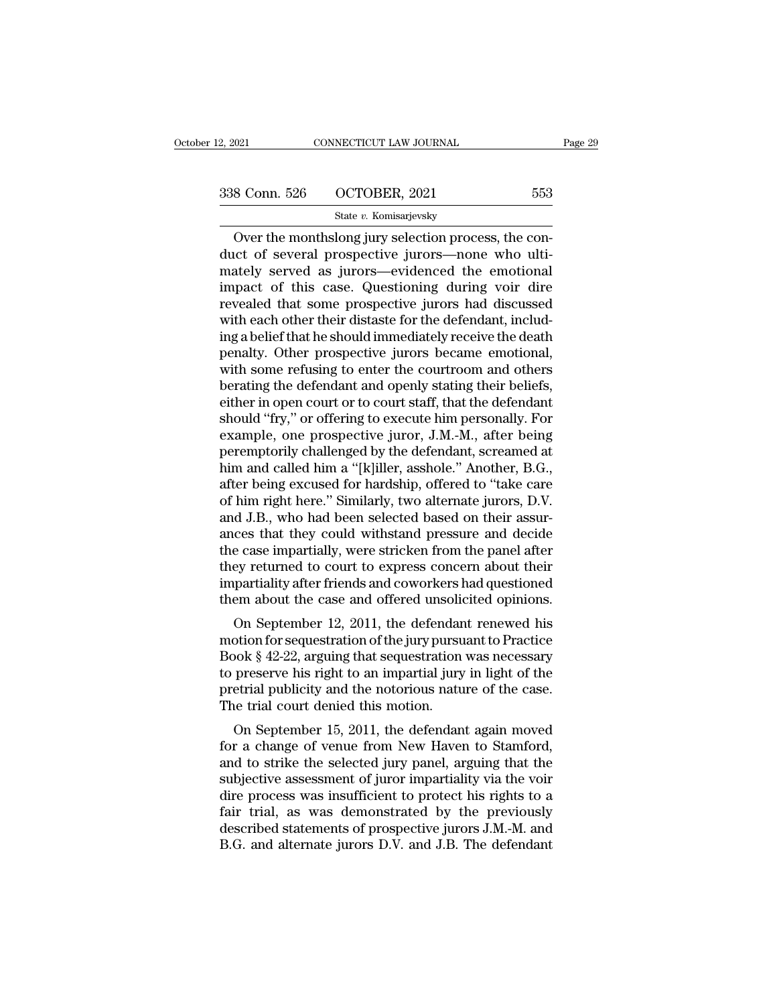| 2, 2021       | CONNECTICUT LAW JOURNAL | Page 29 |
|---------------|-------------------------|---------|
| 338 Conn. 526 | OCTOBER, 2021           | 553     |
|               | State v. Komisarjevsky  |         |

Over the monthslong jury selection process, the con- $\begin{array}{ccc}\n 338 \text{ Conn. } 526 \quad \text{OCTOBER, } 2021 \quad \text{553}\n \end{array}$ State v. Komisarjevsky<br>
Over the monthslong jury selection process, the conduct of several prospective jurors—none who ulti-<br>
mately served as jurors—evidenced the e 338 Conn. 526 OCTOBER, 2021 553<br>
State v. Komisarjevsky<br>
Over the monthslong jury selection process, the conduct of several prospective jurors—none who ultimately served as jurors—evidenced the emotional<br>
impact of this c 338 Conn. 526  $\overline{OCTOBER}$ , 2021 553<br>
State v. Komisarjevsky<br>
Over the monthslong jury selection process, the conduct of several prospective jurors—none who ulti-<br>
mately served as jurors—evidenced the emotional<br>
impact of State v. Komisarjevsky<br>
Over the monthslong jury selection process, the con-<br>
duct of several prospective jurors—none who ulti-<br>
mately served as jurors—evidenced the emotional<br>
impact of this case. Questioning during voi State  $v$ . Komsarjevsky<br>Over the monthslong jury selection process, the con-<br>duct of several prospective jurors—none who ulti-<br>mately served as jurors—evidenced the emotional<br>impact of this case. Questioning during voir d Over the monthslong jury selection process, the con-<br>duct of several prospective jurors—none who ulti-<br>mately served as jurors—evidenced the emotional<br>impact of this case. Questioning during voir dire<br>revealed that some pr duct of several prospective jurors—none who ulti-<br>mately served as jurors—evidenced the emotional<br>impact of this case. Questioning during voir dire<br>revealed that some prospective jurors had discussed<br>with each other their mately served as jurors—evidenced the emotional<br>impact of this case. Questioning during voir dire<br>revealed that some prospective jurors had discussed<br>with each other their distaste for the defendant, includ-<br>ing a belief t impact of this case. Questioning during voir dire<br>revealed that some prospective jurors had discussed<br>with each other their distaste for the defendant, includ-<br>ing a belief that he should immediately receive the death<br>pena revealed that some prospective jurors had discussed<br>with each other their distaste for the defendant, includ-<br>ing a belief that he should immediately receive the death<br>penalty. Other prospective jurors became emotional,<br>wi with each other their distaste for the defendant, includ-<br>ing a belief that he should immediately receive the death<br>penalty. Other prospective jurors became emotional,<br>with some refusing to enter the courtroom and others<br>b ing a belief that he should immediately receive the death<br>penalty. Other prospective jurors became emotional,<br>with some refusing to enter the courtroom and others<br>berating the defendant and openly stating their beliefs,<br>ei penalty. Other prospective jurors became emotional,<br>with some refusing to enter the courtroom and others<br>berating the defendant and openly stating their beliefs,<br>either in open court or to court staff, that the defendant<br>s with some refusing to enter the courtroom and others<br>berating the defendant and openly stating their beliefs,<br>either in open court or to court staff, that the defendant<br>should "fry," or offering to execute him personally. berating the defendant and openly stating their beliefs,<br>either in open court or to court staff, that the defendant<br>should "fry," or offering to execute him personally. For<br>example, one prospective juror, J.M.-M., after be either in open court or to court staff, that the defendant<br>should "fry," or offering to execute him personally. For<br>example, one prospective juror, J.M.-M., after being<br>peremptorily challenged by the defendant, screamed at should "fry," or offering to execute him personally. For<br>example, one prospective juror, J.M.-M., after being<br>peremptorily challenged by the defendant, screamed at<br>him and called him a "[k]iller, asshole." Another, B.G.,<br>a example, one prospective juror, J.M.-M., after being<br>peremptorily challenged by the defendant, screamed at<br>him and called him a "[k]iller, asshole." Another, B.G.,<br>after being excused for hardship, offered to "take care<br>of peremptorily challenged by the defendant, screamed at<br>him and called him a "[k]iller, asshole." Another, B.G.,<br>after being excused for hardship, offered to "take care<br>of him right here." Similarly, two alternate jurors, D. him and called him a "[k]iller, asshole." Another, B.G.,<br>after being excused for hardship, offered to "take care<br>of him right here." Similarly, two alternate jurors, D.V.<br>and J.B., who had been selected based on their assu after being excused for hardship, offered to "take care<br>of him right here." Similarly, two alternate jurors, D.V.<br>and J.B., who had been selected based on their assur-<br>ances that they could withstand pressure and decide<br>th of him right here." Similarly, two alternate jurors, D.V.<br>and J.B., who had been selected based on their assur-<br>ances that they could withstand pressure and decide<br>the case impartially, were stricken from the panel after<br>t or 3.D., who had been selected based on their assur-<br>ces that they could withstand pressure and decide<br>e case impartially, were stricken from the panel after<br>ey returned to court to express concern about their<br>partiality a ances that they collid whilstand pressure and decide<br>the case impartially, were stricken from the panel after<br>they returned to court to express concern about their<br>impartiality after friends and coworkers had questioned<br>th

they returned to court to express concern about their<br>they returned to court to express concern about their<br>impartiality after friends and coworkers had questioned<br>them about the case and offered unsolicited opinions.<br>On S they returned to court to express concern about their<br>impartiality after friends and coworkers had questioned<br>them about the case and offered unsolicited opinions.<br>On September 12, 2011, the defendant renewed his<br>motion fo mipartianty arter friends and coworkers had questioned<br>them about the case and offered unsolicited opinions.<br>On September 12, 2011, the defendant renewed his<br>motion for sequestration of the jury pursuant to Practice<br>Book § In the trial court denied this model on September 12, 2011, the defendar<br>motion for sequestration of the jury pursu<br>Book § 42-22, arguing that sequestration<br>to preserve his right to an impartial jury<br>pretrial publicity and On September 12, 2011, the defendant renewed its<br>botion for sequestration of the jury pursuant to Practice<br>look § 42-22, arguing that sequestration was necessary<br>preserve his right to an impartial jury in light of the<br>etr motion for sequestration of the jury pursuant to Fractice<br>Book § 42-22, arguing that sequestration was necessary<br>to preserve his right to an impartial jury in light of the<br>pretrial publicity and the notorious nature of the

book  $\frac{1}{2}$  42-22, arguing that sequestration was necessary<br>to preserve his right to an impartial jury in light of the<br>pretrial publicity and the notorious nature of the case.<br>The trial court denied this motion.<br>On Sep to preserve its right to an impartial jury in light of the<br>pretrial publicity and the notorious nature of the case.<br>The trial court denied this motion.<br>On September 15, 2011, the defendant again moved<br>for a change of venue The trial court denied this motion.<br>
On September 15, 2011, the defendant again moved<br>
for a change of venue from New Haven to Stamford,<br>
and to strike the selected jury panel, arguing that the<br>
subjective assessment of ju Fire trial court defined this motion.<br>
On September 15, 2011, the defendant again moved<br>
for a change of venue from New Haven to Stamford,<br>
and to strike the selected jury panel, arguing that the<br>
subjective assessment of On September 15, 2011, the defendant again moved<br>for a change of venue from New Haven to Stamford,<br>and to strike the selected jury panel, arguing that the<br>subjective assessment of juror impartiality via the voir<br>dire proce for a change of venue from New Haven to Stamford,<br>and to strike the selected jury panel, arguing that the<br>subjective assessment of juror impartiality via the voir<br>dire process was insufficient to protect his rights to a<br>fa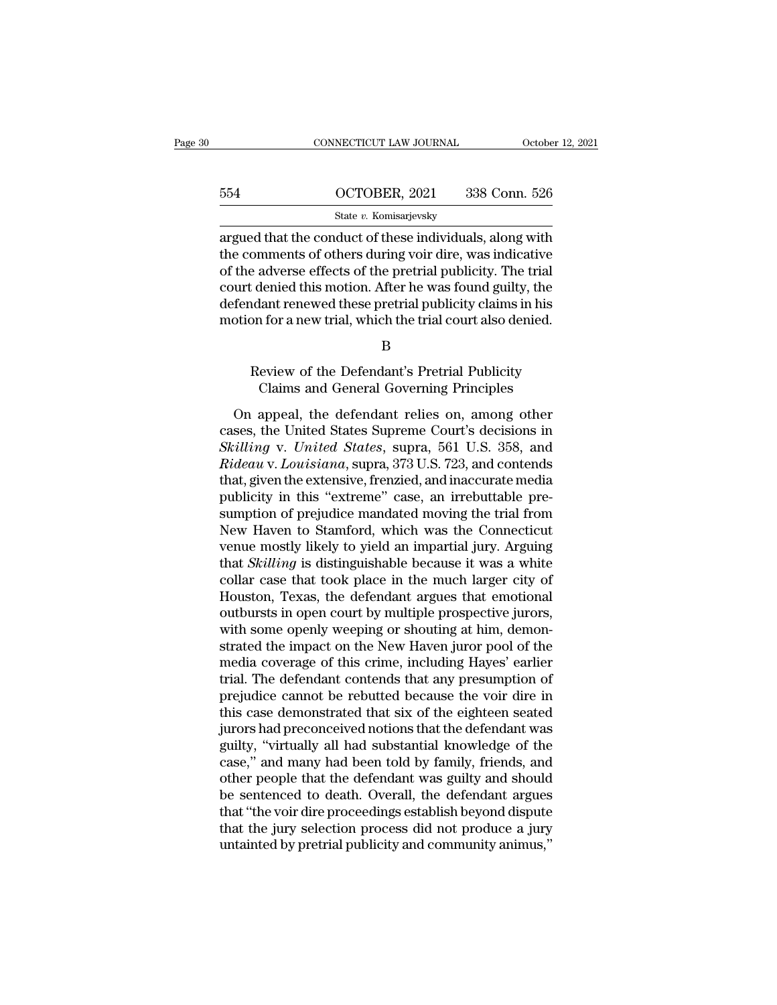|     | CONNECTICUT LAW JOURNAL                                                                                                                                                            | October 12, 2021 |
|-----|------------------------------------------------------------------------------------------------------------------------------------------------------------------------------------|------------------|
|     |                                                                                                                                                                                    |                  |
| 554 | OCTOBER, 2021                                                                                                                                                                      | 338 Conn. 526    |
|     | State v. Komisarjevsky                                                                                                                                                             |                  |
|     | argued that the conduct of these individuals, along with<br>the comments of others during voir dire, was indicative<br>of the adverse offects of the pretrial publicity. The trial |                  |

554  $OCTOBER, 2021$  338 Conn. 526<br>
State v. Komisarjevsky<br>
argued that the conduct of these individuals, along with<br>
the comments of others during voir dire, was indicative<br>
of the adverse effects of the pretrial publicity.  $\frac{\text{554}}{\text{State } v. \text{ Komisarjevsky}}$ <br>  $\frac{\text{State } v. \text{ Komisarjevsky}}{\text{target that the conduct of these individuals, along with}}$ <br>
the comments of others during voir dire, was indicative<br>
of the adverse effects of the pretrial publicity. The trial<br>
court denied this motion. After he  $\frac{\text{654}}{\text{654}}$   $\frac{\text{654}}{\text{654}}$   $\frac{\text{654}}{\text{654}}$   $\frac{\text{654}}{\text{654}}$   $\frac{\text{654}}{\text{654}}$   $\frac{\text{654}}{\text{654}}$   $\frac{\text{654}}{\text{654}}$  argued that the conduct of these individuals, along with the comments of others during v State *v*. Komisarjevsky<br>
argued that the conduct of these individuals, along with<br>
the comments of others during voir dire, was indicative<br>
of the adverse effects of the pretrial publicity. The trial<br>
court denied this mo State v. Komsarjevsky<br>argued that the conduct of these individuals, along with<br>the comments of others during voir dire, was indicative<br>of the adverse effects of the pretrial publicity. The trial<br>court denied this motion. A Exercise effects of the pretrial publicity. The trial identical denied this motion. After he was found guilty, the dant renewed these pretrial publicity claims in his on for a new trial, which the trial court also denied. denied this motion. After he was found guilty, the<br>lant renewed these pretrial publicity claims in his<br>n for a new trial, which the trial court also denied.<br>B<br>leview of the Defendant's Pretrial Publicity<br>Claims and General

B

otion for a new trial, which the trial court also denied.<br>
B<br>
Review of the Defendant's Pretrial Publicity<br>
Claims and General Governing Principles<br>
On appeal, the defendant relies on, among other<br>
ses, the United States S B<br>
Review of the Defendant's Pretrial Publicity<br>
Claims and General Governing Principles<br>
On appeal, the defendant relies on, among other<br>
cases, the United States Supreme Court's decisions in<br>
Skilling v. United States, s B<br> *Review of the Defendant's Pretrial Publicity*<br>
Claims and General Governing Principles<br>
On appeal, the defendant relies on, among other<br>
cases, the United States Supreme Court's decisions in<br> *Skilling v. United States* Review of the Defendant's Pretrial Publicity<br>Claims and General Governing Principles<br>On appeal, the defendant relies on, among other<br>cases, the United States Supreme Court's decisions in<br>Skilling v. United States, supra, 5 Claims and General Governing Principles<br>
On appeal, the defendant relies on, among other<br>
cases, the United States Supreme Court's decisions in<br>
Skilling v. United States, supra, 561 U.S. 358, and<br>
Rideau v. Louisiana, sup On appeal, the defendant relies on, among other<br>cases, the United States Supreme Court's decisions in<br>Skilling v. United States, supra, 561 U.S. 358, and<br>Rideau v. Louisiana, supra, 373 U.S. 723, and contends<br>that, given t On appeal, the defendant relies on, among other<br>cases, the United States Supreme Court's decisions in<br>Skilling v. United States, supra, 561 U.S. 358, and<br>Rideau v. Louisiana, supra, 373 U.S. 723, and contends<br>that, given t cases, the United States Supreme Court's decisions in Skilling v. United States, supra, 561 U.S. 358, and Rideau v. Louisiana, supra, 373 U.S. 723, and contends that, given the extensive, frenzied, and inaccurate media pub Skilling v. United States, supra, 561 U.S. 358, and<br>Rideau v. Louisiana, supra, 373 U.S. 723, and contends<br>that, given the extensive, frenzied, and inaccurate media<br>publicity in this "extreme" case, an irrebuttable pre-<br>su Rideau v. Louisiana, supra, 373 U.S. 723, and contends<br>that, given the extensive, frenzied, and inaccurate media<br>publicity in this "extreme" case, an irrebuttable pre-<br>sumption of prejudice mandated moving the trial from<br>N that, given the extensive, frenzied, and inaccurate media<br>publicity in this "extreme" case, an irrebuttable pre-<br>sumption of prejudice mandated moving the trial from<br>New Haven to Stamford, which was the Connecticut<br>venue m publicity in this "extreme" case, an irrebuttable pre-<br>sumption of prejudice mandated moving the trial from<br>New Haven to Stamford, which was the Connecticut<br>venue mostly likely to yield an impartial jury. Arguing<br>that *Ski* sumption of prejudice mandated moving the trial from<br>New Haven to Stamford, which was the Connecticut<br>venue mostly likely to yield an impartial jury. Arguing<br>that *Skilling* is distinguishable because it was a white<br>collar New Haven to Stamford, which was the Connecticut<br>venue mostly likely to yield an impartial jury. Arguing<br>that *Skilling* is distinguishable because it was a white<br>collar case that took place in the much larger city of<br>Hous venue mostly likely to yield an impartial jury. Arguing<br>that *Skilling* is distinguishable because it was a white<br>collar case that took place in the much larger city of<br>Houston, Texas, the defendant argues that emotional<br>o that *Skilling* is distinguishable because it was a white<br>collar case that took place in the much larger city of<br>Houston, Texas, the defendant argues that emotional<br>outbursts in open court by multiple prospective jurors,<br>w collar case that took place in the much larger city of<br>Houston, Texas, the defendant argues that emotional<br>outbursts in open court by multiple prospective jurors,<br>with some openly weeping or shouting at him, demon-<br>strated Houston, Texas, the defendant argues that emotional<br>outbursts in open court by multiple prospective jurors,<br>with some openly weeping or shouting at him, demon-<br>strated the impact on the New Haven juror pool of the<br>media co outbursts in open court by multiple prospective jurors,<br>with some openly weeping or shouting at him, demon-<br>strated the impact on the New Haven juror pool of the<br>media coverage of this crime, including Hayes' earlier<br>trial with some openly weeping or shouting at him, demonstrated the impact on the New Haven juror pool of the media coverage of this crime, including Hayes' earlier trial. The defendant contends that any presumption of prejudice strated the impact on the New Haven juror pool of the<br>media coverage of this crime, including Hayes' earlier<br>trial. The defendant contends that any presumption of<br>prejudice cannot be rebutted because the voir dire in<br>this media coverage of this crime, including Hayes' earlier<br>trial. The defendant contends that any presumption of<br>prejudice cannot be rebutted because the voir dire in<br>this case demonstrated that six of the eighteen seated<br>juro trial. The defendant contends that any presumption of<br>prejudice cannot be rebutted because the voir dire in<br>this case demonstrated that six of the eighteen seated<br>jurors had preconceived notions that the defendant was<br>guil prejudice cannot be rebutted because the voir dire in<br>this case demonstrated that six of the eighteen seated<br>jurors had preconceived notions that the defendant was<br>guilty, "virtually all had substantial knowledge of the<br>ca this case demonstrated that six of the eighteen seated<br>jurors had preconceived notions that the defendant was<br>guilty, "virtually all had substantial knowledge of the<br>case," and many had been told by family, friends, and<br>ot jurors had preconceived notions that the defendant was<br>guilty, "virtually all had substantial knowledge of the<br>case," and many had been told by family, friends, and<br>other people that the defendant was guilty and should<br>be guilty, "virtually all had substantial knowledge of the case," and many had been told by family, friends, and other people that the defendant was guilty and should be sentenced to death. Overall, the defendant argues that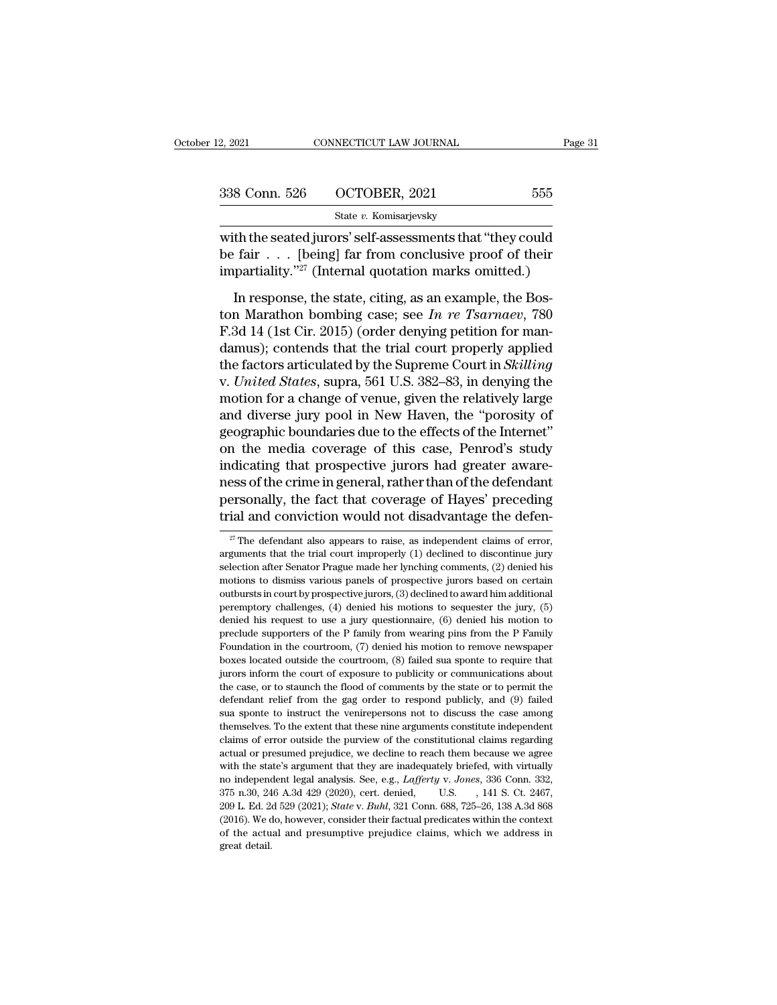| 2, 2021       | CONNECTICUT LAW JOURNAL | Page 31 |  |
|---------------|-------------------------|---------|--|
|               |                         |         |  |
| 338 Conn. 526 | OCTOBER, 2021           | 555     |  |
|               | State v. Komisarjevsky  |         |  |

2, 2021 CONNECTICUT LAW JOURNAL Page 31<br>
338 Conn. 526 OCTOBER, 2021 555<br>  $\frac{\text{State } v. \text{ Komisarjevsky}}{\text{State } v. \text{ Komisarjevsky}}$ <br>
with the seated jurors' self-assessments that "they could<br>
be fair . . . [being] far from conclusive proof  $\begin{array}{ll} \textbf{338} \text{ Conn. } 526 & \text{OCTOBER, } 2021 & \textbf{555} \\ & \text{State } v. \text{ Komisarievsky} \end{array}$  with the seated jurors' self-assessments that "they could be fair . . . [being] far from conclusive proof of their impartiality."<sup>27</sup> (Internal qu 338 Conn. 526 OCTOBER, 2021 555<br>
State v. Komisarjevsky<br>
with the seated jurors' self-assessments that "they could<br>
be fair . . . [being] far from conclusive proof of their<br>
impartiality."<sup>27</sup> (Internal quotation marks om 8 Conn. 526 CCTOBER, 2021 555<br>
State v. Komisarjevsky<br>
th the seated jurors' self-assessments that "they could<br>
fair . . . [being] far from conclusive proof of their<br>
partiality."<sup>27</sup> (Internal quotation marks omitted.)<br>

State v. Komisarjevsky<br>
with the seated jurors' self-assessments that "they could<br>
be fair . . . [being] far from conclusive proof of their<br>
impartiality."<sup>27</sup> (Internal quotation marks omitted.)<br>
In response, the state, c with the seated jurors' self-assessments that "they could<br>be fair . . . [being] far from conclusive proof of their<br>impartiality."<sup>27</sup> (Internal quotation marks omitted.)<br>In response, the state, citing, as an example, the de fair . . . [being] far from conclusive proof of their<br>impartiality."<sup>27</sup> (Internal quotation marks omitted.)<br>In response, the state, citing, as an example, the Bos-<br>ton Marathon bombing case; see *In re Tsarnaev*, 780<br> impartiality."<sup>27</sup> (Internal quotation marks omitted.)<br>In response, the state, citing, as an example, the Boston Marathon bombing case; see *In re Tsarnaev*, 780<br>F.3d 14 (1st Cir. 2015) (order denying petition for man-<br>dam In response, the state, citing, as an example, the Boston Marathon bombing case; see *In re Tsarnaev*, 780 F.3d 14 (1st Cir. 2015) (order denying petition for mandamus); contends that the trial court properly applied the f In response, the state, citing, as an example, the Boston Marathon bombing case; see *In re Tsarnaev*, 780 F.3d 14 (1st Cir. 2015) (order denying petition for mandamus); contends that the trial court properly applied the ton Marathon bombing case; see *In re Tsarnaev*, 780<br>F.3d 14 (1st Cir. 2015) (order denying petition for man-<br>damus); contends that the trial court properly applied<br>the factors articulated by the Supreme Court in *Skillin* F.3d 14 (1st Cir. 2015) (order denying petition for mandamus); contends that the trial court properly applied<br>the factors articulated by the Supreme Court in *Skilling*<br>v. *United States*, supra, 561 U.S. 382–83, in denyin damus); contends that the trial court properly applied<br>the factors articulated by the Supreme Court in *Skilling*<br>v. *United States*, supra, 561 U.S. 382–83, in denying the<br>motion for a change of venue, given the relativel the factors articulated by the Supreme Court in *Skilling*<br>v. United States, supra, 561 U.S. 382–83, in denying the<br>motion for a change of venue, given the relatively large<br>and diverse jury pool in New Haven, the "porosity v. United States, supra, 561 U.S. 382–83, in denying the<br>motion for a change of venue, given the relatively large<br>and diverse jury pool in New Haven, the "porosity of<br>geographic boundaries due to the effects of the Interne motion for a change of venue, given the relatively large<br>and diverse jury pool in New Haven, the "porosity of<br>geographic boundaries due to the effects of the Internet"<br>on the media coverage of this case, Penrod's study<br>ind and diverse jury pool in New Haven, the "porosity of geographic boundaries due to the effects of the Internet" on the media coverage of this case, Penrod's study indicating that prospective jurors had greater awareness of indicating that prospective jurors had greater awareness of the crime in general, rather than of the defendant personally, the fact that coverage of Hayes' preceding trial and conviction would not disadvantage the defenda ness of the crime in general, rather than of the defendant<br>personally, the fact that coverage of Hayes' preceding<br>trial and conviction would not disadvantage the defen-<br> $\frac{x}{l}$  The defendant also appears to raise, as ind

personally, the fact that coverage of Hayes' preceding<br>trial and conviction would not disadvantage the defen-<br><sup>27</sup> The defendant also appears to raise, as independent claims of error,<br>arguments that the trial court imprope trial and conviction would not disadvantage the defen-<br>  $\frac{27}{4}$  The defendant also appears to raise, as independent claims of error,<br>
arguments that the trial court improperly (1) declined to discontinue jury<br>
selectio The defendant also appears to raise, as independent claims of error, arguments that the trial court improperly (1) declined to discontinue jury selection after Senator Prague made her lynching comments, (2) denied his mot <sup>27</sup> The defendant also appears to raise, as independent claims of error, arguments that the trial court improperly (1) declined to discontinue jury selection after Senator Prague made her lynching comments, (2) denied hi arguments that the trial court improperly (1) declined to discontinue jury selection after Senator Prague made her lynching comments, (2) denied his motions to dismiss various panels of prospective jurors based on certain selection after Senator Prague made her lynching comments, (2) denied his motions to dismiss various panels of prospective jurors based on certain outbursts in court by prospective jurors, (3) declined to award him additio motions to dismiss various panels of prospective jurors based on certain outbursts in court by prospective jurors, (3) declined to award him additional peremptory challenges, (4) denied his motions to sequester the jury, boxtowity is court by prospective jurors, (3) declined to award him additional<br>peremptory challenges, (4) denied his motions to sequester the jury, (5)<br>denied his request to use a jury questionnaire, (6) denied his motion peremptory challenges, (4) denied his motions to sequester the jury, (5) denied his request to use a jury questionnaire, (6) denied his motion to preclude supporters of the P family from wearing pins from the P Family Foun because to use a jury questionnaire, (6) denied his motion to preclude supporters of the P family from wearing pins from the P Family Foundation in the courtroom, (7) denied his motion to remove newspaper boxes located ou preclude supporters of the P family from wearing pins from the P Family Foundation in the courtroom, (7) denied his motion to remove newspaper boxes located outside the courtroom, (8) failed sua sponte to require that jur Froundation in the courtroom,  $(7)$  denied his motion to remove newspaper boxes located outside the courtroom,  $(8)$  failed sua sponte to require that jurors inform the court of exposure to publicity or communications abo For the extent that is extended to require that boxes located outside the courtroom, (8) failed sua sponte to require that jurors inform the court of exposure to publicity or communications about the case, or to staunch th burors inform the court of exposure to publicity or communications about<br>the case, or to staunch the flood of comments by the state or to permit the<br>defendant relief from the gag order to respond publicly, and (9) failed<br>s the case, or to staunch the flood of comments by the state or to permit the defendant relief from the gag order to respond publicly, and (9) failed sua sponte to instruct the venirepersons not to discuss the case among the defendant relief from the gag order to respond publicly, and (9) failed sua sponte to instruct the venirepersons not to discuss the case among themselves. To the extent that these nine arguments constitute independent clai sua sponte to instruct the venirepersons not to discuss the case among<br>sua sponte to instruct the venirepersons not to discuss the case among<br>themselves. To the extent that these nine arguments constitute independent<br>claim themselves. To the extent that these nine arguments constitute independent claims of error outside the purview of the constitutional claims regarding actual or presumed prejudice, we decline to reach them because we agree claims of error outside the purview of the constitutional claims regarding<br>actual or presumed prejudice, we decline to reach them because we agree<br>with the state's argument that they are inadequately briefed, with virtuall actual or presumed prejudice, we decline to reach them because we agree with the state's argument that they are inadequately briefed, with virtually no independent legal analysis. See, e.g., *Lafferty v. Jones*, 336 Conn. with the state's argument that they are inadequately briefed, with virtually no independent legal analysis. See, e.g., *Lafferty v. Jones*, 336 Conn. 332, 375 n.30, 246 A.3d 429 (2020), cert. denied, U.S. , 141 S. Ct. 246 no independent legal analysis. See, e.g., Lafferty v. Jones, 336 Conn. 332,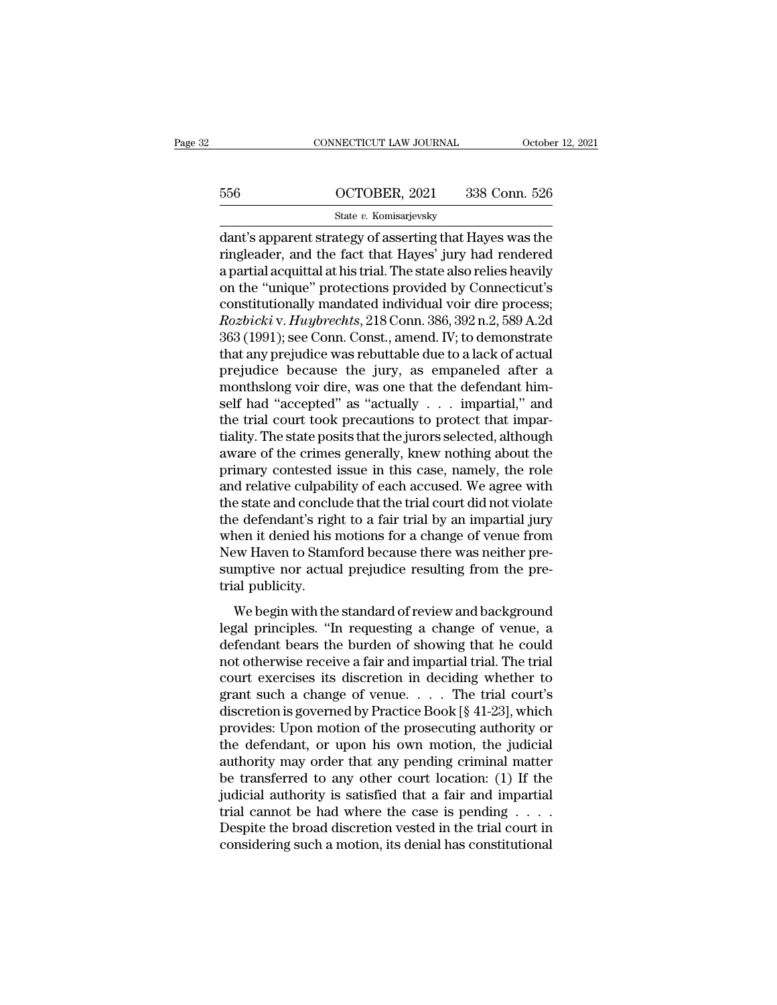# CONNECTICUT LAW JOURNAL October 12, 2021<br>556 OCTOBER, 2021 338 Conn. 526<br>5tate v. Komisarjevsky

# State *v.* Komisarjevsky

CONNECTICUT LAW JOURNAL October 12, 2021<br>
556 OCTOBER, 2021 338 Conn. 526<br>
56 State v. Komisarjevsky<br>
56 dant's apparent strategy of asserting that Hayes was the<br>
ringleader, and the fact that Hayes' jury had rendered<br>
app ER, 2021 338 Conn. 526<br>
State v. Komisarjevsky<br>
dant's apparent strategy of asserting that Hayes was the<br>
ringleader, and the fact that Hayes' jury had rendered<br>
a partial acquittal at his trial. The state also relies heav  $\frac{\text{656}}{\text{State } v. \text{ Komisarjevsky}}$ <br>  $\frac{\text{State } v. \text{ Komisarjevsky}}{\text{dant's apparent strategy of asserting that Hayes was the ringleader, and the fact that Hayes' jury had rendered a partial acquittal at his trial. The state also relies heavily on the "unique" protections provided by Connecticut's constitutions!ly mappeded individual you're the process:}$ 556  $OCTOBER, 2021$  338 Conn. 526<br>
State v. Komisarjevsky<br>
dant's apparent strategy of asserting that Hayes was the<br>
ringleader, and the fact that Hayes' jury had rendered<br>
a partial acquittal at his trial. The state also re State v. Komisarjevsky<br>
dant's apparent strategy of asserting that Hayes was the<br>
ringleader, and the fact that Hayes' jury had rendered<br>
a partial acquittal at his trial. The state also relies heavily<br>
on the "unique" pro <sup>State v.</sup> Komisarjevsky<br>dant's apparent strategy of asserting that Hayes was the<br>ringleader, and the fact that Hayes' jury had rendered<br>a partial acquittal at his trial. The state also relies heavily<br>on the "unique" prote dant's apparent strategy of asserting that Hayes was the<br>ringleader, and the fact that Hayes' jury had rendered<br>a partial acquittal at his trial. The state also relies heavily<br>on the "unique" protections provided by Connec ringleader, and the fact that Hayes' jury had rendered<br>a partial acquittal at his trial. The state also relies heavily<br>on the "unique" protections provided by Connecticut's<br>constitutionally mandated individual voir dire pr a partial acquittal at his trial. The state also relies heavily<br>on the "unique" protections provided by Connecticut's<br>constitutionally mandated individual voir dire process;<br> $Rozbicki v. Huybrechts, 218 Conn. 386, 392 n.2, 589 A.2d  
363 (19$ on the "unique" protections provided by Connecticut's<br>constitutionally mandated individual voir dire process;<br> $Rozbicki v. Huybrechts, 218 Conn. 386, 392 n.2, 589 A.2d  
363 (1991); see Conn. Const., amend. IV; to demonstrate  
that any prejudice was rebuttable due to a lack of actual  
prejudice because the jury, as empaneled after a  
monthslong voir dire, was one that the defendant him$ constitutionally mandated individual voir dire process;<br> *Rozbicki* v. *Huybrechts*, 218 Conn. 386, 392 n.2, 589 A.2d<br>
363 (1991); see Conn. Const., amend. IV; to demonstrate<br>
that any prejudice was rebuttable due to a lac Rozbicki v. Huybrechts, 218 Conn. 386, 392 n.2, 589 A.2d<br>363 (1991); see Conn. Const., amend. IV; to demonstrate<br>that any prejudice was rebuttable due to a lack of actual<br>prejudice because the jury, as empaneled after a<br>m 363 (1991); see Conn. Const., amend. IV; to demonstrate<br>that any prejudice was rebuttable due to a lack of actual<br>prejudice because the jury, as empaneled after a<br>monthslong voir dire, was one that the defendant him-<br>self that any prejudice was rebuttable due to a lack of actual<br>prejudice because the jury, as empaneled after a<br>monthslong voir dire, was one that the defendant him-<br>self had "accepted" as "actually . . . impartial," and<br>the tr prejudice because the jury, as empaneled after a<br>monthslong voir dire, was one that the defendant him-<br>self had "accepted" as "actually  $\ldots$  impartial," and<br>the trial court took precautions to protect that impar-<br>tiality monthslong voir dire, was one that the defendant himself had "accepted" as "actually  $\ldots$  impartial," and the trial court took precautions to protect that impartiality. The state posits that the jurors selected, although self had "accepted" as "actually . . . impartial," and<br>the trial court took precautions to protect that impar-<br>tiality. The state posits that the jurors selected, although<br>aware of the crimes generally, knew nothing about the trial court took precautions to protect that impartiality. The state posits that the jurors selected, although aware of the crimes generally, knew nothing about the primary contested issue in this case, namely, the rol tiality. The state posits that the jurors selected, although<br>aware of the crimes generally, knew nothing about the<br>primary contested issue in this case, namely, the role<br>and relative culpability of each accused. We agree w aware of the crimes generally, knew nothing about the primary contested issue in this case, namely, the role and relative culpability of each accused. We agree with the state and conclude that the trial court did not viola primary contested issue in this case, namely, the role<br>and relative culpability of each accused. We agree with<br>the state and conclude that the trial court did not violate<br>the defendant's right to a fair trial by an imparti and relative culpabi<br>the state and conclu<br>the defendant's right<br>when it denied his<br>New Haven to Stam<br>sumptive nor actua<br>trial publicity.<br>We begin with the Example is state and concrided and are directed and both did not volded<br>experiment it denied his motions for a change of venue from<br>ew Haven to Stamford because there was neither pre-<br>mptive nor actual prejudice resulting legal principles. "In requesting a change of venue from<br>New Haven to Stamford because there was neither pre-<br>sumptive nor actual prejudice resulting from the pre-<br>trial publicity.<br>We begin with the standard of review and b

When it defined this moderns for a entarge of vertact from<br>New Haven to Stamford because there was neither pre-<br>trial publicity.<br>We begin with the standard of review and background<br>legal principles. "In requesting a change not matter to standard secalist arcte was nearch pre-<br>sumptive nor actual prejudice resulting from the pre-<br>trial publicity.<br>We begin with the standard of review and background<br>legal principles. "In requesting a change of Example it is discretion in deciding the standard of review and background<br>legal principles. "In requesting a change of venue, a<br>defendant bears the burden of showing that he could<br>not otherwise receive a fair and imparti We begin with the standard of review and background<br>legal principles. "In requesting a change of venue, a<br>defendant bears the burden of showing that he could<br>not otherwise receive a fair and impartial trial. The trial<br>cou We begin with the standard of review and background<br>legal principles. "In requesting a change of venue, a<br>defendant bears the burden of showing that he could<br>not otherwise receive a fair and impartial trial. The trial<br>cour legal principles. "In requesting a change of venue, a<br>defendant bears the burden of showing that he could<br>not otherwise receive a fair and impartial trial. The trial<br>court exercises its discretion in deciding whether to<br>gr defendant bears the burden of showing that he could<br>not otherwise receive a fair and impartial trial. The trial<br>court exercises its discretion in deciding whether to<br>grant such a change of venue. . . . The trial court's<br>di not otherwise receive a fair and impartial trial. The trial<br>court exercises its discretion in deciding whether to<br>grant such a change of venue. . . . The trial court's<br>discretion is governed by Practice Book [§ 41-23], wh court exercises its discretion in deciding whether to<br>grant such a change of venue. . . . The trial court's<br>discretion is governed by Practice Book [§ 41-23], which<br>provides: Upon motion of the prosecuting authority or<br>th grant such a change of venue. . . . The trial court's<br>discretion is governed by Practice Book [§ 41-23], which<br>provides: Upon motion of the prosecuting authority or<br>the defendant, or upon his own motion, the judicial<br>auth discretion is governed by Practice Book [§ 41-23], which<br>provides: Upon motion of the prosecuting authority or<br>the defendant, or upon his own motion, the judicial<br>authority may order that any pending criminal matter<br>be tr provides: Upon motion of the prosecuting authority or<br>the defendant, or upon his own motion, the judicial<br>authority may order that any pending criminal matter<br>be transferred to any other court location: (1) If the<br>judicia the defendant, or upon his own motion, the judicial authority may order that any pending criminal matter be transferred to any other court location: (1) If the judicial authority is satisfied that a fair and impartial tri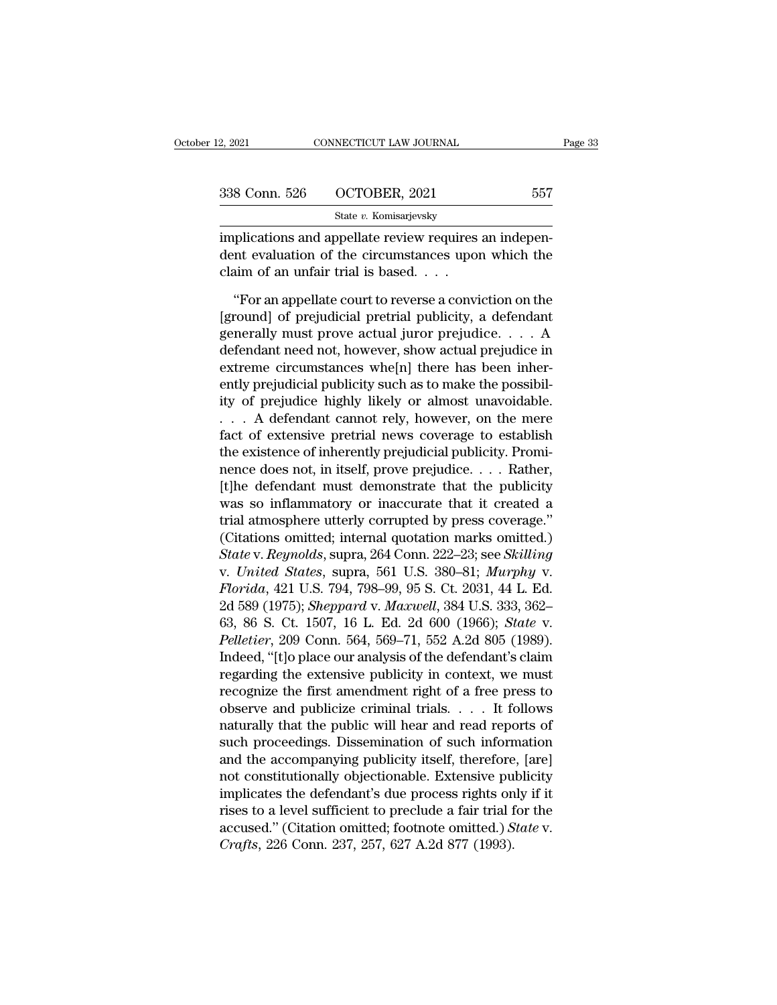| 12, 2021      | CONNECTICUT LAW JOURNAL                                                                                                                            | Page 33 |
|---------------|----------------------------------------------------------------------------------------------------------------------------------------------------|---------|
|               |                                                                                                                                                    |         |
| 338 Conn. 526 | OCTOBER, 2021                                                                                                                                      | 557     |
|               | State v. Komisarjevsky                                                                                                                             |         |
|               | implications and appellate review requires an indepen-<br>dent evaluation of the circumstances upon which the<br>claim of an unfair trial is based |         |
|               | "For an appellate court to reverse a conviction on the                                                                                             |         |

S COILE COLLOBER, 2021<br>
State v. Komisarjevsky<br>
plications and appellate review requires an indepen-<br>
intervaluation of the circumstances upon which the<br>
same of an unfair trial is based....<br>
"For an appellate court to re

State v. Komisarjevsky<br>
implications and appellate review requires an independent evaluation of the circumstances upon which the<br>
claim of an unfair trial is based.  $\dots$ <br>
"For an appellate court to reverse a conviction on implications and appellate review requires an independent evaluation of the circumstances upon which the<br>claim of an unfair trial is based. . . .<br>"For an appellate court to reverse a conviction on the<br>[ground] of prejudici dent evaluation of the circumstances upon which the<br>claim of an unfair trial is based. . . .<br>"For an appellate court to reverse a conviction on the<br>[ground] of prejudicial pretrial publicity, a defendant<br>generally must pro claim of an unfair trial is based. . . .<br>
"For an appellate court to reverse a conviction on the [ground] of prejudicial pretrial publicity, a defendant<br>
generally must prove actual juror prejudice. . . . A<br>
defendant nee "For an appellate court to reverse a conviction on the [ground] of prejudicial pretrial publicity, a defendant generally must prove actual juror prejudice.... A defendant need not, however, show actual prejudice in extrem "For an appellate court to reverse a conviction on the [ground] of prejudicial pretrial publicity, a defendant generally must prove actual juror prejudice.... A defendant need not, however, show actual prejudice in extrem [ground] of prejudicial pretrial publicity, a defendant<br>generally must prove actual juror prejudice.... A<br>defendant need not, however, show actual prejudice in<br>extreme circumstances whe[n] there has been inher-<br>ently prej generally must prove actual juror prejudice.... A<br>defendant need not, however, show actual prejudice in<br>extreme circumstances whe[n] there has been inher-<br>ently prejudicial publicity such as to make the possibil-<br>ity of p defendant need not, however, show actual prejudice in<br>extreme circumstances whe[n] there has been inher-<br>ently prejudicial publicity such as to make the possibil-<br>ity of prejudice highly likely or almost unavoidable.<br>... A extreme circumstances whe[n] there has been inherently prejudicial publicity such as to make the possibility of prejudice highly likely or almost unavoidable.<br>
. . . A defendant cannot rely, however, on the mere fact of ex ently prejudicial publicity such as to make the possibility of prejudice highly likely or almost unavoidable.<br>  $\ldots$  A defendant cannot rely, however, on the mere<br>
fact of extensive pretrial news coverage to establish<br>
th ity of prejudice highly likely or almost unavoidable.<br>  $\ldots$  A defendant cannot rely, however, on the mere<br>
fact of extensive pretrial news coverage to establish<br>
the existence of inherently prejudicial publicity. Promi-<br> ... A defendant cannot rely, however, on the mere<br>fact of extensive pretrial news coverage to establish<br>the existence of inherently prejudicial publicity. Promi-<br>nence does not, in itself, prove prejudice.... Rather,<br>[t]h fact of extensive pretrial news coverage to establish<br>the existence of inherently prejudicial publicity. Promi-<br>nence does not, in itself, prove prejudice. . . . Rather,<br>[t]he defendant must demonstrate that the publicity *State existence of inherently prejudicial publicity. Prominence does not, in itself, prove prejudice.... Rather,*<br>
[*t*]he defendant must demonstrate that the publicity<br>
was so inflammatory or inaccurate that it created a nence does not, in itself, prove prejudice.... Rather,<br>
[t]he defendant must demonstrate that it created a<br>
trial atmosphere utterly corrupted by press coverage."<br>
(Citations omitted; internal quotation marks omitted.)<br> *S* [t]he defendant must demonstrate that the publicity<br>was so inflammatory or inaccurate that it created a<br>trial atmosphere utterly corrupted by press coverage."<br>(Citations omitted; internal quotation marks omitted.)<br>*State* was so inflammatory or inaccurate that it created a<br>trial atmosphere utterly corrupted by press coverage."<br>(Citations omitted; internal quotation marks omitted.)<br>*State* v. *Reynolds*, supra, 264 Conn. 222–23; see *Skillin* trial atmosphere utterly corrupted by press coverage."<br>
(Citations omitted; internal quotation marks omitted.)<br> *State* v. *Reynolds*, supra, 264 Conn. 222–23; see *Skilling*<br>
v. *United States*, supra, 561 U.S. 380–81; *M* (Citations omitted; internal quotation marks omitted.)<br> *State* v. *Reynolds*, supra, 264 Conn. 222–23; see *Skilling*<br>
v. *United States*, supra, 561 U.S. 380–81; *Murphy* v.<br> *Florida*, 421 U.S. 794, 798–99, 95 S. Ct. 20 State v. Reynolds, supra, 264 Conn. 222–23; see Skilling<br>v. United States, supra, 561 U.S. 380–81; Murphy v.<br>Florida, 421 U.S. 794, 798–99, 95 S. Ct. 2031, 44 L. Ed.<br>2d 589 (1975); Sheppard v. Maxwell, 384 U.S. 333, 362–<br>6 v. United States, supra, 561 U.S. 380–81; Murphy v.<br>Florida, 421 U.S. 794, 798–99, 95 S. Ct. 2031, 44 L. Ed.<br>2d 589 (1975); Sheppard v. Maxwell, 384 U.S. 333, 362–<br>63, 86 S. Ct. 1507, 16 L. Ed. 2d 600 (1966); *State* v.<br>P Florida, 421 U.S. 794, 798–99, 95 S. Ct. 2031, 44 L. Ed.<br>2d 589 (1975); *Sheppard v. Maxwell*, 384 U.S. 333, 362–<br>63, 86 S. Ct. 1507, 16 L. Ed. 2d 600 (1966); *State v.*<br>Pelletier, 209 Conn. 564, 569–71, 552 A.2d 805 (198 2d 589 (1975); *Sheppard v. Maxwell*, 384 U.S. 333, 362–63, 86 S. Ct. 1507, 16 L. Ed. 2d 600 (1966); *State v.*<br>Pelletier, 209 Conn. 564, 569–71, 552 A.2d 805 (1989).<br>Indeed, "[t]o place our analysis of the defendant's cl 63, 86 S. Ct. 1507, 16 L. Ed. 2d 600 (1966); *State v.*<br> *Pelletier*, 209 Conn. 564, 569–71, 552 A.2d 805 (1989).<br>
Indeed, "[t]o place our analysis of the defendant's claim<br>
regarding the extensive publicity in context, w Pelletier, 209 Conn. 564, 569–71, 552 A.2d 805 (1989).<br>Indeed, "[t]o place our analysis of the defendant's claim<br>regarding the extensive publicity in context, we must<br>recognize the first amendment right of a free press to<br> Indeed, "[t]o place our analysis of the defendant's claim<br>regarding the extensive publicity in context, we must<br>recognize the first amendment right of a free press to<br>observe and publicize criminal trials. . . . . It follo regarding the extensive publicity in context, we must<br>recognize the first amendment right of a free press to<br>observe and publicize criminal trials. . . . It follows<br>naturally that the public will hear and read reports of<br>s recognize the first amendment right of a free press to<br>observe and publicize criminal trials. . . . . It follows<br>naturally that the public will hear and read reports of<br>such proceedings. Dissemination of such information<br>a observe and publicize criminal trials. . . . . It follows<br>naturally that the public will hear and read reports of<br>such proceedings. Dissemination of such information<br>and the accompanying publicity itself, therefore, [are] naturally that the public will hear and read reports of<br>such proceedings. Dissemination of such information<br>and the accompanying publicity itself, therefore, [are]<br>not constitutionally objectionable. Extensive publicity<br>im such proceedings. Dissemination of such inform<br>and the accompanying publicity itself, therefore<br>not constitutionally objectionable. Extensive pu<br>implicates the defendant's due process rights on<br>rises to a level sufficient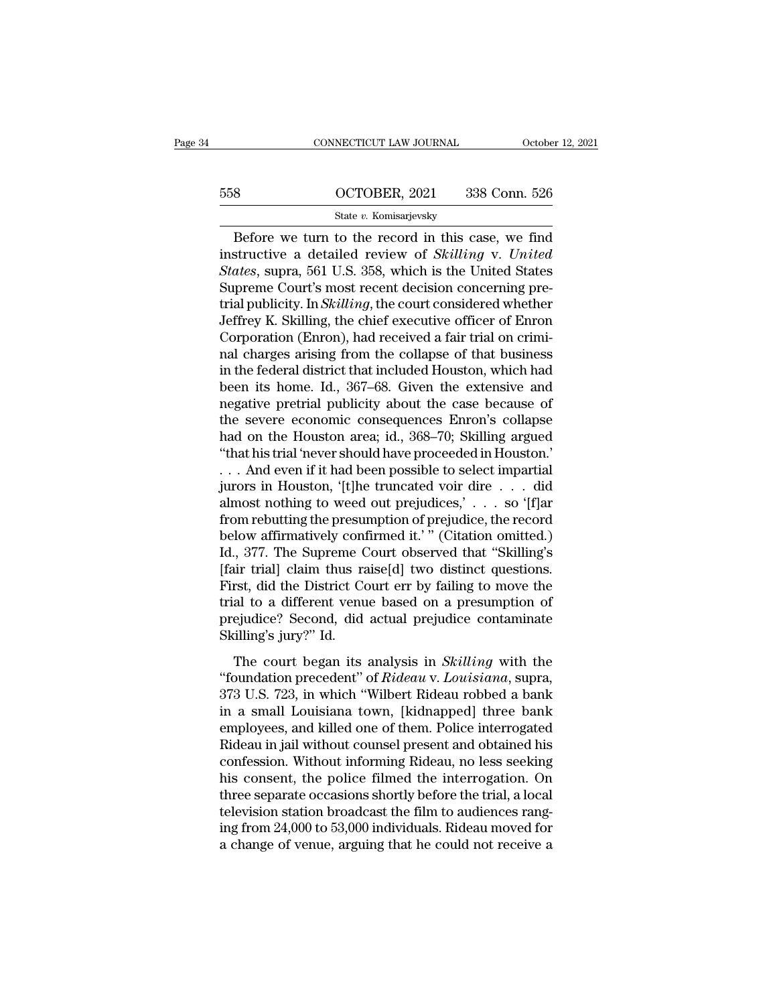# CONNECTICUT LAW JOURNAL October 12, 2021<br>558 OCTOBER, 2021 338 Conn. 526<br>5tate v. Komisarjevsky State *v.* Komisarjevsky

 $\begin{array}{lll}\n\text{CONRECTICUT LAW JOURNAL} & \text{October 12, 2021} \\
\hline\n8 & \text{OCTOBER, 2021} & 338 \text{ Conn. } 526 \\
\hline\n& \text{State } v. \text{ Komisarjevsky} \\
\hline\n\end{array}$ <sup>558</sup> OCTOBER, 2021 338 Conn. 526<br>
<sup>516</sup> State v. Komisarjevsky<br>
Before we turn to the record in this case, we find<br>
instructive a detailed review of *Skilling* v. *United*<br> *States*, supra, 561 U.S. 358, which is the Unit  $\frac{\text{558}}{\text{State } v. \text{ Komisarjevsky}}$ <br> **State v. Komisarjevsky**<br> **Before we turn to the record in this case, we find**<br> **States**, supra, 561 U.S. 358, which is the United States<br>
Supreme Court's most recent decision concerning pre-SUPREM SUPREM SUPREM SET SERVICES SERVICES State *v*. Komisarjevsky<br>Before we turn to the record in this case, we find<br>instructive a detailed review of *Skilling v. United*<br>*States*, supra, 561 U.S. 358, which is the Un State v. Komisarjevsky<br>
Before we turn to the record in this case, we find<br>
instructive a detailed review of *Skilling* v. United<br> *States*, supra, 561 U.S. 358, which is the United States<br>
Supreme Court's most recent deci State v. Komisarjevsky<br>Before we turn to the record in this case, we find<br>instructive a detailed review of *Skilling* v. United<br>States, supra, 561 U.S. 358, which is the United States<br>Supreme Court's most recent decision c Before we turn to the record in this case, we find<br>instructive a detailed review of *Skilling* v. United<br>*States*, supra, 561 U.S. 358, which is the United States<br>Supreme Court's most recent decision concerning pre-<br>trial instructive a detailed review of *Skilling* v. United<br>*States*, supra, 561 U.S. 358, which is the United States<br>Supreme Court's most recent decision concerning pre-<br>trial publicity. In *Skilling*, the court considered whe States, supra, 561 U.S. 358, which is the United States<br>Supreme Court's most recent decision concerning pre-<br>trial publicity. In *Skilling*, the court considered whether<br>Jeffrey K. Skilling, the chief executive officer of Supreme Court's most recent decision concerning pre-<br>trial publicity. In *Skilling*, the court considered whether<br>Jeffrey K. Skilling, the chief executive officer of Enron<br>Corporation (Enron), had received a fair trial on trial publicity. In *Skilling*, the court considered whether<br>Jeffrey K. Skilling, the chief executive officer of Enron<br>Corporation (Enron), had received a fair trial on crimi-<br>nal charges arising from the collapse of that Jeffrey K. Skilling, the chief executive officer of Enron<br>Corporation (Enron), had received a fair trial on crimi-<br>nal charges arising from the collapse of that business<br>in the federal district that included Houston, which Corporation (Enron), had received a fair trial on crimi-<br>nal charges arising from the collapse of that business<br>in the federal district that included Houston, which had<br>been its home. Id., 367–68. Given the extensive and<br>n nal charges arising from the collapse of that business<br>
in the federal district that included Houston, which had<br>
been its home. Id., 367–68. Given the extensive and<br>
negative pretrial publicity about the case because of<br> in the federal district that included Houston, which had<br>been its home. Id., 367–68. Given the extensive and<br>negative pretrial publicity about the case because of<br>the severe economic consequences Enron's collapse<br>had on t been its home. Id., 367–68. Given the extensive and<br>negative pretrial publicity about the case because of<br>the severe economic consequences Enron's collapse<br>had on the Houston area; id., 368–70; Skilling argued<br>"that his tr negative pretrial publicity about the case because of<br>the severe economic consequences Enron's collapse<br>had on the Houston area; id., 368–70; Skilling argued<br>"that his trial 'never should have proceeded in Houston."<br>. . . the severe economic consequences Enron's collapse<br>had on the Houston area; id., 368–70; Skilling argued<br>"that his trial 'never should have proceeded in Houston."<br>... And even if it had been possible to select impartial<br>ju had on the Houston area; id., 368–70; Skilling argued<br>
"that his trial 'never should have proceeded in Houston."<br>
... And even if it had been possible to select impartial<br>
jurors in Houston, '[t]he truncated voir dire ... "that his trial 'never should have proceeded in Houston."<br>
... And even if it had been possible to select impartial<br>
jurors in Houston, '[t]he truncated voir dire ... did<br>
almost nothing to weed out prejudices,' ... so '[f ... And even if it had been possible to select impartial<br>jurors in Houston, '[t]he truncated voir dire ... did<br>almost nothing to weed out prejudices,' ... so '[f]ar<br>from rebutting the presumption of prejudice, the record<br>b jurors in Houston, '[t]he truncated voir dire . . . did<br>almost nothing to weed out prejudices,' . . . so '[f]ar<br>from rebutting the presumption of prejudice, the record<br>below affirmatively confirmed it.' " (Citation omitte almost nothing to weed out prejudices,' . . . so '[f]ar<br>from rebutting the presumption of prejudice, the record<br>below affirmatively confirmed it.' " (Citation omitted.)<br>Id., 377. The Supreme Court observed that "Skilling' from rebutting the presumption of prejudice, the record<br>below affirmatively confirmed it.' " (Citation omitted.)<br>Id., 377. The Supreme Court observed that "Skilling's<br>[fair trial] claim thus raise[d] two distinct questions below affirmatively confirmed it." (Citation omitted.)<br>Id., 377. The Supreme Court observed that "Skilling's<br>[fair trial] claim thus raise[d] two distinct questions.<br>First, did the District Court err by failing to move th if trial] claim thus raise[d] two distinct questions.<br>
rst, did the District Court err by failing to move the<br>
al to a different venue based on a presumption of<br>
ejudice? Second, did actual prejudice contaminate<br>
illing's First, did the District Court err by failing to move the<br>trial to a different venue based on a presumption of<br>prejudice? Second, did actual prejudice contaminate<br>Skilling's jury?" Id.<br>The court began its analysis in *Skill* 

First, and alternative board on a presumption of<br>trial to a different venue based on a presumption of<br>prejudice? Second, did actual prejudice contaminate<br>Skilling's jury?" Id.<br>The court began its analysis in *Skilling* wit prejudice? Second, did actual prejudice contaminate<br>Skilling's jury?" Id.<br>The court began its analysis in *Skilling* with the<br>"foundation precedent" of *Rideau* v. Louisiana, supra,<br>373 U.S. 723, in which "Wilbert Rideau r Skilling's jury?" Id.<br>Skilling's jury?" Id.<br>"foundation precedent" of *Rideau* v. Louisiana, supra,<br>373 U.S. 723, in which "Wilbert Rideau robbed a bank<br>in a small Louisiana town, [kidnapped] three bank<br>employees, and kill The court began its analysis in *Skilling* with the "foundation precedent" of *Rideau v. Louisiana*, supra, 373 U.S. 723, in which "Wilbert Rideau robbed a bank in a small Louisiana town, [kidnapped] three bank employees, The court began its analysis in *Skilling* with the<br>
"foundation precedent" of *Rideau* v. Louisiana, supra,<br>
373 U.S. 723, in which "Wilbert Rideau robbed a bank<br>
in a small Louisiana town, [kidnapped] three bank<br>
employe "foundation precedent" of *Rideau* v. Louisiana, supra,<br>373 U.S. 723, in which "Wilbert Rideau robbed a bank<br>in a small Louisiana town, [kidnapped] three bank<br>employees, and killed one of them. Police interrogated<br>Rideau i 373 U.S. 723, in which "Wilbert Rideau robbed a bank<br>in a small Louisiana town, [kidnapped] three bank<br>employees, and killed one of them. Police interrogated<br>Rideau in jail without counsel present and obtained his<br>confessi in a small Louisiana town, [kidnapped] three bank<br>employees, and killed one of them. Police interrogated<br>Rideau in jail without counsel present and obtained his<br>confession. Without informing Rideau, no less seeking<br>his con employees, and killed one of them. Police interrogated<br>Rideau in jail without counsel present and obtained his<br>confession. Without informing Rideau, no less seeking<br>his consent, the police filmed the interrogation. On<br>thre Rideau in jail without counsel present and obtained his<br>confession. Without informing Rideau, no less seeking<br>his consent, the police filmed the interrogation. On<br>three separate occasions shortly before the trial, a local<br>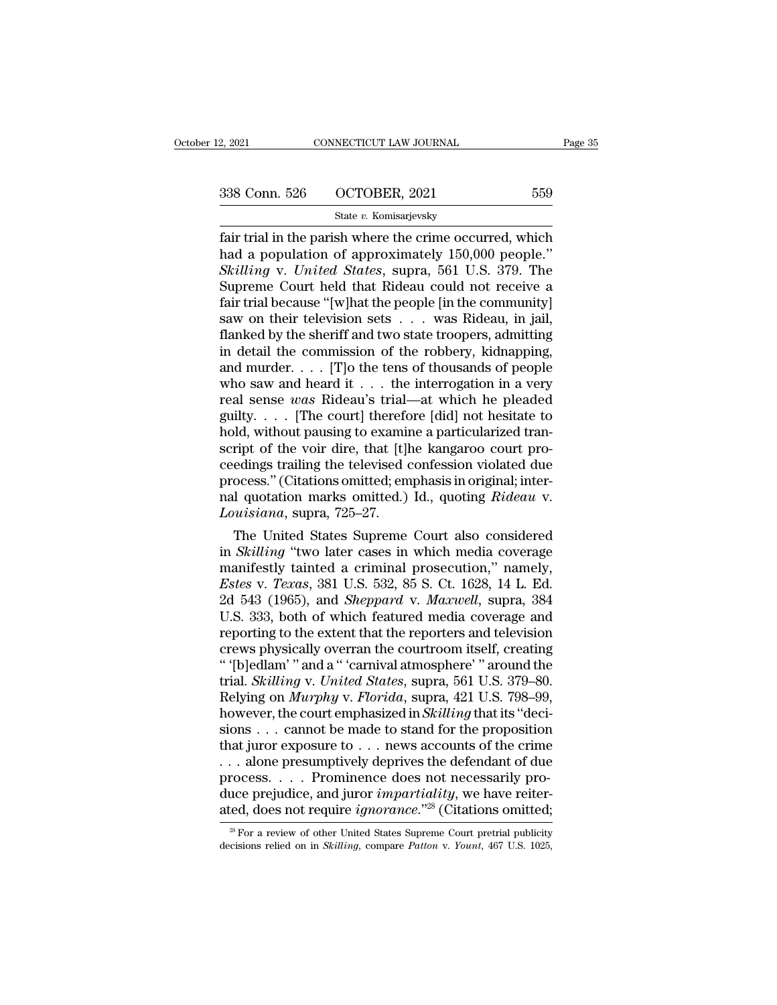2, 2021 CONNECTICUT LAW JOURNAL Page 35<br>338 Conn. 526 OCTOBER, 2021 559<br>State v. Komisarjevsky

State *v.* Komisarjevsky

Fage 25<br>
Fage 25<br>
Fair trial in the parish where the crime occurred, which<br>
had a population of approximately 150,000 people."<br>
Skilling y Lluited States supra 561 U.S. 370. The 338 Conn. 526 OCTOBER, 2021 559<br>
State v. Komisarjevsky<br>
fair trial in the parish where the crime occurred, which<br>
had a population of approximately 150,000 people."<br>
Skilling v. United States, supra, 561 U.S. 379. The<br>
Su *Skilling* v. *United States*, supra, 561 U.S. 379. The  $338$  Conn. 526 OCTOBER, 2021 559<br>
State v. Komisarjevsky<br>
fair trial in the parish where the crime occurred, which<br>
had a population of approximately 150,000 people."<br>
Skilling v. United States, supra, 561 U.S. 379. The<br> Solution 250 CODEN, 2021<br>
State v. Komisarjevsky<br>
fair trial in the parish where the crime occurred, which<br>
had a population of approximately 150,000 people."<br>
Skilling v. United States, supra, 561 U.S. 379. The<br>
Supreme State v. Komisarjevsky<br>
fair trial in the parish where the crime occurred, which<br>
had a population of approximately 150,000 people."<br>
Skilling v. United States, supra, 561 U.S. 379. The<br>
Supreme Court held that Rideau cou fair trial in the parish where the crime occurred, which<br>had a population of approximately 150,000 people."<br>Skilling v. United States, supra, 561 U.S. 379. The<br>Supreme Court held that Rideau could not receive a<br>fair trial had a population of approximately 150,000 people."<br>
Skilling v. United States, supra, 561 U.S. 379. The<br>
Supreme Court held that Rideau could not receive a<br>
fair trial because "[w]hat the people [in the community]<br>
saw on Skilling v. United States, supra, 561 U.S. 379. The<br>Supreme Court held that Rideau could not receive a<br>fair trial because "[w]hat the people [in the community]<br>saw on their television sets . . . was Rideau, in jail,<br>flank Supreme Court held that Rideau could not receive a<br>fair trial because "[w]hat the people [in the community]<br>saw on their television sets . . . was Rideau, in jail,<br>flanked by the sheriff and two state troopers, admitting<br> fair trial because "[w]hat the people [in the community]<br>saw on their television sets  $\dots$  was Rideau, in jail,<br>flanked by the sheriff and two state troopers, admitting<br>in detail the commission of the robbery, kidnapping, saw on their television sets . . . was Rideau, in jail,<br>flanked by the sheriff and two state troopers, admitting<br>in detail the commission of the robbery, kidnapping,<br>and murder. . . . [T]o the tens of thousands of people<br> flanked by the sheriff and two state troopers, admitting<br>in detail the commission of the robbery, kidnapping,<br>and murder. . . . [T]o the tens of thousands of people<br>who saw and heard it . . . the interrogation in a very<br>r in detail the commission of the robbery, kidnapping,<br>and murder. . . . [T]o the tens of thousands of people<br>who saw and heard it . . . the interrogation in a very<br>real sense was Rideau's trial—at which he pleaded<br>guilty. and murder. . . . [T]o the tens of thousands of people<br>who saw and heard it . . . the interrogation in a very<br>real sense was Rideau's trial—at which he pleaded<br>guilty. . . . [The court] therefore [did] not hesitate to<br>hol who saw and heard it . . . the interrogation in a very<br>real sense was Rideau's trial—at which he pleaded<br>guilty. . . . [The court] therefore [did] not hesitate to<br>hold, without pausing to examine a particularized tran-<br>sc real sense *was* Rideau's trial—at which he pleaded<br>guilty. . . . [The court] therefore [did] not hesitate to<br>hold, without pausing to examine a particularized tran-<br>script of the voir dire, that [t]he kangaroo court pro-<br> guilty. . . . . [The court] therefc<br>hold, without pausing to examin<br>script of the voir dire, that [t]<br>ceedings trailing the televised c<br>process." (Citations omitted; em<br>nal quotation marks omitted.)<br>*Louisiana*, supra, 725 Id, without pausing to examine a particularized tran-<br>ript of the voir dire, that [t]he kangaroo court pro-<br>edings trailing the televised confession violated due<br>ocess." (Citations omitted; emphasis in original; inter-<br>I q script of the voir dire, that [t]ne kangaroo court pro-<br>ceedings trailing the televised confession violated due<br>process." (Citations omitted; emphasis in original; inter-<br>nal quotation marks omitted.) Id., quoting *Rideau* 

ceedings trailing the televised confession violated due<br>process." (Citations omitted; emphasis in original; inter-<br>nal quotation marks omitted.) Id., quoting *Rideau* v.<br>*Louisiana*, supra, 725–27.<br>The United States Suprem process." (Citations omitted; emphasis in original; inter-<br>
ral quotation marks omitted.) Id., quoting *Rideau v.*<br> *Louisiana*, supra, 725–27.<br>
The United States Supreme Court also considered<br>
in *Skilling* "two later cas nal quotation marks omitted.) Id., quoting *Rideau v.*<br> *Louisiana*, supra, 725–27.<br>
The United States Supreme Court also considered<br>
in *Skilling* "two later cases in which media coverage<br>
manifestly tainted a criminal pr Louisiana, supra, 725–27.<br>
The United States Supreme Court also considered<br>
in *Skilling* "two later cases in which media coverage<br>
manifestly tainted a criminal prosecution," namely,<br> *Estes* v. *Texas*, 381 U.S. 532, 85 The United States Supreme Court also considered<br>in *Skilling* "two later cases in which media coverage<br>manifestly tainted a criminal prosecution," namely,<br>*Estes* v. *Texas*, 381 U.S. 532, 85 S. Ct. 1628, 14 L. Ed.<br>2d 543 in *Skilling* "two later cases in which media coverage<br>manifestly tainted a criminal prosecution," namely,<br>*Estes v. Texas*, 381 U.S. 532, 85 S. Ct. 1628, 14 L. Ed.<br>2d 543 (1965), and *Sheppard v. Maxwell*, supra, 384<br>U.S. manifestly tainted a criminal prosecution," namely,<br> *Estes* v. *Texas*, 381 U.S. 532, 85 S. Ct. 1628, 14 L. Ed.<br>
2d 543 (1965), and *Sheppard* v. *Maxwell*, supra, 384<br>
U.S. 333, both of which featured media coverage and<br> Estes v. *Texas*, 381 U.S. 532, 85 S. Ct. 1628, 14 L. Ed.<br>2d 543 (1965), and *Sheppard* v. *Maxwell*, supra, 384<br>U.S. 333, both of which featured media coverage and<br>reporting to the extent that the reporters and television 2d 543 (1965), and *Sheppard* v. *Maxwell*, supra, 384<br>U.S. 333, both of which featured media coverage and<br>reporting to the extent that the reporters and television<br>crews physically overran the courtroom itself, creating<br>" U.S. 333, both of which featured media coverage and<br>reporting to the extent that the reporters and television<br>crews physically overran the courtroom itself, creating<br>"(b)edlam' " and a " 'carnival atmosphere' " around the<br> reporting to the extent that the reporters and television<br>crews physically overran the courtroom itself, creating<br>"(b)edlam'" and a "'carnival atmosphere'" around the<br>trial. *Skilling* v. *United States*, supra, 561 U.S. crews physically overran the courtroom itself, creating<br>"'(b)edlam'" and a "'carnival atmosphere'" around the<br>trial. *Skilling v. United States*, supra, 561 U.S. 379–80.<br>Relying on *Murphy v. Florida*, supra, 421 U.S. 798 " (b)edlam' " and a " 'carnival atmosphere' " around the<br>trial. *Skilling* v. *United States*, supra, 561 U.S. 379–80.<br>Relying on *Murphy* v. *Florida*, supra, 421 U.S. 798–99,<br>however, the court emphasized in *Skilling* trial. *Skilling v. United States*, supra, 561 U.S. 379–80.<br>Relying on *Murphy v. Florida*, supra, 421 U.S. 798–99.<br>however, the court emphasized in *Skilling* that its "decisions . . . cannot be made to stand for the pro Relying on *Murphy* v. *Florida*, supra, 421 U.S. 798–99,<br>however, the court emphasized in *Skilling* that its "deci-<br>sions . . . cannot be made to stand for the proposition<br>that juror exposure to . . . news accounts of th however, the court emphasized in *Skilling* that its "decisions . . . cannot be made to stand for the proposition that juror exposure to . . . news accounts of the crime . . . alone presumptively deprives the defendant of . . alone presumptively deprives the defendant of due rocess. . . . Prominence does not necessarily pro-<br>uce prejudice, and juror *impartiality*, we have reiter-<br>ed, does not require *ignorance*."<sup>28</sup> (Citations omitted;<br> process. . . . . Prominence does not necessarily produce prejudice, and juror *impartiality*, we have reiterated, does not require *ignorance*."<sup>28</sup> (Citations omitted; <sup>28</sup> For a review of other United States Supreme Cour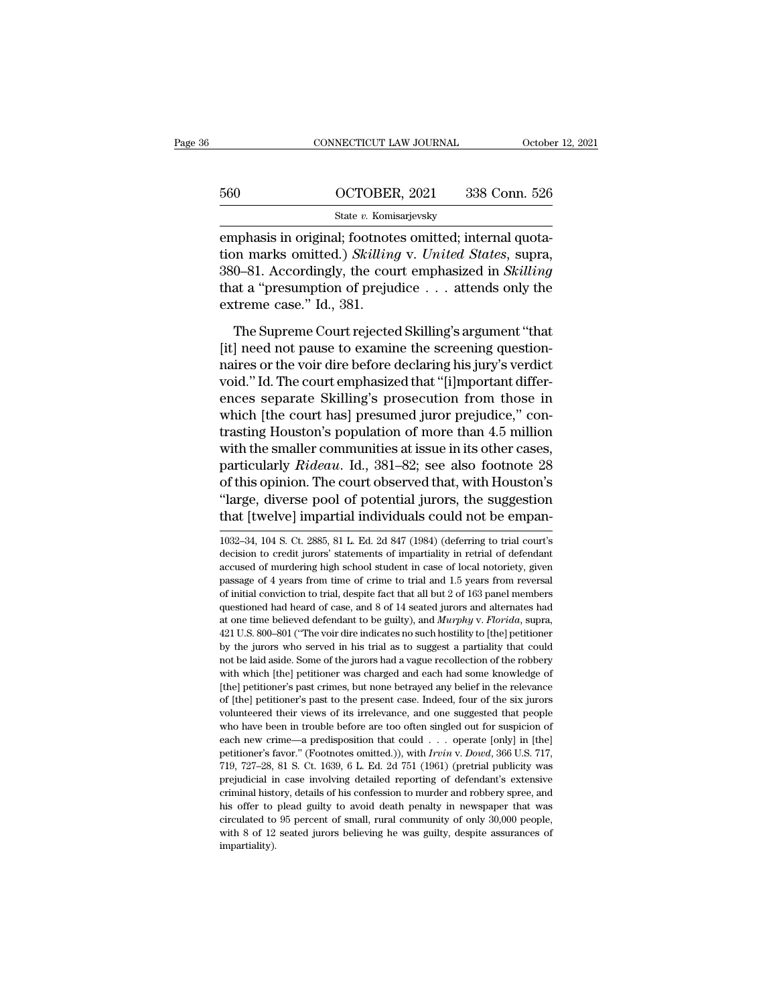|     | CONNECTICUT LAW JOURNAL | October 12, 2021 |
|-----|-------------------------|------------------|
|     |                         |                  |
| 560 | OCTOBER, 2021           | 338 Conn. 526    |
|     | State v. Komisarjevsky  |                  |

EMBER CONNECTICUT LAW JOURNAL COCOON<br>
EMBER 2021 338 Conn. 526<br>
State v. Komisarjevsky<br>
EMPER 2021 338 Conn. 526<br>
EMPER 2021 4 CONNECTION SKilling v. United States, supra,<br>
200 91 Accordingly, the court emphasized in Skill 560 OCTOBER, 2021 338 Conn. 526<br>
<sup>State v.</sup> Komisarjevsky<br>
emphasis in original; footnotes omitted; internal quotation<br>
marks omitted.) *Skilling* v. *United States*, supra,<br>
380–81. Accordingly, the court emphasized in *S* 380–91. COMBER, 2021<br>
338 Conn. 526<br>
338 Conn. 526<br>
3380–81. Accordingly, the court emphasized in *Skilling*<br>
380–81. Accordingly, the court emphasized in *Skilling*<br>
that a "presumption of prejudice . . . attends only the that a ''presumption of prejudice . . . attends only the  $\begin{tabular}{l} \hline & \text{State $v$}. Komi \\ \hline \text{emphasis in original; footnote} \\ \text{tion marks omitted.) } Skilling 380–81. Accordingly, the cou-  
that a "presumption of preju-  
extreme case." Id., 381. \\ \hline \end{tabular}$ nphasis in original; footnotes omitted; internal quota-<br>on marks omitted.) *Skilling* v. *United States*, supra,<br>0–81. Accordingly, the court emphasized in *Skilling*<br>at a "presumption of prejudice . . . attends only the<br>t England, and the scriptual point of the screening of the screening as<br>  $380-81$ . Accordingly, the court emphasized in *Skilling*<br>
that a "presumption of prejudice . . . attends only the<br>
extreme case." Id., 381.<br>
The Supr

380–81. Accordingly, the court emphasized in *Skilling*<br>that a "presumption of prejudice  $\ldots$  attends only the<br>extreme case." Id., 381.<br>The Supreme Court rejected Skilling's argument "that<br>[it] need not pause to examine For the allegation of prejudice . . . attends only the extreme case." Id., 381.<br>The Supreme Court rejected Skilling's argument "that<br>[it] need not pause to examine the screening question-<br>naires or the voir dire before dec extreme case." Id., 381.<br>
The Supreme Court rejected Skilling's argument "that<br>
[it] need not pause to examine the screening question-<br>
naires or the voir dire before declaring his jury's verdict<br>
void." Id. The court emp The Supreme Court rejected Skilling's argument "that<br>[it] need not pause to examine the screening question-<br>naires or the voir dire before declaring his jury's verdict<br>void." Id. The court emphasized that "[i]mportant diff The Supreme Court rejected Skilling's argument "that<br>[it] need not pause to examine the screening question-<br>naires or the voir dire before declaring his jury's verdict<br>void." Id. The court emphasized that "[i]mportant dif [it] need not pause to examine the screening question-<br>naires or the voir dire before declaring his jury's verdict<br>void." Id. The court emphasized that "[i]mportant differ-<br>ences separate Skilling's prosecution from those naires or the voir dire before declaring his jury's verdict<br>void." Id. The court emphasized that "[i]mportant differ-<br>ences separate Skilling's prosecution from those in<br>which [the court has] presumed juror prejudice," con void." Id. The court emphasized that "[i]mportant differences separate Skilling's prosecution from those in which [the court has] presumed juror prejudice," contrasting Houston's population of more than 4.5 million with th ences separate Skilling's prosecution from those in<br>which [the court has] presumed juror prejudice," con-<br>trasting Houston's population of more than 4.5 million<br>with the smaller communities at issue in its other cases,<br>par which [the court has] presumed juror prejudice," contrasting Houston's population of more than 4.5 million<br>with the smaller communities at issue in its other cases,<br>particularly *Rideau*. Id., 381–82; see also footnote 28 particularly *Rideau*. Id., 381–82; see also footnote 28 of this opinion. The court observed that, with Houston's "large, diverse pool of potential jurors, the suggestion that [twelve] impartial individuals could not be em of this opinion. The court observed that, with Houston's<br>
"large, diverse pool of potential jurors, the suggestion<br>
that [twelve] impartial individuals could not be empan-<br>
1032–34, 104 S. Ct. 2885, 81 L. Ed. 2d 847 (1984)

"large, diverse pool of potential jurors, the suggestion<br>that [twelve] impartial individuals could not be empan-<br>1032–34, 104 S. Ct. 2885, 81 L. Ed. 2d 847 (1984) (deferring to trial court's<br>decision to credit jurors' stat that [twelve] impartial individuals could not be empan-<br>1032–34, 104 S. Ct. 2885, 81 L. Ed. 2d 847 (1984) (deferring to trial court's<br>decision to credit jurors' statements of impartiality in retrial of defendant<br>accused o of initial conviction to trial, despite fact that all but 2 of 163 panel members decision to credit jurors' statements of impartiality in retrial of defendant accused of murdering high school student in case of local notor 1032–34, 104 S. Ct. 2885, 81 L. Ed. 2d 847 (1984) (deferring to trial court's decision to credit jurors' statements of impartiality in retrial of defendant accused of murdering high school student in case of local notorie decision to credit jurors' statements of impartiality in retrial of defendant accused of murdering high school student in case of local notoriety, given passage of 4 years from time of crime to trial and 1.5 years from rev accused of murdering high school student in case of local notoriety, given<br>passage of 4 years from time of crime to trial and 1.5 years from reversal<br>of initial conviction to trial, despite fact that all but 2 of 163 pane passage of 4 years from time of crime to trial and 1.5 years from reversal of initial conviction to trial, despite fact that all but 2 of 163 panel members questioned had heard of case, and 8 of 14 seated jurors and altern profitial conviction to trial, despite fact that all but 2 of 163 panel members questioned had heard of case, and 8 of 14 seated jurors and alternates had at one time believed defendant to be guilty), and *Murphy v. Florid* or metalloner and a bear and some that we denote the discussioned had heard of case, and 8 of 14 seated jurors and alternates had at one time believed defendant to be guilty), and *Murphy* v. *Florida*, supra, 421 U.S. 800 at one time believed defendant to be guilty), and *Murphy* v. *Florida*, supra, 421 U.S. 800–801 ("The voir dire indicates no such hostility to [the] petitioner by the jurors who served in his trial as to suggest a partial  $421$  U.S. 800–801 ("The voir dire indicates no such hostility to [the] petitioner by the jurors who served in his trial as to suggest a partiality that could not be laid aside. Some of the jurors had a vague recollection by the jurors who served in his trial as to suggest a partiality that could not be laid aside. Some of the jurors had a vague recollection of the robbery with which [the] petitioner was charged and each had some knowledge by the have been in trouble before are too often singled out for suspiciently with which [the] petitioner was charged and each had some knowledge of [the] petitioner's past crimes, but none betrayed any belief in the rele with which [the] petitioner was charged and each had some knowledge of [the] petitioner's past crimes, but none betrayed any belief in the relevance of [the] petitioner's past to the present case. Indeed, four of the six [the] petitioner's past crimes, but none betrayed any belief in the relevance of [the] petitioner's past to the present case. Indeed, four of the six jurors volunteered their views of its irrelevance, and one suggested tha of [the] petitioner's past to the present case. Indeed, four of the six jurors volunteered their views of its irrelevance, and one suggested that people who have been in trouble before are too often singled out for suspic prefunction of the views of its irrelevance, and one suggested that people who have been in trouble before are too often singled out for suspicion of each new crime—a predisposition that could  $\ldots$  operate [only] in [the who have been in trouble before are too often singled out for suspicion of each new crime—a predisposition that could  $\ldots$  operate [only] in [the] petitioner's favor." (Footnotes omitted.)), with *Irvin* v. *Dowd*, 366 U who have been in trouble before are too often singled out for suspicion of each new crime—a predisposition that could . . . operate [only] in [the] petitioner's favor." (Footnotes omitted.)), with *Irvin v. Dowd*, 366 U.S petitioner's favor." (Footnotes omitted.)), with Irvin v. Dowd, 366 U.S. 717, 719, 727-28, 81 S. Ct. 1639, 6 L. Ed. 2d 751 (1961) (pretrial publicity was impartiality).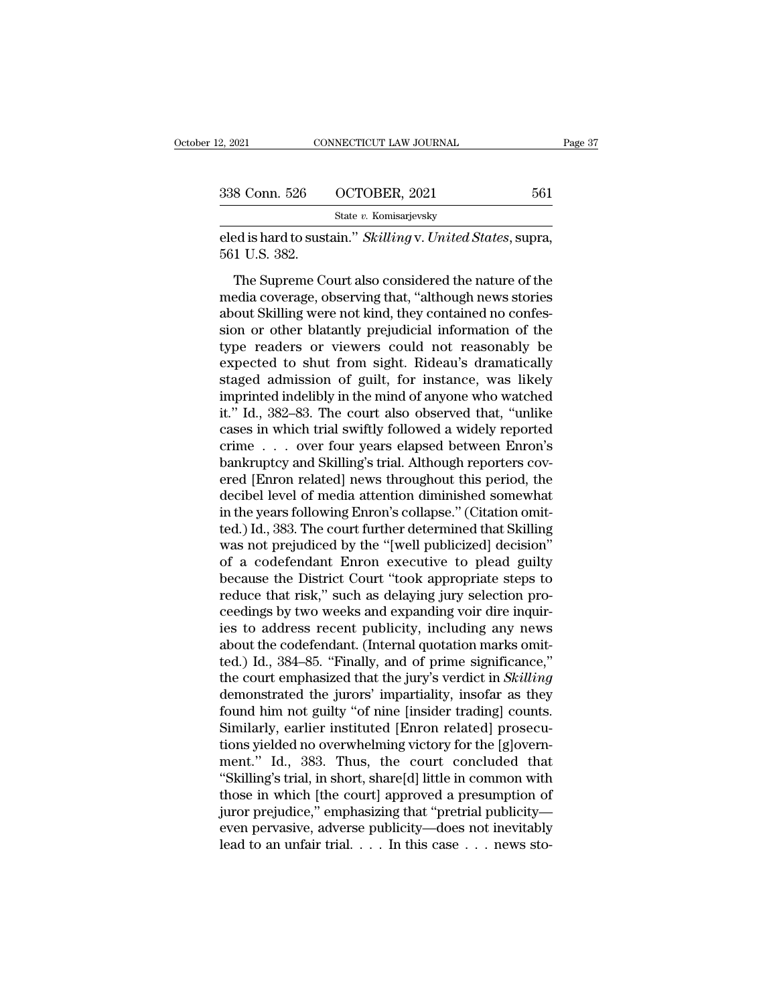| 2, 2021       | CONNECTICUT LAW JOURNAL | Page 37 |  |
|---------------|-------------------------|---------|--|
| 338 Conn. 526 | OCTOBER, 2021           | 561     |  |
|               | State v. Komisarjevsky  |         |  |

eled is hard to sustain." *Skilling* v. *United States*, supra, 561 U.S. 382. 338 Conn. 526<br>-<br>eled is hard to sust<br>561 U.S. 382.<br>- The Supreme Co

8 Conn. 526 OCTOBER, 2021 561<br>
State v. Komisarjevsky<br>
Ed is hard to sustain." *Skilling* v. *United States*, supra,<br>
1 U.S. 382.<br>
The Supreme Court also considered the nature of the<br>
Edia coverage, observing that, "althou 338 Conn. 526 COCTOBER, 2021 561<br>
State v. Komisarjevsky<br>
eled is hard to sustain." *Skilling v. United States*, supra,<br>
561 U.S. 382.<br>
The Supreme Court also considered the nature of the<br>
media coverage, observing that, State v. Komisarjevsky<br>
eled is hard to sustain." *Skilling* v. United States, supra,<br>
561 U.S. 382.<br>
The Supreme Court also considered the nature of the<br>
media coverage, observing that, "although news stories<br>
about Skill eled is hard to sustain." *Skilling* v. United States, supra,<br>561 U.S. 382.<br>The Supreme Court also considered the nature of the<br>media coverage, observing that, "although news stories<br>about Skilling were not kind, they cont the Supreme Court also considered the nature of the<br>media coverage, observing that, "although news stories<br>about Skilling were not kind, they contained no confes-<br>sion or other blatantly prejudicial information of the<br>type The Supreme Court also considered the nature of the<br>media coverage, observing that, "although news stories<br>about Skilling were not kind, they contained no confes-<br>sion or other blatantly prejudicial information of the<br>type The Supreme Court also considered the nature of the<br>media coverage, observing that, "although news stories<br>about Skilling were not kind, they contained no confes-<br>sion or other blatantly prejudicial information of the<br>type media coverage, observing that, "although news stories<br>about Skilling were not kind, they contained no confes-<br>sion or other blatantly prejudicial information of the<br>type readers or viewers could not reasonably be<br>expected about Skilling were not kind, they contained no confession or other blatantly prejudicial information of the type readers or viewers could not reasonably be expected to shut from sight. Rideau's dramatically staged admissi sion or other blatantly prejudicial information of the<br>type readers or viewers could not reasonably be<br>expected to shut from sight. Rideau's dramatically<br>staged admission of guilt, for instance, was likely<br>imprinted indeli type readers or viewers could not reasonably be<br>expected to shut from sight. Rideau's dramatically<br>staged admission of guilt, for instance, was likely<br>imprinted indelibly in the mind of anyone who watched<br>it." Id., 382–83. expected to shut from sight. Rideau's dramatically<br>staged admission of guilt, for instance, was likely<br>imprinted indelibly in the mind of anyone who watched<br>it." Id., 382–83. The court also observed that, "unlike<br>cases in staged admission of guilt, for instance, was likely<br>imprinted indelibly in the mind of anyone who watched<br>it." Id., 382–83. The court also observed that, "unlike<br>cases in which trial swiftly followed a widely reported<br>crim imprinted indelibly in the mind of anyone who watched<br>it." Id., 382–83. The court also observed that, "unlike<br>cases in which trial swiftly followed a widely reported<br>crime . . . over four years elapsed between Enron's<br>bank it." Id., 382–83. The court also observed that, "unlike cases in which trial swiftly followed a widely reported crime . . . over four years elapsed between Enron's bankruptcy and Skilling's trial. Although reporters covere cases in which trial swiftly followed a widely reported<br>crime . . . over four years elapsed between Enron's<br>bankruptcy and Skilling's trial. Although reporters cov-<br>ered [Enron related] news throughout this period, the<br>dec crime . . . over four years elapsed between Enron's<br>bankruptcy and Skilling's trial. Although reporters cov-<br>ered [Enron related] news throughout this period, the<br>decibel level of media attention diminished somewhat<br>in the bankruptcy and Skilling's trial. Although reporters covered [Enron related] news throughout this period, the decibel level of media attention diminished somewhat in the years following Enron's collapse." (Citation omitted. ered [Enron related] news throughout this period, the<br>decibel level of media attention diminished somewhat<br>in the years following Enron's collapse." (Citation omit-<br>ted.) Id., 383. The court further determined that Skillin decibel level of media attention diminished somewhat<br>in the years following Enron's collapse." (Citation omit-<br>ted.) Id., 383. The court further determined that Skilling<br>was not prejudiced by the "[well publicized] decisio in the years following Enron's collapse." (Citation omitted.) Id., 383. The court further determined that Skilling was not prejudiced by the "[well publicized] decision" of a codefendant Enron executive to plead guilty bec ted.) Id., 383. The court further determined that Skilling<br>was not prejudiced by the "[well publicized] decision"<br>of a codefendant Enron executive to plead guilty<br>because the District Court "took appropriate steps to<br>reduc was not prejudiced by the "[well publicized] decision"<br>of a codefendant Enron executive to plead guilty<br>because the District Court "took appropriate steps to<br>reduce that risk," such as delaying jury selection pro-<br>ceedings of a codefendant Enron executive to plead guilty<br>because the District Court "took appropriate steps to<br>reduce that risk," such as delaying jury selection pro-<br>ceedings by two weeks and expanding voir dire inquir-<br>ies to ad because the District Court "took appropriate steps to<br>reduce that risk," such as delaying jury selection pro-<br>ceedings by two weeks and expanding voir dire inquir-<br>ies to address recent publicity, including any news<br>about reduce that risk," such as delaying jury selection proceedings by two weeks and expanding voir dire inquiries to address recent publicity, including any news about the codefendant. (Internal quotation marks omitted.) Id., ceedings by two weeks and expanding voir dire inquiries to address recent publicity, including any news<br>about the codefendant. (Internal quotation marks omitted.) Id., 384–85. "Finally, and of prime significance,"<br>the cour ies to address recent publicity, including any news<br>about the codefendant. (Internal quotation marks omit-<br>ted.) Id., 384–85. "Finally, and of prime significance,"<br>the court emphasized that the jury's verdict in *Skilling* about the codefendant. (Internal quotation marks omitted.) Id., 384–85. "Finally, and of prime significance,"<br>the court emphasized that the jury's verdict in *Skilling*<br>demonstrated the jurors' impartiality, insofar as the ted.) Id., 384–85. "Finally, and of prime significance,"<br>the court emphasized that the jury's verdict in *Skilling*<br>demonstrated the jurors' impartiality, insofar as they<br>found him not guilty "of nine [insider trading] cou the court emphasized that the jury's verdict in *Skilling*<br>demonstrated the jurors' impartiality, insofar as they<br>found him not guilty "of nine [insider trading] counts.<br>Similarly, earlier instituted [Enron related] prosec demonstrated the jurors' impartiality, insofar as they<br>found him not guilty "of nine [insider trading] counts.<br>Similarly, earlier instituted [Enron related] prosecu-<br>tions yielded no overwhelming victory for the [g]overn-<br> found him not guilty "of nine [insider trading] counts.<br>Similarly, earlier instituted [Enron related] prosecutions yielded no overwhelming victory for the [g]overnment." Id., 383. Thus, the court concluded that "Skilling's Similarly, earlier instituted [Enron related] prosecutions yielded no overwhelming victory for the [g]overnment." Id., 383. Thus, the court concluded that "Skilling's trial, in short, share[d] little in common with those i tions yielded no overwhelming victory for the [g]overnment." Id., 383. Thus, the court concluded that "Skilling's trial, in short, share[d] little in common with those in which [the court] approved a presumption of juror p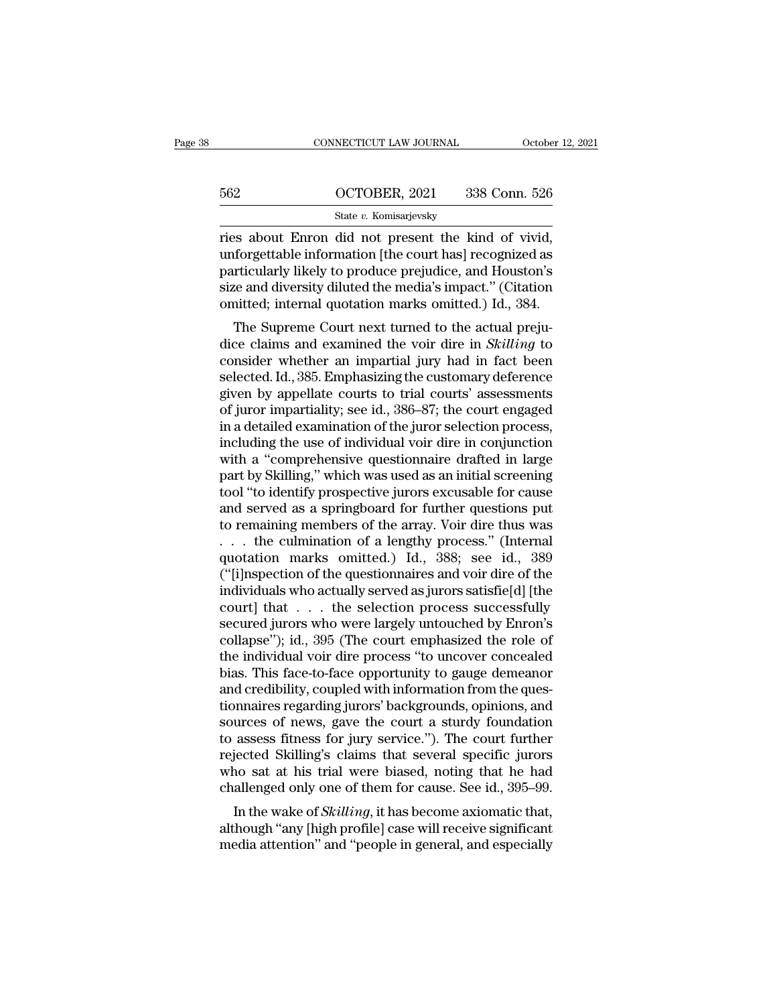|     | CONNECTICUT LAW JOURNAL                                                                                                                                                   | October 12, 2021 |
|-----|---------------------------------------------------------------------------------------------------------------------------------------------------------------------------|------------------|
| 562 | OCTOBER, 2021                                                                                                                                                             | 338 Conn. 526    |
|     | State v. Komisarjevsky                                                                                                                                                    |                  |
|     | ries about Enron did not present the kind of vivid,<br>unforgettable information [the court has] recognized as<br>particularly likely to produce projudice, and Houston's |                  |

562 OCTOBER, 2021 338 Conn. 526<br>
state v. Komisarjevsky<br>
ries about Enron did not present the kind of vivid,<br>
unforgettable information [the court has] recognized as<br>
particularly likely to produce prejudice, and Houston's particularly likely to produce prejudice, and Houston's size and diversity diluted the media's impact." (Citation continued information present the size and diversity diluted the media's impact." (Citation continued infor size and diversity diluted the media's impact.'' (Citation State v. Komisarjevsky<br>
Tries about Enron did not present the kind of vivid,<br>
unforgettable information [the court has] recognized as<br>
particularly likely to produce prejudice, and Houston's<br>
size and diversity diluted the es about Enron did not present the kind of vivid, forgettable information [the court has] recognized as riticularly likely to produce prejudice, and Houston's the and diversity diluted the media's impact." (Citation initte ries about Eifformation [the court has] recognized as<br>particularly likely to produce prejudice, and Houston's<br>size and diversity diluted the media's impact." (Citation<br>omitted; internal quotation marks omitted.) Id., 384.<br>

morgettable information [the court has] recognized as<br>particularly likely to produce prejudice, and Houston's<br>size and diversity diluted the media's impact." (Citation<br>omitted; internal quotation marks omitted.) Id., 384.<br> particularly likely to produce prejudice, and riotation is<br>size and diversity diluted the media's impact." (Citation<br>omitted; internal quotation marks omitted.) Id., 384.<br>The Supreme Court next turned to the actual prejusize and diversity diluted the hielda's hilpact. (Chation<br>omitted; internal quotation marks omitted.) Id., 384.<br>The Supreme Court next turned to the actual preju-<br>dice claims and examined the voir dire in *Skilling* to<br>con of the supreme Court next turned to the actual prejudice claims and examined the voir dire in *Skilling* to consider whether an impartial jury had in fact been selected. Id., 385. Emphasizing the customary deference given The Supreme Court next turned to the actual prejudice claims and examined the voir dire in *Skilling* to consider whether an impartial jury had in fact been selected. Id., 385. Emphasizing the customary deference given by dice claims and examined the voir dire in *Skilling* to<br>consider whether an impartial jury had in fact been<br>selected. Id., 385. Emphasizing the customary deference<br>given by appellate courts to trial courts' assessments<br>of consider whether an impartial jury had in fact been<br>selected. Id., 385. Emphasizing the customary deference<br>given by appellate courts to trial courts' assessments<br>of juror impartiality; see id., 386–87; the court engaged<br>i selected. Id., 385. Emphasizing the customary deference<br>given by appellate courts to trial courts' assessments<br>of juror impartiality; see id., 386–87; the court engaged<br>in a detailed examination of the juror selection proc given by appellate courts to trial courts' assessments<br>of juror impartiality; see id., 386–87; the court engaged<br>in a detailed examination of the juror selection process,<br>including the use of individual voir dire in conjun of juror impartiality; see id., 386–87; the court engaged<br>in a detailed examination of the juror selection process,<br>including the use of individual voir dire in conjunction<br>with a "comprehensive questionnaire drafted in la in a detailed examination of the juror selection process,<br>including the use of individual voir dire in conjunction<br>with a "comprehensive questionnaire drafted in large<br>part by Skilling," which was used as an initial scree including the use of individual voir dire in conjunction<br>with a "comprehensive questionnaire drafted in large<br>part by Skilling," which was used as an initial screening<br>tool "to identify prospective jurors excusable for cau with a "comprehensive questionnaire drafted in large<br>part by Skilling," which was used as an initial screening<br>tool "to identify prospective jurors excusable for cause<br>and served as a springboard for further questions put<br> part by Skilling," which was used as an initial screening<br>tool "to identify prospective jurors excusable for cause<br>and served as a springboard for further questions put<br>to remaining members of the array. Voir dire thus was tool "to identify prospective jurors excusable for cause<br>and served as a springboard for further questions put<br>to remaining members of the array. Voir dire thus was<br>. . . the culmination of a lengthy process." (Internal<br>qu and served as a springboard for further questions put<br>to remaining members of the array. Voir dire thus was<br>. . . . the culmination of a lengthy process." (Internal<br>quotation marks omitted.) Id., 388; see id., 389<br>("[i]ns to remaining members of the array. Voir dire thus was<br>
. . . the culmination of a lengthy process." (Internal<br>
quotation marks omitted.) Id., 388; see id., 389<br>
("[i]nspection of the questionnaires and voir dire of the<br>
in collapse''); id., 395 (The court emphasized the role of the role of the individuals who actually served as jurors satisfield] [the court] that with a selection process successfully secured jurors who were largely untouched quotation marks omitted.) Id., 388; see id., 389<br>("[i]nspection of the questionnaires and voir dire of the<br>individuals who actually served as jurors satisfie[d] [the<br>court] that . . . the selection process successfully<br>sec ("[i]nspection of the questionnaires and voir dire of the<br>individuals who actually served as jurors satisfie[d] [the<br>court] that . . . . the selection process successfully<br>secured jurors who were largely untouched by Enron individuals who actually served as jurors satisfie[d] [the court] that . . . . the selection process successfully secured jurors who were largely untouched by Enron's collapse"); id., 395 (The court emphasized the role of court] that . . . the selection process successfully<br>secured jurors who were largely untouched by Enron's<br>collapse"); id., 395 (The court emphasized the role of<br>the individual voir dire process "to uncover concealed<br>bias. secured jurors who were largely untouched by Enron's<br>collapse''); id., 395 (The court emphasized the role of<br>the individual voir dire process "to uncover concealed<br>bias. This face-to-face opportunity to gauge demeanor<br>and collapse"); id., 395 (The court emphasized the role of<br>the individual voir dire process "to uncover concealed<br>bias. This face-to-face opportunity to gauge demeanor<br>and credibility, coupled with information from the ques-<br>t the individual voir dire process "to uncover concealed<br>bias. This face-to-face opportunity to gauge demeanor<br>and credibility, coupled with information from the ques-<br>tionnaires regarding jurors' backgrounds, opinions, and<br> bias. This face-to-face opportunity to gauge demeanor<br>and credibility, coupled with information from the ques-<br>tionnaires regarding jurors' backgrounds, opinions, and<br>sources of news, gave the court a sturdy foundation<br>to and credibility, coupled with information from the questionnaires regarding jurors' backgrounds, opinions, and<br>sources of news, gave the court a sturdy foundation<br>to assess fitness for jury service."). The court further<br>re Inhales regarding juriors backgrounds, opinions, and<br>urces of news, gave the court a sturdy foundation<br>assess fitness for jury service."). The court further<br>jected Skilling's claims that several specific jurors<br>no sat at h sources of news, gave the court a sturty foundation<br>to assess fitness for jury service."). The court further<br>rejected Skilling's claims that several specific jurors<br>who sat at his trial were biased, noting that he had<br>chal to assess hiness for jury service. J. The court further<br>rejected Skilling's claims that several specific jurors<br>who sat at his trial were biased, noting that he had<br>challenged only one of them for cause. See id., 395–99.<br>I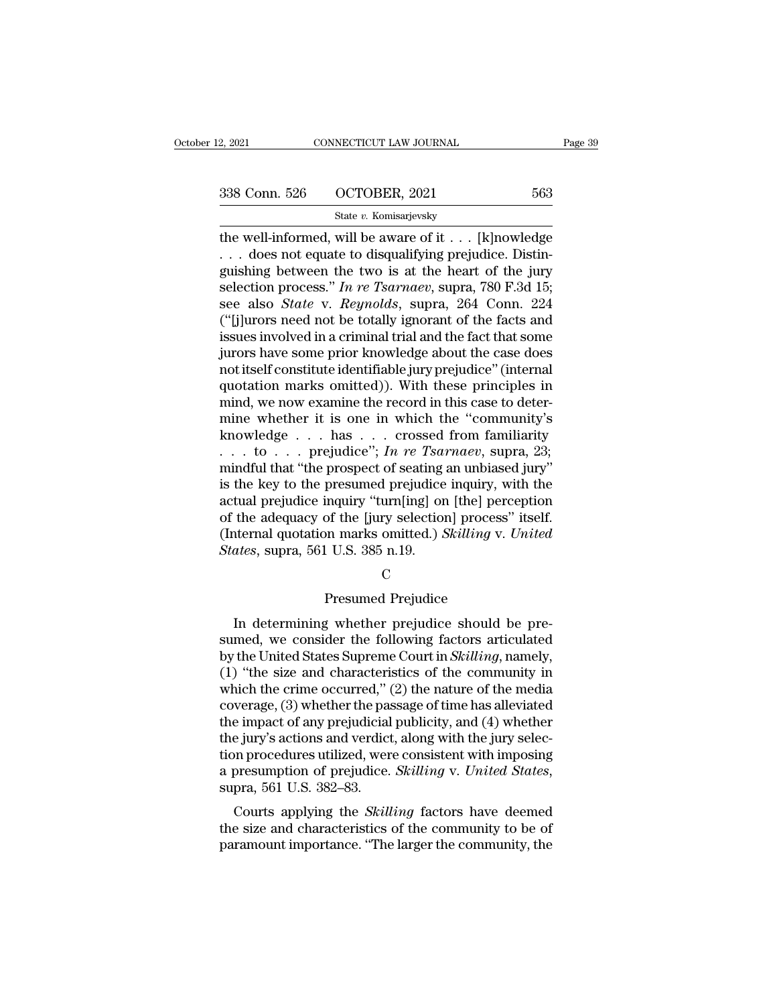State *v.* Komisarjevsky

2, 2021 CONNECTICUT LAW JOURNAL Page 39<br>  $338$  Conn. 526 OCTOBER, 2021 563<br>  $\frac{\text{State } v. \text{ Komisarjevsky}}{\text{State } v. \text{ Komisarjevsky}}$ <br>
the well-informed, will be aware of it . . . [k]nowledge<br>
. . . does not equate to disqualifying prejudic 338 Conn. 526 OCTOBER, 2021 563<br>
State v. Komisarjevsky<br>
the well-informed, will be aware of it . . . [k]nowledge<br>
. . . does not equate to disqualifying prejudice. Distin-<br>
guishing between the two is at the heart of the 338 Conn. 526 OCTOBER, 2021 563<br>
State v. Komisarjevsky<br>
the well-informed, will be aware of it . . . [k]nowledge<br>
. . . does not equate to disqualifying prejudice. Distinguishing between the two is at the heart of the ju SSEE CONFIDUAL: 563<br>
State *v*. Komisarjevsky<br>
the well-informed, will be aware of it . . . [k]nowledge<br>
. . . does not equate to disqualifying prejudice. Distinguishing between the two is at the heart of the jury<br>
selecti State *v.* Komisarjevsky<br>
the well-informed, will be aware of it . . . [k]nowledge<br>
. . . does not equate to disqualifying prejudice. Distinguishing between the two is at the heart of the jury<br>
selection process." In re Ts State v. Komsarjevsky<br>
(the well-informed, will be aware of it . . . [k]nowledge<br>
. . . does not equate to disqualifying prejudice. Distinguishing between the two is at the heart of the jury<br>
selection process." In re Tsa the well-informed, will be aware of it  $\ldots$  [k]nowledge  $\ldots$  does not equate to disqualifying prejudice. Distinguishing between the two is at the heart of the jury selection process." In re Tsarnaev, supra, 780 F.3d 15; ... does not equate to disqualifying prejudice. Distinguishing between the two is at the heart of the jury selection process." In re Tsarnaev, supra, 780 F.3d 15; see also *State* v. *Reynolds*, supra, 264 Conn. 224 ("[j] guishing between the two is at the heart of the jury<br>selection process." In re Tsarnaev, supra, 780 F.3d 15;<br>see also *State* v. Reynolds, supra, 264 Conn. 224<br>("[j]urors need not be totally ignorant of the facts and<br>issue selection process." In re Tsarnaev, supra, 780 F.3d 15;<br>see also *State* v. Reynolds, supra, 264 Conn. 224<br>("[j]urors need not be totally ignorant of the facts and<br>issues involved in a criminal trial and the fact that som see also *State* v. *Reynolds*, supra, 264 Conn. 224 ("[j]urors need not be totally ignorant of the facts and issues involved in a criminal trial and the fact that some jurors have some prior knowledge about the case does ("[j]urors need not be totally ignorant of the facts and<br>issues involved in a criminal trial and the fact that some<br>jurors have some prior knowledge about the case does<br>not itself constitute identifiable jury prejudice" ( issues involved in a criminal trial and the fact that some<br>jurors have some prior knowledge about the case does<br>not itself constitute identifiable jury prejudice" (internal<br>quotation marks omitted)). With these principles jurors have some prior knowledge about the case does<br>not itself constitute identifiable jury prejudice" (internal<br>quotation marks omitted)). With these principles in<br>mind, we now examine the record in this case to deter-<br>m not itself constitute identifiable jury prejudice" (internal<br>quotation marks omitted)). With these principles in<br>mind, we now examine the record in this case to deter-<br>mine whether it is one in which the "community's<br>know quotation marks omitted)). With these principles in<br>mind, we now examine the record in this case to deter-<br>mine whether it is one in which the "community's<br>knowledge . . . has . . . crossed from familiarity<br>. . . to . . . mind, we now examine the record in this case to deter-<br>mine whether it is one in which the "community's<br>knowledge . . . has . . . crossed from familiarity<br>. . . to . . . prejudice"; *In re Tsarnaev*, supra, 23;<br>mindful th mine whether it is one in which the "community's<br>knowledge . . . has . . . crossed from familiarity<br>. . . to . . . prejudice"; *In re Tsarnaev*, supra, 23;<br>mindful that "the prospect of seating an unbiased jury"<br>is the ke knowledge . . . has . . . crossed from familiarity<br>
. . . to . . . prejudice"; *In re Tsarnaev*, supra, 23;<br>
mindful that "the prospect of seating an unbiased jury"<br>
is the key to the presumed prejudice inquiry, with the<br> ... to ... prejudice"; *In re Tsai*<br>mindful that "the prospect of seating<br>is the key to the presumed prejudice<br>actual prejudice inquiry "turn[ing] or<br>of the adequacy of the [jury selection<br>(Internal quotation marks omitted inquiry "turn[ing] on [the] percof the [jury selection] process"<br>por marks omitted.) *Skilling* v.<br>1 U.S. 385 n.19.<br>C<br>Presumed Prejudice<br>3 whether prejudice should b In determining whether prejudice<br>In determining whether prejudice<br>In determining whether prejudice<br>In determining whether prejudice<br>In determining whether prejudice<br>In determining whether prejudice should be pre-<br>med, we c

C<sub>c</sub>

States, supra, 561 U.S. 385 n.19.<br>
C<br>
Presumed Prejudice<br>
In determining whether prejudice should be pre-<br>
sumed, we consider the following factors articulated<br>
by the United States Supreme Court in *Skilling*, namely,<br>
( by the United States Supreme Court in *Skilling*, namely,<br>
C<br>
Determining whether prejudice should be pre-<br>
sumed, we consider the following factors articulated<br>
by the United States Supreme Court in *Skilling*, namely,<br>
( (1)  $\Gamma$  C<br>
(1)  $\Gamma$  and the community of the community of the community in the United States Supreme Court in *Skilling*, namely,<br>
(1) "the size and characteristics of the community in which the crime occurred," (2) the Presumed Prejudice<br>In determining whether prejudice should be pre-<br>sumed, we consider the following factors articulated<br>by the United States Supreme Court in *Skilling*, namely,<br>(1) "the size and characteristics of the com I resulted Trejudice<br>In determining whether prejudice should be pre-<br>sumed, we consider the following factors articulated<br>by the United States Supreme Court in *Skilling*, namely,<br>(1) "the size and characteristics of the c In determining whether prejudice should be pre-<br>sumed, we consider the following factors articulated<br>by the United States Supreme Court in *Skilling*, namely,<br> $(1)$  "the size and characteristics of the community in<br>which sumed, we consider the following factors articulated<br>by the United States Supreme Court in *Skilling*, namely,<br>(1) "the size and characteristics of the community in<br>which the crime occurred," (2) the nature of the media<br>c by the United States Supreme Court in *Skilling*, namely,<br>
(1) "the size and characteristics of the community in<br>
which the crime occurred," (2) the nature of the media<br>
coverage, (3) whether the passage of time has allev (1) "the size and characteristics of the community in which the crime occurred," (2) the nature of the media coverage, (3) whether the passage of time has alleviated the impact of any prejudicial publicity, and (4) whethe verage, (3) whether the passage of thite has anevtated<br>e impact of any prejudicial publicity, and (4) whether<br>e jury's actions and verdict, along with the jury selec-<br>on procedures utilized, were consistent with imposing<br>p the inpact of any prejudictal publicity, and (4) whether<br>the jury's actions and verdict, along with the jury selec-<br>tion procedures utilized, were consistent with imposing<br>a presumption of prejudice. *Skilling* v. *United* the jury s actions and vertict, along with the jury selection procedures utilized, were consistent with imposing<br>a presumption of prejudice. *Skilling* v. United States,<br>supra, 561 U.S. 382–83.<br>Courts applying the *Skillin*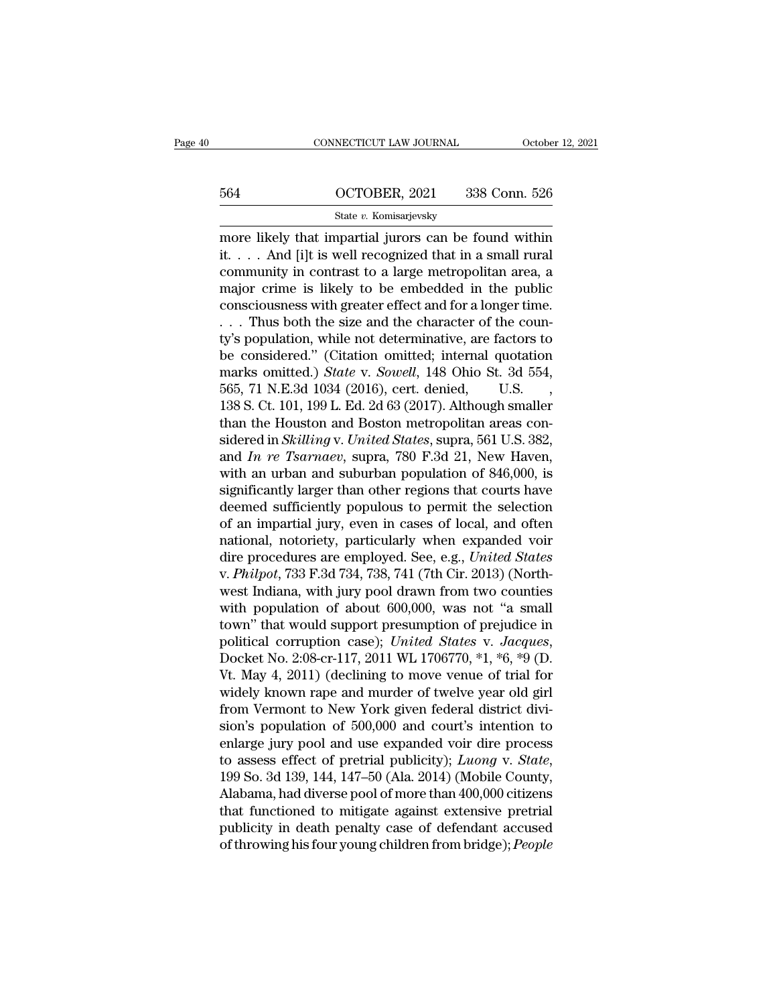# CONNECTICUT LAW JOURNAL October 12, 2021<br>564 OCTOBER, 2021 338 Conn. 526<br>5tate v. Komisarjevsky

### State *v.* Komisarjevsky

 $\begin{tabular}{ll} \multicolumn{1}{l}{{\small\textbf{COMRECTICUT LAW JOURNAL}}} & & October 12, 2021\\ \hline \multicolumn{1}{l}{\small \textbf{564}} & &begin{array}{l} {\small \textbf{OCTOBER, 2021}} & {\small \textbf{338 Conn. 526}}\\ & & \\ {\small \textbf{State $v$. Komisarievsky}}\\ \hline \multicolumn{1}{l}{\small \textbf{more likely that impartial juros can be found within}}\\ \textit{it. . . . And [i]t is well recognized that in a small rural\\ \hline \multicolumn{1}{l}{\small \textbf{communit}}\textit{in contrast to a large matronol$ 564 OCTOBER, 2021 338 Conn. 526<br>
State v. Komisarjevsky<br>
more likely that impartial jurors can be found within<br>
it. . . . And [i]t is well recognized that in a small rural<br>
community in contrast to a large metropolitan ar 564 OCTOBER, 2021 338 Conn. 526<br>
State v. Komisarjevsky<br>
more likely that impartial jurors can be found within<br>
it.... And [i]t is well recognized that in a small rural<br>
community in contrast to a large metropolitan area, 564 OCTOBER, 2021 338 Conn. 526<br>
State v. Komisarjevsky<br>
more likely that impartial jurors can be found within<br>
it. . . . And [i]t is well recognized that in a small rural<br>
community in contrast to a large metropolitan ar State v. Komisarjevsky<br>
more likely that impartial jurors can be found within<br>
it. . . . And [i]t is well recognized that in a small rural<br>
community in contrast to a large metropolitan area, a<br>
major crime is likely to b State *v*. Romsarjevsky<br>
more likely that impartial jurors can be found within<br>
it. . . . And [i]t is well recognized that in a small rural<br>
community in contrast to a large metropolitan area, a<br>
major crime is likely to more likely that impartial jurors can be found within<br>it.... And [i]t is well recognized that in a small rural<br>community in contrast to a large metropolitan area, a<br>major crime is likely to be embedded in the public<br>consc it. . . . And [i]t is well recognized that in a small rural<br>community in contrast to a large metropolitan area, a<br>major crime is likely to be embedded in the public<br>consciousness with greater effect and for a longer time. community in contrast to a large metropolitan area, a<br>major crime is likely to be embedded in the public<br>consciousness with greater effect and for a longer time.<br>... Thus both the size and the character of the coun-<br>ty's p major crime is likely to be embedded in the public<br>consciousness with greater effect and for a longer time.<br>... Thus both the size and the character of the coun-<br>ty's population, while not determinative, are factors to<br>be consciousness with greater effect and for a longer time.<br>
. . . Thus both the size and the character of the coun-<br>
ty's population, while not determinative, are factors to<br>
be considered." (Citation omitted; internal quot ... Thus both the size and the character of the county's population, while not determinative, are factors to be considered." (Citation omitted; internal quotation marks omitted.) *State* v. *Sowell*, 148 Ohio St. 3d 554, ty's population, while not determinative, are factors to<br>be considered." (Citation omitted; internal quotation<br>marks omitted.) *State* v. *Sowell*, 148 Ohio St. 3d 554,<br>565, 71 N.E.3d 1034 (2016), cert. denied, U.S. ,<br>138 be considered." (Citation omitted; internal quotation<br>marks omitted.) *State* v. *Sowell*, 148 Ohio St. 3d 554,<br>565, 71 N.E.3d 1034 (2016), cert. denied, U.S.,<br>138 S. Ct. 101, 199 L. Ed. 2d 63 (2017). Although smaller<br>than marks omitted.) *State* v. *Sowell*, 148 Ohio St. 3d 554, 565, 71 N.E.3d 1034 (2016), cert. denied, U.S., 138 S. Ct. 101, 199 L. Ed. 2d 63 (2017). Although smaller than the Houston and Boston metropolitan areas considered 565, 71 N.E.3d 1034 (2016), cert. denied, U.S. , 138 S. Ct. 101, 199 L. Ed. 2d 63 (2017). Although smaller than the Houston and Boston metropolitan areas considered in *Skilling v. United States*, supra, 561 U.S. 382, and 138 S. Ct. 101, 199 L. Ed. 2d 63 (2017). Although smaller<br>than the Houston and Boston metropolitan areas con-<br>sidered in *Skilling v. United States*, supra, 561 U.S. 382,<br>and *In re Tsarnaev*, supra, 780 F.3d 21, New Have than the Houston and Boston metropolitan areas considered in *Skilling* v. *United States*, supra, 561 U.S. 382, and *In re Tsarnaev*, supra, 780 F.3d 21, New Haven, with an urban and suburban population of 846,000, is si sidered in *Skilling* v. *United States*, supra, 561 U.S. 382,<br>and *In re Tsarnaev*, supra, 780 F.3d 21, New Haven,<br>with an urban and suburban population of 846,000, is<br>significantly larger than other regions that courts and *In re Tsarnaev*, supra, 780 F.3d 21, New Haven,<br>with an urban and suburban population of 846,000, is<br>significantly larger than other regions that courts have<br>deemed sufficiently populous to permit the selection<br>of an with an urban and suburban population of 846,000, is<br>significantly larger than other regions that courts have<br>deemed sufficiently populous to permit the selection<br>of an impartial jury, even in cases of local, and often<br>nat significantly larger than other regions that courts have<br>deemed sufficiently populous to permit the selection<br>of an impartial jury, even in cases of local, and often<br>national, notoriety, particularly when expanded voir<br>dir deemed sufficiently populous to permit the selection<br>of an impartial jury, even in cases of local, and often<br>national, notoriety, particularly when expanded voir<br>dire procedures are employed. See, e.g., *United States*<br>v. of an impartial jury, even in cases of local, and often<br>national, notoriety, particularly when expanded voir<br>dire procedures are employed. See, e.g., *United States*<br>v. *Philpot*, 733 F.3d 734, 738, 741 (7th Cir. 2013) (N national, notoriety, particularly when expanded voir<br>dire procedures are employed. See, e.g., *United States*<br>v. *Philpot*, 733 F.3d 734, 738, 741 (7th Cir. 2013) (North-<br>west Indiana, with jury pool drawn from two countie v. *Philpot*, 733 F.3d 734, 738, 741 (7th Cir. 2013) (Northwest Indiana, with jury pool drawn from two counties with population of about 600,000, was not "a small town" that would support presumption of prejudice in politi west Indiana, with jury pool drawn from two counties<br>with population of about 600,000, was not "a small<br>town" that would support presumption of prejudice in<br>political corruption case); *United States v. Jacques*,<br>Docket N with population of about 600,000, was not "a small<br>town" that would support presumption of prejudice in<br>political corruption case); *United States v. Jacques*,<br>Docket No. 2:08-cr-117, 2011 WL 1706770, \*1, \*6, \*9 (D.<br>Vt. M town" that would support presumption of prejudice in<br>political corruption case); *United States v. Jacques*,<br>Docket No. 2:08-cr-117, 2011 WL 1706770, \*1, \*6, \*9 (D.<br>Vt. May 4, 2011) (declining to move venue of trial for<br>wi political corruption case); *United States v. Jacques*,<br>Docket No. 2:08-cr-117, 2011 WL 1706770, \*1, \*6, \*9 (D.<br>Vt. May 4, 2011) (declining to move venue of trial for<br>widely known rape and murder of twelve year old girl<br>f Docket No. 2:08-cr-117, 2011 WL 1706770, \*1, \*6, \*9 (D.<br>Vt. May 4, 2011) (declining to move venue of trial for<br>widely known rape and murder of twelve year old girl<br>from Vermont to New York given federal district divi-<br>sion widely known rape and murder of twelve year old girl<br>from Vermont to New York given federal district divi-<br>sion's population of 500,000 and court's intention to<br>enlarge jury pool and use expanded voir dire process<br>to asses from Vermont to New York given federal district division's population of 500,000 and court's intention to<br>enlarge jury pool and use expanded voir dire process<br>to assess effect of pretrial publicity); *Luong* v. *State*,<br>1 sion's population of 500,000 and court's intention to<br>enlarge jury pool and use expanded voir dire process<br>to assess effect of pretrial publicity); *Luong* v. *State*,<br>199 So. 3d 139, 144, 147–50 (Ala. 2014) (Mobile County enlarge jury pool and use expanded voir dire process<br>to assess effect of pretrial publicity); *Luong* v. *State*,<br>199 So. 3d 139, 144, 147–50 (Ala. 2014) (Mobile County,<br>Alabama, had diverse pool of more than 400,000 citiz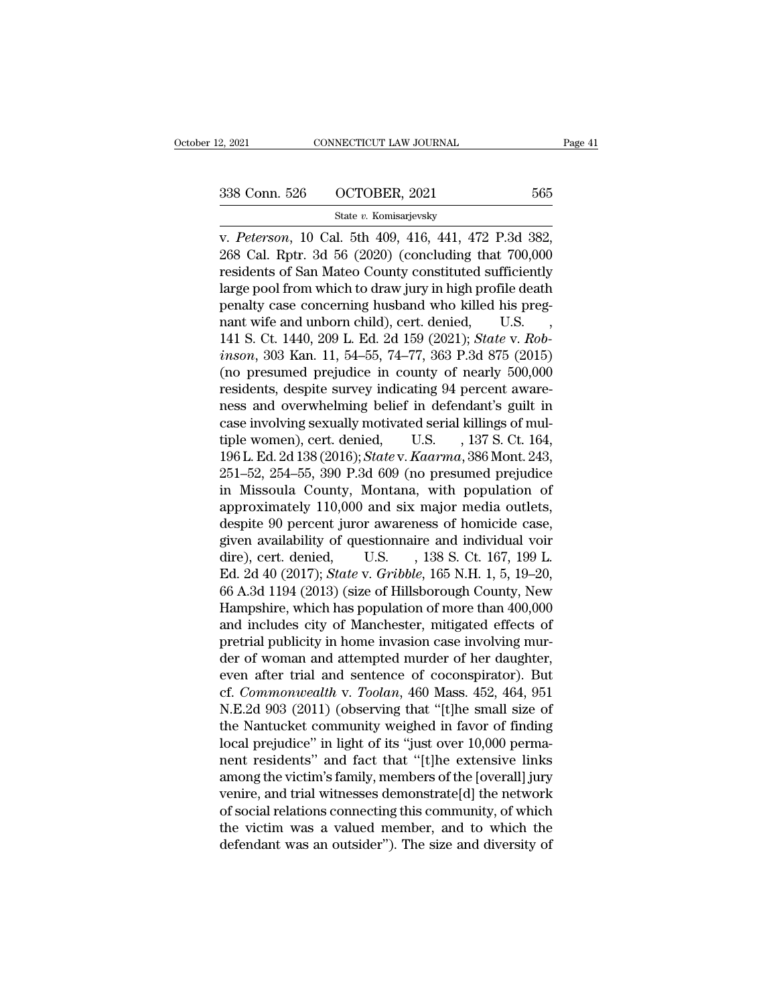### State *v.* Komisarjevsky

v. 2, 2021 CONNECTICUT LAW JOURNAL Page<br>
338 Conn. 526 OCTOBER, 2021 565<br>
565<br>
565<br>
7 Cherson, 10 Cal. 5th 409, 416, 441, 472 P.3d 382,<br>
268 Cal. Rptr. 3d 56 (2020) (concluding that 700,000 268 Conn. 526 (2021 1996)<br>
268 Cal. Rptr. 3d 56 (2020) (concluding that 700,000<br>
268 Cal. Rptr. 3d 56 (2020) (concluding that 700,000<br>
268 Cal. Rptr. 3d 56 (2020) (concluding that 700,000<br>
268 Cal. Rptr. 3d 56 (2020) (con 338 Conn. 526 OCTOBER, 2021 565<br>
State v. Komisarjevsky<br>
v. Peterson, 10 Cal. 5th 409, 416, 441, 472 P.3d 382,<br>
268 Cal. Rptr. 3d 56 (2020) (concluding that 700,000<br>
residents of San Mateo County constituted sufficiently<br> 338 Conn. 526 OCTOBER, 2021 565<br>
State v. Komisarjevsky<br>
v. Peterson, 10 Cal. 5th 409, 416, 441, 472 P.3d 382,<br>
268 Cal. Rptr. 3d 56 (2020) (concluding that 700,000<br>
residents of San Mateo County constituted sufficiently<br> State v. Komisarjevsky<br>
v. Peterson, 10 Cal. 5th 409, 416, 441, 472 P.3d 382,<br>
268 Cal. Rptr. 3d 56 (2020) (concluding that 700,000<br>
residents of San Mateo County constituted sufficiently<br>
large pool from which to draw ju state v. Romsarjevsky<br>v. Peterson, 10 Cal. 5th 409, 416, 441, 472 P.3d 382,<br>268 Cal. Rptr. 3d 56 (2020) (concluding that 700,000<br>residents of San Mateo County constituted sufficiently<br>large pool from which to draw jury in v. *Peterson*, 10 Cal. 5th 409, 416, 441, 472 P.3d 382, 268 Cal. Rptr. 3d 56 (2020) (concluding that 700,000 residents of San Mateo County constituted sufficiently large pool from which to draw jury in high profile death p 268 Cal. Rptr. 3d 56 (2020) (concluding that 700,000<br>residents of San Mateo County constituted sufficiently<br>large pool from which to draw jury in high profile death<br>penalty case concerning husband who killed his preg-<br>nant residents of San Mateo County constituted sufficiently<br>large pool from which to draw jury in high profile death<br>penalty case concerning husband who killed his preg-<br>nant wife and unborn child), cert. denied, U.S. ,<br>141 S. large pool from which to draw jury in high profile death<br>penalty case concerning husband who killed his preg-<br>nant wife and unborn child), cert. denied, U.S.<br>141 S. Ct. 1440, 209 L. Ed. 2d 159 (2021); *State* v. *Rob-*<br>*in* penalty case concerning husband who killed his preg-<br>nant wife and unborn child), cert. denied, U.S. ,<br>141 S. Ct. 1440, 209 L. Ed. 2d 159 (2021); *State v. Rob-<br>inson*, 303 Kan. 11, 54–55, 74–77, 363 P.3d 875 (2015)<br>(no pr nant wife and unborn child), cert. denied, U.S. , 141 S. Ct. 1440, 209 L. Ed. 2d 159 (2021); *State v. Robinson*, 303 Kan. 11, 54–55, 74–77, 363 P.3d 875 (2015) (no presumed prejudice in county of nearly 500,000 residents 141 S. Ct. 1440, 209 L. Ed. 2d 159 (2021); *State v. Robinson*, 303 Kan. 11, 54–55, 74–77, 363 P.3d 875 (2015)<br>(no presumed prejudice in county of nearly 500,000<br>residents, despite survey indicating 94 percent aware-<br>ness inson, 303 Kan. 11, 54–55, 74–77, 363 P.3d 875 (2015)<br>(no presumed prejudice in county of nearly 500,000<br>residents, despite survey indicating 94 percent aware-<br>ness and overwhelming belief in defendant's guilt in<br>case invo (no presumed prejudice in county of nearly 500,000<br>residents, despite survey indicating 94 percent aware-<br>ness and overwhelming belief in defendant's guilt in<br>case involving sexually motivated serial killings of mul-<br>tipl residents, despite survey indicating 94 percent awareness and overwhelming belief in defendant's guilt in case involving sexually motivated serial killings of multiple women), cert. denied, U.S. , 137 S. Ct. 164, 196 L. Ed ness and overwhelming belief in defendant's guilt in<br>case involving sexually motivated serial killings of mul-<br>tiple women), cert. denied, U.S. , 137 S. Ct. 164,<br>196 L. Ed. 2d 138 (2016); *State* v. *Kaarma*, 386 Mont. 243 case involving sexually motivated serial killings of multiple women), cert. denied, U.S. , 137 S. Ct. 164, 196 L. Ed. 2d 138 (2016); *State* v. *Kaarma*, 386 Mont. 243, 251–52, 254–55, 390 P.3d 609 (no presumed prejudice tiple women), cert. denied, U.S. , 137 S. Ct. 164,<br>196 L. Ed. 2d 138 (2016); *State* v. *Kaarma*, 386 Mont. 243,<br>251–52, 254–55, 390 P.3d 609 (no presumed prejudice<br>in Missoula County, Montana, with population of<br>approxim 196 L. Ed. 2d 138 (2016); *State* v. *Kaarma*, 386 Mont. 243,<br>251–52, 254–55, 390 P.3d 609 (no presumed prejudice<br>in Missoula County, Montana, with population of<br>approximately 110,000 and six major media outlets,<br>despite 251–52, 254–55, 390 P.3d 609 (no presumed prejudice<br>in Missoula County, Montana, with population of<br>approximately 110,000 and six major media outlets,<br>despite 90 percent juror awareness of homicide case,<br>given availability in Missoula County, Montana, with population of<br>approximately 110,000 and six major media outlets,<br>despite 90 percent juror awareness of homicide case,<br>given availability of questionnaire and individual voir<br>dire), cert. d approximately 110,000 and six major media outlets,<br>despite 90 percent juror awareness of homicide case,<br>given availability of questionnaire and individual voir<br>dire), cert. denied, U.S. , 138 S. Ct. 167, 199 L.<br>Ed. 2d 40 ( despite 90 percent juror awareness of homicide case,<br>given availability of questionnaire and individual voir<br>dire), cert. denied, U.S. , 138 S. Ct. 167, 199 L.<br>Ed. 2d 40 (2017); *State* v. *Gribble*, 165 N.H. 1, 5, 19–20,<br> given availability of questionnaire and individual voir<br>dire), cert. denied, U.S. , 138 S. Ct. 167, 199 L.<br>Ed. 2d 40 (2017); *State* v. *Gribble*, 165 N.H. 1, 5, 19–20,<br>66 A.3d 1194 (2013) (size of Hillsborough County, New dire), cert. denied, U.S. , 138 S. Ct. 167, 199 L.<br>Ed. 2d 40 (2017); *State* v. *Gribble*, 165 N.H. 1, 5, 19–20,<br>66 A.3d 1194 (2013) (size of Hillsborough County, New<br>Hampshire, which has population of more than 400,000<br>a Ed. 2d 40 (2017); *State* v. *Gribble*, 165 N.H. 1, 5, 19–20, 66 A.3d 1194 (2013) (size of Hillsborough County, New Hampshire, which has population of more than 400,000 and includes city of Manchester, mitigated effects o 66 A.3d 1194 (2013) (size of Hillsborough County, New<br>Hampshire, which has population of more than 400,000<br>and includes city of Manchester, mitigated effects of<br>pretrial publicity in home invasion case involving mur-<br>der o Hampshire, which has population of more than 400,000<br>and includes city of Manchester, mitigated effects of<br>pretrial publicity in home invasion case involving mur-<br>der of woman and attempted murder of her daughter,<br>even aft and includes city of Manchester, mitigated effects of<br>pretrial publicity in home invasion case involving mur-<br>der of woman and attempted murder of her daughter,<br>even after trial and sentence of coconspirator). But<br>cf. *Com* pretrial publicity in home invasion case involving mur-<br>der of woman and attempted murder of her daughter,<br>even after trial and sentence of coconspirator). But<br>cf. *Commonwealth* v. *Toolan*, 460 Mass. 452, 464, 951<br>N.E.2d der of woman and attempted murder of her daughter,<br>even after trial and sentence of coconspirator). But<br>cf. *Commonwealth* v. *Toolan*, 460 Mass. 452, 464, 951<br>N.E.2d 903 (2011) (observing that "[t]he small size of<br>the Nan even after trial and sentence of coconspirator). But<br>cf. *Commonwealth* v. *Toolan*, 460 Mass. 452, 464, 951<br>N.E.2d 903 (2011) (observing that "[t]he small size of<br>the Nantucket community weighed in favor of finding<br>local cf. Commonwealth v. Toolan, 460 Mass. 452, 464, 951<br>N.E.2d 903 (2011) (observing that "[t]he small size of<br>the Nantucket community weighed in favor of finding<br>local prejudice" in light of its "just over 10,000 perma-<br>nent N.E.2d 903 (2011) (observing that "[t]he small size of<br>the Nantucket community weighed in favor of finding<br>local prejudice" in light of its "just over 10,000 perma-<br>nent residents" and fact that "[t]he extensive links<br>amon the Nantucket community weighed in favor of finding<br>local prejudice" in light of its "just over 10,000 perma-<br>nent residents" and fact that "[t]he extensive links<br>among the victim's family, members of the [overall] jury<br>ve local prejudice" in light of its "just over 10,000 perma-<br>nent residents" and fact that "[t]he extensive links<br>among the victim's family, members of the [overall] jury<br>venire, and trial witnesses demonstrate[d] the network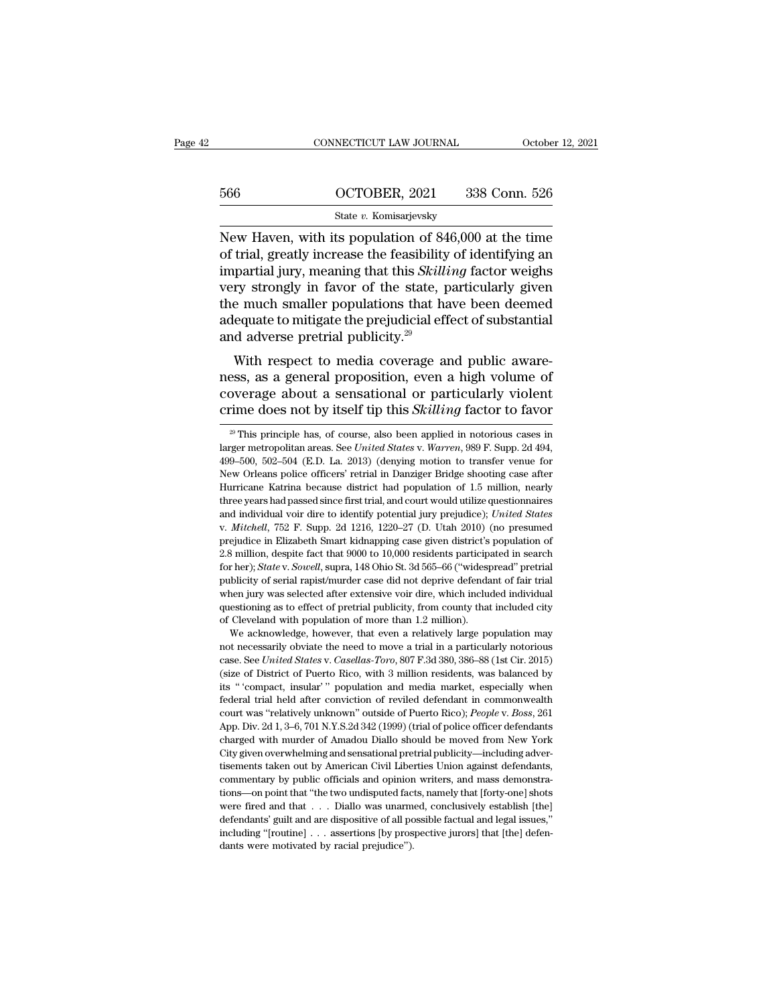### CONNECTICUT LAW JOURNAL October 12, 2021<br>566 OCTOBER, 2021 338 Conn. 526<br>5tate v. Komisarjevsky State *v.* Komisarjevsky

CONNECTICUT LAW JOURNAL October 12, 2021<br>
566 OCTOBER, 2021 338 Conn. 526<br>
State v. Komisarjevsky<br>
New Haven, with its population of 846,000 at the time<br>
of trial, greatly increase the feasibility of identifying an<br>
impor 566 OCTOBER, 2021 338 Conn. 526<br>
State v. Komisarjevsky<br>
New Haven, with its population of 846,000 at the time<br>
of trial, greatly increase the feasibility of identifying an<br>
impartial jury, meaning that this *Skilling* fac  $\frac{\text{566}}{\text{State } v. \text{ Komisarjevsky}}$ <br>
State  $v. \text{ Komisarjevsky}}$ <br>
New Haven, with its population of 846,000 at the time<br>
of trial, greatly increase the feasibility of identifying an<br>
impartial jury, meaning that this *Skilling* factor  $\frac{\text{GGG}}{\text{S}t}$  octors and  $\frac{\text{GGG}}{\text{S}t}$  of trial, greatly increase the feasibility of identifying an impartial jury, meaning that this *Skilling* factor weighs very strongly in favor of the state, particularly gi State v. Komisarjevsky<br>State v. Komisarjevsky<br>New Haven, with its population of 846,000 at the time<br>of trial, greatly increase the feasibility of identifying an<br>impartial jury, meaning that this *Skilling* factor weighs<br>v state v. Komsarjevsky<br>New Haven, with its population of 846,000 at the time<br>of trial, greatly increase the feasibility of identifying an<br>impartial jury, meaning that this *Skilling* factor weighs<br>very strongly in favor of New Haven, with its population of 84 of trial, greatly increase the feasibility impartial jury, meaning that this *Skilli* very strongly in favor of the state, p the much smaller populations that ha adequate to mitigate t The trial, greatly increase the reasonity of identifying an<br>partial jury, meaning that this *Skilling* factor weighs<br>ry strongly in favor of the state, particularly given<br>e much smaller populations that have been deemed<br>eq mipartial jury, meaning that this *skitting* factor weight<br>very strongly in favor of the state, particularly given<br>the much smaller populations that have been deemed<br>adequate to mitigate the prejudicial effect of substanti

very strongly in favor of the state, particularly given<br>the much smaller populations that have been deemed<br>adequate to mitigate the prejudicial effect of substantial<br>and adverse pretrial publicity.<sup>29</sup><br>With respect to medi the much smaller populations that have been deemed<br>adequate to mitigate the prejudicial effect of substantial<br>and adverse pretrial publicity.<sup>29</sup><br>With respect to media coverage and public aware-<br>ness, as a general proposit With respect to media coverage and public aware-<br>ess, as a general proposition, even a high volume of<br>overage about a sensational or particularly violent<br>ime does not by itself tip this *Skilling* factor to favor<br><sup>29</sup> This ness, as a general proposition, even a high volume of coverage about a sensational or particularly violent crime does not by itself tip this *Skilling* factor to favor <sup>20</sup> This principle has, of course, also been applied

coverage about a sensational or particularly violent<br>crime does not by itself tip this *Skilling* factor to favor<br><sup>29</sup> This principle has, of course, also been applied in notorious cases in<br>larger metropolitan areas. See The does not by itself tip this *Skilling* factor to favor  $\overline{a}$  This principle has, of course, also been applied in notorious cases in larger metropolitan areas. See *United States v. Warren*, 989 F. Supp. 2d 494, 499 This principle has, of course, also been applied in notorious cases in larger metropolitan areas. See *United States v. Warren*, 989 F. Supp. 2d 494, 499–500, 502–504 (E.D. La. 2013) (denying motion to transfer venue for <sup>29</sup> This principle has, of course, also been applied in notorious cases in larger metropolitan areas. See *United States v. Warren*, 989 F. Supp. 2d 494, 499–500, 502–504 (E.D. La. 2013) (denying motion to transfer venue and individual voir directions and individual voir directions of intervals of the individual voir directions of  $\mu$  and  $\mu$  and  $\mu$  and  $\mu$  and  $\mu$  and  $\mu$  and  $\mu$  and  $\mu$  and  $\mu$  and  $\mu$  and  $\mu$  and  $\mu$  and  $\$ New Orleans police officers' retrial in Danziger Bridge shooting case after Hurricane Katrina because district had population of 1.5 million, nearly three years had passed since first trial, and court would utilize questio Furricane Katrina because district had population of 1.5 million, nearly<br>three years had passed since first trial, and court would utilize questionnaires<br>and individual voir dire to identify potential jury prejudice); *Uni* fthree years had passed since first trial, and court would utilize questionnaires<br>and individual voir dire to identify potential jury prejudice); *United States*<br>v. *Mitchell*, 752 F. Supp. 2d 1216, 1220–27 (D. Utah 2010) and individual voir dire to identify potential jury prejudice); United States v. Mitchell, 752 F. Supp. 2d 1216, 1220–27 (D. Utah 2010) (no presumed prejudice in Elizabeth Smart kidnapping case given district's population w. *Mitchell*, 752 F. Supp. 2d 1216, 1220–27 (D. Utah 2010) (no presumed prejudice in Elizabeth Smart kidnapping case given district's population of 2.8 million, despite fact that 9000 to 10,000 residents participated in s prejudice in Elizabeth Smart kidnapping case given district's population of 2.8 million, despite fact that 9000 to 10,000 residents participated in search for her); *State v. Sowell*, supra, 148 Ohio St. 3d 565–66 ("wides prejudice in Elizabeth Smart kidnapping case given district's population of 2.8 million, despite fact that 9000 to 10,000 residents participated in search for her); *State* v. *Sowell*, supra, 148 Ohio St. 3d 565–66 ("wid Free heads, the v. Sowell, supra, 148 Ohio St. 3d 565–66 ("widespread" pretrial bilicity of serial rapist/murder case did not deprive defendant of fair trial heads, the series are did not deprive defendant of fair trial e publicity of serial rapist/murder case did not deprive defendant of fair trial<br>when jury was selected after extensive voir dire, which included individual<br>questioning as to effect of pretrial publicity, from county that i

plantary or was selected after extensive voir dire, which included individual questioning as to effect of pretrial publicity, from county that included city of Cleveland with population of more than 1.2 million). We acknow mentioning as to effect of pretrial publicity, from county that included city<br>of Cleveland with population of more than 1.2 million).<br>We acknowledge, however, that even a relatively large population may<br>not necessarily obv is the compact of Cleveland with population of more than 1.2 million).<br>
We acknowledge, however, that even a relatively large population may<br>
not necessarily obviate the need to move a trial in a particularly notorious<br>
ca We acknowledge, however, that even a relatively large population may<br>not necessarily obviate the need to move a trial in a particularly notorious<br>case. See *United States v. Casellas-Toro*, 807 F.3d 380, 386–88 (1st Cir. 2 not necessarily obviate the need to move a trial in a particularly notorious case. See *United States v. Casellas-Toro*, 807 F.3d 380, 386–88 (1st Cir. 2015) (size of District of Puerto Rico, with 3 million residents, was case. See United States v. Casellas-Toro, 807 F.3d 380, 386-88 (1st Cir. 2015)<br>(size of District of Puerto Rico, with 3 million residents, was balanced by<br>tis "compact, insular" population and media market, especially when (size of District of Puerto Rico, with 3 million residents, was balanced by its "compact, insular" population and media market, especially when federal trial held after conviction of reviled defendant in commonwealth court its "compact, insular" population and media market, especially when<br>federal trial held after conviction of reviled defendant in commonwealth<br>court was "relatively unknown" outside of Puerto Rico); *People* v. *Boss*, 261<br>A federal trial held after conviction of reviled defendant in commonwealth<br>court was "relatively unknown" outside of Puerto Rico); *People* v. *Boss*, 261<br>App. Div. 2d 1, 3–6, 701 N.Y.S.2d 342 (1999) (trial of police officer court was "relatively unknown" outside of Puerto Rico); *People* v. *Boss*, 261<br>App. Div. 2d 1, 3–6, 701 N.Y.S.2d 342 (1999) (trial of police officer defendants<br>charged with murder of Amadou Diallo should be moved from New App. Div. 2d 1, 3–6, 701 N.Y.S.2d 342 (1999) (trial of police officer defendants charged with murder of Amadou Diallo should be moved from New York City given overwhelming and sensational pretrial publicity—including adve charged with murder of Amadou Diallo should be moved from New York City given overwhelming and sensational pretrial publicity—including advertisements taken out by American Civil Liberties Union against defendants, commen City given overwhelming and sensational pretrial publicity—including advertisements taken out by American Civil Liberties Union against defendants, commentary by public officials and opinion writers, and mass demonstratio Englished the out by American Civil Liberties Union against defendants, commentary by public officials and opinion writers, and mass demonstrations—on point that "the two undisputed facts, namely that [forty-one] shots wer commentary by public officials and opinion<br>commentary by public officials and opinion<br>tions—on point that "the two undisputed fac<br>were fired and that . . . Diallo was unarm<br>defendants' guilt and are dispositive of all po<br>i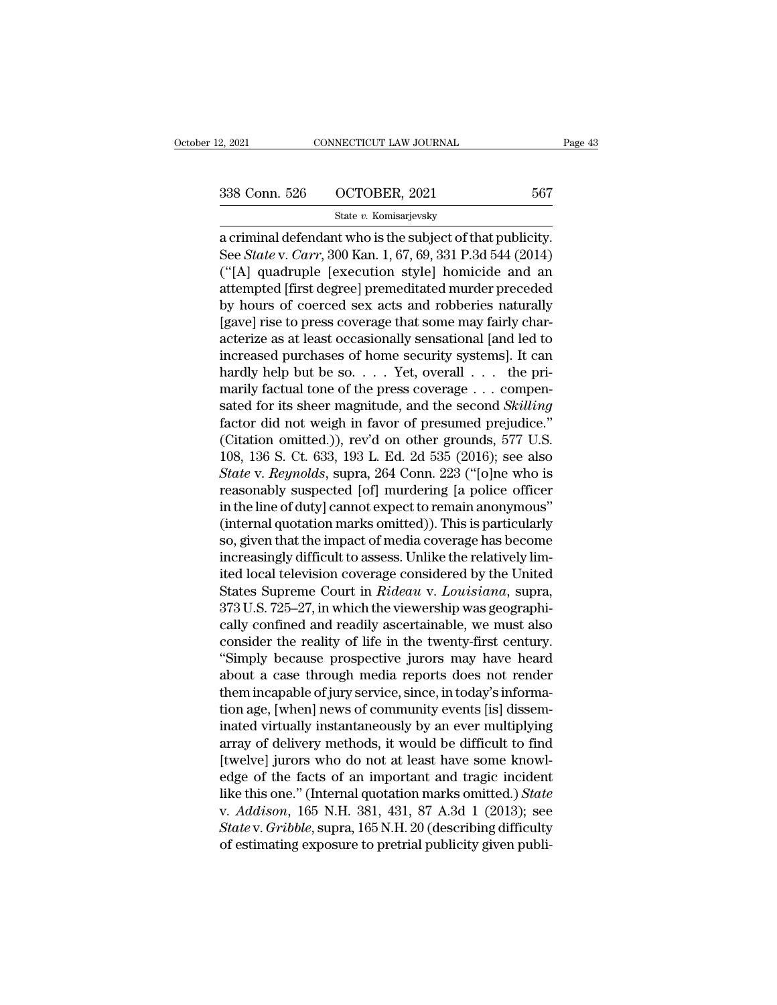State *v.* Komisarjevsky

2, 2021 CONNECTICUT LAW JOURNAL Page<br>  $\frac{338 \text{ Conn. } 526 \qquad \text{OCTOBER, } 2021}$  567<br>  $\frac{\text{State } v. \text{ Komisarjevsky}}{2 \text{ a criminal defendant who is the subject of that publicity.}}$ <br>
See *State* v. *Carr*, 300 Kan. 1, 67, 69, 331 P.3d 544 (2014)<br>
("IAL quadruple Joucqution stylel ho See *State v. Komisarjevsky*<br>
State *v. Komisarjevsky*<br>
a criminal defendant who is the subject of that publicity.<br>
See *State* v. *Carr*, 300 Kan. 1, 67, 69, 331 P.3d 544 (2014)<br>
("[A] quadruple [execution style] homicide (338 Conn. 526 COCTOBER, 2021 567<br>
State v. Komisarjevsky<br>
a criminal defendant who is the subject of that publicity.<br>
See *State v. Carr*, 300 Kan. 1, 67, 69, 331 P.3d 544 (2014)<br>
("[A] quadruple [execution style] homici 338 Conn. 526  $\overline{OCTOBER}$ , 2021 567<br>
State v. Komisarjevsky<br>
a criminal defendant who is the subject of that publicity.<br>
See *State* v. *Carr*, 300 Kan. 1, 67, 69, 331 P.3d 544 (2014)<br>
("[A] quadruple [execution style] ho State v. Komisarjevsky<br>
a criminal defendant who is the subject of that publicity.<br>
See *State* v. *Carr*, 300 Kan. 1, 67, 69, 331 P.3d 544 (2014)<br>
("[A] quadruple [execution style] homicide and an<br>
attempted [first degre state v. Romsarjevsky<br>a criminal defendant who is the subject of that publicity.<br>See *State* v. *Carr*, 300 Kan. 1, 67, 69, 331 P.3d 544 (2014)<br>("[A] quadruple [execution style] homicide and an<br>attempted [first degree] pr a criminal defendant who is the subject of that publicity.<br>See *State* v. *Carr*, 300 Kan. 1, 67, 69, 331 P.3d 544 (2014)<br>("[A] quadruple [execution style] homicide and an<br>attempted [first degree] premeditated murder prece See *State* v. *Carr*, 300 Kan. 1, 67, 69, 331 P.3d 544 (2014)<br>("[A] quadruple [execution style] homicide and an<br>attempted [first degree] premeditated murder preceded<br>by hours of coerced sex acts and robberies naturally<br>[ ("[A] quadruple [execution style] homicide and an attempted [first degree] premeditated murder preceded by hours of coerced sex acts and robberies naturally [gave] rise to press coverage that some may fairly characterize attempted [first degree] premeditated murder preceded<br>by hours of coerced sex acts and robberies naturally<br>[gave] rise to press coverage that some may fairly char-<br>acterize as at least occasionally sensational [and led to by hours of coerced sex acts and robberies naturally<br>[gave] rise to press coverage that some may fairly char-<br>acterize as at least occasionally sensational [and led to<br>increased purchases of home security systems]. It can<br> [gave] rise to press coverage that some may fairly characterize as at least occasionally sensational [and led to increased purchases of home security systems]. It can hardly help but be so. . . . . Yet, overall . . . the acterize as at least occasionally sensational [and led to<br>increased purchases of home security systems]. It can<br>hardly help but be so.... Yet, overall ... the pri-<br>marily factual tone of the press coverage ... compen-<br>sat increased purchases of home security systems]. It can<br>hardly help but be so.... Yet, overall ... the pri-<br>marily factual tone of the press coverage ... compen-<br>sated for its sheer magnitude, and the second *Skilling*<br>fact hardly help but be so. . . . Yet, overall . . . the pri-<br>marily factual tone of the press coverage . . . compen-<br>sated for its sheer magnitude, and the second *Skilling*<br>factor did not weigh in favor of presumed prejudice. marily factual tone of the press coverage . . . compensated for its sheer magnitude, and the second *Skilling* factor did not weigh in favor of presumed prejudice."<br>(Citation omitted.)), rev'd on other grounds, 577 U.S.<br>1 sated for its sheer magnitude, and the second *Skilling*<br>factor did not weigh in favor of presumed prejudice."<br>(Citation omitted.)), rev'd on other grounds, 577 U.S.<br>108, 136 S. Ct. 633, 193 L. Ed. 2d 535 (2016); see also<br> factor did not weigh in favor of presumed prejudice."<br>(Citation omitted.)), rev'd on other grounds, 577 U.S.<br>108, 136 S. Ct. 633, 193 L. Ed. 2d 535 (2016); see also<br>*State* v. *Reynolds*, supra, 264 Conn. 223 ("[o]ne who i (Citation omitted.)), rev'd on other grounds, 577 U.S.<br>108, 136 S. Ct. 633, 193 L. Ed. 2d 535 (2016); see also<br>*State* v. *Reynolds*, supra, 264 Conn. 223 ("[o]ne who is<br>reasonably suspected [of] murdering [a police offic 108, 136 S. Ct. 633, 193 L. Ed. 2d 535 (2016); see also<br> *State* v. *Reynolds*, supra, 264 Conn. 223 ("[o]ne who is<br>
reasonably suspected [of] murdering [a police officer<br>
in the line of duty] cannot expect to remain anon State v. Reynolds, supra, 264 Conn. 223 ("[o]ne who is<br>reasonably suspected [of] murdering [a police officer<br>in the line of duty] cannot expect to remain anonymous"<br>(internal quotation marks omitted)). This is particularly reasonably suspected [of] murdering [a police officer<br>in the line of duty] cannot expect to remain anonymous"<br>(internal quotation marks omitted)). This is particularly<br>so, given that the impact of media coverage has become in the line of duty] cannot expect to remain anonymous"<br>(internal quotation marks omitted)). This is particularly<br>so, given that the impact of media coverage has become<br>increasingly difficult to assess. Unlike the relative (internal quotation marks omitted)). This is particularly<br>so, given that the impact of media coverage has become<br>increasingly difficult to assess. Unlike the relatively lim-<br>ited local television coverage considered by the so, given that the impact of media coverage has become<br>increasingly difficult to assess. Unlike the relatively lim-<br>ited local television coverage considered by the United<br>States Supreme Court in *Rideau* v. *Louisiana*, s increasingly difficult to assess. Unlike the relatively limited local television coverage considered by the United<br>States Supreme Court in *Rideau* v. Louisiana, supra,<br>373 U.S. 725–27, in which the viewership was geograph ited local television coverage considered by the United<br>States Supreme Court in *Rideau v. Louisiana*, supra,<br>373 U.S. 725–27, in which the viewership was geographi-<br>cally confined and readily ascertainable, we must also<br>c States Supreme Court in *Rideau v. Louisiana*, supra,<br>373 U.S. 725–27, in which the viewership was geographi-<br>cally confined and readily ascertainable, we must also<br>consider the reality of life in the twenty-first century. 373 U.S. 725–27, in which the viewership was geographically confined and readily ascertainable, we must also<br>consider the reality of life in the twenty-first century.<br>"Simply because prospective jurors may have heard<br>about cally confined and readily ascertainable, we must also<br>consider the reality of life in the twenty-first century.<br>"Simply because prospective jurors may have heard<br>about a case through media reports does not render<br>them inc consider the reality of life in the twenty-first century.<br>"Simply because prospective jurors may have heard<br>about a case through media reports does not render<br>them incapable of jury service, since, in today's informa-<br>tion "Simply because prospective jurors may have heard<br>about a case through media reports does not render<br>them incapable of jury service, since, in today's informa-<br>tion age, [when] news of community events [is] dissem-<br>inated about a case through media reports does not render<br>them incapable of jury service, since, in today's informa-<br>tion age, [when] news of community events [is] dissem-<br>inated virtually instantaneously by an ever multiplying<br> them incapable of jury service, since, in today's information age, [when] news of community events [is] disseminated virtually instantaneously by an ever multiplying array of delivery methods, it would be difficult to find tion age, [when] news of community events [is] disseminated virtually instantaneously by an ever multiplying<br>array of delivery methods, it would be difficult to find<br>[twelve] jurors who do not at least have some knowl-<br>edg inated virtually instantaneously by an ever multiplying<br>array of delivery methods, it would be difficult to find<br>[twelve] jurors who do not at least have some knowl-<br>edge of the facts of an important and tragic incident<br>li array of delivery methods, it would be difficult to find<br>[twelve] jurors who do not at least have some knowl-<br>edge of the facts of an important and tragic incident<br>like this one." (Internal quotation marks omitted.) *State*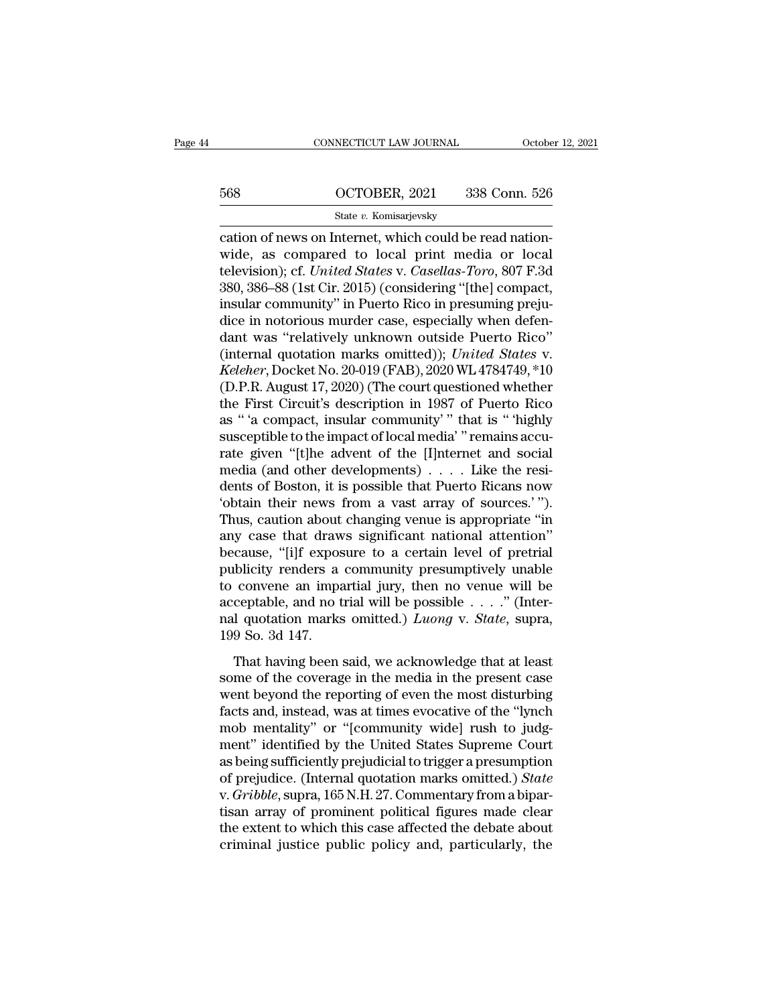# CONNECTICUT LAW JOURNAL October 12, 2021<br>568 OCTOBER, 2021 338 Conn. 526<br>5tate v. Komisarjevsky

### State *v.* Komisarjevsky

CONNECTICUT LAW JOURNAL Octobe<br>
COCTOBER, 2021 338 Conn. 526<br>
State v. Komisarjevsky<br>
Cation of news on Internet, which could be read nation-<br>
Wide, as compared to local print media or local<br>
television): of *United States* 568 OCTOBER, 2021 338 Conn. 526<br>
State v. Komisarjevsky<br>
Cation of news on Internet, which could be read nation-<br>
wide, as compared to local print media or local<br>
television); cf. *United States v. Casellas-Toro*, 807 F.3d The State v. Komisarjevsky<br>
State v. Komisarjevsky<br>
Cation of news on Internet, which could be read nation-<br>
wide, as compared to local print media or local<br>
television); cf. *United States* v. *Casellas-Toro*, 807 F.3d<br>
3  $568$  OCTOBER, 2021 338 Conn. 526<br>  $548$  State v. Komisarjevsky<br>
cation of news on Internet, which could be read nation-<br>
wide, as compared to local print media or local<br>
television); cf. *United States v. Casellas-Toro*, State v. Komisarjevsky<br>
cation of news on Internet, which could be read nation-<br>
wide, as compared to local print media or local<br>
television); cf. *United States* v. *Casellas-Toro*, 807 F.3d<br>
380, 386–88 (1st Cir. 2015) ( state v. Komsarjevsky<br>
cation of news on Internet, which could be read nation-<br>
wide, as compared to local print media or local<br>
television); cf. *United States* v. *Casellas-Toro*, 807 F.3d<br>
380, 386–88 (1st Cir. 2015) ( cation of news on Internet, which could be read nation-<br>wide, as compared to local print media or local<br>television); cf. *United States v. Casellas-Toro*, 807 F.3d<br>380, 386–88 (1st Cir. 2015) (considering "[the] compact,<br> wide, as compared to local print media or local<br>television); cf. *United States* v. *Casellas-Toro*, 807 F.3d<br>380, 386–88 (1st Cir. 2015) (considering "[the] compact,<br>insular community" in Puerto Rico in presuming preju-<br>d *Kelevision*); cf. *United States v. Casellas-Toro*, 807 F.3d<br>380, 386–88 (1st Cir. 2015) (considering "[the] compact,<br>insular community" in Puerto Rico in presuming preju-<br>dice in notorious murder case, especially when de 380, 386–88 (1st Cir. 2015) (considering "[the] compact,<br>insular community" in Puerto Rico in presuming preju-<br>dice in notorious murder case, especially when defen-<br>dant was "relatively unknown outside Puerto Rico"<br>(intern insular community" in Puerto Rico in presuming prejudice in notorious murder case, especially when defendant was "relatively unknown outside Puerto Rico"<br>(internal quotation marks omitted)); *United States v. Keleher*, Doc dice in notorious murder case, especially when defendant was "relatively unknown outside Puerto Rico"<br>(internal quotation marks omitted)); *United States v.*<br>*Keleher*, Docket No. 20-019 (FAB), 2020 WL 4784749, \*10<br>(D.P.R. dant was "relatively unknown outside Puerto Rico"<br>(internal quotation marks omitted)); *United States* v.<br>*Keleher*, Docket No. 20-019 (FAB), 2020 WL 4784749, \*10<br>(D.P.R. August 17, 2020) (The court questioned whether<br>the (internal quotation marks omitted)); *United States v.*<br> *Keleher*, Docket No. 20-019 (FAB), 2020 WL 4784749, \*10<br>
(D.P.R. August 17, 2020) (The court questioned whether<br>
the First Circuit's description in 1987 of Puerto *Keleher*, Docket No. 20-019 (FAB), 2020 WL 4784749, \*10<br>(D.P.R. August 17, 2020) (The court questioned whether<br>the First Circuit's description in 1987 of Puerto Rico<br>as " 'a compact, insular community' " that is " 'highl (D.P.R. August 17, 2020) (The court questioned whether<br>the First Circuit's description in 1987 of Puerto Rico<br>as " 'a compact, insular community' " that is " 'highly<br>susceptible to the impact of local media" " remains acc the First Circuit's description in 1987 of Puerto Rico<br>as "'a compact, insular community'" that is "'highly<br>susceptible to the impact of local media' "remains accu-<br>rate given "[t]he advent of the [I]nternet and social<br>med as " 'a compact, insular community' " that is " 'highly<br>susceptible to the impact of local media' " remains accu-<br>rate given "[t]he advent of the [I]nternet and social<br>media (and other developments) . . . . Like the resi-<br> susceptible to the impact of local media' "remains accurate given "[t]he advent of the [I]nternet and social<br>media (and other developments)  $\ldots$ . Like the resi-<br>dents of Boston, it is possible that Puerto Ricans now<br>'obt rate given "[t]he advent of the [I]nternet and social<br>media (and other developments) . . . . Like the resi-<br>dents of Boston, it is possible that Puerto Ricans now<br>"obtain their news from a vast array of sources."").<br>Thus, media (and other developments)  $\ldots$  Like the residents of Boston, it is possible that Puerto Ricans now 'obtain their news from a vast array of sources.'").<br>Thus, caution about changing venue is appropriate "in any case dents of Boston, it is possible that Puerto Ricans now<br>
"obtain their news from a vast array of sources."").<br>
Thus, caution about changing venue is appropriate "in<br>
any case that draws significant national attention"<br>
bec "botain their news from a vast array of sources."").<br>Thus, caution about changing venue is appropriate "in<br>any case that draws significant national attention"<br>because, "[i]f exposure to a certain level of pretrial<br>publici Thus, caution about changing venue is appropriate "in<br>any case that draws significant national attention"<br>because, "[i]f exposure to a certain level of pretrial<br>publicity renders a community presumptively unable<br>to convene any case that draw<br>because, "[i]f expos<br>publicity renders a<br>to convene an impa<br>acceptable, and no t<br>nal quotation marks<br>199 So. 3d 147.<br>That having been the disturbance of the contraint ever of preatal<br>blicity renders a community presumptively unable<br>convene an impartial jury, then no venue will be<br>ceptable, and no trial will be possible  $\ldots$ ." (Inter-<br>I quotation marks bushed, Tenders a commany presumparery analog to convene an impartial jury, then no venue will be acceptable, and no trial will be possible  $\ldots$ ." (Internal quotation marks omitted.) *Luong* v. *State*, supra, 199 So. 3d

acceptable, and no trial will be possible  $\ldots$ ." (Inter-<br>nal quotation marks omitted.) *Luong* v. *State*, supra,<br>199 So. 3d 147.<br>That having been said, we acknowledge that at least<br>some of the coverage in the media in t factor and quotation marks omitted.) *Luong* v. *State*, supra, 199 So. 3d 147.<br>That having been said, we acknowledge that at least some of the coverage in the media in the present case went beyond the reporting of even t man quotation manus ontatear) Easing in State, supply,<br>199 So. 3d 147.<br>That having been said, we acknowledge that at least<br>some of the coverage in the media in the present case<br>went beyond the reporting of even the most di That having been said, we acknowledge that at least<br>some of the coverage in the media in the present case<br>went beyond the reporting of even the most disturbing<br>facts and, instead, was at times evocative of the "lynch<br>mob m That having been said, we acknowledge that at least<br>some of the coverage in the media in the present case<br>went beyond the reporting of even the most disturbing<br>facts and, instead, was at times evocative of the "lynch<br>mob some of the coverage in the media in the present case<br>went beyond the reporting of even the most disturbing<br>facts and, instead, was at times evocative of the "lynch<br>mob mentality" or "[community wide] rush to judg-<br>ment" i went beyond the reporting of even the most disturbing<br>facts and, instead, was at times evocative of the "lynch<br>mob mentality" or "[community wide] rush to judg-<br>ment" identified by the United States Supreme Court<br>as being facts and, instead, was at times evocative of the "lynch<br>mob mentality" or "[community wide] rush to judg-<br>ment" identified by the United States Supreme Court<br>as being sufficiently prejudicial to trigger a presumption<br>of p mob mentality" or "[community wide] rush to judg-<br>ment" identified by the United States Supreme Court<br>as being sufficiently prejudicial to trigger a presumption<br>of prejudice. (Internal quotation marks omitted.) *State*<br>v. ment" identified by the United States Supreme Court<br>as being sufficiently prejudicial to trigger a presumption<br>of prejudice. (Internal quotation marks omitted.) *State*<br>v. *Gribble*, supra, 165 N.H. 27. Commentary from a b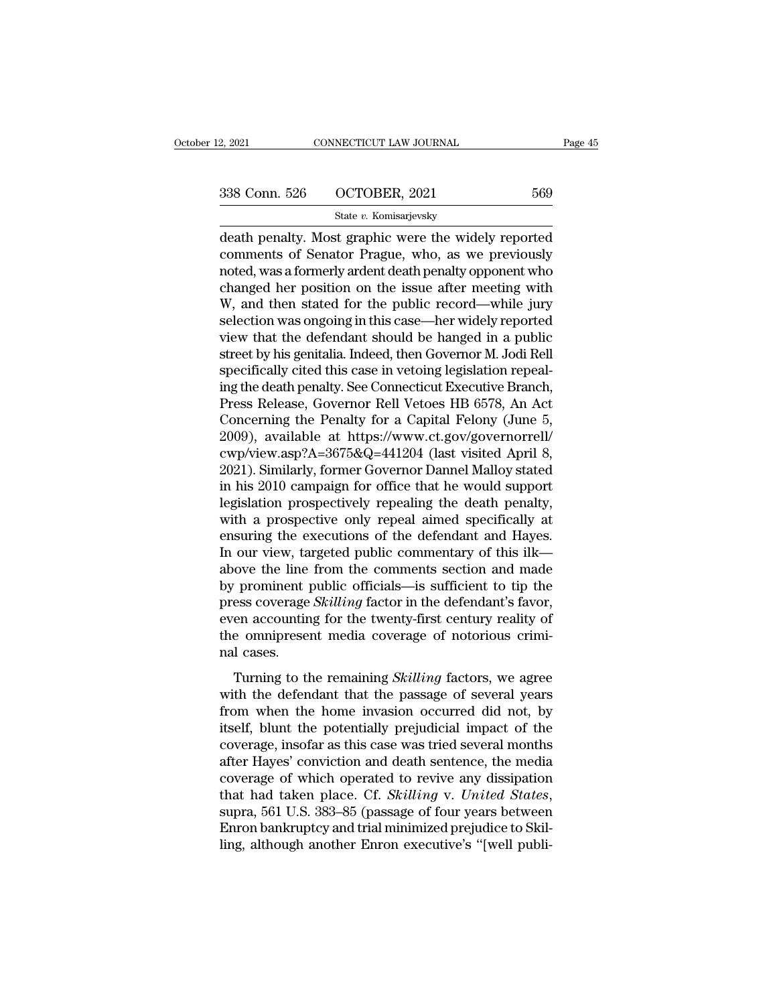State *v.* Komisarjevsky

2, 2021 CONNECTICUT LAW JOURNAL Page 45<br>
338 Conn. 526 OCTOBER, 2021 569<br>
564 State v. Komisarjevsky<br>
death penalty. Most graphic were the widely reported<br>
comments of Senator Prague, who, as we previously  $\begin{array}{ccc}\n 338 \text{ Conn. } 526 & \text{OCTOBER, } 2021 & 569 \\
 \hline\n & \text{State } v. \text{ Komisarievsky} \\
 \text{death penalty. Most graphic were the widely reported\n \text{comments of Senator Prague, who, as we previously} \\
 \text{noted, was a formerly ardent death penalty opponent who\n \text{changed her position on the issue after meeting with}\n \end{array}$ 338 Conn. 526 OCTOBER, 2021 569<br>
State v. Komisarjevsky<br>
death penalty. Most graphic were the widely reported<br>
comments of Senator Prague, who, as we previously<br>
noted, was a formerly ardent death penalty opponent who<br>
ch 338 Conn. 526  $\overline{OCTOBER}$ , 2021 569<br>
State v. Komisarjevsky<br>
death penalty. Most graphic were the widely reported<br>
comments of Senator Prague, who, as we previously<br>
noted, was a formerly ardent death penalty opponent who State v. Komisarjevsky<br>
death penalty. Most graphic were the widely reported<br>
comments of Senator Prague, who, as we previously<br>
noted, was a formerly ardent death penalty opponent who<br>
changed her position on the issue af state v. Komisarjevsky<br>death penalty. Most graphic were the widely reported<br>comments of Senator Prague, who, as we previously<br>noted, was a formerly ardent death penalty opponent who<br>changed her position on the issue after death penalty. Most graphic were the widely reported<br>comments of Senator Prague, who, as we previously<br>noted, was a formerly ardent death penalty opponent who<br>changed her position on the issue after meeting with<br>W, and the comments of Senator Prague, who, as we previously<br>noted, was a formerly ardent death penalty opponent who<br>changed her position on the issue after meeting with<br>W, and then stated for the public record—while jury<br>selection w noted, was a formerly ardent death penalty opponent who<br>changed her position on the issue after meeting with<br>W, and then stated for the public record—while jury<br>selection was ongoing in this case—her widely reported<br>view t changed her position on the issue after meeting with W, and then stated for the public record—while jury selection was ongoing in this case—her widely reported view that the defendant should be hanged in a public street by W, and then stated for the public record—while jury<br>selection was ongoing in this case—her widely reported<br>view that the defendant should be hanged in a public<br>street by his genitalia. Indeed, then Governor M. Jodi Rell<br>sp selection was ongoing in this case—her widely reported<br>view that the defendant should be hanged in a public<br>street by his genitalia. Indeed, then Governor M. Jodi Rell<br>specifically cited this case in vetoing legislation re view that the defendant should be hanged in a public<br>street by his genitalia. Indeed, then Governor M. Jodi Rell<br>specifically cited this case in vetoing legislation repeal-<br>ing the death penalty. See Connecticut Executive street by his genitalia. Indeed, then Governor M. Jodi Rell<br>specifically cited this case in vetoing legislation repeal-<br>ing the death penalty. See Connecticut Executive Branch,<br>Press Release, Governor Rell Vetoes HB 6578, specifically cited this case in vetoing legislation repeal-<br>ing the death penalty. See Connecticut Executive Branch,<br>Press Release, Governor Rell Vetoes HB 6578, An Act<br>Concerning the Penalty for a Capital Felony (June 5,<br> ing the death penalty. See Connecticut Executive Branch,<br>Press Release, Governor Rell Vetoes HB 6578, An Act<br>Concerning the Penalty for a Capital Felony (June 5,<br>2009), available at https://www.ct.gov/governorrell/<br>cwp/vie Press Release, Governor Rell Vetoes HB 6578, An Act<br>Concerning the Penalty for a Capital Felony (June 5,<br>2009), available at https://www.ct.gov/governorrell/<br>cwp/view.asp?A=3675&Q=441204 (last visited April 8,<br>2021). Simil Concerning the Penalty for a Capital Felony (June 5,<br>2009), available at https://www.ct.gov/governorrell/<br>cwp/view.asp?A=3675&Q=441204 (last visited April 8,<br>2021). Similarly, former Governor Dannel Malloy stated<br>in his 20 2009), available at https://www.ct.gov/governorrell/<br>cwp/view.asp?A=3675&Q=441204 (last visited April 8,<br>2021). Similarly, former Governor Dannel Malloy stated<br>in his 2010 campaign for office that he would support<br>legislat cwp/view.asp?A=3675&Q=441204 (last visited April 8,<br>2021). Similarly, former Governor Dannel Malloy stated<br>in his 2010 campaign for office that he would support<br>legislation prospectively repealing the death penalty,<br>with a 2021). Similarly, former Governor Dannel Malloy stated<br>in his 2010 campaign for office that he would support<br>legislation prospectively repealing the death penalty,<br>with a prospective only repeal aimed specifically at<br>ensur in his 2010 campaign for office that he would support<br>legislation prospectively repealing the death penalty,<br>with a prospective only repeal aimed specifically at<br>ensuring the executions of the defendant and Hayes.<br>In our v legislation prospectively repealing the death penalty,<br>with a prospective only repeal aimed specifically at<br>ensuring the executions of the defendant and Hayes.<br>In our view, targeted public commentary of this ilk—<br>above the with a prospective only repeal aimed specifically at ensuring the executions of the defendant and Hayes.<br>In our view, targeted public commentary of this ilk—above the line from the comments section and made<br>by prominent pu ensuring the executions of the defendant and Hayes.<br>In our view, targeted public commentary of this ilk—<br>above the line from the comments section and made<br>by prominent public officials—is sufficient to tip the<br>press covera In our view, ta<br>above the line<br>by prominent press coverage<br>even accountin<br>the omniprese<br>nal cases.<br>Turning to tl Turning to the remaining Skilling factor in the defendant's favor,<br>en accounting for the twenty-first century reality of<br>e omnipresent media coverage of notorious crimi-<br>d cases.<br>Turning to the remaining *Skilling* factors by prominent pastic officials as summer to tap the<br>press coverage *Skilling* factor in the defendant's favor,<br>even accounting for the twenty-first century reality of<br>the omnipresent media coverage of notorious crimi-<br>nal

From accounting for the twenty-first century reality of<br>the omnipresent media coverage of notorious crimi-<br>nal cases.<br>Turning to the remaining *Skilling* factors, we agree<br>with the defendant that the passage of several yea From accounting for the energy mot century reality of<br>the omnipresent media coverage of notorious crimi-<br>nal cases.<br>Turning to the remaining *Skilling* factors, we agree<br>with the defendant that the passage of several years coverage of notified several months are considered.<br>Turning to the remaining *Skilling* factors, we agree<br>with the defendant that the passage of several years<br>from when the home invasion occurred did not, by<br>itself, blunt Turning to the remaining *Skilling* factors, we agree<br>with the defendant that the passage of several years<br>from when the home invasion occurred did not, by<br>itself, blunt the potentially prejudicial impact of the<br>coverage, Turning to the remaining *Skilling* factors, we agree<br>with the defendant that the passage of several years<br>from when the home invasion occurred did not, by<br>itself, blunt the potentially prejudicial impact of the<br>coverage, with the defendant that the passage of several years<br>from when the home invasion occurred did not, by<br>itself, blunt the potentially prejudicial impact of the<br>coverage, insofar as this case was tried several months<br>after Ha itself, blunt the potentially prejudicial impact of the coverage, insofar as this case was tried several months after Hayes' conviction and death sentence, the media coverage of which operated to revive any dissipation tha coverage, insofar as this case was tried several months<br>after Hayes' conviction and death sentence, the media<br>coverage of which operated to revive any dissipation<br>that had taken place. Cf. *Skilling* v. *United States*,<br>su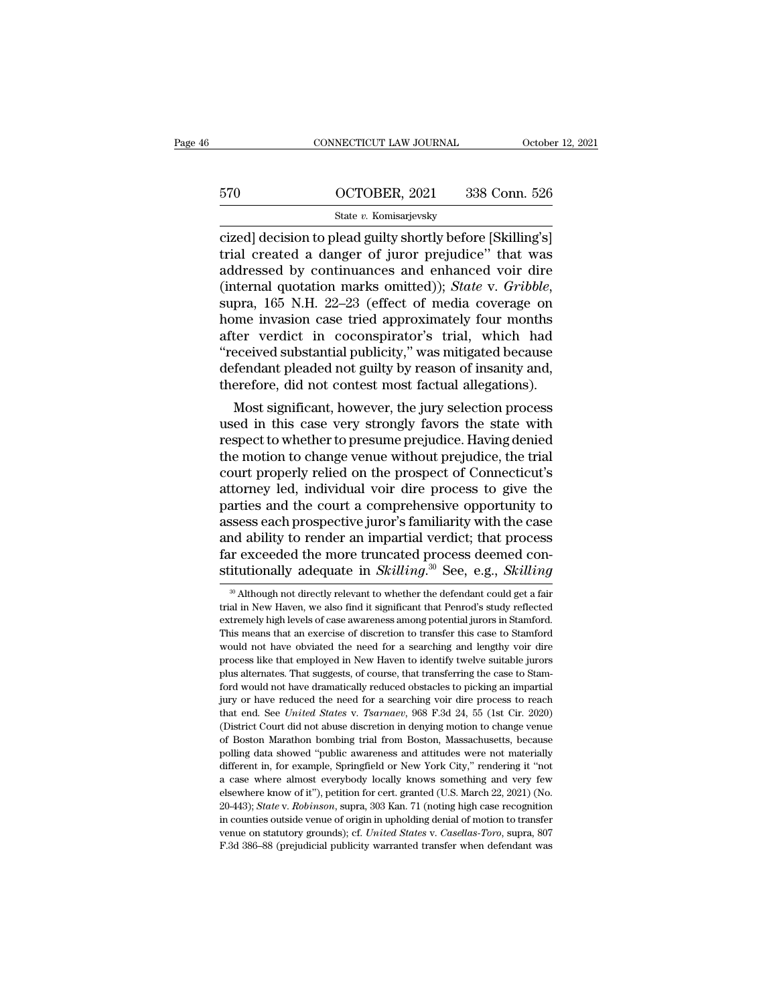# CONNECTICUT LAW JOURNAL October 12, 2021<br>570 OCTOBER, 2021 338 Conn. 526<br>State v. Komisarjevsky

### State *v.* Komisarjevsky

CONNECTICUT LAW JOURNAL October 12, 202<br>
State v. Komisarjevsky<br>
Cized] decision to plead guilty shortly before [Skilling's]<br>
Trial created a danger of juror prejudice" that was<br>
addressed by continuances and enhanced voir 570 OCTOBER, 2021 338 Conn. 526<br>
State v. Komisarjevsky<br>
Cized] decision to plead guilty shortly before [Skilling's]<br>
trial created a danger of juror prejudice'' that was<br>
addressed by continuances and enhanced voir dire<br>  $\begin{array}{r|l} \hline \text{670} & \text{OCTOBER, 2021} & \text{338 Conn. 526} \ \hline \text{state } v. \text{ Komisarjevsky} \ \hline \text{cized} & \text{decision to head guilty shortly before [Skilling's]} \ \hline \text{trial created a danger of juror prejudice" that was addressed by continuous and enhanced voir dire (internal quotation marks omitted)); State v. *Gribble*, \text{sum, 165 NH. } 22.23 (offset of media coverage on) \hline \end{array}$ (internal quotation marks omitted)); *State* v. *Gribble*, supra, 165 N.H. 22–23 (effect of media coverage on state v. Komisarjevsky<br>
cized] decision to plead guilty shortly before [Skilling's]<br>
trial created a danger of juror prejudice" that was<br>
addressed by continuances and enhanced voir dire<br>
(internal quotation marks omitted cized] decision to plead guilty shortly before [Skilling's]<br>trial, created a danger of juror prejudice" that was<br>addressed by continuances and enhanced voir dire<br>(internal quotation marks omitted)); *State* v. *Gribble*,<br>s trial created a danger of juror prejudice" that was<br>addressed by continuances and enhanced voir dire<br>(internal quotation marks omitted)); *State* v. *Gribble*,<br>supra, 165 N.H. 22–23 (effect of media coverage on<br>home invasi addressed by continuances and enhanced voir dire<br>(internal quotation marks omitted)); *State* v. *Gribble*,<br>supra, 165 N.H. 22–23 (effect of media coverage on<br>home invasion case tried approximately four months<br>after verdic (internal quotation marks omitted)); *State* v. *Gribble*, supra, 165 N.H. 22–23 (effect of media coverage on home invasion case tried approximately four months after verdict in coconspirator's trial, which had "received s pra, 109 N.H. 22–23 (effect of media coverage on<br>me invasion case tried approximately four months<br>ter verdict in coconspirator's trial, which had<br>eceived substantial publicity," was mitigated because<br>fendant pleaded not gu nome invasion case tried approximately four months<br>after verdict in coconspirator's trial, which had<br>"received substantial publicity," was mitigated because<br>defendant pleaded not guilty by reason of insanity and,<br>therefore

after verdict in coconspirator's trial, which had<br>"received substantial publicity," was mitigated because<br>defendant pleaded not guilty by reason of insanity and,<br>therefore, did not contest most factual allegations).<br>Most s Treceived substantial publicity," was mitigated because<br>defendant pleaded not guilty by reason of insanity and,<br>therefore, did not contest most factual allegations).<br>Most significant, however, the jury selection process<br>us defendant pleaded not guity by reason of insantly and,<br>therefore, did not contest most factual allegations).<br>Most significant, however, the jury selection process<br>used in this case very strongly favors the state with<br>respe therefore, and not contest most factual allegations).<br>
Most significant, however, the jury selection process<br>
used in this case very strongly favors the state with<br>
respect to whether to presume prejudice. Having denied<br>
t Most significant, however, the jury selection process<br>used in this case very strongly favors the state with<br>respect to whether to presume prejudice. Having denied<br>the motion to change venue without prejudice, the trial<br>cou used in this case very strongly favors the state with<br>respect to whether to presume prejudice. Having denied<br>the motion to change venue without prejudice, the trial<br>court properly relied on the prospect of Connecticut's<br>at respect to whether to presume prejudice. Having denied<br>the motion to change venue without prejudice, the trial<br>court properly relied on the prospect of Connecticut's<br>attorney led, individual voir dire process to give the<br>p the motion to change venue without prejudice, the trial<br>court properly relied on the prospect of Connecticut's<br>attorney led, individual voir dire process to give the<br>parties and the court a comprehensive opportunity to<br>ass court properly relied on the prospect of Connecticut's<br>attorney led, individual voir dire process to give the<br>parties and the court a comprehensive opportunity to<br>assess each prospective juror's familiarity with the case<br>a ssess each prospective juror's familiarity with the case<br>nd ability to render an impartial verdict; that process<br>ir exceeded the more truncated process deemed con-<br>itutionally adequate in *Skilling*.<sup>30</sup> See, e.g., *Skill* and ability to render an impartial verdict; that process<br>far exceeded the more truncated process deemed constitutionally adequate in *Skilling*.<sup>30</sup> See, e.g., *Skilling*<br><sup>30</sup> Although not directly relevant to whether the

far exceeded the more truncated process deemed constitutionally adequate in *Skilling*.<sup>30</sup> See, e.g., *Skilling*<br><sup>30</sup> Although not directly relevant to whether the defendant could get a fair trial in New Haven, we also f **Example 12** and the state of discretion of the state of the state of discretion of  $\frac{30}{9}$  See, e.g., *Skilling*  $\frac{30}{9}$  Although not directly relevant to whether the defendant could get a fair trial in New Haven, SULULIONAILY ADEQUALE IN SKUUNG.<sup>23</sup> See, e.g., SKUUNG<br><sup>30</sup> Although not directly relevant to whether the defendant could get a fair<br>trial in New Haven, we also find it significant that Penrod's study reflected<br>extremely  $^{\circ\circ}$  Although not directly relevant to whether the defendant could get a fair trial in New Haven, we also find it significant that Penrod's study reflected extremely high levels of case awareness among potential juror  $\text{^{30}}$  Although not directly relevant to whether the defendant could get a fair trial in New Haven, we also find it significant that Penrod's study reflected extremely high levels of case awareness among potential juro extremely high levels of case awareness among potential jurors in Stamford.<br>This means that an exercise of discretion to transfer this case to Stamford.<br>This means that an exercise of discretion to transfer this case to St This means that an exercise of discretion to transfer this case to Stamford would not have obviated the need for a searching and lengthy voir dire process like that employed in New Haven to identify twelve suitable jurors This include that end. Considered the need for a searching and lengthy voir dire<br>process like that employed in New Haven to identify twelve suitable jurors<br>plus alternates. That suggests, of course, that transferring the c process like that employed in New Haven to identify twelve suitable jurors<br>phocess like that employed in New Haven to identify twelve suitable jurors<br>plus alternates. That suggests, of course, that transferring the case to plus alternates. That suggests, of course, that transferring the case to Stam-<br>ford would not have dramatically reduced obstacles to picking an impartial<br>jury or have reduced the need for a searching voir dire process to r ford would not have dramatically reduced obstacles to picking an impartial<br>jury or have reduced the need for a searching voir dire process to reach<br>that end. See *United States v. Tsarnaev*, 968 F.3d 24, 55 (1st Cir. 2020) jury or have reduced the need for a searching voir dire process to reach that end. See *United States v. Tsarnaev*, 968 F.3d 24, 55 (1st Cir. 2020) (District Court did not abuse discretion in denying motion to change venue a case *United States v. Tsarnaev*, 968 F.3d 24, 55 (1st Cir. 2020)<br>(District Court did not abuse discretion in denying motion to change venue<br>of Boston Marathon bombing trial from Boston, Massachusetts, because<br>polling da (District Court did not abuse discretion in denying motion to change venue of Boston Marathon bombing trial from Boston, Massachusetts, because polling data showed "public awareness and attitudes were not materially differ of Boston Marathon bombing trial from Boston, Massachusetts, because<br>polling data showed "public awareness and attitudes were not materially<br>different in, for example, Springfield or New York City," rendering it "not<br>a cas polling data showed "public awareness and attitudes were not materially different in, for example, Springfield or New York City," rendering it "not a case where almost everybody locally knows something and very few elsewh different in, for example, Springfield or New York City," rendering it "not a case where almost everybody locally knows something and very few elsewhere know of it"), petition for cert. granted (U.S. March 22, 2021) (No. 2 elsewhere know of it"), petition for cert. granted (U.S. March 22, 2021) (No.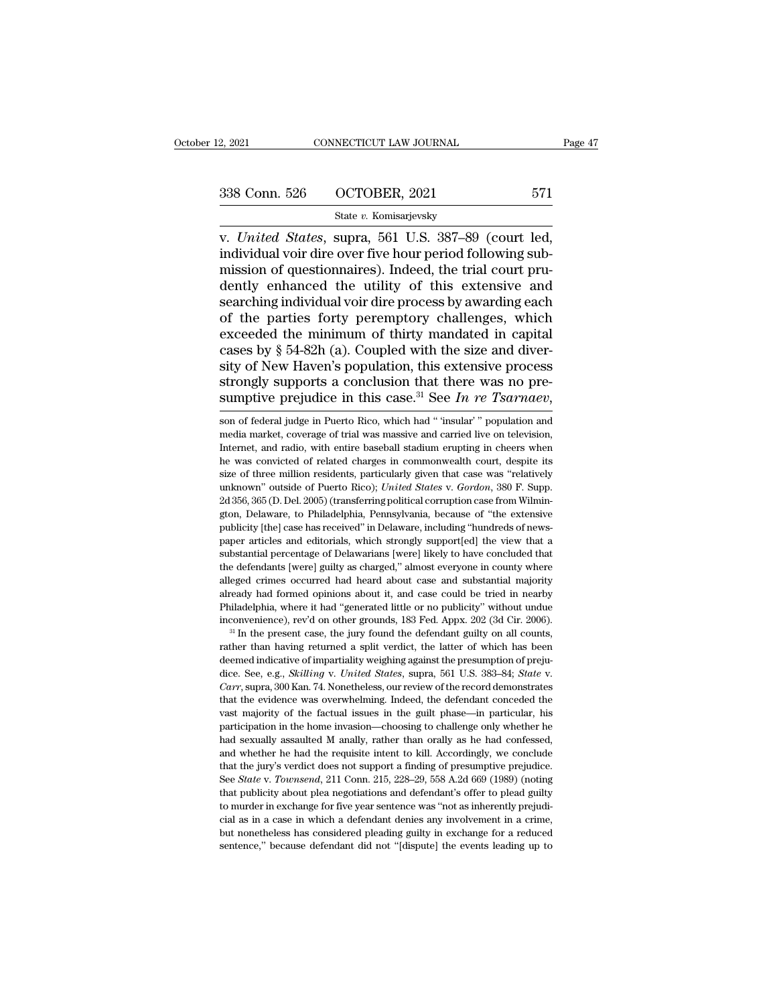# 2, 2021 CONNECTICUT LAW JOURNAL Page 47<br>338 Conn. 526 OCTOBER, 2021 571<br>State v. Komisarjevsky

### State *v.* Komisarjevsky

v. 2, 2021 CONNECTICUT LAW JOURNAL Page<br>
338 Conn. 526 OCTOBER, 2021 571<br>
State v. Komisarjevsky<br>
v. *United States*, supra, 561 U.S. 387–89 (court led,<br>
individual voir dire over five hour period following sub-<br>
mission o 338 Conn. 526 OCTOBER, 2021 571<br>
State v. Komisarjevsky<br>
v. United States, supra, 561 U.S. 387–89 (court led,<br>
individual voir dire over five hour period following sub-<br>
mission of questionnaires). Indeed, the trial court 338 Conn. 526 OCTOBER, 2021 571<br>
State v. Komisarjevsky<br>
v. United States, supra, 561 U.S. 387–89 (court led,<br>
individual voir dire over five hour period following sub-<br>
mission of questionnaires). Indeed, the trial court 338 Conn. 526 OCTOBER, 2021 571<br>
State v. Komisarjevsky<br>
v. United States, supra, 561 U.S. 387–89 (court led,<br>
individual voir dire over five hour period following sub-<br>
mission of questionnaires). Indeed, the trial court Searching State v. Komisarjevsky<br>
v. United States, supra, 561 U.S. 387–89 (court led,<br>
individual voir dire over five hour period following sub-<br>
mission of questionnaires). Indeed, the trial court pru-<br>
dently enhanced State v. Komisarjevsky<br>
v. United States, supra, 561 U.S. 387–89 (court led,<br>
individual voir dire over five hour period following sub-<br>
mission of questionnaires). Indeed, the trial court pru-<br>
dently enhanced the utilit v. United States, supra, 561 U.S. 387–89 (court led, individual voir dire over five hour period following sub-<br>mission of questionnaires). Indeed, the trial court pru-<br>dently enhanced the utility of this extensive and<br>sear individual voir dire over five hour period following sub-<br>mission of questionnaires). Indeed, the trial court pru-<br>dently enhanced the utility of this extensive and<br>searching individual voir dire process by awarding each<br>o mission of questionnaires). Indeed, the trial court pru-<br>dently enhanced the utility of this extensive and<br>searching individual voir dire process by awarding each<br>of the parties forty peremptory challenges, which<br>exceeded dently enhanced the utility of this extensive and<br>searching individual voir dire process by awarding each<br>of the parties forty peremptory challenges, which<br>exceeded the minimum of thirty mandated in capital<br>cases by § 54searching individual voir dire process by awarding each<br>of the parties forty peremptory challenges, which<br>exceeded the minimum of thirty mandated in capital<br>cases by § 54-82h (a). Coupled with the size and diver-<br>sity of N sity of New Haven's population, this extensive process<br>strongly supports a conclusion that there was no pre-<br>sumptive prejudice in this case.<sup>31</sup> See *In re Tsarnaev*,<br>son of federal judge in Puerto Rico, which had "insula

strongly supports a conclusion that there was no pre-<br>sumptive prejudice in this case.<sup>31</sup> See *In re Tsarnaev*,<br>son of federal judge in Puerto Rico, which had "insular" population and<br>media market, coverage of trial was sumptive prejudice in this case.<sup>31</sup> See *In re Tsarnaev*,<br>son of federal judge in Puerto Rico, which had " 'insular' " population and<br>media market, coverage of trial was massive and carried live on television,<br>Internet, sumptive prejudice in this case. See *In re I surnuev*,<br>son of federal judge in Puerto Rico, which had "insular" population and<br>media market, coverage of trial was massive and carried live on television,<br>internet, and radi son of federal judge in Puerto Rico, which had " 'insular' " population and media market, coverage of trial was massive and carried live on television, Internet, and radio, with entire baseball stadium erupting in cheers w media market, coverage of trial was massive and carried live on television, Internet, and radio, with entire baseball stadium erupting in cheers when he was convicted of related charges in commonwealth court, despite its Internet, and radio, with entire baseball stadium erupting in cheers when<br>he was convicted of related charges in commonwealth court, despite its<br>size of three million residents, particularly given that case was "relatively he was convicted of related charges in commonwealth court, despite its size of three million residents, particularly given that case was "relatively unknown" outside of Puerto Rico); *United States v. Gordon*, 380 F. Supp is is estimate the million residents, particularly given that case was "relatively unknown" outside of Puerto Rico); *United States v. Gordon*, 380 F. Supp. 2d 356, 365 (D. Del. 2005) (transferring political corruption cas substantial percentage of Delawarians functions (and the extensive publical corruption case from Wilmington, Delaware, to Philadelphia, Pennsylvania, because of "the extensive publicity [the] case has received" in Delaware 2d 356, 365 (D. Del. 2005) (transferring political corruption case from Wilmington, Delaware, to Philadelphia, Pennsylvania, because of "the extensive publicity [the] case has received" in Delaware, including "hundreds of alleged crimes occurred had heard about case and substantial majority already had formed about case has received in Delaware, including "hundreds of news-<br>paper articles and editorials, which strongly support[ed] the view publicity [the] case has received" in Delaware, including "hundreds of news-<br>paper articles and editorials, which strongly support[ed] the view that a<br>substantial percentage of Delawarians [were] likely to have concluded t paper articles and editorials, which strongly support[ed] the view that a substantial percentage of Delawarians [were] likely to have concluded that the defendants [were] guilty as charged," almost everyone in county where substantial percentage of Delawarians [were] likely to have concluded that the defendants [were] guilty as charged," almost everyone in county where alleged crimes occurred had heard about case and substantial majority alr alleged crimes occurred had heard about case and substantial majority<br>already had formed opinions about it, and case could be tried in nearby<br>Philadelphia, where it had "generated little or no publicity" without undue<br>inco

alleged crimes occurred had heard about case and substantial majority already had formed opinions about it, and case could be tried in nearby Philadelphia, where it had "generated little or no publicity" without undue inc dice. See, e.g., *Skilling* v. *United States*, suppose the suppose is a lift or no publicity" without undue inconvenience), rev'd on other grounds, 183 Fed. Appx. 202 (3d Cir. 2006). <sup>31</sup> In the present case, the jury fou <sup>al</sup> In the present case, the jury found the defendant guilty on all counts,<br><sup>al</sup> In the present case, the jury found the defendant guilty on all counts,<br>rather than having returned a split verdict, the latter of which has The the Factual issues in the latter of which has been<br>deemed indicative of impartiality weighing against the presumption of preju-<br>dice. See, e.g., *Skilling v. United States*, supra, 561 U.S. 383–84; *State v.*<br>Carr, sup deemed indicative of impartiality weighing against the presumption of prejudice. See, e.g., *Skilling v. United States*, supra, 561 U.S. 383–84; *State v. Carr*, supra, 300 Kan. 74. Nonetheless, our review of the record dice. See, e.g., *Skilling v. United States*, supra, 561 U.S. 383–84; *State* v. *Carr*, supra, 300 Kan. 74. Nonetheless, our review of the record demonstrates that the evidence was overwhelming. Indeed, the defendant conc *Carr*, supra, 300 Kan. 74. Nonetheless, our review of the record demonstrates that the evidence was overwhelming. Indeed, the defendant conceded the vast majority of the factual issues in the guilt phase—in particular, h that the evidence was overwhelming. Indeed, the defendant conceded the vast majority of the factual issues in the guilt phase—in particular, his participation in the home invasion—choosing to challenge only whether he had wast majority of the factual issues in the guilt phase—in particular, his participation in the home invasion—choosing to challenge only whether he had sexually assaulted M anally, rather than orally as he had confessed, an participation in the home invasion—choosing to challenge only whether he had sexually assaulted M anally, rather than orally as he had confessed, and whether he had the requisite intent to kill. Accordingly, we conclude th had sexually assaulted M anally, rather than orally as he had confessed, and whether he had the requisite intent to kill. Accordingly, we conclude that the jury's verdict does not support a finding of presumptive prejudice and whether he had the requisite intent to kill. Accordingly, we conclude that the jury's verdict does not support a finding of presumptive prejudice. See *State* v. *Townsend*, 211 Conn. 215, 228–29, 558 A.2d 669 (1989) that the jury's verdict does not support a finding of presumptive prejudice.<br>See *State* v. *Townsend*, 211 Conn. 215, 228–29, 558 A.2d 669 (1989) (noting<br>that publicity about plea negotiations and defendant's offer to pl See State v. Townsend, 211 Conn. 215, 228-29, 558 A.2d 669 (1989) (noting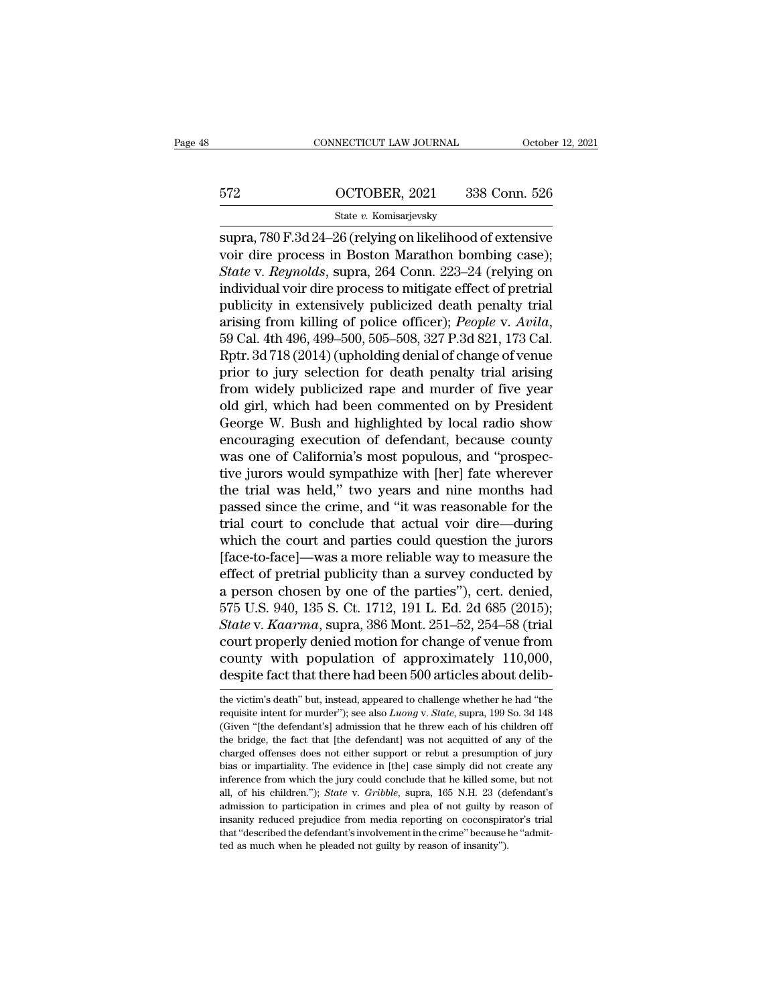# CONNECTICUT LAW JOURNAL October 12, 2021<br>572 OCTOBER, 2021 338 Conn. 526<br>5tate v. Komisarjevsky

### State *v.* Komisarjevsky

ST2 OCTOBER, 2021 OCTOBER, 2021<br>
State v. Komisarjevsky<br>
Supra, 780 F.3d 24–26 (relying on likelihood of extensive<br>
voir dire process in Boston Marathon bombing case);<br>
State v. Revealde supra, 264 Conn. 222, 24 (relying o 972 0CTOBER, 2021 338 Conn. 526<br>
State v. Komisarjevsky<br>
supra, 780 F.3d 24–26 (relying on likelihood of extensive<br>
voir dire process in Boston Marathon bombing case);<br>
State v. Reynolds, supra, 264 Conn. 223–24 (relying o <sup>572</sup> OCTOBER, 2021 338 Conn. 526<br>
<sup>State</sup> v. *Remisarjevsky*<br>
Supra, 780 F.3d 24–26 (relying on likelihood of extensive<br>
voir dire process in Boston Marathon bombing case);<br> *State* v. *Reynolds*, supra, 264 Conn. 223–24  $\frac{\text{672}}{\text{State } v. \text{ Komisarievsky}}$ <br>  $\frac{\text{State } v. \text{ Komisarievsky}}{\text{supra, 780 F.3d 24–26 (relying on likelihood of extensive  
\nvoir dire process in Boston Marathon bombing case)}}$ <br>
State v. Reynolds, supra, 264 Conn. 223–24 (relying on individual voir dire process to mitigate effect of pretrial<br>
publicity in State v. Komisarjevsky<br>
supra, 780 F.3d 24–26 (relying on likelihood of extensive<br>
voir dire process in Boston Marathon bombing case);<br>
State v. Reynolds, supra, 264 Conn. 223–24 (relying on<br>
individual voir dire process sing *e*. Romsarjevsky<br>supra, 780 F.3d 24–26 (relying on likelihood of extensive<br>voir dire process in Boston Marathon bombing case);<br>*State* v. *Reynolds*, supra, 264 Conn. 223–24 (relying on<br>individual voir dire process t voir dire process in Boston Marathon bombing case);<br> *State* v. *Reynolds*, supra, 264 Conn. 223–24 (relying on<br>
individual voir dire process to mitigate effect of pretrial<br>
publicity in extensively publicized death penalt State v. Reynolds, supra, 264 Conn. 223–24 (relying on<br>individual voir dire process to mitigate effect of pretrial<br>publicity in extensively publicized death penalty trial<br>arising from killing of police officer); *People v.* individual voir dire process to mitigate effect of pretrial<br>publicity in extensively publicized death penalty trial<br>arising from killing of police officer); *People v. Avila*,<br>59 Cal. 4th 496, 499–500, 505–508, 327 P.3d 82 publicity in extensively publicized death penalty trial<br>arising from killing of police officer); *People v. Avila*,<br>59 Cal. 4th 496, 499–500, 505–508, 327 P.3d 821, 173 Cal.<br>Rptr. 3d 718 (2014) (upholding denial of change arising from killing of police officer); *People v. Avila*,<br>59 Cal. 4th 496, 499–500, 505–508, 327 P.3d 821, 173 Cal.<br>Rptr. 3d 718 (2014) (upholding denial of change of venue<br>prior to jury selection for death penalty trial 59 Cal. 4th 496, 499–500, 505–508, 327 P.3d 821, 173 Cal.<br>Rptr. 3d 718 (2014) (upholding denial of change of venue<br>prior to jury selection for death penalty trial arising<br>from widely publicized rape and murder of five year Rptr. 3d 718 (2014) (upholding denial of change of venue<br>prior to jury selection for death penalty trial arising<br>from widely publicized rape and murder of five year<br>old girl, which had been commented on by President<br>George prior to jury selection for death penalty trial arising<br>from widely publicized rape and murder of five year<br>old girl, which had been commented on by President<br>George W. Bush and highlighted by local radio show<br>encouraging from widely publicized rape and murder of five year<br>old girl, which had been commented on by President<br>George W. Bush and highlighted by local radio show<br>encouraging execution of defendant, because county<br>was one of Califo old girl, which had been commented on by President<br>George W. Bush and highlighted by local radio show<br>encouraging execution of defendant, because county<br>was one of California's most populous, and "prospec-<br>tive jurors woul George W. Bush and highlighted by local radio show<br>encouraging execution of defendant, because county<br>was one of California's most populous, and "prospec-<br>tive jurors would sympathize with [her] fate wherever<br>the trial was encouraging execution of defendant, because county<br>was one of California's most populous, and "prospec-<br>tive jurors would sympathize with [her] fate wherever<br>the trial was held," two years and nine months had<br>passed since was one of California's most populous, and "prospective jurors would sympathize with [her] fate wherever<br>the trial was held," two years and nine months had<br>passed since the crime, and "it was reasonable for the<br>trial court tive jurors would sympathize with [her] fate wherever<br>the trial was held," two years and nine months had<br>passed since the crime, and "it was reasonable for the<br>trial court to conclude that actual voir dire—during<br>which th the trial was held," two years and nine months had<br>passed since the crime, and "it was reasonable for the<br>trial court to conclude that actual voir dire—during<br>which the court and parties could question the jurors<br>[face-topassed since the crime, and "it was reasonable for the<br>trial court to conclude that actual voir dire—during<br>which the court and parties could question the jurors<br>[face-to-face]—was a more reliable way to measure the<br>effect rial court to conclude that actual voir dire—during<br>which the court and parties could question the jurors<br>[face-to-face]—was a more reliable way to measure the<br>effect of pretrial publicity than a survey conducted by<br>a pers which the court and parties could question the jurors<br>[face-to-face]—was a more reliable way to measure the<br>effect of pretrial publicity than a survey conducted by<br>a person chosen by one of the parties"), cert. denied,<br>57 [face-to-face]—was a more reliable way to measure the<br>effect of pretrial publicity than a survey conducted by<br>a person chosen by one of the parties"), cert. denied,<br>575 U.S. 940, 135 S. Ct. 1712, 191 L. Ed. 2d 685 (2015); effect of pretrial publicity than a survey conducted by<br>a person chosen by one of the parties"), cert. denied,<br>575 U.S. 940, 135 S. Ct. 1712, 191 L. Ed. 2d 685 (2015);<br>*State* v. *Kaarma*, supra, 386 Mont. 251–52, 254–58 ( State v. Kaarma, supra, 386 Mont. 251–52, 254–58 (trial<br>court properly denied motion for change of venue from<br>county with population of approximately 110,000,<br>despite fact that there had been 500 articles about delib-<br>the court properly denied motion for change of venue from<br>county with population of approximately 110,000,<br>despite fact that there had been 500 articles about delib-<br>the victim's death" but, instead, appeared to challenge whet

county with population of approximately 110,000, despite fact that there had been 500 articles about delib-<br>the victim's death" but, instead, appeared to challenge whether he had "the requisite intent for murder"); see al despite fact that there had been 500 articles about delib-<br>the victim's death" but, instead, appeared to challenge whether he had "the<br>requisite intent for murder"); see also *Luong* v. *State*, supra, 199 So. 3d 148<br>(Give charged offenses does not either either does not all the victim's death' but, instead, appeared to challenge whether he had "the requisite intent for murder"); see also *Luong v. State*, supra, 199 So. 3d 148 (Given "[the the victim's death" but, instead, appeared to challenge whether he had "the requisite intent for murder"); see also  $L uong$  v.  $State$ , supra, 199 So. 3d 148 (Given "[the defendant's] admission that he threw each of his childre requisite intent for murder"); see also *Luong* v. *State*, supra, 199 So. 3d 148 (Given "[the defendant's] admission that he threw each of his children off the bridge, the fact that [the defendant] was not acquitted of an <sup>1</sup> (Given "[the defendant's] admission that he threw each of his children off the bridge, the fact that [the defendant] was not acquitted of any of the charged offenses does not either support or rebut a presumption of ju the bridge, the fact that [the defendant] was not acquitted of any of the charged offenses does not either support or rebut a presumption of jury bias or impartiality. The evidence in [the] case simply did not create any charged offenses does not either support or rebut a presumption of jury<br>bias or impartiality. The evidence in [the] case simply did not create any<br>inference from which the jury could conclude that he killed some, but not<br> bias or impartiality. The evidence in [the] case simply did not create any inference from which the jury could conclude that he killed some, but not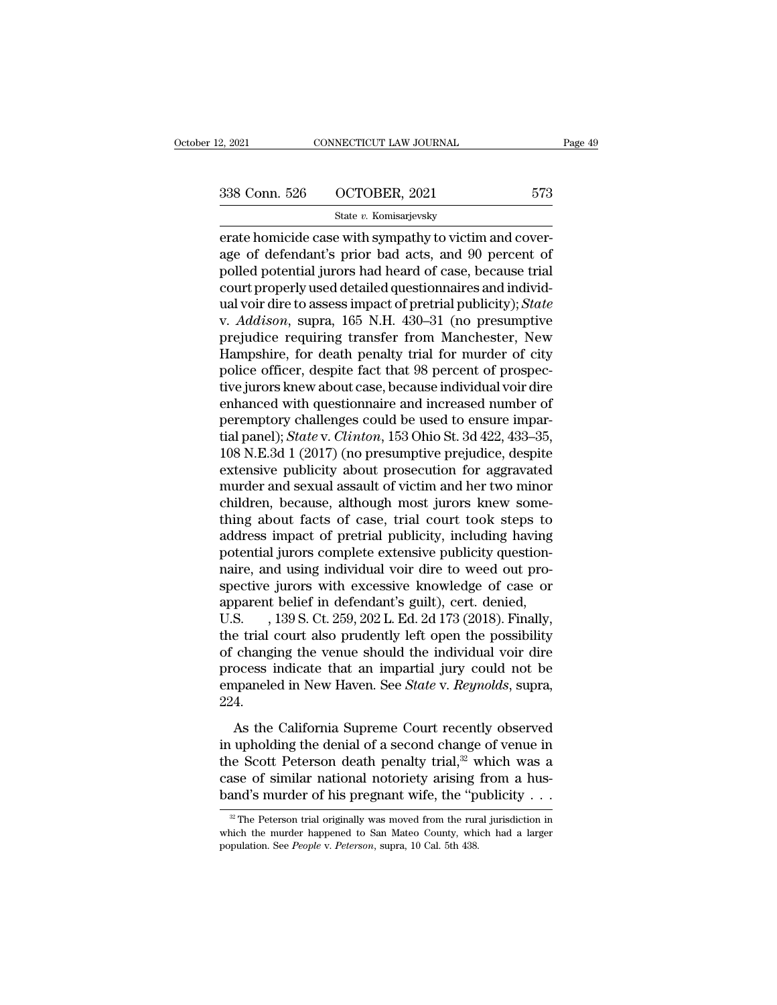2, 2021 CONNECTICUT LAW JOURNAL Page 49<br>338 Conn. 526 OCTOBER, 2021 573<br>5tate v. Komisarjevsky

State *v.* Komisarjevsky

erate homicide case with sympathy to victim and cover-<br>age of defendant's prior bad acts, and 90 percent of<br>age of defendant's prior bad acts, and 90 percent of<br>angled potential jurors had hoard of asso-bosques trial 338 Conn. 526 OCTOBER, 2021 573<br>
State v. Komisarjevsky<br>
erate homicide case with sympathy to victim and cover-<br>
age of defendant's prior bad acts, and 90 percent of<br>
polled potential jurors had heard of case, because tria 338 Conn. 526 OCTOBER, 2021 573<br>
State v. Komisarjevsky<br>
erate homicide case with sympathy to victim and cover-<br>
age of defendant's prior bad acts, and 90 percent of<br>
polled potential jurors had heard of case, because tri 338 Conn. 526 OCTOBER, 2021 573<br>
State v. Komisarjevsky<br>
erate homicide case with sympathy to victim and cover-<br>
age of defendant's prior bad acts, and 90 percent of<br>
polled potential jurors had heard of case, because tri state *v*. Komisarjevsky<br>
erate homicide case with sympathy to victim and cover-<br>
age of defendant's prior bad acts, and 90 percent of<br>
polled potential jurors had heard of case, because trial<br>
court properly used detailed state v. Komsarjevsky<br>erate homicide case with sympathy to victim and cover-<br>age of defendant's prior bad acts, and 90 percent of<br>polled potential jurors had heard of case, because trial<br>court properly used detailed questi erate homicide case with sympathy to victim and cover-<br>age of defendant's prior bad acts, and 90 percent of<br>polled potential jurors had heard of case, because trial<br>court properly used detailed questionnaires and individ-<br> age of defendant's prior bad acts, and 90 percent of<br>polled potential jurors had heard of case, because trial<br>court properly used detailed questionnaires and individ-<br>ual voir dire to assess impact of pretrial publicity); polled potential jurors had heard of case, because trial<br>court properly used detailed questionnaires and individ-<br>ual voir dire to assess impact of pretrial publicity); *State*<br>v. *Addison*, supra, 165 N.H. 430–31 (no pres court properly used detailed questionnaires and individual voir dire to assess impact of pretrial publicity); *State* v. *Addison*, supra, 165 N.H. 430–31 (no presumptive prejudice requiring transfer from Manchester, New H ual voir dire to assess impact of pretrial publicity); *State*<br>v. *Addison*, supra, 165 N.H. 430–31 (no presumptive<br>prejudice requiring transfer from Manchester, New<br>Hampshire, for death penalty trial for murder of city<br>po v. *Addison*, supra, 165 N.H. 430–31 (no presumptive<br>prejudice requiring transfer from Manchester, New<br>Hampshire, for death penalty trial for murder of city<br>police officer, despite fact that 98 percent of prospec-<br>tive ju prejudice requiring transfer from Manchester, New<br>Hampshire, for death penalty trial for murder of city<br>police officer, despite fact that 98 percent of prospec-<br>tive jurors knew about case, because individual voir dire<br>enh Hampshire, for death penalty trial for murder of city<br>police officer, despite fact that 98 percent of prospec-<br>tive jurors knew about case, because individual voir dire<br>enhanced with questionnaire and increased number of<br>p police officer, despite fact that 98 percent of prospective jurors knew about case, because individual voir dire<br>enhanced with questionnaire and increased number of<br>peremptory challenges could be used to ensure impar-<br>tial tive jurors knew about case, because individual voir dire<br>enhanced with questionnaire and increased number of<br>peremptory challenges could be used to ensure impar-<br>tial panel); *State* v. *Clinton*, 153 Ohio St. 3d 422, 433 enhanced with questionnaire and increased number of<br>peremptory challenges could be used to ensure impar-<br>tial panel); *State* v. *Clinton*, 153 Ohio St. 3d 422, 433–35,<br>108 N.E.3d 1 (2017) (no presumptive prejudice, despit peremptory challenges could be used to ensure impartial panel); *State* v. *Clinton*, 153 Ohio St. 3d 422, 433–35, 108 N.E.3d 1 (2017) (no presumptive prejudice, despite extensive publicity about prosecution for aggravated tial panel); *State* v. *Clinton*, 153 Ohio St. 3d 422, 433–35, 108 N.E.3d 1 (2017) (no presumptive prejudice, despite extensive publicity about prosecution for aggravated murder and sexual assault of victim and her two mi 108 N.E.3d 1 (2017) (no presumptive prejudice, despite<br>extensive publicity about prosecution for aggravated<br>murder and sexual assault of victim and her two minor<br>children, because, although most jurors knew some-<br>thing abo extensive publicity about prosecution for aggravated<br>murder and sexual assault of victim and her two minor<br>children, because, although most jurors knew some-<br>thing about facts of case, trial court took steps to<br>address imp murder and sexual assault of victim and her two minor<br>children, because, although most jurors knew some-<br>thing about facts of case, trial court took steps to<br>address impact of pretrial publicity, including having<br>potential children, because, although most jurors knew something about facts of case, trial court took steps to address impact of pretrial publicity, including having potential jurors complete extensive publicity question-<br>naire, an thing about facts of case, trial court took steps to<br>address impact of pretrial publicity, including having<br>potential jurors complete extensive publicity question-<br>naire, and using individual voir dire to weed out pro-<br>spe address impact of pretrial publicity, including having<br>potential jurors complete extensive publicity question-<br>naire, and using individual voir dire to weed out pro-<br>spective jurors with excessive knowledge of case or<br>appa potential jurors complete extensive publicity question-<br>naire, and using individual voir dire to weed out pro-<br>spective jurors with excessive knowledge of case or<br>apparent belief in defendant's guilt), cert. denied,<br>U.S. , naire, and using individual voir dire to weed out pro-<br>spective jurors with excessive knowledge of case or<br>apparent belief in defendant's guilt), cert. denied,<br>U.S.  $\,$ , 139 S. Ct. 259, 202 L. Ed. 2d 173 (2018). Finally, spective jurors with excessive knowledge of case or<br>apparent belief in defendant's guilt), cert. denied,<br>U.S. , 139 S. Ct. 259, 202 L. Ed. 2d 173 (2018). Finally,<br>the trial court also prudently left open the possibility<br>of 224. between the California Supreme Court recently observed<br>applies indicate that an impartial jury could not be<br>paneled in New Haven. See *State* v. *Reynolds*, supra,<br>4.<br>As the California Supreme Court recently observed<br>upho ince that source also practically for sport are possibling<br>of changing the venue should the individual voir dire<br>process indicate that an impartial jury could not be<br>empaneled in New Haven. See *State* v. *Reynolds*, supra

process indicate that an impartial jury could not be<br>empaneled in New Haven. See *State* v. *Reynolds*, supra,<br>224.<br>As the California Supreme Court recently observed<br>in upholding the denial of a second change of venue in<br> empaneled in New Haven. See *State* v. *Reynolds*, supra, 224.<br>As the California Supreme Court recently observed<br>in upholding the denial of a second change of venue in<br>the Scott Peterson death penalty trial,<sup>32</sup> which was 224.<br>
As the California Supreme Court recently observed<br>
in upholding the denial of a second change of venue in<br>
the Scott Peterson death penalty trial,<sup>32</sup> which was a<br>
case of similar national notoriety arising from a h in upholding the denial of a second change of venue in<br>the Scott Peterson death penalty trial,<sup>32</sup> which was a<br>case of similar national notoriety arising from a hus-<br>band's murder of his pregnant wife, the "publicity . . the Scott Peterson death penalty trial,<sup>32</sup> which was a case of similar national notoriety arising from a hus-<br>band's murder of his pregnant wife, the "publicity . . .<br><sup>22</sup> The Peterson trial originally was moved from the

case of similar national notoriety arising<br>band's murder of his pregnant wife, the "p<br><sup>32</sup> The Peterson trial originally was moved from the runs<br>which the murder happened to San Mateo County, whi<br>population. See *People* v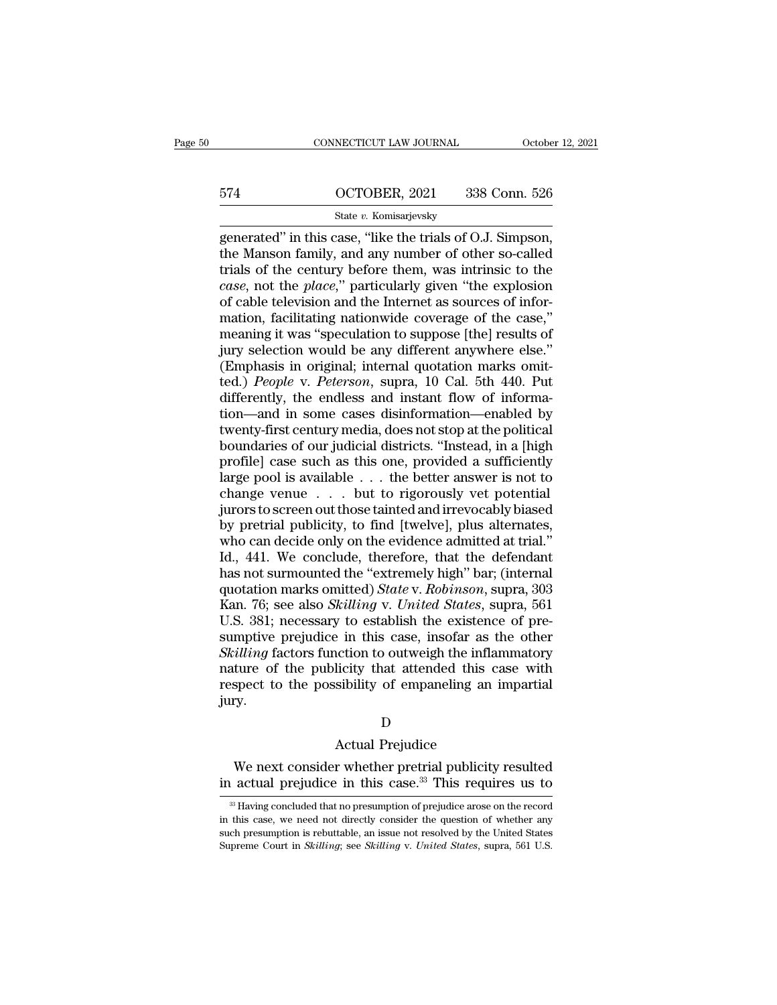# CONNECTICUT LAW JOURNAL October 12, 2021<br>574 OCTOBER, 2021 338 Conn. 526<br>State v. Komisarjevsky

### State *v.* Komisarjevsky

 $\begin{array}{l|l} \hline \text{COMRECTICUT LAW JOURNAL} & \text{October 12, 2} \\\\ \hline \text{574} & \text{OCTOBER, 2021} & \text{338 Conn. 526} \\\\ \hline \text{State } v. \text{ Komisarjevsky} \\\\ \hline \text{generated'' in this case, "like the trials of O.J. Simpson, the Manson family, and any number of other so-called trials of the century before them, was intrinsic to the data.} \end{array}$ 574 OCTOBER, 2021 338 Conn. 526<br>
State v. Komisarjevsky<br>
generated" in this case, "like the trials of O.J. Simpson,<br>
the Manson family, and any number of other so-called<br>
trials of the century before them, was intrinsic to 574 OCTOBER, 2021 338 Conn. 526<br>
State v. Komisarjevsky<br>
generated" in this case, "like the trials of O.J. Simpson,<br>
the Manson family, and any number of other so-called<br>
trials of the century before them, was intrinsic t **case** 574 **case** 674 **c** CCTOBER, 2021 338 Conn. 526<br> **c** state *v*. Komisarjevsky<br> **generated**" in this case, "like the trials of O.J. Simpson,<br>
the Manson family, and any number of other so-called<br>
trials of the century State v. Komisarjevsky<br>
generated" in this case, "like the trials of O.J. Simpson,<br>
the Manson family, and any number of other so-called<br>
trials of the century before them, was intrinsic to the<br>
case, not the place," part State v. Komisarjevsky<br>generated" in this case, "like the trials of O.J. Simpson,<br>the Manson family, and any number of other so-called<br>trials of the century before them, was intrinsic to the<br>*case*, not the *place*," part generated" in this case, "like the trials of O.J. Simpson,<br>the Manson family, and any number of other so-called<br>trials of the century before them, was intrinsic to the<br>*case*, not the *place*," particularly given "the expl the Manson family, and any number of other so-called<br>trials of the century before them, was intrinsic to the<br>*case*, not the *place*," particularly given "the explosion<br>of cable television and the Internet as sources of i trials of the century before them, was intrinsic to the *case*, not the *place*," particularly given "the explosion of cable television and the Internet as sources of information, facilitating nationwide coverage of the ca case, not the *place*," particularly given "the explosion<br>of cable television and the Internet as sources of infor-<br>mation, facilitating nationwide coverage of the case,"<br>meaning it was "speculation to suppose [the] result of cable television and the Internet as sources of information, facilitating nationwide coverage of the case,"<br>meaning it was "speculation to suppose [the] results of<br>jury selection would be any different anywhere else."<br>( mation, facilitating nationwide coverage of the case,"<br>meaning it was "speculation to suppose [the] results of<br>jury selection would be any different anywhere else."<br>(Emphasis in original; internal quotation marks omit-<br>ted meaning it was "speculation to suppose [the] results of<br>jury selection would be any different anywhere else."<br>(Emphasis in original; internal quotation marks omit-<br>ted.) *People* v. *Peterson*, supra, 10 Cal. 5th 440. Put<br> jury selection would be any different anywhere else."<br>
(Emphasis in original; internal quotation marks omit-<br>
ted.) *People* v. *Peterson*, supra, 10 Cal. 5th 440. Put<br>
differently, the endless and instant flow of informa-(Emphasis in original; internal quotation marks omit-<br>ted.) *People* v. *Peterson*, supra, 10 Cal. 5th 440. Put<br>differently, the endless and instant flow of informa-<br>tion—and in some cases disinformation—enabled by<br>twenty is a people v. Peterson, supra, 10 Cal. 5th 440. Put<br>differently, the endless and instant flow of informa-<br>tion—and in some cases disinformation—enabled by<br>twenty-first century media, does not stop at the political<br>bounda differently, the endless and instant flow of information—and in some cases disinformation—enabled by<br>twenty-first century media, does not stop at the political<br>boundaries of our judicial districts. "Instead, in a [high<br>pro tion—and in some cases disinformation—enabled by<br>twenty-first century media, does not stop at the political<br>boundaries of our judicial districts. "Instead, in a [high<br>profile] case such as this one, provided a sufficiently twenty-first century media, does not stop at the political<br>boundaries of our judicial districts. "Instead, in a [high<br>profile] case such as this one, provided a sufficiently<br>large pool is available . . . the better answer boundaries of our judicial districts. "Instead, in a [high<br>profile] case such as this one, provided a sufficiently<br>large pool is available  $\ldots$  the better answer is not to<br>change venue  $\ldots$  but to rigorously vet potenti profile] case such as this one, provided a sufficiently<br>large pool is available  $\ldots$  the better answer is not to<br>change venue  $\ldots$  but to rigorously vet potential<br>jurors to screen out those tainted and irrevocably biase has not is available  $\ldots$  the better answer is not to change venue  $\ldots$  but to rigorously vet potential jurors to screen out those tainted and irrevocably biased by pretrial publicity, to find [twelve], plus alternates, change venue . . . . but to rigorously vet potential<br>jurors to screen out those tainted and irrevocably biased<br>by pretrial publicity, to find [twelve], plus alternates,<br>who can decide only on the evidence admitted at trial jurors to screen out those tainted and irrevocably biased<br>by pretrial publicity, to find [twelve], plus alternates,<br>who can decide only on the evidence admitted at trial."<br>Id., 441. We conclude, therefore, that the defenda by pretrial publicity, to find [twelve], plus alternates,<br>who can decide only on the evidence admitted at trial."<br>Id., 441. We conclude, therefore, that the defendant<br>has not surmounted the "extremely high" bar; (internal<br> who can decide only on the evidence admitted at trial."<br>Id., 441. We conclude, therefore, that the defendant<br>has not surmounted the "extremely high" bar; (internal<br>quotation marks omitted) *State* v. *Robinson*, supra, 303 Id., 441. We conclude, therefore, that the defendant<br>has not surmounted the "extremely high" bar; (internal<br>quotation marks omitted) *State* v. *Robinson*, supra, 303<br>Kan. 76; see also *Skilling* v. *United States*, supra, has not surmounted the "extremely high" bar; (internal<br>quotation marks omitted) *State* v. *Robinson*, supra, 303<br>Kan. 76; see also *Skilling* v. *United States*, supra, 561<br>U.S. 381; necessary to establish the existence o quotation marks omitted) *State* v. *Robinson*, supra, 303 Kan. 76; see also *Skilling* v. *United States*, supra, 561 U.S. 381; necessary to establish the existence of presumptive prejudice in this case, insofar as the ot jury. Action to outweigh the inflament<br>Incity that attended this consider the inflament<br>Sibility of empaneling an increasibility of empaneling and<br> $D$ <br>Actual Prejudice<br>r whether pretrial publicity ture of the publicity that attended this case with<br>spect to the possibility of empaneling an impartial<br>y.<br>D<br>Actual Prejudice<br>We next consider whether pretrial publicity resulted<br>actual prejudice in this case.<sup>33</sup> This requ Freepect to the possibility of empaneling an impartial<br>jury.<br>D<br> $\hskip 1.5em$  Actual Prejudice<br>in this case.<sup>33</sup> This requires us to<br> $\hskip 1.5em$ <br> $\hskip 1.5em$ <br> $\hskip 1.5em$ <br> $\hskip 1.5em$ <br> $\hskip 1.5em$  Having concluded that no presumption o

### D<sub>D</sub>

 $\,$  Me next consider whether pretrial publicity resulted a actual prejudice in this case. $^{33}$  This requires us to  $^{33}$  Having concluded that no presumption of prejudice arose on the record this case, we need not dire

Actual Prejudice<br>in actual prejudice in this case.<sup>33</sup> This requires us to<br><sup>33</sup> Having concluded that no presumption of prejudice arose on the record<br>in this case, we need not directly consider the question of whether any<br> We next consider whether pretrial publicity resulted<br>in actual prejudice in this case.<sup>33</sup> This requires us to<br><sup>38</sup> Having concluded that no presumption of prejudice arose on the record<br>in this case, we need not directly In actual prejudice in this case.<sup>33</sup> This requires us to<br>
<sup>33</sup> Having concluded that no presumption of prejudice arose on the record<br>
in this case, we need not directly consider the question of whether any<br>
such presumpti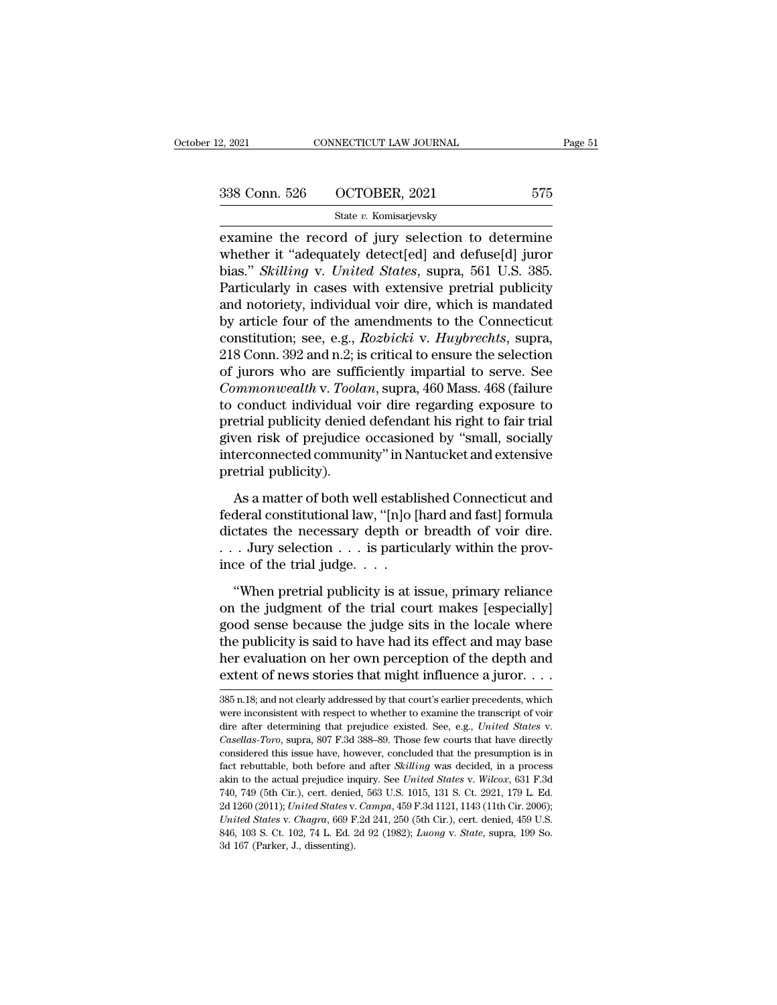| 2, 2021       | CONNECTICUT LAW JOURNAL | Page 51 |
|---------------|-------------------------|---------|
| 338 Conn. 526 | OCTOBER, 2021           | 575     |
|               | State v. Komisarjevsky  |         |

examine the record of jury selection to determine<br>
examine the record of jury selection to determine<br>
whether it "adequately detect[ed] and defuse[d] juror<br>
bise," Skilling v Linited States supre 561 U.S. 295 338 Conn. 526 OCTOBER, 2021 575<br>
State v. Komisarjevsky<br>
examine the record of jury selection to determine<br>
whether it "adequately detect[ed] and defuse[d] juror<br>
bias." *Skilling* v. *United States*, supra, 561 U.S. 385.<br> bias.'' *Skilling* v. *United States*, supra, 561 U.S. 385. 338 Conn. 526 OCTOBER, 2021 575<br>
State v. Komisarjevsky<br>
examine the record of jury selection to determine<br>
whether it "adequately detect[ed] and defuse[d] juror<br>
bias." *Skilling* v. *United States*, supra, 561 U.S. 385. state v. Komisarjevsky<br>
examine the record of jury selection to determine<br>
whether it "adequately detect[ed] and defuse[d] juror<br>
bias." Skilling v. United States, supra, 561 U.S. 385.<br>
Particularly in cases with extensiv state v. Romisarjevsky<br>examine the record of jury selection to determine<br>whether it "adequately detect[ed] and defuse[d] juror<br>bias." Skilling v. United States, supra, 561 U.S. 385.<br>Particularly in cases with extensive pr examine the record of jury selection to determine<br>whether it "adequately detect[ed] and defuse[d] juror<br>bias." *Skilling* v. *United States*, supra, 561 U.S. 385.<br>Particularly in cases with extensive pretrial publicity<br>and whether it "adequately detect[ed] and defuse[d] juror<br>bias." *Skilling v. United States*, supra, 561 U.S. 385.<br>Particularly in cases with extensive pretrial publicity<br>and notoriety, individual voir dire, which is mandated<br> bias." *Skilling* v. *United States*, supra, 561 U.S. 385.<br>Particularly in cases with extensive pretrial publicity<br>and notoriety, individual voir dire, which is mandated<br>by article four of the amendments to the Connecticut Particularly in cases with extensive pretrial publicity<br>and notoriety, individual voir dire, which is mandated<br>by article four of the amendments to the Connecticut<br>constitution; see, e.g., *Rozbicki* v. *Huybrechts*, supra and notoriety, individual voir dire, which is mandated<br>by article four of the amendments to the Connecticut<br>constitution; see, e.g., *Rozbicki* v. *Huybrechts*, supra,<br>218 Conn. 392 and n.2; is critical to ensure the selec by article four of the amendments to the Connecticut<br>constitution; see, e.g., *Rozbicki* v. *Huybrechts*, supra,<br>218 Conn. 392 and n.2; is critical to ensure the selection<br>of jurors who are sufficiently impartial to serve. constitution; see, e.g., *Rozbicki* v. *Huybrechts*, supra, 218 Conn. 392 and n.2; is critical to ensure the selection of jurors who are sufficiently impartial to serve. See *Commonwealth* v. *Toolan*, supra, 460 Mass. 468 218 Conn. 392 and n.2; is critical to ensure the selection<br>of jurors who are sufficiently impartial to serve. See<br>*Commonwealth* v. *Toolan*, supra, 460 Mass. 468 (failure<br>to conduct individual voir dire regarding exposure of jurors who are sufficed commonwealth v. Tool,<br>to conduct individual v<br>pretrial publicity denied<br>given risk of prejudice<br>interconnected commun<br>pretrial publicity).<br>As a matter of both w France Conduct individual voir dire regarding exposure to<br>etrial publicity denied defendant his right to fair trial<br>ven risk of prejudice occasioned by "small, socially<br>terconnected community" in Nantucket and extensive<br>et Fretrial publicity denied defendant his right to fair trial<br>given risk of prejudice occasioned by "small, socially<br>interconnected community" in Nantucket and extensive<br>pretrial publicity).<br>As a matter of both well establis

given risk of prejudice occasioned by "small, socially<br>interconnected community" in Nantucket and extensive<br>pretrial publicity).<br>As a matter of both well established Connecticut and<br>federal constitutional law, "[n]o [hard interconnected community" in Nantucket and extensive<br>pretrial publicity).<br>As a matter of both well established Connecticut and<br>federal constitutional law, "[n]o [hard and fast] formula<br>dictates the necessary depth or brea metrial publicity).<br>
As a matter of both well establifederal constitutional law, "[n]o []<br>
dictates the necessary depth or<br>
... Jury selection ... is particulince of the trial judge...<br>
"When pretrial publicity is at is As a matter of both well established Connecticut and<br>deral constitutional law, "[n]o [hard and fast] formula<br>ctates the necessary depth or breadth of voir dire.<br>. Jury selection . . . is particularly within the prov-<br>ce o federal constitutional law, "[n]o [hard and fast] formula<br>dictates the necessary depth or breadth of voir dire.<br> $\ldots$  Jury selection  $\ldots$  is particularly within the prov-<br>ince of the trial judge.  $\ldots$ <br>"When pretrial pub

dictates the necessary depth or breadth of voir dire.<br>  $\ldots$  Jury selection  $\ldots$  is particularly within the prov-<br>
ince of the trial judge  $\ldots$ .<br>
"When pretrial publicity is at issue, primary reliance<br>
on the judgment o ... Jury selection ... is particularly within the province of the trial judge....<br>
"When pretrial publicity is at issue, primary reliance<br>
on the judgment of the trial court makes [especially]<br>
good sense because the judg ince of the trial judge.  $\dots$ <br>
"When pretrial publicity is at issue, primary reliance<br>
on the judgment of the trial court makes [especially]<br>
good sense because the judge sits in the locale where<br>
the publicity is said to "When pretrial publicity is at issue, primary reliance<br>on the judgment of the trial court makes [especially]<br>good sense because the judge sits in the locale where<br>the publicity is said to have had its effect and may base<br> good sense because the judge sits in the locale where<br>the publicity is said to have had its effect and may base<br>her evaluation on her own perception of the depth and<br>extent of news stories that might influence a juror.... extent of news stories that might influence a juror.  $\dots$ 

her evaluation on her own perception of the depth and extent of news stories that might influence a juror. . . .<br>385 n.18, and not clearly addressed by that court's earlier precedents, which were inconsistent with respect EXTENT OF HEWS SCOTES THAT HIGHT HITDENCE A JULOT.  $\ldots$ <br>385 n.18; and not clearly addressed by that court's earlier precedents, which<br>were inconsistent with respect to whether to examine the transcript of voir<br>dire after 385 n.18; and not clearly addressed by that court's earlier precedents, which<br>were inconsistent with respect to whether to examine the transcript of voir<br>dire after determining that prejudice existed. See, e.g., *United St* were inconsistent with respect to whether to examine the transcript of voir<br>dire after determining that prejudice existed. See, e.g., *United States* v.<br>*Casellas-Toro*, supra, 807 F.3d 388–89. Those few courts that have d dire after determining that prejudice existed. See, e.g., *United States v.* Casellas-Toro, supra, 807 F.3d 388–89. Those few courts that have directly considered this issue have, however, concluded that the presumption is Casellas-Toro, supra, 807 F.3d 388–89. Those few courts that have directly considered this issue have, however, concluded that the presumption is in fact rebuttable, both before and after *Skilling* was decided, in a proce considered this issue have, however, concluded that the presumption is in fact rebuttable, both before and after *Skilling* was decided, in a process akin to the actual prejudice inquiry. See *United States* v. *Wilcox*, 6 fact rebuttable, both before and after *Skilling* was decided, in a process akin to the actual prejudice inquiry. See United States v. Wilcox, 631 F.3d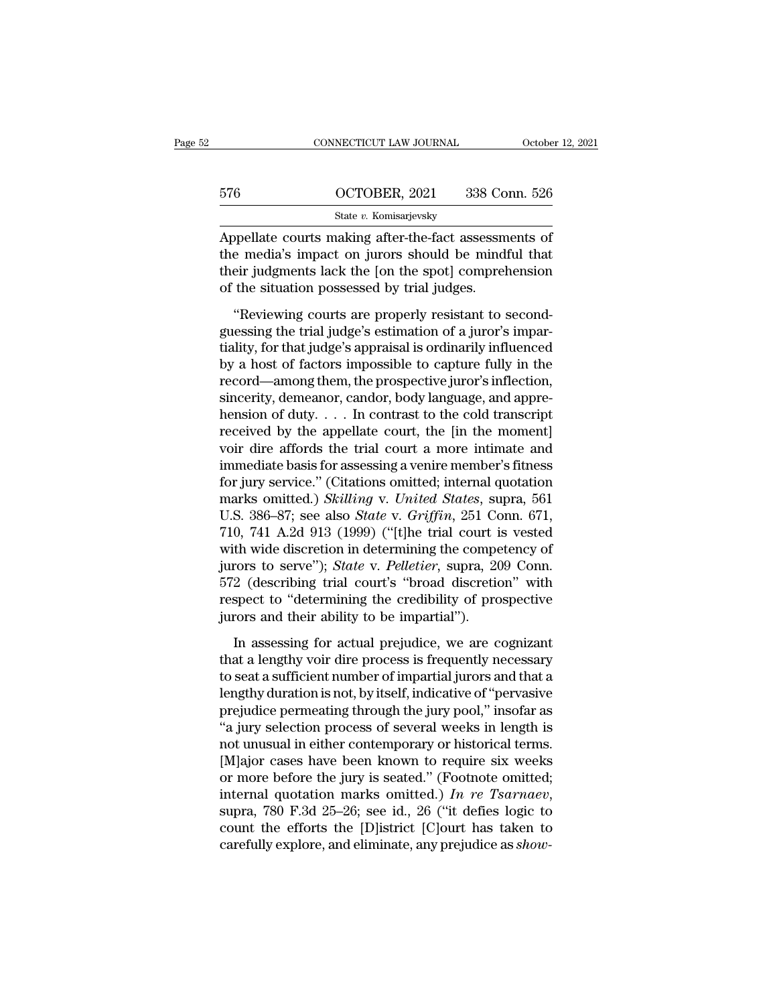|     | CONNECTICUT LAW JOURNAL                                                                                                                                              | October 12, 2021 |
|-----|----------------------------------------------------------------------------------------------------------------------------------------------------------------------|------------------|
| 576 | OCTOBER, 2021                                                                                                                                                        | 338 Conn. 526    |
|     | State v. Komisarjevsky                                                                                                                                               |                  |
|     | Appellate courts making after-the-fact assessments of<br>the media's impact on jurors should be mindful that<br>their judgments leak the Len the spetl comprehension |                  |

576 OCTOBER, 2021 338 Conn. 526<br>
State v. Komisarjevsky<br>
Appellate courts making after-the-fact assessments of<br>
the media's impact on jurors should be mindful that<br>
their judgments lack the [on the spot] comprehension<br>
of 576 OCTOBER, 2021 338 Conn. 526<br>
State v. Komisarjevsky<br>
Appellate courts making after-the-fact assessments of<br>
the media's impact on jurors should be mindful that<br>
their judgments lack the [on the spot] comprehension<br>
of of the situation possessed by trial judges. State v. Komisarjevsky<br>
State v. Komisarjevsky<br>
State courts making after-the-fact assessments of<br>
the media's impact on jurors should be mindful that<br>
their judgments lack the [on the spot] comprehension<br>
the situation p Appellate courts making after-the-fact assessments of<br>the media's impact on jurors should be mindful that<br>their judgments lack the [on the spot] comprehension<br>of the situation possessed by trial judges.<br>"Reviewing courts a

The media's impact on jurors should be mindful that<br>their judgments lack the [on the spot] comprehension<br>of the situation possessed by trial judges.<br>"Reviewing courts are properly resistant to second-<br>guessing the trial ju their judgments lack the [on the spot] comprehension<br>of the situation possessed by trial judges.<br>"Reviewing courts are properly resistant to second-<br>guessing the trial judge's estimation of a juror's impar-<br>tiality, for th record statements and the provide specificantly of the situation possessed by trial judges.<br>
"Reviewing courts are properly resistant to second-<br>
guessing the trial judge's estimation of a juror's impar-<br>
tiality, for that "Reviewing courts are properly resistant to second-<br>guessing the trial judge's estimation of a juror's impartiality, for that judge's appraisal is ordinarily influenced<br>by a host of factors impossible to capture fully in "Reviewing courts are properly resistant to second-<br>guessing the trial judge's estimation of a juror's impar-<br>tiality, for that judge's appraisal is ordinarily influenced<br>by a host of factors impossible to capture fully i guessing the trial judge's estimation of a juror's impartiality, for that judge's appraisal is ordinarily influenced<br>by a host of factors impossible to capture fully in the<br>record—among them, the prospective juror's inflec tiality, for that judge's appraisal is ordinarily influenced<br>by a host of factors impossible to capture fully in the<br>record—among them, the prospective juror's inflection,<br>sincerity, demeanor, candor, body language, and a by a host of factors impossible to capture fully in the<br>record—among them, the prospective juror's inflection,<br>sincerity, demeanor, candor, body language, and appre-<br>hension of duty.... In contrast to the cold transcript<br> record—among them, the prospective juror's inflection,<br>sincerity, demeanor, candor, body language, and appre-<br>hension of duty.... In contrast to the cold transcript<br>received by the appellate court, the [in the moment]<br>voi sincerity, demeanor, candor, body language, and apprehension of duty. . . . In contrast to the cold transcript<br>received by the appellate court, the [in the moment]<br>voir dire affords the trial court a more intimate and<br>imm hension of duty.... In contrast to the cold transcript<br>received by the appellate court, the [in the moment]<br>voir dire affords the trial court a more intimate and<br>immediate basis for assessing a venire member's fitness<br>for received by the appellate court, the [in the moment]<br>voir dire affords the trial court a more intimate and<br>immediate basis for assessing a venire member's fitness<br>for jury service." (Citations omitted; internal quotation<br>m voir dire affords the trial court a more intimate and<br>immediate basis for assessing a venire member's fitness<br>for jury service." (Citations omitted; internal quotation<br>marks omitted.) *Skilling v. United States*, supra, 56 immediate basis for assessing a venire member's fitness<br>for jury service." (Citations omitted; internal quotation<br>marks omitted.) *Skilling v. United States*, supra, 561<br>U.S. 386–87; see also *State v. Griffin*, 251 Conn. for jury service." (Citations omitted; internal quotation<br>marks omitted.) *Skilling v. United States*, supra, 561<br>U.S. 386–87; see also *State* v. *Griffin*, 251 Conn. 671,<br>710, 741 A.2d 913 (1999) ("[t]he trial court is v marks omitted.) *Skilling* v. *United States*, supra, 561<br>U.S. 386–87; see also *State* v. *Griffin*, 251 Conn. 671,<br>710, 741 A.2d 913 (1999) ("[t]he trial court is vested<br>with wide discretion in determining the competency U.S. 386–87; see also *State* v. *Griffin*, 251 Co.<br>710, 741 A.2d 913 (1999) ("[t]he trial court is<br>with wide discretion in determining the compe<br>jurors to serve"); *State* v. *Pelletier*, supra, 20<br>572 (describing trial c In wide discretion in determining the competency of<br>rors to serve"); *State* v. *Pelletier*, supra, 209 Conn.<br>2 (describing trial court's "broad discretion" with<br>spect to "determining the credibility of prospective<br>rors an jurors to serve"); *State* v. *Pelletier*, supra, 209 Conn.<br>572 (describing trial court's "broad discretion" with<br>respect to "determining the credibility of prospective<br>jurors and their ability to be impartial").<br>In assess

572 (describing trial court's "broad discretion" with<br>respect to "determining the credibility of prospective<br>jurors and their ability to be impartial").<br>In assessing for actual prejudice, we are cognizant<br>that a lengthy vo respect to "determining the credibility of prospective<br>jurors and their ability to be impartial").<br>In assessing for actual prejudice, we are cognizant<br>that a lengthy voir dire process is frequently necessary<br>to seat a suff preferred and their ability to be impartial").<br>
In assessing for actual prejudice, we are cognizant<br>
that a lengthy voir dire process is frequently necessary<br>
to seat a sufficient number of impartial jurors and that a<br>
len In assessing for actual prejudice, we are cognizant<br>that a lengthy voir dire process is frequently necessary<br>to seat a sufficient number of impartial jurors and that a<br>lengthy duration is not, by itself, indicative of "per In assessing for actual prejudice, we are cognizant<br>that a lengthy voir dire process is frequently necessary<br>to seat a sufficient number of impartial jurors and that a<br>lengthy duration is not, by itself, indicative of "per that a lengthy voir dire process is frequently necessary<br>to seat a sufficient number of impartial jurors and that a<br>lengthy duration is not, by itself, indicative of "pervasive<br>prejudice permeating through the jury pool," to seat a sufficient number of impartial jurors and that a<br>lengthy duration is not, by itself, indicative of "pervasive<br>prejudice permeating through the jury pool," insofar as<br>"a jury selection process of several weeks in lengthy duration is not, by itself, indicative of "pervasive<br>prejudice permeating through the jury pool," insofar as<br>"a jury selection process of several weeks in length is<br>not unusual in either contemporary or historical "a jury selection process of several weeks in length is<br>not unusual in either contemporary or historical terms.<br>[M]ajor cases have been known to require six weeks<br>or more before the jury is seated." (Footnote omitted;<br>int not unusual in either contemporary or historical terms.<br>[M]ajor cases have been known to require six weeks<br>or more before the jury is seated." (Footnote omitted;<br>internal quotation marks omitted.) In re Tsarnaev,<br>supra, 78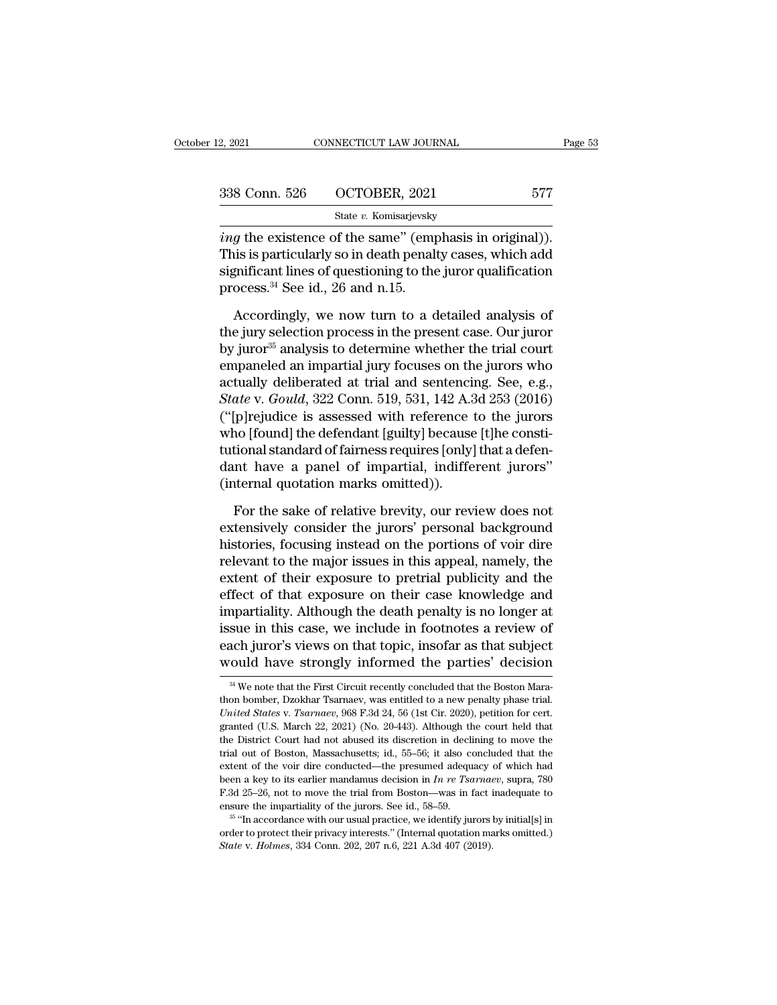| 338 Conn. 526 |                         |         |
|---------------|-------------------------|---------|
|               | OCTOBER, 2021           | 577     |
| 2, 2021       | CONNECTICUT LAW JOURNAL | Page 53 |

<sup>2</sup>, 2021 CONNECTICUT LAW JOURNAL Page<br>
338 Conn. 526 OCTOBER, 2021 577<br>
<sup>577</sup> State v. Komisarjevsky<br> *ing* the existence of the same'' (emphasis in original)).<br>
This is particularly so in death penalty cases, which add 338 Conn. 526 OCTOBER, 2021 577<br>
State v. Komisarjevsky<br> *ing* the existence of the same" (emphasis in original)).<br>
This is particularly so in death penalty cases, which add<br>
significant lines of questioning to the juror 338 Conn. 526 OCTOBER, 2021 577<br>
State v. Komisarjevsky<br> *ing* the existence of the same" (emphasis in original)).<br>
This is particularly so in death penalty cases, which add<br>
significant lines of questioning to the juror 338 Conn. 526 OCTOBER, 2021<br>
State *v*. Komisarjevsky<br> *ing* the existence of the same" (emp<br>
This is particularly so in death penal<br>
significant lines of questioning to the<br>
process.<sup>34</sup> See id., 26 and n.15.<br>
Accordingl State v. Komisarjevsky<br> *g* the existence of the same" (emphasis in original)).<br>
is is particularly so in death penalty cases, which add<br>
gnificant lines of questioning to the juror qualification<br>
ocess.<sup>34</sup> See id., 26 a *ing* the existence of the same" (emphasis in original)).<br>This is particularly so in death penalty cases, which add<br>significant lines of questioning to the juror qualification<br>process.<sup>34</sup> See id., 26 and n.15.<br>Accordingl

This is particularly so in death penalty cases, which add<br>significant lines of questioning to the juror qualification<br>process.<sup>34</sup> See id., 26 and n.15.<br>Accordingly, we now turn to a detailed analysis of<br>the jury selectio significant lines of questioning to the juror qualification<br>process.<sup>34</sup> See id., 26 and n.15.<br>Accordingly, we now turn to a detailed analysis of<br>the jury selection process in the present case. Our juror<br>by juror<sup>35</sup> anal process.<sup>34</sup> See id., 26 and n.15.<br>
Accordingly, we now turn to a detailed analysis of<br>
the jury selection process in the present case. Our juror<br>
by juror<sup>35</sup> analysis to determine whether the trial court<br>
empaneled an i *Accordingly, we now turn to a detailed analysis of the jury selection process in the present case. Our juror by juror<sup>35</sup> analysis to determine whether the trial court empaneled an impartial jury focuses on the jurors who* Accordingly, we now turn to a detailed analysis of<br>the jury selection process in the present case. Our juror<br>by juror<sup>35</sup> analysis to determine whether the trial court<br>empaneled an impartial jury focuses on the jurors who the jury selection process in the present case. Our juror<br>by juror<sup>35</sup> analysis to determine whether the trial court<br>empaneled an impartial jury focuses on the jurors who<br>actually deliberated at trial and sentencing. See, by juror<sup>36</sup> analysis to determine whether the trial court<br>empaneled an impartial jury focuses on the jurors who<br>actually deliberated at trial and sentencing. See, e.g.,<br>*State* v. *Gould*, 322 Conn. 519, 531, 142 A.3d 253 empaneled an impartial jury focuses on the jurors who<br>actually deliberated at trial and sentencing. See, e.g.,<br>State v. Gould, 322 Conn. 519, 531, 142 A.3d 253 (2016)<br>("[p]rejudice is assessed with reference to the jurors<br> actually deliberated at trial and sentenci<br> *State* v. *Gould*, 322 Conn. 519, 531, 142 A.<sup>2</sup><br>
("[p]rejudice is assessed with reference<br>
who [found] the defendant [guilty] because<br>
tutional standard of fairness requires [o [p]rejudice is assessed with reference to the jurors<br>no [found] the defendant [guilty] because [t]he consti-<br>tional standard of fairness requires [only] that a defen-<br>nt have a panel of impartial, indifferent jurors"<br>terna who [found] the defendant [guilty] because [t]he constitutional standard of fairness requires [only] that a defendant have a panel of impartial, indifferent jurors" (internal quotation marks omitted)).<br>For the sake of rela

tutional standard of fairness requires [only] that a defendant have a panel of impartial, indifferent jurors"<br>(internal quotation marks omitted)).<br>For the sake of relative brevity, our review does not<br>extensively consider dant have a panel of impartial, indifferent jurors"<br>(internal quotation marks omitted)).<br>For the sake of relative brevity, our review does not<br>extensively consider the jurors' personal background<br>histories, focusing instea (internal quotation marks omitted)).<br>
For the sake of relative brevity, our review does not<br>
extensively consider the jurors' personal background<br>
histories, focusing instead on the portions of voir dire<br>
relevant to the m For the sake of relative brevity, our review does not<br>extensively consider the jurors' personal background<br>histories, focusing instead on the portions of voir dire<br>relevant to the major issues in this appeal, namely, the<br>e For the sake of relative brevity, our review does not<br>extensively consider the jurors' personal background<br>histories, focusing instead on the portions of voir dire<br>relevant to the major issues in this appeal, namely, the<br>e extensively consider the jurors' personal background<br>histories, focusing instead on the portions of voir dire<br>relevant to the major issues in this appeal, namely, the<br>extent of their exposure to pretrial publicity and the<br> histories, focusing instead on the portions of voir dire<br>relevant to the major issues in this appeal, namely, the<br>extent of their exposure to pretrial publicity and the<br>effect of that exposure on their case knowledge and<br>i relevant to the major issues in this appeal, namely, the extent of their exposure to pretrial publicity and the effect of that exposure on their case knowledge and impartiality. Although the death penalty is no longer at i impartiality. Although the death penalty is no longer at issue in this case, we include in footnotes a review of each juror's views on that topic, insofar as that subject would have strongly informed the parties' decision issue in this case, we include in footnotes a review of each juror's views on that topic, insofar as that subject would have strongly informed the parties' decision  $\frac{34}{4}$  We note that the First Circuit recently concl

each juror's views on that topic, insofar as that subject<br>would have strongly informed the parties' decision<br><sup>34</sup> We note that the First Circuit recently concluded that the Boston Mara-<br>thon bomber, Dzokhar Tsarnaev, was e would have strongly informed the parties' decision<br>
<sup>34</sup> We note that the First Circuit recently concluded that the Boston Mara-<br>
thon bomber, Dzokhar Tsarnaev, was entitled to a new penalty phase trial.<br> *United States v* WOULD Have Strongly Informed the parties decision<br><sup>34</sup> We note that the First Circuit recently concluded that the Boston Mara-<br>thon bomber, Dzokhar Tsarnaev, was entitled to a new penalty phase trial.<br>*United States v. Ts* <sup>34</sup> We note that the First Circuit recently concluded that the Boston Mara-<br>thon bomber, Dzokhar Tsarnaev, was entitled to a new penalty phase trial.<br>*United States v. Tsarnaev*, 968 F.3d 24, 56 (1st Cir. 2020), petition thon bomber, Dzokhar Tsarnaev, was entitled to a new penalty phase trial.<br>
United States v. Tsarnaev, 968 F.3d 24, 56 (1st Cir. 2020), petition for cert.<br>
granted (U.S. March 22, 2021) (No. 20-443). Although the court hel United States v. Tsarnaev, 968 F.3d 24, 56 (1st Cir. 2020), petition for cert.<br>granted (U.S. March 22, 2021) (No. 20-443). Although the court held that<br>the District Court had not abused its discretion in declining to move granted (U.S. March 22, 2021) (No. 20-443). Although the court held that the District Court had not abused its discretion in declining to move the trial out of Boston, Massachusetts; id., 55–56; it also concluded that the the District Court had not abused its discretion in declining to move the trial out of Boston, Massachusetts; id., 55–56; it also concluded that the extent of the voir dire conducted—the presumed adequacy of which had bee trial out of Boston, Massachusetts; id., 55–56; it also concluded that the extent of the voir dire conducted—the presumed adequacy of which had been a key to its earlier mandamus decision in *In re Tsarnaev*, supra, 780 F been a key to its earlier mandamus decision in *In re Tsarnaev*, supra, 780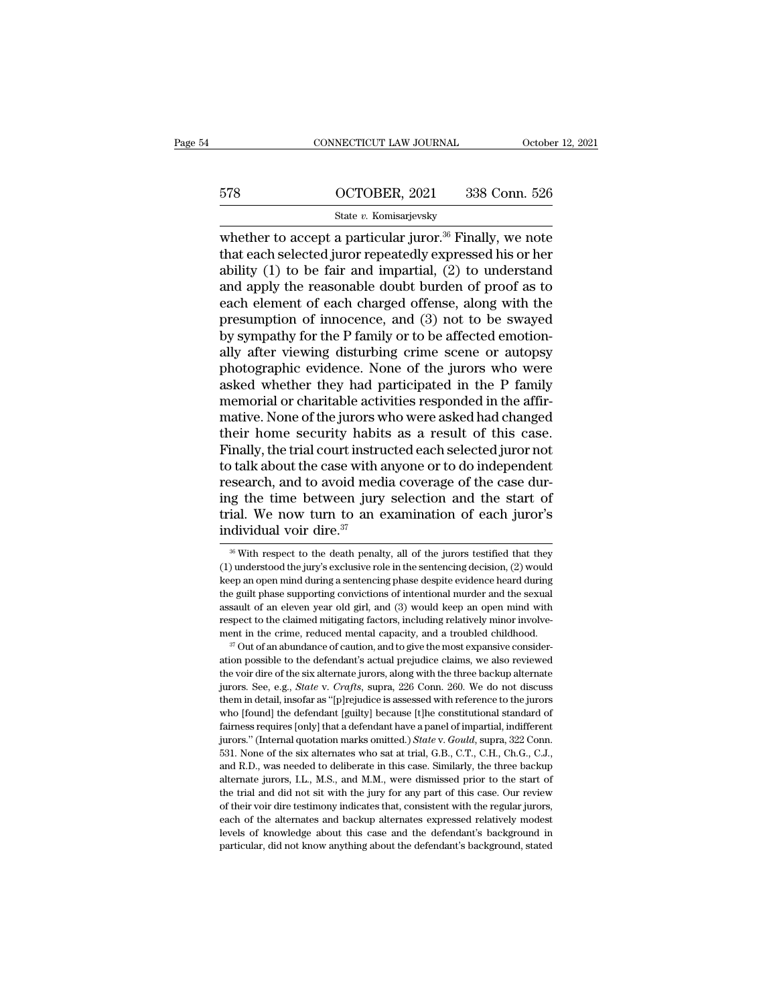# CONNECTICUT LAW JOURNAL October 12, 2021<br>578 OCTOBER, 2021 338 Conn. 526<br>5tate v. Komisarjevsky

### State *v.* Komisarjevsky

CONNECTICUT LAW JOURNAL October 12, 2021<br>
ST8 OCTOBER, 2021 338 Conn. 526<br>
State v. Komisarjevsky<br>
whether to accept a particular juror.<sup>36</sup> Finally, we note<br>
that each selected juror repeatedly expressed his or her<br>
abil 578 OCTOBER, 2021 338 Conn. 526<br>
State v. Komisarjevsky<br>
whether to accept a particular juror.<sup>36</sup> Finally, we note<br>
that each selected juror repeatedly expressed his or her<br>
ability (1) to be fair and impartial, (2) to u 578 OCTOBER, 2021 338 Conn. 526<br>
State v. Komisarjevsky<br>
whether to accept a particular juror.<sup>36</sup> Finally, we note<br>
that each selected juror repeatedly expressed his or her<br>
ability (1) to be fair and impartial, (2) to u 578 OCTOBER, 2021 338 Conn. 526<br>
State v. Komisarjevsky<br>
whether to accept a particular juror.<sup>36</sup> Finally, we note<br>
that each selected juror repeatedly expressed his or her<br>
ability (1) to be fair and impartial, (2) to u State v. Komisarjevsky<br>State v. Komisarjevsky<br>whether to accept a particular juror.<sup>36</sup> Finally, we note<br>that each selected juror repeatedly expressed his or her<br>ability (1) to be fair and impartial, (2) to understand<br>and State v. Komisarjevsky<br>whether to accept a particular juror.<sup>36</sup> Finally, we note<br>that each selected juror repeatedly expressed his or her<br>ability (1) to be fair and impartial, (2) to understand<br>and apply the reasonable d whether to accept a particular juror.<sup>36</sup> Finally, we note that each selected juror repeatedly expressed his or her ability (1) to be fair and impartial, (2) to understand and apply the reasonable doubt burden of proof as that each selected juror repeatedly expressed his or her<br>ability (1) to be fair and impartial, (2) to understand<br>and apply the reasonable doubt burden of proof as to<br>each element of each charged offense, along with the<br>pre ability (1) to be fair and impartial, (2) to understand<br>and apply the reasonable doubt burden of proof as to<br>each element of each charged offense, along with the<br>presumption of innocence, and (3) not to be swayed<br>by sympat and apply the reasonable doubt burden of proof as to<br>each element of each charged offense, along with the<br>presumption of innocence, and (3) not to be swayed<br>by sympathy for the P family or to be affected emotion-<br>ally afte each element of each charged offense, along with the<br>presumption of innocence, and (3) not to be swayed<br>by sympathy for the P family or to be affected emotion-<br>ally after viewing disturbing crime scene or autopsy<br>photograp presumption of innocence, and (3) not to be swayed<br>by sympathy for the P family or to be affected emotion-<br>ally after viewing disturbing crime scene or autopsy<br>photographic evidence. None of the jurors who were<br>asked wheth by sympathy for the P family or to be affected emotionally after viewing disturbing crime scene or autopsy<br>photographic evidence. None of the jurors who were<br>asked whether they had participated in the P family<br>memorial or ally after viewing disturbing crime scene or autopsy<br>photographic evidence. None of the jurors who were<br>asked whether they had participated in the P family<br>memorial or charitable activities responded in the affir-<br>mative. photographic evidence. None of the jurors who were<br>asked whether they had participated in the P family<br>memorial or charitable activities responded in the affir-<br>mative. None of the jurors who were asked had changed<br>their h asked whether they had participated in the P family<br>memorial or charitable activities responded in the affir-<br>mative. None of the jurors who were asked had changed<br>their home security habits as a result of this case.<br>Final memorial or charitable activities responded in the affirmative. None of the jurors who were asked had changed<br>their home security habits as a result of this case.<br>Finally, the trial court instructed each selected juror not mative. None of the jurors who were asked had changed<br>their home security habits as a result of this case.<br>Finally, the trial court instructed each selected juror not<br>to talk about the case with anyone or to do independent their home security habit.<br>Finally, the trial court instruto talk about the case with a<br>research, and to avoid meding the time between jury<br>trial. We now turn to an e<br>individual voir dire.<sup>37</sup> seearch, and to avoid media coverage of the case dur-<br>ig the time between jury selection and the start of<br>ial. We now turn to an examination of each juror's<br>dividual voir dire.<sup>37</sup><br><sup>36</sup> With respect to the death penalty, ing the time between jury selection and the start of<br>trial. We now turn to an examination of each juror's<br>individual voir dire.<sup>37</sup><br><sup>36</sup> With respect to the death penalty, all of the jurors testified that they<br>(1) underst

trial. We now turn to an examination of each juror's<br>individual voir dire.<sup>37</sup><br><sup>36</sup> With respect to the death penalty, all of the jurors testified that they<br>(1) understood the jury's exclusive role in the sentencing decis individual voir dire.<sup>37</sup><br>
<sup>36</sup> With respect to the death penalty, all of the jurors testified that they<br>
(1) understood the jury's exclusive role in the sentencing decision, (2) would<br>
keep an open mind during a sentenci  $\frac{1}{\sqrt{2}}$  with respect to the death penalty, all of the jurors testified that they (1) understood the jury's exclusive role in the sentencing decision, (2) would keep an open mind during a sentencing phase despite evid <sup>36</sup> With respect to the death penalty, all of the jurors testified that they (1) understood the jury's exclusive role in the sentencing decision, (2) would keep an open mind during a sentencing phase despite evidence hea (1) understood the jury's exclusive role in the sentencing decision, (2) would keep an open mind during a sentencing phase despite evidence heard during the guilt phase supporting convictions of intentional murder and the mediantly that is employed and the defendant of intentional murder and the sexual assault of an eleven year old girl, and (3) would keep an open mind with respect to the claimed mitigating factors, including relatively min

assault of an eleven year old girl, and (3) would keep an open mind with respect to the claimed mitigating factors, including relatively minor involvement in the crime, reduced mental capacity, and a troubled childhood. respect to the claimed mitigating factors, including relatively minor involvement in the crime, reduced mental capacity, and a troubled childhood.<br><sup>37</sup> Out of an abundance of caution, and to give the most expansive conside the mean in the crime, reduced mental capacity, and a troubled childhood.<br><sup>37</sup> Out of an abundance of caution, and to give the most expansive consideration possible to the defendant's actual prejudice claims, we also revi <sup>17</sup> Out of an abundance of caution, and to give the most expansive consideration possible to the defendant's actual prejudice claims, we also reviewed the voir dire of the six alternate jurors, along with the three backu ation possible to the defendant's actual prejudice claims, we also reviewed the voir dire of the six alternate jurors, along with the three backup alternate jurors. See, e.g., *State v. Crafts*, supra, 226 Conn. 260. We d the voir dire of the six alternate jurors, along with the three backup alternate jurors. See, e.g., *State* v. *Crafts*, supra, 226 Conn. 260. We do not discuss them in detail, insofar as "[p]rejudice is assessed with refe jurors. See, e.g., *State* v. *Crafts*, supra, 226 Conn. 260. We do not discuss them in detail, insofar as "[p]rejudice is assessed with reference to the jurors who [found] the defendant [guilty] because [t]he constitution them in detail, insofar as "[p]rejudice is assessed with reference to the jurors who [found] the defendant [guilty] because [t]he constitutional standard of fairness requires [only] that a defendant have a panel of imparti who [found] the defendant [guilty] because [t]he constitutional standard of fairness requires [only] that a defendant have a panel of impartial, indifferent jurors." (Internal quotation marks omitted.) *State v. Gould*, su The trial and did not sit with the jury for any part of this case. Our review of the six alternates who sat at trial, G.B., C.T., C.H., Ch.G., C.J., C.H., Ch.G., C.J., and R.D., was needed to deliberate in this case. Simi fairness requires [only] that a defendant have a panel of impartial, indifferent jurors." (Internal quotation marks omitted.) *State* v. *Gould*, supra, 322 Conn. 531. None of the six alternates who sat at trial, G.B., C. 531. None of the six alternates who sat at trial, G.B., C.T., C.H., Ch.G., C.J., and R.D., was needed to deliberate in this case. Similarly, the three backup alternate jurors, I.L., M.S., and M.M., were dismissed prior to and R.D., was needed to deliberate in this case. Similarly, the three backup alternate jurors, I.L., M.S., and M.M., were dismissed prior to the start of the trial and did not sit with the jury for any part of this case. O alternate jurors, I.L., M.S., and M.M., were dismissed prior to the start of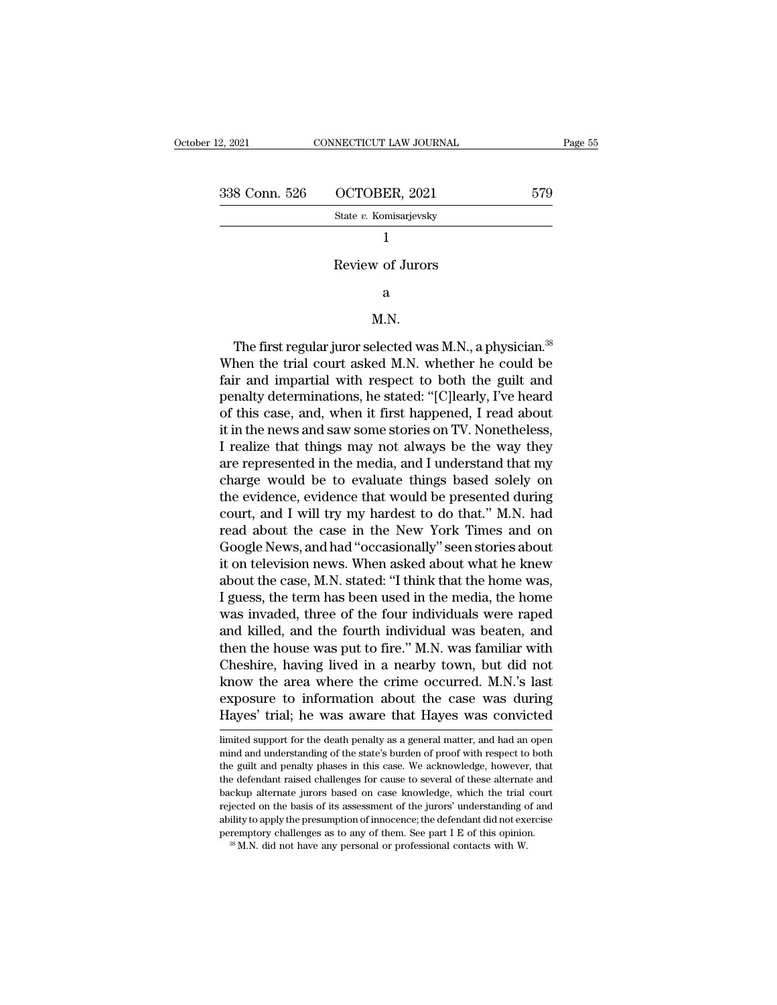| 12, 2021      | CONNECTICUT LAW JOURNAL | Page 55 |  |
|---------------|-------------------------|---------|--|
| 338 Conn. 526 | OCTOBER, 2021           | 579     |  |
|               | State v. Komisarjevsky  |         |  |
|               |                         |         |  |
|               | Review of Jurors        |         |  |
|               | a                       |         |  |

### a

### M.N.

Review of Jurors<br>
a<br>
M.N.<br>
The first regular juror selected was M.N., a physician.<sup>38</sup><br>
hen the trial court asked M.N. whether he could be<br>
in and impartial with respect to both the guilt and Review of Jurors<br>
a<br>
M.N.<br>
The first regular juror selected was M.N., a physician.<sup>38</sup><br>
When the trial court asked M.N. whether he could be<br>
fair and impartial with respect to both the guilt and<br>
popely determinations he s a<br>
M.N.<br>
The first regular juror selected was M.N., a physician.<sup>38</sup><br>
When the trial court asked M.N. whether he could be<br>
fair and impartial with respect to both the guilt and<br>
penalty determinations, he stated: "[C]learl metally determinations, he stated: ''[C]learly, N. S. Allen the trial court asked M.N. whether he could be<br>fair and impartial with respect to both the guilt and<br>penalty determinations, he stated: ''[C]learly, I've heard<br>of M.N.<br>The first regular juror selected was M.N., a physician.<sup>38</sup><br>When the trial court asked M.N. whether he could be<br>fair and impartial with respect to both the guilt and<br>penalty determinations, he stated: "[C]learly, I've The first regular juror selected was M.N., a physician.<sup>38</sup><br>When the trial court asked M.N. whether he could be<br>fair and impartial with respect to both the guilt and<br>penalty determinations, he stated: "[C]learly, I've hear The first regular juror selected was M.N., a physician.<sup>38</sup><br>When the trial court asked M.N. whether he could be<br>fair and impartial with respect to both the guilt and<br>penalty determinations, he stated: "[C]learly, I've hear When the trial court asked M.N. whether he could be<br>fair and impartial with respect to both the guilt and<br>penalty determinations, he stated: "[C]learly, I've heard<br>of this case, and, when it first happened, I read about<br>it fair and impartial with respect to both the guilt and<br>penalty determinations, he stated: "[C]learly, I've heard<br>of this case, and, when it first happened, I read about<br>it in the news and saw some stories on TV. Nonetheless penalty determinations, he stated: "[C]learly, I've heard<br>of this case, and, when it first happened, I read about<br>it in the news and saw some stories on TV. Nonetheless,<br>I realize that things may not always be the way they of this case, and, when it first happened, I read about<br>it in the news and saw some stories on TV. Nonetheless,<br>I realize that things may not always be the way they<br>are represented in the media, and I understand that my<br>ch it in the news and saw some stories on TV. Nonetheless,<br>I realize that things may not always be the way they<br>are represented in the media, and I understand that my<br>charge would be to evaluate things based solely on<br>the evi I realize that things may not always be the way they<br>are represented in the media, and I understand that my<br>charge would be to evaluate things based solely on<br>the evidence, evidence that would be presented during<br>court, an are represented in the media, and I understand that my<br>charge would be to evaluate things based solely on<br>the evidence, evidence that would be presented during<br>court, and I will try my hardest to do that." M.N. had<br>read ab charge would be to evaluate things based solely on<br>the evidence, evidence that would be presented during<br>court, and I will try my hardest to do that." M.N. had<br>read about the case in the New York Times and on<br>Google News, the evidence, evidence that would be presented during<br>court, and I will try my hardest to do that." M.N. had<br>read about the case in the New York Times and on<br>Google News, and had "occasionally" seen stories about<br>it on tel court, and I will try my hardest to do that." M.N. had<br>read about the case in the New York Times and on<br>Google News, and had "occasionally" seen stories about<br>it on television news. When asked about what he knew<br>about the read about the case in the New York Times and on<br>Google News, and had "occasionally" seen stories about<br>it on television news. When asked about what he knew<br>about the case, M.N. stated: "I think that the home was,<br>I guess, Google News, and had "occasionally" seen stories about<br>it on television news. When asked about what he knew<br>about the case, M.N. stated: "I think that the home was,<br>I guess, the term has been used in the media, the home<br>wa it on television news. When asked about what he knew<br>about the case, M.N. stated: "I think that the home was,<br>I guess, the term has been used in the media, the home<br>was invaded, three of the four individuals were raped<br>and about the case, M.N. stated: "I think that the home was,<br>I guess, the term has been used in the media, the home<br>was invaded, three of the four individuals were raped<br>and killed, and the fourth individual was beaten, and<br>th I guess, the term has been used in the media, the home<br>was invaded, three of the four individuals were raped<br>and killed, and the fourth individual was beaten, and<br>then the house was put to fire." M.N. was familiar with<br>Che was invaded, three of the four individuals were raped<br>and killed, and the fourth individual was beaten, and<br>then the house was put to fire." M.N. was familiar with<br>Cheshire, having lived in a nearby town, but did not<br>know Chesnire, naving lived in a nearby town, but did not<br>know the area where the crime occurred. M.N.'s last<br>exposure to information about the case was during<br>Hayes' trial; he was aware that Hayes was convicted<br>limited support know the area where the crime occurred. M.N.'s last<br>exposure to information about the case was during<br>Hayes' trial; he was aware that Hayes was convicted<br>limited support for the death penalty as a general matter, and had a

exposure to information about the case was during<br>Hayes' trial; he was aware that Hayes was convicted<br>limited support for the death penalty as a general matter, and had an open<br>mind and understanding of the state's burden Hayes' trial; he was aware that Hayes was convicted<br>limited support for the death penalty as a general matter, and had an open<br>mind and understanding of the state's burden of proof with respect to both<br>the guilt and penalt Hayes' trial; he was aware that Hayes was convicted<br>
limited support for the death penalty as a general matter, and had an open<br>
mind and understanding of the state's burden of proof with respect to both<br>
the guilt and pen Imited support for the death penalty as a general matter, and had an open<br>mind and understanding of the state's burden of proof with respect to both<br>the guilt and penalty phases in this case. We acknowledge, however, that<br> mind and understanding of the state's burden of proof with respect to both the guilt and penalty phases in this case. We acknowledge, however, that the defendant raised challenges for cause to several of these alternate a here guilt and penalty phases in this case. We acknowledge, however, that the defendant raised challenges for cause to several of these alternate and backup alternate jurors based on case knowledge, which the trial court r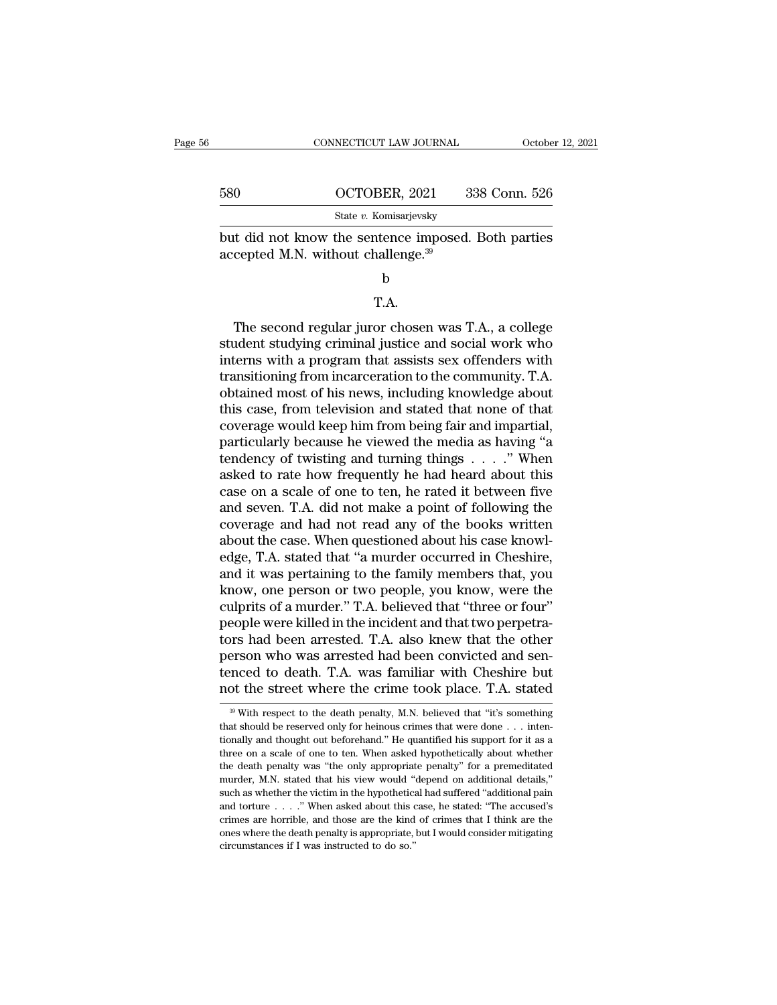|     | CONNECTICUT LAW JOURNAL                                                                      | October 12, 2021 |
|-----|----------------------------------------------------------------------------------------------|------------------|
| 580 | OCTOBER, 2021                                                                                | 338 Conn. 526    |
|     | State v. Komisarjevsky                                                                       |                  |
|     | but did not know the sentence imposed. Both parties<br>accepted M.N. without challenge. $39$ |                  |
|     | h                                                                                            |                  |

### T.A.

The second regular juror chosen was T.A., a college<br>
the second regular juror chosen was T.A., a college<br>
dent studying criminal justice and social work who<br>
torns with a program that assists sox offenders with but did not know the sentence imposed. Both parties<br>accepted M.N. without challenge.<sup>39</sup><br>b<br> $T.A.$ <br>The second regular juror chosen was T.A., a college<br>student studying criminal justice and social work who<br>interns with a pro internal matrix. Without changing.<br>
b<br>
T.A.<br>
The second regular juror chosen was T.A., a college<br>
student studying criminal justice and social work who<br>
interns with a program that assists sex offenders with<br>
transitioning b<br>T.A.<br>The second regular juror chosen was T.A., a college<br>student studying criminal justice and social work who<br>interns with a program that assists sex offenders with<br>transitioning from incarceration to the community. T.A T.A.<br>The second regular juror chosen was T.A., a college<br>student studying criminal justice and social work who<br>interns with a program that assists sex offenders with<br>transitioning from incarceration to the community. T.A.<br> T.A.<br>The second regular juror chosen was T.A., a college<br>student studying criminal justice and social work who<br>interns with a program that assists sex offenders with<br>transitioning from incarceration to the community. T.A.<br> The second regular juror chosen was T.A., a college<br>student studying criminal justice and social work who<br>interns with a program that assists sex offenders with<br>transitioning from incarceration to the community. T.A.<br>obtai student studying criminal justice and social work who<br>interns with a program that assists sex offenders with<br>transitioning from incarceration to the community. T.A.<br>obtained most of his news, including knowledge about<br>this interns with a program that assists sex offenders with<br>transitioning from incarceration to the community. T.A.<br>obtained most of his news, including knowledge about<br>this case, from television and stated that none of that<br>co transitioning from incarceration to the community. T.A.<br>obtained most of his news, including knowledge about<br>this case, from television and stated that none of that<br>coverage would keep him from being fair and impartial,<br>p obtained most of his news, including knowledge about<br>this case, from television and stated that none of that<br>coverage would keep him from being fair and impartial,<br>particularly because he viewed the media as having "a<br>tend this case, from television and stated that none of that<br>coverage would keep him from being fair and impartial,<br>particularly because he viewed the media as having "a<br>tendency of twisting and turning things  $\ldots$ ." When<br>ask coverage would keep him from being fair and impartial,<br>particularly because he viewed the media as having "a<br>tendency of twisting and turning things  $\ldots$ ." When<br>asked to rate how frequently he had heard about this<br>case o particularly because he viewed the media as having "a<br>tendency of twisting and turning things  $\ldots$ ." When<br>asked to rate how frequently he had heard about this<br>case on a scale of one to ten, he rated it between five<br>and s tendency of twisting and turning things  $\ldots$ ." When<br>asked to rate how frequently he had heard about this<br>case on a scale of one to ten, he rated it between five<br>and seven. T.A. did not make a point of following the<br>cover asked to rate how frequently he had heard about this<br>case on a scale of one to ten, he rated it between five<br>and seven. T.A. did not make a point of following the<br>coverage and had not read any of the books written<br>about th case on a scale of one to ten, he rated it between five<br>and seven. T.A. did not make a point of following the<br>coverage and had not read any of the books written<br>about the case. When questioned about his case knowl-<br>edge, T and seven. T.A. did not make a point of following the coverage and had not read any of the books written about the case. When questioned about his case knowledge, T.A. stated that "a murder occurred in Cheshire, and it wa coverage and had not read any of the books written<br>about the case. When questioned about his case knowl-<br>edge, T.A. stated that "a murder occurred in Cheshire,<br>and it was pertaining to the family members that, you<br>know, on about the case. When questioned about his case knowledge, T.A. stated that "a murder occurred in Cheshire, and it was pertaining to the family members that, you know, one person or two people, you know, were the culprits o edge, T.A. stated that "a murder occurred in Cheshire,<br>and it was pertaining to the family members that, you<br>know, one person or two people, you know, were the<br>culprits of a murder." T.A. believed that "three or four"<br>peo and it was pertaining to the family members that, you<br>know, one person or two people, you know, were the<br>culprits of a murder." T.A. believed that "three or four"<br>people were killed in the incident and that two perpetra-<br>t know, one person or two people, you know, were the culprits of a murder." T.A. believed that "three or four" people were killed in the incident and that two perpetrators had been arrested. T.A. also knew that the other pe been arrested. T.A. also knew that the other<br>erson who was arrested had been convicted and sen-<br>nced to death. T.A. was familiar with Cheshire but<br>of the street where the crime took place. T.A. stated<br><sup>39</sup> With respect to person who was arrested had been convicted and sentenced to death. T.A. was familiar with Cheshire but<br>not the street where the crime took place. T.A. stated<br><sup>39</sup> With respect to the death penalty, M.N. believed that "it's

tenced to death. T.A. was familiar with Cheshire but<br>not the street where the crime took place. T.A. stated<br> $\frac{1}{2}$  with respect to the death penalty, M.N. believed that "it's something<br>that should be reserved only for tenced to death. T.A. was familiar with Cheshire but<br>not the street where the crime took place. T.A. stated<br> $\frac{1}{2}$  with respect to the death penalty, M.N. believed that "it's something<br>that should be reserved only for The death penalty was "the only appropriate penalty" for a premeditated murder, M.N. stated with respect to the death penalty, M.N. believed that "it's something that should be reserved only for heinous crimes that were d that should be reserved only for heinous crimes that were done . . . intentionally and thought out beforehand." He quantified his support for it as a three on a scale of one to ten. When asked hypothetically about whether Fractionally and thought out beforehand." He quantified his support for it as a three on a scale of one to ten. When asked hypothetically about whether the death penalty was "the only appropriate penalty" for a premeditat tionally and thought out beforehand." He quantified his support for it as a three on a scale of one to ten. When asked hypothetically about whether the death penalty was "the only appropriate penalty" for a premeditated m three on a scale of one to ten. When asked hypothetically about whether the death penalty was "the only appropriate penalty" for a premeditated murder, M.N. stated that his view would "depend on additional details," such the death penalty was "the only appropriate penalty" for a premeditated murder, M.N. stated that his view would "depend on additional details," such as whether the victim in the hypothetical had suffered "additional pain murder, M.N. stated that his view would "depend on additional details," such as whether the victim in the hypothetical had suffered "additional pain and torture  $\ldots$ ." When asked about this case, he stated: "The accused'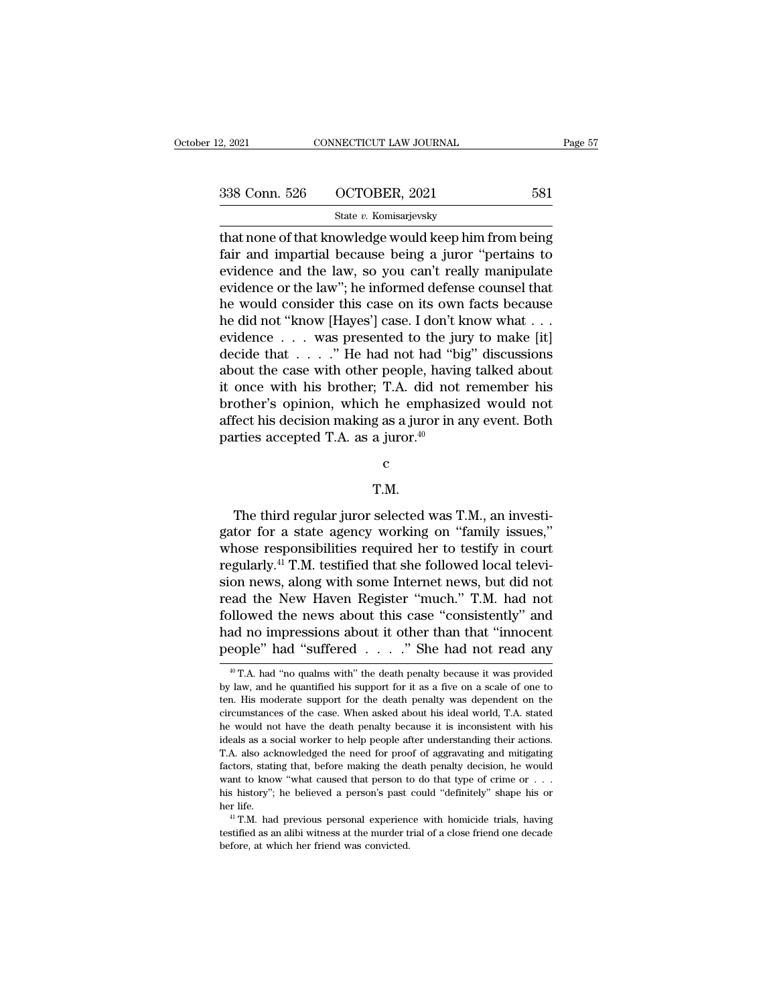| 2, 2021       | CONNECTICUT LAW JOURNAL | Page 57 |  |
|---------------|-------------------------|---------|--|
|               |                         |         |  |
| 338 Conn. 526 | OCTOBER, 2021           | 581     |  |
|               | State v. Komisarjevsky  |         |  |

2, 2021 CONNECTICUT LAW JOURNAL Page 57<br>
338 Conn. 526 OCTOBER, 2021 581<br>
581<br>
54 Connection Constant Connection Constant And impartial because being a juror "pertains to<br>
condense and the law so you can't really manipula Fair and impartial because being a juror ''pertains to<br>
state v. Komisarjevsky<br>
that none of that knowledge would keep him from being<br>
fair and impartial because being a juror ''pertains to<br>
evidence and the law, so you ca 338 Conn. 526 OCTOBER, 2021 581<br>
State v. Komisarjevsky<br>
that none of that knowledge would keep him from being<br>
fair and impartial because being a juror "pertains to<br>
evidence and the law, so you can't really manipulate<br> 338 Conn. 526 OCTOBER, 2021 581<br>
State v. Komisarjevsky<br>
that none of that knowledge would keep him from being<br>
fair and impartial because being a juror "pertains to<br>
evidence and the law, so you can't really manipulate<br> State v. Komisarjevsky<br>
that none of that knowledge would keep him from being<br>
fair and impartial because being a juror "pertains to<br>
evidence and the law, so you can't really manipulate<br>
evidence or the law"; he informed state v. Komisarjevsky<br>that none of that knowledge would keep him from being<br>fair and impartial because being a juror "pertains to<br>evidence and the law, so you can't really manipulate<br>evidence or the law"; he informed def that none of that knowledge would keep him from being<br>fair and impartial because being a juror "pertains to<br>evidence and the law, so you can't really manipulate<br>evidence or the law"; he informed defense counsel that<br>he wo fair and impartial because being a juror "pertains to<br>evidence and the law, so you can't really manipulate<br>evidence or the law"; he informed defense counsel that<br>he would consider this case on its own facts because<br>he did evidence and the law, so you can't really manipulate<br>evidence or the law"; he informed defense counsel that<br>he would consider this case on its own facts because<br>he did not "know [Hayes"] case. I don't know what . . .<br>evid evidence or the law"; he informed defense counsel that<br>he would consider this case on its own facts because<br>he did not "know [Hayes'] case. I don't know what . . .<br>evidence . . . was presented to the jury to make [it]<br>dec he would consider this case on its own facts because<br>he did not "know [Hayes"] case. I don't know what . . .<br>evidence . . . was presented to the jury to make [it]<br>decide that . . . . " He had not had "big" discussions<br>abo he did not "know [Hayes'] case. I don't know what . . . evidence . . . was presented to the jury to make [it] decide that . . . . " He had not had "big" discussions about the case with other people, having talked about it evidence  $\dots$  was presented to the jum decide that  $\dots$ ." He had not had "bi about the case with other people, having it once with his brother; T.A. did not brother's opinion, which he emphasiz affect his decision making

c and the control of  $\sim$ 

### T.M.

Fect his decision making as a juror in any event. Both<br>rties accepted T.A. as a juror.<sup>40</sup><br>c<br>T.M.<br>The third regular juror selected was T.M., an investi-<br>tor for a state agency working on "family issues," parties accepted T.A. as a juror.<sup>40</sup><br>  $\sim$ <br>
T.M.<br>
The third regular juror selected was T.M., an investigator for a state agency working on "family issues,"<br>
whose responsibilities required her to testify in court<br>
requir r and the context of the third regular juror selected was T.M., an investigator for a state agency working on "family issues,"<br>whose responsibilities required her to testify in court<br>regularly.<sup>41</sup> T.M. testified that she r.M.<br>T.M.<br>The third regular juror selected was T.M., an investigator for a state agency working on "family issues,"<br>whose responsibilities required her to testify in court<br>regularly.<sup>41</sup> T.M. testified that she followed lo T.M.<br>The third regular juror selected was T.M., an investigator for a state agency working on "family issues,"<br>whose responsibilities required her to testify in court<br>regularly.<sup>41</sup> T.M. testified that she followed local t The third regular juror selected was T.M., an investigator for a state agency working on "family issues," whose responsibilities required her to testify in court regularly.<sup>41</sup> T.M. testified that she followed local televi The third regular juror selected was T.M., an investigator for a state agency working on "family issues,"<br>whose responsibilities required her to testify in court<br>regularly.<sup>41</sup> T.M. testified that she followed local televi gator for a state agency working on "family issues,"<br>whose responsibilities required her to testify in court<br>regularly.<sup>41</sup> T.M. testified that she followed local televi-<br>sion news, along with some Internet news, but did whose responsibilities required her to testify in court<br>regularly.<sup>41</sup> T.M. testified that she followed local televi-<br>sion news, along with some Internet news, but did not<br>read the New Haven Register "much." T.M. had not<br> and the New Haven Register "much." T.M. had not<br>pllowed the news about this case "consistently" and<br>ad no impressions about it other than that "innocent<br>eople" had "suffered . . . . ." She had not read any<br> $^{40}$  T.A. had followed the news about this case "consistently" and<br>had no impressions about it other than that "innocent<br>people" had "suffered  $\ldots$ ." She had not read any<br><sup>40</sup> T.A. had "no qualms with" the death penalty because it was

had no impressions about it other than that "innocent people" had "suffered  $\ldots$ " She had not read any  $*$ T.A. had "no qualms with" the death penalty because it was provided by law, and he quantified his support for it a people" had "suffered  $\ldots$ " She had not read any  $\overset{\text{40}}{ }$  T.A. had "no qualms with" the death penalty because it was provided by law, and he quantified his support for it as a five on a scale of one to ten. His mode **HE WALK THE WALK CONDUCTE THACK CONDUCT THACK AND ADDEDED THAT AND THE MACK THAT AND AN AND A SURVEY AND A SURVEY AND A SURVEY AND A SURVEY AND A SURVEY AND A SURVEY AND A SURVEY AND A SURVEY AND A SURVEY AND A SURVEY AN** <sup>40</sup> T.A. had "no qualms with" the death penalty because it was provided by law, and he quantified his support for it as a five on a scale of one to ten. His moderate support for the death penalty was dependent on the circ by law, and he quantified his support for it as a five on a scale of one to ten. His moderate support for the death penalty was dependent on the circumstances of the case. When asked about his ideal world, T.A. stated he w factors, stating that, before making the death penalty was dependent on the circumstances of the case. When asked about his ideal world, T.A. stated he would not have the death penalty because it is inconsistent with his circumstances of the case. When asked about his ideal world, T.A. stated<br>the would not have the death penalty because it is inconsistent with his<br>ideals as a social worker to help people after understanding their actions.<br> he would not have the death penalty because it is inconsistent with his<br>ideals as a social worker to help people after understanding their actions.<br>T.A. also acknowledged the need for proof of aggravating and mitigating<br>f her life. 41 T.M. had previous personal experience with homicide trials, having their actions.<br>
T.A. also acknowledged the need for proof of aggravating and mitigating factors, stating that, before making the death penalty The murder station that, before making the death penalty decision, he would want to know "what caused that person to do that type of crime or  $\dots$  his history"; he believed a person's past could "definitely" shape his or want to know "what caused that person to do that type of crime or . . . his history"; he believed a person's past could "definitely" shape his or her life.<br>
<sup>41</sup> T.M. had previous personal experience with homicide trials,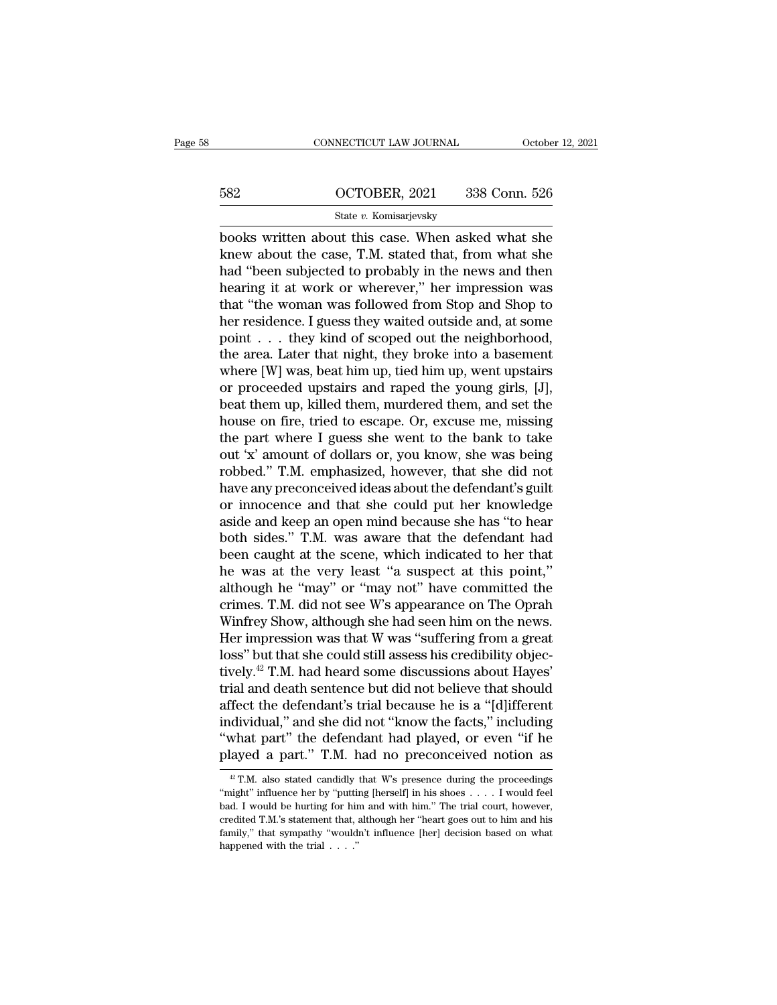### CONNECTICUT LAW JOURNAL October 12, 2021<br>582 OCTOBER, 2021 338 Conn. 526<br>5tate v. Komisarjevsky State *v.* Komisarjevsky

CONNECTICUT LAW JOURNAL October 12, 2021<br>
582 OCTOBER, 2021 338 Conn. 526<br>
582 State v. Komisarjevsky<br>
books written about this case. When asked what she<br>
knew about the case, T.M. stated that, from what she<br>
had "boon sub 582 OCTOBER, 2021 338 Conn. 526<br>
State v. Komisarjevsky<br>
books written about this case. When asked what she<br>
knew about the case, T.M. stated that, from what she<br>
had "been subjected to probably in the news and then<br>
boori  $\frac{\text{582}}{\text{State } v. \text{ Komisarjevsky}}$ <br>  $\frac{\text{State } v. \text{ Komisarjevsky}}{\text{books written about this case. When asked what she}$ <br>
knew about the case, T.M. stated that, from what she<br>
had "been subjected to probably in the news and then<br>
hearing it at work or wherever," her impressio  $\frac{\text{682}}{\text{State } v. \text{ Komisarjevsky}}$ <br>  $\frac{\text{State } v. \text{ Komisarjevsky}}{\text{books written about this case. When asked what she}$ <br>
knew about the case, T.M. stated that, from what she<br>
had "been subjected to probably in the news and then<br>
hearing it at work or wherever," her impressio State  $v$ . Komisarjevsky<br>books written about this case. When asked what she<br>knew about the case, T.M. stated that, from what she<br>had "been subjected to probably in the news and then<br>hearing it at work or wherever," her im state v. Komsarjevsky<br>books written about this case. When asked what she<br>knew about the case, T.M. stated that, from what she<br>had "been subjected to probably in the news and then<br>hearing it at work or wherever," her impre books written about this case. When asked what she<br>knew about the case, T.M. stated that, from what she<br>had "been subjected to probably in the news and then<br>hearing it at work or wherever," her impression was<br>that "the wom knew about the case, T.M. stated that, from what she<br>had "been subjected to probably in the news and then<br>hearing it at work or wherever," her impression was<br>that "the woman was followed from Stop and Shop to<br>her residenc had "been subjected to probably in the news and then<br>hearing it at work or wherever," her impression was<br>that "the woman was followed from Stop and Shop to<br>her residence. I guess they waited outside and, at some<br>point . . hearing it at work or wherever," her impression was<br>that "the woman was followed from Stop and Shop to<br>her residence. I guess they waited outside and, at some<br>point . . . they kind of scoped out the neighborhood,<br>the area. that "the woman was followed from Stop and Shop to<br>her residence. I guess they waited outside and, at some<br>point  $\dots$  they kind of scoped out the neighborhood,<br>the area. Later that night, they broke into a basement<br>where her residence. I guess they waited outside and, at some<br>point . . . they kind of scoped out the neighborhood,<br>the area. Later that night, they broke into a basement<br>where [W] was, beat him up, tied him up, went upstairs<br>or point . . . they kind of scoped out the neighborhood,<br>the area. Later that night, they broke into a basement<br>where [W] was, beat him up, tied him up, went upstairs<br>or proceeded upstairs and raped the young girls, [J],<br>beat the area. Later that night, they broke into a basement<br>where [W] was, beat him up, tied him up, went upstairs<br>or proceeded upstairs and raped the young girls, [J],<br>beat them up, killed them, murdered them, and set the<br>hous where [W] was, beat him up, tied him up, went upstairs<br>or proceeded upstairs and raped the young girls, [J],<br>beat them up, killed them, murdered them, and set the<br>house on fire, tried to escape. Or, excuse me, missing<br>the or proceeded upstairs and raped the young girls, [J],<br>beat them up, killed them, murdered them, and set the<br>house on fire, tried to escape. Or, excuse me, missing<br>the part where I guess she went to the bank to take<br>out 'x' beat them up, killed them, murdered them, and set the<br>house on fire, tried to escape. Or, excuse me, missing<br>the part where I guess she went to the bank to take<br>out 'x' amount of dollars or, you know, she was being<br>robbed. house on fire, tried to escape. Or, excuse me, missing<br>the part where I guess she went to the bank to take<br>out 'x' amount of dollars or, you know, she was being<br>robbed." T.M. emphasized, however, that she did not<br>have any the part where I guess she went to the bank to take<br>out 'x' amount of dollars or, you know, she was being<br>robbed." T.M. emphasized, however, that she did not<br>have any preconceived ideas about the defendant's guilt<br>or innoc out 'x' amount of dollars or, you know, she was being<br>robbed." T.M. emphasized, however, that she did not<br>have any preconceived ideas about the defendant's guilt<br>or innocence and that she could put her knowledge<br>aside and robbed." T.M. emphasized, however, that she did not<br>have any preconceived ideas about the defendant's guilt<br>or innocence and that she could put her knowledge<br>aside and keep an open mind because she has "to hear<br>both sides. have any preconceived ideas about the defendant's guilt<br>or innocence and that she could put her knowledge<br>aside and keep an open mind because she has "to hear<br>both sides." T.M. was aware that the defendant had<br>been caught or innocence and that she could put her knowledge<br>aside and keep an open mind because she has "to hear<br>both sides." T.M. was aware that the defendant had<br>been caught at the scene, which indicated to her that<br>he was at the aside and keep an open mind because she has "to hear<br>both sides." T.M. was aware that the defendant had<br>been caught at the scene, which indicated to her that<br>he was at the very least "a suspect at this point,"<br>although he both sides." T.M. was aware that the defendant had<br>been caught at the scene, which indicated to her that<br>he was at the very least "a suspect at this point,"<br>although he "may" or "may not" have committed the<br>crimes. T.M. d been caught at the scene, which indicated to her that<br>he was at the very least "a suspect at this point,"<br>although he "may" or "may not" have committed the<br>crimes. T.M. did not see W's appearance on The Oprah<br>Winfrey Show, he was at the very least "a suspect at this point,"<br>although he "may" or "may not" have committed the<br>crimes. T.M. did not see W's appearance on The Oprah<br>Winfrey Show, although she had seen him on the news.<br>Her impression although he "may" or "may not" have committed the<br>crimes. T.M. did not see W's appearance on The Oprah<br>Winfrey Show, although she had seen him on the news.<br>Her impression was that W was "suffering from a great<br>loss" but th crimes. T.M. did not see W's appearance on The Oprah<br>Winfrey Show, although she had seen him on the news.<br>Her impression was that W was "suffering from a great<br>loss" but that she could still assess his credibility objec-<br>t Winfrey Show, although she had seen him on the news.<br>Her impression was that W was "suffering from a great<br>loss" but that she could still assess his credibility objec-<br>tively.<sup>42</sup> T.M. had heard some discussions about Hay Her impression was that W was "suffering from a great<br>loss" but that she could still assess his credibility objec-<br>tively.<sup>42</sup> T.M. had heard some discussions about Hayes'<br>trial and death sentence but did not believe that loss" but that she could still assess his credibility objec-<br>tively.<sup>42</sup> T.M. had heard some discussions about Hayes'<br>trial and death sentence but did not believe that should<br>affect the defendant's trial because he is a " affect the defendant's trial because he is a "[d]ifferent individual," and she did not "know the facts," including "what part" the defendant had played, or even "if he played a part." T.M. had no preconceived notion as  $\$ individual," and she did not "know the facts," including<br>
"what part" the defendant had played, or even "if he<br>
played a part." T.M. had no preconceived notion as<br>  ${}^{\text{\tiny\#}}$ T.M. also stated candidly that W's presence du

<sup>&</sup>quot;what part" the defendant had played, or even "if he played a part." T.M. had no preconceived notion as  $*T.M.$  also stated candidly that W's presence during the proceedings "might" influence her by "putting [herself] in h played a part." T.M. had no preconceived notion as<br>  ${}^{\text{\#}}$  T.M. also stated candidly that W's presence during the proceedings<br>
"might" influence her by "putting [herself] in his shoes . . . . I would feel<br>
bad. I would Family, that sympathy that We preconcerved Hotion as<br>  $^{42}$  T.M. also stated candidly that W's presence during the proceedings<br>
"might" influence her by "putting [herself] in his shoes . . . . I would feel<br>
bad. I would <sup>42</sup> T.M. also stated candidly "might" influence her by "puttibad. I would be hurting for hir credited T.M.'s statement that, if amily," that sympathy "would happened with the trial  $\ldots$ ."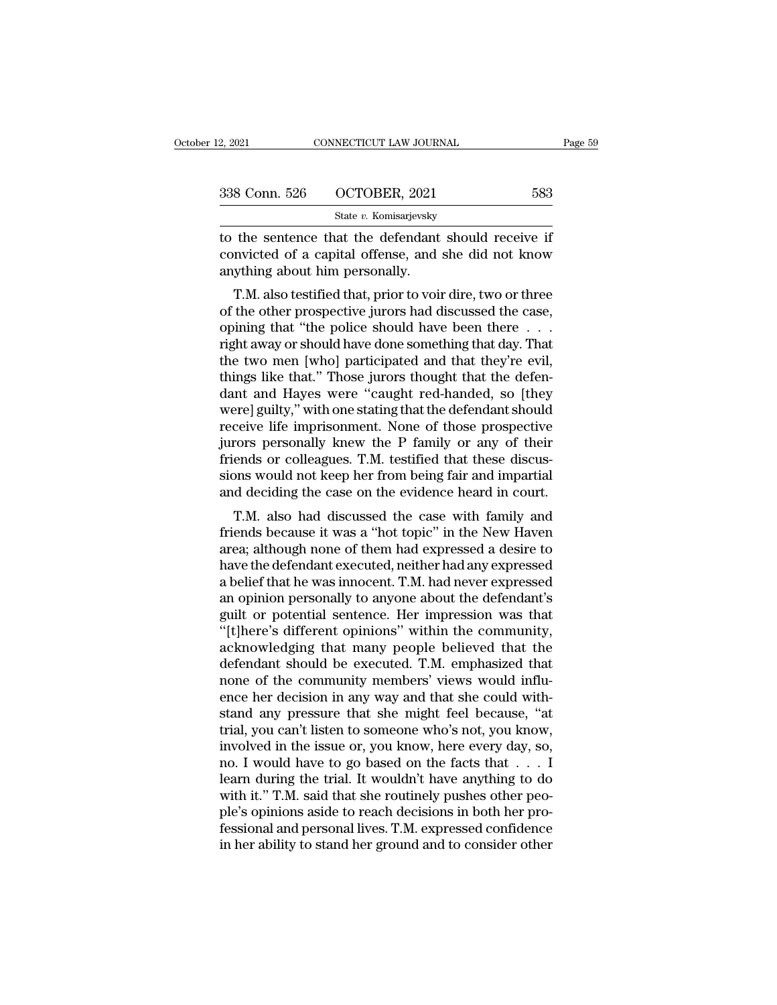| 2, 2021       | CONNECTICUT LAW JOURNAL | Page 59 |
|---------------|-------------------------|---------|
| 338 Conn. 526 | OCTOBER, 2021           | 583     |
|               | State v. Komisarjevsky  |         |

2, 2021 CONNECTICUT LAW JOURNAL Page 5!<br>
338 Conn. 526 OCTOBER, 2021 583<br>
583<br>
588 State v. Komisarjevsky<br>
10 the sentence that the defendant should receive if<br>
convicted of a capital offense, and she did not know 338 Conn. 526 OCTOBER, 2021 583<br>State v. Komisarjevsky<br>to the sentence that the defendant should receive if<br>convicted of a capital offense, and she did not know<br>anything about him personally. 338 Conn. 526 OCTOBER, 2021<br>
State v. Komisarjevsky<br>
to the sentence that the defendant<br>
convicted of a capital offense, and<br>
anything about him personally.<br>
T.M. also testified that, prior to voir 8 Conn. 526 OCTOBER, 2021 583<br>
State v. Komisarjevsky<br>
the sentence that the defendant should receive if<br>
mvicted of a capital offense, and she did not know<br>
ything about him personally.<br>
T.M. also testified that, prior t

State v. Komisarjevsky<br>
to the sentence that the defendant should receive if<br>
convicted of a capital offense, and she did not know<br>
anything about him personally.<br>
T.M. also testified that, prior to voir dire, two or thre to the sentence that the defendant should receive if<br>convicted of a capital offense, and she did not know<br>anything about him personally.<br>T.M. also testified that, prior to voir dire, two or three<br>of the other prospective j to the sentence that the defendant should receive if<br>convicted of a capital offense, and she did not know<br>anything about him personally.<br>T.M. also testified that, prior to voir dire, two or three<br>of the other prospective j the two mentals. T.M. also testified that, prior to voir dire, two or three of the other prospective jurors had discussed the case, opining that "the police should have been there  $\dots$  right away or should have done someth T.M. also testified that, prior to voir dire, two or three<br>of the other prospective jurors had discussed the case,<br>opining that "the police should have been there . . .<br>right away or should have done something that day. Th T.M. also testified that, prior to voir dire, two or three<br>of the other prospective jurors had discussed the case,<br>opining that "the police should have been there . . .<br>right away or should have done something that day. Th of the other prospective jurors had discussed the case,<br>opining that "the police should have been there . . .<br>right away or should have done something that day. That<br>the two men [who] participated and that they're evil,<br>th opining that "the police should have been there  $\ldots$  right away or should have done something that day. That<br>the two men [who] participated and that they're evil,<br>things like that." Those jurors thought that the defen-<br>d right away or should have done something that day. That<br>the two men [who] participated and that they're evil,<br>things like that." Those jurors thought that the defen-<br>dant and Hayes were "caught red-handed, so [they<br>were] g the two men [who] participated and that they're evil,<br>things like that." Those jurors thought that the defen-<br>dant and Hayes were "caught red-handed, so [they<br>were] guilty," with one stating that the defendant should<br>recei things like that." Those jurors thought that the defendant and Hayes were "caught red-handed, so [they were] guilty," with one stating that the defendant should receive life imprisonment. None of those prospective jurors p dant and Hayes were "caught red-handed, so [they were] guilty," with one stating that the defendant should receive life imprisonment. None of those prospective jurors personally knew the P family or any of their friends or Energy and the stating that the defendant should<br>ceive life imprisonment. None of those prospective<br>rors personally knew the P family or any of their<br>ends or colleagues. T.M. testified that these discus-<br>ons would not keep receive the imprisonment. Note of those prospective<br>jurors personally knew the P family or any of their<br>friends or colleagues. T.M. testified that these discus-<br>sions would not keep her from being fair and impartial<br>and de

put only of them the training of any of them<br>friends or colleagues. T.M. testified that these discus-<br>sions would not keep her from being fair and impartial<br>and deciding the case on the evidence heard in court.<br>T.M. also friends of coneagues. T.M. testified that these discussions would not keep her from being fair and impartial<br>and deciding the case on the evidence heard in court.<br>T.M. also had discussed the case with family and<br>friends be slons would not keep her front being fair and impartial<br>and deciding the case on the evidence heard in court.<br>T.M. also had discussed the case with family and<br>friends because it was a "hot topic" in the New Haven<br>area; alt and declaing the case on the evidence heard in court.<br>T.M. also had discussed the case with family and<br>friends because it was a "hot topic" in the New Haven<br>area; although none of them had expressed a desire to<br>have the de T.M. also had discussed the case with family and<br>friends because it was a "hot topic" in the New Haven<br>area; although none of them had expressed a desire to<br>have the defendant executed, neither had any expressed<br>a belief t friends because it was a "hot topic" in the New Haven<br>area; although none of them had expressed a desire to<br>have the defendant executed, neither had any expressed<br>a belief that he was innocent. T.M. had never expressed<br>an area; although none of them had expressed a desire to<br>have the defendant executed, neither had any expressed<br>a belief that he was innocent. T.M. had never expressed<br>an opinion personally to anyone about the defendant's<br>gui have the defendant executed, neither had any expressed<br>a belief that he was innocent. T.M. had never expressed<br>an opinion personally to anyone about the defendant's<br>guilt or potential sentence. Her impression was that<br>"[t] a belief that he was innocent. T.M. had never expressed<br>an opinion personally to anyone about the defendant's<br>guilt or potential sentence. Her impression was that<br>"[t]here's different opinions" within the community,<br>acknow an opinion personally to anyone about the defendant's<br>guilt or potential sentence. Her impression was that<br>"[t]here's different opinions" within the community,<br>acknowledging that many people believed that the<br>defendant sho guilt or potential sentence. Her impression was that "[t]here's different opinions" within the community, acknowledging that many people believed that the defendant should be executed. T.M. emphasized that none of the comm "[t]here's different opinions" within the community,<br>acknowledging that many people believed that the<br>defendant should be executed. T.M. emphasized that<br>none of the community members' views would influ-<br>ence her decision acknowledging that many people believed that the<br>defendant should be executed. T.M. emphasized that<br>none of the community members' views would influ-<br>ence her decision in any way and that she could with-<br>stand any pressure defendant should be executed. T.M. emphasized that<br>none of the community members' views would influ-<br>ence her decision in any way and that she could with-<br>stand any pressure that she might feel because, "at<br>trial, you can' none of the community members' views would influ-<br>ence her decision in any way and that she could with-<br>stand any pressure that she might feel because, "at<br>trial, you can't listen to someone who's not, you know,<br>involved i ence her decision in any way and that she could with-<br>stand any pressure that she might feel because, "at<br>trial, you can't listen to someone who's not, you know,<br>involved in the issue or, you know, here every day, so,<br>no. stand any pressure that she might feel because, "at<br>trial, you can't listen to someone who's not, you know,<br>involved in the issue or, you know, here every day, so,<br>no. I would have to go based on the facts that . . . . I<br>l trial, you can't listen to someone who's not, you know,<br>involved in the issue or, you know, here every day, so,<br>no. I would have to go based on the facts that . . . I<br>learn during the trial. It wouldn't have anything to do involved in the issue or, you know, here every day, so, no. I would have to go based on the facts that  $\dots$  I learn during the trial. It wouldn't have anything to do with it." T.M. said that she routinely pushes other peo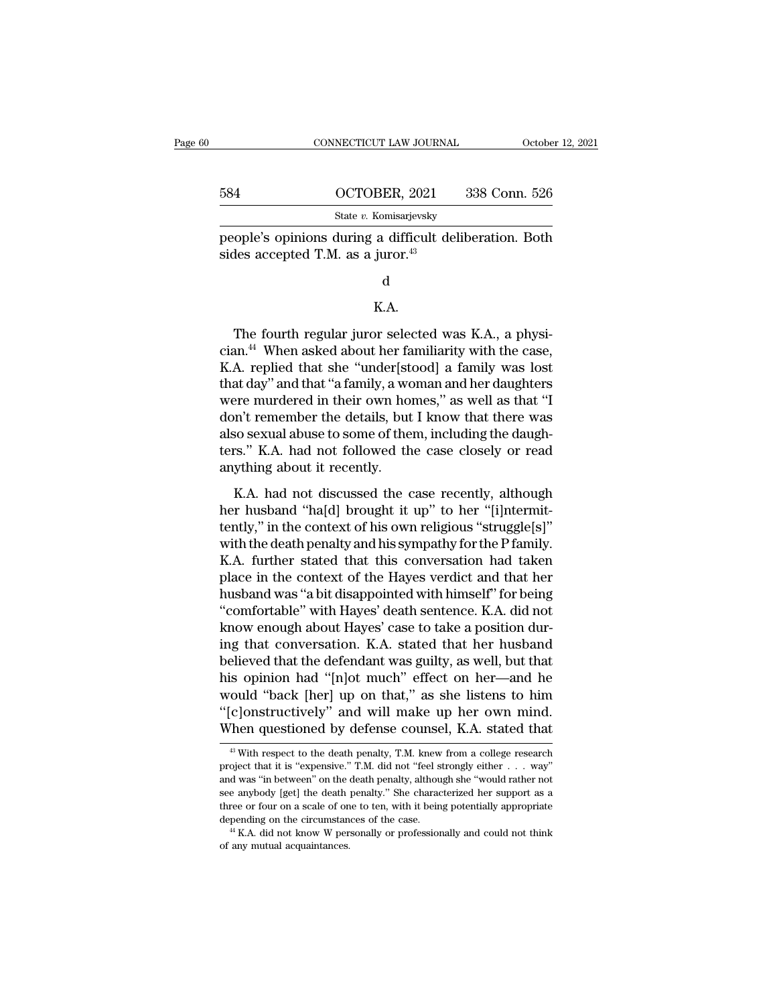|     | CONNECTICUT LAW JOURNAL                                                                                  | October 12, 2021 |
|-----|----------------------------------------------------------------------------------------------------------|------------------|
| 584 | OCTOBER, 2021                                                                                            | 338 Conn. 526    |
|     | State v. Komisarjevsky                                                                                   |                  |
|     | people's opinions during a difficult deliberation. Both<br>sides accepted T.M. as a juror. <sup>43</sup> |                  |
|     |                                                                                                          |                  |

### d

### K.A.

represented T.M. as a juror.<sup>43</sup><br>d<br> $\hbar$  K.A.<br>The fourth regular juror selected was K.A., a physi-<br>an.<sup>44</sup> When asked about her familiarity with the case,<br>A replied that she "under[stood] a family was lost sides accepted T.M. as a juror. $^{43}$ <br>d<br>K.A.<br>The fourth regular juror selected was K.A., a physician. $^{44}$  When asked about her familiarity with the case,<br>K.A. replied that she "under[stood] a family was lost<br>that day" a d<br>
K.A.<br>
The fourth regular juror selected was K.A., a physician.<sup>44</sup> When asked about her familiarity with the case,<br>
K.A. replied that she "under[stood] a family was lost<br>
that day" and that "a family, a woman and her da d<br>K.A.<br>The fourth regular juror selected was K.A., a physician.<sup>44</sup> When asked about her familiarity with the case,<br>K.A. replied that she "under[stood] a family was lost<br>that day" and that "a family, a woman and her daught K.A.<br>The fourth regular juror selected was K.A., a physician.<sup>44</sup> When asked about her familiarity with the case,<br>K.A. replied that she "under[stood] a family was lost<br>that day" and that "a family, a woman and her daughter The fourth regular juror selected was K.A., a physician.<sup>44</sup> When asked about her familiarity with the case, K.A. replied that she "under[stood] a family was lost that day" and that "a family, a woman and her daughters we The fourth regular juror selected was K.A., a physician.<sup>44</sup> When asked about her familiarity with the case, K.A. replied that she "under[stood] a family was lost that day" and that "a family, a woman and her daughters wer cian.<sup>44</sup> When asked about her familiarity with the case,<br>K.A. replied that she "under[stood] a family was lost<br>that day" and that "a family, a woman and her daughters<br>were murdered in their own homes," as well as that "I<br> K.A. replied that she "under[stdthat day" and that "a family, a wordwere murdered in their own houdon't remember the details, but also sexual abuse to some of the ters." K.A. had not followed the anything about it recently Free murdered in their own homes," as well as that "I<br>principle member the details, but I know that there was<br>so sexual abuse to some of them, including the daugh-<br>rs." K.A. had not followed the case closely or read<br>ything here managed in their solutions, the main dark don't remember the details, but I know that there was<br>also sexual abuse to some of them, including the daugh-<br>ters." K.A. had not followed the case closely or read<br>anything ab

also sexual abuse to some of them, including the daugh-<br>ters." K.A. had not followed the case closely or read<br>anything about it recently.<br>K.A. had not discussed the case recently, although<br>her husband "ha[d] brought it up also senalt as also to some or anony, increasing are alargerities." K.A. had not followed the case closely or read anything about it recently.<br>
K.A. had not discussed the case recently, although<br>
her husband "ha[d] brought Example in that the conversation and exact once  $\alpha$ .<br>
K.A. had not discussed the case recently, although<br>
her husband "ha[d] brought it up" to her "[i]ntermit-<br>
tently," in the context of his own religious "struggle[s]"<br> K.A. had not discussed the case recently, although<br>her husband "ha[d] brought it up" to her "[i]ntermit-<br>tently," in the context of his own religious "struggle[s]"<br>with the death penalty and his sympathy for the P family. K.A. had not discussed the case recently, although<br>her husband "ha[d] brought it up" to her "[i]ntermit-<br>tently," in the context of his own religious "struggle[s]"<br>with the death penalty and his sympathy for the P family.<br> her husband "ha[d] brought it up" to her "[i]ntermit-<br>tently," in the context of his own religious "struggle[s]"<br>with the death penalty and his sympathy for the P family.<br>K.A. further stated that this conversation had take tently," in the context of his own religious "struggle[s]"<br>with the death penalty and his sympathy for the P family.<br>K.A. further stated that this conversation had taken<br>place in the context of the Hayes verdict and that h with the death penalty and his sympathy for the P family.<br>K.A. further stated that this conversation had taken<br>place in the context of the Hayes verdict and that her<br>husband was "a bit disappointed with himself" for being<br> K.A. further stated that this conversation had taken<br>place in the context of the Hayes verdict and that her<br>husband was "a bit disappointed with himself" for being<br>"comfortable" with Hayes' death sentence. K.A. did not<br>kno place in the context of the Hayes verdict and that her<br>husband was "a bit disappointed with himself" for being<br>"comfortable" with Hayes' death sentence. K.A. did not<br>know enough about Hayes' case to take a position dur-<br>in husband was "a bit disappointed with himself" for being<br>"comfortable" with Hayes' death sentence. K.A. did not<br>know enough about Hayes' case to take a position dur-<br>ing that conversation. K.A. stated that her husband<br>beli "comfortable" with Hayes' death sentence. K.A. did not<br>know enough about Hayes' case to take a position dur-<br>ing that conversation. K.A. stated that her husband<br>believed that the defendant was guilty, as well, but that<br>his know enough about Hayes' case to take a position during that conversation. K.A. stated that her husband believed that the defendant was guilty, as well, but that his opinion had "[n]ot much" effect on her—and he would "ba 63 Sopinion nad "[n]ot much" effect on ner—and ne could "back [her] up on that," as she listens to him c]onstructively" and will make up her own mind.<br>Then questioned by defense counsel, K.A. stated that  $^{43}$  With respe would "back [her] up on that," as she listens to him<br>"[c]onstructively" and will make up her own mind.<br>When questioned by defense counsel, K.A. stated that<br> $\frac{48 \text{ With respect to the death penalty, T.M. knew from a college research}}{\text{project that it is "expensive." T.M. did not "feel strongly either . . . way"}$  and was "in

<sup>&</sup>quot;[c]onstructively" and will make up her own mind.<br>When questioned by defense counsel, K.A. stated that<br> $\overline{}}$ <sup>49</sup> With respect to the death penalty, T.M. knew from a college research<br>project that it is "expensive." T.M. When questioned by defense counsel, K.A. stated that<br>  $\overline{\phantom{a}}$  with respect to the death penalty, T.M. knew from a college research<br>
project that it is "expensive." T.M. did not "feel strongly either  $\dots$  way"<br>
and was <sup>43</sup> With respect to the death penalty, T.M. knew from a college research roject that it is "expensive." T.M. did not "feel strongly either  $\ldots$  way" and was "in between" on the death penalty, although she "would rather <sup>43</sup> With respect to the death penalty, T.M. knew from a college research project that it is "expensive." T.M. did not "feel strongly either  $\ldots$  way" and was "in between" on the death penalty, although she "would rather and was "in between" on the death penalty, although she "would rather not see any<br>body [get] the death penalty." She characterized her support as a three or four on a scale of one to ten, with it being potentially appropr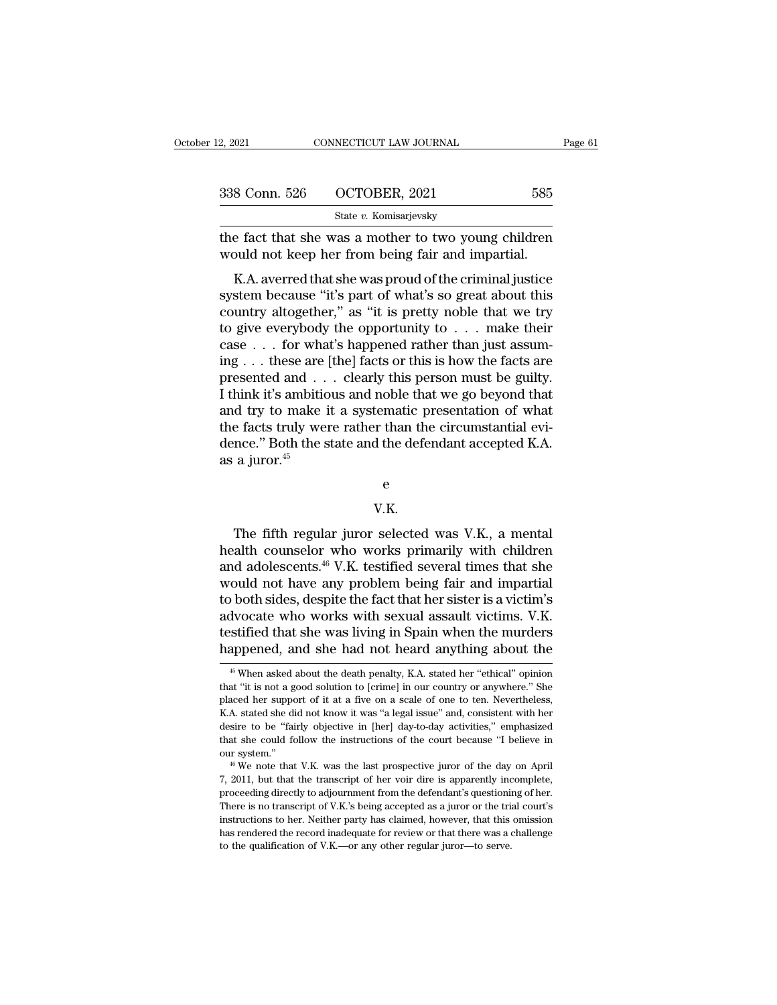| 12, 2021      | CONNECTICUT LAW JOURNAL                                                                                                                                                       | Page 61 |
|---------------|-------------------------------------------------------------------------------------------------------------------------------------------------------------------------------|---------|
|               |                                                                                                                                                                               |         |
| 338 Conn. 526 | OCTOBER, 2021                                                                                                                                                                 | 585     |
|               | State v. Komisarjevsky                                                                                                                                                        |         |
|               | the fact that she was a mother to two young children<br>would not keep her from being fair and impartial.                                                                     |         |
|               | K.A. averred that she was proud of the criminal justice<br>system because "it's part of what's so great about this<br>country oltogathor," as "it is protty poble that we try |         |

338 Conn. 526 OCTOBER, 2021 585<br>
State v. Komisarjevsky<br>
the fact that she was a mother to two young children<br>
would not keep her from being fair and impartial.<br>
K.A. averred that she was proud of the criminal justice<br>
sy State v. Komisarjevsky<br>the fact that she was a mother to two young children<br>would not keep her from being fair and impartial.<br>K.A. averred that she was proud of the criminal justice<br>system because "it's part of what's so the fact that she was a mother to two young children<br>would not keep her from being fair and impartial.<br>K.A. averred that she was proud of the criminal justice<br>system because "it's part of what's so great about this<br>country the fact that she was a mother to two young children<br>would not keep her from being fair and impartial.<br>K.A. averred that she was proud of the criminal justice<br>system because "it's part of what's so great about this<br>countr K.A. averred that she was proud of the criminal justice<br>system because "it's part of what's so great about this<br>country altogether," as "it is pretty noble that we try<br>to give everybody the opportunity to  $\dots$  make their<br> K.A. averred that she was proud of the criminal justice<br>system because "it's part of what's so great about this<br>country altogether," as "it is pretty noble that we try<br>to give everybody the opportunity to  $\dots$  make their<br> system because "it's part of what's so great about this country altogether," as "it is pretty noble that we try to give everybody the opportunity to  $\dots$  make their case  $\dots$  for what's happened rather than just assuming country altogether," as "it is pretty noble that we try<br>to give everybody the opportunity to . . . make their<br>case . . . for what's happened rather than just assum-<br>ing . . . these are [the] facts or this is how the facts to give everybody the opportunity to  $\ldots$  make their case  $\ldots$  for what's happened rather than just assuming  $\ldots$  these are [the] facts or this is how the facts are presented and  $\ldots$  clearly this person must be guilt case . . . for what's happened rather than just assuming . . . these are [the] facts or this is how the facts are presented and . . . clearly this person must be guilty. I think it's ambitious and noble that we go beyond ing . . . these are<br>presented and . . .<br>I think it's ambitic<br>and try to make i<br>the facts truly wei<br>dence." Both the s<br>as a juror.<sup>45</sup> Fracts truly were rather than the chromosalitization ever-<br>
nce." Both the state and the defendant accepted K.A.<br>
a juror.<sup>45</sup><br>
e<br>
V.K.<br>
The fifth regular juror selected was V.K., a mental<br>
alth counselor who works primar

e

### V.K.

e<br>
W.K.<br>
The fifth regular juror selected was V.K., a mental<br>
health counselor who works primarily with children<br>
and adolescents.<sup>46</sup> V.K. testified several times that she<br>
would not have any problem being fair and impart e<br>
V.K.<br>
The fifth regular juror selected was V.K., a mental<br>
health counselor who works primarily with children<br>
and adolescents.<sup>46</sup> V.K. testified several times that she<br>
would not have any problem being fair and impart <sup>e</sup><br>W.K.<br>The fifth regular juror selected was V.K., a mental<br>health counselor who works primarily with children<br>and adolescents.<sup>46</sup> V.K. testified several times that she<br>would not have any problem being fair and impartial V.K.<br>The fifth regular juror selected was V.K., a mental<br>health counselor who works primarily with children<br>and adolescents.<sup>46</sup> V.K. testified several times that she<br>would not have any problem being fair and impartial<br>to The fifth regular juror selected was V.K., a mental<br>health counselor who works primarily with children<br>and adolescents.<sup>46</sup> V.K. testified several times that she<br>would not have any problem being fair and impartial<br>to both The fifth regular juror selected was V.K., a mental<br>health counselor who works primarily with children<br>and adolescents.<sup>46</sup> V.K. testified several times that she<br>would not have any problem being fair and impartial<br>to both health counselor who works primarily with children<br>and adolescents.<sup>46</sup> V.K. testified several times that she<br>would not have any problem being fair and impartial<br>to both sides, despite the fact that her sister is a victim' b both sides, despite the fact that her sister is a victim's dvocate who works with sexual assault victims. V.K. stiffed that she was living in Spain when the murders appened, and she had not heard anything about the  $^{45}$ advocate who works with sexual assault victims. V.K.<br>testified that she was living in Spain when the murders<br>happened, and she had not heard anything about the<br><sup>45</sup> When asked about the death penalty, K.A. stated her "ethi

testified that she was living in Spain when the murders<br>happened, and she had not heard anything about the<br><sup>45</sup>When asked about the death penalty, K.A. stated her "ethical" opinion<br>that "it is not a good solution to [crime Represented and she was along an spark which did not heard and and the mappened, and she had not heard anything about the  $^{45}$  When asked about the death penalty, K.A. stated her "ethical" opinion that "it is not a good desired and state in the treaty anything about the<br>  $^{45}$  When asked about the death penalty, K.A. stated her "ethical" opinion<br>
that "it is not a good solution to [crime] in our country or anywhere." She<br>
placed her sup <sup>45</sup> When asked about the death penalty, K.A. stated her "ethical" opinion that "it is not a good solution to [crime] in our country or anywhere." She placed her support of it at a five on a scale of one to ten. Neverthel that "it is not a good solution to [crime] in our country or anywhere." She placed her support of it at a five on a scale of one to ten. Nevertheless, K.A. stated she did not know it was "a legal issue" and, consistent wit placed her support of it at a five on a scale of one to ten. Nevertheless, K.A. stated she did not know it was "a legal issue" and, consistent with her desire to be "fairly objective in [her] day-to-day activities," empha

desire to be "fairly objective in [her] day-to-day activities," emphasized that she could follow the instructions of the court because "I believe in our system." <br><sup>46</sup> We note that V.K. was the last prospective juror of t that she could follow the instructions of the court because "I believe in our system."<br>We note that V.K. was the last prospective juror of the day on April 7, 2011, but that the transcript of her voir dire is apparently i our system."<br>
<sup>46</sup> We note that V.K. was the last prospective juror of the day on April<br>
<sup>46</sup> We note that V.K. was the last prospective juror of the day on April<br>
7, 2011, but that the transcript of her voir dire is appar <sup>46</sup> We note that V.K. was the last prospective juror of the day on April 7, 2011, but that the transcript of her voir dire is apparently incomplete, proceeding directly to adjournment from the defendant's questioning of 7, 2011, but that the transcript of her voir dire is apparently incomplete, proceeding directly to adjournment from the defendant's questioning of her. There is no transcript of V.K.'s being accepted as a juror or the tri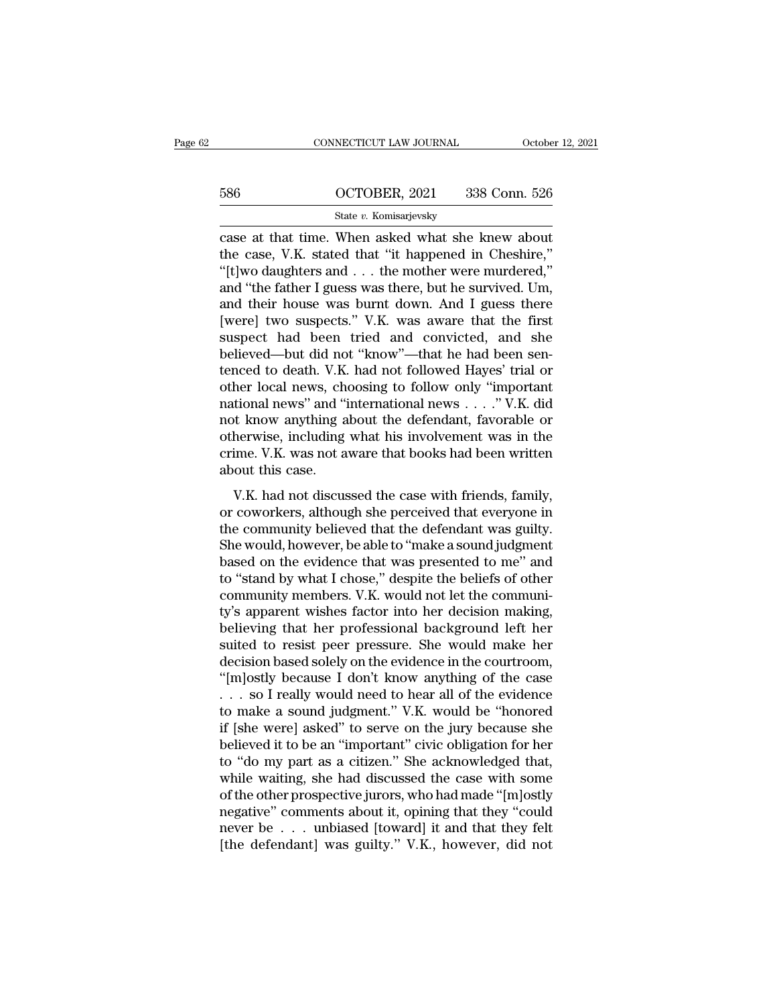# CONNECTICUT LAW JOURNAL October 12, 2021<br>586 OCTOBER, 2021 338 Conn. 526<br>586 State v. Komisarjevsky

### State *v.* Komisarjevsky

CONNECTICUT LAW JOURNAL October 12, 202<br>
586 OCTOBER, 2021 338 Conn. 526<br>
586 State v. Komisarjevsky<br>
Case at that time. When asked what she knew about<br>
the case, V.K. stated that "it happened in Cheshire,"<br>"It live dought 586 OCTOBER, 2021 338 Conn. 526<br>
State v. Komisarjevsky<br>
Case at that time. When asked what she knew about<br>
the case, V.K. stated that "it happened in Cheshire,"<br>"[t]wo daughters and . . . the mother were murdered," 586 COCTOBER, 2021 338 Conn. 526<br>
State v. Komisarjevsky<br>
Case at that time. When asked what she knew about<br>
the case, V.K. stated that "it happened in Cheshire,"<br>
"[t]wo daughters and . . . the mother were murdered,"<br>
an 586 COCTOBER, 2021 338 Conn. 526<br>
State v. Komisarjevsky<br>
case at that time. When asked what she knew about<br>
the case, V.K. stated that "it happened in Cheshire,"<br>
"[t]wo daughters and . . . the mother were murdered,"<br>
an State v. Komisarjevsky<br>
Case at that time. When asked what she knew about<br>
the case, V.K. stated that "it happened in Cheshire,"<br>
"[t]wo daughters and . . . the mother were murdered,"<br>
and "the father I guess was there, bu state v. Komisarjevsky<br>
case at that time. When asked what she knew about<br>
the case, V.K. stated that "it happened in Cheshire,"<br>
"[t]wo daughters and . . . the mother were murdered,"<br>
and "the father I guess was there, b case at that time. When asked what she knew about<br>the case, V.K. stated that "it happened in Cheshire,"<br>"[t]wo daughters and . . . the mother were murdered,"<br>and "the father I guess was there, but he survived. Um,<br>and the the case, V.K. stated that "it happened in Cheshire,"<br>"[t]wo daughters and . . . the mother were murdered,"<br>and "the father I guess was there, but he survived. Um,<br>and their house was burnt down. And I guess there<br>[were] t "[t]wo daughters and . . . the mother were murdered,"<br>and "the father I guess was there, but he survived. Um,<br>and their house was burnt down. And I guess there<br>[were] two suspects." V.K. was aware that the first<br>suspect h and "the father I guess was there, but he survived. Um,<br>and their house was burnt down. And I guess there<br>[were] two suspects." V.K. was aware that the first<br>suspect had been tried and convicted, and she<br>believed—but did n and their house was burnt down. And I guess there<br>[were] two suspects." V.K. was aware that the first<br>suspect had been tried and convicted, and she<br>believed—but did not "know"—that he had been sen-<br>tenced to death. V.K. ha [were] two suspects." V.K. was aware that the first<br>suspect had been tried and convicted, and she<br>believed—but did not "know"—that he had been sen-<br>tenced to death. V.K. had not followed Hayes' trial or<br>other local news, suspect had been tried and convicted, and she<br>believed—but did not "know"—that he had been sen-<br>tenced to death. V.K. had not followed Hayes' trial or<br>other local news, choosing to follow only "important<br>national news" and believed—but did not "know"—that he had been sentenced to death. V.K. had not followed Hayes' trial or other local news, choosing to follow only "important national news" and "international news . . . . ." V.K. did not kno tenced to death. V.K.<br>other local news, ch<br>national news" and "i<br>not know anything a<br>otherwise, including<br>crime. V.K. was not a<br>about this case.<br>V.K. had not discus The recal news, choosing to ronow only important<br>tional news" and "international news  $\ldots$ ." V.K. did<br>t know anything about the defendant, favorable or<br>herwise, including what his involvement was in the<br>ime. V.K. was not Fractional Hews dual International Hews  $\ldots$  and that the percept of the perceived of otherwise, including what his involvement was in the crime. V.K. was not aware that books had been written about this case.<br>V.K. had n

the community and a sector and the defendant, and define the crime. V.K. was not aware that books had been written about this case.<br>
V.K. had not discussed the case with friends, family, or coworkers, although she perceive Safe was a streaming what his involvement was in the crime. V.K. was not aware that books had been written about this case.<br>V.K. had not discussed the case with friends, family, or coworkers, although she perceived that ev about this case.<br>
V.K. had not discussed the case with friends, family,<br>
or coworkers, although she perceived that everyone in<br>
the community believed that the defendant was guilty.<br>
She would, however, be able to "make a V.K. had not discussed the case with friends, family,<br>or coworkers, although she perceived that everyone in<br>the community believed that the defendant was guilty.<br>She would, however, be able to "make a sound judgment<br>based V.K. had not discussed the case with friends, family,<br>or coworkers, although she perceived that everyone in<br>the community believed that the defendant was guilty.<br>She would, however, be able to "make a sound judgment<br>based or coworkers, although she perceived that everyone in<br>the community believed that the defendant was guilty.<br>She would, however, be able to "make a sound judgment<br>based on the evidence that was presented to me" and<br>to "stan the community believed that the defendant was guilty.<br>She would, however, be able to "make a sound judgment<br>based on the evidence that was presented to me" and<br>to "stand by what I chose," despite the beliefs of other<br>commu She would, however, be able to "make a sound judgment<br>based on the evidence that was presented to me" and<br>to "stand by what I chose," despite the beliefs of other<br>community members. V.K. would not let the communi-<br>ty's app based on the evidence that was presented to me" and<br>to "stand by what I chose," despite the beliefs of other<br>community members. V.K. would not let the communi-<br>ty's apparent wishes factor into her decision making,<br>believin to "stand by what I chose," despite the beliefs of other<br>community members. V.K. would not let the communi-<br>ty's apparent wishes factor into her decision making,<br>believing that her professional background left her<br>suited community members. V.K. would not let the community's apparent wishes factor into her decision making,<br>believing that her professional background left her<br>suited to resist peer pressure. She would make her<br>decision based s ty's apparent wishes factor into her decision making,<br>believing that her professional background left her<br>suited to resist peer pressure. She would make her<br>decision based solely on the evidence in the courtroom,<br>"[m]ostly believing that her professional background left her<br>suited to resist peer pressure. She would make her<br>decision based solely on the evidence in the courtroom,<br>"[m]ostly because I don't know anything of the case<br>. . . so I suited to resist peer pressure. She would make her decision based solely on the evidence in the courtroom, "[m]ostly because I don't know anything of the case . . . so I really would need to hear all of the evidence to mak decision based solely on the evidence in the courtroom,<br>
"[m]ostly because I don't know anything of the case<br>
. . . so I really would need to hear all of the evidence<br>
to make a sound judgment." V.K. would be "honored<br>
if "[m]ostly because I don't know anything of the case<br>  $\dots$  so I really would need to hear all of the evidence<br>
to make a sound judgment." V.K. would be "honored<br>
if [she were] asked" to serve on the jury because she<br>
belie . . . so I really would need to hear all of the evidence<br>to make a sound judgment." V.K. would be "honored<br>if [she were] asked" to serve on the jury because she<br>believed it to be an "important" civic obligation for her<br>to to make a sound judgment." V.K. would be "honored<br>if [she were] asked" to serve on the jury because she<br>believed it to be an "important" civic obligation for her<br>to "do my part as a citizen." She acknowledged that,<br>while if [she were] asked" to serve on the jury because she<br>believed it to be an "important" civic obligation for her<br>to "do my part as a citizen." She acknowledged that,<br>while waiting, she had discussed the case with some<br>of th believed it to be an "important" civic obligation for her<br>to "do my part as a citizen." She acknowledged that,<br>while waiting, she had discussed the case with some<br>of the other prospective jurors, who had made "[m]ostly<br>neg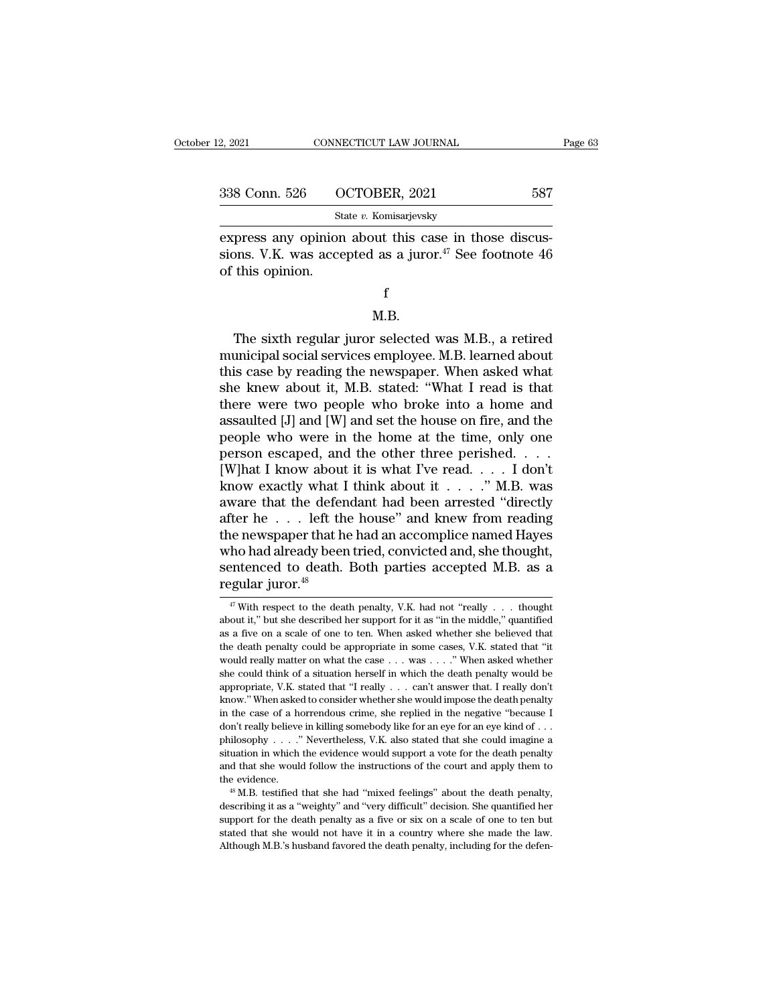| 2, 2021       | CONNECTICUT LAW JOURNAL | Page 63 |  |
|---------------|-------------------------|---------|--|
|               |                         |         |  |
| 338 Conn. 526 | OCTOBER, 2021           | 587     |  |
|               | State v. Komisarjevsky  |         |  |

express any opinion about this case in those discussions. V.K. was accepted as a juror.<sup>47</sup> See footnote 46 and this case in those discus-338 Conn. 526 OCTOBER, 2021 587<br>
State v. Komisarjevsky<br>
express any opinion about this case in those discussions. V.K. was accepted as a juror.<sup>47</sup> See footnote 46<br>
of this opinion. 338 Conn. 526 O<br>
St<br>
express any opinion<br>
sions. V.K. was acce<br>
of this opinion. press any opinion about this case in those discus-<br>
ons. V.K. was accepted as a juror.<sup>47</sup> See footnote 46<br>
this opinion.<br>
f<br>
M.B.<br>
The sixth regular juror selected was M.B., a retired<br>
unicipal social services employee. M

### f

### M.B.

sions. V.K. was accepted as a juror.<sup>47</sup> See footnote 46<br>of this opinion.<br> $$\rm \,K$$ .<br>The sixth regular juror selected was M.B., a retired<br>municipal social services employee. M.B. learned about<br>this case by reading the news f<br>
M.B.<br>
The sixth regular juror selected was M.B., a retired<br>
municipal social services employee. M.B. learned about<br>
this case by reading the newspaper. When asked what<br>
she knew about it, M.B. stated: "What I read is th f<br>M.B.<br>The sixth regular juror selected was M.B., a retired<br>municipal social services employee. M.B. learned about<br>this case by reading the newspaper. When asked what<br>she knew about it, M.B. stated: "What I read is that<br>th M.B.<br>
The sixth regular juror selected was M.B., a retired<br>
municipal social services employee. M.B. learned about<br>
this case by reading the newspaper. When asked what<br>
she knew about it, M.B. stated: "What I read is that<br> M.B.<br>The sixth regular juror selected was M.B., a retired<br>municipal social services employee. M.B. learned about<br>this case by reading the newspaper. When asked what<br>she knew about it, M.B. stated: "What I read is that<br>ther The sixth regular juror selected was M.B., a retired<br>municipal social services employee. M.B. learned about<br>this case by reading the newspaper. When asked what<br>she knew about it, M.B. stated: "What I read is that<br>there we municipal social services employee. M.B. learned about<br>this case by reading the newspaper. When asked what<br>she knew about it, M.B. stated: "What I read is that<br>there were two people who broke into a home and<br>assaulted [J] this case by reading the newspaper. When asked what<br>she knew about it, M.B. stated: "What I read is that<br>there were two people who broke into a home and<br>assaulted [J] and [W] and set the house on fire, and the<br>people who she knew about it, M.B. stated: "What I read is that<br>there were two people who broke into a home and<br>assaulted [J] and [W] and set the house on fire, and the<br>people who were in the home at the time, only one<br>person escaped there were two people who broke into a home and<br>assaulted [J] and [W] and set the house on fire, and the<br>people who were in the home at the time, only one<br>person escaped, and the other three perished. . . .<br>[W]hat I know assaulted [J] and [W] and set the house on fire, and the<br>people who were in the home at the time, only one<br>person escaped, and the other three perished. . . . .<br>[W]hat I know about it is what I've read. . . . . I don't<br>kn people who were in the home at the time, only one<br>person escaped, and the other three perished. . . .<br>[W]hat I know about it is what I've read. . . . I don't<br>know exactly what I think about it . . . . ." M.B. was<br>aware th person escaped, and the other three perished. . . . . [W]hat I know about it is what I've read. . . . I don't know exactly what I think about it . . . . ." M.B. was aware that the defendant had been arrested "directly aft [W]hat I know about it is what I've read. . . . . I don't know exactly what I think about it . . . . ." M.B. was aware that the defendant had been arrested "directly after he . . . left the house" and knew from reading th know exactly what I think about it . . . . ." M.B. was<br>aware that the defendant had been arrested "directly<br>after he . . . left the house" and knew from reading<br>the newspaper that he had an accomplice named Hayes<br>who had ie newspaper that he had an accomplice named Hayes<br>ho had already been tried, convicted and, she thought,<br>entenced to death. Both parties accepted M.B. as a<br>gular juror.<sup>48</sup><br><sup>47</sup> With respect to the death penalty, V.K. had who had already been tried, convicted and, she thought,<br>sentenced to death. Both parties accepted M.B. as a<br>regular juror.<sup>48</sup><br> $\frac{47}{47}$  With respect to the death penalty, V.K. had not "really . . . thought<br>about it," b

sentenced to death. Both parties accepted M.B. as a regular juror.<sup>48</sup><br> $\frac{4\pi}{\pi}$  With respect to the death penalty, V.K. had not "really . . . thought about it," but she described her support for it as "in the middle," regular juror.<sup>48</sup><br>
<sup>47</sup> With respect to the death penalty, V.K. had not "really . . . thought about it," but she described her support for it as "in the middle," quantified as a five on a scale of one to ten. When asked **Example 19.12.**<br> **Example 19.13.**<br> **Example 19.13.**<br> **Example 19.13.**<br> **Example 19.14.**<br> **Example 19.14.**<br> **Example 19.14.**<br> **Example 19.14.**<br> **Example 19.14.**<br> **Example 19.14.**<br> **Example 19.14.**<br> **Example 19.14.**<br> **Exam** <sup>47</sup> With respect to the death penalty, V.K. had not "really . . . thought about it," but she described her support for it as "in the middle," quantified as a five on a scale of one to ten. When asked whether she believed about it," but she described her support for it as "in the middle," quantified as a five on a scale of one to ten. When asked whether she believed that the death penalty could be appropriate in some cases, V.K. stated tha as a five on a scale of one to ten. When asked whether she believed that the death penalty could be appropriate in some cases, V.K. stated that "it would really matter on what the case  $\dots$  was  $\dots$ ." When asked whether s in the death penalty could be appropriate in some cases, V.K. stated that "it would really matter on what the case  $\ldots$  was  $\ldots$ ." When asked whether she could think of a situation herself in which the death penalty wou are vould really matter on what the case  $\ldots$  was  $\ldots$ ." When asked whether she could think of a situation herself in which the death penalty would be appropriate, V.K. stated that "I really  $\ldots$  can't answer that. I r she could think of a situation herself in which the death penalty would be appropriate, V.K. stated that "I really . . . can't answer that. I really don't know." When asked to consider whether she would impose the death p appropriate, V.K. stated that "I really  $\ldots$  can't answer that. I really don't know." When asked to consider whether she would impose the death penalty in the case of a horrendous crime, she replied in the negative "beca know." When asked to consider whether she would impose the death penalty<br>in the case of a horrendous crime, she replied in the negative "because I<br>don't really believe in killing somebody like for an eye for an eye kind o in the case of a horrendous crime, she replied in the negative "because I don't really believe in killing somebody like for an eye for an eye kind of  $\ldots$  philosophy  $\ldots$ ." Nevertheless, V.K. also stated that she could don't really believe in killing somebody like for an eye for an eye kind of . . . philosophy . . . . " Nevertheless, V.K. also stated that she could imagine a situation in which the evidence would support a vote for the d and that she would follow the instructions of the court and apply them to

situation in which the evidence would support a vote for the death penalty and that she would follow the instructions of the court and apply them to the evidence.<br>
" M.B. testified that she had "mixed feelings" about the  $48$  M.B. testified that she had "mixed feelings" about the death penalty,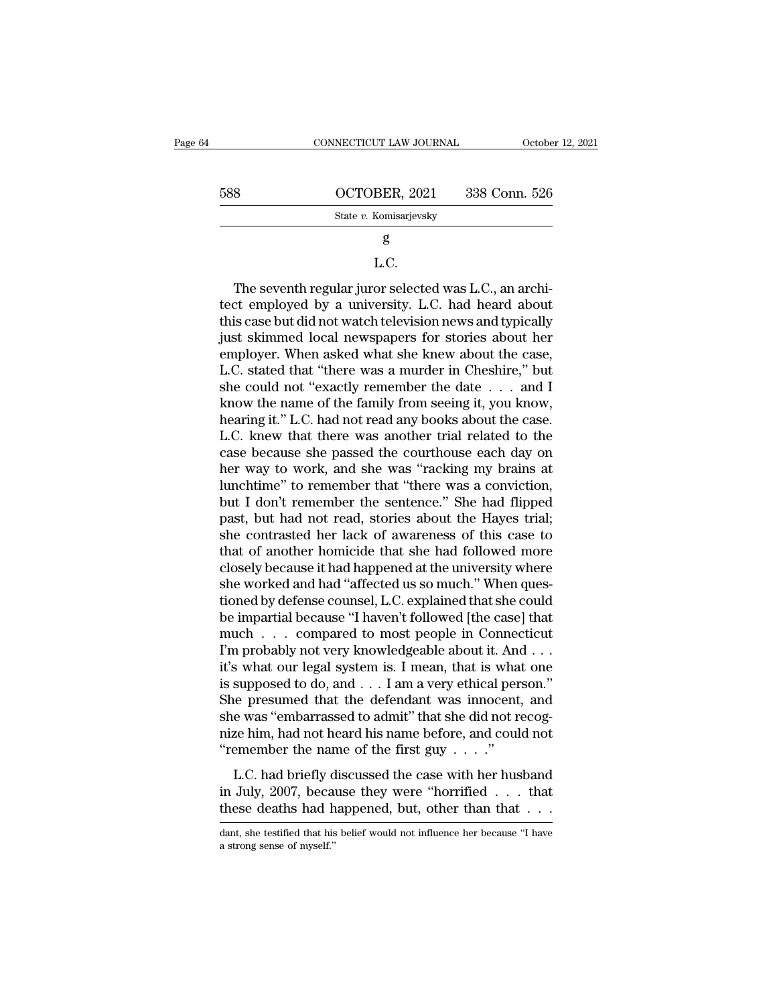| 64 |     | CONNECTICUT LAW JOURNAL | October 12, 2021 |
|----|-----|-------------------------|------------------|
|    | 588 | OCTOBER, 2021           | 338 Conn. 526    |
|    |     | State v. Komisarjevsky  |                  |
|    |     | g                       |                  |
|    |     | L.C.                    |                  |

### L.C.

State v. Komisarjevsky<br>
State v. Komisarjevsky<br>  $\bf{g}$ <br>
L.C.<br>
The seventh regular juror selected was L.C., an archi-<br>
tect employed by a university. L.C. had heard about<br>
this case but did not watch television news and t State v. Komsarjevsky<br>  $\begin{array}{c} \text{g} \\ \text{g} \end{array}$ <br>
L.C.<br>
The seventh regular juror selected was L.C., an architect employed by a university. L.C. had heard about<br>
this case but did not watch television news and typically<br> g<br>L.C.<br>The seventh regular juror selected was L.C., an archi-<br>tect employed by a university. L.C. had heard about<br>this case but did not watch television news and typically<br>just skimmed local newspapers for stories about he L.C.<br>The seventh regular juror selected was L.C., an architect employed by a university. L.C. had heard about<br>this case but did not watch television news and typically<br>just skimmed local newspapers for stories about her<br>em L.C.<br>The seventh regular juror selected was L.C., an architect employed by a university. L.C. had heard about<br>this case but did not watch television news and typically<br>just skimmed local newspapers for stories about her<br>em The seventh regular juror selected was L.C., an architect employed by a university. L.C. had heard about this case but did not watch television news and typically just skimmed local newspapers for stories about her employ tect employed by a university. L.C. had heard about<br>this case but did not watch television news and typically<br>just skimmed local newspapers for stories about her<br>employer. When asked what she knew about the case,<br>L.C. stat this case but did not watch television news and typically<br>
just skimmed local newspapers for stories about her<br>
employer. When asked what she knew about the case,<br>
L.C. stated that "there was a murder in Cheshire," but<br>
sh just skimmed local newspapers for stories about her<br>employer. When asked what she knew about the case,<br>L.C. stated that "there was a murder in Cheshire," but<br>she could not "exactly remember the date . . . and I<br>know the na employer. When asked what she knew about the case,<br>L.C. stated that "there was a murder in Cheshire," but<br>she could not "exactly remember the date  $\ldots$  and I<br>know the name of the family from seeing it, you know,<br>hearing L.C. stated that "there was a murder in Cheshire," but<br>she could not "exactly remember the date  $\ldots$  and I<br>know the name of the family from seeing it, you know,<br>hearing it." L.C. had not read any books about the case.<br>L. she could not "exactly remember the date  $\ldots$  and I<br>know the name of the family from seeing it, you know,<br>hearing it." L.C. had not read any books about the case.<br>L.C. knew that there was another trial related to the<br>cas know the name of the family from seeing it, you know,<br>hearing it." L.C. had not read any books about the case.<br>L.C. knew that there was another trial related to the<br>case because she passed the courthouse each day on<br>her wa hearing it." L.C. had not read any books about the case.<br>L.C. knew that there was another trial related to the<br>case because she passed the courthouse each day on<br>her way to work, and she was "racking my brains at<br>lunchtime L.C. knew that there was another trial related to the case because she passed the courthouse each day on her way to work, and she was "racking my brains at lunchtime" to remember that "there was a conviction, but I don't r case because she passed the courthouse each day on<br>her way to work, and she was "racking my brains at<br>lunchtime" to remember that "there was a conviction,<br>but I don't remember the sentence." She had flipped<br>past, but had n her way to work, and she was "racking my brains at lunchtime" to remember that "there was a conviction, but I don't remember the sentence." She had flipped past, but had not read, stories about the Hayes trial; she contras lunchtime" to remember that "there was a conviction,<br>but I don't remember the sentence." She had flipped<br>past, but had not read, stories about the Hayes trial;<br>she contrasted her lack of awareness of this case to<br>that of a but I don't remember the sentence." She had flipped<br>past, but had not read, stories about the Hayes trial;<br>she contrasted her lack of awareness of this case to<br>that of another homicide that she had followed more<br>closely be past, but had not read, stories about the Hayes trial;<br>she contrasted her lack of awareness of this case to<br>that of another homicide that she had followed more<br>closely because it had happened at the university where<br>she wo she contrasted her lack of awareness of this case to<br>that of another homicide that she had followed more<br>closely because it had happened at the university where<br>she worked and had "affected us so much." When ques-<br>tioned b that of another homicide that she had followed more<br>closely because it had happened at the university where<br>she worked and had "affected us so much." When ques-<br>tioned by defense counsel, L.C. explained that she could<br>be i closely because it had happened at the university where<br>she worked and had "affected us so much." When ques-<br>tioned by defense counsel, L.C. explained that she could<br>be impartial because "I haven't followed [the case] that she worked and had "affected us so much." When questioned by defense counsel, L.C. explained that she could<br>be impartial because "I haven't followed [the case] that<br>much . . . compared to most people in Connecticut<br>I'm pro tioned by defense counsel, L.C. explained that she could<br>be impartial because "I haven't followed [the case] that<br>much  $\ldots$  compared to most people in Connecticut<br>I'm probably not very knowledgeable about it. And  $\ldots$ <br>i be impartial because "I haven't followed [the case] that<br>much . . . compared to most people in Connecticut<br>I'm probably not very knowledgeable about it. And . . .<br>it's what our legal system is. I mean, that is what one<br>is much . . . compared to most people in Connecticut<br>I'm probably not very knowledgeable about it. And . . .<br>it's what our legal system is. I mean, that is what one<br>is supposed to do, and . . . I am a very ethical person."<br>S I'm probably not very knowledgeable about it. And<br>it's what our legal system is. I mean, that is what<br>is supposed to do, and  $\ldots$  I am a very ethical per<br>She presumed that the defendant was innocent,<br>she was "embarrassed So what our legal system is. Theat, that is what one<br>supposed to do, and . . . I am a very ethical person."<br>e presumed that the defendant was innocent, and<br>e was "embarrassed to admit" that she did not recog-<br>ze him, had Supposed to do, and  $\ldots$  is an a very entermperson.<br>She presumed that the defendant was innocent, and she was "embarrassed to admit" that she did not recognize him, had not heard his name before, and could not "remember She was "embarrassed to admit" that she did not recognize him, had not heard his name before, and could not "remember the name of the first guy  $\ldots$ ".<br>L.C. had briefly discussed the case with her husband in July, 2007, b

L.C. had briefly discussed the case with her husband<br>in July, 2007, because they were "horrified . . . that<br>these deaths had happened, but, other than that  $\dots$ <br>dant, she testified that his belief would not influence her L.C. had briefly d<br>in July, 2007, becar<br>these deaths had h<br>dant, she testified that his<br>a strong sense of myself.''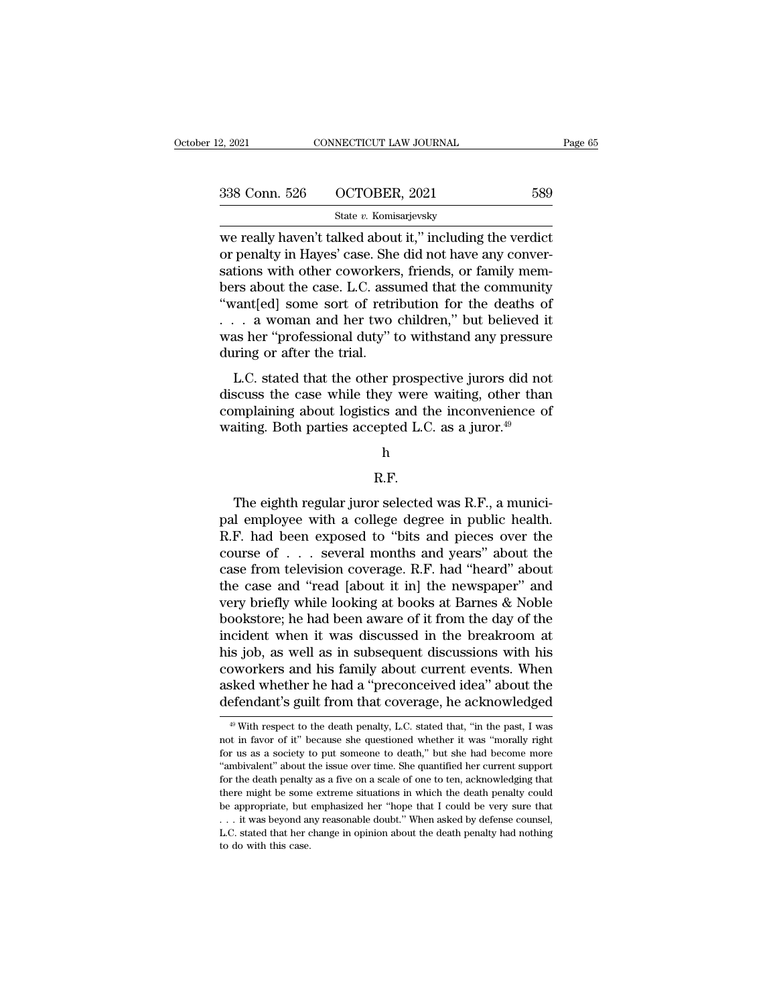| 12, 2021      | CONNECTICUT LAW JOURNAL                                                                                                                                                    | Page 65 |
|---------------|----------------------------------------------------------------------------------------------------------------------------------------------------------------------------|---------|
| 338 Conn. 526 | OCTOBER, 2021                                                                                                                                                              | 589     |
|               | State v. Komisarjevsky                                                                                                                                                     |         |
|               | we really haven't talked about it," including the verdict<br>or penalty in Hayes' case. She did not have any conver-<br>cotions with other cowerkers friends or family mem |         |

 $\begin{array}{ll} \text{338 Conn.} \text{ 526} & \text{OCTOBER, 2021} & \text{589} \\ \text{State } v. \text{ Komisarjevsky} \end{array}$ <br>we really haven't talked about it," including the verdict or penalty in Hayes' case. She did not have any conver-<br>sations with other coworkers, frie  $\begin{array}{ll} \textbf{338} \text{ Conn. } 526 \text{ } \text{ } \text{OCTOBER, 2021} \text{ } \textbf{589} \\ \textbf{State } v. \text{ Komisarjevsky} \\ \textbf{we really haven't talked about it, " including the verdict or penalty in Hayes' case. She did not have any conversations with other coworkers, friends, or family members about the case. L.C. assumed that the community "wantfold some sort of ratribution for the deaths of the data.} \end{array}$  $\begin{array}{r} \text{338 Conn. } 526 \quad \text{OCTOBER, } 2021 \quad \text{589} \\ \text{State } v. \text{ Komisarjevsky} \\ \text{we really haven't talked about it,' including the verdict} \\ \text{or penalty in Hayes' case. She did not have any conver-} \\ \text{sations with other coworkers, friends, or family members about the case. L.C. assumed that the community \\ \text{``want [ed] some sort of retribution for the deaths of a woman and her two children." but believed it} \end{array}$ State v. Komisarjevsky<br>
We really haven't talked about it," including the verdict<br>
or penalty in Hayes' case. She did not have any conver-<br>
sations with other coworkers, friends, or family mem-<br>
bers about the case. L.C. State v. Komsarjevsky<br>we really haven't talked about it," including the verdict<br>or penalty in Hayes' case. She did not have any conver-<br>sations with other coworkers, friends, or family mem-<br>bers about the case. L.C. assum we really haven't talked about it," including the verdict<br>or penalty in Hayes' case. She did not have any conver-<br>sations with other coworkers, friends, or family mem-<br>bers about the case. L.C. assumed that the community<br>" % or penalty in Hayes' case. She did not have any conversations with other coworkers, friends, or family members about the case. L.C. assumed that the community "want[ed] some sort of retribution for the deaths of  $\ldots$  a EXECT: SERVICE TOWORKERS, THERD, OF TAILITY IRENT<br>
The state of that the community<br>
vant[ed] some sort of retribution for the deaths of<br>
. a woman and her two children," but believed it<br>
as her "professional duty" to withs "want[ed] some sort of retribution for the deaths of  $\dots$  a woman and her two children," but believed it was her "professional duty" to withstand any pressure during or after the trial.<br>L.C. stated that the other prospect

wanted some sort of retribution for the deaths of  $\ldots$  a woman and her two children," but believed it was her "professional duty" to withstand any pressure during or after the trial.<br>L.C. stated that the other prospectiv was her "professional duty" to withstand any pressure<br>during or after the trial.<br>L.C. stated that the other prospective jurors did not<br>discuss the case while they were waiting, other than<br>complaining about logistics and t

h

### R.F.

mplaining about logistics and the inconvenience of<br>inting. Both parties accepted L.C. as a juror.<sup>49</sup><br>h<br> $R.F.$ <br>The eighth regular juror selected was R.F., a munici-<br>il employee with a college degree in public health.<br> $F_1$ palming about logistics and the inconventence of<br>waiting. Both parties accepted L.C. as a juror.<sup>49</sup><br>h<br> $R.F.$ <br>The eighth regular juror selected was R.F., a munici-<br>pal employee with a college degree in public health.<br>R.F. R.F.<br>
The eighth regular juror selected was R.F., a munici-<br>
pal employee with a college degree in public health.<br>
R.F. had been exposed to "bits and pieces over the<br>
course of  $\dots$  several months and years" about the<br>
ca h<br>
R.F.<br>
The eighth regular juror selected was R.F., a munici-<br>
pal employee with a college degree in public health.<br>
R.F. had been exposed to "bits and pieces over the<br>
course of . . . several months and years" about the<br> R.F.<br>The eighth regular juror selected was R.F., a munici-<br>pal employee with a college degree in public health.<br>R.F. had been exposed to "bits and pieces over the<br>course of . . . several months and years" about the<br>case fr The eighth regular juror selected was R.F., a munici-<br>pal employee with a college degree in public health.<br>R.F. had been exposed to "bits and pieces over the<br>course of  $\ldots$  several months and years" about the<br>case from t The eighth regular juror selected was R.F., a munici-<br>pal employee with a college degree in public health.<br>R.F. had been exposed to "bits and pieces over the<br>course of  $\ldots$  several months and years" about the<br>case from t pal employee with a college degree in public health.<br>R.F. had been exposed to "bits and pieces over the<br>course of . . . several months and years" about the<br>case from television coverage. R.F. had "heard" about<br>the case and R.F. had been exposed to "bits and pieces over the course of . . . several months and years" about the case from television coverage. R.F. had "heard" about the case and "read [about it in] the newspaper" and very briefly course of . . . several months and years" about the case from television coverage. R.F. had "heard" about the case and "read [about it in] the newspaper" and very briefly while looking at books at Barnes & Noble bookstore; case from television coverage. R.F. had "heard" about<br>the case and "read [about it in] the newspaper" and<br>very briefly while looking at books at Barnes & Noble<br>bookstore; he had been aware of it from the day of the<br>inciden the case and "read [about it in] the newspaper" and<br>very briefly while looking at books at Barnes & Noble<br>bookstore; he had been aware of it from the day of the<br>incident when it was discussed in the breakroom at<br>his job, a very briefly while looking at books at Barnes & Noble<br>bookstore; he had been aware of it from the day of the<br>incident when it was discussed in the breakroom at<br>his job, as well as in subsequent discussions with his<br>coworke his job, as well as in subsequent discussions with his coworkers and his family about current events. When asked whether he had a "preconceived idea" about the defendant's guilt from that coverage, he acknowledged  $\overline{\text{$ coworkers and his family about current events. When<br>asked whether he had a "preconceived idea" about the<br>defendant's guilt from that coverage, he acknowledged<br> $\overbrace{\phantom{a^{\#}}^{\#}}$  With respect to the death penalty, L.C. sta

asked whether he had a "preconceived idea" about the defendant's guilt from that coverage, he acknowledged  $*$  with respect to the death penalty, L.C. stated that, "in the past, I was not in favor of it" because she questi defendant's guilt from that coverage, he acknowledged<br>
<sup>49</sup> With respect to the death penalty, L.C. stated that, "in the past, I was<br>
not in favor of it" because she questioned whether it was "morally right<br>
for us as a so  $\frac{40}{40}$  With respect to the death penalty, L.C. stated that, "in the past, I was not in favor of it" because she questioned whether it was "morally right for us as a society to put someone to death," but she had becom <sup>49</sup> With respect to the death penalty, L.C. stated that, "in the past, I was not in favor of it" because she questioned whether it was "morally right for us as a society to put someone to death," but she had become more be appropriate, but emphasized her "hope that I could be very sure that it was "morally right for us as a society to put someone to death," but she had become more "ambivalent" about the issue over time. She quantified her For us as a society to put someone to death," but she had become more "ambivalent" about the issue over time. She quantified her current support for the death penalty as a five on a scale of one to ten, acknowledging that "ambivalent" about the issue over time. She quantified her current support for the death penalty as a five on a scale of one to ten, acknowledging that there might be some extreme situations in which the death penalty cou For the death penalty<br>there might be some<br>be appropriate, but<br> $\dots$  it was beyond and<br> $L.C.$  stated that her c<br>to do with this case.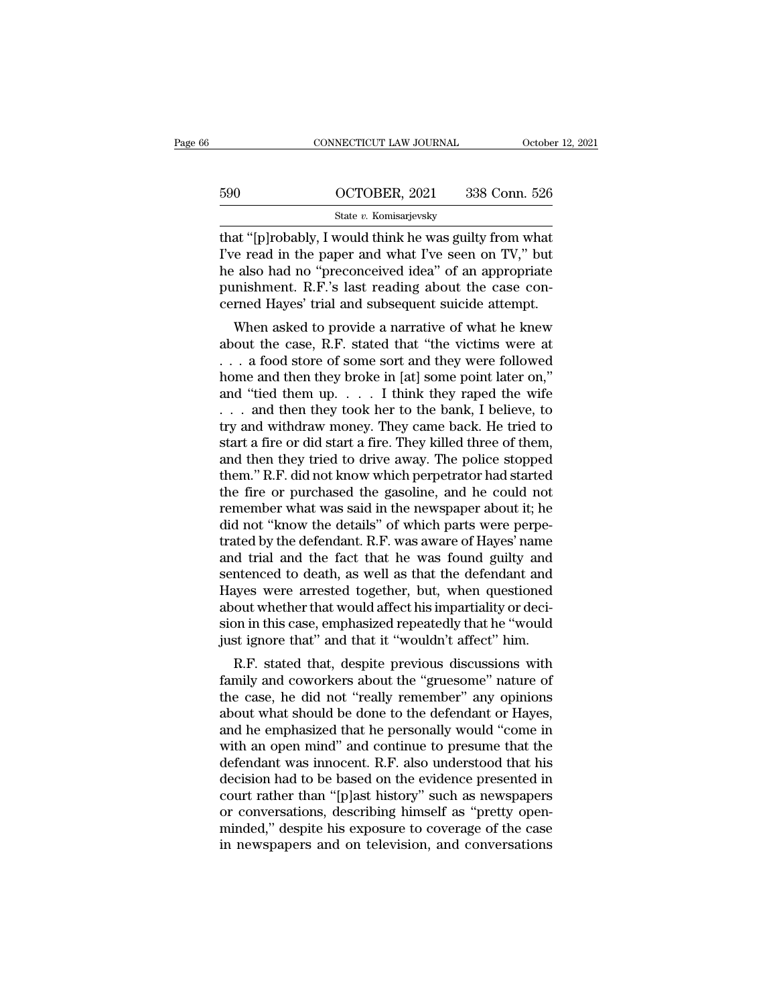| CONNECTICUT LAW JOURNAL                                 | October 12, 2021                                     |
|---------------------------------------------------------|------------------------------------------------------|
|                                                         |                                                      |
| OCTOBER, 2021                                           | 338 Conn. 526                                        |
| State v. Komisarjevsky                                  |                                                      |
| that "[p]robably, I would think he was guilty from what |                                                      |
| I've read in the paper and what I've seen on TV," but   |                                                      |
|                                                         | he also had no "proconceived idea" of an appropriate |

590 OCTOBER, 2021 338 Conn. 526<br>
State v. Komisarjevsky<br>
That "[p]robably, I would think he was guilty from what<br>
I've read in the paper and what I've seen on TV," but<br>
the also had no "preconceived idea" of an appropriate  $\frac{\text{690}}{\text{State } v. \text{ Komisarjevsky}}$ <br>  $\frac{\text{State } v. \text{ Komisarjevsky}}{\text{that}}$ <br>
that "[p]robably, I would think he was guilty from what<br>
I've read in the paper and what I've seen on TV," but<br>
he also had no "preconceived idea" of an appropriat  $\frac{\text{590}}{\text{State } v. \text{ Komisarjevsky}}$ <br>
that "[p]robably, I would think he was guilty from what<br>
I've read in the paper and what I've seen on TV," but<br>
the also had no "preconceived idea" of an appropriate<br>
punishment. R.F.'s last State v. Komisarjevsky<br>
that "[p]robably, I would think he was guilty from what<br>
I've read in the paper and what I've seen on TV," but<br>
he also had no "preconceived idea" of an appropriate<br>
punishment. R.F.'s last reading at "[p]robably, I would think he was guilty from what<br>
e read in the paper and what I've seen on TV," but<br>
also had no "preconceived idea" of an appropriate<br>
mishment. R.F.'s last reading about the case con-<br>
rmed Hayes' t The case, N.F. stated that 'the victims were at<br>also had no "preconceived idea" of an appropriate<br>punishment. R.F.'s last reading about the case con-<br>cerned Hayes' trial and subsequent suicide attempt.<br>When asked to provid

re read in the paper and what I ve seen on Tv, but<br>he also had no "preconceived idea" of an appropriate<br>punishment. R.F.'s last reading about the case con-<br>cerned Hayes' trial and subsequent suicide attempt.<br>When asked to homeonical the asso had no peconceived deal of all appropriate<br>punishment. R.F.'s last reading about the case con-<br>cerned Hayes' trial and subsequent suicide attempt.<br>When asked to provide a narrative of what he knew<br>about punismment. K.F. s fast reading about the case concerned Hayes' trial and subsequent suicide attempt.<br>
When asked to provide a narrative of what he knew<br>
about the case, R.F. stated that "the victims were at<br>
. . . a food When asked to provide a narrative of what he knew<br>about the case, R.F. stated that "the victims were at<br> $\dots$  a food store of some sort and they were followed<br>home and then they broke in [at] some point later on,"<br>and "tie When asked to provide a narrative of what he knew<br>about the case, R.F. stated that "the victims were at<br> $\ldots$  a food store of some sort and they were followed<br>home and then they broke in [at] some point later on,"<br>and "ti about the case, R.F. stated that "the victims were at  $\ldots$  a food store of some sort and they were followed<br>home and then they broke in [at] some point later on,"<br>and "tied them up.  $\ldots$  I think they raped the wife<br> $\ldots$ . . . a food store of some sort and they were followed<br>home and then they broke in [at] some point later on,"<br>and "tied them up. . . . I think they raped the wife<br>. . . and then they took her to the bank, I believe, to<br>tr home and then they broke in [at] some point later on,"<br>and "tied them up. . . . . I think they raped the wife<br>. . . and then they took her to the bank, I believe, to<br>try and withdraw money. They came back. He tried to<br>sta and "tied them up.  $\ldots$  I think they raped the wife  $\ldots$  and then they took her to the bank, I believe, to try and withdraw money. They came back. He tried to start a fire or did start a fire. They killed three of them, . . . and then they took her to the bank, I believe, to<br>try and withdraw money. They came back. He tried to<br>start a fire or did start a fire. They killed three of them,<br>and then they tried to drive away. The police stoppe try and withdraw money. They came back. He tried to<br>start a fire or did start a fire. They killed three of them,<br>and then they tried to drive away. The police stopped<br>them.'' R.F. did not know which perpetrator had started start a fire or did start a fire. They killed three of them,<br>and then they tried to drive away. The police stopped<br>them." R.F. did not know which perpetrator had started<br>the fire or purchased the gasoline, and he could not and then they tried to drive away. The police stopped<br>them." R.F. did not know which perpetrator had started<br>the fire or purchased the gasoline, and he could not<br>remember what was said in the newspaper about it; he<br>did not them." R.F. did not know which perpetrator had started<br>the fire or purchased the gasoline, and he could not<br>remember what was said in the newspaper about it; he<br>did not "know the details" of which parts were perpe-<br>trated the fire or purchased the gasoline, and he could not<br>remember what was said in the newspaper about it; he<br>did not "know the details" of which parts were perpe-<br>trated by the defendant. R.F. was aware of Hayes' name<br>and tri remember what was said in the newspaper about it; he<br>did not "know the details" of which parts were perpe-<br>trated by the defendant. R.F. was aware of Hayes' name<br>and trial and the fact that he was found guilty and<br>sentence did not "know the details" of which parts were perpe-<br>trated by the defendant. R.F. was aware of Hayes' name<br>and trial and the fact that he was found guilty and<br>sentenced to death, as well as that the defendant and<br>Hayes w trated by the defendant. R.F. was aware of Hayes' name<br>and trial and the fact that he was found guilty and<br>sentenced to death, as well as that the defendant and<br>Hayes were arrested together, but, when questioned<br>about whet In the fact that he was found guity and<br>intenced to death, as well as that the defendant and<br>ayes were arrested together, but, when questioned<br>out whether that would affect his impartiality or deci-<br>on in this case, emphas semenced to death, as well as that the defendant and<br>Hayes were arrested together, but, when questioned<br>about whether that would affect his impartiality or deci-<br>sion in this case, emphasized repeatedly that he "would<br>just

Trayes were arrested together, but, when questioned<br>about whether that would affect his impartiality or deci-<br>sion in this case, emphasized repeatedly that he "would<br>just ignore that" and that it "wouldn't affect" him.<br>R.F about whether that would affect ins impartianty or decision in this case, emphasized repeatedly that he "would<br>just ignore that" and that it "wouldn't affect" him.<br>R.F. stated that, despite previous discussions with<br>family sion in this case, emphasized repeatedly that he would<br>just ignore that" and that it "wouldn't affect" him.<br>R.F. stated that, despite previous discussions with<br>family and coworkers about the "gruesome" nature of<br>the case, R.F. stated that, despite previous discussions with<br>family and coworkers about the "gruesome" nature of<br>the case, he did not "really remember" any opinions<br>about what should be done to the defendant or Hayes,<br>and he emphas R.F. stated that, despite previous discussions with<br>family and coworkers about the "gruesome" nature of<br>the case, he did not "really remember" any opinions<br>about what should be done to the defendant or Hayes,<br>and he emphas family and coworkers about the "gruesome" nature of<br>the case, he did not "really remember" any opinions<br>about what should be done to the defendant or Hayes,<br>and he emphasized that he personally would "come in<br>with an open the case, he did not "really remember" any opinions<br>about what should be done to the defendant or Hayes,<br>and he emphasized that he personally would "come in<br>with an open mind" and continue to presume that the<br>defendant was about what should be done to the defendant or Hayes,<br>and he emphasized that he personally would "come in<br>with an open mind" and continue to presume that the<br>defendant was innocent. R.F. also understood that his<br>decision ha and he emphasized that he personally would "come in<br>with an open mind" and continue to presume that the<br>defendant was innocent. R.F. also understood that his<br>decision had to be based on the evidence presented in<br>court rath with an open mind" and continue to presume that the<br>defendant was innocent. R.F. also understood that his<br>decision had to be based on the evidence presented in<br>court rather than "[p]ast history" such as newspapers<br>or conve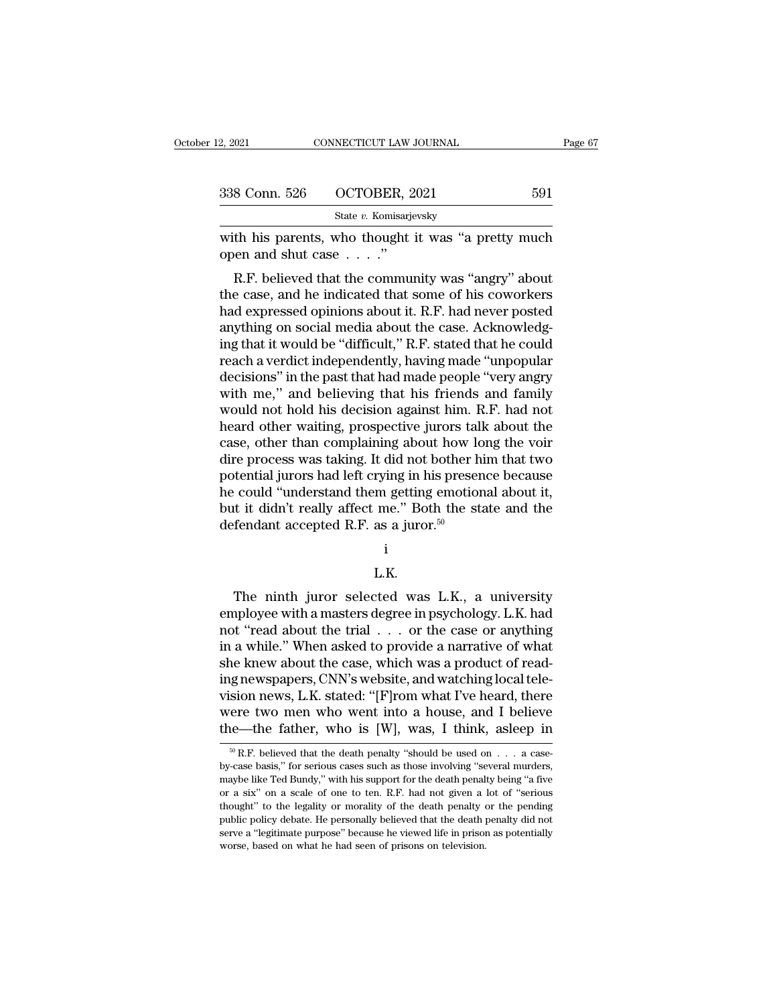| 12, 2021            | CONNECTICUT LAW JOURNAL                               | Page 67 |
|---------------------|-------------------------------------------------------|---------|
|                     |                                                       |         |
| 338 Conn. 526       | OCTOBER, 2021                                         | 591     |
|                     | State v. Komisarjevsky                                |         |
| open and shut case" | with his parents, who thought it was "a pretty much   |         |
|                     | R.F. believed that the community was "angry" about    |         |
|                     | the case, and he indicated that some of his coworkers |         |
|                     | had expressed opinions about it. P.F. had nove posted |         |

338 Conn. 526 OCTOBER, 2021 591<br>
State v. Komisarjevsky<br>
with his parents, who thought it was "a pretty much<br>
open and shut case . . . ."<br>
R.F. believed that the community was "angry" about<br>
the case, and he indicated tha State v. Komisarjevsky<br>
with his parents, who thought it was "a pretty much<br>
open and shut case . . . ."<br>
R.F. believed that the community was "angry" about<br>
the case, and he indicated that some of his coworkers<br>
had expr with his parents, who thought it was "a pretty much<br>open and shut case  $\dots$ ."<br>R.F. believed that the community was "angry" about<br>the case, and he indicated that some of his coworkers<br>had expressed opinions about it. R.F. with its parents, who thought it was a pretty intich<br>open and shut case  $\ldots$ ."<br>R.F. believed that the community was "angry" about<br>the case, and he indicated that some of his coworkers<br>had expressed opinions about it. R.F R.F. believed that the community was "angry" about<br>the case, and he indicated that some of his coworkers<br>had expressed opinions about it. R.F. had never posted<br>anything on social media about the case. Acknowledg-<br>ing that R.F. believed that the community was "angry" about<br>the case, and he indicated that some of his coworkers<br>had expressed opinions about it. R.F. had never posted<br>anything on social media about the case. Acknowledg-<br>ing that the case, and he indicated that some of his coworkers<br>had expressed opinions about it. R.F. had never posted<br>anything on social media about the case. Acknowledg-<br>ing that it would be "difficult," R.F. stated that he could<br> had expressed opinions about it. R.F. had never posted<br>anything on social media about the case. Acknowledg-<br>ing that it would be "difficult," R.F. stated that he could<br>reach a verdict independently, having made "unpopular<br> anything on social media about the case. Acknowledg-<br>ing that it would be "difficult," R.F. stated that he could<br>reach a verdict independently, having made "unpopular<br>decisions" in the past that had made people "very angry ing that it would be "difficult," R.F. stated that he could<br>reach a verdict independently, having made "unpopular<br>decisions" in the past that had made people "very angry<br>with me," and believing that his friends and family<br> reach a verdict independently, having made "unpopular<br>decisions" in the past that had made people "very angry<br>with me," and believing that his friends and family<br>would not hold his decision against him. R.F. had not<br>heard decisions" in the past that had made people "very angry<br>with me," and believing that his friends and family<br>would not hold his decision against him. R.F. had not<br>heard other waiting, prospective jurors talk about the<br>case, with me," and believing that his friends and family<br>would not hold his decision against him. R.F. had not<br>heard other waiting, prospective jurors talk about the<br>case, other than complaining about how long the voir<br>dire pr would not hold his decision against him. R.F. had not<br>heard other waiting, prospective jurors talk about the<br>case, other than complaining about how long the voir<br>dire process was taking. It did not bother him that two<br>pot heard other waiting, prospective jurors tall case, other than complaining about how lo<br>dire process was taking. It did not bother h<br>potential jurors had left crying in his preser<br>he could "understand them getting emotion<br> Fractional understand them getting emotional about it,<br>t it didn't really affect me." Both the state and the<br>fendant accepted R.F. as a juror.<sup>50</sup><br>i<br>L.K.<br>The ninth juror selected was L.K., a university<br>pployee with a mast

### i

### L.K.

but it didn't really affect me. Both the state and the<br>defendant accepted R.F. as a juror.<sup>50</sup><br> $\vdots$ <br>L.K.<br>The ninth juror selected was L.K., a university<br>employee with a masters degree in psychology. L.K. had<br>not "read ab not ''read about the trial . . . or the case or anything i<br>L.K.<br>The ninth juror selected was L.K., a university<br>employee with a masters degree in psychology. L.K. had<br>not "read about the trial . . . or the case or anything<br>in a while." When asked to provide a narrative of what<br>s L.K.<br>
The ninth juror selected was L.K., a university<br>
employee with a masters degree in psychology. L.K. had<br>
not "read about the trial  $\dots$  or the case or anything<br>
in a while." When asked to provide a narrative of what I.K.<br>The ninth juror selected was L.K., a university<br>employee with a masters degree in psychology. L.K. had<br>not "read about the trial  $\ldots$  or the case or anything<br>in a while." When asked to provide a narrative of what<br>sh The ninth juror selected was L.K., a university<br>employee with a masters degree in psychology. L.K. had<br>not "read about the trial  $\ldots$  or the case or anything<br>in a while." When asked to provide a narrative of what<br>she kne employee with a masters degree in psychology. L.K. had<br>not "read about the trial  $\ldots$  or the case or anything<br>in a while." When asked to provide a narrative of what<br>she knew about the case, which was a product of read-<br>i not "read about the trial . . . or the case or anything<br>in a while." When asked to provide a narrative of what<br>she knew about the case, which was a product of read-<br>ing newspapers, CNN's website, and watching local tele-<br> ighthat the death with the death penalty ishould be used on . . . a case-<br>sion news, L.K. stated: "[F]rom what I've heard, there<br>ere two men who went into a house, and I believe<br>the—the father, who is [W], was, I think, a vision news, L.K. stated: "[F]rom what I've heard, there were two men who went into a house, and I believe the—the father, who is [W], was, I think, asleep in  $\frac{60}{10}$  R.F. believed that the death penalty "should be us

were two men who went into a house, and I believe<br>the—the father, who is [W], was, I think, asleep in<br> $\frac{1}{100}$  R.F. believed that the death penalty "should be used on . . . a case-<br>by-case basis," for serious cases suc the—the father, who is [W], was, I think, asleep in<br>  $\frac{60 \text{ R.F.}}{100 \text{ R.F.}}$  believed that the death penalty "should be used on . . . a case-<br>
by-case basis," for serious cases such as those involving "several murders,<br> The lattice, who is  $\lfloor w \rfloor$ , was, I think, asteep in  $\frac{w}{w}$ . The lattice, who is  $\lfloor w \rfloor$ , was, I think, asteep in  $\frac{w}{w}$ . The death penalty "should be used on  $\ldots$  a case-<br>by-case basis," for serious cases such <sup>50</sup> R.F. believed that the death penalty "should be used on  $\ldots$  a case-<br>by-case basis," for serious cases such as those involving "several murders,<br>maybe like Ted Bundy," with his support for the death penalty being "a by-case basis," for serious cases such as those involving "several murders, maybe like Ted Bundy," with his support for the death penalty being "a five or a six" on a scale of one to ten. R.F. had not given a lot of "serio maybe like Ted Bundy," with his support for the death penalty being "a five or a six" on a scale of one to ten. R.F. had not given a lot of "serious thought" to the legality or morality of the death penalty or the pending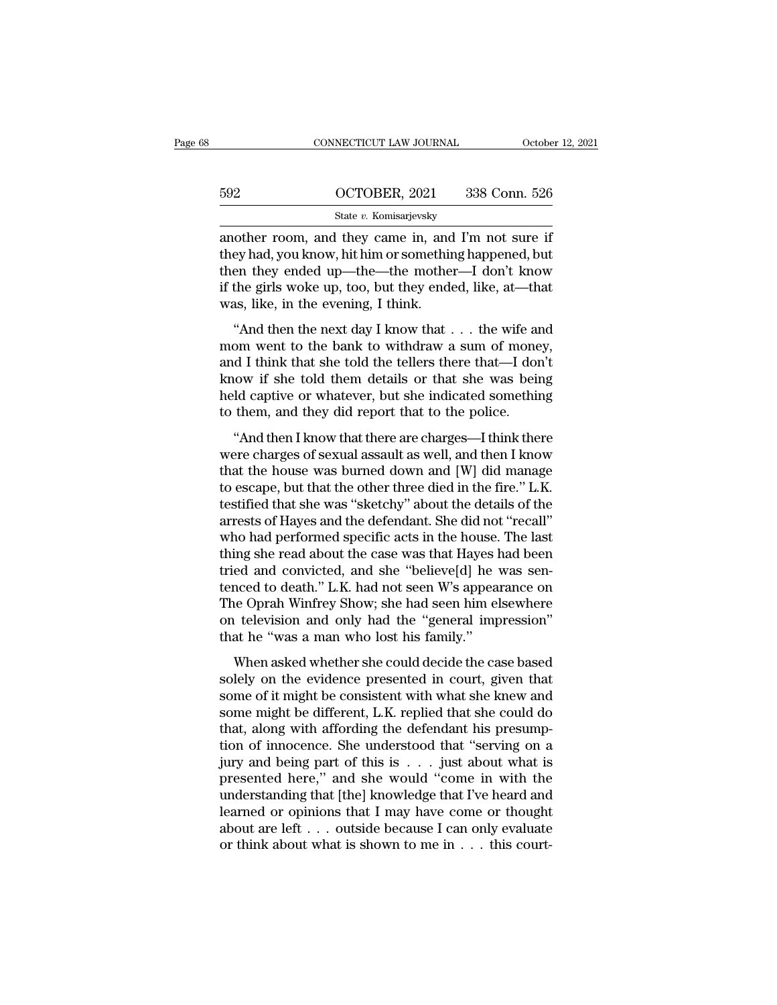|     | CONNECTICUT LAW JOURNAL | October 12, 2021 |
|-----|-------------------------|------------------|
|     |                         |                  |
| 592 | OCTOBER, 2021           | 338 Conn. 526    |
|     | State v. Komisarjevsky  |                  |

CONNECTICUT LAW JOURNAL October 12, 202<br>
State v. Komisarjevsky<br>
another room, and they came in, and I'm not sure if<br>
they had, you know, hit him or something happened, but<br>
then they ended up the the mether I don't know. 592 OCTOBER, 2021 338 Conn. 526<br>
State v. Komisarjevsky<br>
another room, and they came in, and I'm not sure if<br>
they had, you know, hit him or something happened, but<br>
then they ended up—the—the mother—I don't know<br>
if the g 592 OCTOBER, 2021 338 Conn. 526<br>
State v. Komisarjevsky<br>
another room, and they came in, and I'm not sure if<br>
they had, you know, hit him or something happened, but<br>
then they ended up—the—the mother—I don't know<br>
if the 592 OCTOBER, 2021 338 Conn. 526<br>
State v. Komisarjevsky<br>
another room, and they came in, and I'm not sure if<br>
they had, you know, hit him or something happened, but<br>
then they ended up—the—the mother—I don't know<br>
if the State v. Komisarjevsky<br>State v. Komisarjevsky<br>another room, and they came in, and<br>they had, you know, hit him or somethin<br>then they ended up—the—the mothe<br>if the girls woke up, too, but they end<br>was, like, in the evening, other room, and they came in, and I'm not sure if<br>
ey had, you know, hit him or something happened, but<br>
en they ended up—the—the mother—I don't know<br>
the girls woke up, too, but they ended, like, at—that<br>
as, like, in the momet Froom, and they cance m, and Fin not suce not<br>they had, you know, hit him or something happened, but<br>then they ended up—the—the mother—I don't know<br>if the girls woke up, too, but they ended, like, at—that<br>was, like,

and I think that she told them details or that she was being<br>help and I think that was, like, in the evening, I think.<br>"And then the next day I know that . . . the wife and<br>mom went to the bank to withdraw a sum of money,<br> if the girls woke up, too, but they ended, like, at—that was, like, in the evening, I think.<br>
"And then the next day I know that  $\dots$  the wife and mom went to the bank to withdraw a sum of money, and I think that she told held captive or what is a sheaf of the point of the sole and was, like, in the evening, I think.<br>
"And then the next day I know that  $\ldots$  the wife and<br>
mom went to the bank to withdraw a sum of money,<br>
and I think that s "And then the next day I know that  $\ldots$  the wife are mom went to the bank to withdraw a sum of mone and I think that she told the tellers there that—I dore know if she told them details or that she was bein held captive That aren'the heat and Franch and the means then I know that  $\cdot \cdot \cdot$  are whe and<br>om went to the bank to withdraw a sum of money,<br>d I think that she told them details or that she was being<br>ld captive or whatever, but she mom were collected as well as said of money,<br>and I think that she told the tellers there that—I don't<br>know if she told them details or that she was being<br>held captive or whatever, but she indicated something<br>to them, and t

know if she told them details or that she was being<br>held captive or whatever, but she indicated something<br>to them, and they did report that to the police.<br>"And then I know that there are charges—I think there<br>were charges the order of the set of the matter of the matter of the police.<br>
"And then I know that there are charges—I think there<br>
were charges of sexual assault as well, and then I know<br>
that the house was burned down and [W] did ma testified than a they did report that to the police.<br>
"And then I know that there are charges—I think there<br>
were charges of sexual assault as well, and then I know<br>
that the house was burned down and [W] did manage<br>
to es and the defendant of the police.<br>
"And then I know that there are charges—I think there<br>
were charges of sexual assault as well, and then I know<br>
that the house was burned down and [W] did manage<br>
to escape, but that the o "And then I know that there are charges—I think there were charges of sexual assault as well, and then I know that the house was burned down and [W] did manage to escape, but that the other three died in the fire." L.K. t were charges of sexual assault as well, and then I know<br>that the house was burned down and [W] did manage<br>to escape, but that the other three died in the fire." L.K.<br>testified that she was "sketchy" about the details of th that the house was burned down and [W] did manage<br>to escape, but that the other three died in the fire." L.K.<br>testified that she was "sketchy" about the details of the<br>arrests of Hayes and the defendant. She did not "recal to escape, but that the other three died in the fire." L.K.<br>testified that she was "sketchy" about the details of the<br>arrests of Hayes and the defendant. She did not "recall"<br>who had performed specific acts in the house. T testified that she was "sketchy" about the details of the<br>arrests of Hayes and the defendant. She did not "recall"<br>who had performed specific acts in the house. The last<br>thing she read about the case was that Hayes had bee arrests of Hayes and the defendant. She did not "recall"<br>who had performed specific acts in the house. The last<br>thing she read about the case was that Hayes had been<br>tried and convicted, and she "believe[d] he was sen-<br>ten who had performed specific acts in the house.<br>thing she read about the case was that Hayes l<br>tried and convicted, and she "believe[d] he<br>tenced to death." L.K. had not seen W's appea<br>The Oprah Winfrey Show; she had seen hi ed and convicted, and she "believe[d] he was sen-<br>ed and convicted, and she "believe[d] he was sen-<br>nced to death." L.K. had not seen W's appearance on<br>ne Oprah Winfrey Show; she had seen him elsewhere<br>television and only shows the evidence presented in control of the exist of the ends of the ends of the evidence on the Oprah Winfrey Show; she had seen him elsewhere on television and only had the "general impression" that he "was a man who

someon television and only had the "general impression"<br>The Oprah Winfrey Show; she had seen him elsewhere<br>on television and only had the "general impression"<br>that he "was a man who lost his family."<br>When asked whether she The optain white y show, she had seen that essence<br>on television and only had the "general impression"<br>that he "was a man who lost his family."<br>When asked whether she could decide the case based<br>solely on the evidence pres that he "was a man who lost his family."<br>When asked whether she could decide the case based<br>solely on the evidence presented in court, given that<br>some of it might be consistent with what she knew and<br>some might be differen When asked whether she could decide the case based<br>solely on the evidence presented in court, given that<br>some of it might be consistent with what she knew and<br>some might be different, L.K. replied that she could do<br>that, When asked whether she could decide the case based<br>solely on the evidence presented in court, given that<br>some of it might be consistent with what she knew and<br>some might be different, L.K. replied that she could do<br>that, solely on the evidence presented in court, given that<br>some of it might be consistent with what she knew and<br>some might be different, L.K. replied that she could do<br>that, along with affording the defendant his presump-<br>tion some of it might be consistent with what she knew and<br>some might be different, L.K. replied that she could do<br>that, along with affording the defendant his presump-<br>tion of innocence. She understood that "serving on a<br>jury some might be different, L.K. replied that she could do<br>that, along with affording the defendant his presump-<br>tion of innocence. She understood that "serving on a<br>jury and being part of this is  $\dots$  just about what is<br>pre that, along with affording the defendant his presumption of innocence. She understood that "serving on a jury and being part of this is . . . just about what is presented here," and she would "come in with the understandi tion of innocence. She understood that "serving on a<br>jury and being part of this is . . . just about what is<br>presented here," and she would "come in with the<br>understanding that [the] knowledge that I've heard and<br>learned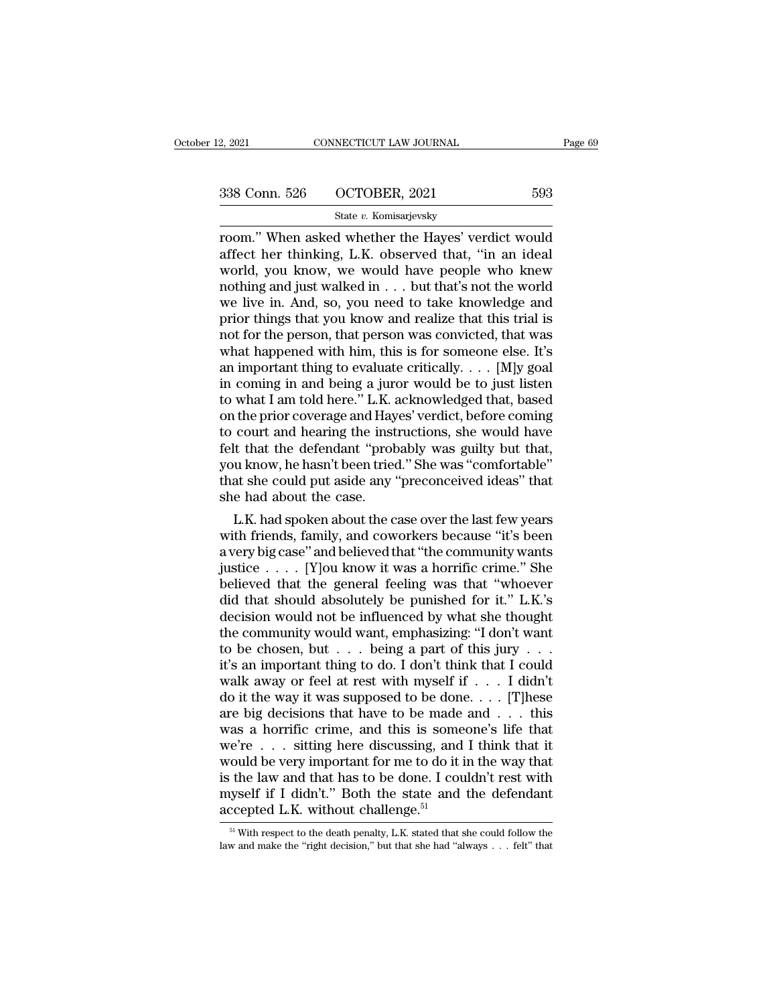# 2, 2021 CONNECTICUT LAW JOURNAL Page 69<br>338 Conn. 526 OCTOBER, 2021 593<br>538 State v. Komisarjevsky

### State *v.* Komisarjevsky

2, 2021 CONNECTICUT LAW JOURNAL Page 69<br>
338 Conn. 526 OCTOBER, 2021 593<br>  $\frac{\text{State } v. \text{ Komisarjevsky}}{\text{State } v. \text{ Komisarjevsky}}$ <br>
room.'' When asked whether the Hayes' verdict would<br>
affect her thinking, L.K. observed that, "in an ideal<br> 338 Conn. 526 OCTOBER, 2021 593<br>
State v. Komisarjevsky<br>
Toom." When asked whether the Hayes' verdict would<br>
affect her thinking, L.K. observed that, "in an ideal<br>
world, you know, we would have people who knew<br>
nothing an 338 Conn. 526 OCTOBER, 2021 593<br>
State v. Komisarjevsky<br>
Toom." When asked whether the Hayes' verdict would<br>
affect her thinking, L.K. observed that, "in an ideal<br>
world, you know, we would have people who knew<br>
nothing a 338 Conn. 526 OCTOBER, 2021 593<br>
State v. Komisarjevsky<br>
room." When asked whether the Hayes' verdict would<br>
affect her thinking, L.K. observed that, "in an ideal<br>
world, you know, we would have people who knew<br>
nothing a Solution 250 CODERCE COLUME 2021<br>
State v. Komisarjevsky<br>
room." When asked whether the Hayes' verdict would<br>
affect her thinking, L.K. observed that, "in an ideal<br>
world, you know, we would have people who knew<br>
nothing State v. Komisarjevsky<br>
proom." When asked whether the Hayes' verdict would<br>
affect her thinking, L.K. observed that, "in an ideal<br>
world, you know, we would have people who knew<br>
nothing and just walked in . . . but that room." When asked whether the Hayes' verdict would<br>affect her thinking, L.K. observed that, "in an ideal<br>world, you know, we would have people who knew<br>nothing and just walked in . . . but that's not the world<br>we live in. affect her thinking, L.K. observed that, "in an ideal<br>world, you know, we would have people who knew<br>nothing and just walked in  $\dots$  but that's not the world<br>we live in. And, so, you need to take knowledge and<br>prior thing world, you know, we would have people who knew<br>nothing and just walked in . . . but that's not the world<br>we live in. And, so, you need to take knowledge and<br>prior things that you know and realize that this trial is<br>not fo nothing and just walked in . . . but that's not the world<br>we live in. And, so, you need to take knowledge and<br>prior things that you know and realize that this trial is<br>not for the person, that person was convicted, that w we live in. And, so, you need to take knowledge and<br>prior things that you know and realize that this trial is<br>not for the person, that person was convicted, that was<br>what happened with him, this is for someone else. It's<br> prior things that you know and realize that this trial is<br>not for the person, that person was convicted, that was<br>what happened with him, this is for someone else. It's<br>an important thing to evaluate critically.  $\dots$  [M]y not for the person, that person was convicted, that was<br>what happened with him, this is for someone else. It's<br>an important thing to evaluate critically. . . . [M]y goal<br>in coming in and being a juror would be to just list what happened with him, this is for someone else. It's<br>an important thing to evaluate critically. . . . [M]y goal<br>in coming in and being a juror would be to just listen<br>to what I am told here." L.K. acknowledged that, bas an important thing to evaluate critically. . . . [M]y goal<br>in coming in and being a juror would be to just listen<br>to what I am told here." L.K. acknowledged that, based<br>on the prior coverage and Hayes' verdict, before comi in coming in and being a juror would be to just listen<br>to what I am told here." L.K. acknowledged that, based<br>on the prior coverage and Hayes' verdict, before coming<br>to court and hearing the instructions, she would have<br>fe to what I am told here." L.K. a<br>on the prior coverage and Hay<br>to court and hearing the inst<br>felt that the defendant "prot<br>you know, he hasn't been tried<br>that she could put aside any "<br>she had about the case.<br>L.K. had spoke L.K. had spoken about the case over the last few years<br>that the defendant "probably was guilty but that,<br>u know, he hasn't been tried." She was "comfortable"<br>at she could put aside any "preconceived ideas" that<br>e had about to court and hearing the instructions, she would have<br>felt that the defendant "probably was guilty but that,<br>you know, he hasn't been tried." She was "comfortable"<br>that she could put aside any "preconceived ideas" that<br>she

relt that the detendant "probably was guilty but that,<br>you know, he hasn't been tried." She was "comfortable"<br>that she could put aside any "preconceived ideas" that<br>she had about the case.<br>L.K. had spoken about the case ov you know, he hasn't been tried." She was "comfortable"<br>that she could put aside any "preconceived ideas" that<br>she had about the case.<br>L.K. had spoken about the case over the last few years<br>with friends, family, and coworke that she could put aside any "preconceived ideas" that<br>she had about the case.<br>L.K. had spoken about the case over the last few years<br>with friends, family, and coworkers because "it's been<br>a very big case" and believed th she had about the case.<br>
L.K. had spoken about the case over the last few years<br>
with friends, family, and coworkers because "it's been<br>
a very big case" and believed that "the community wants<br>
justice . . . . [Y]<br>ou know L.K. had spoken about the case over the last few years<br>with friends, family, and coworkers because "it's been<br>a very big case" and believed that "the community wants<br>justice . . . . . [Y]<br>ou know it was a horrific crime." with friends, family, and coworkers because "it's been<br>a very big case" and believed that "the community wants<br>justice . . . . . [Y]<br>ou know it was a horrific crime." She<br>believed that the general feeling was that "whoeve a very big case" and believed that "the community wants<br>justice . . . . . [Y]ou know it was a horrific crime." She<br>believed that the general feeling was that "whoever<br>did that should absolutely be punished for it." L.K.'s justice . . . . . [Y] ou know it was a horrific crime." She<br>believed that the general feeling was that "whoever<br>did that should absolutely be punished for it." L.K.'s<br>decision would not be influenced by what she thought<br>t believed that the general feeling was that "whoever<br>did that should absolutely be punished for it." L.K.'s<br>decision would not be influenced by what she thought<br>the community would want, emphasizing: "I don't want<br>to be cho did that should absolutely be punished for it." L.K.'s<br>decision would not be influenced by what she thought<br>the community would want, emphasizing: "I don't want<br>to be chosen, but . . . being a part of this jury . . .<br>it's decision would not be influenced by what she thought<br>the community would want, emphasizing: "I don't want<br>to be chosen, but . . . being a part of this jury . . .<br>it's an important thing to do. I don't think that I could<br>w the community would want, emphasizing: "I don't want<br>to be chosen, but . . . being a part of this jury . . .<br>it's an important thing to do. I don't think that I could<br>walk away or feel at rest with myself if . . . I didn' to be chosen, but . . . being a part of this jury . . .<br>it's an important thing to do. I don't think that I could<br>walk away or feel at rest with myself if . . . I didn't<br>do it the way it was supposed to be done. . . . [T] it's an important thing to do. I don't think that I could<br>walk away or feel at rest with myself if . . . I didn't<br>do it the way it was supposed to be done. . . . [T]hese<br>are big decisions that have to be made and . . . th walk away or feel at rest with myself if . . . I didn't<br>do it the way it was supposed to be done. . . . [T]hese<br>are big decisions that have to be made and . . . this<br>was a horrific crime, and this is someone's life that<br>w do it the way it was supposed to be done.... [T]hese<br>are big decisions that have to be made and ... this<br>was a horrific crime, and this is someone's life that<br>we're ... sitting here discussing, and I think that it<br>would b are big decisions that have to be made<br>was a horrific crime, and this is some<br>we're . . . sitting here discussing, and<br>would be very important for me to do it is<br>is the law and that has to be done. I cou<br>myself if I didn' fould be very important for me to do it in the way that<br>the law and that has to be done. I couldn't rest with<br>tyself if I didn't." Both the state and the defendant<br>ceepted L.K. without challenge.<sup>51</sup><br>with respect to the d is the law and that has to be done. I couldn't rest with myself if I didn't." Both the state and the defendant accepted L.K. without challenge.<sup>51</sup><br> $\frac{51 \text{ With respect to the death penalty, L.K. stated that she could follow the law and make the "right decision," but that she had "always . . . felt" that$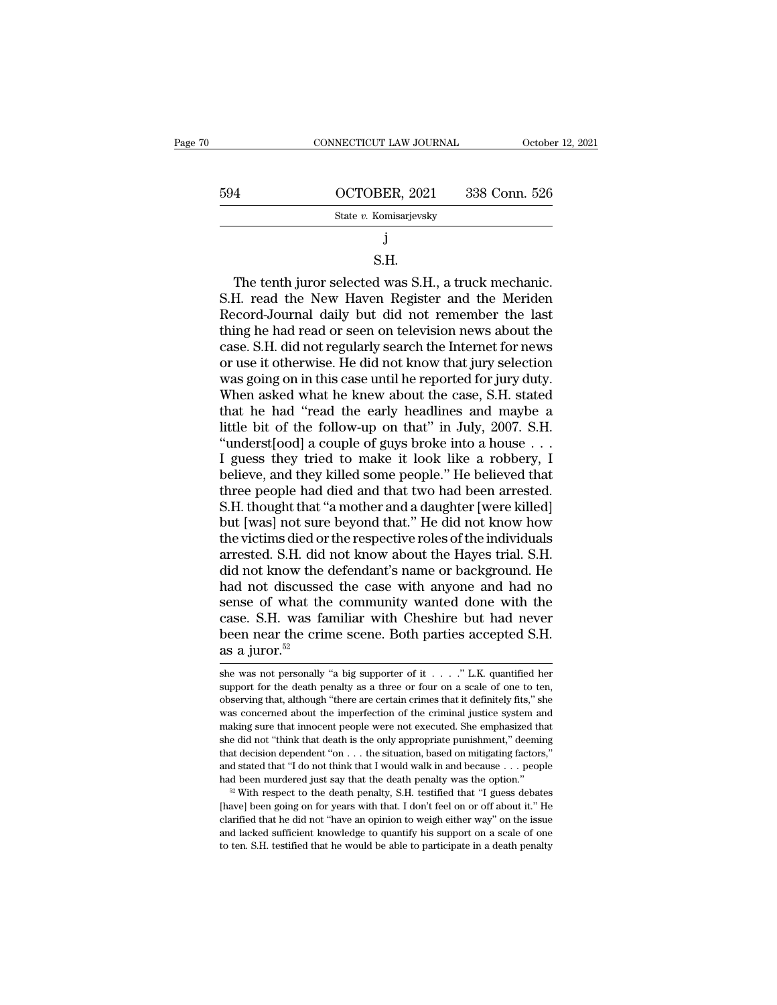| 594<br>OCTOBER, 2021<br>338 Conn. 526                                                                    |  |
|----------------------------------------------------------------------------------------------------------|--|
| State v. Komisarjevsky                                                                                   |  |
|                                                                                                          |  |
| S.H.                                                                                                     |  |
| The tenth juror selected was S.H., a truck mechanic.<br>S.H. read the New Haven Register and the Meriden |  |
| Record-Journal daily but did not remember the last                                                       |  |

### S.H.

State v. Komisarjevsky<br>
S.H.<br>
The tenth juror selected was S.H., a truck mechanic.<br>
S.H. read the New Haven Register and the Meriden<br>
Record-Journal daily but did not remember the last<br>
thing he had read or seen on televi j<br>
S.H.<br>
The tenth juror selected was S.H., a truck mechanic.<br>
S.H. read the New Haven Register and the Meriden<br>
Record-Journal daily but did not remember the last<br>
thing he had read or seen on television news about the<br>
c S.H.<br>S.H. The tenth juror selected was S.H., a truck mechanic.<br>S.H. read the New Haven Register and the Meriden<br>Record-Journal daily but did not remember the last<br>thing he had read or seen on television news about the<br>case S.H.<br>
S.H. read the New Haven Register and the Meriden<br>
S.H. read the New Haven Register and the Meriden<br>
Record-Journal daily but did not remember the last<br>
thing he had read or seen on television news about the<br>
case. S. The tenth juror selected was S.H., a truck mechanic.<br>S.H. read the New Haven Register and the Meriden<br>Record-Journal daily but did not remember the last<br>thing he had read or seen on television news about the<br>case. S.H. did S.H. read the New Haven Register and the Meriden<br>Record-Journal daily but did not remember the last<br>thing he had read or seen on television news about the<br>case. S.H. did not regularly search the Internet for news<br>or use it Record-Journal daily but did not remember the last<br>thing he had read or seen on television news about the<br>case. S.H. did not regularly search the Internet for news<br>or use it otherwise. He did not know that jury selection<br>w thing he had read or seen on television news about the case. S.H. did not regularly search the Internet for news or use it otherwise. He did not know that jury selection was going on in this case until he reported for jury case. S.H. did not regularly search the Internet for news<br>or use it otherwise. He did not know that jury selection<br>was going on in this case until he reported for jury duty.<br>When asked what he knew about the case, S.H. sta or use it otherwise. He did not know that jury selection<br>was going on in this case until he reported for jury duty.<br>When asked what he knew about the case, S.H. stated<br>that he had "read the early headlines and maybe a<br>litt was going on in this case until he reported for jury duty.<br>When asked what he knew about the case, S.H. stated<br>that he had "read the early headlines and maybe a<br>little bit of the follow-up on that" in July, 2007. S.H.<br>"und When asked what he knew about the case, S.H. stated<br>that he had "read the early headlines and maybe a<br>little bit of the follow-up on that" in July, 2007. S.H.<br>"underst[ood] a couple of guys broke into a house . . .<br>I guess that he had "read the early headlines and maybe a<br>little bit of the follow-up on that" in July, 2007. S.H.<br>"underst[ood] a couple of guys broke into a house . . .<br>I guess they tried to make it look like a robbery, I<br>believ little bit of the follow-up on that" in July, 2007. S.H.<br>"underst[ood] a couple of guys broke into a house . . .<br>I guess they tried to make it look like a robbery, I<br>believe, and they killed some people." He believed that<br> "underst[ood] a couple of guys broke into a house  $\ldots$ <br>I guess they tried to make it look like a robbery, I<br>believe, and they killed some people." He believed that<br>three people had died and that two had been arrested.<br>S. I guess they tried to make it look like a robbery, I<br>believe, and they killed some people." He believed that<br>three people had died and that two had been arrested.<br>S.H. thought that "a mother and a daughter [were killed]<br>bu believe, and they killed some people." He believed that<br>three people had died and that two had been arrested.<br>S.H. thought that "a mother and a daughter [were killed]<br>but [was] not sure beyond that." He did not know how<br>th three people had died and that two had been arrested.<br>S.H. thought that "a mother and a daughter [were killed]<br>but [was] not sure beyond that." He did not know how<br>the victims died or the respective roles of the individual S.H. thought that "a mother and a daughter [were killed]<br>but [was] not sure beyond that." He did not know how<br>the victims died or the respective roles of the individuals<br>arrested. S.H. did not know about the Hayes trial. S but [was] not sure beyond that." He did not know how<br>the victims died or the respective roles of the individuals<br>arrested. S.H. did not know about the Hayes trial. S.H.<br>did not know the defendant's name or background. He<br>h the victims died or the respective roles of the individuals arrested. S.H. did not know about the Hayes trial. S.H. did not know the defendant's name or background. He had not discussed the case with anyone and had no sen arrested. S.H. did<br>did not know the<br>had not discussee<br>sense of what the<br>case. S.H. was fa<br>been near the crin<br>as a juror.<sup>52</sup><br>she was not personally sense of what the community wanted done with the case. S.H. was familiar with Cheshire but had never been near the crime scene. Both parties accepted S.H. as a juror.<sup>52</sup><br>she was not personally "a big supporter of it . . case. S.H. was familiar with Cheshire but had never<br>been near the crime scene. Both parties accepted S.H.<br>as a juror.<sup>52</sup><br>she was not personally "a big supporter of it . . . . ." L.K. quantified her<br>support for the death

been near the crime scene. Both parties accepted S.H.<br>as a juror.<sup>52</sup><br>she was not personally "a big supporter of it . . . . " L.K. quantified her<br>support for the death penalty as a three or four on a scale of one to ten,<br> as a juror.<sup>52</sup><br>she was not personally "a big supporter of it  $\ldots$ ." L.K. quantified her<br>support for the death penalty as a three or four on a scale of one to ten,<br>observing that, although "there are certain crimes that as a Juror.<sup>--</sup><br>she was not personally "a big supporter of it  $\ldots$ " L.K. quantified her<br>support for the death penalty as a three or four on a scale of one to ten,<br>observing that, although "there are certain crimes that i she was not personally "a big supporter of it . . . . " L.K. quantified her support for the death penalty as a three or four on a scale of one to ten, observing that, although "there are certain crimes that it definitely support for the death penalty as a three or four on a scale of one to ten, observing that, although "there are certain crimes that it definitely fits," she was concerned about the imperfection of the criminal justice syst betwing that, although "there are certain crimes that it definitely fits," she was concerned about the imperfection of the criminal justice system and making sure that innocent people were not executed. She emphasized that was concerned about the imperfection of the criminal justice system and making sure that innocent people were not executed. She emphasized that she did not "think that death is the only appropriate punishment," deeming th she did not "think that death is the only appropriate punishment," deeming that decision dependent "on . . . the situation, based on mitigating factors," and stated that "I do not think that I would walk in and because .

that decision dependent "on  $\ldots$  the situation, based on mitigating factors,"<br>and stated that "I do not think that I would walk in and because  $\ldots$  people<br>had been murdered just say that the death penalty was the option and stated that "I do not think that I would walk in and because ... people had been murdered just say that the death penalty was the option."<br><sup>22</sup> With respect to the death penalty, S.H. testified that "I guess debates [ and stated that "I do not think that I would walk in and because . . . people had been murdered just say that the death penalty was the option."<br><sup>52</sup> With respect to the death penalty, S.H. testified that "I guess debates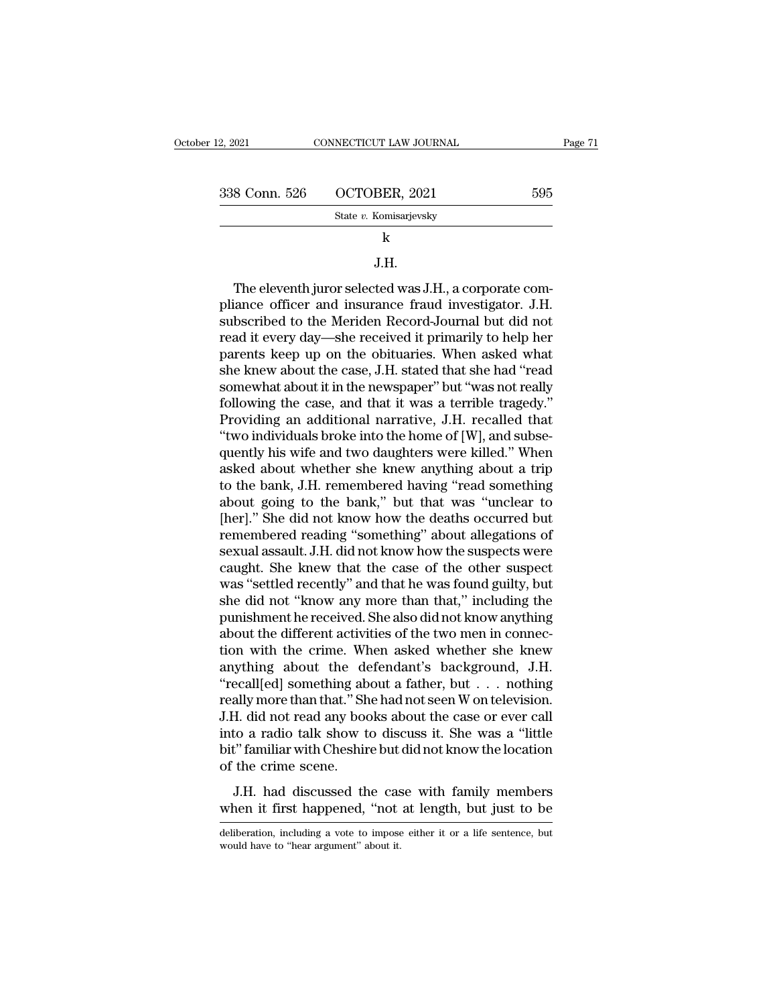| er 12, 2021   | CONNECTICUT LAW JOURNAL | Page 71 |
|---------------|-------------------------|---------|
| 338 Conn. 526 | OCTOBER, 2021           | 595     |
|               | State v. Komisarjevsky  |         |
|               | k                       |         |
|               | J.H.                    |         |

### J.H.

State v. Komisarjevsky<br>  $\overline{\phantom{a}}$ <br>  $\overline{\phantom{a}}$ <br>  $\overline{\phantom{a}}$ <br>  $\overline{\phantom{a}}$ <br>  $\overline{\phantom{a}}$ <br>  $\overline{\phantom{a}}$ <br>  $\overline{\phantom{a}}$ <br>  $\overline{\phantom{a}}$ <br>  $\overline{\phantom{a}}$ <br>  $\overline{\phantom{a}}$ <br>  $\overline{\phantom{a}}$ <br>  $\overline{\phantom{a}}$ <br>  $\overline{\phantom{a}}$ <br>  $\overline{\phantom{a}}$ <br>  $\overline{\phantom{a}}$ <br>  $\$ state v. Komisarjevsky<br>  $\mu$ <br>  $\mu$ <br>  $\mu$ <br>  $\mu$ <br>  $\sigma$ <br>  $\mu$ <br>  $\sigma$ <br>  $\sigma$ <br>  $\mu$ <br>  $\sigma$ <br>  $\sigma$ <br>  $\sigma$ <br>  $\sigma$ <br>  $\sigma$ <br>  $\sigma$ <br>  $\sigma$ <br>  $\sigma$ <br>  $\sigma$ <br>  $\sigma$ <br>  $\sigma$ <br>  $\sigma$ <br>  $\sigma$ <br>  $\sigma$ <br>  $\sigma$ <br>  $\sigma$ <br>  $\sigma$ <br>  $\sigma$ <br>  $\sigma$ <br>  $\sigma$ <br>  $\sigma$ <br>  $\sigma$ <br>  $\sigma$ <br>  $\sigma$ <br> k<br>
J.H.<br>
The eleventh juror selected was J.H., a corporate com-<br>
pliance officer and insurance fraud investigator. J.H.<br>
subscribed to the Meriden Record-Journal but did not<br>
read it every day—she received it primarily to J.H.<br>The eleventh juror selected was J.H., a corporate compliance officer and insurance fraud investigator. J.H.<br>subscribed to the Meriden Record-Journal but did not<br>read it every day—she received it primarily to help her<br> <sup>9.11.</sup><br>The eleventh juror selected was J.H., a corporate com-<br>pliance officer and insurance fraud investigator. J.H.<br>subscribed to the Meriden Record-Journal but did not<br>read it every day—she received it primarily to help The eleventh juror selected was J.H., a corporate compliance officer and insurance fraud investigator. J.H.<br>subscribed to the Meriden Record-Journal but did not<br>read it every day—she received it primarily to help her<br>paren pliance officer and insurance fraud investigator. J.H.<br>subscribed to the Meriden Record-Journal but did not<br>read it every day—she received it primarily to help her<br>parents keep up on the obituaries. When asked what<br>she kne subscribed to the Meriden Record-Journal but did not<br>read it every day—she received it primarily to help her<br>parents keep up on the obituaries. When asked what<br>she knew about the case, J.H. stated that she had "read<br>somewh read it every day—she received it primarily to help her<br>parents keep up on the obituaries. When asked what<br>she knew about the case, J.H. stated that she had "read<br>somewhat about it in the newspaper" but "was not really<br>fol parents keep up on the obituaries. When asked what<br>she knew about the case, J.H. stated that she had "read<br>somewhat about it in the newspaper" but "was not really<br>following the case, and that it was a terrible tragedy."<br>Pr she knew about the case, J.H. stated that she had "read<br>somewhat about it in the newspaper" but "was not really<br>following the case, and that it was a terrible tragedy."<br>Providing an additional narrative, J.H. recalled that somewhat about it in the newspaper" but "was not really<br>following the case, and that it was a terrible tragedy."<br>Providing an additional narrative, J.H. recalled that<br>"two individuals broke into the home of [W], and subsefollowing the case, and that it was a terrible tragedy."<br>Providing an additional narrative, J.H. recalled that<br>"two individuals broke into the home of [W], and subse-<br>quently his wife and two daughters were killed." When<br>a Providing an additional narrative, J.H. recalled that<br>"two individuals broke into the home of [W], and subsequently his wife and two daughters were killed." When<br>asked about whether she knew anything about a trip<br>to the b "two individuals broke into the home of [W], and subsequently his wife and two daughters were killed." When asked about whether she knew anything about a trip to the bank, J.H. remembered having "read something about goin quently his wife and two daughters were killed." When<br>asked about whether she knew anything about a trip<br>to the bank, J.H. remembered having "read something<br>about going to the bank," but that was "unclear to<br>[her]." She di asked about whether she knew anything about a trip<br>to the bank, J.H. remembered having "read something<br>about going to the bank," but that was "unclear to<br>[her]." She did not know how the deaths occurred but<br>remembered read to the bank, J.H. remembered having "read something<br>about going to the bank," but that was "unclear to<br>[her]." She did not know how the deaths occurred but<br>remembered reading "something" about allegations of<br>sexual assault about going to the bank," but that was "unclear to<br>[her]." She did not know how the deaths occurred but<br>remembered reading "something" about allegations of<br>sexual assault. J.H. did not know how the suspects were<br>caught. Sh [her]." She did not know how the deaths occurred but<br>remembered reading "something" about allegations of<br>sexual assault. J.H. did not know how the suspects were<br>caught. She knew that the case of the other suspect<br>was "sett remembered reading "something" about allegations of<br>sexual assault. J.H. did not know how the suspects were<br>caught. She knew that the case of the other suspect<br>was "settled recently" and that he was found guilty, but<br>she d sexual assault. J.H. did not know how the suspects were<br>caught. She knew that the case of the other suspect<br>was "settled recently" and that he was found guilty, but<br>she did not "know any more than that," including the<br>puni caught. She knew that the case of the other suspect<br>was "settled recently" and that he was found guilty, but<br>she did not "know any more than that," including the<br>punishment he received. She also did not know anything<br>abou was "settled recently" and that he was found guilty, but<br>she did not "know any more than that," including the<br>punishment he received. She also did not know anything<br>about the different activities of the two men in connec-<br> she did not "know any more than that," including the<br>punishment he received. She also did not know anything<br>about the different activities of the two men in connec-<br>tion with the crime. When asked whether she knew<br>anything punishment he received. She also did not know anything<br>about the different activities of the two men in connec-<br>tion with the crime. When asked whether she knew<br>anything about the defendant's background, J.H.<br>"recall[ed] s about the different activities of the two men in connection with the crime. When asked whether she knew<br>anything about the defendant's background, J.H.<br>"recall[ed] something about a father, but . . . nothing<br>really more th tion with the crime. When asked whether she knew<br>anything about the defendant's background, J.H.<br>"recall[ed] something about a father, but  $\dots$  nothing<br>really more than that." She had not seen W on television.<br>J.H. did no anything about the defrecall[ed] something ab<br>
"recall[ed] something ab<br>
really more than that." Sh<br>
J.H. did not read any boo<br>
into a radio talk show t<br>
bit" familiar with Cheshir<br>
of the crime scene.<br>
J.H. had discussed Example of Solidacean and the case with the case of ever call<br>ally more than that." She had not seen W on television.<br>H. did not read any books about the case or ever call<br>to a radio talk show to discuss it. She was a "lit J.H. did not read any books about the case or ever call<br>into a radio talk show to discuss it. She was a "little<br>bit" familiar with Cheshire but did not know the location<br>of the crime scene.<br>J.H. had discussed the case with

of the crime scene.<br>J.H. had discussed the case with family members<br>when it first happened, "not at length, but just to be<br>deliberation, including a vote to impose either it or a life sentence, but<br>would have to "hear argu J.H. had discussed the case.<br>when it first happened, "not<br>deliberation, including a vote to impose<br>would have to "hear argument" about it.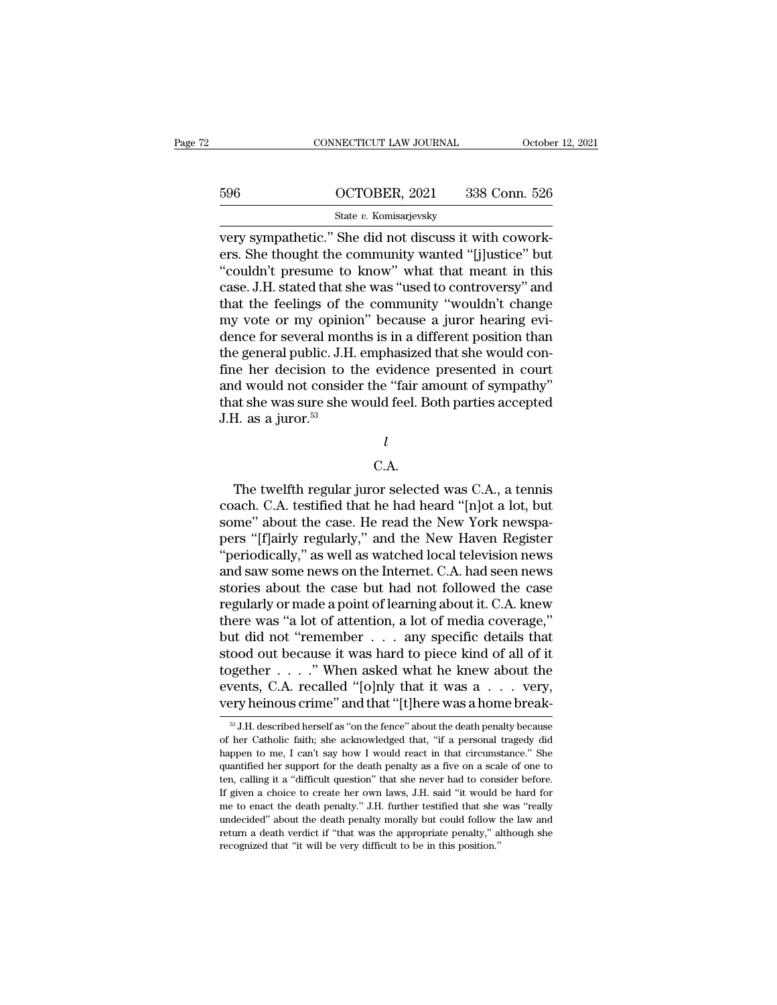|     | CONNECTICUT LAW JOURNAL | October 12, 2021 |
|-----|-------------------------|------------------|
|     |                         |                  |
| 596 | OCTOBER, 2021           | 338 Conn. 526    |
|     | State v. Komisarjevsky  |                  |

CONNECTICUT LAW JOURNAL Octobe<br>
SO COCTOBER, 2021 338 Conn. 526<br>
State v. Komisarjevsky<br>
very sympathetic.'' She did not discuss it with cowork-<br>
ers. She thought the community wanted "[j]ustice" but<br>
"equidn't prosume to Example 1966<br>
Example 1968 Connection CCTOBER, 2021<br>
State v. Komisarjevsky<br>
Very sympathetic." She did not discuss it with cowork-<br>
ers. She thought the community wanted "[j]ustice" but<br>
"couldn't presume to know" what th  $\frac{\text{596}}{\text{State } v. \text{ Komisarjevsky}}$ <br>  $\frac{\text{State } v. \text{ Komisarjevsky}}{\text{very sympathetic." She did not discuss it with coworkers. She thought the community wanted "[j]ustice" but "couldn't pressure to know" what that meant in this case. J.H. stated that she was "used to controversy" and that the folings of the community "wouldh't change.$ 596  $OCTOBER, 2021$  338 Conn. 526<br>
State v. Komisarjevsky<br>
very sympathetic." She did not discuss it with cowork-<br>
ers. She thought the community wanted "[j]ustice" but<br>
"couldn't presume to know" what that meant in this<br>
ca State v. Komisarjevsky<br>
very sympathetic." She did not discuss it with cowork-<br>
ers. She thought the community wanted "[j]ustice" but<br>
"couldn't presume to know" what that meant in this<br>
case. J.H. stated that she was "us state v. Komsarjevsky<br>very sympathetic." She did not discuss it with cowork-<br>ers. She thought the community wanted "[j]ustice" but<br>"couldn't presume to know" what that meant in this<br>case. J.H. stated that she was "used to very sympathetic." She did not discuss it with cowork-<br>ers. She thought the community wanted "[j]ustice" but<br>"couldn't presume to know" what that meant in this<br>case. J.H. stated that she was "used to controversy" and<br>that ers. She thought the community wanted "[j]ustice" but<br>"couldn't presume to know" what that meant in this<br>case. J.H. stated that she was "used to controversy" and<br>that the feelings of the community "wouldn't change<br>my vote "couldn't presume to know" what that meant in this<br>case. J.H. stated that she was "used to controversy" and<br>that the feelings of the community "wouldn't change<br>my vote or my opinion" because a juror hearing evi-<br>dence for case. J.H. stated that she was "used to controversy" and<br>that the feelings of the community "wouldn't change<br>my vote or my opinion" because a juror hearing evi-<br>dence for several months is in a different position than<br>the that the feelings of the community "wouldn't change<br>my vote or my opinion" because a juror hearing evi-<br>dence for several months is in a different position than<br>the general public. J.H. emphasized that she would con-<br>fine my vote or my opinio<br>dence for several monithe general public. J.H.<br>fine her decision to t<br>and would not conside<br>that she was sure she v<br>J.H. as a juror.<sup>53</sup> d would not consider the "fair amount of sympathy"<br>at she was sure she would feel. Both parties accepted<br>H. as a juror.<sup>53</sup><br> $l$ <br>C.A.<br>The twelfth regular juror selected was C.A., a tennis<br>ach. C.A. testified that he had he

### *l*

### C.A.

that she was sure she would feel. Both parties accepted<br>
J.H. as a juror.<sup>53</sup><br>  $l$ <br>
C.A.<br>
The twelfth regular juror selected was C.A., a tennis<br>
coach. C.A. testified that he had heard "[n]ot a lot, but<br>
some" about the c J.H. as a juror."<br> $\begin{array}{c} l \ L \end{array}$ <br>C.A.<br>The twelfth regular juror selected was C.A., a tennis<br>coach. C.A. testified that he had heard "[n]ot a lot, but<br>some" about the case. He read the New York newspa-<br>pers "[f]airly re *l*<br>C.A.<br>The twelfth regular juror selected was C.A., a tennis<br>coach. C.A. testified that he had heard "[n]ot a lot, but<br>some" about the case. He read the New York newspa-<br>pers "[f]airly regularly," and the New Haven Regi C.A.<br>The twelfth regular juror selected was C.A., a tennis<br>coach. C.A. testified that he had heard "[n]ot a lot, but<br>some" about the case. He read the New York newspa-<br>pers "[f]airly regularly," and the New Haven Register<br> C.A.<br>The twelfth regular juror selected was C.A., a tennis<br>coach. C.A. testified that he had heard "[n]ot a lot, but<br>some" about the case. He read the New York newspa-<br>pers "[f]airly regularly," and the New Haven Register The twelfth regular juror selected was C.A., a tennis<br>coach. C.A. testified that he had heard "[n]ot a lot, but<br>some" about the case. He read the New York newspa-<br>pers "[f]airly regularly," and the New Haven Register<br>"peri coach. C.A. testified that he had heard "[n]ot a lot, but<br>some" about the case. He read the New York newspa-<br>pers "[f]airly regularly," and the New Haven Register<br>"periodically," as well as watched local television news<br>an some" about the case. He read the New York newspa-<br>pers "[f]airly regularly," and the New Haven Register<br>"periodically," as well as watched local television news<br>and saw some news on the Internet. C.A. had seen news<br>storie pers "[f]airly regularly," and the New Haven Register<br>"periodically," as well as watched local television news<br>and saw some news on the Internet. C.A. had seen news<br>stories about the case but had not followed the case<br>regu "periodically," as well as watched local television news<br>and saw some news on the Internet. C.A. had seen news<br>stories about the case but had not followed the case<br>regularly or made a point of learning about it. C.A. knew and saw some news on the Internet. C.A. had seen news<br>stories about the case but had not followed the case<br>regularly or made a point of learning about it. C.A. knew<br>there was "a lot of attention, a lot of media coverage," stories about the case but had not followed the case<br>regularly or made a point of learning about it. C.A. knew<br>there was "a lot of attention, a lot of media coverage,"<br>but did not "remember . . . . any specific details tha regularly or made a point of learning about it. C.A. knew<br>there was "a lot of attention, a lot of media coverage,"<br>but did not "remember  $\dots$  any specific details that<br>stood out because it was hard to piece kind of all of sood out because it was hard to piece kind of all of it gether . . . . ." When asked what he knew about the vents, C.A. recalled "[0]nly that it was a . . . very,  $\frac{1}{2}$  ary heinous crime" and that "[t]here was a home together . . . . ." When asked what he knew about the events, C.A. recalled "[0]nly that it was a . . . very, very heinous crime" and that "[t]here was a home break-<br><sup>83</sup> J.H. described herself as "on the fence" about the

events, C.A. recalled "[o]nly that it was a . . . very, very heinous crime" and that "[t]here was a home break-<br><sup>33</sup> J.H. described herself as "on the fence" about the death penalty because of her Catholic faith; she ackn per support for the death of the death penalty because of her Catholic faith; she acknowledged that, "if a personal tragedy did happen to me, I can't say how I would react in that circumstance." She quantified her support very nemotive and trial [t] there was a nome break-<br><sup>58</sup> J.H. described herself as "on the fence" about the death penalty because<br>of her Catholic faith; she acknowledged that, "if a personal tragedy did<br>happen to me, I can  $\text{ }^{\text{\tiny\text{3}}}$  J.H. described herself as "on the fence" about the death penalty because of her Catholic faith; she acknowledged that, "if a personal tragedy did happen to me, I can't say how I would react in that circum of her Catholic faith; she acknowledged that, "if a personal tragedy did happen to me, I can't say how I would react in that circumstance." She quantified her support for the death penalty as a five on a scale of one to te about the death penalty and reduced in that circumstance." She quantified her support for the death penalty as a five on a scale of one to ten, calling it a "difficult question" that she never had to consider before. If gi return a death penalties are two masses and the death penalty as a five on a scale of one to ten, calling it a "difficult question" that she never had to consider before. If given a choice to create her own laws, J.H. said ten, calling it a "difficult question" that she never had to consider before. If given a choice to create her own laws, J.H. said "it would be hard for me to enact the death penalty." J.H. further testified that she was "r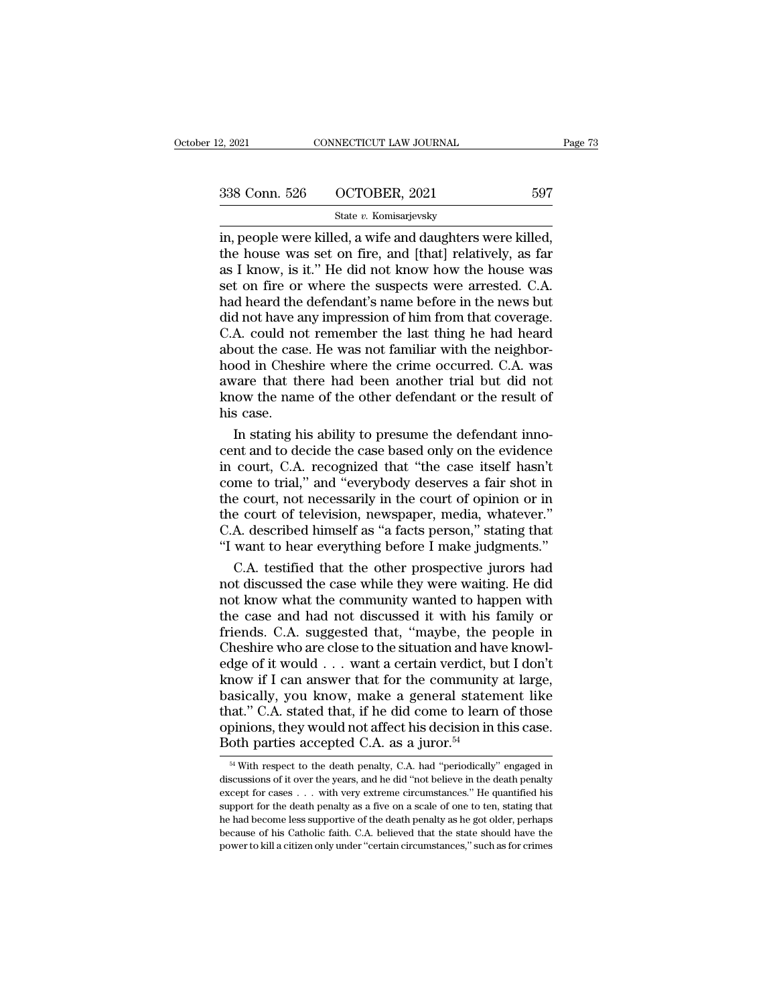### State *v.* Komisarjevsky

2, 2021 CONNECTICUT LAW JOURNAL Page<br>
338 Conn. 526 OCTOBER, 2021 597<br>  $\frac{\text{State } v. \text{ Komisarjevsky}}{2 \cdot \text{Im}}$ <br>
in, people were killed, a wife and daughters were killed,<br>
the house was set on fire, and [that] relatively, as far<br>
a 338 Conn. 526 OCTOBER, 2021 597<br>
State v. Komisarjevsky<br>
in, people were killed, a wife and daughters were killed,<br>
the house was set on fire, and [that] relatively, as far<br>
as I know, is it." He did not know how the hous 338 Conn. 526 OCTOBER, 2021 597<br>
State v. Komisarjevsky<br>
in, people were killed, a wife and daughters were killed,<br>
the house was set on fire, and [that] relatively, as far<br>
as I know, is it.'' He did not know how the hou 338 Conn. 526  $\qquad$  OCTOBER, 2021  $\qquad$  597<br>  $\qquad$  State v. Komisarjevsky<br>
in, people were killed, a wife and daughters were killed,<br>
the house was set on fire, and [that] relatively, as far<br>
as I know, is it." He did not Solution of the defendant of the defendant's name before in the news but<br>the house was set on fire, and [that] relatively, as far<br>as I know, is it." He did not know how the house was<br>set on fire or where the suspects were State v. Komisarjevsky<br>in, people were killed, a wife and daughters were killed,<br>the house was set on fire, and [that] relatively, as far<br>as I know, is it." He did not know how the house was<br>set on fire or where the suspe in, people were killed, a wife and daughters were killed,<br>the house was set on fire, and [that] relatively, as far<br>as I know, is it." He did not know how the house was<br>set on fire or where the suspects were arrested. C.A. the house was set on fire, and [that] relatively, as far<br>as I know, is it." He did not know how the house was<br>set on fire or where the suspects were arrested. C.A.<br>had heard the defendant's name before in the news but<br>did as I know, is it." He did not know how the house was<br>set on fire or where the suspects were arrested. C.A.<br>had heard the defendant's name before in the news but<br>did not have any impression of him from that coverage.<br>C.A. c set on fire or where the suspects were arrested. C.A.<br>had heard the defendant's name before in the news but<br>did not have any impression of him from that coverage.<br>C.A. could not remember the last thing he had heard<br>about t had heard the defendant's name before in the news but<br>did not have any impression of him from that coverage.<br>C.A. could not remember the last thing he had heard<br>about the case. He was not familiar with the neighbor-<br>hood i did not have a<br>C.A. could no<br>about the case<br>hood in Chesl<br>aware that th<br>know the nan<br>his case.<br>In stating h A. could not remember the last thing he had heard<br>out the case. He was not familiar with the neighbor-<br>ood in Cheshire where the crime occurred. C.A. was<br>vare that there had been another trial but did not<br>ow the name of t about the case. He was not familiar with the neighborhood in Cheshire where the crime occurred. C.A. was<br>aware that there had been another trial but did not<br>know the name of the other defendant or the result of<br>his case.<br>I

hood in Cheshire where the crime occurred. C.A. was<br>aware that there had been another trial but did not<br>know the name of the other defendant or the result of<br>his case.<br>In stating his ability to presume the defendant inno-<br> aware that there had been another trial but did not<br>know the name of the other defendant or the result of<br>his case.<br>In stating his ability to presume the defendant inno-<br>cent and to decide the case based only on the eviden know the name of the other defendant or the result of<br>his case.<br>In stating his ability to presume the defendant inno-<br>cent and to decide the case based only on the evidence<br>in court, C.A. recognized that "the case itself h his case.<br>In stating his ability to presume the defendant inno-<br>cent and to decide the case based only on the evidence<br>in court, C.A. recognized that "the case itself hasn't<br>come to trial," and "everybody deserves a fair s In stating his ability to presume the defendant inno-<br>cent and to decide the case based only on the evidence<br>in court, C.A. recognized that "the case itself hasn't<br>come to trial," and "everybody deserves a fair shot in<br>the cent and to decide the case based only on the evidence<br>
in court, C.A. recognized that "the case itself hasn't<br>
come to trial," and "everybody deserves a fair shot in<br>
the court, not necessarily in the court of opinion or court, C.A. recognized that "the case itself hasn't<br>me to trial," and "everybody deserves a fair shot in<br>e court, not necessarily in the court of opinion or in<br>e court of television, newspaper, media, whatever."<br>A. describ come to trial," and "everybody deserves a fair shot in<br>the court, not necessarily in the court of opinion or in<br>the court of television, newspaper, media, whatever."<br>C.A. described himself as "a facts person," stating that

the court, not necessarily in the court of opinion or in<br>the court of television, newspaper, media, whatever."<br>C.A. described himself as "a facts person," stating that<br>"I want to hear everything before I make judgments."<br>C the court of television, newspaper, media, whatever."<br>C.A. described himself as "a facts person," stating that<br>"I want to hear everything before I make judgments."<br>C.A. testified that the other prospective jurors had<br>not d C.A. described himself as "a facts person," stating that<br>"I want to hear everything before I make judgments."<br>C.A. testified that the other prospective jurors had<br>not discussed the case while they were waiting. He did<br>not "I want to hear everything before I make judgments."<br>C.A. testified that the other prospective jurors had<br>not discussed the case while they were waiting. He did<br>not know what the community wanted to happen with<br>the case a C.A. testified that the other prospective jurors had<br>not discussed the case while they were waiting. He did<br>not know what the community wanted to happen with<br>the case and had not discussed it with his family or<br>friends. C. not discussed the case while they were waiting. He did<br>not know what the community wanted to happen with<br>the case and had not discussed it with his family or<br>friends. C.A. suggested that, "maybe, the people in<br>Cheshire who not know what the community wanted to happen with<br>the case and had not discussed it with his family or<br>friends. C.A. suggested that, "maybe, the people in<br>Cheshire who are close to the situation and have knowl-<br>edge of it the case and had not discussed it with his family or<br>friends. C.A. suggested that, "maybe, the people in<br>Cheshire who are close to the situation and have knowl-<br>edge of it would . . . want a certain verdict, but I don't<br>k friends. C.A. suggested that, "maybe, the people in Cheshire who are close to the situation and have knowledge of it would  $\ldots$  want a certain verdict, but I don't know if I can answer that for the community at large, ba Cheshire who are close to the situation and have dge of it would . . . want a certain verdict, b know if I can answer that for the community basically, you know, make a general staten that." C.A. stated that, if he did co asically, you know, make a general statement like<br>aat." C.A. stated that, if he did come to learn of those<br>pinions, they would not affect his decision in this case.<br>oth parties accepted C.A. as a juror.<sup>54</sup><br><sup>54</sup> With respe that." C.A. stated that, if he did come to learn of those<br>opinions, they would not affect his decision in this case.<br>Both parties accepted C.A. as a juror.<sup>54</sup><br><sup>54</sup> With respect to the death penalty, C.A. had "periodicall

opinions, they would not affect his decision in this case.<br>Both parties accepted C.A. as a juror.<sup>54</sup><br> $\frac{54}{100}$  With respect to the death penalty, C.A. had "periodically" engaged in discussions of it over the years, an Both parties accepted C.A. as a juror.<sup>54</sup><br>Both parties accepted C.A. as a juror.<sup>54</sup><br><sup>54</sup> With respect to the death penalty, C.A. had "periodically" engaged in discussions of it over the years, and he did "not believe in **EXECUTE:** BECOME COLORED COLORED TO BE A BUT OF THAT BET A With respect to the death penalty, C.A. had "periodically" engaged in discussions of it over the years, and he did "not believe in the death penalty except for c <sup>54</sup> With respect to the death penalty, C.A. had "periodically" engaged in discussions of it over the years, and he did "not believe in the death penalty except for cases  $\ldots$  with very extreme circumstances." He quantif discussions of it over the years, and he did "not believe in the death penalty except for cases  $\ldots$  with very extreme circumstances." He quantified his support for the death penalty as a five on a scale of one to ten, s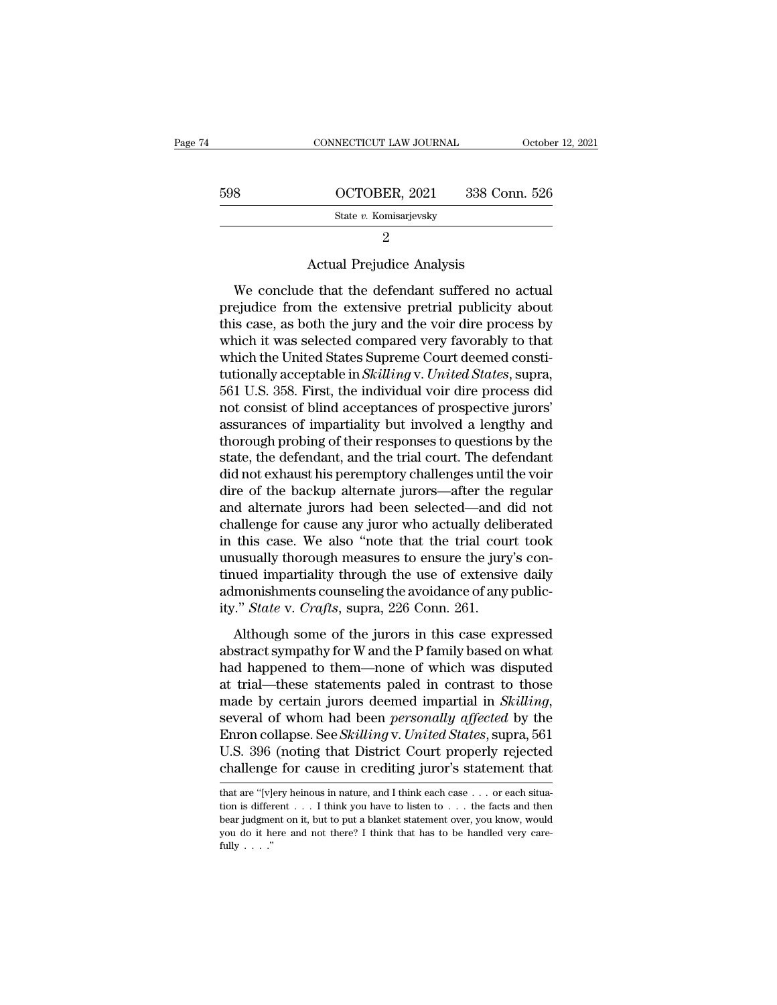| 74 |     | CONNECTICUT LAW JOURNAL                                                                                                                                                 | October 12, 2021 |
|----|-----|-------------------------------------------------------------------------------------------------------------------------------------------------------------------------|------------------|
|    |     |                                                                                                                                                                         |                  |
|    | 598 | OCTOBER, 2021                                                                                                                                                           | 338 Conn. 526    |
|    |     | State v. Komisarjevsky                                                                                                                                                  |                  |
|    |     | 2                                                                                                                                                                       |                  |
|    |     | <b>Actual Prejudice Analysis</b>                                                                                                                                        |                  |
|    |     | We conclude that the defendant suffered no actual<br>prejudice from the extensive pretrial publicity about<br>this gose, as both the juwy and the voir dire presence by |                  |

State v. Komisarjevsky<br>  $\frac{2}{2}$ <br>
Actual Prejudice Analysis<br>
We conclude that the defendant suffered no actual<br>
prejudice from the extensive pretrial publicity about<br>
this case, as both the jury and the voir dire process Example 2 Actual Prejudice Analysis<br>
2 Actual Prejudice Analysis<br>
We conclude that the defendant suffered no actual<br>
prejudice from the extensive pretrial publicity about<br>
this case, as both the jury and the voir dire proc 2<br>Actual Prejudice Analysis<br>We conclude that the defendant suffered no actual<br>prejudice from the extensive pretrial publicity about<br>this case, as both the jury and the voir dire process by<br>which it was selected compared ve Actual Prejudice Analysis<br>We conclude that the defendant suffered no actual<br>prejudice from the extensive pretrial publicity about<br>this case, as both the jury and the voir dire process by<br>which it was selected compared very We conclude that the defendant suffered no actual<br>prejudice from the extensive pretrial publicity about<br>this case, as both the jury and the voir dire process by<br>which it was selected compared very favorably to that<br>which t We conclude that the defendant suffered no actual<br>prejudice from the extensive pretrial publicity about<br>this case, as both the jury and the voir dire process by<br>which it was selected compared very favorably to that<br>which t prejudice from the extensive pretrial publicity about<br>this case, as both the jury and the voir dire process by<br>which it was selected compared very favorably to that<br>which the United States Supreme Court deemed consti-<br>tuti this case, as both the jury and the voir dire process by<br>which it was selected compared very favorably to that<br>which the United States Supreme Court deemed consti-<br>tutionally acceptable in *Skilling* v. United States, supr which it was selected compared very favorably to that<br>which the United States Supreme Court deemed consti-<br>tutionally acceptable in *Skilling v. United States*, supra,<br>561 U.S. 358. First, the individual voir dire process which the United States Supreme Court deemed constitutionally acceptable in *Skilling* v. United States, supra, 561 U.S. 358. First, the individual voir dire process did not consist of blind acceptances of prospective juro tutionally acceptable in *Skilling* v. United States, supra,<br>561 U.S. 358. First, the individual voir dire process did<br>not consist of blind acceptances of prospective jurors'<br>assurances of impartiality but involved a lengt 561 U.S. 358. First, the individual voir dire process did<br>not consist of blind acceptances of prospective jurors'<br>assurances of impartiality but involved a lengthy and<br>thorough probing of their responses to questions by th not consist of blind acceptances of prospective jurors'<br>assurances of impartiality but involved a lengthy and<br>thorough probing of their responses to questions by the<br>state, the defendant, and the trial court. The defendant assurances of impartiality but involved a lengthy and<br>thorough probing of their responses to questions by the<br>state, the defendant, and the trial court. The defendant<br>did not exhaust his peremptory challenges until the voi thorough probing of their responses to questions by the<br>state, the defendant, and the trial court. The defendant<br>did not exhaust his peremptory challenges until the voir<br>dire of the backup alternate jurors—after the regula state, the defendant, and the trial court. The defendant<br>did not exhaust his peremptory challenges until the voir<br>dire of the backup alternate jurors—after the regular<br>and alternate jurors had been selected—and did not<br>cha did not exhaust his peremptory challenges until the voir<br>dire of the backup alternate jurors—after the regular<br>and alternate jurors had been selected—and did not<br>challenge for cause any juror who actually deliberated<br>in th dire of the backup alternate jurors—after the regular<br>and alternate jurors had been selected—and did not<br>challenge for cause any juror who actually deliberated<br>in this case. We also "note that the trial court took<br>unusuall and alternate jurors had been selected—and challenge for cause any juror who actually delihin this case. We also "note that the trial counnusually thorough measures to ensure the jury tinued impartiality through the use of this case. We also "note that the trial court took<br>this case. We also "note that the trial court took<br>usually thorough measures to ensure the jury's con-<br>nued impartiality through the use of extensive daily<br>monishments cou and the custom was absoluted that the tract symparity's con-<br>tinued impartiality through the use of extensive daily<br>admonishments counseling the avoidance of any public-<br>ity." *State* v. *Crafts*, supra, 226 Conn. 261.<br>Alt

dinary and impartiality through the use of extensive daily<br>admonishments counseling the avoidance of any public-<br>ity." *State* v. *Crafts*, supra, 226 Conn. 261.<br>Although some of the jurors in this case expressed<br>abstract at trial—these statements counseling the avoidance of any publicity." *State v. Crafts*, supra, 226 Conn. 261.<br>Although some of the jurors in this case expressed<br>abstract sympathy for W and the P family based on what<br>had ity." *State v. Crafts*, supra, 226 Conn. 261.<br>
Although some of the jurors in this case expressed<br>
abstract sympathy for W and the P family based on what<br>
had happened to them—none of which was disputed<br>
at trial—these st Although some of the jurors in this case expressed<br>abstract sympathy for W and the P family based on what<br>had happened to them—none of which was disputed<br>at trial—these statements paled in contrast to those<br>made by certain abstract sympathy for W and the P family based on what<br>had happened to them—none of which was disputed<br>at trial—these statements paled in contrast to those<br>made by certain jurors deemed impartial in *Skilling*,<br>several of had happened to them—none of which was disputed<br>at trial—these statements paled in contrast to those<br>made by certain jurors deemed impartial in *Skilling*,<br>several of whom had been *personally affected* by the<br>Enron colla several of whom had been *personally affected* by the<br>Enron collapse. See *Skilling* v. United States, supra, 561<br>U.S. 396 (noting that District Court properly rejected<br>challenge for cause in crediting juror's statement th Enron collapse. See *Skilling* v. United States, supra, 561<br>U.S. 396 (noting that District Court properly rejected<br>challenge for cause in crediting juror's statement that<br>that are "[v]ery heinous in nature, and I think eac

U.S. 396 (noting that District Court properly rejected challenge for cause in crediting juror's statement that that are "[v]ery heinous in nature, and I think each case . . . or each situation is different . . . I think yo challenge for cause in crediting juror's statement that that are "[v]ery heinous in nature, and I think each case . . . or each situation is different . . . I think you have to listen to . . . the facts and then bear judg that are "[v]ery heinous in nature, and I think each case . . . or each situation is different . . . I think you have to listen to . . . the facts and then bear judgment on it, but to put a blanket statement over, you kno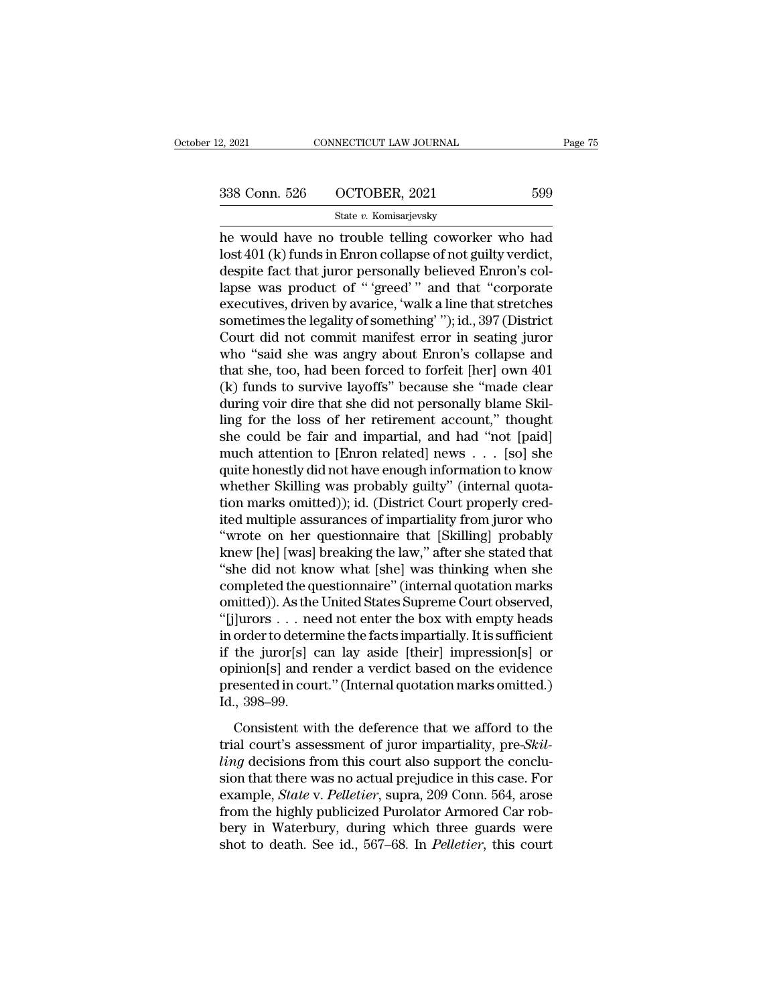# 2, 2021 CONNECTICUT LAW JOURNAL Page 75<br>338 Conn. 526 OCTOBER, 2021 599<br>538 State v. Komisarjevsky

## State *v.* Komisarjevsky

 $\begin{array}{r|l} \text{2, 2021} & \text{COMRECTICUT LAW JOURNAL} & \text{Page 75} \ \hline \text{338 Conn. } 526 & \text{OCTOBER, 2021} & 599 \ \hline \text{State } v. \text{ Komisarjevsky} \ \hline \text{the would have no trouble telling coworker who had lost 401 (k) funds in Enron collapse of not guilty verdict, despite fact that iurer necessarily believed Enron's cell.} \end{array}$ 338 Conn. 526 OCTOBER, 2021 599<br>
State v. Komisarjevsky<br>
he would have no trouble telling coworker who had<br>
lost 401 (k) funds in Enron collapse of not guilty verdict,<br>
despite fact that juror personally believed Enron's c 338 Conn. 526 OCTOBER, 2021 599<br>
State v. Komisarjevsky<br>
he would have no trouble telling coworker who had<br>
lost 401 (k) funds in Enron collapse of not guilty verdict,<br>
despite fact that juror personally believed Enron's 338 Conn. 526 OCTOBER, 2021 599<br>
State v. Komisarjevsky<br>
he would have no trouble telling coworker who had<br>
lost 401 (k) funds in Enron collapse of not guilty verdict,<br>
despite fact that juror personally believed Enron's State v. Komisarjevsky<br>
he would have no trouble telling coworker who had<br>
lost 401 (k) funds in Enron collapse of not guilty verdict,<br>
despite fact that juror personally believed Enron's col-<br>
lapse was product of "greed" state v. Komisarjevsky<br>he would have no trouble telling coworker who had<br>lost 401 (k) funds in Enron collapse of not guilty verdict,<br>despite fact that juror personally believed Enron's col-<br>lapse was product of "'greed'" a he would have no trouble telling coworker who had<br>lost 401 (k) funds in Enron collapse of not guilty verdict,<br>despite fact that juror personally believed Enron's col-<br>lapse was product of "'greed'" and that "corporate<br>exec lost 401 (k) funds in Enron collapse of not guilty verdict,<br>despite fact that juror personally believed Enron's col-<br>lapse was product of "'greed'" and that "corporate<br>executives, driven by avarice, 'walk a line that stret despite fact that juror personally believed Enron's collapse was product of "'greed'" and that "corporate executives, driven by avarice, 'walk a line that stretches sometimes the legality of something'"); id., 397 (Distric lapse was product of "'greed'" and that "corporate executives, driven by avarice, 'walk a line that stretches sometimes the legality of something'"); id., 397 (District Court did not commit manifest error in seating juror sometimes the legality of something' "); id., 397 (District<br>Court did not commit manifest error in seating juror<br>who "said she was angry about Enron's collapse and<br>that she, too, had been forced to forfeit [her] own 401<br>(k sometimes the legality of something' "); id., 397 (District<br>Court did not commit manifest error in seating juror<br>who "said she was angry about Enron's collapse and<br>that she, too, had been forced to forfeit [her] own 401<br>(k Court did not commit manifest error in seating juror<br>who "said she was angry about Enron's collapse and<br>that she, too, had been forced to forfeit [her] own 401<br>(k) funds to survive layoffs" because she "made clear<br>during v who "said she was angry about Enron's collapse and<br>that she, too, had been forced to forfeit [her] own 401<br>(k) funds to survive layoffs" because she "made clear<br>during voir dire that she did not personally blame Skil-<br>lin that she, too, had been forced to forfeit [her] own 401<br>(k) funds to survive layoffs" because she "made clear<br>during voir dire that she did not personally blame Skil-<br>ling for the loss of her retirement account," thought<br>s (k) funds to survive layoffs" because she "made clear<br>during voir dire that she did not personally blame Skil-<br>ling for the loss of her retirement account," thought<br>she could be fair and impartial, and had "not [paid]<br>muc during voir dire that she did not personally blame Skilling for the loss of her retirement account," thought she could be fair and impartial, and had "not [paid] much attention to [Enron related] news . . . [so] she quite ling for the loss of her retirement account," thought<br>she could be fair and impartial, and had "not [paid]<br>much attention to [Enron related] news  $\ldots$  [so] she<br>quite honestly did not have enough information to know<br>wheth she could be fair and impartial, and had "not [paid]<br>
much attention to [Enron related] news . . . [so] she<br>
quite honestly did not have enough information to know<br>
whether Skilling was probably guilty" (internal quota-<br>
t much attention to [Enron related] news . . . . [so] she<br>quite honestly did not have enough information to know<br>whether Skilling was probably guilty" (internal quota-<br>tion marks omitted)); id. (District Court properly credquite honestly did not have enough information to know<br>
whether Skilling was probably guilty" (internal quota-<br>
tion marks omitted)); id. (District Court properly cred-<br>
ited multiple assurances of impartiality from juror whether Skilling was probably guilty" (internal quotation marks omitted)); id. (District Court properly credited multiple assurances of impartiality from juror who "wrote on her questionnaire that [Skilling] probably knew tion marks omitted)); id. (District Court properly credited multiple assurances of impartiality from juror who<br>"wrote on her questionnaire that [Skilling] probably<br>knew [he] [was] breaking the law," after she stated that<br>" ited multiple assurances of impartiality from juror who<br>
"wrote on her questionnaire that [Skilling] probably<br>
knew [he] [was] breaking the law," after she stated that<br>
"she did not know what [she] was thinking when she<br>
c "wrote on her questionnaire that [Skilling] probably<br>knew [he] [was] breaking the law," after she stated that<br>"she did not know what [she] was thinking when she<br>completed the questionnaire" (internal quotation marks<br>omitte knew [he] [was] breaking the law," after she stated that<br>"she did not know what [she] was thinking when she<br>completed the questionnaire" (internal quotation marks<br>omitted)). As the United States Supreme Court observed,<br>"[j "she did not know what [she] was thinking when she<br>completed the questionnaire" (internal quotation marks<br>omitted)). As the United States Supreme Court observed,<br>"[j]urors . . . need not enter the box with empty heads<br>in completed the questionnaire" (internal quotation marks omitted)). As the United States Supreme Court observed, "[j]urors . . . need not enter the box with empty heads in order to determine the facts impartially. It is suff omitted)). As the<br>"[j]urors . . . new<br>in order to detern<br>if the juror[s] co<br>pinion[s] and re<br>presented in councid, 398–99.<br>Consistent witch passe  $\cdot \cdot \cdot$  head not ender are son what engly neads<br>order to determine the facts impartially. It is sufficient<br>the juror[s] can lay aside [their] impression[s] or<br>inion[s] and render a verdict based on the evidence<br>ese If the juror[s] can lay aside [their] impression[s] or<br>opinion[s] and render a verdict based on the evidence<br>presented in court." (Internal quotation marks omitted.)<br>Id., 398–99.<br>Consistent with the deference that we affor

*ling* decisions from the deference that we afford to the evidence<br>presented in court." (Internal quotation marks omitted.)<br>Id., 398–99.<br>Consistent with the deference that we afford to the<br>trial court's assessment of juror principly and render a verdice sales on the criteric<br>presented in court." (Internal quotation marks omitted.)<br>Id., 398–99.<br>Consistent with the deference that we afford to the<br>trial court's assessment of juror impartiality, Id., 398–99.<br>
Consistent with the deference that we afford to the<br>
trial court's assessment of juror impartiality, pre-*Skil-*<br> *Pering* decisions from this court also support the conclu-<br>
sion that there was no actual pre Consistent with the deference that we afford to the<br>trial court's assessment of juror impartiality, pre-*Skil-*<br>*ling* decisions from this court also support the conclu-<br>sion that there was no actual prejudice in this cas Consistent with the deference that we afford to the<br>trial court's assessment of juror impartiality, pre-*Skil-*<br>ling decisions from this court also support the conclu-<br>sion that there was no actual prejudice in this case. trial court's assessment of juror impartiality, pre-*Skilling* decisions from this court also support the conclusion that there was no actual prejudice in this case. For example, *State* v. *Pelletier*, supra, 209 Conn. 56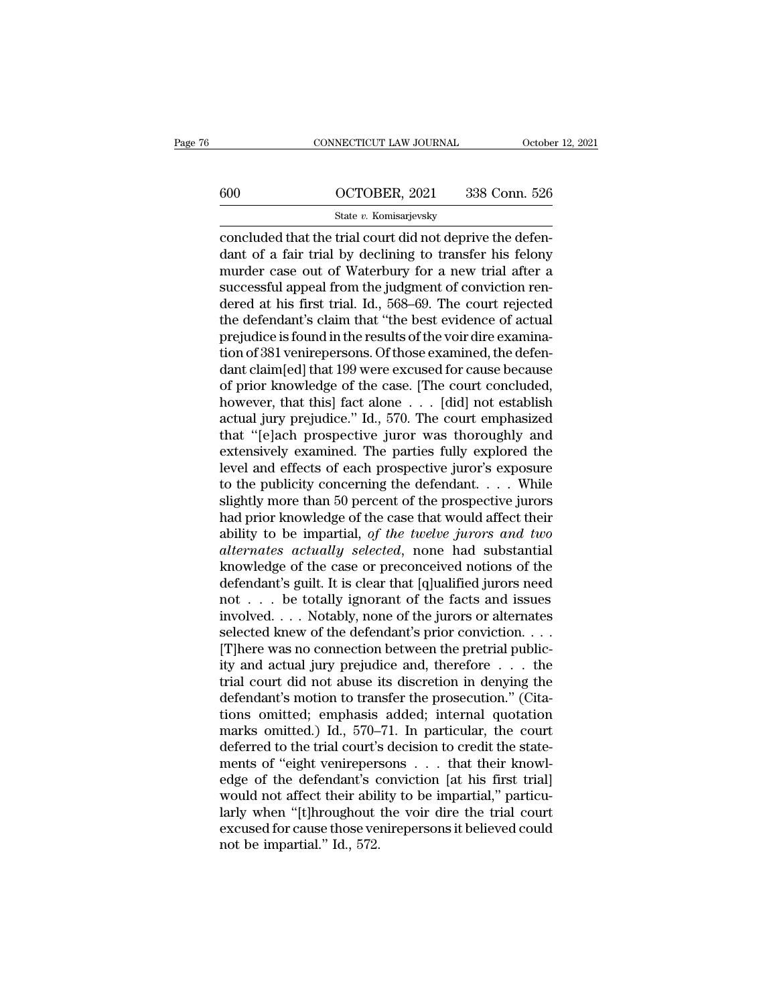# CONNECTICUT LAW JOURNAL October 12, 2021<br>600 OCTOBER, 2021 338 Conn. 526<br>State v. Komisarjevsky

# State *v.* Komisarjevsky

CONNECTICUT LAW JOURNAL Octobe<br>
COCTOBER, 2021 338 Conn. 526<br>
State v. Komisarjevsky<br>
Concluded that the trial court did not deprive the defen-<br>
dant of a fair trial by declining to transfer his felony<br>
murder associated o  $\begin{array}{r} \hline \text{600} \text{OCTOBER, } 2021 \text{ } 338 \text{ Conn. } 526 \text{ } \\ \text{State } v. \text{ Komisarjevsky} \end{array}$ <br>concluded that the trial court did not deprive the defendant of a fair trial by declining to transfer his felony murder case out of Waterbury 600 OCTOBER, 2021 338 Conn. 526<br>
State v. Komisarjevsky<br>
concluded that the trial court did not deprive the defendant of a fair trial by declining to transfer his felony<br>
murder case out of Waterbury for a new trial after  $\frac{\text{G00}}{\text{State } v. \text{ Komisarjevsky}}$ <br>
state *v.* Komisarjevsky<br>
concluded that the trial court did not deprive the defen-<br>
dant of a fair trial by declining to transfer his felony<br>
murder case out of Waterbury for a new trial aft State v. Komisarjevsky<br>
concluded that the trial court did not deprive the defen-<br>
dant of a fair trial by declining to transfer his felony<br>
murder case out of Waterbury for a new trial after a<br>
successful appeal from the state v. Komsarjevsky<br>
concluded that the trial court did not deprive the defen-<br>
dant of a fair trial by declining to transfer his felony<br>
murder case out of Waterbury for a new trial after a<br>
successful appeal from the concluded that the trial court did not deprive the defendant of a fair trial by declining to transfer his felony<br>murder case out of Waterbury for a new trial after a<br>successful appeal from the judgment of conviction ren-<br>d dant of a fair trial by declining to transfer his felony<br>murder case out of Waterbury for a new trial after a<br>successful appeal from the judgment of conviction ren-<br>dered at his first trial. Id., 568–69. The court rejected murder case out of Waterbury for a new trial after a<br>successful appeal from the judgment of conviction ren-<br>dered at his first trial. Id., 568–69. The court rejected<br>the defendant's claim that "the best evidence of actual<br> successful appeal from the judgment of conviction ren-<br>dered at his first trial. Id., 568–69. The court rejected<br>the defendant's claim that "the best evidence of actual<br>prejudice is found in the results of the voir dire ex dered at his first trial. Id., 568–69. The court rejected<br>the defendant's claim that "the best evidence of actual<br>prejudice is found in the results of the voir dire examina-<br>tion of 381 venirepersons. Of those examined, th the defendant's claim that "the best evidence of actual<br>prejudice is found in the results of the voir dire examina-<br>tion of 381 venirepersons. Of those examined, the defen-<br>dant claim[ed] that 199 were excused for cause be prejudice is found in the results of the voir dire examination of 381 venirepersons. Of those examined, the defendant claim[ed] that 199 were excused for cause because<br>of prior knowledge of the case. [The court concluded, tion of 381 venirepersons. Of those examined, the defendant claim[ed] that 199 were excused for cause because<br>of prior knowledge of the case. [The court concluded,<br>however, that this] fact alone . . . [did] not establish<br>a dant claim[ed] that 199 were excused for cause because<br>of prior knowledge of the case. [The court concluded,<br>however, that this] fact alone . . . [did] not establish<br>actual jury prejudice." Id., 570. The court emphasized<br>t of prior knowledge of the case. [The court concluded,<br>however, that this] fact alone . . . [did] not establish<br>actual jury prejudice." Id., 570. The court emphasized<br>that "[e]ach prospective juror was thoroughly and<br>extens however, that this] fact alone  $\ldots$  [did] not establish<br>actual jury prejudice." Id., 570. The court emphasized<br>that "[e]ach prospective juror was thoroughly and<br>extensively examined. The parties fully explored the<br>level actual jury prejudice." Id., 570. The court emphasized<br>that "[e]ach prospective juror was thoroughly and<br>extensively examined. The parties fully explored the<br>level and effects of each prospective juror's exposure<br>to the pu that "[e]ach prospective juror was thoroughly and<br>extensively examined. The parties fully explored the<br>level and effects of each prospective juror's exposure<br>to the publicity concerning the defendant. . . . While<br>slightly extensively examined. The parties fully explored the<br>level and effects of each prospective juror's exposure<br>to the publicity concerning the defendant. . . . While<br>slightly more than 50 percent of the prospective jurors<br>had level and effects of each prospective juror's exposure<br>to the publicity concerning the defendant. . . . While<br>slightly more than 50 percent of the prospective jurors<br>had prior knowledge of the case that would affect their to the publicity concerning the defendant. . . . . While<br>slightly more than 50 percent of the prospective jurors<br>had prior knowledge of the case that would affect their<br>ability to be impartial, of the twelve jurors and tw slightly more than 50 percent of the prospective jurors<br>had prior knowledge of the case that would affect their<br>ability to be impartial, of the twelve jurors and two<br>alternates actually selected, none had substantial<br>knowl had prior knowledge of the case that would affect their<br>ability to be impartial, of the twelve jurors and two<br>alternates actually selected, none had substantial<br>knowledge of the case or preconceived notions of the<br>defenda ability to be impartial, of the twelve jurors and two<br>alternates actually selected, none had substantial<br>knowledge of the case or preconceived notions of the<br>defendant's guilt. It is clear that [q]ualified jurors need<br>not alternates actually selected, none had substantial<br>knowledge of the case or preconceived notions of the<br>defendant's guilt. It is clear that [q]ualified jurors need<br>not . . . be totally ignorant of the facts and issues<br>invo knowledge of the case or preconceived notions of the<br>defendant's guilt. It is clear that [q]ualified jurors need<br>not . . . be totally ignorant of the facts and issues<br>involved. . . . Notably, none of the jurors or alterna defendant's guilt. It is clear that [q]ualified jurors need<br>not . . . be totally ignorant of the facts and issues<br>involved. . . . Notably, none of the jurors or alternates<br>selected knew of the defendant's prior conviction. not . . . be totally ignorant of the facts and issues<br>involved. . . . Notably, none of the jurors or alternates<br>selected knew of the defendant's prior conviction. . . .<br>[T]here was no connection between the pretrial publi involved. . . . Notably, none of the jurors or alternates<br>selected knew of the defendant's prior conviction. . . .<br>[T]here was no connection between the pretrial public-<br>ity and actual jury prejudice and, therefore  $\dots$  t selected knew of the defendant's prior conviction. . . .<br>[T]here was no connection between the pretrial publicity and actual jury prejudice and, therefore  $\ldots$  the trial court did not abuse its discretion in denying the [T]here was no connection between the pretrial publicity and actual jury prejudice and, therefore  $\dots$  the trial court did not abuse its discretion in denying the defendant's motion to transfer the prosecution." (Citation ity and actual jury prejudice and, therefore . . . the<br>trial court did not abuse its discretion in denying the<br>defendant's motion to transfer the prosecution." (Cita-<br>tions omitted; emphasis added; internal quotation<br>marks trial court did not abuse its discretion in denying the<br>defendant's motion to transfer the prosecution." (Cita-<br>tions omitted; emphasis added; internal quotation<br>marks omitted.) Id., 570–71. In particular, the court<br>deferr defendant's motion to transfer the prosecution." (Citations omitted; emphasis added; internal quotation marks omitted.) Id., 570–71. In particular, the court deferred to the trial court's decision to credit the statements tions omitted; emphasis added; internal quotation<br>marks omitted.) Id., 570–71. In particular, the court<br>deferred to the trial court's decision to credit the state-<br>ments of "eight venirepersons  $\ldots$  that their knowl-<br>edg marks omitted.) Id., 570–71. In particular, the court<br>deferred to the trial court's decision to credit the state-<br>ments of "eight venirepersons . . . that their knowl-<br>edge of the defendant's conviction [at his first trial deferred to the trial court's<br>ments of "eight venirepers<br>edge of the defendant's c<br>would not affect their abil<br>larly when "[t]hroughout<br>excused for cause those ve<br>not be impartial." Id., 572.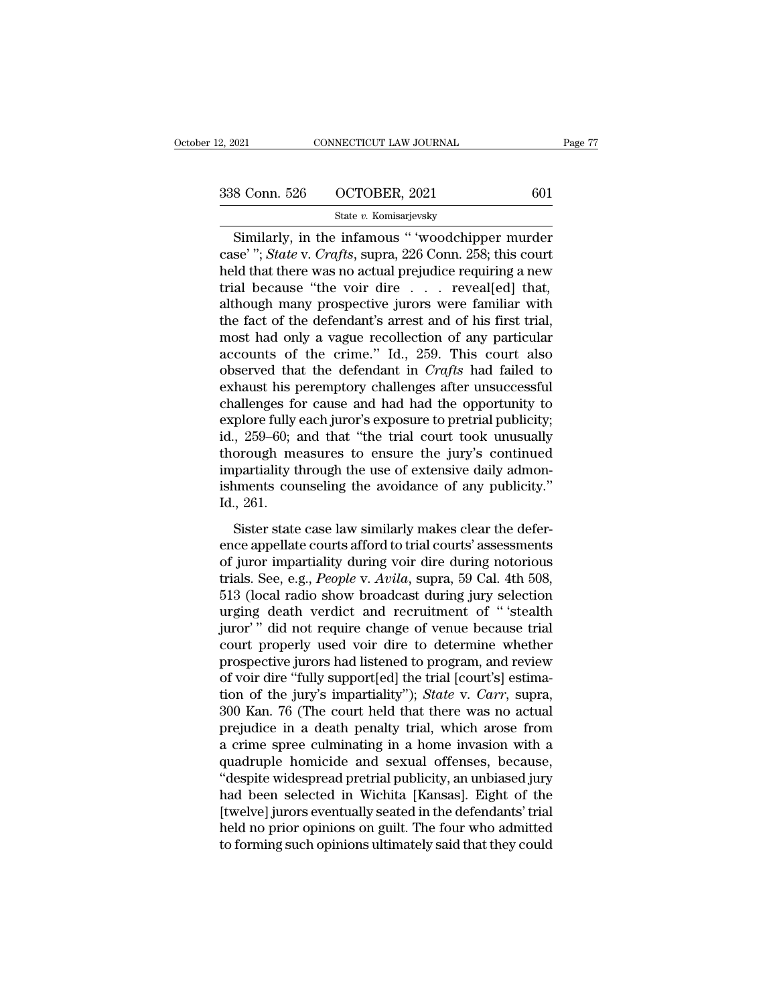Similarly, in the infamous '' 'woodchipper murder''; State v. Crafts, supra, 226 Conn. 258; this court but that there was no actual projudice requiring a new  $\frac{1}{2}$ 338 Conn. 526 OCTOBER, 2021 601<br>
State v. Komisarjevsky<br>
Similarly, in the infamous " 'woodchipper murder<br>
case' "; *State* v. *Crafts*, supra, 226 Conn. 258; this court<br>
held that there was no actual prejudice requiring a 338 Conn. 526 OCTOBER, 2021 601<br>
State v. Komisarjevsky<br>
Similarly, in the infamous "voodchipper murder<br>
case'"; *State v. Crafts*, supra, 226 Conn. 258; this court<br>
held that there was no actual prejudice requiring a new 338 Conn. 526 OCTOBER, 2021 601<br>
State v. Komisarjevsky<br>
Similarly, in the infamous "'woodchipper murder<br>
case'''; *State* v. *Crafts*, supra, 226 Conn. 258; this court<br>
held that there was no actual prejudice requiring a Similarly, in the infamous " 'woodchipper murder<br>case' "; *State* v. *Crafts*, supra, 226 Conn. 258; this court<br>held that there was no actual prejudice requiring a new<br>trial because "the voir dire . . . reveal[ed] that,<br>a Similarly, in the infamous " woodchipper murder<br>case' "; *State* v. *Crafts*, supra, 226 Conn. 258; this court<br>held that there was no actual prejudice requiring a new<br>trial because "the voir dire . . . reveal[ed] that,<br>al Similarly, in the infamous " 'woodchipper murder<br>case' "; *State* v. *Crafts*, supra, 226 Conn. 258; this court<br>held that there was no actual prejudice requiring a new<br>trial because "the voir dire . . . reveal[ed] that,<br>a case'"; *State* v. *Crafts*, supra, 226 Conn. 258; this court<br>held that there was no actual prejudice requiring a new<br>trial because "the voir dire . . . reveal[ed] that,<br>although many prospective jurors were familiar with held that there was no actual prejudice requiring a new<br>trial because "the voir dire . . . reveal[ed] that,<br>although many prospective jurors were familiar with<br>the fact of the defendant's arrest and of his first trial,<br>mos trial because "the voir dire  $\ldots$  reveal[ed] that,<br>although many prospective jurors were familiar with<br>the fact of the defendant's arrest and of his first trial,<br>most had only a vague recollection of any particular<br>accou although many prospective jurors were familiar with<br>the fact of the defendant's arrest and of his first trial,<br>most had only a vague recollection of any particular<br>accounts of the crime." Id., 259. This court also<br>observe the fact of the defendant's arrest and of his first trial,<br>most had only a vague recollection of any particular<br>accounts of the crime." Id., 259. This court also<br>observed that the defendant in *Crafts* had failed to<br>exhaus most had only a vague recollection of any particular<br>accounts of the crime." Id., 259. This court also<br>observed that the defendant in *Crafts* had failed to<br>exhaust his peremptory challenges after unsuccessful<br>challenges f accounts of the crime." Id., 259. This court also<br>observed that the defendant in *Crafts* had failed to<br>exhaust his peremptory challenges after unsuccessful<br>challenges for cause and had had the opportunity to<br>explore full observed that the defendant in *Crafts* had failed to exhaust his peremptory challenges after unsuccessful challenges for cause and had had the opportunity to explore fully each juror's exposure to pretrial publicity; id. exhaust his peremptory challenges after unsuccessful<br>challenges for cause and had had the opportunity to<br>explore fully each juror's exposure to pretrial publicity;<br>id., 259–60; and that "the trial court took unusually<br>thor challenges fc<br>explore fully<br>id., 259–60; a<br>thorough me<br>impartiality t<br>ishments cou<br>Id., 261.<br>Sister state From tany cast fact of supposite to preatal pasticley,<br>
5. 259–60; and that "the trial court took unusually<br>
porough measures to ensure the jury's continued<br>
partiality through the use of extensive daily admon-<br>
ments coun thorough measures to ensure the jury's continued<br>impartiality through the use of extensive daily admon-<br>ishments counseling the avoidance of any publicity."<br>Id., 261.<br>Sister state case law similarly makes clear the defer-

impartiality through the use of extensive daily admonishments counseling the avoidance of any publicity."<br>Id., 261.<br>Sister state case law similarly makes clear the defer-<br>ence appellate courts afford to trial courts' asses triparatally allocally the use of extensive dary admontishments counseling the avoidance of any publicity."<br>Id., 261.<br>Sister state case law similarly makes clear the defer-<br>ence appellate courts afford to trial courts' ass Id., 261.<br>Id., 261.<br>Sister state case law similarly makes clear the defer-<br>ence appellate courts afford to trial courts' assessments<br>of juror impartiality during voir dire during notorious<br>trials. See, e.g., *People* v. *A* Sister state case law similarly makes clear the defer-<br>ence appellate courts afford to trial courts' assessments<br>of juror impartiality during voir dire during notorious<br>trials. See, e.g., *People* v. *Avila*, supra, 59 Cal Sister state case law similarly makes clear the deference appellate courts afford to trial courts' assessments of juror impartiality during voir dire during notorious trials. See, e.g., *People* v. *Avila*, supra, 59 Cal. ence appellate courts afford to trial courts' assessments<br>of juror impartiality during voir dire during notorious<br>trials. See, e.g., *People* v. Avila, supra, 59 Cal. 4th 508,<br>513 (local radio show broadcast during jury se of juror impartiality during voir dire during notorious<br>trials. See, e.g., *People* v. *Avila*, supra, 59 Cal. 4th 508,<br>513 (local radio show broadcast during jury selection<br>urging death verdict and recruitment of " 'steal trials. See, e.g., *People* v. *Avila*, supra, 59 Cal. 4th 508, 513 (local radio show broadcast during jury selection urging death verdict and recruitment of " 'stealth juror'" did not require change of venue because tria 513 (local radio show broadcast during jury selection<br>urging death verdict and recruitment of "'stealth<br>juror'" did not require change of venue because trial<br>court properly used voir dire to determine whether<br>prospective j urging death verdict and recruitment of "'stealth<br>juror'" did not require change of venue because trial<br>court properly used voir dire to determine whether<br>prospective jurors had listened to program, and review<br>of voir dire juror" " did not require change of venue because trial<br>court properly used voir dire to determine whether<br>prospective jurors had listened to program, and review<br>of voir dire "fully support[ed] the trial [court's] estima-<br>t court properly used voir dire to determine whether<br>prospective jurors had listened to program, and review<br>of voir dire "fully support[ed] the trial [court's] estima-<br>tion of the jury's impartiality"); *State* v. *Carr*, su prospective jurors had listened to program, and review<br>of voir dire "fully support[ed] the trial [court's] estima-<br>tion of the jury's impartiality"); *State* v. *Carr*, supra,<br>300 Kan. 76 (The court held that there was no of voir dire "fully support[ed] the trial [court's] estimation of the jury's impartiality"); *State* v. *Carr*, supra, 300 Kan. 76 (The court held that there was no actual prejudice in a death penalty trial, which arose fr tion of the jury's impartiality"); *State* v. *Carr*, supra,<br>300 Kan. 76 (The court held that there was no actual<br>prejudice in a death penalty trial, which arose from<br>a crime spree culminating in a home invasion with a<br>qua 300 Kan. 76 (The court held that there was no actual<br>prejudice in a death penalty trial, which arose from<br>a crime spree culminating in a home invasion with a<br>quadruple homicide and sexual offenses, because,<br>"despite widesp prejudice in a death penalty trial, which arose from<br>a crime spree culminating in a home invasion with a<br>quadruple homicide and sexual offenses, because,<br>"despite widespread pretrial publicity, an unbiased jury<br>had been se a crime spree culminating in a home invasion with a<br>quadruple homicide and sexual offenses, because,<br>"despite widespread pretrial publicity, an unbiased jury<br>had been selected in Wichita [Kansas]. Eight of the<br>[twelve] jur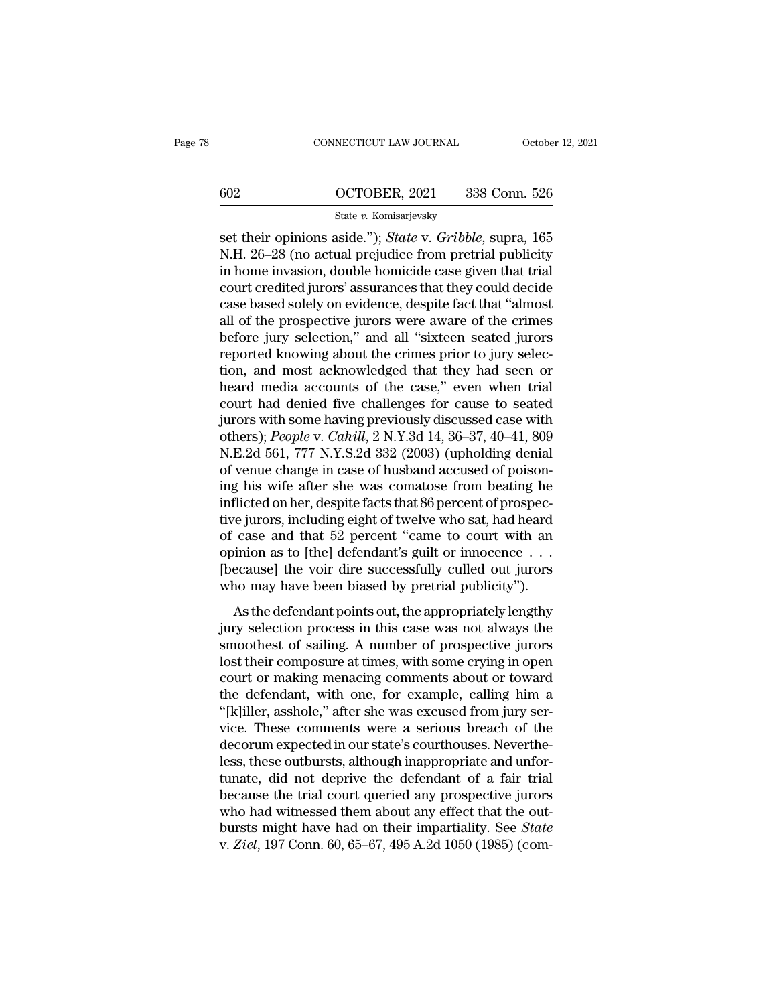# CONNECTICUT LAW JOURNAL October 12, 2021<br>602 OCTOBER, 2021 338 Conn. 526<br>State v. Komisarjevsky State *v.* Komisarjevsky

set their opinions aside.''); *State* v. *Gribble*, supra, 165<br>
N.H. 26–28 (no actual prejudice from pretrial publicity<br>
in home invesion double homicide ase given that trial  $\begin{array}{r} \hline \text{602} & \text{OCTOBER, 2021} & \text{338 Conn. 526} \\ \text{State } v. \text{ Komisarjevsky} \\ \hline \text{set their opinions aside."}; \text{State } v. \text{ Gribble, supra, 165} \\ \text{N.H. 26–28 (no actual prejudice from pretrial publicly in home invasion, double homicide case given that trial court credited inverse' assumes that they could decide.} \end{array}$ 602 OCTOBER, 2021 338 Conn. 526<br>
State v. Komisarjevsky<br>
set their opinions aside."); *State v. Gribble*, supra, 165<br>
N.H. 26–28 (no actual prejudice from pretrial publicity<br>
in home invasion, double homicide case given t court credited jurors' assurances that they could decide State v. Komisarjevsky<br>
set their opinions aside."); *State* v. *Gribble*, supra, 165<br>
N.H. 26–28 (no actual prejudice from pretrial publicity<br>
in home invasion, double homicide case given that trial<br>
court credited juror state v. Komisarjevsky<br>
set their opinions aside."); *State* v. *Gribble*, supra, 165<br>
N.H. 26–28 (no actual prejudice from pretrial publicity<br>
in home invasion, double homicide case given that trial<br>
court credited juror set their opinions aside."); *State* v. *Gribble*, supra, 165<br>N.H. 26–28 (no actual prejudice from pretrial publicity<br>in home invasion, double homicide case given that trial<br>court credited jurors' assurances that they coul N.H. 26–28 (no actual prejudice from pretrial publicity<br>in home invasion, double homicide case given that trial<br>court credited jurors' assurances that they could decide<br>case based solely on evidence, despite fact that "alm in home invasion, double homicide case given that trial<br>court credited jurors' assurances that they could decide<br>case based solely on evidence, despite fact that "almost<br>all of the prospective jurors were aware of the crim court credited jurors' assurances that they could decide<br>case based solely on evidence, despite fact that "almost<br>all of the prospective jurors were aware of the crimes<br>before jury selection," and all "sixteen seated juror case based solely on evidence, despite fact that "almost<br>all of the prospective jurors were aware of the crimes<br>before jury selection," and all "sixteen seated jurors<br>reported knowing about the crimes prior to jury selecall of the prospective jurors were aware of the crimes<br>before jury selection," and all "sixteen seated jurors<br>reported knowing about the crimes prior to jury selec-<br>tion, and most acknowledged that they had seen or<br>heard m before jury selection," and all "sixteen seated jurors<br>reported knowing about the crimes prior to jury selec-<br>tion, and most acknowledged that they had seen or<br>heard media accounts of the case," even when trial<br>court had d reported knowing about the crimes prior to jury selection, and most acknowledged that they had seen or heard media accounts of the case," even when trial court had denied five challenges for cause to seated jurors with som tion, and most acknowledged that they had seen or<br>heard media accounts of the case," even when trial<br>court had denied five challenges for cause to seated<br>jurors with some having previously discussed case with<br>others); *Peo* heard media accounts of the case," even when trial<br>court had denied five challenges for cause to seated<br>jurors with some having previously discussed case with<br>others); *People* v. *Cahill*, 2 N.Y.3d 14, 36–37, 40–41, 809<br>N court had denied five challenges for cause to seated<br>jurors with some having previously discussed case with<br>others); *People* v. *Cahill*, 2 N.Y.3d 14, 36–37, 40–41, 809<br>N.E.2d 561, 777 N.Y.S.2d 332 (2003) (upholding denia jurors with some having previously discussed case with<br>others); *People* v. *Cahill*, 2 N.Y.3d 14, 36–37, 40–41, 809<br>N.E.2d 561, 777 N.Y.S.2d 332 (2003) (upholding denial<br>of venue change in case of husband accused of poiso others); *People v. Cahill*, 2 N.Y.3d 14, 36–37, 40–41, 809<br>N.E.2d 561, 777 N.Y.S.2d 332 (2003) (upholding denial<br>of venue change in case of husband accused of poison-<br>ing his wife after she was comatose from beating he<br>in N.E.2d 561, 777 N.Y.S.2d 332 (2003) (upholding denial<br>of venue change in case of husband accused of poison-<br>ing his wife after she was comatose from beating he<br>inflicted on her, despite facts that 86 percent of prospec-<br>ti of venue change in case of husband accused of poison-<br>ing his wife after she was comatose from beating he<br>inflicted on her, despite facts that 86 percent of prospec-<br>tive jurors, including eight of twelve who sat, had hear ing his wife after she was comatose from beating he<br>inflicted on her, despite facts that 86 percent of prospec-<br>tive jurors, including eight of twelve who sat, had heard<br>of case and that 52 percent "came to court with an<br>o re jurors, including eight of twelve who sat, had heard<br>case and that 52 percent "came to court with an<br>inion as to [the] defendant's guilt or innocence  $\dots$ <br>ecause] the voir dire successfully culled out jurors<br>no may hav ave Jarons, including eight of twere who sat, had neard<br>of case and that 52 percent "came to court with an<br>opinion as to [the] defendant's guilt or innocence . . .<br>[because] the voir dire successfully culled out jurors<br>who

smoothest of sailing. A number of prospective jurors<br>loginion as to [the] defendant's guilt or innocence  $\dots$ <br>who may have been biased by pretrial publicity").<br>As the defendant points out, the appropriately lengthy<br>jury s (because) the voir dire successfully culled out jurors<br>who may have been biased by pretrial publicity").<br>As the defendant points out, the appropriately lengthy<br>jury selection process in this case was not always the<br>smooth pocalase<sub>J</sub> are von aire saccessian, cancel out jurists<br>who may have been biased by pretrial publicity").<br>As the defendant points out, the appropriately lengthy<br>jury selection process in this case was not always the<br>smooth As the defendant points out, the appropriately lengthy<br>jury selection process in this case was not always the<br>smoothest of sailing. A number of prospective jurors<br>lost their composure at times, with some crying in open<br>co As the defendant points out, the appropriately lengthy<br>jury selection process in this case was not always the<br>smoothest of sailing. A number of prospective jurors<br>lost their composure at times, with some crying in open<br>cou jury selection process in this case was not always the<br>smoothest of sailing. A number of prospective jurors<br>lost their composure at times, with some crying in open<br>court or making menacing comments about or toward<br>the defe smoothest of sailing. A number of prospective jurors<br>lost their composure at times, with some crying in open<br>court or making menacing comments about or toward<br>the defendant, with one, for example, calling him a<br>"[k]iller, lost their composure at times, with some crying in open<br>court or making menacing comments about or toward<br>the defendant, with one, for example, calling him a<br>"[k]iller, asshole," after she was excused from jury ser-<br>vice. court or making menacing comments about or toward<br>the defendant, with one, for example, calling him a<br>"[k]iller, asshole," after she was excused from jury ser-<br>vice. These comments were a serious breach of the<br>decorum expe the defendant, with one, for example, calling him a<br>"[k]iller, asshole," after she was excused from jury ser-<br>vice. These comments were a serious breach of the<br>decorum expected in our state's courthouses. Neverthe-<br>less, t "[k]iller, asshole," after she was excused from jury service. These comments were a serious breach of the decorum expected in our state's courthouses. Nevertheless, these outbursts, although inappropriate and unfortunate, vice. These comments were a serious breach of the<br>decorum expected in our state's courthouses. Neverthe-<br>less, these outbursts, although inappropriate and unfor-<br>tunate, did not deprive the defendant of a fair trial<br>becaus decorum expected in our state's courthouses. Nevertheless, these outbursts, although inappropriate and unfortunate, did not deprive the defendant of a fair trial because the trial court queried any prospective jurors who h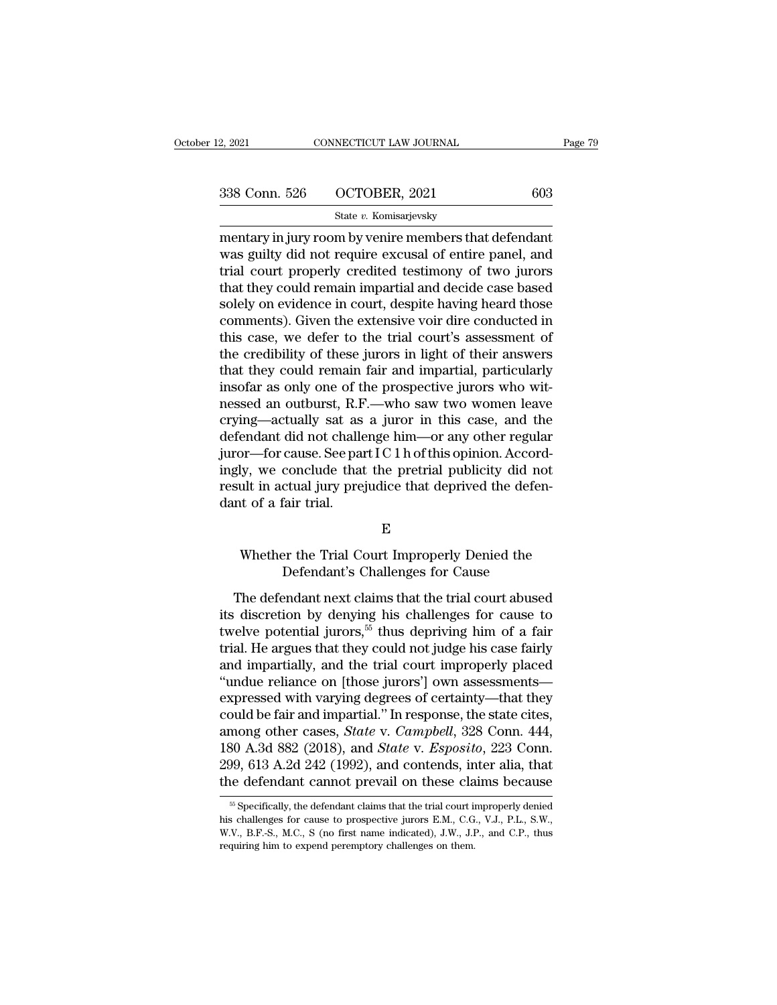2, 2021 CONNECTICUT LAW JOURNAL Page 7:<br>
338 Conn. 526 OCTOBER, 2021 603<br>
5tate v. Komisarjevsky<br>
mentary in jury room by venire members that defendant<br>
was guilty did not require excusal of entire panel, and<br>
trial court 338 Conn. 526 OCTOBER, 2021 603<br>State v. Komisarjevsky<br>mentary in jury room by venire members that defendant<br>was guilty did not require excusal of entire panel, and<br>trial court properly credited testimony of two jurors<br>tha 338 Conn. 526  $\qquad$  OCTOBER, 2021  $\qquad$  603<br>
State v. Komisarjevsky<br>
mentary in jury room by venire members that defendant<br>
was guilty did not require excusal of entire panel, and<br>
trial court properly credited testimony 338 Conn. 526  $\qquad$  OCTOBER, 2021  $\qquad$  603<br>  $\qquad$  State v. Komisarjevsky<br>
mentary in jury room by venire members that defendant<br>
was guilty did not require excusal of entire panel, and<br>
trial court properly credited test State v. Komisarjevsky<br>
mentary in jury room by venire members that defendant<br>
was guilty did not require excusal of entire panel, and<br>
trial court properly credited testimony of two jurors<br>
that they could remain impartia state v. Komisarjevsky<br>mentary in jury room by venire members that defendant<br>was guilty did not require excusal of entire panel, and<br>trial court properly credited testimony of two jurors<br>that they could remain impartial an mentary in jury room by venire members that defendant<br>was guilty did not require excusal of entire panel, and<br>trial court properly credited testimony of two jurors<br>that they could remain impartial and decide case based<br>sol was guilty did not require excusal of entire panel, and<br>trial court properly credited testimony of two jurors<br>that they could remain impartial and decide case based<br>solely on evidence in court, despite having heard those<br>c trial court properly credited testimony of two jurors<br>that they could remain impartial and decide case based<br>solely on evidence in court, despite having heard those<br>comments). Given the extensive voir dire conducted in<br>th that they could remain impartial and decide case based<br>solely on evidence in court, despite having heard those<br>comments). Given the extensive voir dire conducted in<br>this case, we defer to the trial court's assessment of<br>th solely on evidence in court, despite having heard those<br>comments). Given the extensive voir dire conducted in<br>this case, we defer to the trial court's assessment of<br>the credibility of these jurors in light of their answers comments). Given the extensive voir dire conducted in<br>this case, we defer to the trial court's assessment of<br>the credibility of these jurors in light of their answers<br>that they could remain fair and impartial, particularly this case, we defer to the trial court's assessment of<br>the credibility of these jurors in light of their answers<br>that they could remain fair and impartial, particularly<br>insofar as only one of the prospective jurors who wit the credibility of these jurors in light of their answers<br>that they could remain fair and impartial, particularly<br>insofar as only one of the prospective jurors who wit-<br>nessed an outburst, R.F.—who saw two women leave<br>cryi that they could remain fair and impartial, particularly<br>insofar as only one of the prospective jurors who wit-<br>nessed an outburst, R.F.—who saw two women leave<br>crying—actually sat as a juror in this case, and the<br>defendant insofar as only one of the prospective jurors who with<br>nessed an outburst, R.F.—who saw two women leave<br>crying—actually sat as a juror in this case, and the<br>defendant did not challenge him—or any other regular<br>juror—for ca nessed an outburst, R.F<br>crying—actually sat as<br>defendant did not challe<br>juror—for cause. See pai<br>ingly, we conclude that<br>result in actual jury pre<sub>,</sub><br>dant of a fair trial. or—for cause. See part I C 1 h of this opinion. Accord-<br>ly, we conclude that the pretrial publicity did not<br>ult in actual jury prejudice that deprived the defen-<br>it of a fair trial.<br>E<br>Whether the Trial Court Improperly Den conclude that the pretrial publicity did not<br>ctual jury prejudice that deprived the defen-<br>fair trial.<br>E<br>per the Trial Court Improperly Denied the<br>Defendant's Challenges for Cause<br>endant next claims that the trial court ab

# E

E<br>
E<br>
Whether the Trial Court Improperly Denied the<br>
Defendant's Challenges for Cause<br>
The defendant next claims that the trial court abused<br>
discretion by denying his challenges for cause to<br>
rely a potential iunces E<br>
Whether the Trial Court Improperly Denied the<br>
Defendant's Challenges for Cause<br>
The defendant next claims that the trial court abused<br>
its discretion by denying his challenges for cause to<br>
twelve potential jurors,<sup>55</sup>  $E$ <br>
Whether the Trial Court Improperly Denied the<br>
Defendant's Challenges for Cause<br>
The defendant next claims that the trial court abused<br>
its discretion by denying his challenges for cause to<br>
twelve potential jurors,Whether the Trial Court Improperly Denied the<br>Defendant's Challenges for Cause<br>The defendant next claims that the trial court abused<br>its discretion by denying his challenges for cause to<br>twelve potential jurors,<sup>55</sup> thus d Defendant's Challenges for Cause<br>
The defendant next claims that the trial court abused<br>
its discretion by denying his challenges for cause to<br>
twelve potential jurors,<sup>55</sup> thus depriving him of a fair<br>
trial. He argues th The defendant next claims that the trial court abused<br>its discretion by denying his challenges for cause to<br>twelve potential jurors,<sup>55</sup> thus depriving him of a fair<br>trial. He argues that they could not judge his case fai The defendant next claims that the trial court abused<br>its discretion by denying his challenges for cause to<br>twelve potential jurors,<sup>55</sup> thus depriving him of a fair<br>trial. He argues that they could not judge his case fai its discretion by denying his challenges for cause to<br>twelve potential jurors,<sup>55</sup> thus depriving him of a fair<br>trial. He argues that they could not judge his case fairly<br>and impartially, and the trial court improperly pl twelve potential jurors,<sup>55</sup> thus depriving him of a fair<br>trial. He argues that they could not judge his case fairly<br>and impartially, and the trial court improperly placed<br>"undue reliance on [those jurors'] own assessments trial. He argues that they could not judge his case fairly<br>and impartially, and the trial court improperly placed<br>"undue reliance on [those jurors'] own assessments—<br>expressed with varying degrees of certainty—that they<br>co and impartially, and the trial court improperly placed<br>
"undue reliance on [those jurors'] own assessments—<br>
expressed with varying degrees of certainty—that they<br>
could be fair and impartial." In response, the state cites "undue reliance on [those jurors"] own assessments—<br>expressed with varying degrees of certainty—that they<br>could be fair and impartial." In response, the state cites,<br>among other cases, *State* v. *Campbell*, 328 Conn. 444 mong other cases, *State v. Campbell*, 328 Conn. 444, 30 A.3d 882 (2018), and *State v. Esposito*, 223 Conn. 99, 613 A.2d 242 (1992), and contends, inter alia, that the defendant cannot prevail on these claims because  $\frac{$ 180 A.3d 882 (2018), and *State* v. *Esposito*, 223 Conn.<br>299, 613 A.2d 242 (1992), and contends, inter alia, that<br>the defendant cannot prevail on these claims because<br><sup>55</sup> Specifically, the defendant claims that the tria

<sup>299, 613</sup> A.2d 242 (1992), and contends, inter alia, that<br>the defendant cannot prevail on these claims because<br><sup>55</sup> Specifically, the defendant claims that the trial court improperly denied<br>his challenges for cause to prosp the defendant cannot prevail on these class of the defendant claims that the trial court in this challenges for cause to prospective jurors E.M., C.G W.V., B.F.-S., M.C., S (no first name indicated), J.W., J.H. requiring h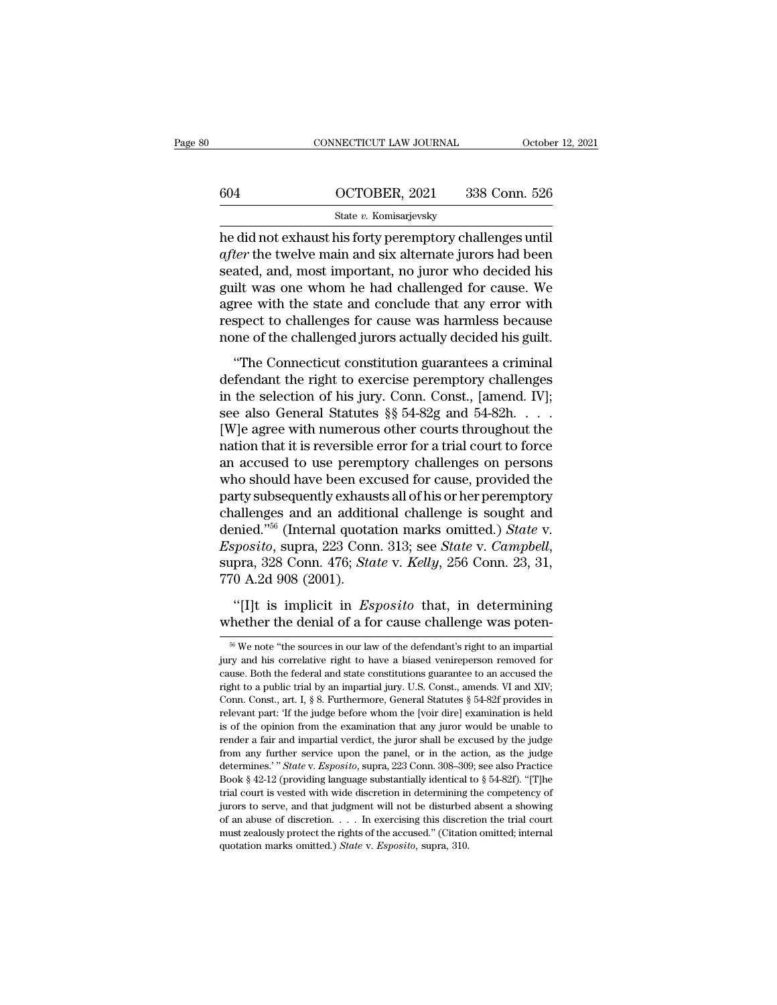|     | CONNECTICUT LAW JOURNAL | October 12, 2021 |
|-----|-------------------------|------------------|
|     |                         |                  |
| 604 | OCTOBER, 2021           | 338 Conn. 526    |
|     | State v. Komisarjevsky  |                  |

CONNECTICUT LAW JOURNAL October 12, 20<br>
604 OCTOBER, 2021 338 Conn. 526<br>
50 State v. Komisarjevsky<br>
he did not exhaust his forty peremptory challenges until<br> *after* the twelve main and six alternate jurors had been<br>
soate *after* the twelve main and six alternate jurors had been  $\frac{\text{G04}}{\text{State } v. \text{ Komisarjevsky}}$ <br>
state  $v. \text{ Komisarjevsky}}$ <br>
he did not exhaust his forty peremptory challenges until after the twelve main and six alternate jurors had been seated, and, most important, no juror who decided his gu  $\frac{\text{G04}}{\text{State } v. \text{ Komisarievsky}}$ <br>
he did not exhaust his forty peremptory challenges until<br>
after the twelve main and six alternate jurors had been<br>
seated, and, most important, no juror who decided his<br>
guilt was one whom he State v. Komisarjevsky<br>
and interesting the did not exhaust his forty peremptory challenges until<br>
after the twelve main and six alternate jurors had been<br>
seated, and, most important, no juror who decided his<br>
guilt was state  $v$ . Komsarjevsky<br>he did not exhaust his forty peremptory challenges until<br>after the twelve main and six alternate jurors had been<br>seated, and, most important, no juror who decided his<br>guilt was one whom he had chal he did not exhaust his forty peremptory challenges until *after* the twelve main and six alternate jurors had been seated, and, most important, no juror who decided his guilt was one whom he had challenged for cause. We ag and some the control main and sin anomiate galaxis had seen<br>ated, and, most important, no juror who decided his<br>ilt was one whom he had challenged for cause. We<br>ree with the state and conclude that any error with<br>spect to Beated, and, most important, no jured who decided his<br>guilt was one whom he had challenged for cause. We<br>agree with the state and conclude that any error with<br>respect to challenges for cause was harmless because<br>none of th

gant was one whom he had enancinged for eadse. We<br>agree with the state and conclude that any error with<br>respect to challenged jurors actually decided his guilt.<br>"The Connecticut constitution guarantees a criminal<br>defendant respect to challenges for cause was harmless because<br>none of the challenged jurors actually decided his guilt.<br>"The Connecticut constitution guarantees a criminal<br>defendant the right to exercise peremptory challenges<br>in th respect to challenged jurors actually decided his guilt.<br>
"The Connecticut constitution guarantees a criminal<br>
defendant the right to exercise peremptory challenges<br>
in the selection of his jury. Conn. Const., [amend. IV]; The Connecticut constitution guarantees a criminal<br>defendant the right to exercise peremptory challenges<br>in the selection of his jury. Conn. Const., [amend. IV];<br>see also General Statutes  $\S$  54-82g and 54-82h. . . .<br>[W]e "The Connecticut constitution guarantees a criminal<br>defendant the right to exercise peremptory challenges<br>in the selection of his jury. Conn. Const., [amend. IV];<br>see also General Statutes  $\S$  54-82g and 54-82h. . . .<br>[W] defendant the right to exercise peremptory challenges<br>in the selection of his jury. Conn. Const., [amend. IV];<br>see also General Statutes §§ 54-82g and 54-82h. . . .<br>[W]e agree with numerous other courts throughout the<br>nati in the selection of his jury. Conn. Const., [amend. IV];<br>see also General Statutes §§ 54-82g and 54-82h. . . .<br>[W]e agree with numerous other courts throughout the<br>nation that it is reversible error for a trial court to f see also General Statutes §§ 54-82g and 54-82h. . . .<br>[W]e agree with numerous other courts throughout the<br>nation that it is reversible error for a trial court to force<br>an accused to use peremptory challenges on persons<br>w [W]e agree with numerous other courts throughout the<br>nation that it is reversible error for a trial court to force<br>an accused to use peremptory challenges on persons<br>who should have been excused for cause, provided the<br>par ration that it is reversible error for a trial court to force<br>an accused to use peremptory challenges on persons<br>who should have been excused for cause, provided the<br>party subsequently exhausts all of his or her peremptory who should have been exe<br>party subsequently exhaus<br>challenges and an additic<br>denied."<sup>56</sup> (Internal quota<br>*Esposito*, supra, 223 Conn<br>supra, 328 Conn. 476; *Sta*<br>770 A.2d 908 (2001).<br>"[I]t is implicit in *Es* allenges and an additional challenge is sought and<br>
mied.<sup>756</sup> (Internal quotation marks omitted.) *State v.*<br> *posito*, supra, 223 Conn. 313; see *State v. Campbell*,<br>
pra, 328 Conn. 476; *State v. Kelly*, 256 Conn. 23, 3 denied."<sup>56</sup> (Internal quotation marks omitted.) *State* v. *Esposito*, supra, 223 Conn. 313; see *State* v. *Campbell*, supra, 328 Conn. 476; *State* v. *Kelly*, 256 Conn. 23, 31, 770 A.2d 908 (2001).<br>"[I]t is implicit i

<sup>&</sup>lt;sup>56</sup> We note "the sources in our law of the defendant's right to an impartial<br><sup>56</sup> We note "the sources in our law of the defendant's right to an impartial<br><sup>56</sup> we note "the sources in our law of the defendant's right to "[I]t is implicit in *Esposito* that, in determining<br>whether the denial of a for cause challenge was poten-<br><sup>66</sup> We note "the sources in our law of the defendant's right to an impartial<br>jury and his correlative right to h "[I]t is implicit in *Esposito* that, in determining whether the denial of a for cause challenge was poten-<br><sup>56</sup> We note "the sources in our law of the defendant's right to an impartial jury and his correlative right to h whether the denial of a for cause challenge was poten-<br>
<sup>56</sup> We note "the sources in our law of the defendant's right to an impartial jury and his correlative right to have a biased venire<br>
person removed for cause. Both <sup>66</sup> We note "the sources in our law of the defendant's right to an impartial<br>jury and his correlative right to have a biased venireperson removed for<br>cause. Both the federal and state constitutions guarantee to an accuse <sup>56</sup> We note "the sources in our law of the defendant's right to an impartial jury and his correlative right to have a biased venire<br>person removed for cause. Both the federal and state constitutions guarantee to an accus jury and his correlative right to have a biased venireperson removed for cause. Both the federal and state constitutions guarantee to an accused the right to a public trial by an impartial jury. U.S. Const., amends. VI and render a fair and impartial verdictions quarantee to an accused the right to a public trial by an impartial jury. U.S. Const., amends. VI and XIV; Conn. Const., art. I, § 8. Furthermore, General Statutes § 54-82f provides right to a public trial by an impartial jury. U.S. Const., amends. VI and XIV;<br>Conn. Const., art. I, § 8. Furthermore, General Statutes § 54-82f provides in<br>relevant part: 'If the judge before whom the [voir dire] examina Conn. Const., art. I, § 8. Furthermore, General Statutes § 54-82f provides in relevant part: 'If the judge before whom the [voir dire] examination is held is of the opinion from the examination that any juror would be unab relevant part: "If the judge before whom the [voir dire] examination is held<br>is of the opinion from the examination that any juror would be unable to<br>render a fair and impartial verdict, the juror shall be excused by the is of the opinion from the examination that any juror would be unable to render a fair and impartial verdict, the juror shall be excused by the judge from any further service upon the panel, or in the action, as the judge Frender a fair and impartial verdict, the juror shall be excused by the judge from any further service upon the panel, or in the action, as the judge determines.'" *State* v. *Esposito*, supra, 223 Conn. 308–309; see also from any further service upon the panel, or in the action, as the judge determines.'" State v. Esposito, supra, 223 Conn. 308–309; see also Practice Book § 42-12 (providing language substantially identical to § 54-82f). " determines.'" State v. Esposito, supra, 223 Conn. 308-309; see also Practice Book § 42-12 (providing language substantially identical to § 54-82f). "[T]he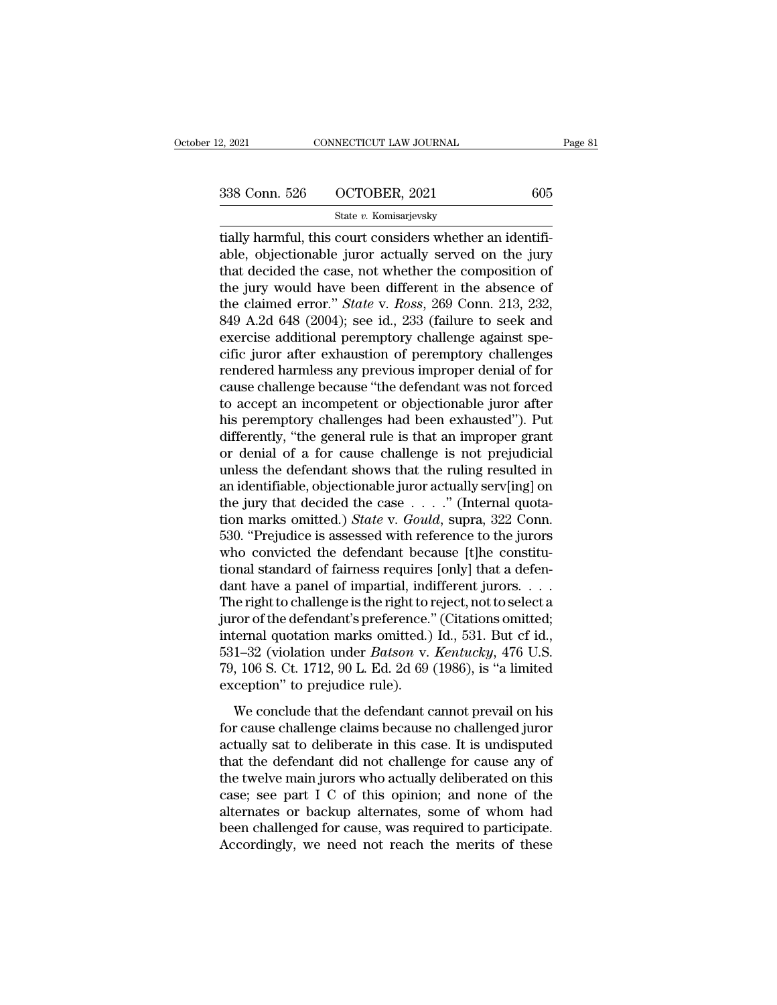2, 2021 CONNECTICUT LAW JOURNAL<br>
338 Conn. 526 OCTOBER, 2021 605<br>
5tate v. Komisarjevsky<br>
tially harmful, this court considers whether an identifi-<br>
able, objectionable juror actually served on the jury<br>
that docided the c  $\begin{array}{r} \text{338 Conn. } 526 \quad \text{OCTOBER, } 2021 \quad \text{605} \\ \text{State } v. \text{ Komisarjevsky} \\ \text{tilally harmful, this court considers whether an identifiable, objectionable juror actually served on the jury that decided the case, not whether the composition of the jury would have been different in the absence of.} \end{array}$ 338 Conn. 526 OCTOBER, 2021 605<br>
State v. Komisarjevsky<br>
tially harmful, this court considers whether an identifi-<br>
able, objectionable juror actually served on the jury<br>
that decided the case, not whether the composition 338 Conn. 526 OCTOBER, 2021 605<br>
State v. Komisarjevsky<br>
tially harmful, this court considers whether an identifi-<br>
able, objectionable juror actually served on the jury<br>
that decided the case, not whether the composition State v. Komisarjevsky<br>
tially harmful, this court considers whether an identifi-<br>
able, objectionable juror actually served on the jury<br>
that decided the case, not whether the composition of<br>
the jury would have been diff state v. Komisarjevsky<br>
tially harmful, this court considers whether an identifi-<br>
able, objectionable juror actually served on the jury<br>
that decided the case, not whether the composition of<br>
the jury would have been dif tially harmful, this court considers whether an identifiable, objectionable juror actually served on the jury that decided the case, not whether the composition of the jury would have been different in the absence of the able, objectionable juror actually served on the jury<br>that decided the case, not whether the composition of<br>the jury would have been different in the absence of<br>the claimed error." *State* v. *Ross*, 269 Conn. 213, 232,<br>84 that decided the case, not whether the composition of<br>the jury would have been different in the absence of<br>the claimed error." *State* v. *Ross*, 269 Conn. 213, 232,<br>849 A.2d 648 (2004); see id., 233 (failure to seek and<br>e the jury would have been different in the absence of<br>the claimed error." *State* v. *Ross*, 269 Conn. 213, 232,<br>849 A.2d 648 (2004); see id., 233 (failure to seek and<br>exercise additional peremptory challenge against spe-<br>c the claimed error." *State* v. *Ross*, 269 Conn. 213, 232, 849 A.2d 648 (2004); see id., 233 (failure to seek and exercise additional peremptory challenge against specific juror after exhaustion of peremptory challenges re 849 A.2d 648 (2004); see id., 233 (failure to seek and<br>exercise additional peremptory challenge against spe-<br>cific juror after exhaustion of peremptory challenges<br>rendered harmless any previous improper denial of for<br>cause exercise additional peremptory challenge against specific juror after exhaustion of peremptory challenges<br>rendered harmless any previous improper denial of for<br>cause challenge because "the defendant was not forced<br>to accep cific juror after exhaustion of peremptory challenges<br>rendered harmless any previous improper denial of for<br>cause challenge because "the defendant was not forced<br>to accept an incompetent or objectionable juror after<br>his pe rendered harmless any previous improper denial of for<br>cause challenge because "the defendant was not forced<br>to accept an incompetent or objectionable juror after<br>his peremptory challenges had been exhausted"). Put<br>differen cause challenge because "the defendant was not forced<br>to accept an incompetent or objectionable juror after<br>his peremptory challenges had been exhausted"). Put<br>differently, "the general rule is that an improper grant<br>or d to accept an incompetent or objectionable juror after<br>his peremptory challenges had been exhausted"). Put<br>differently, "the general rule is that an improper grant<br>or denial of a for cause challenge is not prejudicial<br>unle his peremptory challenges had been exhausted"). Put<br>differently, "the general rule is that an improper grant<br>or denial of a for cause challenge is not prejudicial<br>unless the defendant shows that the ruling resulted in<br>an i differently, "the general rule is that an improper grant<br>or denial of a for cause challenge is not prejudicial<br>unless the defendant shows that the ruling resulted in<br>an identifiable, objectionable juror actually serv[ing] or denial of a for cause challenge is not prejudicial<br>unless the defendant shows that the ruling resulted in<br>an identifiable, objectionable juror actually serv[ing] on<br>the jury that decided the case  $\ldots$ ." (Internal quot unless the defendant shows that the ruling resulted in<br>an identifiable, objectionable juror actually serv[ing] on<br>the jury that decided the case  $\ldots$ ." (Internal quota-<br>tion marks omitted.) *State* v. *Gould*, supra, 322 an identifiable, objectionable juror actually serv[ing] on<br>the jury that decided the case  $\ldots$ ." (Internal quota-<br>tion marks omitted.) *State* v. *Gould*, supra, 322 Conn.<br>530. "Prejudice is assessed with reference to th the jury that decided the case  $\dots$  ." (Internal quotation marks omitted.) *State* v. *Gould*, supra, 322 Conn.<br>530. "Prejudice is assessed with reference to the jurors<br>who convicted the defendant because [t]he constitu-<br> tion marks omitted.) *State* v. *Gould*, supra, 322 Conn.<br>530. "Prejudice is assessed with reference to the jurors<br>who convicted the defendant because [t]he constitu-<br>tional standard of fairness requires [only] that a def 530. "Prejudice is assessed with reference to the jurors<br>who convicted the defendant because [t]he constitu-<br>tional standard of fairness requires [only] that a defen-<br>dant have a panel of impartial, indifferent jurors.... who convicted the defendant because [t]he constitutional standard of fairness requires [only] that a defendant have a panel of impartial, indifferent jurors.....<br>The right to challenge is the right to reject, not to select tional standard of fairness requires [only] that a defendant have a panel of impartial, indifferent jurors. . . . The right to challenge is the right to reject, not to select a juror of the defendant's preference." (Citat dant have a panel of impartial, ind<br>The right to challenge is the right to m<br>juror of the defendant's preference.'<br>internal quotation marks omitted.)<br>531–32 (violation under *Batson* v.<br>79, 106 S. Ct. 1712, 90 L. Ed. 2d 69 For the defendant's preference." (Citations omitted;<br>ternal quotation marks omitted.) Id., 531. But cf id.,<br>1–32 (violation under *Batson v. Kentucky*, 476 U.S.<br>, 106 S. Ct. 1712, 90 L. Ed. 2d 69 (1986), is "a limited<br>cep for cause challenge claims because that the defendant cause in the conclude that the defendant cannot prevail on his<br>for cause challenge claims because in the care conclude that the defendant cannot prevail on his<br>for cau

metrical quotation matrix omnition,  $f$  and  $f$  and  $f$  and  $f$  and  $f$  and  $f$  and  $f$  and  $f$  and  $f$  and  $f$  and  $f$  and  $f$  are  $f$  and  $f$  are  $f$  are  $f$  are  $f$  are  $f$  are  $f$  are  $f$  are  $f$  are  $f$  are  $f$  are 79, 106 S. Ct. 1712, 90 L. Ed. 2d 69 (1986), is "a limited<br>exception" to prejudice rule).<br>We conclude that the defendant cannot prevail on his<br>for cause challenge claims because no challenged juror<br>actually sat to deliber the twelve main jurors who actually deliberated on this<br>case; see parallel main get a main provided into the twelve main jurors who actually deliberated on this<br>case; see part I C of this opinion; and none of the<br>alternat We conclude that the defendant cannot prevail on his<br>for cause challenge claims because no challenged juror<br>actually sat to deliberate in this case. It is undisputed<br>that the defendant did not challenge for cause any of<br>th We conclude that the defendant cannot prevail on his<br>for cause challenge claims because no challenged juror<br>actually sat to deliberate in this case. It is undisputed<br>that the defendant did not challenge for cause any of<br>th for cause challenge claims because no challenged juror<br>actually sat to deliberate in this case. It is undisputed<br>that the defendant did not challenge for cause any of<br>the twelve main jurors who actually deliberated on this actually sat to deliberate in this case. It is undisputed<br>that the defendant did not challenge for cause any of<br>the twelve main jurors who actually deliberated on this<br>case; see part I C of this opinion; and none of the<br>al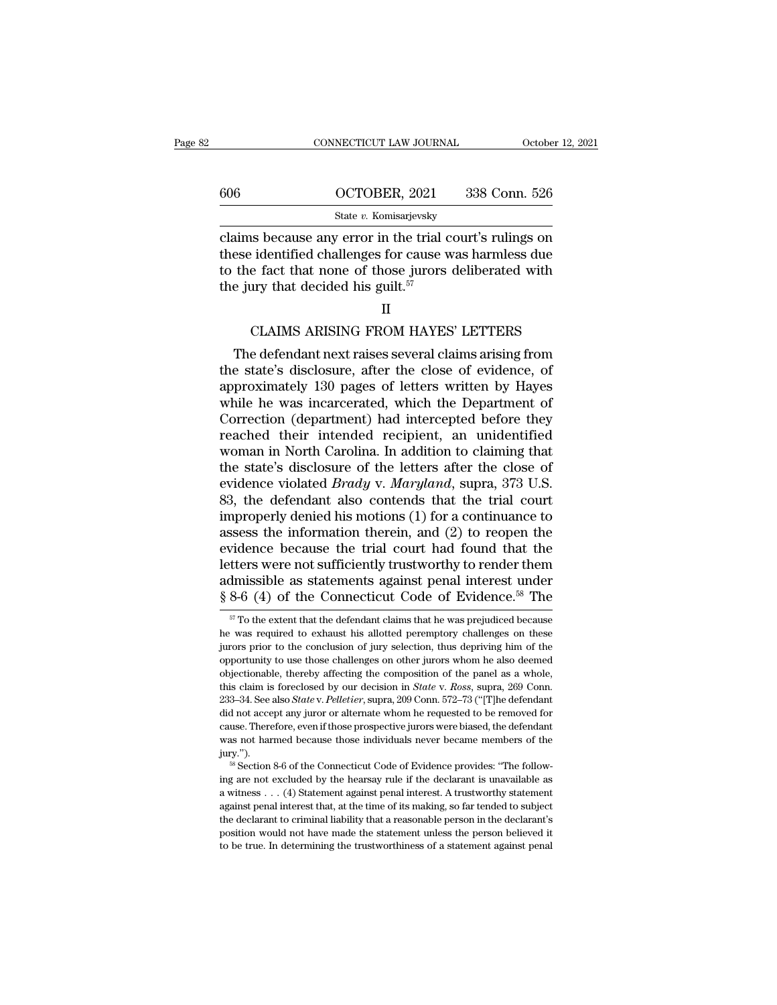|     | CONNECTICUT LAW JOURNAL | October 12, 2021 |
|-----|-------------------------|------------------|
|     |                         |                  |
| 606 | OCTOBER, 2021           | 338 Conn. 526    |
|     | State v. Komisarjevsky  |                  |

CONNECTICUT LAW JOURNAL October 12, 2021<br>
606 OCTOBER, 2021 338 Conn. 526<br>
5tate v. Komisarjevsky<br>
claims because any error in the trial court's rulings on<br>
these identified challenges for cause was harmless due<br>
to the fa 606 OCTOBER, 2021 338 Conn. 526<br>
State v. Komisarjevsky<br>
Claims because any error in the trial court's rulings on<br>
these identified challenges for cause was harmless due<br>
to the fact that none of those jurors deliberated 606 OCTOBER, 2021 338 Conn. 526<br>
State v. Komisarjevsky<br>
claims because any error in the trial court's rulings on<br>
these identified challenges for cause was harmless due<br>
to the fact that none of those jurors deliberated the jury that decided his guilt.<sup>57</sup> Frame is because any error in the trial court's rulings on<br>
identified challenges for cause was harmless due<br>
e fact that none of those jurors deliberated with<br>  $\,$ ury that decided his guilt. $^{57}$ <br>  $\,$ II<br>
CLAIMS ARISIN ese identified challenges for cause was harmless due<br>the fact that none of those jurors deliberated with<br>e jury that decided his guilt.<sup>57</sup><br>II<br>CLAIMS ARISING FROM HAYES' LETTERS<br>The defendant next raises several claims ari

## II

to the fact that none of those jurors deliberated with<br>the jury that decided his guilt.<sup>57</sup><br>II<br>CLAIMS ARISING FROM HAYES' LETTERS<br>The defendant next raises several claims arising from<br>the state's disclosure, after the clos <sup>57</sup><br>II<br>CLAIMS ARISING FROM HAYES' LETTERS<br>The defendant next raises several claims arising from<br>the state's disclosure, after the close of evidence, of<br>approximately 130 pages of letters written by Hayes<br>while he was inca II<br>CLAIMS ARISING FROM HAYES' LETTERS<br>The defendant next raises several claims arising from<br>the state's disclosure, after the close of evidence, of<br>approximately 130 pages of letters written by Hayes<br>while he was incarcera CLAIMS ARISING FROM HAYES' LETTERS<br>The defendant next raises several claims arising from<br>the state's disclosure, after the close of evidence, of<br>approximately 130 pages of letters written by Hayes<br>while he was incarcerated CLAIMS ARISING FROM HAYES' LETTERS<br>The defendant next raises several claims arising from<br>the state's disclosure, after the close of evidence, of<br>approximately 130 pages of letters written by Hayes<br>while he was incarcerated The defendant next raises several claims arising from<br>the state's disclosure, after the close of evidence, of<br>approximately 130 pages of letters written by Hayes<br>while he was incarcerated, which the Department of<br>Correctio the state's disclosure, after the close of evidence, of<br>approximately 130 pages of letters written by Hayes<br>while he was incarcerated, which the Department of<br>Correction (department) had intercepted before they<br>reached the approximately 130 pages of letters written by Hayes<br>while he was incarcerated, which the Department of<br>Correction (department) had intercepted before they<br>reached their intended recipient, an unidentified<br>woman in North Ca while he was incarcerated, which the Department of<br>Correction (department) had intercepted before they<br>reached their intended recipient, an unidentified<br>woman in North Carolina. In addition to claiming that<br>the state's di Correction (department) had intercepted before they<br>reached their intended recipient, an unidentified<br>woman in North Carolina. In addition to claiming that<br>the state's disclosure of the letters after the close of<br>evidence reached their intended recipient, an unidentified<br>woman in North Carolina. In addition to claiming that<br>the state's disclosure of the letters after the close of<br>evidence violated *Brady* v. *Maryland*, supra, 373 U.S.<br>83, woman in North Carolina. In addition to claiming that<br>the state's disclosure of the letters after the close of<br>evidence violated *Brady* v. *Maryland*, supra, 373 U.S.<br>83, the defendant also contends that the trial court<br>i the state's disclosure of the letters after the close of<br>evidence violated *Brady* v. *Maryland*, supra, 373 U.S.<br>83, the defendant also contends that the trial court<br>improperly denied his motions (1) for a continuance to evidence violated *Brady* v. *Maryland*, supra, 373 U.S.<br>83, the defendant also contends that the trial court<br>improperly denied his motions (1) for a continuance to<br>assess the information therein, and (2) to reopen the<br>ev 83, the defendant also contends that the trial court<br>improperly denied his motions (1) for a continuance to<br>assess the information therein, and (2) to reopen the<br>evidence because the trial court had found that the<br>letters vidence because the trial court had found that the tters were not sufficiently trustworthy to render them dmissible as statements against penal interest under  $8-6$  (4) of the Connecticut Code of Evidence.<sup>58</sup> The  $\frac{57}{$ letters were not sufficiently trustworthy to render them<br>admissible as statements against penal interest under<br> $\frac{8}{5}$  8-6 (4) of the Connecticut Code of Evidence.<sup>58</sup> The<br> $\frac{57}{70}$  the extent that the defendant claim

admissible as statements against penal interest under  $\S 8{\text -}6$  (4) of the Connecticut Code of Evidence.<sup>58</sup> The  $\frac{57}{57}$  To the extent that the defendant claims that he was prejudiced because he was required to exhau § 8-6 (4) of the Connecticut Code of Evidence.<sup>58</sup> The<br>
<sup>57</sup> To the extent that the defendant claims that he was prejudiced because<br>
he was required to exhaust his allotted peremptory challenges on these<br>
jurors prior to  $S$  O-O (4) OI LIFE COILIFICELT COOF OI EVIDENCE.<sup>24</sup> The<br>
<sup>57</sup> To the extent that the defendant claims that he was prejudiced because<br>
he was required to exhaust his allotted peremptory challenges on these<br>
jurors prior <sup>57</sup> To the extent that the defendant claims that he was prejudiced because he was required to exhaust his allotted peremptory challenges on these jurors prior to the conclusion of jury selection, thus depriving him of th <sup>233</sup> – *Pelletier*, suppress and *State v. Pelletier*, suppress *Pelletier*, thus depriving him of the opportunity to use those challenges on other jurors whom he also deemed objectionable, thereby affecting the compositi divided in the conclusion of jury selection, thus depriving him of the opportunity to use those challenges on other jurors whom he also deemed objectionable, thereby affecting the composition of the panel as a whole, this cause that we use those challenges on other jurors whom he also deened<br>objectionable, thereby affecting the composition of the panel as a whole,<br>this claim is foreclosed by our decision in *State v. Ross*, supra, 269 Conn. objectionable, thereby affecting the composition of the panel as a whole, this claim is foreclosed by our decision in *State* v. *Ross*, supra, 269 Conn. 233–34. See also *State* v. *Pelletier*, supra, 209 Conn. 572–73 (" jury.'').  $3-34$ . See also *State* v. *Pelletier*, supra, 209 Conn. 572–73 ("[T]he defendant d not accept any juror or alternate whom he requested to be removed for use. Therefore, even if those prospective jurors were biased, the and an accept any juror or alternate whom he requested to be removed for cause. Therefore, even if those prospective jurors were biased, the defendant was not harmed because those individuals never became members of the j

cause. Therefore, even if those prospective jurors were biased, the defendant was not harmed because those prospective jurors were biased, the defendant was not harmed because those individuals never became members of the was not harmed because those individuals never became members of the jury.").<br>
<sup>58</sup> Section 8-6 of the Connecticut Code of Evidence provides: "The following are not excluded by the hearsay rule if the declarant is unavaila http://www.interact of the Connecticut Code of Evidence provides: "The following are not excluded by the hearsay rule if the declarant is unavailable as a witness . . . (4) Statement against penal interest. A trustworthy s <sup>58</sup> Section 8-6 of the Connecticut Code of Evidence provides: "The following are not excluded by the hearsay rule if the declarant is unavailable as a witness . . . (4) Statement against penal interest. A trustworthy sta ing are not excluded by the hearsay rule if the declarant is unavailable as a witness  $\ldots$  (4) Statement against penal interest. A trustworthy statement against penal interest that, at the time of its making, so far tend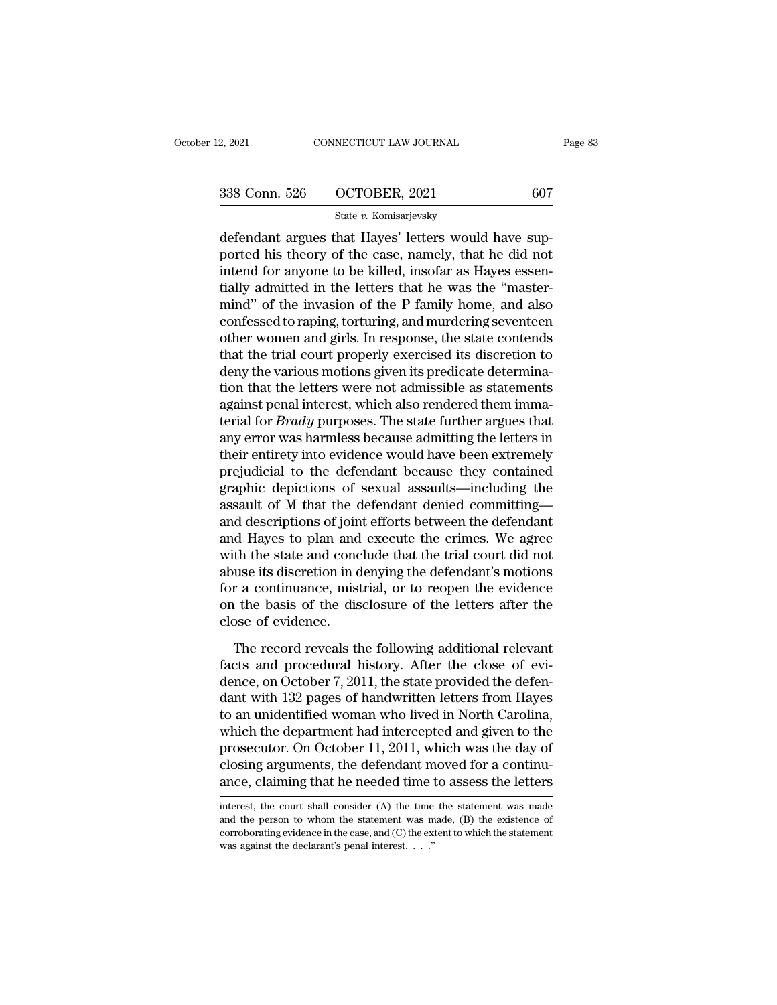2, 2021 CONNECTICUT LAW JOURNAL<br>
338 Conn. 526 OCTOBER, 2021 607<br>
5tate v. Komisarjevsky<br>
defendant argues that Hayes' letters would have sup-<br>
ported his theory of the case, namely, that he did not<br>
intend for anyone to b 338 Conn. 526 OCTOBER, 2021 607<br>State v. Komisarjevsky<br>defendant argues that Hayes' letters would have sup-<br>ported his theory of the case, namely, that he did not<br>intend for anyone to be killed, insofar as Hayes essen-<br>tie 338 Conn. 526 OCTOBER, 2021 607<br>
State v. Komisarjevsky<br>
defendant argues that Hayes' letters would have sup-<br>
ported his theory of the case, namely, that he did not<br>
intend for anyone to be killed, insofar as Hayes essen 338 Conn. 526 OCTOBER, 2021 607<br>
State v. Komisarjevsky<br>
defendant argues that Hayes' letters would have sup-<br>
ported his theory of the case, namely, that he did not<br>
intend for anyone to be killed, insofar as Hayes essen State v. Komisarjevsky<br>
defendant argues that Hayes' letters would have sup-<br>
ported his theory of the case, namely, that he did not<br>
intend for anyone to be killed, insofar as Hayes essen-<br>
tially admitted in the letters state v. Romsarjevsky<br>defendant argues that Hayes' letters would have sup-<br>ported his theory of the case, namely, that he did not<br>intend for anyone to be killed, insofar as Hayes essen-<br>tially admitted in the letters that defendant argues that Hayes' letters would have sup-<br>ported his theory of the case, namely, that he did not<br>intend for anyone to be killed, insofar as Hayes essen-<br>tially admitted in the letters that he was the "master-<br>mi ported his theory of the case, namely, that he did not<br>intend for anyone to be killed, insofar as Hayes essen-<br>tially admitted in the letters that he was the "master-<br>mind" of the invasion of the P family home, and also<br>co intend for anyone to be killed, insofar as Hayes essentially admitted in the letters that he was the "master-<br>mind" of the invasion of the P family home, and also<br>confessed to raping, torturing, and murdering seventeen<br>oth tially admitted in the letters that he was the "master-<br>mind" of the invasion of the P family home, and also<br>confessed to raping, torturing, and murdering seventeen<br>other women and girls. In response, the state contends<br>th mind" of the invasion of the P family home, and also confessed to raping, torturing, and murdering seventeen other women and girls. In response, the state contends that the trial court properly exercised its discretion to confessed to raping, torturing, and murdering seventeen<br>other women and girls. In response, the state contends<br>that the trial court properly exercised its discretion to<br>deny the various motions given its predicate determin other women and girls. In response, the state contends<br>that the trial court properly exercised its discretion to<br>deny the various motions given its predicate determina-<br>tion that the letters were not admissible as statemen that the trial court properly exercised its discretion to<br>deny the various motions given its predicate determina-<br>tion that the letters were not admissible as statements<br>against penal interest, which also rendered them imm deny the various motions given its predicate determination that the letters were not admissible as statements against penal interest, which also rendered them immaterial for *Brady* purposes. The state further argues that tion that the letters were not admissible as statements<br>against penal interest, which also rendered them imma-<br>terial for *Brady* purposes. The state further argues that<br>any error was harmless because admitting the letters against penal interest, which also rendered them imma-<br>terial for *Brady* purposes. The state further argues that<br>any error was harmless because admitting the letters in<br>their entirety into evidence would have been extreme terial for *Brady* purposes. The state further argues that<br>any error was harmless because admitting the letters in<br>their entirety into evidence would have been extremely<br>prejudicial to the defendant because they contained<br> any error was harmless because admitting the letters in<br>their entirety into evidence would have been extremely<br>prejudicial to the defendant because they contained<br>graphic depictions of sexual assaults—including the<br>assault their entirety into evidence would have been extremely<br>prejudicial to the defendant because they contained<br>graphic depictions of sexual assaults—including the<br>assault of M that the defendant denied committing—<br>and descript prejudicial to the defendant because they contained<br>graphic depictions of sexual assaults—including the<br>assault of M that the defendant denied committing—<br>and descriptions of joint efforts between the defendant<br>and Hayes t graphic depictions of sexual assaults—including the<br>assault of M that the defendant denied committing—<br>and descriptions of joint efforts between the defendant<br>and Hayes to plan and execute the crimes. We agree<br>with the sta assault of M that the defendant denied committing—<br>and descriptions of joint efforts between the defendant<br>and Hayes to plan and execute the crimes. We agree<br>with the state and conclude that the trial court did not<br>abuse i and descriptions of join<br>and Hayes to plan and<br>with the state and conc<br>abuse its discretion in d<br>for a continuance, mist<br>on the basis of the dis<br>close of evidence.<br>The record reveals th the state and conclude that the trial court did not<br>the state and conclude that the trial court did not<br>use its discretion in denying the defendant's motions<br>r a continuance, mistrial, or to reopen the evidence<br>the basis Fact the state and constant the trafficial distribution<br>abuse its discretion in denying the defendant's motions<br>for a continuance, mistrial, or to reopen the evidence<br>on the basis of the disclosure of the letters after the

dence to discrete in derivative in derivative includes.<br>
for a continuance, mistrial, or to reopen the evidence<br>
on the basis of the disclosure of the letters after the<br>
close of evidence.<br>
The record reveals the following For a continuation, mistrical, or to respect the chiartee<br>on the basis of the disclosure of the letters after the<br>close of evidence.<br>The record reveals the following additional relevant<br>facts and procedural history. After The record reveals the following additional relevant<br>facts and procedural history. After the close of evi-<br>dence, on October 7, 2011, the state provided the defen-<br>dant with 132 pages of handwritten letters from Hayes<br>to a The record reveals the following additional relevant<br>facts and procedural history. After the close of evi-<br>dence, on October 7, 2011, the state provided the defen-<br>dant with 132 pages of handwritten letters from Hayes<br>to a The record reveals the following additional relevant<br>facts and procedural history. After the close of evi-<br>dence, on October 7, 2011, the state provided the defen-<br>dant with 132 pages of handwritten letters from Hayes<br>to a facts and procedural history. After the close of evidence, on October 7, 2011, the state provided the defendant with 132 pages of handwritten letters from Hayes to an unidentified woman who lived in North Carolina, which t dence, on October 7, 2011, the state provided the defen-<br>dant with 132 pages of handwritten letters from Hayes<br>to an unidentified woman who lived in North Carolina,<br>which the department had intercepted and given to the<br>pro which the department had intercepted and given to the prosecutor. On October 11, 2011, which was the day of closing arguments, the defendant moved for a continuance, claiming that he needed time to assess the letters inte prosecutor. On October 11, 2011, which was the day of<br>closing arguments, the defendant moved for a continu-<br>ance, claiming that he needed time to assess the letters<br>interest, the court shall consider (A) the time the state

closing arguments, the defendant moved for a continu-<br>ance, claiming that he needed time to assess the letters<br>interest, the court shall consider (A) the time the statement was made<br>and the person to whom the statement wa ance, claiming that he needed time interest, the court shall consider (A) the time and the person to whom the statement was m corroborating evidence in the case, and (C) the ex was against the declarant's penal interest.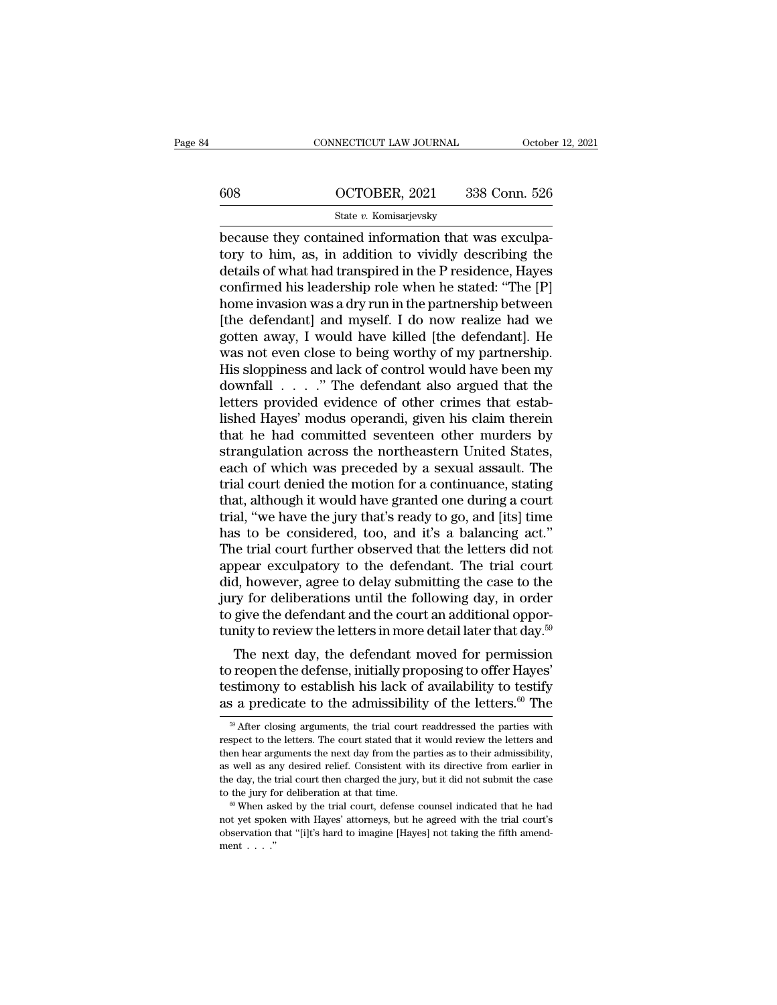# CONNECTICUT LAW JOURNAL October 12, 2021<br>608 OCTOBER, 2021 338 Conn. 526<br>State v. Komisarjevsky

## State *v.* Komisarjevsky

CONNECTICUT LAW JOURNAL Octobe<br>
608 OCTOBER, 2021 338 Conn. 526<br>
508 State v. Komisarjevsky<br>
because they contained information that was exculpa-<br>
tory to him, as, in addition to vividly describing the  $\begin{array}{r} \hline \text{608} \text{OCTOBER, 2021} \text{338 Conn. } 526 \\ \text{State } v. \text{ Komisarievsky} \\ \hline \text{because they contained information that was exclusively to him, as, in addition to vividly describing the details of what had transpired in the P residence, Hayes confirmed his leadership role when he stated: "The ID" \\ \hline \end{array}$ 608 OCTOBER, 2021 338 Conn. 526<br>
State v. Komisarjevsky<br>
because they contained information that was exculpa-<br>
tory to him, as, in addition to vividly describing the<br>
details of what had transpired in the P residence, Hay 608  $\qquad$  OCTOBER, 2021 338 Conn. 526<br>  $\frac{\text{State } v. \text{ Komisarjevsky}}{\text{Because they contained information that was excluding-}\n}$ <br>
because they contained information that was exculpa-<br>
tory to him, as, in addition to vividly describing the<br>
details of what had transpired in t State v. Komisarjevsky<br>
because they contained information that was exculpa-<br>
tory to him, as, in addition to vividly describing the<br>
details of what had transpired in the P residence, Hayes<br>
confirmed his leadership role State v. Komsarjevsky<br>because they contained information that was exculpa-<br>tory to him, as, in addition to vividly describing the<br>details of what had transpired in the P residence, Hayes<br>confirmed his leadership role when because they contained information that was exculpatory to him, as, in addition to vividly describing the details of what had transpired in the P residence, Hayes confirmed his leadership role when he stated: "The [P] home tory to him, as, in addition to vividly describing the<br>details of what had transpired in the P residence, Hayes<br>confirmed his leadership role when he stated: "The [P]<br>home invasion was a dry run in the partnership between<br> details of what had transpired in the P residence, Hayes<br>confirmed his leadership role when he stated: "The [P]<br>home invasion was a dry run in the partnership between<br>[the defendant] and myself. I do now realize had we<br>got confirmed his leadership role when he stated: "The [P]<br>home invasion was a dry run in the partnership between<br>[the defendant] and myself. I do now realize had we<br>gotten away, I would have killed [the defendant]. He<br>was not home invasion was a dry run in the partnership between<br>[the defendant] and myself. I do now realize had we<br>gotten away, I would have killed [the defendant]. He<br>was not even close to being worthy of my partnership.<br>His slop [the defendant] and myself. I do now realize had we<br>gotten away, I would have killed [the defendant]. He<br>was not even close to being worthy of my partnership.<br>His sloppiness and lack of control would have been my<br>downfall gotten away, I would have killed [the defendant]. He<br>was not even close to being worthy of my partnership.<br>His sloppiness and lack of control would have been my<br>downfall . . . . ." The defendant also argued that the<br>letter was not even close to being worthy of my partnership.<br>His sloppiness and lack of control would have been my<br>downfall  $\ldots$ ." The defendant also argued that the<br>letters provided evidence of other crimes that estab-<br>lished His sloppiness and lack of control would have been my<br>downfall  $\ldots$ ." The defendant also argued that the<br>letters provided evidence of other crimes that estab-<br>lished Hayes' modus operandi, given his claim therein<br>that he downfall . . . . ." The defendant also argued that the<br>letters provided evidence of other crimes that estab-<br>lished Hayes' modus operandi, given his claim therein<br>that he had committed seventeen other murders by<br>strangulat letters provided evidence of other crimes that established Hayes' modus operandi, given his claim therein<br>that he had committed seventeen other murders by<br>strangulation across the northeastern United States,<br>each of which lished Hayes' modus operandi, given his claim therein<br>that he had committed seventeen other murders by<br>strangulation across the northeastern United States,<br>each of which was preceded by a sexual assault. The<br>trial court de that he had committed seventeen other murders by<br>strangulation across the northeastern United States,<br>each of which was preceded by a sexual assault. The<br>trial court denied the motion for a continuance, stating<br>that, altho strangulation across the northeastern United States,<br>each of which was preceded by a sexual assault. The<br>trial court denied the motion for a continuance, stating<br>that, although it would have granted one during a court<br>tria each of which was preceded by a sexual assault. The<br>trial court denied the motion for a continuance, stating<br>that, although it would have granted one during a court<br>trial, "we have the jury that's ready to go, and [its] ti trial court denied the motion for a continuance, stating<br>that, although it would have granted one during a court<br>trial, "we have the jury that's ready to go, and [its] time<br>has to be considered, too, and it's a balancing a that, although it would have granted one during a court<br>trial, "we have the jury that's ready to go, and [its] time<br>has to be considered, too, and it's a balancing act."<br>The trial court further observed that the letters d trial, "we have the jury that's ready to go, and [its] time<br>has to be considered, too, and it's a balancing act."<br>The trial court further observed that the letters did not<br>appear exculpatory to the defendant. The trial co has to be considered, too, and it's a balancing act."<br>The trial court further observed that the letters did not<br>appear exculpatory to the defendant. The trial court<br>did, however, agree to delay submitting the case to the<br> de trial court further observed that the letters did not<br>pear exculpatory to the defendant. The trial court<br>d, however, agree to delay submitting the case to the<br>ry for deliberations until the following day, in order<br>give appear excupatory to the defendant. The trial court<br>did, however, agree to delay submitting the case to the<br>jury for deliberations until the following day, in order<br>to give the defendant and the court an additional oppor-

and, nowever, agree to delay submitting the case to the<br>jury for deliberations until the following day, in order<br>to give the defendant and the court an additional oppor-<br>tunity to review the letters in more detail later t The give the defendant and the court an additional opportunity to review the letters in more detail later that day.<sup>59</sup><br>The next day, the defendant moved for permission<br>to reopen the defense, initially proposing to offer The next day, the defendant moved for permission<br>or reopen the defense, initially proposing to offer Hayes'<br>stimony to establish his lack of availability to testify<br>s a predicate to the admissibility of the letters.<sup>60</sup> T to reopen the defense, initially proposing to offer Hayes'<br>testimony to establish his lack of availability to testify<br>as a predicate to the admissibility of the letters.<sup>60</sup> The<br> $\frac{1}{100}$  After closing arguments, the tr

testim<br>ony to establish his lack of availability to testify as a predicate to the admissibility of the letters.<sup>60</sup> The  $\frac{1}{\pi}$ <br> $\frac{1}{\pi}$  After closing arguments, the trial court readdressed the parties with respect t as a predicate to the admissibility of the letters.<sup>60</sup> The  $\frac{1}{100}$  After closing arguments, the trial court readdressed the parties with respect to the letters. The court stated that it would review the letters and t  $\frac{1}{2}$  After closing arguments, the trial court readdressed the parties with spect to the letters. The court stated that it would review the letters and een hear arguments the next day from the parties as to their admi <sup>50</sup> After closing arguments, the trial court readdressed the parties with respect to the letters. The court stated that it would review the letters and then hear arguments the next day from the parties as to their admiss then hear arguments the next day from the parties as to their admissibility, as well as any desired relief. Consistent with its directive from earlier in the day, the trial court then charged the jury, but it did not subm

as well as any desired relief. Consistent with its directive from earlier in the day, the trial court then charged the jury, but it did not submit the case to the jury for deliberation at that time. <sup>60</sup> When asked by the the day, the the day, the to the jury for  $\frac{60}{100}$  When as not yet spoked by the set of the set of the set of the ment  $\ldots$ .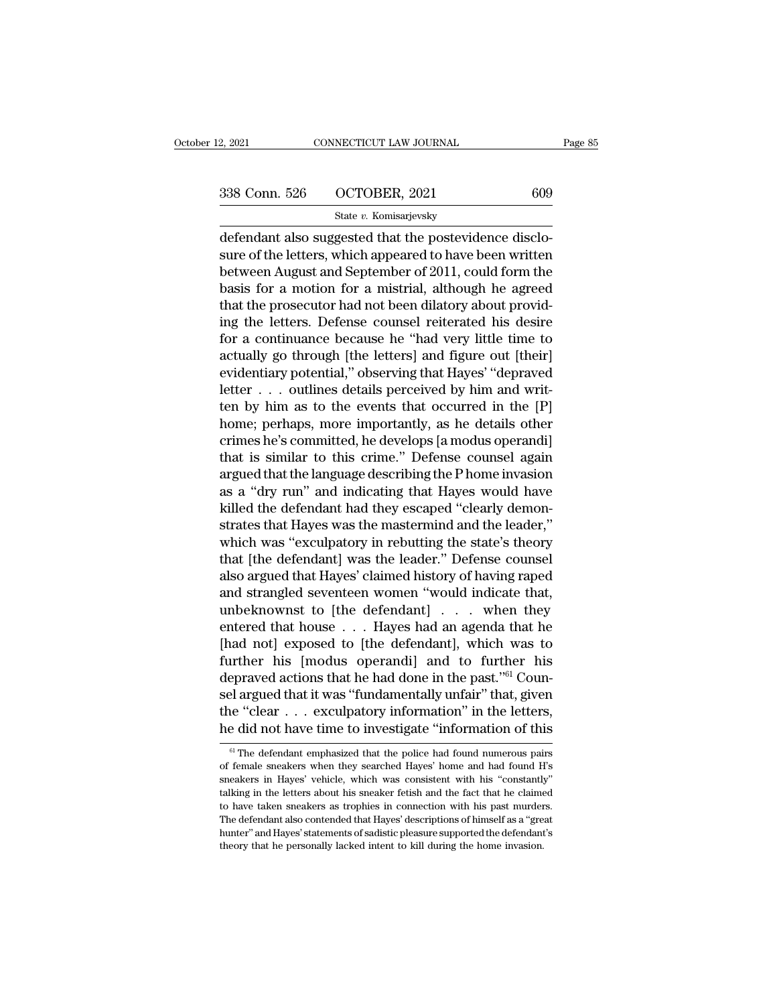2, 2021 CONNECTICUT LAW JOURNAL Page 85<br>338 Conn. 526 OCTOBER, 2021 609<br>5tate v. Komisarjevsky

State *v.* Komisarjevsky

2, 2021 CONNECTICUT LAW JOURNAL<br>
338 Conn. 526 OCTOBER, 2021 609<br>
5tate v. Komisarjevsky<br>
defendant also suggested that the postevidence disclo-<br>
sure of the letters, which appeared to have been written<br>
between August and 338 Conn. 526 OCTOBER, 2021 609<br>
State v. Komisarjevsky<br>
defendant also suggested that the postevidence disclosure of the letters, which appeared to have been written<br>
between August and September of 2011, could form the<br> 338 Conn. 526 OCTOBER, 2021 609<br>
State v. Komisarjevsky<br>
defendant also suggested that the postevidence disclosure of the letters, which appeared to have been written<br>
between August and September of 2011, could form the<br>  $\frac{\text{338} \text{ Conn. } 526 \qquad \text{OCTOBER, } 2021 \qquad \qquad 609}{\text{State } v. \text{ Komisarievsky}}$ <br>
defendant also suggested that the postevidence disclosure of the letters, which appeared to have been written<br>
between August and September of 2011, could State v. Komisarjevsky<br>
defendant also suggested that the postevidence disclo-<br>
sure of the letters, which appeared to have been written<br>
between August and September of 2011, could form the<br>
basis for a motion for a mist state v. Kollislarjevsky<br>defendant also suggested that the postevidence disclo-<br>sure of the letters, which appeared to have been written<br>between August and September of 2011, could form the<br>basis for a motion for a mistri defendant also suggested that the postevidence disclosure of the letters, which appeared to have been written<br>between August and September of 2011, could form the<br>basis for a motion for a mistrial, although he agreed<br>that sure of the letters, which appeared to have been written<br>between August and September of 2011, could form the<br>basis for a motion for a mistrial, although he agreed<br>that the prosecutor had not been dilatory about provid-<br>in between August and September of 2011, could form the<br>basis for a motion for a mistrial, although he agreed<br>that the prosecutor had not been dilatory about provid-<br>ing the letters. Defense counsel reiterated his desire<br>for basis for a motion for a mistrial, although he agreed<br>that the prosecutor had not been dilatory about provid-<br>ing the letters. Defense counsel reiterated his desire<br>for a continuance because he "had very little time to<br>ac that the prosecutor had not been dilatory about providing the letters. Defense counsel reiterated his desire for a continuance because he "had very little time to actually go through [the letters] and figure out [their] ev ing the letters. Defense counsel reiterated his desire<br>for a continuance because he "had very little time to<br>actually go through [the letters] and figure out [their]<br>evidentiary potential," observing that Hayes' "depraved<br> for a continuance because he "had very little time to<br>actually go through [the letters] and figure out [their]<br>evidentiary potential," observing that Hayes' "depraved<br>letter . . . outlines details perceived by him and writ actually go through [the letters] and figure out [their]<br>evidentiary potential," observing that Hayes' "depraved<br>letter . . . outlines details perceived by him and writ-<br>ten by him as to the events that occurred in the [P] evidentiary potential," observing that Hayes' "depraved<br>letter . . . outlines details perceived by him and writ-<br>ten by him as to the events that occurred in the [P]<br>home; perhaps, more importantly, as he details other<br>cri letter . . . outlines details perceived by him and writ-<br>ten by him as to the events that occurred in the [P]<br>home; perhaps, more importantly, as he details other<br>crimes he's committed, he develops [a modus operandi]<br>that ten by him as to the events that occurred in the [P]<br>home; perhaps, more importantly, as he details other<br>crimes he's committed, he develops [a modus operandi]<br>that is similar to this crime." Defense counsel again<br>argued t home; perhaps, more importantly, as he details other<br>crimes he's committed, he develops [a modus operandi]<br>that is similar to this crime.'' Defense counsel again<br>argued that the language describing the P home invasion<br>as a crimes he's committed, he develops [a modus operandi]<br>that is similar to this crime." Defense counsel again<br>argued that the language describing the P home invasion<br>as a "dry run" and indicating that Hayes would have<br>killed that is similar to this crime." Defense counsel again<br>argued that the language describing the P home invasion<br>as a "dry run" and indicating that Hayes would have<br>killed the defendant had they escaped "clearly demon-<br>strate argued that the language describing the P home invasion<br>as a "dry run" and indicating that Hayes would have<br>killed the defendant had they escaped "clearly demon-<br>strates that Hayes was the mastermind and the leader,"<br>which as a "dry run" and indicating that Hayes would have<br>killed the defendant had they escaped "clearly demon-<br>strates that Hayes was the mastermind and the leader,"<br>which was "exculpatory in rebutting the state's theory<br>that [ killed the defendant had they escaped "clearly demonstrates that Hayes was the mastermind and the leader,"<br>which was "exculpatory in rebutting the state's theory<br>that [the defendant] was the leader." Defense counsel<br>also a strates that Hayes was the mastermind and the leader,"<br>which was "exculpatory in rebutting the state's theory<br>that [the defendant] was the leader." Defense counsel<br>also argued that Hayes' claimed history of having raped<br>an which was "exculpatory in rebutting the state's theory<br>that [the defendant] was the leader." Defense counsel<br>also argued that Hayes' claimed history of having raped<br>and strangled seventeen women "would indicate that,<br>unbe that [the defendant] was the leader." Defense counsel<br>also argued that Hayes' claimed history of having raped<br>and strangled seventeen women "would indicate that,<br>unbeknownst to [the defendant] . . . . when they<br>entered th also argued that Hayes' claimed history of having raped<br>and strangled seventeen women "would indicate that,<br>unbeknownst to [the defendant]  $\ldots$  when they<br>entered that house  $\ldots$  Hayes had an agenda that he<br>[had not] exp and strangled seventeen women "would indicate that,<br>unbeknownst to [the defendant] . . . when they<br>entered that house . . . Hayes had an agenda that he<br>[had not] exposed to [the defendant], which was to<br>further his [modus unbeknownst to [the defendant] . . . . when they<br>entered that house . . . Hayes had an agenda that he<br>[had not] exposed to [the defendant], which was to<br>further his [modus operandi] and to further his<br>depraved actions tha entered that house  $\ldots$  Hayes had an agenda that he [had not] exposed to [the defendant], which was to further his [modus operandi] and to further his depraved actions that he had done in the past."<sup>61</sup> Counsel argued th Exprayed actions that he had done in the past.  $\degree$  Coun-<br>Example argued that it was "fundamentally unfair" that, given<br>the "clear  $\degree$ ... exculpatory information" in the letters,<br>e did not have time to investigate "infor sel argued that it was "fundamentally unfair" that, given<br>the "clear  $\ldots$  exculpatory information" in the letters,<br>he did not have time to investigate "information of this<br> $\frac{a_1}{b_1}$  The defendant emphasized that the

the "clear  $\ldots$  exculpatory information" in the letters,<br>he did not have time to investigate "information of this<br> $\frac{1}{\pi}$  The defendant emphasized that the police had found numerous pairs<br>of female sneakers when they The did not have time to investigate "information of this<br>
<sup>61</sup> The defendant emphasized that the police had found numerous pairs<br>
of female sneakers when they searched Hayes' home and had found H's<br>
sneakers in Hayes' veh The did not have time to investigate information of this and the police had found numerous pairs of female sneakers when they searched Hayes' home and had found H's sneakers in Hayes' vehicle, which was consistent with his <sup>61</sup> The defendant emphasized that the police had found numerous pairs of female sneakers when they searched Hayes' home and had found H's sneakers in Hayes' vehicle, which was consistent with his "constantly" talking in of female sneakers when they searched Hayes' home and had found H's sneakers in Hayes' vehicle, which was consistent with his "constantly" talking in the letters about his sneaker fetish and the fact that he claimed to hav sneakers in Hayes' vehicle, which was consistent with his "constantly"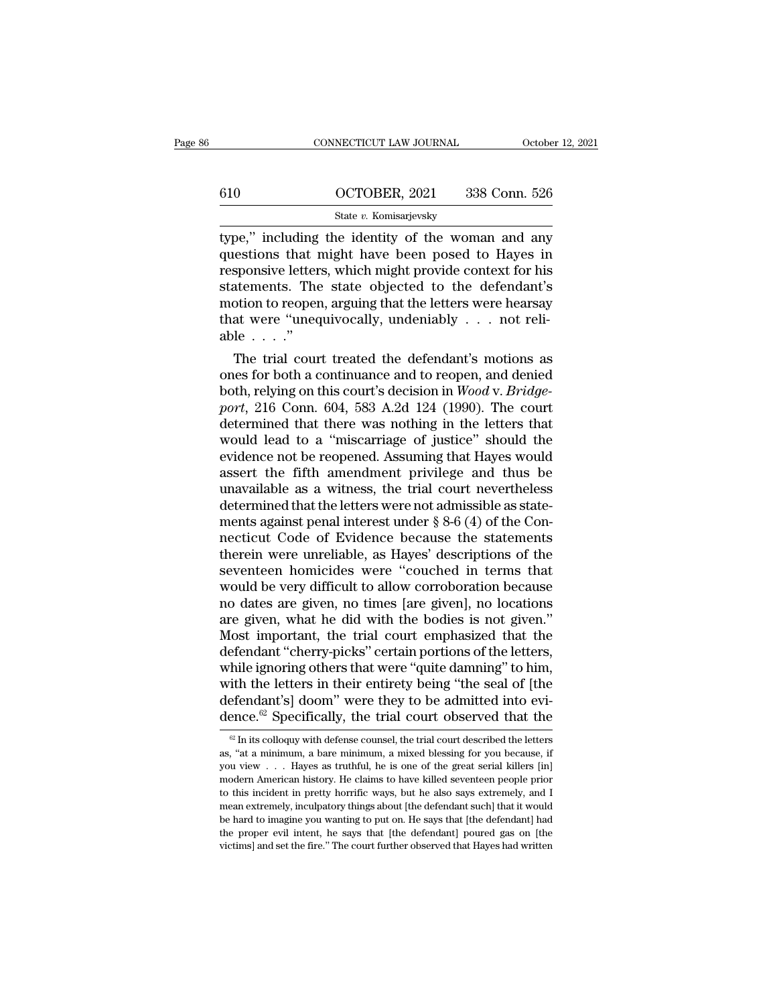# CONNECTICUT LAW JOURNAL October 12, 2021<br>610 OCTOBER, 2021 338 Conn. 526<br>State v. Komisarjevsky State *v.* Komisarjevsky

CONNECTICUT LAW JOURNAL October 12, 2021<br>
610 OCTOBER, 2021 338 Conn. 526<br>
5tate v. Komisarjevsky<br>
type," including the identity of the woman and any<br>
questions that might have been posed to Hayes in<br>
responsive letters wh  $\begin{array}{r} \text{610} \text{OCTOBER, 2021} \text{338 Conn. } 526 \\ \text{State } v. \text{ Komisarjevsky} \\ \text{type," including the identity of the woman and any questions that might have been posed to Hayes in responsive letters, which might provide context for his statements. The state objected to the defendant's.} \end{array}$ 610 OCTOBER, 2021 338 Conn. 526<br>
State v. Komisarjevsky<br>
type," including the identity of the woman and any<br>
questions that might have been posed to Hayes in<br>
responsive letters, which might provide context for his<br>
state  $\frac{\text{G10}}{\text{State } v. \text{ Komisarjevsky}}$ <br>  $\frac{\text{State } v. \text{ Komisarjevsky}}{\text{type}}$ <br>
type," including the identity of the woman and any<br>
questions that might have been posed to Hayes in<br>
responsive letters, which might provide context for his<br>
stat State v. Komisarjevsky<br>
state v. Komisarjevsky<br>
type," including the identity of the woman and any<br>
questions that might have been posed to Hayes in<br>
responsive letters, which might provide context for his<br>
statements. Th State v. Komisarjevsky<br>type," including the identity of the woman and any<br>questions that might have been posed to Hayes in<br>responsive letters, which might provide context for his<br>statements. The state objected to the defe type," including<br>questions that 1<br>responsive letter<br>statements. The<br>motion to reoper<br>that were "uneq<br>able . . . ."<br>The trial cour Estions that might have been posed to Hayes in<br>sponsive letters, which might provide context for his<br>atements. The state objected to the defendant's<br>otion to reopen, arguing that the letters were hearsay<br>at were "unequivo responsive letters, which might provide context for his<br>statements. The state objected to the defendant's<br>motion to reopen, arguing that the letters were hearsay<br>that were "unequivocally, undeniably . . . not reli-<br>able .

both the state objected to the defendant's<br>motion to reopen, arguing that the letters were hearsay<br>that were "unequivocally, undeniably . . . not reli-<br>able . . . ."<br>The trial court treated the defendant's motions as<br>ones motion to reopen, arguing that the letters were nearsay<br>
that were "unequivocally, undeniably . . . not reli-<br>
able . . . ."<br>
The trial court treated the defendant's motions as<br>
ones for both a continuance and to reopen, that were unequivocally, underhably . . . not reflable . . . ."<br>The trial court treated the defendant's motions as<br>ones for both a continuance and to reopen, and denied<br>both, relying on this court's decision in  $Wood$  v.  $Bridge$ able  $\ldots$ .<br>The trial court treated the defendant's motions as<br>ones for both a continuance and to reopen, and denied<br>both, relying on this court's decision in *Wood v. Bridge-<br>port*, 216 Conn. 604, 583 A.2d 124 (1990). Th The trial court treated the defendant's motions as<br>ones for both a continuance and to reopen, and denied<br>both, relying on this court's decision in *Wood* v. *Bridge-<br>port*, 216 Conn. 604, 583 A.2d 124 (1990). The court<br>det ones for both a continuance and to reopen, and denied<br>both, relying on this court's decision in *Wood v. Bridge-*<br>port, 216 Conn. 604, 583 A.2d 124 (1990). The court<br>determined that there was nothing in the letters that<br>wo both, relying on this court's decision in *Wood v. Bridge-*<br>port, 216 Conn. 604, 583 A.2d 124 (1990). The court<br>determined that there was nothing in the letters that<br>would lead to a "miscarriage of justice" should the<br>evid port, 216 Conn. 604, 583 A.2d 124 (1990). The court<br>determined that there was nothing in the letters that<br>would lead to a "miscarriage of justice" should the<br>evidence not be reopened. Assuming that Hayes would<br>assert the f determined that there was nothing in the letters that<br>would lead to a "miscarriage of justice" should the<br>evidence not be reopened. Assuming that Hayes would<br>assert the fifth amendment privilege and thus be<br>unavailable as would lead to a "miscarriage of justice" should the<br>evidence not be reopened. Assuming that Hayes would<br>assert the fifth amendment privilege and thus be<br>unavailable as a witness, the trial court nevertheless<br>determined tha evidence not be reopened. Assuming that Hayes would<br>assert the fifth amendment privilege and thus be<br>unavailable as a witness, the trial court nevertheless<br>determined that the letters were not admissible as state-<br>ments ag assert the fifth amendment privilege and thus be<br>unavailable as a witness, the trial court nevertheless<br>determined that the letters were not admissible as state-<br>ments against penal interest under  $\S 8-6$  (4) of the Con-<br> unavailable as a witness, the trial court nevertheless<br>determined that the letters were not admissible as state-<br>ments against penal interest under  $\S 8-6$  (4) of the Con-<br>necticut Code of Evidence because the statements<br> determined that the letters were not admissible as statements against penal interest under § 8-6 (4) of the Connecticut Code of Evidence because the statements therein were unreliable, as Hayes' descriptions of the sevente ments against penal interest under § 8-6 (4) of the Connecticut Code of Evidence because the statements<br>therein were unreliable, as Hayes' descriptions of the<br>seventeen homicides were "couched in terms that<br>would be very d necticut Code of Evidence because the statements<br>therein were unreliable, as Hayes' descriptions of the<br>seventeen homicides were "couched in terms that<br>would be very difficult to allow corroboration because<br>no dates are gi therein were unreliable, as Hayes' descriptions of the seventeen homicides were "couched in terms that would be very difficult to allow corroboration because no dates are given, no times [are given], no locations are given seventeen homicides were "couched in terms that would be very difficult to allow corroboration because<br>no dates are given, no times [are given], no locations<br>are given, what he did with the bodies is not given."<br>Most impor would be very difficult to allow corroboration because<br>no dates are given, no times [are given], no locations<br>are given, what he did with the bodies is not given."<br>Most important, the trial court emphasized that the<br>defend no dates are given, no times [are given], no locations<br>are given, what he did with the bodies is not given."<br>Most important, the trial court emphasized that the<br>defendant "cherry-picks" certain portions of the letters,<br>wh are given, what he did with the bodies is not given."<br>Most important, the trial court emphasized that the<br>defendant "cherry-picks" certain portions of the letters,<br>while ignoring others that were "quite damning" to him,<br>w hile ignoring others that were "quite damning" to him,<br>ith the letters in their entirety being "the seal of [the<br>efendant's] doom" were they to be admitted into evi-<br>ence.<sup>®</sup> Specifically, the trial court observed that th with the letters in their entirety being "the seal of [the defendant's] doom" were they to be admitted into evidence.<sup>62</sup> Specifically, the trial court observed that the  $\frac{\infty}{\ln}$  in its colloquy with defense counsel, t

defendant's] doom" were they to be admitted into evi-<br>dence.<sup>62</sup> Specifically, the trial court observed that the<br> $\frac{1}{\infty}$  In its colloquy with defense counsel, the trial court described the letters<br>as, "at a minimum, a dence.<sup>62</sup> Specifically, the trial court observed that the  ${}^{\text{\textregistered}}$  In its colloquy with defense counsel, the trial court described the letters as, "at a minimum, a bare minimum, a mixed blessing for you because, if you as, "at a minimum, a bare minimum, a mixed blessing for you because, if you view  $\ldots$ . Hayes as truthful, he is one of the great serial killers [in] modern American history. He claims to have killed seventeen people prio <sup>e2</sup> In its colloquy with defense counsel, the trial court described the letters as, "at a minimum, a bare minimum, a mixed blessing for you because, if you view . . . Hayes as truthful, he is one of the great serial kill are "in an infimum, a bare minimum, a mixed blessing for you because, if you view  $\ldots$  Hayes as truthful, he is one of the great serial killers [in] modern American history. He claims to have killed seventeen people prio solution is the proper state of the great serial killers [in] modern American history. He claims to have killed seventeen people prior to this incident in pretty horrific ways, but he also says extremely, and I mean extre modern American history. He claims to have killed seventeen people prior<br>to this incident in pretty horrific ways, but he also says extremely, and I<br>mean extremely, inculpatory things about [the defendant such] that it wou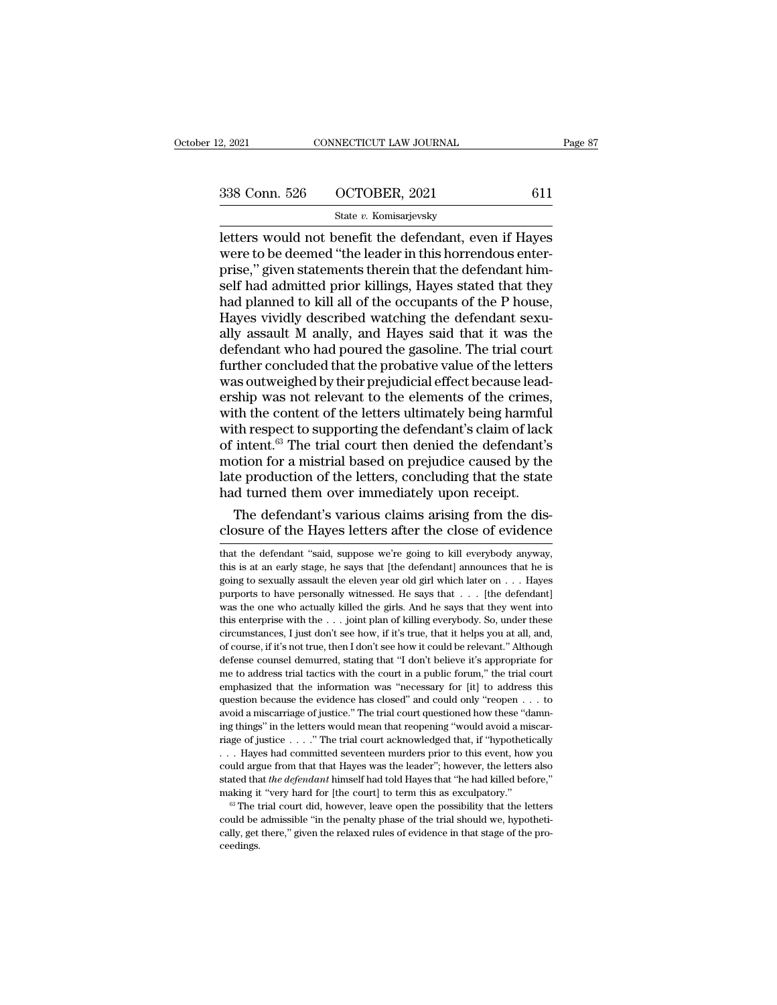| 2, 2021       | CONNECTICUT LAW JOURNAL | Page 87 |
|---------------|-------------------------|---------|
| 338 Conn. 526 | OCTOBER, 2021           | 611     |
|               | State v. Komisarjevsky  |         |

2, 2021 CONNECTICUT LAW JOURNAL Page 87<br>
338 Conn. 526 OCTOBER, 2021 611<br>
5tate v. Komisarjevsky<br>
Letters would not benefit the defendant, even if Hayes<br>
were to be deemed "the leader in this horrendous enter-<br>
prise " gi  $\frac{338 \text{ Conn. } 526}{\text{State } v. \text{ Komisarjevsky}}$ <br>
etters would not benefit the defendant, even if Hayes<br>
were to be deemed "the leader in this horrendous enter-<br>
prise," given statements therein that the defendant him-<br>
self had admi 338 Conn. 526 OCTOBER, 2021 611<br>
State v. Komisarjevsky<br>
letters would not benefit the defendant, even if Hayes<br>
were to be deemed "the leader in this horrendous enter-<br>
prise," given statements therein that the defendant 338 Conn. 526  $\hbox{OCTOBER}, 2021$  611<br>
State v. Komisarjevsky<br>
letters would not benefit the defendant, even if Hayes<br>
were to be deemed "the leader in this horrendous enter-<br>
prise," given statements therein that the defend  $\frac{\text{State } v. \text{ Komisarievsky}}{\text{letters would not benefit the defendant, even if Hayes} }$ <br>
hetters would not benefit the defendant, even if Hayes<br>
were to be deemed "the leader in this horrendous enter-<br>
prise," given statements therein that the defendant him-<br>
self had admi State v. Komisarjevsky<br>
letters would not benefit the defendant, even if Hayes<br>
were to be deemed "the leader in this horrendous enter-<br>
prise," given statements therein that the defendant him-<br>
self had admitted prior ki letters would not benefit the defendant, even if Hayes<br>were to be deemed "the leader in this horrendous enter-<br>prise," given statements therein that the defendant him-<br>self had admitted prior killings, Hayes stated that th were to be deemed "the leader in this horrendous enter-<br>prise," given statements therein that the defendant him-<br>self had admitted prior killings, Hayes stated that they<br>had planned to kill all of the occupants of the P ho prise," given statements therein that the defendant himself had admitted prior killings, Hayes stated that they<br>had planned to kill all of the occupants of the P house,<br>Hayes vividly described watching the defendant sexu-<br> self had admitted prior killings, Hayes stated that they<br>had planned to kill all of the occupants of the P house,<br>Hayes vividly described watching the defendant sexu-<br>ally assault M anally, and Hayes said that it was the<br>d had planned to kill all of the occupants of the P house,<br>Hayes vividly described watching the defendant sexually<br>assault M anally, and Hayes said that it was the<br>defendant who had poured the gasoline. The trial court<br>furth Hayes vividly described watching the defendant sexually assault M anally, and Hayes said that it was the defendant who had poured the gasoline. The trial court further concluded that the probative value of the letters was ally assault M anally, and Hayes said that it was the<br>defendant who had poured the gasoline. The trial court<br>further concluded that the probative value of the letters<br>was outweighed by their prejudicial effect because lead defendant who had poured the gasoline. The trial court<br>further concluded that the probative value of the letters<br>was outweighed by their prejudicial effect because lead-<br>ership was not relevant to the elements of the crime further concluded that the probative value of the letters<br>was outweighed by their prejudicial effect because lead-<br>ership was not relevant to the elements of the crimes,<br>with the content of the letters ultimately being har was outweighed by their prejudicial effect because lead-<br>ership was not relevant to the elements of the crimes,<br>with the content of the letters ultimately being harmful<br>with respect to supporting the defendant's claim of l ership was not relevant to the elements of the crimes,<br>with the content of the letters ultimately being harmful<br>with respect to supporting the defendant's claim of lack<br>of intent.<sup>63</sup> The trial court then denied the defend th the content of the letters ultimately being harmful<br>th respect to supporting the defendant's claim of lack<br>intent.<sup>63</sup> The trial court then denied the defendant's<br>otion for a mistrial based on prejudice caused by the<br>te with respect to supporting the defendant's claim of lack<br>of intent.<sup>63</sup> The trial court then denied the defendant's<br>motion for a mistrial based on prejudice caused by the<br>late production of the letters, concluding that the

# that the defendant of the Hayes letters, concluding that the state<br>that turned them over immediately upon receipt.<br>Closure of the Hayes letters after the close of evidence<br>that the defendant "said, suppose we're going to k

that the defendant's various claims arising from the disclosure of the Hayes letters after the close of evidence<br>closure of the Hayes letters after the close of evidence<br>that the defendant "said, suppose we're going to ki The defendant's various claims arising from the disclosure of the Hayes letters after the close of evidence<br>that the defendant "said, suppose we're going to kill everybody anyway,<br>this is at an early stage, he says that [ purports of the Hayes letters after the close of evidence<br>that the defendant "said, suppose we're going to kill everybody anyway,<br>this is at an early stage, he says that [the defendant] announces that he is<br>going to sexual CIOSUTE OF LITE TAYES TELLETS AILT LITE CIOSE OF EVIDENCE<br>
that the defendant "said, suppose we're going to kill everybody anyway,<br>
this is at an early stage, he says that [the defendant] announces that he is<br>
going to sex that the defendant "said, suppose we're going to kill everybody anyway,<br>this is at an early stage, he says that [the defendant] announces that he is<br>going to sexually assault the eleven year old girl which later on  $\ldots$  this is at an early stage, he says that [the defendant] amounces that he is going to sexually assault the eleven year old girl which later on  $\ldots$  Hayes purports to have personally witnessed. He says that  $\ldots$  [the defe and in the course, if it's not true, then I don't see how it could be relevant." Although do sexually assault the eleven year old girl which later on  $\ldots$ . Hayes purports to have personally witnessed. He says that  $\ldots$  purports to have personally witnessed. He says that  $\ldots$  [the defendant] was the one who actually killed the girls. And he says that they went into this enterprise with the  $\ldots$  joint plan of killing everybody. So, unde was the one who actually killed the girls. And he says that they went into this enterprise with the . . . joint plan of killing everybody. So, under these circumstances, I just don't see how, if it's true, that it helps y The interprise with the  $\ldots$  joint plan of killing everybody. So, under these circumstances, I just don't see how, if it's true, that it helps you at all, and, of course, if it's not true, then I don't see how it could b eircumstances, I just don't see how, if it's true, that it helps you at all, and, of course, if it's not true, then I don't see how it could be relevant." Although defense counsel demurred, stating that "I don't believe it at course, if it's not true, then I don't see how it could be relevant." Although defense counsel demurred, stating that "I don't believe it's appropriate for me to address trial tactics with the court in a public forum," defense counsel demurred, stating that "I don't believe it's appropriate forme to address trial tactics with the court in a public forum," the trial court emphasized that the information was "necessary for [it] to address are to address trial tactics with the court in a public forum," the trial court emphasized that the information was "necessary for [it] to address this question because the evidence has closed" and could only "reopen  $\dots$ emphasized that the information was "necessary for [it] to address this question because the evidence has closed" and could only "reopen  $\ldots$  to avoid a miscarriage of justice." The trial court questioned how these "damn question because the evidence has closed" and could only "reopen  $\ldots$  to avoid a miscarriage of justice." The trial court questioned how these "damning things" in the letters would mean that reopening "would avoid a misc about a miscarriage of justice." The trial court questioned how these "damning things" in the letters would mean that reopening "would avoid a miscarriage of justice . . . . " The trial court acknowledged that, if "hypothe ing things" in the letters would mean that reopening "would avoid a miscar-<br>riage of justice . . . . " The trial court acknowledged that, if "hypothetically<br>. . . Hayes had committed seventeen murders prior to this event, riage of justice . . . . " The trial court acknowledged that, if "hypothetically . . . Hayes had committed seventeen murders prior to this event, how you could argue from that that Hayes was the leader"; however, the lett could argue from that that Hayes was the leader"; however, the letters also

ceedings.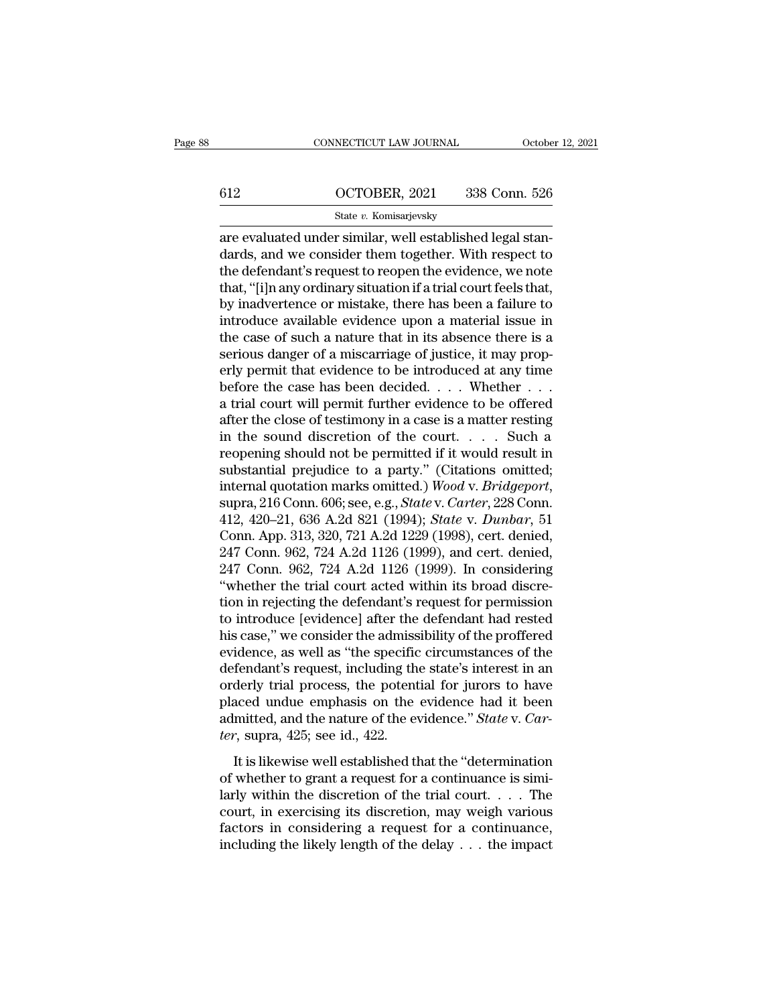# CONNECTICUT LAW JOURNAL October 12, 2021<br>612 OCTOBER, 2021 338 Conn. 526<br>State v. Komisarjevsky State *v.* Komisarjevsky

CONNECTICUT LAW JOURNAL Octobe<br>
612 OCTOBER, 2021 338 Conn. 526<br>
526 State v. Komisarjevsky<br>
are evaluated under similar, well established legal stan-<br>
dards, and we consider them together. With respect to<br>
the defendant's 612 OCTOBER, 2021 338 Conn. 526<br>
state v. Komisarjevsky<br>
are evaluated under similar, well established legal stan-<br>
dards, and we consider them together. With respect to<br>
the defendant's request to reopen the evidence, we 612 OCTOBER, 2021 338 Conn. 526<br>
State v. Komisarjevsky<br>
are evaluated under similar, well established legal standards, and we consider them together. With respect to<br>
the defendant's request to reopen the evidence, we no 612 OCTOBER, 2021 338 Conn. 526<br>
State v. Komisarjevsky<br>
are evaluated under similar, well established legal stan-<br>
dards, and we consider them together. With respect to<br>
the defendant's request to reopen the evidence, we State v. Komisarjevsky<br>
are evaluated under similar, well established legal stan-<br>
dards, and we consider them together. With respect to<br>
the defendant's request to reopen the evidence, we note<br>
that, "[i]n any ordinary si state v. Komisarjevsky<br>are evaluated under similar, well established legal stan-<br>dards, and we consider them together. With respect to<br>the defendant's request to reopen the evidence, we note<br>that, "[i]n any ordinary situa are evaluated under similar, well established legal stan-<br>dards, and we consider them together. With respect to<br>the defendant's request to reopen the evidence, we note<br>that, "[i]n any ordinary situation if a trial court fe dards, and we consider them together. With respect to the defendant's request to reopen the evidence, we note that, "[i]n any ordinary situation if a trial court feels that, by inadvertence or mistake, there has been a fai the defendant's request to reopen the evidence, we note<br>that, "[i]n any ordinary situation if a trial court feels that,<br>by inadvertence or mistake, there has been a failure to<br>introduce available evidence upon a material i that, "[i]n any ordinary situation if a trial court feels that,<br>by inadvertence or mistake, there has been a failure to<br>introduce available evidence upon a material issue in<br>the case of such a nature that in its absence th by inadvertence or mistake, there has been a failure to<br>introduce available evidence upon a material issue in<br>the case of such a nature that in its absence there is a<br>serious danger of a miscarriage of justice, it may prop introduce available evidence upon a material issue in<br>the case of such a nature that in its absence there is a<br>serious danger of a miscarriage of justice, it may prop-<br>erly permit that evidence to be introduced at any tim the case of such a nature that in its absence there is a<br>serious danger of a miscarriage of justice, it may prop-<br>erly permit that evidence to be introduced at any time<br>before the case has been decided. . . . Whether . . serious danger of a miscarriage of justice, it may properly permit that evidence to be introduced at any time<br>before the case has been decided. . . . Whether . . .<br>a trial court will permit further evidence to be offered<br> erly permit that evidence to be introduced at any time<br>before the case has been decided. . . . Whether . . .<br>a trial court will permit further evidence to be offered<br>after the close of testimony in a case is a matter rest before the case has been decided. . . . Whether . . .<br>a trial court will permit further evidence to be offered<br>after the close of testimony in a case is a matter resting<br>in the sound discretion of the court. . . . . Such a after the close of testimony in a case is a matter resting<br>in the sound discretion of the court. . . . Such a<br>reopening should not be permitted if it would result in<br>substantial prejudice to a party." (Citations omitted;<br>i in the sound discretion of the court. . . . . Such a<br>reopening should not be permitted if it would result in<br>substantial prejudice to a party." (Citations omitted;<br>internal quotation marks omitted.) Wood v. Bridgeport,<br>su reopening should not be permitted if it would result in<br>substantial prejudice to a party." (Citations omitted;<br>internal quotation marks omitted.) Wood v. Bridgeport,<br>supra, 216 Conn. 606; see, e.g., *State* v. *Carter*, 22 substantial prejudice to a party." (Citations omitted;<br>internal quotation marks omitted.) Wood v. Bridgeport,<br>supra, 216 Conn. 606; see, e.g., *State* v. Carter, 228 Conn.<br>412, 420–21, 636 A.2d 821 (1994); *State* v. *Dunb* internal quotation marks omitted.) Wood v. Bridgeport,<br>supra, 216 Conn. 606; see, e.g., *State* v. *Carter*, 228 Conn.<br>412, 420–21, 636 A.2d 821 (1994); *State v. Dunbar*, 51<br>Conn. App. 313, 320, 721 A.2d 1229 (1998), cert supra, 216 Conn. 606; see, e.g., *State* v. *Carter*, 228 Conn.<br>412, 420–21, 636 A.2d 821 (1994); *State* v. *Dunbar*, 51<br>Conn. App. 313, 320, 721 A.2d 1229 (1998), cert. denied,<br>247 Conn. 962, 724 A.2d 1126 (1999), and ce 412, 420–21, 636 A.2d 821 (1994); *State v. Dunbar*, 51<br>Conn. App. 313, 320, 721 A.2d 1229 (1998), cert. denied,<br>247 Conn. 962, 724 A.2d 1126 (1999), and cert. denied,<br>247 Conn. 962, 724 A.2d 1126 (1999). In considering<br>" Conn. App. 313, 320, 721 A.2d 1229 (1998), cert. denied,<br>247 Conn. 962, 724 A.2d 1126 (1999), and cert. denied,<br>247 Conn. 962, 724 A.2d 1126 (1999). In considering<br>"whether the trial court acted within its broad discre-<br>ti 247 Conn. 962, 724 A.2d 1126 (1999), and cert. denied,<br>247 Conn. 962, 724 A.2d 1126 (1999). In considering<br>"whether the trial court acted within its broad discre-<br>tion in rejecting the defendant's request for permission<br>to 247 Conn. 962, 724 A.2d 1126 (1999). In considering<br>"whether the trial court acted within its broad discretion in rejecting the defendant's request for permission<br>to introduce [evidence] after the defendant had rested<br>his "whether the trial court acted within its broad discretion in rejecting the defendant's request for permission<br>to introduce [evidence] after the defendant had rested<br>his case," we consider the admissibility of the proffer tion in rejecting the defendant's request for permission<br>to introduce [evidence] after the defendant had rested<br>his case," we consider the admissibility of the proffered<br>evidence, as well as "the specific circumstances of to introduce [evidence] after the defendant had rested<br>his case," we consider the admissibility of the proffered<br>evidence, as well as "the specific circumstances of the<br>defendant's request, including the state's interest i his case," we consider the admiss<br>evidence, as well as "the specific<br>defendant's request, including th<br>orderly trial process, the potent<br>placed undue emphasis on the<br>admitted, and the nature of the ever, supra, 425; see id It is likewise well established that the "determination" and derly trial process, the potential for jurors to have aced undue emphasis on the evidence had it been mitted, and the nature of the evidence." *State v. Car-*, s orderly trial process, the potential for jurors to have<br>placed undue emphasis on the evidence had it been<br>admitted, and the nature of the evidence." State v. Car-<br>ter, supra, 425; see id., 422.<br>It is likewise well establi

placed undue emphasis on the evidence had it been<br>admitted, and the nature of the evidence." State v. Car-<br>ter, supra, 425; see id., 422.<br>It is likewise well established that the "determination<br>of whether to grant a reque admitted, and the nature of the evidence." *State v. Carter*, supra, 425; see id., 422.<br>It is likewise well established that the "determination<br>of whether to grant a request for a continuance is simi-<br>larly within the dis *ter*, supra, 425; see id., 422.<br>It is likewise well established that the "determination<br>of whether to grant a request for a continuance is simi-<br>larly within the discretion of the trial court.... The<br>court, in exercising It is likewise well established that the "determination<br>of whether to grant a request for a continuance is simi-<br>larly within the discretion of the trial court. . . . The<br>court, in exercising its discretion, may weigh var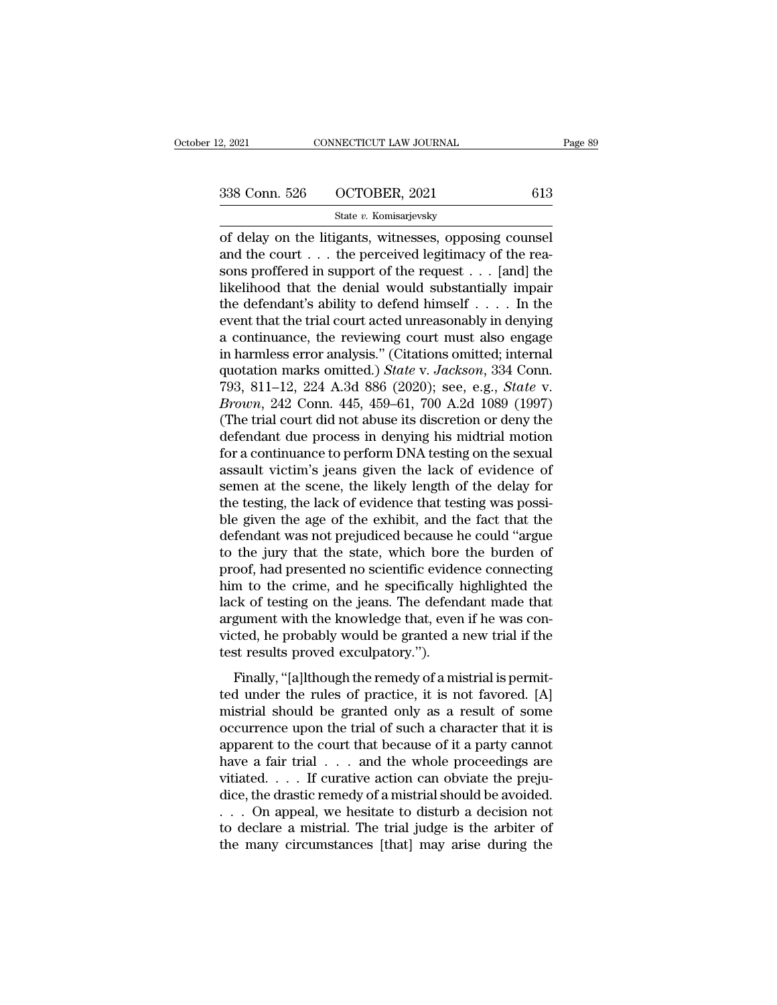# 2, 2021 CONNECTICUT LAW JOURNAL Page 89<br>338 Conn. 526 OCTOBER, 2021 613<br>5tate v. Komisarjevsky

# State *v.* Komisarjevsky

2, 2021 CONNECTICUT LAW JOURNAL Page<br>
338 Conn. 526 OCTOBER, 2021 613<br>
5tate v. Komisarjevsky<br>
of delay on the litigants, witnesses, opposing counsel<br>
and the court . . . the perceived legitimacy of the reasons proffored i 338 Conn. 526 OCTOBER, 2021 613<br>
State v. Komisarjevsky<br>
of delay on the litigants, witnesses, opposing counsel<br>
and the court . . . the perceived legitimacy of the rea-<br>
sons proffered in support of the request . . . [an 338 Conn. 526 OCTOBER, 2021 613<br>
State v. Komisarjevsky<br>
of delay on the litigants, witnesses, opposing counsel<br>
and the court . . . the perceived legitimacy of the reasons proffered in support of the request . . . [and] 338 Conn. 526 OCTOBER, 2021 613<br>
State v. Komisarjevsky<br>
of delay on the litigants, witnesses, opposing counsel<br>
and the court . . . the perceived legitimacy of the reasons proffered in support of the request . . . [and] State v. Komisarjevsky<br>
of delay on the litigants, witnesses, opposing counsel<br>
and the court . . . the perceived legitimacy of the reasons proffered in support of the request . . . [and] the<br>
likelihood that the denial w state v. Komsarjevsky<br>
of delay on the litigants, witnesses, opposing counsel<br>
and the court  $\dots$  the perceived legitimacy of the reasons proffered in support of the request  $\dots$  [and] the<br>
likelihood that the denial woul of delay on the litigants, witnesses, opposing counsel<br>and the court . . . the perceived legitimacy of the rea-<br>sons proffered in support of the request . . . [and] the<br>likelihood that the denial would substantially impai and the court . . . the perceived legitimacy of the reasons proffered in support of the request . . . [and] the likelihood that the denial would substantially impair the defendant's ability to defend himself . . . . In th sons proffered in support of the request  $\ldots$  [and] the likelihood that the denial would substantially impair the defendant's ability to defend himself  $\ldots$ . In the event that the trial court acted unreasonably in denyi likelihood that the denial would substantially impair<br>the defendant's ability to defend himself . . . . In the<br>event that the trial court acted unreasonably in denying<br>a continuance, the reviewing court must also engage<br>in the defendant's ability to defend himself . . . . . In the event that the trial court acted unreasonably in denying<br>a continuance, the reviewing court must also engage<br>in harmless error analysis." (Citations omitted; inter event that the trial court acted unreasonably in denying<br>a continuance, the reviewing court must also engage<br>in harmless error analysis." (Citations omitted; internal<br>quotation marks omitted.) *State* v. Jackson, 334 Conn. a continuance, the reviewing court must also engage<br>in harmless error analysis." (Citations omitted; internal<br>quotation marks omitted.) *State* v. Jackson, 334 Conn.<br>793, 811–12, 224 A.3d 886 (2020); see, e.g., *State* v.<br> in harmless error analysis." (Citations omitted; internal<br>quotation marks omitted.) *State* v. *Jackson*, 334 Conn.<br>793, 811–12, 224 A.3d 886 (2020); see, e.g., *State* v.<br>*Brown*, 242 Conn. 445, 459–61, 700 A.2d 1089 (199 quotation marks omitted.) *State* v. *Jackson*, 334 Conn.<br>793, 811–12, 224 A.3d 886 (2020); see, e.g., *State* v.<br>*Brown*, 242 Conn. 445, 459–61, 700 A.2d 1089 (1997)<br>(The trial court did not abuse its discretion or deny t 793, 811–12, 224 A.3d 886 (2020); see, e.g., *State v.*<br>*Brown*, 242 Conn. 445, 459–61, 700 A.2d 1089 (1997)<br>(The trial court did not abuse its discretion or deny the<br>defendant due process in denying his midtrial motion<br>f Brown, 242 Conn. 445, 459–61, 700 A.2d 1089 (1997)<br>(The trial court did not abuse its discretion or deny the<br>defendant due process in denying his midtrial motion<br>for a continuance to perform DNA testing on the sexual<br>assau (The trial court did not abuse its discretion or deny the defendant due process in denying his midtrial motion<br>for a continuance to perform DNA testing on the sexual<br>assault victim's jeans given the lack of evidence of<br>sem defendant due process in denying his midtrial motion<br>for a continuance to perform DNA testing on the sexual<br>assault victim's jeans given the lack of evidence of<br>semen at the scene, the likely length of the delay for<br>the te for a continuance to perform DNA testing on the sexual<br>assault victim's jeans given the lack of evidence of<br>semen at the scene, the likely length of the delay for<br>the testing, the lack of evidence that testing was possi-<br>b assault victim's jeans given the lack of evidence of<br>semen at the scene, the likely length of the delay for<br>the testing, the lack of evidence that testing was possi-<br>ble given the age of the exhibit, and the fact that the<br> semen at the scene, the likely length of the delay for<br>the testing, the lack of evidence that testing was possi-<br>ble given the age of the exhibit, and the fact that the<br>defendant was not prejudiced because he could "argue<br> the testing, the lack of evidence that testing was possible given the age of the exhibit, and the fact that the defendant was not prejudiced because he could "argue to the jury that the state, which bore the burden of proo ble given the age of the exhibit, and the fact that the defendant was not prejudiced because he could "argue to the jury that the state, which bore the burden of proof, had presented no scientific evidence connecting him t defendant was not prejudiced because he could "argue<br>to the jury that the state, which bore the burden of<br>proof, had presented no scientific evidence connecting<br>him to the crime, and he specifically highlighted the<br>lack of to the jury that the state, which bore<br>proof, had presented no scientific evide:<br>him to the crime, and he specifically l<br>lack of testing on the jeans. The defend<br>argument with the knowledge that, ever<br>victed, he probably w Finally, "[a]lthough the remedy of a mistrial is permit-<br>Finally, ''[a] the remedy of the remedy of a mistrial is permit-<br>ted, he probably would be granted a new trial if the<br>st results proved exculpatory.").<br>Finally, "[a] that is the effection, and the specifically ingulary<br>lack of testing on the jeans. The defendant made that<br>argument with the knowledge that, even if he was con-<br>victed, he probably would be granted a new trial if the<br>test

ment with the knowledge that, even if he was convicted, he probably would be granted a new trial if the test results proved exculpatory.").<br>Finally, "[a]lthough the remedy of a mistrial is permitted under the rules of prac occurrence upon the trial of such a character that it is<br>approximately would be granted a new trial if the<br>test results proved exculpatory.").<br>Finally, "[a]lthough the remedy of a mistrial is permit-<br>ted under the rules of Finally, "[a]lthough the remedy of a mistrial is permitted under the rules of practice, it is not favored. [A] mistrial should be granted only as a result of some occurrence upon the trial of such a character that it is a Finally, "[a]lthough the remedy of a mistrial is permitted under the rules of practice, it is not favored. [A] mistrial should be granted only as a result of some occurrence upon the trial of such a character that it is a Finally, "[a]lthough the remedy of a mistrial is permitted under the rules of practice, it is not favored. [A] mistrial should be granted only as a result of some occurrence upon the trial of such a character that it is a ted under the rules of practice, it is not favored. [A]<br>mistrial should be granted only as a result of some<br>occurrence upon the trial of such a character that it is<br>apparent to the court that because of it a party cannot<br> mistrial should be granted only as a result of some occurrence upon the trial of such a character that it is apparent to the court that because of it a party cannot have a fair trial  $\dots$  and the whole proceedings are vit occurrence upon the trial of such a character that it is<br>apparent to the court that because of it a party cannot<br>have a fair trial  $\dots$  and the whole proceedings are<br>vitiated.  $\dots$  If curative action can obviate the preju apparent to the court that because of it a party cannot<br>have a fair trial  $\ldots$  and the whole proceedings are<br>vitiated.  $\ldots$  If curative action can obviate the preju-<br>dice, the drastic remedy of a mistrial should be avoi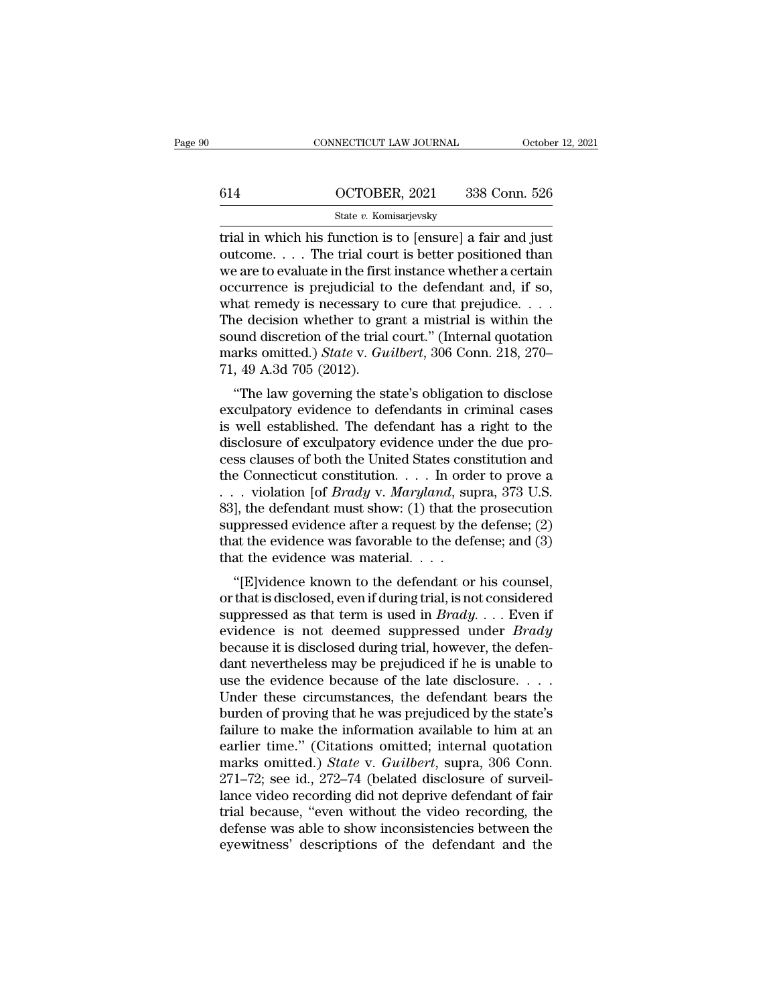|     | CONNECTICUT LAW JOURNAL | October 12, 2021 |
|-----|-------------------------|------------------|
|     |                         |                  |
| 614 | OCTOBER, 2021           | 338 Conn. 526    |
|     | State v. Komisarjevsky  |                  |

CONNECTICUT LAW JOURNAL October 12, 202<br>
614 OCTOBER, 2021 338 Conn. 526<br>
5tate v. Komisarjevsky<br>
11. The function is to [ensure] a fair and just<br>
11. The trial court is better positioned than 614 OCTOBER, 2021 338 Conn. 526<br>
State v. Komisarjevsky<br>
Trial in which his function is to [ensure] a fair and just<br>
outcome.... The trial court is better positioned than<br>
we are to evaluate in the first instance whether 614 OCTOBER, 2021 338 Conn. 526<br>
State v. Komisarjevsky<br>
trial in which his function is to [ensure] a fair and just<br>
outcome.... The trial court is better positioned than<br>
we are to evaluate in the first instance whether 614 **OCTOBER**, 2021 338 Conn. 526<br>
State v. Komisarjevsky<br>
trial in which his function is to [ensure] a fair and just<br>
outcome.... The trial court is better positioned than<br>
we are to evaluate in the first instance whethe State v. Komisarjevsky<br>
The State v. Komisarjevsky<br>
The rial in which his function is to [ensure] a fair and just<br>
outcome. . . . The trial court is better positioned than<br>
we are to evaluate in the first instance whether State v. Komsarjevsky<br>
trial in which his function is to [ensure] a fair and just<br>
outcome.... The trial court is better positioned than<br>
we are to evaluate in the first instance whether a certain<br>
occurrence is prejudici trial in which his function is to [ensure] a fair and just<br>outcome.... The trial court is better positioned than<br>we are to evaluate in the first instance whether a certain<br>occurrence is prejudicial to the defendant and, i outcome. . . . The trial court is better positioned than<br>we are to evaluate in the first instance whether a certain<br>occurrence is prejudicial to the defendant and, if so,<br>what remedy is necessary to cure that prejudice. . we are to evaluate in the first<br>occurrence is prejudicial to<br>what remedy is necessary to<br>The decision whether to gra<br>sound discretion of the trial<br>marks omitted.) *State* v. Gu<br>71, 49 A.3d 705 (2012).<br>"The law governing th currence is prejudical to the detendant and, if so,<br>
and remedy is necessary to cure that prejudice.  $\dots$ <br>
i.e decision whether to grant a mistrial is within the<br>
und discretion of the trial court." (Internal quotation<br>
a what felliedy is hecessary to cure that prejudice.  $\ldots$  The decision whether to grant a mistrial is within the sound discretion of the trial court." (Internal quotation marks omitted.) *State* v. *Guilbert*, 306 Conn. 21

The decision whether to grant a mistriar is whill the<br>sound discretion of the trial court." (Internal quotation<br>marks omitted.) *State* v. *Guilbert*, 306 Conn. 218, 270–<br>71, 49 A.3d 705 (2012).<br>"The law governing the stat sound discretion of the trial court. (internal quotation<br>marks omitted.) *State v. Guilbert*, 306 Conn. 218, 270–<br>71, 49 A.3d 705 (2012).<br>"The law governing the state's obligation to disclose<br>exculpatory evidence to defend The Haw governing the state's obligation to disclose<br>exculpatory evidence to defendants in criminal cases<br>is well established. The defendant has a right to the<br>disclosure of exculpatory evidence under the due pro-<br>cess cl The Law governing the state's obligation to disclose<br>exculpatory evidence to defendants in criminal cases<br>is well established. The defendant has a right to the<br>disclosure of exculpatory evidence under the due pro-<br>cess cl "The law governing the state's obligation to disclose<br>exculpatory evidence to defendants in criminal cases<br>is well established. The defendant has a right to the<br>disclosure of exculpatory evidence under the due pro-<br>cess cl exculpatory evidence to defendants in criminal cases<br>is well established. The defendant has a right to the<br>disclosure of exculpatory evidence under the due pro-<br>cess clauses of both the United States constitution and<br>the is well established. The defendant has a right to the disclosure of exculpatory evidence under the due process clauses of both the United States constitution and the Connecticut constitution. . . . In order to prove a . . disclosure of exculpatory evidence under the due process clauses of both the United States constitution and the Connecticut constitution. . . . In order to prove a . . . violation [of *Brady v. Maryland*, supra, 373 U.S. cess clauses of both the United States con<br>the Connecticut constitution. . . . In orde<br>. . . violation [of *Brady v. Maryland*, sugnose], the defendant must show: (1) that the<br>suppressed evidence after a request by the<br>th Connecticut constitution.  $\ldots$  in order to prove a<br>
. violation [of *Brady v. Maryland*, supra, 373 U.S.<br>
], the defendant must show: (1) that the prosecution<br>
ppressed evidence after a request by the defense; (2)<br>
at th or that is disclosed, even if during trial, is not considered

suppressed evidence after a request by the defense; (2) that the evidence was favorable to the defense; and (3) that the evidence was material. . . .<br>
"[E]vidence known to the defendant or his counsel, or that is disclose suppressed evidence after a request by the defense; (2)<br>that the evidence was favorable to the defense; and (3)<br>that the evidence was material. . . .<br>"[E]vidence known to the defendant or his counsel,<br>or that is disclosed that the evidence was favorable to the defense, and (5) that the evidence was material. . . .<br>
"[E]vidence known to the defendant or his counsel, or that is disclosed, even if during trial, is not considered suppressed as "[E]vidence known to the defendant or his counsel,<br>
or that is disclosed, even if during trial, is not considered<br>
suppressed as that term is used in  $Brady$ .... Even if<br>
evidence is not deemed suppressed under  $Brady$ <br>
becau "[E]vidence known to the defendant or his counsel,<br>or that is disclosed, even if during trial, is not considered<br>suppressed as that term is used in *Brady*.... Even if<br>evidence is not deemed suppressed under *Brady*<br>becau or that is disclosed, even if during trial, is not considered<br>suppressed as that term is used in *Brady*.... Even if<br>evidence is not deemed suppressed under *Brady*<br>because it is disclosed during trial, however, the defen suppressed as that term is used in *Brady*.... Even if<br>evidence is not deemed suppressed under *Brady*<br>because it is disclosed during trial, however, the defen-<br>dant nevertheless may be prejudiced if he is unable to<br>use t evidence is not deemed suppressed under *Brady*<br>because it is disclosed during trial, however, the defen-<br>dant nevertheless may be prejudiced if he is unable to<br>use the evidence because of the late disclosure. . . .<br>Under because it is disclosed during trial, however, the defendant nevertheless may be prejudiced if he is unable to use the evidence because of the late disclosure....<br>Under these circumstances, the defendant bears the burden dant nevertheless may be prejudiced if he is unable to<br>use the evidence because of the late disclosure. . . .<br>Under these circumstances, the defendant bears the<br>burden of proving that he was prejudiced by the state's<br>failu use the evidence because of the late disclosure. . . . Under these circumstances, the defendant bears the burden of proving that he was prejudiced by the state's failure to make the information available to him at an earl Under these circumstances, the defendant bears the<br>burden of proving that he was prejudiced by the state's<br>failure to make the information available to him at an<br>earlier time." (Citations omitted; internal quotation<br>marks burden of proving that he was prejudiced by the state's<br>failure to make the information available to him at an<br>earlier time." (Citations omitted; internal quotation<br>marks omitted.) *State* v. *Guilbert*, supra, 306 Conn.<br>2 failure to make the information available to him at an earlier time." (Citations omitted; internal quotation marks omitted.) *State* v. *Guilbert*, supra, 306 Conn. 271–72; see id., 272–74 (belated disclosure of surveillan earlier time." (Citations omitted; internal quotation marks omitted.) *State* v. *Guilbert*, supra, 306 Conn. 271–72; see id., 272–74 (belated disclosure of surveillance video recording did not deprive defendant of fair tr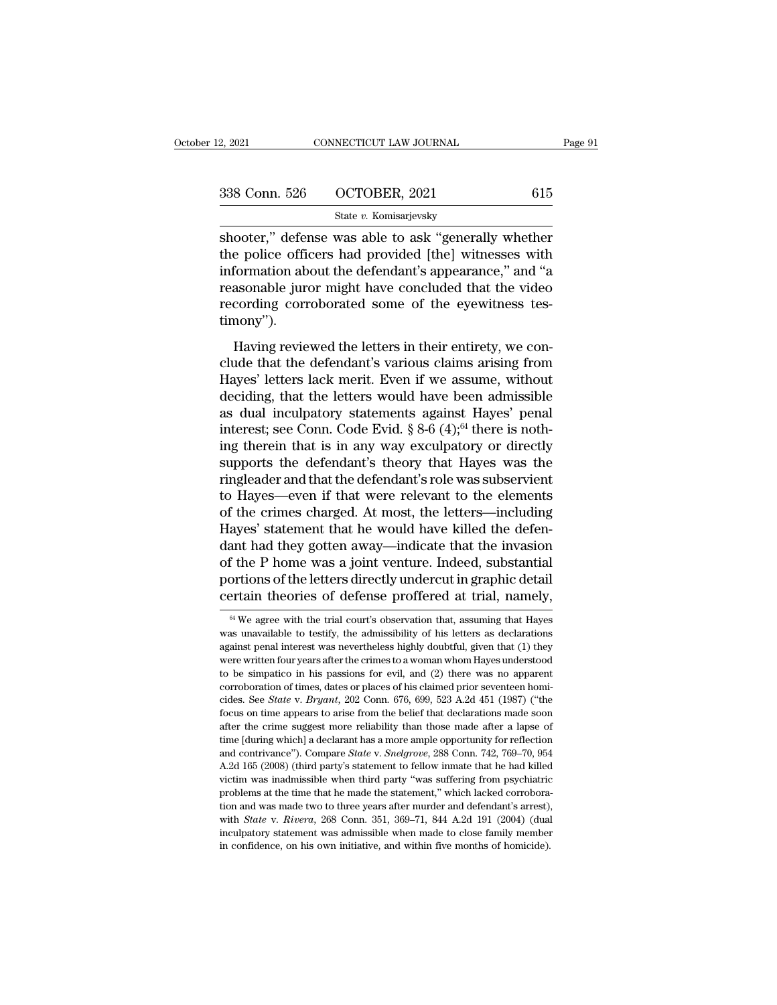| 2, 2021       | CONNECTICUT LAW JOURNAL | Page 91 |
|---------------|-------------------------|---------|
| 338 Conn. 526 | OCTOBER, 2021           | 615     |
|               | State v. Komisarjevsky  |         |

 $\begin{array}{r|l} \text{2, } \text{2021} & \text{CONNECTICUT LAW JOURNAL} & \text{Page 91} \ \hline \text{338 Conn. } \text{526} & \text{OCTOBER, } \text{2021} & \text{615} \ \hline \text{state } v. \text{ Komisarievsky} & \text{.} \ \hline \text{5000} & \text{500} & \text{500} & \text{.} \ \text{617} & \text{620} & \text{.} \ \text{620} & \text{630} & \text{.} \ \text{630} & \text{.} \ \text{640} &$ 338 Conn. 526 OCTOBER, 2021 615<br>State v. Komisarjevsky<br>Shooter," defense was able to ask "generally whether<br>the police officers had provided [the] witnesses with<br>information about the defendant's appearance," and "a<br>reason 338 Conn. 526 OCTOBER, 2021 615<br>
State v. Komisarjevsky<br>
shooter," defense was able to ask "generally whether<br>
the police officers had provided [the] witnesses with<br>
information about the defendant's appearance," and "a<br> 338 Conn. 526 OCTOBER, 2021 615<br>
State v. Komisarjevsky<br>
shooter," defense was able to ask "generally whether<br>
the police officers had provided [the] witnesses with<br>
information about the defendant's appearance," and "a<br> State v. Komisarjevsky<br>Shooter," defense was able to ask "generally whether<br>the police officers had provided [the] witnesses with<br>information about the defendant's appearance," and "a<br>reasonable juror might have concluded timony''). boxet, actense was aste to ask generally wheater<br>
e police officers had provided [the] witnesses with<br>
formation about the defendant's appearance," and "a<br>
assonable juror might have concluded that the video<br>
cording corro information about the defendant's appearance," and "a<br>reasonable juror might have concluded that the video<br>recording corroborated some of the eyewitness tes-<br>timony").<br>Having reviewed the letters in their entirety, we con-

measonable juror might have concluded that the video<br>recording corroborated some of the eyewitness tes-<br>timony").<br>Having reviewed the letters in their entirety, we con-<br>clude that the defendant's various claims arising fro recording corroborated some of the eyewitness tes-<br>timony").<br>Having reviewed the letters in their entirety, we con-<br>clude that the defendant's various claims arising from<br>Hayes' letters lack merit. Even if we assume, witho Having reviewed the letters in their entirety, we conclude that the defendant's various claims arising from<br>Hayes' letters lack merit. Even if we assume, without<br>deciding, that the letters would have been admissible<br>as du Having reviewed the letters in their entirety, we conclude that the defendant's various claims arising from Hayes' letters lack merit. Even if we assume, without deciding, that the letters would have been admissible as du Having reviewed the letters in their entirety, we conclude that the defendant's various claims arising from Hayes' letters lack merit. Even if we assume, without deciding, that the letters would have been admissible as du clude that the defendant's various claims arising from<br>Hayes' letters lack merit. Even if we assume, without<br>deciding, that the letters would have been admissible<br>as dual inculpatory statements against Hayes' penal<br>interes Hayes' letters lack merit. Even if we assume, without deciding, that the letters would have been admissible as dual inculpatory statements against Hayes' penal interest; see Conn. Code Evid.  $\S 8-6 (4);^{64}$  there is nothin deciding, that the letters would have been admissible<br>as dual inculpatory statements against Hayes' penal<br>interest; see Conn. Code Evid. § 8-6  $(4)$ ;<sup>64</sup> there is noth-<br>ing therein that is in any way exculpatory or direct as dual inculpatory statements against Hayes' penal<br>interest; see Conn. Code Evid.  $\S 8{\text -}6$  (4);<sup>64</sup> there is noth-<br>ing therein that is in any way exculpatory or directly<br>supports the defendant's theory that Hayes was t ing therein that is in any way exculpatory or directly supports the defendant's theory that Hayes was the ringleader and that the defendant's role was subservient to Hayes—even if that were relevant to the elements of the ing therein that is in any way exculpatory or directly<br>supports the defendant's theory that Hayes was the<br>ringleader and that the defendant's role was subservient<br>to Hayes—even if that were relevant to the elements<br>of the supports the defendant's theory that Hayes was the<br>ringleader and that the defendant's role was subservient<br>to Hayes—even if that were relevant to the elements<br>of the crimes charged. At most, the letters—including<br>Hayes' s ringleader and that the defendant's role was subservient<br>to Hayes—even if that were relevant to the elements<br>of the crimes charged. At most, the letters—including<br>Hayes' statement that he would have killed the defen-<br>dant to Hayes—even if that were relevant to the elements<br>of the crimes charged. At most, the letters—including<br>Hayes' statement that he would have killed the defen-<br>dant had they gotten away—indicate that the invasion<br>of the P ant nad they gotten away—ndicate that the invasion<br>f the P home was a joint venture. Indeed, substantial<br>ortions of the letters directly undercut in graphic detail<br>retain theories of defense proffered at trial, namely,<br><sup>64</sup> of the P home was a joint venture. Indeed, substantial<br>portions of the letters directly undercut in graphic detail<br>certain theories of defense proffered at trial, namely,<br> $\frac{64}{W}$  We agree with the trial court's observa

portions of the letters directly undercut in graphic detail<br>certain theories of defense proffered at trial, namely,<br> $\frac{64}{100}$  We agree with the trial court's observation that, assuming that Hayes<br>was unavailable to test certain theories of defense proffered at trial, namely,<br>
<sup>64</sup> We agree with the trial court's observation that, assuming that Hayes<br>
was unavailable to testify, the admissibility of his letters as declarations<br>
against pe Certain theories of deferrise profiered at trial, halflery,<br>
<sup>64</sup> We agree with the trial court's observation that, assuming that Hayes<br>
was unavailable to testify, the admissibility of his letters as declarations<br>
agains <sup>64</sup> We agree with the trial court's observation that, assuming that Hayes was unavailable to testify, the admissibility of his letters as declarations against penal interest was nevertheless highly doubtful, given that ( was unavailable to testify, the admissibility of his letters as declarations against penal interest was nevertheless highly doubtful, given that (1) they were written four years after the crimes to a woman whom Hayes under against penal interest was nevertheless highly doubtful, given that (1) they were written four years after the crimes to a woman whom Hayes understood to be simpatico in his passions for evil, and (2) there was no apparen were written four years after the crimes to a woman whom Hayes understood<br>to be simpatico in his passions for evil, and (2) there was no apparent<br>corroboration of times, dates or places of his claimed prior seventeen homi to be simpatico in his passions for evil, and (2) there was no apparent corroboration of times, dates or places of his claimed prior seventeen homicides. See *State* v. *Bryant*, 202 Conn. 676, 699, 523 A.2d 451 (1987) (" corroboration of times, dates or places of his claimed prior seventeen homicides. See *State* v. *Bryant*, 202 Conn. 676, 699, 523 A.2d 451 (1987) ("the focus on time appears to arise from the belief that declarations made cides. See *State* v. *Bryant*, 202 Conn. 676, 699, 523 A.2d 451 (1987) ("the focus on time appears to arise from the belief that declarations made soon after the crime suggest more reliability than those made after a laps focus on time appears to arise from the belief that declarations made soon after the crime suggest more reliability than those made after a lapse of time [during which] a declarant has a more ample opportunity for reflect ratter the crime suggest more reliability than those made after a lapse of time [during which] a declarant has a more ample opportunity for reflection and contrivance"). Compare *State v. Snelgrove*, 288 Conn. 742, 769–70 time [during which] a declarant has a more ample opportunity for reflection<br>and contrivance"). Compare *State* v. *Snelgrove*, 288 Conn. 742, 769–70, 954<br>A.2d 165 (2008) (third party's statement to fellow inmate that he h and contrivance"). Compare *State* v. *Snelgrove*, 288 Conn. 742, 769–70, 954<br>A.2d 165 (2008) (third party's statement to fellow inmate that he had killed<br>victim was inadmissible when third party "was suffering from psychi A.2d 165 (2008) (third party's statement to fellow in<br>mate that he had killed victim was inadmissible when third party "was suffering from psychiatric<br>problems at the time that he made the statement," which lacked corrobo victim was inadmissible when third party "was suffering from psychiatric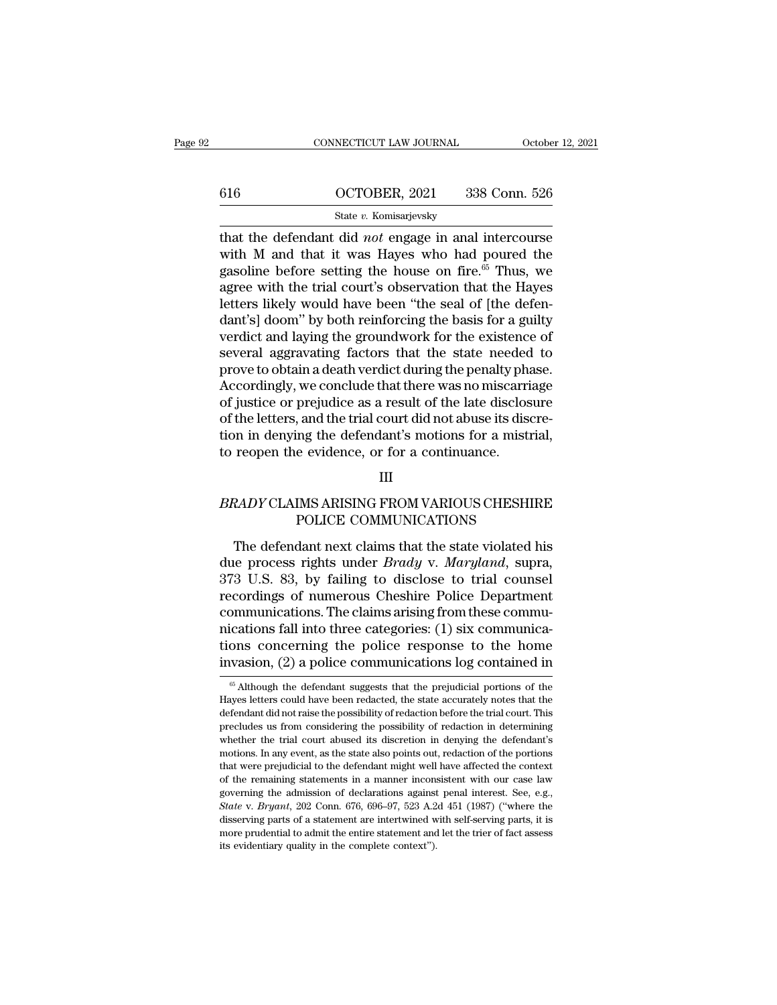|     | CONNECTICUT LAW JOURNAL                                                                                                                                                            | October 12, 2021 |
|-----|------------------------------------------------------------------------------------------------------------------------------------------------------------------------------------|------------------|
|     |                                                                                                                                                                                    |                  |
| 616 | OCTOBER, 2021                                                                                                                                                                      | 338 Conn. 526    |
|     | State v. Komisarjevsky                                                                                                                                                             |                  |
|     | that the defendant did <i>not</i> engage in anal intercourse<br>with M and that it was Hayes who had poured the<br>gesoling before setting the house on fire <sup>65</sup> Thus we |                  |

616 OCTOBER, 2021 338 Conn. 526<br>
State v. Komisarjevsky<br>
that the defendant did *not* engage in anal intercourse<br>
with M and that it was Hayes who had poured the<br>
gasoline before setting the house on fire.<sup>65</sup> Thus, we<br>
a 616 OCTOBER, 2021 338 Conn. 526<br>
State v. Komisarjevsky<br>
that the defendant did *not* engage in anal intercourse<br>
with M and that it was Hayes who had poured the<br>
gasoline before setting the house on fire.<sup>65</sup> Thus, we<br>
a 616 **CTOBER, 2021** 338 Conn. 526<br>
State v. Komisarjevsky<br>
that the defendant did *not* engage in anal intercourse<br>
with M and that it was Hayes who had poured the<br>
gasoline before setting the house on fire.<sup>65</sup> Thus, we<br> State v. Komisarjevsky<br>
State v. Komisarjevsky<br>
that the defendant did *not* engage in anal intercourse<br>
with M and that it was Hayes who had poured the<br>
gasoline before setting the house on fire.<sup>65</sup> Thus, we<br>
agree with state v. Komsarjevsky<br>
that the defendant did *not* engage in anal intercourse<br>
with M and that it was Hayes who had poured the<br>
gasoline before setting the house on fire.<sup>65</sup> Thus, we<br>
agree with the trial court's observ that the defendant did *not* engage in anal intercourse<br>with M and that it was Hayes who had poured the<br>gasoline before setting the house on fire.<sup>65</sup> Thus, we<br>agree with the trial court's observation that the Hayes<br>lette with M and that it was Hayes who had poured the<br>gasoline before setting the house on fire.<sup>65</sup> Thus, we<br>agree with the trial court's observation that the Hayes<br>letters likely would have been "the seal of [the defen-<br>dant's gasoline before setting the house on fire.<sup>65</sup> Thus, we<br>agree with the trial court's observation that the Hayes<br>letters likely would have been "the seal of [the defen-<br>dant's] doom" by both reinforcing the basis for a guil agree with the trial court's observation that the Hayes<br>letters likely would have been "the seal of [the defen-<br>dant's] doom" by both reinforcing the basis for a guilty<br>verdict and laying the groundwork for the existence o letters likely would have been "the seal of [the defen-<br>dant's] doom" by both reinforcing the basis for a guilty<br>verdict and laying the groundwork for the existence of<br>several aggravating factors that the state needed to<br>p dant's] doom" by both reinforcing the basis for a guilty verdict and laying the groundwork for the existence of several aggravating factors that the state needed to prove to obtain a death verdict during the penalty phase. verdict and laying the groundwork for the existence of<br>several aggravating factors that the state needed to<br>prove to obtain a death verdict during the penalty phase.<br>Accordingly, we conclude that there was no miscarriage<br>o several aggravating factors that the state needed<br>prove to obtain a death verdict during the penalty pha<br>Accordingly, we conclude that there was no miscarri<br>of justice or prejudice as a result of the late disclos<br>of the le of justice or prejudice as a result of the late disclosure<br>of the letters, and the trial court did not abuse its discre-<br>tion in denying the defendant's motions for a mistrial,<br>to reopen the evidence, or for a continuance. , and the trial court did not abuse its discre<br>ng the defendant's motions for a mistria<br>e evidence, or for a continuance.<br>III<br>IMS ARISING FROM VARIOUS CHESHIRI<br>POLICE COMMUNICATIONS<br>dant next claims that the state violated

# III

The defendant next claims that the state violated his<br>The defendant next claims that the state violated his<br>the process rights under *Brady* v. *Maryland*, supra,<br> $3 \text{ US } 83$  by failing to disclose to trial counsel EXECUTE BRADY CLAIMS ARISING FROM VARIOUS CHESHIRE<br>
POLICE COMMUNICATIONS<br>
The defendant next claims that the state violated his<br>
due process rights under *Brady* v. *Maryland*, supra,<br>
373 U.S. 83, by failing to disclose ERADY CLAIMS ARISING FROM VARIOUS CHESHIRE<br>
POLICE COMMUNICATIONS<br>
The defendant next claims that the state violated his<br>
due process rights under *Brady* v. *Maryland*, supra,<br>
373 U.S. 83, by failing to disclose to trial BRADY CLAIMS ARISING FROM VARIOUS CHESHIRE<br>POLICE COMMUNICATIONS<br>The defendant next claims that the state violated his<br>due process rights under *Brady* v. *Maryland*, supra,<br>373 U.S. 83, by failing to disclose to trial cou POLICE COMMUNICATIONS<br>
The defendant next claims that the state violated his<br>
due process rights under *Brady* v. *Maryland*, supra,<br>
373 U.S. 83, by failing to disclose to trial counsel<br>
recordings of numerous Cheshire Po The defendant next claims that the state violated his<br>due process rights under *Brady* v. *Maryland*, supra,<br>373 U.S. 83, by failing to disclose to trial counsel<br>recordings of numerous Cheshire Police Department<br>communica The defendant next claims that the state violated his<br>due process rights under *Brady* v. *Maryland*, supra,<br>373 U.S. 83, by failing to disclose to trial counsel<br>recordings of numerous Cheshire Police Department<br>communicat due process rights under *Brady* v. *Maryland*, supra, 373 U.S. 83, by failing to disclose to trial counsel recordings of numerous Cheshire Police Department communications. The claims arising from these communications fa nications fall into three categories: (1) six communica-<br>tions concerning the police response to the home<br>invasion, (2) a police communications log contained in<br> $\frac{1}{6}$  Although the defendant suggests that the prejudici mications fall into three categories: (1) six communications concerning the police response to the home invasion, (2) a police communications log contained in  $\frac{1}{\pi}$  at Although the defendant suggests that the prejudi

tions concerning the police response to the home<br>invasion, (2) a police communications log contained in<br> $\frac{65}{100}$  Although the defendant suggests that the prejudicial portions of the<br>Hayes letters could have been redac invasion, (2) a police communications  $log$  contained in  $\frac{1}{\pi}$  and  $\frac{1}{\pi}$  and  $\frac{1}{\pi}$  and  $\frac{1}{\pi}$  although the defendant suggests that the prejudicial portions of the Hayes letters could have been redacted, t mivasion,  $(2)$  a poince communications tog contained in  $\frac{1}{2}$  a poince communications of the Hayes letters could have been redacted, the state accurately notes that the defendant did not raise the possibility of reda  $\,$ <sup>66</sup> Although the defendant suggests that the prejudicial portions of the Hayes letters could have been redacted, the state accurately notes that the defendant did not raise the possibility of redaction before the tri Hayes letters could have been redacted, the state accurately notes that the defendant did not raise the possibility of redaction before the trial court. This precludes us from considering the possibility of redaction in de defendant did not raise the possibility of redaction before the trial court. This precludes us from considering the possibility of redaction in determining whether the trial court abused its discretion in denying the defen precludes us from considering the possibility of redaction in determining whether the trial court abused its discretion in denying the defendant's motions. In any event, as the state also points out, redaction of the porti *Frechael* the trial court abused its discretion in denying the defendant's motions. In any event, as the state also points out, redaction of the portions that were prejudicial to the defendant might well have affected the motions. In any event, as the state also points out, redaction of the portions that were prejudicial to the defendant might well have affected the context of the remaining statements in a manner inconsistent with our case that were prejudicial to the defendant might well have affected the context<br>of the remaining statements in a manner inconsistent with our case law<br>governing the admission of declarations against penal interest. See, e.g., of the remaining statements in a manner inconsistent with our case law governing the admission of declarations against penal interest. See, e.g., *State* v. *Bryant*, 202 Conn. 676, 696–97, 523 A.2d 451 (1987) ("where the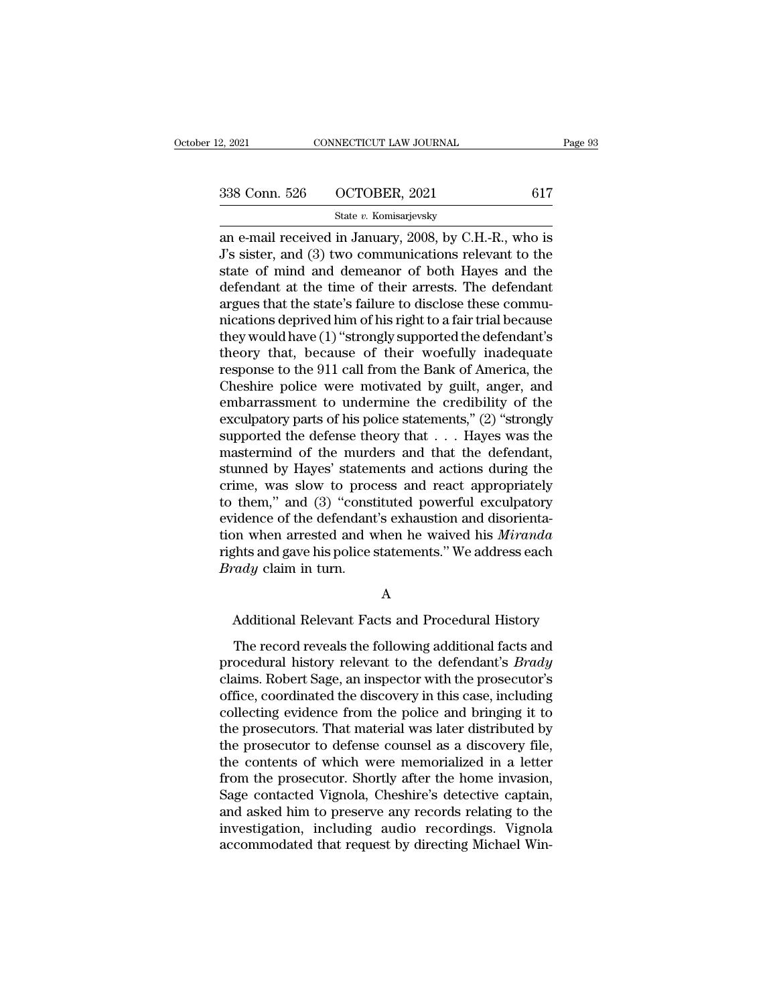| 2, 2021       | CONNECTICUT LAW JOURNAL | Page 93 |
|---------------|-------------------------|---------|
| 338 Conn. 526 | OCTOBER, 2021           | 617     |
|               | State v. Komisarjevsky  |         |

2, 2021 CONNECTICUT LAW JOURNAL Page 93<br>  $\frac{338 \text{ Conn. } 526 \text{ } \text{OCTOBER, } 2021 \text{ } \text{ } 617 \text{ } \text{State } v. \text{ Komisarievsky}}{31 \text{ The } 12 \text{ C} \text{ (a) } 1 \text{ (b) } 2008, \text{ by C. H.-R., who is J's sister, and (3) two communications relevant to the state of mind and domegner of both Haves and the$  $\begin{array}{c|c} \text{338 Conn. } 526 & \text{OCTOBER, } 2021 & 617 \\ & \text{State } v. \text{ Komisarjevsky} \\ \hline \text{an e-mail received in January, } 2008, \text{ by C.H.-R., who is J's sister, and (3) two communications relevant to the state of mind and demeanor of both Hayes and the defendent at the time of their arrest. The defendent$ 338 Conn. 526 OCTOBER, 2021 617<br>
State v. Komisarjevsky<br>
an e-mail received in January, 2008, by C.H.-R., who is<br>
J's sister, and (3) two communications relevant to the<br>
state of mind and demeanor of both Hayes and the<br>
d 338 Conn. 526 OCTOBER, 2021 617<br>
State v. Komisarjevsky<br>
an e-mail received in January, 2008, by C.H.-R., who is<br>
J's sister, and (3) two communications relevant to the<br>
state of mind and demeanor of both Hayes and the<br>
d State v. Komisarjevsky<br>an e-mail received in January, 2008, by C.H.-R., who is<br>J's sister, and (3) two communications relevant to the<br>state of mind and demeanor of both Hayes and the<br>defendant at the time of their arrests state v. Komsarjevsky<br>an e-mail received in January, 2008, by C.H.-R., who is<br>J's sister, and (3) two communications relevant to the<br>state of mind and demeanor of both Hayes and the<br>defendant at the time of their arrests. an e-mail received in January, 2008, by C.H.-R., who is<br>J's sister, and (3) two communications relevant to the<br>state of mind and demeanor of both Hayes and the<br>defendant at the time of their arrests. The defendant<br>argues J's sister, and (3) two communications relevant to the<br>state of mind and demeanor of both Hayes and the<br>defendant at the time of their arrests. The defendant<br>argues that the state's failure to disclose these commu-<br>nicatio state of mind and demeanor of both Hayes and the<br>defendant at the time of their arrests. The defendant<br>argues that the state's failure to disclose these commu-<br>nications deprived him of his right to a fair trial because<br>th defendant at the time of their arrests. The defendant<br>argues that the state's failure to disclose these commu-<br>nications deprived him of his right to a fair trial because<br>they would have (1) "strongly supported the defenda argues that the state's failure to disclose these communications deprived him of his right to a fair trial because<br>they would have (1) "strongly supported the defendant's<br>theory that, because of their woefully inadequate<br>r mications deprived him of his right to a fair trial because<br>they would have (1) "strongly supported the defendant's<br>theory that, because of their woefully inadequate<br>response to the 911 call from the Bank of America, the<br>C they would have (1) "strongly supported the defendant's<br>theory that, because of their woefully inadequate<br>response to the 911 call from the Bank of America, the<br>Cheshire police were motivated by guilt, anger, and<br>embarrass theory that, because of their woefully inadequate<br>response to the 911 call from the Bank of America, the<br>Cheshire police were motivated by guilt, anger, and<br>embarrassment to undermine the credibility of the<br>exculpatory pa response to the 911 call from the Bank of America, the<br>Cheshire police were motivated by guilt, anger, and<br>embarrassment to undermine the credibility of the<br>exculpatory parts of his police statements," (2) "strongly<br>suppo Cheshire police were motivated by guilt, anger, and<br>embarrassment to undermine the credibility of the<br>exculpatory parts of his police statements," (2) "strongly<br>supported the defense theory that  $\dots$  Hayes was the<br>masterm embarrassment to undermine the credibility of the<br>exculpatory parts of his police statements," (2) "strongly<br>supported the defense theory that  $\dots$  Hayes was the<br>mastermind of the murders and that the defendant,<br>stunned b exculpatory parts of his police statements," (2) "strongly<br>supported the defense theory that  $\dots$  Hayes was the<br>mastermind of the murders and that the defendant,<br>stunned by Hayes' statements and actions during the<br>crime, supported the defense theory that . . . Hayes was the<br>mastermind of the murders and that the defendant,<br>stunned by Hayes' statements and actions during the<br>crime, was slow to process and react appropriately<br>to them," and ( mastermind of the murders and that the defendant,<br>stunned by Hayes' statements and actions during the<br>crime, was slow to process and react appropriately<br>to them," and (3) "constituted powerful exculpatory<br>evidence of the d stunned by Hayes' statem<br>crime, was slow to proc<br>to them," and (3) "const<br>evidence of the defendant<br>tion when arrested and w<br>rights and gave his police s<br>*Brady* claim in turn. idence of the defendant's exhaustion and disorienta-<br>on when arrested and when he waived his *Miranda*<br>ghts and gave his police statements." We address each<br>rady claim in turn.<br>A<br>Additional Relevant Facts and Procedural Hi

A

Find and gave his police statements." We address each<br>
field reduced reveals the following additional facts and<br>
field record reveals the following additional facts and<br>
ocedural history relevant to the defendant's *Brady* **Example 19 Example 19 Example 19 Example 19 Example 19 Example 19 Example 19 Example 19 Example 19 Example 19 Example 19 Example 19 Example 19 Example 19 Example 19 Example 19 Example 19 Example 19 Example 19 Example 19 E** A<br>
Additional Relevant Facts and Procedural History<br>
The record reveals the following additional facts and<br>
procedural history relevant to the defendant's *Brady*<br>
claims. Robert Sage, an inspector with the prosecutor's<br>
o A<br>Additional Relevant Facts and Procedural History<br>The record reveals the following additional facts and<br>procedural history relevant to the defendant's *Brady*<br>claims. Robert Sage, an inspector with the prosecutor's<br>office Additional Relevant Facts and Procedural History<br>The record reveals the following additional facts and<br>procedural history relevant to the defendant's *Brady*<br>claims. Robert Sage, an inspector with the prosecutor's<br>office, The record reveals the following additional facts and<br>procedural history relevant to the defendant's *Brady*<br>claims. Robert Sage, an inspector with the prosecutor's<br>office, coordinated the discovery in this case, including The record reveals the following additional facts and<br>procedural history relevant to the defendant's *Brady*<br>claims. Robert Sage, an inspector with the prosecutor's<br>office, coordinated the discovery in this case, including procedural history relevant to the defendant's *Brady*<br>claims. Robert Sage, an inspector with the prosecutor's<br>office, coordinated the discovery in this case, including<br>collecting evidence from the police and bringing it t claims. Robert Sage, an inspector with the prosecutor's<br>office, coordinated the discovery in this case, including<br>collecting evidence from the police and bringing it to<br>the prosecutors. That material was later distributed office, coordinated the discovery in this case, including<br>collecting evidence from the police and bringing it to<br>the prosecutors. That material was later distributed by<br>the prosecutor to defense counsel as a discovery file collecting evidence from the police and bringing it to<br>the prosecutors. That material was later distributed by<br>the prosecutor to defense counsel as a discovery file,<br>the contents of which were memorialized in a letter<br>from the prosecutors. That material was later distributed by<br>the prosecutor to defense counsel as a discovery file,<br>the contents of which were memorialized in a letter<br>from the prosecutor. Shortly after the home invasion,<br>Sage the prosecutor to defense counsel as a discovery file, the contents of which were memorialized in a letter from the prosecutor. Shortly after the home invasion, Sage contacted Vignola, Cheshire's detective captain, and ask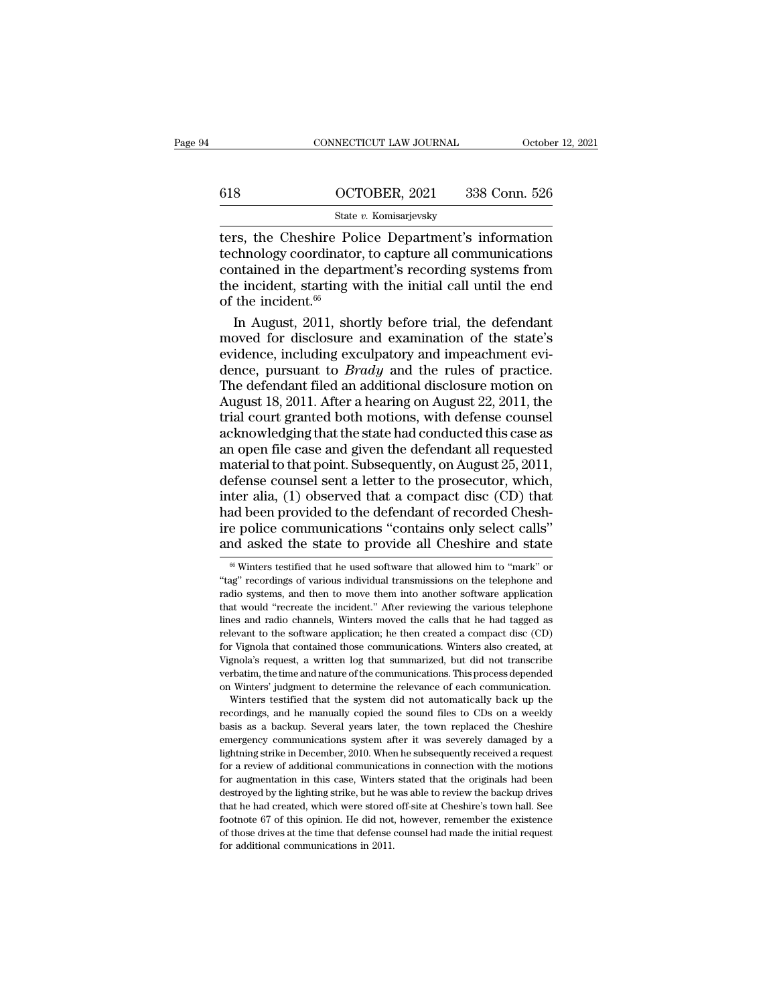|     | CONNECTICUT LAW JOURNAL | October 12, 2021 |
|-----|-------------------------|------------------|
|     |                         |                  |
| 618 | OCTOBER, 2021           | 338 Conn. 526    |
|     | State v. Komisarjevsky  |                  |

 $\begin{tabular}{ll} \multicolumn{2}{l}{{\small \textbf{COMRECTICUT LAW JOURNAL}}} & & October 12, 2021 \end{tabular}$   $\begin{tabular}{ll} \multicolumn{2}{l}{{\small \textbf{G18}}} & & October 12, 2021 \end{tabular} \end{tabular} \begin{tabular}{ll} \multicolumn{2}{l}{{\small \textbf{State $v$}. Komisarievsky}}\\ \multicolumn{2}{l}{\small \textbf{State $v$}. Komisarievsky}}\\ \multicolumn{2}{l}{\small \textbf{ters, the Cheshire Police Department's information} }\\ \multicolumn{2}{l}{\small \textbf{terbinology coordinate$ technology coordinator, to capture all communications 618 OCTOBER, 2021 338 Conn. 526<br>
State v. Komisarjevsky<br>
ters, the Cheshire Police Department's information<br>
technology coordinator, to capture all communications<br>
contained in the department's recording systems from<br>
the 618 OCTOBER, 2021 338 Conn. 526<br>
State v. Komisarjevsky<br>
ters, the Cheshire Police Department's information<br>
technology coordinator, to capture all communications<br>
contained in the department's recording systems from<br>
the State<br>
ters, the Cheshire Po<br>
technology coordinator<br>
contained in the depar<br>
the incident, starting w<br>
of the incident.<sup>66</sup><br>
In August, 2011, sho State *i*. Romsarjevsky<br>
In August, the Cheshire Police Department's information<br>
chnology coordinator, to capture all communications<br>
me incident, starting with the initial call until the end<br>
the incident.<sup>66</sup><br>
In Augus ters, the Cheshire Police Department's information<br>technology coordinator, to capture all communications<br>contained in the department's recording systems from<br>the incident, starting with the initial call until the end<br>of t

technology coordinator, to capture all communications<br>contained in the department's recording systems from<br>the incident, starting with the initial call until the end<br>of the incident.<sup>66</sup><br>In August, 2011, shortly before tr contained in the department's recording systems from<br>the incident, starting with the initial call until the end<br>of the incident.<sup>66</sup><br>In August, 2011, shortly before trial, the defendant<br>moved for disclosure and examinatio the incident, starting with the initial call until the end<br>of the incident.<sup>66</sup><br>In August, 2011, shortly before trial, the defendant<br>moved for disclosure and examination of the state's<br>evidence, including exculpatory and of the incident.<sup>66</sup><br>In August, 2011, shortly before trial, the defendant<br>moved for disclosure and examination of the state's<br>evidence, including exculpatory and impeachment evi-<br>dence, pursuant to *Brady* and the rules o In August, 2011, shortly before trial, the defendant<br>moved for disclosure and examination of the state's<br>evidence, including exculpatory and impeachment evi-<br>dence, pursuant to *Brady* and the rules of practice.<br>The defend moved for disclosure and examination of the state's<br>evidence, including exculpatory and impeachment evi-<br>dence, pursuant to *Brady* and the rules of practice.<br>The defendant filed an additional disclosure motion on<br>August evidence, including exculpatory and impeachment evidence, pursuant to *Brady* and the rules of practice.<br>The defendant filed an additional disclosure motion on<br>August 18, 2011. After a hearing on August 22, 2011, the<br>trial dence, pursuant to *Brady* and the rules of practice.<br>The defendant filed an additional disclosure motion on<br>August 18, 2011. After a hearing on August 22, 2011, the<br>trial court granted both motions, with defense counsel<br> The defendant filed an additional disclosure motion on<br>August 18, 2011. After a hearing on August 22, 2011, the<br>trial court granted both motions, with defense counsel<br>acknowledging that the state had conducted this case as August 18, 2011. After a hearing on August 22, 2011, the<br>trial court granted both motions, with defense counsel<br>acknowledging that the state had conducted this case as<br>an open file case and given the defendant all requeste trial court granted both motions, with defense counsel<br>acknowledging that the state had conducted this case as<br>an open file case and given the defendant all requested<br>material to that point. Subsequently, on August 25, 201 acknowledging that the state had conducted this case as<br>an open file case and given the defendant all requested<br>material to that point. Subsequently, on August 25, 2011,<br>defense counsel sent a letter to the prosecutor, whi an open file case and given the defendant all requested<br>material to that point. Subsequently, on August 25, 2011,<br>defense counsel sent a letter to the prosecutor, which,<br>inter alia, (1) observed that a compact disc (CD) t ter alia, (1) observed that a compact disc (CD) that<br>ad been provided to the defendant of recorded Chesh-<br>e police communications "contains only select calls"<br>ind asked the state to provide all Cheshire and state<br><sup>66</sup> Wint had been provided to the defendant of recorded Cheshire police communications "contains only select calls"<br>and asked the state to provide all Cheshire and state<br><sup>66</sup> Winters testified that he used software that allowed him

basis as a backup. Several years later, the town replaced the Cheshire or Wignola's request, a written log that summarized, but did not transcribe verbatim, the time and nature of the communications. This process depended Exercise, we were the and nature of the communications. This process depended on Winters' judgment to determine the relevance of each communication. Winters testified that the system did not automatically back up the reco on Winters' judgment to determine the relevance of each communication.<br>Winters testified that the system did not automatically back up the<br>recordings, and he manually copied the sound files to CDs on a weekly<br>basis as a ba Winters testified that the system did not automatically back up the recordings, and he manually copied the sound files to CDs on a weekly basis as a backup. Several years later, the town replaced the Cheshire emergency com Frecordings, and he manually copied the sound files to CDs on a weekly basis as a backup. Several years later, the town replaced the Cheshire emergency communications system after it was severely damaged by a lightning str basis as a backup. Several years later, the town replaced the Cheshire emergency communications system after it was severely damaged by a lightning strike in December, 2010. When he subsequently received a request for a re emergency communications system after it was severely damaged by a lightning strike in December, 2010. When he subsequently received a request for a review of additional communications in connection with the motions for au in dightning strike in December, 2010. When he subsequently received a request for a review of additional communications in connection with the motions for augmentation in this case, Winters stated that the originals had b define a review of additional communications in connection with the motions for any<br>energy of additional communications in connection with the motions<br>for augmentation in this case, Winters stated that the originals had be For augmentation in this case, Winters<br>for augmentation in this case, Winters<br>destroyed by the lighting strike, but he v<br>that he had created, which were stored<br>footnote 67 of this opinion. He did not,<br>of those drives at th

ire police communications "contains only select calls"<br>and asked the state to provide all Cheshire and state<br> $\frac{1}{100}$  Winters testified that he used software that allowed him to "mark" or<br>"tag" recordings of various in and asked the state to provide all Cheshire and state<br>  $\frac{1}{100}$  winters testified that he used software that allowed him to "mark" or<br>
"tag" recordings of various individual transmissions on the telephone and<br>
radio sy  $\frac{1}{100}$  asked the state to provide an Chestine and state<br>  $\frac{1}{100}$  winters testified that he used software that allowed him to "mark" or<br>
"tag" recordings of various individual transmissions on the telephone and<br>
r  $^{66}$  Winters testified that he used software that allowed him to "mark" or "tag" recordings of various individual transmissions on the telephone and radio systems, and then to move them into another software application "tag" recordings of various individual transmissions on the telephone and radio systems, and then to move them into another software application that would "recreate the incident." After reviewing the various telephone lin radio systems, and then to move them into another software application that would "recreate the incident." After reviewing the various telephone lines and radio channels, Winters moved the calls that he had tagged as relev Final would "recreate the incident." After reviewing the various telephone lines and radio channels, Winters moved the calls that he had tagged as relevant to the software application; he then created a compact disc (CD) f Innes and radio channels, Winters moved the calls that he had tagged as relevant to the software application; he then created a compact disc (CD) for Vignola that contained those communications. Winters also created, at Vi Evant to the software application; he then created a compact disc (CD) r Vignola that contained those communications. Winters also created, at gnola's request, a written log that summarized, but did not transcribe rbatim, For Vignola that contained those communications. Winters also created, at Vignola's request, a written log that summarized, but did not transcribe verbatim, the time and nature of the communications. This process depended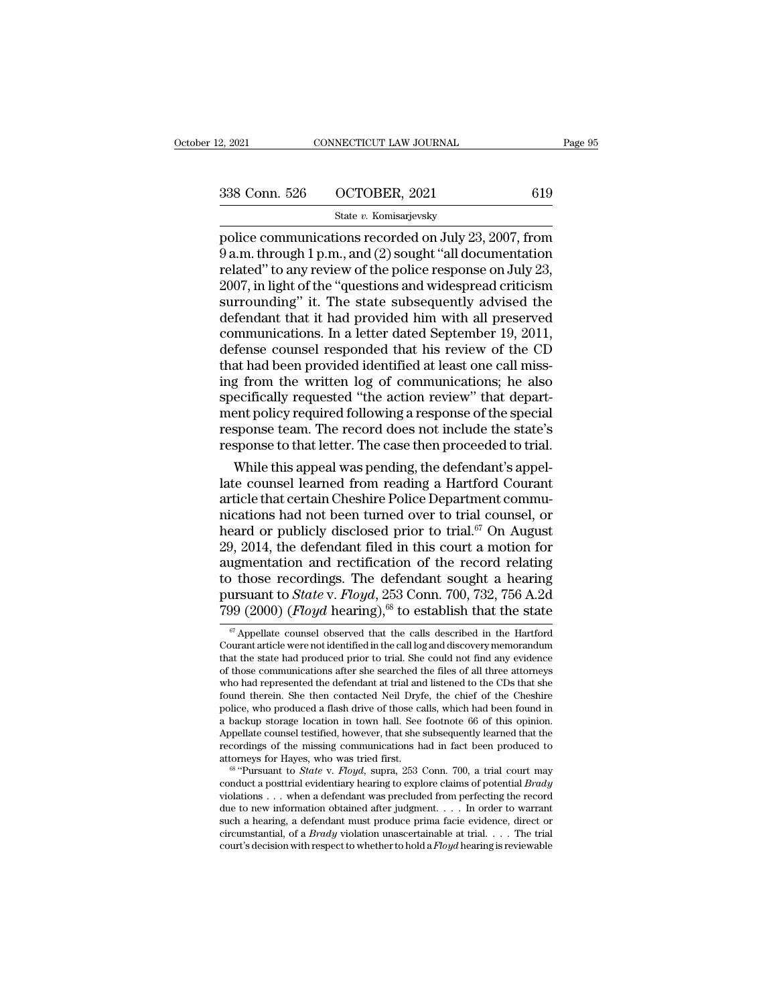2, 2021 CONNECTICUT LAW JOURNAL Page 95<br>
338 Conn. 526 OCTOBER, 2021 619<br>
5tate v. Komisarjevsky<br>
police communications recorded on July 23, 2007, from<br>
9 a.m. through 1 p.m., and (2) sought "all documentation<br>
related" to 338 Conn. 526 OCTOBER, 2021 619<br>
State v. Komisarjevsky<br>
police communications recorded on July 23, 2007, from<br>
9 a.m. through 1 p.m., and (2) sought "all documentation<br>
related" to any review of the police response on Jul 338 Conn. 526 OCTOBER, 2021 619<br>
State v. Komisarjevsky<br>
police communications recorded on July 23, 2007, from<br>
9 a.m. through 1 p.m., and (2) sought "all documentation<br>
related" to any review of the police response on Ju 338 Conn. 526 OCTOBER, 2021 619<br>
State v. Komisarjevsky<br>
police communications recorded on July 23, 2007, from<br>
9 a.m. through 1 p.m., and (2) sought "all documentation<br>
related" to any review of the police response on Ju Surrounding' it. The state subsequently advised the defendant that it had provided him with all preserved communications of the police response on July 23, 2007, in light of the "questions and widespread criticism surroun State v. Komisarjevsky<br>police communications recorded on July 23, 2007, from<br>9 a.m. through 1 p.m., and (2) sought "all documentation<br>related" to any review of the police response on July 23,<br>2007, in light of the "questi police communications recorded on July 23, 2007, from<br>9 a.m. through 1 p.m., and (2) sought "all documentation<br>related" to any review of the police response on July 23,<br>2007, in light of the "questions and widespread criti  $\stackrel{\text{\scriptsize o}}{0}$  a.m. through 1 p.m., and (2) sought "all documentation<br>related" to any review of the police response on July 23,<br>2007, in light of the "questions and widespread criticism<br>surrounding" it. The state subsequ related" to any review of the police response on July 23,<br>2007, in light of the "questions and widespread criticism<br>surrounding" it. The state subsequently advised the<br>defendant that it had provided him with all preserved<br> 2007, in light of the "questions and widespread criticism<br>surrounding" it. The state subsequently advised the<br>defendant that it had provided him with all preserved<br>communications. In a letter dated September 19, 2011,<br>defe surrounding" it. The state subsequently advised the<br>defendant that it had provided him with all preserved<br>communications. In a letter dated September 19, 2011,<br>defense counsel responded that his review of the CD<br>that had b defendant that it had provided him with all preserved<br>communications. In a letter dated September 19, 2011,<br>defense counsel responded that his review of the CD<br>that had been provided identified at least one call miss-<br>ing communications. In a letter dated September 19, 2011,<br>defense counsel responded that his review of the CD<br>that had been provided identified at least one call miss-<br>ing from the written log of communications; he also<br>specif defense counsel responded that his review of the CD<br>that had been provided identified at least one call miss-<br>ing from the written log of communications; he also<br>specifically requested "the action review" that depart-<br>ment that had been provided identified at least one call missing from the written log of communications; he also specifically requested "the action review" that department policy required following a response of the special res ing from the written log of communications; he also<br>specifically requested "the action review" that depart-<br>ment policy required following a response of the special<br>response team. The record does not include the state's<br>re

specifically requested "the action review" that department policy required following a response of the special response team. The record does not include the state's response to that letter. The case then proceeded to tri ment policy required following a response of the special<br>response team. The record does not include the state's<br>response to that letter. The case then proceeded to trial.<br>While this appeal was pending, the defendant's appe response team. The record does not include the state's<br>response to that letter. The case then proceeded to trial.<br>While this appeal was pending, the defendant's appel-<br>late counsel learned from reading a Hartford Courant<br> response to that letter. The case then proceeded to trial.<br>
While this appeal was pending, the defendant's appel-<br>
late counsel learned from reading a Hartford Courant<br>
article that certain Cheshire Police Department commu While this appeal was pending, the defendant's appellate counsel learned from reading a Hartford Courant article that certain Cheshire Police Department communications had not been turned over to trial counsel, or heard o late counsel learned from reading a Hartford Courant<br>article that certain Cheshire Police Department commu-<br>nications had not been turned over to trial counsel, or<br>heard or publicly disclosed prior to trial.<sup>67</sup> On August article that certain Cheshire Police Department commu-<br>nications had not been turned over to trial counsel, or<br>heard or publicly disclosed prior to trial.<sup>67</sup> On August<br>29, 2014, the defendant filed in this court a motion nications had not been turned over to trial counsel, or<br>heard or publicly disclosed prior to trial.<sup>67</sup> On August<br>29, 2014, the defendant filed in this court a motion for<br>augmentation and rectification of the record relati agmentation and rectification of the record relating<br>those recordings. The defendant sought a hearing<br>ursuant to *State* v. *Floyd*, 253 Conn. 700, 732, 756 A.2d<br> $99 (2000)$  (*Floyd* hearing),<sup>68</sup> to establish that the sta to those recordings. The defendant sought a hearing<br>pursuant to *State* v. *Floyd*, 253 Conn. 700, 732, 756 A.2d<br>799 (2000) (*Floyd* hearing),<sup>68</sup> to establish that the state<br><sup>67</sup> Appellate counsel observed that the calls

to diose recordings. The determinant sought a netaring<br>pursuant to *State* v. *Floyd*, 253 Conn. 700, 732, 756 A.2d<br>799 (2000) (*Floyd* hearing),<sup>68</sup> to establish that the state<br> $\frac{\pi}{4}$  Appellate counsel observed that t 799 (2000) (*Floyd* hearing),<sup>68</sup> to establish that the state  $\frac{1}{\sigma}$  Appellate counsel observed that the calls described in the Hartford Courant article were not identified in the call log and discovery memorandum tha 799  $(2000)$   $(Hoyd$  hearing),<sup>os</sup> to establish that the state  $\frac{1}{\sigma}$  Appellate counsel observed that the calls described in the Hartford Courant article were not identified in the call log and discovery memorandum that  $\sigma$  Appellate counsel observed that the calls described in the Hartford Courant article were not identified in the call log and discovery memorandum that the state had produced prior to trial. She could not find any evid <sup>or</sup> Appellate counsel observed that the calls described in the Hartford Courant article were not identified in the call log and discovery memorandum that the state had produced prior to trial. She could not find any evide police, who produced a flash drive of those calls, which had been found in<br>a backup storage location in town hall. See footnote 66 of this opinion.<br>Appellate counsel testified, however, that she subsequently learned that t that the state had produced prior to trial. She could not find any evidence of those communications after she searched the files of all three attorneys who had represented the defendant at trial and listened to the CDs tha of those communications after she searched the files of all three attorneys<br>who had represented the defendant at trial and listened to the CDs that she<br>found therein. She then contacted Neil Dryfe, the chief of the Cheshir who had represented the detendant at trial and listened to the CDs that she<br>found therein. She then contacted Neil Dryfe, the chief of the Cheshire<br>police, who produced a flash drive of those calls, which had been found in police, who produced a flash drive of those calls, which had been found in<br>a backup storage location in town hall. See footnote 66 of this opinion.<br>Appellate counsel testified, however, that she subsequently learned that t

a backup storage location in town hall. See foothote 66 of this opinion.<br>Appellate counsel testified, however, that she subsequently learned that the<br>recordings of the missing communications had in fact been produced to<br>a Appellate counsel testified, however, that she subsequently learned that the recordings of the missing communications had in fact been produced to attorneys for Hayes, who was tried first.<br>
<sup>68</sup> "Pursuant to *State* v. *F* recordings of the missing communications had in fact been produced to attorneys for Hayes, who was tried first.<br>
<sup>68</sup> "Pursuant to *State* v. *Floyd*, supra, 253 Conn. 700, a trial court may conduct a posttrial evidentiar attorneys for Hayes, who was tried lirst.<br>
<sup>68</sup> "Pursuant to *State* v. *Floyd*, supra, 253 Conn. 700, a trial court may<br>
conduct a posttrial evidentiary hearing to explore claims of potential *Brady*<br>
violations . . . whe <sup>co</sup> "Pursuant to *State v. Floyd*, supra, 253 Conn. 700, a trial court may conduct a posttrial evidentiary hearing to explore claims of potential *Brady* violations . . . when a defendant was precluded from perfecting the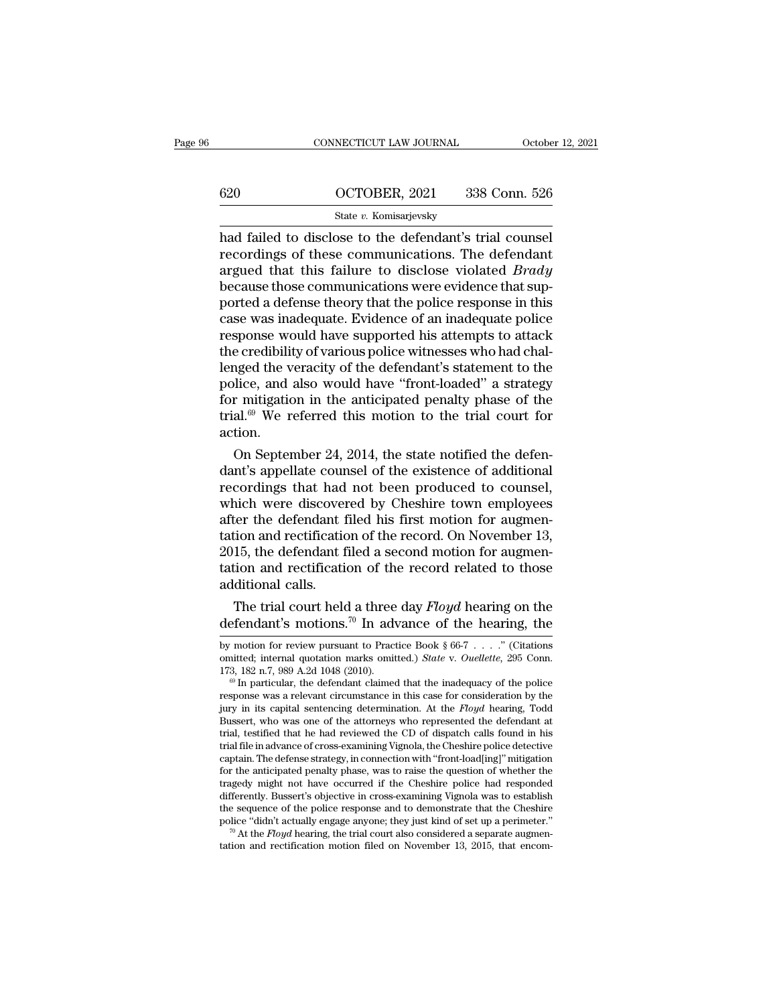|     | CONNECTICUT LAW JOURNAL | October 12, 2021 |
|-----|-------------------------|------------------|
|     |                         |                  |
| 620 | OCTOBER, 2021           | 338 Conn. 526    |
|     | State v. Komisarjevsky  |                  |

CONNECTICUT LAW JOURNAL October 12, 20<br>
620 OCTOBER, 2021 338 Conn. 526<br>
526 State v. Komisarjevsky<br>
had failed to disclose to the defendant's trial counsel<br>
recordings of these communications. The defendant 620 OCTOBER, 2021 338 Conn. 526<br>
State v. Komisarjevsky<br>
had failed to disclose to the defendant's trial counsel<br>
recordings of these communications. The defendant<br>
argued that this failure to disclose violated *Brady*<br>
he 620 OCTOBER, 2021 338 Conn. 526<br>
State *v*. Komisarjevsky<br>
had failed to disclose to the defendant's trial counsel<br>
recordings of these communications. The defendant<br>
argued that this failure to disclose violated *Brady*<br>  $\frac{\text{620}}{\text{State } v. \text{ Komisarjevsky}}$ <br>
had failed to disclose to the defendant's trial counsel<br>
recordings of these communications. The defendant<br>
argued that this failure to disclose violated *Brady*<br>
because those communications Section 2013 1991 2011 2012 2013 2013<br>
State v. Komisarjevsky<br>
had failed to disclose to the defendant's trial counsel<br>
recordings of these communications. The defendant<br>
argued that this failure to disclose violated *Bra* State v. Komisarjevsky<br>had failed to disclose to the defendant's trial counsel<br>recordings of these communications. The defendant<br>argued that this failure to disclose violated *Brady*<br>because those communications were evid had failed to disclose to the defendant's trial counsel<br>recordings of these communications. The defendant<br>argued that this failure to disclose violated *Brady*<br>because those communications were evidence that sup-<br>ported a recordings of these communications. The defendant argued that this failure to disclose violated *Brady* because those communications were evidence that supported a defense theory that the police response in this case was i argued that this failure to disclose violated *Brady*<br>because those communications were evidence that sup-<br>ported a defense theory that the police response in this<br>case was inadequate. Evidence of an inadequate police<br>resp because those communications were evidence that sup-<br>ported a defense theory that the police response in this<br>case was inadequate. Evidence of an inadequate police<br>response would have supported his attempts to attack<br>the c ported a defense theory that the police response in this<br>case was inadequate. Evidence of an inadequate police<br>response would have supported his attempts to attack<br>the credibility of various police witnesses who had chal-<br> case was inadequate. Evidence of an inadequate police<br>response would have supported his attempts to attack<br>the credibility of various police witnesses who had chal-<br>lenged the veracity of the defendant's statement to the<br> action. e credibility of various police witnesses who had chal-<br>nged the veracity of the defendant's statement to the<br>lice, and also would have "front-loaded" a strategy<br>r mitigation in the anticipated penalty phase of the<br>al.<br><sup>69</sup> denged the veracity of the defendant's statement to the police, and also would have "front-loaded" a strategy for mitigation in the anticipated penalty phase of the trial.  $69$  We referred this motion to the trial court f

police, and also would have "front-loaded" a strategy<br>for mitigation in the anticipated penalty phase of the<br>trial.<sup>69</sup> We referred this motion to the trial court for<br>action.<br>On September 24, 2014, the state notified the d for mitigation in the anticipated penalty phase of the<br>trial.<sup>69</sup> We referred this motion to the trial court for<br>action.<br>On September 24, 2014, the state notified the defen-<br>dant's appellate counsel of the existence of add trial.<sup>36</sup> We referred this motion to the trial court for<br>action.<br>On September 24, 2014, the state notified the defen-<br>dant's appellate counsel of the existence of additional<br>recordings that had not been produced to counse action.<br>
On September 24, 2014, the state notified the defen-<br>
dant's appellate counsel of the existence of additional<br>
recordings that had not been produced to counsel,<br>
which were discovered by Cheshire town employees<br>
a On September 24, 2014, the state notified the defendant's appellate counsel of the existence of additional recordings that had not been produced to counsel, which were discovered by Cheshire town employees after the defend dant's appellate counsel of the existence of additional<br>recordings that had not been produced to counsel,<br>which were discovered by Cheshire town employees<br>after the defendant filed his first motion for augmen-<br>tation and r recordings that had<br>which were discover<br>after the defendant f<br>tation and rectificatio<br>2015, the defendant f<br>tation and rectificatio<br>additional calls.<br>The trial court held nuch were discovered by Cheshire town employees<br>ter the defendant filed his first motion for augmen-<br>tion and rectification of the record. On November 13,<br>15, the defendant filed a second motion for augmen-<br>ion and rectifi atter the defendant filed his first motion for augmentation and rectification of the record. On November 13, 2015, the defendant filed a second motion for augmentation and rectification of the record related to those addi

additional calls.<br>
The trial court held a three day *Floyd* hearing on the<br>
defendant's motions.<sup>70</sup> In advance of the hearing, the<br>
by motion for review pursuant to Practice Book § 66-7 . . . ." (Citations<br>
omitted, inte additional calls.<br>The trial court held a three day *Floyd* hearing on the<br>defendant's motions.<sup>70</sup> In advance of the hearing, the<br>by motion for review pursuant to Practice Book § 66-7 . . . ." (Citations<br>omitted; internal The trial court held a three day *Floyd* hearing on the defendant's motions.<sup>70</sup> In advance of the hearing, the by motion for review pursuant to Practice Book § 66-7 . . . . " (Citations omitted; internal quotation marks

defendant's motions.<sup>70</sup> In advance of the hearing, the by motion for review pursuant to Practice Book § 66-7 . . . ." (Citations omitted; internal quotation marks omitted.) *State v. Ouellette*, 295 Conn. 173, 182 n.7, 9 by motion for review pursuant to Practice Book § 66-7 . . . . " (Citations omitted; internal quotation marks omitted.) *State* v. *Ouellette*, 295 Conn. 173, 182 n.7, 989 A.2d 1048 (2010).<br><sup>69</sup> In particular, the defendan by motion for review pursuant to Practice Book § 66-7 . . . . . " (Citations omitted; internal quotation marks omitted.) *State v. Ouellette*, 295 Conn. 173, 182 n.7, 989 A.2d 1048 (2010).<br><sup>69</sup> In particular, the defendan omitted; internal quotation marks omitted.) *State* v. *Ouellette*, 295 Conn. 173, 182 n.7, 989 A.2d 1048 (2010).<br>
<sup>®</sup> In particular, the defendant claimed that the inadequacy of the police response was a relevant circumst 173, 182 n.7, 989 A.2d 1048 (2010).<br>
<sup>®</sup> In particular, the defendant claimed that the inadequacy of the police response was a relevant circumstance in this case for consideration by the jury in its capital sentencing det " In particular, the defendant claimed that the madequacy of the police response was a relevant circumstance in this case for consideration by the jury in its capital sentencing determination. At the  $Floyd$  hearing, Todd Bu response was a relevant circumstance in this case for consideration by the<br>jury in its capital sentencing determination. At the *Floyd* hearing, Todd<br>Bussert, who was one of the attorneys who represented the defendant at<br>t Jury in its capital sentencing determination. At the *Floyd* hearing, Todd Bussert, who was one of the attorneys who represented the defendant at trial, testified that he had reviewed the CD of dispatch calls found in his Bussert, who was one of the attorneys who represented the defendant at trial, testified that he had reviewed the CD of dispatch calls found in his trial file in advance of cross-examining Vignola, the Cheshire police detec trial, testined that he had reviewed the CD of dispatch calls found in his<br>trial file in advance of cross-examining Vignola, the Cheshire police detective<br>captain. The defense strategy, in connection with "front-load[ing]" trial file in advance of cross-examining Vignola, the Cheshire police detective captain. The defense strategy, in connection with "front-load[ing]" mitigation for the anticipated penalty phase, was to raise the question of for the anticipated penalty phase, was to raise the question of whether the tragedy might not have occurred if the Cheshire police had responded differently. Bussert's objective in cross-examining Vignola was to establish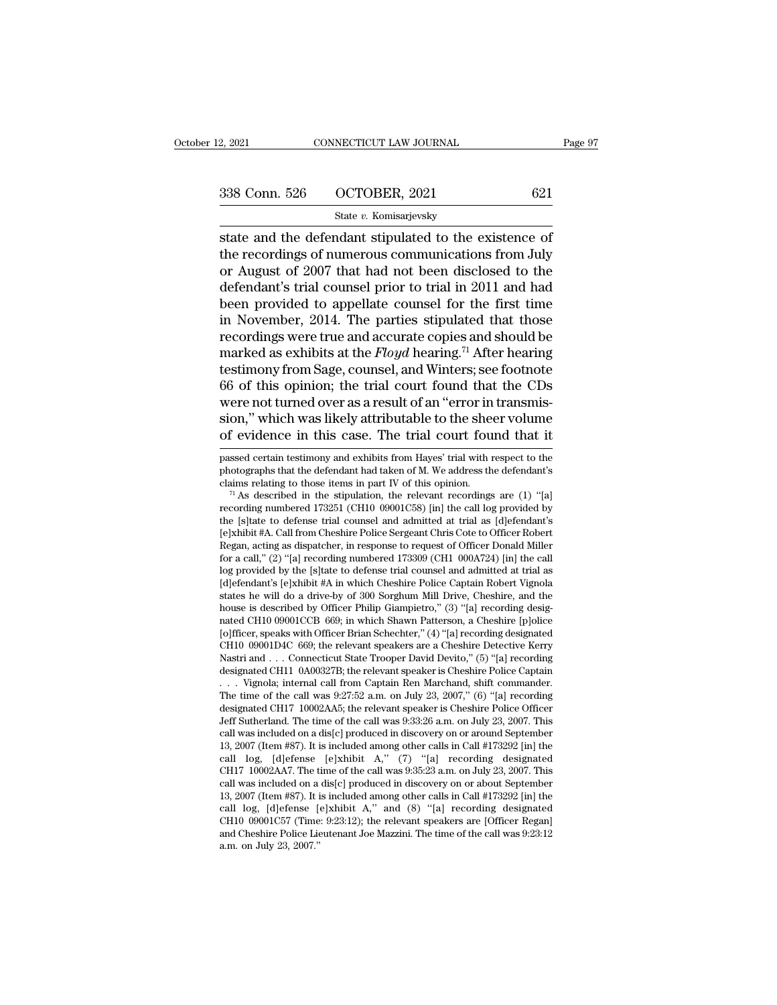| 2, 2021       | CONNECTICUT LAW JOURNAL | Page 97 |  |
|---------------|-------------------------|---------|--|
| 338 Conn. 526 | OCTOBER, 2021           | 621     |  |
|               | State v. Komisarjevsky  |         |  |

 $\begin{array}{r|l} \text{2, } 2021 \text{} & \text{CONRECTICUT LAW JOURNAL} \end{array}$  Page 9'<br>  $\begin{array}{r|l} \text{338 Conn. } 526 & \text{OCTOBER, } 2021 & \text{621} \end{array}$ <br>  $\begin{array}{r|l} \text{State } v. \text{ Komisarjevsky} \end{array}$ <br>
state and the defendant stipulated to the existence of<br>
the recordings of nu 338 Conn. 526 OCTOBER, 2021 621<br>
State v. Komisarjevsky<br>
State and the defendant stipulated to the existence of<br>
the recordings of numerous communications from July<br>
or August of 2007 that had not been disclosed to the<br>
d 338 Conn. 526 OCTOBER, 2021 621<br>
State v. Komisarjevsky<br>
state and the defendant stipulated to the existence of<br>
the recordings of numerous communications from July<br>
or August of 2007 that had not been disclosed to the<br>
d 338 Conn. 526 OCTOBER, 2021 621<br>
State v. Komisarjevsky<br>
state and the defendant stipulated to the existence of<br>
the recordings of numerous communications from July<br>
or August of 2007 that had not been disclosed to the<br>
d State and the defendant stipulated to the existence of<br>the recordings of numerous communications from July<br>or August of 2007 that had not been disclosed to the<br>defendant's trial counsel prior to trial in 2011 and had<br>been state and the defendant stipulated to the existence of<br>the recordings of numerous communications from July<br>or August of 2007 that had not been disclosed to the<br>defendant's trial counsel prior to trial in 2011 and had<br>been state and the defendant stipulated to the existence of<br>the recordings of numerous communications from July<br>or August of 2007 that had not been disclosed to the<br>defendant's trial counsel prior to trial in 2011 and had<br>been the recordings of numerous communications from July<br>or August of 2007 that had not been disclosed to the<br>defendant's trial counsel prior to trial in 2011 and had<br>been provided to appellate counsel for the first time<br>in Nov or August of 2007 that had not been disclosed to the<br>defendant's trial counsel prior to trial in 2011 and had<br>been provided to appellate counsel for the first time<br>in November, 2014. The parties stipulated that those<br>recor defendant's trial counsel prior to trial in 2011 and had<br>been provided to appellate counsel for the first time<br>in November, 2014. The parties stipulated that those<br>recordings were true and accurate copies and should be<br>mar been provided to appellate counsel for the first time<br>in November, 2014. The parties stipulated that those<br>recordings were true and accurate copies and should be<br>marked as exhibits at the *Floyd* hearing.<sup>71</sup> After hearin in November, 2014. The parties stipulated that those recordings were true and accurate copies and should be marked as exhibits at the  $Floyd$  hearing.<sup>71</sup> After hearing testimony from Sage, counsel, and Winters; see footnote recordings were true and accurate copies and should be<br>marked as exhibits at the *Floyd* hearing.<sup>71</sup> After hearing<br>testimony from Sage, counsel, and Winters; see footnote<br>66 of this opinion; the trial court found that the 66 of this opinion; the trial court found that the CDs<br>were not turned over as a result of an "error in transmis-<br>sion," which was likely attributable to the sheer volume<br>of evidence in this case. The trial court found th were not turned over as a result of an "error in transmission," which was likely attributable to the sheer volume<br>of evidence in this case. The trial court found that it<br>passed certain testimony and exhibits from Hayes' t claims relation of the stipulation of the sheer volume of evidence in this case. The trial court found that it passed certain testimony and exhibits from Hayes' trial with respect to the photographs that the defendant had

of evidence in this case. The trial court found that it passed certain testimony and exhibits from Hayes' trial with respect to the photographs that the defendant had taken of M. We address the defendant's claims relating passed certain testimony and exhibits from Hayes' trial with respect to the photographs that the defendant had taken of M. We address the defendant's claims relating to those items in part IV of this opinion.<br>
<sup>71</sup> As des passed certain testimony and exhibits from Hayes' trial with respect to the<br>photographs that the defendant had taken of M. We address the defendant's<br>claims relating to those items in part IV of this opinion.<br><sup>71</sup> As descr photographs that the defendant had taken of M. We address the defendant s<br>claims relating to those items in part IV of this opinion.<br><sup>71</sup> As described in the stipulation, the relevant recordings are (1) "[a]<br>recording numb claims relating to those items in part IV of this opinion.<br>
<sup>71</sup> As described in the stipulation, the relevant recordings are (1) "[a] recording numbered 173251 (CH10 09001C58) [in] the call log provided by the [s]tate to " As described in the stipulation, the relevant recordings are  $(1)$  "[a] recording numbered 173251 (CH10 09001C58) [in] the call log provided by the [s]tate to defense trial counsel and admitted at trial as [d]efendant's recording numbered 173251 (CH10 09001C58) [in] the call log provided by<br>the [s]tate to defense trial counsel and admitted at trial as [d]efendant's<br>[e]xhibit #A. Call from Cheshire Police Sergeant Chris Cote to Officer Rob the [s]tate to detense trial counsel and admitted at trial as [d]etendant's [e]xhibit#A. Call from Cheshire Police Sergeant Chris Cote to Officer Robert Regan, acting as dispatcher, in response to request of Officer Donald [e]xhibit #A. Call from Cheshire Police Sergeant Chris Cote to Officer Robert Regan, acting as dispatcher, in response to request of Officer Donald Miller for a call," (2) "[a] recording numbered 173309 (CH1 000A724) [in] Regan, acting as dispatcher, in response to request of Officer Donald Miller<br>for a call," (2) "[a] recording numbered 173309 (CH1 000A724) [in] the call<br>log provided by the [s]tate to defense trial counsel and admitted at for a call," (2) "[a] recording numbered 173309 (CH1 000A724) [in] the call log provided by the [s]tate to defense trial counsel and admitted at trial as [d]efendant's [e]xhibit #A in which Cheshire Police Captain Robert V log provided by the [s]tate to defense trial counsel and admitted at trial as [d]efendant's [e]xhibit #A in which Cheshire Police Captain Robert Vignola states he will do a drive-by of 300 Sorghum Mill Drive, Cheshire, and [d]etendant's [e]xhibit #A in which Cheshire Police Captain Robert Vignola<br>states he will do a drive-by of 300 Sorghum Mill Drive, Cheshire, and the<br>house is described by Officer Philip Giampietro," (3) "[a] recording desi states he will do a drive-by of 300 Sorghum Mill Drive, Cheshire, and the house is described by Officer Philip Giampietro," (3) "[a] recording designated CH10 09001CCB 669; in which Shawn Patterson, a Cheshire [p]olice [o] house is described by Officer Philip Giampietro," (3) "[a] recording designated CH10 09001CCB 669; in which Shawn Patterson, a Cheshire [p]olice [o]fficer, speaks with Officer Brian Schechter," (4) "[a] recording designate nated CH10 09001CCB 669; in which Shawn Patterson, a Cheshire [p]olice [o]fficer, speaks with Officer Brian Schechter," (4) "[a] recording designated CH10 09001D4C 669; the relevant speakers are a Cheshire Detective Kerry [0] Incer, speaks with Officer Brian Schechter," (4) "[a] recording designated CH10 09001D4C 669; the relevant speakers are a Cheshire Detective Kerry Nastri and . . . Connecticut State Trooper David Devito," (5) "[a] reco CHIO 0900ID4C 669; the relevant speakers are a Cheshire Detective Kerry<br>Nastri and . . . Connecticut State Trooper David Devito," (5) "[a] recording<br>designated CH11 0A00327B; the relevant speaker is Cheshire Police Captain Nastri and . . . Connecticut State Trooper David Devito," (5) "[a] recording<br>designated CH11 0A00327B; the relevant speaker is Cheshire Police Captain<br>. . . Vignola; internal call from Captain Ren Marchand, shift commande designated CH11 0A00327B; the relevant speaker is Cheshire Police Captain<br>
. . . Vignola; internal call from Captain Ren Marchand, shift commander.<br>
The time of the call was 9:27:52 a.m. on July 23, 2007," (6) "[a] recordi . . . Vignola; internal call from Captain Ren Marchand, shift commander.<br>The time of the call was 9:27:52 a.m. on July 23, 2007," (6) "[a] recording<br>designated CH17 10002AA5; the relevant speaker is Cheshire Police Officer The time of the call was 9:27:52 a.m. on July 23, 2007," (b) "[a] recording<br>designated CH17 10002AA5; the relevant speaker is Cheshire Police Officer<br>Jeff Sutherland. The time of the call was 9:33:26 a.m. on July 23, 2007 Jeff Sutherland. The time of the call was 9:33:26 a.m. on July 23, 2007. This call was included on a dis[c] produced in discovery on or around September 13, 2007 (Item #87). It is included among other calls in Call #17329 Jeff Sutherland. The time of the call was 9:33:26 a.m. on July 23, 2007. This call was included on a dis[c] produced in discovery on or around September 13, 2007 (Item #87). It is included among other calls in Call #17329 call was included on a dis[c] produced in discovery on or around September 13, 2007 (Item #87). It is included among other calls in Call #173292 [in] the call log, [d]efense [e]xhibit A," (7) "[a] recording designated CH1 13, 2007 (Item #87). It is included among other calls in Call #173292 [in] the call log, [d]efense [e]xhibit A," (7) "[a] recording designated CH17 10002AA7. The time of the call was 9:35:23 a.m. on July 23, 2007. This ca call log, [d]efense [e]xhibit A," (7) "[a] recording designated CH17 10002AA7. The time of the call was 9:35:23 a.m. on July 23, 2007. This call was included on a dis[c] produced in discovery on or about September 13, 200 CHT 10002AAT. The t<br>call was included on a<br>13, 2007 (Item #87). It is<br>call log, [d]efense [<br>CH10 09001C57 (Time<br>and Cheshire Police Lie<br>a.m. on July 23, 2007."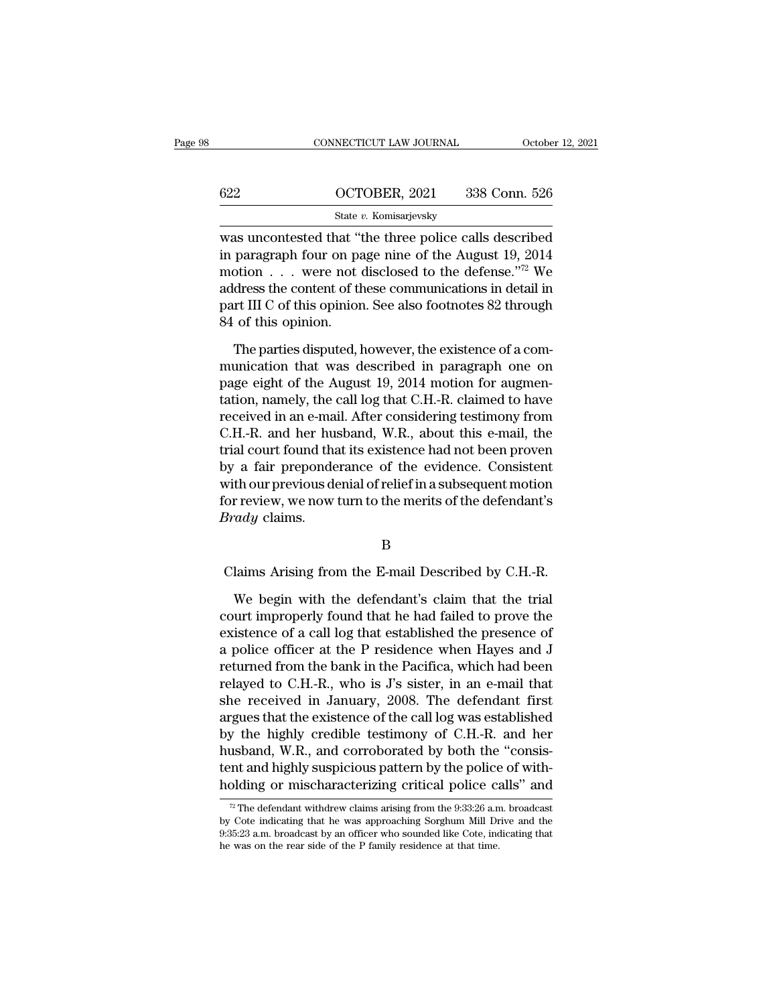|        | CONNECTICUT LAW JOURNAL                                                                                                                                     | October 12, 2021 |
|--------|-------------------------------------------------------------------------------------------------------------------------------------------------------------|------------------|
| 622    | OCTOBER, 2021                                                                                                                                               | 338 Conn. 526    |
|        | State v. Komisarjevsky                                                                                                                                      |                  |
| motion | was uncontested that "the three police calls described<br>in paragraph four on page nine of the August 19, 2014<br>wore not disclosed to the defense "72 We |                  |

622 OCTOBER, 2021 338 Conn. 526<br>
State v. Komisarjevsky<br>
Was uncontested that "the three police calls described<br>
in paragraph four on page nine of the August 19, 2014<br>
motion . . . were not disclosed to the defense."<sup>72</sup> 622 OCTOBER, 2021 338 Conn. 526<br>
State v. Komisarjevsky<br>
was uncontested that "the three police calls described<br>
in paragraph four on page nine of the August 19, 2014<br>
motion . . . were not disclosed to the defense."<sup>72</sup> 622 OCTOBER, 2021 338 Conn. 526<br>
State v. Komisarjevsky<br>
was uncontested that "the three police calls described<br>
in paragraph four on page nine of the August 19, 2014<br>
motion . . . were not disclosed to the defense."<sup>72</sup> State v. Komisarjevsky<br>was uncontested that "the three police calls described<br>in paragraph four on page nine of the August 19, 2014<br>motion . . . were not disclosed to the defense."<sup>72</sup> We<br>address the content of these comm  $\begin{array}{c} \text{state of the image is} \\ \text{was uncontexted that ``\`{}}\\ \text{in paragraph four on pa} \\ \text{motion . . . were not odd} \\ \text{address the content of the part III C of this opinion.} \\ \text{The parties disputed, !} \end{array}$ paragraph four on page nine of the August 19, 2014<br>otion . . . were not disclosed to the defense."<sup>72</sup> We<br>dress the content of these communications in detail in<br>rt III C of this opinion. See also footnotes 82 through<br>of t motion . . . were not disclosed to the defense."<sup>72</sup> We<br>address the content of these communications in detail in<br>part III C of this opinion. See also footnotes 82 through<br>84 of this opinion.<br>The parties disputed, however,

address the content of these communications in detail in part III C of this opinion. See also footnotes 82 through 84 of this opinion.<br>The parties disputed, however, the existence of a communication that was described in p part III C of this opinion. See also footnotes 82 through<br>84 of this opinion.<br>The parties disputed, however, the existence of a com-<br>munication that was described in paragraph one on<br>page eight of the August 19, 2014 motio For this opinion.<br>The parties disputed, however, the existence of a com-<br>munication that was described in paragraph one on<br>page eight of the August 19, 2014 motion for augmen-<br>tation, namely, the call log that C.H.-R. clai The parties disputed, however, the existence of a com-<br>munication that was described in paragraph one on<br>page eight of the August 19, 2014 motion for augmen-<br>tation, namely, the call log that C.H.-R. claimed to have<br>receiv The parties disputed, however, the existence of a com-<br>munication that was described in paragraph one on<br>page eight of the August 19, 2014 motion for augmen-<br>tation, namely, the call log that C.H.-R. claimed to have<br>receiv munication that was described in paragraph one on<br>page eight of the August 19, 2014 motion for augmen-<br>tation, namely, the call log that C.H.-R. claimed to have<br>received in an e-mail. After considering testimony from<br>C.H.page eight of the August 19, 2014 motion for augmentation, namely, the call log that C.H.-R. claimed to have<br>received in an e-mail. After considering testimony from<br>C.H.-R. and her husband, W.R., about this e-mail, the<br>tri tation, namely, the call log that C.H.-R. claimed to have<br>received in an e-mail. After considering testimony from<br>C.H.-R. and her husband, W.R., about this e-mail, the<br>trial court found that its existence had not been prov *Brady* claims. by a fair preponderance of the evidence. Consistent<br>with our previous denial of relief in a subsequent motion<br>for review, we now turn to the merits of the defendant's<br> $Brady$  claims.<br>B<br>Claims Arising from the E-mail Describe

# B

 $\Gamma$  review, we now turn to the merits of the defendant's<br>  $\Gamma$  ready claims.<br>  $\Gamma$ <br>  $\Gamma$ <br>  $\Gamma$ <br>  $\Gamma$ <br>  $\Gamma$ <br>  $\Gamma$ <br>  $\Gamma$ <br>  $\Gamma$ <br>  $\Gamma$ <br>  $\Gamma$  and  $\Gamma$  and  $\Gamma$ <br>  $\Gamma$  and  $\Gamma$ <br>  $\Gamma$  and  $\Gamma$  and  $\Gamma$ <br>  $\Gamma$  and  $\Gamma$ <br>  $\Gamma$  and Brady claims.<br>
B<br>
Claims Arising from the E-mail Described by C.H.-R.<br>
We begin with the defendant's claim that the trial<br>
court improperly found that he had failed to prove the<br>
existence of a call log that established th B<br>Claims Arising from the E-mail Described by C.H.-R.<br>We begin with the defendant's claim that the trial<br>court improperly found that he had failed to prove the<br>existence of a call log that established the presence of<br>a pol B<br>Claims Arising from the E-mail Described by C.H.-R.<br>We begin with the defendant's claim that the trial<br>court improperly found that he had failed to prove the<br>existence of a call log that established the presence of<br>a pol Claims Arising from the E-mail Described by C.H.-R.<br>We begin with the defendant's claim that the trial<br>court improperly found that he had failed to prove the<br>existence of a call log that established the presence of<br>a polic We begin with the defendant's claim that the trial<br>court improperly found that he had failed to prove the<br>existence of a call log that established the presence of<br>a police officer at the P residence when Hayes and J<br>return We begin with the defendant's claim that the trial<br>court improperly found that he had failed to prove the<br>existence of a call log that established the presence of<br>a police officer at the P residence when Hayes and J<br>retur court improperly found that he had failed to prove the<br>existence of a call log that established the presence of<br>a police officer at the P residence when Hayes and J<br>returned from the bank in the Pacifica, which had been<br>re existence of a call log that established the presence of<br>a police officer at the P residence when Hayes and J<br>returned from the bank in the Pacifica, which had been<br>relayed to C.H.-R., who is J's sister, in an e-mail that<br> a police officer at the P residence when Hayes and J<br>returned from the bank in the Pacifica, which had been<br>relayed to C.H.-R., who is J's sister, in an e-mail that<br>she received in January, 2008. The defendant first<br>argues returned from the bank in the Pacifica, which had been<br>relayed to C.H.-R., who is J's sister, in an e-mail that<br>she received in January, 2008. The defendant first<br>argues that the existence of the call log was established<br>b relayed to C.H.-R., who is J's sister, in an e-mail that<br>she received in January, 2008. The defendant first<br>argues that the existence of the call log was established<br>by the highly credible testimony of C.H.-R. and her<br>hus The defendant withdrew claims arising from the 9:33:26 a.m. broadcast with defendant withdrew claims arising from the 9:33:26 a.m. broadcast  $\frac{m}{\sqrt{2}}$  The defendant withdrew claims arising from the 9:33:26 a.m. broadca husband, W.R., and corroborated by both the "consistent and highly suspicious pattern by the police of with-<br>holding or mischaracterizing critical police calls" and<br><sup>72</sup> The defendant withdrew claims arising from the 9:33:

tent and highly suspicious pattern by the police of with-<br>holding or mischaracterizing critical police calls" and<br> $\frac{1}{2}$  The defendant withdrew claims arising from the 9:33:26 a.m. broadcast<br>by Cote indicating that he holding or mischaracterizing critical police calls" and<br> $\frac{1}{2}$ The defendant withdrew claims arising from the 9:33:26 a.m. broadcast<br>by Cote indicating that he was approaching Sorghum Mill Drive and the<br>9:35:23 a.m. bro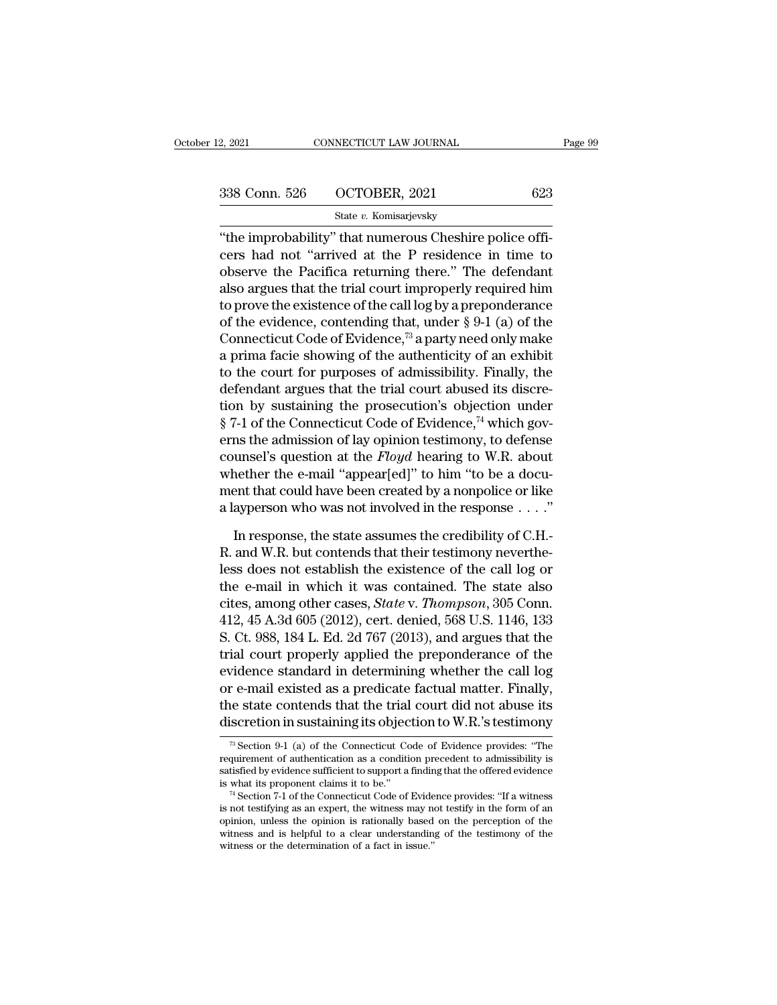2, 2021 CONNECTICUT LAW JOURNAL<br>
338 Conn. 526 OCTOBER, 2021 623<br>
5tate v. Komisarjevsky<br>
"the improbability" that numerous Cheshire police officers had not "arrived at the P residence in time to 338 Conn. 526 OCTOBER, 2021 623<br>
State v. Komisarjevsky<br>
"the improbability" that numerous Cheshire police officers had not "arrived at the P residence in time to observe the Pacifica returning there." The defendant 338 Conn. 526 OCTOBER, 2021 623<br>
State v. Komisarjevsky<br>
"the improbability" that numerous Cheshire police officers had not "arrived at the P residence in time to<br>
observe the Pacifica returning there." The defendant<br>
als 338 Conn. 526 OCTOBER, 2021 623<br>
State v. Komisarjevsky<br>
"the improbability" that numerous Cheshire police officers had not "arrived at the P residence in time to<br>
observe the Pacifica returning there." The defendant<br>
als State v. Komisarjevsky<br>
"the improbability" that numerous Cheshire police officers<br>
had not "arrived at the P residence in time to<br>
observe the Pacifica returning there." The defendant<br>
also argues that the trial court im state v. Kollisarjevsky<br>
"the improbability" that numerous Cheshire police officers<br>
had not "arrived at the P residence in time to<br>
observe the Pacifica returning there." The defendant<br>
also argues that the trial court i "the improbability" that numerous Cheshire police officers had not "arrived at the P residence in time to observe the Pacifica returning there." The defendant also argues that the trial court improperly required him to pr cers had not "arrived at the P residence in time to<br>observe the Pacifica returning there." The defendant<br>also argues that the trial court improperly required him<br>to prove the existence of the call log by a preponderance<br>o observe the Pacifica returning there." The defendant<br>also argues that the trial court improperly required him<br>to prove the existence of the call log by a preponderance<br>of the evidence, contending that, under  $\S 9-1$  (a) o also argues that the trial court improperly required him<br>to prove the existence of the call log by a preponderance<br>of the evidence, contending that, under § 9-1 (a) of the<br>Connecticut Code of Evidence,<sup>73</sup> a party need on to prove the existence of the call log by a preponderance<br>of the evidence, contending that, under § 9-1 (a) of the<br>Connecticut Code of Evidence,<sup>73</sup> a party need only make<br>a prima facie showing of the authenticity of an e % of the evidence, contending that, under § 9-1 (a) of the Connecticut Code of Evidence,<sup>73</sup> a party need only make a prima facie showing of the authenticity of an exhibit to the court for purposes of admissibility. Final Connecticut Code of Evidence,<sup>73</sup> a party need only make<br>a prima facie showing of the authenticity of an exhibit<br>to the court for purposes of admissibility. Finally, the<br>defendant argues that the trial court abused its di a prima facie showing of the authenticity of an exhibit<br>to the court for purposes of admissibility. Finally, the<br>defendant argues that the trial court abused its discre-<br>tion by sustaining the prosecution's objection under to the court for purposes of admissibility. Finally, the<br>defendant argues that the trial court abused its discre-<br>tion by sustaining the prosecution's objection under<br> $\S$  7-1 of the Connecticut Code of Evidence,<sup>74</sup> which defendant argues that the trial court abused its discretion by sustaining the prosecution's objection under  $\S 7$ -1 of the Connecticut Code of Evidence,<sup>74</sup> which governs the admission of lay opinion testimony, to defense tion by sustaining the prosecution's objection under  $\S$  7-1 of the Connecticut Code of Evidence,<sup>74</sup> which governs the admission of lay opinion testimony, to defense counsel's question at the *Floyd* hearing to W.R. abou In the admission of lay opinion testimony, to defense<br>unsel's question at the *Floyd* hearing to W.R. about<br>nether the e-mail "appear[ed]" to him "to be a docu-<br>ent that could have been created by a nonpolice or like<br>aype counsel's question at the *Floyd* hearing to W.R. about<br>whether the e-mail "appear[ed]" to him "to be a docu-<br>ment that could have been created by a nonpolice or like<br>a layperson who was not involved in the response  $\dots$ .

whether the e-mail "appear[ed]" to him "to be a document that could have been created by a nonpolice or like<br>a layperson who was not involved in the response  $\dots$ ."<br>In response, the state assumes the credibility of C.H.-<br> ment that could have been created by a nonpolice or like<br>a layperson who was not involved in the response . . . ."<br>In response, the state assumes the credibility of C.H.-<br>R. and W.R. but contends that their testimony neve a layperson who was not involved in the response  $\ldots$ ."<br>In response, the state assumes the credibility of C.H.-<br>R. and W.R. but contends that their testimony neverthe-<br>less does not establish the existence of the call lo In response, the state assumes the credibility of C.H.-<br>R. and W.R. but contends that their testimony neverthe-<br>less does not establish the existence of the call log or<br>the e-mail in which it was contained. The state also<br> In response, the state assumes the credibility of C.H.-<br>R. and W.R. but contends that their testimony neverthe-<br>less does not establish the existence of the call log or<br>the e-mail in which it was contained. The state also<br> R. and W.R. but contends that their testimony nevertheless does not establish the existence of the call log or<br>the e-mail in which it was contained. The state also<br>cites, among other cases, *State* v. *Thompson*, 305 Conn. less does not establish the existence of the call log or<br>the e-mail in which it was contained. The state also<br>cites, among other cases, *State* v. *Thompson*, 305 Conn.<br>412, 45 A.3d 605 (2012), cert. denied, 568 U.S. 1146, the e-mail in which it was contained. The state also<br>cites, among other cases, *State* v. *Thompson*, 305 Conn.<br>412, 45 A.3d 605 (2012), cert. denied, 568 U.S. 1146, 133<br>S. Ct. 988, 184 L. Ed. 2d 767 (2013), and argues th cites, among other cases, *State* v. *Thompson*, 305 Conn.<br>412, 45 A.3d 605 (2012), cert. denied, 568 U.S. 1146, 133<br>S. Ct. 988, 184 L. Ed. 2d 767 (2013), and argues that the<br>trial court properly applied the preponderance 412, 45 A.3d 605 (2012), cert. denied, 568 U.S. 1146, 133<br>S. Ct. 988, 184 L. Ed. 2d 767 (2013), and argues that the<br>trial court properly applied the preponderance of the<br>evidence standard in determining whether the call l r e-mail existed as a predicate factual matter. Finally,<br>re-mail existed as a predicate factual matter. Finally,<br>ne state contends that the trial court did not abuse its<br>iscretion in sustaining its objection to W.R.'s tes or e-mail existed as a predicate factual matter. Finally,<br>the state contends that the trial court did not abuse its<br>discretion in sustaining its objection to W.R.'s testimony<br> $\frac{1}{\sqrt{2}}$  Section 9-1 (a) of the Connecticu

the state contends that the trial court did not abuse its<br>discretion in sustaining its objection to W.R.'s testimony<br> $\frac{1}{\sqrt{2}}$  section 9-1 (a) of the Connecticut Code of Evidence provides: "The<br>requirement of authentic discretion in sustaining its objection to W.R.'s testimony<br> $\frac{1}{\sqrt{2}}$  Section 9-1 (a) of the Connecticut Code of Evidence provides: "The<br>requirement of authentication as a condition precedent to admissibility is<br>satisfi <sup>73</sup> Section 9-1 (a) of the Connecticut Code of Evidence provides: "The requirement of authentication as a condition precedent to admissibility is satisfied by evidence sufficient to support a finding that the offered evi

<sup>&</sup>lt;sup>16</sup> Section 9-1 (a) of the Connecticut Code of Evidence provides: "The requirement of authentication as a condition precedent to admissibility is satisfied by evidence sufficient to support a finding that the offered evi requirement of authentication as a condition precedent to admissibility is<br>satisfied by evidence sufficient to support a finding that the offered evidence<br>is what its proponent claims it to be."<br><sup>74</sup> Section 7-1 of the Con satisfied by evidence sufficient to support a finding that the offered evidence is what its proponent claims it to be.''<br><sup>74</sup> Section 7-1 of the Connecticut Code of Evidence provides: "If a witness is not testifying as an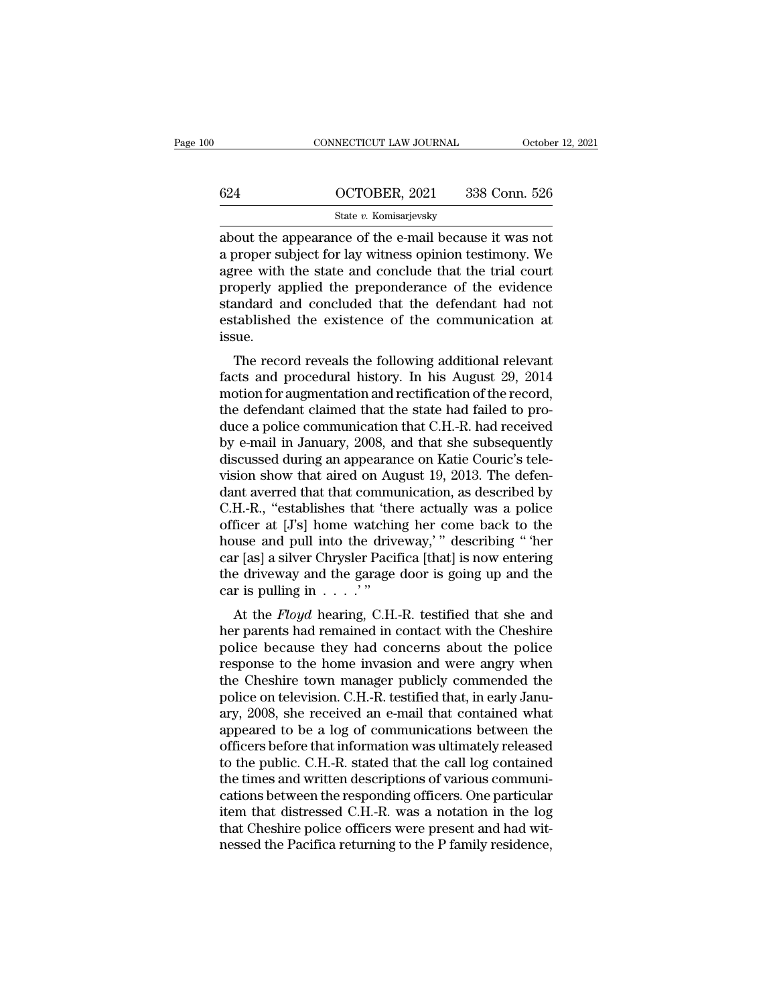|     | CONNECTICUT LAW JOURNAL                                                                                                                                                   | October 12, 2021 |
|-----|---------------------------------------------------------------------------------------------------------------------------------------------------------------------------|------------------|
|     |                                                                                                                                                                           |                  |
| 624 | OCTOBER, 2021                                                                                                                                                             | 338 Conn. 526    |
|     | State v. Komisarjevsky                                                                                                                                                    |                  |
|     | about the appearance of the e-mail because it was not<br>a proper subject for lay witness opinion testimony. We<br>agree with the state and conclude that the trial court |                  |

 $\begin{array}{r} \n 624 \quad \text{OCTOBER, 2021} \quad 338 \text{ Conn. } 526 \n \end{array}$ <br>  $\begin{array}{r} \text{State } v. \text{ Komisarjevsky} \\ \n about the appearance of the e-mail because it was not a proper subject for lay witness opinion testimony. We agree with the state and conclude that the trial court properly applied the propagance of the evidence. \n$ 624  $\frac{\text{OCTOBER, 2021}}{\text{State } v. \text{ Komisarjevsky}}$ <br>about the appearance of the e-mail because it was not<br>a proper subject for lay witness opinion testimony. We<br>agree with the state and conclude that the trial court<br>properly applied  $\frac{\text{624}}{\text{State } v. \text{ Komisarjevsky}}$ <br>
state  $v. \text{ Komisarjevsky}}$ <br>
about the appearance of the e-mail because it was not<br>
a proper subject for lay witness opinion testimony. We<br>
agree with the state and conclude that the trial court<br>
pr State v. Komisarjevsky<br>
state v. Komisarjevsky<br>
about the appearance of the e-mail because it was not<br>
a proper subject for lay witness opinion testimony. We<br>
agree with the state and conclude that the trial court<br>
proper state  $v$ . Komisarjevsky<br>about the appearance of the e-mail because it was not<br>a proper subject for lay witness opinion testimony. We<br>agree with the state and conclude that the trial court<br>properly applied the preponderan issue. The record reveals the following additional relevant<br>The record reveals and conclude that the trial court<br>operly applied the preponderance of the evidence<br>andard and concluded that the defendant had not<br>tablished the exist agree with the state and conclude that the trial court<br>properly applied the preponderance of the evidence<br>standard and concluded that the defendant had not<br>established the existence of the communication at<br>issue.<br>The recor

properly applied the preponderance of the evidence<br>standard and concluded that the defendant had not<br>established the existence of the communication at<br>issue.<br>The record reveals the following additional relevant<br>facts and standard and concluded that the defendant had not<br>established the existence of the communication at<br>issue.<br>The record reveals the following additional relevant<br>facts and procedural history. In his August 29, 2014<br>motion fo issue.<br>
The record reveals the following additional relevant<br>
facts and procedural history. In his August 29, 2014<br>
motion for augmentation and rectification of the record,<br>
the defendant claimed that the state had failed The record reveals the following additional relevant<br>facts and procedural history. In his August 29, 2014<br>motion for augmentation and rectification of the record,<br>the defendant claimed that the state had failed to pro-<br>du The record reveals the following additional relevant<br>facts and procedural history. In his August 29, 2014<br>motion for augmentation and rectification of the record,<br>the defendant claimed that the state had failed to pro-<br>duc facts and procedural history. In his August 29, 2014<br>motion for augmentation and rectification of the record,<br>the defendant claimed that the state had failed to pro-<br>duce a police communication that C.H.-R. had received<br>b motion for augmentation and rectification of the record,<br>the defendant claimed that the state had failed to pro-<br>duce a police communication that C.H.-R. had received<br>by e-mail in January, 2008, and that she subsequently<br>d the defendant claimed that the state had failed to produce a police communication that C.H.-R. had received<br>by e-mail in January, 2008, and that she subsequently<br>discussed during an appearance on Katie Couric's tele-<br>visio duce a police communication that C.H.-R. had received<br>by e-mail in January, 2008, and that she subsequently<br>discussed during an appearance on Katie Couric's tele-<br>vision show that aired on August 19, 2013. The defen-<br>dant by e-mail in January, 2008, and that she subsequently<br>discussed during an appearance on Katie Couric's tele-<br>vision show that aired on August 19, 2013. The defen-<br>dant averred that that communication, as described by<br>C.H.discussed during an appearance on Katie Couric's tele-<br>vision show that aired on August 19, 2013. The defen-<br>dant averred that that communication, as described by<br>C.H.-R., "establishes that "there actually was a police<br>off vision show that aired on August 19, 2013. The defen-<br>dant averred that that communication, as described by<br>C.H.-R., "establishes that 'there actually was a police<br>officer at [J's] home watching her come back to the<br>house dant averred that that communication, as described by C.H.-R., "establishes that 'there actually was a police officer at [J's] home watching her come back to the house and pull into the driveway,'" describing "'her car [a First, establishes that there actually was a police<br>ficer at [J's] home watching her come back to the<br>use and pull into the driveway,'" describing "'her<br>r [as] a silver Chrysler Pacifica [that] is now entering<br>e driveway buse and pull into the driveway,'" describing " her car [as] a silver Chrysler Pacifica [that] is now entering the driveway and the garage door is going up and the car is pulling in  $\ldots$ ."<br>At the *Floyd* hearing, C.H.-R.

police and pull into the diveway, describing then<br>car [as] a silver Chrysler Pacifica [that] is now entering<br>the driveway and the garage door is going up and the<br>car is pulling in  $\dots$ .<br>At the *Floyd* hearing, C.H.-R. tes Car [as] a silver Citiyster 1 actinca [that] is now entering<br>the driveway and the garage door is going up and the<br>car is pulling in  $\ldots$ .'"<br>At the *Floyd* hearing, C.H.-R. testified that she and<br>her parents had remained the diveway and the garage door is going up and the<br>car is pulling in  $\ldots$ ."<br>At the *Floyd* hearing, C.H.-R. testified that she and<br>her parents had remained in contact with the Cheshire<br>police because they had concerns a At the *Floyd* hearing, C.H.-R. testified that she and<br>her parents had remained in contact with the Cheshire<br>police because they had concerns about the police<br>response to the home invasion and were angry when<br>the Cheshire At the *Floyd* hearing, C.H.-R. testified that she and<br>her parents had remained in contact with the Cheshire<br>police because they had concerns about the police<br>response to the home invasion and were angry when<br>the Cheshire her parents had remained in contact with the Cheshire<br>police because they had concerns about the police<br>response to the home invasion and were angry when<br>the Cheshire town manager publicly commended the<br>police on televisio police because they had concerns about the police<br>response to the home invasion and were angry when<br>the Cheshire town manager publicly commended the<br>police on television. C.H.-R. testified that, in early Janu-<br>ary, 2008, s response to the home invasion and were angry when<br>the Cheshire town manager publicly commended the<br>police on television. C.H.-R. testified that, in early Janu-<br>ary, 2008, she received an e-mail that contained what<br>appeared the Cheshire town manager publicly commended the<br>police on television. C.H.-R. testified that, in early Janu-<br>ary, 2008, she received an e-mail that contained what<br>appeared to be a log of communications between the<br>officer police on television. C.H.-R. testified that, in early January, 2008, she received an e-mail that contained what appeared to be a log of communications between the officers before that information was ultimately released t ary, 2008, she received an e-mail that contained what<br>appeared to be a log of communications between the<br>officers before that information was ultimately released<br>to the public. C.H.-R. stated that the call log contained<br>th appeared to be a log of communications between the officers before that information was ultimately released to the public. C.H.-R. stated that the call log contained the times and written descriptions of various communicat officers before that information was ultimately released<br>to the public. C.H.-R. stated that the call log contained<br>the times and written descriptions of various communi-<br>cations between the responding officers. One particu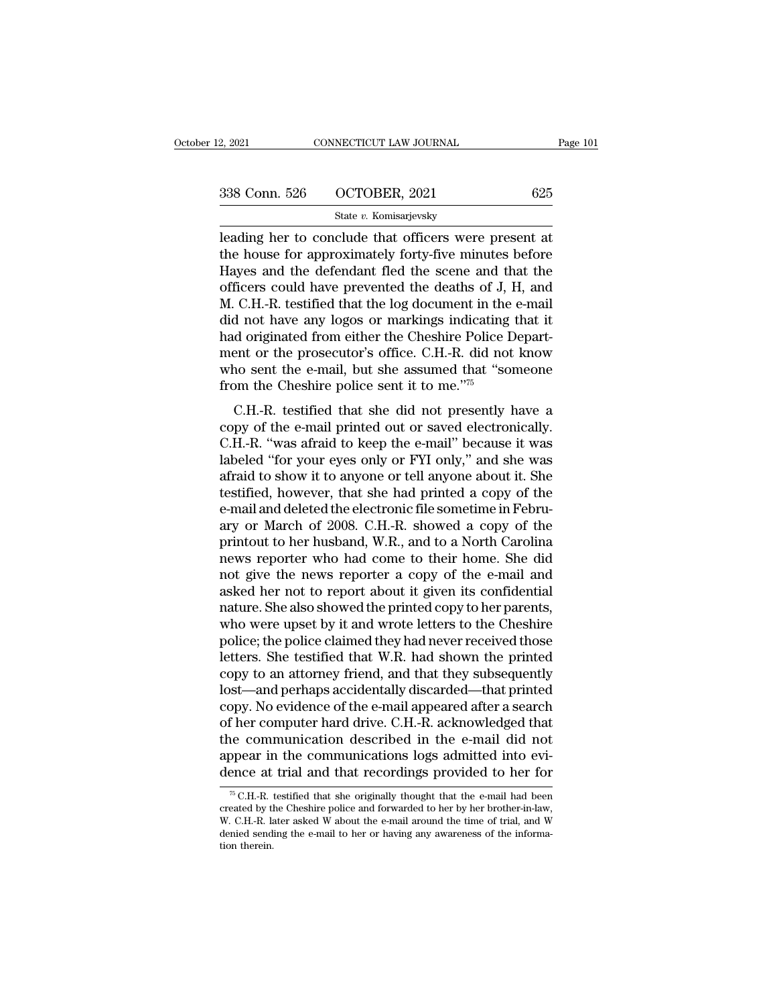| 12, 2021      | CONNECTICUT LAW JOURNAL | Page 101 |
|---------------|-------------------------|----------|
|               |                         |          |
| 338 Conn. 526 | OCTOBER, 2021           | 625      |
|               | State v. Komisarjevsky  |          |

2, 2021 CONNECTICUT LAW JOURNAL Page 10<br>  $\frac{338 \text{ Conn. } 526 \text{ } \text{OCTOBER, } 2021 \text{ } \text{ } 625}$ <br>  $\frac{\text{State } v. \text{ Komisarjevsky}}{\text{leading her to conclude that officers were present at}$ the house for approximately forty-five minutes before 338 Conn. 526 OCTOBER, 2021 625<br>
State v. Komisarjevsky<br>
leading her to conclude that officers were present at<br>
the house for approximately forty-five minutes before<br>
Hayes and the defendant fled the scene and that the<br>
o 338 Conn. 526 OCTOBER, 2021 625<br>
State v. Komisarjevsky<br>
leading her to conclude that officers were present at<br>
the house for approximately forty-five minutes before<br>
Hayes and the defendant fled the scene and that the<br>
o 338 Conn. 526 OCTOBER, 2021 625<br>
State v. Komisarjevsky<br>
leading her to conclude that officers were present at<br>
the house for approximately forty-five minutes before<br>
Hayes and the defendant fled the scene and that the<br>
o State v. Komisarjevsky<br>
leading her to conclude that officers were present at<br>
the house for approximately forty-five minutes before<br>
Hayes and the defendant fled the scene and that the<br>
officers could have prevented the d state v. Komsarjevsky<br>leading her to conclude that officers were present at<br>the house for approximately forty-five minutes before<br>Hayes and the defendant fled the scene and that the<br>officers could have prevented the death leading her to conclude that officers were present at<br>the house for approximately forty-five minutes before<br>Hayes and the defendant fled the scene and that the<br>officers could have prevented the deaths of J, H, and<br>M. C.H.the house for approximately forty-five minutes before<br>Hayes and the defendant fled the scene and that the<br>officers could have prevented the deaths of J, H, and<br>M. C.H.-R. testified that the log document in the e-mail<br>did n Hayes and the defendant fled the scene and that the officers could have prevented the deaths of J, H, and M. C.H.-R. testified that the log document in the e-mail did not have any logos or markings indicating that it had officers could have prevented the deaths of J, M. C.H.-R. testified that the log document in the did not have any logos or markings indicating had originated from either the Cheshire Police I ment or the prosecutor's offi d not have any logos or markings indicating that it<br>d originated from either the Cheshire Police Depart-<br>ent or the prosecutor's office. C.H.-R. did not know<br>no sent the e-mail, but she assumed that "someone<br>bm the Cheshi and not have any logos of markings indicating that it<br>had originated from either the Cheshire Police Depart-<br>ment or the prosecutor's office. C.H.-R. did not know<br>who sent the e-mail, but she assumed that "someone<br>from the

The mean of the prosecutor's office. C.H.-R. did not know<br>who sent the e-mail, but she assumed that "someone<br>from the Cheshire police sent it to me."<sup>75</sup><br>C.H.-R. testified that she did not presently have a<br>copy of the e-ma ment of the prosecutor's office. C.H.--R. did not know<br>who sent the e-mail, but she assumed that "someone<br>from the Cheshire police sent it to me."<sup>75</sup><br>C.H.-R. testified that she did not presently have a<br>copy of the e-mail who sent the e-mail, but she assumed that someone<br>from the Cheshire police sent it to me."<sup>75</sup><br>C.H.-R. testified that she did not presently have a<br>copy of the e-mail printed out or saved electronically.<br>C.H.-R. "was afrai C.H.-R. testified that she did not presently have a<br>copy of the e-mail printed out or saved electronically.<br>C.H.-R. "was afraid to keep the e-mail" because it was<br>labeled "for your eyes only or FYI only," and she was<br>afrai C.H.-R. testified that she did not presently have a<br>copy of the e-mail printed out or saved electronically.<br>C.H.-R. "was afraid to keep the e-mail" because it was<br>labeled "for your eyes only or FYI only," and she was<br>afrai copy of the e-mail printed out or saved electronically.<br>C.H.-R. "was afraid to keep the e-mail" because it was<br>labeled "for your eyes only or FYI only," and she was<br>afraid to show it to anyone or tell anyone about it. She<br> C.H.-R. "was afraid to keep the e-mail" because it was<br>labeled "for your eyes only or FYI only," and she was<br>afraid to show it to anyone or tell anyone about it. She<br>testified, however, that she had printed a copy of the<br>e labeled "for your eyes only or FYI only," and she was<br>afraid to show it to anyone or tell anyone about it. She<br>testified, however, that she had printed a copy of the<br>e-mail and deleted the electronic file sometime in Febru afraid to show it to anyone or tell anyone about it. She<br>testified, however, that she had printed a copy of the<br>e-mail and deleted the electronic file sometime in Febru-<br>ary or March of 2008. C.H.-R. showed a copy of the<br>p testified, however, that she had printed a copy of the<br>e-mail and deleted the electronic file sometime in Febru-<br>ary or March of 2008. C.H.-R. showed a copy of the<br>printout to her husband, W.R., and to a North Carolina<br>new e-mail and deleted the electronic file sometime in February or March of 2008. C.H.-R. showed a copy of the printout to her husband, W.R., and to a North Carolina news reporter who had come to their home. She did not give t ary or March of 2008. C.H.-R. showed a copy of the<br>printout to her husband, W.R., and to a North Carolina<br>news reporter who had come to their home. She did<br>not give the news reporter a copy of the e-mail and<br>asked her not printout to her husband, W.R., and to a North Carolina<br>news reporter who had come to their home. She did<br>not give the news reporter a copy of the e-mail and<br>asked her not to report about it given its confidential<br>nature. S news reporter who had come to their home. She did<br>not give the news reporter a copy of the e-mail and<br>asked her not to report about it given its confidential<br>nature. She also showed the printed copy to her parents,<br>who wer not give the news reporter a copy of the e-mail and<br>asked her not to report about it given its confidential<br>nature. She also showed the printed copy to her parents,<br>who were upset by it and wrote letters to the Cheshire<br>po asked her not to report about it given its confidential<br>nature. She also showed the printed copy to her parents,<br>who were upset by it and wrote letters to the Cheshire<br>police; the police claimed they had never received tho nature. She also showed the printed copy to her parents,<br>who were upset by it and wrote letters to the Cheshire<br>police; the police claimed they had never received those<br>letters. She testified that W.R. had shown the printe who were upset by it and wrote letters to the Cheshire<br>police; the police claimed they had never received those<br>letters. She testified that W.R. had shown the printed<br>copy to an attorney friend, and that they subsequently<br> police; the police claimed they had never received those<br>letters. She testified that W.R. had shown the printed<br>copy to an attorney friend, and that they subsequently<br>lost—and perhaps accidentally discarded—that printed<br>co letters. She testified that W.R. had shown the printed<br>copy to an attorney friend, and that they subsequently<br>lost—and perhaps accidentally discarded—that printed<br>copy. No evidence of the e-mail appeared after a search<br>of copy to an attorney friend, and that they subsequently<br>lost—and perhaps accidentally discarded—that printed<br>copy. No evidence of the e-mail appeared after a search<br>of her computer hard drive. C.H.-R. acknowledged that<br>the The communication described in the e-mail did not<br>pear in the communications logs admitted into evi-<br>ence at trial and that recordings provided to her for<br> $\frac{\pi}{6}$  C.H.-R. testified that she originally thought that the e the communication described in the e-mail did not appear in the communications logs admitted into evidence at trial and that recordings provided to her for  $\frac{}{^{75}$  C.H.-R. testified that she originally thought that the

appear in the communications logs admitted into evi-<br>dence at trial and that recordings provided to her for<br> $\frac{}{^{76}$  C.H.-R. testified that she originally thought that the e-mail had been<br>created by the Cheshire police appear in the communications logs admitted into evidence at trial and that recordings provided to her for  $\frac{}{^{76}$  C.H.-R. testified that she originally thought that the e-mail had been created by the Cheshire police an <sup>75</sup> C.H.-R. testified that she originally thought that the e-mail had been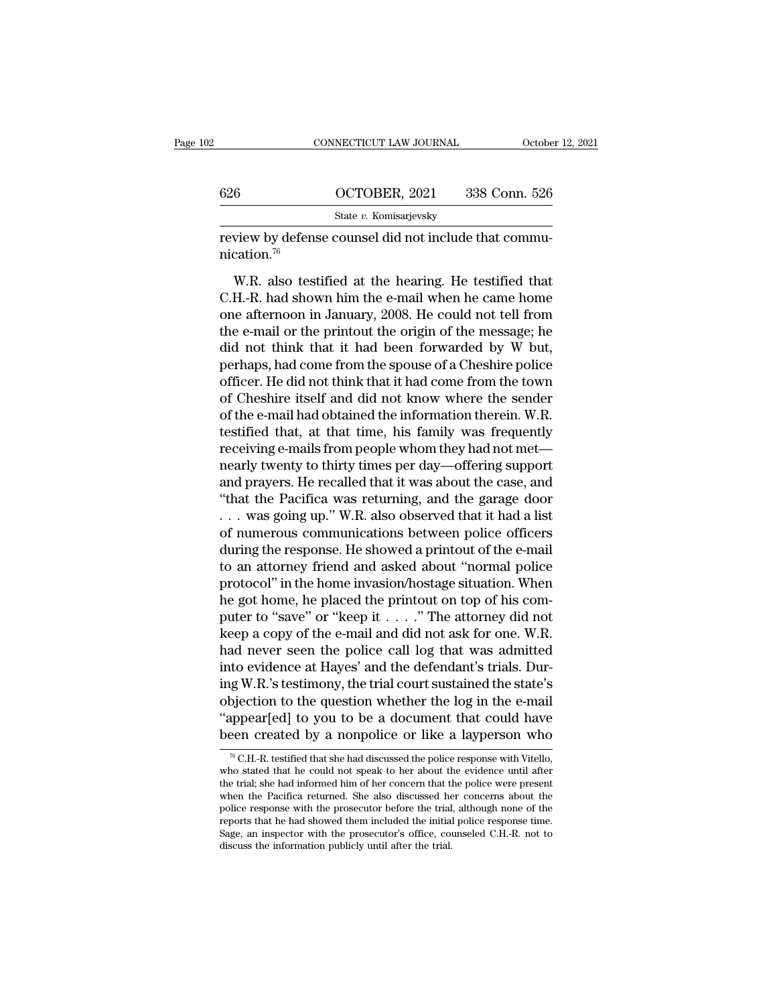|                         | CONNECTICUT LAW JOURNAL                                                                                     | October 12, 2021 |
|-------------------------|-------------------------------------------------------------------------------------------------------------|------------------|
|                         |                                                                                                             |                  |
| 626                     | OCTOBER, 2021                                                                                               | 338 Conn. 526    |
|                         | State v. Komisarjevsky                                                                                      |                  |
| nication. <sup>76</sup> | review by defense counsel did not include that commu-                                                       |                  |
|                         | W.R. also testified at the hearing. He testified that                                                       |                  |
|                         | C.H.-R. had shown him the e-mail when he came home<br>one ofternoon in January 2008. He could not toll from |                  |

 $\frac{626}{\text{State } v. \text{ Komisarjevsky}}$ <br>
State *v*. Komisarjevsky<br>
review by defense counsel did not include that communication.<sup>76</sup><br>
W.R. also testified at the hearing. He testified that<br>
C.H.-R. had shown him the e-mail when he came State v. Komisarjevsky<br>
review by defense counsel did not include that commu-<br>
nication.<sup>76</sup><br>
W.R. also testified at the hearing. He testified that<br>
C.H.-R. had shown him the e-mail when he came home<br>
one afternoon in Jan review by defense counsel did not include that communication.<sup>76</sup><br>W.R. also testified at the hearing. He testified that<br>C.H.-R. had shown him the e-mail when he came home<br>one afternoon in January, 2008. He could not tell M.R. also testified at the hearing. He testified that C.H.-R. had shown him the e-mail when he came home<br>one afternoon in January, 2008. He could not tell from<br>the e-mail or the printout the origin of the message; he<br>did W.R. also testified at the hearing. He testified that<br>C.H.-R. had shown him the e-mail when he came home<br>one afternoon in January, 2008. He could not tell from<br>the e-mail or the printout the origin of the message; he<br>did n W.R. also testified at the hearing. He testified that C.H.-R. had shown him the e-mail when he came home<br>one afternoon in January, 2008. He could not tell from<br>the e-mail or the printout the origin of the message; he<br>did n C.H.-R. had shown him the e-mail when he came home<br>one afternoon in January, 2008. He could not tell from<br>the e-mail or the printout the origin of the message; he<br>did not think that it had been forwarded by W but,<br>perhaps, one afternoon in January, 2008. He could not tell from<br>the e-mail or the printout the origin of the message; he<br>did not think that it had been forwarded by W but,<br>perhaps, had come from the spouse of a Cheshire police<br>offi the e-mail or the printout the origin of the message; he<br>did not think that it had been forwarded by W but,<br>perhaps, had come from the spouse of a Cheshire police<br>officer. He did not think that it had come from the town<br>of did not think that it had been forwarded by W but,<br>perhaps, had come from the spouse of a Cheshire police<br>officer. He did not think that it had come from the town<br>of Cheshire itself and did not know where the sender<br>of the perhaps, had come from the spouse of a Cheshire police<br>officer. He did not think that it had come from the town<br>of Cheshire itself and did not know where the sender<br>of the e-mail had obtained the information therein. W.R.<br> officer. He did not think that it had come from the town<br>of Cheshire itself and did not know where the sender<br>of the e-mail had obtained the information therein. W.R.<br>testified that, at that time, his family was frequently of Cheshire itself and did not know where the sender<br>of the e-mail had obtained the information therein. W.R.<br>testified that, at that time, his family was frequently<br>receiving e-mails from people whom they had not met—<br>nea of the e-mail had obtained the information therein. W.R.<br>testified that, at that time, his family was frequently<br>receiving e-mails from people whom they had not met—<br>nearly twenty to thirty times per day—offering support<br>a testified that, at that time, his family was frequently<br>receiving e-mails from people whom they had not met—<br>nearly twenty to thirty times per day—offering support<br>and prayers. He recalled that it was about the case, and<br>" receiving e-mails from people whom they had not met—<br>nearly twenty to thirty times per day—offering support<br>and prayers. He recalled that it was about the case, and<br>"that the Pacifica was returning, and the garage door<br>. . nearly twenty to thirty times per day—offering support<br>and prayers. He recalled that it was about the case, and<br>"that the Pacifica was returning, and the garage door<br>... was going up." W.R. also observed that it had a list and prayers. He recalled that it was about the case, and<br>
"that the Pacifica was returning, and the garage door<br>
... was going up." W.R. also observed that it had a list<br>
of numerous communications between police officers<br> "that the Pacifica was returning, and the garage door ... was going up." W.R. also observed that it had a list of numerous communications between police officers during the response. He showed a printout of the e-mail to ... was going up." W.R. also observed that it had a list<br>of numerous communications between police officers<br>during the response. He showed a printout of the e-mail<br>to an attorney friend and asked about "normal police<br>proto of numerous communications between police officers<br>during the response. He showed a printout of the e-mail<br>to an attorney friend and asked about "normal police<br>protocol" in the home invasion/hostage situation. When<br>he got during the response. He showed a printout of the e-mail<br>to an attorney friend and asked about "normal police<br>protocol" in the home invasion/hostage situation. When<br>he got home, he placed the printout on top of his com-<br>put to an attorney friend and asked about "normal police<br>protocol" in the home invasion/hostage situation. When<br>he got home, he placed the printout on top of his com-<br>puter to "save" or "keep it  $\dots$ ." The attorney did not<br>ke protocol" in the home invasion/hostage situation. When<br>he got home, he placed the printout on top of his com-<br>puter to "save" or "keep it  $\ldots$ ." The attorney did not<br>keep a copy of the e-mail and did not ask for one. W.R he got home, he placed the printout on top of his computer to "save" or "keep it  $\dots$ "." The attorney did not keep a copy of the e-mail and did not ask for one. W.R. had never seen the police call log that was admitted in puter to "save" or "keep it . . . ." The attorney did not<br>keep a copy of the e-mail and did not ask for one. W.R.<br>had never seen the police call log that was admitted<br>into evidence at Hayes' and the defendant's trials. Dur keep a copy of the e-mail and did not ask for one. W.R.<br>had never seen the police call log that was admitted<br>into evidence at Hayes' and the defendant's trials. Dur-<br>ing W.R.'s testimony, the trial court sustained the sta ig W.K. S testimony, the trial court sustained the state S<br>bjection to the question whether the log in the e-mail<br>appear[ed] to you to be a document that could have<br>een created by a nonpolice or like a layperson who<br> $\frac{1}{$ objection to the question whether the log in the e-mail "appear[ed] to you to be a document that could have been created by a nonpolice or like a layperson who  $\frac{1}{\pi}$  C.H.-R. testified that she had discussed the polic

<sup>&</sup>quot;appear[ed] to you to be a document that could have<br>been created by a nonpolice or like a layperson who<br> $\frac{1}{100}$   $\frac{1}{100}$   $\frac{1}{100}$   $\frac{1}{100}$   $\frac{1}{100}$   $\frac{1}{100}$   $\frac{1}{100}$   $\frac{1}{100}$   $\frac{1}{100}$   $\frac{1}{100$  $\frac{1}{100}$  and  $\frac{1}{100}$  by  $\frac{1}{100}$  by  $\frac{1}{100}$  by  $\frac{1}{100}$  and  $\frac{1}{100}$  of the alternative that count that count the  $\frac{1}{100}$  who stated that he could not speak to her about the evidence until after th been created by a nonpolice or like a layperson who<br>  $\frac{1}{100}$   $\frac{1}{100}$   $\frac{1}{100}$   $\frac{1}{100}$   $\frac{1}{100}$   $\frac{1}{100}$   $\frac{1}{100}$   $\frac{1}{100}$   $\frac{1}{100}$   $\frac{1}{100}$   $\frac{1}{100}$   $\frac{1}{100}$   $\frac{1}{100}$   $\frac{1}{100}$   $^{76}$  C.H.-R. testified that she had discussed the police response with Vitello, who stated that he could not speak to her about the evidence until after the trial; she had informed him of her concern that the police wer <sup>6</sup> C.H.-K. testined that she had discussed the police response with vitello, who stated that he could not speak to her about the evidence until after the trial; she had informed him of her concern that the police were pre who stated that he could not speak to her about the trial; she had informed him of her concern that the when the Pacifica returned. She also discussed he police response with the prosecutor before the trial reports that he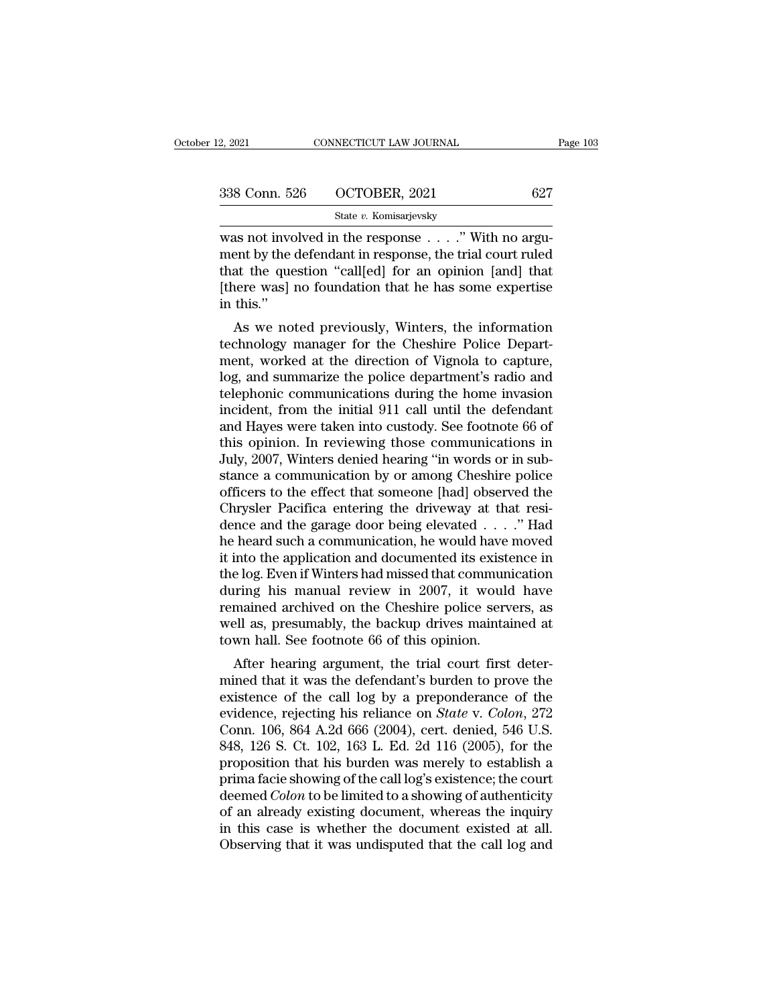| 2, 2021       | CONNECTICUT LAW JOURNAL | Page 103 |
|---------------|-------------------------|----------|
| 338 Conn. 526 | OCTOBER, 2021           | 627      |
|               | State v. Komisarjevsky  |          |

2, 2021 CONNECTICUT LAW JOURNAL<br>
338 Conn. 526 OCTOBER, 2021 627<br>
5tate v. Komisarjevsky<br>
was not involved in the response . . . .'' With no argu-<br>
ment by the defendant in response, the trial court ruled<br>
that the questio 338 Conn. 526 OCTOBER, 2021 627<br>State v. Komisarjevsky<br>was not involved in the response . . . ." With no argu-<br>ment by the defendant in response, the trial court ruled<br>that the question "call[ed] for an opinion [and] that<br> 338 Conn. 526 OCTOBER, 2021 627<br>
State v. Komisarjevsky<br>
was not involved in the response . . . . " With no argu-<br>
ment by the defendant in response, the trial court ruled<br>
that the question "call[ed] for an opinion [and] 338 Conn. 526 OCTOBER, 2021 627<br>
State v. Komisarjevsky<br>
was not involved in the response . . . . . " With no argu-<br>
ment by the defendant in response, the trial court ruled<br>
that the question "call[ed] for an opinion [an was not involved by the discrepancy of the discrepancy of the discrepancy of the discrepancy of the set of the set of the set of the set of the set of the set of the set of the set of the set of the set of the set of the s As not involved in the response  $\ldots$ ." With no arguent by the defendant in response, the trial court ruled<br>at the question "call[ed] for an opinion [and] that<br>here was] no foundation that he has some expertise<br>this."<br>As was not involved in the response  $\ldots$  with no argument by the defendant in response, the trial court ruled<br>that the question "call[ed] for an opinion [and] that<br>[there was] no foundation that he has some expertise<br>in thi

ment by the defendant in response, the trial court ruled<br>that the question "call[ed] for an opinion [and] that<br>[there was] no foundation that he has some expertise<br>in this."<br>As we noted previously, Winters, the information In the question can<br>people of an opinion paid intaker (there was) no foundation that he has some expertise<br>in this."<br>As we noted previously, Winters, the information<br>technology manager for the Cheshire Police Depart-<br>ment, the was no foundation that he has some experise<br>in this."<br>As we noted previously, Winters, the information<br>technology manager for the Cheshire Police Depart-<br>ment, worked at the direction of Vignola to capture,<br>log, and su In this.<br>
As we noted previously, Winters, the information<br>
technology manager for the Cheshire Police Depart-<br>
ment, worked at the direction of Vignola to capture,<br>
log, and summarize the police department's radio and<br>
te As we noted previously, Winters, the information<br>technology manager for the Cheshire Police Depart-<br>ment, worked at the direction of Vignola to capture,<br>log, and summarize the police department's radio and<br>telephonic comm technology manager for the Cheshire Police Department, worked at the direction of Vignola to capture,<br>log, and summarize the police department's radio and<br>telephonic communications during the home invasion<br>incident, from t ment, worked at the direction of Vignola to capture,<br>log, and summarize the police department's radio and<br>telephonic communications during the home invasion<br>incident, from the initial 911 call until the defendant<br>and Hayes log, and summarize the police department's radio and<br>telephonic communications during the home invasion<br>incident, from the initial 911 call until the defendant<br>and Hayes were taken into custody. See footnote 66 of<br>this opi telephonic communications during the home invasion<br>incident, from the initial 911 call until the defendant<br>and Hayes were taken into custody. See footnote 66 of<br>this opinion. In reviewing those communications in<br>July, 2007 incident, from the initial 911 call until the defendant<br>and Hayes were taken into custody. See footnote 66 of<br>this opinion. In reviewing those communications in<br>July, 2007, Winters denied hearing "in words or in sub-<br>stan and Hayes were taken into custody. See footnote 66 of<br>this opinion. In reviewing those communications in<br>July, 2007, Winters denied hearing "in words or in sub-<br>stance a communication by or among Cheshire police<br>officers t this opinion. In reviewing those communications in<br>July, 2007, Winters denied hearing "in words or in substance a communication by or among Cheshire police<br>officers to the effect that someone [had] observed the<br>Chrysler Pa July, 2007, Winters denied hearing "in words or in substance a communication by or among Cheshire police<br>officers to the effect that someone [had] observed the<br>Chrysler Pacifica entering the driveway at that resi-<br>dence an stance a communication by or among Cheshire police<br>officers to the effect that someone [had] observed the<br>Chrysler Pacifica entering the driveway at that resi-<br>dence and the garage door being elevated  $\ldots$ ." Had<br>he heard officers to the effect that someone [had] observed the<br>Chrysler Pacifica entering the driveway at that resi-<br>dence and the garage door being elevated . . . ." Had<br>he heard such a communication, he would have moved<br>it into Chrysler Pacifica entering the driveway at that residence and the garage door being elevated  $\ldots$ ." Had<br>he heard such a communication, he would have moved<br>it into the application and documented its existence in<br>the log. dence and the garage door being elevated  $\ldots$ ." Had<br>he heard such a communication, he would have moved<br>it into the application and documented its existence in<br>the log. Even if Winters had missed that communication<br>during he heard such a communication, he would have<br>it into the application and documented its existe<br>the log. Even if Winters had missed that commun<br>during his manual review in 2007, it would<br>remained archived on the Cheshire po Into the application and documented its existence in<br>e log. Even if Winters had missed that communication<br>tring his manual review in 2007, it would have<br>mained archived on the Cheshire police servers, as<br>ell as, presumably the log. Even if whitels had hissed that communication<br>during his manual review in 2007, it would have<br>remained archived on the Cheshire police servers, as<br>well as, presumably, the backup drives maintained at<br>town hall. Se

during his inalidar review in 2007, it would have<br>remained archived on the Cheshire police servers, as<br>well as, presumably, the backup drives maintained at<br>town hall. See footnote 66 of this opinion.<br>After hearing argumen rentanted archived on the Cheshire poince servers, as<br>well as, presumably, the backup drives maintained at<br>town hall. See footnote 66 of this opinion.<br>After hearing argument, the trial court first deter-<br>mined that it was wen as, presumably, the backup urves maintained at<br>town hall. See footnote 66 of this opinion.<br>After hearing argument, the trial court first deter-<br>mined that it was the defendant's burden to prove the<br>existence of the cal Example 126. After hearing argument, the trial court first deter-<br>mined that it was the defendant's burden to prove the<br>existence of the call log by a preponderance of the<br>evidence, rejecting his reliance on *State* v. *C* After hearing argument, the trial court first deter-<br>mined that it was the defendant's burden to prove the<br>existence of the call log by a preponderance of the<br>evidence, rejecting his reliance on *State* v. *Colon*, 272<br>Co mined that it was the defendant's burden to prove the existence of the call log by a preponderance of the evidence, rejecting his reliance on *State* v. *Colon*, 272 Conn. 106, 864 A.2d 666 (2004), cert. denied, 546 U.S. existence of the call log by a preponderance of the<br>evidence, rejecting his reliance on *State* v. *Colon*, 272<br>Conn. 106, 864 A.2d 666 (2004), cert. denied, 546 U.S.<br>848, 126 S. Ct. 102, 163 L. Ed. 2d 116 (2005), for the<br> evidence, rejecting his reliance on *State* v. *Colon*, 272<br>Conn. 106, 864 A.2d 666 (2004), cert. denied, 546 U.S.<br>848, 126 S. Ct. 102, 163 L. Ed. 2d 116 (2005), for the<br>proposition that his burden was merely to establish Conn. 106, 864 A.2d 666 (2004), cert. denied, 546 U.S.<br>848, 126 S. Ct. 102, 163 L. Ed. 2d 116 (2005), for the<br>proposition that his burden was merely to establish a<br>prima facie showing of the call log's existence; the court 848, 126 S. Ct. 102, 163 L. Ed. 2d 116 (2005), for the proposition that his burden was merely to establish a prima facie showing of the call log's existence; the court deemed *Colon* to be limited to a showing of authentic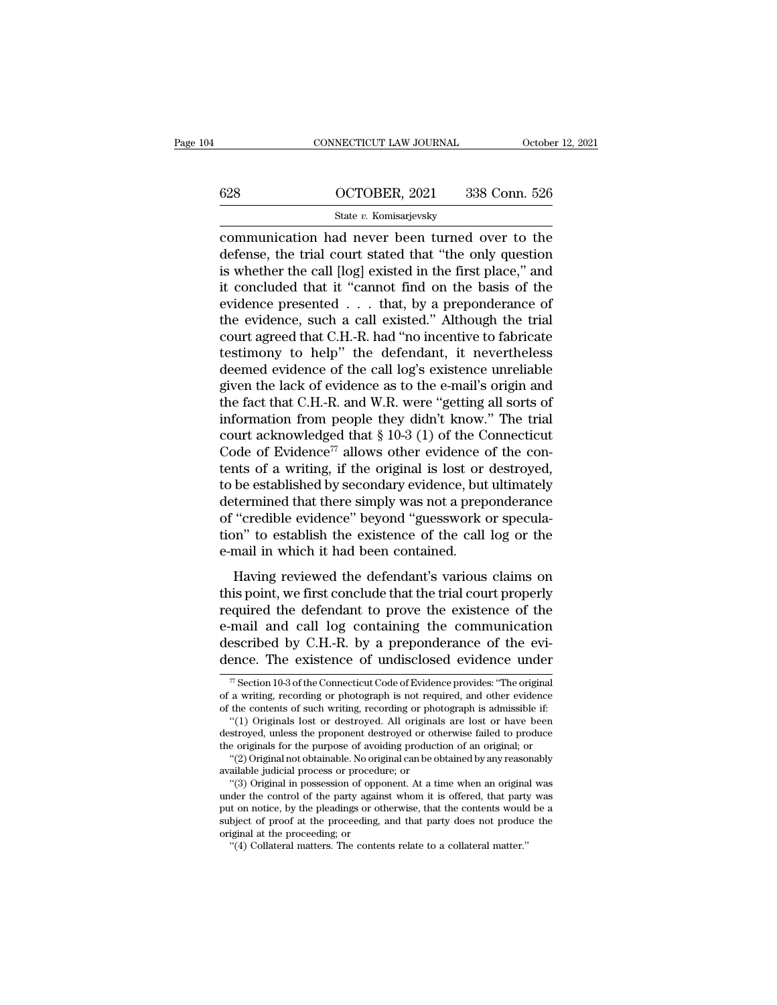# CONNECTICUT LAW JOURNAL October 12, 2021<br>628 OCTOBER, 2021 338 Conn. 526<br>State v. Komisarjevsky

# State *v.* Komisarjevsky

CONNECTICUT LAW JOURNAL October 12, 2021<br>
CONNECTICUT LAW JOURNAL October 12, 2021<br>
State v. Komisarjevsky<br>
COMMUNICATION had never been turned over to the<br>
defense, the trial court stated that "the only question<br>
is wheth 628 OCTOBER, 2021 338 Conn. 526<br>
State v. Komisarjevsky<br>
communication had never been turned over to the<br>
defense, the trial court stated that "the only question<br>
is whether the call [log] existed in the first place," and<br> 628 OCTOBER, 2021 338 Conn. 526<br>
State v. Komisarjevsky<br>
communication had never been turned over to the<br>
defense, the trial court stated that "the only question<br>
is whether the call [log] existed in the first place," and 628 **COCTOBER, 2021** 338 Conn. 526<br>
State v. Komisarjevsky<br>
communication had never been turned over to the<br>
defense, the trial court stated that "the only question<br>
is whether the call [log] existed in the first place," State v. Komisarjevsky<br>
communication had never been turned over to the<br>
defense, the trial court stated that "the only question<br>
is whether the call [log] existed in the first place," and<br>
it concluded that it "cannot fi State v. Komsarjevsky<br>
communication had never been turned over to the<br>
defense, the trial court stated that "the only question<br>
is whether the call [log] existed in the first place," and<br>
it concluded that it "cannot fin communication had never been turned over to the<br>defense, the trial court stated that "the only question<br>is whether the call [log] existed in the first place," and<br>it concluded that it "cannot find on the basis of the<br>evide defense, the trial court stated that "the only question<br>is whether the call [log] existed in the first place," and<br>it concluded that it "cannot find on the basis of the<br>evidence presented . . . that, by a preponderance of<br> is whether the call [log] existed in the first place," and<br>it concluded that it "cannot find on the basis of the<br>evidence presented  $\ldots$  that, by a preponderance of<br>the evidence, such a call existed." Although the trial<br> it concluded that it "cannot find on the basis of the evidence presented  $\ldots$  that, by a preponderance of the evidence, such a call existed." Although the trial court agreed that C.H.-R. had "no incentive to fabricate te evidence presented . . . that, by a preponderance of<br>the evidence, such a call existed." Although the trial<br>court agreed that C.H.-R. had "no incentive to fabricate<br>testimony to help" the defendant, it nevertheless<br>deemed the evidence, such a call existed." Although the trial<br>court agreed that C.H.-R. had "no incentive to fabricate<br>testimony to help" the defendant, it nevertheless<br>deemed evidence of the call log's existence unreliable<br>given court agreed that C.H.-R. had "no incentive to fabricate<br>testimony to help" the defendant, it nevertheless<br>deemed evidence of the call log's existence unreliable<br>given the lack of evidence as to the e-mail's origin and<br>th testimony to help" the defendant, it nevertheless<br>deemed evidence of the call log's existence unreliable<br>given the lack of evidence as to the e-mail's origin and<br>the fact that C.H.-R. and W.R. were "getting all sorts of<br>i deemed evidence of the call log's existence unreliable<br>given the lack of evidence as to the e-mail's origin and<br>the fact that C.H.-R. and W.R. were "getting all sorts of<br>information from people they didn't know." The tria given the lack of evidence as to the e-mail's origin and<br>the fact that C.H.-R. and W.R. were "getting all sorts of<br>information from people they didn't know." The trial<br>court acknowledged that § 10-3 (1) of the Connecticut<br> the fact that C.H.-R. and W.R. were "getting all sorts of<br>information from people they didn't know." The trial<br>court acknowledged that  $\S 10-3 (1)$  of the Connecticut<br>Code of Evidence<sup>77</sup> allows other evidence of the con-<br> information from people they didn't know." The trial<br>court acknowledged that  $\S 10-3$  (1) of the Connecticut<br>Code of Evidence<sup>77</sup> allows other evidence of the con-<br>tents of a writing, if the original is lost or destroyed, court acknowledged that  $\S$  10-3 (1) of the Connecticut<br>Code of Evidence<sup>77</sup> allows other evidence of the con-<br>tents of a writing, if the original is lost or destroyed,<br>to be established by secondary evidence, but ultimat Code of Evidence<sup> $77$ </sup> allows other evidence  $\alpha$  tents of a writing, if the original is lost or to be established by secondary evidence, but determined that there simply was not a prep of "credible evidence" beyond "gues Having reviewed the defendant's various classic expective termined that there simply was not a preponderance<br>
"credible evidence" beyond "guesswork or specula-<br>
n" to establish the existence of the call log or the<br>
mail in to be established by secondary evidence; but diamately<br>determined that there simply was not a preponderance<br>of "credible evidence" beyond "guesswork or specula-<br>tion" to establish the existence of the call log or the<br>e-mai

reflible evidence" beyond "guesswork or specula-<br>tion" to establish the existence of the call log or the<br>e-mail in which it had been contained.<br>Having reviewed the defendant's various claims on<br>this point, we first conclud of crease evidence beyond gates work of specula-<br>tion" to establish the existence of the call log or the<br>e-mail in which it had been contained.<br>Having reviewed the defendant's various claims on<br>this point, we first conclud described by C.H.-R. by a preponderance of the evi-<br>description of this point, we first conclude that the trial court properly<br>required the defendant to prove the existence of the<br>e-mail and call log containing the communi Having reviewed the defendant's various claims on<br>this point, we first conclude that the trial court properly<br>required the defendant to prove the existence of the<br>e-mail and call log containing the communication<br>described equired the defendant to prove the existence of the<br>mail and call log containing the communication<br>escribed by C.H.-R. by a preponderance of the evi-<br>ence. The existence of undisclosed evidence under<br> $\pi$  section 10-3 of e-mail and call log containing the communication<br>described by C.H.-R. by a preponderance of the evi-<br>dence. The existence of undisclosed evidence under<br> $\pi$  Section 10-3 of the Connecticut Code of Evidence provides: "The described by C.H.-R. by a preponderance of the evidence. The existence of undisclosed evidence under  $\pi$  Section 10-3 of the Connecticut Code of Evidence provides: "The original of a writing, recording or photograph is n

 $\overline{m}$  Section 10-3 of the Connecticut Code of Evidence provides: "The original  $\overline{m}$  Section 10-3 of the Connecticut Code of Evidence provides: "The original a writing, recording or photograph is not required, and o

dence. The existence of undisclosed evidence under<br>  $\pi$  Section 10-3 of the Connecticut Code of Evidence provides: "The original<br>
of a writing, recording or photograph is not required, and other evidence<br>
of the contents <sup>77</sup> Section 10-3 of the Connecticut Code of Evidence provides: "The original of a writing, recording or photograph is not required, and other evidence of the contents of such writing, recording or photograph is admissibl " Section 10-3 of the Connecticut Code of Evidence provides: "The original<br>a writing, recording or photograph is not required, and other evidence<br>the contents of such writing, recording or photograph is admissible if:<br>"(1) or a writing, recording or photograph is not required of the contents of such writing, recording or photo "(1) Originals lost or destroyed. All originals destroyed, unless the proponent destroyed or other the originals for the contents of such writing, recording or photograph is admissible if:<br>"(1) Originals lost or destroyed. All originals are lost or have been<br>stroyed, unless the proponent destroyed or otherwise failed to produce<br>e origina

<sup>&</sup>quot;(1) Originals lost or destroyed. All originals are lost or have been<br>destroyed, unless the proponent destroyed or otherwise failed to produce<br>the originals for the purpose of avoiding production of an original; or<br>"(2) O destroyed, unless the proponent destroyed or otherwise failed to produce<br>the originals for the purpose of avoiding production of an original; or<br>"(2) Original not obtainable. No original can be obtained by any reasonably<br>a the originals for the purpose of avoiding production of an original; or<br>
"(2) Original not obtainable. No original can be obtained by any reasonably<br>
available judicial process or procedure; or<br>
"(3) Original in possession available judicial process or procedure; or<br>"(3) Original in possession of opponent. At a time when an original was<br>under the control of the party against whom it is offered, that party was<br>put on notice, by the pleadings under the control of the party against whom it is offered, that party was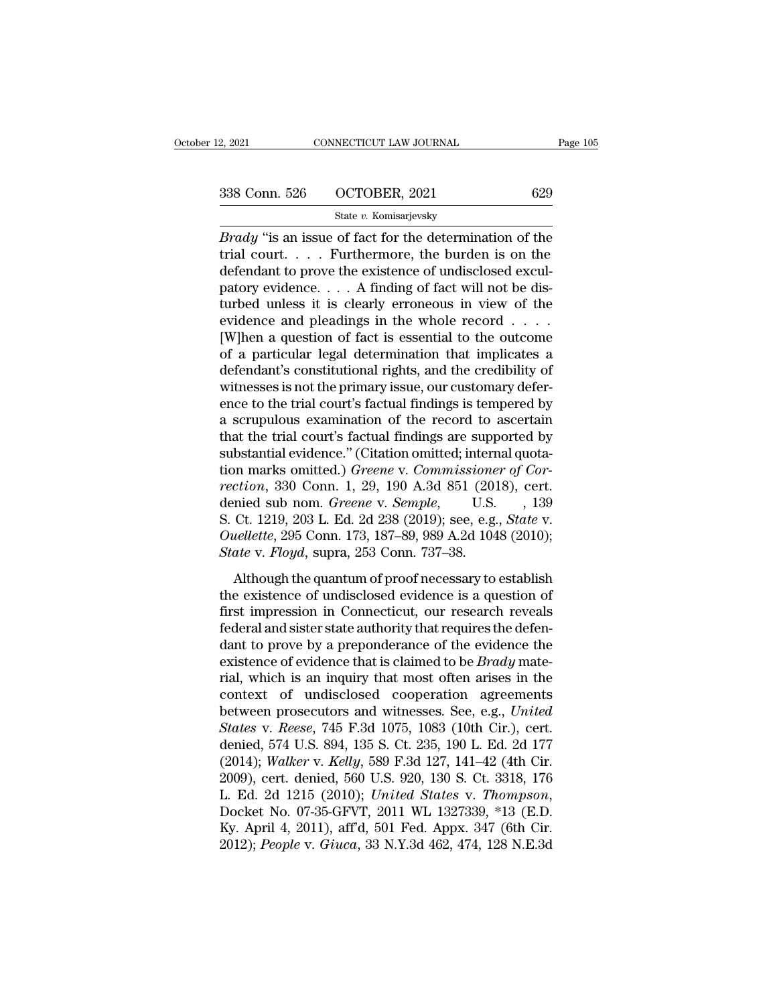| 2, 2021       | CONNECTICUT LAW JOURNAL | Page 105 |
|---------------|-------------------------|----------|
| 338 Conn. 526 | OCTOBER, 2021           | 629      |
|               | State v. Komisarjevsky  |          |

<sup>2, 2021</sup> CONNECTICUT LAW JOURNAL Page 105<br> **Brady** ''is an issue of fact for the determination of the<br> **Brady** "is an issue of fact for the determination of the<br>
trial court.... Furthermore, the burden is on the<br>
defenden 338 Conn. 526 OCTOBER, 2021 629<br>
State v. Komisarjevsky<br>
Brady "is an issue of fact for the determination of the<br>
trial court..... Furthermore, the burden is on the<br>
defendant to prove the existence of undisclosed excul-<br> 338 Conn. 526 OCTOBER, 2021 629<br>
State v. Komisarjevsky<br>
Brady "is an issue of fact for the determination of the<br>
trial court.... Furthermore, the burden is on the<br>
defendant to prove the existence of undisclosed excul-<br> 338 Conn. 526 OCTOBER, 2021 629<br>
State v. Komisarjevsky<br>
Brady "is an issue of fact for the determination of the<br>
trial court.... Furthermore, the burden is on the<br>
defendant to prove the existence of undisclosed excul-<br> State v. Komisarjevsky<br>
Brady "is an issue of fact for the determination of the<br>
trial court.... Furthermore, the burden is on the<br>
defendant to prove the existence of undisclosed excul-<br>
patory evidence.... A finding of Example 1983<br>
For any "is an issue of fact for the determination of the<br>
trial court.... Furthermore, the burden is on the<br>
defendant to prove the existence of undisclosed excul-<br>
patory evidence.... A finding of fact wil *Brady* "is an issue of fact for the determination of the trial court.... Furthermore, the burden is on the defendant to prove the existence of undisclosed exculpatory evidence.... A finding of fact will not be disturbed trial court. . . . . Furthermore, the burden is on the defendant to prove the existence of undisclosed exculpatory evidence. . . . A finding of fact will not be disturbed unless it is clearly erroneous in view of the evid defendant to prove the existence of undisclosed excul-<br>patory evidence.... A finding of fact will not be dis-<br>turbed unless it is clearly erroneous in view of the<br>evidence and pleadings in the whole record ....<br>[W]hen a q patory evidence.  $\dots$  A finding of fact will not be disturbed unless it is clearly erroneous in view of the evidence and pleadings in the whole record  $\dots$ . [W]hen a question of fact is essential to the outcome of a parti turbed unless it is clearly erroneous in view of the<br>evidence and pleadings in the whole record  $\dots$ <br>[W]hen a question of fact is essential to the outcome<br>of a particular legal determination that implicates a<br>defendant's evidence and pleadings in the whole record  $\dots$ <br>[W]hen a question of fact is essential to the outcome<br>of a particular legal determination that implicates a<br>defendant's constitutional rights, and the credibility of<br>witness [W]hen a question of fact is essential to the outcome<br>of a particular legal determination that implicates a<br>defendant's constitutional rights, and the credibility of<br>witnesses is not the primary issue, our customary deferof a particular legal determination that implicates a<br>defendant's constitutional rights, and the credibility of<br>witnesses is not the primary issue, our customary defer-<br>ence to the trial court's factual findings is temper defendant's constitutional rights, and the credibility of<br>witnesses is not the primary issue, our customary defer-<br>ence to the trial court's factual findings is tempered by<br>a scrupulous examination of the record to ascerta witnesses is not the primary issue, our customary deference to the trial court's factual findings is tempered by<br>a scrupulous examination of the record to ascertain<br>that the trial court's factual findings are supported by<br> ence to the trial court's factual findings is tempered by<br>a scrupulous examination of the record to ascertain<br>that the trial court's factual findings are supported by<br>substantial evidence." (Citation omitted; internal quot a scrupulous examination of the record to ascertain<br>that the trial court's factual findings are supported by<br>substantial evidence." (Citation omitted; internal quota-<br>tion marks omitted.) *Greene* v. *Commissioner of Cor*that the trial court's factual findings are supported by<br>substantial evidence." (Citation omitted; internal quota-<br>tion marks omitted.) *Greene* v. *Commissioner of Cor-*<br>rection, 330 Conn. 1, 29, 190 A.3d 851 (2018), cert substantial evidence." (Citation omitted; interreform marks omitted.) *Greene* v. *Commissione* rection, 330 Conn. 1, 29, 190 A.3d 851 (20) denied sub nom. *Greene* v. *Semple*, U.S. S. Ct. 1219, 203 L. Ed. 2d 238 (2019); *Although the quantum of proof necessary to establish* existence 330 Conn. 1, 29, 190 A.3d 851 (2018), cert.<br>
mied sub nom. *Greene* v. *Semple*, U.S., 139<br>
Ct. 1219, 203 L. Ed. 2d 238 (2019); see, e.g., *State* v.<br> *uell* tection, see comment, the existence of undisclosed evidence is a question of first impression in Connection of the existence of undisclosed evidence is a question of first impression in Connecticut, our research reveals f

S. Ct. 1219, 203 L. Ed. 2d 238 (2019); see, e.g., *State v.*<br>Ouellette, 295 Conn. 173, 187–89, 989 A.2d 1048 (2010);<br>*State v. Floyd*, supra, 253 Conn. 737–38.<br>Although the quantum of proof necessary to establish<br>the exis *S. C. 1219, 200 L. Ed. 2d 200 (2019), See, e.g., State V.*<br> *Ouellette, 295 Conn. 173, 187–89, 989 A.2d 1048 (2010);*<br> *State v. Floyd,* supra, 253 Conn. 737–38.<br>
Although the quantum of proof necessary to establish<br>
the State v. Floyd, supra, 253 Conn. 737–38.<br>
Although the quantum of proof necessary to establish<br>
the existence of undisclosed evidence is a question of<br>
first impression in Connecticut, our research reveals<br>
federal and si Although the quantum of proof necessary to establish<br>the existence of undisclosed evidence is a question of<br>first impression in Connecticut, our research reveals<br>federal and sister state authority that requires the defen-<br> Although the quantum of proof necessary to establish<br>the existence of undisclosed evidence is a question of<br>first impression in Connecticut, our research reveals<br>federal and sister state authority that requires the defenthe existence of undisclosed evidence is a question of<br>first impression in Connecticut, our research reveals<br>federal and sister state authority that requires the defen-<br>dant to prove by a preponderance of the evidence the first impression in Connecticut, our research reveals<br>federal and sister state authority that requires the defen-<br>dant to prove by a preponderance of the evidence the<br>existence of evidence that is claimed to be *Brady* mat federal and sister state authority that requires the defendant to prove by a preponderance of the evidence the existence of evidence that is claimed to be *Brady* material, which is an inquiry that most often arises in the dant to prove by a preponderance of the evidence the<br>existence of evidence that is claimed to be *Brady* mate-<br>rial, which is an inquiry that most often arises in the<br>context of undisclosed cooperation agreements<br>between existence of evidence that is claimed to be *Brady* mate-<br>rial, which is an inquiry that most often arises in the<br>context of undisclosed cooperation agreements<br>between prosecutors and witnesses. See, e.g., *United*<br>*States* rial, which is an inquiry that most often arises in the<br>context of undisclosed cooperation agreements<br>between prosecutors and witnesses. See, e.g., *United*<br>*States* v. *Reese*, 745 F.3d 1075, 1083 (10th Cir.), cert.<br>deni context of undisclosed cooperation agreements<br>between prosecutors and witnesses. See, e.g., *United*<br>*States* v. *Reese*, 745 F.3d 1075, 1083 (10th Cir.), cert.<br>denied, 574 U.S. 894, 135 S. Ct. 235, 190 L. Ed. 2d 177<br>(2014 States v. Reese, 745 F.3d 1075, 1083 (10th Cir.), cert.<br>denied, 574 U.S. 894, 135 S. Ct. 235, 190 L. Ed. 2d 177<br>(2014); Walker v. Kelly, 589 F.3d 127, 141–42 (4th Cir.<br>2009), cert. denied, 560 U.S. 920, 130 S. Ct. 3318, 17 denied, 574 U.S. 894, 135 S. Ct. 235, 190 L. Ed. 2d 177 (2014); *Walker v. Kelly*, 589 F.3d 127, 141–42 (4th Cir. 2009), cert. denied, 560 U.S. 920, 130 S. Ct. 3318, 176 L. Ed. 2d 1215 (2010); *United States v. Thompson*,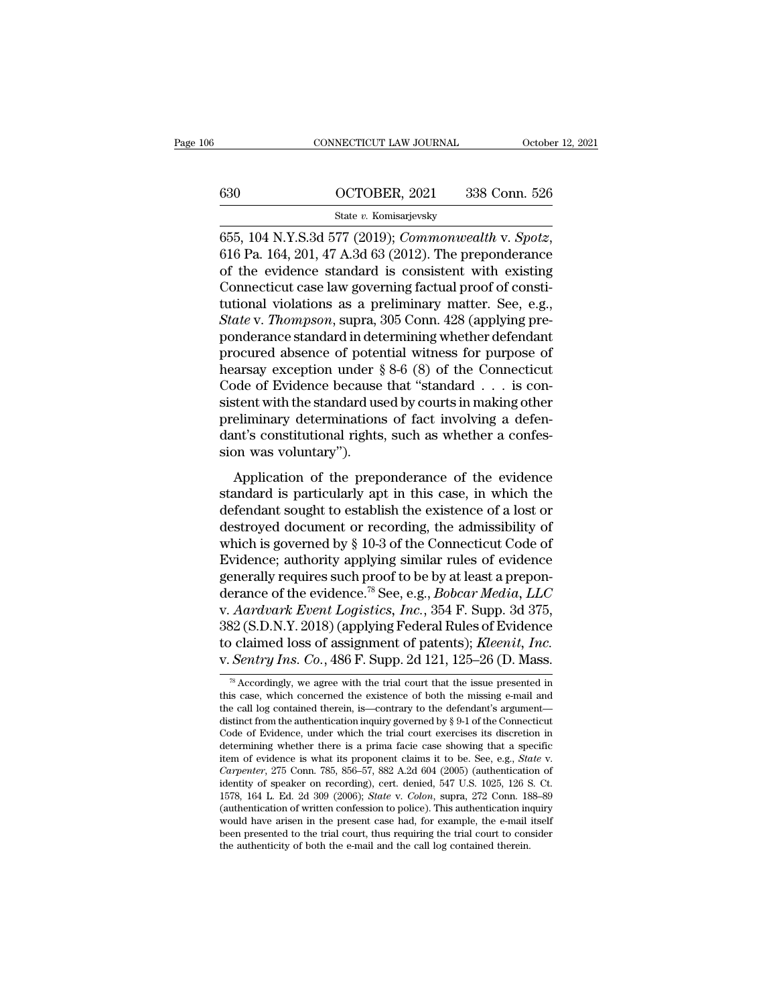# CONNECTICUT LAW JOURNAL October 12, 2021<br>630 OCTOBER, 2021 338 Conn. 526<br>5tate v. Komisarjevsky

# State *v.* Komisarjevsky

656, 104 N.Y.S.3d 577 (2019); *Commonwealth v. Spotz*, 616 Pa. 164, 201, 47 A.3d 63 (2012). The preponderance of the evidence standard is consistent with existing Connecticut case law governing factual proof of consti 630 OCTOBER, 2021 338 Conn. 526<br>
State v. Komisarjevsky<br>
655, 104 N.Y.S.3d 577 (2019); *Commonwealth* v. *Spotz*,<br>
616 Pa. 164, 201, 47 A.3d 63 (2012). The preponderance<br>
of the evidence standard is consistent with existi 630 COCTOBER, 2021 338 Conn. 526<br>
State v. Komisarjevsky<br>
655, 104 N.Y.S.3d 577 (2019); *Commonwealth* v. *Spotz*,<br>
616 Pa. 164, 201, 47 A.3d 63 (2012). The preponderance<br>
of the evidence standard is consistent with exist State v. Komisarjevsky<br>
State v. Komisarjevsky<br>
655, 104 N.Y.S.3d 577 (2019); *Commonwealth* v. *Spotz*,<br>
616 Pa. 164, 201, 47 A.3d 63 (2012). The preponderance<br>
of the evidence standard is consistent with existing<br>
Conne <sup>State v.</sup> Komsarjevsky<br>
655, 104 N.Y.S.3d 577 (2019); *Commonwealth* v. *Spotz*,<br>
616 Pa. 164, 201, 47 A.3d 63 (2012). The preponderance<br>
of the evidence standard is consistent with existing<br>
Connecticut case law governin 655, 104 N.Y.S.3d 577 (2019); *Commonwealth* v. *Spotz*, 616 Pa. 164, 201, 47 A.3d 63 (2012). The preponderance of the evidence standard is consistent with existing Connecticut case law governing factual proof of constitu 616 Pa. 164, 201, 47 A.3d 63 (2012). The preponderance<br>of the evidence standard is consistent with existing<br>Connecticut case law governing factual proof of consti-<br>tutional violations as a preliminary matter. See, e.g.,<br> % of the evidence standard is consistent with existing<br>Connecticut case law governing factual proof of constitutional violations as a preliminary matter. See, e.g.,<br>State v. Thompson, supra, 305 Conn. 428 (applying pre-<br>p Connecticut case law governing factual proof of constitutional violations as a preliminary matter. See, e.g., *State v. Thompson*, supra, 305 Conn. 428 (applying preponderance standard in determining whether defendant pro tutional violations as a preliminary matter. See, e.g.,<br> *State* v. *Thompson*, supra, 305 Conn. 428 (applying pre-<br>
ponderance standard in determining whether defendant<br>
procured absence of potential witness for purpose o State v. Thompson, supra, 305 Conn. 428 (applying pre-<br>ponderance standard in determining whether defendant<br>procured absence of potential witness for purpose of<br>hearsay exception under § 8-6 (8) of the Connecticut<br>Code of ponderance standard in determining whether defendant<br>procured absence of potential witness for purpose of<br>hearsay exception under  $\S 8-6 (8)$  of the Connecticut<br>Code of Evidence because that "standard  $\dots$  is con-<br>sistent procured absence of poten<br>hearsay exception under {<br>Code of Evidence because<br>sistent with the standard us<br>preliminary determination:<br>dant's constitutional rights<br>sion was voluntary'').<br>Application of the prep Application of the preponderance of the evidence and<br>and  $\cdot$  ... is constant with the standard used by courts in making other<br>eliminary determinations of fact involving a defen-<br>m's constitutional rights, such as whether sistent with the standard used by courts in making other<br>preliminary determinations of fact involving a defen-<br>dant's constitutional rights, such as whether a confes-<br>sion was voluntary").<br>Application of the preponderance

preliminary determinations of fact involving a defendant's constitutional rights, such as whether a confession was voluntary").<br>Application of the preponderance of the evidence standard is particularly apt in this case, i premiumary determinations of fact involving a determinant dant's constitutional rights, such as whether a confession was voluntary").<br>Application of the preponderance of the evidence standard is particularly apt in this ca sion was voluntary").<br>
Application of the preponderance of the evidence<br>
standard is particularly apt in this case, in which the<br>
defendant sought to establish the existence of a lost or<br>
destroyed document or recording, t Application of the preponderance of the evidence<br>standard is particularly apt in this case, in which the<br>defendant sought to establish the existence of a lost or<br>destroyed document or recording, the admissibility of<br>which Application of the preponderance of the evidence<br>standard is particularly apt in this case, in which the<br>defendant sought to establish the existence of a lost or<br>destroyed document or recording, the admissibility of<br>which standard is particularly apt in this case, in which the<br>defendant sought to establish the existence of a lost or<br>destroyed document or recording, the admissibility of<br>which is governed by § 10-3 of the Connecticut Code of<br> defendant sought to establish the existence of a lost or<br>destroyed document or recording, the admissibility of<br>which is governed by § 10-3 of the Connecticut Code of<br>Evidence; authority applying similar rules of evidence<br>g destroyed document or recording, the admissibility of<br>which is governed by § 10-3 of the Connecticut Code of<br>Evidence; authority applying similar rules of evidence<br>generally requires such proof to be by at least a prepon-<br> which is governed by § 10-3 of the Connecticut Code of<br>Evidence; authority applying similar rules of evidence<br>generally requires such proof to be by at least a prepon-<br>derance of the evidence.<sup>78</sup> See, e.g., *Bobcar Media,* Evidence; authority applying similar rules of evidence<br>generally requires such proof to be by at least a prepon-<br>derance of the evidence.<sup>78</sup> See, e.g., *Bobcar Media*, *LLC*<br>v. *Aardvark Event Logistics*, *Inc.*, 354 F. S Aardvark Event Logistics, Inc., 354 F. Supp. 3d 375,<br>32 (S.D.N.Y. 2018) (applying Federal Rules of Evidence<br>o claimed loss of assignment of patents); *Kleenit, Inc.*<br>*Sentry Ins. Co.*, 486 F. Supp. 2d 121, 125–26 (D. Mass 382 (S.D.N.Y. 2018) (applying Federal Rules of Evidence<br>to claimed loss of assignment of patents); *Kleenit, Inc.*<br>v. *Sentry Ins. Co.*, 486 F. Supp. 2d 121, 125–26 (D. Mass.<br><sup>78</sup> Accordingly, we agree with the trial cour

to claimed loss of assignment of patents); *Kleenit*, Inc.<br>v. *Sentry Ins. Co.*, 486 F. Supp. 2d 121, 125–26 (D. Mass.<br><sup>78</sup> Accordingly, we agree with the trial court that the issue presented in<br>this case, which concerned distinct from the authorities of assignment of patents), *Kteentt, mc*.<br>
W. *Sentry Ins. Co.*, 486 F. Supp. 2d 121, 125–26 (D. Mass.<br>
<sup>78</sup> Accordingly, we agree with the trial court that the issue presented in<br>
this case, V. Sentry 1ns. Co., 486 F. Supp. 2d 121, 125–26 (D. Mass.<br>
<sup>78</sup> Accordingly, we agree with the trial court that the issue presented in this case, which concerned the existence of both the missing e-mail and the call log c <sup>78</sup> Accordingly, we agree with the trial court that the issue presented in this case, which concerned the existence of both the missing e-mail and the call log contained therein, is—contrary to the defendant's argument—d <sup>6</sup> Accordingly, we agree with the trial court that the issue presented in this case, which concerned the existence of both the missing e-mail and the call log contained therein, is—contrary to the defendant's argument—dis the call log contained therein, is—contrary to the defendant's argument—<br>distinct from the authentication inquiry governed by § 9-1 of the Connecticut<br>Code of Evidence, under which the trial court exercises its discretion distinct from the authentication inquiry governed by § 9-1 of the Connecticut<br>Code of Evidence, under which the trial court exercises its discretion in<br>determining whether there is a prima facie case showing that a specifi Code of Evidence, under which the trial court exercises its discretion in<br>determining whether there is a prima facie case showing that a specific<br>item of evidence is what its proponent claims it to be. See, e.g., *State* v determining whether there is a prima facie case showing that a specific<br>tiem of evidence is what its proponent claims it to be. See, e.g., *State* v.<br>*Carpenter*, 275 Conn. 785, 856–57, 882 A.2d 604 (2005) (authentication tiem of evidence is what its proponent claims it to be. See, e.g., *State v.* Carpenter, 275 Conn. 785, 856–57, 882 A.2d 604 (2005) (authentication of identity of speaker on recording), cert. denied, 547 U.S. 1025, 126 S. identity of speaker on recording), cert. denied,  $547$  U.S.  $1025$ ,  $126$  S. Ct.  $1578$ ,  $164$  L. Ed.  $2d$   $309$   $(2006)$ ;  $State$  v.  $Color$ ,  $supra$ ,  $272$   $Conn$ .  $188-89$  (authentication of written confession to police). This authe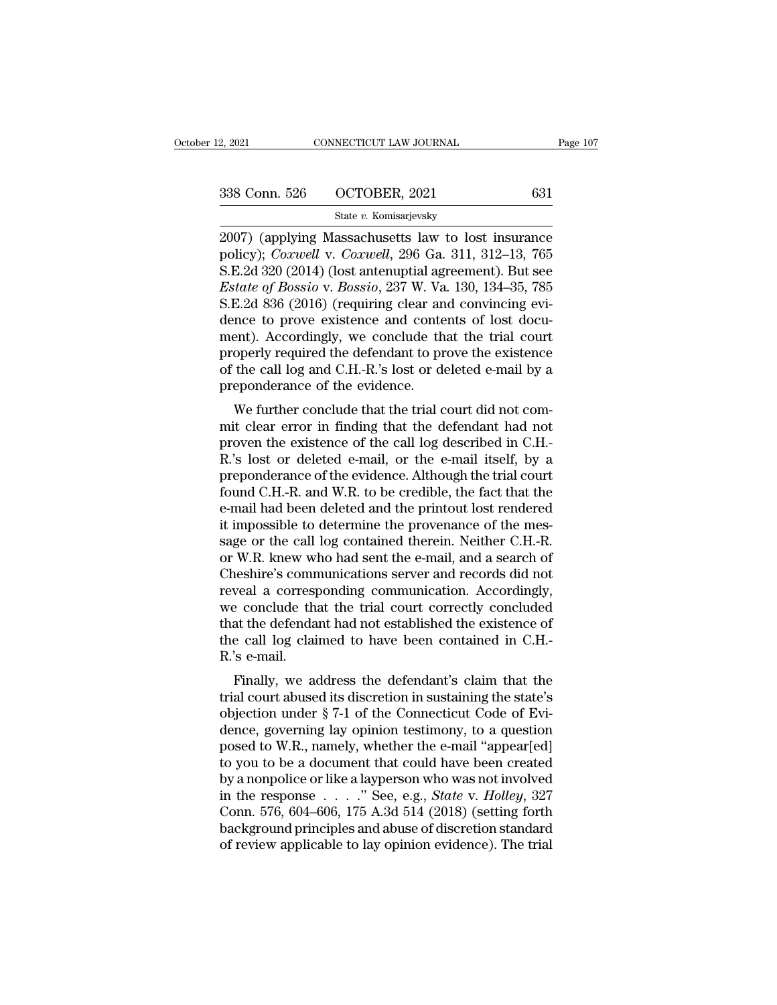2, 2021 CONNECTICUT LAW JOURNAL Page 107<br>
338 Conn. 526 OCTOBER, 2021 631<br>
5tate v. Komisarjevsky<br>
2007) (applying Massachusetts law to lost insurance<br>
policy); *Coxwell* v. *Coxwell*, 296 Ga. 311, 312–13, 765<br>
SE 2d 320 ( policy); *Coxwell* v. *Coxwell*, 296 Ga. 311, 312–13, 765 338 Conn. 526 (CTOBER, 2021 631)<br>
State v. Komisarjevsky<br>
2007) (applying Massachusetts law to lost insurance<br>
policy); *Coxwell* v. *Coxwell*, 296 Ga. 311, 312–13, 765<br>
S.E.2d 320 (2014) (lost antenuptial agreement). But **Example 19: 10: Except of Bossio**, 2021<br> **Extract v. Komisarjevsky**<br> **Estate v.** *Bossio***, 2021<br>
<b>Example 19:** *Bossio*, 296 Ga. 311, 312–13, 765<br> **Example 1320** (2014) (lost antenuptial agreement). But see<br> **Estate of Bos** State v. Komisarjevsky<br>
2007) (applying Massachusetts law to lost insurance<br>
policy); *Coxwell* v. *Coxwell*, 296 Ga. 311, 312–13, 765<br>
S.E.2d 320 (2014) (lost antenuptial agreement). But see<br> *Estate of Bossio* v. *Bossi* state v. Komsarjevsky<br>
2007) (applying Massachusetts law to lost insurance<br>
policy); *Coxwell* v. *Coxwell*, 296 Ga. 311, 312–13, 765<br>
S.E.2d 320 (2014) (lost antenuptial agreement). But see<br> *Estate of Bossio* v. *Bossio* 2007) (applying Massachusetts law to lost insurance<br>policy); *Coxwell* v. *Coxwell*, 296 Ga. 311, 312–13, 765<br>S.E.2d 320 (2014) (lost antenuptial agreement). But see<br>*Estate of Bossio* v. *Bossio*, 237 W. Va. 130, 134–35, policy); *Coxwell* v. *Coxwell*, 296 Ga. 311, 312–13, 765<br>S.E.2d 320 (2014) (lost antenuptial agreement). But see<br>*Estate of Bossio* v. *Bossio*, 237 W. Va. 130, 134–35, 785<br>S.E.2d 836 (2016) (requiring clear and convincin S.E.2d 320 (2014) (lost antenuptial agreement). But see<br>*Estate of Bossio* v. *Bossio*, 237 W. Va. 130, 134–35, 785<br>S.E.2d 836 (2016) (requiring clear and convincing evi-<br>dence to prove existence and contents of lost docu-Estate of Bossio v. Bossio, 237 W. Va<br>S.E.2d 836 (2016) (requiring clear an<br>dence to prove existence and conte<br>ment). Accordingly, we conclude th<br>properly required the defendant to pr<br>of the call log and C.H.-R.'s lost or  $\alpha$ .<br>Example to prove existence and contents of lost docu-<br>ent). Accordingly, we conclude that the trial court<br>operly required the defendant to prove the existence<br>the call log and C.H.-R.'s lost or deleted e-mail by a<br>e dence to prove existence and contents of lost document). Accordingly, we conclude that the trial court<br>properly required the defendant to prove the existence<br>of the call log and C.H.-R.'s lost or deleted e-mail by a<br>prepon

ment). Accordingly, we conclude that the trial court<br>properly required the defendant to prove the existence<br>of the call log and C.H.-R.'s lost or deleted e-mail by a<br>preponderance of the evidence.<br>We further conclude that properly required the defendant to prove the existence<br>of the call log and C.H.-R.'s lost or deleted e-mail by a<br>preponderance of the evidence.<br>We further conclude that the trial court did not com-<br>mit clear error in findi by a preponderance of the evidence.<br>
We further conclude that the trial court did not commit clear error in finding that the defendant had not<br>
proven the existence of the call log described in C.H.-<br>
R.'s lost or deleted We further conclude that the trial court did not commit clear error in finding that the defendant had not<br>proven the existence of the call log described in C.H.-<br>R.'s lost or deleted e-mail, or the e-mail itself, by a<br>prep We further conclude that the trial court did not commit clear error in finding that the defendant had not proven the existence of the call log described in C.H.-R.'s lost or deleted e-mail, or the e-mail itself, by a prep mit clear error in finding that the defendant had not<br>proven the existence of the call log described in C.H.-<br>R.'s lost or deleted e-mail, or the e-mail itself, by a<br>preponderance of the evidence. Although the trial court<br> proven the existence of the call log described in C.H.-<br>R.'s lost or deleted e-mail, or the e-mail itself, by a<br>preponderance of the evidence. Although the trial court<br>found C.H.-R. and W.R. to be credible, the fact that t R.'s lost or deleted e-mail, or the e-mail itself, by a<br>preponderance of the evidence. Although the trial court<br>found C.H.-R. and W.R. to be credible, the fact that the<br>e-mail had been deleted and the printout lost rendere preponderance of the evidence. Although the trial court<br>found C.H.-R. and W.R. to be credible, the fact that the<br>e-mail had been deleted and the printout lost rendered<br>it impossible to determine the provenance of the mes-<br> found C.H.-R. and W.R. to be credible, the fact that the e-mail had been deleted and the printout lost rendered it impossible to determine the provenance of the message or the call log contained therein. Neither C.H.-R. or e-mail had been deleted and the printout lost rendered<br>it impossible to determine the provenance of the mes-<br>sage or the call log contained therein. Neither C.H.-R.<br>or W.R. knew who had sent the e-mail, and a search of<br>Che it impossible to determine the provenance of the mes-<br>sage or the call log contained therein. Neither C.H.-R.<br>or W.R. knew who had sent the e-mail, and a search of<br>Cheshire's communications server and records did not<br>revea sage or the call log contained therein. Neither C.H.-R.<br>or W.R. knew who had sent the e-mail, and a search of<br>Cheshire's communications server and records did not<br>reveal a corresponding communication. Accordingly,<br>we concl or W.R. knew w.<br>Cheshire's comr<br>reveal a corresp<br>we conclude th<br>that the defenda<br>the call log clai<br>R.'s e-mail.<br>Finally, we a Finally, we address the defendant's claim that the defendant had not established the existence of e call log claimed to have been contained in C.H.-<br>'s e-mail.<br>Finally, we address the defendant's claim that the al court ab revear a corresponding communication. Accordingly,<br>we conclude that the trial court correctly concluded<br>that the defendant had not established the existence of<br>the call log claimed to have been contained in C.H.-<br>R.'s e-ma

we conclude that the trial court correctly concluded<br>that the defendant had not established the existence of<br>the call log claimed to have been contained in C.H.-<br>R.'s e-mail.<br>Finally, we address the defendant's claim that diat the defendant had not established the existence of<br>the call log claimed to have been contained in C.H.-<br>R.'s e-mail.<br>Finally, we address the defendant's claim that the<br>trial court abused its discretion in sustaining t In the can fog claimed to have been contained in C.11.-<br>R.'s e-mail.<br>Finally, we address the defendant's claim that the<br>trial court abused its discretion in sustaining the state's<br>objection under § 7-1 of the Connecticut C Finally, we address the defendant's claim that the<br>trial court abused its discretion in sustaining the state's<br>objection under  $\S$  7-1 of the Connecticut Code of Evi-<br>dence, governing lay opinion testimony, to a question<br> Finally, we address the defendant's claim that the<br>trial court abused its discretion in sustaining the state's<br>objection under § 7-1 of the Connecticut Code of Evi-<br>dence, governing lay opinion testimony, to a question<br>po trial court abused its discretion in sustaining the state's<br>objection under § 7-1 of the Connecticut Code of Evi-<br>dence, governing lay opinion testimony, to a question<br>posed to W.R., namely, whether the e-mail "appear[ed]<br> objection under § 7-1 of the Connecticut Code of Evidence, governing lay opinion testimony, to a question<br>posed to W.R., namely, whether the e-mail "appear[ed]<br>to you to be a document that could have been created<br>by a non dence, governing lay opinion testimony, to a question<br>posed to W.R., namely, whether the e-mail "appear[ed]<br>to you to be a document that could have been created<br>by a nonpolice or like a layperson who was not involved<br>in th posed to W.R., namely, whether the e-mail "appear[ed] to you to be a document that could have been created by a nonpolice or like a layperson who was not involved in the response  $\ldots$  ". See, e.g., *State v. Holley*, 327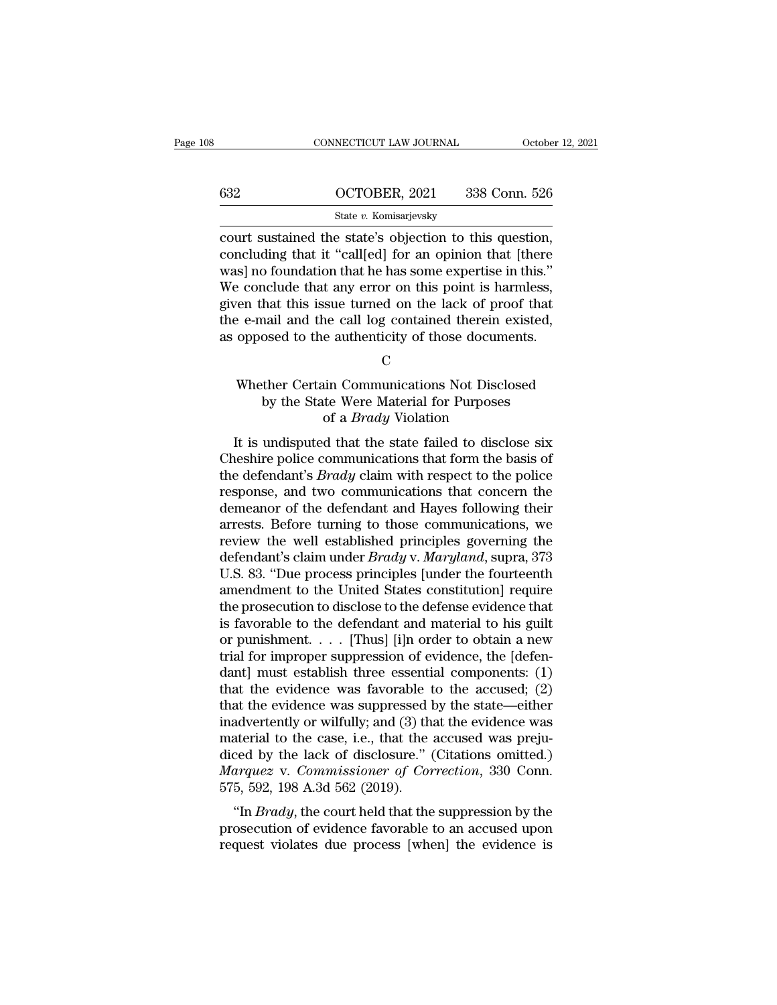|     | CONNECTICUT LAW JOURNAL                                                                                                                                                       | October 12, 2021 |
|-----|-------------------------------------------------------------------------------------------------------------------------------------------------------------------------------|------------------|
|     |                                                                                                                                                                               |                  |
| 632 | OCTOBER, 2021                                                                                                                                                                 | 338 Conn. 526    |
|     | State v. Komisarjevsky                                                                                                                                                        |                  |
|     | court sustained the state's objection to this question,<br>concluding that it "call[ed] for an opinion that [there<br>weel no foundation that he has some expertise in this " |                  |

632 **COCTOBER, 2021** 338 Conn. 526<br>
State v. Komisarjevsky<br>
court sustained the state's objection to this question,<br>
concluding that it "call[ed] for an opinion that [there<br>
was] no foundation that he has some expertise i 632 OCTOBER, 2021 338 Conn. 526<br>
State v. Komisarjevsky<br>
court sustained the state's objection to this question,<br>
concluding that it "call[ed] for an opinion that [there<br>
was] no foundation that he has some expertise in t  $\frac{\text{G32}}{\text{State } v. \text{ Komisarjevsky}}$ <br>  $\frac{\text{State } v. \text{ Komisarjevsky}}{\text{count}}$ <br>
court sustained the state's objection to this question,<br>
concluding that it "call[ed] for an opinion that [there<br>
was] no foundation that he has some expertise in State v. Komisarjevsky<br>
court sustained the state's objection to this question,<br>
concluding that it "call[ed] for an opinion that [there<br>
was] no foundation that he has some expertise in this."<br>
We conclude that any error state v. Komisarjevsky<br>court sustained the state's objection to this question,<br>concluding that it "call[ed] for an opinion that [there<br>was] no foundation that he has some expertise in this."<br>We conclude that any error on court sustained the state's objection to this question,<br>concluding that it "call[ed] for an opinion that [there<br>was] no foundation that he has some expertise in this."<br>We conclude that any error on this point is harmless,<br> Exercise that any error on this point is harmless,<br>
en that this issue turned on the lack of proof that<br>
e-mail and the call log contained therein existed,<br>
opposed to the authenticity of those documents.<br>
C<br>
Whether Certa % hat this issue turned on the lack of proof that<br>nail and the call log contained therein existed,<br>osed to the authenticity of those documents.<br> $C$ <br>ther Certain Communications Not Disclosed<br>by the State Were Material for

C<sub>c</sub>

# ne call log contained therein ex<br>e authenticity of those documer<br>C<br>in Communications Not Disclos<br>te Were Material for Purposes<br>of a *Brady* Violation<br>d that the state failed to disclos It is undisputed that the state failed to disclosed<br>object to the authenticity of those documents.<br> $\Gamma$  is undisputed that the state failed to disclose six<br>neshire police communications that form the basis of<br>a defondant's

Cheshire Certain Communications Not Disclosed<br>by the State Were Material for Purposes<br>of a *Brady* Violation<br>It is undisputed that the state failed to disclose six<br>Cheshire police communications that form the basis of<br>the Whether Certain Communications Not Disclosed<br>by the State Were Material for Purposes<br>of a *Brady* Violation<br>It is undisputed that the state failed to disclose six<br>Cheshire police communications that form the basis of<br>the d by the State Were Material for Purposes<br>by the State Were Material for Purposes<br>of a *Brady* Violation<br>It is undisputed that the state failed to disclose six<br>Cheshire police communications that form the basis of<br>the defend demonstrate were material for tuposes<br>of a *Brady* Violation<br>It is undisputed that the state failed to disclose six<br>Cheshire police communications that form the basis of<br>the defendant's *Brady* claim with respect to the p It is undisputed that the state failed to disclose six<br>Cheshire police communications that form the basis of<br>the defendant's *Brady* claim with respect to the police<br>response, and two communications that concern the<br>demea It is undisputed that the state failed to disclose six<br>Cheshire police communications that form the basis of<br>the defendant's *Brady* claim with respect to the police<br>response, and two communications that concern the<br>demea Cheshire police communications that form the basis of<br>the defendant's *Brady* claim with respect to the police<br>response, and two communications that concern the<br>demeanor of the defendant and Hayes following their<br>arrests. the defendant's *Brady* claim with respect to the police<br>response, and two communications that concern the<br>demeanor of the defendant and Hayes following their<br>arrests. Before turning to those communications, we<br>review the response, and two communications that concern the<br>demeanor of the defendant and Hayes following their<br>arrests. Before turning to those communications, we<br>review the well established principles governing the<br>defendant's cla demeanor of the defendant and Hayes following their<br>arrests. Before turning to those communications, we<br>review the well established principles governing the<br>defendant's claim under *Brady* v. *Maryland*, supra, 373<br>U.S. 83 arrests. Before turning to those communications, we<br>review the well established principles governing the<br>defendant's claim under *Brady* v. *Maryland*, supra, 373<br>U.S. 83. "Due process principles [under the fourteenth<br>amen review the well established principles governing the<br>defendant's claim under *Brady* v. *Maryland*, supra, 373<br>U.S. 83. "Due process principles [under the fourteenth<br>amendment to the United States constitution] require<br>the defendant's claim under *Brady* v. *Maryland*, supra, 373<br>U.S. 83. "Due process principles [under the fourteenth<br>amendment to the United States constitution] require<br>the prosecution to disclose to the defense evidence tha U.S. 83. "Due process principles [under the fourteenth<br>amendment to the United States constitution] require<br>the prosecution to disclose to the defense evidence that<br>is favorable to the defendant and material to his guilt<br>o amendment to the United States constitution] require<br>the prosecution to disclose to the defense evidence that<br>is favorable to the defendant and material to his guilt<br>or punishment.... [Thus] [i]n order to obtain a new<br>tri the prosecution to disclose to the defense evidence that<br>is favorable to the defendant and material to his guilt<br>or punishment. . . . [Thus] [i]n order to obtain a new<br>trial for improper suppression of evidence, the [defe is favorable to the defendant and material to his guilt<br>or punishment. . . . [Thus] [i]n order to obtain a new<br>trial for improper suppression of evidence, the [defen-<br>dant] must establish three essential components: (1)<br>t or punishment. . . . [Thus] [i]n order to obtain a new<br>trial for improper suppression of evidence, the [defen-<br>dant] must establish three essential components: (1)<br>that the evidence was favorable to the accused; (2)<br>that trial for improper suppression of evidence, the [defen-<br>dant] must establish three essential components: (1)<br>that the evidence was favorable to the accused; (2)<br>that the evidence was suppressed by the state—either<br>inadver dant] must establish three essential components: (1)<br>that the evidence was favorable to the accused; (2)<br>that the evidence was suppressed by the state—either<br>inadvertently or wilfully; and (3) that the evidence was<br>materia that the evidence was favorable that the evidence was suppressed l<br>inadvertently or wilfully; and  $(3)$  th<br>material to the case, i.e., that the<br>diced by the lack of disclosure." (<br>*Marquez* v. *Commissioner of Cor*<br>575, 5 advertently or wilfully; and (3) that the evidence was<br>aterial to the case, i.e., that the accused was preju-<br>ced by the lack of disclosure." (Citations omitted.)<br>arquez v. Commissioner of Correction, 330 Conn.<br>5, 592, 198 mauvertently of wintiny, and (5) that the evidence was<br>material to the case, i.e., that the accused was preju-<br>diced by the lack of disclosure." (Citations omitted.)<br>*Marquez* v. *Commissioner of Correction*, 330 Conn.<br>575 materiar to the case, i.e., that the accused was prejudiced by the lack of disclosure." (Citations omitted.)<br>Marquez v. Commissioner of Correction, 330 Conn.<br>575, 592, 198 A.3d 562 (2019).<br>"In *Brady*, the court held that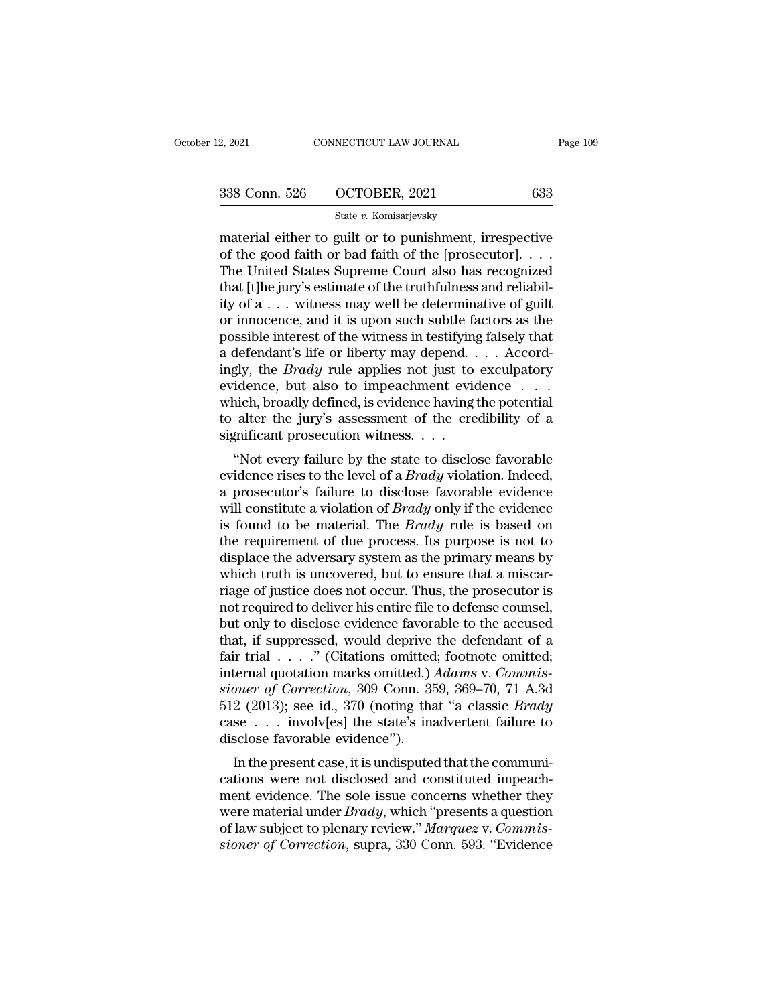| 12, 2021      | CONNECTICUT LAW JOURNAL | Page 109 |
|---------------|-------------------------|----------|
| 338 Conn. 526 | OCTOBER, 2021           | 633      |
|               | State v. Komisarjevsky  |          |

2, 2021 CONNECTICUT LAW JOURNAL Page 109<br>
338 Conn. 526 OCTOBER, 2021 633<br>
5tate v. Komisarjevsky<br>
material either to guilt or to punishment, irrespective<br>
of the good faith or bad faith of the [prosecutor]....<br>
The United 338 Conn. 526 OCTOBER, 2021 633<br>
State v. Komisarjevsky<br>
material either to guilt or to punishment, irrespective<br>
of the good faith or bad faith of the [prosecutor]. . . .<br>
The United States Supreme Court also has recogniz 338 Conn. 526 OCTOBER, 2021 633<br>
State v. Komisarjevsky<br>
material either to guilt or to punishment, irrespective<br>
of the good faith or bad faith of the [prosecutor]. . . .<br>
The United States Supreme Court also has recogni 338 Conn. 526 OCTOBER, 2021 633<br>
State v. Komisarjevsky<br>
material either to guilt or to punishment, irrespective<br>
of the good faith or bad faith of the [prosecutor]. . . .<br>
The United States Supreme Court also has recogni State v. Komisarjevsky<br>
material either to guilt or to punishment, irrespective<br>
of the good faith or bad faith of the [prosecutor]....<br>
The United States Supreme Court also has recognized<br>
that [t]he jury's estimate of t state v. Komsarjevsky<br>
material either to guilt or to punishment, irrespective<br>
of the good faith or bad faith of the [prosecutor]. . . .<br>
The United States Supreme Court also has recognized<br>
that [t]he jury's estimate of material either to guilt or to punishment, irrespective<br>of the good faith or bad faith of the [prosecutor].  $\dots$ <br>The United States Supreme Court also has recognized<br>that [t]he jury's estimate of the truthfulness and relia of the good faith or bad faith of the [prosecutor]. . . . The United States Supreme Court also has recognized that [t]he jury's estimate of the truthfulness and reliability of a . . . witness may well be determinative of The United States Supreme Court also has recognized<br>that [t]he jury's estimate of the truthfulness and reliabil-<br>ity of a . . . witness may well be determinative of guilt<br>or innocence, and it is upon such subtle factors as that [t]he jury's estimate of the truthfulness and reliability of a . . . witness may well be determinative of guilt<br>or innocence, and it is upon such subtle factors as the<br>possible interest of the witness in testifying f ity of a  $\ldots$  witness may well be determinative of guilt<br>or innocence, and it is upon such subtle factors as the<br>possible interest of the witness in testifying falsely that<br>a defendant's life or liberty may depend.  $\ldots$ or innocence, and it is upon such subtle factors as the possible interest of the witness in testifying falsely that a defendant's life or liberty may depend. . . . Accordingly, the *Brady* rule applies not just to exculpa possible interest of the witness in testifying<br>a defendant's life or liberty may depend. .<br>ingly, the *Brady* rule applies not just to<br>evidence, but also to impeachment evid<br>which, broadly defined, is evidence having<br>to a defermant s fire of moetly may depend:  $\ldots$  Accord-<br>gly, the *Brady* rule applies not just to exculpatory<br>idence, but also to impeachment evidence  $\ldots$ <br>inich, broadly defined, is evidence having the potential<br>alter the evidence, but also to impeachment evidence . . . which, broadly defined, is evidence having the potential<br>to alter the jury's assessment of the credibility of a<br>significant prosecution witness. . . .<br>"Not every failure by

evidence, but also to impeach<br>the evidence  $\ldots$  which, broadly defined, is evidence having the potential<br>to alter the jury's assessment of the credibility of a<br>significant prosecution witness.  $\ldots$ <br>"Not every failure by will constitute a violation of the credibility of a significant prosecution witness. . . .<br>
"Not every failure by the state to disclose favorable<br>
evidence rises to the level of a *Brady* violation. Indeed,<br>
a prosecutor's is found to be material. The *Brady* violation. The reduction witness.<br>
"Not every failure by the state to disclose favorable<br>
evidence rises to the level of a *Brady* violation. Indeed,<br>
a prosecutor's failure to disclose "Not every failure by the state to disclose favorable<br>evidence rises to the level of a *Brady* violation. Indeed,<br>a prosecutor's failure to disclose favorable evidence<br>will constitute a violation of *Brady* only if the ev "Not every failure by the state to disclose favorable<br>evidence rises to the level of a *Brady* violation. Indeed,<br>a prosecutor's failure to disclose favorable evidence<br>will constitute a violation of *Brady* only if the ev evidence rises to the level of a *Brady* violation. Indeed,<br>a prosecutor's failure to disclose favorable evidence<br>will constitute a violation of *Brady* only if the evidence<br>is found to be material. The *Brady* rule is bas a prosecutor's failure to disclose favorable evidence<br>will constitute a violation of *Brady* only if the evidence<br>is found to be material. The *Brady* rule is based on<br>the requirement of due process. Its purpose is not to<br> will constitute a violation of *Brady* only if the evidence<br>is found to be material. The *Brady* rule is based on<br>the requirement of due process. Its purpose is not to<br>displace the adversary system as the primary means by is found to be material. The *Brady* rule is based on<br>the requirement of due process. Its purpose is not to<br>displace the adversary system as the primary means by<br>which truth is uncovered, but to ensure that a miscar-<br>riage the requirement of due process. Its purpose is not to<br>displace the adversary system as the primary means by<br>which truth is uncovered, but to ensure that a miscar-<br>riage of justice does not occur. Thus, the prosecutor is<br>n displace the adversary system as the primary means by<br>which truth is uncovered, but to ensure that a miscar-<br>riage of justice does not occur. Thus, the prosecutor is<br>not required to deliver his entire file to defense coun which truth is uncovered, but to ensure that a miscarriage of justice does not occur. Thus, the prosecutor is<br>not required to deliver his entire file to defense counsel,<br>but only to disclose evidence favorable to the accus riage of justice does not occur. Thus, the prosecutor is<br>not required to deliver his entire file to defense counsel,<br>but only to disclose evidence favorable to the accused<br>that, if suppressed, would deprive the defendant o not required to deliver his entire file to defense counsel,<br>but only to disclose evidence favorable to the accused<br>that, if suppressed, would deprive the defendant of a<br>fair trial . . . . . " (Citations omitted; footnote o but only to disclose evidence favorable to the accused<br>that, if suppressed, would deprive the defendant of a<br>fair trial . . . . ." (Citations omitted; footnote omitted;<br>internal quotation marks omitted.) Adams v. Commis-<br>s that, if suppressed, would deprive<br>fair trial  $\ldots$ ." (Citations omitted<br>internal quotation marks omitted.).<br>*sioner of Correction*, 309 Conn. 35<br>512 (2013); see id., 370 (noting tha<br>case  $\ldots$  involv[es] the state's ina<br> In that  $\ldots$  (Chations omitted, footnote omitted,<br>ternal quotation marks omitted.) *Adams v. Commis-*<br>oner of Correction, 309 Conn. 359, 369–70, 71 A.3d<br> $2$  (2013); see id., 370 (noting that "a classic *Brady*<br>se  $\ldots$  i meerial quotation marks omitted.) Adams v. Commissioner of Correction, 309 Conn. 359, 369–70, 71 A.3d<br>512 (2013); see id., 370 (noting that "a classic *Brady*<br>case . . . involv[es] the state's inadvertent failure to<br>disclo

stoner of Correction, 309 Com. 359, 309–10, 11 A.3d<br>512 (2013); see id., 370 (noting that "a classic *Brady*<br>case . . . involv[es] the state's inadvertent failure to<br>disclose favorable evidence").<br>In the present case, it 312 (2013), see id., 310 (hoting that a classic *Brady*<br>case . . . involv[es] the state's inadvertent failure to<br>disclose favorable evidence").<br>In the present case, it is undisputed that the communi-<br>cations were not discl disclose favorable evidence").<br>In the present case, it is undisputed that the communi-<br>cations were not disclosed and constituted impeach-<br>ment evidence. The sole issue concerns whether they<br>were material under *Brady*, wh In the present case, it is undisputed that the communications were not disclosed and constituted impeachment evidence. The sole issue concerns whether they were material under *Brady*, which "presents a question of law sub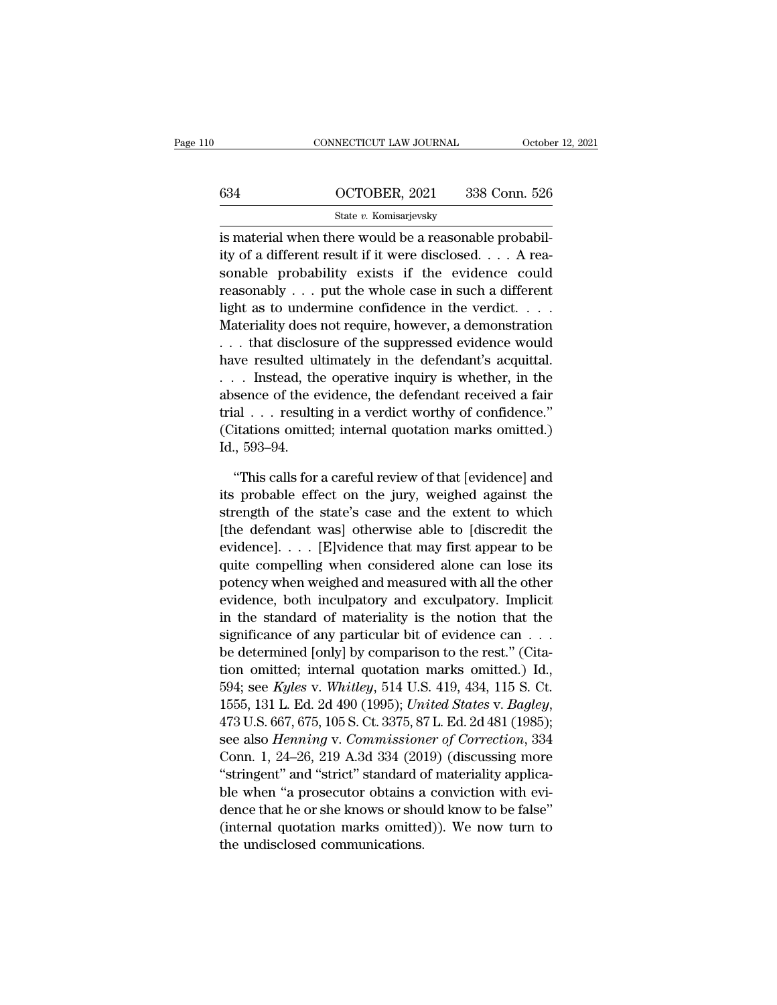### CONNECTICUT LAW JOURNAL October 12, 2021<br>634 OCTOBER, 2021 338 Conn. 526<br>5tate v. Komisarjevsky State *v.* Komisarjevsky

CONNECTICUT LAW JOURNAL Octobe<br>
634 OCTOBER, 2021 338 Conn. 526<br>
538 State v. Komisarjevsky<br>
is material when there would be a reasonable probabil-<br>
ity of a different result if it were disclosed.... A rea-634 **COTOBER, 2021** 338 Conn. 526<br>
State *v*. Komisarjevsky<br>
is material when there would be a reasonable probabil-<br>
ity of a different result if it were disclosed. . . . A rea-<br>
sonable probability exists if the evidence 634 OCTOBER, 2021 338 Conn. 526<br>
State v. Komisarjevsky<br>
is material when there would be a reasonable probabil-<br>
ity of a different result if it were disclosed. . . . A reasonable probability exists if the evidence could<br> 634 OCTOBER, 2021 338 Conn. 526<br>
state v. Komisarjevsky<br>
is material when there would be a reasonable probabil-<br>
ity of a different result if it were disclosed. . . . A rea-<br>
sonable probability exists if the evidence cou State v. Komisarjevsky<br>
is material when there would be a reasonable probabil-<br>
ity of a different result if it were disclosed. . . . A rea-<br>
sonable probability exists if the evidence could<br>
reasonably . . . put the whol  $\frac{1}{100}$  is material when there would be a reasonable probability of a different result if it were disclosed. . . . A reasonable probability exists if the evidence could reasonably . . . put the whole case in such a di Ity of a different result if it were disclosed. . . . A reasonable probability exists if the evidence could reasonably . . . put the whole case in such a different light as to undermine confidence in the verdict. . . . . M have result in the defendant is acquittal.<br>
Sonable probability exists if the evidence could<br>
reasonably . . . put the whole case in such a different<br>
light as to undermine confidence in the verdict. . . .<br>
Materiality do sonable probability exists if the evidence could<br>reasonably . . . put the whole case in such a different<br>light as to undermine confidence in the verdict. . . .<br>Materiality does not require, however, a demonstration<br> $\dots$  t reasonably . . . put the whole case in such a different light as to undermine confidence in the verdict. . . .<br>Materiality does not require, however, a demonstration . . . that disclosure of the suppressed evidence would<br> trial . . . resulting in a verdict worthy of confidence.'' Materially does not require, however, a demonstration<br>
... that disclosure of the suppressed evidence would<br>
have resulted ultimately in the defendant's acquittal.<br>
... Instead, the operative inquiry is whether, in the<br>
ab Inat disclos<br>have resulted ulemants and the disclosed of the extrail of the extrail (Citations omitted in the small space)<br>Id., 593–94.<br>This calls for . Instead, the operative inquiry is whether, in the sence of the evidence, the defendant received a fair al  $\ldots$  resulting in a verdict worthy of confidence."<br>itations omitted; internal quotation marks omitted.)<br>., 593–9 absence of the evidence, the defendant received a fair<br>trial . . . resulting in a verdict worthy of confidence."<br>(Citations omitted; internal quotation marks omitted.)<br>Id., 593–94.<br>"This calls for a careful review of that

trial . . . resulting in a verdict worthy of confidence."<br>(Citations omitted; internal quotation marks omitted.)<br>Id., 593–94.<br>"This calls for a careful review of that [evidence] and<br>its probable effect on the jury, weighed (Citations omitted; internal quotation marks omitted.)<br>
Id., 593–94.<br>
"This calls for a careful review of that [evidence] and<br>
its probable effect on the jury, weighed against the<br>
strength of the state's case and the ext Id., 593–94.<br>
"This calls for a careful review of that [evidence] and<br>
its probable effect on the jury, weighed against the<br>
strength of the state's case and the extent to which<br>
[the defendant was] otherwise able to [dis "This calls for a careful review of that [evidence] and<br>its probable effect on the jury, weighed against the<br>strength of the state's case and the extent to which<br>[the defendant was] otherwise able to [discredit the<br>eviden I fluid scales for a careful review of that [evidence] and<br>its probable effect on the jury, weighed against the<br>strength of the state's case and the extent to which<br>[the defendant was] otherwise able to [discredit the<br>evid Its probable effect on the jury, weighed against the<br>strength of the state's case and the extent to which<br>[the defendant was] otherwise able to [discredit the<br>evidence].  $\ldots$  [E]vidence that may first appear to be<br>quite strength of the state's case and the extent to which<br>[the defendant was] otherwise able to [discredit the<br>evidence]....[E]vidence that may first appear to be<br>quite compelling when considered alone can lose its<br>potency whe [the detendant was] otherwise able to [discredit the<br>evidence].... [E]vidence that may first appear to be<br>quite compelling when considered alone can lose its<br>potency when weighed and measured with all the other<br>evidence, evidence].  $\ldots$  [E]vidence that may first appear to be quite compelling when considered alone can lose its potency when weighed and measured with all the other evidence, both inculpatory and exculpatory. Implicit in the quite competing when considered atone can lose its<br>potency when weighed and measured with all the other<br>evidence, both inculpatory and exculpatory. Implicit<br>in the standard of materiality is the notion that the<br>significanc potency when weighed and measured with all the other<br>evidence, both inculpatory and exculpatory. Implicit<br>in the standard of materiality is the notion that the<br>significance of any particular bit of evidence can . . .<br>be de evidence, both inculpatory and exculpatory. Implicit<br>in the standard of materiality is the notion that the<br>significance of any particular bit of evidence can . . .<br>be determined [only] by comparison to the rest." (Cita-<br>ti significance of any particular bit of evidence can . . .<br>be determined [only] by comparison to the rest." (Cita-<br>tion omitted; internal quotation marks omitted.) Id.,<br>594; see *Kyles* v. *Whitley*, 514 U.S. 419, 434, 115 S be determined [only] by comparison to the rest. (Cha-<br>tion omitted; internal quotation marks omitted.) Id.,<br>594; see *Kyles* v. *Whitley*, 514 U.S. 419, 434, 115 S. Ct.<br>1555, 131 L. Ed. 2d 490 (1995); *United States v. Bag* tion ontitied; internal quotation marks ontitied.) id.,<br>594; see Kyles v. Whitley, 514 U.S. 419, 434, 115 S. Ct.<br>1555, 131 L. Ed. 2d 490 (1995); United States v. Bagley,<br>473 U.S. 667, 675, 105 S. Ct. 3375, 87 L. Ed. 2d 481  $b$  and  $b$  prosecutor obtains a conviction  $b$ . We apply,  $b$  and  $b$  provided  $s$  and  $b$  and  $b$  and  $b$  and  $b$  and  $b$  and  $b$  and  $b$  and  $b$  and  $b$  and  $b$  and  $b$  and  $b$  and  $b$  and  $b$  and  $b$  and  $b$  and  $b$  a 1999, 131 L. Ed. 2d 490 (1999); *Ontied States v. Bagley*,<br>473 U.S. 667, 675, 105 S. Ct. 3375, 87 L. Ed. 2d 481 (1985);<br>see also *Henning v. Commissioner of Correction*, 334<br>Conn. 1, 24–26, 219 A.3d 334 (2019) (discussing 475 U.S. 607, 675, 105 S. U. 3575, 87 L. Ed. 2d 481 (1985);<br>see also *Henning v. Commissioner of Correction*, 334<br>Conn. 1, 24–26, 219 A.3d 334 (2019) (discussing more<br>"stringent" and "strict" standard of materiality applic see also *Henning* v. Commission<br>Conn. 1, 24–26, 219 A.3d 334 (20)<br>"stringent" and "strict" standard c<br>ble when "a prosecutor obtains a<br>dence that he or she knows or sho<br>(internal quotation marks omitte<br>the undisclosed com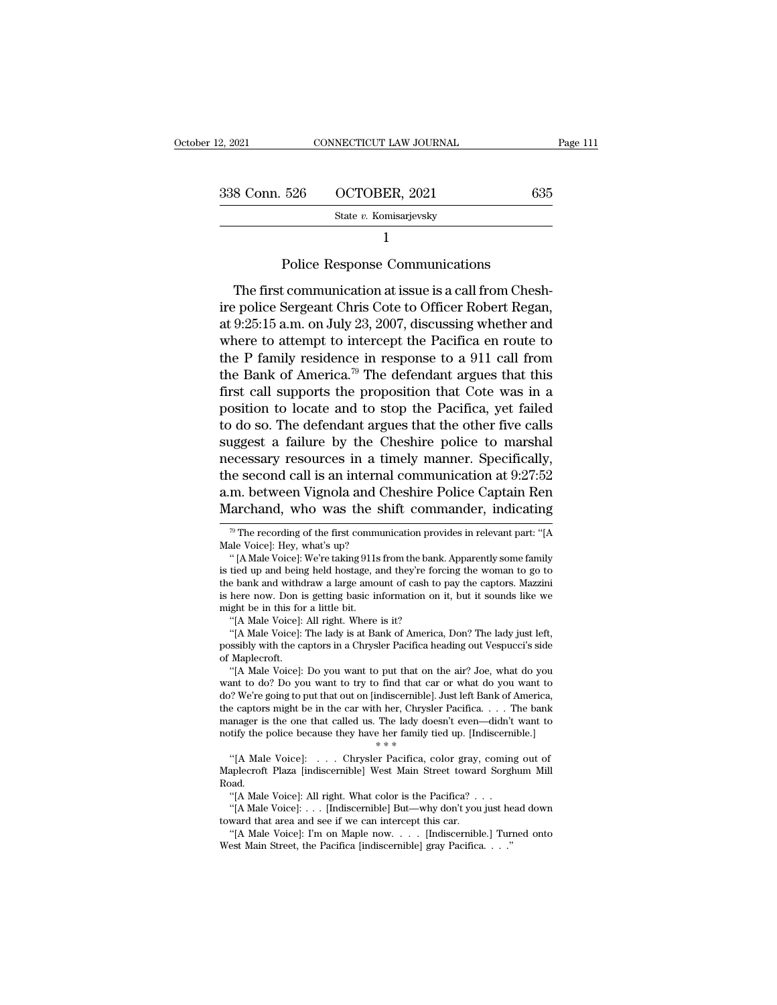| : 12, 2021    | CONNECTICUT LAW JOURNAL                                                                                                                                                                        | Page 111 |
|---------------|------------------------------------------------------------------------------------------------------------------------------------------------------------------------------------------------|----------|
|               |                                                                                                                                                                                                |          |
| 338 Conn. 526 | OCTOBER, 2021                                                                                                                                                                                  | 635      |
|               | State v. Komisarjevsky                                                                                                                                                                         |          |
|               |                                                                                                                                                                                                |          |
|               | Police Response Communications                                                                                                                                                                 |          |
|               | The first communication at issue is a call from Chesh-<br>ire police Sergeant Chris Cote to Officer Robert Regan,<br>$\alpha t$ 0.95.15 a.m. on $\text{Inlu}$ 92, 2007. discussing whather and |          |

State v. Komisarjevsky<br>
1<br>
Police Response Communications<br>
The first communication at issue is a call from Chesh-<br>
ire police Sergeant Chris Cote to Officer Robert Regan,<br>
at 9:25:15 a.m. on July 23, 2007, discussing whet Factor: Entransation and The first communication at issue is a call from Chesh-<br>ire police Sergeant Chris Cote to Officer Robert Regan,<br>at 9:25:15 a.m. on July 23, 2007, discussing whether and<br>where to attempt to intercept Police Response Communications<br>The first communication at issue is a call from Chesh-<br>ire police Sergeant Chris Cote to Officer Robert Regan,<br>at 9:25:15 a.m. on July 23, 2007, discussing whether and<br>where to attempt to in Police Response Communications<br>The first communication at issue is a call from Chesh-<br>ire police Sergeant Chris Cote to Officer Robert Regan,<br>at 9:25:15 a.m. on July 23, 2007, discussing whether and<br>where to attempt to in The first communication at issue is a call from Chesh-<br>ire police Sergeant Chris Cote to Officer Robert Regan,<br>at  $9:25:15$  a.m. on July 23, 2007, discussing whether and<br>where to attempt to intercept the Pacifica en route The first communication at issue is a call from Chesh-<br>ire police Sergeant Chris Cote to Officer Robert Regan,<br>at 9:25:15 a.m. on July 23, 2007, discussing whether and<br>where to attempt to intercept the Pacifica en route t ire police Sergeant Chris Cote to Officer Robert Regan,<br>at 9:25:15 a.m. on July 23, 2007, discussing whether and<br>where to attempt to intercept the Pacifica en route to<br>the P family residence in response to a 911 call from<br> at 9:25:15 a.m. on July 23, 2007, discussing whether and<br>where to attempt to intercept the Pacifica en route to<br>the P family residence in response to a 911 call from<br>the Bank of America.<sup>79</sup> The defendant argues that this where to attempt to intercept the Pacifica en route to<br>the P family residence in response to a 911 call from<br>the Bank of America.<sup>79</sup> The defendant argues that this<br>first call supports the proposition that Cote was in a<br>p the P family residence in response to a 911 call from<br>the Bank of America.<sup>79</sup> The defendant argues that this<br>first call supports the proposition that Cote was in a<br>position to locate and to stop the Pacifica, yet failed<br> the Bank of America.<sup>79</sup> The defendant argues that this<br>first call supports the proposition that Cote was in a<br>position to locate and to stop the Pacifica, yet failed<br>to do so. The defendant argues that the other five call first call supports the proposition that Cote was in a<br>position to locate and to stop the Pacifica, yet failed<br>to do so. The defendant argues that the other five calls<br>suggest a failure by the Cheshire police to marshal<br>ne position to locate and to stop the Pacifica, yet failed<br>to do so. The defendant argues that the other five calls<br>suggest a failure by the Cheshire police to marshal<br>necessary resources in a timely manner. Specifically,<br>th ecessary resources in a timely manner. Specifically,<br>i.e second call is an internal communication at 9:27:52<br>m. between Vignola and Cheshire Police Captain Ren<br>[archand, who was the shift commander, indicating<br> $\frac{1}{\sqrt{2}}$ the second call is an interna<br>a.m. between Vignola and Cl<br>Marchand, who was the sh<br><sup>79</sup> The recording of the first commun<br>Male Voice]: Hey, what's up?<br>"[A Male Voice]: We're taking 911s fr m. between Vignola and Cheshire Police Captain Ren<br>
(archand, who was the shift commander, indicating<br>
<sup>79</sup> The recording of the first communication provides in relevant part: "[A<br>
ale Voice]: Hey, what's up?<br>
" [A Male Vo

might be in this for a little bit.<br>
"[A Male Voice]: All right. Where is it?<br>
"[A Male Voice]: The lady is at Bank of America, Don? The lady just left,<br>
possibly with the captors in a Chrysler Pacifica heading out Vespucci here now. Don is getting basic information on it, but it sounds like we<br>
"(A Male Voice]: All right. Where is it?<br>
"(A Male Voice]: The lady is at Bank of America, Don? The lady just left,<br>
"(A Male Voice]: The lady is at

might be in this for a little bit.<br>
"[A Male Voice]: All right. Where is it?<br>
"[A Male Voice]: The lady is at Bank of America, Don? The lady just left,<br>
possibly with the captors in a Chrysler Pacifica heading out Vespucci do? We're going to put that out on [indiscernible]. Just left Bank of America, the captors might be in the car with her, Chrysler Pacifica. . . . The bank manager is the one that called us. The lady doesn't even—didn't wa "[A Male Voice]: The lady is at Bank of America, Don? The lady just lett,<br>possibly with the captors in a Chrysler Pacifica heading out Vespucci's side<br>of Maplecroft.<br>"(A Male Voice]: Do you want to put that on the air? Joe possibly with the captors in a Chrysler Pacifica heading out Vespucci's side<br>of Maplecroft.<br>"[A Male Voice]: Do you want to put that on the air? Joe, what do you<br>want to do? Do you want to try to find that car or what do y of Maplecroft. "[A Male Voice]: Do you want to put that on the air? Joe, what do you want to do? Do you want to try to find that car or what do you want to do? We're going to put that out on [indiscernible]. Just left Bank In the do? Do you want to try to find that car or what do you want to<br>? We're going to put that out on [indiscernible]. Just left Bank of America,<br>e captors might be in the car with her, Chrysler Pacifica. . . . The bank<br>a do? We re going to put that out on [indiscernible]. Just left Bank of America,<br>the captors might be in the car with her, Chrysler Pacifica. . . . The bank<br>manager is the one that called us. The lady doesn't even—didn't wan

Road. anager is the one that called us. The lady doesn't even—didn't<br>
strifty the police because they have her family tied up. [Indiscerni<br>
\*\*\*<br>
"[A Male Voice]: . . . Chrysler Pacifica, color gray, coming<br>
aplecroft Plaza [indi the police because they have her family tied up. [Indiscernible.]<br>
"[A Male Voice]: . . . Chrysler Pacifica, color gray, coming out of<br>
aplecroft Plaza [indiscernible] West Main Street toward Sorghum Mill<br>
and.<br>
"[A Male V "[A Male Voice]: . . . Chrysler Pacifica, color gray,<br>Maplecroft Plaza [indiscernible] West Main Street toward<br>Road. "[A Male Voice]: All right. What color is the Pacifica? . "[A Male Voice]: . . . [Indiscernible] But—why "[A Male Voice]: . . . Chrysler Pacifica, color gray, coming out of aplecroft Plaza [indiscernible] West Main Street toward Sorghum Mill bad.<br>"[A Male Voice]: All right. What color is the Pacifica? . . .<br>"[A Male Voice]: .

Maplecrott Plaza [Indiscernible] West Main Street toward Sorg<br>
Road.<br>
"[A Male Voice]: ... [Indiscernible] But—why don't you just he<br>
toward that area and see if we can intercept this car.<br>
"[A Male Voice]: I'm on Maple no

Marchand, who was the shift commander, indicating<br>
<sup>79</sup> The recording of the first communication provides in relevant part: "[A<br>
Male Voice]: Hey, what's up?<br>
" (A Male Voice]: We're taking 911s from the bank. Apparently Marchand, who was the shift commander, indicating<br>
<sup>79</sup> The recording of the first communication provides in relevant part: "[A<br>
Male Voice]: Hey, what's up?<br>
" [A Male Voice]: We're taking 911s from the bank. Apparently <sup>79</sup> The recording of the first communication provides in relevant part: "[A Male Voice]: Hey, what's up? " (A Male Voice]: We're taking 911s from the bank. Apparently some family is tied up and being held hostage, and th The recording of the first comm<br>
Male Voice]: Hey, what's up?<br>
" (A Male Voice]: We're taking 911s<br>
is tied up and being held hostage, a<br>
the bank and withdraw a large amo<br>
is here now. Don is getting basic in<br>
"(A Male Vo Male Voice]: Hey, what's up?<br>
" [A Male Voice]: We're taking 911s from the bank. Apparently some family<br>
is tied up and being held hostage, and they're forcing the woman to go to<br>
the bank and withdraw a large amount of c "'[A Male Voice]: We re taking 911s from the bank. Apparently some family tied up and being held hostage, and they're forcing the woman to go to e bank and withdraw a large amount of cash to pay the captors. Mazzini here n is tied up and being held hostage, and they're forcing the woman to go to<br>the bank and withdraw a large amount of cash to pay the captors. Mazzini<br>is here now. Don is getting basic information on it, but it sounds like we<br>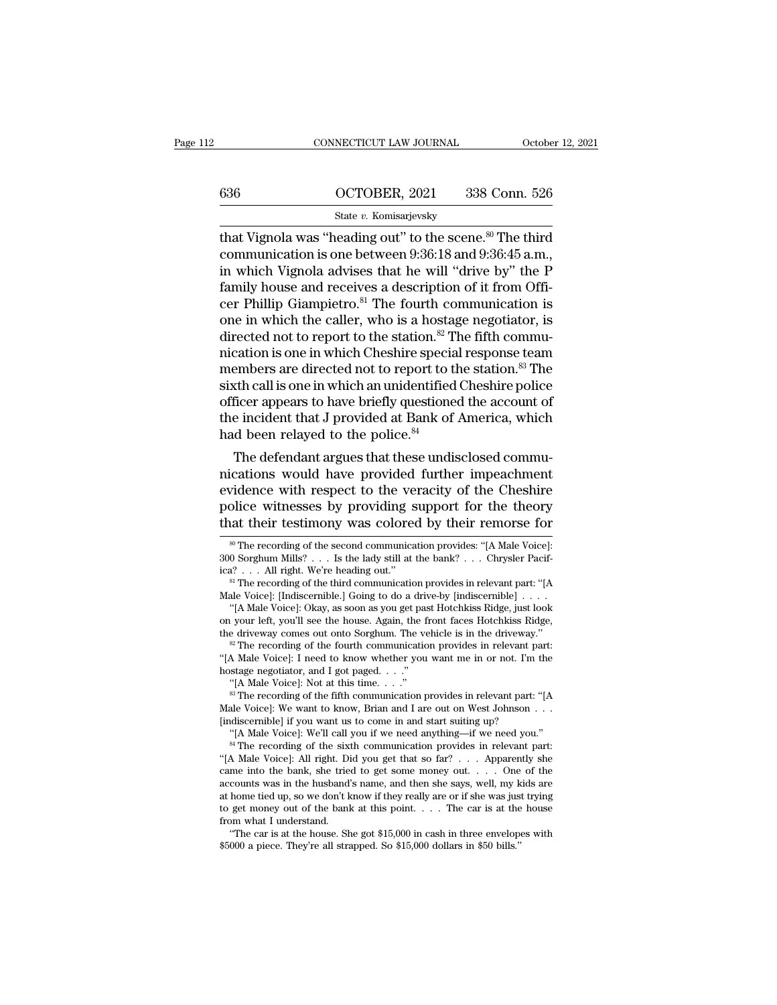|     | CONNECTICUT LAW JOURNAL | October 12, 2021 |
|-----|-------------------------|------------------|
|     |                         |                  |
| 636 | OCTOBER, 2021           | 338 Conn. 526    |
|     | State v. Komisarjevsky  |                  |

CONNECTICUT LAW JOURNAL October 12, 2021<br>
636 OCTOBER, 2021 338 Conn. 526<br>
5tate v. Komisarjevsky<br>
that Vignola was "heading out" to the scene.<sup>80</sup> The third<br>
communication is one between 9:36:18 and 9:36:45 a.m.,<br>
in whi communication is one between 9:36:18 and 9:36:45 a.m., 636 **COTOBER**, 2021 338 Conn. 526<br>
State v. Komisarjevsky<br>
that Vignola was "heading out" to the scene.<sup>80</sup> The third<br>
communication is one between 9:36:18 and 9:36:45 a.m.,<br>
in which Vignola advises that he will "drive b 636 **COTOBER, 2021** 338 Conn. 526<br>
State v. Komisarjevsky<br>
that Vignola was "heading out" to the scene.<sup>80</sup> The third<br>
communication is one between 9:36:18 and 9:36:45 a.m.,<br>
in which Vignola advises that he will "drive b State v. Komisarjevsky<br>
that Vignola was "heading out" to the scene.<sup>80</sup> The third<br>
communication is one between 9:36:18 and 9:36:45 a.m.,<br>
in which Vignola advises that he will "drive by" the P<br>
family house and receives state v. Komsarjevsky<br>that Vignola was "heading out" to the scene.<sup>80</sup> The third<br>communication is one between 9:36:18 and 9:36:45 a.m.,<br>in which Vignola advises that he will "drive by" the P<br>family house and receives a de that Vignola was "heading out" to the scene.<sup>80</sup> The third communication is one between 9:36:18 and 9:36:45 a.m., in which Vignola advises that he will "drive by" the P family house and receives a description of it from O communication is one between 9:36:18 and 9:36:45 a.m.,<br>in which Vignola advises that he will "drive by" the P<br>family house and receives a description of it from Offi-<br>cer Phillip Giampietro.<sup>81</sup> The fourth communication is in which Vignola advises that he will "drive by" the P<br>family house and receives a description of it from Offi-<br>cer Phillip Giampietro.<sup>81</sup> The fourth communication is<br>one in which the caller, who is a hostage negotiator, family house and receives a description of it from Officer Phillip Giampietro.<sup>81</sup> The fourth communication is<br>one in which the caller, who is a hostage negotiator, is<br>directed not to report to the station.<sup>82</sup> The fifth c cer Phillip Giampietro.<sup>81</sup> The fourth communication is<br>one in which the caller, who is a hostage negotiator, is<br>directed not to report to the station.<sup>82</sup> The fifth commu-<br>nication is one in which Cheshire special respon one in which the caller, who is a hostage negotiator, is<br>directed not to report to the station.<sup>82</sup> The fifth commu-<br>nication is one in which Cheshire special response team<br>members are directed not to report to the station directed not to report to the station.<sup>82</sup> T<br>mication is one in which Cheshire specia<br>members are directed not to report to tl<br>sixth call is one in which an unidentified<br>officer appears to have briefly questione<br>the incide cation is one in which chesnire special response team<br>embers are directed not to report to the station.<sup>83</sup> The<br>th call is one in which an unidentified Cheshire police<br>ficer appears to have briefly questioned the account o members are directed not to report to the station.<sup>35</sup> The<br>sixth call is one in which an unidentified Cheshire police<br>officer appears to have briefly questioned the account of<br>the incident that J provided at Bank of Ameri

sixth call is one in which an unidentified Cheshire police<br>officer appears to have briefly questioned the account of<br>the incident that J provided at Bank of America, which<br>had been relayed to the police.<sup>84</sup><br>The defendant of the incident that J provided at Bank of America, which<br>the incident that J provided at Bank of America, which<br>had been relayed to the police.<sup>84</sup><br>The defendant argues that these undisclosed commu-<br>nications would have p the incident that J provided at Bank of America, which<br>had been relayed to the police.<sup>84</sup><br>The defendant argues that these undisclosed commu-<br>nications would have provided further impeachment<br>evidence with respect to the v ications would have provided further impeachment<br>vidence with respect to the veracity of the Cheshire<br>plice witnesses by providing support for the theory<br>at their testimony was colored by their remorse for<br><sup>30</sup> The recordi evidence with respect to the veracity of the Cheshire<br>police witnesses by providing support for the theory<br>that their testimony was colored by their remorse for<br> $\frac{1}{100}$  The recording of the second communication provid police witnesses by providing support for the theory<br>
that their testimony was colored by their remorse for<br>  $\blacksquare$ <br>  $\blacksquare$  The recording of the second communication provides: "[A Male Voice]:<br>  $\blacksquare$ <br>  $\blacksquare$  Sorghum Mill

<sup>&</sup>lt;sup>80</sup> The recording of the second communication provides: "[A Male Voice]: 300 Sorghum Mills? . . . Is the lady still at the bank? . . . Chrysler Pacifica? . . . All right. We're heading out."<br><sup>81</sup> The recording of the thi <sup>30</sup> The recording of the second communication provides: "[A Male Voice]: 0 Sorghum Mills? . . . Is the lady still at the bank? . . . Chrysler Pacif-<br><sup>32</sup> . . . All right. We're heading out."<br><sup>81</sup> The recording of the thi

<sup>&</sup>lt;sup>on</sup> The recording of the second communication provides: "[A Male Voice]: 300 Sorghum Mills? . . . Is the lady still at the bank? . . . Chrysler Pacifica? . . . All right. We're heading out."<br><sup>81</sup> The recording of the thi 300 Sorghum Mills? . . . Is the lady still at the bank? . . . Chrysler Pacifica? . . . All right. We're heading out."<br>
<sup>81</sup> The recording of the third communication provides in relevant part: "[A Male Voice]: [Indiscernib

<sup>&</sup>lt;sup>a</sup> The recording of the third communication provides in relevant part: "[A Male Voice]: [Indiscernible.] Going to do a drive-by [indiscernible] . . . . "[A Male Voice]: Okay, as soon as you get past Hotchkiss Ridge, just Male Voice]: [Indiscernible.] Going to do a driver "(A Male Voice]: Okay, as soon as you get pas on your left, you'll see the house. Again, the f<br>the driveway comes out onto Sorghum. The ve<br> $\overset{\text{w}}{\sim}$  The recording of "[A Male Voice]: Okay, as soon as you get past Hotchkiss Ridge, just look<br>vour left, you'll see the house. Again, the front faces Hotchkiss Ridge,<br>e driveway comes out onto Sorghum. The vehicle is in the driveway."<br><sup>28</sup> Th the driveway comes out onto Sorghum. The vehicle is in the driveway.<br>
<sup>82</sup> The recording of the fourth communication provides in relevant part:<br>
"[A Male Voice]: I need to know whether you want me in or not. I'm the<br>
host

<sup>&</sup>lt;sup>42</sup> The recording of the fourth communication provides in relevant per "(A Male Voice]: I need to know whether you want me in or not. I'm hostage negotiator, and I got paged. . . ."<br>"(A Male Voice]: Not at this time. . . A Male Voice]: I need to know whether you want me in or not. I'm the stage negotiator, and I got paged. . . ."<br>"[A Male Voice]: Not at this time. . . ."<br>"<br>In execording of the fifth communication provides in relevant part:

<sup>&</sup>quot;[A Male Voice]: Not at this time. . . ."<br>
<sup>83</sup> The recording of the fifth communication provides in relevant part: "[A<br>
Male Voice]: We want to know, Brian and I are out on West Johnson . . .<br>
[indiscernible] if you want <sup>o</sup> The recording of the fitth communication provides in relevant part: "[A Male Voice]: We want to know, Brian and I are out on West Johnson . . . [indiscernible] if you want us to come in and start suiting up? "[A Male V Male Voice]: We want to know, Brian and I are out on West Johnson . . . . [indiscernible] if you want us to come in and start suiting up? "[A Male Voice]: We'll call you if we need anything—if we need you." <sup>84</sup> The recor [mdiscernible] if you want us to come in and start suiting up?<br>
"[A Male Voice]: We'll call you if we need anything—if we need you."<br>
"<sup>44</sup> The recording of the sixth communication provides in relevant part:<br>
"[A Male Voic "[A Male Voice]: We'll call you if we need anything—if we need you."<br><sup>84</sup> The recording of the sixth communication provides in relevant part:<br>"(A Male Voice]: All right. Did you get that so far? . . . Apparently she<br>came <sup>or</sup> The recording of the sixi-<br>
"[A Male Voice]: All right. Di<br>
came into the bank, she tries<br>
accounts was in the husband'<br>
at home tied up, so we don't k<br>
to get money out of the bank<br>
from what I understand.<br>
"The car A Male Voice]: All right. Did you get that so  $\text{tar}'$  . . . Apparently she me into the bank, she tried to get some money out. . . . One of the counts was in the husband's name, and then she says, well, my kids are home ti came into the bank, she tried to get some money out. . . . One accounts was in the husband's name, and then she says, well, my k at home tied up, so we don't know if they really are or if she was just to get money out of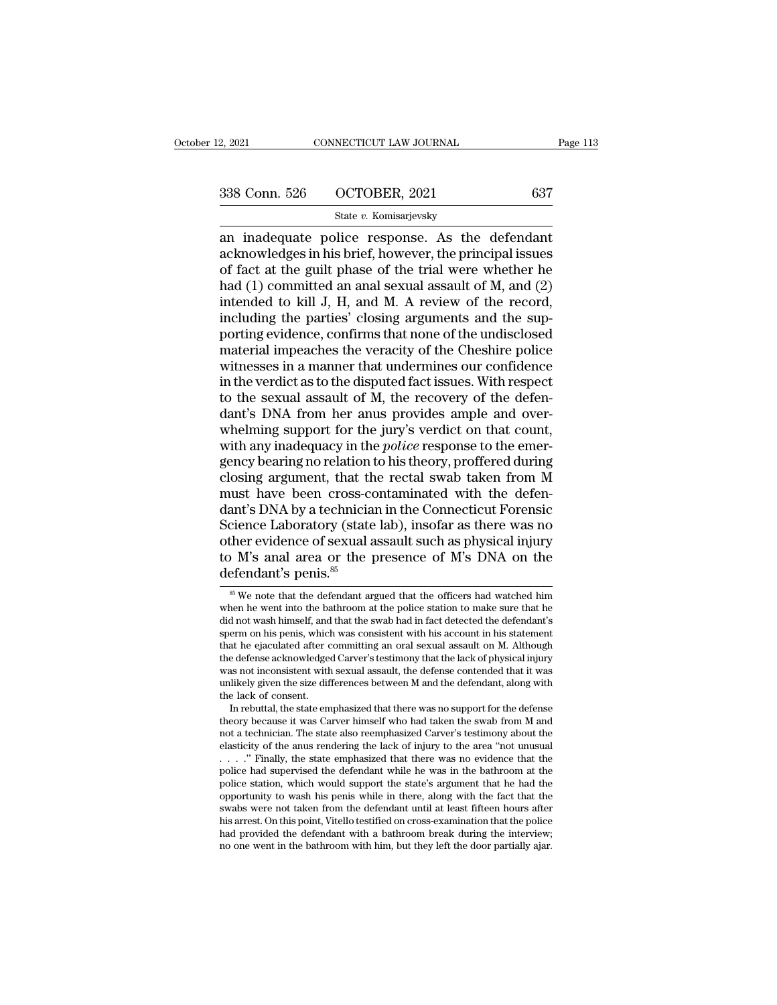# 338 Conn. 526 OCTOBER, 2021 <sup>637</sup>

### State *v.* Komisarjevsky

2, 2021 CONNECTICUT LAW JOURNAL Page 11:<br>  $\begin{array}{r}\n 338 \text{ Conn. } 526 \quad \text{OCTOBER, } 2021 \quad \text{637} \\
 \hline\n \text{State } v. \text{ Komisarievsky}\n\end{array}$ <br>
an inadequate police response. As the defendant<br>
acknowledges in his brief, however, the principal is 338 Conn. 526 OCTOBER, 2021 637<br>
State v. Komisarjevsky<br>
an inadequate police response. As the defendant<br>
acknowledges in his brief, however, the principal issues<br>
of fact at the guilt phase of the trial were whether he<br> 338 Conn. 526 OCTOBER, 2021 637<br>
State v. Komisarjevsky<br>
an inadequate police response. As the defendant<br>
acknowledges in his brief, however, the principal issues<br>
of fact at the guilt phase of the trial were whether he<br> 338 Conn. 526 OCTOBER, 2021 637<br>
State v. Komisarjevsky<br>
an inadequate police response. As the defendant<br>
acknowledges in his brief, however, the principal issues<br>
of fact at the guilt phase of the trial were whether he<br> State v. Komisarjevsky<br>
an inadequate police response. As the defendant<br>
acknowledges in his brief, however, the principal issues<br>
of fact at the guilt phase of the trial were whether he<br>
had (1) committed an anal sexual State v. Komisarjevsky<br>
an inadequate police response. As the defendant<br>
acknowledges in his brief, however, the principal issues<br>
of fact at the guilt phase of the trial were whether he<br>
had (1) committed an anal sexual an inadequate police response. As the defendant<br>acknowledges in his brief, however, the principal issues<br>of fact at the guilt phase of the trial were whether he<br>had (1) committed an anal sexual assault of M, and (2)<br>intend acknowledges in his brief, however, the principal issues<br>of fact at the guilt phase of the trial were whether he<br>had (1) committed an anal sexual assault of M, and (2)<br>intended to kill J, H, and M. A review of the record,<br> of fact at the guilt phase of the trial were whether he<br>had (1) committed an anal sexual assault of M, and (2)<br>intended to kill J, H, and M. A review of the record,<br>including the parties' closing arguments and the sup-<br>po had (1) committed an anal sexual assault of M, and (2) intended to kill J, H, and M. A review of the record, including the parties' closing arguments and the supporting evidence, confirms that none of the undisclosed mater intended to kill J, H, and M. A review of the record,<br>including the parties' closing arguments and the sup-<br>porting evidence, confirms that none of the undisclosed<br>material impeaches the veracity of the Cheshire police<br>wit including the parties' closing arguments and the sup-<br>porting evidence, confirms that none of the undisclosed<br>material impeaches the veracity of the Cheshire police<br>witnesses in a manner that undermines our confidence<br>in t porting evidence, confirms that none of the undisclosed<br>material impeaches the veracity of the Cheshire police<br>witnesses in a manner that undermines our confidence<br>in the verdict as to the disputed fact issues. With respec material impeaches the veracity of the Cheshire police<br>witnesses in a manner that undermines our confidence<br>in the verdict as to the disputed fact issues. With respect<br>to the sexual assault of M, the recovery of the defenwitnesses in a manner that undermines our confidence<br>in the verdict as to the disputed fact issues. With respect<br>to the sexual assault of M, the recovery of the defen-<br>dant's DNA from her anus provides ample and over-<br>whel in the verdict as to the disputed fact issues. With respect<br>to the sexual assault of M, the recovery of the defen-<br>dant's DNA from her anus provides ample and over-<br>whelming support for the jury's verdict on that count,<br>wi to the sexual assault of  $\tilde{M}$ , the recovery of the defen-<br>dant's DNA from her anus provides ample and over-<br>whelming support for the jury's verdict on that count,<br>with any inadequacy in the *police* response to the em dant's DNA from her anus provides ample and over-<br>whelming support for the jury's verdict on that count,<br>with any inadequacy in the *police* response to the emer-<br>gency bearing no relation to his theory, proffered during<br>c whelming support for the jury's verdict on that count,<br>with any inadequacy in the *police* response to the emer-<br>gency bearing no relation to his theory, proffered during<br>closing argument, that the rectal swab taken from with any inadequacy in the *police* response to the emergency bearing no relation to his theory, proffered during closing argument, that the rectal swab taken from M must have been cross-contaminated with the defendant's gency bearing no relation to his theory, proffered during<br>closing argument, that the rectal swab taken from M<br>must have been cross-contaminated with the defen-<br>dant's DNA by a technician in the Connecticut Forensic<br>Science closing argument, that the<br>must have been cross-codant's DNA by a technicial<br>Science Laboratory (state<br>other evidence of sexual a<br>to M's anal area or the p<br>defendant's penis.<sup>85</sup> cience Laboratory (state lab), insofar as there was no<br>ther evidence of sexual assault such as physical injury<br> $\sim$  M's anal area or the presence of M's DNA on the<br>efendant's penis.<sup>85</sup><br><sup>85</sup> We note that the defendant arg other evidence of sexual assault such as physical injury<br>to M's anal area or the presence of M's DNA on the<br>defendant's penis.<sup>85</sup><br> $\frac{1}{100}$  when the the defendant argued that the officers had watched him<br>when he went i

to M's anal area or the presence of M's DNA on the defendant's penis.<sup>85</sup><br>to M's anal area or the presence of M's DNA on the defendant's penis.<sup>85</sup><br> $\frac{1}{100}$  was that the defendant argued that the officers had watched h defendant's penis.  $^{85}$ <br>  $^{85}$  We note that the defendant argued that the officers had watched him<br>
when he went into the bathroom at the police station to make sure that he<br>
did not wash himself, and that the swab had defendant's penis.<sup>85</sup><br>
<sup>85</sup> We note that the defendant argued that the officers had watched him<br>
when he went into the bathroom at the police station to make sure that he<br>
did not wash himself, and that the swab had in fa  $\frac{1}{100}$  we note that the defendant argued that the officers had watched him when he went into the bathroom at the police station to make sure that he did not wash himself, and that the swab had in fact detected the de we note that the defendant argued that the officers had watched him<br>when he went into the bathroom at the police station to make sure that he<br>did not wash himself, and that the swab had in fact detected the defendant's<br>sp when he went into the bathroom at the police station to make sure that he did not wash himself, and that the swab had in fact detected the defendant's sperm on his penis, which was consistent with his account in his statem sperm on his penis, which was consistent with his account in his statement<br>that he ejaculated after committing an oral sexual assault on M. Although<br>the defense acknowledged Carver's testimony that the lack of physical inj erm on his penis, which was consistent with his account in his statement<br>at he ejaculated after committing an oral sexual assault on M. Although<br>e defense acknowledged Carver's testimony that the lack of physical injury<br>as that he ejaculated atter committing an oral sexual assault on M. Although<br>the defense acknowledged Carver's testimony that the lack of physical injury<br>was not inconsistent with sexual assault, the defense contended that it

the defense acknowledged Carver's testimony that the lack of physical injury<br>was not inconsistent with sexual assault, the defense contended that it was<br>unlikely given the size differences between M and the defendant, alon not a technician. The state also reemphasized Carver's testimony about the elasticity of the anus rendering the lack of injury to the area "not unusual . . . . . " Finally, the state emphasized that there was no evidence unikely given the size differences between  $M$  and the defendant, along with<br>the lack of consent.<br>In rebuttal, the state emphasized that there was no support for the defense<br>theory because it was Carver himself who had ta the lack of consent.<br>
In rebuttal, the state emphasized that there was no support for the defense<br>
theory because it was Carver himself who had taken the swab from M and<br>
not a technician. The state also reemphasized Carv In rebuttal, the state emphasized that there was no support for the defense theory because it was Carver himself who had taken the swab from M and not a technician. The state also reemphasized Carver's testimony about the theory because it was Carver himself who had taken the swab from M and not a technician. The state also reemphasized Carver's testimony about the elasticity of the anus rendering the lack of injury to the area "not unusua not a technician. The state also reemphasized Carver's testimony about the elasticity of the anus rendering the lack of injury to the area "not unusual  $\ldots$ ." Finally, the state emphasized that there was no evidence that elasticity of the anus rendering the lack of mjury to the area "not unusual  $\ldots$ "." Finally, the state emphasized that there was no evidence that the police had supervised the defendant while he was in the bathroom at th  $\ldots$   $\ddot{\ldots}$  Finally, the state emphasized that there was no evidence that the police had supervised the defendant while he was in the bathroom at the police station, which would support the state's argument that he ha police station, which would support the state's argument that he had the opportunity to wash his penis while in there, along with the fact that the swabs were not taken from the defendant until at least fifteen hours after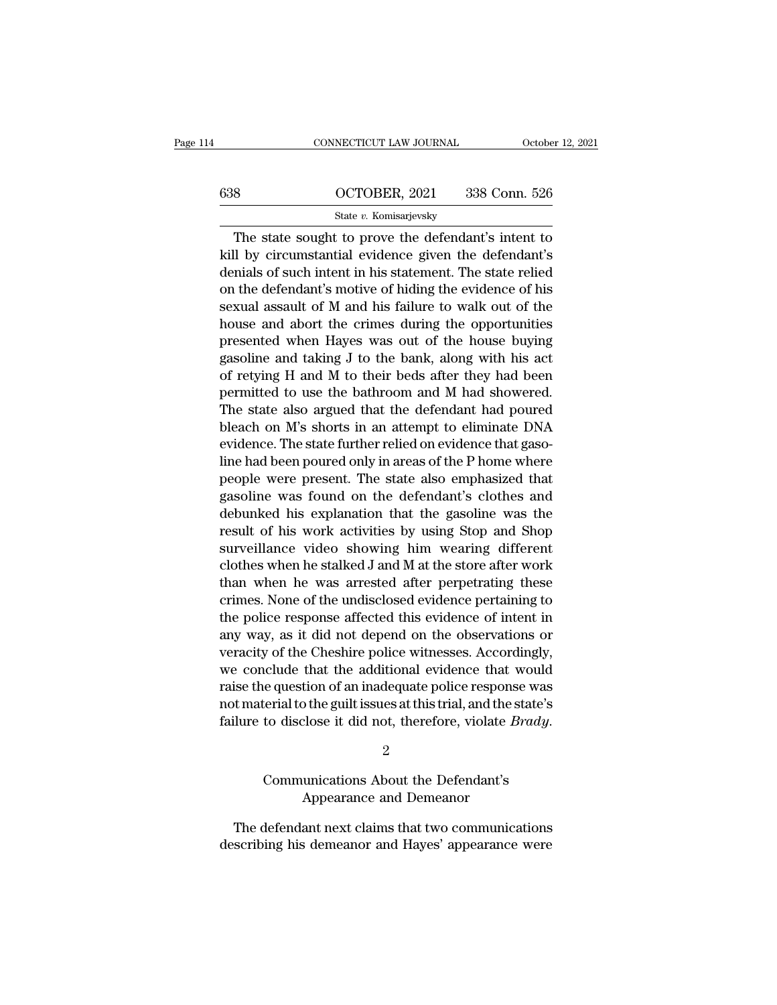| 14  | CONNECTICUT LAW JOURNAL                                                                                      | October 12, 2021                                          |
|-----|--------------------------------------------------------------------------------------------------------------|-----------------------------------------------------------|
|     |                                                                                                              |                                                           |
| 638 | OCTOBER, 2021                                                                                                | 338 Conn. 526                                             |
|     | State v. Komisarjevsky                                                                                       |                                                           |
|     | The state sought to prove the defendant's intent to<br>kill by circumstantial evidence given the defendant's | denials of such intent in his statement. The state relied |

638 OCTOBER, 2021 338 Conn. 526<br>
State v. Komisarjevsky<br>
The state sought to prove the defendant's intent to<br>
kill by circumstantial evidence given the defendant's<br>
denials of such intent in his statement. The state relie 638 OCTOBER, 2021 338 Conn. 526<br>
State v. Komisarjevsky<br>
The state sought to prove the defendant's intent to<br>
kill by circumstantial evidence given the defendant's<br>
denials of such intent in his statement. The state relie **EXECUTE:** OCTOBER, 2021 338 Conn. 526<br>
State v. Komisarjevsky<br>
The state sought to prove the defendant's intent to<br>
kill by circumstantial evidence given the defendant's<br>
denials of such intent in his statement. The stat State v. Komisarjevsky<br>
The state sought to prove the defendant's intent to<br>
kill by circumstantial evidence given the defendant's<br>
denials of such intent in his statement. The state relied<br>
on the defendant's motive of h The state sought to prove the defendant's intent to<br>kill by circumstantial evidence given the defendant's<br>denials of such intent in his statement. The state relied<br>on the defendant's motive of hiding the evidence of his<br>se The state sought to prove the defendant's intent to<br>kill by circumstantial evidence given the defendant's<br>denials of such intent in his statement. The state relied<br>on the defendant's motive of hiding the evidence of his<br>se kill by circumstantial evidence given the detendant's<br>denials of such intent in his statement. The state relied<br>on the defendant's motive of hiding the evidence of his<br>sexual assault of M and his failure to walk out of the denials of such intent in his statement. The state relied<br>on the defendant's motive of hiding the evidence of his<br>sexual assault of M and his failure to walk out of the<br>house and abort the crimes during the opportunities<br>p on the detendant's motive of hiding the evidence of his<br>sexual assault of M and his failure to walk out of the<br>house and abort the crimes during the opportunities<br>presented when Hayes was out of the house buying<br>gasoline a sexual assault of M and his failure to walk out of the<br>house and abort the crimes during the opportunities<br>presented when Hayes was out of the house buying<br>gasoline and taking J to the bank, along with his act<br>of retying H house and abort the crimes during the opportunities<br>presented when Hayes was out of the house buying<br>gasoline and taking J to the bank, along with his act<br>of retying H and M to their beds after they had been<br>permitted to u presented when Hayes was out of the house buying<br>gasoline and taking J to the bank, along with his act<br>of retying H and M to their beds after they had been<br>permitted to use the bathroom and M had showered.<br>The state also a gasoline and taking J to the bank, along with his act<br>of retying H and M to their beds after they had been<br>permitted to use the bathroom and M had showered.<br>The state also argued that the defendant had poured<br>bleach on M's of retying H and M to their beds after they had been<br>permitted to use the bathroom and M had showered.<br>The state also argued that the defendant had poured<br>bleach on M's shorts in an attempt to eliminate DNA<br>evidence. The s permitted to use the bathroom and M had showered.<br>The state also argued that the defendant had poured<br>bleach on M's shorts in an attempt to eliminate DNA<br>evidence. The state further relied on evidence that gaso-<br>line had b The state also argued that the defendant had poured<br>bleach on M's shorts in an attempt to eliminate DNA<br>evidence. The state further relied on evidence that gaso-<br>line had been poured only in areas of the P home where<br>peopl bleach on M's shorts in an attempt to eliminate DNA<br>evidence. The state further relied on evidence that gaso-<br>line had been poured only in areas of the P home where<br>people were present. The state also emphasized that<br>gasol evidence. The state further relied on evidence that gaso-<br>line had been poured only in areas of the P home where<br>people were present. The state also emphasized that<br>gasoline was found on the defendant's clothes and<br>debunke ime nad been poured only in areas of the P home where<br>people were present. The state also emphasized that<br>gasoline was found on the defendant's clothes and<br>debunked his explanation that the gasoline was the<br>result of his w people were present. The state also emphasized that<br>gasoline was found on the defendant's clothes and<br>debunked his explanation that the gasoline was the<br>result of his work activities by using Stop and Shop<br>surveillance vid gasoline was found on the defendant's clothes and<br>debunked his explanation that the gasoline was the<br>result of his work activities by using Stop and Shop<br>surveillance video showing him wearing different<br>clothes when he sta debunked his explanation that the gasoline was the<br>result of his work activities by using Stop and Shop<br>surveillance video showing him wearing different<br>clothes when he stalked J and M at the store after work<br>than when he result of his work activities by using Stop and Shop<br>surveillance video showing him wearing different<br>clothes when he stalked J and M at the store after work<br>than when he was arrested after perpetrating these<br>crimes. None survelhance video showing nim wearing different<br>clothes when he stalked J and M at the store after work<br>than when he was arrested after perpetrating these<br>crimes. None of the undisclosed evidence pertaining to<br>the police r clothes when he stalked J and M at the store after work<br>than when he was arrested after perpetrating these<br>crimes. None of the undisclosed evidence pertaining to<br>the police response affected this evidence of intent in<br>any than when he was arrested arter perpetrating these<br>crimes. None of the undisclosed evidence pertaining to<br>the police response affected this evidence of intent in<br>any way, as it did not depend on the observations or<br>veracit crimes. None of the undisclosed evidence pertaining to<br>the police response affected this evidence of intent in<br>any way, as it did not depend on the observations or<br>veracity of the Cheshire police witnesses. Accordingly,<br>we the police response affected this evidence of intent in<br>any way, as it did not depend on the observations or<br>veracity of the Cheshire police witnesses. Accordingly,<br>we conclude that the additional evidence that would<br>raise e question of an inadequate police response was<br>terial to the guilt issues at this trial, and the state's<br>to disclose it did not, therefore, violate *Brady*.<br>2<br>Communications About the Defendant's<br>Appearance and Demeanor Appearance and Demeanor

The defendant next claims that two communications<br>
The defendant next claims that two communications<br>
scribing his demeanor and Hayes' appearance were  $\begin{array}{c} 2 \\ \text{Communications About the Defendant's} \\ \text{Appearance and Demeanor} \\ \text{The defendant next claims that two communications} \\ \text{describing his demeanor and Hayes' appearance were} \end{array}$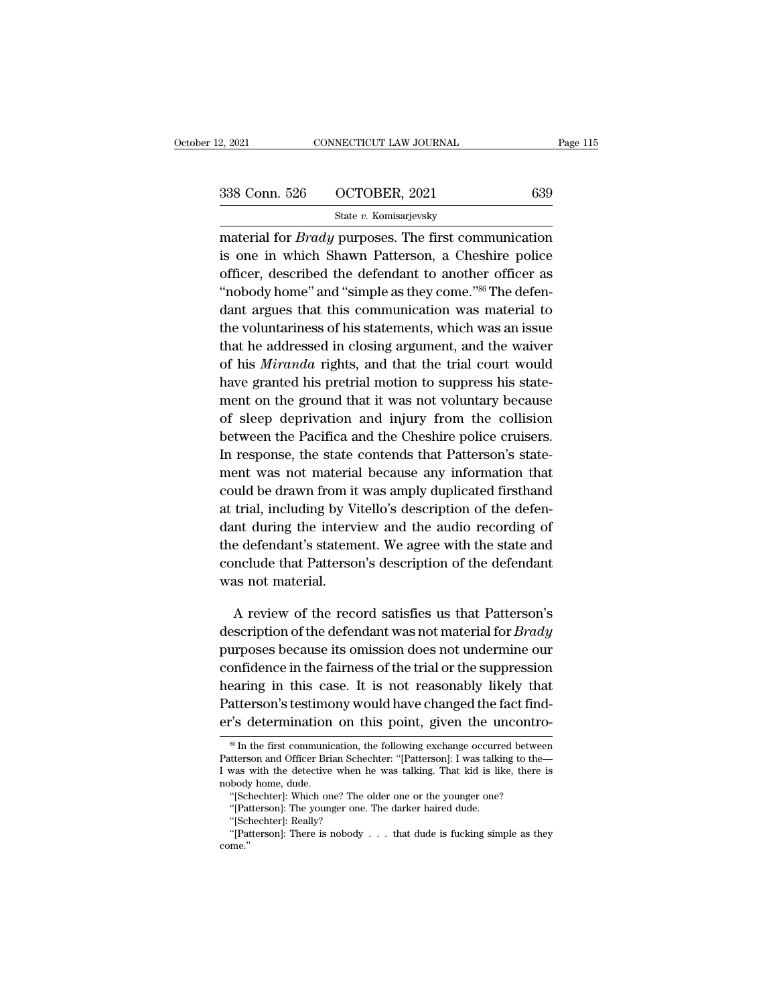| 2, 2021       | CONNECTICUT LAW JOURNAL | Page 115 |
|---------------|-------------------------|----------|
| 338 Conn. 526 | OCTOBER, 2021           | 639      |
|               | State v. Komisarjevsky  |          |

2, 2021 CONNECTICUT LAW JOURNAL Page 115<br>
338 Conn. 526 OCTOBER, 2021 639<br>
5tate v. Komisarjevsky<br>
material for *Brady* purposes. The first communication<br>
is one in which Shawn Patterson, a Cheshire police 338 Conn. 526 OCTOBER, 2021 639<br>
State v. Komisarjevsky<br>
material for *Brady* purposes. The first communication<br>
is one in which Shawn Patterson, a Cheshire police<br>
officer, described the defendant to another officer as 338 Conn. 526 OCTOBER, 2021 639<br>
State v. Komisarjevsky<br>
material for *Brady* purposes. The first communication<br>
is one in which Shawn Patterson, a Cheshire police<br>
officer, described the defendant to another officer as<br> <sup>338</sup> Conn. 526  $\qquad$  OCTOBER, 2021  $\qquad$  639<br>  $\qquad$  State *v*. Komisarjevsky<br>
material for *Brady* purposes. The first communication<br>
is one in which Shawn Patterson, a Cheshire police<br>
officer, described the defendant t State v. Komisarjevsky<br>
material for *Brady* purposes. The first communication<br>
is one in which Shawn Patterson, a Cheshire police<br>
officer, described the defendant to another officer as<br>
"nobody home" and "simple as they material for *Brady* purposes. The first communication<br>is one in which Shawn Patterson, a Cheshire police<br>officer, described the defendant to another officer as<br>"nobody home" and "simple as they come."<sup>86</sup> The defen-<br>dant that the *Bratay* parposes. The first commandation<br>is one in which Shawn Patterson, a Cheshire police<br>officer, described the defendant to another officer as<br>"nobody home" and "simple as they come."<sup>86</sup> The defen-<br>dant argu officer, described the defendant to another officer as<br>
"nobody home" and "simple as they come."<sup>86</sup> The defen-<br>
dant argues that this communication was material to<br>
the voluntariness of his statements, which was an issue<br> "hobody home" and "simple as they come."<sup>86</sup> The defendant argues that this communication was material to the voluntariness of his statements, which was an issue that he addressed in closing argument, and the waiver of hi mental and single as andy come. The acter<br>dant argues that this communication was material to<br>the voluntariness of his statements, which was an issue<br>that he addressed in closing argument, and the waiver<br>of his *Miranda* r dant digits and this communication was matched to<br>the voluntariness of his statements, which was an issue<br>that he addressed in closing argument, and the waiver<br>of his *Miranda* rights, and that the trial court would<br>have g that he addressed in closing argument, and the waiver<br>of his *Miranda* rights, and that the trial court would<br>have granted his pretrial motion to suppress his state-<br>ment on the ground that it was not voluntary because<br>of In this *Miranda* rights, and that the trial court would<br>have granted his pretrial motion to suppress his state-<br>ment on the ground that it was not voluntary because<br>of sleep deprivation and injury from the collision<br>betwe ment on the ground that it was not voluntary because<br>have granted his pretrial motion to suppress his state-<br>ment on the ground that it was not voluntary because<br>of sleep deprivation and injury from the collision<br>between t ment on the ground that it was not voluntary because<br>of sleep deprivation and injury from the collision<br>between the Pacifica and the Cheshire police cruisers.<br>In response, the state contends that Patterson's state-<br>ment wa at the desired and the was not volumary because<br>of sleep deprivation and injury from the collision<br>between the Pacifica and the Cheshire police cruisers.<br>In response, the state contends that Patterson's state-<br>ment was not or sicep deprivation and hijary from the consisting<br>between the Pacifica and the Cheshire police cruisers.<br>In response, the state contends that Patterson's state-<br>ment was not material because any information that<br>could be In response, the state contends that Patterson's statement was not material because any information that could be drawn from it was amply duplicated firsthand at trial, including by Vitello's description of the defendant d In response, the state contends that Patterson's state<br>ment was not material because any information that<br>could be drawn from it was amply duplicated firsthand<br>at trial, including by Vitello's description of the defen-<br>dan ment was not material<br>could be drawn from it<br>at trial, including by V<sub>i</sub><br>dant during the interv<br>the defendant's statem<br>conclude that Patterso<br>was not material. trial, including by vitelio's description of the defendent<br>and during the interview and the audio recording of<br>e defendant's statement. We agree with the state and<br>nclude that Patterson's description of the defendant<br>as no dant during the interview and the audio recording of<br>the defendant's statement. We agree with the state and<br>conclude that Patterson's description of the defendant<br>was not material.<br>A review of the record satisfies us that

the defendant s statement. We agree with the state and<br>conclude that Patterson's description of the defendant<br>was not material.<br>A review of the record satisfies us that Patterson's<br>description of the defendant was not mate conclude that Patterson's description of the defendant<br>was not material.<br>A review of the record satisfies us that Patterson's<br>description of the defendant was not material for *Brady*<br>purposes because its omission does not was not material.<br>
A review of the record satisfies us that Patterson's<br>
description of the defendant was not material for *Brady*<br>
purposes because its omission does not undermine our<br>
confidence in the fairness of the tr A review of the record satisfies us that Patterson's<br>description of the defendant was not material for *Brady*<br>purposes because its omission does not undermine our<br>confidence in the fairness of the trial or the suppression description of the defendant was not material for *Brady*<br>purposes because its omission does not undermine our<br>confidence in the fairness of the trial or the suppression<br>hearing in this case. It is not reasonably likely t earing in this case. It is not reasonably likely that<br>atterson's testimony would have changed the fact find-<br>"S determination on this point, given the uncontro-<br>"In the first communication, the following exchange occurred hearing in this case. It is not reasonably likely that<br>Patterson's testimony would have changed the fact find-<br>er's determination on this point, given the uncontro-<br><sup>86</sup> In the first communication, the following exchange o

Patterson's testimony would have changed the fact find-<br>er's determination on this point, given the uncontro-<br><sup>86</sup> In the first communication, the following exchange occurred between<br>Patterson and Officer Brian Schechter: er's determination<br>
<sup>86</sup> In the first communic<br>
Patterson and Officer Bria<br>
I was with the detective<br>
mobody home, dude.<br>
"[Schechter]: Which on "S determination on this point, given the uncontrowned is the first communication, the following exchange occurred between the first communication, the following exchange occurred between there or the stars with the detect <sup>36</sup> In the first communication, the following exchange occurre<br>tterson and Officer Brian Schechter: "[Patterson]: I was talki<br>was with the detective when he was talking. That kid is lil<br>body home, dude.<br>"[Schechter]: Whic Patterson and Officer Brian Schechter: "[Patterson]: I was talking to the—<br>I was with the detective when he was talking. That kid is like, there is<br>nobody home, dude. "[Schechter]: Which one? The older one or the younger

<sup>&#</sup>x27;'[Patterson]: There is nobody . . . that dude is fucking simple as they come.''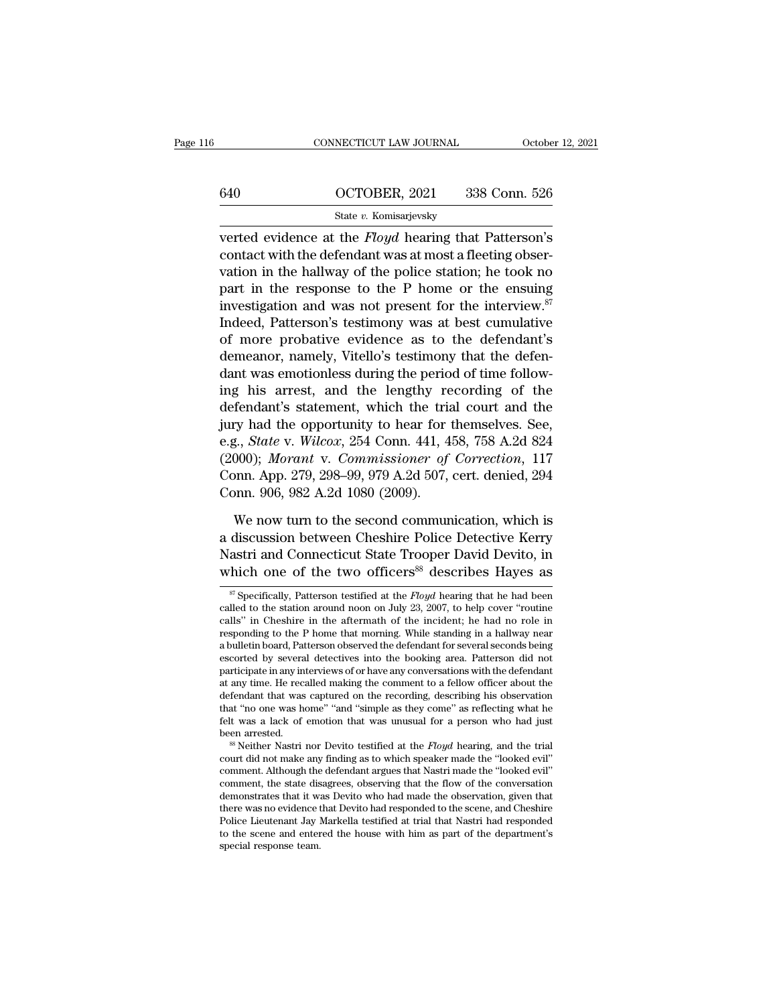|     | CONNECTICUT LAW JOURNAL                                                                                                                                                              | October 12, 2021 |
|-----|--------------------------------------------------------------------------------------------------------------------------------------------------------------------------------------|------------------|
|     |                                                                                                                                                                                      |                  |
| 640 | OCTOBER, 2021                                                                                                                                                                        | 338 Conn. 526    |
|     | State v. Komisarjevsky                                                                                                                                                               |                  |
|     | verted evidence at the <i>Floyd</i> hearing that Patterson's<br>contact with the defendant was at most a fleeting obser-<br>rotion in the hollwey of the nolice station, he tools no |                  |

640 **CONTOBER, 2021** 338 Conn. 526<br>
State v. Komisarjevsky<br>
verted evidence at the *Floyd* hearing that Patterson's<br>
contact with the defendant was at most a fleeting obser-<br>
vation in the hallway of the police station; h 640 OCTOBER, 2021 338 Conn. 526<br>
State v. Komisarjevsky<br>
verted evidence at the *Floyd* hearing that Patterson's<br>
contact with the defendant was at most a fleeting obser-<br>
vation in the hallway of the police station; he t 640 OCTOBER, 2021 338 Conn. 526<br>
State v. Komisarjevsky<br>
verted evidence at the *Floyd* hearing that Patterson's<br>
contact with the defendant was at most a fleeting obser-<br>
vation in the hallway of the police station; he t State *v*. Komisarjevsky<br>verted evidence at the *Floyd* hearing that Patterson's<br>contact with the defendant was at most a fleeting obser-<br>vation in the hallway of the police station; he took no<br>part in the response to the State *v.* Romssarjevsky<br>verted evidence at the *Floyd* hearing that Patterson's<br>contact with the defendant was at most a fleeting obser-<br>vation in the hallway of the police station; he took no<br>part in the response to the verted evidence at the *Floyd* hearing that Patterson's<br>contact with the defendant was at most a fleeting obser-<br>vation in the hallway of the police station; he took no<br>part in the response to the P home or the ensuing<br>inv contact with the defendant was at most a fleeting observation in the hallway of the police station; he took no<br>part in the response to the P home or the ensuing<br>investigation and was not present for the interview.<sup>87</sup><br>Inde vation in the hallway of the police station; he took no<br>part in the response to the P home or the ensuing<br>investigation and was not present for the interview.<sup>87</sup><br>Indeed, Patterson's testimony was at best cumulative<br>of mor part in the response to the P home or the ensuing<br>investigation and was not present for the interview.<sup>87</sup><br>Indeed, Patterson's testimony was at best cumulative<br>of more probative evidence as to the defendant's<br>demeanor, nam investigation and was not present for the interview.<sup>87</sup><br>Indeed, Patterson's testimony was at best cumulative<br>of more probative evidence as to the defendant's<br>demeanor, namely, Vitello's testimony that the defen-<br>dant was Indeed, Patterson's testimony was at best cumulative<br>of more probative evidence as to the defendant's<br>demeanor, namely, Vitello's testimony that the defen-<br>dant was emotionless during the period of time follow-<br>ing his arr of more probative evidence as to the defendant's<br>demeanor, namely, Vitello's testimony that the defen-<br>dant was emotionless during the period of time follow-<br>ing his arrest, and the lengthy recording of the<br>defendant's sta demeanor, namely, Vitello's testimony that the defen-<br>dant was emotionless during the period of time follow-<br>ing his arrest, and the lengthy recording of the<br>defendant's statement, which the trial court and the<br>jury had th dant was emotionless during the period of time following his arrest, and the lengthy recording of the defendant's statement, which the trial court and the jury had the opportunity to hear for themselves. See, e.g., *State* ing his arrest, and the lengthy redefendant's statement, which the trial<br>jury had the opportunity to hear for the e.g., *State* v. *Wilcox*, 254 Conn. 441, 4<br>(2000); *Morant* v. *Commissioner of*<br>Conn. App. 279, 298–99, 97 ry had the opportunity to hear for themselves. See,<br>g., *State v. Wilcox*, 254 Conn. 441, 458, 758 A.2d 824<br>000); *Morant v. Commissioner of Correction*, 117<br>pnn. App. 279, 298–99, 979 A.2d 507, cert. denied, 294<br>pnn. 906, e.g., *State v. Wilcox*, 254 Conn. 441, 458, 758 A.2d 824 (2000); *Morant v. Commissioner of Correction*, 117 Conn. App. 279, 298–99, 979 A.2d 507, cert. denied, 294 Conn. 906, 982 A.2d 1080 (2009).<br>We now turn to the seco

(2000); *Morant v. Commissioner of Correction*, 117<br>Conn. App. 279, 298–99, 979 A.2d 507, cert. denied, 294<br>Conn. 906, 982 A.2d 1080 (2009).<br>We now turn to the second communication, which is<br>a discussion between Cheshire Conn. App. 279, 298–99, 979 A.2d 507, cert. denied, 294<br>Conn. 906, 982 A.2d 1080 (2009).<br>We now turn to the second communication, which is<br>a discussion between Cheshire Police Detective Kerry<br>Nastri and Connecticut State We now turn to the second communication, which is<br>discussion between Cheshire Police Detective Kerry<br>astri and Connecticut State Trooper David Devito, in<br>hich one of the two officers<sup>88</sup> describes Hayes as<br> $\frac{1}{87}$  Speci a discussion between Cheshire Police Detective Kerry<br>Nastri and Connecticut State Trooper David Devito, in<br>which one of the two officers<sup>88</sup> describes Hayes as<br> $\frac{1}{s}$  Specifically, Patterson testified at the *Floyd* he

Nastri and Connecticut State Trooper David Devito, in<br>which one of the two officers<sup>88</sup> describes Hayes as<br> $\frac{1}{\sqrt{2}}$  Specifically, Patterson testified at the *Floyd* hearing that he had been<br>called to the station aroun Frastri and Connecticut State Trooper David Devito, in<br>which one of the two officers<sup>88</sup> describes Hayes as<br> $\frac{\pi}{\sqrt{2}}$  Specifically, Patterson testified at the *Floyd* hearing that he had been<br>called to the station arou which one of the two officers<sup>oo</sup> describes Hayes as  $\frac{1}{\pi}$  Specifically, Patterson testified at the *Floyd* hearing that he had been called to the station around noon on July 23, 2007, to help cover "routine calls" i <sup>87</sup> Specifically, Patterson testified at the *Floyd* hearing that he had been called to the station around noon on July 23, 2007, to help cover "routine calls" in Cheshire in the aftermath of the incident; he had no role <sup>o</sup> Specifically, Patterson testified at the *Floyd* hearing that he had been called to the station around noon on July 23, 2007, to help cover "routine calls" in Cheshire in the aftermath of the incident; he had no role called to the station around noon on July 23, 2007, to help cover "routine calls" in Cheshire in the aftermath of the incident; he had no role in responding to the P home that morning. While standing in a hallway near a bu calls" in Cheshire in the attermath of the incident; he had no role in responding to the P home that morning. While standing in a hallway near a bulletin board, Patterson observed the defendant for several seconds being es responding to the P home that morning. While standing in a hallway near<br>a bulletin board, Patterson observed the defendant for several seconds being<br>escorted by several detectives into the booking area. Patterson did not<br>p a bulletin board, Patterson observed the detendant for several seconds being<br>escorted by several detectives into the booking area. Patterson did not<br>participate in any interviews of or have any conversations with the defe escorted by several detectives into the booking area. Patterson did not participate in any interviews of or have any conversations with the defendant at any time. He recalled making the comment to a fellow officer about th at any time. He recalled making the comment to a fellow officer about the defendant that was captured on the recording, describing his observation that "no one was home" "and "simple as they come" as reflecting what he fel

defendant that was captured on the recording, describing his observation<br>that "no one was home" "and "simple as they come" as reflecting what he<br>felt was a lack of emotion that was unusual for a person who had just<br>been a that "no one was home" "and "simple as they come" as reflecting what he<br>felt was a lack of emotion that was unusual for a person who had just<br>been arrested.<br><sup>88</sup> Neither Nastri nor Devito testified at the *Floyd* hearing, felt was a lack of emotion that was unusual for a person who had just<br>been arrested.<br><sup>88</sup> Neither Nastri nor Devito testified at the *Floyd* hearing, and the trial<br>court did not make any finding as to which speaker made th been arrested.<br>
<sup>88</sup> Neither Nastri nor Devito testified at the *Floyd* hearing, and the trial<br>
court did not make any finding as to which speaker made the "looked evil"<br>
comment. Although the defendant argues that Nastri <sup>os</sup> Netther Nastri nor Devito testified at the *Floyd* hearing, and the trial court did not make any finding as to which speaker made the "looked evil" comment. Although the defendant argues that Nastri made the "looked court did not make any inding as to which speaker made the "looked evil"<br>comment. Although the defendant argues that Nastri made the "looked evil"<br>comment, the state disagrees, observing that the flow of the conversation<br>d comment. Although the defendant argues that Nastri made the "looked evil" comment, the state disagrees, observing that the flow of the conversation demonstrates that it was Devito who had made the observation, given that t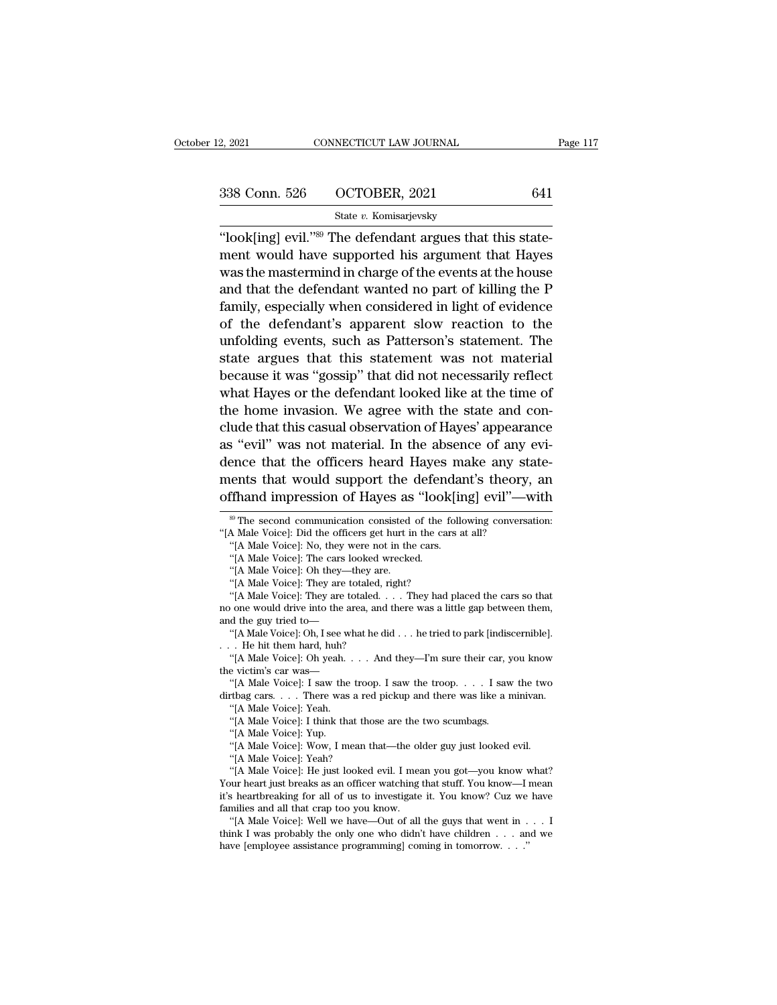| 2, 2021       | CONNECTICUT LAW JOURNAL | Page 117 |
|---------------|-------------------------|----------|
| 338 Conn. 526 | OCTOBER, 2021           | 641      |
|               | State v. Komisarjevsky  |          |

October 12, 2021 CONNECTICUT LAW JOURNAL<br>
338 Conn. 526 OCTOBER, 2021 641<br>
<sup>21</sup> State v. Komisarjevsky<br>
<sup>21</sup> The defendant argues that this state-<br>
ment would have supported his argument that Hayes<br>
was the mastermind in 338 Conn. 526 COCTOBER, 2021 641<br>State v. Komisarjevsky<br>"look[ing] evil."<sup>89</sup> The defendant argues that this state-<br>ment would have supported his argument that Hayes<br>was the mastermind in charge of the events at the house 338 Conn. 526 OCTOBER, 2021 641<br>
State v. Komisarjevsky<br>
"look[ing] evil."<sup>89</sup> The defendant argues that this state-<br>
ment would have supported his argument that Hayes<br>
was the mastermind in charge of the events at the ho 338 Conn. 526  $\cdot$  OCTOBER, 2021  $\cdot$  641<br>  $\cdot$  State v. Komisarjevsky<br>
"look[ing] evil."<sup>89</sup> The defendant argues that this state-<br>
ment would have supported his argument that Hayes<br>
was the mastermind in charge of the e State v. Komisarjevsky<br>
"look[ing] evil."<sup>89</sup> The defendant argues that this state-<br>
ment would have supported his argument that Hayes<br>
was the mastermind in charge of the events at the house<br>
and that the defendant wante "look[ing] evil." $^{89}$  The defendant argues that this state-<br>ment would have supported his argument that Hayes<br>was the mastermind in charge of the events at the house<br>and that the defendant wanted no part of killing the "look[ing] evil.""" The detendant argues that this state-<br>ment would have supported his argument that Hayes<br>was the mastermind in charge of the events at the house<br>and that the defendant wanted no part of killing the P<br>fa ment would have supported his argument that Hayes<br>was the mastermind in charge of the events at the house<br>and that the defendant wanted no part of killing the P<br>family, especially when considered in light of evidence<br>of th was the mastermind in charge of the events at the house<br>and that the defendant wanted no part of killing the P<br>family, especially when considered in light of evidence<br>of the defendant's apparent slow reaction to the<br>unfold and that the defendant wanted no part of killing the P<br>family, especially when considered in light of evidence<br>of the defendant's apparent slow reaction to the<br>unfolding events, such as Patterson's statement. The<br>state arg tamuy, especially when considered in light of evidence<br>of the defendant's apparent slow reaction to the<br>unfolding events, such as Patterson's statement. The<br>state argues that this statement was not material<br>because it was of the defendant's apparent slow reaction to the<br>unfolding events, such as Patterson's statement. The<br>state argues that this statement was not material<br>because it was "gossip" that did not necessarily reflect<br>what Hayes or unrolaing events, such as Patterson's statement. The<br>state argues that this statement was not material<br>because it was "gossip" that did not necessarily reflect<br>what Hayes or the defendant looked like at the time of<br>the hom state argues that this statement was not material<br>because it was "gossip" that did not necessarily reflect<br>what Hayes or the defendant looked like at the time of<br>the home invasion. We agree with the state and con-<br>clude th because it was "gossip" that did not necessarily reflect<br>what Hayes or the defendant looked like at the time of<br>the home invasion. We agree with the state and con-<br>clude that this casual observation of Hayes' appearance<br>as what Hayes or the defendant looked like at the time of<br>the home invasion. We agree with the state and con-<br>clude that this casual observation of Hayes' appearance<br>as "evil" was not material. In the absence of any evi-<br>denc <sup>89</sup> Four was not material. In the absence of any evi-<br>ence that the officers heard Hayes make any state-<br>ents that would support the defendant's theory, an<br>finand impression of Hayes as "look[ing] evil"—with<br><sup>89</sup> The seco dence that the officers heard Hayes make any st<br>
ments that would support the defendant's theory<br>
offhand impression of Hayes as "look[ing] evil"—<br>
<sup>99</sup> The second communication consisted of the following convers<br>
"[A Male ents that would support the defendainfinand impression of Hayes as "look[in"<br>
<sup>39</sup> The second communication consisted of the folk<br>
A Male Voice]: Did the officers get hurt in the cars a<br>
"[A Male Voice]: No, they were not

**offhand impression of Hayes as "look[ing] evil"—with**<br>
<sup>89</sup> The second communication consisted of the following conversation:<br>
"[A Male Voice]: Did the officers get hurt in the cars at all?<br>
"[A Male Voice]: No, they wer <sup>89</sup> The second communication consisted of the follow The SM Male Voice]: Did the officers get hurt in the cars. "[A Male Voice]: The cars looked wrecked. "[A Male Voice]: Oh they—they are totaled, right? "[A Male Voice]:

<sup>&</sup>quot;[A Male Voice]: No, they were not in the cars.

<sup>&</sup>lt;sup>30</sup> The second communication consisted of the following conversation:<br>A Male Voice]: Did the officers get hurt in the cars at all?<br>"[A Male Voice]: No, they were not in the cars.<br>"[A Male Voice]: The cars looked wrecked.<br> "[A Male Voice]: Did the officers get hurt in the cars at all?"<br>
"[A Male Voice]: No, they were not in the cars.<br>
"[A Male Voice]: The cars looked wrecked.<br>
"[A Male Voice]: They are totaled, right?<br>
"[A Male Voice]: They "[A Male Voice]: No, they were not in the "[A Male Voice]: The cars looked wreck"<br>(A Male Voice]: Oh they—they are.<br>"[A Male Voice]: They are totaled, right?"<br>[A Male Voice]: They are totaled. . . . . . . . . . . . . . . . "[A Male Voice]: The cars looked wrecked.<br>"[A Male Voice]: Oh, they—they are.<br>"[A Male Voice]: They are totaled, right?<br>"[A Male Voice]: They are totaled. . . . They had placed the cars so that<br>one would drive into the are "[A Male Voice]: On they—they are<br>"(A Male Voice]: They are totaled, i<br>"(A Male Voice]: They are totaled.<br>no one would drive into the area, and<br>and the guy tried to—<br>"(A Male Voice]: Oh, I see what he d<br>... He hit them har "[A Male Voice]: They are totaled, right?<br>"[A Male Voice]: They are totaled.... They had placed the cars so that<br>one would drive into the area, and there was a little gap between them,<br>d the guy tried to—<br>"[A Male Voice]:

no one would drive into the area, and there was a little gap between them,<br>and the guy tried to—<br>"[A Male Voice]: Oh, I see what he did . . . he tried to park [indiscernible].<br> $\ldots$  He hit them hard, huh?<br>"[A Male Voice]:

one would drive into the area, and there was a little gap between them,<br>
d the guy tried to—<br>
"[A Male Voice]: Oh, I see what he did . . . he tried to park [indiscernible].<br>
. He hit them hard, huh?<br>
"[A Male Voice]: Oh ye dirtbag cars. . . . There was a red pickup and there was like a minivan.<br>"[A Male Voice]: Yeah.<br>"[A Male Voice]: I think that those are the two scumbags. "[A Male Voice]: On, I see wl<br>
. He hit them hard, huh?<br>
"[A Male Voice]: Oh yeah.<br>
e victim's car was—<br>
"[A Male Voice]: I saw the<br>
rtbag cars. . . . There was<br>"[A Male Voice]: Yeah.<br>"[A Male Voice]: I think tha . He hit them hard, hun?<br>
"[A Male Voice]: Oh yeah. . . . And they—I'm sure their car, y<br>
"[A Male Voice]: I saw the troop. I saw the troop. . . . I saw<br>
that that those are the two scumbags.<br>
"[A Male Voice]: I think that "|A Male Voice]: On yeah.<br>
e victim's car was—<br>
"{A Male Voice]: I saw the<br>
trade voice]: Yeah.<br>
"{A Male Voice]: Yeah.<br>"{A Male Voice]: Yup.<br>"{A Male Voice]: Wow, I m<br>"{A Male Voice]: Wow, I m e victim's car was—<br>
"[A Male Voice]: I saw the troop. I saw the troop. . . . I saw the two<br>
trong cars. . . . There was a red pickup and there was like a minivan.<br>
"[A Male Voice]: Yeah.<br>"[A Male Voice]: Yup.<br>"[A Male Voi "[A Male Voice]: I saw the troof<br>tbag cars. . . . There was a ree<br>"[A Male Voice]: Yeah.<br>"[A Male Voice]: I think that the<br>"[A Male Voice]: Yow, I mean t<br>"[A Male Voice]: Yeah?<br>"[A Male Voice]: He just looked"

<sup>&</sup>quot;"[A Male Voice]: Yeah.<br>""[A Male Voice]: Yeah.<br>""[A Male Voice]: I think that those are the two scumbags.<br>""[A Male Voice]: Yup.<br>""[A Male Voice]: Wow, I mean that—the older guy just looked evil.<br>"[A Male Voice]: Yeah?"<br>" "[A Male Voice]: Yeah.<br>"[A Male Voice]: I think that those are the two scumbags.<br>"[A Male Voice]: Yup.<br>"[A Male Voice]: Wow, I mean that—the older guy just looked evil.<br>"[A Male Voice]: Yeah?<br>"[A Male Voice]: He just looke "[A Male Voice]: I think that those are the two scumbags.<br>
"[A Male Voice]: Yup.<br>
"[A Male Voice]: Yeah?<br>
"[A Male Voice]: Feah?<br>
"[A Male Voice]: He just looked evil. I mean you got—you know what?<br>
Your heart just breaks "[A Male Voice]: Yup.<br>
"(A Male Voice]: Wow, I mean that—the ol<br>
"(A Male Voice]: Yeah?<br>
"(A Male Voice]: He just looked evil. I mea<br>
Your heart just breaks as an officer watching<br>
it's heartbreaking for all of us to inves "|A Male Voice]: Wow, I mean that—the older guy just looked evil.<br>"{A Male Voice]: Yeah?<br>"{A Male Voice]: He just looked evil. I mean you got—you know what?<br>"{A Male Voice]: He just looked evil. I mean you got—you know—I m "[A Male Voice]: Yeah?"<br>"(A Male Voice]: He just looked evil. I mean you got—you know what?<br>Your heart just breaks as an officer watching that stuff. You know—I mean<br>it's heartbreaking for all of us to investigate it. You Your heart just breaks as an officer watching that stuff. You know—I mean it's heartbreaking for all of us to investigate it. You know? Cuz we have families and all that crap too you know.<br>"[A Male Voice]: Well we have—Ou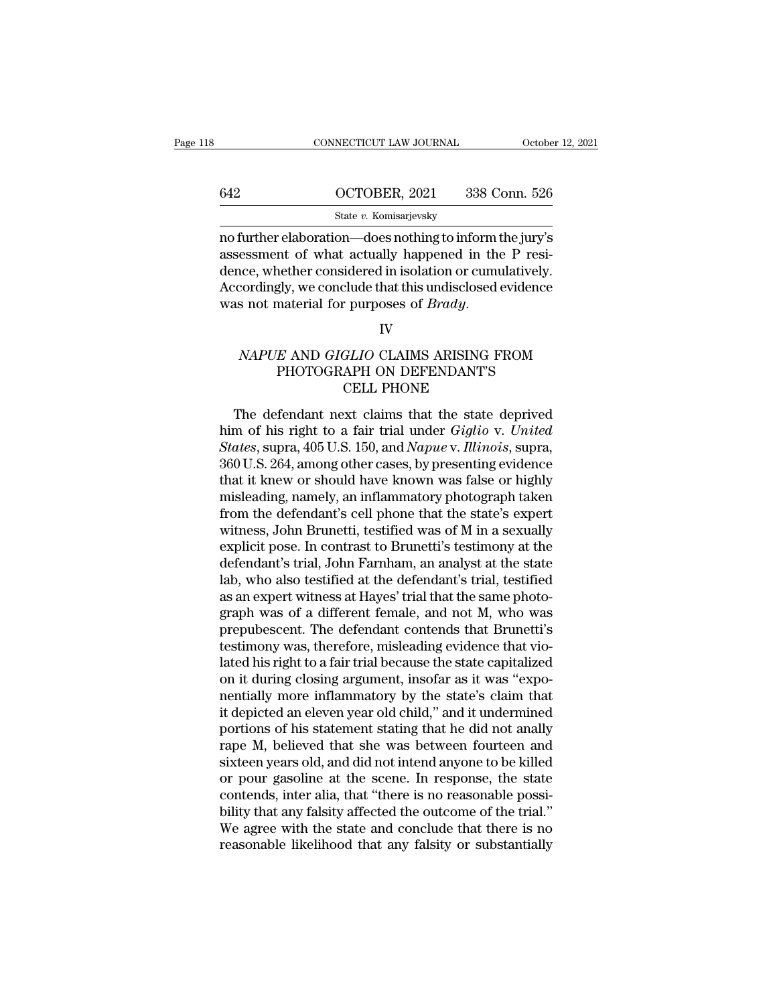|     | CONNECTICUT LAW JOURNAL                                                                                                                                                  | October 12, 2021 |
|-----|--------------------------------------------------------------------------------------------------------------------------------------------------------------------------|------------------|
|     |                                                                                                                                                                          |                  |
| 642 | OCTOBER, 2021                                                                                                                                                            | 338 Conn. 526    |
|     | State v. Komisarjevsky                                                                                                                                                   |                  |
|     | no further elaboration—does nothing to inform the jury's<br>assessment of what actually happened in the P resi-<br>dence whether considered in isolation or cumulatively |                  |

 $\begin{array}{r} \text{642} \text{OCTOBER, 2021} \text{338 Conn. } 526 \text{ \textit{State v. Komisarjevsky}} \ \text{no further elaboration—does nothing to inform the jury's assessment of what actually happened in the P residue, whether considered in isolation or cumulatively. Accordingly, we conclude that this undisclosed evidence.} \end{array}$ 642 OCTOBER, 2021 338 Conn. 526<br>
State v. Komisarjevsky<br>
no further elaboration—does nothing to inform the jury's<br>
assessment of what actually happened in the P resi-<br>
dence, whether considered in isolation or cumulativel  $\frac{\text{642}}{\text{State } v. \text{ Komisarjevsky}}$ <br>
To further elaboration—does nothing to inform the jury's<br>
assessment of what actually happened in the P resi-<br>
dence, whether considered in isolation or cumulatively.<br>
Accordingly, we conclud State *v*. Komisarjevsky<br>
no further elaboration—does nothing to inform is<br>
assessment of what actually happened in the<br>
dence, whether considered in isolation or cumu<br>
Accordingly, we conclude that this undisclosed<br>
was n Exament of what actually happened in the P resi-<br> *NAPUE* conclude that this undisclosed evidence<br>
s not material for purposes of *Brady*.<br>
IV<br> *NAPUE* AND *GIGLIO* CLAIMS ARISING FROM<br>
PHOTOGRAPH ON DEFENDANT'S<br>
CELL PHON Fraction or cumulatively.<br>
Ely, we conclude that this undisclosed evidence<br>
material for purposes of *Brady.*<br>
IV<br>
FE AND GIGLIO CLAIMS ARISING FROM<br>
PHOTOGRAPH ON DEFENDANT'S<br>
CELL PHONE

## clude that this undisclosed every<br>purposes of *Brady.*<br>IV<br>GLIO CLAIMS ARISING FR<br>APH ON DEFENDANT'S<br>CELL PHONE<br>xxt claims that the state de THE MAPUE AND GIGLIO CLAIMS ARISING FROM<br>
PHOTOGRAPH ON DEFENDANT'S<br>
CELL PHONE<br>
The defendant next claims that the state deprived<br>
m of his right to a fair trial under *Giglio* v. United<br>
ates supro 405 U.S. 150 and *Nemu*

NAPUE AND GIGLIO CLAIMS ARISING FROM<br>PHOTOGRAPH ON DEFENDANT'S<br>CELL PHONE<br>The defendant next claims that the state deprived<br>him of his right to a fair trial under *Giglio* v. *United*<br>States, supra, 405 U.S. 150, and *Napu NAPUE* AND *GIGLIO* CLAIMS ARISING FROM<br>PHOTOGRAPH ON DEFENDANT'S<br>CELL PHONE<br>The defendant next claims that the state deprived<br>him of his right to a fair trial under *Giglio* v. *United*<br>*States*, supra, 405 U.S. 150, and PHOTOGRAPH ON DEFENDANT'S<br>
The defendant next claims that the state deprived<br>
him of his right to a fair trial under *Giglio* v. *United*<br> *States*, supra, 405 U.S. 150, and *Napue* v. *Illinois*, supra,<br>
360 U.S. 264, amo The defendant next claims that the state deprived<br>him of his right to a fair trial under *Giglio* v. United<br>*States*, supra, 405 U.S. 150, and *Napue* v. *Illinois*, supra,<br>360 U.S. 264, among other cases, by presenting ev The defendant next claims that the state deprived<br>him of his right to a fair trial under *Giglio* v. United<br>*States*, supra, 405 U.S. 150, and *Napue* v. *Illinois*, supra,<br>360 U.S. 264, among other cases, by presenting ev The defendant next claims that the state deprived<br>him of his right to a fair trial under *Giglio* v. *United*<br>States, supra, 405 U.S. 150, and *Napue* v. *Illinois*, supra,<br>360 U.S. 264, among other cases, by presenting ev him of his right to a fair trial under *Giglio v. United*<br>*States*, supra, 405 U.S. 150, and *Napue v. Illinois*, supra,<br>360 U.S. 264, among other cases, by presenting evidence<br>that it knew or should have known was false o States, supra, 405 U.S. 150, and *Napue* v. *Illinois*, supra, 360 U.S. 264, among other cases, by presenting evidence that it knew or should have known was false or highly misleading, namely, an inflammatory photograph ta 360 U.S. 264, among other cases, by presenting evidence<br>that it knew or should have known was false or highly<br>misleading, namely, an inflammatory photograph taken<br>from the defendant's cell phone that the state's expert<br>wit that it knew or should have known was false or highly<br>misleading, namely, an inflammatory photograph taken<br>from the defendant's cell phone that the state's expert<br>witness, John Brunetti, testified was of M in a sexually<br>ex misleading, namely, an inflammatory photograph taken<br>from the defendant's cell phone that the state's expert<br>witness, John Brunetti, testified was of M in a sexually<br>explicit pose. In contrast to Brunetti's testimony at th from the defendant's cell phone that the state's expert<br>witness, John Brunetti, testified was of M in a sexually<br>explicit pose. In contrast to Brunetti's testimony at the<br>defendant's trial, John Farnham, an analyst at the witness, John Brunetti, testified was of M in a sexually<br>explicit pose. In contrast to Brunetti's testimony at the<br>defendant's trial, John Farnham, an analyst at the state<br>lab, who also testified at the defendant's trial, explicit pose. In contrast to Brunetti's testimony at the defendant's trial, John Farnham, an analyst at the state lab, who also testified at the defendant's trial, testified as an expert witness at Hayes' trial that the s defendant's trial, John Farnham, an analyst at the state<br>lab, who also testified at the defendant's trial, testified<br>as an expert witness at Hayes' trial that the same photo-<br>graph was of a different female, and not M, who lab, who also testified at the defendant's trial, testified<br>as an expert witness at Hayes' trial that the same photo-<br>graph was of a different female, and not M, who was<br>prepubescent. The defendant contends that Brunetti's as an expert witness at Hayes' trial that the same photograph was of a different female, and not M, who was prepubescent. The defendant contends that Brunetti's testimony was, therefore, misleading evidence that violated h graph was of a different female, and not M, who was<br>prepubescent. The defendant contends that Brunetti's<br>testimony was, therefore, misleading evidence that vio-<br>lated his right to a fair trial because the state capitalized prepubescent. The defendant contends that Brunetti's<br>testimony was, therefore, misleading evidence that vio-<br>lated his right to a fair trial because the state capitalized<br>on it during closing argument, insofar as it was "e testimony was, therefore, misleading evidence that violated his right to a fair trial because the state capitalized<br>on it during closing argument, insofar as it was "expo-<br>nentially more inflammatory by the state's claim t lated his right to a fair trial because the state capitalized<br>on it during closing argument, insofar as it was "expo-<br>nentially more inflammatory by the state's claim that<br>it depicted an eleven year old child," and it unde on it during closing argument, insofar as it was "exponentially more inflammatory by the state's claim that<br>it depicted an eleven year old child," and it undermined<br>portions of his statement stating that he did not anally<br> nentially more inflammatory by the state's claim that<br>it depicted an eleven year old child," and it undermined<br>portions of his statement stating that he did not anally<br>rape M, believed that she was between fourteen and<br>six it depicted an eleven year old child," and it undermined<br>portions of his statement stating that he did not anally<br>rape M, believed that she was between fourteen and<br>sixteen years old, and did not intend anyone to be killed portions of his statement stating that he did not anally<br>rape M, believed that she was between fourteen and<br>sixteen years old, and did not intend anyone to be killed<br>or pour gasoline at the scene. In response, the state<br>co rape M, believed that she was between fourteen and<br>sixteen years old, and did not intend anyone to be killed<br>or pour gasoline at the scene. In response, the state<br>contends, inter alia, that "there is no reasonable possi-<br>b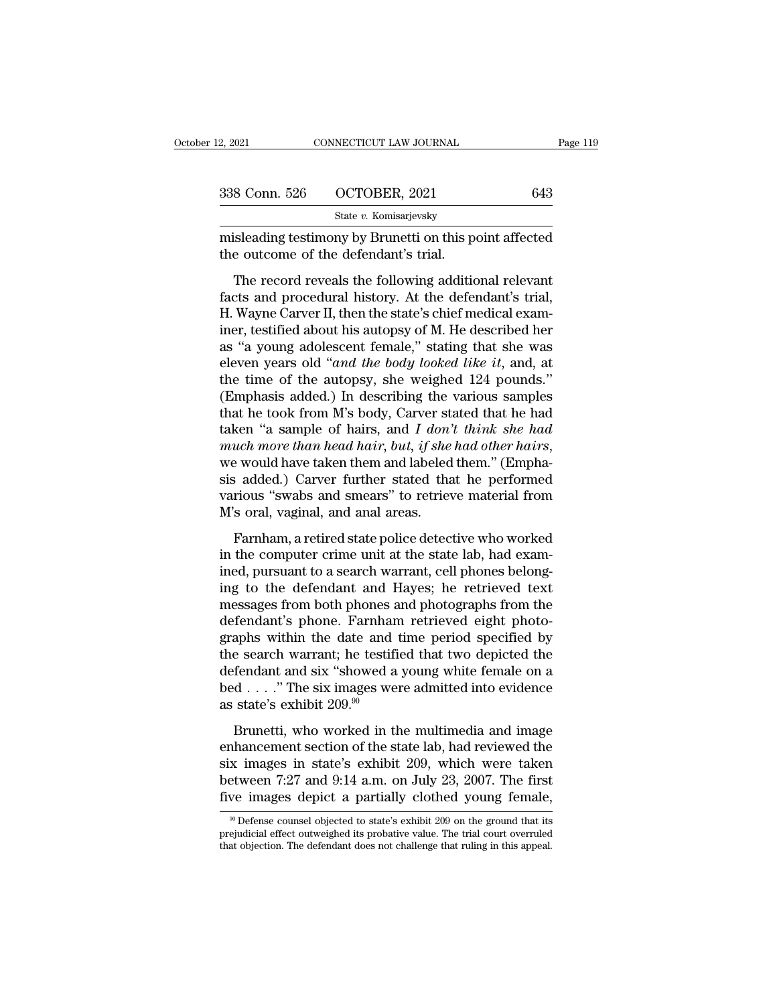| 12, 2021      | CONNECTICUT LAW JOURNAL                                                                                                                                                  | Page 119 |
|---------------|--------------------------------------------------------------------------------------------------------------------------------------------------------------------------|----------|
|               |                                                                                                                                                                          |          |
| 338 Conn. 526 | OCTOBER, 2021                                                                                                                                                            | 643      |
|               | State v. Komisarjevsky                                                                                                                                                   |          |
|               | misleading testimony by Brunetti on this point affected<br>the outcome of the defendant's trial.                                                                         |          |
|               | The record reveals the following additional relevant<br>facts and procedural history. At the defendant's trial,<br>U Wayne Carror II than the state's shief modisel even |          |

Factor and B26 COCTOBER, 2021 643<br>
State v. Komisarjevsky<br>
misleading testimony by Brunetti on this point affected<br>
the outcome of the defendant's trial,<br>
The record reveals the following additional relevant<br>
facts and pr State v. Komisarjevsky<br>
misleading testimony by Brunetti on this point affected<br>
the outcome of the defendant's trial.<br>
The record reveals the following additional relevant<br>
facts and procedural history. At the defendant' misleading testimony by Brunetti on this point affected<br>the outcome of the defendant's trial.<br>The record reveals the following additional relevant<br>facts and procedural history. At the defendant's trial,<br>H. Wayne Carver II, The record reveals the following additional relevant<br>
facts and procedural history. At the defendant's trial,<br>
H. Wayne Carver II, then the state's chief medical exam-<br>
iner, testified about his autopsy of M. He described The record reveals the following additional relevant<br>facts and procedural history. At the defendant's trial,<br>H. Wayne Carver II, then the state's chief medical exam-<br>iner, testified about his autopsy of M. He described her The record reveals the following additional relevant<br>facts and procedural history. At the defendant's trial,<br>H. Wayne Carver II, then the state's chief medical exam-<br>iner, testified about his autopsy of M. He described he facts and procedural history. At the defendant's trial,<br>H. Wayne Carver II, then the state's chief medical exam-<br>iner, testified about his autopsy of M. He described her<br>as "a young adolescent female," stating that she wa H. Wayne Carver II, then the state's chief medical exam-<br>iner, testified about his autopsy of M. He described her<br>as "a young adolescent female," stating that she was<br>eleven years old "*and the body looked like it*, and, iner, testified about his autopsy of M. He described her<br>as "a young adolescent female," stating that she was<br>eleven years old "*and the body looked like it*, and, at<br>the time of the autopsy, she weighed 124 pounds."<br>(Emph as "a young adolescent female," stating that she was<br>eleven years old "*and the body looked like it*, and, at<br>the time of the autopsy, she weighed 124 pounds."<br>(Emphasis added.) In describing the various samples<br>that he to the time of the autopsy, she weighed 124 pounds."<br>(Emphasis added.) In describing the various samples<br>that he took from M's body, Carver stated that he had<br>taken "a sample of hairs, and I don't think she had<br>much more tha (Emphasis added.) In describing the various samples<br>that he took from M's body, Carver stated that he had<br>taken "a sample of hairs, and *I don't think she had*<br>much more than head hair, but, if she had other hairs,<br>we wou that he took from M's body, Carver st<br>taken "a sample of hairs, and  $I$  don'<br>much more than head hair, but, if she<br>we would have taken them and labeled<br>sis added.) Carver further stated tha<br>various "swabs and smears" to r a bangle of hans, and I able which the hair<br>and more than head hair, but, if she had other hairs,<br>e would have taken them and labeled them." (Empha-<br>is added.) Carver further stated that he performed<br>rious "swabs and smear in the computer and have taken them and labeled them." (Emphasis added.) Carver further stated that he performed various "swabs and smears" to retrieve material from M's oral, vaginal, and anal areas.<br>Farnham, a retired st

ined, the worst and the contract and the search warrelines and speak and speak various "swabs and smears" to retrieve material from M's oral, vaginal, and anal areas.<br>Farnham, a retired state police detective who worked in sis daded, y carver rarater stated and the performed<br>various "swabs and smears" to retrieve material from<br>M's oral, vaginal, and anal areas.<br>Farnham, a retired state police detective who worked<br>in the computer crime unit a M's oral, vaginal, and anal areas.<br>
M's oral, vaginal, and anal areas.<br>
Farnham, a retired state police detective who worked<br>
in the computer crime unit at the state lab, had exam-<br>
ined, pursuant to a search warrant, cell Farnham, a retired state police detective who worked<br>in the computer crime unit at the state lab, had exam-<br>ined, pursuant to a search warrant, cell phones belong-<br>ing to the defendant and Hayes; he retrieved text<br>messages Farnham, a retired state police detective who worked<br>in the computer crime unit at the state lab, had exam-<br>ined, pursuant to a search warrant, cell phones belong-<br>ing to the defendant and Hayes; he retrieved text<br>messages in the computer crime unit at the state lab, had examined, pursuant to a search warrant, cell phones belong-<br>ing to the defendant and Hayes; he retrieved text<br>messages from both phones and photographs from the<br>defendant's ined, pursuant to a search warrant, cell phones belong-<br>ing to the defendant and Hayes; he retrieved text<br>messages from both phones and photographs from the<br>defendant's phone. Farnham retrieved eight photo-<br>graphs within t ing to the defendant and Hayes; he retrieved text<br>messages from both phones and photographs from the<br>defendant's phone. Farnham retrieved eight photo-<br>graphs within the date and time period specified by<br>the search warrant messages from both phones and photographs from the defendant's phone. Farnham retrieved eight photographs within the date and time period specified by the search warrant; he testified that two depicted the defendant and s brondaries phone. Turntain Technology explores<br>aphs within the date and time period specified by<br>e search warrant; he testified that two depicted the<br>fendant and six "showed a young white female on a<br>d...." The six images the search warrant; he testified that two depicted the<br>defendant and six "showed a young white female on a<br>bed . . . ." The six images were admitted into evidence<br>as state's exhibit 209.<sup>90</sup><br>Brunetti, who worked in the mu

defendant and six "showed a young white female on a<br>bed . . . ." The six images were admitted into evidence<br>as state's exhibit 209.<sup>90</sup><br>Brunetti, who worked in the multimedia and image<br>enhancement section of the state lab bed . . . ." The six images were admitted into evidence<br>as state's exhibit 209.<sup>90</sup><br>Brunetti, who worked in the multimedia and image<br>enhancement section of the state lab, had reviewed the<br>six images in state's exhibit 209 as state's exhibit 209.<sup>90</sup><br>Brunetti, who worked in the multimedia and image<br>enhancement section of the state lab, had reviewed the<br>six images in state's exhibit 209, which were taken<br>between 7:27 and 9:14 a.m. on July 23 nhancement section of the state lab, had reviewed the x images in state's exhibit 209, which were taken etween 7:27 and 9:14 a.m. on July 23, 2007. The first we images depict a partially clothed young female,  $\frac{90}$  Def six images in state's exhibit 209, which were taken<br>between 7:27 and 9:14 a.m. on July 23, 2007. The first<br>five images depict a partially clothed young female,<br> $\frac{1}{100}$ <br>prejudicial effect outweighed its probative value between 7:27 and 9:14 a.m. on July 23, 2007. The first<br>five images depict a partially clothed young female,<br><sup>90</sup> Defense counsel objected to state's exhibit 209 on the ground that its<br>prejudicial effect outweighed its prob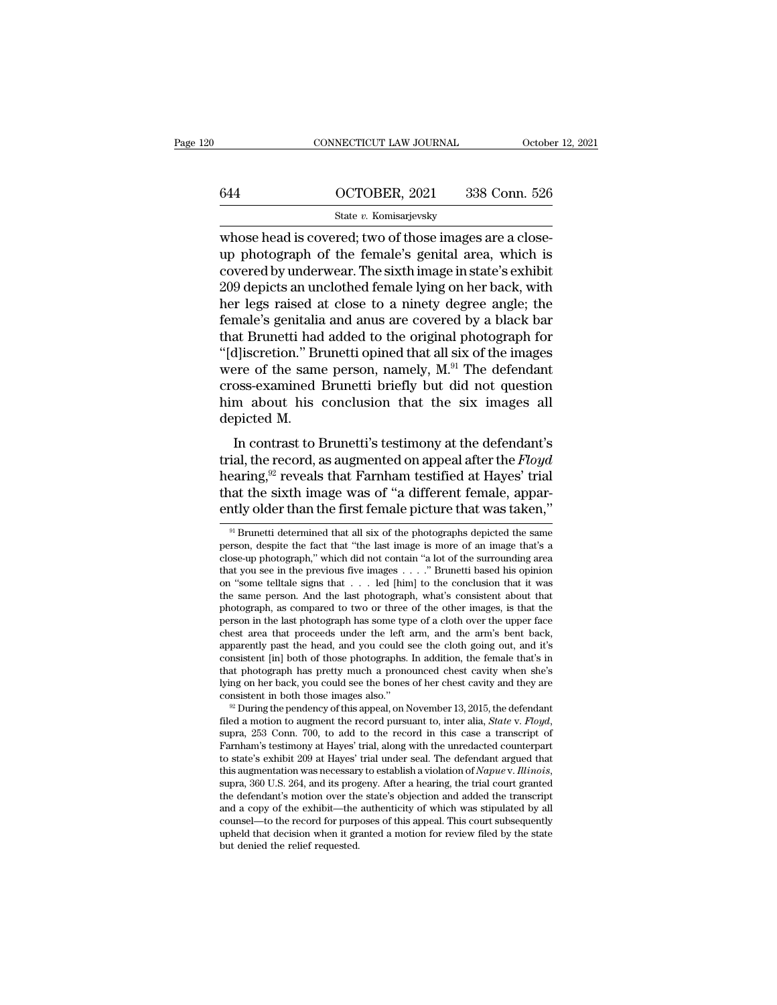# CONNECTICUT LAW JOURNAL October 12, 2021<br>644 OCTOBER, 2021 338 Conn. 526<br>State v. Komisarjevsky

### State *v.* Komisarjevsky

CONNECTICUT LAW JOURNAL OCTOBER<br>
State v. Komisarjevsky<br>
Whose head is covered; two of those images are a close-<br>
up photograph of the female's genital area, which is<br>
covered by underwor. The sixth image in state's exhibi 644 OCTOBER, 2021 338 Conn. 526<br>
state v. Komisarjevsky<br>
whose head is covered; two of those images are a close-<br>
up photograph of the female's genital area, which is<br>
covered by underwear. The sixth image in state's exhib 644 CCTOBER, 2021 338 Conn. 526<br>
State v. Komisarjevsky<br>
whose head is covered; two of those images are a close-<br>
up photograph of the female's genital area, which is<br>
covered by underwear. The sixth image in state's exhi  $\frac{\text{644}}{\text{State } v. \text{ Komisarievsky}}$ <br>
State *v*. Komisarjevsky<br>
whose head is covered; two of those images are a close-<br>
up photograph of the female's genital area, which is<br>
covered by underwear. The sixth image in state's exhibi State v. Komisarjevsky<br>
Whose head is covered; two of those images are a close-<br>
up photograph of the female's genital area, which is<br>
covered by underwear. The sixth image in state's exhibit<br>
209 depicts an unclothed fema state v. Komsarjevsky<br>whose head is covered; two of those images are a close-<br>up photograph of the female's genital area, which is<br>covered by underwear. The sixth image in state's exhibit<br>209 depicts an unclothed female l whose head is covered; two of those images are a close-<br>up photograph of the female's genital area, which is<br>covered by underwear. The sixth image in state's exhibit<br>209 depicts an unclothed female lying on her back, with up photograph of the female's genital area, which is<br>covered by underwear. The sixth image in state's exhibit<br>209 depicts an unclothed female lying on her back, with<br>her legs raised at close to a ninety degree angle; the<br>f covered by underwear. The sixth image in state's exhibit 209 depicts an unclothed female lying on her back, with<br>her legs raised at close to a ninety degree angle; the<br>female's genitalia and anus are covered by a black bar 209 depicts an unclothed female lying on her back, with<br>her legs raised at close to a ninety degree angle; the<br>female's genitalia and anus are covered by a black bar<br>that Brunetti had added to the original photograph for<br> her legs raised at close to a ninety degree angle; the female's genitalia and anus are covered by a black bar that Brunetti had added to the original photograph for "[d]iscretion." Brunetti opined that all six of the imag % female's genitalia and anus are covered by a black bar<br>that Brunetti had added to the original photograph for<br>"[d]iscretion." Brunetti opined that all six of the images<br>were of the same person, namely,  $M$ .<sup>91</sup> The defe In contrast to Brunetti's testimony at the defendant<br>
and Six of the images<br>
ere of the same person, namely,  $M$ .<sup>91</sup> The defendant<br>
oss-examined Brunetti briefly but did not question<br>
m about his conclusion that the six pascetion. Brunetic opined that an six of the mages<br>were of the same person, namely,  $M$ .<sup>91</sup> The defendant<br>cross-examined Brunetti briefly but did not question<br>him about his conclusion that the six images all<br>depicted M.

were of the same person, hamely, m. The defendant<br>cross-examined Brunetti briefly but did not question<br>him about his conclusion that the six images all<br>depicted M.<br>In contrast to Brunetti's testimony at the defendant's<br>tr tross-examined brunett briefly but uld not question<br>him about his conclusion that the six images all<br>depicted M.<br>In contrast to Brunetti's testimony at the defendant's<br>trial, the record, as augmented on appeal after the Fl Finite about his conclusion that the six images and<br>depicted M.<br>In contrast to Brunetti's testimony at the defendant's<br>trial, the record, as augmented on appeal after the *Floyd*<br>hearing,<sup>92</sup> reveals that Farnham testifie ial, the record, as augmented on appeal after the  $Floyd$ <br>earing,<sup>92</sup> reveals that Farnham testified at Hayes' trial<br>nat the sixth image was of "a different female, appar-<br>ntly older than the first female picture that was ta hearing, <sup>92</sup> reveals that Farnham testified at Hayes' trial<br>that the sixth image was of "a different female, appar-<br>ently older than the first female picture that was taken,"<br><sup>91</sup> Brunetti determined that all six of the

that the sixth image was of "a different female, apparently older than the first female picture that was taken,"<br> $\frac{1}{\pi}$  Brunetti determined that all six of the photographs depicted the same<br>person, despite the fact th ently older than the first female picture that was taken,"<br>  $\frac{1}{91}$  Brunetti determined that all six of the photographs depicted the same<br>
person, despite the fact that "the last image is more of an image that's a<br>
clo ently older than the first female picture that was taken,"<br>
<sup>91</sup> Brunetti determined that all six of the photographs depicted the same<br>
person, despite the fact that "the last image is more of an image that's a<br>
close-up <sup>91</sup> Brunetti determined that all six of the photographs depicted the same person, despite the fact that "the last image is more of an image that's a close-up photograph," which did not contain "a lot of the surrounding a <sup>31</sup> Brunetti determined that all six of the photographs depicted the same<br>person, despite the fact that "the last image is more of an image that's a<br>close-up photograph," which did not contain "a lot of the surrounding a person, despite the lact that "the last image is more of an image that's a close-up photograph," which did not contain "a lot of the surrounding area that you see in the previous five images  $\ldots$ ." Brunetti based his opi that you see in the previous five images . . . . " Brunetti based his opinion on "some tell<br>tale signs that . . . led [him] to the conclusion that it was the same person. And the last photograph, what's consistent about t that you see in the previous five images  $\ldots$   $\ddot{\ldots}$  Brunetti based his opinion on "some telltale signs that  $\ldots$  led [him] to the conclusion that it was the same person. And the last photograph, what's consistent ab on "some telltale signs that  $\ldots$  led [him] to the conclusion that it was<br>the same person. And the last photograph, what's consistent about that<br>photograph, as compared to two or three of the other images, is that the<br>pe the same person. And the last photograph, what's consistent about that<br>photograph, as compared to two or three of the other images, is that the<br>person in the last photograph has some type of a cloth over the upper face<br>che photograph, as compared to two or three of the other mages, is that the person in the last photograph has some type of a cloth over the upper face chest area that proceeds under the left arm, and the arm's bent back, appar person in the last photograph has some type of a cloth over the upper face<br>chest area that proceeds under the left arm, and the arm's bent back,<br>apparently past the head, and you could see the cloth going out, and it's<br>con apparently past the head, and you could see the cloth going out, and it's<br>consistent [in] both of those photographs. In addition, the female that's in<br>that photograph has pretty much a pronounced chest cavity when she's<br>ly

that photograph has pretty much a pronounced chest cavity when she's<br>lying on her back, you could see the bones of her chest cavity and they are<br>consistent in both those images also."<br><sup>22</sup> During the pendency of this appe tymg on her back, you could see the bones of her chest cavity and they are consistent in both those images also."<br>
<sup>22</sup> During the pendency of this appeal, on November 13, 2015, the defendant filed a motion to augment the consistent in both those images also."<br><sup>82</sup> During the pendency of this appeal, on November 13, 2015, the defendant<br>filed a motion to augment the record pursuant to, inter alia, *State* v. *Floyd*,<br>supra, 253 Conn. 700, to filed a motion to augment the record pursuant to, inter alla, *State v. Floyd*, supra, 253 Conn. 700, to add to the record in this case a transcript of Farnham's testimony at Hayes' trial, along with the unredacted counte supra, 253 Conn. 700, to add to the record in this case a transcript of Farnham's testimony at Hayes' trial, along with the unredacted counterpart to state's exhibit 209 at Hayes' trial under seal. The defendant argued tha Farnham's testimony at Hayes' trial, along with the unredacted counterpart<br>to state's exhibit 209 at Hayes' trial under seal. The defendant argued that<br>this augmentation was necessary to establish a violation of  $Napuev$ . I to state's exhibit 209 at Hayes' trial under seal. The defendant argued that this augmentation was necessary to establish a violation of  $Napue$  v. Illinois, supra, 360 U.S. 264, and its progeny. After a hearing, the trial this augmentation was necessary to establish a violation of *Napue* v. *Illinois*, supra, 360 U.S. 264, and its progeny. After a hearing, the trial court granted the defendant's motion over the state's objection and added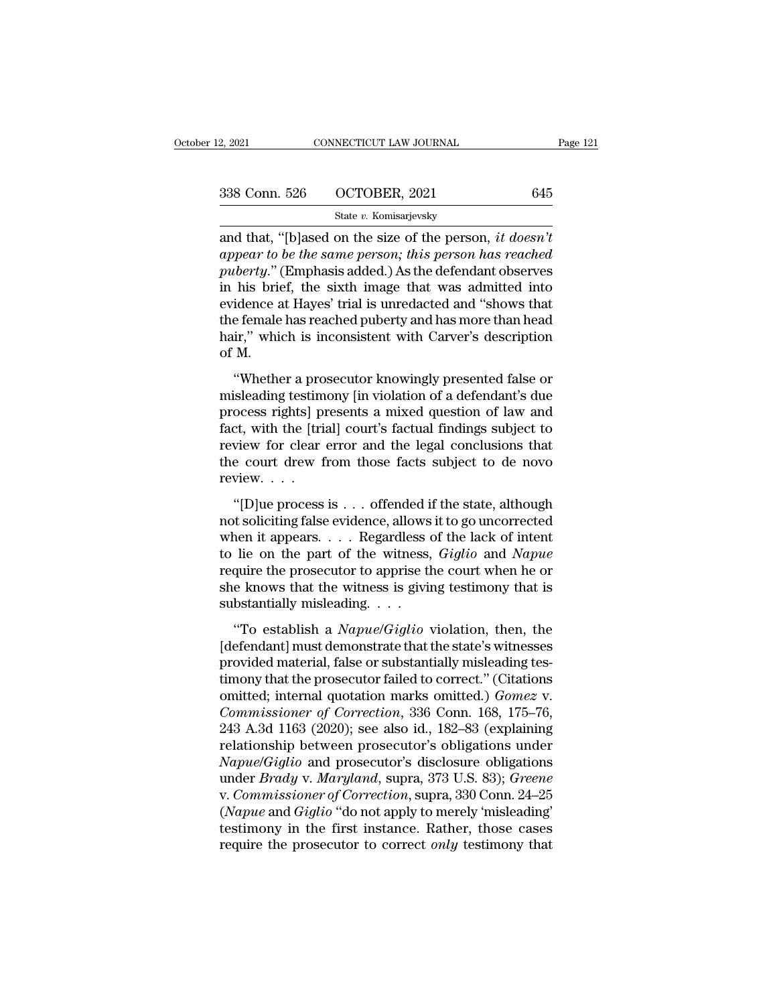| 2, 2021       | CONNECTICUT LAW JOURNAL | Page 121 |
|---------------|-------------------------|----------|
| 338 Conn. 526 | OCTOBER, 2021           | 645      |
|               | State v. Komisarjevsky  |          |

2, 2021 CONNECTICUT LAW JOURNAL Page 12<br>
338 Conn. 526 OCTOBER, 2021 645<br>
<sup>State v.</sup> Komisarjevsky<br>
and that, "[b]ased on the size of the person, *it doesn't*<br> *appear to be the same person; this person has reached*<br>
muker *appear to be the same person; this person has reached* 338 Conn. 526  $OCTOBER$ , 2021 645<br> **puberty.** External Considers and that, "[b] ased on the size of the person, *it doesn't*<br> *appear to be the same person; this person has reached*<br> *puberty.*" (Emphasis added.) As the defe 338 Conn. 526 OCTOBER, 2021 645<br>
State v. Komisarjevsky<br>
and that, "[b]ased on the size of the person, *it doesn't*<br>
appear to be the same person; this person has reached<br>
puberty." (Emphasis added.) As the defendant obse State v. Komisarjevsky<br>
and that, "[b]ased on the size of the person, *it doesn't*<br>
appear to be the same person; this person has reached<br>
puberty." (Emphasis added.) As the defendant observes<br>
in his brief, the sixth ima state v. Komisarjevsky<br>and that, "[b]ased on the size of the person, *it doesn't*<br>appear to be the same person; this person has reached<br>puberty." (Emphasis added.) As the defendant observes<br>in his brief, the sixth image t and that, "[b]ased on the size of the person, *it doesn't*<br>appear to be the same person; this person has reached<br>puberty." (Emphasis added.) As the defendant observes<br>in his brief, the sixth image that was admitted into<br>ev appear to<br>puberty." (<br>in his brie<br>evidence a<br>the female<br>hair," whie<br>of M.<br>"Whethe berty. (Emphasis added.) As the detendant observes<br>
his brief, the sixth image that was admitted into<br>
idence at Hayes' trial is unredacted and "shows that<br>
e female has reached puberty and has more than head<br>
ir," which i misleading testimony in understanding that was admitted moved<br>evidence at Hayes' trial is unredacted and "shows that<br>the female has reached puberty and has more than head<br>hair," which is inconsistent with Carver's descript

evidence at riayes and is antedacted and shows that<br>the female has reached puberty and has more than head<br>hair," which is inconsistent with Carver's description<br>of M.<br>"Whether a prosecutor knowingly presented false or<br>misl fact tender as reached pastry and has note than head<br>hair," which is inconsistent with Carver's description<br>of M.<br>"Whether a prosecutor knowingly presented false or<br>misleading testimony [in violation of a defendant's due<br>p reactly when the metallical with earter's accompact<br>of M.<br>"Whether a prosecutor knowingly presented false or<br>misleading testimony [in violation of a defendant's due<br>process rights] presents a mixed question of law and<br>fact "Whether a prosecutor knowingly presented false or misleading testimony [in violation of a defendant's due process rights] presents a mixed question of law and fact, with the [trial] court's factual findings subject to re "Whether a pro<br>misleading testim<br>process rights] pl<br>fact, with the [triː<br>review for clear<br>the court drew f<br>review. . . . .<br>"[D]ue process Securing essimony [in trouded if a determined state<br>ocess rights] presents a mixed question of law and<br>ct, with the [trial] court's factual findings subject to<br>view for clear error and the legal conclusions that<br>e court dr fact, with the [trial] court's factual findings subject to<br>review for clear error and the legal conclusions that<br>the court drew from those facts subject to de novo<br>review....<br>"[D]ue process is ... offended if the state, a

when it appears are the legal conclusions that<br>the court drew from those facts subject to de novo<br>review....<br>"[D]ue process is ... offended if the state, although<br>not soliciting false evidence, allows it to go uncorrected to lie our drew from those facts subject to de novo<br>review....<br>"[D]ue process is ... offended if the state, although<br>not soliciting false evidence, allows it to go uncorrected<br>when it appears.... Regardless of the lack of review....<br>
"[D]ue process is ... offended if the state, although<br>
not soliciting false evidence, allows it to go uncorrected<br>
when it appears.... Regardless of the lack of intent<br>
to lie on the part of the witness, *Gigl* "[D]ue process is . . . offended if the state, although<br>not soliciting false evidence, allows it to go uncorrected<br>when it appears. . . . Regardless of the lack of intent<br>to lie on the part of the witness, *Giglio* and *N* "[D]ue process is . . . offended if<br>not soliciting false evidence, allows<br>when it appears. . . . Regardless of<br>to lie on the part of the witness,<br>require the prosecutor to apprise th<br>she knows that the witness is giving<br>s Following raise evidence, allows it is go anterfected<br>
ien it appears. . . . Regardless of the lack of intent<br>
lie on the part of the witness, *Giglio* and *Napue*<br>
quire the prosecutor to apprise the court when he or<br>
e k when a appears:  $\ldots$  a regardless of arc lack of michaltotic to lie on the part of the witness, *Giglio* and *Napue* require the prosecutor to apprise the court when he or she knows that the witness is giving testimony t

pare of the whatess, digite and induced<br>require the prosecutor to apprise the court when he or<br>she knows that the witness is giving testimony that is<br>substantially misleading.  $\dots$ <br>"To establish a *Napue/Giglio* violation she knows that the witness is giving testimony that is<br>substantially misleading....<br>"To establish a *Napue/Giglio* violation, then, the<br>[defendant] must demonstrate that the state's witnesses<br>provided material, false or s substantially misleading....<br>
"To establish a *Napue/Giglio* violation, then, the<br>
[defendant] must demonstrate that the state's witnesses<br>
provided material, false or substantially misleading tes-<br>
timony that the prosecu <sup>2</sup>To establish a *Napue/Giglio* violation, then, the [defendant] must demonstrate that the state's witnesses provided material, false or substantially misleading testimony that the prosecutor failed to correct." (Citation "To establish a *Napue/Giglio* violation, then, the<br>[defendant] must demonstrate that the state's witnesses<br>provided material, false or substantially misleading tes-<br>timony that the prosecutor failed to correct." (Citatio [defendant] must demonstrate that the state's witnesses<br>provided material, false or substantially misleading tes-<br>timony that the prosecutor failed to correct." (Citations<br>omitted; internal quotation marks omitted.) *Gome* provided material, false or substantially misleading tes-<br>timony that the prosecutor failed to correct." (Citations<br>omitted; internal quotation marks omitted.) *Gomez* v.<br>*Commissioner of Correction*, 336 Conn. 168, 175–76 timony that the prosecutor failed to correct." (Citations<br>
omitted; internal quotation marks omitted.) *Gomez* v.<br> *Commissioner of Correction*, 336 Conn. 168, 175–76,<br>
243 A.3d 1163 (2020); see also id., 182–83 (explainin omitted; internal quotation marks omitted.) *Gomez v.*<br> *Commissioner of Correction*, 336 Conn. 168, 175–76,<br>
243 A.3d 1163 (2020); see also id., 182–83 (explaining<br>
relationship between prosecutor's obligations under<br> *Na* Commissioner of Correction, 336 Conn. 168, 175–76,<br>243 A.3d 1163 (2020); see also id., 182–83 (explaining<br>relationship between prosecutor's obligations under<br>*Napue*/Giglio and prosecutor's disclosure obligations<br>under *Br* 243 A.3d 1163 (2020); see also id., 182–83 (explaining<br>relationship between prosecutor's obligations under<br> $Napue/Giglio$  and prosecutor's disclosure obligations<br>under *Brady* v. *Maryland*, supra, 373 U.S. 83); *Greene*<br>v. *Co* relationship between prosecutor's obligations under<br>Napue/Giglio and prosecutor's disclosure obligations<br>under *Brady* v. Maryland, supra, 373 U.S. 83); Greene<br>v. Commissioner of Correction, supra, 330 Conn. 24–25<br>(Napue a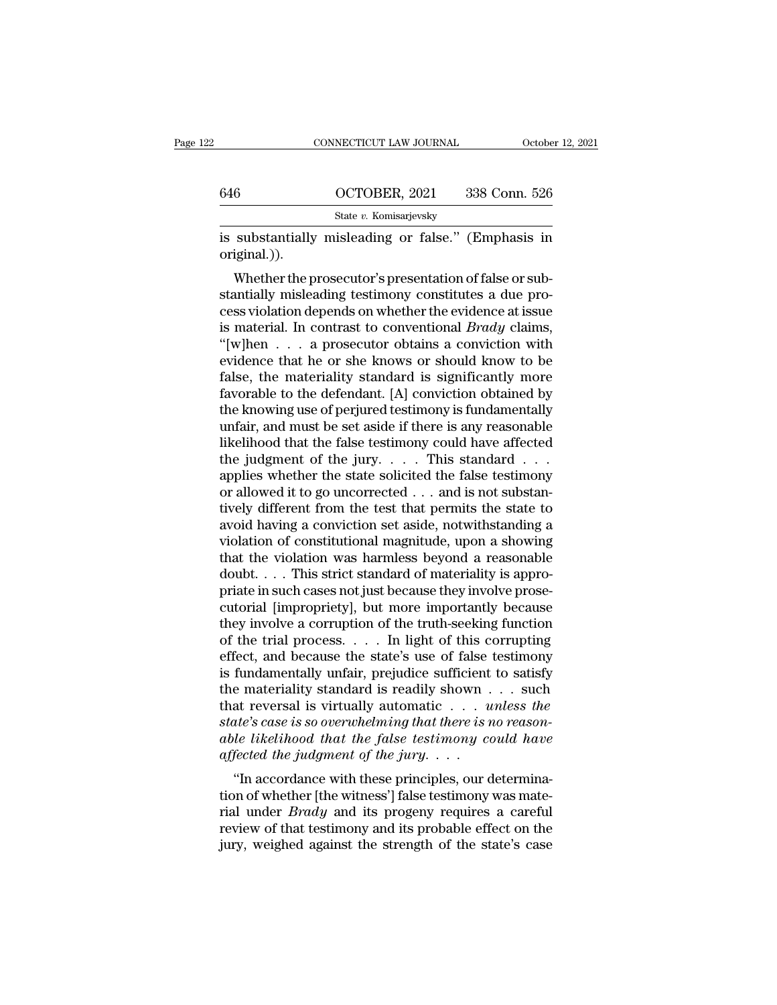|              | CONNECTICUT LAW JOURNAL                                                                                                                                                     | October 12, 2021 |
|--------------|-----------------------------------------------------------------------------------------------------------------------------------------------------------------------------|------------------|
|              |                                                                                                                                                                             |                  |
| 646          | OCTOBER, 2021                                                                                                                                                               | 338 Conn. 526    |
|              | State v. Komisarjevsky                                                                                                                                                      |                  |
| original.)). | is substantially misleading or false." (Emphasis in                                                                                                                         |                  |
|              | Whether the prosecutor's presentation of false or sub-<br>stantially misleading testimony constitutes a due pro-<br>coss riolation depends on whether the evidence at issue |                  |

646  $\overline{\text{OCTOBER}}$ , 2021 338 Conn. 526<br>  $\overline{\text{State } v. \text{ Komisarjevsky}}$ <br>
is substantially misleading or false." (Emphasis in<br>
original.)).<br>
Whether the prosecutor's presentation of false or sub-<br>
stantially misleading testimony con State v. Komisarjevsky<br>
is substantially misleading or false." (Emphasis in<br>
original.)).<br>
Whether the prosecutor's presentation of false or sub-<br>
stantially misleading testimony constitutes a due pro-<br>
cess violation dep is substantially misleading or false." (Emphasis in original.)).<br>Whether the prosecutor's presentation of false or substantially misleading testimony constitutes a due process violation depends on whether the evidence at i Its substantially inisteading of Taise. (Emphasis in<br>
original.)).<br>
Whether the prosecutor's presentation of false or sub-<br>
stantially misleading testimony constitutes a due pro-<br>
cess violation depends on whether the evi Whether the prosecutor's presentation of false or substantially misleading testimony constitutes a due process violation depends on whether the evidence at issue<br>is material. In contrast to conventional *Brady* claims,<br>"[ Whether the prosecutor's presentation of false or substantially misleading testimony constitutes a due process violation depends on whether the evidence at issue<br>is material. In contrast to conventional  $Brady$  claims,<br>"[w] stantially misleading testimony constitutes a due process violation depends on whether the evidence at issue<br>is material. In contrast to conventional  $Brady$  claims,<br>"[w]hen  $\dots$  a prosecutor obtains a conviction with<br>evide cess violation depends on whether the evidence at issue<br>is material. In contrast to conventional *Brady* claims,<br>"[w]hen  $\dots$  a prosecutor obtains a conviction with<br>evidence that he or she knows or should know to be<br>false is material. In contrast to conventional *Brady* claims,<br>"[w]hen  $\dots$  a prosecutor obtains a conviction with<br>evidence that he or she knows or should know to be<br>false, the materiality standard is significantly more<br>favorab "[w]hen  $\ldots$  a prosecutor obtains a conviction with<br>evidence that he or she knows or should know to be<br>false, the materiality standard is significantly more<br>favorable to the defendant. [A] conviction obtained by<br>the know evidence that he or she knows or should know to be false, the materiality standard is significantly more favorable to the defendant. [A] conviction obtained by the knowing use of perjured testimony is fundamentally unfair false, the materiality standard is significantly more favorable to the defendant. [A] conviction obtained by the knowing use of perjured testimony is fundamentally unfair, and must be set aside if there is any reasonable favorable to the defendant. [A] conviction obtained by<br>the knowing use of perjured testimony is fundamentally<br>unfair, and must be set aside if there is any reasonable<br>likelihood that the false testimony could have affecte the knowing use of perjured testimony is fundamentally<br>unfair, and must be set aside if there is any reasonable<br>likelihood that the false testimony could have affected<br>the judgment of the jury. . . . . This standard . . . unfair, and must be set aside if there is any reasonable<br>likelihood that the false testimony could have affected<br>the judgment of the jury. . . . This standard . . .<br>applies whether the state solicited the false testimony<br> likelihood that the false testimony could have affected<br>the judgment of the jury. . . . This standard . . .<br>applies whether the state solicited the false testimony<br>or allowed it to go uncorrected . . . and is not substanthe judgment of the jury. . . . This standard . . .<br>applies whether the state solicited the false testimony<br>or allowed it to go uncorrected . . . and is not substan-<br>tively different from the test that permits the state t applies whether the state solicited the false testimony<br>or allowed it to go uncorrected  $\ldots$  and is not substan-<br>tively different from the test that permits the state to<br>avoid having a conviction set aside, notwithstandi or allowed it to go uncorrected . . . and is not substantively different from the test that permits the state to avoid having a conviction set aside, notwithstanding a violation of constitutional magnitude, upon a showing tively different from the test that permits the state to<br>avoid having a conviction set aside, notwithstanding a<br>violation of constitutional magnitude, upon a showing<br>that the violation was harmless beyond a reasonable<br>doub avoid having a conviction set aside, notwithstanding a<br>violation of constitutional magnitude, upon a showing<br>that the violation was harmless beyond a reasonable<br>doubt....This strict standard of materiality is appro-<br>priat violation of constitutional magnitude, upon a showing<br>that the violation was harmless beyond a reasonable<br>doubt. . . . This strict standard of materiality is appro-<br>priate in such cases not just because they involve prose that the violation was harmless beyond a reasonable<br>doubt. . . . This strict standard of materiality is appro-<br>priate in such cases not just because they involve prose-<br>cutorial [impropriety], but more importantly because doubt. . . . This strict standard of materiality is appropriate in such cases not just because they involve prose-<br>cutorial [impropriety], but more importantly because<br>they involve a corruption of the truth-seeking functi priate in such cases not just because they involve prose-<br>cutorial [impropriety], but more importantly because<br>they involve a corruption of the truth-seeking function<br>of the trial process. . . . In light of this corruptin cutorial [impropriety], but more importantly because<br>they involve a corruption of the truth-seeking function<br>of the trial process. . . . In light of this corrupting<br>effect, and because the state's use of false testimony<br>is *state is in the truth-seeking function*<br>of the trial process. . . . . In light of this corrupting<br>effect, and because the state's use of false testimony<br>is fundamentally unfair, prejudice sufficient to satisfy<br>the materia of the trial process. . . . . In light of this corrupting<br>effect, and because the state's use of false testimony<br>is fundamentally unfair, prejudice sufficient to satisfy<br>the materiality standard is readily shown . . . suc effect, and because the state's use of false<br>is fundamentally unfair, prejudice sufficient<br>the materiality standard is readily shown<br>that reversal is virtually automatic . . . *u*<br>state's case is so overwhelming that there Fundamentally dinality prejudice sufficient to satisfy<br>
a materiality standard is readily shown . . . such<br>
at reversal is virtually automatic . . . *unless the*<br> *ite's case is so overwhelming that there is no reason-*<br> the materianty standard is readily shown  $\ldots$  such that reversal is virtually automatic  $\ldots$  *unless the state's case is so overwhelming that there is no reasonable likelihood that the false testimony could have affecte* 

rial reversal is virtually automatic  $\ldots$  and  $s$  interesting that there is no reasonable likelihood that the false testimony could have affected the judgment of the jury.  $\ldots$  "In accordance with these principles, our state s case is so over an<br>able likelihood that the false testimony could have<br>affected the judgment of the jury....<br>"In accordance with these principles, our determina-<br>tion of whether [the witness'] false testimony was flected the judgment of the jury.  $\ldots$ <br>"In accordance with these principles, our determina-<br>tion of whether [the witness'] false testimony was mate-<br>rial under *Brady* and its progeny requires a careful<br>review of that te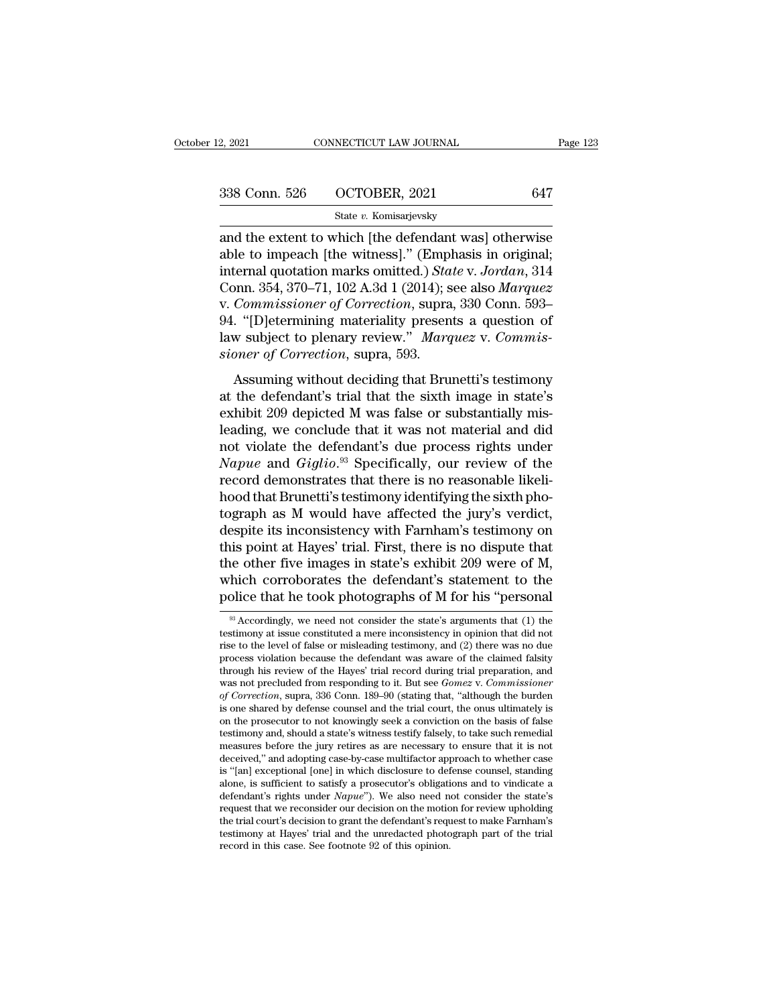| 12, 2021      | CONNECTICUT LAW JOURNAL | Page 123 |
|---------------|-------------------------|----------|
| 338 Conn. 526 | OCTOBER, 2021           | 647      |
|               | State v. Komisarjevsky  |          |

2, 2021 CONNECTICUT LAW JOURNAL Page 123<br>  $\begin{array}{|l|l|}\n 338 \text{ Conn. } 526 \quad \text{OCTOBER, } 2021 \quad \text{647}\n \end{array}$ <br>  $\begin{array}{|l|l|}\n 338 \text{ Conn. } 526 \quad \text{OCTOBER, } 2021 \quad \text{647}\n \end{array}$ <br>
and the extent to which [the defendant was] otherwise<br>
ab 338 Conn. 526 OCTOBER, 2021 647<br>State v. Komisarjevsky<br>and the extent to which [the defendant was] otherwise<br>able to impeach [the witness]." (Emphasis in original;<br>internal quotation marks omitted.) State v. Jordan, 314<br>Co 338 Conn. 526 OCTOBER, 2021 647<br>
State v. *Komisarjevsky*<br>
and the extent to which [the defendant was] otherwise<br>
able to impeach [the witness]." (Emphasis in original;<br>
internal quotation marks omitted.) *State* v. *Jorda* 338 Conn. 526 OCTOBER, 2021 647<br>
State *v*. Komisarjevsky<br>
and the extent to which [the defendant was] otherwise<br>
able to impeach [the witness]." (Emphasis in original;<br>
internal quotation marks omitted.) *State v. Jordan* State v. Komisarjevsky<br>
and the extent to which [the defendant was] otherwise<br>
able to impeach [the witness]." (Emphasis in original;<br>
internal quotation marks omitted.) *State v. Jordan*, 314<br>
Conn. 354, 370–71, 102 A.3d state v. Komisarjevsky<br>and the extent to which [the defendant was] otherwise<br>able to impeach [the witness]." (Emphasis in original;<br>internal quotation marks omitted.) State v. Jordan, 314<br>Conn. 354, 370–71, 102 A.3d 1 (20 and the extent to which [the defendant was] otherwise<br>able to impeach [the witness]." (Emphasis in original;<br>internal quotation marks omitted.) *State v. Jordan*, 314<br>Conn. 354, 370–71, 102 A.3d 1 (2014); see also *Marquez* able to impeach [the witness]." (Empirternal quotation marks omitted.) *Sta*<br>Conn. 354, 370–71, 102 A.3d 1 (2014); s<br>v. *Commissioner of Correction*, supra<br>94. "[D]etermining materiality presen<br>law subject to plenary revie From 1968. That Brunetting State Woodand, 511<br>
2011), see also *Marquez*<br> *Commissioner of Correction*, supra, 330 Conn. 593–<br>
. "[D] elermining materiality presents a question of<br> *w* subject to plenary review." *Marquez* v. Commissioner of Correction, supra, 330 Conn. 593–<br>94. "[D]etermining materiality presents a question of<br>law subject to plenary review." *Marquez* v. Commis-<br>sioner of Correction, supra, 593.<br>Assuming without deciding t

exhibited M was false or substantially presents a question of law subject to plenary review." *Marquez v. Commissioner of Correction*, supra, 593.<br>Assuming without deciding that Brunetti's testimony at the defendant's tri law subject to plenary review." *Marquez v. Commissioner of Correction*, supra, 593.<br>
Assuming without deciding that Brunetti's testimony<br>
at the defendant's trial that the sixth image in state's<br>
exhibit 209 depicted M w sioner of Correction, supra, 593.<br>
Assuming without deciding that Brunetti's testimony<br>
at the defendant's trial that the sixth image in state's<br>
exhibit 209 depicted M was false or substantially mis-<br>
leading, we conclud Assuming without deciding that Brunetti's testimony<br>at the defendant's trial that the sixth image in state's<br>exhibit 209 depicted M was false or substantially mis-<br>leading, we conclude that it was not material and did<br>not Assuming without deciding that Brunetti's testimony<br>at the defendant's trial that the sixth image in state's<br>exhibit 209 depicted M was false or substantially mis-<br>leading, we conclude that it was not material and did<br>not at the defendant's trial that the sixth image in state's<br>exhibit 209 depicted M was false or substantially mis-<br>leading, we conclude that it was not material and did<br>not violate the defendant's due process rights under<br>*Na* exhibit 209 depicted M was false or substantially mis-<br>leading, we conclude that it was not material and did<br>not violate the defendant's due process rights under<br>Napue and Giglio.<sup>93</sup> Specifically, our review of the<br>record leading, we conclude that it was not material and did<br>not violate the defendant's due process rights under<br>Napue and Giglio.<sup>93</sup> Specifically, our review of the<br>record demonstrates that there is no reasonable likeli-<br>hood not violate the defendant's due process rights under<br> *Napue* and *Giglio*.<sup>93</sup> Specifically, our review of the<br>
record demonstrates that there is no reasonable likeli-<br>
hood that Brunetti's testimony identifying the sixth Napue and  $Giglio.<sup>93</sup>$  Specifically, our review of the<br>record demonstrates that there is no reasonable likeli-<br>hood that Brunetti's testimony identifying the sixth pho-<br>tograph as M would have affected the jury's verdict record demonstrates that there is no reasonable likelihood that Brunetti's testimony identifying the sixth photograph as M would have affected the jury's verdict, despite its inconsistency with Farnham's testimony on this hood that Brunetti's testimony identifying the sixth photograph as M would have affected the jury's verdict, despite its inconsistency with Farnham's testimony on this point at Hayes' trial. First, there is no dispute that is point at Hayes' trial. First, there is no dispute that<br>he other five images in state's exhibit 209 were of M,<br>hich corroborates the defendant's statement to the<br>plice that he took photographs of M for his "personal<br> $\frac$ the other five images in state's exhibit 209 were of M, which corroborates the defendant's statement to the police that he took photographs of M for his "personal  $\frac{1}{8}$  Accordingly, we need not consider the state's ar

which corroborates the defendant's statement to the police that he took photographs of M for his "personal  $\frac{1}{8}$  Accordingly, we need not consider the state's arguments that (1) the testimony at issue constituted a me produces the deferminant is statement to the police that he took photographs of M for his "personal  $\frac{1}{8}$  Accordingly, we need not consider the state's arguments that (1) the testimony at issue constituted a mere inco police that he took photographs of M for his "personal  $\frac{1}{8}$  Accordingly, we need not consider the state's arguments that (1) the testimony at issue constituted a mere inconsistency in opinion that did not rise to the <sup>98</sup> Accordingly, we need not consider the state's arguments that (1) the testimony at issue constituted a mere inconsistency in opinion that did not rise to the level of false or misleading testimony, and (2) there was n <sup>36</sup> Accordingly, we need not consider the state's arguments that (1) the testimony at issue constituted a mere inconsistency in opinion that did not rise to the level of false or misleading testimony, and (2) there was no testimony at issue constituted a mere inconsistency in opinion that did not<br>rise to the level of false or misleading testimony, and (2) there was no due<br>process violation because the defendant was aware of the claimed fal rise to the level of talse or misleading testimony, and (2) there was no due<br>process violation because the defendant was aware of the claimed falsity<br>through his review of the Hayes' trial record during trial preparation, process violation because the defendant was aware of the claimed falsity<br>through his review of the Hayes' trial record during trial preparation, and<br>was not precluded from responding to it. But see *Gomez* v. *Commissione* through his review of the Hayes' trial record during trial preparation, and<br>was not precluded from responding to it. But see  $Gomes$  v.  $Commissioner$ <br>of  $Correction$ , supra, 336 Conn. 189–90 (stating that, "although the burden<br>is one shared was not precluded from responding to it. But see *Gomez* v. *Commissioner* of *Correction*, supra, 336 Conn. 189–90 (stating that, "although the burden is one shared by defense counsel and the trial court, the onus ultim *of Correction*, supra, 336 Conn. 189–90 (stating that, "although the burden<br>is one shared by defense counsel and the trial court, the onus ultimately is<br>on the prosecutor to not knowingly seek a conviction on the basis o is one shared by defense counsel and the trial court, the onus ultimately is<br>on the prosecutor to not knowingly seek a conviction on the basis of false<br>testimony and, should a state's witness testify falsely, to take such on the prosecutor to not knowingly seek a conviction on the basis of false testimony and, should a state's witness testify falsely, to take such remedial measures before the jury retires as are necessary to ensure that it testimony and, should a state's witness testily laisely, to take such remedial<br>measures before the jury retires as are necessary to ensure that it is not<br>deceived," and adopting case-by-case multifactor approach to whether measures before the jury retires as are necessary to ensure that it is not deceived," and adopting case-by-case multifactor approach to whether case is "[an] exceptional [one] in which disclosure to defense counsel, stand deceived," and adopting case-by-case multiractor approach to whether case<br>is "[an] exceptional [one] in which disclosure to defense counsel, standing<br>alone, is sufficient to satisfy a prosecutor's obligations and to vindi is "[an] exceptional [one] in which disclosure to defense counsel, standing alone, is sufficient to satisfy a prosecutor's obligations and to vindicate a defendant's rights under  $Napue$ "). We also need not consider the sta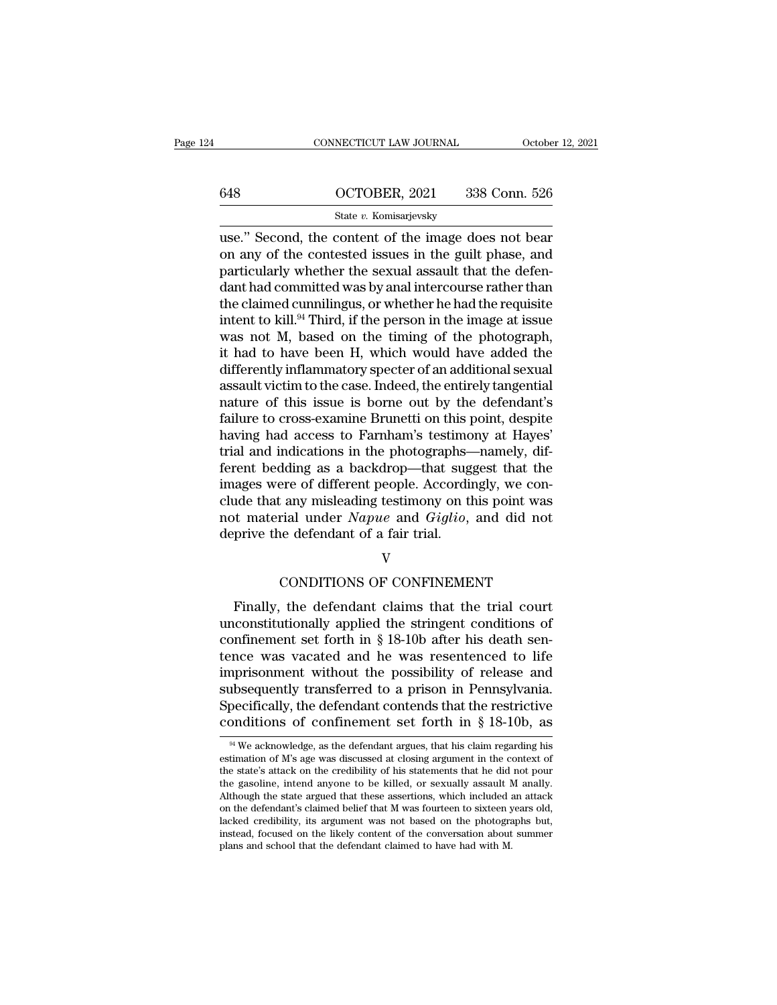|     | CONNECTICUT LAW JOURNAL | October 12, 2021 |
|-----|-------------------------|------------------|
|     |                         |                  |
| 648 | OCTOBER, 2021           | 338 Conn. 526    |
|     | State v. Komisarjevsky  |                  |

CONNECTICUT LAW JOURNAL October 12, 2021<br>
648 OCTOBER, 2021 338 Conn. 526<br>
5tate v. Komisarjevsky<br>
1992. Second, the content of the image does not bear<br>
on any of the contested issues in the guilt phase, and<br>
contributely 648 OCTOBER, 2021 338 Conn. 526<br>
State v. Komisarjevsky<br>
use." Second, the content of the image does not bear<br>
on any of the contested issues in the guilt phase, and<br>
particularly whether the sexual assault that the defen- $\frac{648}{2021}$   $\frac{648}{2021}$   $\frac{648}{2021}$   $\frac{648}{2021}$   $\frac{648}{2021}$   $\frac{648}{2021}$   $\frac{648}{2021}$   $\frac{648}{2021}$   $\frac{648}{2021}$   $\frac{648}{2021}$   $\frac{648}{2021}$   $\frac{648}{2021}$   $\frac{648}{2021}$   $\frac{648}{2021}$   $\frac{648}{202$ 648 **COCTOBER, 2021** 338 Conn. 526<br>
State v. Komisarjevsky<br>
use." Second, the content of the image does not bear<br>
on any of the contested issues in the guilt phase, and<br>
particularly whether the sexual assault that the de State v. Komisarjevsky<br>
use." Second, the content of the image does not bear<br>
on any of the contested issues in the guilt phase, and<br>
particularly whether the sexual assault that the defen-<br>
dant had committed was by anal state v. Komsarjevsky<br>use." Second, the content of the image does not bear<br>on any of the contested issues in the guilt phase, and<br>particularly whether the sexual assault that the defen-<br>dant had committed was by anal inte use." Second, the content of the image does not bear<br>on any of the contested issues in the guilt phase, and<br>particularly whether the sexual assault that the defen-<br>dant had committed was by anal intercourse rather than<br>the on any of the contested issues in the guilt phase, and<br>particularly whether the sexual assault that the defen-<br>dant had committed was by anal intercourse rather than<br>the claimed cunnilingus, or whether he had the requisite particularly whether the sexual assault that the defendant had committed was by anal intercourse rather than<br>the claimed cunnilingus, or whether he had the requisite<br>intent to kill.<sup>94</sup> Third, if the person in the image at dant had committed was by anal intercourse rather than<br>the claimed cunnilingus, or whether he had the requisite<br>intent to kill.<sup>94</sup> Third, if the person in the image at issue<br>was not M, based on the timing of the photograp the claimed cunnilingus, or whether he had the requisite<br>intent to kill.<sup>94</sup> Third, if the person in the image at issue<br>was not M, based on the timing of the photograph,<br>it had to have been H, which would have added the<br>di intent to kill.<sup>94</sup> Third, if the person in the image at issue<br>was not M, based on the timing of the photograph,<br>it had to have been H, which would have added the<br>differently inflammatory specter of an additional sexual<br>as was not M, based on the timing of the photograph,<br>it had to have been H, which would have added the<br>differently inflammatory specter of an additional sexual<br>assault victim to the case. Indeed, the entirely tangential<br>natur it had to have been H, which would have added the<br>differently inflammatory specter of an additional sexual<br>assault victim to the case. Indeed, the entirely tangential<br>nature of this issue is borne out by the defendant's<br>fa differently inflammatory specter of an additional sexual<br>assault victim to the case. Indeed, the entirely tangential<br>nature of this issue is borne out by the defendant's<br>failure to cross-examine Brunetti on this point, des assault victim to the case. Indeed, the entirely tangential<br>nature of this issue is borne out by the defendant's<br>failure to cross-examine Brunetti on this point, despite<br>having had access to Farnham's testimony at Hayes'<br>t nature of this issue is borne out by the defendant's<br>failure to cross-examine Brunetti on this point, despite<br>having had access to Farnham's testimony at Hayes'<br>trial and indications in the photographs—namely, dif-<br>ferent failure to cross-examine Brunetti on this point, despite<br>having had access to Farnham's testimony at Hayes'<br>trial and indications in the photographs—namely, dif-<br>ferent bedding as a backdrop—that suggest that the<br>images we having had access to Farnham's testimo<br>trial and indications in the photographs–<br>ferent bedding as a backdrop—that sug<br>images were of different people. Accordin<br>clude that any misleading testimony on th<br>not material under ere of different people. Accordingly, we contain<br>the containst contains the point was<br>rial under *Napue* and *Giglio*, and did not<br>the defendant of a fair trial.<br>V<br>CONDITIONS OF CONFINEMENT<br>the defendant claims that the tr Finally, the defendant claims that the trial court<br>finally, the defendant of a fair trial.<br>Finally, the defendant claims that the trial court<br>constitutionally applied the stringent conditions of<br>prince that for the set for

### V

mot material under *Naplie* and *Guytto*, and did not<br>deprive the defendant of a fair trial.<br> $V$ <br>CONDITIONS OF CONFINEMENT<br>Finally, the defendant claims that the trial court<br>unconstitutionally applied the stringent condit confinement set for the negative of a range of the confinement set forth in § 18-10b after his death sent-<br>tensor was vacated and he was resentenced to life<br>imprisonment without the negathlity of release and<br>terminonment w V<br>CONDITIONS OF CONFINEMENT<br>Finally, the defendant claims that the trial court<br>unconstitutionally applied the stringent conditions of<br>confinement set forth in § 18-10b after his death sen-<br>tence was vacated and he was rese CONDITIONS OF CONFINEMENT<br>Finally, the defendant claims that the trial court<br>unconstitutionally applied the stringent conditions of<br>confinement set forth in  $\S 18{\text -}10\text{b}$  after his death sen-<br>tence was vacated and he Finally, the defendant claims that the trial court<br>unconstitutionally applied the stringent conditions of<br>confinement set forth in § 18-10b after his death sen-<br>tence was vacated and he was resentenced to life<br>imprisonmen Finally, the defendant claims that the trial court<br>unconstitutionally applied the stringent conditions of<br>confinement set forth in  $\S$  18-10b after his death sen-<br>tence was vacated and he was resentenced to life<br>imprisonm unconstitutionally applied the stringent conditions of<br>confinement set forth in § 18-10b after his death sen-<br>tence was vacated and he was resentenced to life<br>imprisonment without the possibility of release and<br>subsequent mprisonment without the possibility of release and<br>absequently transferred to a prison in Pennsylvania.<br>pecifically, the defendant contends that the restrictive<br>ponditions of confinement set forth in § 18-10b, as<br><sup>94</sup> We subsequently transferred to a prison in Pennsylvania.<br>Specifically, the defendant contends that the restrictive<br>conditions of confinement set forth in § 18-10b, as<br> $\frac{1}{2}$ <br>we acknowledge, as the defendant argues, that h

Specifically, the defendant contends that the restrictive conditions of confinement set forth in § 18-10b, as  $W$  we acknowledge, as the defendant argues, that his claim regarding his estimation of M's age was discussed a conditions of confinement set forth in § 18-10b, as  $\frac{94 \text{ We acknowledge, as the defendant argues, that his claim regarding his estimation of M's age was discussed at closing argument in the context of the state's attack on the credibility of his statements that he did not pour the gasoline, intend anyone to be killed, or sexually assault M analy. Although the state argued that these assertions, which included an attack on the defendant's claimed belief that M was fourteen to sixteen years old,$ CONCULTERT CONFIDED THE SET INTERT IN STATE of the state argues, that his claim regarding his estimation of M's age was discussed at closing argument in the context of the state's attack on the credibility of his statemen <sup>94</sup> We acknowledge, as the defendant argues, that his claim regarding his estimation of M's age was discussed at closing argument in the context of the state's attack on the credibility of his statements that he did not <sup>34</sup> We acknowledge, as the defendant argues, that his claim regarding his estimation of M's age was discussed at closing argument in the context of the state's attack on the credibility of his statements that he did not p estimation of M's age was discussed at closing argument in the context of<br>the state's attack on the credibility of his statements that he did not pour<br>the gasoline, intend anyone to be killed, or sexually assault M anally. the gasoline, intend anyone to be killed, or sexually assault M anally. Although the state argued that these assertions, which included an attack on the defendant's claimed belief that M was fourteen to sixteen years old,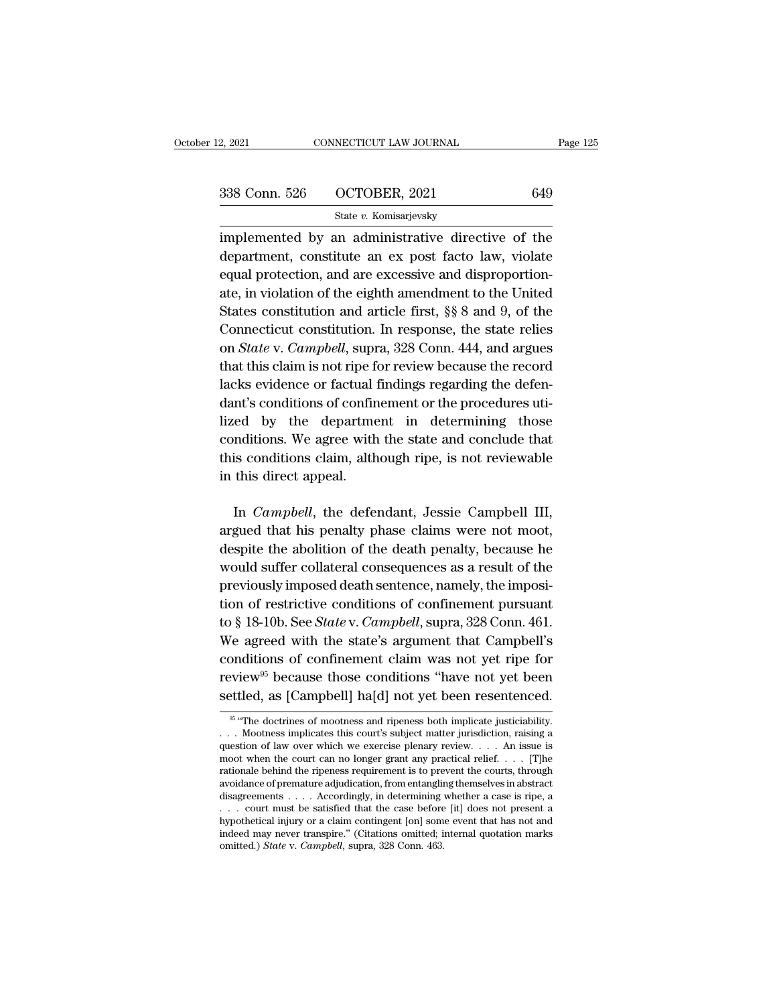| 12, 2021      | CONNECTICUT LAW JOURNAL | Page 125 |
|---------------|-------------------------|----------|
| 338 Conn. 526 | OCTOBER, 2021           | 649      |
|               | State v. Komisarjevsky  |          |

2, 2021 CONNECTICUT LAW JOURNAL Page 125<br>338 Conn. 526 OCTOBER, 2021 649<br>5tate v. Komisarjevsky<br>implemented by an administrative directive of the<br>department, constitute an ex post facto law, violate 338 Conn. 526 OCTOBER, 2021 649<br>
State v. Komisarjevsky<br>
implemented by an administrative directive of the<br>
department, constitute an ex post facto law, violate<br>
equal protection, and are excessive and disproportion-338 Conn. 526 OCTOBER, 2021 649<br>
State v. Komisarjevsky<br>
implemented by an administrative directive of the<br>
department, constitute an ex post facto law, violate<br>
equal protection, and are excessive and disproportion-<br>
ate 338 Conn. 526 OCTOBER, 2021 649<br>
state v. Komisarjevsky<br>
implemented by an administrative directive of the<br>
department, constitute an ex post facto law, violate<br>
equal protection, and are excessive and disproportion-<br>
ate State v. Komisarjevsky<br>
implemented by an administrative directive of the<br>
department, constitute an ex post facto law, violate<br>
equal protection, and are excessive and disproportion-<br>
ate, in violation of the eighth amen implemented by an administrative directive of the<br>department, constitute an ex post facto law, violate<br>equal protection, and are excessive and disproportion-<br>ate, in violation of the eighth amendment to the United<br>States c department, constitute an ex post facto law, violate<br>equal protection, and are excessive and disproportion-<br>ate, in violation of the eighth amendment to the United<br>States constitution and article first, §§ 8 and 9, of the<br> the production, and are excessive and disproportion-<br>ate, in violation of the eighth amendment to the United<br>States constitution and article first, §§ 8 and 9, of the<br>Connecticut constitution. In response, the state relies Lacket in violation of the eighth amendment to the United States constitution and article first, §§ 8 and 9, of the Connecticut constitution. In response, the state relies on *State* v. *Campbell*, supra, 328 Conn. 444, an States constitution and article first,  $\S$  8 and 9, of the<br>Connecticut constitution. In response, the state relies<br>on *State* v. *Campbell*, supra, 328 Conn. 444, and argues<br>that this claim is not ripe for review because Connecticut constitution. In response, the state relies<br>on *State* v. *Campbell*, supra, 328 Conn. 444, and argues<br>that this claim is not ripe for review because the record<br>lacks evidence or factual findings regarding the conditions. The state and conclude that this claim is not ripe for review because the record lacks evidence or factual findings regarding the defendant's conditions of confinement or the procedures utilized by the departme that this claim is not ripe for review because the record<br>lacks evidence or factual findings regarding the defen-<br>dant's conditions of confinement or the procedures uti-<br>lized by the department in determining those<br>conditi Figures 112 Figures 112 Figures 112 Figures 112 Hardware<br>dant's conditions of confirmed approximate conditions. We agree with<br>this conditions claim, alther in this direct appeal. In *Campbell*, the defendant, Jessie Campbell III, gued that his penalty the defendant, Jessie Campbell III, gued that his penalty phase claims were not moot, conditions. We agree with the state and conclude that<br>this conditions claim, although ripe, is not reviewable<br>in this direct appeal.<br>In *Campbell*, the defendant, Jessie Campbell III,<br>argued that his penalty phase claims

despite the about the state and solidate due<br>this conditions claim, although ripe, is not reviewable<br>in this direct appeal.<br>In *Campbell*, the defendant, Jessie Campbell III,<br>argued that his penalty phase claims were not m in this direct appeal.<br>
In Campbell, the defendant, Jessie Campbell III,<br>
argued that his penalty phase claims were not moot,<br>
despite the abolition of the death penalty, because he<br>
would suffer collateral consequences a In *Campbell*, the defendant, Jessie Campbell III, argued that his penalty phase claims were not moot, despite the abolition of the death penalty, because he would suffer collateral consequences as a result of the previous In *Campbell*, the defendant, Jessie Campbell III,<br>argued that his penalty phase claims were not moot,<br>despite the abolition of the death penalty, because he<br>would suffer collateral consequences as a result of the<br>previou argued that his penalty phase claims were not moot,<br>despite the abolition of the death penalty, because he<br>would suffer collateral consequences as a result of the<br>previously imposed death sentence, namely, the imposi-<br>tion despite the abolition of the death penalty, because he<br>would suffer collateral consequences as a result of the<br>previously imposed death sentence, namely, the imposi-<br>tion of restrictive conditions of confinement pursuant<br> would suffer collateral consequences as a result of the<br>previously imposed death sentence, namely, the imposi-<br>tion of restrictive conditions of confinement pursuant<br>to § 18-10b. See *State* v. *Campbell*, supra, 328 Conn reviously imposed death sentence, namely, the imposition of restrictive conditions of confinement pursuant<br>to § 18-10b. See *State* v. *Campbell*, supra, 328 Conn. 461.<br>We agreed with the state's argument that Campbell's<br>c tion of restrictive conditions of confinement pursuant<br>to § 18-10b. See *State* v. *Campbell*, supra, 328 Conn. 461.<br>We agreed with the state's argument that Campbell's<br>conditions of confinement claim was not yet ripe for 95 "The doctrines of mootness and ripeness both implicate justiciability.<br>
95 "The doctrines of mootness and ripeness both implicate justiciability.<br>
95 "The doctrines of mootness and ripeness both implicate justiciability conditions of continement claim was not yet ripe for<br>review<sup>95</sup> because those conditions "have not yet been<br>settled, as [Campbell] ha[d] not yet been resentenced.<br> $\frac{1}{100}$  "The doctrines of mootness and ripeness both i

review<sup>95</sup> because those conditions "have not yet been settled, as [Campbell] ha[d] not yet been resentenced.<br>
<sup>95</sup> "The doctrines of mootness and ripeness both implicate justiciability. . . . Mootness implicates this cou settled, as [Campbell] ha[d] not yet been resentenced.<br>  $\frac{1}{100}$  for the courting of mootness and ripeness both implicate justiciability.<br>  $\ldots$  Mootness implicates this court's subject matter jurisdiction, raising a q **Settled, as [Campbell] na[d] not yet been resentenced.**<br>
<sup>96</sup> "The doctrines of mootness and ripeness both implicate justiciability.<br>  $\ldots$  Mootness implicates this court's subject matter jurisdiction, raising a<br>
questio ... Mootness implicates this court's subject matter jurisdiction, raising a question of law over which we exercise plenary review.... An issue is moot when the court can no longer grant any practical relief.... [T]he rati <sup>36</sup> The doctrines of mootness and ripeness both implicate justiciability.<br>
1. Nootness implicates this court's subject matter jurisdiction, raising a<br>
question of law over which we exercise plenary review.... An issue is . . . Mootness implicates this court's subject matter jurisdiction, raising a question of law over which we exercise plenary review. . . . An issue is moot when the court can no longer grant any practical relief. . . . [T question of law over which we exercise plenary review. . . . An issue is<br>moot when the court can no longer grant any practical relief. . . . [T]he<br>rationale behind the ripeness requirement is to prevent the courts, throug moot when the court can no longer grant any practical relief.  $\ldots$  [T]he rationale behind the ripeness requirement is to prevent the courts, through avoidance of premature adjudication, from entangling themselves in abst avoidance of premature adjudication, from entangling themselves in abstract disagreements . . . . Accordingly, in determining whether a case is ripe, a . . . court must be satisfied that the case before [it] does not pres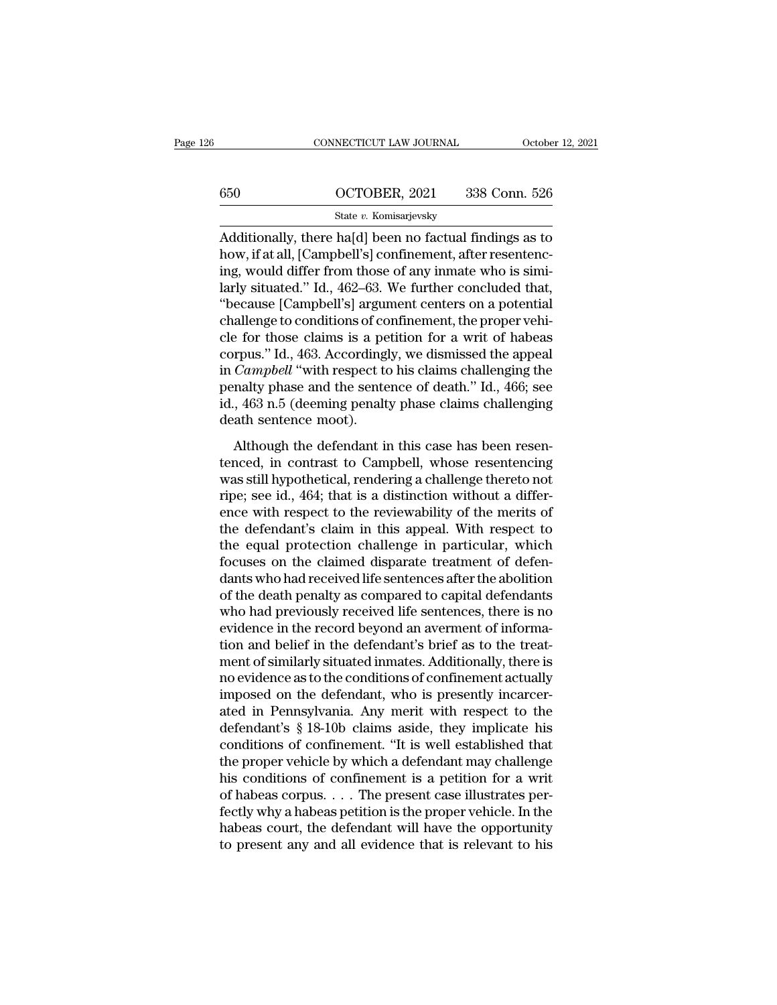|     | CONNECTICUT LAW JOURNAL | October 12, 2021 |
|-----|-------------------------|------------------|
|     |                         |                  |
| 650 | OCTOBER, 2021           | 338 Conn. 526    |
|     | State v. Komisarjevsky  |                  |

CONNECTICUT LAW JOURNAL October 12, 2021<br>
650 OCTOBER, 2021 338 Conn. 526<br>
5tate v. Komisarjevsky<br>
Additionally, there ha[d] been no factual findings as to<br>
how, if at all, [Campbell's] confinement, after resentenc-650  $OCTOBER, 2021$  338 Conn. 526<br>
State v. Komisarjevsky<br>
Additionally, there ha[d] been no factual findings as to<br>
how, if at all, [Campbell's] confinement, after resentenc-<br>
ing, would differ from those of any inmate who  $\begin{array}{r} \text{650} & \text{OCTOBER, 2021} & \text{338 Conn. 526} \ \text{State } v. \text{ Komisarjevsky} \ \text{Additionally, there ha[d] been no factual findings as to how, if at all, [Campbell's] confinement, after researching, would differ from those of any innate who is similarly situated." Id., 462–63. We further concluded that, "hoouve [Campholl's] argument controls on a potential" \end{array}$  $\frac{\text{G50}}{\text{State } v. \text{ Komisarjevsky}}$ <br>  $\frac{\text{State } v. \text{ Komisarjevsky}}{\text{Additionally, there ha[d] been no factual findings as to}}$ <br>
how, if at all, [Campbell's] confinement, after resentencing, would differ from those of any inmate who is similarly situated." Id., 462–63. We further State v. Komisarjevsky<br>
Additionally, there ha[d] been no factual findings as to<br>
how, if at all, [Campbell's] confinement, after resentenc-<br>
ing, would differ from those of any inmate who is simi-<br>
larly situated." Id., 4 state v. Komsarjevsky<br>Additionally, there ha[d] been no factual findings as to<br>how, if at all, [Campbell's] confinement, after resentenc-<br>ing, would differ from those of any inmate who is simi-<br>larly situated." Id., 462–6 Additionally, there ha[d] been no factual findings as to<br>how, if at all, [Campbell's] confinement, after resentenc-<br>ing, would differ from those of any inmate who is simi-<br>larly situated." Id., 462–63. We further concluded how, if at all, [Campbell's] confinement, after resentencing, would differ from those of any inmate who is similarly situated." Id., 462–63. We further concluded that, "because [Campbell's] argument centers on a potential ing, would differ from those of any inmate who is similarly situated." Id., 462–63. We further concluded that, "because [Campbell's] argument centers on a potential challenge to conditions of confinement, the proper vehicl larly situated." Id., 462–63. We further concluded that,<br>"because [Campbell's] argument centers on a potential<br>challenge to conditions of confinement, the proper vehi-<br>cle for those claims is a petition for a writ of habea "because [Campbell's] argument centers on a potential<br>challenge to conditions of confinement, the proper vehi-<br>cle for those claims is a petition for a writ of habeas<br>corpus." Id., 463. Accordingly, we dismissed the appeal challenge to conditions of co<br>cle for those claims is a pe<br>corpus." Id., 463. According!<br>in *Campbell* "with respect to<br>penalty phase and the sente<br>id., 463 n.5 (deeming penalt<br>death sentence moot).<br>Although the defendant rpus." Id., 463. Accordingly, we dismissed the appeal<br>campbell "with respect to his claims challenging the<br>nalty phase and the sentence of death." Id., 466; see<br>, 463 n.5 (deeming penalty phase claims challenging<br>ath sente tenced, in contrast to Campbell, whose resemington and the sentence of death." Id., 466; see<br>id., 463 n.5 (deeming penalty phase claims challenging<br>death sentence moot).<br>Although the defendant in this case has been resen-

meantly phase and the sentence of death." Id., 466; see<br>id., 463 n.5 (deeming penalty phase claims challenging<br>death sentence moot).<br>Although the defendant in this case has been resen-<br>tenced, in contrast to Campbell, whos permary phase and are schooled of detail. That, 100, see<br>id., 463 n.5 (deeming penalty phase claims challenging<br>death sentence moot).<br>Although the defendant in this case has been resen-<br>tenced, in contrast to Campbell, who Fig. 1.69 The (deeling penalty phase claims enancriging<br>death sentence moot).<br>Although the defendant in this case has been resen-<br>tenced, in contrast to Campbell, whose resentencing<br>was still hypothetical, rendering a chal Although the defendant in this case has been resentenced, in contrast to Campbell, whose resentencing<br>was still hypothetical, rendering a challenge thereto not<br>ripe; see id., 464; that is a distinction without a differ-<br>en Although the defendant in this case has been resentenced, in contrast to Campbell, whose resentencing<br>was still hypothetical, rendering a challenge thereto not<br>ripe; see id., 464; that is a distinction without a differ-<br>en tenced, in contrast to Campbell, whose resentencing<br>was still hypothetical, rendering a challenge thereto not<br>ripe; see id., 464; that is a distinction without a differ-<br>ence with respect to the reviewability of the merits was still hypothetical, rendering a challenge thereto not<br>ripe; see id., 464; that is a distinction without a differ-<br>ence with respect to the reviewability of the merits of<br>the defendant's claim in this appeal. With respe ripe; see id., 464; that is a distinction without a difference with respect to the reviewability of the merits of the defendant's claim in this appeal. With respect to the equal protection challenge in particular, which fo ence with respect to the reviewability of the merits of<br>the defendant's claim in this appeal. With respect to<br>the equal protection challenge in particular, which<br>focuses on the claimed disparate treatment of defen-<br>dants w the defendant's claim in this appeal. With respect to<br>the equal protection challenge in particular, which<br>focuses on the claimed disparate treatment of defen-<br>dants who had received life sentences after the abolition<br>of th the equal protection challenge in particular, which<br>focuses on the claimed disparate treatment of defen-<br>dants who had received life sentences after the abolition<br>of the death penalty as compared to capital defendants<br>who focuses on the claimed disparate treatment of defendants who had received life sentences after the abolition<br>of the death penalty as compared to capital defendants<br>who had previously received life sentences, there is no<br>ev dants who had received life sentences after the abolition<br>of the death penalty as compared to capital defendants<br>who had previously received life sentences, there is no<br>evidence in the record beyond an averment of informaof the death penalty as compared to capital defendants<br>who had previously received life sentences, there is no<br>evidence in the record beyond an averment of informa-<br>tion and belief in the defendant's brief as to the treatwho had previously received life sentences, there is no<br>evidence in the record beyond an averment of informa-<br>tion and belief in the defendant's brief as to the treat-<br>ment of similarly situated inmates. Additionally, ther evidence in the record beyond an averment of information and belief in the defendant's brief as to the treatment of similarly situated inmates. Additionally, there is no evidence as to the conditions of confinement actuall tion and belief in the defendant's brief as to the treat-<br>ment of similarly situated inmates. Additionally, there is<br>no evidence as to the conditions of confinement actually<br>imposed on the defendant, who is presently incar ment of similarly situated inmates. Additionally, there is<br>no evidence as to the conditions of confinement actually<br>imposed on the defendant, who is presently incarcer-<br>ated in Pennsylvania. Any merit with respect to the<br>d no evidence as to the conditions of confinement actually<br>imposed on the defendant, who is presently incarcer-<br>ated in Pennsylvania. Any merit with respect to the<br>defendant's § 18-10b claims aside, they implicate his<br>condit imposed on the defendant, who is presently incarcerated in Pennsylvania. Any merit with respect to the defendant's  $\S$  18-10b claims aside, they implicate his conditions of confinement. "It is well established that the pr ated in Pennsylvania. Any merit with respect to the<br>defendant's § 18-10b claims aside, they implicate his<br>conditions of confinement. "It is well established that<br>the proper vehicle by which a defendant may challenge<br>his co defendant's § 18-10b claims aside, they implicate his<br>conditions of confinement. "It is well established that<br>the proper vehicle by which a defendant may challenge<br>his conditions of confinement is a petition for a writ<br>of conditions of confinement. "It is well established that<br>the proper vehicle by which a defendant may challenge<br>his conditions of confinement is a petition for a writ<br>of habeas corpus. . . . The present case illustrates per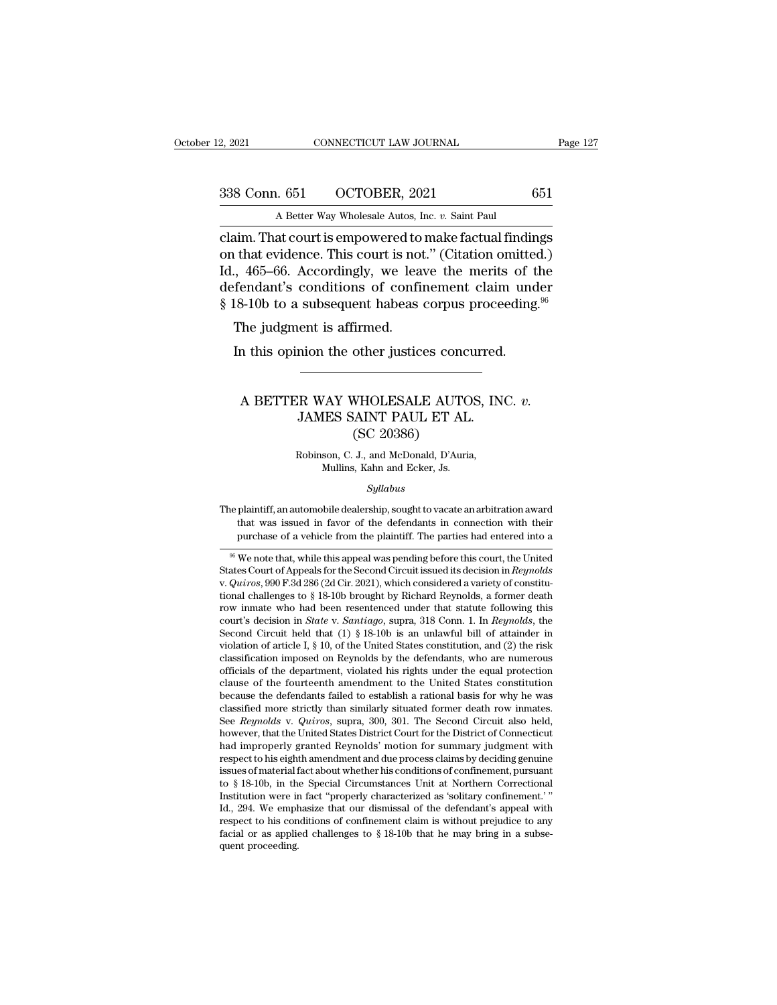2, 2021 CONNECTICUT LAW JOURNAL Page 127<br>338 Conn. 651 OCTOBER, 2021 651<br>A Better Way Wholesale Autos, Inc. *v*. Saint Paul

2, 2021 CONNECTICUT LAW JOURNAL<br>
338 Conn. 651 OCTOBER, 2021 651<br>
A Better Way Wholesale Autos, Inc. *v.* Saint Paul<br>
claim. That court is empowered to make factual findings 2, 2021 CONNECTICUT LAW JOURNAL Page 127<br>
338 Conn. 651 OCTOBER, 2021 651<br>
A Better Way Wholesale Autos, Inc. v. Saint Paul<br>
claim. That court is empowered to make factual findings<br>
on that evidence. This court is not." (C 338 Conn. 651 OCTOBER, 2021 651<br>
A Better Way Wholesale Autos, Inc. v. Saint Paul<br>
claim. That court is empowered to make factual findings<br>
on that evidence. This court is not.'' (Citation omitted.)<br>
Id., 465–66. According 338 Conn. 651 OCTOBER, 2021 651<br>
A Better Way Wholesale Autos, Inc. v. Saint Paul<br>
claim. That court is empowered to make factual findings<br>
on that evidence. This court is not." (Citation omitted.)<br>
Id., 465–66. According 338 Conn. 651 OCTOBER, 2021 651<br>
A Better Way Wholesale Autos, Inc. v. Saint Paul<br>
claim. That court is empowered to make factual findings<br>
on that evidence. This court is not." (Citation omitted.)<br>
Id., 465–66. According A Better Way Wholesale Autos, Inc. v. Saint Paul<br>Claim. That court is empowered to make factual findings<br>on that evidence. This court is not." (Citation omitted.)<br>Id., 465–66. Accordingly, we leave the merits of the<br>defend im. That court is empowered to<br>that evidence. This court is not<br>, 465–66. Accordingly, we leaf<br>fendant's conditions of confire<br>18-10b to a subsequent habeas<br>The judgment is affirmed.<br>In this opinion the other justic In that evidence. This court is not." (Citation omitted., 465–66. Accordingly, we leave the merits of the fendant's conditions of confinement claim und the other justices corpus proceeding The judgment is affirmed.<br>In this

### A BETTER WAY WHOLESALE AUTOS, INC. *v.*<br>A BETTER WAY WHOLESALE AUTOS, INC. *v.*<br>JAMES SAINT PAUL ET AL. ent is affirmed.<br>
mion the other justices concurred.<br>
<br>
R WAY WHOLESALE AUTOS, INC<br>
JAMES SAINT PAUL ET AL.<br>
(SC 20386) other justices conc<br>
WHOLESALE AUTO<br>
MHOLESALE AUTO<br>
(SC 20386)<br>
J., and McDonald, D'Auri<br>
MeDonald, D'Auri ER WAY WHOLESALE AUTOS, IN<br>JAMES SAINT PAUL ET AL.<br>(SC 20386)<br>Robinson, C. J., and McDonald, D'Auria,<br>Mullins, Kahn and Ecker, Js. VAY WHOLESALE AUTO<br>
IES SAINT PAUL ET AL.<br>
(SC 20386)<br>
son, C. J., and McDonald, D'Auria<br>
Mullins, Kahn and Ecker, Js.<br>
Sullabus

### *Syllabus*

 $(5C 20380)$ <br>
Robinson, C. J., and McDonald, D'Auria,<br>
Mullins, Kahn and Ecker, Js.<br>
Syllabus<br>
The plaintiff, an automobile dealership, sought to vacate an arbitration award<br>
that was issued in favor of the defendants in Robinson, C. J., and McDonald, D'Auria,<br>Mullins, Kahn and Ecker, Js.<br>Syllabus<br>The plaintiff, an automobile dealership, sought to vacate an arbitration award<br>that was issued in favor of the defendants in connection with the Mullins, Kahn and Ecker, Js.<br>
Syllabus<br>
plaintiff, an automobile dealership, sought to vacate an arbitration award<br>
that was issued in favor of the defendants in connection with their<br>
purchase of a vehicle from the plaint  $Sylabus$ <br>
96 Meta an arbitration award<br>
96 Meta was issued in favor of the defendants in connection with their<br>
96 We note that, while this appeal was pending before this court, the United<br>
96 We note that, while this appea

The plaintiff, an automobile dealership, sought to vacate an arbitration award<br>that was issued in favor of the defendants in connection with their<br>purchase of a vehicle from the plaintiff. The parties had entered into a<br>se that was issued in favor of the defendants in connection with their<br>purchase of a vehicle from the plaintiff. The parties had entered into a<br> $\frac{96}{100}$  We note that, while this appeal was pending before this court, the purchase of a vehicle from the plaintiff. The parties had entered into a<br><sup>96</sup> We note that, while this appeal was pending before this court, the United<br>States Court of Appeals for the Second Circuit issued its decision in <sup>66</sup> We note that, while this appeal was pending before this court, the United States Court of Appeals for the Second Circuit issued its decision in *Reynolds* v. *Quiros*, 990 F.3d 286 (2d Cir. 2021), which considered a v <sup>36</sup> We note that, while this appeal was pending before this court, the United States Court of Appeals for the Second Circuit issued its decision in *Reynolds* v. *Quiros*, 990 F.3d 286 (2d Cir. 2021), which considered a States Court of Appeals for the Second Circuit issued its decision in *Reynolds* v.  $Quiros$ , 990 F.3d 286 (2d Cir. 2021), which considered a variety of constitutional challenges to § 18-10b brought by Richard Reynolds, a for v.  $Quiros$ ,  $990$  F.3d 286 (2d Cir. 2021), which considered a variety of constitutional challenges to § 18-10b brought by Richard Reynolds, a former death row inmate who had been resentenced under that statute following this tional challenges to § 18-10b brought by Kichard Keynolds, a former death<br>row inmate who had been resentenced under that statute following this<br>court's decision in *State* v. *Santiago*, supra, 318 Conn. 1. In *Reynolds*, row in mate who had been resentenced under that statute following this court's decision in *State* v. *Santiago*, supra, 318 Conn. 1. In *Reynolds*, the Second Circuit held that (1) § 18-10b is an unlawful bill of attaind court's decision in *State* v. *Santrago*, supra, 318 Conn. 1. In *Reynolds*, the Second Circuit held that (1) § 18-10b is an unlawful bill of attainder in violation of article I, § 10, of the United States constitution, Second Circuit held that (1) § 18-10b is an unlawful bill of attainder inviolation of article I, § 10, of the United States constitution, and (2) the risk classification imposed on Reynolds by the defendants, who are nume violation of article I, § 10, of the United States constitution, and (2) the risk<br>classification imposed on Reynolds by the defendants, who are numerous<br>officials of the department, violated his rights under the equal prot classification imposed on Reynolds by the defendants, who are numerous officials of the department, violated his rights under the equal protection clause of the fourteenth amendment to the United States constitution becaus officials of the department, violated his rights under the equal protection<br>clause of the fourteenth amendment to the United States constitution<br>because the defendants failed to establish a rational basis for why he was<br>cl clause of the fourteenth amendment to the United States constitution<br>because the defendants failed to establish a rational basis for why he was<br>classified more strictly than similarly situated former death row inmates.<br>See because the detendants falled to establish a rational basis for why he was classified more strictly than similarly situated former death row inmates.<br>See *Reynolds* v. *Quiros*, supra, 300, 301. The Second Circuit also he classified more strictly than similarly situated former death row inmates.<br>See *Reynolds* v. *Quiros*, supra, 300, 301. The Second Circuit also held,<br>however, that the United States District Court for the District of Conne See *Reynotas* v. *Quiros*, supra, 300, 301. The Second Circuit also held, however, that the United States District Court for the District of Connecticut had improperly granted Reynolds' motion for summary judgment with re however, that the United States District Court for the District of Connecticut<br>had improperly granted Reynolds' motion for summary judgment with<br>respect to his eighth amendment and due process claims by deciding genuine<br>is had improperly granted Reynolds' motion for summary judgment with<br>respect to his eighth amendment and due process claims by deciding genuine<br>issues of material fact about whether his conditions of confinement, pursuant<br>to respect to his eighth amendment and due process claims by deciding genuine<br>issues of material fact about whether his conditions of confinement, pursuant<br>to § 18-10b, in the Special Circumstances Unit at Northern Correctio issues of material it<br>to  $\S$  18-10b, in the Institution were in<br>Id., 294. We emply<br>respect to his confacial or as applie<br>quent proceeding.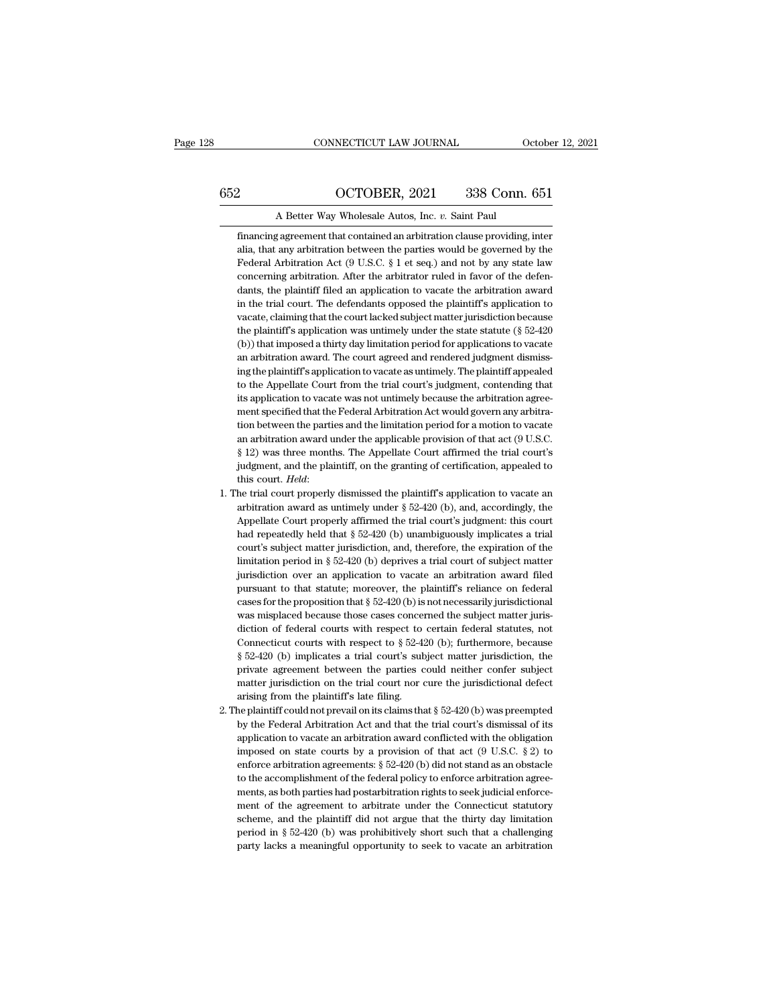# CONNECTICUT LAW JOURNAL October 12, 2021<br>652 OCTOBER, 2021 338 Conn. 651<br>A Better Way Wholesale Autos, Inc. *v*. Saint Paul

EXECUTE CONNECTICUT LAW JOURNAL October 12, 2021<br>2. OCTOBER, 2021 338 Conn. 651<br>8. A Better Way Wholesale Autos, Inc. *v.* Saint Paul<br>5. Financing agreement that contained an arbitration clause providing, inter Financing agreement that contained an arbitration clause providing, inter<br>dia, that any arbitration between the parties would be governed by the<br>dia, that any arbitration between the parties would be governed by the 2 CCTOBER, 2021 338 Conn. 651<br>A Better Way Wholesale Autos, Inc. v. Saint Paul<br>financing agreement that contained an arbitration clause providing, inter<br>alia, that any arbitration between the parties would be governed by t 2 COTOBER, 2021 338 Conn. 651<br>A Better Way Wholesale Autos, Inc. v. Saint Paul<br>financing agreement that contained an arbitration clause providing, inter<br>alia, that any arbitration between the parties would be governed by t A Better Way Wholesale Autos, Inc.  $v$ . Saint Paul<br>financing agreement that contained an arbitration clause providing, inter<br>alia, that any arbitration between the parties would be governed by the<br>Federal Arbitration Act A Better Way Wholesale Autos, Inc.  $v$ . Saint Paul<br>financing agreement that contained an arbitration clause providing, inter<br>alia, that any arbitration hetween the parties would be governed by the<br>Federal Arbitration Act financing agreement that contained an arbitration clause providing, inter<br>alia, that any arbitration between the parties would be governed by the<br>Federal Arbitration Act (9 U.S.C.  $\S 1$  et seq.) and not by any state law<br>c alia, that any arbitration between the parties would be governed by the Federal Arbitration Act (9 U.S.C.  $\S 1$  et seq.) and not by any state law concerning arbitration. After the arbitrator ruled in favor of the defendan Federal Arbitration Act (9 U.S.C.  $\S 1$  et seq.) and not by any state law concerning arbitration. After the arbitrator ruled in favor of the defendants, the plaintiff filed an application to vacate the arbitration award i concerning arbitration. After the arbitrator ruled in favor of the defendants, the plaintiff filed an application to vacate the arbitration award in the trial court. The defendants opposed the plaintiff's application to va concerning arbitration. After the arbitrator ruled in favor of the defendants, the plaintiff filed an application to vacate the arbitration award in the trial court. The defendants opposed the plaintiff's application to va in the trial court. The defendants opposed the plaintiff's application to vacate, claiming that the court lacked subject matter jurisdiction because the plaintiff's application was untimely under the state statute ( $\S$  52 vacate, claiming that the court lacked subject matter jurisdiction because<br>the plaintiff's application was untimely under the state statute (§ 52-420<br>(b)) that imposed a thirty day limitation period for applications to vac the plaintiff's application was untimely under the state statute (§ 52-420 (b)) that imposed a thirty day limitation period for applications to vacate an arbitration award. The court agreed and rendered judgment dismissing (b)) that imposed a thirty day limitation period for applications to vacate<br>an arbitration award. The court agreed and rendered judgment dismissi-<br>ing the plaintiff's application to vacate as untimely. The plaintiff appeal an arbitration award. The court agreed and rendered judgment dismissing the plaintiff's application to vacate as untimely. The plaintiff appealed to the Appellate Court from the trial court's judgment, contending that its ing the plaintiff's application to vacate as untimely. The plaintiff appealed<br>to the Appellate Court from the trial court's judgment, contending that<br>its application to vacate was not untimely because the arbitration agree to the Appellate Court from the trial court's judgment, contending that<br>its application to vacate was not untimely because the arbitration agree-<br>ment specified that the Federal Arbitration Act would govern any arbitra-<br>ti its application to vacate was not untimely because the arbitration agreement specified that the Federal Arbitration Act would govern any arbitration between the parties and the limitation period for a motion to vacate an ment specified that the Federal Arbitration Act would govern any arbitration between the parties and the limitation period for a motion to vacate an arbitration award under the applicable provision of that act ( $9$  U.S.C. an arbitration award under the applicable provision of that act (9 U.S.C. § 12) was three months. The Appellate Court affirmed the trial court's judgment, and the plaintiff, on the granting of certification, appealed to t

- § 12) was three months. The Appellate Court affirmed the trial court's judgment, and the plaintiff, on the granting of certification, appealed to this court. *Held*: he trial court properly dismissed the plaintiff's appli judgment, and the plaintiff, on the granting of certification, appealed to<br>this court. Held:<br>he trial court properly dismissed the plaintiff's application to vacate an<br>arbitration award as untimely under § 52-420 (b), and, this court. *Held*:<br>he trial court properly dismissed the plaintiff's application to vacate an<br>arbitration award as untimely under  $\S$  52-420 (b), and, accordingly, the<br>Appellate Court properly affirmed the trial court's he trial court properly dismissed the plaintiff's application to vacate an arbitration award as untimely under  $\S 52-420$  (b), and, accordingly, the Appellate Court properly affirmed the trial court's judgment: this court arbitration award as untimely under  $\S$  52-420 (b), and, accordingly, the<br>Appellate Court properly affirmed the trial court's judgment: this court<br>had repeatedly held that  $\S$  52-420 (b) unambiguously implicates a trial<br>c Appellate Court properly affirmed the trial court's judgment: this court<br>had repeatedly held that § 52-420 (b) unambiguously implicates a trial<br>court's subject matter jurisdiction, and, therefore, the expiration of the<br>li had repeatedly held that § 52-420 (b) unambiguously implicates a trial court's subject matter jurisdiction, and, therefore, the expiration of the limitation period in § 52-420 (b) deprives a trial court of subject matter had repeatedly held that  $\S$  52-420 (b) unambiguously implicates a trial court's subject matter jurisdiction, and, therefore, the expiration of the limitation period in  $\S$  52-420 (b) deprives a trial court of subject mat limitation period in § 52-420 (b) deprives a trial court of subject matter jurisdiction over an application to vacate an arbitration award filed pursuant to that statute; moreover, the plaintiff's reliance on federal case jurisdiction over an application to vacate an arbitration award filed<br>pursuant to that statute; moreover, the plaintiff's reliance on federal<br>cases for the proposition that  $\S$  52-420 (b) is not necessarily jurisdictional pursuant to that statute; moreover, the plaintiff's reliance on federal cases for the proposition that  $\S$  52-420 (b) is not necessarily jurisdictional was misplaced because those cases concerned the subject matter jurisd cases for the proposition that § 52-420 (b) is not necessarily jurisdictional was misplaced because those cases concerned the subject matter jurisdiction of federal courts with respect to certain federal statutes, not Con was misplaced because those cases concerned the subject matter jurisdiction of federal courts with respect to certain federal statutes, not Connecticut courts with respect to  $\S 52-420$  (b); furthermore, because  $\S 52-420$ diction of federal courts with respect to<br>Connecticut courts with respect to  $\S$  52-4:<br> $\S$  52-420 (b) implicates a trial court's sub<br>private agreement between the parties c<br>matter jurisdiction on the trial court nor c<br>ari Connecticut courts with respect to § 52-420 (b); furthermore, because § 52-420 (b) implicates a trial court's subject matter jurisdiction, the private agreement between the parties could neither confer subject matter juri  $\S$  52-420 (b) implicates a trial court's subject matter jurisdiction, the private agreement between the parties could neither confer subject matter jurisdiction on the trial court nor cure the jurisdictional defect arisi
- private agreement between the parties could neither confer subject<br>matter jurisdiction on the trial court nor cure the jurisdictional defect<br>arising from the plaintiff's late filing.<br>eplaintiff could not prevail on its cl matter jurisdiction on the trial court nor cure the jurisdictional defect<br>arising from the plaintiff's late filing.<br>ne plaintiff could not prevail on its claims that  $\S$  52-420 (b) was preempted<br>by the Federal Arbitration arising from the plaintiff's late filing.<br>
he plaintiff could not prevail on its claims that  $\S$  52-420 (b) was preempted<br>
by the Federal Arbitration Act and that the trial court's dismissal of its<br>
application to vacate the plaintiff could not prevail on its claims that  $\S$  52-420 (b) was preempted<br>by the Federal Arbitration Act and that the trial court's dismissal of its<br>application to vacate an arbitration award conflicted with the obl by the Federal Arbitration Act and that the trial court's dismissal of its application to vacate an arbitration award conflicted with the obligation imposed on state courts by a provision of that act  $(9 \text{ U.S.C. } § 2)$  to e application to vacate an arbitration award conflicted with the obligation imposed on state courts by a provision of that act  $(9 \text{ U.S.C. } § 2)$  to enforce arbitration agreements:  $§ 52-420$  (b) did not stand as an obstacle imposed on state courts by a provision of that act  $(9 \text{ U.S.C. } \S 2)$  to enforce arbitration agreements:  $\S 52-420$  (b) did not stand as an obstacle to the accomplishment of the federal policy to enforce arbitration agreem enforce arbitration agreements: § 52-420 (b) did not stand as an obstacle<br>to the accomplishment of the federal policy to enforce arbitration agreements, as both parties had postarbitration rights to seek judicial enforce-<br> to the accomplishment of the federal policy to enforce arbitration agreements, as both parties had postarbitration rights to seek judicial enforcement of the agreement to arbitrate under the Connecticut statutory scheme,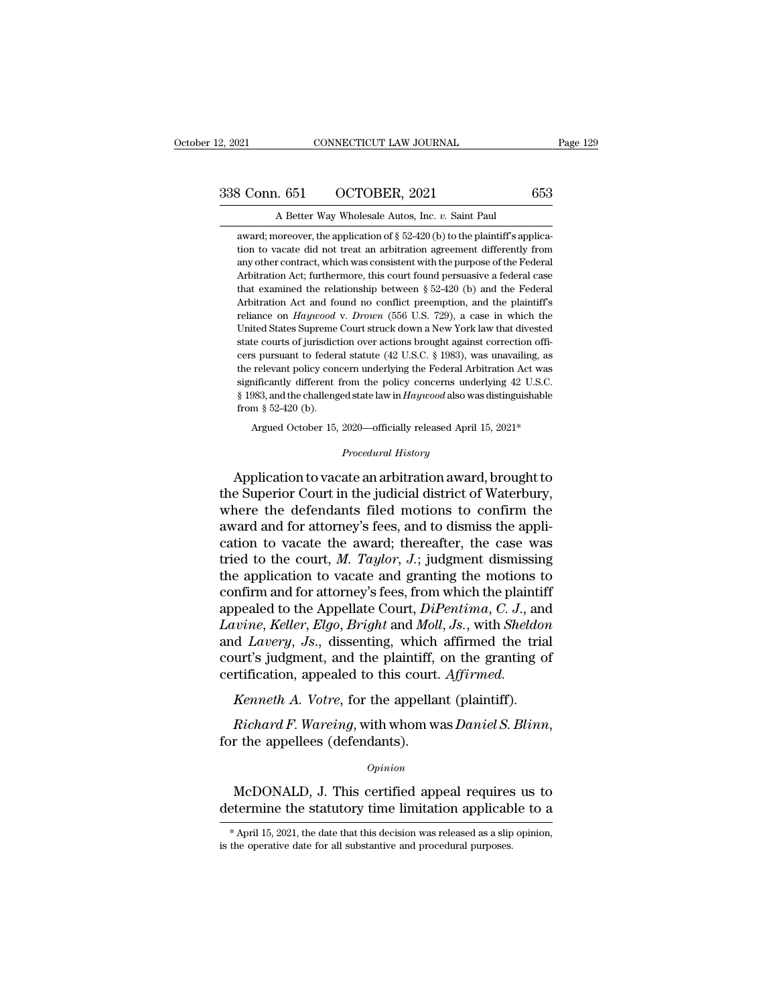award; moreover, the application of § 52-420 (b) to the plaintiff's applica-3 Conn. 651 CCTOBER, 2021 653<br>A Better Way Wholesale Autos, Inc. v. Saint Paul<br>award; moreover, the application of § 52-420 (b) to the plaintiff's applica-<br>tion to vacate did not treat an arbitration agreement differently 3 Conn. 651 CCTOBER, 2021 653<br>A Better Way Wholesale Autos, Inc. v. Saint Paul<br>award; moreover, the application of  $\S$  52-420 (b) to the plaintiff's applica-<br>tion to vacate did not treat an arbitration agreement different A Better Way Wholesale Autos, Inc.  $v$ . Saint Paul<br>award; moreover, the application of § 52-420 (b) to the plaintiff's applica-<br>tion to vacate did not treat an arbitration agreement differently from<br>any other contract, wh A Better Way Wholesale Autos, Inc.  $v$ . Saint Paul<br>award; moreover, the application of § 52-420 (b) to the plaintiff's applica-<br>tion to vacate did not treat an arbitration agreement differently from<br>any other contract, wh award; moreover, the application of  $\S$  52-420 (b) to the plaintiff's application to vacate did not treat an arbitration agreement differently from any other contract, which was consistent with the purpose of the Federal tion to vacate did not treat an arbitration agreement differently from<br>any other contract, which was consistent with the purpose of the Federal<br>Arbitration Act; furthermore, this court found persuasive a federal case<br>that any other contract, which was consistent with the purpose of the Federal Arbitration Act; furthermore, this court found persuasive a federal case that examined the relationship between  $\S 52-420$  (b) and the Federal Arbit Arbitration Act; furthermore, this court found persuasive a federal case<br>Arbitration Act; furthermore, this court found persuasive a federal case<br>that examined the relationship between § 52-420 (b) and the Pederal<br>Arbitra Function and the relationship between § 52-420 (b) and the Federal Arbitration Act and found no conflict preemption, and the plaintiff's reliance on *Haywood v. Drown* (556 U.S. 729), a case in which the United States Sup Arbitration Act and found no conflict preemption, and the plaintiff's<br>reliance on *Haywood* v. *Drown* (556 U.S. 729), a case in which the<br>United States Supreme Court struck down a New York law that divested<br>state courts o reliance on *Haywood* v. *Drown* (556 U.S. 729), a case in which the United States Supreme Court struck down a New York law that divested state courts of jurisdiction over actions brought against correction officers pursu United States Supreme Court struck down a New York law that divested state courts of jurisdiction over actions brought against correction officers pursuant to federal statute  $(42 \text{ U.S.C. }$ § 1983), was unavailing, as the r United States Supreme Court struck down a New York law that divested<br>state courts of jurisdiction over actions brought against correction officers<br>pursuant to federal statute (42 U.S.C. § 1983), was unavailing, as<br>the rel the relevant policy concern underlying the Federal Arbitration Act was significantly different from the policy concerns underlying 42 U.S.C.  $\$  1983, and the challenged state law in *Haywood* also was distinguishable fr % significantly different from the policy concerns underlying 42 U.S.C.<br>  $\$ 1983, and the challenged state law in *Haywood* also was distinguishable<br>
from  $\$  52-420 (b).<br>
Argued October 15, 2020—officially released Apri Let the vacant monoked are the significantly different from the policy concerns underlying 42 U.S.C.<br>
§ 1983, and the challenged state law in *Haywood* also was distinguishable<br>
from § 52-420 (b).<br>
Argued October 15, 2020—

 $\S$  1983, and the challenged state law in *Haywood* also was distinguishable<br>from  $\S$  52-420 (b).<br>Argued October 15, 2020—officially released April 15, 2021\*<br>*Procedural History*<br>Application to vacate an arbitration award from § 52-420 (b).<br>
Argued October 15, 2020—officially released April 15, 2021\*<br>
Procedural History<br>
Application to vacate an arbitration award, brought to<br>
the Superior Court in the judicial district of Waterbury,<br>
where Argued October 15, 2020—officially released April 15, 2021\*<br> *Procedural History*<br>
Application to vacate an arbitration award, brought to<br>
the Superior Court in the judicial district of Waterbury,<br>
where the defendants fi *Procedural History*<br>Application to vacate an arbitration award, brought to<br>the Superior Court in the judicial district of Waterbury,<br>where the defendants filed motions to confirm the<br>award and for attorney's fees, and to Application to vacate an arbitration award, brought to<br>the Superior Court in the judicial district of Waterbury,<br>where the defendants filed motions to confirm the<br>award and for attorney's fees, and to dismiss the appli-<br>ca Application to vacate an arbitration award, brought to<br>the Superior Court in the judicial district of Waterbury,<br>where the defendants filed motions to confirm the<br>award and for attorney's fees, and to dismiss the appli-<br>c the Superior Court in the judicial district of Waterbury,<br>where the defendants filed motions to confirm the<br>award and for attorney's fees, and to dismiss the appli-<br>cation to vacate the award; thereafter, the case was<br>tri where the defendants filed motions to confirm the<br>award and for attorney's fees, and to dismiss the appli-<br>cation to vacate the award; thereafter, the case was<br>tried to the court, *M. Taylor*, *J.*; judgment dismissing<br>the award and for attorney's fees, and to dismiss the application to vacate the award; thereafter, the case was tried to the court, *M. Taylor*, *J.*; judgment dismissing the application to vacate and granting the motions to c cation to vacate the award; thereafter, the case was<br>tried to the court, *M. Taylor*, *J.*; judgment dismissing<br>the application to vacate and granting the motions to<br>confirm and for attorney's fees, from which the plaintif tried to the court, *M. Taylor*, *J.*; judgment dismissing<br>the application to vacate and granting the motions to<br>confirm and for attorney's fees, from which the plaintiff<br>appealed to the Appellate Court, *DiPentima*, *C.* the application to vacate and granting the motions<br>confirm and for attorney's fees, from which the plaint<br>appealed to the Appellate Court, *DiPentima*, *C. J.*, a<br>*Lavine*, *Keller*, *Elgo*, *Bright* and *Moll*, *Js.*, wit Finnit and for attoricy sites, from which the plaint<br>pealed to the Appellate Court, *DiPentima, C. J.*, and<br>*wine, Keller, Elgo, Bright* and *Moll, Js.*, with *Sheldor*<br>d *Lavery, Js.*, dissenting, which affirmed the tria<br> *Lavine, Keller, Elgo, Bright* and *Moll, Js.*, with *Sheldon*<br>and *Lavery, Js.*, dissenting, which affirmed the trial<br>court's judgment, and the plaintiff, on the granting of<br>certification, appealed to this court. *Affirme* 

Kenneth A. Votre, for the appellant (plaintiff).<br>
Richard F. Wareing, with whom was Daniel S. Blinn,<br>
r the appellees (defendants).<br>
Opinion<br>
McDONALD, J. This certified appeal requires us to<br>
termine the statutory time li Richard F. Wareing, with whom was *Daniel S. Blinn*,<br>for the appellees (defendants).<br> $opinion$ <br>McDONALD, J. This certified appeal requires us to<br>determine the statutory time limitation applicable to a<br> $*$ April 15, 2021, the da

### *Opinion*

 $\alpha$ <br>McDONALD, J. This certified appeal requires us to<br>etermine the statutory time limitation applicable to a<br>\*April 15, 2021, the date that this decision was released as a slip opinion,<br>the operative date for all substan McDONALD, J. This certified appeal requires<br>determine the statutory time limitation applicab<br>\*April 15, 2021, the date that this decision was released as a slip<br>is the operative date for all substantive and procedural purp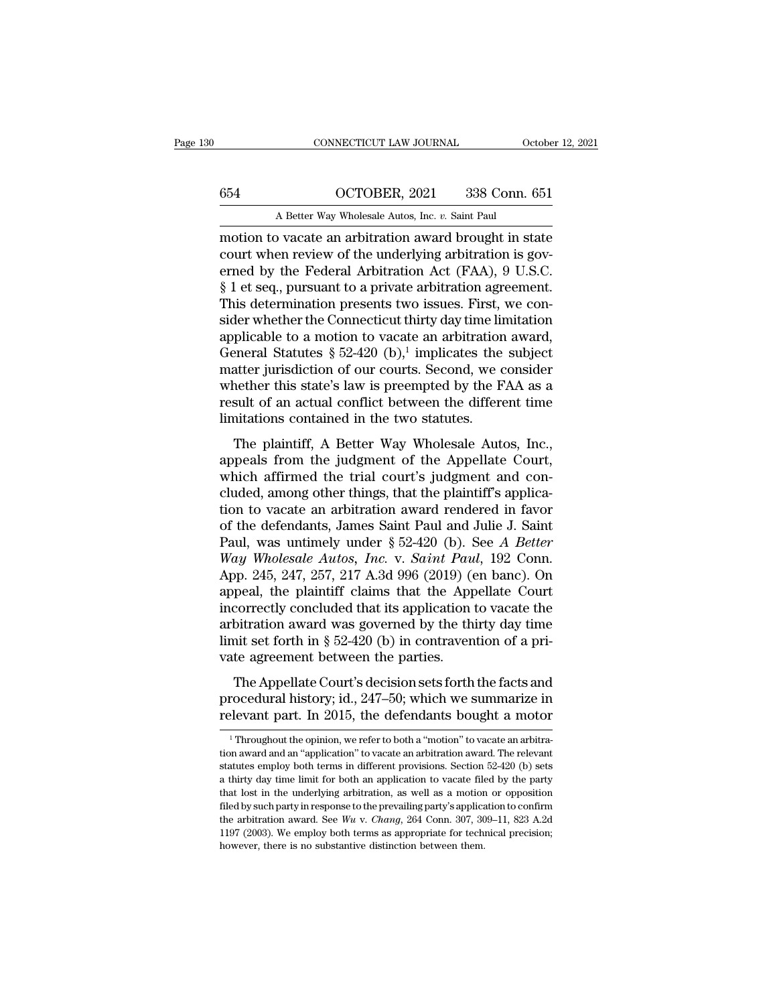# CONNECTICUT LAW JOURNAL October 12, 2021<br>654 OCTOBER, 2021 338 Conn. 651<br>A Better Way Wholesale Autos, Inc. *v*. Saint Paul

CONNECTICUT LAW JOURNAL October 12, 2021<br>654 OCTOBER, 2021 338 Conn. 651<br>A Better Way Wholesale Autos, Inc. *v.* Saint Paul<br>motion to vacate an arbitration award brought in state CONNECTICUT LAW JOURNAL October 12, 2021<br>
654 OCTOBER, 2021 338 Conn. 651<br>
A Better Way Wholesale Autos, Inc. *v.* Saint Paul<br>
motion to vacate an arbitration award brought in state<br>
court when review of the underlying arb 654 COCTOBER, 2021 338 Conn. 651<br>
A Better Way Wholesale Autos, Inc. v. Saint Paul<br>
motion to vacate an arbitration award brought in state<br>
court when review of the underlying arbitration is gov-<br>
erned by the Federal Arbi 654 OCTOBER, 2021 338 Conn. 651<br>
A Better Way Wholesale Autos, Inc. v. Saint Paul<br>
motion to vacate an arbitration award brought in state<br>
court when review of the underlying arbitration is governed by the Federal Arbitra 654  $\overline{OCTOBER}$ , 2021  $\overline{338}$  Conn. 651<br>
A Better Way Wholesale Autos, Inc. v. Saint Paul<br>
motion to vacate an arbitration award brought in state<br>
court when review of the underlying arbitration is governed by the Fede A Better Way Wholesale Autos, Inc. v. Saint Paul<br>
motion to vacate an arbitration award brought in state<br>
court when review of the underlying arbitration is gov-<br>
erned by the Federal Arbitration Act (FAA), 9 U.S.C.<br>
§ 1 e A Better way wholesale Autos, Inc. v. Saint Paul<br>motion to vacate an arbitration award brought in state<br>court when review of the underlying arbitration is gov-<br>erned by the Federal Arbitration Act (FAA), 9 U.S.C.<br>§ 1 et s motion to vacate an arbitration award brought in state<br>court when review of the underlying arbitration is gov-<br>erned by the Federal Arbitration Act (FAA), 9 U.S.C.<br>§ 1 et seq., pursuant to a private arbitration agreement. court when review of the underlying a<br>erned by the Federal Arbitration Act<br>§ 1 et seq., pursuant to a private arbitr<br>This determination presents two issue<br>sider whether the Connecticut thirty d<br>applicable to a motion to v ying arbitration is gov-<br>
in Act (FAA), 9 U.S.C.<br>
arbitration agreement.<br>
b issues. First, we con-<br>
irty day time limitation<br>
e an arbitration award,<br>
implicates the subject<br>
s. Second, we consider<br>
mutod by the FAA as a erned by the Federal Arbitration Act (FAA), 9 U.S.C.<br>
§ 1 et seq., pursuant to a private arbitration agreement.<br>
This determination presents two issues. First, we con-<br>
sider whether the Connecticut thirty day time limita  $§$  1 et seq., pursuant to a private arbitration agreement.<br>This determination presents two issues. First, we consider whether the Connecticut thirty day time limitation<br>applicable to a motion to vacate an arbitration awa This determination presents two issues. First, we consider whether the Connecticut thirty day time limitation applicable to a motion to vacate an arbitration award, General Statutes  $\S 52-420$  (b),<sup>1</sup> implicates the subje sider whether the Connecticut thirty day time li<br>applicable to a motion to vacate an arbitratior<br>General Statutes  $\S 52-420$  (b),<sup>1</sup> implicates the<br>matter jurisdiction of our courts. Second, we c<br>whether this state's law phreable to a motion to vacate an arbitration award,<br>eneral Statutes § 52-420 (b),<sup>1</sup> implicates the subject<br>atter jurisdiction of our courts. Second, we consider<br>nether this state's law is preempted by the FAA as a<br>sult appear of the statutes  $\frac{1}{2}$  of  $\frac{1}{2}$  or  $\frac{1}{2}$  (b), implicates the statustic matter jurisdiction of our courts. Second, we consider whether this state's law is preempted by the FAA as a result of an actual con

matter jurisdiction of our courts. Second, we consider<br>whether this state's law is preempted by the FAA as a<br>result of an actual conflict between the different time<br>limitations contained in the two statutes.<br>The plaintiff, whether this state's law is preempted by the FAA as a<br>result of an actual conflict between the different time<br>limitations contained in the two statutes.<br>The plaintiff, A Better Way Wholesale Autos, Inc.,<br>appeals from the j limitations contained in the two statutes.<br>The plaintiff, A Better Way Wholesale Autos, Inc.,<br>appeals from the judgment of the Appellate Court,<br>which affirmed the trial court's judgment and con-<br>cluded, among other things The plaintiff, A Better Way Wholesale Autos, Inc.,<br>appeals from the judgment of the Appellate Court,<br>which affirmed the trial court's judgment and con-<br>cluded, among other things, that the plaintiff's applica-<br>tion to vac The plaintiff, A Better Way Wholesale Autos, Inc.,<br>appeals from the judgment of the Appellate Court,<br>which affirmed the trial court's judgment and con-<br>cluded, among other things, that the plaintiff's applica-<br>tion to vaca appeals from the judgment of the Appellate Court,<br>which affirmed the trial court's judgment and con-<br>cluded, among other things, that the plaintiff's applica-<br>tion to vacate an arbitration award rendered in favor<br>of the de which affirmed the trial court's judgment and concluded, among other things, that the plaintiff's application to vacate an arbitration award rendered in favor of the defendants, James Saint Paul and Julie J. Saint Paul, w cluded, among other things, that the plaintiff's application to vacate an arbitration award rendered in favor<br>of the defendants, James Saint Paul and Julie J. Saint<br>Paul, was untimely under § 52-420 (b). See *A Better<br>Way* tion to vacate an arbitration award rendered in favor<br>of the defendants, James Saint Paul and Julie J. Saint<br>Paul, was untimely under § 52-420 (b). See *A Better*<br>Way Wholesale Autos, Inc. v. Saint Paul, 192 Conn.<br>App. 24 of the defendants, James Saint Paul and Julie J. Saint<br>Paul, was untimely under  $\S 52-420$  (b). See *A Better*<br>Way Wholesale Autos, Inc. v. Saint Paul, 192 Conn.<br>App. 245, 247, 257, 217 A.3d 996 (2019) (en banc). On<br>appea Paul, was untimely under § 52-420 (b). See *A Better* Way Wholesale Autos, *Inc.* v. *Saint Paul*, 192 Conn. App. 245, 247, 257, 217 A.3d 996 (2019) (en banc). On appeal, the plaintiff claims that the Appellate Court inco Way Wholesale Autos, Inc. v. Saint Pau<br>App. 245, 247, 257, 217 A.3d 996 (2019) (appeal, the plaintiff claims that the App<br>incorrectly concluded that its application<br>arbitration award was governed by the th<br>limit set forth  $\mu$ . 240, 241, 251, 211 A.5d 356 (2015) (en banc). On<br>peal, the plaintiff claims that the Appellate Court<br>correctly concluded that its application to vacate the<br>bitration award was governed by the thirty day time<br>int set appear, the plantatic claims that the Appendic Court<br>incorrectly concluded that its application to vacate the<br>arbitration award was governed by the thirty day time<br>limit set forth in  $\S$  52-420 (b) in contravention of a p relation award was governed by the thirty day time<br>limit set forth in § 52-420 (b) in contravention of a pri-<br>vate agreement between the parties.<br>The Appellate Court's decision sets forth the facts and<br>procedural history;

vate agreement between the parties.<br>
The Appellate Court's decision sets forth the facts and<br>
procedural history; id., 247–50; which we summarize in<br>
relevant part. In 2015, the defendants bought a motor<br>
<sup>1</sup>Throughout th The Appellate Court's decision sets forth the facts and<br>procedural history; id., 247–50; which we summarize in<br>relevant part. In 2015, the defendants bought a motor<br> $\frac{1}{1}$ Throughout the opinion, we refer to both a "mot

procedural history; id., 247–50; which we summarize in relevant part. In 2015, the defendants bought a motor  $\frac{1}{1}$ Throughout the opinion, we refer to both a "motion" to vacate an arbitration award and an "application" relevant part. In 2015, the defendants bought a motor<br> $\frac{1}{1}$  Throughout the opinion, we refer to both a "motion" to vacate an arbitra-<br>tion award and an "application" to vacate an arbitration award. The relevant<br>statut Tenevalue part. In 2015, the determinants bought a motor<br>
<sup>1</sup> Throughout the opinion, we refer to both a "motion" to vacate an arbitra-<br>
tion award and an "application" to vacate an arbitration award. The relevant<br>
statut <sup>1</sup> Throughout the opinion, we refer to both a "motion" to vacate an arbitration award and an "application" to vacate an arbitration award. The relevant statutes employ both terms in different provisions. Section 52-420 ( the arbitration award and an "application" to vacate an arbitration award. The relevant statutes employ both terms in different provisions. Section 52-420 (b) sets a thirty day time limit for both an application to vacate statutes employ both terms in different provisions. Section 52-420 (b) sets<br>a thirty day time limit for both an application to vacate filed by the party<br>that lost in the underlying arbitration, as well as a motion or oppo a thirty day time limit for both an application to vacate filed by the party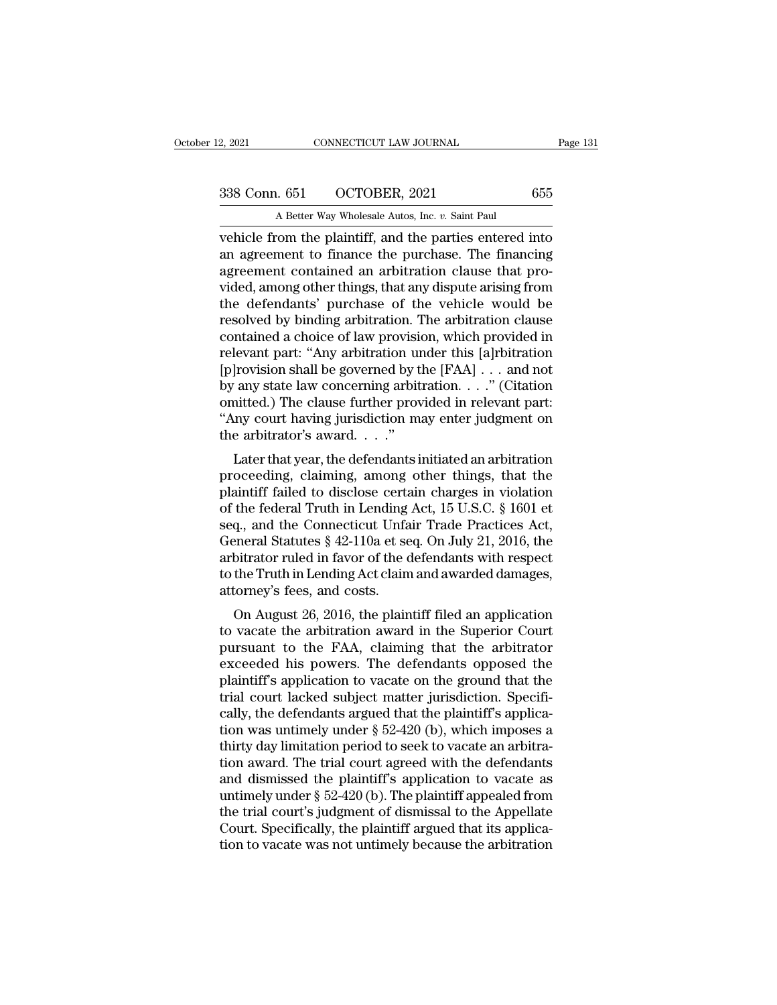2, 2021 CONNECTICUT LAW JOURNAL<br>
338 Conn. 651 OCTOBER, 2021 655<br>
A Better Way Wholesale Autos, Inc. *v.* Saint Paul<br>
vehicle from the plaintiff, and the parties entered into vehicle from the plaintiff, and the parties entered into<br>an agreement to finance the purchase. The financing<br>are agreement to finance the purchase. The financing<br>are agreement contained an applituding clause that are 338 Conn. 651 OCTOBER, 2021 655<br>A Better Way Wholesale Autos, Inc. v. Saint Paul<br>vehicle from the plaintiff, and the parties entered into<br>an agreement to finance the purchase. The financing<br>agreement contained an arbitrati  $\frac{338 \text{ Conn. } 651 \quad \text{OCTOBER, } 2021 \quad \text{655}}{\text{A Better Way Whole sale Autos, Inc. } v. \text{ Saint Paul}}$ <br>
wehicle from the plaintiff, and the parties entered into<br>
an agreement to finance the purchase. The financing<br>
agreement contained an arbitration clause t 338 Conn. 651 OCTOBER, 2021 655<br>
A Better Way Wholesale Autos, Inc.  $v$ . Saint Paul<br>
vehicle from the plaintiff, and the parties entered into<br>
an agreement to finance the purchase. The financing<br>
agreement contained an ar A Better Way Wholesale Autos, Inc.  $v$ . Saint Paul<br>
vehicle from the plaintiff, and the parties entered into<br>
an agreement to finance the purchase. The financing<br>
agreement contained an arbitration clause that pro-<br>
vided A Better way Wholesale Autos, Inc.  $v$ . Sant Paul<br>vehicle from the plaintiff, and the parties entered into<br>an agreement to finance the purchase. The financing<br>agreement contained an arbitration clause that pro-<br>vided, amo vehicle from the plaintiff, and the parties entered into<br>an agreement to finance the purchase. The financing<br>agreement contained an arbitration clause that pro-<br>vided, among other things, that any dispute arising from<br>the an agreement to finance the purchase. The financing<br>agreement contained an arbitration clause that pro-<br>vided, among other things, that any dispute arising from<br>the defendants' purchase of the vehicle would be<br>resolved by agreement contained an arbitration clause that provided, among other things, that any dispute arising from<br>the defendants' purchase of the vehicle would be<br>resolved by binding arbitration. The arbitration clause<br>contained vided, among other things, that any dispute arising from<br>the defendants' purchase of the vehicle would be<br>resolved by binding arbitration. The arbitration clause<br>contained a choice of law provision, which provided in<br>relev the defendants' purchase of the vehicle would be<br>resolved by binding arbitration. The arbitration clause<br>contained a choice of law provision, which provided in<br>relevant part: "Any arbitration under this [a]rbitration<br>[p]ro resolved by binding arbitration. The arbitration clause<br>contained a choice of law provision, which provided in<br>relevant part: "Any arbitration under this [a]rbitration<br>[p]rovision shall be governed by the [FAA] . . . and contained a choice of law provision<br>relevant part: "Any arbitration urely provision shall be governed by t<br>by any state law concerning arbit<br>omitted.) The clause further prover "Any court having jurisdiction mather arbitra Evant part. Any arbitration under this [a]rbitration<br>|rovision shall be governed by the [FAA] . . . and not<br>|any state law concerning arbitration. . . ." (Citation<br>nitted.) The clause further provided in relevant part:<br>In provision shan be governed by the  $[FAA] \cdot \cdot \cdot$  and not<br>by any state law concerning arbitration. . . ." (Citation<br>omitted.) The clause further provided in relevant part:<br>"Any court having jurisdiction may enter judgment on

by any state law concerning arbitration.  $\ldots$  (Chation comitted.) The clause further provided in relevant part:<br>
"Any court having jurisdiction may enter judgment on the arbitrator's award.  $\ldots$ "<br>
Later that year, the d of the federal Truth in Lending Act, 15 U.S.C. § 1601 et seq., and the Connection structure  $\hat{S}$  and  $\hat{S}$  and  $\hat{S}$  and  $\hat{S}$  and  $\hat{S}$  u.S.C. § 1601 et seq., and the Connecticut Unfair Trade Practices Act, Co Example 1 at the arbitrator's award.  $\ldots$ "<br>the arbitrator's award.  $\ldots$ "<br>Later that year, the defendants initiated an arbitration<br>proceeding, claiming, among other things, that the<br>plaintiff failed to disclose certain c Later that year, the defendants initiated an arbitration<br>proceeding, claiming, among other things, that the<br>plaintiff failed to disclose certain charges in violation<br>of the federal Truth in Lending Act, 15 U.S.C. § 1601 et Later that year, the defendants initiated an arbitration<br>proceeding, claiming, among other things, that the<br>plaintiff failed to disclose certain charges in violation<br>of the federal Truth in Lending Act, 15 U.S.C. § 1601 et proceeding, claiming, among other things, that the plaintiff failed to disclose certain charges in violation of the federal Truth in Lending Act, 15 U.S.C. § 1601 et seq., and the Connecticut Unfair Trade Practices Act, Ge plaintiff failed to disclose certa<br>of the federal Truth in Lending<br>seq., and the Connecticut Unfa<br>General Statutes § 42-110a et se<br>arbitrator ruled in favor of the c<br>to the Truth in Lending Act clain<br>attorney's fees, and c the lederal Truth in Lending Act, 15 0.3.0. § 1001 et<br>q., and the Connecticut Unfair Trade Practices Act,<br>eneral Statutes § 42-110a et seq. On July 21, 2016, the<br>bitrator ruled in favor of the defendants with respect<br>the seq., and the Connecticut Unian Trade Tractices Act,<br>General Statutes § 42-110a et seq. On July 21, 2016, the<br>arbitrator ruled in favor of the defendants with respect<br>to the Truth in Lending Act claim and awarded damages,<br>

pursuant of the defendants with respect<br>to the Truth in Lending Act claim and awarded damages,<br>attorney's fees, and costs.<br>On August 26, 2016, the plaintiff filed an application<br>to vacate the arbitration award in the Super arbitrator ruled in favor of the defendants with respect<br>to the Truth in Lending Act claim and awarded damages,<br>attorney's fees, and costs.<br>On August 26, 2016, the plaintiff filed an application<br>to vacate the arbitration a plattor is fees, and costs.<br>
On August 26, 2016, the plaintiff filed an application<br>
to vacate the arbitration award in the Superior Court<br>
pursuant to the FAA, claiming that the arbitrator<br>
exceeded his powers. The defend on August 26, 2016, the plaintiff filed an application<br>to vacate the arbitration award in the Superior Court<br>pursuant to the FAA, claiming that the arbitrator<br>exceeded his powers. The defendants opposed the<br>plaintiff's ap On August 26, 2016, the plaintiff filed an application<br>to vacate the arbitration award in the Superior Court<br>pursuant to the FAA, claiming that the arbitrator<br>exceeded his powers. The defendants opposed the<br>plaintiff's ap to vacate the arbitration award in the Superior Court<br>pursuant to the FAA, claiming that the arbitrator<br>exceeded his powers. The defendants opposed the<br>plaintiff's application to vacate on the ground that the<br>trial court l pursuant to the FAA, claiming that the arbitrator exceeded his powers. The defendants opposed the plaintiff's application to vacate on the ground that the trial court lacked subject matter jurisdiction. Specifically, the d exceeded his powers. The defendants opposed the<br>plaintiff's application to vacate on the ground that the<br>trial court lacked subject matter jurisdiction. Specifi-<br>cally, the defendants argued that the plaintiff's applica-<br> plaintiff's application to vacate on the ground that the<br>trial court lacked subject matter jurisdiction. Specifi-<br>cally, the defendants argued that the plaintiff's applica-<br>tion was untimely under § 52-420 (b), which impos trial court lacked subject matter jurisdiction. Specifically, the defendants argued that the plaintiff's application was untimely under § 52-420 (b), which imposes a thirty day limitation period to seek to vacate an arbitr cally, the defendants argued that the plaintiff's application was untimely under § 52-420 (b), which imposes a thirty day limitation period to seek to vacate an arbitration award. The trial court agreed with the defendants tion was untimely under  $\S$  52-420 (b), which imposes a<br>thirty day limitation period to seek to vacate an arbitra-<br>tion award. The trial court agreed with the defendants<br>and dismissed the plaintiff's application to vacate thirty day limitation period to seek to vacate an arbitration award. The trial court agreed with the defendants and dismissed the plaintiff's application to vacate as untimely under § 52-420 (b). The plaintiff appealed fro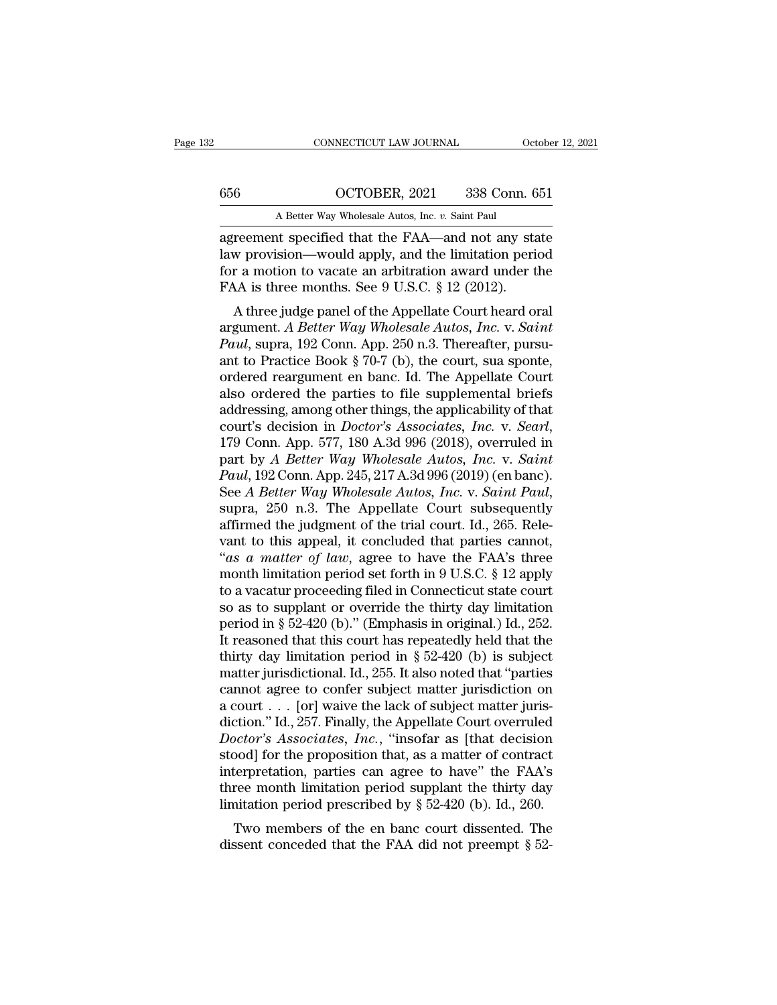CONNECTICUT LAW JOURNAL October 12, 2021<br>656 OCTOBER, 2021 338 Conn. 651<br>A Better Way Wholesale Autos, Inc. *v.* Saint Paul<br>agreement specified that the FAA—and not any state CONNECTICUT LAW JOURNAL October 12, 2021<br>
656 OCTOBER, 2021 338 Conn. 651<br>
A Better Way Wholesale Autos, Inc. *v*. Saint Paul<br>
agreement specified that the FAA—and not any state<br>
law provision—would apply, and the limitati 656  $OCTOBER, 2021$  338 Conn. 651<br>
A Better Way Wholesale Autos, Inc. v. Saint Paul<br>
agreement specified that the FAA—and not any state<br>
law provision—would apply, and the limitation period<br>
for a motion to vacate an arbitra 656  $OCTOBER, 2021$  338 Conn. 651<br>
A Better Way Wholesale Autos, Inc. v. Saint Paul<br>
agreement specified that the FAA—and not any state<br>
law provision—would apply, and the limitation period<br>
for a motion to vacate an arbitra  $\frac{656}{\text{A Better Way Whole sale Autos, Inc. } v. \text{ Saint Paul}}$ <br>
agreement specified that the FAA—and not any sta<br>
law provision—would apply, and the limitation perifor a motion to vacate an arbitration award under t<br>
FAA is three months. See 9 U.S.C. § A Better Way Wholesale Autos, Inc.  $v$ . Saint Paul<br>
reement specified that the FAA—and not any state<br>
w provision—would apply, and the limitation period<br>
r a motion to vacate an arbitration award under the<br>
A is three mon agreement specified that the FAA—and not any state<br>law provision—would apply, and the limitation period<br>for a motion to vacate an arbitration award under the<br>FAA is three months. See 9 U.S.C. § 12 (2012).<br>A three judge pan

*Paul* apply, and the limitation period for a motion to vacate an arbitration award under the FAA is three months. See 9 U.S.C. § 12 (2012).<br>A three judge panel of the Appellate Court heard oral argument. A Better Way Whol raw provision—would apply, and the initiation period<br>for a motion to vacate an arbitration award under the<br>FAA is three months. See 9 U.S.C. § 12 (2012).<br>A three judge panel of the Appellate Court heard oral<br>argument. A Be FAA is three months. See 9 U.S.C.  $\S$  12 (2012).<br>
A three judge panel of the Appellate Court heard oral<br>
argument. A Better Way Wholesale Autos, Inc. v. Saint<br>
Paul, supra, 192 Conn. App. 250 n.3. Thereafter, pursu-<br>
ant FAA is three months. See 9 0.3.0.  $\frac{1}{2}$  (2012).<br>A three judge panel of the Appellate Court heard oral<br>argument. A Better Way Wholesale Autos, Inc. v. Saint<br>Paul, suppra, 192 Conn. App. 250 n.3. Thereafter, pursu-<br>ant A three judge panel of the Appellate Court heard oral<br>argument. A Better Way Wholesale Autos, Inc. v. Saint<br>Paul, supra, 192 Conn. App. 250 n.3. Thereafter, pursu-<br>ant to Practice Book § 70-7 (b), the court, sua sponte,<br>o argument. *A Better Way Wholesale Autos, Inc.* v. *Saint*<br> *Paul,* supra, 192 Conn. App. 250 n.3. Thereafter, pursu-<br>
ant to Practice Book § 70-7 (b), the court, sua sponte,<br>
ordered reargument en banc. Id. The Appellate C ant to Practice Book § 70-7 (b), the court, sua sponte,<br>ordered reargument en banc. Id. The Appellate Court<br>also ordered the parties to file supplemental briefs<br>addressing, among other things, the applicability of that<br>cou ordered reargument en banc. Id. The Appellate Court<br>also ordered the parties to file supplemental briefs<br>addressing, among other things, the applicability of that<br>court's decision in *Doctor's Associates, Inc.* v. *Searl*, also ordered the parties to file supplemental briefs<br>addressing, among other things, the applicability of that<br>court's decision in *Doctor's Associates, Inc.* v. *Seart*,<br>179 Conn. App. 577, 180 A.3d 996 (2018), overruled court's decision in *Doctor's Associates, Inc. v. Searl,* 179 Conn. App. 577, 180 A.3d 996 (2018), overruled in part by *A Better Way Wholesale Autos, Inc. v. Saint Paul*, 192 Conn. App. 245, 217 A.3d 996 (2019) (en banc). 179 Conn. App. 577, 180 A.3d 996 (2018), overruled in<br>part by *A Better Way Wholesale Autos, Inc.* v. *Saint*<br>*Paul*, 192 Conn. App. 245, 217 A.3d 996 (2019) (en banc).<br>See *A Better Way Wholesale Autos, Inc.* v. *Saint P* part by *A Better Way Wholesale Autos, Inc.* v. *Saint*<br> *Paul,* 192 Conn. App. 245, 217 A.3d 996 (2019) (en banc).<br>
See *A Better Way Wholesale Autos, Inc.* v. *Saint Paul,*<br>
supra, 250 n.3. The Appellate Court subsequent Paul, 192 Conn. App. 245, 217 A.3d 996 (2019) (en banc).<br>See *A Better Way Wholesale Autos, Inc.* v. *Saint Paul*,<br>supra, 250 n.3. The Appellate Court subsequently<br>affirmed the judgment of the trial court. Id., 265. Rele-<br> See *A Better Way Wholesale Autos, Inc.* v. *Saint Paul,*<br>supra, 250 n.3. The Appellate Court subsequently<br>affirmed the judgment of the trial court. Id., 265. Rele-<br>vant to this appeal, it concluded that parties cannot,<br>" supra, 250 n.3. The Appellate Court subsequently<br>affirmed the judgment of the trial court. Id., 265. Rele-<br>vant to this appeal, it concluded that parties cannot,<br>"as a matter of law, agree to have the FAA's three<br>month li affirmed the judgment of the trial court. Id., 265. Relevant to this appeal, it concluded that parties cannot, "as a matter of law, agree to have the FAA's three month limitation period set forth in 9 U.S.C. § 12 apply to vant to this appeal, it concluded that parties cannot,<br>"as a matter of law, agree to have the FAA's three<br>month limitation period set forth in 9 U.S.C. § 12 apply<br>to a vacatur proceeding filed in Connecticut state court<br>s "as a matter of law, agree to have the FAA's three<br>month limitation period set forth in 9 U.S.C. § 12 apply<br>to a vacatur proceeding filed in Connecticut state court<br>so as to supplant or override the thirty day limitation<br> month limitation period set forth in 9 U.S.C. § 12 apply<br>to a vacatur proceeding filed in Connecticut state court<br>so as to supplant or override the thirty day limitation<br>period in § 52-420 (b)." (Emphasis in original.) Id to a vacatur proceeding filed in Connecticut state court<br>so as to supplant or override the thirty day limitation<br>period in § 52-420 (b)." (Emphasis in original.) Id., 252.<br>It reasoned that this court has repeatedly held t so as to supplant or override the thirty day limitation<br>period in § 52-420 (b)." (Emphasis in original.) Id., 252.<br>It reasoned that this court has repeatedly held that the<br>thirty day limitation period in § 52-420 (b) is s period in § 52-420 (b)." (Emphasis in original.) Id., 252.<br>It reasoned that this court has repeatedly held that the<br>thirty day limitation period in § 52-420 (b) is subject<br>matter jurisdictional. Id., 255. It also noted th It reasoned that this court has repeatedly held that the<br>thirty day limitation period in § 52-420 (b) is subject<br>matter jurisdictional. Id., 255. It also noted that "parties<br>cannot agree to confer subject matter jurisdicti thirty day limitation period in § 52-420 (b) is subject<br>matter jurisdictional. Id., 255. It also noted that "parties<br>cannot agree to confer subject matter jurisdiction on<br>a court  $\dots$  [or] waive the lack of subject matter matter jurisdictional. Id., 255. It also noted that "parties<br>cannot agree to confer subject matter jurisdiction on<br>a court . . . [or] waive the lack of subject matter juris-<br>diction." Id., 257. Finally, the Appellate Cour cannot agree to confer subject matter jurisdiction on<br>a court . . . [or] waive the lack of subject matter juris-<br>diction." Id., 257. Finally, the Appellate Court overruled<br>*Doctor's Associates, Inc.*, "insofar as [that de a court . . . [or] waive the lack of subject matter juris-<br>diction." Id., 257. Finally, the Appellate Court overruled<br>*Doctor's Associates, Inc.*, "insofar as [that decision<br>stood] for the proposition that, as a matter of octor's Associates, Inc., "insofar as [that decision bod] for the proposition that, as a matter of contract terpretation, parties can agree to have" the FAA's ree month limitation period supplant the thirty day initation  $B_{\text{0}}$  for a subsecuted that,  $\overline{a}$  and  $\overline{a}$  and  $\overline{a}$  decision stood] for the proposition that, as a matter of contract interpretation, parties can agree to have" the FAA's three month limitation period supp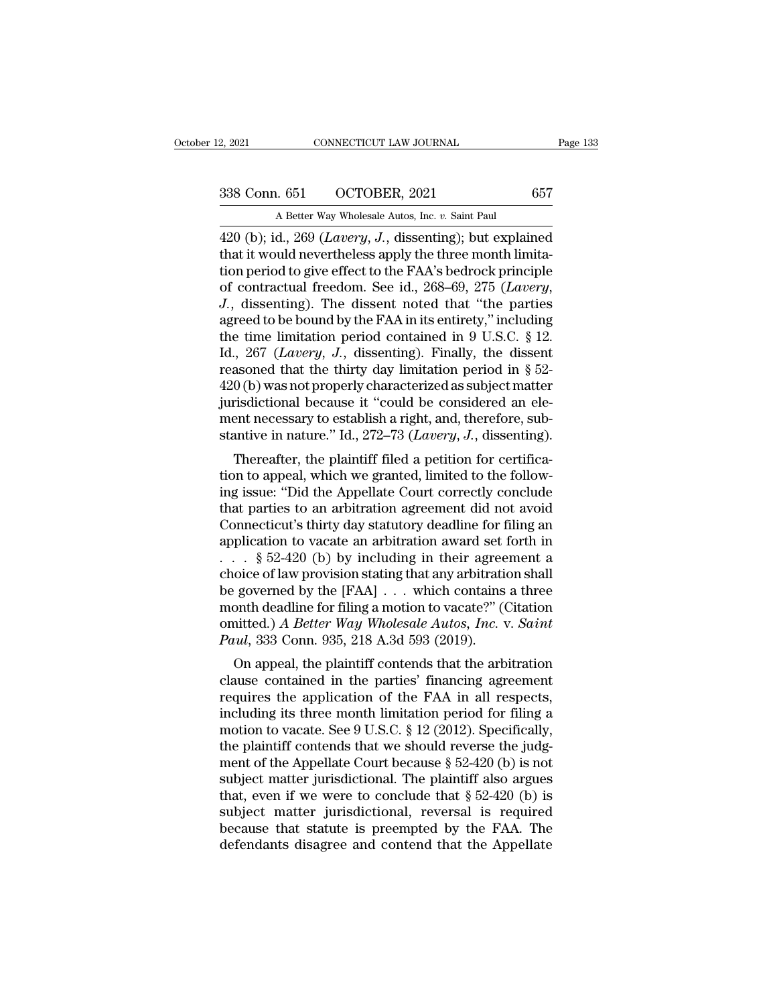2, 2021 CONNECTICUT LAW JOURNAL<br>
338 Conn. 651 OCTOBER, 2021 657<br>
A Better Way Wholesale Autos, Inc. *v.* Saint Paul<br>
420 (b); id., 269 (*Lavery, J.*, dissenting); but explained 2, 2021 CONNECTICUT LAW JOURNAL Page 133<br>
338 Conn. 651 OCTOBER, 2021 657<br>
A Better Way Wholesale Autos, Inc. *v*. Saint Paul<br>
420 (b); id., 269 (*Lavery*, *J.*, dissenting); but explained<br>
that it would nevertheless apply 338 Conn. 651 OCTOBER, 2021 657<br>
A Better Way Wholesale Autos, Inc. v. Saint Paul<br>
420 (b); id., 269 (*Lavery*, *J*., dissenting); but explained<br>
that it would nevertheless apply the three month limita-<br>
tion period to giv 338 Conn. 651 OCTOBER, 2021 657<br>A Better Way Wholesale Autos, Inc. v. Saint Paul<br>420 (b); id., 269 (*Lavery*, *J*., dissenting); but explained<br>that it would nevertheless apply the three month limita-<br>tion period to give e 338 Conn. 651 OCTOBER, 2021 657<br>A Better Way Wholesale Autos, Inc. *v.* Saint Paul<br>420 (b); id., 269 (*Lavery*, *J.*, dissenting); but explained<br>that it would nevertheless apply the three month limita-<br>tion period to give A Better way wholesale Autos, Inc. v. Sant Paul<br>420 (b); id., 269 (*Lavery*, *J*., dissenting); but explained<br>that it would nevertheless apply the three month limita-<br>tion period to give effect to the FAA's bedrock princi 420 (b); id., 269 (*Lavery*, *J.*, dissenting); but explained<br>that it would nevertheless apply the three month limita-<br>tion period to give effect to the FAA's bedrock principle<br>of contractual freedom. See id., 268–69, 275 that it would nevertheless apply the three month limitation period to give effect to the FAA's bedrock principle of contractual freedom. See id., 268–69, 275 (*Lavery*, *J.*, dissenting). The dissent noted that "the parti tion period to give effect to the FAA's bedrock principle<br>of contractual freedom. See id., 268–69, 275 (*Lavery*,<br>*J.*, dissenting). The dissent noted that "the parties<br>agreed to be bound by the FAA in its entirety," incl of contractual freedom. See id., 268–69, 275 (*Lavery*,<br> *J.*, dissenting). The dissent noted that "the parties<br>
agreed to be bound by the FAA in its entirety," including<br>
the time limitation period contained in 9 U.S.C. J., dissenting). The dissent noted that "the parties agreed to be bound by the FAA in its entirety," including the time limitation period contained in 9 U.S.C. § 12. Id., 267 (*Lavery*, *J.*, dissenting). Finally, the dis agreed to be bound by the FAA in its entirety," including<br>the time limitation period contained in 9 U.S.C. § 12.<br>Id., 267 (*Lavery*, *J*., dissenting). Finally, the dissent<br>reasoned that the thirty day limitation period i the time limitation period contained in 9 U.S.C. § 12.<br>Id., 267 (*Lavery*, *J*., dissenting). Finally, the dissent<br>reasoned that the thirty day limitation period in § 52-<br>420 (b) was not properly characterized as subject  $7.507$  (*Latery, 3.*, disseming). Finany, the dissem<br>asoned that the thirty day limitation period in § 52-<br>0 (b) was not properly characterized as subject matter<br>risdictional because it "could be considered an ele-<br>ent n reasoned that the thrily day inhitiation period in § 32-420 (b) was not properly characterized as subject matter<br>jurisdictional because it "could be considered an ele-<br>ment necessary to establish a right, and, therefore, s

 $420$  (b) was not properly characterized as subject matter<br>jurisdictional because it "could be considered an ele-<br>ment necessary to establish a right, and, therefore, sub-<br>stantive in nature." Id., 272–73 (*Lavery*, *J*., furtherment necessary to establish a right, and, therefore, substantive in nature." Id., 272–73 (*Lavery*, *J*., dissenting).<br>Thereafter, the plaintiff filed a petition for certification to appeal, which we granted, limite Then increases the statution and the statute in nature." Id., 272–73 (*Lavery, J.*, dissenting).<br>Thereafter, the plaintiff filed a petition for certifica-<br>tion to appeal, which we granted, limited to the follow-<br>ing issue Standive in nature. Tu., 272–75 (*Lavery, J.*, disseming).<br>Thereafter, the plaintiff filed a petition for certifica-<br>tion to appeal, which we granted, limited to the follow-<br>ing issue: "Did the Appellate Court correctly c Thereafter, the plaintiff filed a petition for certification to appeal, which we granted, limited to the following issue: "Did the Appellate Court correctly conclude that parties to an arbitration agreement did not avoid tion to appeal, which we granted, limited to the following issue: "Did the Appellate Court correctly conclude that parties to an arbitration agreement did not avoid Connecticut's thirty day statutory deadline for filing a ing issue: "Did the Appellate Court correctly conclude<br>that parties to an arbitration agreement did not avoid<br>Connecticut's thirty day statutory deadline for filing an<br>application to vacate an arbitration award set forth that parties to an arbitration agreement did not avoid<br>Connecticut's thirty day statutory deadline for filing an<br>application to vacate an arbitration award set forth in<br> $\ldots$  § 52-420 (b) by including in their agreement a Connecticut's thirty day statutory deadline for filing an application to vacate an arbitration award set forth in . . . . § 52-420 (b) by including in their agreement a choice of law provision stating that any arbitration application to vacate an arbitration award set:<br>
. . . . § 52-420 (b) by including in their agree<br>
choice of law provision stating that any arbitration<br>
be governed by the [FAA] . . . which contains<br>
month deadline for fil once of law provision stating in their agreement a<br>oice of law provision stating that any arbitration shall<br>governed by the [FAA] . . . which contains a three<br>onth deadline for filing a motion to vacate?" (Citation<br>intted choice of law provision stating that any arbitration shall<br>be governed by the [FAA] . . . which contains a three<br>month deadline for filing a motion to vacate?" (Citation<br>omitted.) A Better Way Wholesale Autos, Inc. v. Sai

be governed by the  $[FAA]$ ... which contains a three<br>month deadline for filing a motion to vacate?" (Citation<br>omitted.) A Better Way Wholesale Autos, Inc. v. Saint<br>Paul, 333 Conn. 935, 218 A.3d 593 (2019).<br>On appeal, the p montri deadline for filing a motion to vacate! (Charlon contributed.) A Better Way Wholesale Autos, Inc. v. Saint Paul, 333 Conn. 935, 218 A.3d 593 (2019).<br>On appeal, the plaintiff contends that the arbitration clause con motived.) A Better way whotesate Attos,  $m$ . v. sather<br>
Paul, 333 Conn. 935, 218 A.3d 593 (2019).<br>
On appeal, the plaintiff contends that the arbitration<br>
clause contained in the parties' financing agreement<br>
requires the Fuat, 555 Collif. 955, 218 A.5d 595 (2019).<br>
On appeal, the plaintiff contends that the arbitration<br>
clause contained in the parties' financing agreement<br>
requires the application of the FAA in all respects,<br>
including it On appeal, the plaintiff contends that the arbitration<br>clause contained in the parties' financing agreement<br>requires the application of the FAA in all respects,<br>including its three month limitation period for filing a<br>mot clause contained in the parties' financing agreement<br>requires the application of the FAA in all respects,<br>including its three month limitation period for filing a<br>motion to vacate. See 9 U.S.C. § 12 (2012). Specifically,<br> requires the application of the FAA in all respects,<br>including its three month limitation period for filing a<br>motion to vacate. See 9 U.S.C. § 12 (2012). Specifically,<br>the plaintiff contends that we should reverse the jud including its three month limitation period for filing a<br>motion to vacate. See 9 U.S.C. § 12 (2012). Specifically,<br>the plaintiff contends that we should reverse the judg-<br>ment of the Appellate Court because § 52-420 (b) i motion to vacate. See 9 U.S.C.  $\S$  12 (2012). Specifically,<br>the plaintiff contends that we should reverse the judg-<br>ment of the Appellate Court because  $\S$  52-420 (b) is not<br>subject matter jurisdictional. The plaintiff al the plaintiff contends that we should reverse the judgment of the Appellate Court because  $\S$  52-420 (b) is not subject matter jurisdictional. The plaintiff also argues that, even if we were to conclude that  $\S$  52-420 (b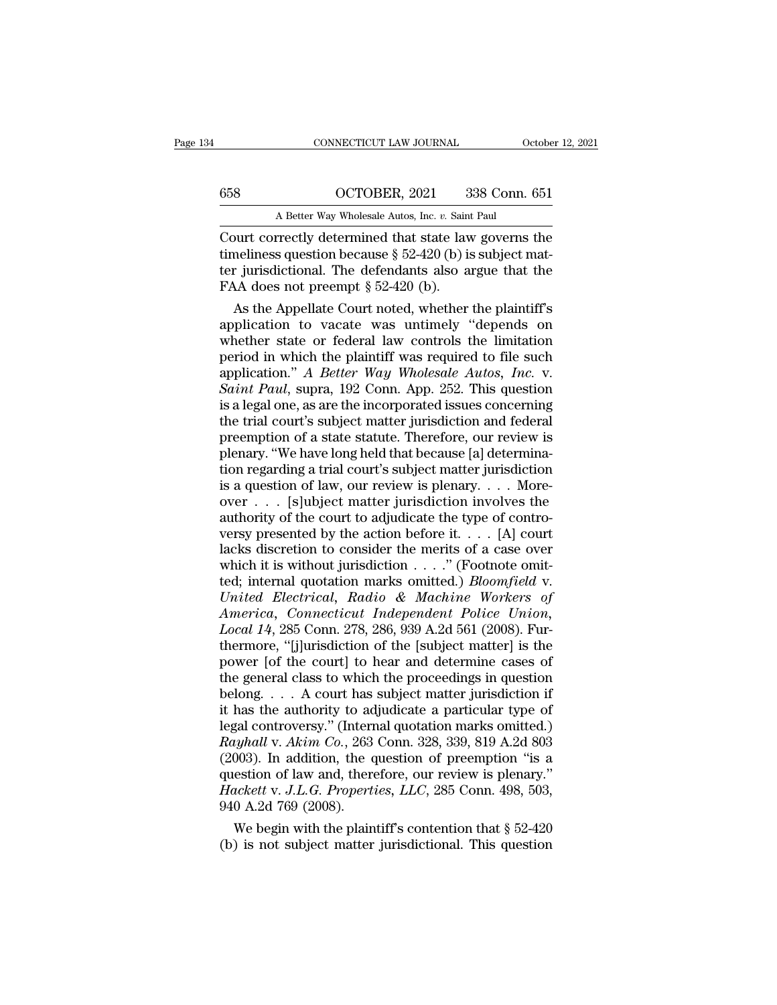CONNECTICUT LAW JOURNAL October 12, 2021<br>658 OCTOBER, 2021 338 Conn. 651<br>A Better Way Wholesale Autos, Inc. *v.* Saint Paul<br>Court correctly determined that state law governs the CONNECTICUT LAW JOURNAL October 12, 2021<br>
COURER, 2021 338 Conn. 651<br>
A Better Way Wholesale Autos, Inc. *v.* Saint Paul<br>
Court correctly determined that state law governs the<br>
timeliness question because § 52-420 (b) is s 658 OCTOBER, 2021 338 Conn. 651<br>
A Better Way Wholesale Autos, Inc. v. Saint Paul<br>
Court correctly determined that state law governs the<br>
timeliness question because § 52-420 (b) is subject mat-<br>
ter jurisdictional. The d 658 OCTOBER, 2021 338 Conn. 651<br>A Better Way Wholesale Autos, Inc. v. Saint Paul<br>Court correctly determined that state law governs the<br>timeliness question because § 52-420 (b) is subject mat-<br>ter jurisdictional. The defen  $\frac{\text{658}}{\text{A Better Way Whole sale Autos, Inc. } v. \text{ Saint} }$ <br>Court correctly determined that state lave<br>timeliness question because § 52-420 (b) is<br>ter jurisdictional. The defendants also a<br>FAA does not preempt § 52-420 (b).<br>As the Appellate Court A Better Way Wholesale Autos, Inc.  $v$ . Saint Paul<br>
purt correctly determined that state law governs the<br>
neliness question because § 52-420 (b) is subject mat-<br>
r jurisdictional. The defendants also argue that the<br>
AA do Court correctly determined that state law governs the<br>timeliness question because  $\S$  52-420 (b) is subject mat-<br>ter jurisdictional. The defendants also argue that the<br>FAA does not preempt  $\S$  52-420 (b).<br>As the Appellate

Court correctly determined that state law governs the<br>timeliness question because § 52-420 (b) is subject mat-<br>ter jurisdictional. The defendants also argue that the<br>FAA does not preempt § 52-420 (b).<br>As the Appellate Cou timeliness question because  $\S$  52-420 (b) is subject matter jurisdictional. The defendants also argue that the FAA does not preempt  $\S$  52-420 (b).<br>As the Appellate Court noted, whether the plaintiff's application to vac ter jurisdictional. The defendants also argue that the<br>FAA does not preempt § 52-420 (b).<br>As the Appellate Court noted, whether the plaintiff's<br>application to vacate was untimely "depends on<br>whether state or federal law co *FAA* does not preempt § 52-420 (b).<br> *As* the Appellate Court noted, whether the plaintiff's<br>
application to vacate was untimely "depends on<br>
whether state or federal law controls the limitation<br>
period in which the plain As the Appellate Court noted, whether the plaintiff's<br>application to vacate was untimely "depends on<br>whether state or federal law controls the limitation<br>period in which the plaintiff was required to file such<br>application. application to vacate was untimely "depends on<br>whether state or federal law controls the limitation<br>period in which the plaintiff was required to file such<br>application." A Better Way Wholesale Autos, Inc. v.<br>Saint Paul, su whether state or federal law controls the limitation<br>period in which the plaintiff was required to file such<br>application." A Better Way Wholesale Autos, Inc. v.<br>Saint Paul, supra, 192 Conn. App. 252. This question<br>is a leg period in which the plaintiff was required to file such application." *A Better Way Wholesale Autos, Inc.* v. *Saint Paul,* supra, 192 Conn. App. 252. This question is a legal one, as are the incorporated issues concerning application." A Better Way Wholesale Autos, Inc. v.<br>
Saint Paul, supra, 192 Conn. App. 252. This question<br>
is a legal one, as are the incorporated issues concerning<br>
the trial court's subject matter jurisdiction and feder *Saint Paul*, supra, 192 Conn. App. 252. This question is a legal one, as are the incorporated issues concerning the trial court's subject matter jurisdiction and federal preemption of a state statute. Therefore, our revi is a legal one, as are the incorporated issues concerning<br>the trial court's subject matter jurisdiction and federal<br>preemption of a state statute. Therefore, our review is<br>plenary. "We have long held that because [a] deter the trial court's subject matter jurisdiction and federal<br>preemption of a state statute. Therefore, our review is<br>plenary. "We have long held that because [a] determina-<br>tion regarding a trial court's subject matter juris preemption of a state statute. Therefore, our review is<br>plenary. "We have long held that because [a] determina-<br>tion regarding a trial court's subject matter jurisdiction<br>is a question of law, our review is plenary. . . . plenary. "We have long held that because [a] determination regarding a trial court's subject matter jurisdiction<br>is a question of law, our review is plenary.... More-<br>over ... [s]ubject matter jurisdiction involves the<br>au tion regarding a trial court's subject matter jurisdiction<br>is a question of law, our review is plenary.... More-<br>over ... [s]ubject matter jurisdiction involves the<br>authority of the court to adjudicate the type of controis a question of law, our review is plenary. . . . More-<br>over . . . [s]ubject matter jurisdiction involves the<br>authority of the court to adjudicate the type of contro-<br>versy presented by the action before it. . . . [A] co over . . . [s]ubject matter jurisdiction involves the<br>authority of the court to adjudicate the type of contro-<br>versy presented by the action before it. . . . [A] court<br>lacks discretion to consider the merits of a case over authority of the court to adjudicate the type of contro-<br>versy presented by the action before it. . . . [A] court<br>lacks discretion to consider the merits of a case over<br>which it is without jurisdiction . . . . ." (Footnote *Local 14, 285 Conn. 278, 286, 939 A.2d 561 (2008).* Furthermore, *Local 14, 285 Conn. 278, 286, 939 A.2d 561 (2008). Furthermore, <i>Local 14, 285 Conn. 278, 286, 939 A.2d 561 (2008). Furthermore, <i>Local 14, 285 Conn. 278,* lacks discretion to consider the merits of a case over<br>which it is without jurisdiction . . . ." (Footnote omit-<br>ted; internal quotation marks omitted.) *Bloomfield v.*<br>United Electrical, Radio & Machine Workers of<br>Americ which it is without jurisdiction  $\ldots$ ." (Footnote omit-<br>ted; internal quotation marks omitted.) *Bloomfield v.*<br>*United Electrical, Radio & Machine Workers of*<br>*America, Connecticut Independent Police Union,*<br>*Local 14,* ted; internal quotation marks omitted.) *Bloomfield v.*<br>
United Electrical, Radio & Machine Workers of<br>
America, Connecticut Independent Police Union,<br>
Local 14, 285 Conn. 278, 286, 939 A.2d 561 (2008). Fur-<br>
thermore, "[j United Electrical, Radio & Machine Workers of<br>America, Connecticut Independent Police Union,<br>Local 14, 285 Conn. 278, 286, 939 A.2d 561 (2008). Fur-<br>thermore, "[j]urisdiction of the [subject matter] is the<br>power [of the c America, Connecticut Independent Police Union,<br>Local 14, 285 Conn. 278, 286, 939 A.2d 561 (2008). Fur-<br>thermore, "[j]urisdiction of the [subject matter] is the<br>power [of the court] to hear and determine cases of<br>the gener Local 14, 285 Conn. 278, 286, 939 A.2d 561 (2008). Fur-<br>thermore, "[j]urisdiction of the [subject matter] is the<br>power [of the court] to hear and determine cases of<br>the general class to which the proceedings in question<br>b *Rayhall* v. *Akim Co.*, 263 Conn. 328, 339, 819 A.2d 803 (2003). In addition, the question of law and tetermine cases of the general class to which the proceedings in question belong. . . . A court has subject matter juri power [of the court] to hear and determine cases of<br>the general class to which the proceedings in question<br>belong.... A court has subject matter jurisdiction if<br>it has the authority to adjudicate a particular type of<br>lega the general class to which the proceedings in question<br>belong.... A court has subject matter jurisdiction if<br>it has the authority to adjudicate a particular type of<br>legal controversy." (Internal quotation marks omitted.)<br> belong. . . . A court has subject matter jurisdiction if<br>it has the authority to adjudicate a particular type of<br>legal controversy." (Internal quotation marks omitted.)<br>*Rayhall* v. *Akim Co.*, 263 Conn. 328, 339, 819 A.2d it has the authority to adegal controversy." (Internal Rayhall v. Akim Co., 263 (2003). In addition, the question of law and, there Hackett v. J.L.G. Propertion A.2d 769 (2008). We begin with the plain gal controversy." (Internal quotation marks omitted.)<br> *uyhall* v. Akim Co., 263 Conn. 328, 339, 819 A.2d 803<br>
003). In addition, the question of preemption "is a<br>
estion of law and, therefore, our review is plenary."<br> *a* Rayhall v. Akim Co., 263 Conn. 328, 339, 819 A.2d 803 (2003). In addition, the question of preemption "is a question of law and, therefore, our review is plenary."<br>Hackett v. J.L.G. Properties, LLC, 285 Conn. 498, 503, 94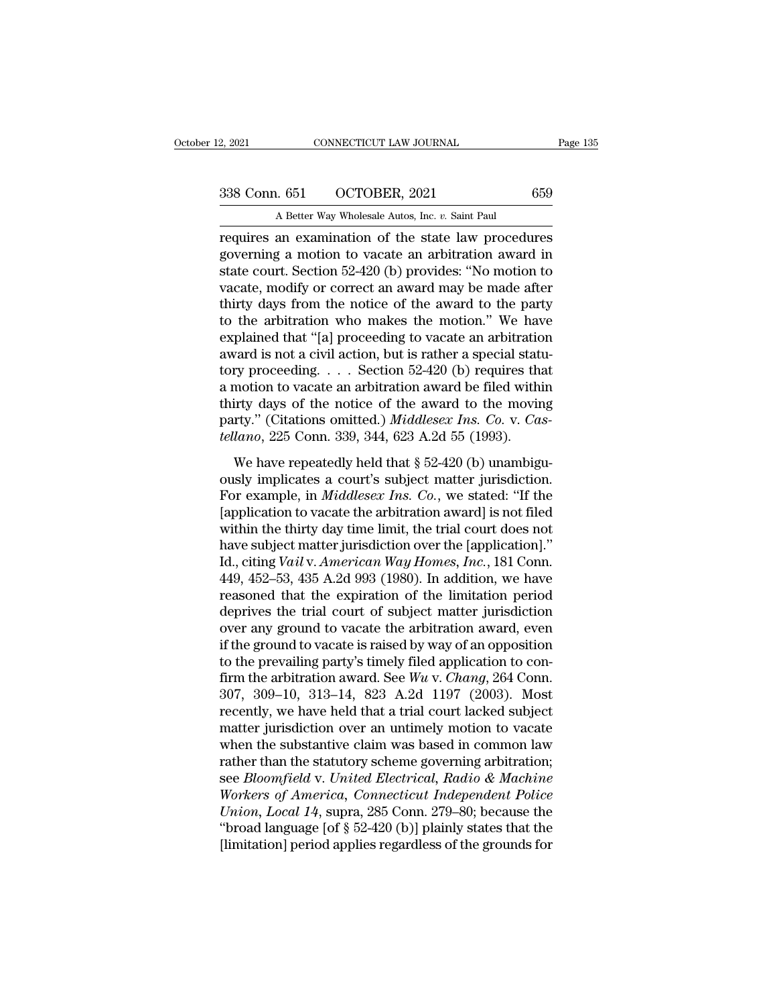2, 2021 CONNECTICUT LAW JOURNAL<br>
338 Conn. 651 OCTOBER, 2021 659<br>
A Better Way Wholesale Autos, Inc. *v.* Saint Paul<br>
requires an examination of the state law procedures 2, 2021 CONNECTICUT LAW JOURNAL Page 135<br>
338 Conn. 651 OCTOBER, 2021 659<br>
A Better Way Wholesale Autos, Inc. v. Saint Paul<br>
requires an examination of the state law procedures<br>
governing a motion to vacate an arbitration 338 Conn. 651 OCTOBER, 2021 659<br>A Better Way Wholesale Autos, Inc. v. Saint Paul<br>requires an examination of the state law procedures<br>governing a motion to vacate an arbitration award in<br>state court. Section 52-420 (b) prov 338 Conn. 651 OCTOBER, 2021 659<br>A Better Way Wholesale Autos, Inc. v. Saint Paul<br>requires an examination of the state law procedures<br>governing a motion to vacate an arbitration award in<br>state court. Section 52-420 (b) pro 338 Conn. 651 OCTOBER, 2021 659<br>
A Better Way Wholesale Autos, Inc.  $v$ . Saint Paul<br>
requires an examination of the state law procedures<br>
governing a motion to vacate an arbitration award in<br>
state court. Section 52-420 ( A Better Way Wholesale Autos, Inc.  $v$ . Saint Paul<br>requires an examination of the state law procedures<br>governing a motion to vacate an arbitration award in<br>state court. Section 52-420 (b) provides: "No motion to<br>vacate, m A Better way wholesale Autos, lnc.  $v$ . Sant Paul<br>requires an examination of the state law procedures<br>governing a motion to vacate an arbitration award in<br>state court. Section 52-420 (b) provides: "No motion to<br>vacate, mo requires an examination of the state law procedures<br>governing a motion to vacate an arbitration award in<br>state court. Section 52-420 (b) provides: "No motion to<br>vacate, modify or correct an award may be made after<br>thirty governing a motion to vacate an arbitration award in state court. Section 52-420 (b) provides: "No motion to vacate, modify or correct an award may be made after thirty days from the notice of the award to the party to th state court. Section 52-420 (b) provides: "No motion to vacate, modify or correct an award may be made after thirty days from the notice of the award to the party to the arbitration who makes the motion." We have explaine vacate, modify or correct an award may be made after<br>thirty days from the notice of the award to the party<br>to the arbitration who makes the motion." We have<br>explained that "[a] proceeding to vacate an arbitration<br>award is thirty days from the notice of the award to the party<br>to the arbitration who makes the motion." We have<br>explained that "[a] proceeding to vacate an arbitration<br>award is not a civil action, but is rather a special statu-<br>t to the arbitration who makes the motion." We have<br>explained that "[a] proceeding to vacate an arbitration<br>award is not a civil action, but is rather a special statu-<br>tory proceeding. . . . Section 52-420 (b) requires that<br> explained that "[a] proceeding to vacate an arbitratic<br>award is not a civil action, but is rather a special statt<br>tory proceeding. . . . Section 52-420 (b) requires tha<br>a motion to vacate an arbitration award be filed with We have a civil action, but is related a special state<br>ty proceeding.... Section 52-420 (b) requires that<br>motion to vacate an arbitration award be filed within<br>irty days of the notice of the award to the moving<br>rty." (Cit a motion to vacate an arbitration award be filed within<br>thirty days of the notice of the award to the moving<br>party." (Citations omitted.) *Middlesex Ins. Co. v. Cas-*<br>*tellano*, 225 Conn. 339, 344, 623 A.2d 55 (1993).<br>We

a modern is vacate an arbitration award be fired whith<br>thirty days of the notice of the award to the moving<br>party." (Citations omitted.) *Middlesex Ins. Co.* v. *Cas-<br>tellano*, 225 Conn. 339, 344, 623 A.2d 55 (1993).<br>We ha party." (Citations omitted.) *Middlesex Ins. Co. v. Castellano*, 225 Conn. 339, 344, 623 A.2d 55 (1993).<br>We have repeatedly held that § 52-420 (b) unambiguously implicates a court's subject matter jurisdiction.<br>For exampl *tellano*, 225 Conn. 339, 344, 623 A.2d 55 (1993).<br>We have repeatedly held that § 52-420 (b) unambiguously implicates a court's subject matter jurisdiction.<br>For example, in *Middlesex Ins. Co.*, we stated: "If the [applic We have repeatedly held that  $\S$  52-420 (b) unambiguously implicates a court's subject matter jurisdiction.<br>For example, in *Middlesex Ins. Co.*, we stated: "If the [application to vacate the arbitration award] is not fil We have repeatedly held that § 52-420 (b) unambiguously implicates a court's subject matter jurisdiction.<br>For example, in *Middlesex Ins. Co.*, we stated: "If the [application to vacate the arbitration award] is not filed ously implicates a court's subject matter jurisdiction.<br>For example, in *Middlesex Ins. Co.*, we stated: "If the<br>[application to vacate the arbitration award] is not filed<br>within the thirty day time limit, the trial court For example, in *Middlesex Ins. Co.*, we stated: "If the [application to vacate the arbitration award] is not filed within the thirty day time limit, the trial court does not have subject matter jurisdiction over the [app [application to vacate the arbitration award] is not filed<br>within the thirty day time limit, the trial court does not<br>have subject matter jurisdiction over the [application]."<br>Id., citing *Vail* v. *American Way Homes, In* within the thirty day time limit, the trial court does not<br>have subject matter jurisdiction over the [application]."<br>Id., citing *Vail v. American Way Homes, Inc.*, 181 Conn.<br>449, 452–53, 435 A.2d 993 (1980). In addition, have subject matter jurisdiction over the [application]."<br>Id., citing *Vail* v. *American Way Homes, Inc.*, 181 Conn.<br>449, 452–53, 435 A.2d 993 (1980). In addition, we have<br>reasoned that the expiration of the limitation p Id., citing *Vail* v. *American Way Homes, Inc.*, 181 Conn.<br>449, 452–53, 435 A.2d 993 (1980). In addition, we have<br>reasoned that the expiration of the limitation period<br>deprives the trial court of subject matter jurisdict 449, 452–53, 435 A.2d 993 (1980). In addition, we have<br>reasoned that the expiration of the limitation period<br>deprives the trial court of subject matter jurisdiction<br>over any ground to vacate the arbitration award, even<br>if reasoned that the expiration of the limitation period<br>deprives the trial court of subject matter jurisdiction<br>over any ground to vacate the arbitration award, even<br>if the ground to vacate is raised by way of an opposition deprives the trial court of subject matter jurisdiction<br>over any ground to vacate the arbitration award, even<br>if the ground to vacate is raised by way of an opposition<br>to the prevailing party's timely filed application to over any ground to vacate the arbitration award, even<br>if the ground to vacate is raised by way of an opposition<br>to the prevailing party's timely filed application to con-<br>firm the arbitration award. See  $Wu$  v. *Chang*, 2 if the ground to vacate is raised by way of an opposition<br>to the prevailing party's timely filed application to con-<br>firm the arbitration award. See  $Wu$  v. *Chang*, 264 Conn.<br>307, 309–10, 313–14, 823 A.2d 1197 (2003). Mo to the prevailing party's timely filed application to confirm the arbitration award. See  $Wu$  v. *Chang*, 264 Conn.<br>307, 309–10, 313–14, 823 A.2d 1197 (2003). Most<br>recently, we have held that a trial court lacked subject<br> firm the arbitration award. See *Wu* v. *Chang*, 264 Conn.<br>307, 309–10, 313–14, 823 A.2d 1197 (2003). Most<br>recently, we have held that a trial court lacked subject<br>matter jurisdiction over an untimely motion to vacate<br>when 307, 309–10, 313–14, 823 A.2d 1197 (2003). Most<br>recently, we have held that a trial court lacked subject<br>matter jurisdiction over an untimely motion to vacate<br>when the substantive claim was based in common law<br>rather than recently, we have held that a trial court lacked subject<br>matter jurisdiction over an untimely motion to vacate<br>when the substantive claim was based in common law<br>rather than the statutory scheme governing arbitration;<br>see matter jurisdiction over an untimely motion to vacate<br>
when the substantive claim was based in common law<br>
rather than the statutory scheme governing arbitration;<br>
see Bloomfield v. United Electrical, Radio & Machine<br>
Work when the substantive claim was based in common law<br>rather than the statutory scheme governing arbitration;<br>see *Bloomfield v. United Electrical*, *Radio & Machine*<br>Workers of America, Connecticut Independent Police<br>Union,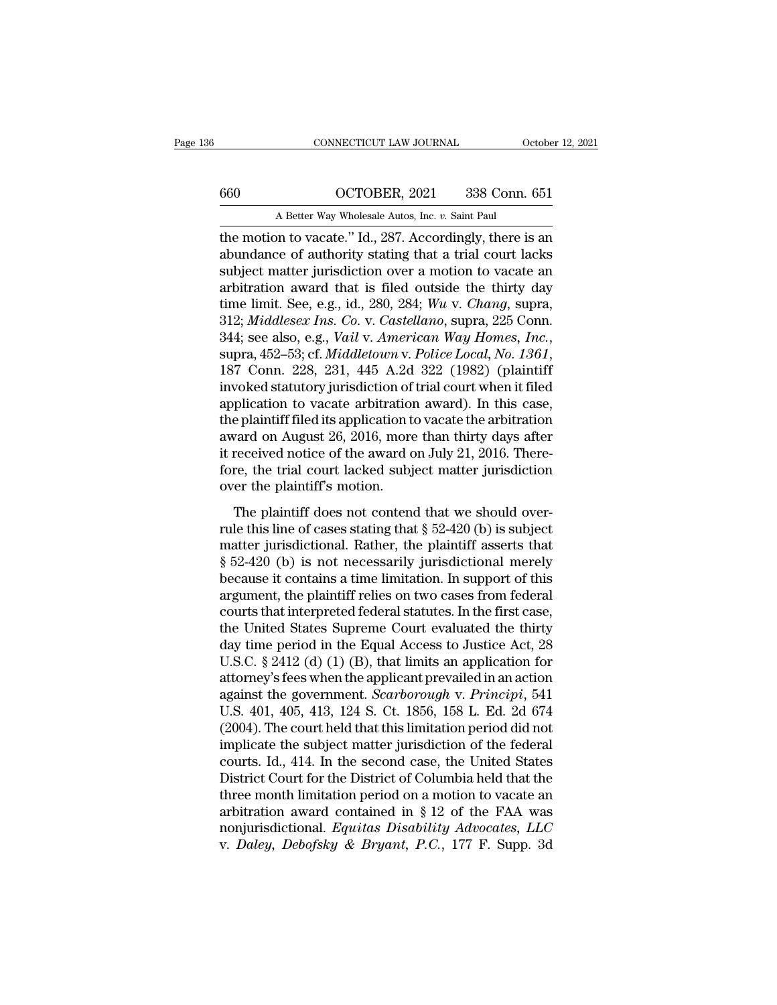# CONNECTICUT LAW JOURNAL October 12, 2021<br>660 OCTOBER, 2021 338 Conn. 651<br>A Better Way Wholesale Autos, Inc. *v*. Saint Paul

CONNECTICUT LAW JOURNAL October 12, 2021<br>660 OCTOBER, 2021 338 Conn. 651<br>A Better Way Wholesale Autos, Inc. *v.* Saint Paul<br>the motion to vacate." Id., 287. Accordingly, there is an CONNECTICUT LAW JOURNAL October 12, 2021<br>
660 OCTOBER, 2021 338 Conn. 651<br>
A Better Way Wholesale Autos, Inc. v. Saint Paul<br>
the motion to vacate.'' Id., 287. Accordingly, there is an<br>
abundance of authority stating that a abundance of authority stating that a trial court lacks 660 OCTOBER, 2021 338 Conn. 651<br>A Better Way Wholesale Autos, Inc. v. Saint Paul<br>the motion to vacate." Id., 287. Accordingly, there is an<br>abundance of authority stating that a trial court lacks<br>subject matter jurisdictio arbitration award that is filed outside the thirty day A Better Way Wholesale Autos, Inc. *v.* Saint Paul<br>the motion to vacate." Id., 287. Accordingly, there is an<br>abundance of authority stating that a trial court lacks<br>subject matter jurisdiction over a motion to vacate an<br>ar A Better Way Wholesale Autos, Inc. *v.* Samt Paul<br>the motion to vacate." Id., 287. Accordingly, there is an<br>abundance of authority stating that a trial court lacks<br>subject matter jurisdiction over a motion to vacate an<br>arb the motion to vacate." Id., 287. Accordingly, there is an abundance of authority stating that a trial court lacks subject matter jurisdiction over a motion to vacate an arbitration award that is filed outside the thirty da arbitration award that is filed outside the thirty day<br>time limit. See, e.g., id., 280, 284; Wu v. Chang, supra,<br>312; Middlesex Ins. Co. v. Castellano, supra, 225 Conn.<br>344; see also, e.g., Vail v. American Way Homes, Inc. time limit. See, e.g., id., 280, 284; Wu v. Chang, supra,<br>312; *Middlesex Ins. Co. v. Castellano*, supra, 225 Conn.<br>344; see also, e.g., *Vail v. American Way Homes, Inc.*,<br>supra, 452–53; cf. *Middletown v. Police Local*, 312; *Middlesex Ins. Co. v. Castellano*, supra, 225 Conn.<br>344; see also, e.g., *Vail v. American Way Homes, Inc.*, supra, 452–53; cf. *Middletown v. Police Local*, *No. 1361*, 187 Conn. 228, 231, 445 A.2d 322 (1982) (plai 344; see also, e.g., *Vail v. American Way Homes, Inc.*, supra, 452–53; cf. *Middletown v. Police Local*, *No. 1361*, 187 Conn. 228, 231, 445 A.2d 322 (1982) (plaintiff invoked statutory jurisdiction of trial court when it supra, 452–53; cf. *Middletown v. Police Local*, *No. 1361*, 187 Conn. 228, 231, 445 A.2d 322 (1982) (plaintiff invoked statutory jurisdiction of trial court when it filed application to vacate arbitration award). In this 187 Conn. 228, 231, 445 A.2d 322 (1982) (plaintiff<br>invoked statutory jurisdiction of trial court when it filed<br>application to vacate arbitration award). In this case,<br>the plaintiff filed its application to vacate the arbi invoked statutory jurisdiction of<br>application to vacate arbitration<br>the plaintiff filed its application t<br>award on August 26, 2016, more<br>it received notice of the award c<br>fore, the trial court lacked subj<br>over the plaintif plaintiff filed its application to vacate the arbitration<br>e plaintiff filed its application to vacate the arbitration<br>vard on August 26, 2016, more than thirty days after<br>received notice of the award on July 21, 2016. The award on August 26, 2016, more than thirty days after<br>it received notice of the award on July 21, 2016. There-<br>fore, the trial court lacked subject matter jurisdiction<br>over the plaintiff's motion.<br>The plaintiff does not c

matter of Hugast 25, 2010, more than thing any state.<br>
it received notice of the award on July 21, 2016. There-<br>
fore, the trial court lacked subject matter jurisdiction<br>
over the plaintiff's motion.<br>
The plaintiff does n fore, the trial court lacked subject matter jurisdiction<br>over the plaintiff's motion.<br>The plaintiff does not contend that we should over-<br>rule this line of cases stating that  $\S 52-420$  (b) is subject<br>matter jurisdictiona because it contains a time diagonal method is a time plaintiff's motion.<br>The plaintiff's motion.<br>The plaintiff does not contend that we should over-<br>rule this line of cases stating that  $\S 52-420$  (b) is subject<br>matter jur The plaintiff does not contend that we should over-<br>rule this line of cases stating that  $\S$  52-420 (b) is subject<br>matter jurisdictional. Rather, the plaintiff asserts that<br> $\S$  52-420 (b) is not necessarily jurisdictional The plaintiff does not contend that we should over-<br>rule this line of cases stating that  $\S$  52-420 (b) is subject<br>matter jurisdictional. Rather, the plaintiff asserts that<br> $\S$  52-420 (b) is not necessarily jurisdictional rule this line of cases stating that  $\S$  52-420 (b) is subject<br>matter jurisdictional. Rather, the plaintiff asserts that<br> $\S$  52-420 (b) is not necessarily jurisdictional merely<br>because it contains a time limitation. In su matter jurisdictional. Rather, the plaintiff asserts that  $\S$  52-420 (b) is not necessarily jurisdictional merely<br>because it contains a time limitation. In support of this<br>argument, the plaintiff relies on two cases from § 52-420 (b) is not necessarily jurisdictional merely<br>because it contains a time limitation. In support of this<br>argument, the plaintiff relies on two cases from federal<br>courts that interpreted federal statutes. In the fir because it contains a time limitation. In support of this<br>argument, the plaintiff relies on two cases from federal<br>courts that interpreted federal statutes. In the first case,<br>the United States Supreme Court evaluated the argument, the plaintiff relies on two cases from federal<br>courts that interpreted federal statutes. In the first case,<br>the United States Supreme Court evaluated the thirty<br>day time period in the Equal Access to Justice Act, courts that interpreted federal statutes. In the first case,<br>the United States Supreme Court evaluated the thirty<br>day time period in the Equal Access to Justice Act, 28<br>U.S.C. § 2412 (d) (1) (B), that limits an application the United States Supreme Court evaluated the thirty<br>day time period in the Equal Access to Justice Act, 28<br>U.S.C. § 2412 (d) (1) (B), that limits an application for<br>attorney's fees when the applicant prevailed in an acti day time period in the Equal Access to Justice Act, 28<br>U.S.C. § 2412 (d) (1) (B), that limits an application for<br>attorney's fees when the applicant prevailed in an action<br>against the government. *Scarborough* v. *Principi* U.S.C. § 2412 (d) (1) (B), that limits an application for<br>attorney's fees when the applicant prevailed in an action<br>against the government. *Scarborough* v. *Principi*, 541<br>U.S. 401, 405, 413, 124 S. Ct. 1856, 158 L. Ed. 2 attorney's fees when the applicant prevailed in an action<br>against the government. *Scarborough* v. *Principi*, 541<br>U.S. 401, 405, 413, 124 S. Ct. 1856, 158 L. Ed. 2d 674<br>(2004). The court held that this limitation period against the government. *Scarborough* v. *Principi*, 541<br>U.S. 401, 405, 413, 124 S. Ct. 1856, 158 L. Ed. 2d 674<br>(2004). The court held that this limitation period did not<br>implicate the subject matter jurisdiction of the f U.S. 401, 405, 413, 124 S. Ct. 1856, 158 L. Ed. 2d 674 (2004). The court held that this limitation period did not implicate the subject matter jurisdiction of the federal courts. Id., 414. In the second case, the United S (2004). The court held that this limitation period did not<br>implicate the subject matter jurisdiction of the federal<br>courts. Id., 414. In the second case, the United States<br>District Court for the District of Columbia held t implicate the subject matter jurisdiction of the federal courts. Id., 414. In the second case, the United States District Court for the District of Columbia held that the three month limitation period on a motion to vacate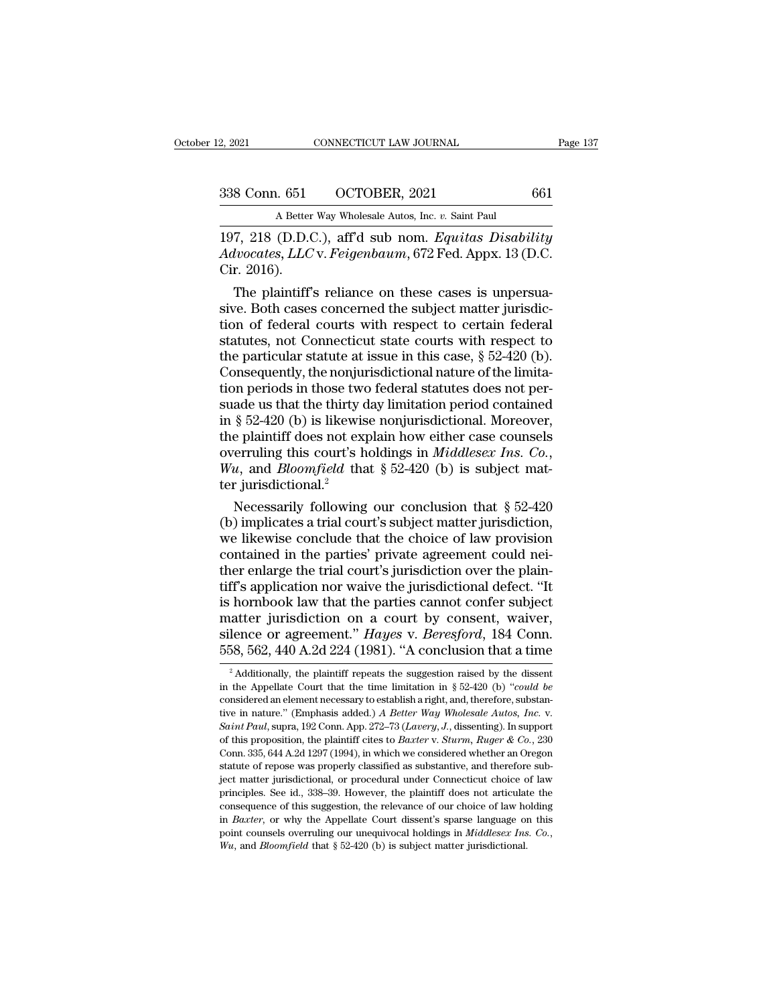| 12, 2021      | CONNECTICUT LAW JOURNAL                          | Page 137 |
|---------------|--------------------------------------------------|----------|
| 338 Conn. 651 | OCTOBER, 2021                                    | 661      |
|               | A Better Way Wholesale Autos, Inc. v. Saint Paul |          |

2, 2021 CONNECTICUT LAW JOURNAL<br>
338 Conn. 651 OCTOBER, 2021 661<br>
A Better Way Wholesale Autos, Inc. *v.* Saint Paul<br>
197, 218 (D.D.C.), aff'd sub nom. *Equitas Disability* 2, 2021 CONNECTICUT LAW JOURNAL Page 137<br>
338 Conn. 651 OCTOBER, 2021 661<br>
A Better Way Wholesale Autos, Inc. v. Saint Paul<br>
197, 218 (D.D.C.), aff'd sub nom. *Equitas Disability*<br> *Advocates, LLC* v. *Feigenbaum*, 672 Fed *Advocates, LLC* v. *Feigenbaum*, 672 Fed. Appx. 13 (D.C. 338 Conn. 651<br>A Better<br>197, 218 (D.D.C<br>Advocates, LLC<br>Cir. 2016).<br>The plaintiff' 8 Conn. 651 OCTOBER, 2021 661<br>
A Better Way Wholesale Autos, Inc. v. Saint Paul<br>
7, 218 (D.D.C.), aff'd sub nom. *Equitas Disability<br>
lvocates, LLC* v. *Feigenbaum*, 672 Fed. Appx. 13 (D.C.<br>
r. 2016).<br>
The plaintiff's reli

A Better Way Wholesale Autos, Inc. v. Saint Paul<br>197, 218 (D.D.C.), aff'd sub nom. *Equitas Disability*<br>Advocates, LLC v. *Feigenbaum*, 672 Fed. Appx. 13 (D.C.<br>Cir. 2016).<br>The plaintiff's reliance on these cases is unpersu 197, 218 (D.D.C.), aff'd sub nom. *Equitas Disability*<br>Advocates, *LLC* v. *Feigenbaum*, 672 Fed. Appx. 13 (D.C.<br>Cir. 2016).<br>The plaintiff's reliance on these cases is unpersua-<br>sive. Both cases concerned the subject matt 197, 218 (D.D.C.), aff'd sub nom. *Equitas Disability*<br>Advocates, LLC v. Feigenbaum, 672 Fed. Appx. 13 (D.C.<br>Cir. 2016).<br>The plaintiff's reliance on these cases is unpersua-<br>sive. Both cases concerned the subject matter j Advocates, LLC v. Feigenbaum, 672 Fed. Appx. 13 (D.C.<br>Cir. 2016).<br>The plaintiff's reliance on these cases is unpersua-<br>sive. Both cases concerned the subject matter jurisdic-<br>tion of federal courts with respect to certain Cir. 2016).<br>The plaintiff's reliance on these cases is unpersua-<br>sive. Both cases concerned the subject matter jurisdic-<br>tion of federal courts with respect to certain federal<br>statutes, not Connecticut state courts with re The plaintiff's reliance on these cases is unpersua-<br>sive. Both cases concerned the subject matter jurisdic-<br>tion of federal courts with respect to certain federal<br>statutes, not Connecticut state courts with respect to<br>th sive. Both cases concerned the subject matter jurisdiction of federal courts with respect to certain federal<br>statutes, not Connecticut state courts with respect to<br>the particular statute at issue in this case, § 52-420 (b) tion of federal courts with respect to certain federal<br>statutes, not Connecticut state courts with respect to<br>the particular statute at issue in this case,  $\S 52-420$  (b).<br>Consequently, the nonjurisdictional nature of the statutes, not Connecticut state courts with respect to<br>the particular statute at issue in this case, § 52-420 (b).<br>Consequently, the nonjurisdictional nature of the limita-<br>tion periods in those two federal statutes does the particular statute at issue in this case, § 52-420 (b).<br>Consequently, the nonjurisdictional nature of the limitation periods in those two federal statutes does not per-<br>suade us that the thirty day limitation period co tion periods in those two<br>suade us that the thirty of the suade us that the thirty of<br>in § 52-420 (b) is likewished the plaintiff does not exponently<br>overruling this court's have the way and Bloomfield the<br>ter jurisdictio ade us that the thirty day limitation period contained<br>
§ 52-420 (b) is likewise nonjurisdictional. Moreover,<br>
e plaintiff does not explain how either case counsels<br>
erruling this court's holdings in *Middlesex Ins. Co.*, in § 52-420 (b) is likewise nonjurisdictional. Moreover,<br>the plaintiff does not explain how either case counsels<br>overruling this court's holdings in *Middlesex Ins. Co.*,<br> $Wu$ , and *Bloomfield* that § 52-420 (b) is subjec

the plaintiff does not explain how either case counsels<br>overruling this court's holdings in *Middlesex Ins. Co.*,<br>Wu, and *Bloomfield* that  $\S 52-420$  (b) is subject mat-<br>ter jurisdictional.<sup>2</sup><br>Necessarily following our c overruling this court's holdings in *Middlesex Ins. Co.*, <br>Wu, and *Bloomfield* that  $\S 52-420$  (b) is subject mat-<br>ter jurisdictional.<sup>2</sup><br>Necessarily following our conclusion that  $\S 52-420$ <br>(b) implicates a trial court' Wu, and *Bloomfield* that  $\S$  52-420 (b) is subject matter jurisdictional.<sup>2</sup><br>Necessarily following our conclusion that  $\S$  52-420<br>(b) implicates a trial court's subject matter jurisdiction,<br>we likewise conclude that the ter jurisdictional.<sup>2</sup><br>Necessarily following our conclusion that  $\S 52-420$ <br>(b) implicates a trial court's subject matter jurisdiction,<br>we likewise conclude that the choice of law provision<br>contained in the parties' priva Necessarily following our conclusion that  $\S$  52-420<br>(b) implicates a trial court's subject matter jurisdiction,<br>we likewise conclude that the choice of law provision<br>contained in the parties' private agreement could nei-(b) implicates a trial court's subject matter jurisdiction,<br>we likewise conclude that the choice of law provision<br>contained in the parties' private agreement could nei-<br>ther enlarge the trial court's jurisdiction over the we likewise conclude that the choice of law provision<br>contained in the parties' private agreement could nei-<br>ther enlarge the trial court's jurisdiction over the plain-<br>tiff's application nor waive the jurisdictional defec contained in the parties' private agreement could nei-<br>ther enlarge the trial court's jurisdiction over the plain-<br>tiff's application nor waive the jurisdictional defect. "It<br>is hornbook law that the parties cannot confer hornbook law that the parties cannot confer subject<br>atter jurisdiction on a court by consent, waiver,<br>lence or agreement." *Hayes* v. *Beresford*, 184 Conn.<br>58, 562, 440 A.2d 224 (1981). "A conclusion that a time<br><sup>2</sup> Addi matter jurisdiction on a court by consent, waiver,<br>silence or agreement." *Hayes* v. *Beresford*, 184 Conn.<br>558, 562, 440 A.2d 224 (1981). "A conclusion that a time<br><sup>2</sup> Additionally, the plaintiff repeats the suggestion ra

silence or agreement." *Hayes* v. *Beresford*, 184 Conn.<br>558, 562, 440 A.2d 224 (1981). "A conclusion that a time<br><sup>2</sup> Additionally, the plaintiff repeats the suggestion raised by the dissent<br>in the Appellate Court that th 558, 562, 440 A.2d 224 (1981). "A conclusion that a time<br><sup>2</sup> Additionally, the plaintiff repeats the suggestion raised by the dissent<br>in the Appellate Court that the time limitation in § 52-420 (b) "*could be*<br>considered a <sup>2</sup> Additionally, the plaintiff repeats the suggestion raised by the dissent<br>in the Appellate Court that the time limitation in § 52-420 (b) "*could be*<br>considered an element necessary to establish a right, and, therefore in the Appellate Court that the time limitation in § 52-420 (b) "could be considered an element necessary to establish a right, and, therefore, substantive in nature." (Emphasis added.) A Better Way Wholesale Autos, Inc. in the Appellate Court that the time limitation in § 52-420 (b) "*could be* considered an element necessary to establish a right, and, therefore, substantive in nature." (Emphasis added.) A Better Way Wholesale Autos, Inc tive in nature." (Emphasis added.) *A Better Way Wholesale Autos, Inc.* v. Saint Paul, supra, 192 Conn. App. 272–73 (*Lavery, J.*, dissenting). In support of this proposition, the plaintiff cites to *Baxter* v. *Sturm, Ru* Saint Paul, supra, 192 Conn. App. 272–73 (*Lavery, J.*, dissenting). In support of this proposition, the plaintiff cites to *Baxter* v. *Sturm, Ruger* & Co., 230 Conn. 335, 644 A.2d 1297 (1994), in which we considered whet consequence of this proposition, the plaintiff cites to *Baxter* v. *Sturm*, *Ruger* & *Co.*, 230 Conn. 335, 644 A.2d 1297 (1994), in which we considered whether an Oregon statute of repose was properly classified as subs Conn. 335, 644 A.2d 1297 (1994), in which we considered whether an Oregon statute of repose was properly classified as substantive, and therefore subject matter jurisdictional, or procedural under Connecticut choice of la point counsels overruling our unequivocal holdings in *Middlesex Ins.* Consequence of this suggestion, the relevance of our choice of law holding in *Baxter*, or why the Appellate Court dissent's sparse language on this po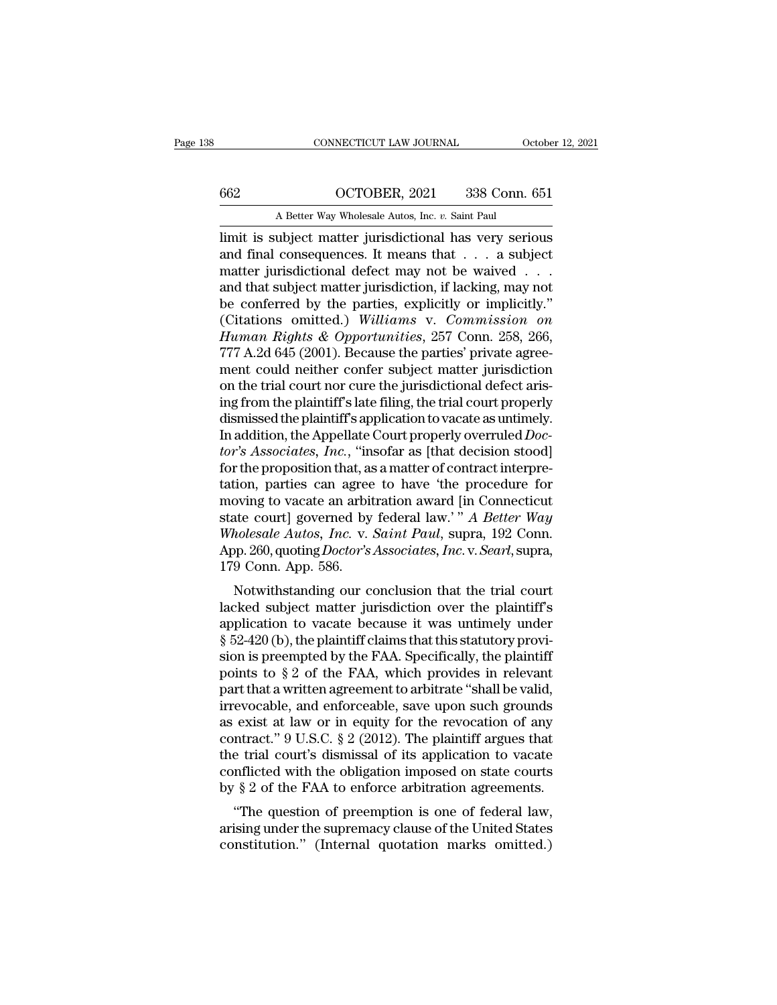# CONNECTICUT LAW JOURNAL October 12, 2021<br>662 OCTOBER, 2021 338 Conn. 651<br>A Better Way Wholesale Autos, Inc. *v*. Saint Paul

CONNECTICUT LAW JOURNAL October 12, 2021<br>662 OCTOBER, 2021 338 Conn. 651<br>A Better Way Wholesale Autos, Inc. *v.* Saint Paul<br>limit is subject matter jurisdictional has very serious CONNECTICUT LAW JOURNAL October 12, 2021<br>
662 OCTOBER, 2021 338 Conn. 651<br>
A Better Way Wholesale Autos, Inc. v. Saint Paul<br>
1991 Imit is subject matter jurisdictional has very serious<br>
and final consequences. It means tha 662 OCTOBER, 2021 338 Conn. 651<br>
A Better Way Wholesale Autos, Inc. v. Saint Paul<br>
limit is subject matter jurisdictional has very serious<br>
and final consequences. It means that . . . a subject<br>
matter jurisdictional defec 662 OCTOBER, 2021 338 Conn. 651<br>
A Better Way Wholesale Autos, Inc. v. Saint Paul<br>
limit is subject matter jurisdictional has very serious<br>
and final consequences. It means that . . . a subject<br>
matter jurisdictional defe and that subject matter jurisdiction, if lacking, may not A Better Way Wholesale Autos, Inc. v. Saint Paul<br>
limit is subject matter jurisdictional has very serious<br>
and final consequences. It means that . . . a subject<br>
matter jurisdictional defect may not be waived . . .<br>
and th A Better Way Wholesale Autos, Inc. *v.* Saint Paul<br>
limit is subject matter jurisdictional has very serious<br>
and final consequences. It means that . . . a subject<br>
matter jurisdictional defect may not be waived . . .<br>
and *Human Rights & Opportunities*, 257 Conn. 258, 266, 277 A.2d 645 (2001). Because the parties private agreement could noither conferred by the parties, explicitly or implicitly." (Citations omitted.) *Williams v. Commission* and final consequences. It means that  $\ldots$  a subject<br>matter jurisdictional defect may not be waived  $\ldots$ <br>and that subject matter jurisdiction, if lacking, may not<br>be conferred by the parties, explicitly or implicitly."<br> matter jurisdictional defect may not be waived . . . .<br>and that subject matter jurisdiction, if lacking, may not<br>be conferred by the parties, explicitly or implicitly."<br>(Citations omitted.) Williams v. Commission on<br>Human and that subject matter jurisdiction, if lacking, may not<br>be conferred by the parties, explicitly or implicitly."<br>(Citations omitted.) Williams v. Commission on<br>Human Rights & Opportunities, 257 Conn. 258, 266,<br>777 A.2d 64 be conferred by the parties, explicitly or implicitly."<br>(Citations omitted.) Williams v. Commission on<br>Human Rights & Opportunities, 257 Conn. 258, 266,<br>777 A.2d 645 (2001). Because the parties' private agree-<br>ment could n (Citations omitted.) Williams v. Commission on<br>Human Rights & Opportunities, 257 Conn. 258, 266,<br>777 A.2d 645 (2001). Because the parties' private agree-<br>ment could neither confer subject matter jurisdiction<br>on the trial Human Rights & Opportunities, 257 Conn. 258, 266,<br>777 A.2d 645 (2001). Because the parties' private agree-<br>ment could neither confer subject matter jurisdiction<br>on the trial court nor cure the jurisdictional defect aris-<br>i 777 A.2d 645 (2001). Because the parties' private agreement could neither confer subject matter jurisdiction<br>on the trial court nor cure the jurisdictional defect arising from the plaintiff's late filing, the trial court p ment could neither confer subject matter jurisdiction<br>on the trial court nor cure the jurisdictional defect aris-<br>ing from the plaintiff's late filing, the trial court properly<br>dismissed the plaintiff's application to vaca on the trial court nor cure the jurisdictional defect arising from the plaintiff's late filing, the trial court properly<br>dismissed the plaintiff's application to vacate as untimely.<br>In addition, the Appellate Court proper ing from the plaintiff's late filing, the trial court properly<br>dismissed the plaintiff's application to vacate as untimely.<br>In addition, the Appellate Court properly overruled *Doc-*<br>tor's Associates, Inc., "insofar as [t dismissed the plaintiff's application to vacate as untimely.<br>In addition, the Appellate Court properly overruled *Doctor's Associates, Inc.*, "insofar as [that decision stood]<br>for the proposition that, as a matter of contr In addition, the Appellate Court properly overruled *Doctor's Associates, Inc.*, "insofar as [that decision stood]<br>for the proposition that, as a matter of contract interpre-<br>tation, parties can agree to have 'the procedur tor's Associates, *Inc.*, "insofar as [that decision stood]<br>for the proposition that, as a matter of contract interpre-<br>tation, parties can agree to have 'the procedure for<br>moving to vacate an arbitration award [in Connect for the proposition that, as<br>tation, parties can agree<br>moving to vacate an arbit<br>state court] governed by<br>Wholesale Autos, Inc. v.<br>App. 260, quoting Doctor's.<br>179 Conn. App. 586.<br>Notwithstanding our c Noting to vacate an arbitration award [in Connecticut<br>tate court] governed by federal law." A Better Way<br>holesale Autos, Inc. v. Saint Paul, supra, 192 Conn.<br>p. 260, quoting *Doctor's Associates, Inc.* v. Searl, supra,<br>9 C lacked subject matter in the plaintiff's<br>application over the planet matter way<br>Wholesale Autos, Inc. v. Saint Paul, supra, 192 Conn.<br>App. 260, quoting *Doctor's Associates, Inc.* v. Searl, supra,<br>179 Conn. App. 586.<br>Notwi

state Court] governed by rederar faw. A Better way<br>
Wholesale Autos, Inc. v. Saint Paul, supra, 192 Conn.<br>
App. 260, quoting Doctor's Associates, Inc. v. Searl, supra,<br>
179 Conn. App. 586.<br>
Notwithstanding our conclusion *Mholesale Autos, Thc. v. Sutht Tutat, supra, 152 Comi.*<br>App. 260, quoting *Doctor's Associates, Inc. v. Searl*, supra, 179 Conn. App. 586.<br>Notwithstanding our conclusion that the trial court<br>lacked subject matter jurisdi App. 200, quoting *Doctor s* Associates, *th*c. *v*. Seart, supra,<br>179 Conn. App. 586.<br>Notwithstanding our conclusion that the trial court<br>lacked subject matter jurisdiction over the plaintiff's<br>application to vacate be The Column App. 380.<br>
Notwithstanding our conclusion that the trial court<br>
lacked subject matter jurisdiction over the plaintiff's<br>
application to vacate because it was untimely under<br>
§ 52-420 (b), the plaintiff claims t Notwithstanding our conclusion that the trial court<br>lacked subject matter jurisdiction over the plaintiff's<br>application to vacate because it was untimely under<br> $\S 52-420$  (b), the plaintiff claims that this statutory prov lacked subject matter jurisdiction over the plaintiff's<br>application to vacate because it was untimely under<br> $\S 52-420$  (b), the plaintiff claims that this statutory provi-<br>sion is preempted by the FAA. Specifically, the p application to vacate because it was untimely under<br> $\S 52-420$  (b), the plaintiff claims that this statutory provision is preempted by the FAA. Specifically, the plaintiff<br>points to  $\S 2$  of the FAA, which provides in rel  $\S$  52-420 (b), the plaintiff claims that this statutory provision is preempted by the FAA. Specifically, the plaintiff<br>points to  $\S$  2 of the FAA, which provides in relevant<br>part that a written agreement to arbitrate "sh sion is preempted by the FAA. Specifically, the plaintiff<br>points to § 2 of the FAA, which provides in relevant<br>part that a written agreement to arbitrate "shall be valid,<br>irrevocable, and enforceable, save upon such groun points to  $\S 2$  of the FAA, which provides in relevant<br>part that a written agreement to arbitrate "shall be valid,<br>irrevocable, and enforceable, save upon such grounds<br>as exist at law or in equity for the revocation of an part that a written agreement to arbitrate "shall be valid,<br>irrevocable, and enforceable, save upon such grounds<br>as exist at law or in equity for the revocation of any<br>contract." 9 U.S.C. § 2 (2012). The plaintiff argues t evocable, and enforceable, save upon such grounds<br>
exist at law or in equity for the revocation of any<br>
ntract." 9 U.S.C. § 2 (2012). The plaintiff argues that<br>
e trial court's dismissal of its application to vacate<br>
infl as exist at law of in equity for the revocation of any contract."  $9 \text{ U.S.C. } § 2 \text{ (2012)}.$  The plaintiff argues that the trial court's dismissal of its application to vacate conflicted with the obligation imposed on state contract.  $\frac{1}{9}$  C.S.C.  $\frac{1}{8}$  2 (2012). The plantiful argues that the trial court's dismissal of its application to vacate conflicted with the obligation imposed on state courts by  $\frac{8}{3}$  2 of the FAA to enforce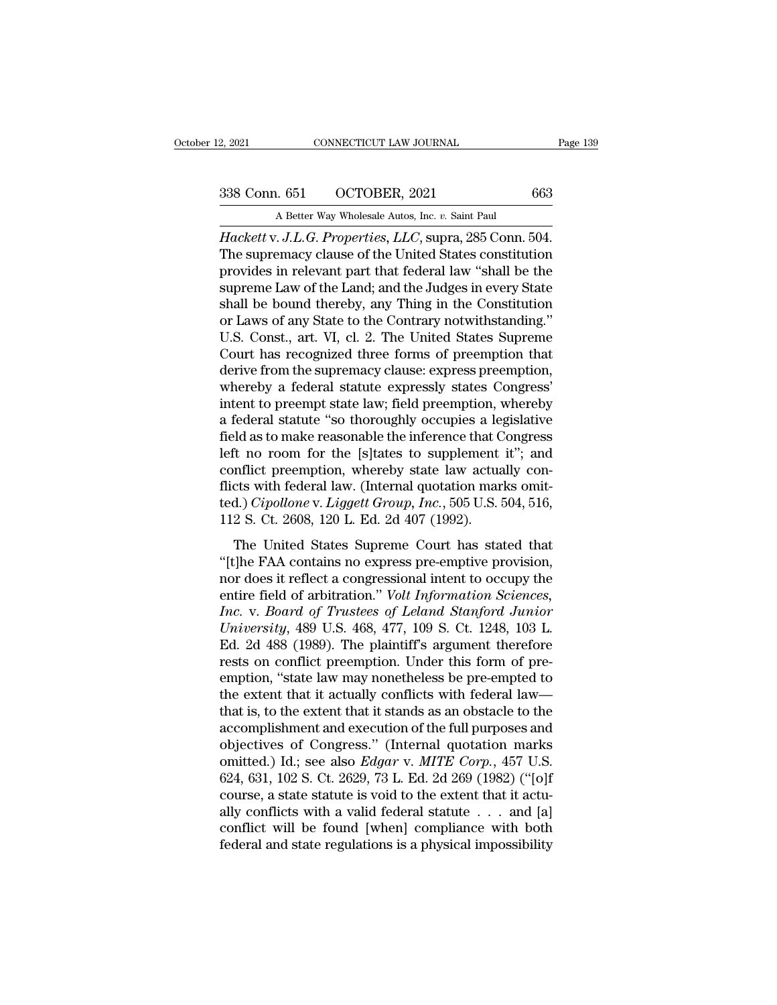2, 2021 CONNECTICUT LAW JOURNAL<br>
338 Conn. 651 OCTOBER, 2021 663<br>
A Better Way Wholesale Autos, Inc. *v.* Saint Paul<br>
Hackett v. J.L.G. Properties, LLC, supra, 285 Conn. 504. <sup>2</sup>, 2021 CONNECTICUT LAW JOURNAL Page<br>
338 Conn. 651 OCTOBER, 2021 663<br>
A Better Way Wholesale Autos, Inc. *v*. Saint Paul<br> *Hackett* v. *J.L.G. Properties, LLC*, supra, 285 Conn. 504.<br>
The supremacy clause of the United 338 Conn. 651 OCTOBER, 2021 663<br>A Better Way Wholesale Autos, Inc. v. Saint Paul<br>Hackett v. J.L.G. Properties, LLC, supra, 285 Conn. 504.<br>The supremacy clause of the United States constitution<br>provides in relevant part tha 338 Conn. 651 OCTOBER, 2021 663<br>A Better Way Wholesale Autos, Inc. v. Saint Paul<br>Hackett v. J.L.G. Properties, LLC, supra, 285 Conn. 504.<br>The supremacy clause of the United States constitution<br>provides in relevant part th 338 Conn. 651 OCTOBER, 2021 663<br>
A Better Way Wholesale Autos, Inc. v. Saint Paul<br>
Hackett v. J.L.G. Properties, LLC, supra, 285 Conn. 504.<br>
The supremacy clause of the United States constitution<br>
provides in relevant par A Better Way Wholesale Autos, Inc. v. Saint Paul<br>
Hackett v. J.L.G. Properties, LLC, supra, 285 Conn. 504.<br>
The supremacy clause of the United States constitution<br>
provides in relevant part that federal law "shall be the<br> A Better way wholesale Autos, mc. v. Sant Paul<br>Hackett v. J.L.G. Properties, LLC, supra, 285 Conn. 504.<br>The supremacy clause of the United States constitution<br>provides in relevant part that federal law "shall be the<br>suprem Hackett v. J.L.G. Properties, LLC, supra, 285 Conn. 504.<br>The supremacy clause of the United States constitution<br>provides in relevant part that federal law "shall be the<br>supreme Law of the Land; and the Judges in every Stat The supremacy clause of the United States constitution<br>provides in relevant part that federal law "shall be the<br>supreme Law of the Land; and the Judges in every State<br>shall be bound thereby, any Thing in the Constitution<br>o provides in relevant part that federal law "shall be the<br>supreme Law of the Land; and the Judges in every State<br>shall be bound thereby, any Thing in the Constitution<br>or Laws of any State to the Contrary notwithstanding."<br>U supreme Law of the Land; and the Judges in every State<br>shall be bound thereby, any Thing in the Constitution<br>or Laws of any State to the Contrary notwithstanding."<br>U.S. Const., art. VI, cl. 2. The United States Supreme<br>Cou shall be bound thereby, any Thing in the Constitution<br>or Laws of any State to the Contrary notwithstanding."<br>U.S. Const., art. VI, cl. 2. The United States Supreme<br>Court has recognized three forms of preemption that<br>derive or Laws of any State to the Contrary notwithstanding."<br>U.S. Const., art. VI, cl. 2. The United States Supreme<br>Court has recognized three forms of preemption that<br>derive from the supremacy clause: express preemption,<br>whereb U.S. Const., art. VI, cl. 2. The United States Supreme<br>Court has recognized three forms of preemption that<br>derive from the supremacy clause: express preemption,<br>whereby a federal statute expressly states Congress'<br>intent t Court has recognized three forms of preemption that<br>derive from the supremacy clause: express preemption,<br>whereby a federal statute expressly states Congress'<br>intent to preempt state law; field preemption, whereby<br>a federa derive from the supremacy clause: express preemption,<br>whereby a federal statute expressly states Congress'<br>intent to preempt state law; field preemption, whereby<br>a federal statute "so thoroughly occupies a legislative<br>fiel whereby a federal statute expressly states Congress'<br>intent to preempt state law; field preemption, whereby<br>a federal statute "so thoroughly occupies a legislative<br>field as to make reasonable the inference that Congress<br>l intent to preempt state law; field preemption, whereby<br>a federal statute "so thoroughly occupies a legislative<br>field as to make reasonable the inference that Congress<br>left no room for the [s]tates to supplement it"; and<br>co a federal statute "so thoroughly occupies a lefield as to make reasonable the inference that C<br>left no room for the [s]tates to supplement<br>conflict preemption, whereby state law actua<br>flicts with federal law. (Internal quo The United States Supreme Court has stated that<br>Christian in the United States Supplement it"; and<br>nflict preemption, whereby state law actually con-<br>cts with federal law. (Internal quotation marks omit-<br>d.) *Cipollone* v For no foom for all plydics as supprement to, and<br>conflict preemption, whereby state law actually con-<br>flicts with federal law. (Internal quotation marks omit-<br>ted.) *Cipollone* v. *Liggett Group*, *Inc.*, 505 U.S. 504, 51

flicts with federal law. (Internal quotation marks omit-<br>ted.) *Cipollone* v. *Liggett Group*, *Inc.*, 505 U.S. 504, 516,<br>112 S. Ct. 2608, 120 L. Ed. 2d 407 (1992).<br>The United States Supreme Court has stated that<br>"[t]he F rent Field of arbitration.<sup>7</sup> *Volt Information Information Information Cipollone v. Liggett Group, Inc.*, 505 U.S. 504, 516, 112 S. Ct. 2608, 120 L. Ed. 2d 407 (1992).<br>The United States Supreme Court has stated that "[t]h *Inc. Inc. Inc. Inc. Inc. Inc. Inc. Inc. Inc. Inc. Inc. Inc. Inc. Inc. Inc. Inc. Inc. Inc. Inc. Inc. Inc. Inc. Inc. Inc. Inc. Inc. Inc. Inc. Inc. Inc. Inc. Inc.* The United States Supreme Court has stated that<br>
"[t]he FAA contains no express pre-emptive provision,<br>
nor does it reflect a congressional intent to occupy the<br>
entire field of arbitration." *Volt Information Sciences,*<br> The United States Supreme Court has stated that<br>
"[t]he FAA contains no express pre-emptive provision,<br>
nor does it reflect a congressional intent to occupy the<br>
entire field of arbitration." *Volt Information Sciences,*<br> "[t]he FAA contains no express pre-emptive provision, nor does it reflect a congressional intent to occupy the entire field of arbitration." Volt Information Sciences, Inc. v. Board of Trustees of Leland Stanford Junior U nor does it reflect a congressional intent to occupy the<br>entire field of arbitration." *Volt Information Sciences,*<br>Inc. v. Board of Trustees of Leland Stanford Junior<br>University, 489 U.S. 468, 477, 109 S. Ct. 1248, 103 L. entire field of arbitration." *Volt Information Sciences,*<br> *Inc.* v. *Board of Trustees of Leland Stanford Junior*<br> *University*, 489 U.S. 468, 477, 109 S. Ct. 1248, 103 L.<br>
Ed. 2d 488 (1989). The plaintiff's argument the Inc. v. Board of Trustees of Leland Stanford Junior<br>University, 489 U.S. 468, 477, 109 S. Ct. 1248, 103 L.<br>Ed. 2d 488 (1989). The plaintiff's argument therefore<br>rests on conflict preemption. Under this form of pre-<br>emption University, 489 U.S. 468, 477, 109 S. Ct. 1248, 103 L.<br>Ed. 2d 488 (1989). The plaintiff's argument therefore<br>rests on conflict preemption. Under this form of pre-<br>emption, "state law may nonetheless be pre-empted to<br>the e Ed. 2d 488 (1989). The plaintiff's argument therefore<br>rests on conflict preemption. Under this form of pre-<br>emption, "state law may nonetheless be pre-empted to<br>the extent that it actually conflicts with federal law—<br>that rests on conflict preemption. Under this form of pre-<br>emption, "state law may nonetheless be pre-empted to<br>the extent that it actually conflicts with federal law—<br>that is, to the extent that it stands as an obstacle to the emption, "state law may nonetheless be pre-empted to<br>the extent that it actually conflicts with federal law—<br>that is, to the extent that it stands as an obstacle to the<br>accomplishment and execution of the full purposes and the extent that it actually conflicts with federal law—<br>that is, to the extent that it stands as an obstacle to the<br>accomplishment and execution of the full purposes and<br>objectives of Congress." (Internal quotation marks<br> that is, to the extent that it stands as an obstacle to the accomplishment and execution of the full purposes and objectives of Congress." (Internal quotation marks omitted.) Id.; see also *Edgar* v. *MITE Corp.*, 457 U.S accomplishment and execution of the full purposes and<br>objectives of Congress." (Internal quotation marks<br>omitted.) Id.; see also *Edgar* v. MITE Corp., 457 U.S.<br>624, 631, 102 S. Ct. 2629, 73 L. Ed. 2d 269 (1982) ("[o]f<br>cou objectives of Congress." (Internal quotation marks omitted.) Id.; see also *Edgar* v. *MITE Corp.*, 457 U.S. 624, 631, 102 S. Ct. 2629, 73 L. Ed. 2d 269 (1982) ("[o]f course, a state statute is void to the extent that it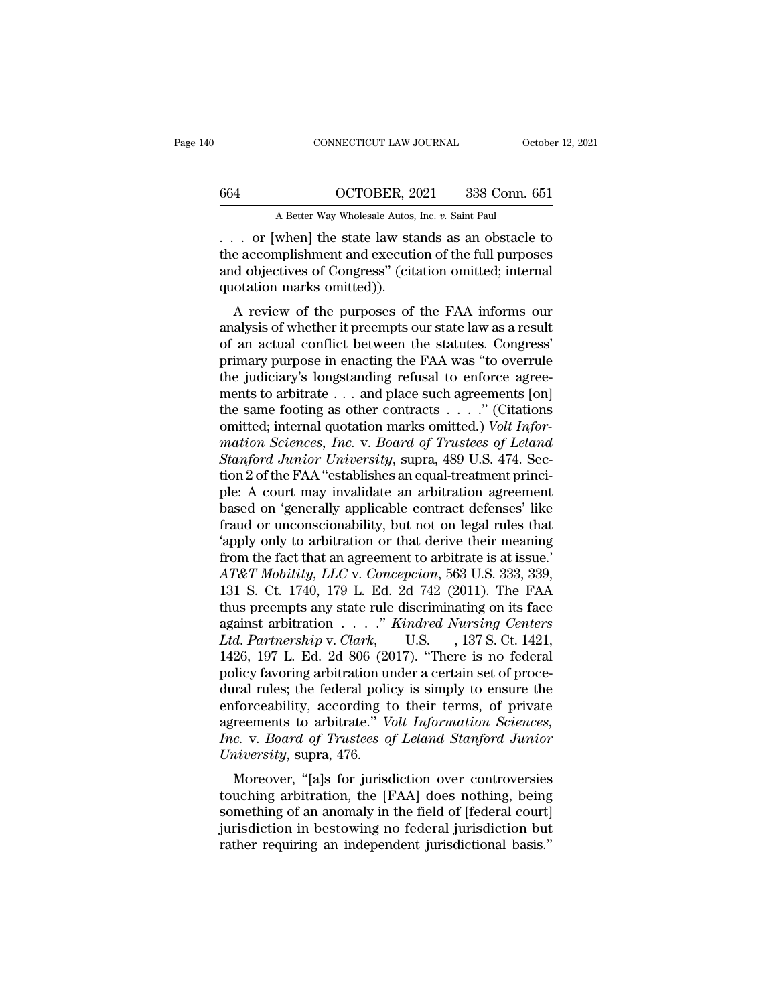# CONNECTICUT LAW JOURNAL October 12, 2021<br>664 OCTOBER, 2021 338 Conn. 651<br>A Better Way Wholesale Autos, Inc. *v*. Saint Paul

CONNECTICUT LAW JOURNAL October 12, 2021<br>
664 OCTOBER, 2021 338 Conn. 651<br>
A Better Way Wholesale Autos, Inc. *v.* Saint Paul<br>
. . . or [when] the state law stands as an obstacle to CONNECTICUT LAW JOURNAL October 12, 2021<br>
664 OCTOBER, 2021 338 Conn. 651<br>
A Better Way Wholesale Autos, Inc. v. Saint Paul<br>
... or [when] the state law stands as an obstacle to<br>
the accomplishment and execution of the ful 664 OCTOBER, 2021 338 Conn. 651<br>
A Better Way Wholesale Autos, Inc. v. Saint Paul<br>
... or [when] the state law stands as an obstacle to<br>
the accomplishment and execution of the full purposes<br>
and objectives of Congress" (c 664 OCTOBER, 2021 338 Conn. 651<br>A Better Way Wholesale Autos, Inc. v. Saint Paul<br> $\ldots$  or [when] the state law stands as an obstacle to<br>the accomplishment and execution of the full purposes<br>and objectives of Congress'' (c 664 OCTOBER, 2<br>
A Better Way Wholesale Autos,<br>
... or [when] the state law state<br>
the accomplishment and execution objectives of Congress" (cit.<br>
quotation marks omitted)).<br>
A review of the purposes of A Better Way Wholesale Autos, Inc.  $v$ . Saint Paul<br>
. or [when] the state law stands as an obstacle to<br>
e accomplishment and execution of the full purposes<br>
d objectives of Congress'' (citation omitted; internal<br>
otation  $\ldots$  or [when] the state law stands as an obstacle to<br>the accomplishment and execution of the full purposes<br>and objectives of Congress" (citation omitted; internal<br>quotation marks omitted)).<br>A review of the purposes of t

of the accomplishment and execution of the full purposes<br>and objectives of Congress" (citation omitted; internal<br>quotation marks omitted)).<br>A review of the purposes of the FAA informs our<br>analysis of whether it preempts o ine accomplishment and execution of the full purposes<br>and objectives of Congress" (citation omitted; internal<br>quotation marks omitted)).<br>A review of the purposes of the FAA informs our<br>analysis of whether it preempts our s and objectives of Congress (chation onlitted, internation<br>quotation marks omitted)).<br>A review of the purposes of the FAA informs our<br>analysis of whether it preempts our state law as a result<br>of an actual conflict between t A review of the purposes of the FAA informs our analysis of whether it preempts our state law as a result<br>of an actual conflict between the statutes. Congress'<br>primary purpose in enacting the FAA was "to overrule<br>the judi A review of the purposes of the FAA informs our<br>analysis of whether it preempts our state law as a result<br>of an actual conflict between the statutes. Congress'<br>primary purpose in enacting the FAA was "to overrule<br>the judi analysis of whether it preempts our state law as a result<br>of an actual conflict between the statutes. Congress'<br>primary purpose in enacting the FAA was "to overrule<br>the judiciary's longstanding refusal to enforce agree-<br>me of an actual conflict between the statutes. Congress'<br>primary purpose in enacting the FAA was "to overrule<br>the judiciary's longstanding refusal to enforce agree-<br>ments to arbitrate . . . and place such agreements [on]<br>the primary purpose in enacting the FAA was "to overrule<br>the judiciary's longstanding refusal to enforce agree-<br>ments to arbitrate . . . and place such agreements [on]<br>the same footing as other contracts . . . . . " (Citations the judiciary's longstanding refusal to enforce agreements to arbitrate  $\dots$  and place such agreements [on] the same footing as other contracts  $\dots$ ." (Citations omitted; internal quotation marks omitted.) *Volt Informati* ments to arbitrate . . . and place such agreements [on]<br>the same footing as other contracts . . . ." (Citations<br>omitted; internal quotation marks omitted.) *Volt Infor-<br>mation Sciences, Inc.* v. *Board of Trustees of Lela* the same footing as other contracts  $\ldots$ ." (Citations<br>
omitted; internal quotation marks omitted.) Volt Infor-<br>
mation Sciences, Inc. v. Board of Trustees of Leland<br>
Stanford Junior University, supra, 489 U.S. 474. Sec-<br> omitted; internal quotation marks omitted.) Volt Infor-<br>mation Sciences, Inc. v. Board of Trustees of Leland<br>Stanford Junior University, supra, 489 U.S. 474. Sec-<br>tion 2 of the FAA "establishes an equal-treatment princi-<br>p mation Sciences, Inc. v. Board of Trustees of Leland<br>
Stanford Junior University, supra, 489 U.S. 474. Sec-<br>
tion 2 of the FAA "establishes an equal-treatment princi-<br>
ple: A court may invalidate an arbitration agreement<br> *Stanford Junior University*, supra, 489 U.S. 474. Section 2 of the FAA "establishes an equal-treatment princi-<br>ple: A court may invalidate an arbitration agreement<br>based on 'generally applicable contract defenses' like<br>f tion 2 of the FAA "establishes an equal-treatment princi-<br>ple: A court may invalidate an arbitration agreement<br>based on 'generally applicable contract defenses' like<br>fraud or unconscionability, but not on legal rules that<br> ple: A court may invalidate an arbitration agreement<br>based on 'generally applicable contract defenses' like<br>fraud or unconscionability, but not on legal rules that<br>'apply only to arbitration or that derive their meaning<br>fr based on 'generally applicable contract defenses' like<br>fraud or unconscionability, but not on legal rules that<br>'apply only to arbitration or that derive their meaning<br>from the fact that an agreement to arbitrate is at iss fraud or unconscionability, but not on legal rules that<br>
'apply only to arbitration or that derive their meaning<br>
from the fact that an agreement to arbitrate is at issue.'<br>
AT&T Mobility, LLC v. Concepcion, 563 U.S. 333, <sup>2</sup>/apply only to arbitration or that derive their meaning<br>from the fact that an agreement to arbitrate is at issue.'<br>*AT&T Mobility, LLC* v. *Concepcion*, 563 U.S. 333, 339,<br>131 S. Ct. 1740, 179 L. Ed. 2d 742 (2011). The from the fact that an agreement to arbitrate is at issue.'<br>AT&T Mobility, LLC v. Concepcion, 563 U.S. 333, 339,<br>131 S. Ct. 1740, 179 L. Ed. 2d 742 (2011). The FAA<br>thus preempts any state rule discriminating on its face<br>aga AT&T Mobility, LLC v. Concepcion, 563 U.S. 333, 339, 131 S. Ct. 1740, 179 L. Ed. 2d 742 (2011). The FAA thus preempts any state rule discriminating on its face against arbitration . . . . " *Kindred Nursing Centers Ltd. P* 131 S. Ct. 1740, 179 L. Ed. 2d 742 (2011). The FAA<br>thus preempts any state rule discriminating on its face<br>against arbitration . . . . " *Kindred Nursing Centers*<br>Ltd. Partnership v. Clark, U.S. , 137 S. Ct. 1421,<br>1426, 1 thus preempts any state rule discriminating on its face<br>against arbitration . . . . " *Kindred Nursing Centers*<br>*Ltd. Partnership* v. *Clark*, U.S. , 137 S. Ct. 1421,<br>1426, 197 L. Ed. 2d 806 (2017). "There is no federal<br>p against arbitration . . . ." *Kindred Nursing Centers*<br>Ltd. Partnership v. Clark, U.S. , 137 S. Ct. 1421,<br>1426, 197 L. Ed. 2d 806 (2017). "There is no federal<br>policy favoring arbitration under a certain set of proce-<br>dural Ltd. Partnership v. Clark, U.S., 137 S. Ct. 1421,<br>1426, 197 L. Ed. 2d 806 (2017). "There is no federal<br>policy favoring arbitration under a certain set of proce-<br>dural rules; the federal policy is simply to ensure the<br>enfor 1426, 197 L. Ed. 2d 806 (20<br>policy favoring arbitration un<br>dural rules; the federal police<br>enforceability, according to<br>agreements to arbitrate." V<br>*Inc.* v. *Board of Trustees of*<br>University, supra, 476.<br>Moreover, "[a]s f Incy favoring arbitration under a certain set of proce-<br>trail rules; the federal policy is simply to ensure the<br>forceability, according to their terms, of private<br>reements to arbitrate." *Volt Information Sciences*,<br>*c.* v dural rules, the rederal policy is simply to ensure the<br>enforceability, according to their terms, of private<br>agreements to arbitrate." *Volt Information Sciences,<br>Inc.* v. *Board of Trustees of Leland Stanford Junior*<br>*Uni* 

emorceability, according to their terms, or private<br>agreements to arbitrate." *Volt Information Sciences,*<br>*Inc.* v. *Board of Trustees of Leland Stanford Junior*<br>*University*, supra, 476.<br>Moreover, "[a]s for jurisdiction depressed and *in the Highrmation Sciences*,<br>*Inc.* v. *Board of Trustees of Leland Stanford Junior*<br>*University*, supra, 476.<br>Moreover, "[a]s for jurisdiction over controversies<br>touching arbitration, the [FAA] does nothin *ERECONDERT CHERRER CONTRETER:* V. Double University, supra, 476.<br>
Moreover, "[a]s for jurisdiction over controversies<br>
touching arbitration, the [FAA] does nothing, being<br>
something of an anomaly in the field of [federal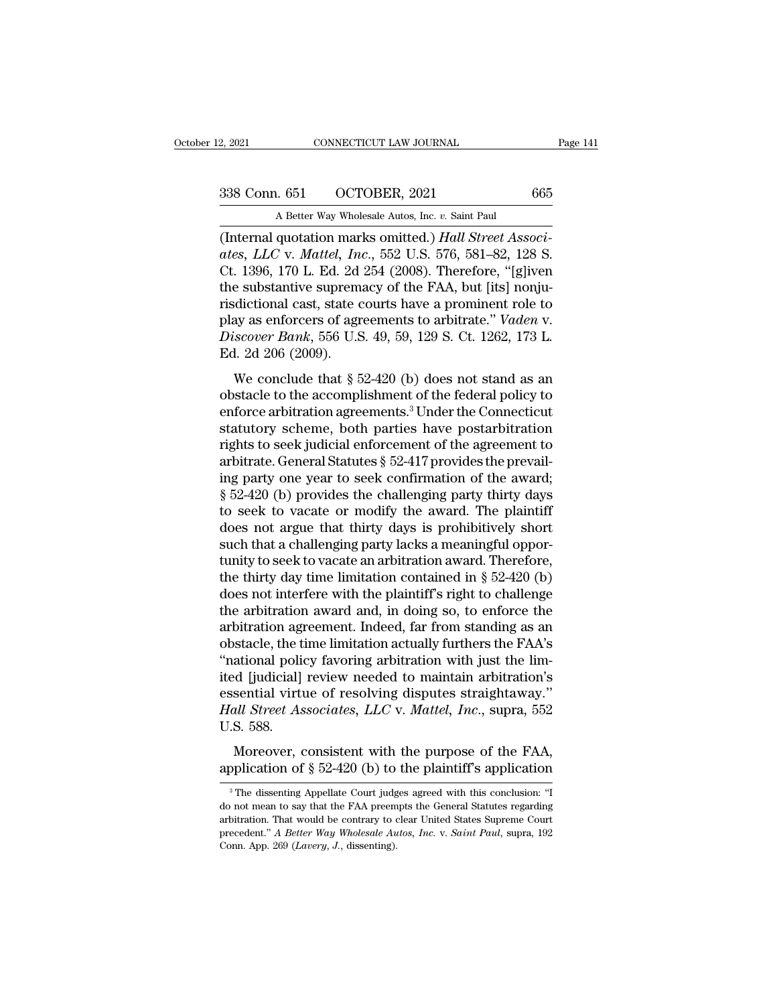2, 2021 CONNECTICUT LAW JOURNAL<br>
338 Conn. 651 OCTOBER, 2021 665<br>
A Better Way Wholesale Autos, Inc. *v.* Saint Paul<br>
(Internal quotation marks omitted.) *Hall Street Associ*-<sup>2, 2021</sup> CONNECTICUT LAW JOURNAL<br>
338 Conn. 651 OCTOBER, 2021 665<br>
<sup>A</sup> Better Way Wholesale Autos, Inc. *v*. Saint Paul<br>
(Internal quotation marks omitted.) *Hall Street Associates, LLC* v. *Mattel, Inc.*, 552 U.S. 576, 5 *ates, LLC* v. *Mattel, Inc*., 552 U.S. 576, 581–82, 128 S. 338 Conn. 651 OCTOBER, 2021 665<br>A Better Way Wholesale Autos, Inc. v. Saint Paul<br>(Internal quotation marks omitted.) *Hall Street Associates, LLC* v. *Mattel, Inc.*, 552 U.S. 576, 581–82, 128 S.<br>Ct. 1396, 170 L. Ed. 2d 25 338 Conn. 651 OCTOBER, 2021 665<br>
A Better Way Wholesale Autos, Inc. v. Saint Paul<br>
(Internal quotation marks omitted.) *Hall Street Associates*, *LLC* v. *Mattel*, *Inc.*, 552 U.S. 576, 581–82, 128 S.<br>
Ct. 1396, 170 L. Ed. A Better Way Wholesale Autos, Inc. v. Saint Paul<br>
(Internal quotation marks omitted.) *Hall Street Associates, LLC* v. *Mattel, Inc.*, 552 U.S. 576, 581–82, 128 S.<br>
Ct. 1396, 170 L. Ed. 2d 254 (2008). Therefore, "[g]iven<br> A Better way Wholesale Autos, Inc. v. Saint Paul<br>
(Internal quotation marks omitted.) *Hall Street Associates, LLC* v. *Mattel, Inc.*, 552 U.S. 576, 581–82, 128 S.<br>
Ct. 1396, 170 L. Ed. 2d 254 (2008). Therefore, "[g]iven<br> (Internal quotation marks omitted.) *Hall Street Associates, LLC* v. *Mattel, Inc.*, 552 U.S. 576, 581–82, 128 S. Ct. 1396, 170 L. Ed. 2d 254 (2008). Therefore, "[g]iven the substantive supremacy of the FAA, but [its] nonj ates, *LLC* v. *Mattel*, *In*<br>Ct. 1396, 170 L. Ed. 2d<br>the substantive suprem<br>risdictional cast, state c<br>play as enforcers of agr<br>*Discover Bank*, 556 U.S<br>Ed. 2d 206 (2009).<br>We conclude that § 5 E substantive supremacy of the FAA, but [its] nonju-<br>dictional cast, state courts have a prominent role to<br>ay as enforcers of agreements to arbitrate." *Vaden v.*<br>scover Bank, 556 U.S. 49, 59, 129 S. Ct. 1262, 173 L.<br>1. 2 risdictional cast, state courts have a prominent role to<br>play as enforcers of agreements to arbitrate." *Vaden v.*<br>*Discover Bank*, 556 U.S. 49, 59, 129 S. Ct. 1262, 173 L.<br>Ed. 2d 206 (2009).<br>We conclude that § 52-420 (b)

risticuonal cast, state coales have a pronuncial role to<br>play as enforcers of agreements to arbitrate." Vaden v.<br>Discover Bank, 556 U.S. 49, 59, 129 S. Ct. 1262, 173 L.<br>Ed. 2d 206 (2009).<br>We conclude that § 52-420 (b) does play as choreers of agreements to arbitrate. Vater v.<br>
Discover Bank, 556 U.S. 49, 59, 129 S. Ct. 1262, 173 L.<br>
Ed. 2d 206 (2009).<br>
We conclude that § 52-420 (b) does not stand as an<br>
obstacle to the accomplishment of the Ed. 2d 206 (2009).<br>
We conclude that  $\S$  52-420 (b) does not stand as an<br>
obstacle to the accomplishment of the federal policy to<br>
enforce arbitration agreements.<sup>3</sup> Under the Connecticut<br>
statutory scheme, both parties h Eq. 24 266 (2666).<br>We conclude that § 52-420 (b) does not stand as an obstacle to the accomplishment of the federal policy to enforce arbitration agreements.<sup>3</sup> Under the Connecticut statutory scheme, both parties have po We conclude that § 52-420 (b) does not stand as an obstacle to the accomplishment of the federal policy to enforce arbitration agreements.<sup>3</sup> Under the Connecticut statutory scheme, both parties have postarbitration right obstacle to the accomplishment of the federal policy to<br>enforce arbitration agreements.<sup>3</sup> Under the Connecticut<br>statutory scheme, both parties have postarbitration<br>rights to seek judicial enforcement of the agreement to<br>a enforce arbitration agreements.<sup>3</sup> Under the Connecticut<br>statutory scheme, both parties have postarbitration<br>rights to seek judicial enforcement of the agreement to<br>arbitrate. General Statutes § 52-417 provides the prevail statutory scheme, both parties have postarbitration<br>rights to seek judicial enforcement of the agreement to<br>arbitrate. General Statutes § 52-417 provides the prevail-<br>ing party one year to seek confirmation of the award;<br>§ rights to seek judicial enforcement of the agreement to<br>arbitrate. General Statutes § 52-417 provides the prevail-<br>ing party one year to seek confirmation of the award;<br>§ 52-420 (b) provides the challenging party thirty d arbitrate. General Statutes § 52-417 provides the prevailing party one year to seek confirmation of the award;<br>§ 52-420 (b) provides the challenging party thirty days<br>to seek to vacate or modify the award. The plaintiff<br>d ing party one year to seek confirmation of the award;<br> $\S$  52-420 (b) provides the challenging party thirty days<br>to seek to vacate or modify the award. The plaintiff<br>does not argue that thirty days is prohibitively short<br>s  $\S$  52-420 (b) provides the challenging party thirty days<br>to seek to vacate or modify the award. The plaintiff<br>does not argue that thirty days is prohibitively short<br>such that a challenging party lacks a meaningful opporto seek to vacate or modify the award. The plaintiff<br>does not argue that thirty days is prohibitively short<br>such that a challenging party lacks a meaningful oppor-<br>tunity to seek to vacate an arbitration award. Therefore, does not argue that thirty days is prohibitively short<br>such that a challenging party lacks a meaningful oppor-<br>tunity to seek to vacate an arbitration award. Therefore,<br>the thirty day time limitation contained in § 52-420 such that a challenging party lacks a meaningful opportunity to seek to vacate an arbitration award. Therefore, the thirty day time limitation contained in § 52-420 (b) does not interfere with the plaintiff's right to chal tunity to seek to vacate an arbitration award. Therefore,<br>the thirty day time limitation contained in § 52-420 (b)<br>does not interfere with the plaintiff's right to challenge<br>the arbitration award and, in doing so, to enfor the thirty day time limitation contained in § 52-420 (b) does not interfere with the plaintiff's right to challenge the arbitration award and, in doing so, to enforce the arbitration agreement. Indeed, far from standing a does not interfere with the plaintiff's right to challenge<br>the arbitration award and, in doing so, to enforce the<br>arbitration agreement. Indeed, far from standing as an<br>obstacle, the time limitation actually furthers the F the arbitration award and, in doing so, to enforce the arbitration agreement. Indeed, far from standing as an obstacle, the time limitation actually furthers the FAA's "national policy favoring arbitration with just the li arbitration age<br>obstacle, the t<br>"national political]<br>ited [judicial]<br>essential virtu<br>Hall Street As<br>U.S. 588.<br>Moreover, o Static, the time inhibited actually rations are FIRES<br>ational policy favoring arbitration with just the lim-<br>d [judicial] review needed to maintain arbitration's<br>sential virtue of resolving disputes straightaway."<br>*Ill Str* Fractional policy favoring distribution with just the finite ited [judicial] review needed to maintain arbitration's essential virtue of resolving disputes straightaway."<br>Hall Street Associates, LLC v. Mattel, Inc., supra

3 S. 588.<br>
Moreover, consistent with the purpose of the FAA,<br>
oplication of  $\S$  52-420 (b) to the plaintiff's application<br>
<sup>3</sup>The dissenting Appellate Court judges agreed with this conclusion: "I<br>
not mean to say that the

Moreover, consistent with the purpose of the FAA,<br>application of  $\S 52-420$  (b) to the plaintiff's application<br><sup>3</sup>The dissenting Appellate Court judges agreed with this conclusion: "I<br>do not mean to say that the FAA preem Moreover, consistent with the purpose of the FAA,<br>application of § 52-420 (b) to the plaintiff's application<br><sup>3</sup>The dissenting Appellate Court judges agreed with this conclusion: "I<br>do not mean to say that the FAA preempt application of § 52-420 (b) to the plaintiff's application<br><sup>3</sup> The dissenting Appellate Court judges agreed with this conclusion: "I<br>do not mean to say that the FAA preempts the General Statutes regarding<br>arbitration. That <sup>3</sup> The dissenting Appellate Court judges agreed with this conclusion: "I do not mean to say that the FAA preempts the General Statutes regarding arbitration. That would be contrary to clear United States Supreme Court pre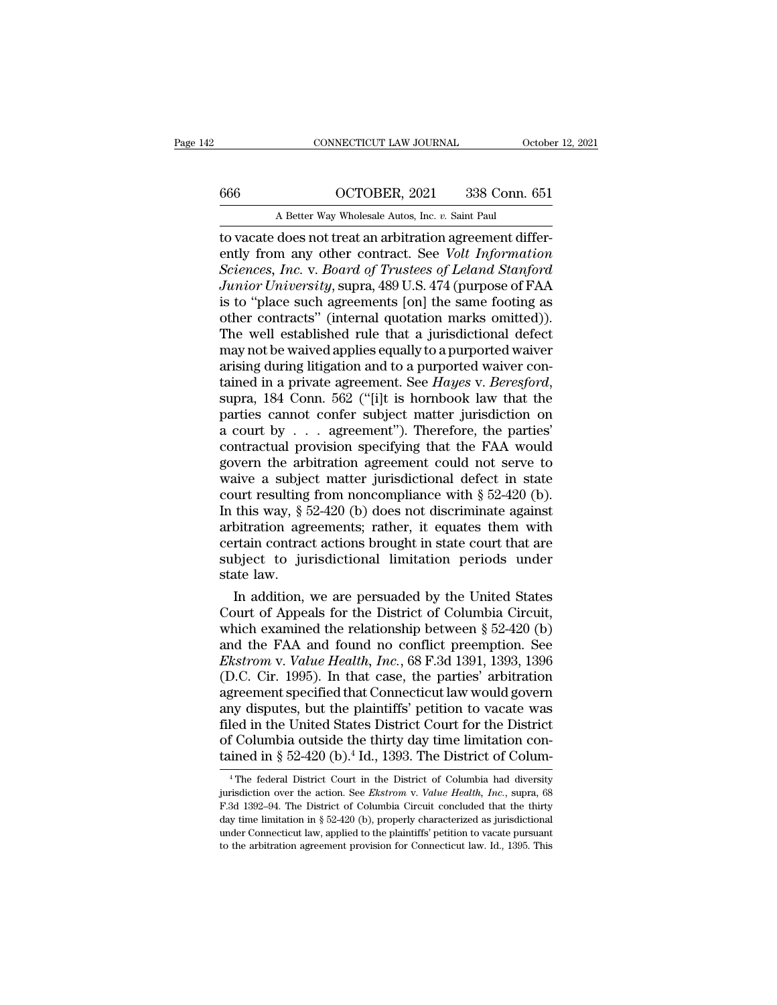# CONNECTICUT LAW JOURNAL October 12, 2021<br>666 OCTOBER, 2021 338 Conn. 651<br>A Better Way Wholesale Autos, Inc. *v*. Saint Paul

CONNECTICUT LAW JOURNAL October 12, 2021<br>666 OCTOBER, 2021 338 Conn. 651<br>A Better Way Wholesale Autos, Inc. *v.* Saint Paul<br>to vacate does not treat an arbitration agreement differto vacate does not treat an arbitration agreement differently from any other contract. See *Volt Information*<br>Sciences, Inc. v. Saint Paul<br>Sciences, Inc. v. Board of Trustees of Leland Stanford<br>Lunior University super 489 U.S. 474 (purpose of EA A *Sciences Compace Sciences, A Better Way Wholesale Autos, Inc. v. Saint Paul*<br> *A Better Way Wholesale Autos, Inc. v. Saint Paul*<br> *Sciences, Inc. v. Board of Trustees of Leland Stanford Junior University, supra, 489 Junior University*, Supramental Connector of The Same Theorem is a Better Way Wholesale Autos, Inc. v. Saint Paul<br> *Junior University*, supra, 489 U.S. 474 (purpose of FAA<br>
is to "place such agreements [on] the same footi A Better Way Wholesale Autos, Inc. v. Saint Paul<br>to vacate does not treat an arbitration agreement differ-<br>ently from any other contract. See *Volt Information*<br>Sciences, Inc. v. Board of Trustees of Leland Stanford<br>Junior A Better Way Wholesale Autos, Inc. v. Saint Paul<br>to vacate does not treat an arbitration agreement differ-<br>ently from any other contract. See *Volt Information*<br>Sciences, Inc. v. Board of Trustees of Leland Stanford<br>Junio to vacate does not treat an arbitration agreement differently from any other contract. See *Volt Information*<br>Sciences, Inc. v. Board of Trustees of Leland Stanford<br>Junior University, supra, 489 U.S. 474 (purpose of FAA<br>is ently from any other contract. See *Volt Information*<br>Sciences, *Inc.* v. Board of Trustees of Leland Stanford<br>Junior University, supra, 489 U.S. 474 (purpose of FAA<br>is to "place such agreements [on] the same footing as<br>ot Sciences, Inc. v. Board of Trustees of Leland Stanford<br>Junior University, supra, 489 U.S. 474 (purpose of FAA<br>is to "place such agreements [on] the same footing as<br>other contracts" (internal quotation marks omitted)).<br>The *Junior University*, supra, 489 U.S. 474 (purpose of FAA<br>is to "place such agreements [on] the same footing as<br>other contracts" (internal quotation marks omitted)).<br>The well established rule that a jurisdictional defect<br>ma other contracts" (internal quotation marks omitted)).<br>The well established rule that a jurisdictional defect<br>may not be waived applies equally to a purported waiver<br>arising during litigation and to a purported waiver con-The well established rule that a jurisdictional defect<br>may not be waived applies equally to a purported waiver<br>arising during litigation and to a purported waiver con-<br>tained in a private agreement. See *Hayes* v. *Beresf* may not be waived applies equally to a purported waiver<br>arising during litigation and to a purported waiver con-<br>tained in a private agreement. See *Hayes* v. *Beresford*,<br>supra, 184 Conn. 562 ("[i]t is hornbook law that arising during litigation and to a purported waiver contained in a private agreement. See *Hayes* v. *Beresford*, supra, 184 Conn. 562 ("[i]t is hornbook law that the parties cannot confer subject matter jurisdiction on a tained in a private agreement. See *Hayes v. Beresford*,<br>supra, 184 Conn. 562 ("[i]t is hornbook law that the<br>parties cannot confer subject matter jurisdiction on<br>a court by . . . agreement"). Therefore, the parties'<br>cont supra, 184 Conn. 562 ("[i]t is hornbook law that the<br>parties cannot confer subject matter jurisdiction on<br>a court by . . . agreement"). Therefore, the parties'<br>contractual provision specifying that the FAA would<br>govern th parties cannot confer subject matter jurisdiction on<br>a court by . . . agreement"). Therefore, the parties'<br>contractual provision specifying that the FAA would<br>govern the arbitration agreement could not serve to<br>waive a su a court by . . . agreement"). Therefore, the parties'<br>contractual provision specifying that the FAA would<br>govern the arbitration agreement could not serve to<br>waive a subject matter jurisdictional defect in state<br>court res contractual provision specifying that the FAA would<br>govern the arbitration agreement could not serve to<br>waive a subject matter jurisdictional defect in state<br>court resulting from noncompliance with  $\S 52-420$  (b).<br>In this govern the arbitration agreement could not serve to<br>waive a subject matter jurisdictional defect in state<br>court resulting from noncompliance with  $\S 52-420$  (b).<br>In this way,  $\S 52-420$  (b) does not discriminate against<br>a waive a subjectour<br>state law. September 2014<br>arbitration agricartain contractor<br>subject to just state law. In addition, urt resulting from noncompliance with  $\S$  52-420 (b).<br>this way,  $\S$  52-420 (b) does not discriminate against<br>bitration agreements; rather, it equates them with<br>rtain contract actions brought in state court that are<br>bject In this way,  $\S$  52-420 (b) does not discriminate against<br>arbitration agreements; rather, it equates them with<br>certain contract actions brought in state court that are<br>subject to jurisdictional limitation periods under<br>st

arbitration agreements; rather, it equates them with<br>certain contract actions brought in state court that are<br>subject to jurisdictional limitation periods under<br>state law.<br>In addition, we are persuaded by the United State certain contract actions brought in state court that are<br>subject to jurisdictional limitation periods under<br>state law.<br>In addition, we are persuaded by the United States<br>Court of Appeals for the District of Columbia Circu subject to jurisdictional limitation periods under<br>state law.<br>In addition, we are persuaded by the United States<br>Court of Appeals for the District of Columbia Circuit,<br>which examined the relationship between § 52-420 (b)<br>a state law.<br>
In addition, we are persuaded by the United States<br>
Court of Appeals for the District of Columbia Circuit,<br>
which examined the relationship between § 52-420 (b)<br>
and the FAA and found no conflict preemption. Se In addition, we are persuaded by the United States<br>Court of Appeals for the District of Columbia Circuit,<br>which examined the relationship between  $\S 52-420$  (b)<br>and the FAA and found no conflict preemption. See<br>*Ekstrom* Court of Appeals for the District of Columbia Circuit,<br>which examined the relationship between  $\S$  52-420 (b)<br>and the FAA and found no conflict preemption. See<br>*Ekstrom* v. *Value Health*, *Inc.*, 68 F.3d 1391, 1393, 1396 which examined the relationship between § 52-420 (b)<br>and the FAA and found no conflict preemption. See<br>*Ekstrom* v. *Value Health*, *Inc.*, 68 F.3d 1391, 1393, 1396<br>(D.C. Cir. 1995). In that case, the parties' arbitration and the FAA and found no conflict preemption. See<br>*Ekstrom* v. *Value Health*, *Inc.*, 68 F.3d 1391, 1393, 1396<br>(D.C. Cir. 1995). In that case, the parties' arbitration<br>agreement specified that Connecticut law would gover *Ekstrom v. Value Health, Inc.*, 68 F.3d 1391, 1393, 1396 (D.C. Cir. 1995). In that case, the parties' arbitration agreement specified that Connecticut law would govern any disputes, but the plaintiffs' petition to vacate ny disputes, but the plaintiffs' petition to vacate was<br>led in the United States District Court for the District<br>f Columbia outside the thirty day time limitation con-<br>ined in § 52-420 (b).<sup>4</sup> Id., 1393. The District of C filed in the United States District Court for the District<br>of Columbia outside the thirty day time limitation con-<br>tained in § 52-420 (b).<sup>4</sup> Id., 1393. The District of Colum-<br><sup>4</sup> The federal District Court in the District

of Columbia outside the thirty day time limitation con-<br>tained in § 52-420 (b).<sup>4</sup> Id., 1393. The District of Colum-<br><sup>4</sup>The federal District Court in the District of Columbia had diversity<br>jurisdiction over the action. Se tained in § 52-420 (b).<sup>4</sup> Id., 1393. The District of Colum-<br><sup>4</sup> The federal District Court in the District of Columbia had diversity<br>jurisdiction over the action. See *Ekstrom* v. *Value Health*, *Inc.*, supra, 68<br>F.3d 1 Lamed III § 52-420 (D). Id., 1595. The District of Columbia<br>
<sup>4</sup> The federal District Court in the District of Columbia had diversity<br>
jurisdiction over the action. See *Ekstrom* v. *Value Health*, *Inc.*, supra, 68<br>
F.3d <sup>4</sup> The federal District Court in the District of Columbia had diversity jurisdiction over the action. See *Ekstrom v. Value Health, Inc.*, supra, 68 F.3d 1392–94. The District of Columbia Circuit concluded that the thirt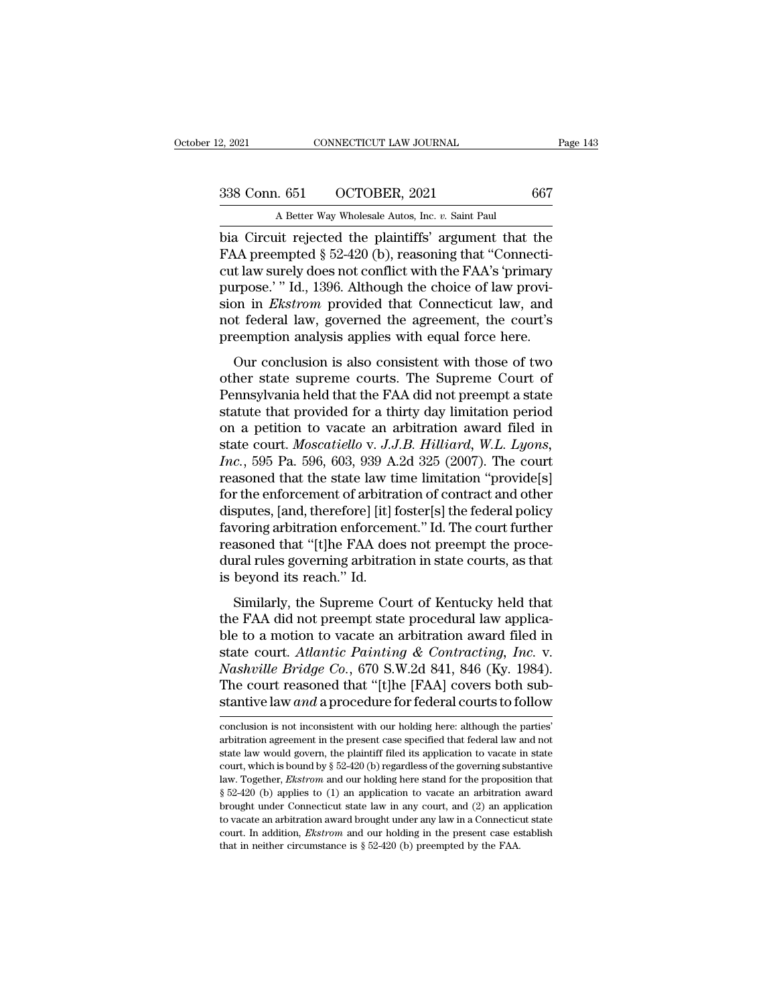2, 2021 CONNECTICUT LAW JOURNAL<br>
338 Conn. 651 OCTOBER, 2021 667<br>
A Better Way Wholesale Autos, Inc. *v.* Saint Paul<br>
bia Circuit rejected the plaintiffs' argument that the bez 2, 2021 CONNECTICUT LAW JOURNAL Page 143<br>
338 Conn. 651 OCTOBER, 2021 667<br>
A Better Way Wholesale Autos, Inc. v. Saint Paul<br>
bia Circuit rejected the plaintiffs' argument that the<br>
FAA preempted  $\S 52-420$  (b), reason FAA preempted § 52-420 (b), reasoning that the FAA preempted § 52-420 (b), reasoning that "Connecticut law surely does not conflict with the FAA's 'primary nurnose'." Id. 1396. Although the choice of law provi 338 Conn. 651 COCTOBER, 2021 667<br>A Better Way Wholesale Autos, Inc. v. Saint Paul<br>bia Circuit rejected the plaintiffs' argument that the<br>FAA preempted § 52-420 (b), reasoning that "Connecti-<br>cut law surely does not confli 338 Conn. 651 OCTOBER, 2021 667<br>
A Better Way Wholesale Autos, Inc. v. Saint Paul<br>
bia Circuit rejected the plaintiffs' argument that the<br>
FAA preempted § 52-420 (b), reasoning that "Connecti-<br>
cut law surely does not conf A Better Way Wholesale Autos, Inc. *v.* Saint Paul<br>bia Circuit rejected the plaintiffs' argument that the<br>FAA preempted § 52-420 (b), reasoning that "Connecti-<br>cut law surely does not conflict with the FAA's 'primary<br>purpo A Better way wholesale Autos, Inc.  $v$ . Saint Paul<br>bia Circuit rejected the plaintiffs' argument that the<br>FAA preempted  $\S 52-420$  (b), reasoning that "Connecti-<br>cut law surely does not conflict with the FAA's 'primary<br>pu bia Circuit rejected the plaintiffs' argument that the FAA preempted  $\S$  52-420 (b), reasoning that "Connecticut law surely does not conflict with the FAA's 'primary purpose.' " Id., 1396. Although the choice of law provi Let precinclude  $\frac{1}{2}$  and  $\frac{1}{2}$  and  $\frac{1}{2}$  connect that is also conflict with the FAA's 'primary urpose.' " Id., 1396. Although the choice of law provi-<br>on in *Ekstrom* provided that Connecticut law, and t fede Each aw surely does not conflict whit the FTATs primary<br>purpose.' "Id., 1396. Although the choice of law provi-<br>sion in *Ekstrom* provided that Connecticut law, and<br>not federal law, governed the agreement, the court's<br>pree

purpose. Tal., 1990. The<br>hold that Connecticut law, and<br>not federal law, governed the agreement, the court's<br>preemption analysis applies with equal force here.<br>Our conclusion is also consistent with those of two<br>other stat statute that provided that connected faw, and<br>not federal law, governed the agreement, the court's<br>preemption analysis applies with equal force here.<br>Our conclusion is also consistent with those of two<br>other state supreme preemption analysis applies with equal force here.<br>
Our conclusion is also consistent with those of two<br>
other state supreme courts. The Supreme Court of<br>
Pennsylvania held that the FAA did not preempt a state<br>
statute th Freemption analysis applies with equal force field.<br>
Our conclusion is also consistent with those of two<br>
other state supreme courts. The Supreme Court of<br>
Pennsylvania held that the FAA did not preempt a state<br>
statute th Our conclusion is also consistent with those of two<br>other state supreme courts. The Supreme Court of<br>Pennsylvania held that the FAA did not preempt a state<br>statute that provided for a thirty day limitation period<br>on a peti other state supreme courts. The Supreme Court of<br>Pennsylvania held that the FAA did not preempt a state<br>statute that provided for a thirty day limitation period<br>on a petition to vacate an arbitration award filed in<br>state c Pennsylvania held that the FAA did not preempt a state<br>statute that provided for a thirty day limitation period<br>on a petition to vacate an arbitration award filed in<br>state court. *Moscatiello* v. J.J.B. Hilliard, W.L. Lyon statute that provided for a thirty day limitation period<br>on a petition to vacate an arbitration award filed in<br>state court. *Moscatiello* v. J.J.B. Hilliard, W.L. Lyons,<br>Inc., 595 Pa. 596, 603, 939 A.2d 325 (2007). The cou on a petition to vacate an arbitration award filed in<br>state court. *Moscatiello* v. *J.J.B. Hilliard*, *W.L. Lyons,*<br>*Inc.*, 595 Pa. 596, 603, 939 A.2d 325 (2007). The court<br>reasoned that the state law time limitation "pro state court. *Moscatiello* v. *J.J.B. Hilliard*, *W.L. Lyons,*<br>*Inc.*, 595 Pa. 596, 603, 939 A.2d 325 (2007). The court<br>reasoned that the state law time limitation "provide[s]<br>for the enforcement of arbitration of contract Inc., 595 Pa. 596, 603, 939 A.2d 325 (2007). The court<br>reasoned that the state law time limitation "provide[s]<br>for the enforcement of arbitration of contract and other<br>disputes, [and, therefore] [it] foster[s] the federal reasoned that the state law tifor the enforcement of arbitra<br>disputes, [and, therefore] [it] f<br>favoring arbitration enforcem<br>reasoned that "[t]he FAA doe<br>dural rules governing arbitrati<br>is beyond its reach." Id.<br>Similarly, sputes, [and, therefore] [it] foster[s] the federal policy<br>sputes, [and, therefore] [it] foster[s] the federal policy<br>voring arbitration enforcement." Id. The court further<br>assoned that "[t]he FAA does not preempt the proc the FAA did not preempt." Id. The court further<br>reasoned that "[t]he FAA does not preempt the proce-<br>dural rules governing arbitration in state courts, as that<br>is beyond its reach." Id.<br>Similarly, the Supreme Court of Ken

reasoned that "[t]he FAA does not preempt the procedural rules governing arbitration in state courts, as that<br>is beyond its reach." Id.<br>Similarly, the Supreme Court of Kentucky held that<br>the FAA did not preempt state proc France court and Teple 17RT does not preempt are procedural rules governing arbitration in state courts, as that is beyond its reach." Id.<br>
Similarly, the Supreme Court of Kentucky held that<br>
the FAA did not preempt state *Nashville Bridge Co.*, 670 S.W.2d 841, 846 (Ky. 1984).<br> *Nashville Bridge Co.*, 670 S.W.2d 841, 846 (Ky. 1984).<br>
The court reasoned that "[t]he [FAA] covers both substantive law and a proceedural law application state cou Similarly, the Supreme Court of Kentucky held that<br>the FAA did not preempt state procedural law applica-<br>ble to a motion to vacate an arbitration award filed in<br>state court. Atlantic Painting & Contracting, Inc. v.<br>Nashvi Similarly, the Supreme Court of Kentucky held that<br>the FAA did not preempt state procedural law applica-<br>ble to a motion to vacate an arbitration award filed in<br>state court. Atlantic Painting & Contracting, Inc. v.<br>Nashvil state court. Atlantic Painting & Contracting, Inc. v.<br>Nashville Bridge Co., 670 S.W.2d 841, 846 (Ky. 1984).<br>The court reasoned that "[t]he [FAA] covers both sub-<br>stantive law and a procedure for federal courts to follow<br>c Nashville Bridge Co., 670 S.W.2d 841, 846 (Ky. 1984).<br>The court reasoned that "[t]he [FAA] covers both substantive law and a procedure for federal courts to follow<br>conclusion is not inconsistent with our holding here: alth

The court reasoned that "[t]he [FAA] covers both substantive law and a procedure for federal courts to follow<br>conclusion is not inconsistent with our holding here: although the parties'<br>arbitration agreement in the presen stantive law *and* a procedure for federal courts to follow<br>conclusion is not inconsistent with our holding here: although the parties'<br>arbitration agreement in the present case specified that federal law and not<br>state la conclusion is not inconsistent with our holding here: although the parties' arbitration agreement in the present case specified that federal law and not state law would govern, the plaintiff filed its application to vacat conclusion is not inconsistent with our holding here: although the parties'<br>arbitration agreement in the present case specified that federal law and not<br>state law would govern, the plaintiff filed its application to vacat arbitration agreement in the present case specified that federal law and not state law would govern, the plaintiff filed its application to vacate in state court, which is bound by § 52-420 (b) regardless of the governing state law would govern, the plaintiff filed its application to vacate in state court, which is bound by § 52-420 (b) regardless of the governing substantive law. Together, *Ekstrom* and our holding here stand for the prop court, which is bound by § 52-420 (b) regardless of the governing substantive law. Together, *Ekstrom* and our holding here stand for the proposition that § 52-420 (b) applies to (1) an application to vacate an arbitratio law. Together, *Ekstrom* and our holding here stand for the proposition that  $\S$  52-420 (b) applies to (1) an application to vacate an arbitration award brought under Connecticut state law in any court, and (2) an applica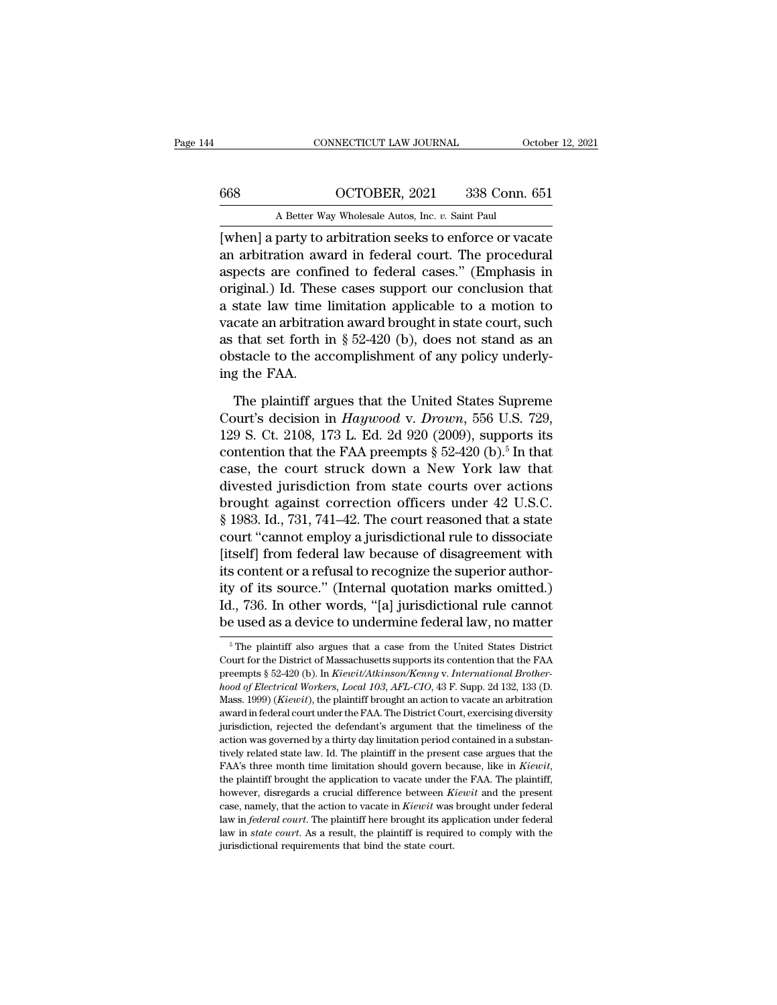### CONNECTICUT LAW JOURNAL October 12, 2021<br>668 OCTOBER, 2021 338 Conn. 651<br>A Better Way Wholesale Autos, Inc. *v*. Saint Paul CONNECTICUT LAW JOURNAL October 12, 2021<br>668 OCTOBER, 2021 338 Conn. 651<br>A Better Way Wholesale Autos, Inc. *v.* Saint Paul<br>when] a party to arbitration seeks to enforce or vacate

CONNECTICUT LAW JOURNAL October 12, 2021<br>
668 OCTOBER, 2021 338 Conn. 651<br>
A Better Way Wholesale Autos, Inc. *v.* Saint Paul<br>
[when] a party to arbitration seeks to enforce or vacate<br>
an arbitration award in federal court 668 OCTOBER, 2021 338 Conn. 651<br>
A Better Way Wholesale Autos, Inc. v. Saint Paul<br>
[when] a party to arbitration seeks to enforce or vacate<br>
an arbitration award in federal court. The procedural<br>
aspects are confined to fe 668  $OCTOBER, 2021$  338 Conn. 651<br>
A Better Way Wholesale Autos, Inc. v. Saint Paul<br>
[when] a party to arbitration seeks to enforce or vacate<br>
an arbitration award in federal court. The procedural<br>
aspects are confined to fe  $\frac{\text{OCTOBER}}{\text{A Better Way Whole sale Autos, Inc. } v. \text{ Saint Paul}}$ <br>
[when] a party to arbitration seeks to enforce or vacate<br>
an arbitration award in federal court. The procedural<br>
aspects are confined to federal cases." (Emphasis in<br>
original.) Id. The A Better Way Wholesale Autos, Inc.  $v$ . Saint Paul<br>
[when] a party to arbitration seeks to enforce or vacate<br>
an arbitration award in federal court. The procedural<br>
aspects are confined to federal cases." (Emphasis in<br>
or A Better way wholesale Atlots, the v. Stand Faul<br>[when] a party to arbitration seeks to enforce or vacate<br>an arbitration award in federal court. The procedural<br>aspects are confined to federal cases." (Emphasis in<br>original [when] a party to arbitration seeks to enforce or vacate<br>an arbitration award in federal court. The procedural<br>aspects are confined to federal cases." (Emphasis in<br>original.) Id. These cases support our conclusion that<br>a s an arbitration award in federal court. The procedural aspects are confined to federal cases." (Emphasis in original.) Id. These cases support our conclusion that a state law time limitation applicable to a motion to vacat aspects are confinity original.) Id. These a state law time<br>is a state law time<br>vacate an arbitration<br>as that set forth is<br>obstacle to the ac<br>ing the FAA.<br>The plaintiff ar; state law time limitation applicable to a motion to<br>cate an arbitration award brought in state court, such<br>that set forth in § 52-420 (b), does not stand as an<br>stacle to the accomplishment of any policy underly-<br>g the FAA vacate an arbitration award brought in state court, such<br>as that set forth in § 52-420 (b), does not stand as an<br>obstacle to the accomplishment of any policy underly-<br>ing the FAA.<br>The plaintiff argues that the United State

as that set forth in § 52-420 (b), does not stand as an obstacle to the accomplishment of any policy underly-<br>ing the FAA.<br>The plaintiff argues that the United States Supreme<br>Court's decision in *Haywood v. Drown*, 556 U. obstacle to the accomplishment of any policy underly-<br>ing the FAA.<br>The plaintiff argues that the United States Supreme<br>Court's decision in  $Haywood$  v.  $Drown$ , 556 U.S. 729,<br>129 S. Ct. 2108, 173 L. Ed. 2d 920 (2009), supports it ing the FAA.<br>
The plaintiff argues that the United States Supreme<br>
Court's decision in *Haywood v. Drown*, 556 U.S. 729,<br>
129 S. Ct. 2108, 173 L. Ed. 2d 920 (2009), supports its<br>
contention that the FAA preempts  $\S 52-420$ The plaintiff argues that the United States Supreme<br>Court's decision in *Haywood v. Drown*, 556 U.S. 729,<br>129 S. Ct. 2108, 173 L. Ed. 2d 920 (2009), supports its<br>contention that the FAA preempts  $\S 52-420$  (b).<sup>5</sup> In that The plaintiff argues that the United States Supreme<br>Court's decision in *Haywood v. Drown*, 556 U.S. 729,<br>129 S. Ct. 2108, 173 L. Ed. 2d 920 (2009), supports its<br>contention that the FAA preempts § 52-420 (b).<sup>5</sup> In that<br>c Court's decision in *Haywood* v. *Drown*, 556 U.S. 729,<br>129 S. Ct. 2108, 173 L. Ed. 2d 920 (2009), supports its<br>contention that the FAA preempts § 52-420 (b).<sup>5</sup> In that<br>case, the court struck down a New York law that<br>div 129 S. Ct. 2108, 173 L. Ed. 2d 920 (2009), supports its<br>contention that the FAA preempts  $\S$  52-420 (b).<sup>5</sup> In that<br>case, the court struck down a New York law that<br>divested jurisdiction from state courts over actions<br>brou contention that the FAA preempts  $\S$  52-420 (b).<sup>5</sup> In that<br>case, the court struck down a New York law that<br>divested jurisdiction from state courts over actions<br>brought against correction officers under 42 U.S.C.<br> $\S$  1983 case, the court struck down a New York law that<br>divested jurisdiction from state courts over actions<br>brought against correction officers under 42 U.S.C.<br> $\S$  1983. Id., 731, 741–42. The court reasoned that a state<br>court "c divested jurisdiction from state courts over actions<br>brought against correction officers under 42 U.S.C.<br>§ 1983. Id., 731, 741–42. The court reasoned that a state<br>court "cannot employ a jurisdictional rule to dissociate<br>[i brought against correction officers under 42 U.S.C.<br>§ 1983. Id., 731, 741–42. The court reasoned that a state<br>court "cannot employ a jurisdictional rule to dissociate<br>[itself] from federal law because of disagreement with<br> § 1983. Id., 731, 741–42. The court reasoned that a state<br>court "cannot employ a jurisdictional rule to dissociate<br>[itself] from federal law because of disagreement with<br>its content or a refusal to recognize the superior its content or a refusal to recognize the superior authority of its source." (Internal quotation marks omitted.) Id., 736. In other words, "[a] jurisdictional rule cannot be used as a device to undermine federal law, no m ity of its source." (Internal quotation marks omitted.)<br>Id., 736. In other words, "[a] jurisdictional rule cannot<br>be used as a device to undermine federal law, no matter<br><sup>5</sup>The plaintiff also argues that a case from the U

Id., 736. In other words, "[a] jurisdictional rule cannot<br>be used as a device to undermine federal law, no matter<br><sup>5</sup>The plaintiff also argues that a case from the United States District<br>Court for the District of Massachus **be used as a device to undermine federal law, no matter**<br><sup>5</sup> The plaintiff also argues that a case from the United States District<br>Court for the District of Massachusetts supports its contention that the FAA<br>preempts § 52 <sup>5</sup> The plaintiff also argues that a case from the United States District Court for the District of Massachusetts supports its contention that the FAA preempts § 52-420 (b). In *Kiewit/Atkinson/Kenny v. International Broth* <sup>5</sup> The plaintiff also argues that a case from the United States District Court for the District of Massachusetts supports its contention that the FAA preempts  $\S 52-420$  (b). In *Kiewit/Atkinson/Kenny v. International Br* Court for the District of Massachusetts supports its contention that the FAA preempts § 52-420 (b). In *Kiewit/Atkinson/Kenny v. International Brother-hood of Electrical Workers, Local 103, AFL-CIO, 43 F. Supp. 2d 132, 13* award in federal court under the FAA. The District Court, exercising diversity jurisdiction, rejected the defendant's argument that the timeliness of the action was governed by a thirty day limitation period contained in *hood of Electrical Workers, Local 103, AFL-CIO,* 43 F. Supp. 2d 132, 133 (D. Mass. 1999) (*Kiewit)*, the plaintiff brought an action to vacate an arbitration award in federal court under the FAA. The District Court, exerc Mass. 1999) (*Kiewit*), the plaintiff brought an action to vacate an arbitration award in federal court under the FAA. The District Court, exercising diversity jurisdiction, rejected the defendant's argument that the timel invisitation, rejected the defendant's argument that the timeliness of the action was governed by a thirty day limitation period contained in a substantively related state law. Id. The plaintiff in the present case argues action was governed by a thirty day limitation period contained in a substantively related state law. Id. The plaintiff in the present case argues that the FAA's three month time limitation should govern because, like in tively related state law. Id. The plaintiff in the present case argues that the FAA's three month time limitation should govern because, like in *Kiewit*, the plaintiff brought the application to vacate under the FAA. The FAA's three month time limitation should govern because, like in *Kiewit*, the plaintiff brought the application to vacate under the FAA. The plaintiff, however, disregards a crucial difference between *Kiewit* and the pre the plaintiff brought the application to vacate under the FAA. The plaintiff,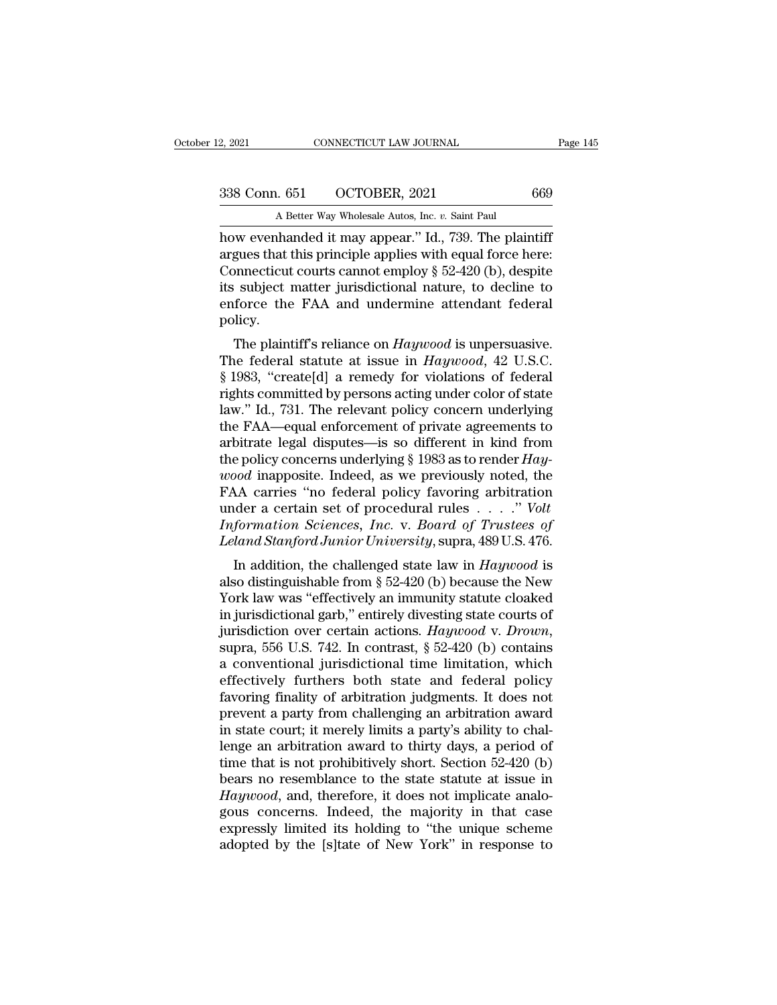2, 2021 CONNECTICUT LAW JOURNAL<br>
338 Conn. 651 OCTOBER, 2021 669<br>
A Better Way Wholesale Autos, Inc. *v.* Saint Paul<br>
how evenhanded it may appear.'' Id., 739. The plaintiff 2, 2021 CONNECTICUT LAW JOURNAL Page 14<br>
338 Conn. 651 OCTOBER, 2021 669<br>
A Better Way Wholesale Autos, Inc. *v*. Saint Paul<br>
how evenhanded it may appear.'' Id., 739. The plaintiff<br>
argues that this principle applies with 338 Conn. 651 OCTOBER, 2021 669<br>A Better Way Wholesale Autos, Inc. v. Saint Paul<br>how evenhanded it may appear." Id., 739. The plaintiff<br>argues that this principle applies with equal force here:<br>Connecticut courts cannot e 338 Conn. 651 OCTOBER, 2021 669<br>A Better Way Wholesale Autos, Inc. v. Saint Paul<br>how evenhanded it may appear." Id., 739. The plaintiff<br>argues that this principle applies with equal force here:<br>Connecticut courts cannot e 338 Conn. 651 OCTOBER, 2021 669<br>
A Better Way Wholesale Autos, Inc. v. Saint Paul<br>
how evenhanded it may appear." Id., 739. The plaintiff<br>
argues that this principle applies with equal force here:<br>
Connecticut courts cann A Better Way Wholesale Autos, Inc. v. Saint Paul<br>how evenhanded it may appear." Id., 739. The plaintiff<br>argues that this principle applies with equal force here:<br>Connecticut courts cannot employ  $\S 52-420$  (b), despite<br>it policy. We eventialled it hay appear. Tu., 759. The plaintiff<br>gues that this principle applies with equal force here:<br>onnecticut courts cannot employ § 52-420 (b), despite<br>is ubject matter jurisdictional nature, to decline to<br>forc argues that this principle applies what equal force here.<br>Connecticut courts cannot employ § 52-420 (b), despite<br>its subject matter jurisdictional nature, to decline to<br>enforce the FAA and undermine attendant federal<br>polic

Folliectical courts cannot employ  $\frac{1}{2}$  32-420 (b), despite<br>its subject matter jurisdictional nature, to decline to<br>enforce the FAA and undermine attendant federal<br>policy.<br>The plaintiff's reliance on *Haywood* is unpe rights subject matter jurisdictional nature, to decline to<br>enforce the FAA and undermine attendant federal<br>policy.<br>The plaintiff's reliance on *Haywood* is unpersuasive.<br>The federal statute at issue in *Haywood*, 42 U.S.C policy.<br>
The plaintiff's reliance on *Haywood* is unpersuasive.<br>
The federal statute at issue in *Haywood*, 42 U.S.C.<br>
§ 1983, "create[d] a remedy for violations of federal<br>
rights committed by persons acting under color o The plaintiff's reliance on *Haywood* is unpersuasive.<br>The federal statute at issue in *Haywood*, 42 U.S.C.<br>§ 1983, "create[d] a remedy for violations of federal<br>rights committed by persons acting under color of state<br>law The plaintiff's reliance on *Haywood* is unpersuasive.<br>The federal statute at issue in *Haywood*, 42 U.S.C.<br>§ 1983, "create[d] a remedy for violations of federal<br>rights committed by persons acting under color of state<br>law The federal statute at issue in *Haywood*, 42 U.S.C. § 1983, "create[d] a remedy for violations of federal rights committed by persons acting under color of state law." Id., 731. The relevant policy concern underlying the § 1983, "create[d] a remedy for violations of federal<br>rights committed by persons acting under color of state<br>law." Id., 731. The relevant policy concern underlying<br>the FAA—equal enforcement of private agreements to<br>arbitr rights committed by persons acting under color of state<br>law." Id., 731. The relevant policy concern underlying<br>the FAA—equal enforcement of private agreements to<br>arbitrate legal disputes—is so different in kind from<br>the p law." Id., 731. The relevant policy concern underlying<br>the FAA—equal enforcement of private agreements to<br>arbitrate legal disputes—is so different in kind from<br>the policy concerns underlying § 1983 as to render *Hay-*<br>*woo* the FAA—equal enforcement of private agreements to<br>arbitrate legal disputes—is so different in kind from<br>the policy concerns underlying § 1983 as to render *Hay-*<br>wood inapposite. Indeed, as we previously noted, the<br>FAA ca arbitrate legal disputes—is so different in kind from<br>the policy concerns underlying § 1983 as to render *Hay-*<br>*wood* inapposite. Indeed, as we previously noted, the<br>FAA carries "no federal policy favoring arbitration<br>und is a poincy concerns underlying s 1983 as to render *Hug-*<br>bood inapposite. Indeed, as we previously noted, the<br>AA carries "no federal policy favoring arbitration<br>der a certain set of procedural rules . . . . " *Volt*<br>form also distinguished: indeed, as we previously noted, the<br>FAA carries "no federal policy favoring arbitration<br>under a certain set of procedural rules . . . . ." Volt<br>Information Sciences, Inc. v. Board of Trustees of<br>Leland

FAR carries Tho Teuerar policy favoring arbitration<br>
under a certain set of procedural rules . . . . " Volt<br>
Information Sciences, Inc. v. Board of Trustees of<br>
Leland Stanford Junior University, supra, 489 U.S. 476.<br>
In Information Sciences, Inc. v. Board of Trustees of<br>Leland Stanford Junior University, supra, 489 U.S. 476.<br>In addition, the challenged state law in Haywood is<br>also distinguishable from § 52-420 (b) because the New<br>York la *Leland Stanford Junior University*, supra, 489 U.S. 476.<br>
In addition, the challenged state law in *Haywood* is<br>
also distinguishable from § 52-420 (b) because the New<br>
York law was "effectively an immunity statute cloake In addition, the challenged state law in  $Haywood$  is<br>also distinguishable from § 52-420 (b) because the New<br>York law was "effectively an immunity statute cloaked<br>in jurisdictional garb," entirely divesting state courts of<br>jur also distinguishable from § 52-420 (b) because the New<br>York law was "effectively an immunity statute cloaked<br>in jurisdictional garb," entirely divesting state courts of<br>jurisdiction over certain actions.  $Haywood$  v.  $Drown$ ,<br>sup York law was "effectively an immunity statute cloaked<br>in jurisdictional garb," entirely divesting state courts of<br>jurisdiction over certain actions.  $Haywood$  v.  $Drown$ ,<br>supra, 556 U.S. 742. In contrast, § 52-420 (b) contains<br>a in jurisdictional garb," entirely divesting state courts of<br>jurisdiction over certain actions.  $Haywood$  v.  $Drown$ ,<br>supra, 556 U.S. 742. In contrast, § 52-420 (b) contains<br>a conventional jurisdictional time limitation, which<br>eff jurisdiction over certain actions. *Haywood v. Drown*, supra, 556 U.S. 742. In contrast,  $\S$  52-420 (b) contains a conventional jurisdictional time limitation, which effectively furthers both state and federal policy favo supra, 556 U.S. 742. In contrast,  $\S$  52-420 (b) contains<br>a conventional jurisdictional time limitation, which<br>effectively furthers both state and federal policy<br>favoring finality of arbitration judgments. It does not<br>pre a conventional jurisdictional time limitation, which<br>effectively furthers both state and federal policy<br>favoring finality of arbitration judgments. It does not<br>prevent a party from challenging an arbitration award<br>in state effectively furthers both state and federal policy<br>favoring finality of arbitration judgments. It does not<br>prevent a party from challenging an arbitration award<br>in state court; it merely limits a party's ability to chal-<br>l favoring finality of arbitration judgments. It does not<br>prevent a party from challenging an arbitration award<br>in state court; it merely limits a party's ability to chal-<br>lenge an arbitration award to thirty days, a period prevent a party from challenging an arbitration award<br>in state court; it merely limits a party's ability to chal-<br>lenge an arbitration award to thirty days, a period of<br>time that is not prohibitively short. Section 52-420 in state court; it merely limits a party's ability to challenge an arbitration award to thirty days, a period of time that is not prohibitively short. Section 52-420 (b) bears no resemblance to the state statute at issue i lenge an arbitration award to thirty days, a period of time that is not prohibitively short. Section 52-420 (b) bears no resemblance to the state statute at issue in  $Haywood$ , and, therefore, it does not implicate analogous c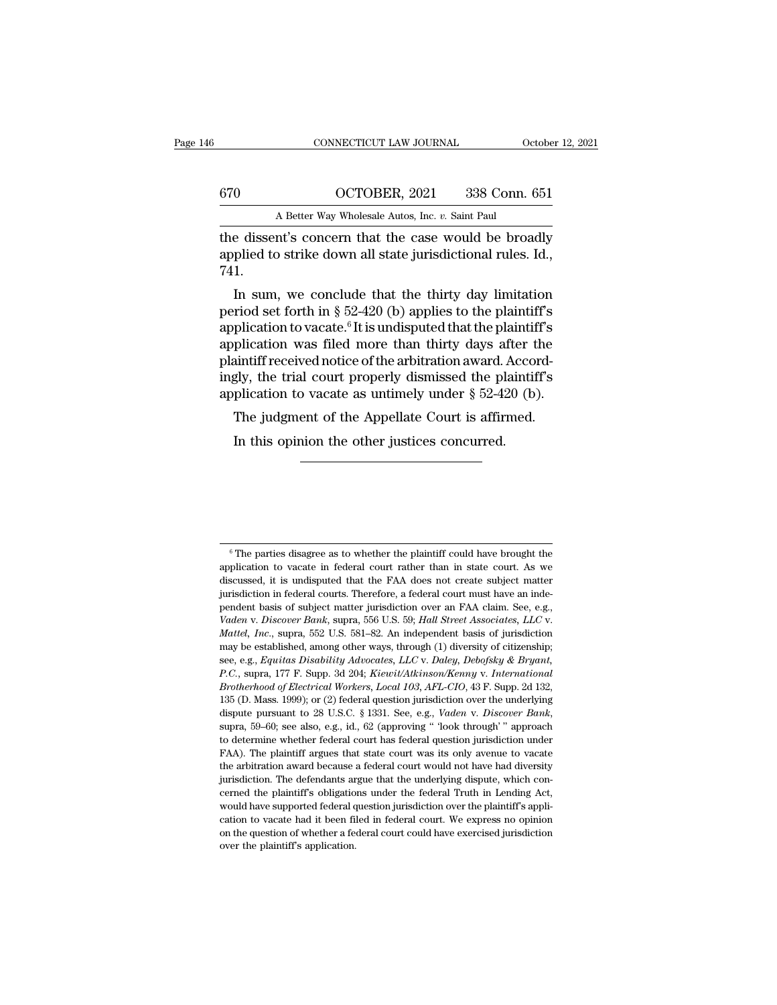|     | CONNECTICUT LAW JOURNAL                              | October 12, 2021 |
|-----|------------------------------------------------------|------------------|
| 670 | OCTOBER, 2021                                        | 338 Conn. 651    |
|     | A Better Way Wholesale Autos, Inc. v. Saint Paul     |                  |
|     | the dissent's concern that the case would be broadly |                  |

CONNECTICUT LAW JOURNAL October 12, 2021<br>
670 OCTOBER, 2021 338 Conn. 651<br>
A Better Way Wholesale Autos, Inc. *v*. Saint Paul<br>
the dissent's concern that the case would be broadly<br>
applied to strike down all state jurisdic applied to strike down all state jurisdictional rules. Id., 741.  $\frac{1}{100}$  OCTOBER, 2021 338 Conn. 651<br>
A Better Way Wholesale Autos, Inc. v. Saint Paul<br>
e dissent's concern that the case would be broadly<br>
plied to strike down all state jurisdictional rules. Id.,<br>
1.<br>
In sum, we conc

A Better Way Wholesale Autos, Inc.  $v$ . Saint Paul<br>the dissent's concern that the case would be broadly<br>applied to strike down all state jurisdictional rules. Id.,<br>741.<br>In sum, we conclude that the thirty day limitation<br>p the dissent's concern that the case would be broadly<br>applied to strike down all state jurisdictional rules. Id.,<br>741.<br>In sum, we conclude that the thirty day limitation<br>period set forth in § 52-420 (b) applies to the plain the ussent s concern that the case would be broady<br>applied to strike down all state jurisdictional rules. Id.,<br>741.<br>In sum, we conclude that the thirty day limitation<br>period set forth in § 52-420 (b) applies to the plainti applied to strike down an state jurisdictional rules. 1d.,<br>
T41.<br>
In sum, we conclude that the thirty day limitation<br>
period set forth in § 52-420 (b) applies to the plaintiff's<br>
application to vacate.<sup>6</sup> It is undisputed <sup>741.</sup> In sum, we conclude that the thirty day limitation period set forth in  $\S$  52-420 (b) applies to the plaintiff's application to vacate.<sup>6</sup> It is undisputed that the plaintiff's application was filed more than thirt In sum, we conclude that the thirty day limitation<br>period set forth in § 52-420 (b) applies to the plaintiff's<br>application to vacate.<sup>6</sup> It is undisputed that the plaintiff's<br>application was filed more than thirty days af Filiou set forth in  $\S$  52-420 (b) applies to the plaintiff's<br>plication to vacate.<sup>6</sup> It is undisputed that the plaintiff's<br>plication was filed more than thirty days after the<br>aintiff received notice of the arbitration aw plication was filed more than thirty days after the aintiff received notice of the arbitration award. Accordly, the trial court properly dismissed the plaintif plication to vacate as untimely under § 52-420 (b). The judgme

 $\frac{6}{6}$  The parties disagree as to whether the plaintiff could have brought the plication to vacate in federal court rather than in state court. As we  $\degree$  The parties disagree as to whether the plaintiff could have brought the application to vacate in federal court rather than in state court. As we discussed, it is undisputed that the FAA does not create subject matter  $\,^6$  The parties disagree as to whether the plaintiff could have brought the application to vacate in federal court rather than in state court. As we discussed, it is undisputed that the FAA does not create subject matt  $\degree$  The parties disagree as to whether the plaintiff could have brought the application to vacate in federal court rather than in state court. As we discussed, it is undisputed that the FAA does not create subject matter <sup>6</sup> The parties disagree as to whether the plaintiff could have brought the application to vacate in federal court rather than in state court. As we discussed, it is undisputed that the FAA does not create subject matter <sup>6</sup> The parties disagree as to whether the plaintiff could have brought the application to vacate in federal court rather than in state court. As we discussed, it is undisputed that the FAA does not create subject matter discussed, it is undisputed that the FAA does not create subject matter jurisdiction in federal courts. Therefore, a federal court must have an independent basis of subject matter jurisdiction over an FAA claim. See, e.g. invisition in federal courts. Therefore, a federal court must have an inde-<br>pendent basis of subject matter jurisdiction over an FAA claim. See, e.g.,<br>*Vaden v. Discover Bank*, supra, 556 U.S. 59; *Hall Street Associates, Pendent basis of subject matter jurisdiction over an FAA claim. See, e.g., Vaden v. Discover Bank, supra, 556 U.S. 59; Hall Street Associates, LLC v. Mattel, Inc., supra, 552 U.S. 581–82. An independent basis of jurisdi Primary Discover Bank*, supra, 556 U.S. 59; *Hall Street Associates, LLC v.*<br>*Mattel, Inc.*, supra, 552 U.S. 581–82. An independent basis of jurisdiction may be established, among other ways, through (1) diversity of citi Mattel, Inc., supra, 552 U.S. 581–82. An independent basis of jurisdiction may be established, among other ways, through (1) diversity of citizenship; see, e.g., Equitas Disability Advocates, LLC v. Daley, Debofsky & Bryan dispute pursuant of 28 U.S.C. § 1331. See, e.g., *Vadencer Banking*, see, e.g., *Equitas Disability Advocates, LLC v. Daley, Debofsky & Bryant, P.C.*, supra, 177 F. Supp. 3d 204; *Kiewit/Atkinson/Kenny v. International Bro* E.C., supra, 177 F. Supp. 3d 204; *Kiewit/Atkinson/Kenny v. International Brotherhood of Electrical Workers, Local 103, AFL-CIO,* 43 F. Supp. 2d 132, 135 (D. Mass. 1999); or (2) federal question jurisdiction over the und *Brotherhood of Electrical Workers, Local 103, AFL-CIO,* 43 F. Supp. 2d 132, 135 (D. Mass. 1999); or (2) federal question jurisdiction over the underlying dispute pursuant to 28 U.S.C. § 1331. See, e.g., *Vaden v. Discover* 135 (D. Mass. 1999); or (2) federal question jurisdiction over the underlying dispute pursuant to 28 U.S.C. § 1331. See, e.g., *Vaden v. Discover Bank*, supra, 59–60; see also, e.g., id., 62 (approving "look through" appr dispute pursuant to 28 U.S.C. § 1331. See, e.g., *Vaden v. Discover Bank*, supra, 59–60; see also, e.g., id., 62 (approving " look through' " approach to determine whether federal court has federal question jurisdiction u supra, 59–60; see also, e.g., id., 62 (approving " 'look through' " approach to determine whether federal court has federal question jurisdiction under FAA). The plaintiff argues that state court was its only avenue to va to determine whether federal court has federal question jurisdiction under FAA). The plaintiff argues that state court was its only avenue to vacate the arbitration award because a federal court would not have had diversit FAA). The plaintiff argues that state court was its only avenue to vacate the arbitration award because a federal court would not have had diversity jurisdiction. The defendants argue that the underlying dispute, which con Fraction award because a federal court would not have had diversity<br>jurisdiction. The defendants argue that the underlying dispute, which con-<br>cerned the plaintiff's obligations under the federal Truth in Lending Act,<br>woul jurisdiction. The defendants argue that the underlying dispute, which concerned the plaintiff's obligations under the federal Truth in Lending Act, would have supported federal question jurisdiction over the plaintiff's ap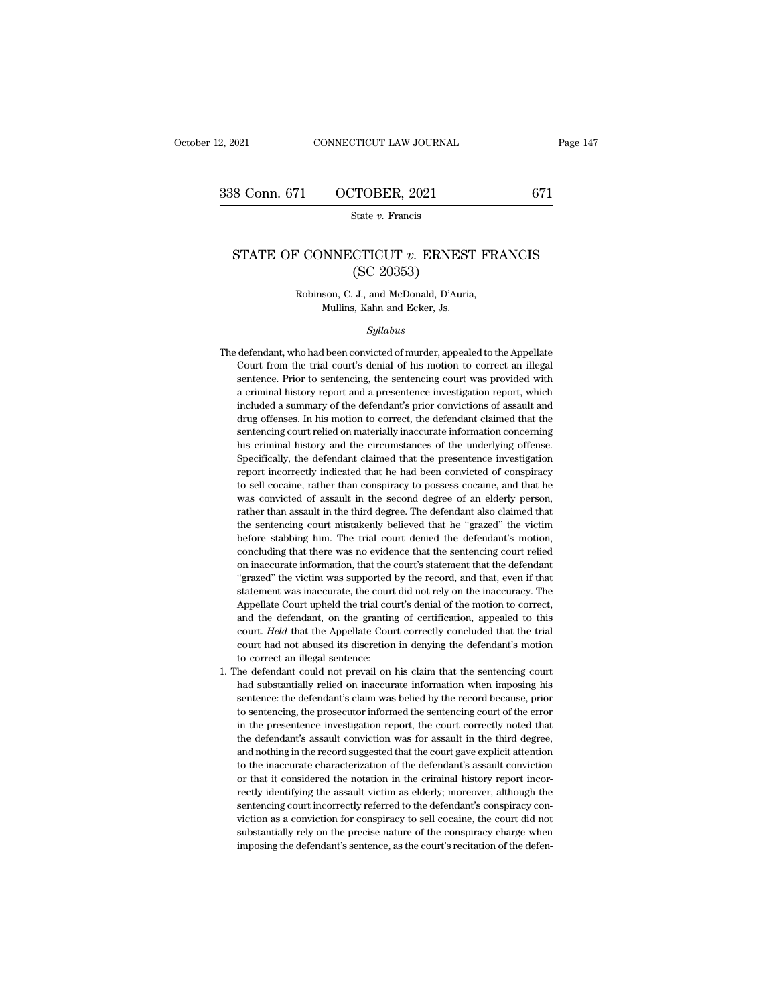State *v.* Francis

## STATE OF CONNECTICUT *v*. ERNEST FRANCIS<br>
STATE OF CONNECTICUT *v*. ERNEST FRANCIS<br>
(SC 20353) TOBER, 2021<br>State v. Francis<br>CTICUT v. ERNES<br>(SC 20353)<br>J., and McDonald, D'Auri EXECTICUT *v.* ERNEST FR<br>
(SC 20353)<br>
Robinson, C. J., and McDonald, D'Auria,<br>
Mullins, Kahn and Ecker, Js. **NNECTICUT**  $v$ . **ERNEST**<br>
(SC 20353)<br>
son, C. J., and McDonald, D'Auria<br>
Mullins, Kahn and Ecker, Js.<br>
Sullabus

## *Syllabus*

- Robinson, C. J., and McDonald, D'Auria,<br>Mullins, Kahn and Ecker, Js.<br>Syllabus<br>The defendant, who had been convicted of murder, appealed to the Appellate<br>Court from the trial court's denial of his motion to correct an illeg Robinson, C. J., and McDonald, D'Auria,<br>Mullins, Kahn and Ecker, Js.<br>Syllabus<br>defendant, who had been convicted of murder, appealed to the Appellate<br>Court from the trial court's denial of his motion to correct an illegal<br>s Mullins, Kahn and Ecker, Js.<br>
Syllabus<br>
defendant, who had been convicted of murder, appealed to the Appellate<br>
Court from the trial court's denial of his motion to correct an illegal<br>
sentence. Prior to sentencing, the se *Syllabus*<br>defendant, who had been convicted of murder, appealed to the Appellate<br>Court from the trial court's denial of his motion to correct an illegal<br>sentence. Prior to sentencing, the sentencing court was provided wit *Syltabus*<br>defendant, who had been convicted of murder, appealed to the Appellate<br>Court from the trial court's denial of his motion to correct an illegal<br>sentence. Prior to sentencing, the sentencing court was provided wit defendant, who had been convicted of murder, appealed to the Appellate<br>Court from the trial court's denial of his motion to correct an illegal<br>sentence. Prior to sentencing, the sentencing court was provided with<br>a crimina Court from the trial court's denial of his motion to correct an illegal<br>sentence. Prior to sentencing, the sentencing court was provided with<br>a criminal history report and a presentence investigation report, which<br>included Court from the trial court's denial of his motion to correct an illegal sentence. Prior to sentencing, the sentencing court was provided with a criminal history report and a presentence investigation report, which included a criminal history report and a presentence investigation report, which included a summary of the defendant's prior convictions of assault and drug offenses. In his motion to correct, the defendant claimed that the sentenc included a summary of the defendant's prior convictions of assault and drug offenses. In his motion to correct, the defendant claimed that the sentencing court relied on materially inaccurate information concerning his cri drug offenses. In his motion to correct, the defendant claimed that the sentencing court relied on materially inaccurate information concerning his criminal history and the circumstances of the underlying offense. Specific sentencing court relied on materially inaccurate information concerning<br>his criminal history and the circumstances of the underlying offense.<br>Specifically, the defendant claimed that the presentence investigation<br>report in by the simular history and the circumstances of the underlying offense.<br>Specifically, the defendant claimed that the presentence investigation<br>report incorrectly indicated that he had been convicted of conspiracy<br>to sell c Exercifically, the defendant claimed that the presentence investigation report incorrectly indicated that he had been convicted of conspiracy to sell cocaine, rather than conspiracy to possess cocaine, and that he was conv before stable that the had been convicted of conspiracy<br>report incorrectly indicated that he had been convicted of conspiracy<br>to sell cocaine, rather than conspiracy to possess cocaine, and that he<br>was convicted of assault report and there has convicted of assault in the second degree of an elderly person, and that he was convicted of assault in the second degree of an elderly person, rather than assault in the third degree. The defendant al was convicted of assault in the second degree of an elderly person, was convicted of assault in the second degree of an elderly person, rather than assault in the third degree. The defendant also claimed that the sentencin "The victim and serve the victim was supported by the victim the sentencing court mistakenly believed that he "grazed" the victim before stabbing him. The trial court denied the defendant's motion, concluding that there wa the sentencing court mistakenly believed that he "grazed" the victim<br>before stabbing him. The trial court denied the defendant's motion,<br>concluding that there was no evidence that the sentencing court relied<br>on inaccurate before stabbing him. The trial court denied the defendant's motion, concluding that there was no evidence that the sentencing court relied on inaccurate information, that the court's statement that the defendant "grazed" t concluding that there was no evidence that the sentencing court relied<br>on inaccurate information, that the court's statement that the defendant<br>"grazed" the victim was supported by the record, and that, even if that<br>statem on inaccurate information, that the court's statement that the defendant "grazed" the victim was supported by the record, and that, even if that statement was inaccurate, the court did not rely on the inaccuracy. The Appel "grazed" the victim was supported by the record, and that, even if that statement was inaccurate, the court did not rely on the inaccuracy. The Appellate Court upheld the trial court's denial of the motion to correct, and statement was inaccurate, the cour<br>Appellate Court upheld the trial courd<br>Appellate Court upheld the trial courd<br>and the defendant, on the grantin<br>court had not abused its discretior<br>to correct an illegal sentence:<br>the def Appellate Court upheld the trial court's denial of the motion to correct,<br>and the defendant, on the granting of certification, appealed to this<br>court. Held that the Appellate Court correctly concluded that the trial<br>court and the defendant, on the granting of certification, appealed to this court. Held that the Appellate Court correctly concluded that the trial court had not abused its discretion in denying the defendant's motion to correct
- court. Held that the Appellate Court correctly concluded that the trial court had not abused its discretion in denying the defendant's motion to correct an illegal sentence:<br>he defendant could not prevail on his claim that court had not abused its discretion in denying the defendant's motion<br>to correct an illegal sentence:<br>he defendant could not prevail on his claim that the sentencing court<br>had substantially relied on inaccurate information to correct an illegal sentence:<br>
he defendant could not prevail on his claim that the sentencing court<br>
had substantially relied on inaccurate information when imposing his<br>
sentence: the defendant's claim was belied by th he defendant could not prevail on his claim that the sentencing court<br>had substantially relied on inaccurate information when imposing his<br>sentence: the defendant's claim was belied by the record because, prior<br>to sentenci had substantially relied on inaccurate information when imposing his sentence: the defendant's claim was belied by the record because, prior to sentencing, the prosecutor informed the sentencing court of the error in the p sentence: the defendant's claim was belied by the record because, prior to sentencing, the prosecutor informed the sentencing court of the error in the presentence investigation report, the court correctly noted that the d sentence: the defendant's claim was belied by the record because, prior to sentencing, the prosecutor informed the sentencing court of the error in the presentence investigation report, the court correctly noted that the d in the presentence investigation report, the court correctly noted that the defendant's assault conviction was for assault in the third degree, and nothing in the record suggested that the court gave explicit attention to the defendant's assault conviction was for assault in the third degree, and nothing in the record suggested that the court gave explicit attention to the inaccurate characterization of the defendant's assault conviction or and nothing in the record suggested that the court gave explicit attention<br>to the inaccurate characterization of the defendant's assault conviction<br>or that it considered the notation in the criminal history report incor-<br>r to the inaccurate characterization of the defendant's assault conviction<br>or that it considered the notation in the criminal history report incor-<br>rectly identifying the assault victim as elderly; moreover, although the<br>sen or that it considered the notation in the criminal history report incorrectly identifying the assault victim as elderly; moreover, although the sentencing court incorrectly referred to the defendant's conspiracy conviction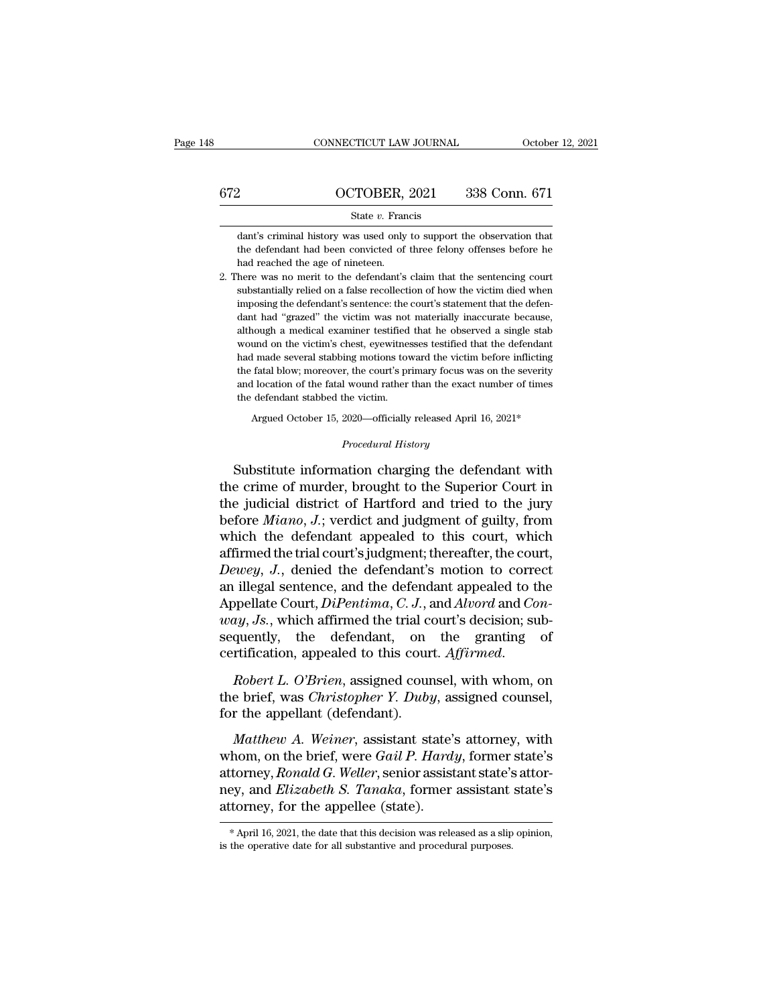|     | CONNECTICUT LAW JOURNAL                                                                                                                                                          | October 12, 2021 |
|-----|----------------------------------------------------------------------------------------------------------------------------------------------------------------------------------|------------------|
|     |                                                                                                                                                                                  |                  |
| 672 | OCTOBER, 2021                                                                                                                                                                    | 338 Conn. 671    |
|     | State $v$ . Francis                                                                                                                                                              |                  |
|     | dant's criminal history was used only to support the observation that<br>the defendant had been convicted of three felony offenses before he<br>had reached the age of nineteen. |                  |
|     | 2. There was no merit to the defendant's claim that the sentencing court                                                                                                         |                  |

2. There was no merit to the defendant's claim that the defendant had been convicted of three felony offenses before he had reached the age of nineteen.<br>
2. There was no merit to the defendant's claim that the sentencing

State  $v$ . Francis<br>
state  $v$ . Francis<br>
the defendant had been convicted of three felony offenses before he<br>
had reached the age of nineteen.<br>
here was no merit to the defendant's claim that the sentencing court<br>
substant dant's criminal history was used only to support the observation that<br>the defendant had been convicted of three felony offenses before he<br>had reached the age of nineteen.<br>here was no merit to the defendant's claim that the the defendant had been convicted of three felony offenses before he<br>had reached the age of nineteen.<br>2. There was no merit to the defendant's claim that the sentencing court<br>substantially relied on a false recollection of had reached the age of nineteen.<br>here was no merit to the defendant's claim that the sentencing court<br>substantially relied on a false recollection of how the victim died when<br>imposing the defendant's sentence: the court's here was no merit to the defendant's claim that the sentencing court substantially relied on a false recollection of how the victim died when imposing the defendant's sentence: the court's statement that the defendant had substantially relied on a false recollection of how the victim died when<br>imposing the defendant's sentence: the court's statement that the defen-<br>dant had "grazed" the victim was not materially inaccurate because,<br>although imposing the defendant's sentence: the court's statement that the defendant had "grazed" the victim was not materially inaccurate because, although a medical examiner testified that he observed a single stab wound on the v dant had "grazed" the victim was not materially inaccurate because, although a medical examiner testified that he observed a single stab wound on the victim's chest, eyewitnesses testified that the defendant had made sever although a medical examiner testified<br>wound on the victim's chest, eyewitnes<br>had made several stabbing motions to<br>the fatal blow; moreover, the court's pr<br>and location of the fatal wound rather<br>the defendant stabbed the vi und on the victim's chest, eyewitnesses testified that the defendant<br>
I made several stabbing motions toward the victim before inflicting<br>
fatal blow; moreover, the court's primary focus was on the severity<br>
I location of the fatal blow; moreover, the court's primary focus was on the severity<br>and location of the fatal wound rather than the exact number of times<br>the defendant stabbed the victim.<br>Argued October 15, 2020—officially released Ap

the fatal blow; moreover, the court's primary focus was on the severity<br>and location of the fatal wound rather than the exact number of times<br>the defendant stabbed the victim.<br>Argued October 15, 2020—officially released Ap and location of the fatal wound rather than the exact number of times<br>the defendant stabbed the victim.<br>Argued October 15, 2020—officially released April 16, 2021\*<br>*Procedural History*<br>Substitute information charging the d Argued October 15, 2020—officially released April 16, 2021\*<br>
Procedural History<br>
Substitute information charging the defendant with<br>
the crime of murder, brought to the Superior Court in<br>
the judicial district of Hartford Argued October 15, 2020—officially released April 16, 2021\*<br> *Procedural History*<br>
Substitute information charging the defendant with<br>
the crime of murder, brought to the Superior Court in<br>
the judicial district of Hartfor *Procedural History*<br>
Substitute information charging the defendant with<br>
the crime of murder, brought to the Superior Court in<br>
the judicial district of Hartford and tried to the jury<br>
before *Miano*, *J*.; verdict and ju Substitute information charging the defendant with<br>the crime of murder, brought to the Superior Court in<br>the judicial district of Hartford and tried to the jury<br>before  $Miano$ ,  $J$ ; verdict and judgment of guilty, from<br>which Substitute information charging the defendant with<br>the crime of murder, brought to the Superior Court in<br>the judicial district of Hartford and tried to the jury<br>before *Miano*, *J*.; verdict and judgment of guilty, from<br>wh the crime of murder, brought to the Superior Court in<br>the judicial district of Hartford and tried to the jury<br>before *Miano*, *J*.; verdict and judgment of guilty, from<br>which the defendant appealed to this court, which<br>aff the judicial district of Hartford and tried to the jury<br>before *Miano*, *J*.; verdict and judgment of guilty, from<br>which the defendant appealed to this court, which<br>affirmed the trial court's judgment; thereafter, the cour before *Miano*, *J*.; verdict and judgment of guilty, from<br>which the defendant appealed to this court, which<br>affirmed the trial court's judgment; thereafter, the court,<br>*Dewey*, *J*., denied the defendant's motion to corre which the defendant appealed to this court, which<br>affirmed the trial court's judgment; thereafter, the court,<br> $Dewey$ , J., denied the defendant's motion to correct<br>an illegal sentence, and the defendant appealed to the<br>Appe affirmed the trial court's judgment; thereafter, the court,<br> *Dewey*, J., denied the defendant's motion to correct<br>
an illegal sentence, and the defendant appealed to the<br>
Appellate Court, *DiPentima*, *C. J.*, and *Alvord* In Delate Court, *DiPentima*, *C. J.*, and *Alvord* and *Con-way*, *Js.*, which affirmed the trial court's decision; subsequently, the defendant, on the granting of certification, appealed to this court. *Affirmed.*<br>*Rober way, Js., which affirmed the trial cosequently,* the defendant, on certification, appealed to this cour *Robert L. O'Brien,* assigned cour the brief, was *Christopher Y. Duby* for the appellant (defendant). *Matthew A. We* 

quently, the defendant, on the granting of<br>
rtification, appealed to this court. *Affirmed.*<br> *Robert L. O'Brien*, assigned counsel, with whom, on<br>
e brief, was *Christopher Y. Duby*, assigned counsel,<br> *r* the appellant (

certification, appealed to this court. Affirmed.<br> *Robert L. O'Brien*, assigned counsel, with whom, on<br>
the brief, was *Christopher Y. Duby*, assigned counsel,<br>
for the appellant (defendant).<br> *Matthew A. Weiner*, assistan Robert L. O'Brien, assigned counsel, with whom, on<br>the brief, was *Christopher Y. Duby*, assigned counsel,<br>for the appellant (defendant).<br>*Matthew A. Weiner*, assistant state's attorney, with<br>whom, on the brief, were *Gail* new, assigned estatist, with whom, on<br>the brief, was *Christopher Y. Duby*, assigned counsel,<br>for the appellant (defendant).<br>*Matthew A. Weiner*, assistant state's attorney, with<br>whom, on the brief, were *Gail P. Hardy*, f attorney, *max state pherical* as  $\alpha$ <sub>3</sub>, assigned solarses,<br>for the appellant (defendant).<br>Matthew A. Weiner, assistant state's attorney, with<br>whom, on the brief, were *Gail P. Hardy*, former state's<br>attorney, *Ronald* ney, and *Elizabeth S. Tanaka*, former assistant state's attorney, for the appellee (state).<br> $\overbrace{*}$ April 16, 2021, the date that this decision was released as a slip opinion, is the operative date for all substantive and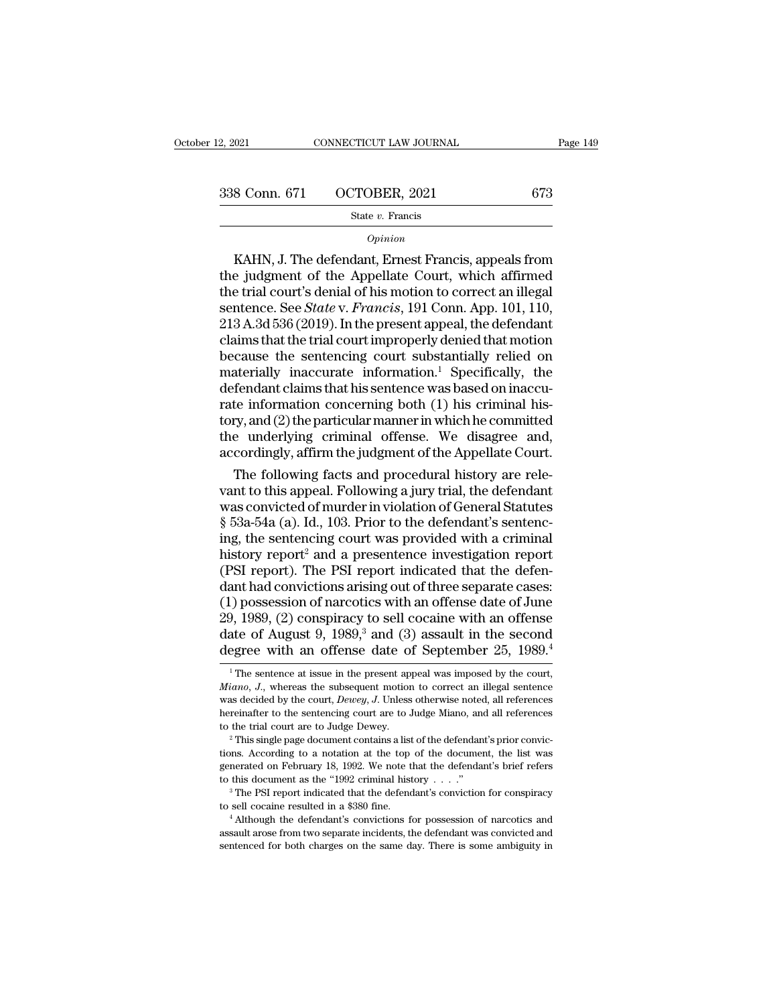# 2, 2021 CONNECTICUT LAW JOURNAL Page 149<br>338 Conn. 671 OCTOBER, 2021 673<br>5tate v. Francis

## State *v.* Francis

## *Opinion*

8 Conn. 671 OCTOBER, 2021 673<br>
State v. Francis<br>
Opinion<br>
KAHN, J. The defendant, Ernest Francis, appeals from<br>
E judgment of the Appellate Court, which affirmed<br>
A trial court's denial of his motion to correct an illegal 338 Conn. 671 OCTOBER, 2021 673<br>
State v. Francis<br>
Opinion<br>
KAHN, J. The defendant, Ernest Francis, appeals from<br>
the judgment of the Appellate Court, which affirmed<br>
the trial court's denial of his motion to correct an i 338 Conn. 671 OCTOBER, 2021 673<br>
State v. Francis<br> *Opinion*<br>
KAHN, J. The defendant, Ernest Francis, appeals from<br>
the judgment of the Appellate Court, which affirmed<br>
the trial court's denial of his motion to correct an State *v*. Francis<br> *Opinion*<br>
KAHN, J. The defendant, Ernest Francis, appeals from<br>
the judgment of the Appellate Court, which affirmed<br>
the trial court's denial of his motion to correct an illegal<br>
sentence. See *State*  $\frac{Opinion}{Opinion}$ <br>
KAHN, J. The defendant, Ernest Francis, appeals from<br>
the judgment of the Appellate Court, which affirmed<br>
the trial court's denial of his motion to correct an illegal<br>
sentence. See *State* v. *Francis*, 1 opinion<br>
KAHN, J. The defendant, Ernest Francis, appeals from<br>
the judgment of the Appellate Court, which affirmed<br>
the trial court's denial of his motion to correct an illegal<br>
sentence. See *State* v. *Francis*, 191 Con KAHN, J. The defendant, Ernest Francis, appeals from<br>the judgment of the Appellate Court, which affirmed<br>the trial court's denial of his motion to correct an illegal<br>sentence. See *State v. Francis*, 191 Conn. App. 101, 1 the judgment of the Appellate Court, which affirmed<br>the trial court's denial of his motion to correct an illegal<br>sentence. See *State* v. Francis, 191 Conn. App. 101, 110,<br>213 A.3d 536 (2019). In the present appeal, the d the trial court's denial of his motion to correct an illegal<br>sentence. See *State* v. *Francis*, 191 Conn. App. 101, 110,<br>213 A.3d 536 (2019). In the present appeal, the defendant<br>claims that the trial court improperly de sentence. See *State* v. *Francis*, 191 Conn. App. 101, 110, 213 A.3d 536 (2019). In the present appeal, the defendant claims that the trial court improperly denied that motion because the sentencing court substantially r 213 A.3d 536 (2019). In the present appeal, the defendant<br>claims that the trial court improperly denied that motion<br>because the sentencing court substantially relied on<br>materially inaccurate information.<sup>1</sup> Specifically, claims that the trial court improperly denied that motion<br>because the sentencing court substantially relied on<br>materially inaccurate information.<sup>1</sup> Specifically, the<br>defendant claims that his sentence was based on inaccubecause the sentencing court substantially relied on<br>materially inaccurate information.<sup>1</sup> Specifically, the<br>defendant claims that his sentence was based on inaccu-<br>rate information concerning both (1) his criminal his-<br>to aterially inaccurate information.<sup>1</sup> Specifically, the<br>fendant claims that his sentence was based on inaccu-<br>te information concerning both (1) his criminal his-<br>ty, and (2) the particular manner in which he committed<br>e-un defendant claims that his sentence was based on inaccurate information concerning both (1) his criminal history, and (2) the particular manner in which he committed the underlying criminal offense. We disagree and, accordi

rate information concerning both (1) his criminal his-<br>tory, and (2) the particular manner in which he committed<br>the underlying criminal offense. We disagree and,<br>accordingly, affirm the judgment of the Appellate Court.<br>Th tory, and (2) the particular manner in which he committed<br>the underlying criminal offense. We disagree and,<br>accordingly, affirm the judgment of the Appellate Court.<br>The following facts and procedural history are rele-<br>vant the underlying criminal offense. We disagree and,<br>accordingly, affirm the judgment of the Appellate Court.<br>The following facts and procedural history are rele-<br>vant to this appeal. Following a jury trial, the defendant<br>was accordingly, affirm the judgment of the Appellate Court.<br>
The following facts and procedural history are rele-<br>
vant to this appeal. Following a jury trial, the defendant<br>
was convicted of murder in violation of General St The following facts and procedural history are relevant to this appeal. Following a jury trial, the defendant was convicted of murder in violation of General Statutes  $\S$  53a-54a (a). Id., 103. Prior to the defendant's se vant to this appeal. Following a jury trial, the defendant<br>was convicted of murder in violation of General Statutes<br>§ 53a-54a (a). Id., 103. Prior to the defendant's sentenc-<br>ing, the sentencing court was provided with a c was convicted of murder in violation of General Statutes<br>
§ 53a-54a (a). Id., 103. Prior to the defendant's sentenc-<br>
ing, the sentencing court was provided with a criminal<br>
history report<sup>2</sup> and a presentence investigati  $\S$  53a-54a (a). Id., 103. Prior to the defendant's sentencing, the sentencing court was provided with a criminal history report<sup>2</sup> and a presentence investigation report (PSI report). The PSI report indicated that the de ing, the sentencing court was provided with a criminal<br>history report<sup>2</sup> and a presentence investigation report<br>(PSI report). The PSI report indicated that the defen-<br>dant had convictions arising out of three separate case history report<sup>2</sup> and a presentence investigation report (PSI report). The PSI report indicated that the defendant had convictions arising out of three separate cases: (1) possession of narcotics with an offense date of J .) possession of narcotics with an offense date of June 9, 1989, (2) conspiracy to sell cocaine with an offense ate of August 9, 1989,<sup>3</sup> and (3) assault in the second egree with an offense date of September 25, 1989.<sup>4</sup> 29, 1989, (2) conspiracy to sell cocaine with an offense<br>date of August 9, 1989,<sup>3</sup> and (3) assault in the second<br>degree with an offense date of September 25, 1989.<sup>4</sup><br><sup>1</sup>The sentence at issue in the present appeal was im

date of August 9, 1989,<sup>3</sup> and (3) assault in the second<br>degree with an offense date of September 25, 1989.<sup>4</sup><br><sup>1</sup>The sentence at issue in the present appeal was imposed by the court,<br>*Miano*, *J*., whereas the subsequent degree with an offense date of September 25, 1989.<sup>4</sup><br>The sentence at issue in the present appeal was imposed by the court,<br>*Miano*, *J.*, whereas the subsequent motion to correct an illegal sentence<br>was decided by the co The sentence at issue in the present appeal was imposed by the court, *Miano*, *J*, whereas the subsequent motion to correct an illegal sentence was decided by the court, *Dewey*, *J*. Unless otherwise noted, all referenc *Miano, J.,* whereas the subsequent motion to correct an illegal sentence was decided by the court, *Dewey, J.* Unless otherwise noted, all references hereinafter to the sentencing court are to Judge Miano, and all refere

was decided by the court, *Dewey*, *J*. Unless otherwise noted, all references hereinafter to the sentencing court are to Judge Miano, and all references to the trial court are to Judge Dewey.<br><sup>2</sup> This single page documen The 'this document as the ''1992 criminal history ... ..."<br>
a the trial court are to Judge Dewey.<br>
<sup>2</sup> This single page document contains a list of the defendant's prior convictions. According to a notation at the top of <sup>2</sup> This single page document contains a list of the defendant's prior convictions. According to a notation at the top of the document, the list was generated on February 18, 1992. We note that the defendant's brief refer

assemented on February 18, 1992. We note that the defendant's brief refers to this document as the "1992 criminal history  $\ldots$ ."<br><sup>3</sup> The PSI report indicated that the defendant's conviction for conspiracy to sell cocaine generated on February 18, 1992. We note that the defendant's brief refers<br>to this document as the "1992 criminal history  $\ldots$ ."<br><sup>3</sup> The PSI report indicated that the defendant's conviction for conspiracy<br>to sell cocaine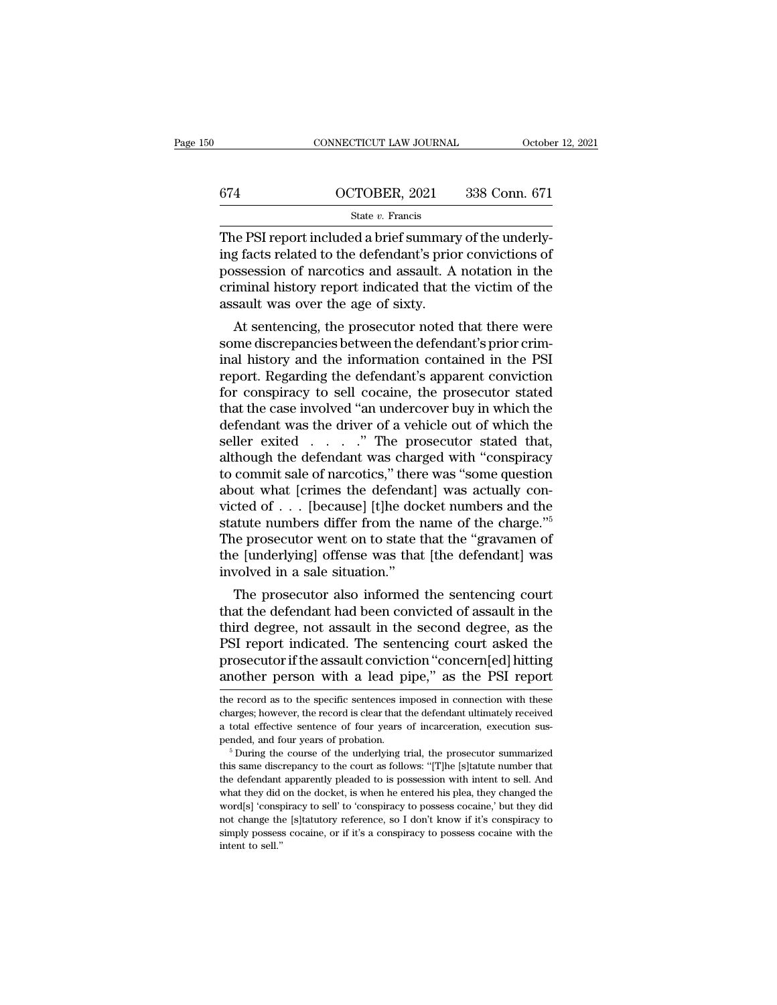|     | CONNECTICUT LAW JOURNAL | October 12, 2021 |
|-----|-------------------------|------------------|
| 674 | OCTOBER, 2021           | 338 Conn. 671    |
|     | State $v$ . Francis     |                  |

CONNECTICUT LAW JOURNAL OCTOBER<br>
State v. Francis<br>
The PSI report included a brief summary of the underly-<br>
The PSI report included a brief summary of the underly-<br>
ing facts related to the defendant's prior convictions of  $\frac{674}{\text{State } v. \text{ Francis}}$ <br>
State v. Francis<br>
The PSI report included a brief summary of the underly-<br>
ing facts related to the defendant's prior convictions of<br>
possession of narcotics and assault. A notation in the<br>
criminal  $\frac{674}{\text{State } v. \text{ Francis}}$ <br>
State  $v. \text{ Francis}$ <br>
The PSI report included a brief summary of the underly-<br>
ing facts related to the defendant's prior convictions of<br>
possession of narcotics and assault. A notation in the<br>
criminal 674 **CCTOBER, 2021** 338 Conn. 671<br>
State v. Francis<br>
The PSI report included a brief summary of the underly-<br>
ing facts related to the defendant's prior convictions of<br>
possession of narcotics and assault. A notation in t State v. Francis<br>
The PSI report included a brief summary<br>
ing facts related to the defendant's prio<br>
possession of narcotics and assault. A<br>
criminal history report indicated that the<br>
assault was over the age of sixty.<br> e PSI report included a brief summary of the underly-<br>g facts related to the defendant's prior convictions of<br>ssession of narcotics and assault. A notation in the<br>iminal history report indicated that the victim of the<br>saul The PSI report included a brief summary of the underly-<br>ing facts related to the defendant's prior convictions of<br>possession of narcotics and assault. A notation in the<br>criminal history report indicated that the victim of

ing facts related to the defendant s prior convictions of<br>possession of narcotics and assault. A notation in the<br>criminal history report indicated that the victim of the<br>assault was over the age of sixty.<br>At sentencing, th possession of narcoucs and assault. A hotation in the criminal history report indicated that the victim of the assault was over the age of sixty.<br>At sentencing, the prosecutor noted that there were some discrepancies betwe riminal filstory report indicated that the victim of the<br>assault was over the age of sixty.<br>At sentencing, the prosecutor noted that there were<br>some discrepancies between the defendant's prior crim-<br>inal history and the in assault was over the age of sixty.<br>
At sentencing, the prosecutor noted that there were<br>
some discrepancies between the defendant's prior crim-<br>
inal history and the information contained in the PSI<br>
report. Regarding the At sentencing, the prosecutor noted that there were<br>some discrepancies between the defendant's prior crim-<br>inal history and the information contained in the PSI<br>report. Regarding the defendant's apparent conviction<br>for co some discrepancies between the defendant's prior criminal history and the information contained in the PSI<br>report. Regarding the defendant's apparent conviction<br>for conspiracy to sell cocaine, the prosecutor stated<br>that th inal history and the information contained in the PSI<br>report. Regarding the defendant's apparent conviction<br>for conspiracy to sell cocaine, the prosecutor stated<br>that the case involved "an undercover buy in which the<br>defe report. Regarding the defendant's apparent conviction<br>for conspiracy to sell cocaine, the prosecutor stated<br>that the case involved "an undercover buy in which the<br>defendant was the driver of a vehicle out of which the<br>sell for conspiracy to sell cocaine, the prosecutor stated<br>that the case involved "an undercover buy in which the<br>defendant was the driver of a vehicle out of which the<br>seller exited  $\ldots$ ." The prosecutor stated that,<br>althoug that the case involved "an undercover buy in which the<br>defendant was the driver of a vehicle out of which the<br>seller exited . . . . . " The prosecutor stated that,<br>although the defendant was charged with "conspiracy<br>to co defendant was the driver of a vehicle out of which the<br>seller exited  $\ldots$ . " The prosecutor stated that,<br>although the defendant was charged with "conspiracy<br>to commit sale of narcotics," there was "some question<br>about wh seller exited  $\ldots$  ." The prosecutor stated that,<br>although the defendant was charged with "conspiracy<br>to commit sale of narcotics," there was "some question<br>about what [crimes the defendant] was actually con-<br>victed of although the defendant was charged with "conspiracy<br>to commit sale of narcotics," there was "some question<br>about what [crimes the defendant] was actually con-<br>victed of  $\ldots$  [because] [t]he docket numbers and the<br>statute to commit sale of narcotics," there was "some question about what [crimes the defendant] was actually convicted of . . . [because] [t]he docket numbers and the statute numbers differ from the name of the charge."<sup>5</sup> The p out what [crimes the defendant] was actually control of  $\ldots$  [because] [t]he docket numbers and the atute numbers differ from the name of the charge."<sup>5</sup> we prosecutor went on to state that the "gravamen of  $e$  [underlyi victed of  $\ldots$  pecause] [t]ne docket numbers and the<br>statute numbers differ from the name of the charge."<sup>5</sup><br>The prosecutor went on to state that the "gravamen of<br>the [underlying] offense was that [the defendant] was<br>inv

statute numbers diner from the name of the charge.<br>The prosecutor went on to state that the "gravamen of<br>the [underlying] offense was that [the defendant] was<br>involved in a sale situation."<br>The prosecutor also informed the The prosecutor went on to state that the gravamen of<br>the [underlying] offense was that [the defendant] was<br>involved in a sale situation."<br>The prosecutor also informed the sentencing court<br>that the defendant had been convic the [underlying] offernse was that [the defendant] was<br>involved in a sale situation."<br>The prosecutor also informed the sentencing court<br>that the defendant had been convicted of assault in the<br>third degree, not assault in t The prosecutor also informed the sentencing court<br>that the defendant had been convicted of assault in the<br>third degree, not assault in the second degree, as the<br>PSI report indicated. The sentencing court asked the<br>prosecut third degree, not assault in the second degree, as the PSI report indicated. The sentencing court asked the prosecutor if the assault conviction "concern[ed] hitting another person with a lead pipe," as the PSI report the PSI report indicated. The sentencing court asked the prosecutor if the assault conviction "concern[ed] hitting another person with a lead pipe," as the PSI report the record as to the specific sentences imposed in connecti

prosecutor if the assault conviction "concern[ed] hitting<br>another person with a lead pipe," as the PSI report<br>the record as to the specific sentences imposed in connection with these<br>charges; however, the record is clear t prosecution and the ussuant conviction. The concerning and the proof the record as to the specific sentences imposed in connection with these charges; however, the record is clear that the defendant ultimately received a t the record as to the specific sentences imposed in connection with these charges; however, the record is clear that the defendant ultimately received a total effective sentence of four years of incarceration, execution sus

charges; however, the record is clear that the defendant ultimately received a total effective sentence of four years of incarceration, execution suspended, and four years of probation.<br><sup>5</sup> During the course of the underly and total effective sentence of four years of incarceration, execution suspended, and four years of probation.<br>
<sup>5</sup> During the course of the underlying trial, the prosecutor summarized this same discrepancy to the court as pended, and four years of probation.<br>
<sup>5</sup> During the course of the underlying trial, the prosecutor summarized<br>
this same discrepancy to the court as follows: "[T]he [s]tatute number that<br>
the defendant apparently pleaded <sup>5</sup> During the course of the underlying trial, the prosecutor summarized this same discrepancy to the court as follows: "[T]he [s]tatute number that the defendant apparently pleaded to is possession with intent to sell. A this same discrepancy to the court as follows: "[T]he [s]tatute number that the defendant apparently pleaded to is possession with intent to sell. And what they did on the docket, is when he entered his plea, they changed intent defendant<br>the defendant<br>what they did<br>word[s] 'consp<br>not change the<br>simply possess<br>intent to sell.''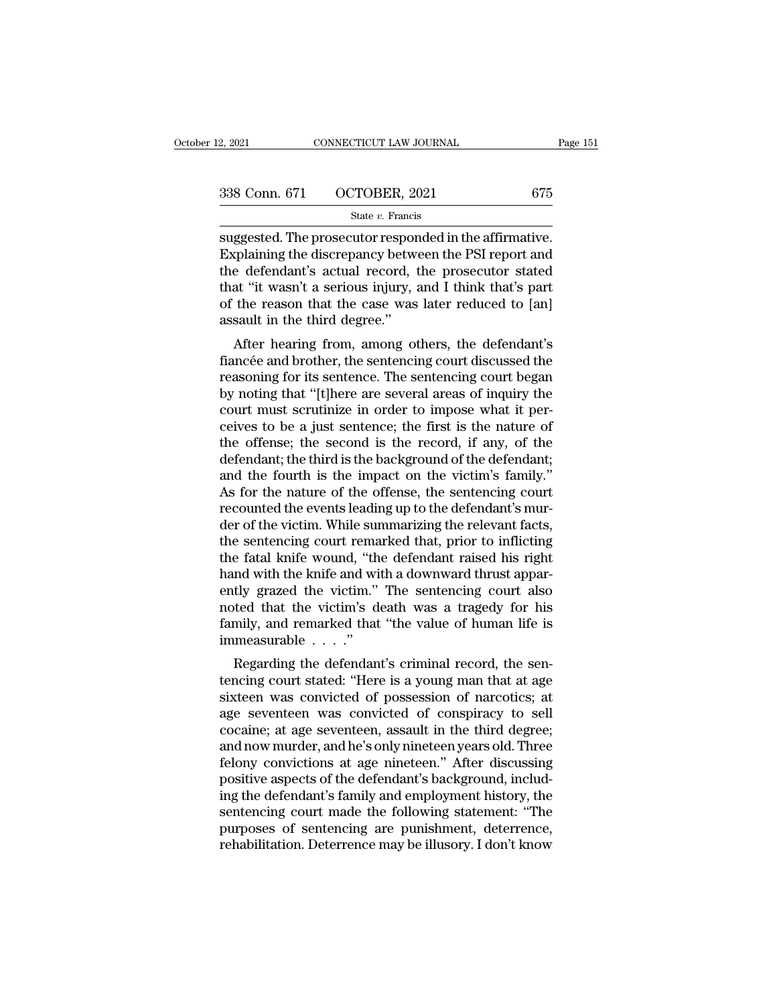| 2, 2021       | CONNECTICUT LAW JOURNAL | Page 151 |
|---------------|-------------------------|----------|
| 338 Conn. 671 | OCTOBER, 2021           | 675      |
|               | State $v$ . Francis     |          |

e, 2021 CONNECTICUT LAW JOURNAL Page<br>
338 Conn. 671 OCTOBER, 2021 675<br>
51 State v. Francis<br>
Suggested. The prosecutor responded in the affirmative.<br>
Explaining the discrepancy between the PSI report and<br>
the defendant's ac 338 Conn. 671 OCTOBER, 2021 675<br>
state v. Francis<br>
suggested. The prosecutor responded in the affirmative.<br>
Explaining the discrepancy between the PSI report and<br>
the defendant's actual record, the prosecutor stated<br>
that 338 Conn. 671 OCTOBER, 2021 675<br>
State v. Francis<br>
suggested. The prosecutor responded in the affirmative.<br>
Explaining the discrepancy between the PSI report and<br>
the defendant's actual record, the prosecutor stated<br>
that 338 Conn. 671 OCTOBER, 2021 675<br>
State  $v$ . Francis<br>
suggested. The prosecutor responded in the affirmative.<br>
Explaining the discrepancy between the PSI report and<br>
the defendant's actual record, the prosecutor stated<br>
th State v. Francis<br>
State v. Francis<br>
State v. Francis<br>
Explaining the discrepancy between the PSI report and<br>
the defendant's actual record, the prosecutor stated<br>
that "it wasn't a serious injury, and I think that's part<br>  $\begin{array}{l} \text{state } v \text{. francus} \\ \text{suggested. The processor respond} \\ \text{Explaining the discrepancy between the determinant's actual record, the standard deviation is not provided.} \\ \text{that ``it wasn't a serious injury, a for the reason that the case was assault in the third degree.' \\ \text{After hearing from, among the other learning.} \end{array}$ ggested. The prosecutor responded in the animative.<br>
splaining the discrepancy between the PSI report and<br>
at "it wasn't a serious injury, and I think that's part<br>
the reason that the case was later reduced to [an]<br>
sault Explaining the uiscrepancy between the F 51 report and<br>the defendant's actual record, the prosecutor stated<br>that "it wasn't a serious injury, and I think that's part<br>of the reason that the case was later reduced to [an]<br>as

that "it wasn't a serious injury, and I think that's part<br>of the reason that the case was later reduced to [an]<br>assault in the third degree."<br>After hearing from, among others, the defendant's<br>fiancée and brother, the sente by the reason that the case was later reduced to [an]<br>assault in the third degree."<br>After hearing from, among others, the defendant's<br>fiancée and brother, the sentencing court discussed the<br>reasoning for its sentence. The of the reason that the case was fater reduced to [an]<br>assault in the third degree."<br>fiancée and brother, the sentencing court discussed the<br>reasoning for its sentence. The sentencing court began<br>by noting that "[t]here are assaurt in the third degree.<br>
After hearing from, among others, the defendant's<br>
fiancée and brother, the sentencing court discussed the<br>
reasoning for its sentence. The sentencing court began<br>
by noting that "[t]here are After hearing from, among others, the defendant's<br>fiancée and brother, the sentencing court discussed the<br>reasoning for its sentence. The sentencing court began<br>by noting that "[t]here are several areas of inquiry the<br>cour fiancée and brother, the sentencing court discussed the reasoning for its sentence. The sentencing court began<br>by noting that "[t]here are several areas of inquiry the<br>court must scrutinize in order to impose what it per-<br> reasoning for its sentence. The sentencing court began<br>by noting that "[t]here are several areas of inquiry the<br>court must scrutinize in order to impose what it per-<br>ceives to be a just sentence; the first is the nature of by noting that "[t]here are several areas of inquiry the<br>court must scrutinize in order to impose what it per-<br>ceives to be a just sentence; the first is the nature of<br>the offense; the second is the record, if any, of the<br> court must scrutinize in order to impose what it perceives to be a just sentence; the first is the nature of the offense; the second is the record, if any, of the defendant; the third is the background of the defendant; an ceives to be a just sentence; the first is the nature of<br>the offense; the second is the record, if any, of the<br>defendant; the third is the background of the defendant;<br>and the fourth is the impact on the victim's family."<br> the offense; the second is the record, if any, of the defendant; the third is the background of the defendant; and the fourth is the impact on the victim's family."<br>As for the nature of the offense, the sentencing court re defendant; the third is the background of the defendant;<br>and the fourth is the impact on the victim's family."<br>As for the nature of the offense, the sentencing court<br>recounted the events leading up to the defendant's mur-<br> and the fourth is the impact on the victim's family."<br>As for the nature of the offense, the sentencing court<br>recounted the events leading up to the defendant's mur-<br>der of the victim. While summarizing the relevant facts,<br> As for the nature of the offense, the sentencing court<br>recounted the events leading up to the defendant's mur-<br>der of the victim. While summarizing the relevant facts,<br>the sentencing court remarked that, prior to inflictin recounted the events leading up to the defendant's murder of the victim. While summarizing the relevant facts,<br>the sentencing court remarked that, prior to inflicting<br>the fatal knife wound, "the defendant raised his right<br> der of the victim. While summarizing the relevant facts,<br>the sentencing court remarked that, prior to inflicting<br>the fatal knife wound, "the defendant raised his right<br>hand with the knife and with a downward thrust apparthe sentencing court rema<br>the fatal knife wound, "th<br>hand with the knife and wi<br>ently grazed the victim."<br>noted that the victim's d<br>family, and remarked that<br>immeasurable  $\ldots$ ."<br>Regarding the defendan relata Kille Would, the defendant raised its right<br>and with the knife and with a downward thrust appar-<br>tly grazed the victim's death was a tragedy for his<br>mily, and remarked that "the value of human life is<br>measurable . . Franch with the Kille and with a downward thrust apparently grazed the victim." The sentencing court also noted that the victim's death was a tragedy for his family, and remarked that "the value of human life is immeasura

sixteel was convicted that the victim. The self-ending court also<br>noted that the victim's death was a tragedy for his<br>family, and remarked that "the value of human life is<br>immeasurable  $\ldots$ ."<br>Regarding the defendant's cr Framily, and remarked that "the value of human life is<br>family, and remarked that "the value of human life is<br>immeasurable  $\ldots$ ."<br>Regarding the defendant's criminal record, the sen-<br>tencing court stated: "Here is a young complemential intervalue of fundal me is<br>immeasurable  $\ldots$ ."<br>Regarding the defendant's criminal record, the sen-<br>tencing court stated: "Here is a young man that at age<br>sixteen was convicted of possession of narcotics; at muneasurable . . . .<br>Regarding the defendant's criminal record, the sentencing court stated: "Here is a young man that at age<br>sixteen was convicted of possession of narcotics; at<br>age seventeen was convicted of conspiracy t Regarding the defendant's criminal record, the sentencing court stated: "Here is a young man that at age sixteen was convicted of possession of narcotics; at age seventeen was convicted of conspiracy to sell cocaine; at ag tencing court stated: "Here is a young man that at age sixteen was convicted of possession of narcotics; at age seventeen was convicted of conspiracy to sell cocaine; at age seventeen, assault in the third degree; and now sixteen was convicted of possession of narcotics; at<br>age seventeen was convicted of conspiracy to sell<br>cocaine; at age seventeen, assault in the third degree;<br>and now murder, and he's only nineteen years old. Three<br>felony age seventeen was convicted of conspiracy to sell<br>cocaine; at age seventeen, assault in the third degree;<br>and now murder, and he's only nineteen years old. Three<br>felony convictions at age nineteen." After discussing<br>positi cocaine; at age seventeen, assault in the third degree;<br>and now murder, and he's only nineteen years old. Three<br>felony convictions at age nineteen." After discussing<br>positive aspects of the defendant's background, includ-<br> and now murder, and he's only nineteen years old. Three felony convictions at age nineteen." After discussing positive aspects of the defendant's background, including the defendant's family and employment history, the sen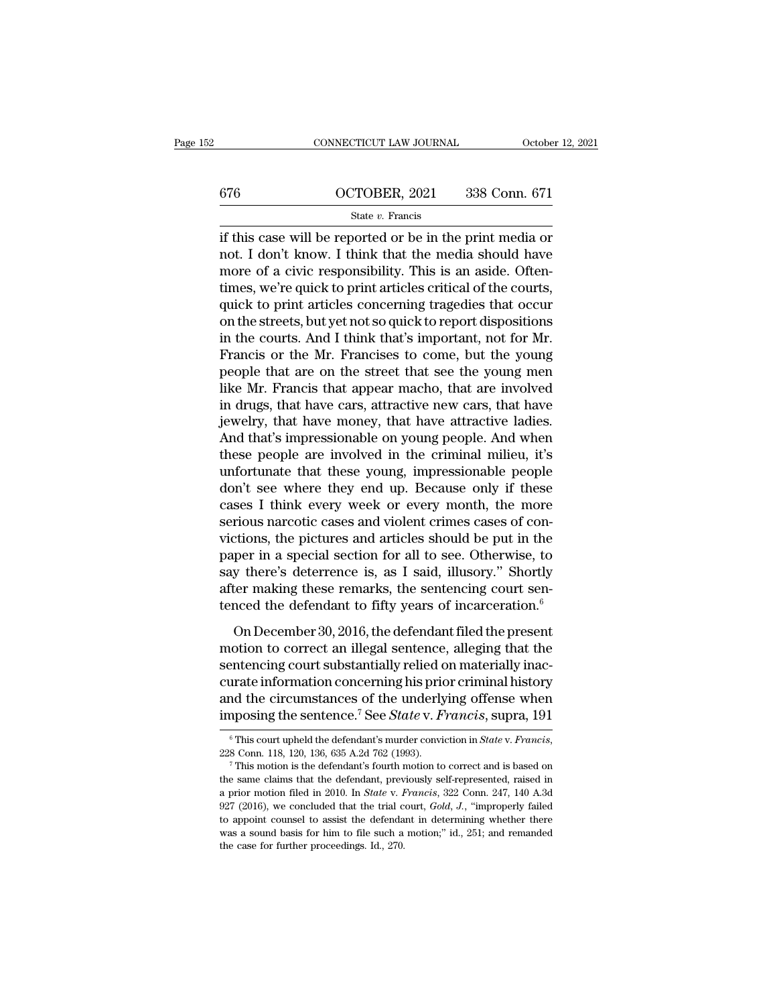## <sup>676</sup> OCTOBER, 2021 338 Conn. 671 State *v.* Francis

CONNECTICUT LAW JOURNAL October 12, 2021<br>  $\frac{676}{\text{State } v. \text{ Francis}}$  OCTOBER, 2021 338 Conn. 671<br>  $\frac{676}{\text{State } v. \text{ Francis}}$ <br>
if this case will be reported or be in the print media or<br>
not. I don't know. I think that the media shou  $\begin{array}{c|c} \text{676} & \text{OCTOBER, 2021} & \text{338 Conn. 671} \\ & & \\ \text{State } v. \text{ Francis} \\ \text{if this case will be reported or be in the print media or not. I don't know. I think that the media should have more of a civic responsibility. This is an aside. Often-$ 676 **CONTOBER**, 2021 338 Conn. 671<br>
State v. Francis<br>
if this case will be reported or be in the print media or<br>
not. I don't know. I think that the media should have<br>
more of a civic responsibility. This is an aside. Oft 676 **CONTOBER, 2021** 338 Conn. 671<br>
State v. Francis<br>
if this case will be reported or be in the print media or<br>
not. I don't know. I think that the media should have<br>
more of a civic responsibility. This is an aside. Oft State v. Francis<br>
if this case will be reported or be in the print media or<br>
not. I don't know. I think that the media should have<br>
more of a civic responsibility. This is an aside. Often-<br>
times, we're quick to print art state  $v$ . Francis<br>
if this case will be reported or be in the print media or<br>
not. I don't know. I think that the media should have<br>
more of a civic responsibility. This is an aside. Often-<br>
times, we're quick to print a if this case will be reported or be in the print media or<br>not. I don't know. I think that the media should have<br>more of a civic responsibility. This is an aside. Often-<br>times, we're quick to print articles critical of the not. I don't know. I think that the media should have<br>more of a civic responsibility. This is an aside. Often-<br>times, we're quick to print articles critical of the courts,<br>quick to print articles concerning tragedies that more of a civic responsibility. This is an aside. Often-<br>times, we're quick to print articles critical of the courts,<br>quick to print articles concerning tragedies that occur<br>on the streets, but yet not so quick to report d times, we're quick to print articles critical of the courts,<br>quick to print articles concerning tragedies that occur<br>on the streets, but yet not so quick to report dispositions<br>in the courts. And I think that's important, quick to print articles concerning tragedies that occur<br>on the streets, but yet not so quick to report dispositions<br>in the courts. And I think that's important, not for Mr.<br>Francis or the Mr. Francises to come, but the you on the streets, but yet not so quick to report dispositions<br>in the courts. And I think that's important, not for Mr.<br>Francis or the Mr. Francises to come, but the young<br>people that are on the street that see the young men<br> in the courts. And I think that's important, not for Mr.<br>Francis or the Mr. Francises to come, but the young<br>people that are on the street that see the young men<br>like Mr. Francis that appear macho, that are involved<br>in dru Francis or the Mr. Francises to come, but the young<br>people that are on the street that see the young men<br>like Mr. Francis that appear macho, that are involved<br>in drugs, that have cars, attractive new cars, that have<br>jewelr people that are on the street that see the young men<br>like Mr. Francis that appear macho, that are involved<br>in drugs, that have cars, attractive new cars, that have<br>jewelry, that have money, that have attractive ladies.<br>And like Mr. Francis that appear macho, that are involved<br>in drugs, that have cars, attractive new cars, that have<br>jewelry, that have money, that have attractive ladies.<br>And that's impressionable on young people. And when<br>thes in drugs, that have cars, attractive new cars, that have<br>jewelry, that have money, that have attractive ladies.<br>And that's impressionable on young people. And when<br>these people are involved in the criminal milieu, it's<br>unf jewelry, that have money, that have attractive ladies.<br>And that's impressionable on young people. And when<br>these people are involved in the criminal milieu, it's<br>unfortunate that these young, impressionable people<br>don't se And that's impressionable on young people. And when<br>these people are involved in the criminal milieu, it's<br>unfortunate that these young, impressionable people<br>don't see where they end up. Because only if these<br>cases I thin these people are involved in the criminal milieu, it's<br>unfortunate that these young, impressionable people<br>don't see where they end up. Because only if these<br>cases I think every week or every month, the more<br>serious narcot unfortunate that these young, impressionable people<br>don't see where they end up. Because only if these<br>cases I think every week or every month, the more<br>serious narcotic cases and violent crimes cases of con-<br>victions, the don't see where they end up. Because only if these cases I think every week or every month, the more serious narcotic cases and violent crimes cases of convictions, the pictures and articles should be put in the paper in cases I think every week or every month, the more<br>serious narcotic cases and violent crimes cases of con-<br>victions, the pictures and articles should be put in the<br>paper in a special section for all to see. Otherwise, to<br>s These marked cases and there choses on our choses.<br>
Theorem is a special section for all to see. Otherwise, to<br>
y there's deterrence is, as I said, illusory." Shortly<br>
ter making these remarks, the sentencing court sen-<br>
n motion as special section for all to see. Otherwise, to<br>say there's deterrence is, as I said, illusory." Shortly<br>after making these remarks, the sentencing court sen-<br>tenced the defendant to fifty years of incarceration.<sup></sup>

say there's deterrence is, as I said, illusory." Shortly<br>say there's deterrence is, as I said, illusory." Shortly<br>after making these remarks, the sentencing court sen-<br>tenced the defendant to fifty years of incarceration. after making these remarks, the sentencing court sentenced the defendant to fifty years of incarceration.<sup>6</sup><br>On December 30, 2016, the defendant filed the present motion to correct an illegal sentence, alleging that the s and tenced the defendant to fifty years of incarceration.<sup>6</sup><br>On December 30, 2016, the defendant filed the present<br>motion to correct an illegal sentence, alleging that the<br>sentencing court substantially relied on material In the sentence of the defendant filed the present<br>motion to correct an illegal sentence, alleging that the<br>sentencing court substantially relied on materially inac-<br>curate information concerning his prior criminal history sentencing court substantially refled on materially inac-<br>curate information concerning his prior criminal history<br>and the circumstances of the underlying offense when<br>imposing the sentence.<sup>7</sup> See *State* v. *Francis*, 22

and the circumstances of the underlying offense when<br>imposing the sentence.<sup>7</sup> See *State* v. *Francis*, supra, 191<br> $\frac{1}{2}$ <br> $\frac{1}{2}$ <br> $\frac{1}{2}$ <br> $\frac{1}{2}$ <br> $\frac{1}{2}$ <br> $\frac{1}{2}$ <br> $\frac{1}{2}$ <br> $\frac{1}{2}$ <br> $\frac{1}{2}$ <br> $\frac{1}{2}$ <br> $\frac{1$ a prior motion filed in 2010. In *State* v. *Francis*, 322 Conn. 118, 120, 136, 635 A.2d 762 (1993).<br>
<sup>6</sup> This court upheld the defendant's murder conviction in *State* v. *Francis*, <sup>7</sup> This motion is the defendant's four <sup>6</sup> This court upheld the defendant's murder conviction in *State* v. *Francis*, 228 Conn. 118, 120, 136, 635 A.2d 762 (1993).<br><sup>7</sup> This motion is the defendant's fourth motion to correct and is based on the same claims th 228 Conn. 118, 120, 136, 635 A.2d 762 (1993).<br>
<sup>7</sup> This motion is the defendant's fourth motion to correct and is based on<br>
<sup>7</sup> This motion is the defendant, previously self-represented, raised in<br>
a prior motion filed in <sup>7</sup> This motion is the defendant's fourth motion to correct and is based on the same claims that the defendant, previously self-represented, raised in a prior motion filed in 2010. In *State v. Francis*, 322 Conn. 247, 14 the same claims that the defendant, previously self-represented, raised in a prior motion filed in 2010. In *State* v. *Francis*, 322 Conn. 247, 140 A.3d 927 (2016), we concluded that the trial court, *Gold*, *J*., "impro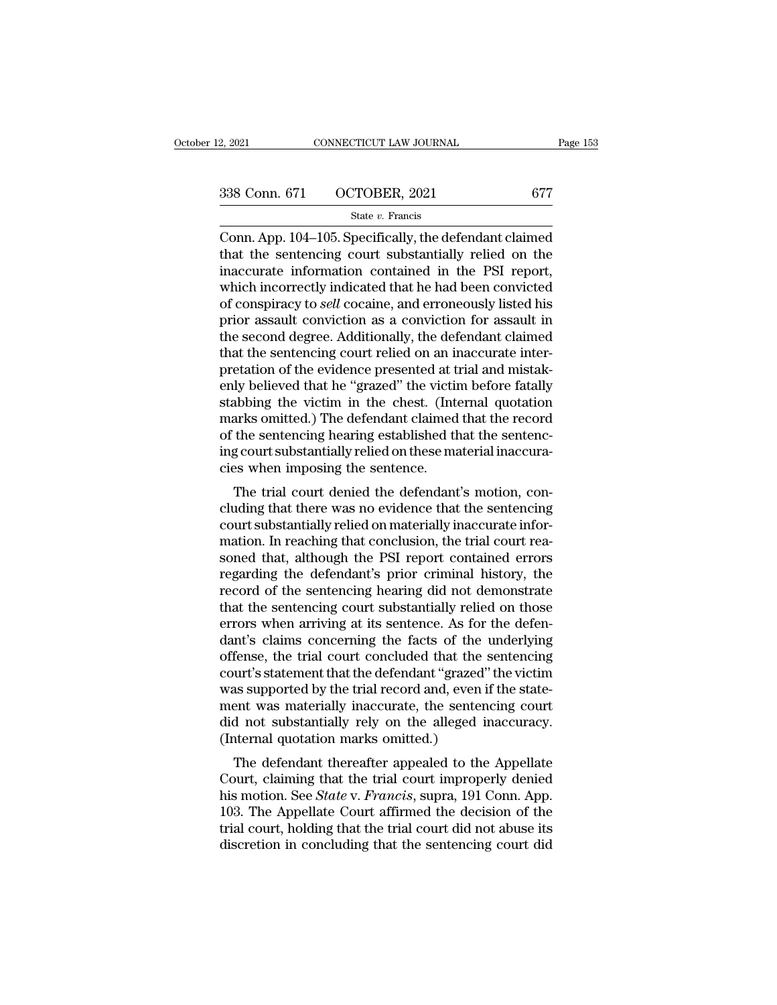# 2, 2021 CONNECTICUT LAW JOURNAL Page 153<br>338 Conn. 671 OCTOBER, 2021 677<br>State v. Francis

## State *v.* Francis

 $\begin{array}{cccc}\n & \text{2, } 2021 \text{} & \text{COMRECTICUT LAW JOURNAL} & \text{Page 153}\n\hline\n\end{array}$ <br>  $\begin{array}{cccc}\n & \text{338 Conn. } 671 & \text{OCTOBER, } 2021 & 677 \\
\hline\n & \text{State } v. \text{ Francis} \\
 \text{Conn. App. 104–105. Specifically, the defendant claimed that the sentenceing court substantially relied on the insequence, information, contained in the PSI report.} \end{array}$ 338 Conn. 671 OCTOBER, 2021 677<br>
State v. Francis<br>
Conn. App. 104–105. Specifically, the defendant claimed<br>
that the sentencing court substantially relied on the<br>
inaccurate information contained in the PSI report,<br>
which 338 Conn. 671 OCTOBER, 2021 677<br>
State v. Francis<br>
Conn. App. 104–105. Specifically, the defendant claimed<br>
that the sentencing court substantially relied on the<br>
inaccurate information contained in the PSI report,<br>
which 338 Conn. 671 OCTOBER, 2021 677<br>
State v. Francis<br>
Conn. App. 104–105. Specifically, the defendant claimed<br>
that the sentencing court substantially relied on the<br>
inaccurate information contained in the PSI report,<br>
which Software Constant, 2011<br>
State v. Francis<br>
Conn. App. 104–105. Specifically, the defendant claimed<br>
that the sentencing court substantially relied on the<br>
inaccurate information contained in the PSI report,<br>
which incorre state  $v$ . Francis<br>
Conn. App. 104–105. Specifically, the defendant claimed<br>
that the sentencing court substantially relied on the<br>
inaccurate information contained in the PSI report,<br>
which incorrectly indicated that he Conn. App. 104–105. Specifically, the defendant claimed<br>that the sentencing court substantially relied on the<br>inaccurate information contained in the PSI report,<br>which incorrectly indicated that he had been convicted<br>of co that the sentencing court substantially relied on the inaccurate information contained in the PSI report, which incorrectly indicated that he had been convicted of conspiracy to *sell* cocaine, and erroneously listed his p inaccurate information contained in the PSI report,<br>which incorrectly indicated that he had been convicted<br>of conspiracy to *sell* cocaine, and erroneously listed his<br>prior assault conviction as a conviction for assault in which incorrectly indicated that he had been convicted<br>of conspiracy to *sell* cocaine, and erroneously listed his<br>prior assault conviction as a conviction for assault in<br>the second degree. Additionally, the defendant clai of conspiracy to *sell* cocaine, and erroneously listed his<br>prior assault conviction as a conviction for assault in<br>the second degree. Additionally, the defendant claimed<br>that the sentencing court relied on an inaccurate i prior assault conviction as a conviction for assault in<br>the second degree. Additionally, the defendant claimed<br>that the sentencing court relied on an inaccurate inter-<br>pretation of the evidence presented at trial and mista the second degree. Additionally, the defendant claimed<br>that the sentencing court relied on an inaccurate inter-<br>pretation of the evidence presented at trial and mistak-<br>enly believed that he "grazed" the victim before fata that the sentencing court relied on an inaccurate interpretation of the evidence presented at trial and mistakenly believed that he "grazed" the victim before fatally stabbing the victim in the chest. (Internal quotation m pretation of the evidence presented at t<br>enly believed that he "grazed" the victin<br>stabbing the victim in the chest. (Int<br>marks omitted.) The defendant claimed<br>of the sentencing hearing established th<br>ing court substantial The trial court denied in the chest. (Internal quotation<br>arks omitted.) The defendant claimed that the record<br>the sentencing hearing established that the sentenc-<br>g court substantially relied on these material inaccura-<br>es staboling the victim in the chest. (Internal quotation<br>marks omitted.) The defendant claimed that the record<br>of the sentencing hearing established that the sentenc-<br>ing court substantially relied on these material inaccura

marks omitted.) The defendant claimed that the record<br>of the sentencing hearing established that the sentenc-<br>ing court substantially relied on these material inaccura-<br>cies when imposing the sentence.<br>The trial court deni or the sentencing nearing established that the sentencial<br>ing court substantially relied on these material inaccura-<br>cies when imposing the sentence.<br>The trial court denied the defendant's motion, con-<br>cluding that there w Imgeourt substantiany reneu on these material maccuracies when imposing the sentence.<br>The trial court denied the defendant's motion, concluding that there was no evidence that the sentencing<br>court substantially relied on m The trial court denied the defendant's motion, concluding that there was no evidence that the sentencing<br>court substantially relied on materially inaccurate infor-<br>mation. In reaching that conclusion, the trial court rea-<br> The trial court denied the defendant's motion, concluding that there was no evidence that the sentencing<br>court substantially relied on materially inaccurate infor-<br>mation. In reaching that conclusion, the trial court rea-<br> cluding that there was no evidence that the sentencing<br>court substantially relied on materially inaccurate infor-<br>mation. In reaching that conclusion, the trial court rea-<br>soned that, although the PSI report contained erro court substantially relied on materially inaccurate information. In reaching that conclusion, the trial court reasoned that, although the PSI report contained errors regarding the defendant's prior criminal history, the re mation. In reaching that conclusion, the trial court reasoned that, although the PSI report contained errors<br>regarding the defendant's prior criminal history, the<br>record of the sentencing hearing did not demonstrate<br>that t soned that, although the PSI report contained errors<br>regarding the defendant's prior criminal history, the<br>record of the sentencing hearing did not demonstrate<br>that the sentencing court substantially relied on those<br>errors regarding the defendant's prior criminal history, the<br>record of the sentencing hearing did not demonstrate<br>that the sentencing court substantially relied on those<br>errors when arriving at its sentence. As for the defen-<br>dan record of the sentencing hearing did not demonstrate<br>that the sentencing court substantially relied on those<br>errors when arriving at its sentence. As for the defen-<br>dant's claims concerning the facts of the underlying<br>offe that the sentencing court substantially relied on those<br>errors when arriving at its sentence. As for the defen-<br>dant's claims concerning the facts of the underlying<br>offense, the trial court concluded that the sentencing<br>co errors when arriving at its sentence. As for the defendant's claims concerning the facts of the underlying offense, the trial court concluded that the sentencing court's statement that the defendant "grazed" the victim was dant's claims concerning the facts of the<br>offense, the trial court concluded that the<br>court's statement that the defendant "grazed"<br>was supported by the trial record and, even i<br>ment was materially inaccurate, the senter<br>d France, the trial court concluded that the sentencing<br>turt's statement that the defendant "grazed" the victim<br>as supported by the trial record and, even if the state-<br>ent was materially inaccurate, the sentencing court<br>d n Court s statement that the defendant grazed the victim<br>was supported by the trial record and, even if the state-<br>ment was materially inaccurate, the sentencing court<br>did not substantially rely on the alleged inaccuracy.<br>(I

was supported by the trial record and, even if the statement was materially inaccurate, the sentencing court<br>did not substantially rely on the alleged inaccuracy.<br>(Internal quotation marks omitted.)<br>The defendant thereafte ment was materially maccurate, the sementing court<br>did not substantially rely on the alleged inaccuracy.<br>(Internal quotation marks omitted.)<br>The defendant thereafter appealed to the Appellate<br>Court, claiming that the trial (Internal quotation marks omitted.)<br>The defendant thereafter appealed to the Appellate<br>Court, claiming that the trial court improperly denied<br>his motion. See *State* v. *Francis*, supra, 191 Conn. App.<br>103. The Appellate C The defendant thereafter appealed to the Appellate<br>Court, claiming that the trial court improperly denied<br>his motion. See *State* v. *Francis*, supra, 191 Conn. App.<br>103. The Appellate Court affirmed the decision of the<br>tr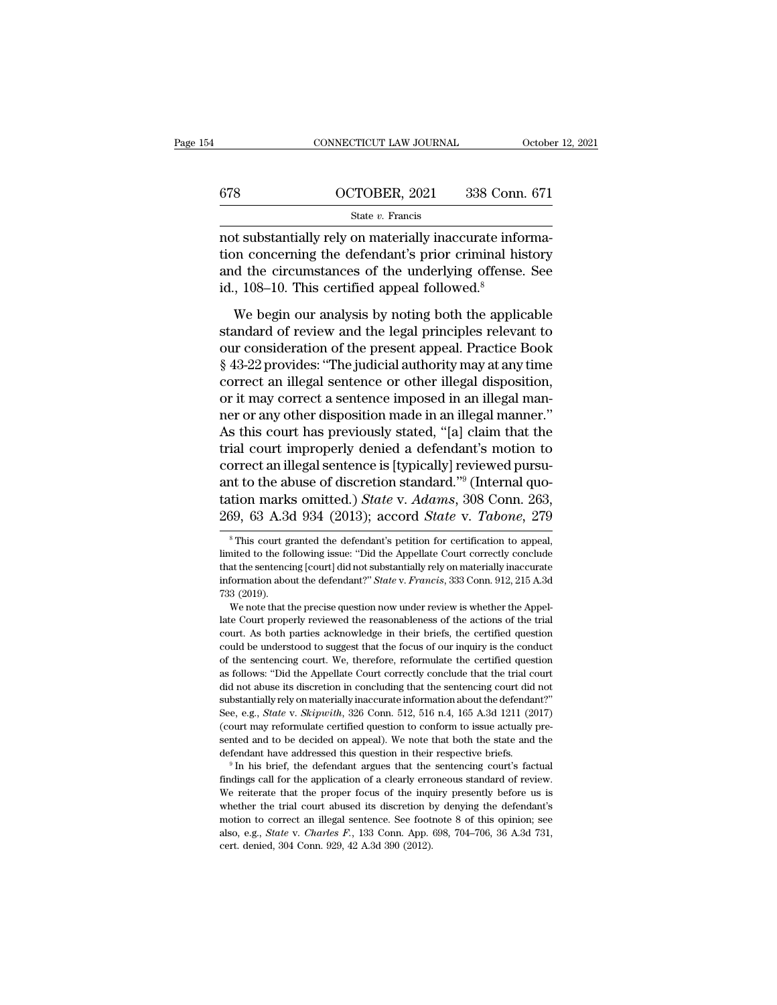|     | CONNECTICUT LAW JOURNAL | October 12, 2021 |
|-----|-------------------------|------------------|
|     |                         |                  |
| 678 | OCTOBER, 2021           | 338 Conn. 671    |
|     | State $v$ . Francis     |                  |

CONNECTICUT LAW JOURNAL Octobe<br>
678 OCTOBER, 2021 338 Conn. 671<br>
5tate v. Francis<br>
not substantially rely on materially inaccurate informa-<br>
tion concerning the defendant's prior criminal history<br>
and the circumstances of tion concerning the defendant's prior criminal history  $\frac{\text{G78}}{\text{State } v. \text{ Francis}}$   $\frac{\text{State } v. \text{ Francis}}{\text{not substantially rely on materially inaccurate information concerning the defendant's prior criminal history and the circumstances of the underlying offense. See id., 108–10. This certified appeal followed.<sup>8</sup>$  $\frac{\text{678}}{\text{State } v. \text{ Francis}}$ <br>
not substantially rely on materially inaccurate inform concerning the defendant's prior criminal his and the circumstances of the underlying offense id., 108–10. This certified appeal followed.<sup>8</sup> State v. Francis<br>
State v. Francis<br>
State v. Francis<br>
State information<br>
on concerning the defendant's prior criminal history<br>
d the circumstances of the underlying offense. See<br>
, 108–10. This certified appeal followed.<sup></sup> not substantially rely on materially inaccurate information concerning the defendant's prior criminal history<br>and the circumstances of the underlying offense. See<br>id., 108–10. This certified appeal followed.<sup>8</sup><br>We begin ou

not substantially rely on interesting interesting interesting<br>tion concerning the defendant's prior criminal history<br>and the circumstances of the underlying offense. See<br>id., 108–10. This certified appeal followed.<sup>8</sup><br>We b From Constances of the underlying offense. See<br>id., 108–10. This certified appeal followed.<sup>8</sup><br>We begin our analysis by noting both the applicable<br>standard of review and the legal principles relevant to<br>our consideration o id., 108–10. This certified appeal followed.<sup>8</sup><br>We begin our analysis by noting both the applicable<br>standard of review and the legal principles relevant to<br>our consideration of the present appeal. Practice Book<br> $$43-22$  p We begin our analysis by noting both the applicable<br>standard of review and the legal principles relevant to<br>our consideration of the present appeal. Practice Book<br>§ 43-22 provides: "The judicial authority may at any time<br>c We begin our analysis by noting both the applicable<br>standard of review and the legal principles relevant to<br>our consideration of the present appeal. Practice Book<br>§ 43-22 provides: "The judicial authority may at any time<br>c standard of review and the legal principles relevant to<br>our consideration of the present appeal. Practice Book<br>§ 43-22 provides: "The judicial authority may at any time<br>correct an illegal sentence or other illegal disposit our consideration of the present appeal. Practice Book<br>§ 43-22 provides: "The judicial authority may at any time<br>correct an illegal sentence or other illegal disposition,<br>or it may correct a sentence imposed in an illegal  $\S$  43-22 provides: "The judicial authority may at any time<br>correct an illegal sentence or other illegal disposition,<br>or it may correct a sentence imposed in an illegal mann-<br>ner or any other disposition made in an illega correct an illegal sentence or other illegal disposition,<br>or it may correct a sentence imposed in an illegal man-<br>ner or any other disposition made in an illegal manner."<br>As this court has previously stated, "[a] claim th or it may correct a sentence imposed in an illegal manner or any other disposition made in an illegal manner."<br>As this court has previously stated, "[a] claim that the<br>trial court improperly denied a defendant's motion to<br> ner or any other disposition made in an illegal manner."<br>As this court has previously stated, "[a] claim that the<br>trial court improperly denied a defendant's motion to<br>correct an illegal sentence is [typically] reviewed pu between the defendant of the defendant of the defendant of the defendant of the defendant of the v. Adams, 308 Conn. 263, 39, 63 A.3d 934 (2013); accord *State v. Tabone*, 279<sup>s</sup> This court granted the defendant's petition ant to the abuse of discretion standard."<sup>9</sup> (Internal quotation marks omitted.) *State* v. *Adams*, 308 Conn. 263, 269, 63 A.3d 934 (2013); accord *State* v. *Tabone*, 279  $\overline{\phantom{a}}$  \* This court granted the defendant's

(court may reformulate certified question to conform to issue actually presented and to be decided on appeal). We note that both the state and the defendant have addressed this question in their respective briefs.<br><sup>9</sup> In sented and to be decided on appeal). We note that both the state and the defendant have addressed this question in their respective briefs.<br><sup>9</sup> In his brief, the defendant argues that the sentencing court's factual findin defendant have addressed this question in their respective briefs.<br>
<sup>9</sup> In his brief, the defendant argues that the sentencing court's factual<br>
findings call for the application of a clearly erroneous standard of review.<br> <sup>9</sup> In his brief, the defendant argues that the sentencing court's factual findings call for the application of a clearly erroneous standard of review. We reiterate that the proper focus of the inquiry presently before us findings call for the application of a clearly error<br>We reiterate that the proper focus of the inqu<br>whether the trial court abused its discretion b<br>motion to correct an illegal sentence. See foot<br>also, e.g., *State* v. *Ch* 

tation marks omitted.) *State* v. Adams, 308 Conn. 263, 269, 63 A.3d 934 (2013); accord *State* v. *Tabone*, 279<br><sup>\*</sup>This court granted the defendant's petition for certification to appeal, limited to the following issue: 269, 63 A.3d 934 (2013); accord *State* v. *Tabone*, 279<br>
<sup>8</sup> This court granted the defendant's petition for certification to appeal,<br>
limited to the following issue: "Did the Appellate Court correctly conclude<br>
that the 209, 09 A.30<br>
<sup>8</sup> This court g<br>
<sup>8</sup> This court g<br>
limited to the fo<br>
that the sentencial model<br>
733 (2019).<br>
We note that t <sup>8</sup> This court granted the defendant's petition for certification to appeal, inted to the following issue: "Did the Appellate Court correctly conclude at the sentencing [court] did not substantially rely on materially ina limited to the following issue: "Did the Appellate Court correctly conclude that the sentencing [court] did not substantially rely on materially inaccurate information about the defendant?" *State v. Francis*, 333 Conn. 9

that the sentencing [court] did not substantially rely on materially inaccurate information about the defendant?" *State v. Francis*, 333 Conn. 912, 215 A.3d 733 (2019).<br>We note that the precise question now under review information about the defendant?" *State* v. *Francis*, 333 Conn. 912, 215 A.3d 733 (2019).<br>We note that the precise question now under review is whether the Appellate Court properly reviewed the reasonableness of the acti Taster and distant and the sentencing court. The sentencing court of the court properly reviewed the reasonableness of the actions of the trial court. As both parties acknowledge in their briefs, the certified question cou We note that the precise question now under review is whether the Appellate Court properly reviewed the reasonableness of the actions of the trial court. As both parties acknowledge in their briefs, the certified question late Court properly reviewed the reasonableness of the actions of the trial<br>court. As both parties acknowledge in their briefs, the certified question<br>could be understood to suggest that the focus of our inquiry is the con substantially rely on materially inaccurate information about the defendant?' about the sentencing court. We, therefore, reformulate the certified question of the sentencing court. We, therefore, reformulate the certified could be understood to suggest that the focus of our inquiry is the conduct<br>of the sentencing court. We, therefore, reformulate the certified question<br>as follows: "Did the Appellate Court correctly conclude that the trial of the sentencing court. We, therefore, reformulate the critified question as follows: "Did the Appellate Court correctly conclude that the trial court did not abuse its discretion in concluding that the sentencing court as follows: "Did the Appellate Court correctly conclude that the trial court<br>did not abuse its discretion in concluding that the sentencing court did not<br>substantially rely on materially inaccurate information about the de did not abuse its discretion in concluding that the sentencing court did not substantially rely on materially inaccurate information about the defendant?"<br>See, e.g., *State* v. *Skipwith*, 326 Conn. 512, 516 n.4, 165 A.3d See, e.g., *State* v. *Skipwith*, 326 Conn. 512, 516 n.4, 165 A.3d 1211 (2017) (court may reformulate certified question to conform to issue actually presented and to be decided on appeal). We note that both the state and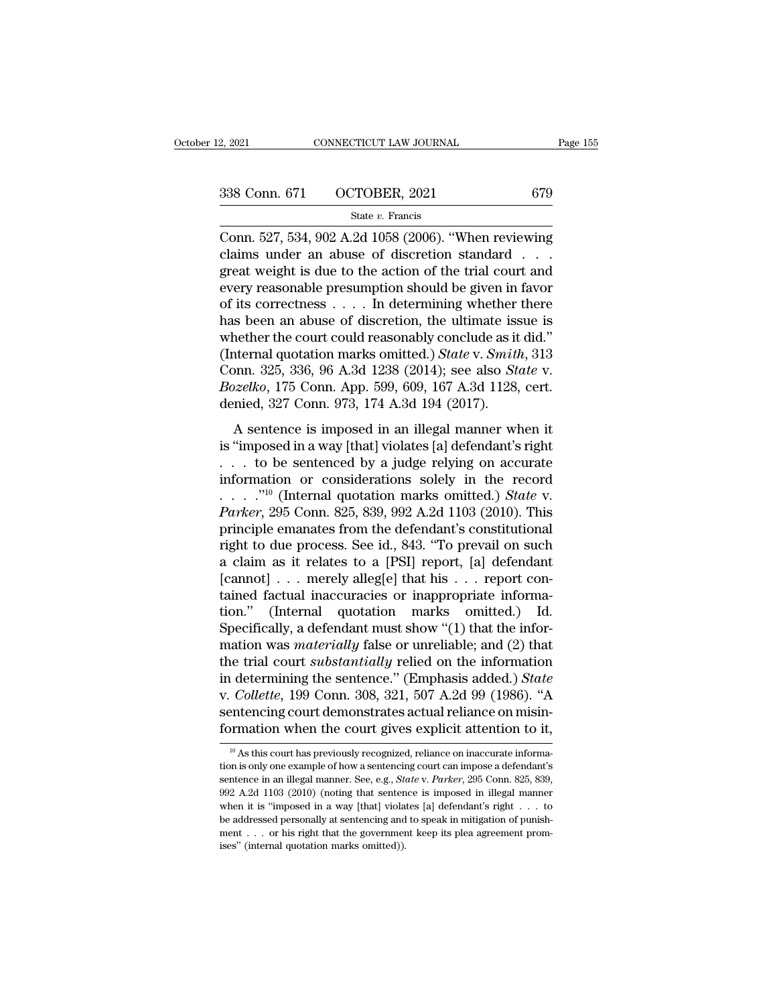| 2, 2021 | CONNECTICUT LAW JOURNAL     | Page 155 |
|---------|-----------------------------|----------|
|         | 338 Conn. 671 OCTOBER, 2021 | 679      |
|         | State $v$ . Francis         |          |

 $\begin{array}{cccc}\n & \text{2, } 2021 \text{} & \text{COMNETICUT LAW JOURNAL} & \text{Page 155}\n\hline\n\end{array}$ <br>  $\begin{array}{cccc}\n & \text{338 Conn. } 671 & \text{OCTOBER, } 2021 & 679 \\
\hline\n & \text{State } v. \text{ Francis} \\
\hline\n & \text{Conn. } 527, 534, 902 \text{ A.2d } 1058 (2006). \text{ "When reviewing claims under an abuse of discretion standard . . .}\n\end{array}$ 338 Conn. 671 OCTOBER, 2021 679<br>
State v. Francis<br>
Conn. 527, 534, 902 A.2d 1058 (2006). "When reviewing<br>
claims under an abuse of discretion standard . . .<br>
great weight is due to the action of the trial court and<br>
grow 338 Conn. 671 OCTOBER, 2021 679<br>
State v. Francis<br>
Conn. 527, 534, 902 A.2d 1058 (2006). "When reviewing<br>
claims under an abuse of discretion standard . . .<br>
great weight is due to the action of the trial court and<br>
every 338 Conn. 671 OCTOBER, 2021 679<br>
State v. Francis<br>
Conn. 527, 534, 902 A.2d 1058 (2006). "When reviewing<br>
claims under an abuse of discretion standard . . .<br>
great weight is due to the action of the trial court and<br>
every State v. Francis<br>Conn. 527, 534, 902 A.2d 1058 (2006). "When reviewing<br>claims under an abuse of discretion standard . . .<br>great weight is due to the action of the trial court and<br>every reasonable presumption should be giv State v. Francis<br>
Conn. 527, 534, 902 A.2d 1058 (2006). "When reviewing<br>
claims under an abuse of discretion standard . . .<br>
great weight is due to the action of the trial court and<br>
every reasonable presumption should be Conn. 527, 534, 902 A.2d 1058 (2006). "When reviewing<br>claims under an abuse of discretion standard . . .<br>great weight is due to the action of the trial court and<br>every reasonable presumption should be given in favor<br>of it claims under an abuse of discretion standard . . . .<br>great weight is due to the action of the trial court and<br>every reasonable presumption should be given in favor<br>of its correctness . . . . In determining whether there<br>ha great weight is due to the action of the trial court and<br>every reasonable presumption should be given in favor<br>of its correctness . . . . In determining whether there<br>has been an abuse of discretion, the ultimate issue is<br> every reasonable presumption should be given in favor<br>of its correctness . . . . In determining whether there<br>has been an abuse of discretion, the ultimate issue is<br>whether the court could reasonably conclude as it did."<br>( % of its correctness . . . . . In determining whether<br>has been an abuse of discretion, the ultimate iss<br>whether the court could reasonably conclude as it<br>(Internal quotation marks omitted.) *State* v. *Smith*<br>Conn. 325, 3 Exercise is seen an assay of discretion, the diamate issue is<br>nether the court could reasonably conclude as it did."<br>nternal quotation marks omitted.) State v. Smith, 313<br>pnn. 325, 336, 96 A.3d 1238 (2014); see also State The same of the conditional control of the view of the view (Internal quotation marks omitted.) State v. Smith, 313<br>Conn. 325, 336, 96 A.3d 1238 (2014); see also State v.<br>Bozelko, 175 Conn. App. 599, 609, 167 A.3d 1128, c

Conn. 325, 336, 96 A.3d 1238 (2014); see also *State v.*<br> *Bozelko*, 175 Conn. App. 599, 609, 167 A.3d 1128, cert.<br>
denied, 327 Conn. 973, 174 A.3d 194 (2017).<br>
A sentence is imposed in an illegal manner when it<br>
is "impo *Bozelko*, 175 Conn. App. 599, 609, 167 A.3d 1128, cert.<br>denied, 327 Conn. 973, 174 A.3d 194 (2017).<br>A sentence is imposed in an illegal manner when it<br>is "imposed in a way [that] violates [a] defendant's right<br>... to be Lexence, 110 column-1pp. 200, 300, 101 1120, 2012,<br>denied, 327 Conn. 973, 174 A.3d 194 (2017).<br>A sentence is imposed in an illegal manner when it<br>is "imposed in a way [that] violates [a] defendant's right<br>... to be sentenc A sentence is imposed in an illegal manner when it<br>is "imposed in a way [that] violates [a] defendant's right<br>... to be sentenced by a judge relying on accurate<br>information or considerations solely in the record<br>....."<sup>10</sup> A sentence is imposed in an illegal manner when it<br>is "imposed in a way [that] violates [a] defendant's right<br>... to be sentenced by a judge relying on accurate<br>information or considerations solely in the record<br>..."<sup>10</sup> is "imposed in a way [that] violates [a] defendant's right<br>
... to be sentenced by a judge relying on accurate<br>
information or considerations solely in the record<br>
...."<sup>10</sup> (Internal quotation marks omitted.) *State* v.<br> ... to be sentenced by a judge relying on accurate<br>information or considerations solely in the record<br>...."<sup>10</sup> (Internal quotation marks omitted.) *State* v.<br>*Parker*, 295 Conn. 825, 839, 992 A.2d 1103 (2010). This<br>princ [cannot] . . . merely alleg[e] that his . . . report con-....."<sup>10</sup> (Internal quotation marks omitted.) *State* v.<br>*Parker*, 295 Conn. 825, 839, 992 A.2d 1103 (2010). This<br>principle emanates from the defendant's constitutional<br>right to due process. See id., 843. "To prevail on Parker, 295 Conn. 825, 839, 992 A.2d 1103 (2010). This<br>principle emanates from the defendant's constitutional<br>right to due process. See id., 843. "To prevail on such<br>a claim as it relates to a [PSI] report, [a] defendant<br> principle emanates from the defendant's constitutional<br>right to due process. See id., 843. "To prevail on such<br>a claim as it relates to a [PSI] report, [a] defendant<br>[cannot] . . . merely alleg[e] that his . . . report co right to due process. See id., 843. "To prevail on such<br>a claim as it relates to a [PSI] report, [a] defendant<br>[cannot] . . . merely alleg[e] that his . . . report con-<br>tained factual inaccuracies or inappropriate informa a claim as it relates to a [PSI] report, [a] defendant<br>[cannot] . . . merely alleg[e] that his . . . report con-<br>tained factual inaccuracies or inappropriate informa-<br>tion." (Internal quotation marks omitted.) Id.<br>Specifi [cannot] . . . merely alleg[e] that his . . . report contained factual inaccuracies or inappropriate information." (Internal quotation marks omitted.) Id.<br>Specifically, a defendant must show "(1) that the information was tained factual inaccuracies or inappropriate information." (Internal quotation marks omitted.) Id.<br>Specifically, a defendant must show "(1) that the information was *materially* false or unreliable; and (2) that<br>the trial tion." (Internal quotation marks omitted.) Id.<br>Specifically, a defendant must show "(1) that the information was *materially* false or unreliable; and (2) that<br>the trial court *substantially* relied on the information<br>in d Specifically, a defendant must show "(1) that the information was *materially* false or unreliable; and (2) that the trial court *substantially* relied on the information in determining the sentence." (Emphasis added.) *S* in determining the sentence." (Emphasis added.) State<br>v. Collette, 199 Conn. 308, 321, 507 A.2d 99 (1986). "A v. *Collette*, 199 Conn. 308, 321, 507 A.2d 99 (1986). "A sentencing court demonstrates actual reliance on misinformation when the court gives explicit attention to it,  $\frac{10}{10}$  As this court has previously recognized,

sentencing court demonstrates actual reliance on misin-<br>formation when the court gives explicit attention to it,<br><sup>10</sup> As this court has previously recognized, reliance on inaccurate informa-<br>tion is only one example of how formation when the court gives explicit attention to it,<br>
<sup>10</sup> As this court has previously recognized, reliance on inaccurate information is only one example of how a sentencing court can impose a defendant's sentence in <sup>10</sup> As this court has previously recognized, reliance on inaccurate information is only one example of how a sentencing court can impose a defendant's sentence in an illegal manner. See, e.g., *State v. Parker*, 295 Conn <sup>10</sup> As this court has previously recognized, reliance on inaccurate information is only one example of how a sentencing court can impose a defendant's sentence in an illegal manner. See, e.g., *State v. Parker*, 295 Conn tion is only one example of how a sentencing court can impose a defendant's sentence in an illegal manner. See, e.g., *State v. Parker*, 295 Conn. 825, 839, 992 A.2d 1103 (2010) (noting that sentence is imposed in illegal sentence in an illegal manner. See, e.g., State v. Parker, 295 Conn. 825, 839,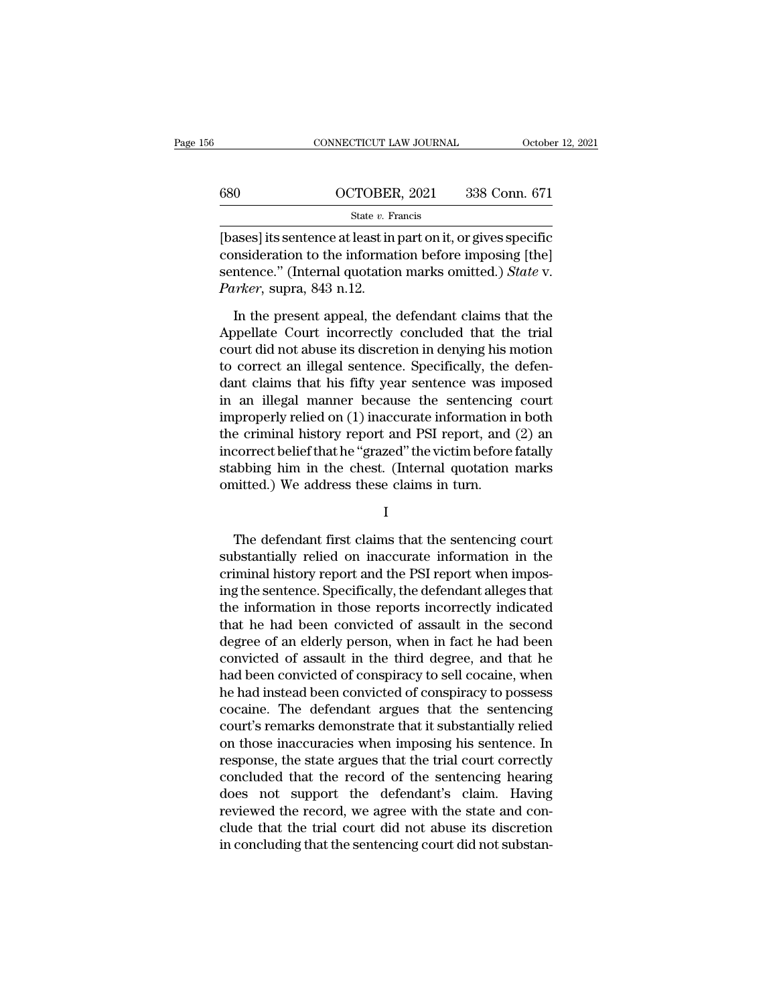|     | CONNECTICUT LAW JOURNAL | October 12, 2021 |
|-----|-------------------------|------------------|
|     |                         |                  |
| 680 | OCTOBER, 2021           | 338 Conn. 671    |
|     | State $v$ . Francis     |                  |

 $\begin{array}{|l|l|} \hline \text{COMNETICUT LAW JOURNAL} \hline & \text{October 12, 2021} \ \hline & \text{680} \hline & \text{OCTOBER, 2021} \ \hline & \text{State } v. \text{ Francis} \ \hline \text{[bases] its sentence at least in part on it, or gives specific consideration to the information before imposing [the]} \hline \text{contorage, "International question marks emitted.) State V.} \hline \end{array}$ 680 OCTOBER, 2021 338 Conn. 671<br>
State v. Francis<br>
[bases] its sentence at least in part on it, or gives specific<br>
consideration to the information before imposing [the]<br>
sentence." (Internal quotation marks omitted.) *St* 680 OCTOBER, 2021 338 Conn. 671<br>
State v. Francis<br>
[bases] its sentence at least in part on it, or gives specific<br>
consideration to the information before imposing [the]<br>
sentence.'' (Internal quotation marks omitted.) *St Parker, State v. From State v. From State v. From State v. From State v. From State v. From State v. Theory (Internal quotation Parker, supra, 843 n.12.<br><i>Parker, supra, 843 n.12.*<br>In the present appeal, the State  $v$ . Francis<br>
State  $v$ . Francis<br>
asses] its sentence at least in part on it, or gives specific<br>
msideration to the information before imposing [the]<br>
intence." (Internal quotation marks omitted.) *State* v.<br>
inter, [bases] its sentence at least in part on it, or gives specific<br>consideration to the information before imposing [the]<br>sentence." (Internal quotation marks omitted.) *State* v.<br>*Parker*, supra, 843 n.12.<br>In the present app

consideration to the information before imposing [the]<br>sentence." (Internal quotation marks omitted.) *State* v.<br>*Parker*, supra, 843 n.12.<br>In the present appeal, the defendant claims that the<br>Appellate Court incorrectly sentence." (Internal quotation marks omitted.) State v.<br> *Parker*, supra, 843 n.12.<br>
In the present appeal, the defendant claims that the<br>
Appellate Court incorrectly concluded that the trial<br>
court did not abuse its disc Parker, supra, 843 n.12.<br>
In the present appeal, the defendant claims that the<br>
Appellate Court incorrectly concluded that the trial<br>
court did not abuse its discretion in denying his motion<br>
to correct an illegal sentence In the present appeal, the defendant claims that the<br>Appellate Court incorrectly concluded that the trial<br>court did not abuse its discretion in denying his motion<br>to correct an illegal sentence. Specifically, the defen-<br>d In the present appeal, the defendant claims that the<br>Appellate Court incorrectly concluded that the trial<br>court did not abuse its discretion in denying his motion<br>to correct an illegal sentence. Specifically, the defen-<br>da Appellate Court incorrectly concluded that the trial<br>court did not abuse its discretion in denying his motion<br>to correct an illegal sentence. Specifically, the defen-<br>dant claims that his fifty year sentence was imposed<br>in court did not abuse its discretion in denying his motion<br>to correct an illegal sentence. Specifically, the defen-<br>dant claims that his fifty year sentence was imposed<br>in an illegal manner because the sentencing court<br>impro to correct an illegal sentence. Specifically, the defen-<br>dant claims that his fifty year sentence was imposed<br>in an illegal manner because the sentencing court<br>improperly relied on (1) inaccurate information in both<br>the cr dant claims that his fifty year sentence was in<br>in an illegal manner because the sentencing<br>improperly relied on (1) inaccurate information i<br>the criminal history report and PSI report, and<br>incorrect belief that he "grazed Example 1 and FST report, and (2) and<br>correct belief that he "grazed" the victim before fatally<br>abbing him in the chest. (Internal quotation marks<br>intted.) We address these claims in turn.<br>I<br>The defendant first claims tha

## I

meorrect benef that he grazed the victim before fatally<br>stabbing him in the chest. (Internal quotation marks<br>omitted.) We address these claims in turn.<br>I<br>The defendant first claims that the sentencing court<br>substantially r staboling full in the criest. (Internal quotation marks<br>
omitted.) We address these claims in turn.<br>
I<br>
The defendant first claims that the sentencing court<br>
substantially relied on inaccurate information in the<br>
criminal I<br>I<br>I<br>The defendant first claims that the sentencing court<br>substantially relied on inaccurate information in the<br>criminal history report and the PSI report when impos-<br>ing the sentence. Specifically, the defendant alleges I<br>The defendant first claims that the sentencing court<br>substantially relied on inaccurate information in the<br>criminal history report and the PSI report when impos-<br>ing the sentence. Specifically, the defendant alleges that The defendant first claims that the sentencing court<br>substantially relied on inaccurate information in the<br>criminal history report and the PSI report when impos-<br>ing the sentence. Specifically, the defendant alleges that<br>t The defendant first claims that the sentencing court<br>substantially relied on inaccurate information in the<br>criminal history report and the PSI report when impos-<br>ing the sentence. Specifically, the defendant alleges that<br>t substantially relied on inaccurate information in the<br>criminal history report and the PSI report when impos-<br>ing the sentence. Specifically, the defendant alleges that<br>the information in those reports incorrectly indicated criminal history report and the PSI report when impos-<br>ing the sentence. Specifically, the defendant alleges that<br>the information in those reports incorrectly indicated<br>that he had been convicted of assault in the second<br>d ing the sentence. Specifically, the defendant alleges that<br>the information in those reports incorrectly indicated<br>that he had been convicted of assault in the second<br>degree of an elderly person, when in fact he had been<br>co the information in those reports incorrectly indicated<br>that he had been convicted of assault in the second<br>degree of an elderly person, when in fact he had been<br>convicted of assault in the third degree, and that he<br>had bee that he had been convicted of assault in the second<br>degree of an elderly person, when in fact he had been<br>convicted of assault in the third degree, and that he<br>had been convicted of conspiracy to sell cocaine, when<br>he had degree of an elderly person, when in fact he had been<br>convicted of assault in the third degree, and that he<br>had been convicted of conspiracy to sell cocaine, when<br>he had instead been convicted of conspiracy to possess<br>coca convicted of assault in the third degree, and that he<br>had been convicted of conspiracy to sell cocaine, when<br>he had instead been convicted of conspiracy to possess<br>cocaine. The defendant argues that the sentencing<br>court's had been convicted of conspiracy to sell cocaine, when<br>he had instead been convicted of conspiracy to possess<br>cocaine. The defendant argues that the sentencing<br>court's remarks demonstrate that it substantially relied<br>on th he had instead been convicted of conspiracy to possess<br>cocaine. The defendant argues that the sentencing<br>court's remarks demonstrate that it substantially relied<br>on those inaccuracies when imposing his sentence. In<br>respons cocaine. The defendant argues that the sentencing<br>court's remarks demonstrate that it substantially relied<br>on those inaccuracies when imposing his sentence. In<br>response, the state argues that the trial court correctly<br>conc court's remarks demonstrate that it substantially relied<br>on those inaccuracies when imposing his sentence. In<br>response, the state argues that the trial court correctly<br>concluded that the record of the sentencing hearing<br>do on those inaccuracies when imposing his sentence. In response, the state argues that the trial court correctly concluded that the record of the sentencing hearing does not support the defendant's claim. Having reviewed the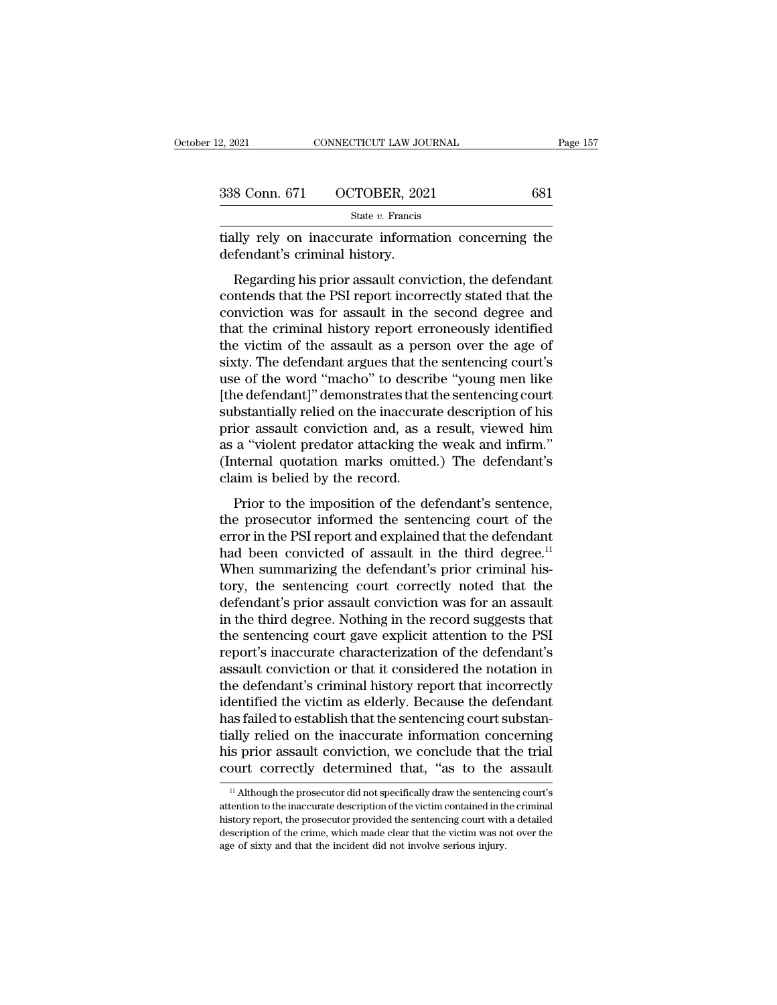| 2, 2021 | CONNECTICUT LAW JOURNAL     | Page 157 |
|---------|-----------------------------|----------|
|         | 338 Conn. 671 OCTOBER, 2021 | 681      |
|         | State $v$ . Francis         |          |

2, 2021 CONNECTICUT LAW JOURNAL Page 157<br>338 Conn. 671 OCTOBER, 2021 681<br>5tate v. Francis<br>tially rely on inaccurate information concerning the<br>defendant's criminal history. 338 Conn. 671 OCTOBER, 202<br>
<sup>State v.</sup> Francis<br>
tially rely on inaccurate informa<br>
defendant's criminal history.<br>
Regarding his prior assault conv

 $\frac{8 \text{ Conn. } 671 \qquad \text{OCTOBER, } 2021 \qquad \qquad 681}{81 \text{ GHz } v. \text{ Francis}}$ <br>
Illy rely on inaccurate information concerning the fendant's criminal history.<br>
Regarding his prior assault conviction, the defendant<br>
ntends that the PSI report 338 Conn. 671 OCTOBER, 2021 681<br>
State v. Francis<br>
tially rely on inaccurate information concerning the<br>
defendant's criminal history.<br>
Regarding his prior assault conviction, the defendant<br>
contends that the PSI report i State  $v$ . Francis<br>
defendant's criminal history.<br>
Regarding his prior assault conviction, the defendant<br>
contends that the PSI report incorrectly stated that the<br>
conviction was for assault in the second degree and<br>
that tially rely on inaccurate information concerning the<br>defendant's criminal history.<br>Regarding his prior assault conviction, the defendant<br>contends that the PSI report incorrectly stated that the<br>conviction was for assault i the victim of the word "machinal state" (and the defendant<br>contends that the PSI report incorrectly stated that the<br>conviction was for assault in the second degree and<br>that the criminal history report erroneously identifie Regarding his prior assault conviction, the defendant<br>contends that the PSI report incorrectly stated that the<br>conviction was for assault in the second degree and<br>that the criminal history report erroneously identified<br>the Regarding his prior assault conviction, the defendant<br>contends that the PSI report incorrectly stated that the<br>conviction was for assault in the second degree and<br>that the criminal history report erroneously identified<br>the contends that the PSI report incorrectly stated that the conviction was for assault in the second degree and that the criminal history report erroneously identified the victim of the assault as a person over the age of six conviction was for assault in the second degree and<br>that the criminal history report erroneously identified<br>the victim of the assault as a person over the age of<br>sixty. The defendant argues that the sentencing court's<br>use that the criminal history report erroneously identified<br>the victim of the assault as a person over the age of<br>sixty. The defendant argues that the sentencing court's<br>use of the word "macho" to describe "young men like<br>[the the victim of the assault as a person over the age of<br>sixty. The defendant argues that the sentencing court's<br>use of the word "macho" to describe "young men like<br>[the defendant]" demonstrates that the sentencing court<br>subs sixty. The defendant argues that the sentencing court's<br>use of the word "macho" to describe "young men like<br>[the defendant]" demonstrates that the sentencing court<br>substantially relied on the inaccurate description of his<br> use of the word "macho" to description (the defendant)" demonstrates that substantially relied on the inaccura prior assault conviction and, as a as a "violent predator attacking the (Internal quotation marks omitted claim Example in the imaccurate description of his<br>bstantially relied on the inaccurate description of his<br>a "violent predator attacking the weak and infirm."<br>termal quotation marks omitted.) The defendant's<br>aim is belied by the prior assault conviction and, as a result, viewed him<br>as a "violent predator attacking the weak and infirm."<br>(Internal quotation marks omitted.) The defendant's<br>claim is belied by the record.<br>Prior to the imposition of th

fried assault conviction and, as a result, viewed finition<br>as a "violent predator attacking the weak and infirm."<br>(Internal quotation marks omitted.) The defendant's<br>claim is belied by the record.<br>Prior to the imposition (Internal quotation marks omitted.) The defendant's<br>claim is belied by the record.<br>Prior to the imposition of the defendant's sentence,<br>the prosecutor informed the sentencing court of the<br>error in the PSI report and expla Claim is belied by the record.<br>
Prior to the imposition of the defendant's sentence,<br>
the prosecutor informed the sentencing court of the<br>
error in the PSI report and explained that the defendant<br>
had been convicted of as Prior to the imposition of the defendant's sentence,<br>the prosecutor informed the sentencing court of the<br>error in the PSI report and explained that the defendant<br>had been convicted of assault in the third degree.<sup>11</sup><br>When Prior to the imposition of the defendant's sentence,<br>the prosecutor informed the sentencing court of the<br>error in the PSI report and explained that the defendant<br>had been convicted of assault in the third degree.<sup>11</sup><br>When the prosecutor informed the sentencing court of the<br>error in the PSI report and explained that the defendant<br>had been convicted of assault in the third degree.<sup>11</sup><br>When summarizing the defendant's prior criminal his-<br>tory, error in the PSI report and explained that the defendant<br>had been convicted of assault in the third degree.<sup>11</sup><br>When summarizing the defendant's prior criminal his-<br>tory, the sentencing court correctly noted that the<br>defen had been convicted of assault in the third degree.<sup>11</sup><br>When summarizing the defendant's prior criminal history, the sentencing court correctly noted that the<br>defendant's prior assault conviction was for an assault<br>in the t When summarizing the defendant's prior criminal history, the sentencing court correctly noted that the defendant's prior assault conviction was for an assault in the third degree. Nothing in the record suggests that the se tory, the sentencing court correctly noted that the<br>defendant's prior assault conviction was for an assault<br>in the third degree. Nothing in the record suggests that<br>the sentencing court gave explicit attention to the PSI<br>r defendant's prior assault conviction was for an assault<br>in the third degree. Nothing in the record suggests that<br>the sentencing court gave explicit attention to the PSI<br>report's inaccurate characterization of the defendant in the third degree. Nothing in the record suggests that<br>the sentencing court gave explicit attention to the PSI<br>report's inaccurate characterization of the defendant's<br>assault conviction or that it considered the notation the sentencing court gave explicit attention to the PSI<br>report's inaccurate characterization of the defendant's<br>assault conviction or that it considered the notation in<br>the defendant's criminal history report that incorrec report's inaccurate characterization of the defendant's<br>assault conviction or that it considered the notation in<br>the defendant's criminal history report that incorrectly<br>identified the victim as elderly. Because the defend assault conviction or that it considered the notation in<br>the defendant's criminal history report that incorrectly<br>identified the victim as elderly. Because the defendant<br>has failed to establish that the sentencing court su as failed to establish that the sentencing court substanally relied on the inaccurate information concerning<br>is prior assault conviction, we conclude that the trial<br>ourt correctly determined that, "as to the assault<br><sup>11</sup> A tially relied on the inaccurate information concerning<br>his prior assault conviction, we conclude that the trial<br>court correctly determined that, "as to the assault<br> $\frac{1}{1}$  Although the prosecutor did not specifically dr

his prior assault conviction, we conclude that the trial court correctly determined that, "as to the assault  $\frac{1}{1}$  Although the prosecutor did not specifically draw the sentencing court's attention to the inaccurate d First dissued solventized, we solved that the critical court correctly determined that, "as to the assault if a detailed  $\frac{1}{2}$  attention to the inaccurate description of the victim contained in the criminal history rep age of sixty and that the incident did not involve serious injury.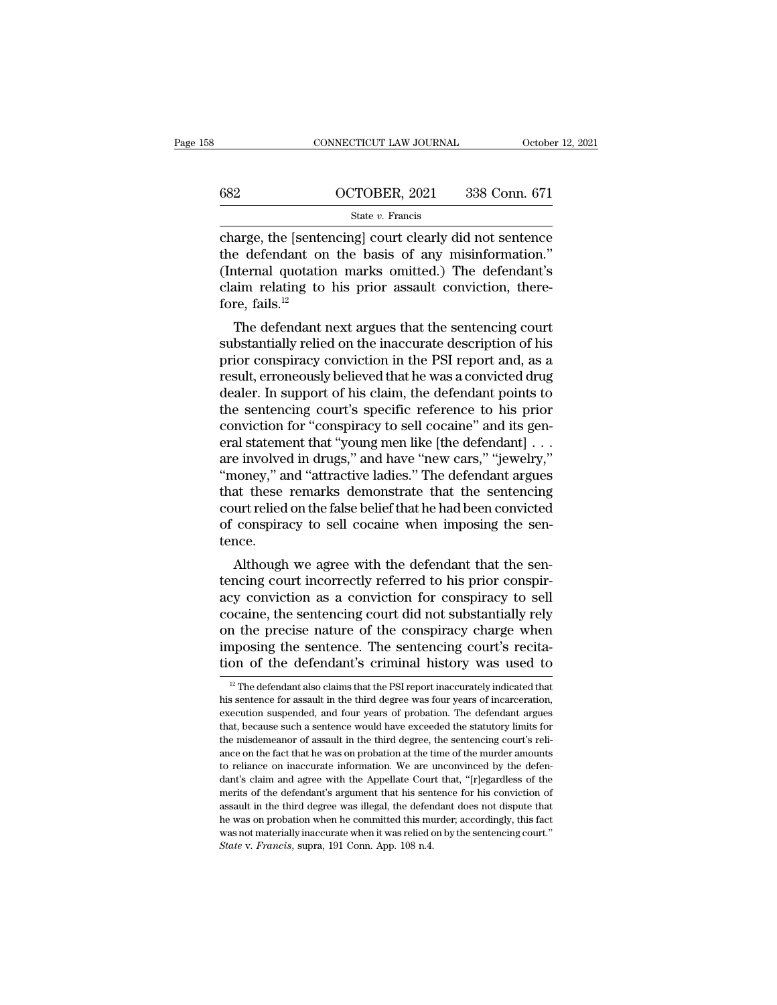## CONNECTICUT LAW JOURNAL October 12, 2021<br>682 OCTOBER, 2021 338 Conn. 671<br>5tate v. Francis State *v.* Francis

CONNECTICUT LAW JOURNAL October 12, 2021<br>
COCTOBER, 2021 338 Conn. 671<br>
State v. Francis<br>
Charge, the [sentencing] court clearly did not sentence<br>
the defendant on the basis of any misinformation."<br>
(Internal quotation ma  $\begin{array}{r} \n 682 \quad \text{OCTOBER, 2021} \quad 338 \text{ Conn. } 671 \quad \text{State } v. \text{ Francis} \n \end{array}$ <br>
charge, the [sentencing] court clearly did not sentence<br>
the defendant on the basis of any misinformation.''<br>
(Internal quotation marks omitted.) The d (682 correction marks ominated.) The defendant on the basis of any misinformation.)<br>
(Internal quotation marks omitted.) The defendant's<br>
claim relating to his prior assault conviction, there-<br>
fore fails  $^{12}$ 682 **COCTOBER, 2021** 338 Conn. 671<br>
State v. Francis<br>
charge, the [sentencing] court clearly did not sentence<br>
the defendant on the basis of any misinformation."<br>
(Internal quotation marks omitted.) The defendant's<br>
claim charge, the [senter]<br>the defendant or<br>(Internal quotatic<br>claim relating to<br>fore, fails.<sup>12</sup><br>The defendant i arge, the [sentencing] court clearly did not sentence<br>e defendant on the basis of any misinformation."<br>ternal quotation marks omitted.) The defendant's<br>aim relating to his prior assault conviction, there-<br>re, fails.<sup>12</sup><br>T Enarge, the psententing court clearly did not sentence<br>the defendant on the basis of any misinformation."<br>(Internal quotation marks omitted.) The defendant's<br>claim relating to his prior assault conviction, there-<br>fore, fai

the defendant on the basis of any mismionhation.<br>
(Internal quotation marks omitted.) The defendant's<br>
claim relating to his prior assault conviction, there-<br>
fore, fails.<sup>12</sup><br>
The defendant next argues that the sentencing (internal quotation marks omitted.) The defendant is<br>claim relating to his prior assault conviction, there-<br>fore, fails.<sup>12</sup><br>The defendant next argues that the sentencing court<br>substantially relied on the inaccurate descr claim relating to his prior assaut conviction, therefore, fails.<sup>12</sup><br>The defendant next argues that the sentencing court<br>substantially relied on the inaccurate description of his<br>prior conspiracy conviction in the PSI rep The defendant next argues that the sentencing court<br>substantially relied on the inaccurate description of his<br>prior conspiracy conviction in the PSI report and, as a<br>result, erroneously believed that he was a convicted dru The defendant next argues that the sentencing court<br>substantially relied on the inaccurate description of his<br>prior conspiracy conviction in the PSI report and, as a<br>result, erroneously believed that he was a convicted dru substantially relied on the inaccurate description of his<br>prior conspiracy conviction in the PSI report and, as a<br>result, erroneously believed that he was a convicted drug<br>dealer. In support of his claim, the defendant poi prior conspiracy conviction in the PSI report and, as a<br>result, erroneously believed that he was a convicted drug<br>dealer. In support of his claim, the defendant points to<br>the sentencing court's specific reference to his pr result, erroneously believed that he was a convicted drug<br>
dealer. In support of his claim, the defendant points to<br>
the sentencing court's specific reference to his prior<br>
conviction for "conspiracy to sell cocaine" and i dealer. In support of his claim, the defendant points to<br>the sentencing court's specific reference to his prior<br>conviction for "conspiracy to sell cocaine" and its gen-<br>eral statement that "young men like [the defendant] . the sentencing court's specific reference to his prior<br>conviction for "conspiracy to sell cocaine" and its gen-<br>eral statement that "young men like [the defendant] . . .<br>are involved in drugs," and have "new cars," "jewelr conviction for "conspiracy to sell cocaine" and its general statement that "young men like [the defendant] . . . are involved in drugs," and have "new cars," "jewelry," "money," and "attractive ladies." The defendant argue tence. E involved in drugs, and have thew cars, geweny,<br>noney," and "attractive ladies." The defendant argues<br>at these remarks demonstrate that the sentencing<br>urt relied on the false belief that he had been convicted<br>conspiracy t money, and attractive radies. The defendant argues<br>that these remarks demonstrate that the sentencing<br>court relied on the false belief that he had been convicted<br>of conspiracy to sell cocaine when imposing the sen-<br>tence.<br>

mat these remarks demonstrate that the sentencing<br>court relied on the false belief that he had been convicted<br>of conspiracy to sell cocaine when imposing the sen-<br>tence.<br>Although we agree with the defendant that the sen-<br>t court renea on the raise beneficial rie had been convicted<br>of conspiracy to sell cocaine when imposing the sen-<br>tence.<br>Although we agree with the defendant that the sen-<br>tencing court incorrectly referred to his prior cons on conspiracy to sen cocaine when imposing the sent-<br>tence.<br>Although we agree with the defendant that the sen-<br>tencing court incorrectly referred to his prior conspir-<br>acy conviction as a conviction for conspiracy to sell<br> Although we agree with the defendant that the sentencing court incorrectly referred to his prior conspiracy conviction as a conviction for conspiracy to sell cocaine, the sentencing court did not substantially rely on the Although we agree with the defendant that the sentencing court incorrectly referred to his prior conspiracy conviction as a conviction for conspiracy to sell cocaine, the sentencing court did not substantially rely on the becaine, the sentencing court did not substantially rely<br>in the precise nature of the conspiracy charge when<br>apposing the sentence. The sentencing court's recita-<br>on of the defendant's criminal history was used to<br><sup>12</sup> The on the precise nature of the conspiracy charge when<br>imposing the sentence. The sentencing court's recita-<br>tion of the defendant's criminal history was used to<br> $\frac{12}{12}$  The defendant also claims that the PSI report inac

imposing the sentence. The sentencing court's recitation of the defendant's criminal history was used to  $\frac{12}{12}$  The defendant also claims that the PSI report inaccurately indicated that his sentence for assault in th tion of the defendant's criminal history was used to<br>
<sup>12</sup> The defendant also claims that the PSI report inaccurately indicated that<br>
his sentence for assault in the third degree was four years of incarceration,<br>
executio The misdemeanor of assault in the third degree was four years of incarceration,  $\frac{12}{12}$  The defendant also claims that the PSI report inaccurately indicated that his sentence for assault in the third degree was four y <sup>12</sup> The defendant also claims that the PSI report inaccurately indicated that his sentence for assault in the third degree was four years of incarceration, execution suspended, and four years of probation. The defendant his sentence for assault in the third degree was four years of incarceration, execution suspended, and four years of probation. The defendant argues that, because such a sentence would have exceeded the statutory limits fo execution suspended, and four years of probation. The defendant argues<br>execution suspended, and four years of probation. The defendant argues<br>that, because such a sentence would have exceeded the statutory limits for<br>the m that, because such a sentence would have exceeded the statutory limits for the misdemeanor of assault in the third degree, the sentencing court's reliance on the fact that he was on probation at the time of the murder amou assume the misdemeanor of assault in the third degree, the sentencing court's reliance on the fact that he was on probation at the time of the murder amounts to reliance on inaccurate information. We are unconvinced by the ance on the fact that he was on probation at the time of the murder amounts to reliance on inaccurate information. We are unconvinced by the defendant's claim and agree with the Appellate Court that, "[r]egardless of the as the materially inaccurate information. We are unconvinced by the defendant's claim and agree with the Appellate Court that, "[r]egardless of the merits of the defendant's argument that his sentence for his conviction of dant's claim and agree with the Appellate Cournerits of the defendant's argument that his sent assault in the third degree was illegal, the defendence was on probation when he committed this muss not materially inaccurate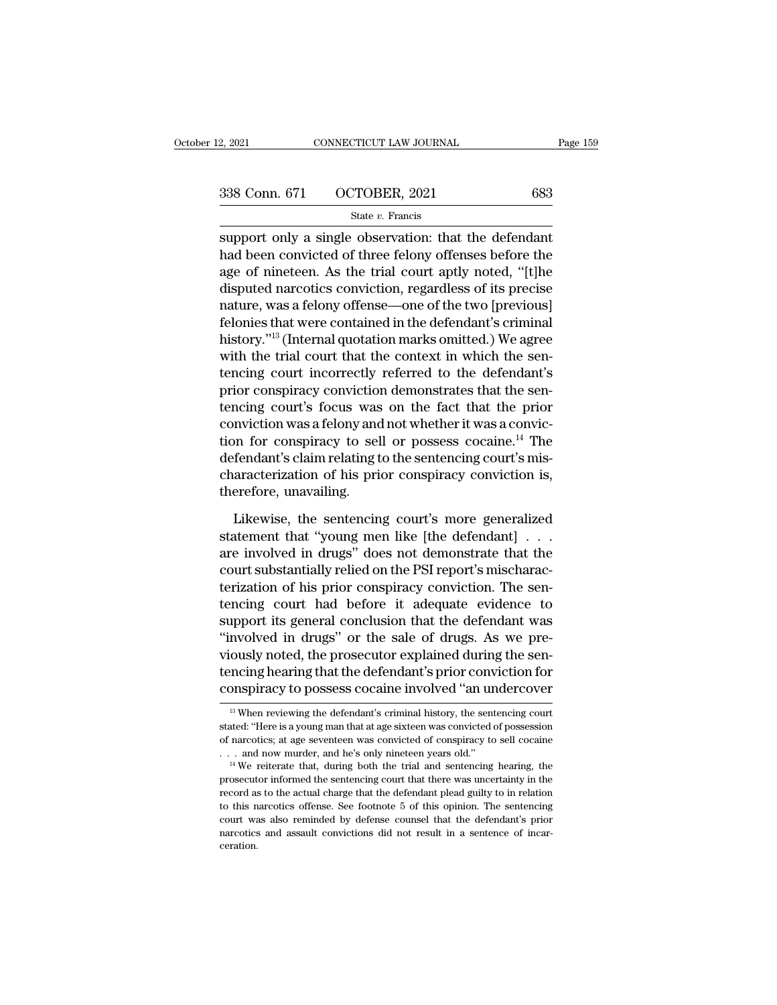# EXECTS 2, 2021 CONNECTICUT LAW JOURNAL Page 159<br>338 Conn. 671 OCTOBER, 2021 683<br>5tate v. Francis

## State *v.* Francis

 $\begin{array}{r|l} \text{2, } 2021 \text{} & \text{COMRECTICUT LAW JOURNAL} \end{array}$  Page 15.<br>  $\begin{array}{r|l} \text{338 Conn. 671} & \text{OCTOBER, } 2021 \text{} & \text{683} \end{array}$ <br>  $\begin{array}{r|l} \text{State } v. \text{ Francis} \end{array}$ <br>
support only a single observation: that the defendant<br>
had been convicted of 338 Conn. 671 OCTOBER, 2021 683<br>
State v. Francis<br>
support only a single observation: that the defendant<br>
had been convicted of three felony offenses before the<br>
age of nineteen. As the trial court aptly noted, "[t]he<br>
dig 338 Conn. 671 OCTOBER, 2021 683<br>
State v. Francis<br>
support only a single observation: that the defendant<br>
had been convicted of three felony offenses before the<br>
age of nineteen. As the trial court aptly noted, "[t]he<br>
di 338 Conn. 671 OCTOBER, 2021 683<br>
State v. Francis<br>
Support only a single observation: that the defendant<br>
had been convicted of three felony offenses before the<br>
age of nineteen. As the trial court aptly noted, "[t]he<br>
di State *v*. Francis<br>support only a single observation: that the defendant<br>had been convicted of three felony offenses before the<br>age of nineteen. As the trial court aptly noted, "[t]he<br>disputed narcotics conviction, regard support only a single observation: that the defendant<br>had been convicted of three felony offenses before the<br>age of nineteen. As the trial court aptly noted, "[t]he<br>disputed narcotics conviction, regardless of its precise support only a single observation: that the defendant<br>had been convicted of three felony offenses before the<br>age of nineteen. As the trial court aptly noted, "[t]he<br>disputed narcotics conviction, regardless of its precise<br> had been convicted of three felony offenses before the<br>age of nineteen. As the trial court aptly noted, "[t]he<br>disputed narcotics conviction, regardless of its precise<br>nature, was a felony offense—one of the two [previous] age of nineteen. As the trial court aptly noted, "[t]he<br>disputed narcotics conviction, regardless of its precise<br>nature, was a felony offense—one of the two [previous]<br>felonies that were contained in the defendant's crimin disputed narcotics conviction, regardless of its precise<br>nature, was a felony offense—one of the two [previous]<br>felonies that were contained in the defendant's criminal<br>history."<sup>13</sup> (Internal quotation marks omitted.) We nature, was a felony offense—one of the two [previous]<br>felonies that were contained in the defendant's criminal<br>history."<sup>13</sup> (Internal quotation marks omitted.) We agree<br>with the trial court that the context in which the felonies that were contained in the defendant's criminal<br>history."<sup>13</sup> (Internal quotation marks omitted.) We agree<br>with the trial court that the context in which the sen-<br>tencing court incorrectly referred to the defenda history."<sup>13</sup> (Internal quotation marks omitted.) We agree<br>with the trial court that the context in which the sen-<br>tencing court incorrectly referred to the defendant's<br>prior conspiracy conviction demonstrates that the sen with the trial court that the context in which the sentencing court incorrectly referred to the defendant's prior conspiracy conviction demonstrates that the sentencing court's focus was on the fact that the prior convicti tencing court incorrectly referred to the defendant's<br>prior conspiracy conviction demonstrates that the sen-<br>tencing court's focus was on the fact that the prior<br>conviction was a felony and not whether it was a convic-<br>tio prior conspiracy conviction<br>tencing court's focus was<br>conviction was a felony and<br>tion for conspiracy to sel<br>defendant's claim relating t<br>characterization of his pri<br>therefore, unavailing.<br>Likewise, the sentencin mviction was a felony and not whether it was a conviction<br>on for conspiracy to sell or possess cocaine.<sup>14</sup> The<br>fendant's claim relating to the sentencing court's mis-<br>aracterization of his prior conspiracy conviction is,<br> tion for conspiracy to sell or possess cocaine.<sup>14</sup> The defendant's claim relating to the sentencing court's mis-<br>characterization of his prior conspiracy conviction is, therefore, unavailing.<br>Likewise, the sentencing cou

defendant's claim relating to the sentencing court's mis-<br>characterization of his prior conspiracy conviction is,<br>therefore, unavailing.<br>Likewise, the sentencing court's more generalized<br>statement that "young men like [the characterization of his prior conspiracy conviction is,<br>therefore, unavailing.<br>Likewise, the sentencing court's more generalized<br>statement that "young men like [the defendant] . . .<br>are involved in drugs" does not demonstr therefore, unavailing.<br>
Likewise, the sentencing court's more generalized<br>
statement that "young men like [the defendant]...<br>
are involved in drugs" does not demonstrate that the<br>
court substantially relied on the PSI repo Likewise, the sentencing court's more generalized<br>statement that "young men like [the defendant]  $\ldots$ <br>are involved in drugs" does not demonstrate that the<br>court substantially relied on the PSI report's mischarac-<br>terizat Likewise, the sentencing court's more generalized<br>statement that "young men like [the defendant]  $\ldots$ <br>are involved in drugs" does not demonstrate that the<br>court substantially relied on the PSI report's mischarac-<br>terizat statement that "young men like [the defendant] . . .<br>are involved in drugs" does not demonstrate that the<br>court substantially relied on the PSI report's mischarac-<br>terization of his prior conspiracy conviction. The sen-<br>te are involved in drugs" does not demonstrate that the<br>court substantially relied on the PSI report's mischarac-<br>terization of his prior conspiracy conviction. The sen-<br>tencing court had before it adequate evidence to<br>suppor court substantially relied on the PSI report's mischaracterization of his prior conspiracy conviction. The sentencing court had before it adequate evidence to support its general conclusion that the defendant was "involved terization of his prior conspiracy conviction. The sentencing court had before it adequate evidence to support its general conclusion that the defendant was "involved in drugs" or the sale of drugs. As we previously noted, "involved in drugs" or the sale of drugs. As we previously noted, the prosecutor explained during the sentencing hearing that the defendant's prior conviction for conspiracy to possess cocaine involved "an undercover  $\frac{$ viously noted, the prosecutor explained during the sentencing hearing that the defendant's prior conviction for conspiracy to possess cocaine involved "an undercover  $\frac{13}{13}$  When reviewing the defendant's criminal hist

tencing hearing that the defendant's prior conviction for conspiracy to possess cocaine involved "an undercover<br> $\frac{18}{12}$  When reviewing the defendant's criminal history, the sentencing court stated: "Here is a young ma **CONSPITACY TO POSSESS COCAINE INVOLVED "** <sup>13</sup> When reviewing the defendant's criminal history, the sentencing court stated: "Here is a young man that at age sixteen was convicted of possession of narcotics; at age seven <sup>13</sup> When reviewing the defendant's criminal history, the sentencing court stated: "Here is a young man that at age sixteen was convicted of possession of narcotics; at age seventeen was convicted of conspiracy to sell co

stated: "Here is a young man that at age sixteen was convicted of possession of narcotics; at age seventeen was convicted of conspiracy to sell cocaine . . . and now murder, and he's only nineteen years old."<br>
<sup>14</sup> We rei of narcotics; at age seventeen was convicted of conspiracy to sell cocaine ... and now murder, and he's only nineteen years old."<br><sup>14</sup> We reiterate that, during both the trial and sentencing hearing, the prosecutor inform Example 1. And now murder, and he's only nineteen years old."<br>
<sup>14</sup> We reiterate that, during both the trial and sentencing hearing, the prosecutor informed the sentencing court that there was uncertainty in the record as <sup>14</sup> We reiterate that, during both the trial and sentencing hearing, the prosecutor informed the sentencing court that there was uncertainty in the record as to the actual charge that the defendant plead guilty to in rel ceration.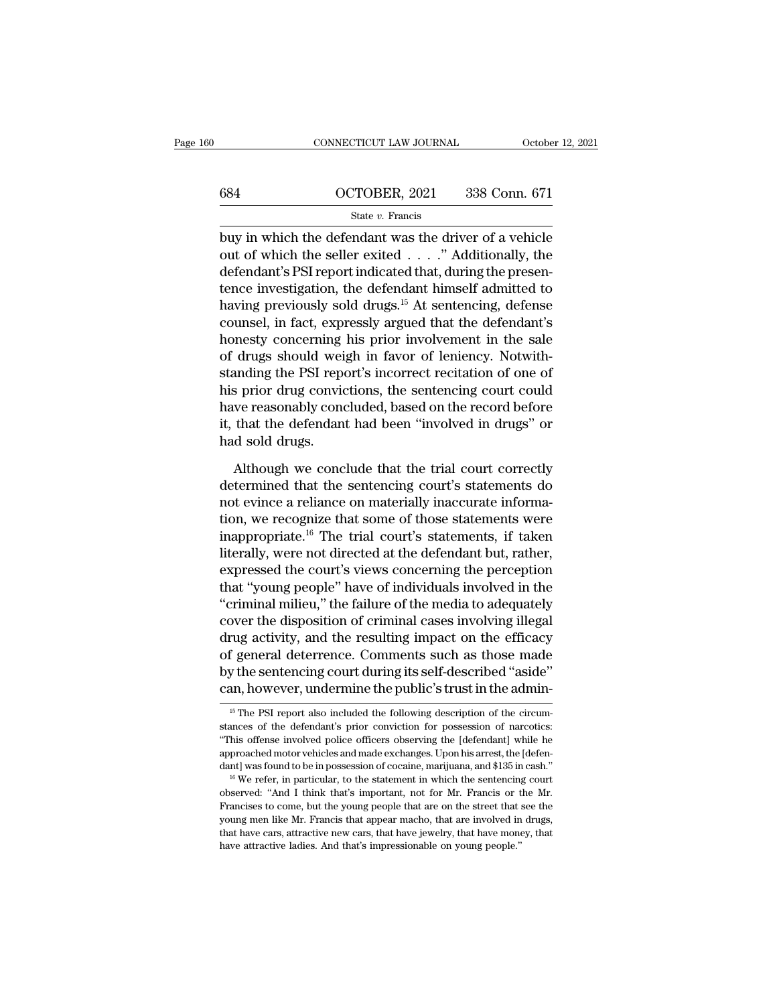# CONNECTICUT LAW JOURNAL October 12, 2021<br>684 OCTOBER, 2021 338 Conn. 671<br>5tate v. Francis

## State *v.* Francis

 $\begin{array}{|l|l|} \hline \text{COMNETICUT LAW JOURNAL} & \text{October 12, 2021} \ \hline \text{684} & \text{OCTOBER, 2021} & \text{338 Conn. 671} \ \hline \text{State } v. \text{ Francis} \ \hline \text{buy in which the defendant was the driver of a vehicle} \hline \text{out of which the seller exited . . . . . " Additionally, the defendant's PET convert indicated that during the program.} \hline \end{array}$ 684 OCTOBER, 2021 338 Conn. 671<br>  $\frac{\text{State } v. \text{ Francis}}{\text{buy in which the defendant was the driver of a vehicle}}$ <br>
out of which the seller exited . . . . " Additionally, the<br>
defendant's PSI report indicated that, during the presen-684 OCTOBER, 2021 338 Conn. 671<br>
State v. Francis<br>
buy in which the defendant was the driver of a vehicle<br>
out of which the seller exited . . . . ." Additionally, the<br>
defendant's PSI report indicated that, during the pre 684 **CCTOBER**, 2021 338 Conn. 671<br>
state *v*. Francis<br>
buy in which the defendant was the driver of a vehicle<br>
out of which the seller exited . . . ." Additionally, the<br>
defendant's PSI report indicated that, during the p State v. Francis<br>
buy in which the defendant was the driver of a vehicle<br>
out of which the seller exited . . . . ." Additionally, the<br>
defendant's PSI report indicated that, during the presen-<br>
tence investigation, the de state *v*. Francis<br>buy in which the defendant was the driver of a vehicle<br>out of which the seller exited . . . ." Additionally, the<br>defendant's PSI report indicated that, during the presen-<br>tence investigation, the defend buy in which the defendant was the driver of a vehicle<br>out of which the seller exited  $\ldots$ ." Additionally, the<br>defendant's PSI report indicated that, during the presen-<br>tence investigation, the defendant himself admitted out of which the seller exited . . . ." Additionally, the<br>defendant's PSI report indicated that, during the presen-<br>tence investigation, the defendant himself admitted to<br>having previously sold drugs.<sup>15</sup> At sentencing, de defendant's PSI report indicated that, during the presen-<br>tence investigation, the defendant himself admitted to<br>having previously sold drugs.<sup>15</sup> At sentencing, defense<br>counsel, in fact, expressly argued that the defendan tence investigation, the defendant himself admitted to<br>having previously sold drugs.<sup>15</sup> At sentencing, defense<br>counsel, in fact, expressly argued that the defendant's<br>honesty concerning his prior involvement in the sale<br>o having previously sold drugs.<sup>15</sup> At sentencing, defense<br>counsel, in fact, expressly argued that the defendant's<br>honesty concerning his prior involvement in the sale<br>of drugs should weigh in favor of leniency. Notwith-<br>sta counsel, in fact, expressly argued that the defendant's<br>honesty concerning his prior involvement in the sale<br>of drugs should weigh in favor of leniency. Notwith-<br>standing the PSI report's incorrect recitation of one of<br>his honesty concerning<br>of drugs should wei<br>standing the PSI repo<br>his prior drug convid<br>have reasonably cond<br>it, that the defendan<br>had sold drugs.<br>Although we conc Although we convictions, the sentencing court could<br>are reasonably concluded, based on the record before<br>that the defendant had been "involved in drugs" or<br>d sold drugs.<br>Although we conclude that the trial court correctly<br> his prior drug convictions, the sentencing court could<br>have reasonably concluded, based on the record before<br>it, that the defendant had been "involved in drugs" or<br>had sold drugs.<br>Although we conclude that the trial court

have reasonably concluded, based on the record before<br>it, that the defendant had been "involved in drugs" or<br>had sold drugs.<br>Although we conclude that the trial court correctly<br>determined that the sentencing court's statem it, that the defendant had been "involved in drugs" or<br>had sold drugs.<br>Although we conclude that the trial court correctly<br>determined that the sentencing court's statements do<br>not evince a reliance on materially inaccurate had sold drugs.<br>
Although we conclude that the trial court correctly<br>
determined that the sentencing court's statements do<br>
not evince a reliance on materially inaccurate informa-<br>
tion, we recognize that some of those sta Although we conclude that the trial court correctly<br>determined that the sentencing court's statements do<br>not evince a reliance on materially inaccurate informa-<br>tion, we recognize that some of those statements were<br>inappro Although we conclude that the trial court correctly<br>determined that the sentencing court's statements do<br>not evince a reliance on materially inaccurate informa-<br>tion, we recognize that some of those statements were<br>inappro determined that the sentencing court's statements do<br>not evince a reliance on materially inaccurate informa-<br>tion, we recognize that some of those statements were<br>inappropriate.<sup>16</sup> The trial court's statements, if taken<br>l not evince a reliance on materially inaccurate informa-<br>tion, we recognize that some of those statements were<br>inappropriate.<sup>16</sup> The trial court's statements, if taken<br>literally, were not directed at the defendant but, rat tion, we recognize that some of those statements were<br>inappropriate.<sup>16</sup> The trial court's statements, if taken<br>literally, were not directed at the defendant but, rather,<br>expressed the court's views concerning the percepti inappropriate.<sup>16</sup> The trial court's statements, if taken<br>literally, were not directed at the defendant but, rather,<br>expressed the court's views concerning the perception<br>that "young people" have of individuals involved in literally, were not directed at the defendant but, rather,<br>expressed the court's views concerning the perception<br>that "young people" have of individuals involved in the<br>"criminal milieu," the failure of the media to adequa expressed the court's views concerning the perception<br>that "young people" have of individuals involved in the<br>"criminal milieu," the failure of the media to adequately<br>cover the disposition of criminal cases involving ille that "young people" have of individuals involved in the<br>"criminal milieu," the failure of the media to adequately<br>cover the disposition of criminal cases involving illegal<br>drug activity, and the resulting impact on the eff drug activity, and the resulting impact on the efficacy<br>of general deterrence. Comments such as those made<br>by the sentencing court during its self-described "aside"<br>can, however, undermine the public's trust in the admin-<br> of general deterrence. Comments such as those made<br>by the sentencing court during its self-described "aside"<br>can, however, undermine the public's trust in the admin-<br><sup>15</sup> The PSI report also included the following descript

by the sentencing court during its self-described "aside"<br>can, however, undermine the public's trust in the admin-<br><sup>15</sup> The PSI report also included the following description of the circum-<br>stances of the defendant's prior can, however, undermine the public's trust in the admin-<br>  $\frac{15 \text{ The PSI report also included the following description of the circumstances of the defendant's prior conviction for possession of narcotics: \frac{15}{100}}$  "This offense involved police officers observing the [defendant] while he approached motor vehicles and made exchange The PSI report also included the following description of the circum-<br>stances of the defendant's prior conviction for possession of narcotics:<br>"This offense involved police officers observing the [defendant] while he<br>appr stances of the defendant's prior conviction for possession of narcotics: "This offense involved police officers observing the [defendant] while he approached motor vehicles and made exchanges. Upon his arrest, the [defend dant] was found to be in possession of cocaine, marijuana, and \$135 in cash."

<sup>&</sup>quot;This offense involved police officers observing the [defendant] while he approached motor vehicles and made exchanges. Upon his arrest, the [defendant] was found to be in possession of cocaine, marijuana, and \$135 in cas approached motor vehicles and made exchanges. Upon his arrest, the [defendant] was found to be in possession of cocaine, marijuana, and \$135 in cash." <sup>16</sup> We refer, in particular, to the statement in which the sentencing observed: "And I think that's important, not for Mr. Francis or the Mr.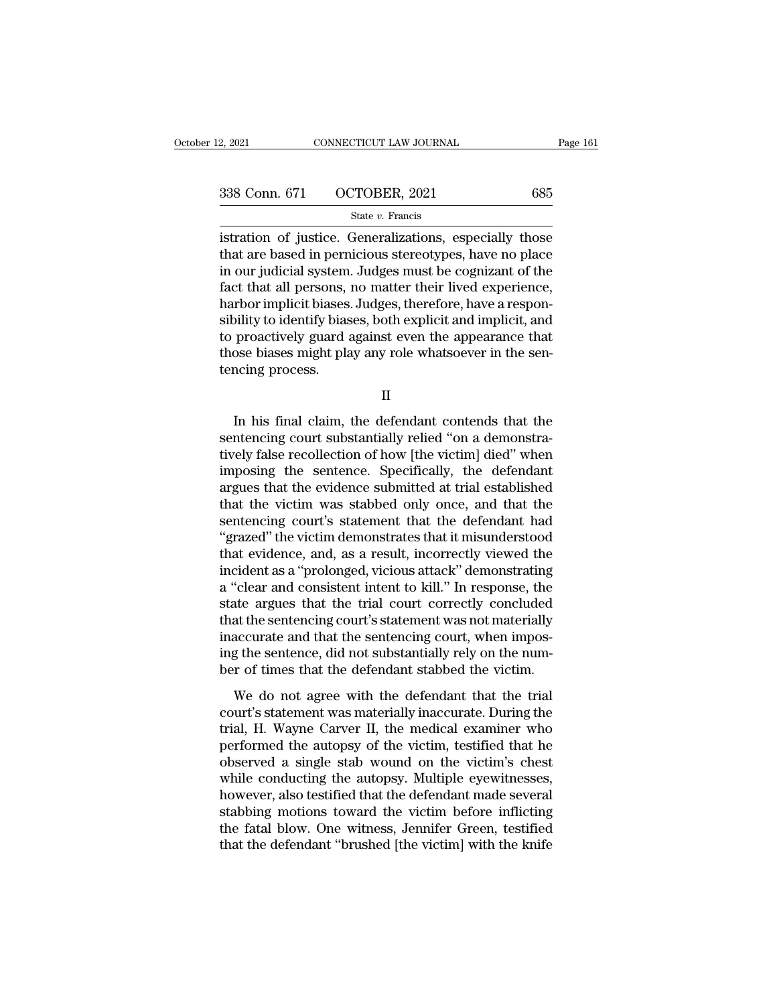| 2, 2021 | CONNECTICUT LAW JOURNAL     | Page 161 |
|---------|-----------------------------|----------|
|         | 338 Conn. 671 OCTOBER, 2021 | 685      |
|         | State $v$ . Francis         |          |

2, 2021 CONNECTICUT LAW JOURNAL Page 161<br>
338 Conn. 671 OCTOBER, 2021 685<br>  $\frac{\text{State } v. \text{ Francis}}{\text{if. } v. \text{ Francis}}$ <br>  $\frac{\text{if. } v. \text{E} \times \text{B} \times \text{B}}{\text{if. } v. \text{S} \times \text{B}}$ <br>  $\frac{\text{if. } v. \text{F} \times \text{C} \times \text{C} \times \text{D}}{\text{if. } v. \text{F} \times \text{D}}$ <br>  $\$ 338 Conn. 671 OCTOBER, 2021 685<br>
state v. Francis<br>
istration of justice. Generalizations, especially those<br>
that are based in pernicious stereotypes, have no place<br>
in our judicial system. Judges must be cognizant of the<br> 338 Conn. 671 OCTOBER, 2021 685<br>
State v. Francis<br>
istration of justice. Generalizations, especially those<br>
that are based in pernicious stereotypes, have no place<br>
in our judicial system. Judges must be cognizant of the<br> 338 Conn. 671 OCTOBER, 2021 685<br>
state  $v$ . Francis<br>
istration of justice. Generalizations, especially those<br>
that are based in pernicious stereotypes, have no place<br>
in our judicial system. Judges must be cognizant of th State v. Francis<br>
State v. Francis<br>
istration of justice. Generalizations, especially those<br>
that are based in pernicious stereotypes, have no place<br>
in our judicial system. Judges must be cognizant of the<br>
fact that all state  $v$ . Francis<br>
istration of justice. Generalizations, especially those<br>
that are based in pernicious stereotypes, have no place<br>
in our judicial system. Judges must be cognizant of the<br>
fact that all persons, no matt istration of justice. Generalizations, especially those<br>that are based in pernicious stereotypes, have no place<br>in our judicial system. Judges must be cognizant of the<br>fact that all persons, no matter their lived experienc that are based in pernicious stereotypes, have no place<br>in our judicial system. Judges must be cognizant of the<br>fact that all persons, no matter their lived experience,<br>harbor implicit biases. Judges, therefore, have a res in our judicial system<br>fact that all persons,<br>harbor implicit biases<br>sibility to identify bias<br>to proactively guard :<br>those biases might pla<br>tencing process. Dility to identify biases, both explicit and implicit, and<br>proactively guard against even the appearance that<br>ose biases might play any role whatsoever in the sen-<br>ncing process.<br>II<br>In his final claim, the defendant conten

II

to proactively guard against even the appearance that<br>those biases might play any role whatsoever in the sentencing process.<br>II<br>In his final claim, the defendant contends that the<br>sentencing court substantially relied ''on those biases might play any role whatsoever in the sentencing process.<br>
II<br>
In his final claim, the defendant contends that the<br>
sentencing court substantially relied "on a demonstra-<br>
tively false recollection of how [the II<br>II<br>In his final claim, the defendant contends that the<br>sentencing court substantially relied "on a demonstra-<br>tively false recollection of how [the victim] died" when<br>imposing the sentence. Specifically, the defendant<br>a II<br>In his final claim, the defendant contends that the<br>sentencing court substantially relied "on a demonstra-<br>tively false recollection of how [the victim] died" when<br>imposing the sentence. Specifically, the defendant<br>argu In his final claim, the defendant contends that the<br>sentencing court substantially relied "on a demonstra-<br>tively false recollection of how [the victim] died" when<br>imposing the sentence. Specifically, the defendant<br>argues In his final claim, the defendant contends that the<br>sentencing court substantially relied "on a demonstra-<br>tively false recollection of how [the victim] died" when<br>imposing the sentence. Specifically, the defendant<br>argues sentencing court substantially relied "on a demonstratively false recollection of how [the victim] died" when<br>imposing the sentence. Specifically, the defendant<br>argues that the evidence submitted at trial established<br>that tively false recollection of how [the victim] died" when<br>imposing the sentence. Specifically, the defendant<br>argues that the evidence submitted at trial established<br>that the victim was stabbed only once, and that the<br>senten imposing the sentence. Specifically, the defendant<br>argues that the evidence submitted at trial established<br>that the victim was stabbed only once, and that the<br>sentencing court's statement that the defendant had<br>"grazed" th argues that the evidence submitted at trial established<br>that the victim was stabbed only once, and that the<br>sentencing court's statement that the defendant had<br>"grazed" the victim demonstrates that it misunderstood<br>that ev that the victim was stabbed only once, and that the sentencing court's statement that the defendant had "grazed" the victim demonstrates that it misunderstood that evidence, and, as a result, incorrectly viewed the inciden sentencing court's statement that the defendant had<br>"grazed" the victim demonstrates that it misunderstood<br>that evidence, and, as a result, incorrectly viewed the<br>incident as a "prolonged, vicious attack" demonstrating<br>a " "grazed" the victim demonstrates that it misunderstood that evidence, and, as a result, incorrectly viewed the incident as a "prolonged, vicious attack" demonstrating a "clear and consistent intent to kill." In response, t that evidence, and, as a result, incorrectly viewed the incident as a "prolonged, vicious attack" demonstrating a "clear and consistent intent to kill." In response, the state argues that the trial court correctly conclude incident as a "prolonged, vicious attack" demonstrating<br>a "clear and consistent intent to kill." In response, the<br>state argues that the trial court correctly concluded<br>that the sentencing court's statement was not material The defendant that the trial court correctly concluded<br>at the sentencing court's statement was not materially<br>accurate and that the sentencing court, when impos-<br>g the sentence, did not substantially rely on the num-<br>r of state digacs and are dial court correctly concruded<br>that the sentencing court's statement was not materially<br>inaccurate and that the sentencing court, when impos-<br>ing the sentence, did not substantially rely on the num-<br>be

that the sentencing court s statement was not matternary<br>inaccurate and that the sentencing court, when impos-<br>ing the sentence, did not substantially rely on the num-<br>ber of times that the defendant stabbed the victim.<br>We mateculate and that the sentencing eoarly, when imposing the sentence, did not substantially rely on the number of times that the defendant stabbed the victim.<br>We do not agree with the defendant that the trial court's stat of times that the defendant stabbed the victim.<br>We do not agree with the defendant that the trial<br>court's statement was materially inaccurate. During the<br>trial, H. Wayne Carver II, the medical examiner who<br>performed the au We do not agree with the defendant that the trial<br>court's statement was materially inaccurate. During the<br>trial, H. Wayne Carver II, the medical examiner who<br>performed the autopsy of the victim, testified that he<br>observed We do not agree with the defendant that the trial<br>court's statement was materially inaccurate. During the<br>trial, H. Wayne Carver II, the medical examiner who<br>performed the autopsy of the victim, testified that he<br>observed court's statement was materially inaccurate. During the<br>trial, H. Wayne Carver II, the medical examiner who<br>performed the autopsy of the victim, testified that he<br>observed a single stab wound on the victim's chest<br>while co trial, H. Wayne Carver II, the medical examiner who<br>performed the autopsy of the victim, testified that he<br>observed a single stab wound on the victim's chest<br>while conducting the autopsy. Multiple eyewitnesses,<br>however, al performed the autopsy of the victim, testified that he observed a single stab wound on the victim's chest while conducting the autopsy. Multiple eyewitnesses, however, also testified that the defendant made several stabbin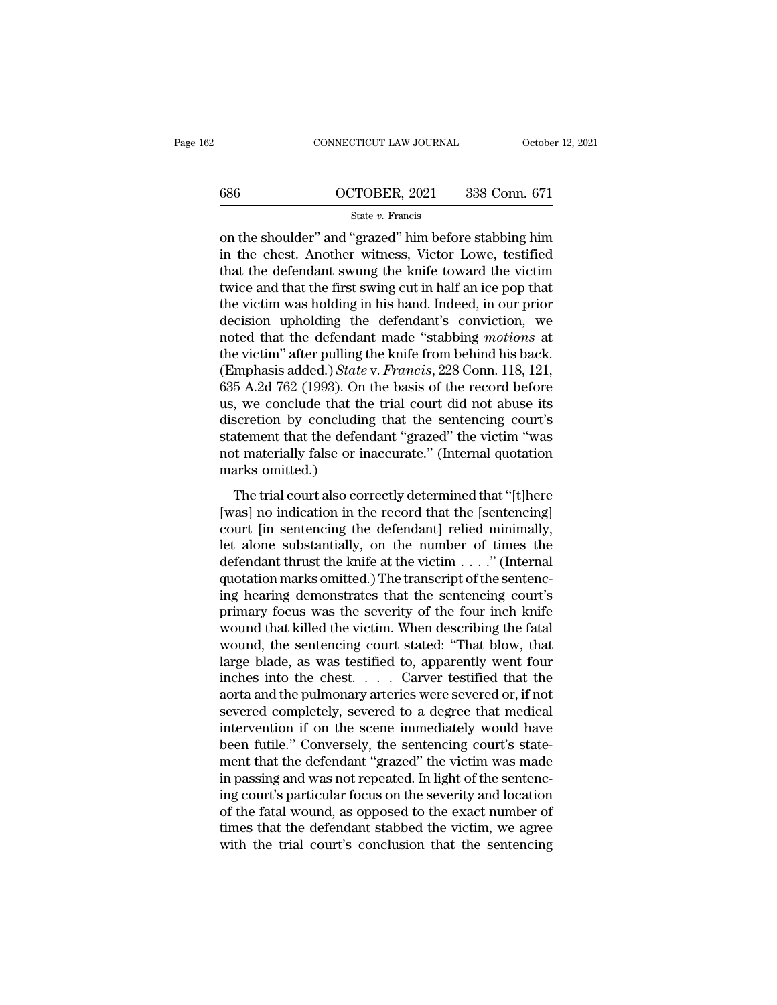# CONNECTICUT LAW JOURNAL October 12, 2021<br>686 OCTOBER, 2021 338 Conn. 671<br>5tate v. Francis

## State *v.* Francis

CONNECTICUT LAW JOURNAL October 12, 2021<br>
686 OCTOBER, 2021 338 Conn. 671<br>
51 State v. Francis<br>
2011 on the shoulder'' and "grazed" him before stabbing him<br>
in the chest. Another witness, Victor Lowe, testified<br>
that the 686  $OCTOBER, 2021$  338 Conn. 671<br>
state v. Francis<br>
on the shoulder" and "grazed" him before stabbing him<br>
in the chest. Another witness, Victor Lowe, testified<br>
that the defendant swung the knife toward the victim<br>
twice a 686  $OCTOBER, 2021$  338 Conn. 671<br>
State v. Francis<br>
on the shoulder" and "grazed" him before stabbing him<br>
in the chest. Another witness, Victor Lowe, testified<br>
that the defendant swung the knife toward the victim<br>
twice a 686  $OCTOBER, 2021$  338 Conn. 671<br>
State v. Francis<br>
on the shoulder" and "grazed" him before stabbing him<br>
in the chest. Another witness, Victor Lowe, testified<br>
that the defendant swung the knife toward the victim<br>
twice a State v. Francis<br>
on the shoulder" and "grazed" him before stabbing him<br>
in the chest. Another witness, Victor Lowe, testified<br>
that the defendant swung the knife toward the victim<br>
twice and that the first swing cut in h state v. Francis<br>
on the shoulder" and "grazed" him before stabbing him<br>
in the chest. Another witness, Victor Lowe, testified<br>
that the defendant swung the knife toward the victim<br>
twice and that the first swing cut in h on the shoulder" and "grazed" him before stabbing him<br>in the chest. Another witness, Victor Lowe, testified<br>that the defendant swung the knife toward the victim<br>twice and that the first swing cut in half an ice pop that<br>th in the chest. Another witness, Victor Lowe, testified<br>that the defendant swung the knife toward the victim<br>twice and that the first swing cut in half an ice pop that<br>the victim was holding in his hand. Indeed, in our prio that the defendant swung the knife toward the victim<br>twice and that the first swing cut in half an ice pop that<br>the victim was holding in his hand. Indeed, in our prior<br>decision upholding the defendant's conviction, we<br>not twice and that the first swing cut in half an ice pop that<br>the victim was holding in his hand. Indeed, in our prior<br>decision upholding the defendant's conviction, we<br>noted that the defendant made "stabbing *motions* at<br>the the victim was holding in his hand. Indeed, in our prior<br>decision upholding the defendant's conviction, we<br>noted that the defendant made "stabbing *motions* at<br>the victim" after pulling the knife from behind his back.<br>(Emp decision upholding the defendant's conviction, we<br>noted that the defendant made "stabbing *motions* at<br>the victim" after pulling the knife from behind his back.<br>(Emphasis added.) *State* v. *Francis*, 228 Conn. 118, 121,<br>6 noted that the defendant made "stabbing *motions* at<br>the victim" after pulling the knife from behind his back.<br>(Emphasis added.) *State* v. Francis, 228 Conn. 118, 121,<br>635 A.2d 762 (1993). On the basis of the record befor the victim" after pulling the knife from behind his back.<br>(Emphasis added.) *State* v. *Francis*, 228 Conn. 118, 121,<br>635 A.2d 762 (1993). On the basis of the record before<br>us, we conclude that the trial court did not abus (Emphasis added.) State 635 A.2d 762 (1993). On<br>us, we conclude that the<br>discretion by concludin<br>statement that the defer<br>not materially false or in<br>marks omitted.)<br>The trial court also con The trial court also correctly determined that "[t]here<br>also conclude that the trial court did not abuse its<br>scretion by concluding that the sentencing court's<br>atement that the defendant "grazed" the victim "was<br>t material (as, we conclude that the trial court and not assase its<br>discretion by concluding that the sentencing court's<br>statement that the defendant "grazed" the victim "was<br>not materially false or inaccurate." (Internal quotation<br>m

consideration by concluding that the bendering courts<br>statement that the defendant "grazed" the victim "was<br>not marks omitted.)<br>The trial court also correctly determined that "[t]here<br>[was] no indication in the record that mot materially false or inaccurate." (Internal quotation<br>marks omitted.)<br>The trial court also correctly determined that "[t]here<br>[was] no indication in the record that the [sentencing]<br>court [in sentencing the defendant] The trial court also correctly determined that "[t]here [was] no indication in the record that the [sentencing]<br>court [in sentencing the defendant] relied minimally,<br>let alone substantially, on the number of times the<br>def marks omitted.)<br>The trial court also correctly determined that "[t]here<br>[was] no indication in the record that the [sentencing]<br>court [in sentencing the defendant] relied minimally,<br>let alone substantially, on the number The trial court also correctly determined that "[t]here [was] no indication in the record that the [sentencing]<br>court [in sentencing the defendant] relied minimally,<br>let alone substantially, on the number of times the<br>def [was] no indication in the record that the [sentencing]<br>court [in sentencing the defendant] relied minimally,<br>let alone substantially, on the number of times the<br>defendant thrust the knife at the victim  $\dots$ ." (Internal<br>q court [in sentencing the defendant] relied minimally,<br>let alone substantially, on the number of times the<br>defendant thrust the knife at the victim  $\dots$ ." (Internal<br>quotation marks omitted.) The transcript of the sentenc-<br> let alone substantially, on the number of times the<br>defendant thrust the knife at the victim  $\ldots$ ." (Internal<br>quotation marks omitted.) The transcript of the sentenc-<br>ing hearing demonstrates that the sentencing court's<br> defendant thrust the knife at the victim . . . ." (Internal quotation marks omitted.) The transcript of the sentencing hearing demonstrates that the sentencing court's primary focus was the severity of the four inch knife quotation marks omitted.) The transcript of the sentencing hearing demonstrates that the sentencing court's primary focus was the severity of the four inch knife wound that killed the victim. When describing the fatal woun ing hearing demonstrates that the sentencing court's<br>primary focus was the severity of the four inch knife<br>wound that killed the victim. When describing the fatal<br>wound, the sentencing court stated: "That blow, that<br>large primary focus was the severity of the four inch knife<br>wound that killed the victim. When describing the fatal<br>wound, the sentencing court stated: "That blow, that<br>large blade, as was testified to, apparently went four<br>inch wound that killed the victim. When describing the fatal<br>wound, the sentencing court stated: "That blow, that<br>large blade, as was testified to, apparently went four<br>inches into the chest. . . . . Carver testified that the<br> wound, the sentencing court stated: "That blow, that<br>large blade, as was testified to, apparently went four<br>inches into the chest. . . . . Carver testified that the<br>aorta and the pulmonary arteries were severed or, if not large blade, as was testified to, apparently went four inches into the chest.  $\ldots$  Carver testified that the aorta and the pulmonary arteries were severed or, if not severed completely, severed to a degree that medical i inches into the chest.  $\ldots$  Carver testified that the aorta and the pulmonary arteries were severed or, if not severed completely, severed to a degree that medical intervention if on the scene-immediately would have been aorta and the pulmonary arteries were severed or, if not<br>severed completely, severed to a degree that medical<br>intervention if on the scene immediately would have<br>been futile." Conversely, the sentencing court's state-<br>ment severed completely, severed to a degree that medical<br>intervention if on the scene immediately would have<br>been futile." Conversely, the sentencing court's state-<br>ment that the defendant "grazed" the victim was made<br>in passi intervention if on the scene immediately would have<br>been futile." Conversely, the sentencing court's state-<br>ment that the defendant "grazed" the victim was made<br>in passing and was not repeated. In light of the sentenc-<br>ing been futile." Conversely, the sentencing court's statement that the defendant "grazed" the victim was made<br>in passing and was not repeated. In light of the sentenc-<br>ing court's particular focus on the severity and location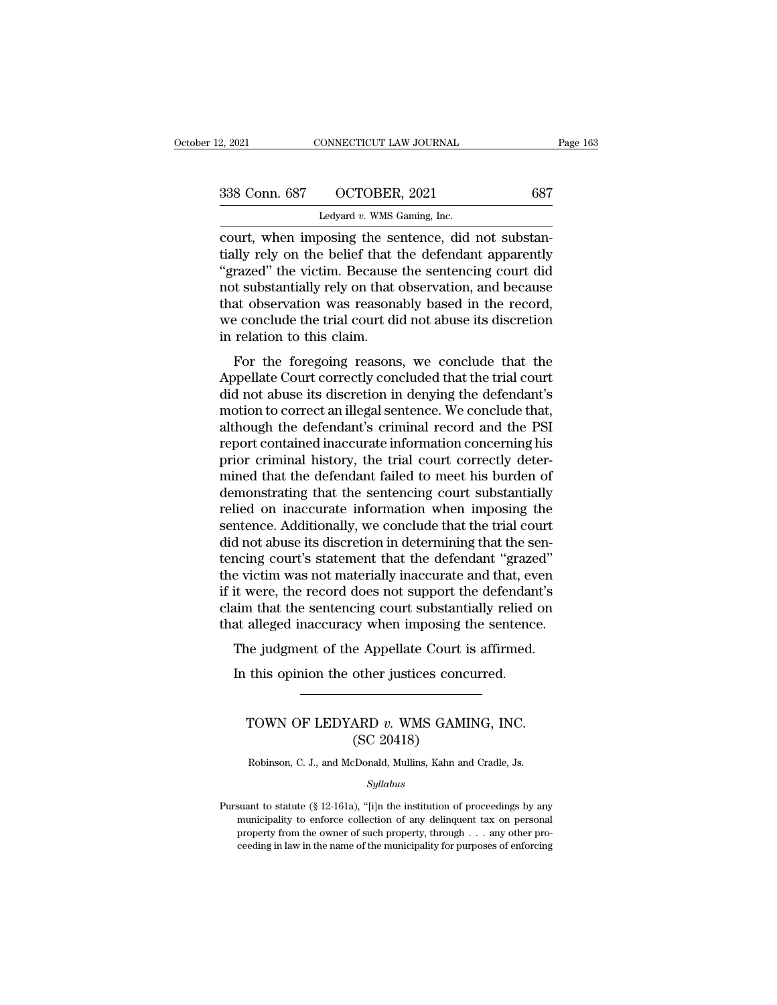| 12, 2021      | CONNECTICUT LAW JOURNAL                           | Page 163 |
|---------------|---------------------------------------------------|----------|
| 338 Conn. 687 | OCTOBER, 2021                                     | 687      |
|               | Ledyard $v$ . WMS Gaming, Inc.                    |          |
|               | court when imposing the sentence did not substan- |          |

2, 2021 CONNECTICUT LAW JOURNAL<br>
338 Conn. 687 OCTOBER, 2021 687<br>
Ledyard v. WMS Gaming, Inc.<br>
court, when imposing the sentence, did not substantially rely on the belief that the defendant apparently<br>
"grazed" the victim 338 Conn. 687 OCTOBER, 2021 687<br>Ledyard v. WMS Gaming, Inc.<br>Court, when imposing the sentence, did not substantially rely on the belief that the defendant apparently<br>"grazed" the victim. Because the sentencing court did no  $\frac{338 \text{ Conn. } 687 \quad \text{OCTOBER, } 2021 \quad \text{687}}{\text{Ledyard } v. \text{ WMS Gaming, Inc.}}$ <br>
court, when imposing the sentence, did not substantially rely on the belief that the defendant apparently<br>
"grazed" the victim. Because the sentencing court 338 Conn. 687 OCTOBER, 2021 687<br>
Ledyard v. WMS Gaming, Inc.<br>
court, when imposing the sentence, did not substantially rely on the belief that the defendant apparently<br>
"grazed" the victim. Because the sentencing court di Ledyard v. WMS Gaming, Inc.<br>
court, when imposing the sentence, did not substantially rely on the belief that the defendant apparently<br>
"grazed" the victim. Because the sentencing court did<br>
not substantially rely on that Ledyard v. WMS Gaming, Inc.<br>
court, when imposing the sentence, did not substantially rely on the belief that the defendant apparently<br>
"grazed" the victim. Because the sentencing court did<br>
not substantially rely on that court, when imposing the se<br>tially rely on the belief that t<br>"grazed" the victim. Because<br>not substantially rely on that<br>that observation was reasona<br>we conclude the trial court di<br>in relation to this claim.<br>For the forego For the beneficial diversion, and because<br>at observation was reasonably based in the record,<br>e conclude the trial court did not abuse its discretion<br>relation to this claim.<br>For the foregoing reasons, we conclude that the<br>p grazed the victim. Because the sentencing court did<br>not substantially rely on that observation, and because<br>that observation was reasonably based in the record,<br>we conclude the trial court did not abuse its discretion<br>in r

not substantially rely on that observation, and because<br>that observation was reasonably based in the record,<br>we conclude the trial court did not abuse its discretion<br>in relation to this claim.<br>For the foregoing reasons, we mat observation was reasonably based in the record,<br>we conclude the trial court did not abuse its discretion<br>in relation to this claim.<br>For the foregoing reasons, we conclude that the<br>Appellate Court correctly concluded th in relation to this claim.<br>
For the foregoing reasons, we conclude that the<br>
Appellate Court correctly concluded that the trial court<br>
did not abuse its discretion in denying the defendant's<br>
motion to correct an illegal s For the foregoing reasons, we conclude that the<br>Appellate Court correctly concluded that the trial court<br>did not abuse its discretion in denying the defendant's<br>motion to correct an illegal sentence. We conclude that,<br>alth For the foregoing reasons, we conclude that the Appellate Court correctly concluded that the trial court did not abuse its discretion in denying the defendant's motion to correct an illegal sentence. We conclude that, alth Appellate Court correctly concluded that the trial court<br>did not abuse its discretion in denying the defendant's<br>motion to correct an illegal sentence. We conclude that,<br>although the defendant's criminal record and the PSI did not abuse its discretion in denying the defendant's<br>motion to correct an illegal sentence. We conclude that,<br>although the defendant's criminal record and the PSI<br>report contained inaccurate information concerning his<br>p motion to correct an illegal sentence. We conclude that,<br>although the defendant's criminal record and the PSI<br>report contained inaccurate information concerning his<br>prior criminal history, the trial court correctly deter-<br> although the defendant's criminal record and the PSI<br>report contained inaccurate information concerning his<br>prior criminal history, the trial court correctly deter-<br>mined that the defendant failed to meet his burden of<br>dem report contained inaccurate information concerning his<br>prior criminal history, the trial court correctly deter-<br>mined that the defendant failed to meet his burden of<br>demonstrating that the sentencing court substantially<br>re prior criminal history, the trial court correctly determined that the defendant failed to meet his burden of demonstrating that the sentencing court substantially relied on inaccurate information when imposing the sentence mined that the defendant failed to meet his burden of<br>demonstrating that the sentencing court substantially<br>relied on inaccurate information when imposing the<br>sentence. Additionally, we conclude that the trial court<br>did no demonstrating that the sentencing court substantially<br>relied on inaccurate information when imposing the<br>sentence. Additionally, we conclude that the trial court<br>did not abuse its discretion in determining that the sen-<br>te relied on inaccurate information when imposing the<br>sentence. Additionally, we conclude that the trial court<br>did not abuse its discretion in determining that the sen-<br>tencing court's statement that the defendant "grazed"<br>th sentence. Additionally, we conclude that the trial court<br>did not abuse its discretion in determining that the sen-<br>tencing court's statement that the defendant "grazed"<br>the victim was not materially inaccurate and that, ev The judgment of the defendant "grazed"<br>a victim was not materially inaccurate and that, even<br>it were, the record does not support the defendant's<br>aim that the sentencing court substantially relied on<br>at alleged inaccuracy In this was not materially inaccurate and that, every it were, the record does not support the defendant im that the sentencing court substantially relied at alleged inaccuracy when imposing the sentence.<br>The judgment of t

## % alleged inaccuracy when imposing the sentence.<br>
ne judgment of the Appellate Court is affirmed.<br>
this opinion the other justices concurred.<br>
TOWN OF LEDYARD *v*. WMS GAMING, INC.<br>
(SC 20418) e Appellate Court i<br>
other justices conc<br>
ARD v. WMS GAMI<br>
(SC 20418)<br>
Donald, Mullins, Kahn an TOWN OF LEDYARD v. WMS GAMING, INC.<br>(SC 20418)<br>Robinson, C. J., and McDonald, Mullins, Kahn and Cradle, Js.

*Syllabus*

<sup>(</sup>SC 20418)<br>
Robinson, C. J., and McDonald, Mullins, Kahn and Cradle, Js.<br>  $Syllabus$ <br>
Pursuant to statute (§ 12-161a), "[i]n the institution of proceedings by any municipality to enforce collection of any delinquent tax on per Robinson, C. J., and McDonald, Mullins, Kahn and Cradle, Js.<br>Syllabus<br>suant to statute (§ 12-161a), "[i]n the institution of proceedings by any<br>municipality to enforce collection of any delinquent tax on personal<br>property Robinson, C. J., and McDonald, Mullins, Kahn and Cradle, Js.<br>  $Syllabus$ <br>
suant to statute (§ 12-161a), "[i]n the institution of proceedings by any<br>
municipality to enforce collection of any delinquent tax on personal<br>
proper  $Syllabus$ <br>suant to statute (§ 12-161a), "[i]n the institution of proceedings by any<br>municipality to enforce collection of any delinquent tax on personal<br>property from the owner of such property, through . . . any other pro-<br>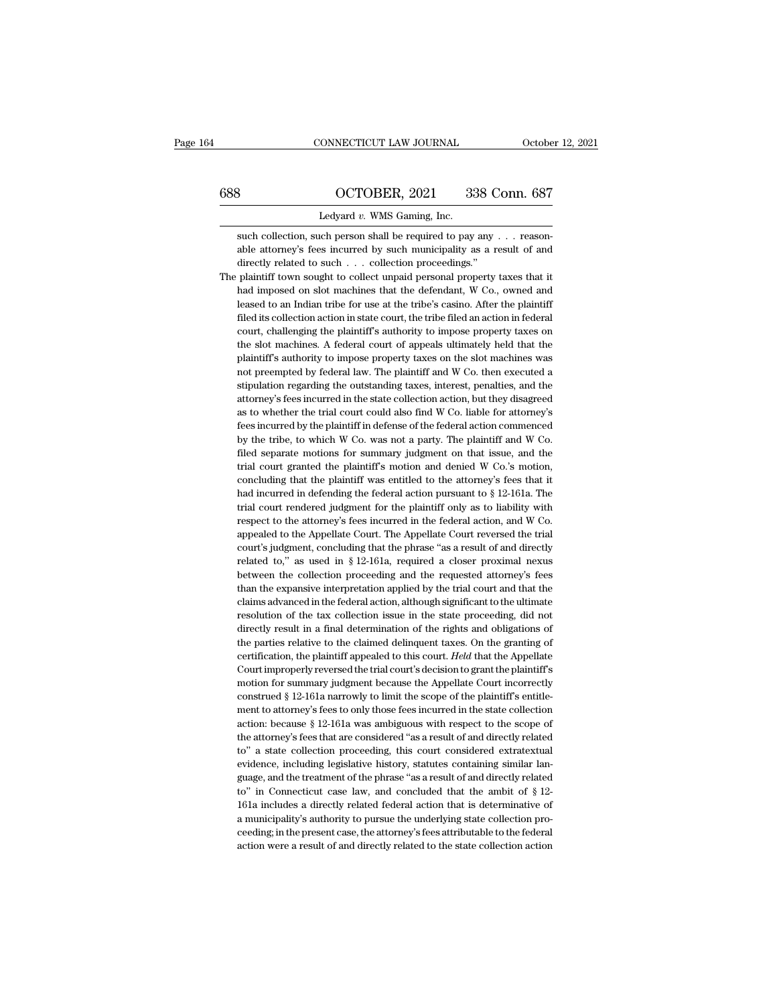## CONNECTICUT LAW JOURNAL October 12, 2021<br>688 OCTOBER, 2021 338 Conn. 687<br>Ledyard v. WMS Gaming, Inc. ONNECTICUT LAW JOURNAL<br>
OCTOBER, 2021 33<br>
Ledyard *v.* WMS Gaming, Inc.<br>
uch person shall be required to pay

SUCTOBER, 2021 338 Conn. 687<br>Ledyard v. WMS Gaming, Inc.<br>Such collection, such person shall be required to pay any . . . reason-<br>able attorney's fees incurred by such municipality as a result of and 3<br> **able attorney's fees incurred by such municipality as a result of and directly related to such ... collection proceedings."**<br> **Example attorney's fees incurred by such municipality as a result of and directly related**  $\frac{1}{338}$  CCTOBER, 2021 338 C<br>
Ledyard v. WMS Gaming, Inc.<br>
such collection, such person shall be required to pay any<br>
able attorney's fees incurred by such municipality as a r<br>
directly related to such . . . . collecti Ledyard  $v$ . WMS Gaming, Inc.<br>
such collection, such person shall be required to pay any . . . reason-<br>
able attorney's fees incurred by such municipality as a result of and<br>
directly related to such . . . collection proc

Ledyard  $v$ . WMS Gaming, Inc.<br>
such collection, such person shall be required to pay any . . . reason-<br>
able attorney's fees incurred by such municipality as a result of and<br>
directly related to such . . . collection proc such collection, such person shall be required to pay any  $\ldots$  reasonable attorney's fees incurred by such municipality as a result of and directly related to such  $\ldots$  collection proceedings." plaintiff town sought to able attorney's fees incurred by such municipality as a result of and directly related to such  $\ldots$  collection proceedings."<br>plaintiff town sought to collect unpaid personal property taxes that it<br>had imposed on slot mac directly related to such . . . . collection proceedings."<br>plaintiff town sought to collect unpaid personal property taxes that it<br>had imposed on slot machines that the defendant, W Co., owned and<br>leased to an Indian tribe plaintiff town sought to collect unpaid personal property taxes that it<br>had imposed on slot machines that the defendant, W Co., owned and<br>leased to an Indian tribe for use at the tribe's casino. After the plaintiff<br>filed i had imposed on slot machines that the defendant, W Co., owned and leased to an Indian tribe for use at the tribe's casino. After the plaintiff filed its collection action in state court, the tribe filed an action in federa leased to an Indian tribe for use at the tribe's casino. After the plaintiff filed its collection action in state court, the tribe filed an action in federal court, challenging the plaintiff's authority to impose property filed its collection action in state court, the tribe filed an action in federal<br>court, challenging the plaintiff's authority to impose property taxes on<br>the slot machines. A federal court of appeals ultimately held that t court, challenging the plaintiff's authority to impose property taxes on<br>the slot machines. A federal court of appeals ultimately held that the<br>plaintiff's authority to impose property taxes on the slot machines was<br>not pr the slot machines. A federal court of appeals ultimately held that the plaintiff's authority to impose property taxes on the slot machines was not preempted by federal law. The plaintiff and W Co. then executed a stipulati plaintiff's authority to impose property taxes on the slot machines was<br>not preempted by federal law. The plaintiff and W Co. then executed a<br>stipulation regarding the outstanding taxes, interest, penalties, and the<br>attorn not preempted by federal law. The plaintiff and W Co. then executed a stipulation regarding the outstanding taxes, interest, penalties, and the attorney's fees incurred in the state collection action, but they disagreed as stipulation regarding the outstanding taxes, interest, penalties, and the attorney's fees incurred in the state collection action, but they disagreed as to whether the trial court could also find W Co. liable for attorney' attorney's fees incurred in the state collection action, but they disagreed as to whether the trial court could also find W Co. liable for attorney's fees incurred by the plaintiff in defense of the federal action commence as to whether the trial court could also find W Co. liable for attorney's fees incurred by the plaintiff in defense of the federal action commenced by the tribe, to which W Co. was not a party. The plaintiff and W Co. fil fees incurred by the plaintiff in defense of the federal action commenced<br>by the tribe, to which W Co. was not a party. The plaintiff and W Co.<br>filed separate motions for summary judgment on that issue, and the<br>trial cour by the tribe, to which W Co. was not a party. The plaintiff and W Co. filed separate motions for summary judgment on that issue, and the trial court granted the plaintiff's motion and denied W Co.'s motion, concluding tha filed separate motions for summary judgment on that issue, and the trial court granted the plaintiff's motion and denied W Co.'s motion, concluding that the plaintiff was entitled to the attorney's fees that it had incurr trial court granted the plaintiff's motion and denied W Co.'s motion, concluding that the plaintiff was entitled to the attorney's fees that it had incurred in defending the federal action pursuant to  $\S$  12-161a. The tri concluding that the plaintiff was entitled to the attorney's fees that it<br>had incurred in defending the federal action pursuant to  $\S$  12-161a. The<br>trial court rendered judgment for the plaintiff only as to liability with had incurred in defending the federal action pursuant to  $\S$  12-161a. The trial court rendered judgment for the plaintiff only as to liability with respect to the attorney's fees incurred in the federal action, and W Co. trial court rendered judgment for the plaintiff only as to liability with respect to the attorney's fees incurred in the federal action, and W Co. appealed to the Appellate Court. The Appellate Court reversed the trial co respect to the attorney's fees incurred in the federal action, and W Co.<br>appealed to the Appellate Court. The Appellate Court reversed the trial<br>court's judgment, concluding that the phrase "as a result of and directly<br>rel appealed to the Appellate Court. The Appellate Court reversed the trial court's judgment, concluding that the phrase "as a result of and directly related to," as used in § 12-161a, required a closer proximal nexus between court's judgment, concluding that the phrase "as a result of and directly related to," as used in  $\S$  12-161a, required a closer proximal nexus between the collection proceeding and the requested attorney's fees than the related to," as used in  $\S$  12-161a, required a closer proximal nexus between the collection proceeding and the requested attorney's fees than the expansive interpretation applied by the trial court and that the claims ad between the collection proceeding and the requested attorney's fees<br>than the expansive interpretation applied by the trial court and that the<br>claims advanced in the federal action, although significant to the ultimate<br>reso than the expansive interpretation applied by the trial court and that the claims advanced in the federal action, although significant to the ultimate resolution of the tax collection issue in the state proceeding, did not claims advanced in the federal action, although significant to the ultimate<br>resolution of the tax collection issue in the state proceeding, did not<br>directly result in a final determination of the rights and obligations of<br> resolution of the tax collection issue in the state proceeding, did not directly result in a final determination of the rights and obligations of the parties relative to the claimed delinquent taxes. On the granting of cer directly result in a final determination of the rights and obligations of<br>the parties relative to the claimed delinquent taxes. On the granting of<br>certification, the plaintiff appealed to this court. Held that the Appellat the parties relative to the claimed delinquent taxes. On the granting of certification, the plaintiff appealed to this court. Held that the Appellate Court improperly reversed the trial court's decision to grant the plaint certification, the plaintiff appealed to this court. Held that the Appellate Court improperly reversed the trial court's decision to grant the plaintiff's motion for summary judgment because the Appellate Court incorrectl Court improperly reversed the trial court's decision to grant the plaintiff's<br>motion for summary judgment because the Appellate Court incorrectly<br>construed  $\S$  12-161a narrowly to limit the scope of the plaintiff's entitl motion for summary judgment because the Appellate Court incorrectly<br>construed  $\S$  12-161a narrowly to limit the scope of the plaintiff's entitle-<br>ment to attorney's fees to only those fees incurred in the state collection construed  $\S 12$ -161a narrowly to limit the scope of the plaintiff's entitlement to attorney's fees to only those fees incurred in the state collection action: because  $\S 12$ -161a was ambiguous with respect to the scope of the attorney's fees that are considered "as a result of and directly relat action: because  $\S$  12-161a was ambiguous with respect to the scope of<br>the attorney's fees that are considered "as a result of and directly related<br>to" a state collection proceeding, this court considered extratextual<br>evi the attorney's fees that are considered "as a result of and directly related to" a state collection proceeding, this court considered extratextual evidence, including legislative history, statutes containing similar langua to" a state collection proceeding, this court considered extratextual evidence, including legislative history, statutes containing similar language, and the treatment of the phrase "as a result of and directly related to" evidence, including legislative history, statutes containing similar language, and the treatment of the phrase "as a result of and directly related to" in Connecticut case law, and concluded that the ambit of § 12-161a inc guage, and the treatment of the phrase "as a result of and directly related to" in Connecticut case law, and concluded that the ambit of  $\S$  12-161a includes a directly related federal action that is determinative of a mu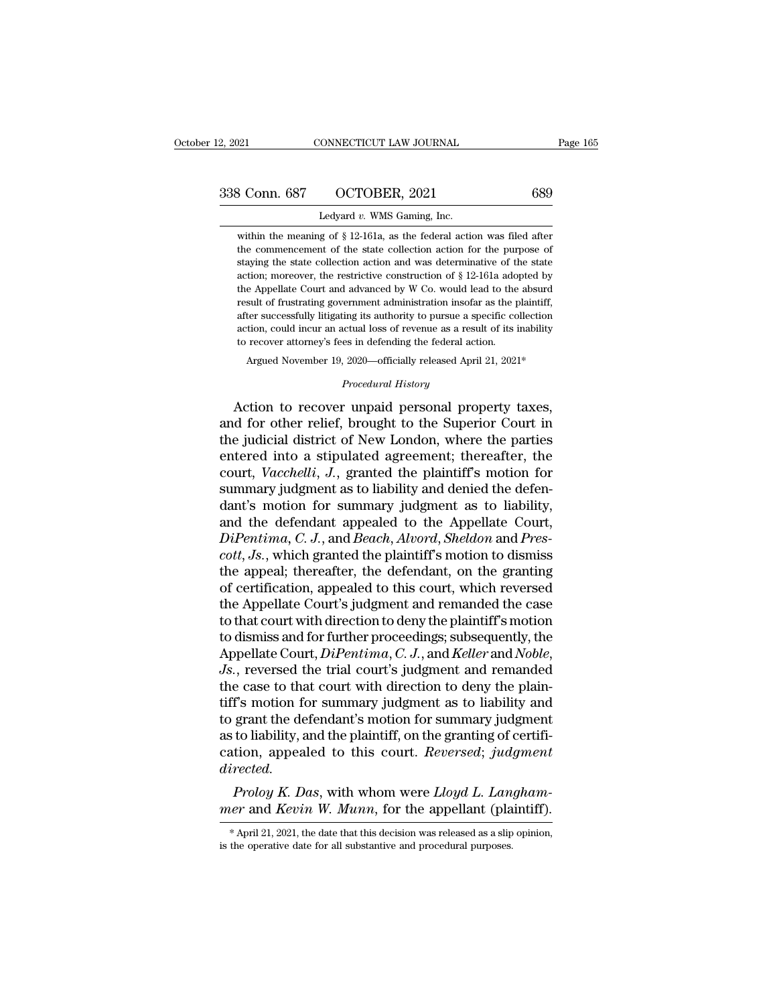| 12, 2021      | CONNECTICUT LAW JOURNAL                                                   | Page 165 |
|---------------|---------------------------------------------------------------------------|----------|
| 338 Conn. 687 | OCTOBER, 2021                                                             | 689      |
|               | Ledyard v. WMS Gaming, Inc.                                               |          |
|               | within the meaning of $\S$ 12-161a, as the federal action was filed after |          |

 $\frac{1}{3}$  Conn. 687 OCTOBER, 2021 689<br>Ledyard v. WMS Gaming, Inc.<br>within the meaning of § 12-161a, as the federal action was filed after<br>the commencement of the state collection action for the purpose of  $\frac{1}{100}$  COCTOBER, 2021 689<br>
Ledyard v. WMS Gaming, Inc.<br>
within the meaning of § 12-161a, as the federal action was filed after<br>
the commencement of the state collection action for the purpose of<br>
staying the state co State Collection action and was determinative of the state collection action and was determinative of the state collection action and was determinative of the state action; moreover, the restrictive construction of  $\S 12{\$ Ledyard v. WMS Gaming, Inc.<br>within the meaning of § 12-161a, as the federal action was filed after<br>the commencement of the state collection action for the purpose of<br>staying the state collection action and was determinati Ledyard  $v$ . WMS Gaming, Inc.<br>within the meaning of  $\S$  12-161a, as the federal action was filed after<br>the commencement of the state collection action for the purpose of<br>staying the state collection action and was determi within the meaning of  $\S$  12-161a, as the federal action was filed after the commencement of the state collection action for the purpose of staying the state collection action and was determinative of the state action; mo After successfully litigating its authority to purpose of the commencement of the state collection action and was determinative of the state action; moreover, the restrictive construction of  $\S$  12-161a adopted by the App action, and was determinative of the state staying the state collection action and was determinative of the state action; moreover, the restrictive construction of § 12-161a adopted by the Appellate Court and advanced by staying the state collection action and was determinative of the state action; moreover, the restrictive construction of  $\S$  12-161a adopted by the Appellate Court and advanced by W Co. would lead to the absurd result of e Appellate Court and advanced by W Co. would lead to the absurd<br>sult of frustrating government administration insofar as the plaintiff,<br>ter successfully litigating its authority to pursue a specific collection<br>tion, could % after successfully litigating its authority to pursue a specific collection action, could incur an actual loss of revenue as a result of its inability to recover attorney's fees in defending the federal action. Argued N result of rustrating government administration insorar as the plaintif,<br>after successfully litigating its authority to pursue a specific collection<br>action, could incur an actual loss of revenue as a result of its inability

and for could incur an actual loss of revenue as a result of its inability<br>action, could incur an actual loss of revenue as a result of its inability<br>to recover attorney's fees in defending the federal action.<br>Argued Novem to recover attorney's fees in defending the federal action.<br>
Argued November 19, 2020—officially released April 21, 2021\*<br>
Procedural History<br>
Action to recover unpaid personal property taxes,<br>
and for other relief, brough Argued November 19, 2020—officially released April 21, 2021\*<br> *Procedural History*<br>
Action to recover unpaid personal property taxes,<br>
and for other relief, brought to the Superior Court in<br>
the judicial district of New Lo *Procedural History*<br>Action to recover unpaid personal property taxes,<br>and for other relief, brought to the Superior Court in<br>the judicial district of New London, where the parties<br>entered into a stipulated agreement; ther Froceaural History<br>Action to recover unpaid personal property taxes,<br>and for other relief, brought to the Superior Court in<br>the judicial district of New London, where the parties<br>entered into a stipulated agreement; therea Action to recover unpaid personal property taxes,<br>and for other relief, brought to the Superior Court in<br>the judicial district of New London, where the parties<br>entered into a stipulated agreement; thereafter, the<br>court, and for other relief, brought to the Superior Court in<br>the judicial district of New London, where the parties<br>entered into a stipulated agreement; thereafter, the<br>court, *Vacchelli*, *J*., granted the plaintiff's motion fo *Dimension in the judicial district of New London, where the parties* entered into a stipulated agreement; thereafter, the court, *Vacchelli*, *J.*, granted the plaintiff's motion for summary judgment as to liability, and entered into a stipulated agreement; thereafter, the<br>court, *Vacchelli*, *J*., granted the plaintiff's motion for<br>summary judgment as to liability and denied the defen-<br>dant's motion for summary judgment as to liability,<br>a court, *Vacchelli*, *J.*, granted the plaintiff's motion for<br>summary judgment as to liability and denied the defen-<br>dant's motion for summary judgment as to liability,<br>and the defendant appealed to the Appellate Court,<br> $DiP$ summary judgment as to liability and denied the defen-<br>dant's motion for summary judgment as to liability,<br>and the defendant appealed to the Appellate Court,<br> $DiPentima$ , C. J., and Beach, Alvord, Sheldon and Pres-<br>cott, Js., w dant's motion for summary judgment as to liability,<br>and the defendant appealed to the Appellate Court,<br>*DiPentima, C. J.*, and *Beach, Alvord, Sheldon* and *Pres-*<br>*cott, Js.*, which granted the plaintiff's motion to dismi and the defendant appealed to the Appellate Court,<br> *DiPentima, C. J.*, and *Beach*, *Alvord*, *Sheldon* and *Pres-*<br> *cott, Js.*, which granted the plaintiff's motion to dismiss<br>
the appeal; thereafter, the defendant, on DiPentima, C. J., and Beach, Alvord, Sheldon and Prescott, Js., which granted the plaintiff's motion to dismiss<br>the appeal; thereafter, the defendant, on the granting<br>of certification, appealed to this court, which reverse cott, *Js.*, which granted the plaintiff's motion to dismiss<br>the appeal; thereafter, the defendant, on the granting<br>of certification, appealed to this court, which reversed<br>the Appellate Court's judgment and remanded the c of certification, appealed to this court, which reversed<br>the Appellate Court's judgment and remanded the case<br>to that court with direction to deny the plaintiff's motion<br>to dismiss and for further proceedings; subsequently the Appellate Court's judgment and remanded the case<br>to that court with direction to deny the plaintiff's motion<br>to dismiss and for further proceedings; subsequently, the<br>Appellate Court, *DiPentima*, *C. J.*, and *Keller* to that court with direction to deny the plaintiff's motion<br>to dismiss and for further proceedings; subsequently, the<br>Appellate Court, *DiPentima*, *C*. *J*., and *Keller* and *Noble,*<br>*Js.*, reversed the trial court's ju to dismiss and for further proceedings; subsequently, the<br>Appellate Court, *DiPentima*, *C. J.*, and *Keller* and *Noble*,<br>*Js.*, reversed the trial court's judgment and remanded<br>the case to that court with direction to de Appellate Court, *DiPentima*, *C. J.*, and *Keller* and *Noble*, *Js.*, reversed the trial court's judgment and remanded the case to that court with direction to deny the plaintiff's motion for summary judgment as to liabi *directed. Prolog K. Das, with whom were Lloyd L. Langham-*<br>*Prology K. Das, with whom were <i>Lloyd L. Langham-*<br>*Prolog K. Das, with whom were Lloyd L. Langham-*<br>*Prolog K. Das, with whom were Lloyd L. Langham-*<br>*Prolog K. Das, with mer* and *Kevin W. Munn, for the appellant (plaintiff)*.<br> *Appellantiff, on the granting of certification, appealed to this court. Reversed; judgment* directed.<br> *Proloy K. Das,* with whom were *Lloyd L. Langhammer* and

*Proloy K. Das,* with whom were *Lloyd L. Langham-*<br> *mer* and *Kevin W. Munn,* for the appellant (plaintiff).<br>
\*April 21, 2021, the date that this decision was released as a slip opinion,<br>
is the operative date for all s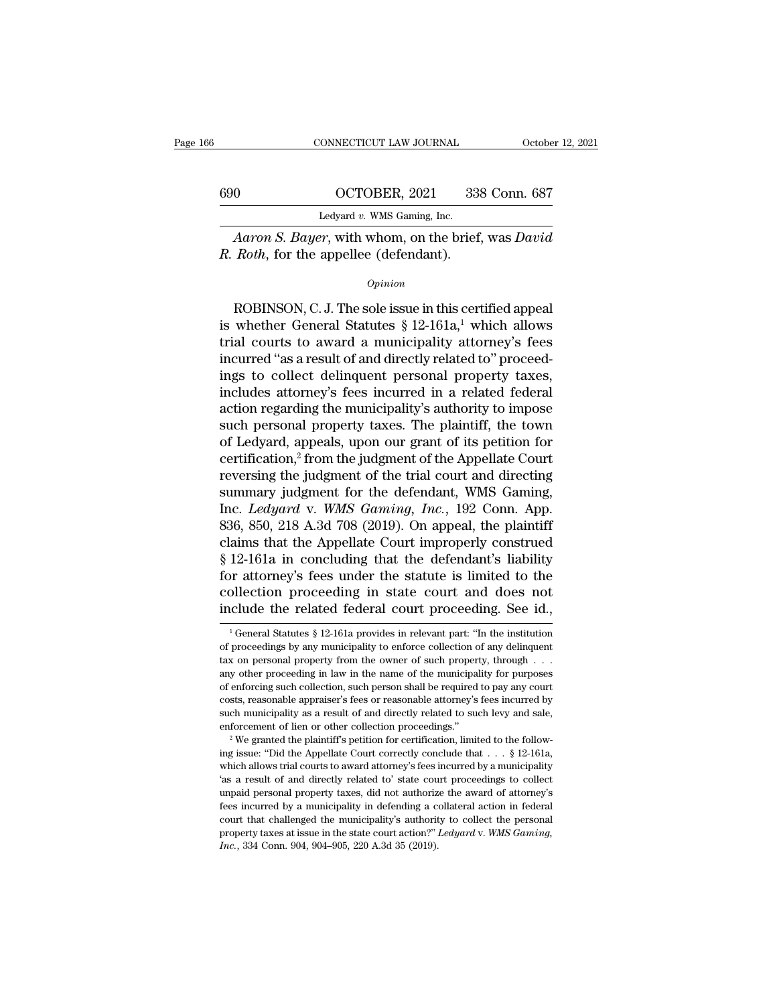|     | CONNECTICUT LAW JOURNAL                                                                                     | October 12, 2021 |
|-----|-------------------------------------------------------------------------------------------------------------|------------------|
| 690 | OCTOBER, 2021                                                                                               | 338 Conn. 687    |
|     | Ledyard $v$ . WMS Gaming, Inc.                                                                              |                  |
|     | <i>Aaron S. Bayer</i> , with whom, on the brief, was <i>David</i><br>R. Roth, for the appellee (defendant). |                  |
|     | Opinion                                                                                                     |                  |

*Opinion*

Ledyard v. WMS Gaming, Inc.<br>
Aaron S. Bayer, with whom, on the brief, was David<br>
Roth, for the appellee (defendant).<br>  $Opinion$ <br>
ROBINSON, C. J. The sole issue in this certified appeal<br>
whether General Statutes § 12-161a,<sup>1</sup> w Aaron S. Bayer, with whom, on the brief, was David<br>
R. Roth, for the appellee (defendant).<br>
Opinion<br>
ROBINSON, C. J. The sole issue in this certified appeal<br>
is whether General Statutes § 12-161a,<sup>1</sup> which allows<br>
trial c Aaron S. Bayer, with whom, on the brief, was David R. Roth, for the appellee (defendant).<br>  $\frac{Opinion}{}$ <br>
ROBINSON, C. J. The sole issue in this certified appeal<br>
is whether General Statutes § 12-161a,<sup>1</sup> which allows<br>
trial *opinion*<br>*Opinion*<br>*Opinion*<br>ROBINSON, C. J. The sole issue in this certified appeal<br>is whether General Statutes  $\S 12{\text -}161a,^1$  which allows<br>trial courts to award a municipality attorney's fees<br>incurred "as a result o *Opinion*<br>
ROBINSON, C. J. The sole issue in this certified appeal<br>
is whether General Statutes  $\S$  12-161a,<sup>1</sup> which allows<br>
trial courts to award a municipality attorney's fees<br>
incurred "as a result of and directly rel ROBINSON, C. J. The sole issue in this certified appeal<br>is whether General Statutes  $\S$  12-161a,<sup>1</sup> which allows<br>trial courts to award a municipality attorney's fees<br>incurred "as a result of and directly related to" proce ROBINSON, C. J. The sole issue in this certified appeal<br>is whether General Statutes  $\S$  12-161a,<sup>1</sup> which allows<br>trial courts to award a municipality attorney's fees<br>incurred "as a result of and directly related to" proce is whether General Statutes  $\S$  12-161a,<sup>1</sup> which allows<br>trial courts to award a municipality attorney's fees<br>incurred "as a result of and directly related to" proceed-<br>ings to collect delinquent personal property taxes,<br> trial courts to award a municipality attorney's fees<br>incurred "as a result of and directly related to" proceed-<br>ings to collect delinquent personal property taxes,<br>includes attorney's fees incurred in a related federal<br>act incurred "as a result of and directly related to" proceed-<br>ings to collect delinquent personal property taxes,<br>includes attorney's fees incurred in a related federal<br>action regarding the municipality's authority to impose<br> ings to collect delinquent personal property taxes,<br>includes attorney's fees incurred in a related federal<br>action regarding the municipality's authority to impose<br>such personal property taxes. The plaintiff, the town<br>of Le includes attorney's fees incurred in a related federal<br>action regarding the municipality's authority to impose<br>such personal property taxes. The plaintiff, the town<br>of Ledyard, appeals, upon our grant of its petition for<br> action regarding the municipality's authority to impose<br>such personal property taxes. The plaintiff, the town<br>of Ledyard, appeals, upon our grant of its petition for<br>certification,<sup>2</sup> from the judgment of the Appellate Cou such personal property taxes. The plaintiff, the town<br>of Ledyard, appeals, upon our grant of its petition for<br>certification,<sup>2</sup> from the judgment of the Appellate Court<br>reversing the judgment of the trial court and directi of Ledyard, appeals, upon our grant of its petition for certification,<sup>2</sup> from the judgment of the Appellate Court reversing the judgment of the trial court and directing summary judgment for the defendant, WMS Gaming, In certification,<sup>2</sup> from the judgment of the Appellate Court<br>reversing the judgment of the trial court and directing<br>summary judgment for the defendant, WMS Gaming,<br>Inc. *Ledyard* v. *WMS Gaming, Inc.*, 192 Conn. App.<br>836, 8 reversing the judgment of the trial court and directing<br>summary judgment for the defendant, WMS Gaming,<br>Inc. *Ledyard* v. *WMS Gaming, Inc.*, 192 Conn. App.<br>836, 850, 218 A.3d 708 (2019). On appeal, the plaintiff<br>claims th summary judgment for the defendant, WMS Gaming,<br>Inc. *Ledyard* v. *WMS Gaming, Inc.*, 192 Conn. App.<br>836, 850, 218 A.3d 708 (2019). On appeal, the plaintiff<br>claims that the Appellate Court improperly construed<br>§ 12-161a in Inc. *Ledyard* v. *WMS Gaming, Inc.*, 192 Conn. App. 836, 850, 218 A.3d 708 (2019). On appeal, the plaintiff claims that the Appellate Court improperly construed § 12-161a in concluding that the defendant's liability for 12-161a in concluding that the defendant's hability<br>or attorney's fees under the statute is limited to the<br>ollection proceeding in state court and does not<br>clude the related federal court proceeding. See id.,<br> $\frac{1}{1}$ Gen for attorney's fees under the statute is limited to the collection proceeding in state court and does not include the related federal court proceeding. See id.,<br> $\frac{1}{1}$  General Statutes § 12-161a provides in relevant pa

collection proceeding in state court and does not include the related federal court proceeding. See id.,  $\frac{1}{1}$  General Statutes § 12-161a provides in relevant part: "In the institution of proceedings by any municipali include the related federal court proceeding. See id.,<br>  $\frac{1}{1}$  General Statutes § 12-161a provides in relevant part: "In the institution<br>
of proceedings by any municipality to enforce collection of any delinquent<br>
tax The different collection of the institution of proceedings by any municipality to enforce collection of any delinquent tax on personal property from the owner of such property, through . . . any other proceeding in law in <sup>1</sup> General Statutes § 12-161a provides in relevant part: "In the institution of proceedings by any municipality to enforce collection of any delinquent tax on personal property from the owner of such property, through  $\$ of proceedings by any municipality to enforce collection of any delinquent dax on personal property from the owner of such property, through  $\ldots$  any other proceeding in law in the name of the municipality for purposes o enforcement of lien or other collection, such property, through  $\ldots$  any other proceeding in law in the name of the municipality for purposes of enforcing such collection, such person shall be required to pay any court c ing of enforcing such collection, such person shall be required to pay any court costs, reasonable appraiser's fees or reasonable attorney's fees incurred by such municipality as a result of and directly related to such l

costs, reasonable appraiser's fees or reasonable attorney's fees incurred by such municipality as a result of and directly related to such levy and sale, enforcement of lien or other collection proceedings."<br><sup>2</sup> We grante such municipality as a result of and directly related to such levy and sale, enforcement of lien or other collection proceedings."<br>
<sup>2</sup> We granted the plaintiff's petition for certification, limited to the following issue enforcement of lien or other collection proceedings."<br>
<sup>2</sup> We granted the plaintiff's petition for certification, limited to the following issue: "Did the Appellate Court correctly conclude that  $\ldots$  § 12-161a, which all <sup>2</sup> We granted the plaintiff's petition for certification, limited to the following issue: "Did the Appellate Court correctly conclude that  $\ldots$  § 12-161a, which allows trial courts to award attorney's fees incurred by a ing issue: "Did the Appellate Court correctly conclude that  $\ldots$  § 12-161a, which allows trial courts to award attorney's fees incurred by a municipality 'as a result of and directly related to' state court proceedings t which allows trial courts to award attorney's fees incurred by a municipality 'as a result of and directly related to' state court proceedings to collect unpaid personal property taxes, did not authorize the award of attor 'as a result of and directly related to' state court proceedings to collect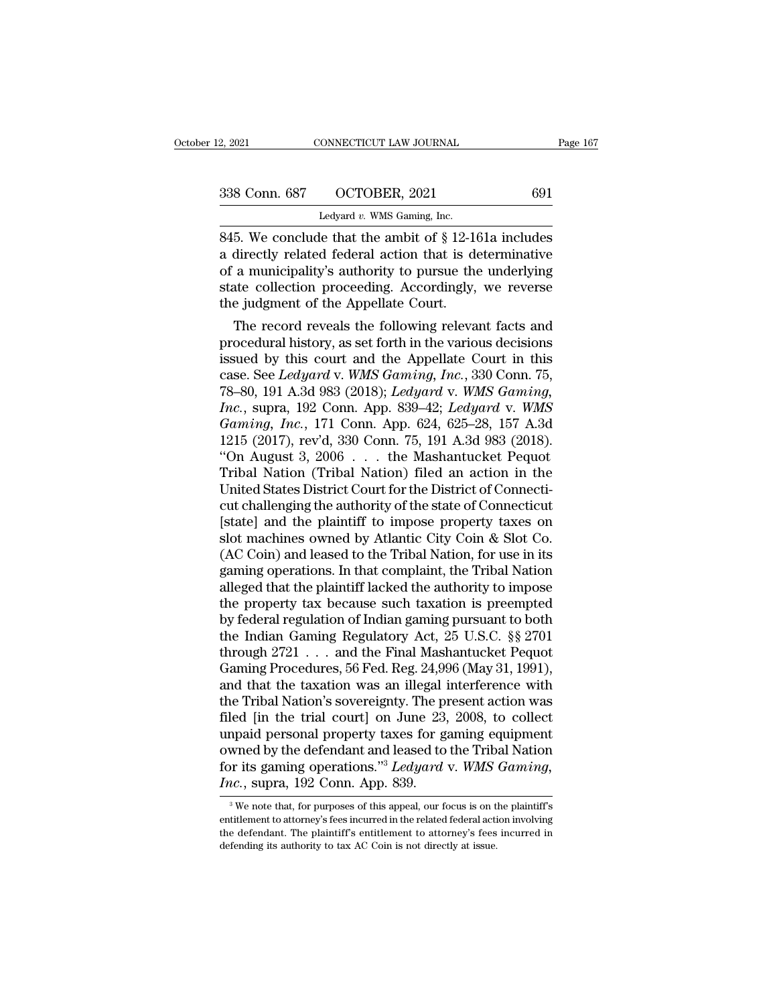| 2, 2021       | CONNECTICUT LAW JOURNAL                              | Page 167 |
|---------------|------------------------------------------------------|----------|
| 338 Conn. 687 | OCTOBER, 2021                                        | 691      |
|               | Ledyard $v$ . WMS Gaming, Inc.                       |          |
|               | 845. We conclude that the ambit of §12-161a includes |          |

2, 2021 CONNECTICUT LAW JOURNAL Page 167<br>  $338$  Conn. 687 OCTOBER, 2021 691<br>
Ledyard v. WMS Gaming, Inc.<br>
845. We conclude that the ambit of § 12-161a includes<br>
a directly related federal action that is determinative<br>
of 338 Conn. 687 OCTOBER, 2021 691<br>
Ledyard v. WMS Gaming, Inc.<br>
845. We conclude that the ambit of  $\S$  12-161a includes<br>
a directly related federal action that is determinative<br>
of a municipality's authority to pursue the u 338 Conn. 687 OCTOBER, 2021 691<br>
Ledyard v. WMS Gaming, Inc.<br>
845. We conclude that the ambit of  $\S$  12-161a includes<br>
a directly related federal action that is determinative<br>
of a municipality's authority to pursue the u 338 Conn. 687 OCTOBER, 2021 691<br>
Ledyard v. WMS Gaming, Inc.<br>
845. We conclude that the ambit of § 12-161a includes<br>
a directly related federal action that is determinative<br>
of a municipality's authority to pursue the und Ledyard v. WMS Gaming, Inc.<br>
1997 MMS Gaming, Inc.<br>
1997 MMS Gaming, Inc.<br>
1997 MMS Gaming, Inc.<br>
245. We conclude that the ambit of § 12-14<br>
216 a directly related federal action that is do<br>
1998 of a municipality's autho 5. We conclude that the ambit of  $\S$  12-161a includes<br>directly related federal action that is determinative<br>a municipality's authority to pursue the underlying<br>atte collection proceeding. Accordingly, we reverse<br>e judgmen 845. We conclude that the ambit of  $\S$  12-101a includes<br>a directly related federal action that is determinative<br>of a municipality's authority to pursue the underlying<br>state collection proceeding. Accordingly, we reverse<br>t

a directly related rederal action that is determinative<br>of a municipality's authority to pursue the underlying<br>state collection proceeding. Accordingly, we reverse<br>the judgment of the Appellate Court.<br>The record reveals t or a municipality's authority to pursue the underlying<br>state collection proceeding. Accordingly, we reverse<br>the judgment of the Appellate Court.<br>The record reveals the following relevant facts and<br>procedural history, as se state collection proceeding. Accordingly, we reverse<br>the judgment of the Appellate Court.<br>The record reveals the following relevant facts and<br>procedural history, as set forth in the various decisions<br>issued by this court a *Inc.* The record reveals the following relevant facts and<br>procedural history, as set forth in the various decisions<br>issued by this court and the Appellate Court in this<br>case. See *Ledyard* v. *WMS Gaming, Inc.*, 330 Conn. The record reveals the following relevant facts and<br>procedural history, as set forth in the various decisions<br>issued by this court and the Appellate Court in this<br>case. See *Ledyard* v. *WMS Gaming, Inc.*, 330 Conn. 75,<br>78 procedural history, as set forth in the various decisions<br>issued by this court and the Appellate Court in this<br>case. See *Ledyard* v. WMS Gaming, Inc., 330 Conn. 75,<br>78–80, 191 A.3d 983 (2018); *Ledyard* v. WMS Gaming,<br>Inc issued by this court and the Appellate Court in this<br>
case. See *Ledyard* v. WMS Gaming, Inc., 330 Conn. 75,<br>
78–80, 191 A.3d 983 (2018); *Ledyard* v. WMS Gaming,<br>
Inc., supra, 192 Conn. App. 839–42; *Ledyard* v. WMS<br>
Gami case. See *Ledyard* v. *WMS Gaming, Inc.*, 330 Conn. 75,<br>78–80, 191 A.3d 983 (2018); *Ledyard* v. *WMS Gaming, Inc.*, supra, 192 Conn. App. 839–42; *Ledyard* v. *WMS*<br>*Gaming, Inc.*, 171 Conn. App. 624, 625–28, 157 A.3d<br>12 78–80, 191 A.3d 983 (2018); *Ledyard v. WMS Gaming, Inc.*, supra, 192 Conn. App. 839–42; *Ledyard v. WMS Gaming, Inc.*, 171 Conn. App. 624, 625–28, 157 A.3d 1215 (2017), rev'd, 330 Conn. 75, 191 A.3d 983 (2018). "On Augus Inc., supra, 192 Conn. App. 839–42; Ledyard v. WMS<br>
Gaming, Inc., 171 Conn. App. 624, 625–28, 157 A.3d<br>
1215 (2017), rev'd, 330 Conn. 75, 191 A.3d 983 (2018).<br>
"On August 3, 2006 . . . the Mashantucket Pequot<br>
Tribal Nati Gaming, Inc., 171 Conn. App. 624, 625–28, 157 A.3d<br>1215 (2017), rev'd, 330 Conn. 75, 191 A.3d 983 (2018).<br>"On August 3, 2006 . . . the Mashantucket Pequot<br>Tribal Nation (Tribal Nation) filed an action in the<br>United States 1215 (2017), rev'd, 330 Conn. 75, 191 A.3d 983 (2018).<br>
"On August 3, 2006 . . . the Mashantucket Pequot<br>
Tribal Nation (Tribal Nation) filed an action in the<br>
United States District Court for the District of Connecti-<br>
c "On August 3, 2006  $\ldots$  the Mashantucket Pequot<br>Tribal Nation (Tribal Nation) filed an action in the<br>United States District Court for the District of Connecti-<br>cut challenging the authority of the state of Connecticut<br>[s Tribal Nation (Tribal Nation) filed an action in the United States District Court for the District of Connecticut<br>cut challenging the authority of the state of Connecticut<br>[state] and the plaintiff to impose property taxes United States District Court for the District of Connecticut<br>cut challenging the authority of the state of Connecticut<br>[state] and the plaintiff to impose property taxes on<br>slot machines owned by Atlantic City Coin & Slot cut challenging the authority of the state of Connecticut<br>[state] and the plaintiff to impose property taxes on<br>slot machines owned by Atlantic City Coin & Slot Co.<br>(AC Coin) and leased to the Tribal Nation, for use in its [state] and the plaintiff to impose property taxes on<br>slot machines owned by Atlantic City Coin & Slot Co.<br>(AC Coin) and leased to the Tribal Nation, for use in its<br>gaming operations. In that complaint, the Tribal Nation<br>a slot machines owned by Atlantic City Coin & Slot Co.<br>(AC Coin) and leased to the Tribal Nation, for use in its<br>gaming operations. In that complaint, the Tribal Nation<br>alleged that the plaintiff lacked the authority to impo (AC Coin) and leased to the Tribal Nation, for use in its<br>gaming operations. In that complaint, the Tribal Nation<br>alleged that the plaintiff lacked the authority to impose<br>the property tax because such taxation is preempt gaming operations. In that complaint, the Tribal Nation<br>alleged that the plaintiff lacked the authority to impose<br>the property tax because such taxation is preempted<br>by federal regulation of Indian gaming pursuant to both<br> alleged that the plaintiff lacked the authority to impose<br>the property tax because such taxation is preempted<br>by federal regulation of Indian gaming pursuant to both<br>the Indian Gaming Regulatory Act, 25 U.S.C. §§ 2701<br>thro the property tax because such taxation is preempted<br>by federal regulation of Indian gaming pursuant to both<br>the Indian Gaming Regulatory Act, 25 U.S.C. §§ 2701<br>through 2721 . . . and the Final Mashantucket Pequot<br>Gaming Pr by federal regulation of Indian gaming pursuant to both<br>the Indian Gaming Regulatory Act, 25 U.S.C. §§ 2701<br>through 2721 . . . and the Final Mashantucket Pequot<br>Gaming Procedures, 56 Fed. Reg. 24,996 (May 31, 1991),<br>and th the Indian Gaming Regulatory Act, 25 U.S.C. §§ 2701<br>through 2721 . . . and the Final Mashantucket Pequot<br>Gaming Procedures, 56 Fed. Reg. 24,996 (May 31, 1991),<br>and that the taxation was an illegal interference with<br>the Tr through 2721 . . . and the Final Mashantucket Pequot Gaming Procedures, 56 Fed. Reg. 24,996 (May 31, 1991), and that the taxation was an illegal interference with the Tribal Nation's sovereignty. The present action was fi Gaming Procedures, 56 Fed. Reg. 24,996 (May 31, 1991), and that the taxation was an illegal interference with the Tribal Nation's sovereignty. The present action was filed [in the trial court] on June 23, 2008, to collect and that the taxation was an illegal if<br>the Tribal Nation's sovereignty. The price of the trial court] on June 23,<br>unpaid personal property taxes for gowned by the defendant and leased to<br>for its gaming operations."<sup>3</sup> *Le* mpaid personal property taxes for gaming equipment<br>wned by the defendant and leased to the Tribal Nation<br>or its gaming operations."<sup>3</sup> Ledyard v. WMS Gaming,<br>i.e., supra, 192 Conn. App. 839.<br><sup>3</sup> We note that, for purposes owned by the defendant and leased to the Tribal Nation<br>for its gaming operations."<sup>3</sup> *Ledyard* v. *WMS Gaming*,<br>*Inc.*, supra, 192 Conn. App. 839.<br><sup>3</sup> We note that, for purposes of this appeal, our focus is on the plaint

for its gaming operations."<sup>3</sup> Ledyard v. WMS Gaming,<br>
Inc., supra, 192 Conn. App. 839.<br>
<sup>3</sup> We note that, for purposes of this appeal, our focus is on the plaintiff's<br>
entitlement to attorney's fees incurred in the relat For its gaming operations. Ecagara v.  $mD$ <br>*Inc.*, supra, 192 Conn. App. 839.<br><sup>3</sup> We note that, for purposes of this appeal, our focus is on t<br>entitlement to attorney's fees incurred in the related federal active<br>the defe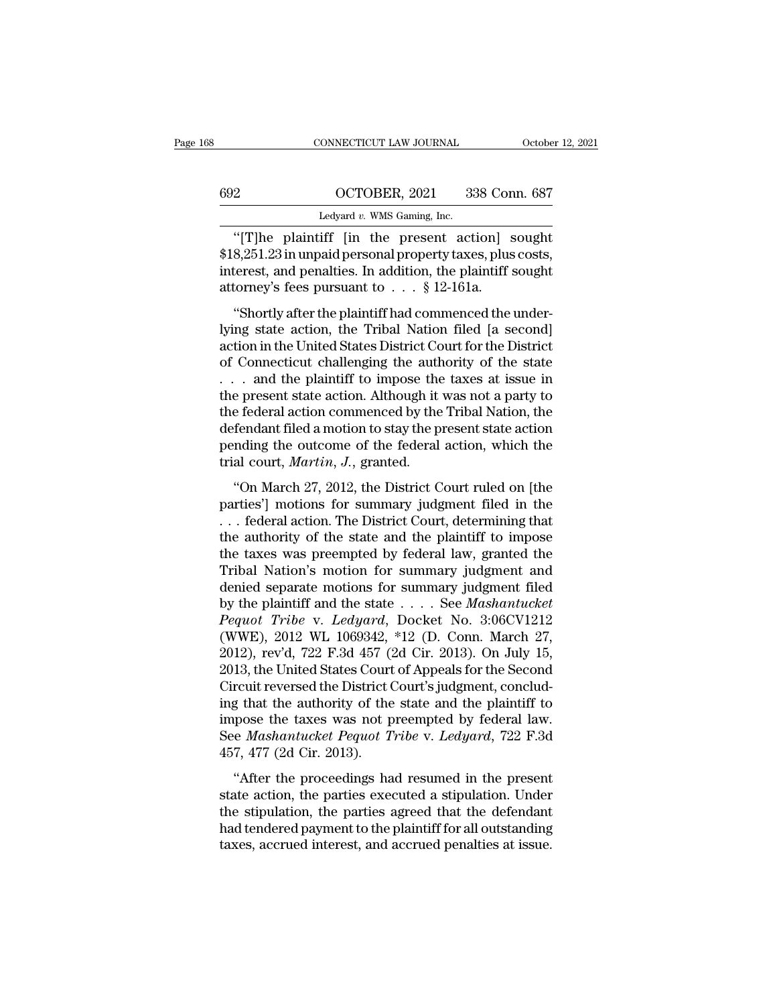|     | CONNECTICUT LAW JOURNAL                       | October 12, 2021 |
|-----|-----------------------------------------------|------------------|
|     |                                               |                  |
| 692 | OCTOBER, 2021                                 | 338 Conn. 687    |
|     | Ledyard $v$ . WMS Gaming, Inc.                |                  |
|     | "The plaintiff lin the present action sought" |                  |

CONNECTICUT LAW JOURNAL October 12, 202<br>
2<br>
COCTOBER, 2021 338 Conn. 687<br>
Ledyard v. WMS Gaming, Inc.<br>
"[T]he plaintiff [in the present action] sought<br>
8,251.23 in unpaid personal property taxes, plus costs,<br>
terest and pe 692 OCTOBER, 2021 338 Conn. 687<br>
Ledyard v. WMS Gaming, Inc.<br>
"[T]he plaintiff [in the present action] sought<br>\$18,251.23 in unpaid personal property taxes, plus costs,<br>
interest, and penalties. In addition, the plaintiff s 692 OCTOBER, 2021 338 Conn. 687<br>
Ledyard v. WMS Gaming, Inc.<br>
"[T]he plaintiff [in the present action] sought<br>\$18,251.23 in unpaid personal property taxes, plus costs,<br>
interest, and penalties. In addition, the plaintiff  $\frac{\text{692}}{\text{Ledyard } v. \text{ WMS Gamma, Inc.}}$ <br>
"[T]he plaintiff [in the present action] s<br>
\$18,251.23 in unpaid personal property taxes, plus<br>
interest, and penalties. In addition, the plaintiff s<br>
attorney's fees pursuant to . . . § 12 Ledyard v. WMS Gaming, Inc.<br>
"[T]he plaintiff [in the present action] sought<br>
8,251.23 in unpaid personal property taxes, plus costs,<br>
terest, and penalties. In addition, the plaintiff sought<br>
torney's fees pursuant to  $\$ "[T]he plaintiff [in the present action] sought<br>\$18,251.23 in unpaid personal property taxes, plus costs,<br>interest, and penalties. In addition, the plaintiff sought<br>attorney's fees pursuant to  $\ldots$  § 12-161a.<br>"Shortly af

<sup>1</sup> The plant of the Present action is solar<br>
\$18,251.23 in unpaid personal property taxes, plus costs,<br>
interest, and penalties. In addition, the plaintiff sought<br>
attorney's fees pursuant to  $\ldots$  § 12-161a.<br>
"Shortly a  $\psi$ 10,201.20 in diplad personal property taxes, pias costs,<br>interest, and penalties. In addition, the plaintiff sought<br>attorney's fees pursuant to . . . § 12-161a.<br>"Shortly after the plaintiff had commenced the under-<br>ly The plant of the plaintiff to impose the taxes at issue in the present to form the plaintiff had commenced the underlying state action, the Tribal Nation filed [a second] action in the United States District Court for the "Shortly after the plaintiff had commenced the under-<br>lying state action, the Tribal Nation filed [a second]<br>action in the United States District Court for the District<br>of Connecticut challenging the authority of the stat "Shortly after the plaintiff had commenced the underlying state action, the Tribal Nation filed [a second] action in the United States District Court for the District of Connecticut challenging the authority of the state lying state action, the Tribal Nation filed [a second]<br>action in the United States District Court for the District<br>of Connecticut challenging the authority of the state<br>... and the plaintiff to impose the taxes at issue in action in the United States District Court for the District<br>of Connecticut challenging the authority of the state<br> $\ldots$  and the plaintiff to impose the taxes at issue in<br>the present state action. Although it was not a par of Connecticut challenging the auth<br>
... and the plaintiff to impose the<br>
the present state action. Although it<br>
the federal action commenced by the<br>
defendant filed a motion to stay the p<br>
pending the outcome of the feder <sup>1</sup> cand the plantam to impose the takes at issue in<br>
e present state action. Although it was not a party to<br>
e federal action commenced by the Tribal Nation, the<br>
fendant filed a motion to stay the present state action<br>
m are present state action. Transagn it was not a party to<br>the federal action commenced by the Tribal Nation, the<br>defendant filed a motion to stay the present state action<br>pending the outcome of the federal action, which the

defendant filed a motion to stay the present state action<br>pending the outcome of the federal action, which the<br>trial court, *Martin*, *J*., granted.<br>"On March 27, 2012, the District Court ruled on [the<br>parties'] motions fo pending the outcome of the federal action, which the<br>trial court, *Martin*, *J*., granted.<br>"On March 27, 2012, the District Court ruled on [the<br>parties'] motions for summary judgment filed in the<br>... federal action. The Di trial court, *Martin*, *J*., granted.<br>
"On March 27, 2012, the District Court ruled on [the<br>
parties'] motions for summary judgment filed in the<br>
... federal action. The District Court, determining that<br>
the authority of "On March 27, 2012, the District Court ruled on [the<br>parties'] motions for summary judgment filed in the<br>... federal action. The District Court, determining that<br>the authority of the state and the plaintiff to impose<br>the "On March 27, 2012, the District Court ruled on [the<br>parties'] motions for summary judgment filed in the<br>... federal action. The District Court, determining that<br>the authority of the state and the plaintiff to impose<br>the parties'] motions for summary judgment filed in the<br>
... federal action. The District Court, determining that<br>
the authority of the state and the plaintiff to impose<br>
the taxes was preempted by federal law, granted the<br>
Tr *Permining that*<br> *Permining that*<br>
the authority of the state and the plaintiff to impose<br>
the taxes was preempted by federal law, granted the<br>
Tribal Nation's motion for summary judgment filed<br>
denied separate motions fo the authority of the state and the plaintiff to impose<br>the taxes was preempted by federal law, granted the<br>Tribal Nation's motion for summary judgment and<br>denied separate motions for summary judgment filed<br>by the plaintif the taxes was preempted by federal law, granted the Tribal Nation's motion for summary judgment and denied separate motions for summary judgment filed by the plaintiff and the state  $\ldots$ . See *Mashantucket Pequot Tribe* Tribal Nation's motion for summary judgment and<br>denied separate motions for summary judgment filed<br>by the plaintiff and the state  $\ldots$ . See *Mashantucket*<br>Pequot Tribe v. Ledyard, Docket No. 3:06CV1212<br>(WWE), 2012 WL 106 denied separate motions for summary judgment filed<br>by the plaintiff and the state  $\ldots$ . See *Mashantucket*<br>Pequot Tribe v. Ledyard, Docket No. 3:06CV1212<br>(WWE), 2012 WL 1069342, \*12 (D. Conn. March 27,<br>2012), rev'd, 722 by the plaintiff and the state  $\dots$  See Mashantucket<br>Pequot Tribe v. Ledyard, Docket No. 3:06CV1212<br>(WWE), 2012 WL 1069342, \*12 (D. Conn. March 27,<br>2012), rev'd, 722 F.3d 457 (2d Cir. 2013). On July 15,<br>2013, the United S Pequot Tribe v. Ledyard, Docket No. 3:06CV1212 (WWE), 2012 WL 1069342, \*12 (D. Conn. March 27, 2012), rev'd, 722 F.3d 457 (2d Cir. 2013). On July 15, 2013, the United States Court of Appeals for the Second Circuit reversed (WWE), 2012 WL 1069342, \*12 (D. Conn. March 27, 2012), rev'd, 722 F.3d 457 (2d Cir. 2013). On July 15, 2013, the United States Court of Appeals for the Second Circuit reversed the District Court's judgment, concluding that 2012), rev'd, 722 F.3d 457 (2013, the United States Court<br>Circuit reversed the District (<br>ing that the authority of the<br>impose the taxes was not p<br>See *Mashantucket Pequot T*<br>457, 477 (2d Cir. 2013).<br>"After the proceedings They are stated states count of trippeds for all second<br>
require the process results from the proceeding that the authority of the state and the plaintiff to<br>
pose the taxes was not preempted by federal law.<br>
e *Mashantuck* ing that the authority of the state and the plaintiff to<br>impose the taxes was not preempted by federal law.<br>See *Mashantucket Pequot Tribe* v. *Ledyard*, 722 F.3d<br>457, 477 (2d Cir. 2013).<br>"After the proceedings had resumed

In the state and the plant. The state and the plant. The simples impose the taxes was not preempted by federal law.<br>See *Mashantucket Pequot Tribe* v. *Ledyard*, 722 F.3d<br>457, 477 (2d Cir. 2013).<br>"After the proceedings had had the *Mashantucket Pequot Tribe* v. *Ledyard*, 722 F.3d 457, 477 (2d Cir. 2013).<br>
"After the proceedings had resumed in the present state action, the parties executed a stipulation. Under the stipulation, the parties ag 457, 477 (2d Cir. 2013).<br>
"After the proceedings had resumed in the present state action, the parties executed a stipulation. Under the stipulation, the parties agreed that the defendant had tendered payment to the plaint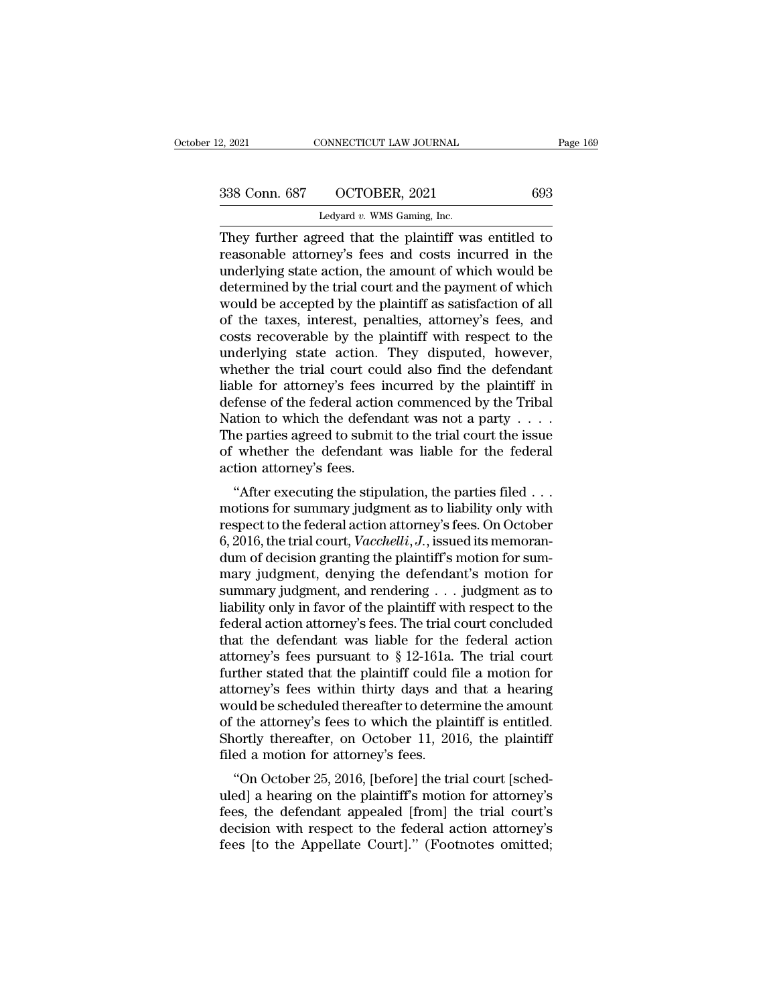2, 2021 CONNECTICUT LAW JOURNAL<br>
2, 2021 CONNECTICUT LAW JOURNAL<br>
238 Conn. 687 OCTOBER, 2021 693<br>
Ledyard *v.* WMS Gaming, Inc.<br>
They further agreed that the plaintiff was entitled to 2, 2021 CONNECTICUT LAW JOURNAL Page 169<br>338 Conn. 687 OCTOBER, 2021 693<br>Ledyard v. WMS Gaming, Inc.<br>They further agreed that the plaintiff was entitled to<br>reasonable attorney's fees and costs incurred in the<br>underlying st 338 Conn. 687 OCTOBER, 2021 693<br>
Ledyard v. WMS Gaming, Inc.<br>
They further agreed that the plaintiff was entitled to<br>
reasonable attorney's fees and costs incurred in the<br>
underlying state action, the amount of which woul 338 Conn. 687 OCTOBER, 2021 693<br>
Ledyard v. WMS Gaming, Inc.<br>
They further agreed that the plaintiff was entitled to<br>
reasonable attorney's fees and costs incurred in the<br>
underlying state action, the amount of which woul  $\frac{338 \text{ Conn. } 687 \qquad \text{OCTOBER, } 2021 \qquad \text{693}}{\text{Ledyard } v. \text{ WMS Gaming, Inc.}}$ <br>They further agreed that the plaintiff was entitled to reasonable attorney's fees and costs incurred in the underlying state action, the amount of which wo Ledyard v. WMS Gaming, Inc.<br>They further agreed that the plaintiff was entitled to<br>reasonable attorney's fees and costs incurred in the<br>underlying state action, the amount of which would be<br>determined by the trial court a Ledyard v. WMS Gaming, Inc.<br>
They further agreed that the plaintiff was entitled to<br>
reasonable attorney's fees and costs incurred in the<br>
underlying state action, the amount of which would be<br>
determined by the trial cou They further agreed that the plaintiff was entitled to<br>reasonable attorney's fees and costs incurred in the<br>underlying state action, the amount of which would be<br>determined by the trial court and the payment of which<br>would reasonable attorney's fees and costs incurred in the<br>underlying state action, the amount of which would be<br>determined by the trial court and the payment of which<br>would be accepted by the plaintiff as satisfaction of all<br>of underlying state action, the amount of which would be<br>determined by the trial court and the payment of which<br>would be accepted by the plaintiff as satisfaction of all<br>of the taxes, interest, penalties, attorney's fees, and determined by the trial court and the payment of which<br>would be accepted by the plaintiff as satisfaction of all<br>of the taxes, interest, penalties, attorney's fees, and<br>costs recoverable by the plaintiff with respect to th would be accepted by the plaintiff as satisfaction of all<br>of the taxes, interest, penalties, attorney's fees, and<br>costs recoverable by the plaintiff with respect to the<br>underlying state action. They disputed, however,<br>whe % of the taxes, interest, penalties, attorney's fees, and costs recoverable by the plaintiff with respect to the underlying state action. They disputed, however, whether the trial court could also find the defendant liabl costs recoverable by the plaintiff with respect to the underlying state action. They disputed, however, whether the trial court could also find the defendant liable for attorney's fees incurred by the plaintiff in defense underlying state action. They disputed, however,<br>whether the trial court could also find the defendant<br>liable for attorney's fees incurred by the plaintiff in<br>defense of the federal action commenced by the Tribal<br>Nation t whether the trial court cou<br>liable for attorney's fees if<br>defense of the federal action<br>Nation to which the defend<br>The parties agreed to submi<br>of whether the defendant<br>action attorney's fees.<br>"After executing the stipu ble for attorney's rees incurred by the plantificant<br>
fense of the federal action commenced by the Tribal<br>
attion to which the defendant was not a party  $\dots$ <br>
i.e parties agreed to submit to the trial court the issue<br>
whe Mation to which the defendant was not a party  $\dots$ .<br>The parties agreed to submit to the trial court the issue<br>of whether the defendant was liable for the federal<br>action attorney's fees.<br>"After executing the stipulation, t

respectively. The parties agreed to submit to the trial court the issue<br>of whether the defendant was liable for the federal<br>action attorney's fees.<br>"After executing the stipulation, the parties filed  $\dots$ <br>motions for summ The parties agreed to subflitt to the trial court the issue<br>of whether the defendant was liable for the federal<br>action attorney's fees.<br>"After executing the stipulation, the parties filed . . .<br>motions for summary judgment of whether the defendant was hable for the federal<br>action attorney's fees.<br>"After executing the stipulation, the parties filed  $\dots$ <br>motions for summary judgment as to liability only with<br>respect to the federal action atto "After executing the stipulation, the parties filed . . . motions for summary judgment as to liability only with respect to the federal action attorney's fees. On October 6, 2016, the trial court, *Vacchelli*, *J*., issue "After executing the stipulation, the parties filed . . .<br>motions for summary judgment as to liability only with<br>respect to the federal action attorney's fees. On October<br>6, 2016, the trial court, *Vacchelli*, *J*., issue motions for summary judgment as to liability only with<br>respect to the federal action attorney's fees. On October<br>6, 2016, the trial court, *Vacchelli*, *J*., issued its memoran-<br>dum of decision granting the plaintiff's mot respect to the federal action attorney's fees. On October<br>6, 2016, the trial court, *Vacchelli*, *J*., issued its memoran-<br>dum of decision granting the plaintiff's motion for sum-<br>mary judgment, denying the defendant's mo 6, 2016, the trial court, *Vacchelli*, *J*., issued its memorandum of decision granting the plaintiff's motion for summary judgment, denying the defendant's motion for summary judgment, and rendering  $\ldots$  judgment as to dum of decision granting the plaintiff's motion for summary judgment, denying the defendant's motion for summary judgment, and rendering . . . judgment as to liability only in favor of the plaintiff with respect to the fed mary judgment, denying the defendant's motion for<br>summary judgment, and rendering . . . judgment as to<br>liability only in favor of the plaintiff with respect to the<br>federal action attorney's fees. The trial court concluded summary judgment, and rendering . . . judgment as to<br>liability only in favor of the plaintiff with respect to the<br>federal action attorney's fees. The trial court concluded<br>that the defendant was liable for the federal act liability only in favor of the plaintiff with respect to the federal action attorney's fees. The trial court concluded that the defendant was liable for the federal action attorney's fees pursuant to  $\S$  12-161a. The tria federal action attorney's fees. The trial court concluded<br>that the defendant was liable for the federal action<br>attorney's fees pursuant to  $\S$  12-161a. The trial court<br>further stated that the plaintiff could file a motion that the defendant was liable for the federal action<br>attorney's fees pursuant to  $\S$  12-161a. The trial court<br>further stated that the plaintiff could file a motion for<br>attorney's fees within thirty days and that a hearing attorney's fees pursuant to § 12-161a.<br>further stated that the plaintiff could f<br>attorney's fees within thirty days and<br>would be scheduled thereafter to detern<br>of the attorney's fees to which the plai<br>Shortly thereafter, o Fine Stated that the plaintiff could the a motion for<br>torney's fees within thirty days and that a hearing<br>ould be scheduled thereafter to determine the amount<br>the attorney's fees to which the plaintiff is entitled.<br>ortly t attorney's rees within thirty days and that a hearing<br>would be scheduled thereafter to determine the amount<br>of the attorney's fees to which the plaintiff is entitled.<br>Shortly thereafter, on October 11, 2016, the plaintiff<br>

would be scheduled thereafter to determine the amount<br>of the attorney's fees to which the plaintiff is entitled.<br>Shortly thereafter, on October 11, 2016, the plaintiff<br>filed a motion for attorney's fees.<br>"On October 25, 20 of the attorney's rees to which the plaintiff is entitled.<br>Shortly thereafter, on October 11, 2016, the plaintiff<br>filed a motion for attorney's fees.<br>"On October 25, 2016, [before] the trial court [sched-<br>uled] a hearing o Shortly the Fearter, on October 11, 2010, the plantum<br>filed a motion for attorney's fees.<br>"On October 25, 2016, [before] the trial court [sched-<br>uled] a hearing on the plaintiff's motion for attorney's<br>fees, the defendant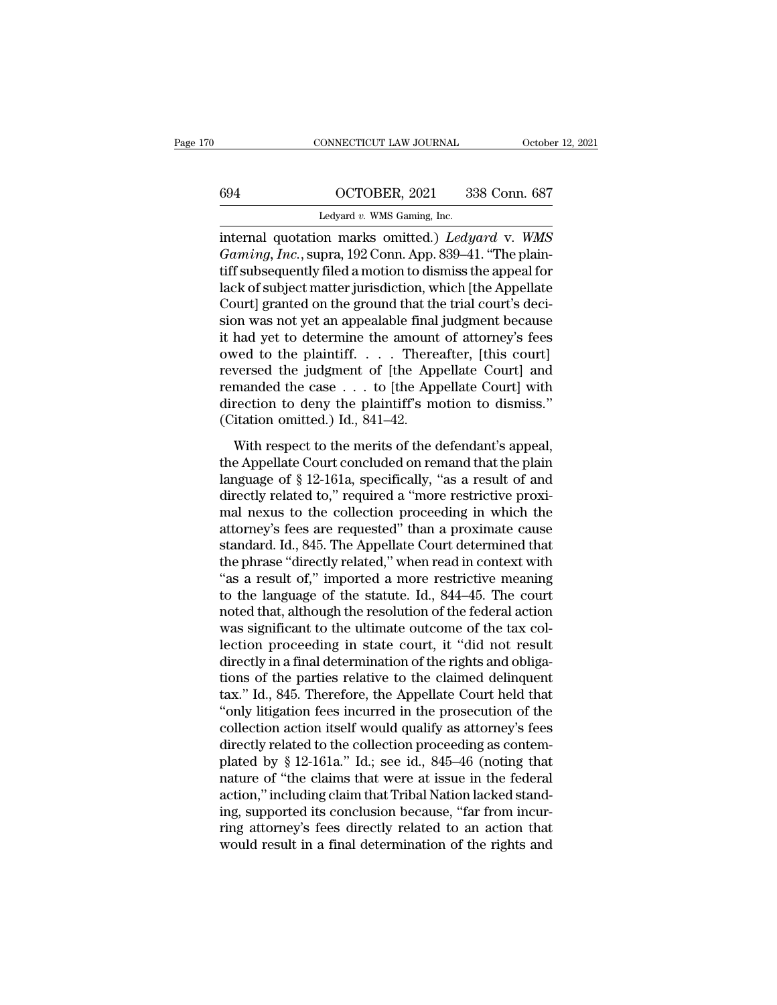# CONNECTICUT LAW JOURNAL October 12, 2021<br>694 OCTOBER, 2021 338 Conn. 687<br>Ledyard v. WMS Gaming, Inc.

CONNECTICUT LAW JOURNAL Octobe<br>
CONNECTICUT LAW JOURNAL Octobe<br>
CONNECTICUT LAW JOURNAL Octobe<br>
CONNECTICUT LAW SOCIAL 338 Conn. 687<br>
Ledyard *v.* WMS Gaming, Inc.<br>
Internal quotation marks omitted.) *Ledyard v. WMS* connecticut LAW JOURNAL October 12, 2021<br>
694 OCTOBER, 2021 338 Conn. 687<br>
Ledyard v. WMS Gaming, Inc.<br>
internal quotation marks omitted.) *Ledyard* v. *WMS*<br> *Gaming, Inc.*, supra, 192 Conn. App. 839–41. "The plain-<br>
tiff *Gaming, Inc.*<br> *Gaming, Inc.*<br> *Gaming, Inc.*, supra, 192 Conn. App. 839–41. "The plain-<br> *Gaming, Inc.*, supra, 192 Conn. App. 839–41. "The plain-<br> *Gaming, Inc.*, supra, 192 Conn. App. 839–41. "The plain-<br> *Leak of subj* 694  $\qquad$  OCTOBER, 2021 338 Conn. 687<br>
Ledyard v. WMS Gaming, Inc.<br>
internal quotation marks omitted.) *Ledyard* v. WMS<br> *Gaming, Inc.*, supra, 192 Conn. App. 839–41. "The plain-<br>
tiff subsequently filed a motion to dismi lack of subject matter jurisdiction, which [the Appellate Ledyard v. WMS Gaming, Inc.<br>
internal quotation marks omitted.) Ledyard v. WMS<br>
Gaming, Inc., supra, 192 Conn. App. 839–41. "The plain-<br>
tiff subsequently filed a motion to dismiss the appeal for<br>
lack of subject matter j Ledyard v. WMS Gaming, inc.<br>
internal quotation marks omitted.) Ledyard v. WMS<br>
Gaming, Inc., supra, 192 Conn. App. 839–41. "The plain-<br>
tiff subsequently filed a motion to dismiss the appeal for<br>
lack of subject matter j internal quotation marks omitted.) *Ledyard* v. WMS<br> *Gaming, Inc.*, supra, 192 Conn. App. 839–41. "The plain-<br>
tiff subsequently filed a motion to dismiss the appeal for<br>
lack of subject matter jurisdiction, which [the Ap *Gaming, Inc.*, supra, 192 Conn. App. 839–41. "The plaintiff subsequently filed a motion to dismiss the appeal for lack of subject matter jurisdiction, which [the Appellate Court] granted on the ground that the trial cour tiff subsequently filed a motion to dismiss the appeal for<br>lack of subject matter jurisdiction, which [the Appellate<br>Court] granted on the ground that the trial court's deci-<br>sion was not yet an appealable final judgment b lack of subject matter jurisdiction, which [the Appellate Court] granted on the ground that the trial court's decision was not yet an appealable final judgment because it had yet to determine the amount of attorney's fees Court] granted on the ground that the trial court's decision was not yet an appealable final judgment because<br>it had yet to determine the amount of attorney's fees<br>owed to the plaintiff. . . . Thereafter, [this court]<br>rev sion was not yet an appealable final<br>it had yet to determine the amount<br>owed to the plaintiff. . . . There<br>reversed the judgment of [the App<br>remanded the case . . . to [the App<br>direction to deny the plaintiff's m<br>(Citatio wed to the plaintiff. . . . Thereafter, [this court]<br>wersed the judgment of [the Appellate Court] and<br>manded the case  $\ldots$  to [the Appellate Court] with<br>rection to deny the plaintiff's motion to dismiss."<br>itation omitted the appellate Court concluded on remain and direction to deny the plaintiff's motion to dismiss."<br>(Citation to deny the plaintiff's motion to dismiss."<br>(Citation omitted.) Id., 841–42.<br>With respect to the merits of the de

remanded the case  $\ldots$  to [the Appellate Court] with<br>direction to deny the plaintiff's motion to dismiss."<br>(Citation omitted.) Id., 841–42.<br>With respect to the merits of the defendant's appeal,<br>the Appellate Court conclu direction to deny the plaintiff's motion to dismiss."<br>(Citation omitted.) Id., 841–42.<br>With respect to the merits of the defendant's appeal,<br>the Appellate Court concluded on remand that the plain<br>language of § 12-161a, sp (Citation omitted.) Id., 841–42.<br>
With respect to the merits of the defendant's appeal,<br>
the Appellate Court concluded on remand that the plain<br>
language of § 12-161a, specifically, "as a result of and<br>
directly related t With respect to the merits of the defendant's appeal,<br>the Appellate Court concluded on remand that the plain<br>language of § 12-161a, specifically, "as a result of and<br>directly related to," required a "more restrictive prox With respect to the merits of the defendant's appeal,<br>the Appellate Court concluded on remand that the plain<br>language of § 12-161a, specifically, "as a result of and<br>directly related to," required a "more restrictive prox the Appellate Court concluded on remand that the plain<br>language of § 12-161a, specifically, "as a result of and<br>directly related to," required a "more restrictive proxi-<br>mal nexus to the collection proceeding in which the<br> language of  $\S$  12-161a, specifically, "as a result of and<br>directly related to," required a "more restrictive proxi-<br>mal nexus to the collection proceeding in which the<br>attorney's fees are requested" than a proximate caus directly related to," required a "more restrictive proximal nexus to the collection proceeding in which the attorney's fees are requested" than a proximate cause standard. Id., 845. The Appellate Court determined that the mal nexus to the collection proceeding in which the<br>attorney's fees are requested" than a proximate cause<br>standard. Id., 845. The Appellate Court determined that<br>the phrase "directly related," when read in context with<br>"as attorney's fees are requested" than a proximate cause<br>standard. Id., 845. The Appellate Court determined that<br>the phrase "directly related," when read in context with<br>"as a result of," imported a more restrictive meaning<br>t standard. Id., 845. The Appellate Court determined that<br>the phrase "directly related," when read in context with<br>"as a result of," imported a more restrictive meaning<br>to the language of the statute. Id., 844–45. The court<br> the phrase "directly related," when read in context with "as a result of," imported a more restrictive meaning<br>to the language of the statute. Id., 844–45. The court<br>noted that, although the resolution of the federal actio "as a result of," imported a more restrictive meaning<br>to the language of the statute. Id.,  $844-45$ . The court<br>noted that, although the resolution of the federal action<br>was significant to the ultimate outcome of the tax c to the language of the statute. Id., 844–45. The court<br>noted that, although the resolution of the federal action<br>was significant to the ultimate outcome of the tax col-<br>lection proceeding in state court, it "did not result noted that, although the resolution of the federal action<br>was significant to the ultimate outcome of the tax col-<br>lection proceeding in state court, it "did not result<br>directly in a final determination of the rights and ob was significant to the ultimate outcome of the tax collection proceeding in state court, it "did not result<br>directly in a final determination of the rights and obliga-<br>tions of the parties relative to the claimed delinque lection proceeding in state court, it "did not result<br>directly in a final determination of the rights and obliga-<br>tions of the parties relative to the claimed delinquent<br>tax." Id., 845. Therefore, the Appellate Court held directly in a final determination of the rights and obligations of the parties relative to the claimed delinquent tax." Id., 845. Therefore, the Appellate Court held that "only litigation fees incurred in the prosecution o tions of the parties relative to the claimed delinquent<br>tax." Id., 845. Therefore, the Appellate Court held that<br>"only litigation fees incurred in the prosecution of the<br>collection action itself would qualify as attorney's tax." Id., 845. Therefore, the Appellate Court held that "only litigation fees incurred in the prosecution of the collection action itself would qualify as attorney's fees directly related to the collection proceeding as c "only litigation fees incurred in the prosecution of the collection action itself would qualify as attorney's fees directly related to the collection proceeding as contemplated by  $\S$  12-161a." Id.; see id., 845–46 (notin collection action itself would qualify as attorney's fees<br>directly related to the collection proceeding as contem-<br>plated by § 12-161a." Id.; see id., 845–46 (noting that<br>nature of "the claims that were at issue in the fed directly related to the collection proceeding as contem-<br>plated by § 12-161a." Id.; see id., 845–46 (noting that<br>nature of "the claims that were at issue in the federal<br>action," including claim that Tribal Nation lacked st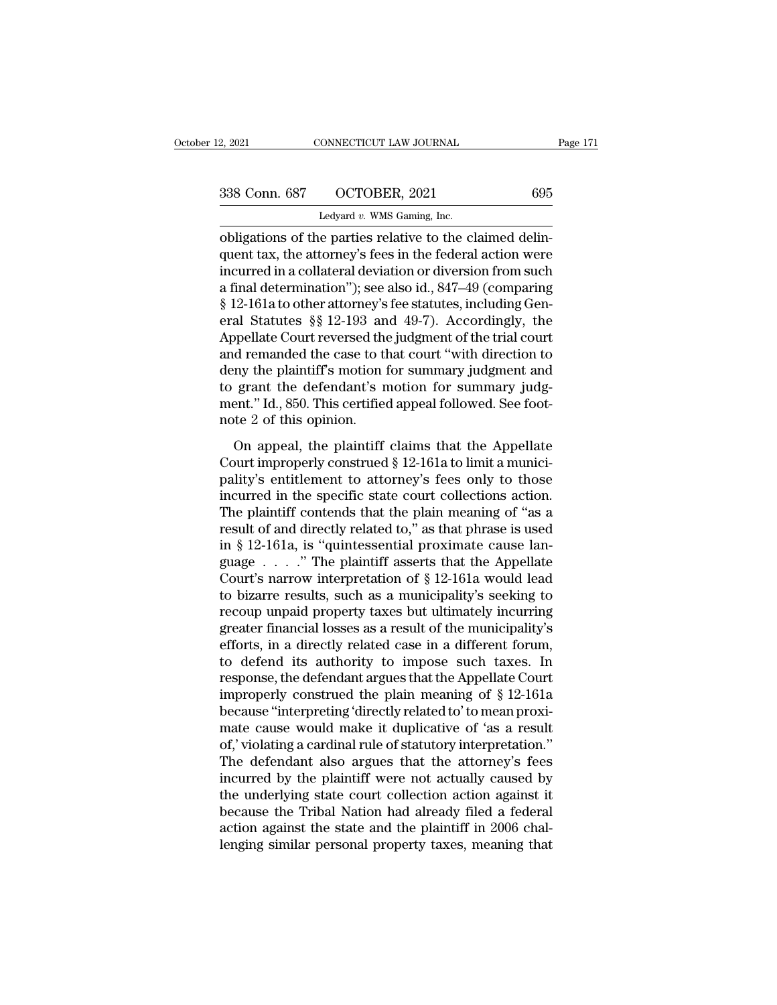2, 2021 CONNECTICUT LAW JOURNAL<br>
2, 2021 695<br>
338 Conn. 687 OCTOBER, 2021 695<br>
Ledyard *v.* WMS Gaming, Inc.<br>
obligations of the parties relative to the claimed delin-2, 2021 CONNECTICUT LAW JOURNAL<br>
338 Conn. 687 OCTOBER, 2021 695<br>
Ledyard v. WMS Gaming, Inc.<br>
obligations of the parties relative to the claimed delin-<br>
quent tax, the attorney's fees in the federal action were 338 Conn. 687 OCTOBER, 2021 695<br>
Ledyard v. WMS Gaming, Inc.<br>
obligations of the parties relative to the claimed delinquent tax, the attorney's fees in the federal action were<br>
incurred in a collateral deviation or divers 338 Conn. 687 OCTOBER, 2021 695<br>
Ledyard v. WMS Gaming, Inc.<br>
obligations of the parties relative to the claimed delin-<br>
quent tax, the attorney's fees in the federal action were<br>
incurred in a collateral deviation or div 338 Conn. 687 OCTOBER, 2021 695<br>
Ledyard v. WMS Gaming, Inc.<br>
obligations of the parties relative to the claimed delin-<br>
quent tax, the attorney's fees in the federal action were<br>
incurred in a collateral deviation or div Ledyard v. WMS Gaming, Inc.<br>
obligations of the parties relative to the claimed delin-<br>
quent tax, the attorney's fees in the federal action were<br>
incurred in a collateral deviation or diversion from such<br>
a final determi Ledyard v. WMS Gaming, inc.<br>
obligations of the parties relative to the claimed delin-<br>
quent tax, the attorney's fees in the federal action were<br>
incurred in a collateral deviation or diversion from such<br>
a final determi obligations of the parties relative to the claimed delin-<br>quent tax, the attorney's fees in the federal action were<br>incurred in a collateral deviation or diversion from such<br>a final determination''); see also id., 847–49 ( quent tax, the attorney's fees in the federal action were<br>incurred in a collateral deviation or diversion from such<br>a final determination"); see also id., 847–49 (comparing<br>§ 12-161a to other attorney's fee statutes, inclu incurred in a collateral deviation or diversion from such<br>a final determination"); see also id., 847–49 (comparing<br>§ 12-161a to other attorney's fee statutes, including Gen-<br>eral Statutes §§ 12-193 and 49-7). Accordingly, a final determination"); see also id., 847–49 (comparing § 12-161a to other attorney's fee statutes, including General Statutes §§ 12-193 and 49-7). Accordingly, the Appellate Court reversed the judgment of the trial court § 12-161a to other attorney's fee statutes, including General Statutes §§ 12-193 and 49-7). Accordingly, the Appellate Court reversed the judgment of the trial court and remanded the case to that court "with direction to d eral Statutes §§ 12-193 an<br>Appellate Court reversed the<br>and remanded the case to tl<br>deny the plaintiff's motion i<br>to grant the defendant's n<br>ment." Id., 850. This certifie<br>note 2 of this opinion.<br>On appeal, the plaintiff d remanded the case to that court "with direction to<br>ny the plaintiff's motion for summary judgment and<br>grant the defendant's motion for summary judg-<br>ent." Id., 850. This certified appeal followed. See foot-<br>te 2 of this deny the plaintiff's motion for summary judgment and<br>to grant the defendant's motion for summary judgment." Id., 850. This certified appeal followed. See foot-<br>note 2 of this opinion.<br>On appeal, the plaintiff claims that t

for grant the defendant's motion for summary judgment." Id., 850. This certified appeal followed. See foot-<br>note 2 of this opinion.<br>On appeal, the plaintiff claims that the Appellate<br>Court improperly construed  $\S 12{\text -}16$ is grain are determined in the small followed. See foot-<br>mote 2 of this opinion.<br>On appeal, the plaintiff claims that the Appellate<br>Court improperly construed § 12-161a to limit a munici-<br>pality's entitlement to attorney' note 2 of this opinion.<br>
On appeal, the plaintiff claims that the Appellate<br>
Court improperly construed § 12-161a to limit a munici-<br>
pality's entitlement to attorney's fees only to those<br>
incurred in the specific state co Frose 2 of and optical.<br>
On appeal, the plaintiff claims that the Appellate<br>
Court improperly construed  $\S$  12-161a to limit a munici-<br>
pality's entitlement to attorney's fees only to those<br>
incurred in the specific state On appeal, the plaintiff claims that the Appellate<br>Court improperly construed  $\S$  12-161a to limit a munici-<br>pality's entitlement to attorney's fees only to those<br>incurred in the specific state court collections action.<br>T Court improperly construed § 12-161a to limit a municipality's entitlement to attorney's fees only to those incurred in the specific state court collections action.<br>The plaintiff contends that the plain meaning of "as a r pality's entitlement to attorney's fees only to those<br>incurred in the specific state court collections action.<br>The plaintiff contends that the plain meaning of "as a<br>result of and directly related to," as that phrase is u incurred in the specific state court collections action.<br>The plaintiff contends that the plain meaning of "as a<br>result of and directly related to," as that phrase is used<br>in § 12-161a, is "quintessential proximate cause l The plaintiff contends that the plain meaning of "as a<br>result of and directly related to," as that phrase is used<br>in § 12-161a, is "quintessential proximate cause lan-<br>guage . . . . " The plaintiff asserts that the Appell result of and directly related to," as that phrase is used<br>in § 12-161a, is "quintessential proximate cause language  $\ldots$ ." The plaintiff asserts that the Appellate<br>Court's narrow interpretation of § 12-161a would lead<br>t in § 12-161a, is "quintessential proximate cause language  $\ldots$  ." The plaintiff asserts that the Appellate Court's narrow interpretation of § 12-161a would lead to bizarre results, such as a municipality's seeking to rec guage  $\ldots$  ." The plaintiff asserts that the Appellate<br>Court's narrow interpretation of § 12-161a would lead<br>to bizarre results, such as a municipality's seeking to<br>recoup unpaid property taxes but ultimately incurring<br>g Court's narrow interpretation of  $\S$  12-161a would lead<br>to bizarre results, such as a municipality's seeking to<br>recoup unpaid property taxes but ultimately incurring<br>greater financial losses as a result of the municipalit to bizarre results, such as a municipality's seeking to<br>recoup unpaid property taxes but ultimately incurring<br>greater financial losses as a result of the municipality's<br>efforts, in a directly related case in a different f recoup unpaid property taxes but ultimately incurring<br>greater financial losses as a result of the municipality's<br>efforts, in a directly related case in a different forum,<br>to defend its authority to impose such taxes. In<br>re greater financial losses as a result of the municipality's<br>efforts, in a directly related case in a different forum,<br>to defend its authority to impose such taxes. In<br>response, the defendant argues that the Appellate Court<br> efforts, in a directly related case in a different forum,<br>to defend its authority to impose such taxes. In<br>response, the defendant argues that the Appellate Court<br>improperly construed the plain meaning of § 12-161a<br>because to defend its authority to impose such taxes. In<br>response, the defendant argues that the Appellate Court<br>improperly construed the plain meaning of § 12-161a<br>because "interpreting 'directly related to' to mean proxi-<br>mate c response, the defendant argues that the Appellate Court<br>improperly construed the plain meaning of § 12-161a<br>because "interpreting 'directly related to' to mean proxi-<br>mate cause would make it duplicative of 'as a result<br>of improperly construed the plain meaning of  $\S$  12-161a<br>because "interpreting 'directly related to' to mean proxi-<br>mate cause would make it duplicative of 'as a result<br>of,' violating a cardinal rule of statutory interpretat because "interpreting 'directly related to' to mean proximate cause would make it duplicative of 'as a result<br>of,' violating a cardinal rule of statutory interpretation."<br>The defendant also argues that the attorney's fees<br> mate cause would make it duplicative of 'as a result of,' violating a cardinal rule of statutory interpretation."<br>The defendant also argues that the attorney's fees incurred by the plaintiff were not actually caused by the of,' violating a cardinal rule of statutory interpretation."<br>The defendant also argues that the attorney's fees<br>incurred by the plaintiff were not actually caused by<br>the underlying state court collection action against it<br>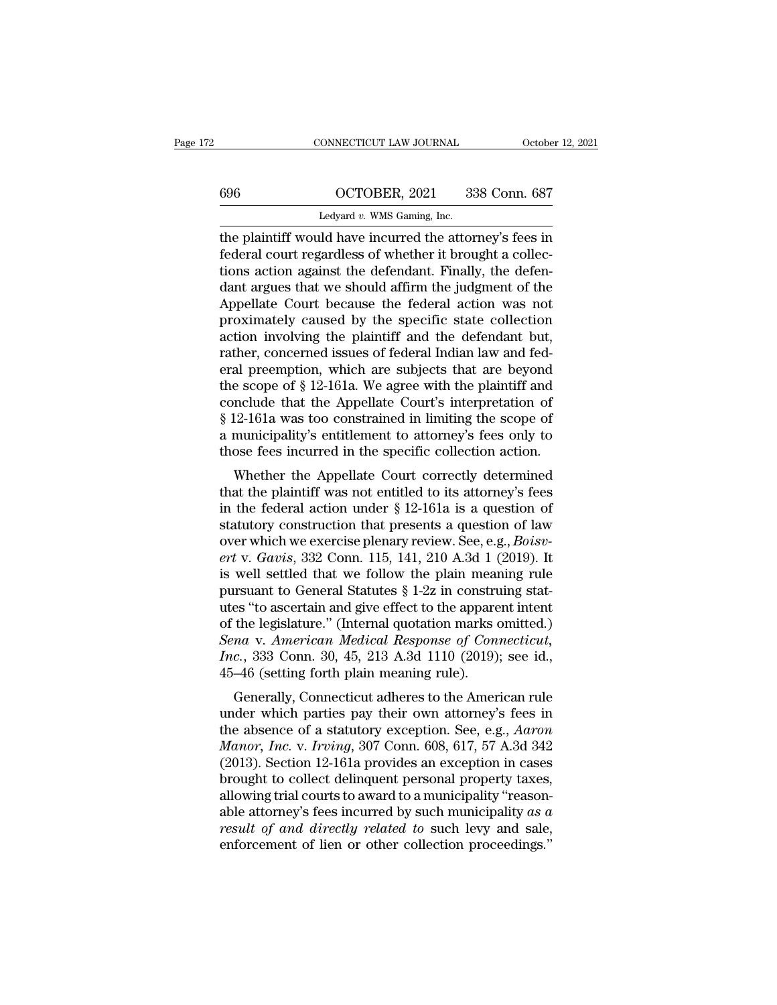## CONNECTICUT LAW JOURNAL October 12, 2021<br>696 OCTOBER, 2021 338 Conn. 687<br>Ledyard v. WMS Gaming, Inc. CONNECTICUT LAW JOURNAL Octobe<br>
CONNECTICUT LAW JOURNAL Octobe<br>
CONNECTICUT LAW JOURNAL Octobe<br>
CONNECTICUT LAW SOCIAL 338 Conn. 687<br>
Ledyard *v.* WMS Gaming, Inc.<br>
The plaintiff would have incurred the attorney's fees in

CONNECTICUT LAW JOURNAL October 12, 2021<br>
696 OCTOBER, 2021 338 Conn. 687<br>
Ledyard v. WMS Gaming, Inc.<br>
the plaintiff would have incurred the attorney's fees in<br>
federal court regardless of whether it brought a collections  $\begin{array}{r} \n 696 \quad \text{OCTOBER, 2021} \quad \text{338 Conn. } 687 \n \end{array}$ <br>
Ledyard v. WMS Gaming, Inc.<br>
the plaintiff would have incurred the attorney's fees in<br>
federal court regardless of whether it brought a collec-<br>
tions action against tions action against the defendant. Finally, the defen- $\frac{1}{\text{C}}$  COCTOBER, 2021 338 Conn. 687<br>
Ledyard v. WMS Gaming, Inc.<br>
the plaintiff would have incurred the attorney's fees in<br>
federal court regardless of whether it brought a collec-<br>
tions action against the defendan Ledyard v. WMS Gaming, Inc.<br>
The plaintiff would have incurred the attorney's fees in<br>
federal court regardless of whether it brought a collec-<br>
tions action against the defendant. Finally, the defen-<br>
dant argues that we Ledyard v. WMS Gaming, Inc.<br>
the plaintiff would have incurred the attorney's fees in<br>
federal court regardless of whether it brought a collec-<br>
tions action against the defendant. Finally, the defen-<br>
dant argues that we the plaintiff would have incurred the attorney's fees in federal court regardless of whether it brought a collections action against the defendant. Finally, the defendant argues that we should affirm the judgment of the Ap federal court regardless of whether it brought a collections action against the defendant. Finally, the defendant argues that we should affirm the judgment of the Appellate Court because the federal action was not proxima tions action against the defendant. Finally, the defendant argues that we should affirm the judgment of the Appellate Court because the federal action was not proximately caused by the specific state collection action invo dant argues that we should affirm the judgment of the<br>Appellate Court because the federal action was not<br>proximately caused by the specific state collection<br>action involving the plaintiff and the defendant but,<br>rather, con Appellate Court because the federal action was not<br>proximately caused by the specific state collection<br>action involving the plaintiff and the defendant but,<br>rather, concerned issues of federal Indian law and fed-<br>eral pree proximately caused by the specific state collection<br>action involving the plaintiff and the defendant but,<br>rather, concerned issues of federal Indian law and fed-<br>eral preemption, which are subjects that are beyond<br>the scop action involving the plaintiff and the defendant but,<br>rather, concerned issues of federal Indian law and fed-<br>eral preemption, which are subjects that are beyond<br>the scope of § 12-161a. We agree with the plaintiff and<br>conc rather, concerned issues of federal Indian law and federal preemption, which are subjects that are beyond the scope of  $§$  12-161a. We agree with the plaintiff and conclude that the Appellate Court's interpretation of  $§$ a preemption, which are subjects that are beyond<br>
e scope of § 12-161a. We agree with the plaintiff and<br>
nclude that the Appellate Court's interpretation of<br>
12-161a was too constrained in limiting the scope of<br>
municipal the scope of  $\S$  12-101a. We agree with the plaintiff and<br>conclude that the Appellate Court's interpretation of<br> $\S$  12-161a was too constrained in limiting the scope of<br>a municipality's entitlement to attorney's fees only

Solution that the Appendie Court's interpretation of<br>
§ 12-161a was too constrained in limiting the scope of<br>
a municipality's entitlement to attorney's fees only to<br>
those fees incurred in the specific collection action. s 12-101a was too constrained in initially the scope of<br>a municipality's entitlement to attorney's fees only to<br>those fees incurred in the specific collection action.<br>Whether the Appellate Court correctly determined<br>that a municipanty's entirement to attorney's rees only to<br>those fees incurred in the specific collection action.<br>Whether the Appellate Court correctly determined<br>that the plaintiff was not entitled to its attorney's fees<br>in th *diose fees incurred in the specific conection action.*<br> *Whether the Appellate Court correctly determined*<br>
that the plaintiff was not entitled to its attorney's fees<br>
in the federal action under § 12-161a is a question o Whether the Appellate Court correctly determined<br>that the plaintiff was not entitled to its attorney's fees<br>in the federal action under § 12-161a is a question of<br>statutory construction that presents a question of law<br>ove that the plaintiff was not entitled to its attorney's fees<br>in the federal action under § 12-161a is a question of<br>statutory construction that presents a question of law<br>over which we exercise plenary review. See, e.g., *B* in the federal action under  $\S$  12-161a is a question of statutory construction that presents a question of law<br>over which we exercise plenary review. See, e.g., *Boisv-*<br>ert v. *Gavis*, 332 Conn. 115, 141, 210 A.3d 1 (20 statutory construction that presents a question of law<br>over which we exercise plenary review. See, e.g., *Boisv-*<br>ert v. *Gavis*, 332 Conn. 115, 141, 210 A.3d 1 (2019). It<br>is well settled that we follow the plain meaning *See, e.g., Boisvert v. Gavis, 332 Conn. 115, 141, 210 A.3d 1 (2019). It* is well settled that we follow the plain meaning rule pursuant to General Statutes § 1-2z in construing statutes "to ascertain and give effect to th *Inc.* Gavis, 332 Conn. 115, 141, 210 A.3d 1 (2019). It is well settled that we follow the plain meaning rule pursuant to General Statutes § 1-2z in construing statutes "to ascertain and give effect to the apparent intent is well settled that we follow the plain meaning rule<br>pursuant to General Statutes  $\S 1-2z$  in construing stat-<br>utes "to ascertain and give effect to the apparent intent<br>of the legislature." (Internal quotation marks omit dentify the different statutes  $\frac{1}{2}$  and the apparent intent<br>the legislature." (Internal quotation marks omitted.)<br>*na* v. *American Medical Response of Connecticut*,<br>*c.*, 333 Conn. 30, 45, 213 A.3d 1110 (2019); see utes to ascertain and give effect to the apparent intent<br>of the legislature." (Internal quotation marks omitted.)<br>*Sena* v. American Medical Response of Connecticut,<br>*Inc.*, 333 Conn. 30, 45, 213 A.3d 1110 (2019); see id.,

of the legislature. (Internal quotation marks onlited.)<br>Sena v. American Medical Response of Connecticut,<br>Inc., 333 Conn. 30, 45, 213 A.3d 1110 (2019); see id.,<br>45–46 (setting forth plain meaning rule).<br>Generally, Connecti *Manor, 333 Conn. 30, 45, 213 A.3d 1110 (2019); see id.,*<br>*Inc.*, 333 Conn. 30, 45, 213 A.3d 1110 (2019); see id.,<br>45–46 (setting forth plain meaning rule).<br>Generally, Connecticut adheres to the American rule<br>under which p Finc., 333 Colli. 30, 45, 213 A.3d 1110 (2013), see 1d.,<br>45–46 (setting forth plain meaning rule).<br>Generally, Connecticut adheres to the American rule<br>under which parties pay their own attorney's fees in<br>the absence of a  $45-40$  (setting forth piant meaning rule).<br>
Generally, Connecticut adheres to the American rule<br>
under which parties pay their own attorney's fees in<br>
the absence of a statutory exception. See, e.g., *Aaron<br>
Manor*, *Inc* Generally, Connecticut adheres to the American rule<br>under which parties pay their own attorney's fees in<br>the absence of a statutory exception. See, e.g., *Aaron<br>Manor, Inc.* v. *Irving*, 307 Conn. 608, 617, 57 A.3d 342<br>(2 under which parties pay their own attorney's fees in<br>the absence of a statutory exception. See, e.g., *Aaron<br>Manor, Inc.* v. *Irving*, 307 Conn. 608, 617, 57 A.3d 342<br>(2013). Section 12-161a provides an exception in cases<br> the absence of a statutory exception. See, e.g., *Aaron Manor*, *Inc.* v. *Irving*, 307 Conn. 608, 617, 57 A.3d 342 (2013). Section 12-161a provides an exception in cases brought to collect delinquent personal property tax Manor, Inc. v. Irving, 307 Conn. 608, 617, 57 A.3d 342 (2013). Section 12-161a provides an exception in cases<br>brought to collect delinquent personal property taxes,<br>allowing trial courts to award to a municipality "reason-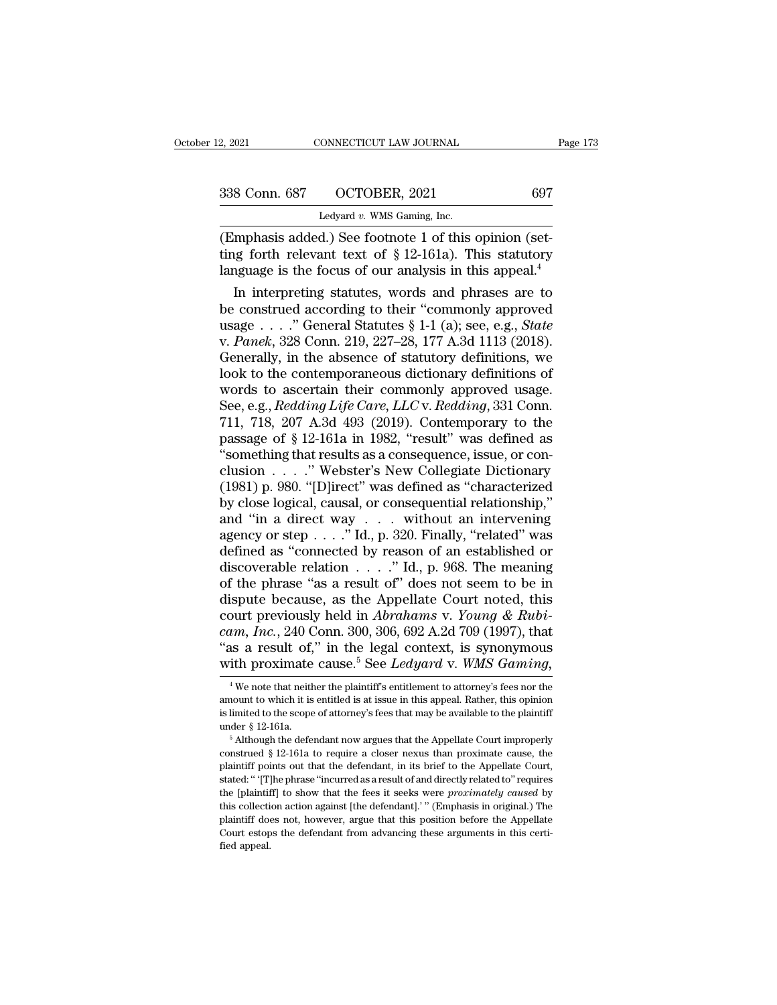| 2, 2021       | CONNECTICUT LAW JOURNAL        | Page 173 |
|---------------|--------------------------------|----------|
| 338 Conn. 687 | OCTOBER, 2021                  | 697      |
|               | Ledyard $v$ . WMS Gaming, Inc. |          |

2, 2021 CONNECTICUT LAW JOURNAL<br>
2, 2021 697<br>
238 Conn. 687 OCTOBER, 2021 697<br>
Ledyard *v.* WMS Gaming, Inc.<br>
(Emphasis added.) See footnote 1 of this opinion (set-(2, 2021 CONNECTICUT LAW JOURNAL<br>
338 Conn. 687 OCTOBER, 2021 697<br>
Ledyard v. WMS Gaming, Inc.<br>
(Emphasis added.) See footnote 1 of this opinion (set-<br>
ting forth relevant text of § 12-161a). This statutory<br>
language is th 1338 Conn. 687 OCTOBER, 2021 697<br>
Ledyard v. WMS Gaming, Inc.<br>
(Emphasis added.) See footnote 1 of this opinion (set-<br>
ting forth relevant text of § 12-161a). This statutory<br>
language is the focus of our analysis in this a  $\begin{tabular}{ c c c c} \multicolumn{1}{c|}{338}\text{Conn. }687 & \text{OCTOBER, }2021 & & 697 \\ \hline \text{Ledyard }v\text{. WMS Gaming, Inc.} \end{tabular} \end{tabular} \label{tab:2} \begin{tabular}{ c c c c} \multicolumn{1}{c|}{\text{Ledyard }v} & \multicolumn{1}{c|}{100}\text{G} & \multicolumn{1}{c|}{100}\text{G} & \multicolumn{1}{c|}{100}\text{G} & \multicolumn{1}{c|}{100}\text{G} & \multicolumn{1}{c|}{100}\text{G$ 8 Conn. 687 OCTOBER, 2021 697<br>
Ledyard v. WMS Gaming, Inc.<br>
Imphasis added.) See footnote 1 of this opinion (set-<br>
ig forth relevant text of § 12-161a). This statutory<br>
iguage is the focus of our analysis in this appeal.<sup></sup>

Ledyard v. WMS Gaming, Inc.<br>
(Emphasis added.) See footnote 1 of this opinion (set-<br>
ting forth relevant text of § 12-161a). This statutory<br>
language is the focus of our analysis in this appeal.<sup>4</sup><br>
In interpreting statut Emphasis added.) See footnote 1 of this opinion (set-<br>ting forth relevant text of § 12-161a). This statutory<br>language is the focus of our analysis in this appeal.<sup>4</sup><br>In interpreting statutes, words and phrases are to<br>be co (Emphasis added.) See footnote 1 of this opinion (setting forth relevant text of  $\S$  12-161a). This statutory language is the focus of our analysis in this appeal.<sup>4</sup><br>In interpreting statutes, words and phrases are to<br>be ting forth relevant text of § 12-161a). This statutory<br>language is the focus of our analysis in this appeal.<sup>4</sup><br>In interpreting statutes, words and phrases are to<br>be construed according to their "commonly approved<br>usage . language is the focus of our analysis in this appeal.<sup>3</sup><br>
In interpreting statutes, words and phrases are to<br>
be construed according to their "commonly approved<br>
usage . . . ." General Statutes § 1-1 (a); see, e.g., *Stat* In interpreting statutes, words and phrases are to<br>be construed according to their "commonly approved<br>usage...." General Statutes § 1-1 (a); see, e.g., *State*<br>v. *Panek*, 328 Conn. 219, 227–28, 177 A.3d 1113 (2018).<br>Gene be construed according to their "commonly approved<br>usage . . . ." General Statutes § 1-1 (a); see, e.g., *State*<br>v. *Panek*, 328 Conn. 219, 227–28, 177 A.3d 1113 (2018).<br>Generally, in the absence of statutory definitions, usage . . . ." General Statutes § 1-1 (a); see, e.g., *State* v. *Panek*, 328 Conn. 219, 227–28, 177 A.3d 1113 (2018).<br>Generally, in the absence of statutory definitions, we look to the contemporaneous dictionary definitio v. *Panek*, 328 Conn. 219, 227–28, 177 A.3d 1113 (2018).<br>Generally, in the absence of statutory definitions, we<br>look to the contemporaneous dictionary definitions of<br>words to ascertain their commonly approved usage.<br>See, e Generally, in the absence of statutory definitions, we look to the contemporaneous dictionary definitions of words to ascertain their commonly approved usage. See, e.g., *Redding Life Care, LLC* v. *Redding*, 331 Conn. 71 look to the contemporaneous dictionary definitions of<br>words to ascertain their commonly approved usage.<br>See, e.g., *Redding Life Care, LLC* v. *Redding*, 331 Conn.<br>711, 718, 207 A.3d 493 (2019). Contemporary to the<br>passage words to ascertain their commonly approved usage.<br>See, e.g., *Redding Life Care, LLC* v. *Redding*, 331 Conn.<br>711, 718, 207 A.3d 493 (2019). Contemporary to the<br>passage of § 12-161a in 1982, "result" was defined as<br>"someth See, e.g., *Redding Life Care, LLC* v. *Redding*, 331 Conn.<br>711, 718, 207 A.3d 493 (2019). Contemporary to the<br>passage of § 12-161a in 1982, "result" was defined as<br>"something that results as a consequence, issue, or con-<br> 711, 718, 207 A.3d 493 (2019). Contemporary to the<br>passage of § 12-161a in 1982, "result" was defined as<br>"something that results as a consequence, issue, or con-<br>clusion . . . . " Webster's New Collegiate Dictionary<br>(1981 passage of § 12-161a in 1982, "result" was defined as<br>
"something that results as a consequence, issue, or conclusion . . . . " Webster's New Collegiate Dictionary<br>
(1981) p. 980. "[D]irect" was defined as "characterized<br> "something that results as a consequence, issue, or conclusion . . . . " Webster's New Collegiate Dictionary (1981) p. 980. "[D]irect" was defined as "characterized by close logical, causal, or consequential relationship, clusion . . . . " Webster's New Collegiate Dictionary<br>(1981) p. 980. "[D]irect" was defined as "characterized<br>by close logical, causal, or consequential relationship,"<br>and "in a direct way . . . without an intervening<br>age (1981) p. 980. "[D]irect" was defined as "characterized<br>by close logical, causal, or consequential relationship,"<br>and "in a direct way . . . without an intervening<br>agency or step . . . ." Id., p. 320. Finally, "related" w by close logical, causal, or consequential relationship,"<br>and "in a direct way . . . without an intervening<br>agency or step . . . ." Id., p. 320. Finally, "related" was<br>defined as "connected by reason of an established or<br> by close logical, causal, or consequential relationship,"<br>and "in a direct way  $\ldots$  without an intervening<br>agency or step  $\ldots$ ." Id., p. 320. Finally, "related" was<br>defined as "connected by reason of an established or<br>d agency or step  $\ldots$ ." Id., p. 320. Finally, "related" was<br>defined as "connected by reason of an established or<br>discoverable relation  $\ldots$ ." Id., p. 968. The meaning<br>of the phrase "as a result of" does not seem to be in<br> defined as "connected by reason of an established or discoverable relation . . . ." Id., p. 968. The meaning of the phrase "as a result of" does not seem to be in dispute because, as the Appellate Court noted, this court discoverable relation . . . . . " Id., p. 968. The meaning<br>of the phrase "as a result of" does not seem to be in<br>dispute because, as the Appellate Court noted, this<br>court previously held in *Abrahams* v. *Young & Rubi-*<br>*c* bourt previously held in *Abrahams* v. *Young & Rubi-*<br>*im, Inc.*, 240 Conn. 300, 306, 692 A.2d 709 (1997), that<br>is a result of," in the legal context, is synonymous<br>ith proximate cause.<sup>5</sup> See *Ledyard* v. *WMS Gaming*,<br> cam, Inc., 240 Conn. 300, 306, 692 A.2d 709 (1997), that "as a result of," in the legal context, is synonymous with proximate cause.<sup>5</sup> See *Ledyard* v. WMS Gaming,  $\frac{4}{100}$  We note that neither the plaintiff's entitle

<sup>&</sup>quot;as a result of," in the legal context, is synonymous<br>with proximate cause.<sup>5</sup> See *Ledyard* v. WMS Gaming,<br><sup>4</sup>We note that neither the plaintiff's entitlement to attorney's fees nor the<br>amount to which it is entitled is with proximate cause.<sup>5</sup> See *Ledyard* v. WMS *Gaming*,<br><sup>4</sup>We note that neither the plaintiff's entitlement to attorney's fees nor the amount to which it is entitled is at issue in this appeal. Rather, this opinion is lim <sup>4</sup> We note that neither the plaintiff's entitlement to attorney's fees nor the amount to which it is entitled is at issue in this appeal. Rather, this opinion is limited to the scope of attorney's fees that may be availa

amount to which it is entitled is at issue in this appeal. Rather, this opinion<br>is limited to the scope of attorney's fees that may be available to the plaintiff<br>under  $\S 12{\text -}161$ a.<br><sup>5</sup> Although the defendant now argues is limited to the scope of attorney's fees that may be available to the plaintiff<br>under § 12-161a.<br><sup>5</sup> Although the defendant now argues that the Appellate Court improperly<br>construed § 12-161a to require a closer nexus th the final the defendant now argues that the Appellate Court improperly<br>
<sup>5</sup> Although the defendant now argues that the Appellate Court improperly<br>
construed § 12-161a to require a closer nexus than proximate cause, the<br>
pl <sup>the</sup> Although the defendant now argues that the Appellate Court improperly construed § 12-161a to require a closer nexus than proximate cause, the plaintiff points out that the defendant, in its brief to the Appellate Co construed § 12-161a to require a closer nexus than proximate cause, the plaintiff points out that the defendant, in its brief to the Appellate Court, stated: " [T]he phrase "incurred as a result of and directly related to plaintiff points out that the defendant, in its brief to the Appellate Court, stated: "[T]he phrase "incurred as a result of and directly related to" requires the [plaintiff] to show that the fees it seeks were *proximate* stated: " '[T]he phrase "incurred as a result of and directly related to" requires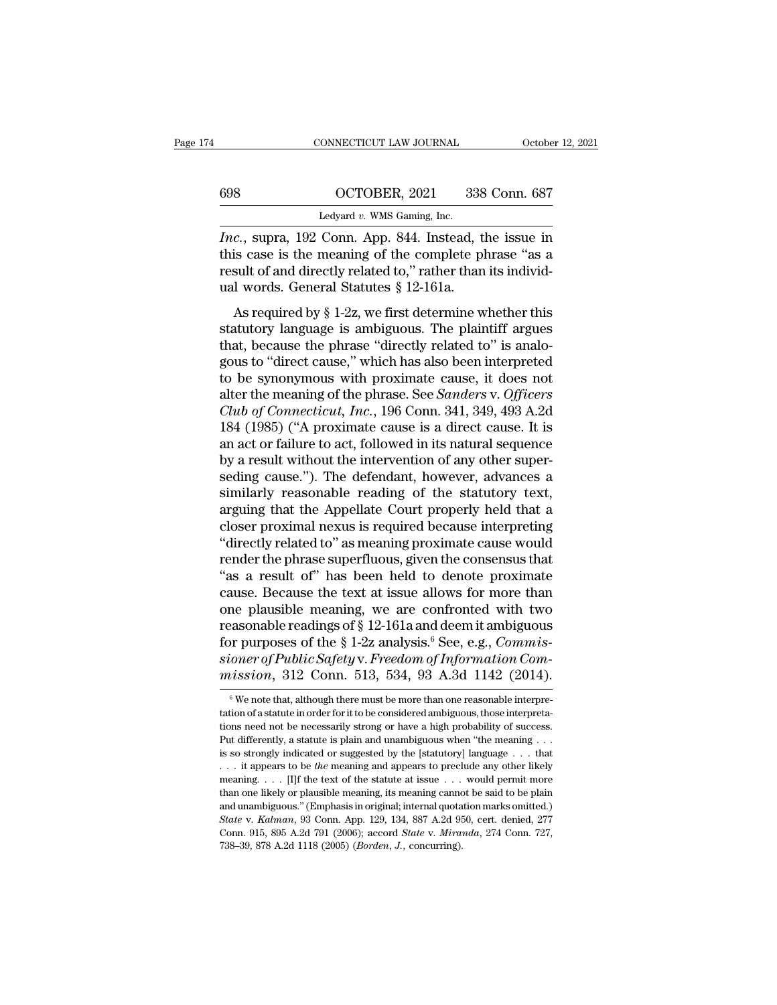|     | CONNECTICUT LAW JOURNAL                             | October 12, 2021 |  |
|-----|-----------------------------------------------------|------------------|--|
|     |                                                     |                  |  |
| 698 | OCTOBER, 2021                                       | 338 Conn. 687    |  |
|     | Ledyard $v$ . WMS Gaming, Inc.                      |                  |  |
|     | Inc super $192$ Conn App $844$ Instead the issue in |                  |  |

CONNECTICUT LAW JOURNAL October 12, 2021<br> **IDENT CONNECTICUT CONNECTION**<br> *Inc.*, supra, 192 Conn. App. 844. Instead, the issue in this case is the meaning of the complete phrase "as a result of and directly related to " r 698 COCTOBER, 2021 338 Conn. 687<br>
Ledyard v. WMS Gaming, Inc.<br>
Inc., supra, 192 Conn. App. 844. Instead, the issue in<br>
this case is the meaning of the complete phrase "as a<br>
result of and directly related to," rather than Fedyard v. WMS Gaming, Inc.<br>
Ledyard v. WMS Gaming, Inc.<br>
Inc., supra, 192 Conn. App. 844. Instead, the issue in<br>
this case is the meaning of the complete phrase "as a<br>
result of and directly related to," rather than its 698 CCTOBER, 2021 338<br>
Ledyard v. WMS Gaming, Inc.<br>
Inc., supra, 192 Conn. App. 844. Instead, this case is the meaning of the complete pl<br>
result of and directly related to," rather than<br>
ual words. General Statutes § 12-1 Ledyard v. WMS Gaming, Inc.<br>
c., supra, 192 Conn. App. 844. Instead, the issue in<br>
is case is the meaning of the complete phrase "as a<br>
sult of and directly related to," rather than its individ-<br>
1 words. General Statutes *Inc.*, supra, 192 Conn. App. 844. Instead, the issue in this case is the meaning of the complete phrase "as a result of and directly related to," rather than its individual words. General Statutes  $\S$  12-161a. As require

Frac., supra, 152 Conn. Kpp. 644. Instead, the issue in<br>this case is the meaning of the complete phrase "as a<br>result of and directly related to," rather than its individ-<br>ual words. General Statutes  $\S 12{\text -}161$ a.<br>As req this case is the meaning of the complete phrase as a<br>result of and directly related to," rather than its individ-<br>ual words. General Statutes § 12-161a.<br>As required by § 1-2z, we first determine whether this<br>statutory lan to be synonymous with proximate cause, it does not<br>different property anguage is ambiguous. The plaintiff argues<br>that, because the phrase "directly related to" is analo-<br>gous to "direct cause," which has also been interpr dar words. General Blackless 8 12-101a.<br>
As required by § 1-2z, we first determine whether this<br>
statutory language is ambiguous. The plaintiff argues<br>
that, because the phrase "directly related to" is analo-<br>
gous to "dir As required by § 1-2z, we first determine whether this<br>statutory language is ambiguous. The plaintiff argues<br>that, because the phrase "directly related to" is analo-<br>gous to "direct cause," which has also been interpreted<br> statutory language is ambiguous. The plaintiff argues<br>that, because the phrase "directly related to" is analo-<br>gous to "direct cause," which has also been interpreted<br>to be synonymous with proximate cause, it does not<br>alte that, because the phrase "directly related to" is analo-<br>gous to "direct cause," which has also been interpreted<br>to be synonymous with proximate cause, it does not<br>alter the meaning of the phrase. See *Sanders v. Officers* gous to "direct cause," which has also been interpreted<br>to be synonymous with proximate cause, it does not<br>alter the meaning of the phrase. See *Sanders* v. Officers<br>Club of Connecticut, Inc., 196 Conn. 341, 349, 493 A.2d<br> to be synonymous with proximate cause, it does not<br>alter the meaning of the phrase. See *Sanders v. Officers*<br>*Club of Connecticut, Inc.*, 196 Conn. 341, 349, 493 A.2d<br>184 (1985) ("A proximate cause is a direct cause. It i alter the meaning of the phrase. See *Sanders* v. Officers Club of Connecticut, Inc., 196 Conn. 341, 349, 493 A.2d 184 (1985) ("A proximate cause is a direct cause. It is an act or failure to act, followed in its natural s Club of Connecticut, Inc., 196 Conn. 341, 349, 493 A.2d<br>184 (1985) ("A proximate cause is a direct cause. It is<br>an act or failure to act, followed in its natural sequence<br>by a result without the intervention of any other s 184 (1985) ("A proximate cause is a direct cause. It is<br>an act or failure to act, followed in its natural sequence<br>by a result without the intervention of any other super-<br>seding cause."). The defendant, however, advances an act or failure to act, followed in its natural sequence<br>by a result without the intervention of any other super-<br>seding cause."). The defendant, however, advances a<br>similarly reasonable reading of the statutory text,<br>ar by a result without the intervention of any other super-<br>seding cause."). The defendant, however, advances a<br>similarly reasonable reading of the statutory text,<br>arguing that the Appellate Court properly held that a<br>closer seding cause."). The defendant, however, advances a<br>similarly reasonable reading of the statutory text,<br>arguing that the Appellate Court properly held that a<br>closer proximal nexus is required because interpreting<br>"directly similarly reasonable reading of the statutory text,<br>arguing that the Appellate Court properly held that a<br>closer proximal nexus is required because interpreting<br>"directly related to" as meaning proximate cause would<br>rende arguing that the Appellate Court properly held that a<br>closer proximal nexus is required because interpreting<br>"directly related to" as meaning proximate cause would<br>render the phrase superfluous, given the consensus that<br>" closer proximal nexus is required because interpreting<br>
"directly related to" as meaning proximate cause would<br>
render the phrase superfluous, given the consensus that<br>
"as a result of" has been held to denote proximate<br> "directly related to" as meaning proximate cause would<br>render the phrase superfluous, given the consensus that<br>"as a result of" has been held to denote proximate<br>cause. Because the text at issue allows for more than<br>one pl render the phrase superfluous, given the consensus that<br>"as a result of" has been held to denote proximate<br>cause. Because the text at issue allows for more than<br>one plausible meaning, we are confronted with two<br>reasonable "as a result of" has been held to denote proximate<br>cause. Because the text at issue allows for more than<br>one plausible meaning, we are confronted with two<br>reasonable readings of § 12-161a and deem it ambiguous<br>for purpose reasonable readings of § 12-161a and deem it ambiguous<br>for purposes of the § 1-2z analysis.<sup>6</sup> See, e.g., *Commis-*<br>sioner of Public Safety v. Freedom of Information Com-<br>mission, 312 Conn. 513, 534, 93 A.3d 1142 (2014).<br> for purposes of the § 1-2z analysis.<sup>6</sup> See, e.g., *Commissioner of Public Safety v. Freedom of Information Commission*, 312 Conn. 513, 534, 93 A.3d 1142 (2014).<br>
<sup>6</sup> We note that, although there must be more than one rea

sioner of Public Safety v. Freedom of Information Commission, 312 Conn. 513, 534, 93 A.3d 1142 (2014).<br>
"We note that, although there must be more than one reasonable interpretation of a statute in order for it to be cons mission, 312 Conn. 513, 534, 93 A.3d 1142 (2014).<br>
We note that, although there must be more than one reasonable interpretation of a statute in order for it to be considered ambiguous, those interpretations need not be ne tation of a statute in order for it to be considered ambiguous, those interpretations need not be necessarily strong or have a high probability of success. Put differently, a statute is plain and unambiguous when "the mea <sup>6</sup> We note that, although there must be more than one reasonable interpretation of a statute in order for it to be considered ambiguous, those interpretations need not be necessarily strong or have a high probability of tation of a statute in order for it to be considered ambiguous, those interpreta-<br>tions need not be necessarily strong or have a high probability of success.<br>Put differently, a statute is plain and unambiguous when "the m than one likely are a high probability of success.<br>
Put differently, a statute is plain and unambiguous when "the meaning . . .<br>
is so strongly indicated or suggested by the [statutory] language . . . that<br>
. . . it appea Put differently, a statute is plain and unambiguous when "the meaning ... is so strongly indicated or suggested by the [statutory] language ... that ... it appears to be the meaning and appears to preclude any other likel *State* v. *Kalman*, 93 Conn. App. 129, 134, 887 A.2d 950, cert. denied, 277 Conn. 915, 895 A.2d 791 (2006); accord *State* v. *Miranda*, 274 Conn. 727, ... it appears to be *the* meaning and appears to preclude any other likely meaning.... [I]f the text of the statute at issue ... would permit more than one likely or plausible meaning, its meaning cannot be said to be pla meaning. . . . [I]f the text of the statute at issue . . . would permit more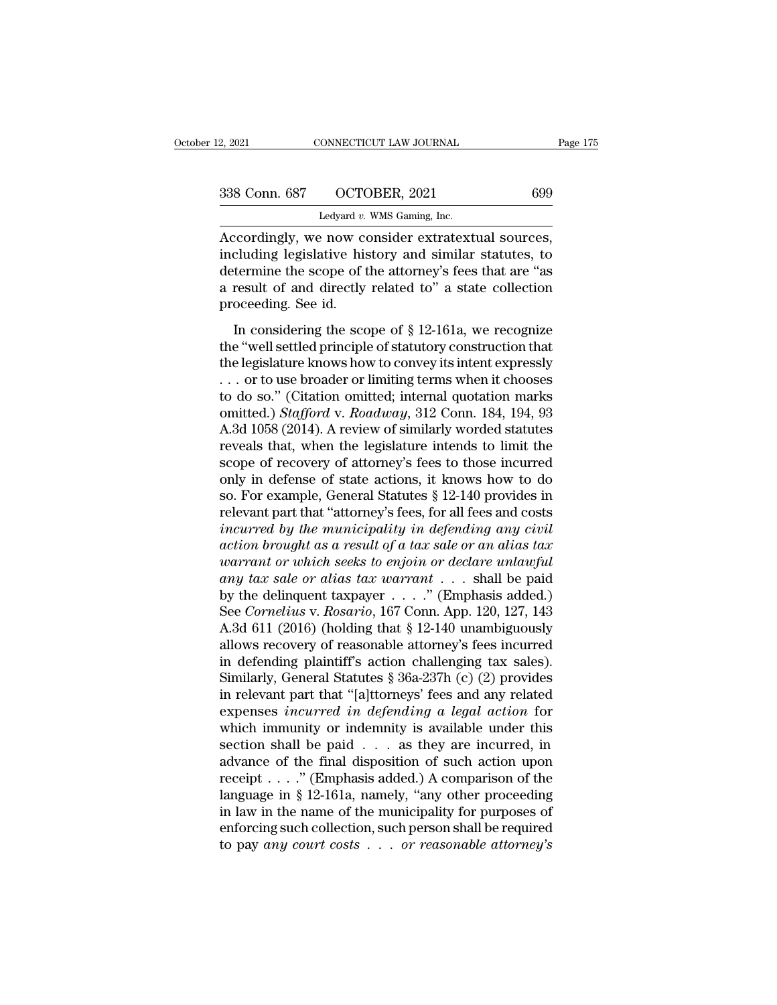| 2, 2021       | CONNECTICUT LAW JOURNAL                          | Page 175 |
|---------------|--------------------------------------------------|----------|
| 338 Conn. 687 | OCTOBER, 2021                                    | 699      |
|               | Ledyard $v$ . WMS Gaming, Inc.                   |          |
|               | Accordingly we now consider extratextual sources |          |

2, 2021 CONNECTICUT LAW JOURNAL Page<br>
338 Conn. 687 OCTOBER, 2021 699<br>
Ledyard v. WMS Gaming, Inc.<br>
Accordingly, we now consider extratextual sources,<br>
including legislative history and similar statutes, to 338 Conn. 687 OCTOBER, 2021 699<br>
Ledyard v. WMS Gaming, Inc.<br>
Accordingly, we now consider extratextual sources,<br>
including legislative history and similar statutes, to<br>
determine the scope of the attorney's fees that are  $\begin{array}{c|c} \text{338 Conn. 687}\hspace{1.5cm}\text{OCTOBER, 2021}\ \text{1.56}\ \text{1.67}\ \text{2.77}\ \text{2.88}\ \text{2.88}\ \text{3.88}\ \text{3.88}\ \text{3.88}\ \text{3.88}\ \text{3.88}\ \text{4.88}\ \text{4.88}\ \text{4.88}\ \text{4.88}\ \text{5.88}\ \text{5.88}\ \text{6.88}\ \text{6.88}\ \text{6.88}\ \text{6.88}\ \text{6.88}\ \text{6.88}\ \$ 338 Conn. 687 OCTOBER, 2021 699<br>
Ledyard v. WMS Gaming, Inc.<br>
Accordingly, we now consider extratextual sources,<br>
including legislative history and similar statutes, to<br>
determine the scope of the attorney's fees that are Ledyard v.<br>
Ledyard v.<br>
Accordingly, we now concluding legislative his<br>
determine the scope of t<br>
a result of and directly<br>
proceeding. See id.<br>
In considering the sco Exercise of extractive in sources,<br>
In consider extratextual sources,<br>
In termine the scope of the attorney's fees that are "as<br>
result of and directly related to" a state collection<br>
oceeding. See id.<br>
In considering the Free ordingly, we now construct extractation sources,<br>including legislative history and similar statutes, to<br>determine the scope of the attorney's fees that are "as<br>a result of and directly related to" a state collection<br>

the legislature comparison of the attorney's fees that are "as<br>a result of and directly related to" a state collection<br>proceeding. See id.<br>In considering the scope of § 12-161a, we recognize<br>the "well settled principle of a result of and directly related to" a state collection<br>proceeding. See id.<br>In considering the scope of § 12-161a, we recognize<br>the "well settled principle of statutory construction that<br>the legislature knows how to conve proceeding. See id.<br>
In considering the scope of § 12-161a, we recognize<br>
the "well settled principle of statutory construction that<br>
the legislature knows how to convey its intent expressly<br>
... or to use broader or limi In considering the scope of § 12-161a, we recognize<br>the "well settled principle of statutory construction that<br>the legislature knows how to convey its intent expressly<br>... or to use broader or limiting terms when it choose In considering the scope of § 12-161a, we recognize<br>the "well settled principle of statutory construction that<br>the legislature knows how to convey its intent expressly<br>... or to use broader or limiting terms when it choos the "well settled principle of statutory construction that<br>the legislature knows how to convey its intent expressly<br>... or to use broader or limiting terms when it chooses<br>to do so." (Citation omitted; internal quotation the legislature knows how to convey its intent expressly<br>
... or to use broader or limiting terms when it chooses<br>
to do so." (Citation omitted; internal quotation marks<br>
omitted.) *Stafford* v. *Roadway*, 312 Conn. 184, ... or to use broader or limiting terms when it chooses<br>to do so." (Citation omitted; internal quotation marks<br>omitted.) *Stafford* v. *Roadway*, 312 Conn. 184, 194, 93<br>A.3d 1058 (2014). A review of similarly worded statu to do so." (Citation omitted; internal quotation marks<br>omitted.) *Stafford* v. *Roadway*, 312 Conn. 184, 194, 93<br>A.3d 1058 (2014). A review of similarly worded statutes<br>reveals that, when the legislature intends to limit t omitted.) *Stafford* v. *Roadway*, 312 Conn. 184, 194, 93<br>A.3d 1058 (2014). A review of similarly worded statutes<br>reveals that, when the legislature intends to limit the<br>scope of recovery of attorney's fees to those incurr A.3d 1058 (2014). A review of similarly worded statutes<br>reveals that, when the legislature intends to limit the<br>scope of recovery of attorney's fees to those incurred<br>only in defense of state actions, it knows how to do<br>so reveals that, when the legislature intends to limit the<br>scope of recovery of attorney's fees to those incurred<br>only in defense of state actions, it knows how to do<br>so. For example, General Statutes § 12-140 provides in<br>rel *warranty* of actions, it knows how to do so. For example, General Statutes § 12-140 provides in relevant part that "attorney's fees, for all fees and costs *incurred by the municipality in defending any civil* action *bro* only in defense of state actions, it knows how to do<br>so. For example, General Statutes § 12-140 provides in<br>relevant part that "attorney's fees, for all fees and costs<br>incurred by the municipality in defending any civil<br>ac so. For example, General Statutes § 12-140 provides in<br>relevant part that "attorney's fees, for all fees and costs<br>*incurred by the municipality in defending any civil*<br>action brought as a result of a tax sale or an alias relevant part that "attorney's fees, for all fees and costs<br>incurred by the municipality in defending any civil<br>action brought as a result of a tax sale or an alias tax<br>warrant or which seeks to enjoin or declare unlawful<br> incurred by the municipality in defending any civil<br>action brought as a result of a tax sale or an alias tax<br>warrant or which seeks to enjoin or declare unlawful<br>any tax sale or alias tax warrant . . . shall be paid<br>by th action brought as a result of a tax sale or an alias tax<br>warrant or which seeks to enjoin or declare unlawful<br>any tax sale or alias tax warrant . . . shall be paid<br>by the delinquent taxpayer . . . ." (Emphasis added.)<br>See warrant or which seeks to enjoin or declare unlawful<br>any tax sale or alias tax warrant . . . shall be paid<br>by the delinquent taxpayer . . . ." (Emphasis added.)<br>See *Cornelius* v. *Rosario*, 167 Conn. App. 120, 127, 143<br>A any tax sale or alias tax warrant . . . shall be paid<br>by the delinquent taxpayer . . . ." (Emphasis added.)<br>See *Cornelius* v. *Rosario*, 167 Conn. App. 120, 127, 143<br>A.3d 611 (2016) (holding that § 12-140 unambiguously<br>a by the delinquent taxpayer . . . ." (Emphasis added.)<br>See *Cornelius* v. *Rosario*, 167 Conn. App. 120, 127, 143<br>A.3d 611 (2016) (holding that § 12-140 unambiguously<br>allows recovery of reasonable attorney's fees incurred<br> See *Cornelius* v. *Rosario*, 167 Conn. App. 120, 127, 143<br>A.3d 611 (2016) (holding that § 12-140 unambiguously<br>allows recovery of reasonable attorney's fees incurred<br>in defending plaintiff's action challenging tax sales). A.3d 611 (2016) (holding that  $\S$  12-140 unambiguously<br>allows recovery of reasonable attorney's fees incurred<br>in defending plaintiff's action challenging tax sales).<br>Similarly, General Statutes  $\S$  36a-237h (c) (2) provid allows recovery of reasonable attorney's fees incurred<br>in defending plaintiff's action challenging tax sales).<br>Similarly, General Statutes § 36a-237h (c) (2) provides<br>in relevant part that "[a]ttorneys' fees and any relat in defending plaintiff's action challenging tax sales).<br>Similarly, General Statutes § 36a-237h (c) (2) provides<br>in relevant part that "[a]ttorneys' fees and any related<br>expenses *incurred in defending a legal action* for<br> Similarly, General Statutes § 36a-237h (c) (2) provides<br>in relevant part that "[a]ttorneys' fees and any related<br>expenses *incurred in defending a legal action* for<br>which immunity or indemnity is available under this<br>sect in relevant part that "[a]ttorneys' fees and any related<br>expenses *incurred in defending a legal action* for<br>which immunity or indemnity is available under this<br>section shall be paid  $\ldots$  as they are incurred, in<br>advance expenses *incurred in defending a legal action* for<br>which immunity or indemnity is available under this<br>section shall be paid  $\ldots$  as they are incurred, in<br>advance of the final disposition of such action upon<br>receipt  $\ld$ which immunity or indemnity is available under this<br>section shall be paid . . . as they are incurred, in<br>advance of the final disposition of such action upon<br>receipt . . . ." (Emphasis added.) A comparison of the<br>language section shall be paid . . . as they are incurred, in advance of the final disposition of such action upon receipt . . . ." (Emphasis added.) A comparison of the language in § 12-161a, namely, "any other proceeding in law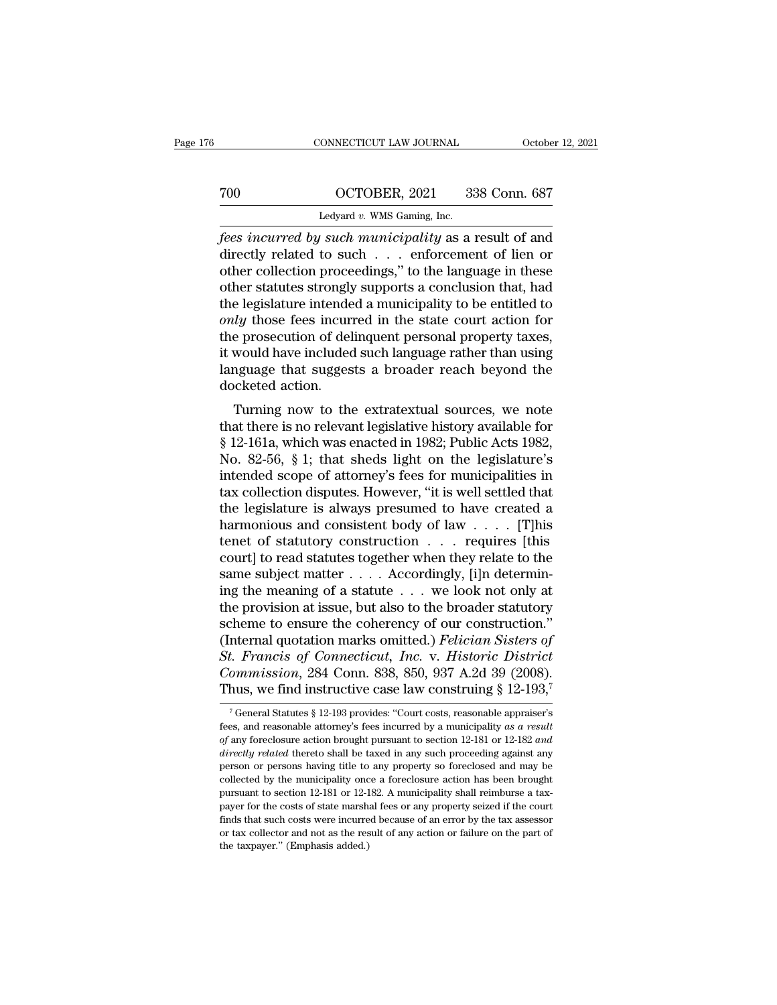## CONNECTICUT LAW JOURNAL October 12, 2021<br>
700 OCTOBER, 2021 338 Conn. 687<br>
Ledyard v. WMS Gaming, Inc. CONNECTICUT LAW JOURNAL Octobe<br>
CONNECTICUT LAW JOURNAL Octobe<br>
CONNECTICUT LAW JOURNAL Octobe<br>
CONNECTICUT LAW SOURCE 338 Conn. 687<br>
Ledyard *v.* WMS Gaming, Inc.<br>
Fees incurred by such municipality as a result of and

Fees incurred by such municipality as a result of and<br>
the control of the municipality as a result of and<br>
directly related to such . . . enforcement of lien or<br>
the collection proceedings " to the language in these  $\begin{array}{r} \hline \text{700}\qquad \text{OCTOBER, 2021}\qquad 338 \text{ Conn. } 687 \ \hline \text{Ledyard } v \text{. WMS Gaming, Inc.} \end{array}$ <br> *fees incurred by such municipality* as a result of and directly related to such . . . enforcement of lien or other collection proceedings, To the collection proceedings, and the language in these other statutes strongly supports a conclusion that, had the language in these other statutes strongly supports a conclusion that, had the language in these other st The statutes strongly supports a conclusion of the statutes strongly such municipality as a result of and directly related to such  $\ldots$  enforcement of lien or other collection proceedings," to the language in these other Ledyard v. WMS Gaming, Inc.<br>
The legislature intended by such municipality as a result of and<br>
directly related to such . . . enforcement of lien or<br>
other collection proceedings," to the language in these<br>
other statutes Ledyard v. WMS Gaming, Inc.<br> *fees incurred by such municipality* as a result of and<br>
directly related to such . . . enforcement of lien or<br>
other collection proceedings," to the language in these<br>
other statutes strongly fees incurred by such municipality as a result of and<br>directly related to such  $\ldots$  enforcement of lien or<br>other collection proceedings," to the language in these<br>other statutes strongly supports a conclusion that, had<br>t directly related to such . . . enforcement of lien or<br>other collection proceedings," to the language in these<br>other statutes strongly supports a conclusion that, had<br>the legislature intended a municipality to be entitled t other collection proceedings," to the language in these<br>other statutes strongly supports a conclusion that, had<br>the legislature intended a municipality to be entitled to<br>*only* those fees incurred in the state court action other statutes strongly<br>the legislature intende<br>only those fees incur<br>the prosecution of del<br>it would have included<br>language that sugges<br>docketed action.<br>Turning now to the *Ly* those fees incurred a municipanty to be entitied to the extrated in the state court action for e prosecution of delinquent personal property taxes, would have included such language rather than using nguage that sugg the prosecution of delinquent personal property taxes,<br>it would have included such language rather than using<br>language that suggests a broader reach beyond the<br>docketed action.<br>Turning now to the extratextual sources, we

Free prosecution of demiquent personal property taxes,<br>it would have included such language rather than using<br>language that suggests a broader reach beyond the<br>docketed action.<br>Turning now to the extratextual sources, we n It would have included such language rather than using<br>language that suggests a broader reach beyond the<br>docketed action.<br>Turning now to the extratextual sources, we note<br>that there is no relevant legislative history avail intered action.<br>
Turning now to the extratextual sources, we note<br>
that there is no relevant legislative history available for<br>
§ 12-161a, which was enacted in 1982; Public Acts 1982,<br>
No. 82-56, § 1; that sheds light on t Turning now to the extratextual sources, we note<br>that there is no relevant legislative history available for<br>§ 12-161a, which was enacted in 1982; Public Acts 1982,<br>No. 82-56, § 1; that sheds light on the legislature's<br>int Turning now to the extratextual sources, we note<br>that there is no relevant legislative history available for<br>§ 12-161a, which was enacted in 1982; Public Acts 1982,<br>No. 82-56, § 1; that sheds light on the legislature's<br>in that there is no relevant legislative history available for<br>
§ 12-161a, which was enacted in 1982; Public Acts 1982,<br>
No. 82-56, § 1; that sheds light on the legislature's<br>
intended scope of attorney's fees for municipali § 12-161a, which was enacted in 1982; Public Acts 1982,<br>No. 82-56, § 1; that sheds light on the legislature's<br>intended scope of attorney's fees for municipalities in<br>tax collection disputes. However, "it is well settled t No. 82-56, § 1; that sheds light on the legislature's<br>intended scope of attorney's fees for municipalities in<br>tax collection disputes. However, "it is well settled that<br>the legislature is always presumed to have created a intended scope of attorney's fees for municipalities in<br>tax collection disputes. However, "it is well settled that<br>the legislature is always presumed to have created a<br>harmonious and consistent body of law . . . . [T]his<br>t tax collection disputes. However, "it is well settled that<br>the legislature is always presumed to have created a<br>harmonious and consistent body of law  $\ldots$ . [T]his<br>tenet of statutory construction  $\ldots$  requires [this<br>cour the legislature is always presumed to have created a<br>harmonious and consistent body of law . . . . [T]his<br>tenet of statutory construction . . . requires [this<br>court] to read statutes together when they relate to the<br>same harmonious and consistent body of law . . . . . [T]his<br>tenet of statutory construction . . . requires [this<br>court] to read statutes together when they relate to the<br>same subject matter . . . . Accordingly, [i]n determin-<br> tenet of statutory construction . . . requires [this court] to read statutes together when they relate to the same subject matter . . . . Accordingly, [i]n determining the meaning of a statute . . . we look not only at the *Stermarry* I to read statutes together when they relate to the same subject matter  $\ldots$ . Accordingly, [i]n determining the meaning of a statute  $\ldots$  we look not only at the provision at issue, but also to the broader s same subject matter  $\ldots$  . Accordingly, [i]n determining the meaning of a statute  $\ldots$  we look not only at the provision at issue, but also to the broader statutory scheme to ensure the coherency of our construction." ( ing the meaning of a statute . . . . we look not only at<br>the provision at issue, but also to the broader statutory<br>scheme to ensure the coherency of our construction."<br>(Internal quotation marks omitted.) *Felician Sisters* nternal quotation marks omitted.) *Felician Sisters of*<br>t. Francis of Connecticut, Inc. v. Historic District<br>ommission, 284 Conn. 838, 850, 937 A.2d 39 (2008).<br>hus, we find instructive case law construing § 12-193,<sup>7</sup><br><sup>7</sup>G St. Francis of Connecticut, Inc. v. Historic District<br>Commission, 284 Conn. 838, 850, 937 A.2d 39 (2008).<br>Thus, we find instructive case law construing § 12-193,<sup>7</sup><br><sup>7</sup> General Statutes § 12-193 provides: "Court costs, rea

*Commission*, 284 Conn. 838, 850, 937 A.2d 39 (2008).<br>Thus, we find instructive case law construing § 12-193,<sup>7</sup><br><sup>7</sup> General Statutes § 12-193 provides: "Court costs, reasonable appraiser's<br>fees, and reasonable attorney's Thus, we find instructive case law construing § 12-193,<sup>7</sup><br><sup>7</sup> General Statutes § 12-193 provides: "Court costs, reasonable appraiser's<br>fees, and reasonable attorney's fees incurred by a municipality as a result<br>of any fo Thus, we find first dctive case faw construing  $\frac{1}{2}$  12-150,<br>
<sup>7</sup> General Statutes  $\frac{8}{9}$  12-193 provides: "Court costs, reasonable appraiser's<br>
fees, and reasonable attorney's fees incurred by a municipality as a <sup>7</sup> General Statutes § 12-193 provides: "Court costs, reasonable appraiser's fees, and reasonable attorney's fees incurred by a municipality *as a result* of any foreclosure action brought pursuant to section 12-181 or 12 fees, and reasonable attorney's fees incurred by a municipality as a result of any foreclosure action brought pursuant to section 12-181 or 12-182 and directly related thereto shall be taxed in any such proceeding against *of* any foreclosure action brought pursuant to section 12-181 or 12-182 *and directly related* thereto shall be taxed in any such proceeding against any person or persons having title to any property so foreclosed and directly related thereto shall be taxed in any such proceeding against any person or persons having title to any property so foreclosed and may be collected by the municipality once a foreclosure action has been brought pu person or persons having title to any property so foreclosed and may be collected by the municipality once a foreclosure action has been brought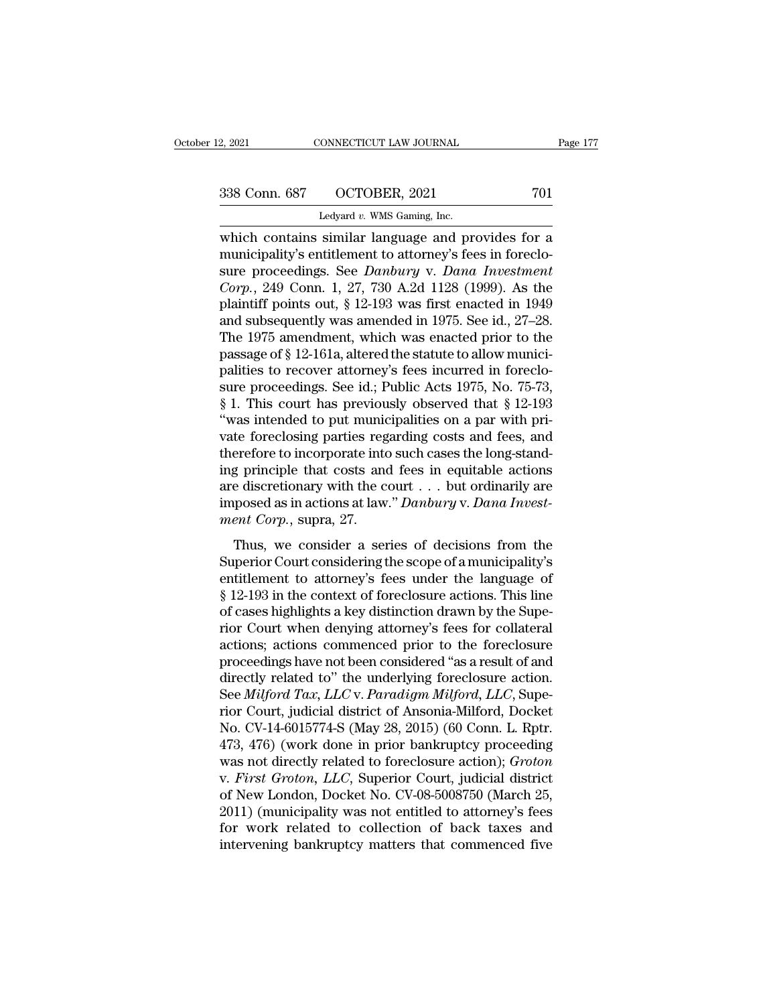2, 2021 CONNECTICUT LAW JOURNAL<br>
2, 2021 701<br>
238 Conn. 687 OCTOBER, 2021 701<br>
1 Ledyard *v.* WMS Gaming, Inc. 2, 2021 CONNECTICUT LAW JOURNAL Page 177<br>
338 Conn. 687 OCTOBER, 2021 701<br>
Ledyard v. WMS Gaming, Inc.<br>
which contains similar language and provides for a<br>
municipality's entitlement to attorney's fees in foreclo-<br>
sure pr 338 Conn. 687 OCTOBER, 2021 701<br>
Ledyard v. WMS Gaming, Inc.<br>
which contains similar language and provides for a<br>
municipality's entitlement to attorney's fees in foreclo-<br>
sure proceedings. See *Danbury* v. *Dana Investm* 338 Conn. 687 OCTOBER, 2021 701<br>
Ledyard v. WMS Gaming, Inc.<br>
which contains similar language and provides for a<br>
municipality's entitlement to attorney's fees in foreclo-<br>
sure proceedings. See *Danbury* v. *Dana Investme Corp.*, 249 Conn. 1, 27, 730 A.2d 1128 (1999). As the Ledyard v. WMS Gaming, Inc.<br>
which contains similar language and provides for a<br>
municipality's entitlement to attorney's fees in foreclo-<br>
sure proceedings. See *Danbury* v. *Dana Investment*<br>
Corp., 249 Conn. 1, 27, 730 Ledyard v. WMS Gaming, inc.<br>
which contains similar language and provides for a<br>
municipality's entitlement to attorney's fees in foreclo-<br>
sure proceedings. See *Danbury* v. *Dana Investment*<br> *Corp.*, 249 Conn. 1, 27, 7 which contains similar language and provides for a<br>municipality's entitlement to attorney's fees in foreclo-<br>sure proceedings. See *Danbury* v. *Dana Investment*<br>Corp., 249 Conn. 1, 27, 730 A.2d 1128 (1999). As the<br>plaint municipality's entitlement to attorney's fees in foreclosure proceedings. See *Danbury* v. *Dana Investment Corp.*, 249 Conn. 1, 27, 730 A.2d 1128 (1999). As the plaintiff points out, § 12-193 was first enacted in 1949 sure proceedings. See *Danbury* v. *Dana Investment Corp.*, 249 Conn. 1, 27, 730 A.2d 1128 (1999). As the plaintiff points out,  $\S$  12-193 was first enacted in 1949 and subsequently was amended in 1975. See id., 27–28. Corp., 249 Conn. 1, 27, 730 A.2d 1128 (1999). As the plaintiff points out,  $\S$  12-193 was first enacted in 1949 and subsequently was amended in 1975. See id., 27–28. The 1975 amendment, which was enacted prior to the pass plaintiff points out, § 12-193 was first enacted in 1949<br>and subsequently was amended in 1975. See id., 27–28.<br>The 1975 amendment, which was enacted prior to the<br>passage of § 12-161a, altered the statute to allow munici-<br>p and subsequently was amended in 1975. See id., 27–28.<br>The 1975 amendment, which was enacted prior to the passage of § 12-161a, altered the statute to allow municipalities to recover attorney's fees incurred in foreclosure The 1975 amendment, which was enacted prior to the passage of § 12-161a, altered the statute to allow municipalities to recover attorney's fees incurred in foreclosure proceedings. See id.; Public Acts 1975, No. 75-73, § passage of § 12-161a, altered the statute to allow municipalities to recover attorney's fees incurred in foreclosure proceedings. See id.; Public Acts 1975, No. 75-73, § 1. This court has previously observed that § 12-193 palities to recover attorney's fees incurred in foreclosure proceedings. See id.; Public Acts 1975, No. 75-73,  $§$  1. This court has previously observed that  $§$  12-193 "was intended to put municipalities on a par with pr sure proceedings. See id.; Public Acts 1975, No. 75-73,  $\S$  1. This court has previously observed that  $\S$  12-193<br>"was intended to put municipalities on a par with private foreclosing parties regarding costs and fees, and § 1. This court has previously observed that § 12-193 "was intended to put municipalities on a par with private foreclosing parties regarding costs and fees, and therefore to incorporate into such cases the long-standing "was intended to put munic<br>vate foreclosing parties reg<br>therefore to incorporate into<br>ing principle that costs and<br>are discretionary with the c<br>imposed as in actions at law<br>*ment Corp.*, supra, 27.<br>Thus, we consider a ser erefore to incorporate into such cases the long-stand-<br>g principle that costs and fees in equitable actions<br>e discretionary with the court  $\dots$  but ordinarily are<br>posed as in actions at law." Danbury v. Dana Invest-<br>ent C ing principle that costs and fees in equitable actions<br>are discretionary with the court . . . but ordinarily are<br>imposed as in actions at law." Danbury v. Dana Invest-<br>ment Corp., supra, 27.<br>Thus, we consider a series of

are discretionary with the court  $\dots$  but ordinarily are<br>imposed as in actions at law." Danbury v. Dana Invest-<br>ment Corp., supra, 27.<br>Thus, we consider a series of decisions from the<br>Superior Court considering the scope imposed as in actions at law." Danbury v. Dana Investment Corp., supra, 27.<br>Thus, we consider a series of decisions from the Superior Court considering the scope of a municipality's entitlement to attorney's fees under th maposed as in deficits at tax. Dansary v. Dana investment Corp., supra, 27.<br>
Thus, we consider a series of decisions from the Superior Court considering the scope of a municipality's entitlement to attorney's fees under t Thus, we consider a series of decisions from the<br>Superior Court considering the scope of a municipality's<br>entitlement to attorney's fees under the language of<br> $\S 12$ -193 in the context of foreclosure actions. This line<br>of Thus, we consider a series of decisions from the<br>Superior Court considering the scope of a municipality's<br>entitlement to attorney's fees under the language of<br>§ 12-193 in the context of foreclosure actions. This line<br>of ca Superior Court considering the scope of a municipality's<br>entitlement to attorney's fees under the language of<br>§ 12-193 in the context of foreclosure actions. This line<br>of cases highlights a key distinction drawn by the Su entitlement to attorney's fees under the language of<br>§ 12-193 in the context of foreclosure actions. This line<br>of cases highlights a key distinction drawn by the Supe-<br>rior Court when denying attorney's fees for collateral § 12-193 in the context of foreclosure actions. This line<br>of cases highlights a key distinction drawn by the Supe-<br>rior Court when denying attorney's fees for collateral<br>actions; actions commenced prior to the foreclosure<br> of cases highlights a key distinction drawn by the Superior Court when denying attorney's fees for collateral<br>actions; actions commenced prior to the foreclosure<br>proceedings have not been considered "as a result of and<br>dir rior Court when denying attorney's fees for collateral<br>actions; actions commenced prior to the foreclosure<br>proceedings have not been considered "as a result of and<br>directly related to" the underlying foreclosure action.<br>Se actions; actions commenced prior to the foreclosure<br>proceedings have not been considered "as a result of and<br>directly related to" the underlying foreclosure action.<br>See *Milford Tax, LLC* v. *Paradigm Milford, LLC*, Supe-<br> proceedings have not been considered "as a result of and<br>directly related to" the underlying foreclosure action.<br>See *Milford Tax*, *LLC* v. *Paradigm Milford*, *LLC*, Supe-<br>rior Court, judicial district of Ansonia-Milford directly related to" the underlying foreclosure action.<br>See *Milford Tax*, *LLC* v. *Paradigm Milford*, *LLC*, Superior Court, judicial district of Ansonia-Milford, Docket<br>No. CV-14-6015774-S (May 28, 2015) (60 Conn. L. Rp See *Milford Tax*, *LLC* v. *Paradigm Milford*, *LLC*, Superior Court, judicial district of Ansonia-Milford, Docket No. CV-14-6015774-S (May 28, 2015) (60 Conn. L. Rptr. 473, 476) (work done in prior bankruptcy proceeding rior Court, judicial district of Ansonia-Milford, Docket<br>No. CV-14-6015774-S (May 28, 2015) (60 Conn. L. Rptr.<br>473, 476) (work done in prior bankruptcy proceeding<br>was not directly related to foreclosure action); *Groton*<br>v No. CV-14-6015774-S (May 28, 2015) (60 Conn. L. Rptr.<br>473, 476) (work done in prior bankruptcy proceeding<br>was not directly related to foreclosure action); *Groton*<br>v. *First Groton*, *LLC*, Superior Court, judicial distric 473, 476) (work done in prior bankruptcy proceeding<br>was not directly related to foreclosure action); *Groton*<br>v. *First Groton*, *LLC*, Superior Court, judicial district<br>of New London, Docket No. CV-08-5008750 (March 25,<br>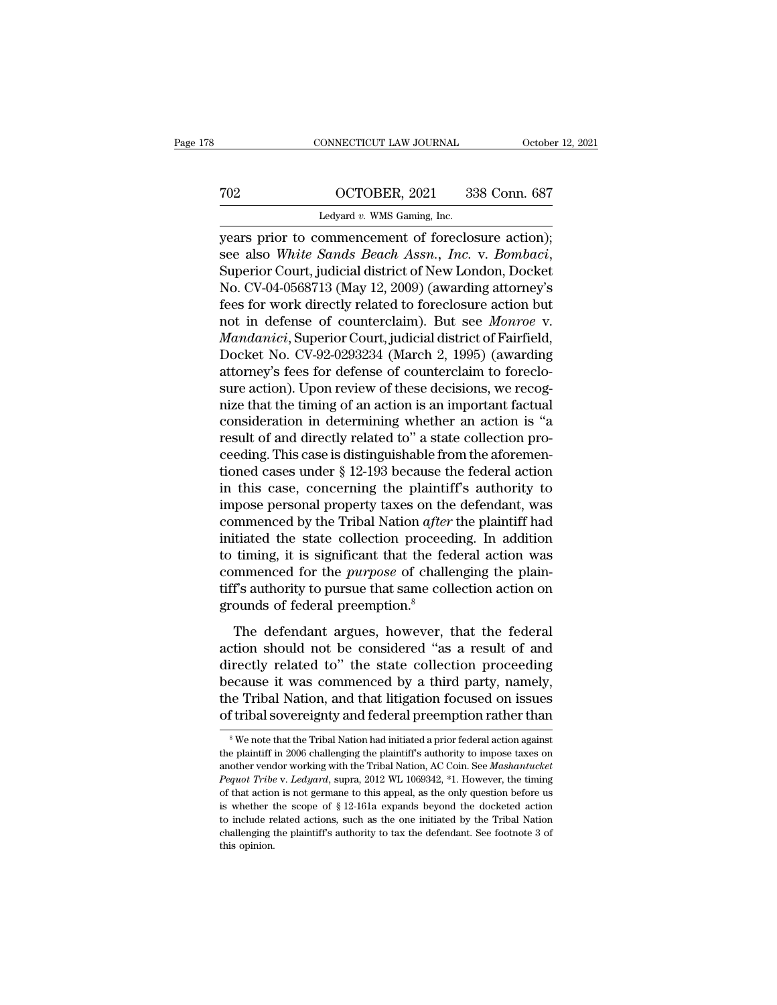# CONNECTICUT LAW JOURNAL October 12, 2021<br>
702 OCTOBER, 2021 338 Conn. 687<br>
Ledyard v. WMS Gaming, Inc.

CONNECTICUT LAW JOURNAL Octobe<br>
TO2 OCTOBER, 2021 338 Conn. 687<br>
Ledyard *v.* WMS Gaming, Inc.<br>
Vears prior to commencement of foreclosure action); CONNECTICUT LAW JOURNAL October 12, 2<br>
TO2 OCTOBER, 2021 338 Conn. 687<br>
Ledyard v. WMS Gaming, Inc.<br>
Jears prior to commencement of foreclosure action);<br>
see also White Sands Beach Assn., Inc. v. Bombaci,<br>
Superior Court i See also *White Sands Beach* Assn., Inc.<br>See also *White Sands Beach Assn., Inc.* v. *Bombaci*, Superior Court, judicial district of New London, Docket No. CV-04-0568713 (May 12, 2009) (awarding attorney's foos for work di TO2 OCTOBER, 2021 338 Conn. 687<br>
Ledyard v. WMS Gaming, Inc.<br>
years prior to commencement of foreclosure action);<br>
see also White Sands Beach Assn., Inc. v. Bombaci,<br>
Superior Court, judicial district of New London, Docket Ledyard v. WMS Gaming, Inc.<br>
years prior to commencement of foreclosure action);<br>
see also White Sands Beach Assn., Inc. v. Bombaci,<br>
Superior Court, judicial district of New London, Docket<br>
No. CV-04-0568713 (May 12, 2009 Legard v. with Galling, Inc.<br>
years prior to commencement of foreclosure action);<br>
see also *White Sands Beach Assn.*, *Inc.* v. *Bombaci*,<br>
Superior Court, judicial district of New London, Docket<br>
No. CV-04-0568713 (May 1 years prior to commencement of foreclosure action);<br>see also *White Sands Beach Assn., Inc.* v. *Bombaci*,<br>Superior Court, judicial district of New London, Docket<br>No. CV-04-0568713 (May 12, 2009) (awarding attorney's<br>fees see also *White Sands Beach Assn., Inc.* v. *Bombaci*,<br>Superior Court, judicial district of New London, Docket<br>No. CV-04-0568713 (May 12, 2009) (awarding attorney's<br>fees for work directly related to foreclosure action but<br> Superior Court, judicial district of New London, Docket<br>No. CV-04-0568713 (May 12, 2009) (awarding attorney's<br>fees for work directly related to foreclosure action but<br>not in defense of counterclaim). But see *Monroe* v.<br>*M* No. CV-04-0568713 (May 12, 2009) (awarding attorney's<br>fees for work directly related to foreclosure action but<br>not in defense of counterclaim). But see *Monroe* v.<br>*Mandanici*, Superior Court, judicial district of Fairfiel fees for work directly related to foreclosure action but<br>not in defense of counterclaim). But see *Monroe* v.<br>*Mandanici*, Superior Court, judicial district of Fairfield,<br>Docket No. CV-92-0293234 (March 2, 1995) (awarding<br> not in defense of counterclaim). But see *Monroe* v.<br> *Mandanici*, Superior Court, judicial district of Fairfield,<br>
Docket No. CV-92-0293234 (March 2, 1995) (awarding<br>
attorney's fees for defense of counterclaim to foreclo *Mandanici*, Superior Court, judicial district of Fairfield,<br>Docket No. CV-92-0293234 (March 2, 1995) (awarding<br>attorney's fees for defense of counterclaim to foreclo-<br>sure action). Upon review of these decisions, we reco Docket No. CV-92-0293234 (March 2, 1995) (awarding<br>attorney's fees for defense of counterclaim to foreclo-<br>sure action). Upon review of these decisions, we recog-<br>nize that the timing of an action is an important factual<br>c attorney's fees for defense of counterclaim to foreclo-<br>sure action). Upon review of these decisions, we recog-<br>nize that the timing of an action is an important factual<br>consideration in determining whether an action is "a sure action). Upon review of these decisions, we recog-<br>nize that the timing of an action is an important factual<br>consideration in determining whether an action is "a<br>result of and directly related to" a state collection p mize that the timing of an action is an important factual consideration in determining whether an action is "a result of and directly related to" a state collection proceeding. This case is distinguishable from the aforem consideration in determining whether an action is "a<br>result of and directly related to" a state collection pro-<br>ceeding. This case is distinguishable from the aforemen-<br>tioned cases under § 12-193 because the federal actio result of and directly related to" a state collection proceeding. This case is distinguishable from the aforementioned cases under  $\S$  12-193 because the federal action in this case, concerning the plaintiff's authority t ceeding. This case is distinguishable from the aforementioned cases under  $\S$  12-193 because the federal action<br>in this case, concerning the plaintiff's authority to<br>impose personal property taxes on the defendant, was<br>co tioned cases under  $\S$  12-193 because the federal action<br>in this case, concerning the plaintiff's authority to<br>impose personal property taxes on the defendant, was<br>commenced by the Tribal Nation *after* the plaintiff had<br> in this case, concerning the plaintiff's authority to<br>impose personal property taxes on the defendant, was<br>commenced by the Tribal Nation *after* the plaintiff had<br>initiated the state collection proceeding. In addition<br>to impose personal property taxes on the<br>commenced by the Tribal Nation *after*<br>initiated the state collection proceed<br>to timing, it is significant that the fec<br>commenced for the *purpose* of challe<br>tiff's authority to pursue The defendant argues, however, that the federal<br>tiated the state collection proceeding. In addition<br>timing, it is significant that the federal action was<br>mmenced for the *purpose* of challenging the plain-<br>f's authority t the timing, it is significant that the federal action was<br>commenced for the *purpose* of challenging the plain-<br>tiff's authority to pursue that same collection action on<br>grounds of federal preemption.<sup>8</sup><br>The defendant arg

diff's authority to purpose of challenging the plain-<br>tiff's authority to pursue that same collection action on<br>grounds of federal preemption.<sup>8</sup><br>The defendant argues, however, that the federal<br>action should not be conside Framework is a transmission of partial state in the set of and grounds of federal preemption.<sup>8</sup><br>The defendant argues, however, that the federal action should not be considered "as a result of and directly related to" the The defendant argues, however, that the federal<br>action should not be considered "as a result of and<br>directly related to" the state collection proceeding<br>because it was commenced by a third party, namely,<br>the Tribal Nation, The defendant argues, however, that the federal<br>action should not be considered "as a result of and<br>directly related to" the state collection proceeding<br>because it was commenced by a third party, namely,<br>the Tribal Nation, directly related to" the state collection proceeding<br>because it was commenced by a third party, namely,<br>the Tribal Nation, and that litigation focused on issues<br>of tribal sovereignty and federal preemption rather than<br>we n because it was commenced by a third party, namely,<br>the Tribal Nation, and that litigation focused on issues<br>of tribal sovereignty and federal preemption rather than<br><sup>8</sup>We note that the Tribal Nation had initiated a prior f

the Tribal Nation, and that litigation focused on issues<br>of tribal sovereignty and federal preemption rather than<br><sup>8</sup>We note that the Tribal Nation had initiated a prior federal action against<br>the plaintiff in 2006 challen **Performance v.** *Performance Corresponded a proof tribal Sovereignty and federal preemption rather than***<br>
<sup>8</sup> We note that the Tribal Nation had initiated a prior federal action against<br>
the plaintiff in 2006 challenging t** the plaintiff in 2006 challenging the plaintiff's authority to impose taxes on another vendor working with the Tribal Nation, AC Coin. See *Mashantucket Pequot Tribe* v. *Ledyard*, supra, 2012 WL 1069342, \*1. However, t <sup>8</sup> We note that the Tribal Nation had initiated a prior federal action against the plaintiff in 2006 challenging the plaintiff's authority to impose taxes on another vendor working with the Tribal Nation, AC Coin. See *M* the plaintiff in 2006 challenging the plaintiff's authority to impose taxes on another vendor working with the Tribal Nation, AC Coin. See *Mashantucket* Pequot Tribe v. Ledyard, supra, 2012 WL 1069342,  $*1$ . However, the another vendor working with the Tribal Nation, AC Coin. See *Mashantucket* Pequot Tribe v. Ledyard, supra, 2012 WL 1069342,  $*1$ . However, the timing of that action is not germane to this appeal, as the only question befo Pequot Tribe v. Ledyard, supra, 2012 WL 1069342, \*1. However, the timing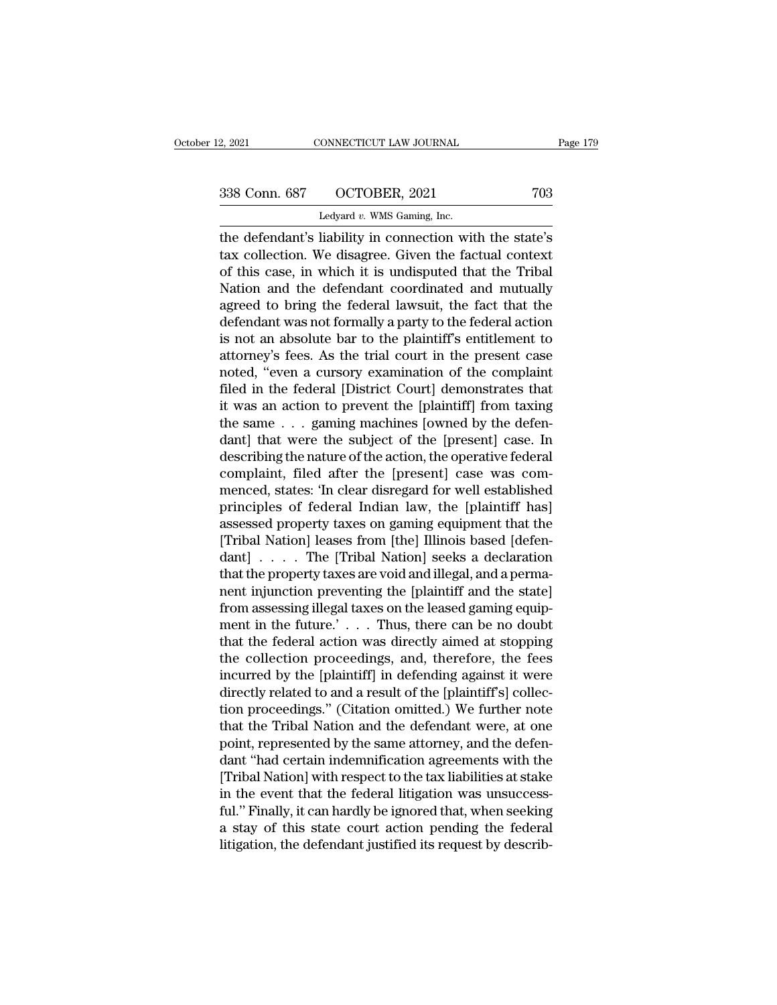# 2, 2021 CONNECTICUT LAW JOURNAL Page 179<br>338 Conn. 687 OCTOBER, 2021 703<br>Ledyard v. WMS Gaming, Inc.

2, 2021 CONNECTICUT LAW JOURNAL<br>
2, 2021 703<br>
238 Conn. 687 OCTOBER, 2021 703<br>
Ledyard *v.* WMS Gaming, Inc.<br>
the defendant's liability in connection with the state's 2, 2021 CONNECTICUT LAW JOURNAL Page 179<br>
338 Conn. 687 OCTOBER, 2021 703<br>
Ledyard v. WMS Gaming, Inc.<br>
the defendant's liability in connection with the state's<br>
tax collection. We disagree. Given the factual context<br>
of 338 Conn. 687 OCTOBER, 2021 703<br>
Ledyard v. WMS Gaming, Inc.<br>
the defendant's liability in connection with the state's<br>
tax collection. We disagree. Given the factual context<br>
of this case, in which it is undisputed that 338 Conn. 687 OCTOBER, 2021 703<br>
Ledyard v. WMS Gaming, Inc.<br>
the defendant's liability in connection with the state's<br>
tax collection. We disagree. Given the factual context<br>
of this case, in which it is undisputed that  $338$  Conn. 687  $\rightarrow$  OCTOBER, 2021  $\rightarrow$  703<br>
Ledyard v. WMS Gaming, Inc.<br>
the defendant's liability in connection with the state's<br>
tax collection. We disagree. Given the factual context<br>
of this case, in which it is undi Ledyard v. WMS Gaming, Inc.<br>
the defendant's liability in connection with the state's<br>
tax collection. We disagree. Given the factual context<br>
of this case, in which it is undisputed that the Tribal<br>
Nation and the defend Leayard v. WMS Galling, Inc.<br>
the defendant's liability in connection with the state's<br>
tax collection. We disagree. Given the factual context<br>
of this case, in which it is undisputed that the Tribal<br>
Nation and the defen the defendant's liability in connection with the state's<br>tax collection. We disagree. Given the factual context<br>of this case, in which it is undisputed that the Tribal<br>Nation and the defendant coordinated and mutually<br>agre tax collection. We disagree. Given the factual context<br>of this case, in which it is undisputed that the Tribal<br>Nation and the defendant coordinated and mutually<br>agreed to bring the federal lawsuit, the fact that the<br>defend of this case, in which it is undisputed that the Tribal<br>Nation and the defendant coordinated and mutually<br>agreed to bring the federal lawsuit, the fact that the<br>defendant was not formally a party to the federal action<br>is n Nation and the defendant coordinated and mutually<br>agreed to bring the federal lawsuit, the fact that the<br>defendant was not formally a party to the federal action<br>is not an absolute bar to the plaintiff's entitlement to<br>att agreed to bring the federal lawsuit, the fact that the<br>defendant was not formally a party to the federal action<br>is not an absolute bar to the plaintiff's entitlement to<br>attorney's fees. As the trial court in the present ca defendant was not formally a party to the federal action<br>is not an absolute bar to the plaintiff's entitlement to<br>attorney's fees. As the trial court in the present case<br>noted, "even a cursory examination of the complaint<br> is not an absolute bar to the plaintiff's entitlement to<br>attorney's fees. As the trial court in the present case<br>noted, "even a cursory examination of the complaint<br>filed in the federal [District Court] demonstrates that<br>i attorney's fees. As the trial court in the present case<br>noted, "even a cursory examination of the complaint<br>filed in the federal [District Court] demonstrates that<br>it was an action to prevent the [plaintiff] from taxing<br>th noted, "even a cursory examination of the complaint<br>filed in the federal [District Court] demonstrates that<br>it was an action to prevent the [plaintiff] from taxing<br>the same . . . gaming machines [owned by the defen-<br>dant] filed in the federal [District Court] demonstrates that<br>it was an action to prevent the [plaintiff] from taxing<br>the same . . . gaming machines [owned by the defen-<br>dant] that were the subject of the [present] case. In<br>desc it was an action to prevent the [plaintiff] from taxing<br>the same . . . gaming machines [owned by the defen-<br>dant] that were the subject of the [present] case. In<br>describing the nature of the action, the operative federal<br>c the same . . . gaming machines [owned by the defen-<br>dant] that were the subject of the [present] case. In<br>describing the nature of the action, the operative federal<br>complaint, filed after the [present] case was com-<br>menced dant] that were the subject of the [present] case. In<br>describing the nature of the action, the operative federal<br>complaint, filed after the [present] case was com-<br>menced, states: 'In clear disregard for well established<br>p describing the nature of the action, the operative federal<br>complaint, filed after the [present] case was com-<br>menced, states: 'In clear disregard for well established<br>principles of federal Indian law, the [plaintiff has]<br>a complaint, filed after the [present] case was com-<br>menced, states: 'In clear disregard for well established<br>principles of federal Indian law, the [plaintiff has]<br>assessed property taxes on gaming equipment that the<br>[Tribal menced, states: 'In clear disregard for well established<br>principles of federal Indian law, the [plaintiff has]<br>assessed property taxes on gaming equipment that the<br>[Tribal Nation] leases from [the] Illinois based [defen-<br>d principles of federal Indian law, the [plaintiff has]<br>assessed property taxes on gaming equipment that the<br>[Tribal Nation] leases from [the] Illinois based [defen-<br>dant] . . . . The [Tribal Nation] seeks a declaration<br>that assessed property taxes on gaming equipment that the<br>[Tribal Nation] leases from [the] Illinois based [defen-<br>dant] . . . . The [Tribal Nation] seeks a declaration<br>that the property taxes are void and illegal, and a perma-[Tribal Nation] leases from [the] Illinois based [defen-<br>dant] . . . . The [Tribal Nation] seeks a declaration<br>that the property taxes are void and illegal, and a perma-<br>nent injunction preventing the [plaintiff and the s dant]  $\ldots$  . The [Tribal Nation] seeks a declaration<br>that the property taxes are void and illegal, and a perma-<br>nent injunction preventing the [plaintiff and the state]<br>from assessing illegal taxes on the leased gaming e that the property taxes are void and illegal, and a perma-<br>nent injunction preventing the [plaintiff and the state]<br>from assessing illegal taxes on the leased gaming equip-<br>ment in the future.'...Thus, there can be no doub nent injunction preventing the [plaintiff' and the state]<br>from assessing illegal taxes on the leased gaming equip-<br>ment in the future.' . . . Thus, there can be no doubt<br>that the federal action was directly aimed at stopp from assessing illegal taxes on the leased gaming equipment in the future.'  $\ldots$  Thus, there can be no doubt that the federal action was directly aimed at stopping the collection proceedings, and, therefore, the fees inc ment in the future.' . . . . Thus, there can be no doubt<br>that the federal action was directly aimed at stopping<br>the collection proceedings, and, therefore, the fees<br>incurred by the [plaintiff] in defending against it were<br> that the federal action was directly aimed at stopping<br>the collection proceedings, and, therefore, the fees<br>incurred by the [plaintiff] in defending against it were<br>directly related to and a result of the [plaintiff's] col the collection proceedings, and, therefore, the fees<br>incurred by the [plaintiff] in defending against it were<br>directly related to and a result of the [plaintiff's] collec-<br>tion proceedings." (Citation omitted.) We further incurred by the [plaintiff] in defending against it were<br>directly related to and a result of the [plaintiff's] collec-<br>tion proceedings." (Citation omitted.) We further note<br>that the Tribal Nation and the defendant were, a directly related to and a result of the [plaintiff's] collection proceedings." (Citation omitted.) We further note<br>that the Tribal Nation and the defendant were, at one<br>point, represented by the same attorney, and the defe tion proceedings." (Citation omitted.) We further note<br>that the Tribal Nation and the defendant were, at one<br>point, represented by the same attorney, and the defen-<br>dant "had certain indemnification agreements with the<br>[Tr that the Tribal Nation and the defendant were, at one<br>point, represented by the same attorney, and the defen-<br>dant "had certain indemnification agreements with the<br>[Tribal Nation] with respect to the tax liabilities at sta point, represented by the same attorney, and the defendant "had certain indemnification agreements with the [Tribal Nation] with respect to the tax liabilities at stake in the event that the federal litigation was unsucces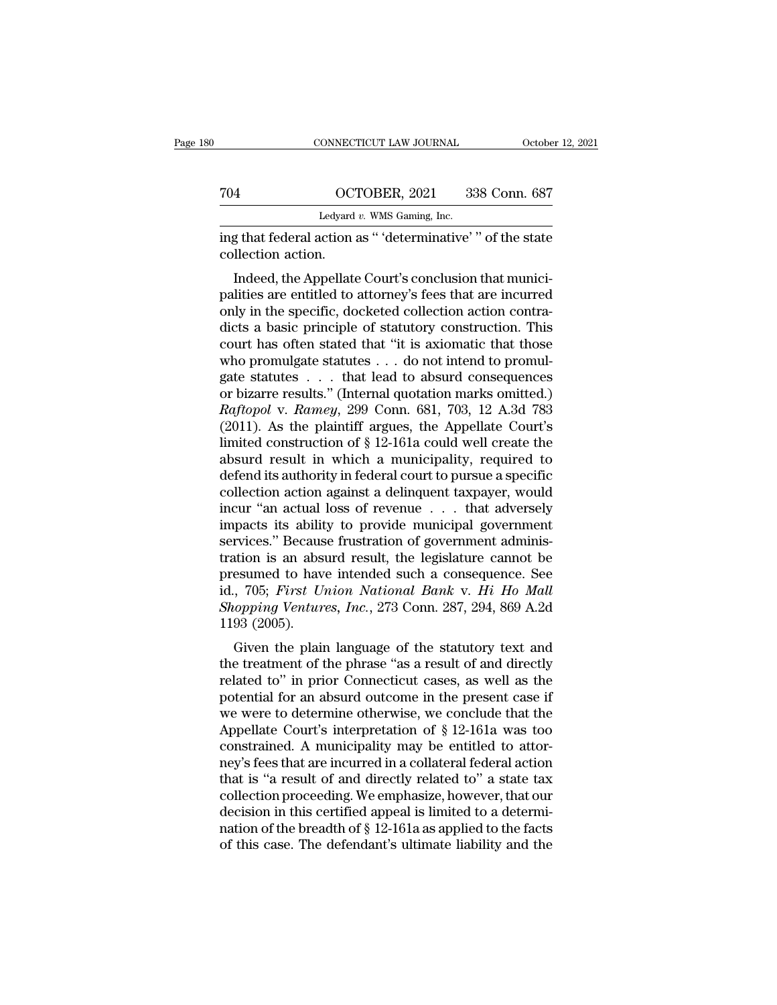|                    | CONNECTICUT LAW JOURNAL                                                                                                                                                          | October 12, 2021 |
|--------------------|----------------------------------------------------------------------------------------------------------------------------------------------------------------------------------|------------------|
|                    |                                                                                                                                                                                  |                  |
| 704                | OCTOBER, 2021                                                                                                                                                                    | 338 Conn. 687    |
|                    | Ledyard $v$ . WMS Gaming, Inc.                                                                                                                                                   |                  |
| collection action. | ing that federal action as " 'determinative' " of the state                                                                                                                      |                  |
|                    | Indeed, the Appellate Court's conclusion that munici-<br>palities are entitled to attorney's fees that are incurred<br>only in the specific declarated collection setion control |                  |

704 OCTOBER, 2021 338 Conn. 687<br>
Ledyard v. WMS Gaming, Inc.<br>
ing that federal action as " 'determinative' " of the state<br>
collection action.<br>
Indeed, the Appellate Court's conclusion that munici-<br>
palities are entitled t Ledyard v. WMS Gaming, Inc.<br>
ing that federal action as " 'determinative' " of the state<br>
collection action.<br>
Indeed, the Appellate Court's conclusion that munici-<br>
palities are entitled to attorney's fees that are incurre ing that federal action as " 'determinative' " of the state collection action.<br>
Indeed, the Appellate Court's conclusion that municipalities are entitled to attorney's fees that are incurred<br>
only in the specific, docketed read action as alternative of the state<br>collection action.<br>Indeed, the Appellate Court's conclusion that munici-<br>palities are entitled to attorney's fees that are incurred<br>only in the specific, docketed collection action c Indeed, the Appellate Court's conclusion that munici-<br>palities are entitled to attorney's fees that are incurred<br>only in the specific, docketed collection action contra-<br>dicts a basic principle of statutory construction. T Indeed, the Appellate Court's conclusion that munici-<br>palities are entitled to attorney's fees that are incurred<br>only in the specific, docketed collection action contra-<br>dicts a basic principle of statutory construction. palities are entitled to attorney's fees that are incurred<br>only in the specific, docketed collection action contra-<br>dicts a basic principle of statutory construction. This<br>court has often stated that "it is axiomatic that only in the specific, docketed collection action contradicts a basic principle of statutory construction. This<br>court has often stated that "it is axiomatic that those<br>who promulgate statutes . . . do not intend to promulga dicts a basic principle of statutory construction. This<br>court has often stated that "it is axiomatic that those<br>who promulgate statutes . . . do not intend to promulgate<br>statutes . . . that lead to absurd consequences<br>or court has often stated that "it is axiomatic that those<br>who promulgate statutes . . . do not intend to promulgate<br>statutes . . . that lead to absurd consequences<br>or bizarre results." (Internal quotation marks omitted.)<br> $R$ who promulgate statutes . . . do not intend to promulgate statutes . . . that lead to absurd consequences<br>or bizarre results." (Internal quotation marks omitted.)<br> $Raftopol$  v.  $Ramey$ , 299 Conn. 681, 703, 12 A.3d 783<br>(2011). As gate statutes . . . that lead to absurd consequences<br>or bizarre results." (Internal quotation marks omitted.)<br>*Raftopol* v. *Ramey*, 299 Conn. 681, 703, 12 A.3d 783<br>(2011). As the plaintiff argues, the Appellate Court's<br>li or bizarre results." (Internal quotation marks omitted.)<br> *Raftopol* v. *Ramey*, 299 Conn. 681, 703, 12 A.3d 783<br>
(2011). As the plaintiff argues, the Appellate Court's<br>
limited construction of § 12-161a could well create Raftopol v. Ramey, 299 Conn. 681, 703, 12 A.3d 783<br>(2011). As the plaintiff argues, the Appellate Court's<br>limited construction of § 12-161a could well create the<br>absurd result in which a municipality, required to<br>defend i (2011). As the plaintiff argues, the Appellate Court's limited construction of § 12-161a could well create the absurd result in which a municipality, required to defend its authority in federal court to pursue a specific limited construction of § 12-161a could well create the<br>absurd result in which a municipality, required to<br>defend its authority in federal court to pursue a specific<br>collection action against a delinquent taxpayer, would<br> absurd result in which a municipality, required to<br>defend its authority in federal court to pursue a specific<br>collection action against a delinquent taxpayer, would<br>incur "an actual loss of revenue . . . that adversely<br>im defend its authority in federal court to pursue a specific<br>collection action against a delinquent taxpayer, would<br>incur "an actual loss of revenue . . . that adversely<br>impacts its ability to provide municipal government<br>s collection action against a delinquent taxpayer, would<br>incur "an actual loss of revenue . . . that adversely<br>impacts its ability to provide municipal government<br>services." Because frustration of government adminis-<br>tration incur "an actual loss of revenue . . . that adversely<br>impacts its ability to provide municipal government<br>services." Because frustration of government adminis-<br>tration is an absurd result, the legislature cannot be<br>presume impacts its abilit<br>services." Becaus<br>tration is an abs<br>presumed to hav<br>id., 705; First U:<br>Shopping Ventur<br>1193 (2005).<br>Given the plain Frices. Because Hustration of government administration is an absurd result, the legislature cannot be esumed to have intended such a consequence. See , 705; *First Union National Bank v. Hi Ho Mall* oppping Ventures, *Inc* tration is an absult result, the regislature cannot be<br>presumed to have intended such a consequence. See<br>id., 705; *First Union National Bank v. Hi Ho Mall*<br>Shopping Ventures, Inc., 273 Conn. 287, 294, 869 A.2d<br>1193 (2005

presumed to have mierded such a consequence. see<br>id., 705; First Union National Bank v. Hi Ho Mall<br>Shopping Ventures, Inc., 273 Conn. 287, 294, 869 A.2d<br>1193 (2005).<br>Given the plain language of the statutory text and<br>the t potential for an absurd outcome in the present cases,  $\frac{273}{294}$ ,  $\frac{294}{2005}$ .<br>
Given the plain language of the statutory text and<br>
the treatment of the phrase "as a result of and directly<br>
related to" in prior Conn Shopping ventures,  $mc$ ,  $213$  Collit.  $281$ ,  $294$ ,  $809$  A.2d 1193 (2005).<br>
Given the plain language of the statutory text and<br>
the treatment of the phrase "as a result of and directly<br>
related to" in prior Connecticut c Given the plain language of the statutory text and<br>the treatment of the phrase "as a result of and directly<br>related to" in prior Connecticut cases, as well as the<br>potential for an absurd outcome in the present case if<br>we Given the plain language of the statutory text and<br>the treatment of the phrase "as a result of and directly<br>related to" in prior Connecticut cases, as well as the<br>potential for an absurd outcome in the present case if<br>we the treatment of the phrase "as a result of and directly<br>related to" in prior Connecticut cases, as well as the<br>potential for an absurd outcome in the present case if<br>we were to determine otherwise, we conclude that the<br>A related to" in prior Connecticut cases, as well as the potential for an absurd outcome in the present case if we were to determine otherwise, we conclude that the Appellate Court's interpretation of § 12-161a was too const potential for an absurd outcome in the present case if<br>we were to determine otherwise, we conclude that the<br>Appellate Court's interpretation of § 12-161a was too<br>constrained. A municipality may be entitled to attor-<br>ney's we were to determine otherwise, we conclude that the Appellate Court's interpretation of  $\S$  12-161a was too constrained. A municipality may be entitled to attorney's fees that are incurred in a collateral federal action Appellate Court's interpretation of  $\S$  12-161a was too<br>constrained. A municipality may be entitled to attor-<br>ney's fees that are incurred in a collateral federal action<br>that is "a result of and directly related to" a sta constrained. A municipality may be entitled to attorney's fees that are incurred in a collateral federal action<br>that is "a result of and directly related to" a state tax<br>collection proceeding. We emphasize, however, that o